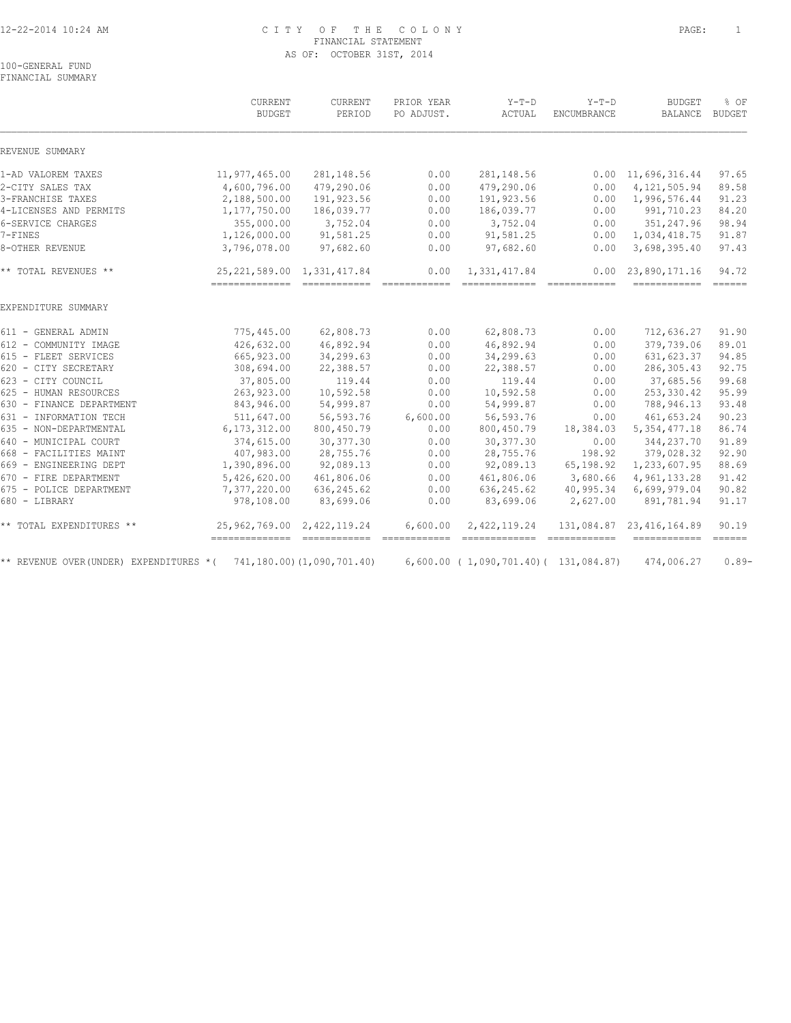#### 12-22-2014 10:24 AM C I T Y O F T H E C O L O N Y PAGE: 1 FINANCIAL STATEMENT AS OF: OCTOBER 31ST, 2014

100-GENERAL FUND FINANCIAL SUMMARY

|                                        | CURRENT<br><b>BUDGET</b>                                       | CURRENT<br>PERIOD          | PRIOR YEAR<br>PO ADJUST. | $Y-T-D$<br>ACTUAL                            | $Y-T-D$<br>ENCUMBRANCE | <b>BUDGET</b><br>BALANCE   | % OF<br><b>BUDGET</b>        |
|----------------------------------------|----------------------------------------------------------------|----------------------------|--------------------------|----------------------------------------------|------------------------|----------------------------|------------------------------|
| REVENUE SUMMARY                        |                                                                |                            |                          |                                              |                        |                            |                              |
| 1-AD VALOREM TAXES                     | 11,977,465.00                                                  | 281, 148.56                | 0.00                     | 281, 148.56                                  |                        | $0.00 \quad 11,696,316.44$ | 97.65                        |
| 2-CITY SALES TAX                       | 4,600,796.00                                                   | 479,290.06                 | 0.00                     | 479,290.06                                   | 0.00                   | 4, 121, 505.94             | 89.58                        |
| 3-FRANCHISE TAXES                      | 2,188,500.00                                                   | 191,923.56                 | 0.00                     | 191,923.56                                   | 0.00                   | 1,996,576.44               | 91.23                        |
| 4-LICENSES AND PERMITS                 | 1,177,750.00                                                   | 186,039.77                 | 0.00                     | 186,039.77                                   | 0.00                   | 991,710.23                 | 84.20                        |
| 6-SERVICE CHARGES                      | 355,000.00                                                     | 3,752.04                   | 0.00                     | 3,752.04                                     | 0.00                   | 351,247.96                 | 98.94                        |
| 7-FINES                                | 1,126,000.00                                                   | 91,581.25                  | 0.00                     | 91,581.25                                    | 0.00                   | 1,034,418.75               | 91.87                        |
| 8-OTHER REVENUE                        | 3,796,078.00                                                   | 97,682.60                  | 0.00                     | 97,682.60                                    | 0.00                   | 3,698,395.40               | 97.43                        |
| ** TOTAL REVENUES **                   | 25, 221, 589.00 1, 331, 417.84<br>--------------- ------------ |                            | 0.00                     | 1,331,417.84<br>============================ | 0.00                   | 23,890,171.16              | 94.72                        |
| EXPENDITURE SUMMARY                    |                                                                |                            |                          |                                              |                        |                            |                              |
| 611 - GENERAL ADMIN                    | 775,445.00                                                     | 62,808.73                  | 0.00                     | 62,808.73                                    | 0.00                   | 712,636.27                 | 91.90                        |
| 612 - COMMUNITY IMAGE                  | 426,632.00                                                     | 46,892.94                  | 0.00                     | 46,892.94                                    | 0.00                   | 379,739.06                 | 89.01                        |
| 615 - FLEET SERVICES                   | 665, 923.00                                                    | 34,299.63                  | 0.00                     | 34,299.63                                    | 0.00                   | 631, 623.37                | 94.85                        |
| 620 - CITY SECRETARY                   | 308,694.00                                                     | 22,388.57                  | 0.00                     | 22,388.57                                    | 0.00                   | 286,305.43                 | 92.75                        |
| 623 - CITY COUNCIL                     | 37,805.00                                                      | 119.44                     | 0.00                     | 119.44                                       | 0.00                   | 37,685.56                  | 99.68                        |
| 625 - HUMAN RESOURCES                  | 263,923.00                                                     | 10,592.58                  | 0.00                     | 10,592.58                                    | 0.00                   | 253,330.42                 | 95.99                        |
| 630 - FINANCE DEPARTMENT               | 843,946.00                                                     | 54,999.87                  | 0.00                     | 54,999.87                                    | 0.00                   | 788,946.13                 | 93.48                        |
| 631 - INFORMATION TECH                 | 511,647.00                                                     | 56,593.76                  | 6,600.00                 | 56,593.76                                    | 0.00                   | 461,653.24                 | 90.23                        |
| 635 - NON-DEPARTMENTAL                 | 6, 173, 312.00                                                 | 800, 450.79                | 0.00                     | 800,450.79                                   | 18,384.03              | 5, 354, 477.18             | 86.74                        |
| 640 - MUNICIPAL COURT                  | 374,615.00                                                     | 30, 377.30                 | 0.00                     | 30, 377.30                                   | 0.00                   | 344,237.70                 | 91.89                        |
| 668 - FACILITIES MAINT                 | 407,983.00                                                     | 28,755.76                  | 0.00                     | 28,755.76                                    | 198.92                 | 379,028.32                 | 92.90                        |
| 669 - ENGINEERING DEPT                 | 1,390,896.00                                                   | 92,089.13                  | 0.00                     | 92,089.13                                    | 65,198.92              | 1,233,607.95               | 88.69                        |
| 670 - FIRE DEPARTMENT                  | 5,426,620.00                                                   | 461,806.06                 | 0.00                     | 461,806.06                                   | 3,680.66               | 4,961,133.28               | 91.42                        |
| 675 - POLICE DEPARTMENT                | 7,377,220.00                                                   | 636, 245.62                | 0.00                     | 636, 245.62                                  | 40,995.34              | 6,699,979.04               | 90.82                        |
| 680 - LIBRARY                          | 978,108.00                                                     | 83,699.06                  | 0.00                     | 83,699.06                                    | 2,627.00               | 891,781.94                 | 91.17                        |
| ** TOTAL EXPENDITURES **               | 25,962,769.00<br>==============================                | 2,422,119.24               | 6,600.00                 | 2,422,119.24                                 |                        | 131,084.87 23,416,164.89   | 90.19<br>$=$ $=$ $=$ $=$ $=$ |
| ** REVENUE OVER(UNDER) EXPENDITURES *( |                                                                | 741,180.00) (1,090,701.40) |                          | $6,600.00$ (1,090,701.40)(131,084.87)        |                        | 474,006.27                 | $0.89-$                      |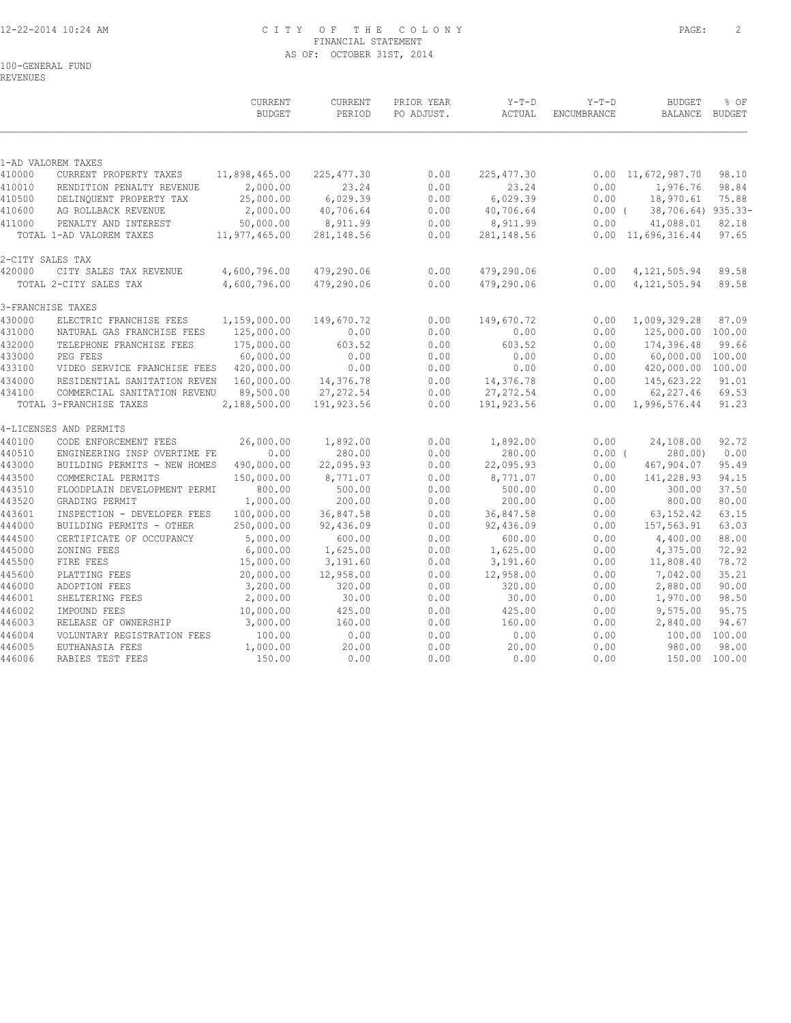#### 12-22-2014 10:24 AM C I T Y O F T H E C O L O N Y PAGE: 2 FINANCIAL STATEMENT AS OF: OCTOBER 31ST, 2014

100-GENERAL FUND

REVENUES

|                  |                                                         | <b>CURRENT</b><br><b>BUDGET</b> | <b>CURRENT</b><br>PERIOD | PRIOR YEAR<br>PO ADJUST. | $Y-T-D$<br>ACTUAL        | $Y-T-D$<br>ENCUMBRANCE | <b>BUDGET</b><br>BALANCE BUDGET | % OF            |
|------------------|---------------------------------------------------------|---------------------------------|--------------------------|--------------------------|--------------------------|------------------------|---------------------------------|-----------------|
|                  |                                                         |                                 |                          |                          |                          |                        |                                 |                 |
| 410000           | 1-AD VALOREM TAXES<br>CURRENT PROPERTY TAXES            | 11,898,465.00                   | 225, 477.30              | 0.00                     | 225, 477.30              |                        | $0.00 \quad 11,672,987.70$      | 98.10           |
| 410010           | RENDITION PENALTY REVENUE                               | 2,000.00                        | 23.24                    | 0.00                     | 23.24                    | 0.00                   | 1,976.76                        | 98.84           |
| 410500           | DELINQUENT PROPERTY TAX                                 | 25,000.00                       | 6,029.39                 | 0.00                     | 6,029.39                 | 0.00                   | 18,970.61                       | 75.88           |
| 410600           | AG ROLLBACK REVENUE                                     | 2,000.00                        | 40,706.64                | 0.00                     | 40,706.64                | $0.00$ (               | 38,706.64) 935.33-              |                 |
| 411000           | PENALTY AND INTEREST                                    | 50,000.00                       | 8,911.99                 | 0.00                     | 8,911.99                 | 0.00                   | 41,088.01                       | 82.18           |
|                  | TOTAL 1-AD VALOREM TAXES                                | 11,977,465.00                   | 281, 148.56              | 0.00                     | 281,148.56               |                        | $0.00 \quad 11,696,316.44$      | 97.65           |
|                  | 2-CITY SALES TAX                                        |                                 |                          |                          |                          |                        |                                 |                 |
| 420000           | CITY SALES TAX REVENUE                                  | 4,600,796.00                    | 479,290.06               | 0.00                     | 479,290.06               | 0.00                   | 4, 121, 505.94                  | 89.58           |
|                  | TOTAL 2-CITY SALES TAX                                  | 4,600,796.00                    | 479,290.06               | 0.00                     | 479,290.06               | 0.00                   | 4, 121, 505.94                  | 89.58           |
|                  | 3-FRANCHISE TAXES                                       |                                 |                          |                          |                          |                        |                                 |                 |
| 430000           | ELECTRIC FRANCHISE FEES                                 | 1,159,000.00                    | 149,670.72               | 0.00                     | 149,670.72               | 0.00                   | 1,009,329.28                    | 87.09           |
| 431000           | NATURAL GAS FRANCHISE FEES                              | 125,000.00                      | 0.00                     | 0.00                     | 0.00                     | 0.00                   | 125,000.00 100.00               |                 |
| 432000           | TELEPHONE FRANCHISE FEES                                | 175,000.00                      | 603.52                   | 0.00                     | 603.52                   | 0.00                   | 174,396.48                      | 99.66           |
| 433000           | PEG FEES                                                | 60,000.00                       | 0.00                     | 0.00                     | 0.00                     | 0.00                   | 60,000.00                       | 100.00          |
| 433100           | VIDEO SERVICE FRANCHISE FEES                            | 420,000.00                      | 0.00                     | 0.00                     | 0.00                     | 0.00                   | 420,000.00                      | 100.00          |
| 434000           | RESIDENTIAL SANITATION REVEN                            | 160,000.00                      | 14,376.78                | 0.00                     | 14,376.78                | 0.00                   | 145,623.22                      | 91.01           |
| 434100           | COMMERCIAL SANITATION REVENU<br>TOTAL 3-FRANCHISE TAXES | 89,500.00<br>2,188,500.00       | 27, 272.54<br>191,923.56 | 0.00<br>0.00             | 27, 272.54<br>191,923.56 | 0.00<br>0.00           | 62,227.46<br>1,996,576.44       | 69.53<br>91.23  |
|                  | 4-LICENSES AND PERMITS                                  |                                 |                          |                          |                          |                        |                                 |                 |
| 440100           | CODE ENFORCEMENT FEES                                   | 26,000.00                       | 1,892.00                 | 0.00                     | 1,892.00                 | 0.00                   | 24,108.00                       | 92.72           |
| 440510           | ENGINEERING INSP OVERTIME FE                            | 0.00                            | 280.00                   | 0.00                     | 280.00                   | $0.00$ (               | 280.00                          | 0.00            |
| 443000           | BUILDING PERMITS - NEW HOMES                            | 490,000.00                      | 22,095.93                | 0.00                     | 22,095.93                | 0.00                   | 467,904.07                      | 95.49           |
| 443500           | COMMERCIAL PERMITS                                      | 150,000.00                      | 8,771.07                 | 0.00                     | 8,771.07                 | 0.00                   | 141,228.93                      | 94.15           |
| 443510           | FLOODPLAIN DEVELOPMENT PERMI                            | 800.00                          | 500.00                   | 0.00                     | 500.00                   | 0.00                   | 300.00                          | 37.50           |
| 443520           | GRADING PERMIT                                          | 1,000.00                        | 200.00                   | 0.00                     | 200.00                   | 0.00                   | 800.00                          | 80.00           |
| 443601           | INSPECTION - DEVELOPER FEES                             | 100,000.00                      | 36,847.58                | 0.00                     | 36,847.58                | 0.00                   | 63, 152.42                      | 63.15           |
| 444000           | BUILDING PERMITS - OTHER                                | 250,000.00                      | 92,436.09                | 0.00                     | 92,436.09                | 0.00                   | 157,563.91                      | 63.03           |
| 444500           | CERTIFICATE OF OCCUPANCY                                | 5,000.00                        | 600.00                   | 0.00                     | 600.00                   | 0.00                   | 4,400.00                        | 88.00           |
| 445000           | ZONING FEES                                             | 6,000.00                        | 1,625.00                 | 0.00                     | 1,625.00                 | 0.00                   | 4,375.00                        | 72.92           |
| 445500           | FIRE FEES                                               | 15,000.00                       | 3,191.60                 | 0.00                     | 3,191.60                 | 0.00                   | 11,808.40                       | 78.72           |
| 445600           | PLATTING FEES                                           | 20,000.00                       | 12,958.00                | 0.00                     | 12,958.00                | 0.00                   | 7,042.00                        | 35.21           |
| 446000           | ADOPTION FEES                                           | 3,200.00                        | 320.00                   | 0.00                     | 320.00                   | 0.00                   | 2,880.00                        | 90.00           |
| 446001           | SHELTERING FEES                                         | 2,000.00                        | 30.00                    | 0.00                     | 30.00                    | 0.00                   | 1,970.00                        | 98.50           |
| 446002           | IMPOUND FEES                                            | 10,000.00                       | 425.00                   | 0.00                     | 425.00                   | 0.00                   | 9,575.00                        | 95.75           |
| 446003           | RELEASE OF OWNERSHIP                                    | 3,000.00                        | 160.00                   | 0.00                     | 160.00                   | 0.00                   | 2,840.00                        | 94.67           |
| 446004           | VOLUNTARY REGISTRATION FEES                             | 100.00                          | 0.00                     | 0.00                     | 0.00                     | 0.00                   | 100.00                          | 100.00          |
| 446005<br>446006 | EUTHANASIA FEES                                         | 1,000.00                        | 20.00<br>0.00            | 0.00<br>0.00             | 20.00<br>0.00            | 0.00                   | 980.00                          | 98.00<br>100.00 |
|                  | RABIES TEST FEES                                        | 150.00                          |                          |                          |                          | 0.00                   | 150.00                          |                 |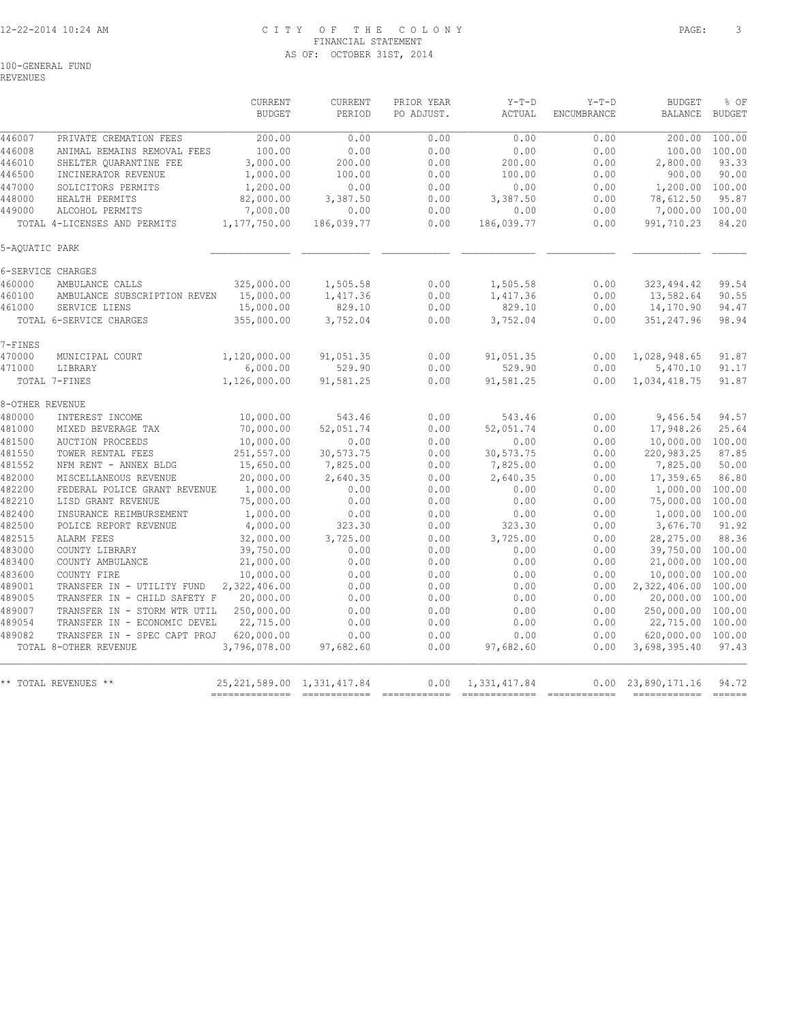#### 12-22-2014 10:24 AM C I T Y O F T H E C O L O N Y PAGE: 3 FINANCIAL STATEMENT AS OF: OCTOBER 31ST, 2014

100-GENERAL FUND

REVENUES

|                  |                                                              | <b>CURRENT</b><br><b>BUDGET</b> | <b>CURRENT</b><br>PERIOD | PRIOR YEAR<br>PO ADJUST. | $Y-T-D$<br>ACTUAL                             | $Y-T-D$<br><b>ENCUMBRANCE</b> | <b>BUDGET</b><br>BALANCE                 | % OF<br><b>BUDGET</b> |
|------------------|--------------------------------------------------------------|---------------------------------|--------------------------|--------------------------|-----------------------------------------------|-------------------------------|------------------------------------------|-----------------------|
| 446007           | PRIVATE CREMATION FEES                                       | 200.00                          | 0.00                     | 0.00                     | 0.00                                          | 0.00                          | 200.00                                   | 100.00                |
| 446008           | ANIMAL REMAINS REMOVAL FEES                                  | 100.00                          | 0.00                     | 0.00                     | 0.00                                          | 0.00                          | 100.00                                   | 100.00                |
| 446010           | SHELTER QUARANTINE FEE                                       | 3,000.00                        | 200.00                   | 0.00                     | 200.00                                        | 0.00                          | 2,800.00                                 | 93.33                 |
| 446500           | INCINERATOR REVENUE                                          | 1,000.00                        | 100.00                   | 0.00                     | 100.00                                        | 0.00                          | 900.00                                   | 90.00                 |
| 447000           | SOLICITORS PERMITS                                           | 1,200.00                        | 0.00                     | 0.00                     | 0.00                                          | 0.00                          | 1,200.00                                 | 100.00                |
| 448000           | HEALTH PERMITS                                               | 82,000.00                       | 3,387.50                 | 0.00                     | 3,387.50                                      | 0.00                          | 78,612.50                                | 95.87                 |
| 449000           | ALCOHOL PERMITS                                              | 7,000.00                        | 0.00                     | 0.00                     | 0.00                                          | 0.00                          | 7,000.00                                 | 100.00                |
|                  | TOTAL 4-LICENSES AND PERMITS                                 | 1,177,750.00                    | 186,039.77               | 0.00                     | 186,039.77                                    | 0.00                          | 991,710.23                               | 84.20                 |
| 5-AOUATIC PARK   |                                                              |                                 |                          |                          |                                               |                               |                                          |                       |
|                  | 6-SERVICE CHARGES                                            |                                 |                          |                          |                                               |                               |                                          |                       |
| 460000           | AMBULANCE CALLS                                              | 325,000.00                      | 1,505.58                 | 0.00                     | 1,505.58                                      | 0.00                          | 323, 494.42                              | 99.54                 |
| 460100           | AMBULANCE SUBSCRIPTION REVEN                                 | 15,000.00                       | 1,417.36                 | 0.00                     | 1,417.36                                      | 0.00                          | 13,582.64                                | 90.55                 |
| 461000           | SERVICE LIENS                                                | 15,000.00                       | 829.10                   | 0.00                     | 829.10                                        | 0.00                          | 14,170.90                                | 94.47                 |
|                  | TOTAL 6-SERVICE CHARGES                                      | 355,000.00                      | 3,752.04                 | 0.00                     | 3,752.04                                      | 0.00                          | 351,247.96                               | 98.94                 |
| 7-FINES          |                                                              |                                 |                          |                          |                                               |                               |                                          |                       |
| 470000           | MUNICIPAL COURT                                              | 1,120,000.00                    | 91,051.35                | 0.00                     | 91,051.35                                     | 0.00                          | 1,028,948.65                             | 91.87                 |
| 471000           | LIBRARY                                                      | 6,000.00                        | 529.90                   | 0.00                     | 529.90                                        | 0.00                          | 5,470.10                                 | 91.17                 |
|                  | TOTAL 7-FINES                                                | 1,126,000.00                    | 91,581.25                | 0.00                     | 91,581.25                                     | 0.00                          | 1,034,418.75                             | 91.87                 |
| 8-OTHER REVENUE  |                                                              |                                 |                          |                          |                                               |                               |                                          |                       |
| 480000           | INTEREST INCOME                                              | 10,000.00                       | 543.46                   | 0.00                     | 543.46                                        | 0.00                          | 9,456.54                                 | 94.57                 |
| 481000           | MIXED BEVERAGE TAX                                           | 70,000.00                       | 52,051.74                | 0.00                     | 52,051.74                                     | 0.00                          | 17,948.26                                | 25.64                 |
| 481500           | <b>AUCTION PROCEEDS</b>                                      | 10,000.00                       | 0.00                     | 0.00                     | 0.00                                          | 0.00                          | 10,000.00                                | 100.00                |
| 481550           | TOWER RENTAL FEES                                            | 251,557.00                      | 30,573.75                | 0.00                     | 30,573.75                                     | 0.00                          | 220,983.25                               | 87.85                 |
| 481552           | NFM RENT - ANNEX BLDG                                        | 15,650.00                       | 7,825.00                 | 0.00                     | 7,825.00                                      | 0.00                          | 7,825.00                                 | 50.00                 |
| 482000           | MISCELLANEOUS REVENUE                                        | 20,000.00                       | 2,640.35                 | 0.00                     | 2,640.35                                      | 0.00                          | 17,359.65                                | 86.80                 |
| 482200           | FEDERAL POLICE GRANT REVENUE                                 | 1,000.00                        | 0.00                     | 0.00                     | 0.00                                          | 0.00                          | 1,000.00                                 | 100.00                |
| 482210           | LISD GRANT REVENUE                                           | 75,000.00                       | 0.00                     | 0.00                     | 0.00                                          | 0.00                          | 75,000.00                                | 100.00                |
| 482400           | INSURANCE REIMBURSEMENT                                      | 1,000.00                        | 0.00                     | 0.00                     | 0.00                                          | 0.00                          | 1,000.00 100.00                          |                       |
| 482500           | POLICE REPORT REVENUE                                        | 4,000.00                        | 323.30                   | 0.00                     | 323.30                                        | 0.00                          | 3,676.70                                 | 91.92                 |
| 482515           | ALARM FEES                                                   | 32,000.00                       | 3,725.00                 | 0.00                     | 3,725.00                                      | 0.00                          | 28,275.00                                | 88.36                 |
| 483000           | COUNTY LIBRARY                                               | 39,750.00                       | 0.00                     | 0.00                     | 0.00                                          | 0.00                          | 39,750.00 100.00                         |                       |
| 483400           | COUNTY AMBULANCE                                             | 21,000.00                       | 0.00                     | 0.00                     | 0.00                                          | 0.00                          | 21,000.00                                | 100.00                |
| 483600           | COUNTY FIRE                                                  | 10,000.00                       | 0.00                     | 0.00                     | 0.00                                          | 0.00                          | 10,000.00                                | 100.00                |
| 489001<br>489005 | TRANSFER IN - UTILITY FUND                                   | 2,322,406.00<br>20,000.00       | 0.00<br>0.00             | 0.00<br>0.00             | 0.00<br>0.00                                  | 0.00<br>0.00                  | 2,322,406.00 100.00<br>20,000.00         | 100.00                |
|                  | TRANSFER IN - CHILD SAFETY F                                 | 250,000.00                      | 0.00                     | 0.00                     |                                               | 0.00                          | 250,000.00                               | 100.00                |
| 489007<br>489054 | TRANSFER IN - STORM WTR UTIL<br>TRANSFER IN - ECONOMIC DEVEL | 22,715.00                       | 0.00                     | 0.00                     | 0.00<br>0.00                                  | 0.00                          | 22,715.00                                | 100.00                |
| 489082           |                                                              | 620,000.00                      | 0.00                     | 0.00                     |                                               |                               | 620,000.00 100.00                        |                       |
|                  | TRANSFER IN - SPEC CAPT PROJ<br>TOTAL 8-OTHER REVENUE        | 3,796,078.00                    | 97,682.60                | 0.00                     | 0.00<br>97,682.60                             | 0.00<br>0.00                  | 3,698,395.40                             | 97.43                 |
|                  |                                                              |                                 |                          |                          |                                               |                               |                                          |                       |
|                  | ** TOTAL REVENUES **                                         | 25, 221, 589.00 1, 331, 417.84  |                          | 0.00                     | 1,331,417.84<br>============================= | 0.00                          | 23,890,171.16<br>======================= | 94.72                 |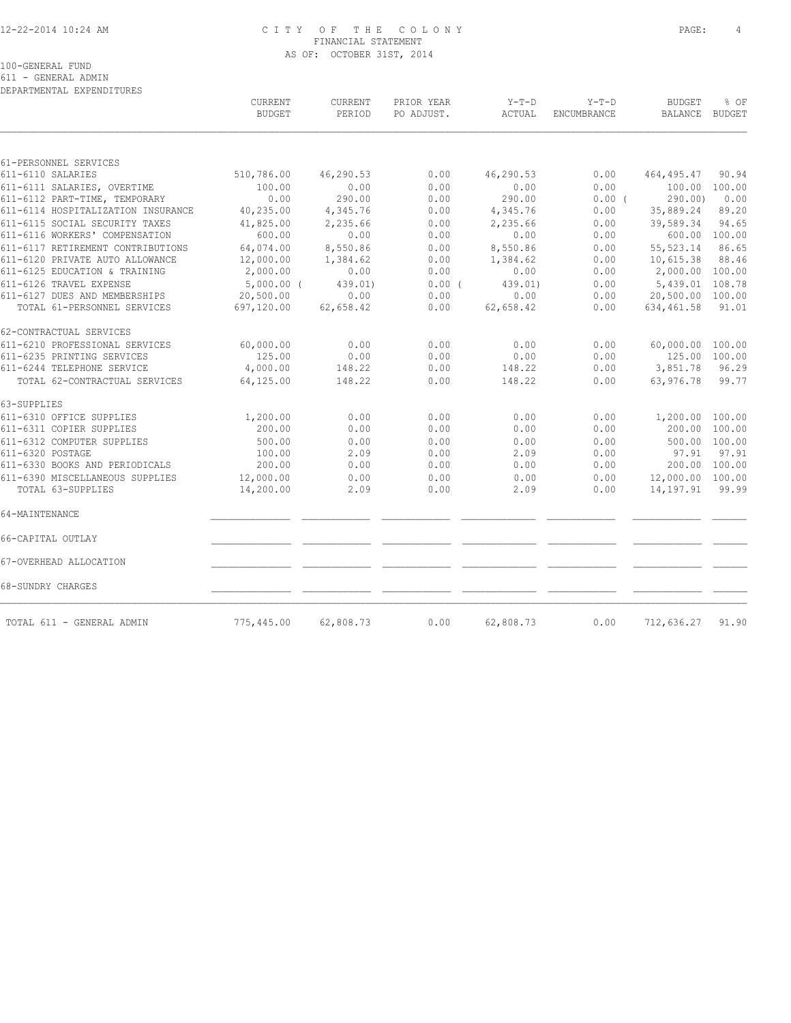#### 12-22-2014 10:24 AM C I T Y O F T H E C O L O N Y PAGE: 4 FINANCIAL STATEMENT AS OF: OCTOBER 31ST, 2014

100-GENERAL FUND

611 - GENERAL ADMIN DEPARTMENTAL EXPENDITURES

|                                    | CURRENT<br><b>BUDGET</b> | CURRENT<br>PERIOD | PRIOR YEAR<br>PO ADJUST. | $Y-T-D$<br>ACTUAL | $Y-T-D$<br>ENCUMBRANCE | <b>BUDGET</b><br><b>BALANCE</b> | % OF<br><b>BUDGET</b> |
|------------------------------------|--------------------------|-------------------|--------------------------|-------------------|------------------------|---------------------------------|-----------------------|
|                                    |                          |                   |                          |                   |                        |                                 |                       |
| 61-PERSONNEL SERVICES              |                          |                   |                          |                   |                        |                                 |                       |
| 611-6110 SALARIES                  | 510,786.00               | 46,290.53         | 0.00                     | 46,290.53         | 0.00                   | 464, 495.47                     | 90.94                 |
| 611-6111 SALARIES, OVERTIME        | 100.00                   | 0.00              | 0.00                     | 0.00              | 0.00                   | 100.00                          | 100.00                |
| 611-6112 PART-TIME, TEMPORARY      | 0.00                     | 290.00            | 0.00                     | 290.00            | 0.00(                  | 290.00                          | 0.00                  |
| 611-6114 HOSPITALIZATION INSURANCE | 40,235.00                | 4,345.76          | 0.00                     | 4,345.76          | 0.00                   | 35,889.24                       | 89.20                 |
| 611-6115 SOCIAL SECURITY TAXES     | 41,825.00                | 2,235.66          | 0.00                     | 2,235.66          | 0.00                   | 39,589.34                       | 94.65                 |
| 611-6116 WORKERS' COMPENSATION     | 600.00                   | 0.00              | 0.00                     | 0.00              | 0.00                   | 600.00                          | 100.00                |
| 611-6117 RETIREMENT CONTRIBUTIONS  | 64,074.00                | 8,550.86          | 0.00                     | 8,550.86          | 0.00                   | 55, 523.14                      | 86.65                 |
| 611-6120 PRIVATE AUTO ALLOWANCE    | 12,000.00                | 1,384.62          | 0.00                     | 1,384.62          | 0.00                   | 10,615.38                       | 88.46                 |
| 611-6125 EDUCATION & TRAINING      | 2,000.00                 | 0.00              | 0.00                     | 0.00              | 0.00                   | 2,000.00                        | 100.00                |
| 611-6126 TRAVEL EXPENSE            | $5,000.00$ (             | 439.01)           | 0.00(                    | 439.01)           | 0.00                   | 5,439.01                        | 108.78                |
| 611-6127 DUES AND MEMBERSHIPS      | 20,500.00                | 0.00              | 0.00                     | 0.00              | 0.00                   | 20,500.00 100.00                |                       |
| TOTAL 61-PERSONNEL SERVICES        | 697,120.00               | 62,658.42         | 0.00                     | 62,658.42         | 0.00                   | 634, 461.58                     | 91.01                 |
| 62-CONTRACTUAL SERVICES            |                          |                   |                          |                   |                        |                                 |                       |
| 611-6210 PROFESSIONAL SERVICES     | 60,000.00                | 0.00              | 0.00                     | 0.00              | 0.00                   | 60,000.00 100.00                |                       |
| 611-6235 PRINTING SERVICES         | 125.00                   | 0.00              | 0.00                     | 0.00              | 0.00                   | 125.00 100.00                   |                       |
| 611-6244 TELEPHONE SERVICE         | 4,000.00                 | 148.22            | 0.00                     | 148.22            | 0.00                   | 3,851.78                        | 96.29                 |
| TOTAL 62-CONTRACTUAL SERVICES      | 64,125.00                | 148.22            | 0.00                     | 148.22            | 0.00                   | 63,976.78                       | 99.77                 |
| 63-SUPPLIES                        |                          |                   |                          |                   |                        |                                 |                       |
| 611-6310 OFFICE SUPPLIES           | 1,200.00                 | 0.00              | 0.00                     | 0.00              | 0.00                   | 1,200.00 100.00                 |                       |
| 611-6311 COPIER SUPPLIES           | 200.00                   | 0.00              | 0.00                     | 0.00              | 0.00                   | 200.00                          | 100.00                |
| 611-6312 COMPUTER SUPPLIES         | 500.00                   | 0.00              | 0.00                     | 0.00              | 0.00                   |                                 | 500.00 100.00         |
| 611-6320 POSTAGE                   | 100.00                   | 2.09              | 0.00                     | 2.09              | 0.00                   | 97.91                           | 97.91                 |
| 611-6330 BOOKS AND PERIODICALS     | 200.00                   | 0.00              | 0.00                     | 0.00              | 0.00                   | 200.00 100.00                   |                       |
| 611-6390 MISCELLANEOUS SUPPLIES    | 12,000.00                | 0.00              | 0.00                     | 0.00              | 0.00                   | 12,000.00 100.00                |                       |
| TOTAL 63-SUPPLIES                  | 14,200.00                | 2.09              | 0.00                     | 2.09              | 0.00                   | 14,197.91                       | 99.99                 |
| 64-MAINTENANCE                     |                          |                   |                          |                   |                        |                                 |                       |
| 66-CAPITAL OUTLAY                  |                          |                   |                          |                   |                        |                                 |                       |
| 67-OVERHEAD ALLOCATION             |                          |                   |                          |                   |                        |                                 |                       |
| 68-SUNDRY CHARGES                  |                          |                   |                          |                   |                        |                                 |                       |
| TOTAL 611 - GENERAL ADMIN          | 775,445.00               | 62,808.73         | 0.00                     | 62,808.73         | 0.00                   | 712,636.27                      | 91.90                 |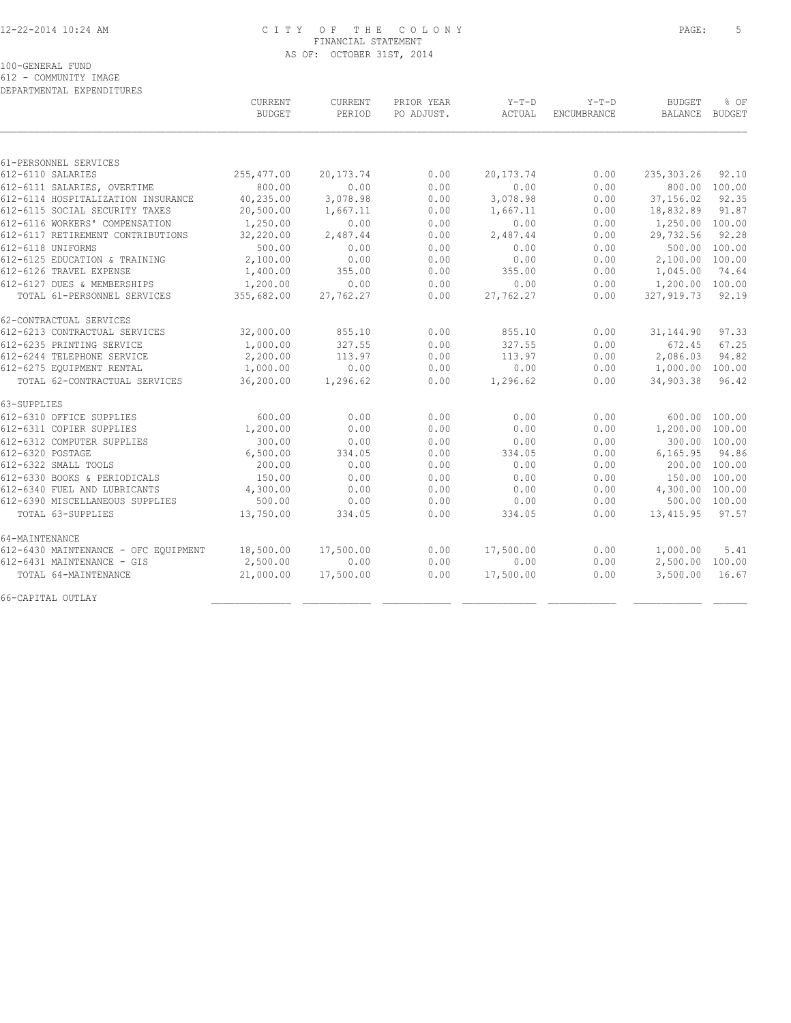#### 12-22-2014 10:24 AM C I T Y O F T H E C O L O N Y PAGE: 5 FINANCIAL STATEMENT AS OF: OCTOBER 31ST, 2014

100-GENERAL FUND

612 - COMMUNITY IMAGE

| DEPARTMENTAL EXPENDITURES            |               |             |            |           |             |                |               |
|--------------------------------------|---------------|-------------|------------|-----------|-------------|----------------|---------------|
|                                      | CURRENT       | CURRENT     | PRIOR YEAR | $Y-T-D$   | $Y-T-D$     | <b>BUDGET</b>  | % OF          |
|                                      | <b>BUDGET</b> | PERIOD      | PO ADJUST. | ACTUAL    | ENCUMBRANCE | <b>BALANCE</b> | <b>BUDGET</b> |
|                                      |               |             |            |           |             |                |               |
| 61-PERSONNEL SERVICES                |               |             |            |           |             |                |               |
| 612-6110 SALARIES                    | 255, 477.00   | 20, 173. 74 | 0.00       | 20,173.74 | 0.00        | 235,303.26     | 92.10         |
| 612-6111 SALARIES, OVERTIME          | 800.00        | 0.00        | 0.00       | 0.00      | 0.00        | 800.00         | 100.00        |
| 612-6114 HOSPITALIZATION INSURANCE   | 40,235.00     | 3,078.98    | 0.00       | 3,078.98  | 0.00        | 37,156.02      | 92.35         |
| 612-6115 SOCIAL SECURITY TAXES       | 20,500.00     | 1,667.11    | 0.00       | 1,667.11  | 0.00        | 18,832.89      | 91.87         |
| 612-6116 WORKERS' COMPENSATION       | 1,250.00      | 0.00        | 0.00       | 0.00      | 0.00        | 1,250.00       | 100.00        |
| 612-6117 RETIREMENT CONTRIBUTIONS    | 32,220.00     | 2,487.44    | 0.00       | 2,487.44  | 0.00        | 29,732.56      | 92.28         |
| 612-6118 UNIFORMS                    | 500.00        | 0.00        | 0.00       | 0.00      | 0.00        | 500.00         | 100.00        |
| 612-6125 EDUCATION & TRAINING        | 2,100.00      | 0.00        | 0.00       | 0.00      | 0.00        | 2,100.00       | 100.00        |
| 612-6126 TRAVEL EXPENSE              | 1,400.00      | 355.00      | 0.00       | 355.00    | 0.00        | 1,045.00       | 74.64         |
| 612-6127 DUES & MEMBERSHIPS          | 1,200.00      | 0.00        | 0.00       | 0.00      | 0.00        | 1,200.00       | 100.00        |
| TOTAL 61-PERSONNEL SERVICES          | 355,682.00    | 27,762.27   | 0.00       | 27,762.27 | 0.00        | 327, 919.73    | 92.19         |
| 62-CONTRACTUAL SERVICES              |               |             |            |           |             |                |               |
| 612-6213 CONTRACTUAL SERVICES        | 32,000.00     | 855.10      | 0.00       | 855.10    | 0.00        | 31, 144.90     | 97.33         |
| 612-6235 PRINTING SERVICE            | 1,000.00      | 327.55      | 0.00       | 327.55    | 0.00        | 672.45         | 67.25         |
| 612-6244 TELEPHONE SERVICE           | 2,200.00      | 113.97      | 0.00       | 113.97    | 0.00        | 2,086.03       | 94.82         |
| 612-6275 EOUIPMENT RENTAL            | 1,000.00      | 0.00        | 0.00       | 0.00      | 0.00        | 1,000.00       | 100.00        |
| TOTAL 62-CONTRACTUAL SERVICES        | 36,200.00     | 1,296.62    | 0.00       | 1,296.62  | 0.00        | 34,903.38      | 96.42         |
| 63-SUPPLIES                          |               |             |            |           |             |                |               |
| 612-6310 OFFICE SUPPLIES             | 600.00        | 0.00        | 0.00       | 0.00      | 0.00        | 600.00         | 100.00        |
| 612-6311 COPIER SUPPLIES             | 1,200.00      | 0.00        | 0.00       | 0.00      | 0.00        | 1,200.00       | 100.00        |
| 612-6312 COMPUTER SUPPLIES           | 300.00        | 0.00        | 0.00       | 0.00      | 0.00        |                | 300.00 100.00 |
| 612-6320 POSTAGE                     | 6,500.00      | 334.05      | 0.00       | 334.05    | 0.00        | 6,165.95       | 94.86         |
| 612-6322 SMALL TOOLS                 | 200.00        | 0.00        | 0.00       | 0.00      | 0.00        | 200.00         | 100.00        |
| 612-6330 BOOKS & PERIODICALS         | 150.00        | 0.00        | 0.00       | 0.00      | 0.00        | 150.00         | 100.00        |
| 612-6340 FUEL AND LUBRICANTS         | 4,300.00      | 0.00        | 0.00       | 0.00      | 0.00        | 4,300.00       | 100.00        |
| 612-6390 MISCELLANEOUS SUPPLIES      | 500.00        | 0.00        | 0.00       | 0.00      | 0.00        | 500.00 100.00  |               |
| TOTAL 63-SUPPLIES                    | 13,750.00     | 334.05      | 0.00       | 334.05    | 0.00        | 13, 415.95     | 97.57         |
| 64-MAINTENANCE                       |               |             |            |           |             |                |               |
| 612-6430 MAINTENANCE - OFC EQUIPMENT | 18,500.00     | 17,500.00   | 0.00       | 17,500.00 | 0.00        | 1,000.00       | 5.41          |
| 612-6431 MAINTENANCE - GIS           | 2,500.00      | 0.00        | 0.00       | 0.00      | 0.00        | 2,500.00       | 100.00        |
| TOTAL 64-MAINTENANCE                 | 21,000.00     | 17,500.00   | 0.00       | 17,500.00 | 0.00        | 3,500.00       | 16.67         |
| 66-CAPITAL OUTLAY                    |               |             |            |           |             |                |               |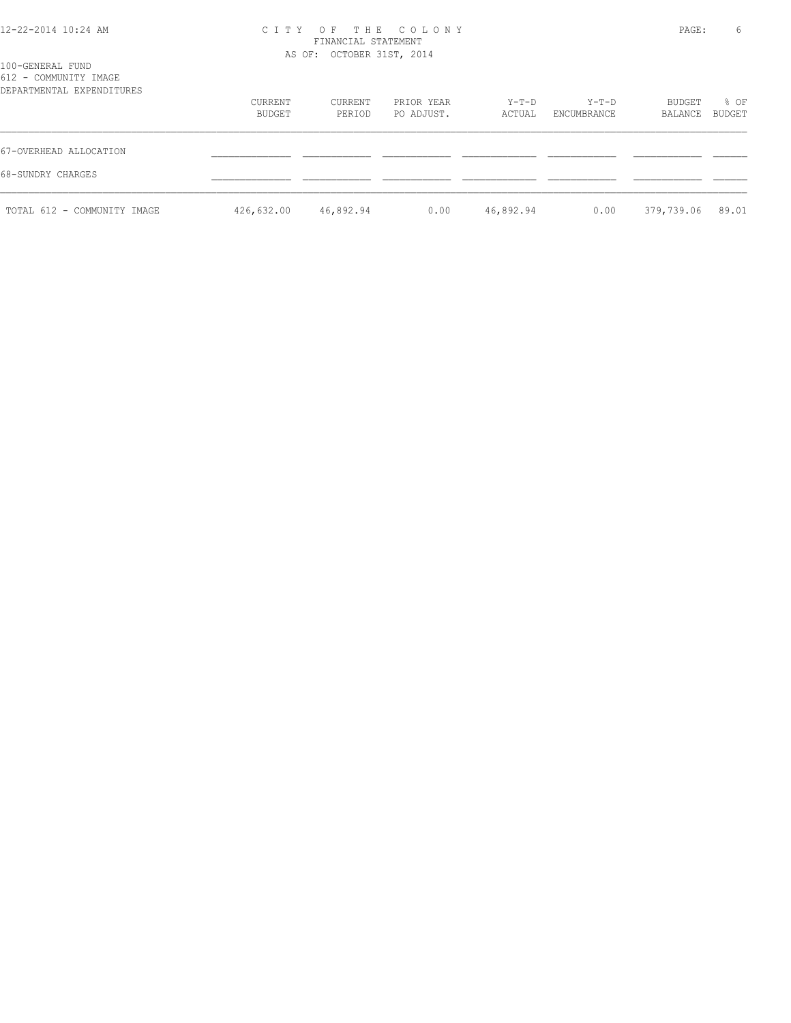100-GENERAL FUND 612 - COMMUNITY IMAGE

# 12-22-2014 10:24 AM C I T Y O F T H E C O L O N Y PAGE: 6

| DEPARTMENTAL EXPENDITURES                   | CURRENT<br>BUDGET | CURRENT<br>PERIOD | PRIOR YEAR<br>PO ADJUST. | Y-T-D<br>ACTUAL | Y-T-D<br>ENCUMBRANCE | BUDGET<br>BALANCE | % OF<br>BUDGET |
|---------------------------------------------|-------------------|-------------------|--------------------------|-----------------|----------------------|-------------------|----------------|
| 67-OVERHEAD ALLOCATION<br>68-SUNDRY CHARGES |                   |                   |                          |                 |                      |                   |                |
| TOTAL 612 - COMMUNITY IMAGE                 | 426,632.00        | 46,892.94         | 0.00                     | 46,892.94       | 0.00                 | 379,739.06 89.01  |                |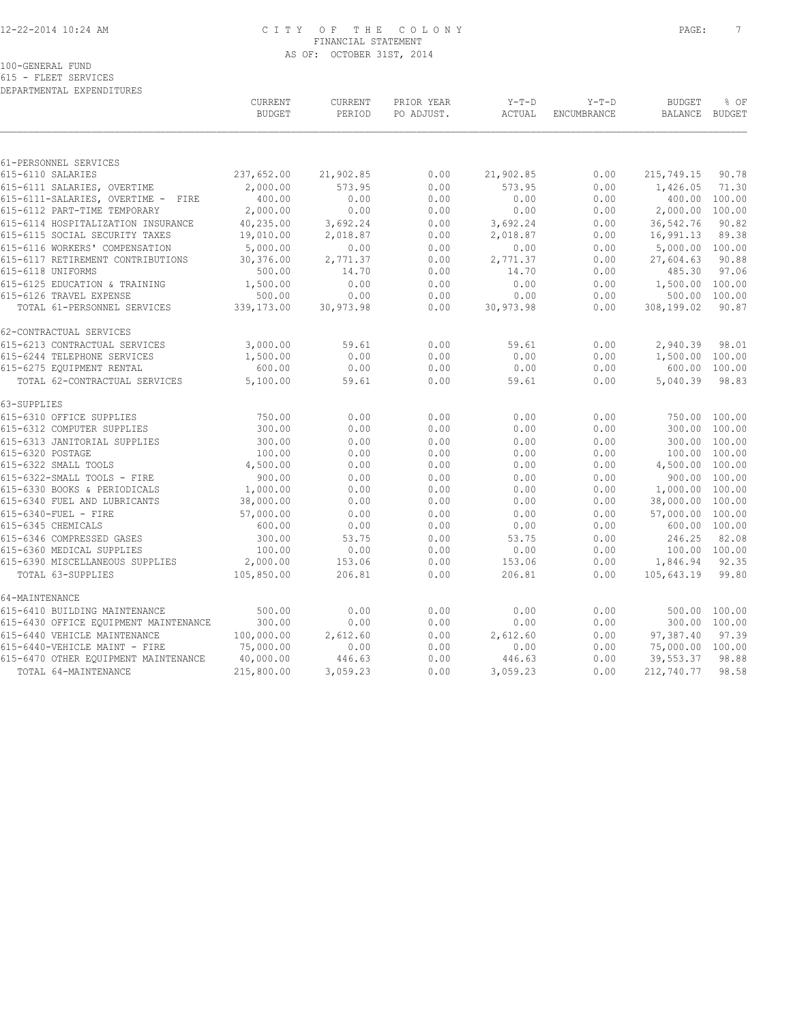#### 12-22-2014 10:24 AM C I T Y O F T H E C O L O N Y PAGE: 7 FINANCIAL STATEMENT AS OF: OCTOBER 31ST, 2014

100-GENERAL FUND

615 - FLEET SERVICES DEPARTMENTAL EXPENDITURES

|                                       | CURRENT<br><b>BUDGET</b> | CURRENT<br>PERIOD | PRIOR YEAR<br>PO ADJUST. | $Y-T-D$<br>ACTUAL | $Y-T-D$<br>ENCUMBRANCE | <b>BUDGET</b><br><b>BALANCE</b> | % OF<br><b>BUDGET</b> |
|---------------------------------------|--------------------------|-------------------|--------------------------|-------------------|------------------------|---------------------------------|-----------------------|
|                                       |                          |                   |                          |                   |                        |                                 |                       |
| 61-PERSONNEL SERVICES                 |                          |                   |                          |                   |                        |                                 |                       |
| 615-6110 SALARIES                     | 237,652.00               | 21,902.85         | 0.00                     | 21,902.85         | 0.00                   | 215,749.15                      | 90.78                 |
| 615-6111 SALARIES, OVERTIME           | 2,000.00                 | 573.95            | 0.00                     | 573.95            | 0.00                   | 1,426.05                        | 71.30                 |
| 615-6111-SALARIES, OVERTIME - FIRE    | 400.00                   | 0.00              | 0.00                     | 0.00              | 0.00                   |                                 | 400.00 100.00         |
| 615-6112 PART-TIME TEMPORARY          | 2,000.00                 | 0.00              | 0.00                     | 0.00              | 0.00                   | 2,000.00                        | 100.00                |
| 615-6114 HOSPITALIZATION INSURANCE    | 40,235.00                | 3,692.24          | 0.00                     | 3,692.24          | 0.00                   | 36, 542.76                      | 90.82                 |
| 615-6115 SOCIAL SECURITY TAXES        | 19,010.00                | 2,018.87          | 0.00                     | 2,018.87          | 0.00                   | 16,991.13                       | 89.38                 |
| 615-6116 WORKERS' COMPENSATION        | 5,000.00                 | 0.00              | 0.00                     | 0.00              | 0.00                   | 5,000.00 100.00                 |                       |
| 615-6117 RETIREMENT CONTRIBUTIONS     | 30,376.00                | 2,771.37          | 0.00                     | 2,771.37          | 0.00                   | 27,604.63                       | 90.88                 |
| 615-6118 UNIFORMS                     | 500.00                   | 14.70             | 0.00                     | 14.70             | 0.00                   | 485.30                          | 97.06                 |
| 615-6125 EDUCATION & TRAINING         | 1,500.00                 | 0.00              | 0.00                     | 0.00              | 0.00                   | 1,500.00 100.00                 |                       |
| 615-6126 TRAVEL EXPENSE               | 500.00                   | 0.00              | 0.00                     | 0.00              | 0.00                   | 500.00                          | 100.00                |
| TOTAL 61-PERSONNEL SERVICES           | 339,173.00               | 30,973.98         | 0.00                     | 30,973.98         | 0.00                   | 308,199.02                      | 90.87                 |
| 62-CONTRACTUAL SERVICES               |                          |                   |                          |                   |                        |                                 |                       |
| 615-6213 CONTRACTUAL SERVICES         | 3,000.00                 | 59.61             | 0.00                     | 59.61             | 0.00                   | 2,940.39                        | 98.01                 |
| 615-6244 TELEPHONE SERVICES           | 1,500.00                 | 0.00              | 0.00                     | 0.00              | 0.00                   | 1,500.00 100.00                 |                       |
| 615-6275 EQUIPMENT RENTAL             | 600.00                   | 0.00              | 0.00                     | 0.00              | 0.00                   |                                 | 600.00 100.00         |
| TOTAL 62-CONTRACTUAL SERVICES         | 5,100.00                 | 59.61             | 0.00                     | 59.61             | 0.00                   | 5,040.39                        | 98.83                 |
| 63-SUPPLIES                           |                          |                   |                          |                   |                        |                                 |                       |
| 615-6310 OFFICE SUPPLIES              | 750.00                   | 0.00              | 0.00                     | 0.00              | 0.00                   |                                 | 750.00 100.00         |
| 615-6312 COMPUTER SUPPLIES            | 300.00                   | 0.00              | 0.00                     | 0.00              | 0.00                   |                                 | 300.00 100.00         |
| 615-6313 JANITORIAL SUPPLIES          | 300.00                   | 0.00              | 0.00                     | 0.00              | 0.00                   |                                 | 300.00 100.00         |
| 615-6320 POSTAGE                      | 100.00                   | 0.00              | 0.00                     | 0.00              | 0.00                   |                                 | 100.00 100.00         |
| 615-6322 SMALL TOOLS                  | 4,500.00                 | 0.00              | 0.00                     | 0.00              | 0.00                   | 4,500.00 100.00                 |                       |
| 615-6322-SMALL TOOLS - FIRE           | 900.00                   | 0.00              | 0.00                     | 0.00              | 0.00                   |                                 | 900.00 100.00         |
| 615-6330 BOOKS & PERIODICALS          | 1,000.00                 | 0.00              | 0.00                     | 0.00              | 0.00                   | 1,000.00 100.00                 |                       |
| 615-6340 FUEL AND LUBRICANTS          | 38,000.00                | 0.00              | 0.00                     | 0.00              | 0.00                   | 38,000.00 100.00                |                       |
| 615-6340-FUEL - FIRE                  | 57,000.00                | 0.00              | 0.00                     | 0.00              | 0.00                   | 57,000.00 100.00                |                       |
| 615-6345 CHEMICALS                    | 600.00                   | 0.00              | 0.00                     | 0.00              | 0.00                   |                                 | 600.00 100.00         |
| 615-6346 COMPRESSED GASES             | 300.00                   | 53.75             | 0.00                     | 53.75             | 0.00                   | 246.25                          | 82.08                 |
| 615-6360 MEDICAL SUPPLIES             | 100.00                   | 0.00              | 0.00                     | 0.00              | 0.00                   | 100.00 100.00                   |                       |
| 615-6390 MISCELLANEOUS SUPPLIES       | 2,000.00                 | 153.06            | 0.00                     | 153.06            | 0.00                   | 1,846.94                        | 92.35                 |
| TOTAL 63-SUPPLIES                     | 105,850.00               | 206.81            | 0.00                     | 206.81            | 0.00                   | 105,643.19                      | 99.80                 |
| 64-MAINTENANCE                        |                          |                   |                          |                   |                        |                                 |                       |
| 615-6410 BUILDING MAINTENANCE         | 500.00                   | 0.00              | 0.00                     | 0.00              | 0.00                   | 500.00                          | 100.00                |
| 615-6430 OFFICE EQUIPMENT MAINTENANCE | 300.00                   | 0.00              | 0.00                     | 0.00              | 0.00                   |                                 | 300.00 100.00         |
| 615-6440 VEHICLE MAINTENANCE          | 100,000.00               | 2,612.60          | 0.00                     | 2,612.60          | 0.00                   | 97,387.40                       | 97.39                 |
| 615-6440-VEHICLE MAINT - FIRE         | 75,000.00                | 0.00              | 0.00                     | 0.00              | 0.00                   | 75,000.00 100.00                |                       |
| 615-6470 OTHER EQUIPMENT MAINTENANCE  | 40,000.00                | 446.63            | 0.00                     | 446.63            | 0.00                   | 39,553.37                       | 98.88                 |
| TOTAL 64-MAINTENANCE                  | 215,800.00               | 3,059.23          | 0.00                     | 3,059.23          | 0.00                   | 212,740.77                      | 98.58                 |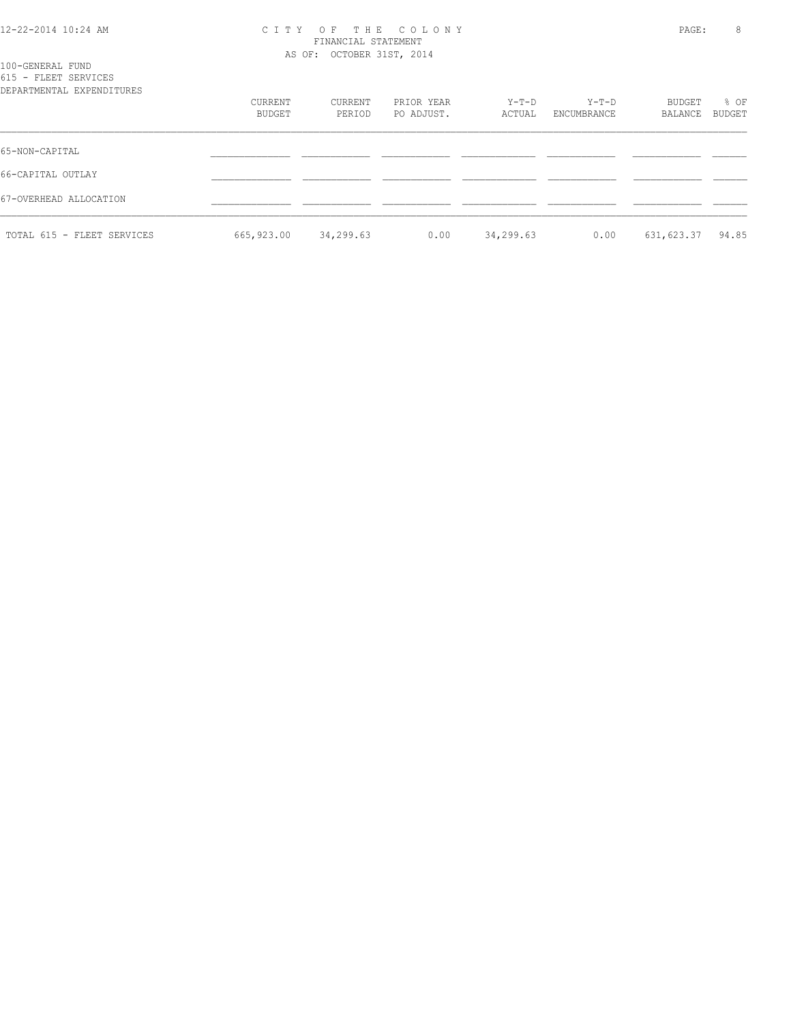#### 12-22-2014 10:24 AM C I T Y O F T H E C O L O N Y PAGE: 8 FINANCIAL STATEMENT AS OF: OCTOBER 31ST, 2014

| 100-GENERAL FUND<br>615 - FLEET SERVICES<br>DEPARTMENTAL EXPENDITURES |                   |                   |                          |                 |                        |                   |                |
|-----------------------------------------------------------------------|-------------------|-------------------|--------------------------|-----------------|------------------------|-------------------|----------------|
|                                                                       | CURRENT<br>BUDGET | CURRENT<br>PERIOD | PRIOR YEAR<br>PO ADJUST. | Y-T-D<br>ACTUAL | $Y-T-D$<br>ENCUMBRANCE | BUDGET<br>BALANCE | % OF<br>BUDGET |
| 65-NON-CAPITAL                                                        |                   |                   |                          |                 |                        |                   |                |
| 66-CAPITAL OUTLAY                                                     |                   |                   |                          |                 |                        |                   |                |
| 67-OVERHEAD ALLOCATION                                                |                   |                   |                          |                 |                        |                   |                |
| TOTAL 615 - FLEET SERVICES                                            | 665,923.00        | 34,299.63         | 0.00                     | 34,299.63       | 0.00                   | 631, 623.37       | 94.85          |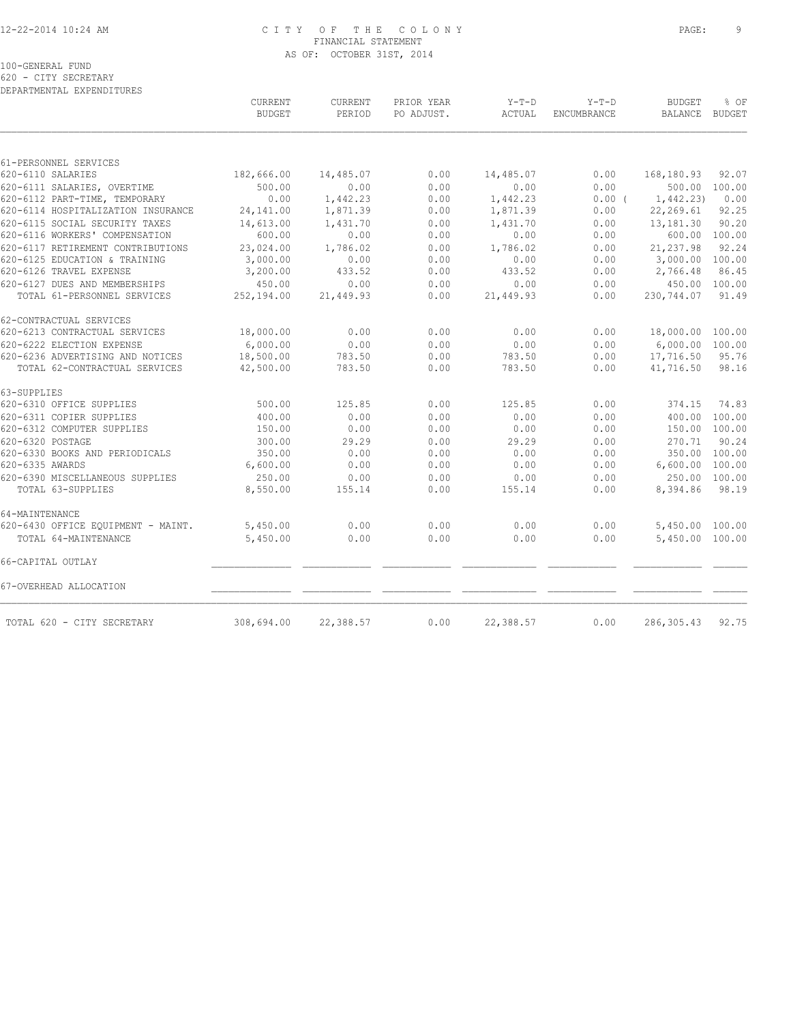#### 12-22-2014 10:24 AM C I T Y O F T H E C O L O N Y PAGE: 9 FINANCIAL STATEMENT AS OF: OCTOBER 31ST, 2014

620 - CITY SECRETARY DEPARTMENTAL EXPENDITURES

|                                    | <b>CURRENT</b><br><b>BUDGET</b> | CURRENT<br>PERIOD | PRIOR YEAR<br>PO ADJUST. | $Y-T-D$<br>ACTUAL | $Y-T-D$<br>ENCUMBRANCE | <b>BUDGET</b><br><b>BALANCE</b> | % OF<br><b>BUDGET</b> |
|------------------------------------|---------------------------------|-------------------|--------------------------|-------------------|------------------------|---------------------------------|-----------------------|
|                                    |                                 |                   |                          |                   |                        |                                 |                       |
| 61-PERSONNEL SERVICES              |                                 |                   |                          |                   |                        |                                 |                       |
| 620-6110 SALARIES                  | 182,666.00                      | 14,485.07         | 0.00                     | 14,485.07         | 0.00                   | 168,180.93                      | 92.07                 |
| 620-6111 SALARIES, OVERTIME        | 500.00                          | 0.00              | 0.00                     | 0.00              | 0.00                   |                                 | 500.00 100.00         |
| 620-6112 PART-TIME, TEMPORARY      | 0.00                            | 1,442.23          | 0.00                     | 1,442.23          | 0.00(                  | 1,442.23)                       | 0.00                  |
| 620-6114 HOSPITALIZATION INSURANCE | 24, 141.00                      | 1,871.39          | 0.00                     | 1,871.39          | 0.00                   | 22,269.61                       | 92.25                 |
| 620-6115 SOCIAL SECURITY TAXES     | 14,613.00                       | 1,431.70          | 0.00                     | 1,431.70          | 0.00                   | 13,181.30                       | 90.20                 |
| 620-6116 WORKERS' COMPENSATION     | 600.00                          | 0.00              | 0.00                     | 0.00              | 0.00                   |                                 | 600.00 100.00         |
| 620-6117 RETIREMENT CONTRIBUTIONS  | 23,024.00                       | 1,786.02          | 0.00                     | 1,786.02          | 0.00                   | 21, 237.98                      | 92.24                 |
| 620-6125 EDUCATION & TRAINING      | 3,000.00                        | 0.00              | 0.00                     | 0.00              | 0.00                   | 3,000.00                        | 100.00                |
| 620-6126 TRAVEL EXPENSE            | 3,200.00                        | 433.52            | 0.00                     | 433.52            | 0.00                   | 2,766.48                        | 86.45                 |
| 620-6127 DUES AND MEMBERSHIPS      | 450.00                          | 0.00              | 0.00                     | 0.00              | 0.00                   |                                 | 450.00 100.00         |
| TOTAL 61-PERSONNEL SERVICES        | 252,194.00                      | 21,449.93         | 0.00                     | 21,449.93         | 0.00                   | 230,744.07                      | 91.49                 |
| 62-CONTRACTUAL SERVICES            |                                 |                   |                          |                   |                        |                                 |                       |
| 620-6213 CONTRACTUAL SERVICES      | 18,000.00                       | 0.00              | 0.00                     | 0.00              | 0.00                   | 18,000.00 100.00                |                       |
| 620-6222 ELECTION EXPENSE          | 6.000.00                        | 0.00              | 0.00                     | 0.00              | 0.00                   | 6,000.00 100.00                 |                       |
| 620-6236 ADVERTISING AND NOTICES   | 18,500.00                       | 783.50            | 0.00                     | 783.50            | 0.00                   | 17,716.50                       | 95.76                 |
| TOTAL 62-CONTRACTUAL SERVICES      | 42,500.00                       | 783.50            | 0.00                     | 783.50            | 0.00                   | 41,716.50                       | 98.16                 |
| 63-SUPPLIES                        |                                 |                   |                          |                   |                        |                                 |                       |
| 620-6310 OFFICE SUPPLIES           | 500.00                          | 125.85            | 0.00                     | 125.85            | 0.00                   | 374.15                          | 74.83                 |
| 620-6311 COPIER SUPPLIES           | 400.00                          | 0.00              | 0.00                     | 0.00              | 0.00                   | 400.00                          | 100.00                |
| 620-6312 COMPUTER SUPPLIES         | 150.00                          | 0.00              | 0.00                     | 0.00              | 0.00                   |                                 | 150.00 100.00         |
| 620-6320 POSTAGE                   | 300.00                          | 29.29             | 0.00                     | 29.29             | 0.00                   | 270.71                          | 90.24                 |
| 620-6330 BOOKS AND PERIODICALS     | 350.00                          | 0.00              | 0.00                     | 0.00              | 0.00                   | 350.00                          | 100.00                |
| 620-6335 AWARDS                    | 6,600.00                        | 0.00              | 0.00                     | 0.00              | 0.00                   | 6,600.00 100.00                 |                       |
| 620-6390 MISCELLANEOUS SUPPLIES    | 250.00                          | 0.00              | 0.00                     | 0.00              | 0.00                   |                                 | 250.00 100.00         |
| TOTAL 63-SUPPLIES                  | 8,550.00                        | 155.14            | 0.00                     | 155.14            | 0.00                   | 8,394.86                        | 98.19                 |
| 64-MAINTENANCE                     |                                 |                   |                          |                   |                        |                                 |                       |
| 620-6430 OFFICE EQUIPMENT - MAINT. | 5,450.00                        | 0.00              | 0.00                     | 0.00              | 0.00                   | 5,450.00 100.00                 |                       |
| TOTAL 64-MAINTENANCE               | 5,450.00                        | 0.00              | 0.00                     | 0.00              | 0.00                   | 5,450.00 100.00                 |                       |
| 66-CAPITAL OUTLAY                  |                                 |                   |                          |                   |                        |                                 |                       |
| 67-OVERHEAD ALLOCATION             |                                 |                   |                          |                   |                        |                                 |                       |
| TOTAL 620 - CITY SECRETARY         | 308,694.00                      | 22,388.57         | 0.00                     | 22,388.57         | 0.00                   | 286,305.43                      | 92.75                 |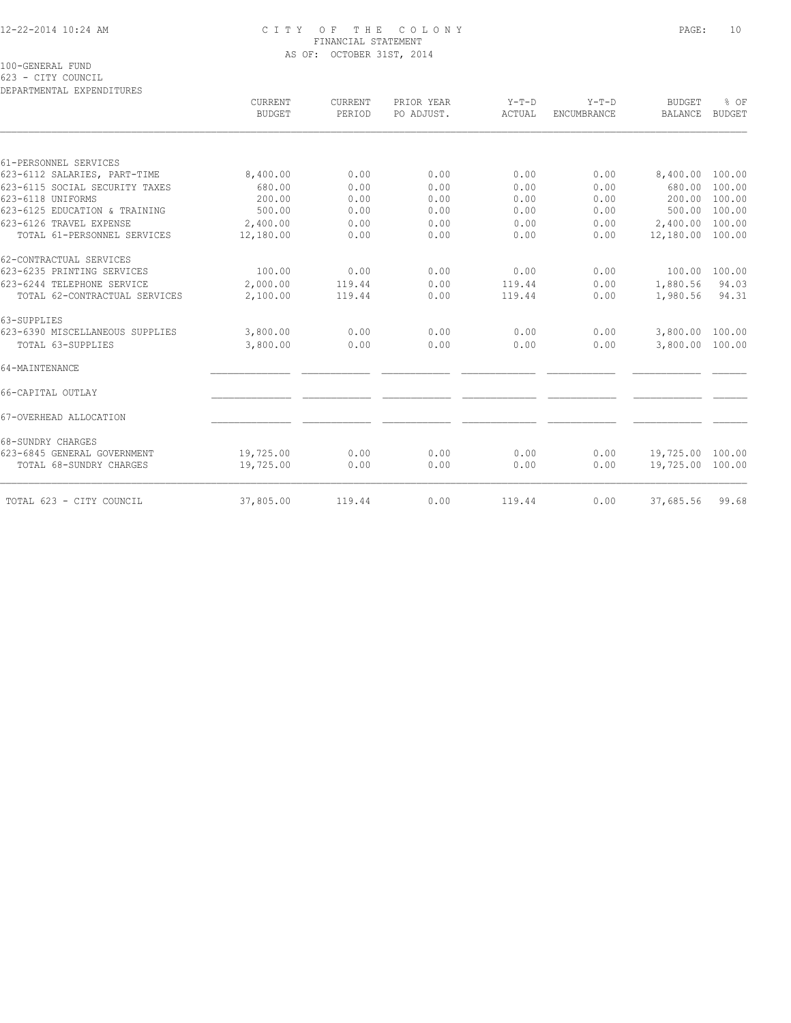#### 12-22-2014 10:24 AM C I T Y O F T H E C O L O N Y PAGE: 10 FINANCIAL STATEMENT AS OF: OCTOBER 31ST, 2014

100-GENERAL FUND

623 - CITY COUNCIL

| DEPARTMENTAL EXPENDITURES       |                                 |                   |                          |                   |                               |                                 |                       |
|---------------------------------|---------------------------------|-------------------|--------------------------|-------------------|-------------------------------|---------------------------------|-----------------------|
|                                 | <b>CURRENT</b><br><b>BUDGET</b> | CURRENT<br>PERIOD | PRIOR YEAR<br>PO ADJUST. | $Y-T-D$<br>ACTUAL | $Y-T-D$<br><b>ENCUMBRANCE</b> | <b>BUDGET</b><br><b>BALANCE</b> | % OF<br><b>BUDGET</b> |
|                                 |                                 |                   |                          |                   |                               |                                 |                       |
| 61-PERSONNEL SERVICES           |                                 |                   |                          |                   |                               |                                 |                       |
| 623-6112 SALARIES, PART-TIME    | 8,400.00                        | 0.00              | 0.00                     | 0.00              | 0.00                          | 8,400.00 100.00                 |                       |
| 623-6115 SOCIAL SECURITY TAXES  | 680.00                          | 0.00              | 0.00                     | 0.00              | 0.00                          | 680.00                          | 100.00                |
| 623-6118 UNIFORMS               | 200.00                          | 0.00              | 0.00                     | 0.00              | 0.00                          | 200.00                          | 100.00                |
| 623-6125 EDUCATION & TRAINING   | 500.00                          | 0.00              | 0.00                     | 0.00              | 0.00                          | 500.00                          | 100.00                |
| 623-6126 TRAVEL EXPENSE         | 2,400.00                        | 0.00              | 0.00                     | 0.00              | 0.00                          | 2,400.00                        | 100.00                |
| TOTAL 61-PERSONNEL SERVICES     | 12,180.00                       | 0.00              | 0.00                     | 0.00              | 0.00                          | 12,180.00 100.00                |                       |
| 62-CONTRACTUAL SERVICES         |                                 |                   |                          |                   |                               |                                 |                       |
| 623-6235 PRINTING SERVICES      | 100.00                          | 0.00              | 0.00                     | 0.00              | 0.00                          | 100.00                          | 100.00                |
| 623-6244 TELEPHONE SERVICE      | 2,000.00                        | 119.44            | 0.00                     | 119.44            | 0.00                          | 1,880.56                        | 94.03                 |
| TOTAL 62-CONTRACTUAL SERVICES   | 2,100.00                        | 119.44            | 0.00                     | 119.44            | 0.00                          | 1,980.56                        | 94.31                 |
| 63-SUPPLIES                     |                                 |                   |                          |                   |                               |                                 |                       |
| 623-6390 MISCELLANEOUS SUPPLIES | 3,800.00                        | 0.00              | 0.00                     | 0.00              | 0.00                          | 3,800.00 100.00                 |                       |
| TOTAL 63-SUPPLIES               | 3,800.00                        | 0.00              | 0.00                     | 0.00              | 0.00                          | 3,800.00 100.00                 |                       |
| 64-MAINTENANCE                  |                                 |                   |                          |                   |                               |                                 |                       |
| 66-CAPITAL OUTLAY               |                                 |                   |                          |                   |                               |                                 |                       |
| 67-OVERHEAD ALLOCATION          |                                 |                   |                          |                   |                               |                                 |                       |
| 68-SUNDRY CHARGES               |                                 |                   |                          |                   |                               |                                 |                       |
| 623-6845 GENERAL GOVERNMENT     | 19,725.00                       | 0.00              | 0.00                     | 0.00              | 0.00                          | 19,725.00 100.00                |                       |
| TOTAL 68-SUNDRY CHARGES         | 19,725.00                       | 0.00              | 0.00                     | 0.00              | 0.00                          | 19,725.00 100.00                |                       |
| TOTAL 623 - CITY COUNCIL        | 37,805.00                       | 119.44            | 0.00                     | 119.44            | 0.00                          | 37,685.56                       | 99.68                 |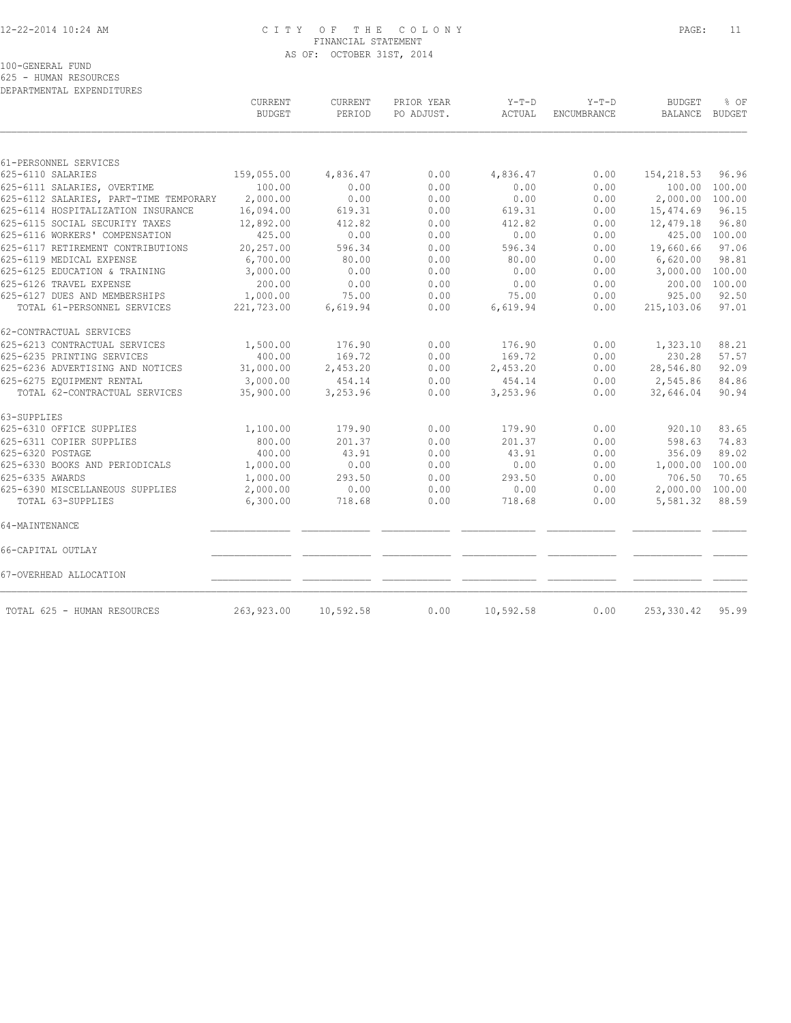#### 12-22-2014 10:24 AM C I T Y O F T H E C O L O N Y PAGE: 11 FINANCIAL STATEMENT AS OF: OCTOBER 31ST, 2014

100-GENERAL FUND

625 - HUMAN RESOURCES DEPARTMENTAL EXPENDITURES

|                                        | CURRENT<br><b>BUDGET</b> | CURRENT<br>PERIOD | PRIOR YEAR<br>PO ADJUST. | $Y-T-D$<br>ACTUAL | $Y-T-D$<br>ENCUMBRANCE | <b>BUDGET</b><br><b>BALANCE</b> | % OF<br><b>BUDGET</b> |
|----------------------------------------|--------------------------|-------------------|--------------------------|-------------------|------------------------|---------------------------------|-----------------------|
|                                        |                          |                   |                          |                   |                        |                                 |                       |
| 61-PERSONNEL SERVICES                  |                          |                   |                          |                   |                        |                                 |                       |
| 625-6110 SALARIES                      | 159,055.00               | 4,836.47          | 0.00                     | 4,836.47          | 0.00                   | 154,218.53                      | 96.96                 |
| 625-6111 SALARIES, OVERTIME            | 100.00                   | 0.00              | 0.00                     | 0.00              | 0.00                   | 100.00 100.00                   |                       |
| 625-6112 SALARIES, PART-TIME TEMPORARY | 2,000.00                 | 0.00              | 0.00                     | 0.00              | 0.00                   | 2,000.00 100.00                 |                       |
| 625-6114 HOSPITALIZATION INSURANCE     | 16,094.00                | 619.31            | 0.00                     | 619.31            | 0.00                   | 15,474.69                       | 96.15                 |
| 625-6115 SOCIAL SECURITY TAXES         | 12,892.00                | 412.82            | 0.00                     | 412.82            | 0.00                   | 12,479.18                       | 96.80                 |
| 625-6116 WORKERS' COMPENSATION         | 425.00                   | 0.00              | 0.00                     | 0.00              | 0.00                   |                                 | 425.00 100.00         |
| 625-6117 RETIREMENT CONTRIBUTIONS      | 20,257.00                | 596.34            | 0.00                     | 596.34            | 0.00                   | 19,660.66                       | 97.06                 |
| 625-6119 MEDICAL EXPENSE               | 6,700.00                 | 80.00             | 0.00                     | 80.00             | 0.00                   | 6,620.00                        | 98.81                 |
| 625-6125 EDUCATION & TRAINING          | 3,000.00                 | 0.00              | 0.00                     | 0.00              | 0.00                   | 3,000.00 100.00                 |                       |
| 625-6126 TRAVEL EXPENSE                | 200.00                   | 0.00              | 0.00                     | 0.00              | 0.00                   | 200.00                          | 100.00                |
| 625-6127 DUES AND MEMBERSHIPS          | 1,000.00                 | 75.00             | 0.00                     | 75.00             | 0.00                   | 925.00                          | 92.50                 |
| TOTAL 61-PERSONNEL SERVICES            | 221,723.00               | 6,619.94          | 0.00                     | 6,619.94          | 0.00                   | 215,103.06                      | 97.01                 |
| 62-CONTRACTUAL SERVICES                |                          |                   |                          |                   |                        |                                 |                       |
| 625-6213 CONTRACTUAL SERVICES          | 1,500.00                 | 176.90            | 0.00                     | 176.90            | 0.00                   | 1,323.10                        | 88.21                 |
| 625-6235 PRINTING SERVICES             | 400.00                   | 169.72            | 0.00                     | 169.72            | 0.00                   | 230.28                          | 57.57                 |
| 625-6236 ADVERTISING AND NOTICES       | 31,000.00                | 2,453.20          | 0.00                     | 2,453.20          | 0.00                   | 28,546.80                       | 92.09                 |
| 625-6275 EQUIPMENT RENTAL              | 3,000.00                 | 454.14            | 0.00                     | 454.14            | 0.00                   | 2,545.86                        | 84.86                 |
| TOTAL 62-CONTRACTUAL SERVICES          | 35,900.00                | 3,253.96          | 0.00                     | 3,253.96          | 0.00                   | 32,646.04                       | 90.94                 |
| 63-SUPPLIES                            |                          |                   |                          |                   |                        |                                 |                       |
| 625-6310 OFFICE SUPPLIES               | 1,100.00                 | 179.90            | 0.00                     | 179.90            | 0.00                   | 920.10                          | 83.65                 |
| 625-6311 COPIER SUPPLIES               | 800.00                   | 201.37            | 0.00                     | 201.37            | 0.00                   | 598.63                          | 74.83                 |
| 625-6320 POSTAGE                       | 400.00                   | 43.91             | 0.00                     | 43.91             | 0.00                   | 356.09                          | 89.02                 |
| 625-6330 BOOKS AND PERIODICALS         | 1,000.00                 | 0.00              | 0.00                     | 0.00              | 0.00                   | 1,000.00                        | 100.00                |
| 625-6335 AWARDS                        | 1,000.00                 | 293.50            | 0.00                     | 293.50            | 0.00                   | 706.50                          | 70.65                 |
| 625-6390 MISCELLANEOUS SUPPLIES        | 2,000.00                 | 0.00              | 0.00                     | 0.00              | 0.00                   | 2,000.00 100.00                 |                       |
| TOTAL 63-SUPPLIES                      | 6,300.00                 | 718.68            | 0.00                     | 718.68            | 0.00                   | 5,581.32                        | 88.59                 |
| 64-MAINTENANCE                         |                          |                   |                          |                   |                        |                                 |                       |
| 66-CAPITAL OUTLAY                      |                          |                   |                          |                   |                        |                                 |                       |
| 67-OVERHEAD ALLOCATION                 |                          |                   |                          |                   |                        |                                 |                       |
| TOTAL 625 - HUMAN RESOURCES            | 263,923.00               | 10,592.58         | 0.00                     | 10,592.58         | 0.00                   | 253,330.42                      | 95.99                 |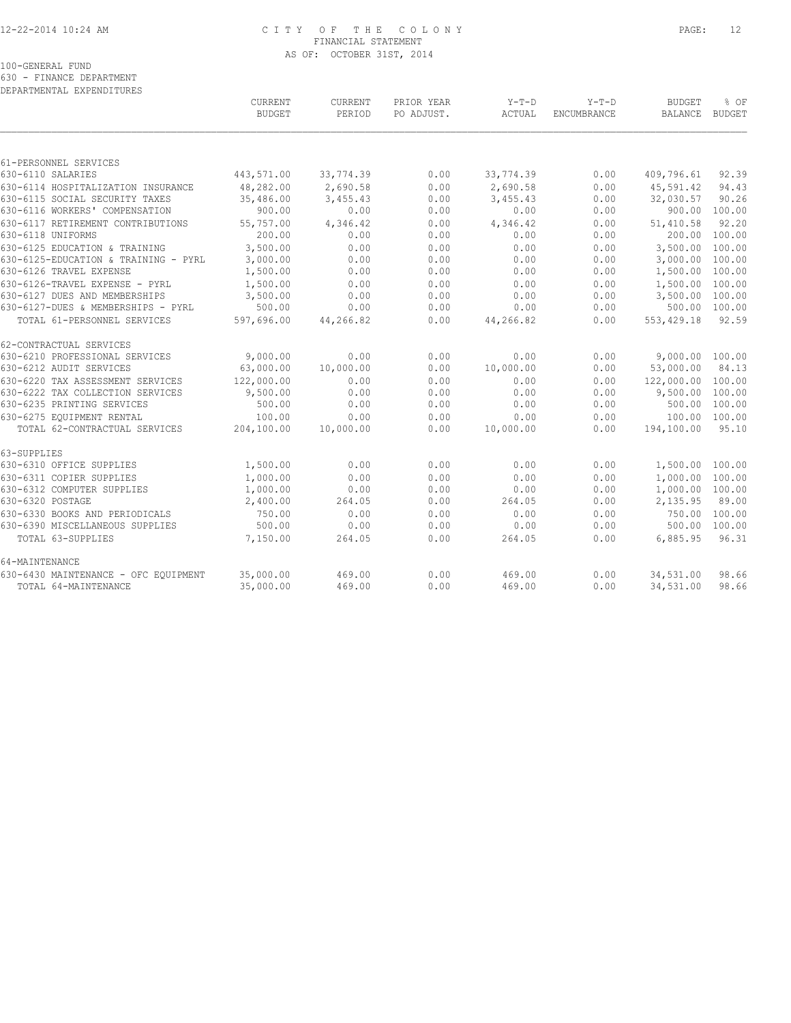#### 12-22-2014 10:24 AM C I T Y O F T H E C O L O N Y PAGE: 12 FINANCIAL STATEMENT AS OF: OCTOBER 31ST, 2014

100-GENERAL FUND

630 - FINANCE DEPARTMENT

| DEPARTMENTAL EXPENDITURES            |                          |                   |                          |                   |             |                 |                       |
|--------------------------------------|--------------------------|-------------------|--------------------------|-------------------|-------------|-----------------|-----------------------|
|                                      | CURRENT<br><b>BUDGET</b> | CURRENT<br>PERIOD | PRIOR YEAR<br>PO ADJUST. | $Y-T-D$<br>ACTUAL | $Y-T-D$     | <b>BUDGET</b>   | % OF<br><b>BUDGET</b> |
|                                      |                          |                   |                          |                   | ENCUMBRANCE | BALANCE         |                       |
| 61-PERSONNEL SERVICES                |                          |                   |                          |                   |             |                 |                       |
| 630-6110 SALARIES                    | 443,571.00               | 33,774.39         | 0.00                     | 33,774.39         | 0.00        | 409,796.61      | 92.39                 |
| 630-6114 HOSPITALIZATION INSURANCE   | 48,282.00                | 2,690.58          | 0.00                     | 2,690.58          | 0.00        | 45,591.42       | 94.43                 |
| 630-6115 SOCIAL SECURITY TAXES       | 35,486.00                | 3,455.43          | 0.00                     | 3,455.43          | 0.00        | 32,030.57       | 90.26                 |
| 630-6116 WORKERS' COMPENSATION       | 900.00                   | 0.00              | 0.00                     | 0.00              | 0.00        | 900.00          | 100.00                |
| 630-6117 RETIREMENT CONTRIBUTIONS    | 55,757.00                | 4,346.42          | 0.00                     | 4,346.42          | 0.00        | 51,410.58       | 92.20                 |
| 630-6118 UNIFORMS                    | 200.00                   | 0.00              | 0.00                     | 0.00              | 0.00        | 200.00          | 100.00                |
| 630-6125 EDUCATION & TRAINING        | 3,500.00                 | 0.00              | 0.00                     | 0.00              | 0.00        | 3,500.00        | 100.00                |
| 630-6125-EDUCATION & TRAINING - PYRL | 3,000.00                 | 0.00              | 0.00                     | 0.00              | 0.00        | 3,000.00        | 100.00                |
| 630-6126 TRAVEL EXPENSE              | 1,500.00                 | 0.00              | 0.00                     | 0.00              | 0.00        | 1,500.00        | 100.00                |
| 630-6126-TRAVEL EXPENSE - PYRL       | 1,500.00                 | 0.00              | 0.00                     | 0.00              | 0.00        | 1,500.00        | 100.00                |
| 630-6127 DUES AND MEMBERSHIPS        | 3,500.00                 | 0.00              | 0.00                     | 0.00              | 0.00        | 3,500.00        | 100.00                |
| 630-6127-DUES & MEMBERSHIPS - PYRL   | 500.00                   | 0.00              | 0.00                     | 0.00              | 0.00        | 500.00          | 100.00                |
| TOTAL 61-PERSONNEL SERVICES          | 597,696.00               | 44,266.82         | 0.00                     | 44,266.82         | 0.00        | 553, 429.18     | 92.59                 |
| 62-CONTRACTUAL SERVICES              |                          |                   |                          |                   |             |                 |                       |
| 630-6210 PROFESSIONAL SERVICES       | 9,000.00                 | 0.00              | 0.00                     | 0.00              | 0.00        | 9,000.00 100.00 |                       |
| 630-6212 AUDIT SERVICES              | 63,000.00                | 10,000.00         | 0.00                     | 10,000.00         | 0.00        | 53,000.00       | 84.13                 |
| 630-6220 TAX ASSESSMENT SERVICES     | 122,000.00               | 0.00              | 0.00                     | 0.00              | 0.00        | 122,000.00      | 100.00                |
| 630-6222 TAX COLLECTION SERVICES     | 9,500.00                 | 0.00              | 0.00                     | 0.00              | 0.00        | 9,500.00        | 100.00                |
| 630-6235 PRINTING SERVICES           | 500.00                   | 0.00              | 0.00                     | 0.00              | 0.00        | 500.00          | 100.00                |
| 630-6275 EOUIPMENT RENTAL            | 100.00                   | 0.00              | 0.00                     | 0.00              | 0.00        | 100.00          | 100.00                |
| TOTAL 62-CONTRACTUAL SERVICES        | 204,100.00               | 10,000.00         | 0.00                     | 10,000.00         | 0.00        | 194,100.00      | 95.10                 |
| 63-SUPPLIES                          |                          |                   |                          |                   |             |                 |                       |
| 630-6310 OFFICE SUPPLIES             | 1,500.00                 | 0.00              | 0.00                     | 0.00              | 0.00        | 1,500.00 100.00 |                       |
| 630-6311 COPIER SUPPLIES             | 1,000.00                 | 0.00              | 0.00                     | 0.00              | 0.00        | 1,000.00        | 100.00                |
| 630-6312 COMPUTER SUPPLIES           | 1,000.00                 | 0.00              | 0.00                     | 0.00              | 0.00        | 1,000.00 100.00 |                       |
| 630-6320 POSTAGE                     | 2,400.00                 | 264.05            | 0.00                     | 264.05            | 0.00        | 2,135.95        | 89.00                 |
| 630-6330 BOOKS AND PERIODICALS       | 750.00                   | 0.00              | 0.00                     | 0.00              | 0.00        | 750.00          | 100.00                |
| 630-6390 MISCELLANEOUS SUPPLIES      | 500.00                   | 0.00              | 0.00                     | 0.00              | 0.00        | 500.00          | 100.00                |
| TOTAL 63-SUPPLIES                    | 7,150.00                 | 264.05            | 0.00                     | 264.05            | 0.00        | 6,885.95        | 96.31                 |
| 64-MAINTENANCE                       |                          |                   |                          |                   |             |                 |                       |
| 630-6430 MAINTENANCE - OFC EQUIPMENT | 35,000.00                | 469.00            | 0.00                     | 469.00            | 0.00        | 34,531.00       | 98.66                 |
| TOTAL 64-MAINTENANCE                 | 35,000.00                | 469.00            | 0.00                     | 469.00            | 0.00        | 34,531.00       | 98.66                 |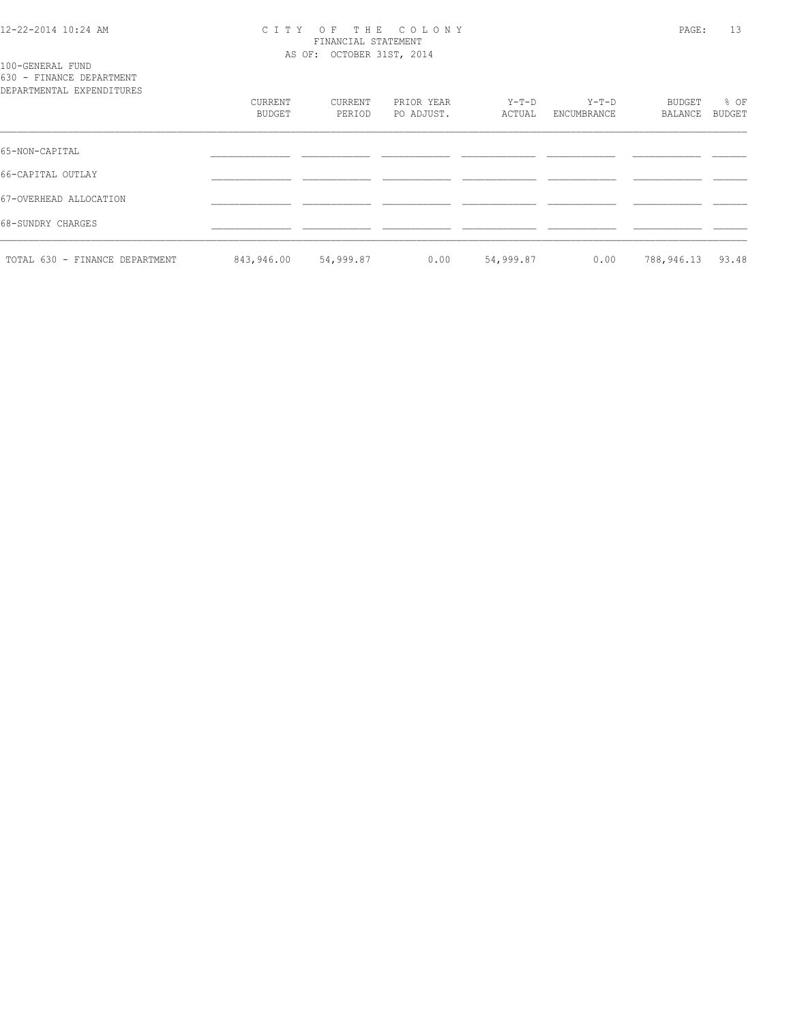#### 12-22-2014 10:24 AM C I T Y O F T H E C O L O N Y PAGE: 13 FINANCIAL STATEMENT AS OF: OCTOBER 31ST, 2014

100-GENERAL FUND 630 - FINANCE DEPARTMENT

| DEPARTMENTAL EXPENDITURES      |                   |                   |                          |                   |                        |                   |                |
|--------------------------------|-------------------|-------------------|--------------------------|-------------------|------------------------|-------------------|----------------|
|                                | CURRENT<br>BUDGET | CURRENT<br>PERIOD | PRIOR YEAR<br>PO ADJUST. | $Y-T-D$<br>ACTUAL | $Y-T-D$<br>ENCUMBRANCE | BUDGET<br>BALANCE | % OF<br>BUDGET |
| 65-NON-CAPITAL                 |                   |                   |                          |                   |                        |                   |                |
| 66-CAPITAL OUTLAY              |                   |                   |                          |                   |                        |                   |                |
| 67-OVERHEAD ALLOCATION         |                   |                   |                          |                   |                        |                   |                |
| 68-SUNDRY CHARGES              |                   |                   |                          |                   |                        |                   |                |
| TOTAL 630 - FINANCE DEPARTMENT | 843,946.00        | 54,999.87         | 0.00                     | 54,999.87         | 0.00                   | 788,946.13        | 93.48          |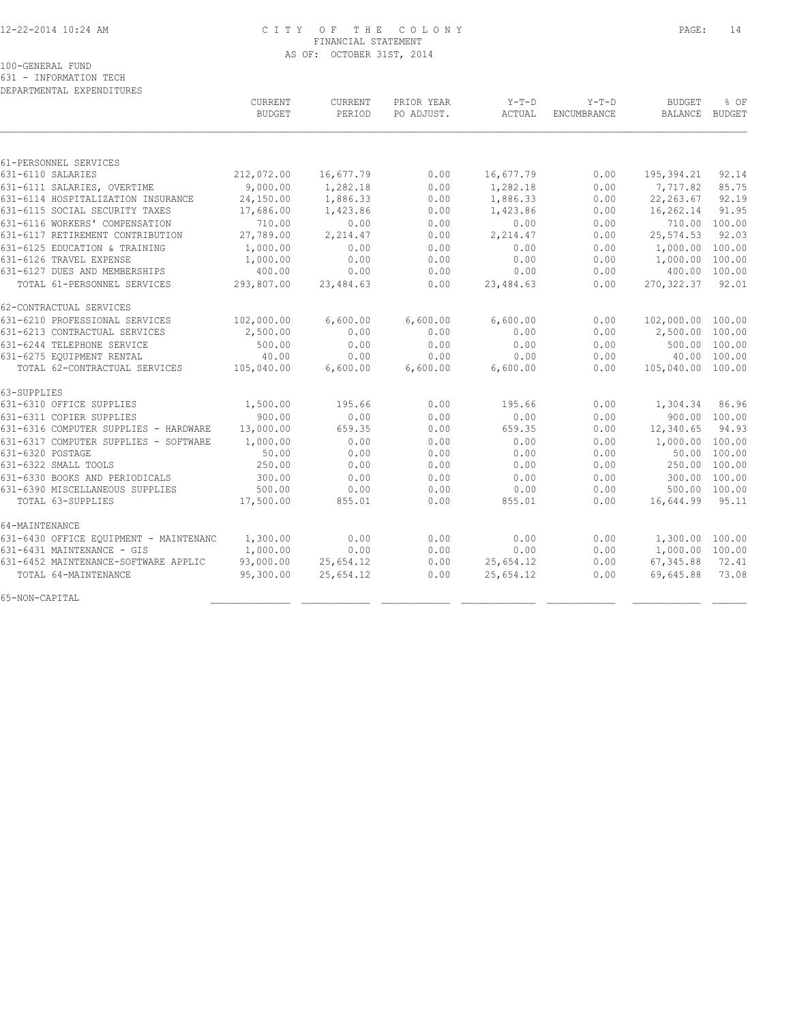#### 12-22-2014 10:24 AM C I T Y O F T H E C O L O N Y PAGE: 14 FINANCIAL STATEMENT AS OF: OCTOBER 31ST, 2014

100-GENERAL FUND

631 - INFORMATION TECH

| DEPARTMENTAL EXPENDITURES              |               |           |            |           |             |                   |               |
|----------------------------------------|---------------|-----------|------------|-----------|-------------|-------------------|---------------|
|                                        | CURRENT       | CURRENT   | PRIOR YEAR | $Y-T-D$   | $Y-T-D$     | <b>BUDGET</b>     | % OF          |
|                                        | <b>BUDGET</b> | PERIOD    | PO ADJUST. | ACTUAL    | ENCUMBRANCE | <b>BALANCE</b>    | <b>BUDGET</b> |
|                                        |               |           |            |           |             |                   |               |
| 61-PERSONNEL SERVICES                  |               |           |            |           |             |                   |               |
| 631-6110 SALARIES                      | 212,072.00    | 16,677.79 | 0.00       | 16,677.79 | 0.00        | 195,394.21        | 92.14         |
| 631-6111 SALARIES, OVERTIME            | 9,000.00      | 1,282.18  | 0.00       | 1,282.18  | 0.00        | 7,717.82          | 85.75         |
| 631-6114 HOSPITALIZATION INSURANCE     | 24,150.00     | 1,886.33  | 0.00       | 1,886.33  | 0.00        | 22, 263.67        | 92.19         |
| 631-6115 SOCIAL SECURITY TAXES         | 17,686.00     | 1,423.86  | 0.00       | 1,423.86  | 0.00        | 16,262.14         | 91.95         |
| 631-6116 WORKERS' COMPENSATION         | 710.00        | 0.00      | 0.00       | 0.00      | 0.00        |                   | 710.00 100.00 |
| 631-6117 RETIREMENT CONTRIBUTION       | 27,789.00     | 2,214.47  | 0.00       | 2,214.47  | 0.00        | 25, 574.53        | 92.03         |
| 631-6125 EDUCATION & TRAINING          | 1,000.00      | 0.00      | 0.00       | 0.00      | 0.00        | 1,000.00 100.00   |               |
| 631-6126 TRAVEL EXPENSE                | 1,000.00      | 0.00      | 0.00       | 0.00      | 0.00        | 1,000.00          | 100.00        |
| 631-6127 DUES AND MEMBERSHIPS          | 400.00        | 0.00      | 0.00       | 0.00      | 0.00        | 400.00            | 100.00        |
| TOTAL 61-PERSONNEL SERVICES            | 293,807.00    | 23,484.63 | 0.00       | 23,484.63 | 0.00        | 270, 322.37       | 92.01         |
| 62-CONTRACTUAL SERVICES                |               |           |            |           |             |                   |               |
| 631-6210 PROFESSIONAL SERVICES         | 102,000.00    | 6,600.00  | 6,600.00   | 6,600.00  | 0.00        | 102,000.00 100.00 |               |
| 631-6213 CONTRACTUAL SERVICES          | 2,500.00      | 0.00      | 0.00       | 0.00      | 0.00        | 2,500.00 100.00   |               |
| 631-6244 TELEPHONE SERVICE             | 500.00        | 0.00      | 0.00       | 0.00      | 0.00        |                   | 500.00 100.00 |
| 631-6275 EQUIPMENT RENTAL              | 40.00         | 0.00      | 0.00       | 0.00      | 0.00        | 40.00             | 100.00        |
| TOTAL 62-CONTRACTUAL SERVICES          | 105,040.00    | 6,600.00  | 6,600.00   | 6,600.00  | 0.00        | 105,040.00 100.00 |               |
| 63-SUPPLIES                            |               |           |            |           |             |                   |               |
| 631-6310 OFFICE SUPPLIES               | 1,500.00      | 195.66    | 0.00       | 195.66    | 0.00        | 1,304.34          | 86.96         |
| 631-6311 COPIER SUPPLIES               | 900.00        | 0.00      | 0.00       | 0.00      | 0.00        |                   | 900.00 100.00 |
| 631-6316 COMPUTER SUPPLIES - HARDWARE  | 13,000.00     | 659.35    | 0.00       | 659.35    | 0.00        | 12,340.65         | 94.93         |
| 631-6317 COMPUTER SUPPLIES - SOFTWARE  | 1,000.00      | 0.00      | 0.00       | 0.00      | 0.00        | 1,000.00 100.00   |               |
| 631-6320 POSTAGE                       | 50.00         | 0.00      | 0.00       | 0.00      | 0.00        | 50.00             | 100.00        |
| 631-6322 SMALL TOOLS                   | 250.00        | 0.00      | 0.00       | 0.00      | 0.00        | 250.00            | 100.00        |
| 631-6330 BOOKS AND PERIODICALS         | 300.00        | 0.00      | 0.00       | 0.00      | 0.00        | 300.00            | 100.00        |
| 631-6390 MISCELLANEOUS SUPPLIES        | 500.00        | 0.00      | 0.00       | 0.00      | 0.00        | 500.00 100.00     |               |
| TOTAL 63-SUPPLIES                      | 17,500.00     | 855.01    | 0.00       | 855.01    | 0.00        | 16,644.99         | 95.11         |
| 64-MAINTENANCE                         |               |           |            |           |             |                   |               |
| 631-6430 OFFICE EQUIPMENT - MAINTENANC | 1,300.00      | 0.00      | 0.00       | 0.00      | 0.00        | 1,300.00 100.00   |               |
| 631-6431 MAINTENANCE - GIS             | 1,000.00      | 0.00      | 0.00       | 0.00      | 0.00        | 1,000.00          | 100.00        |
| 631-6452 MAINTENANCE-SOFTWARE APPLIC   | 93,000.00     | 25,654.12 | 0.00       | 25,654.12 | 0.00        | 67,345.88         | 72.41         |
| TOTAL 64-MAINTENANCE                   | 95,300.00     | 25,654.12 | 0.00       | 25,654.12 | 0.00        | 69,645.88         | 73.08         |
| 65-NON-CAPITAL                         |               |           |            |           |             |                   |               |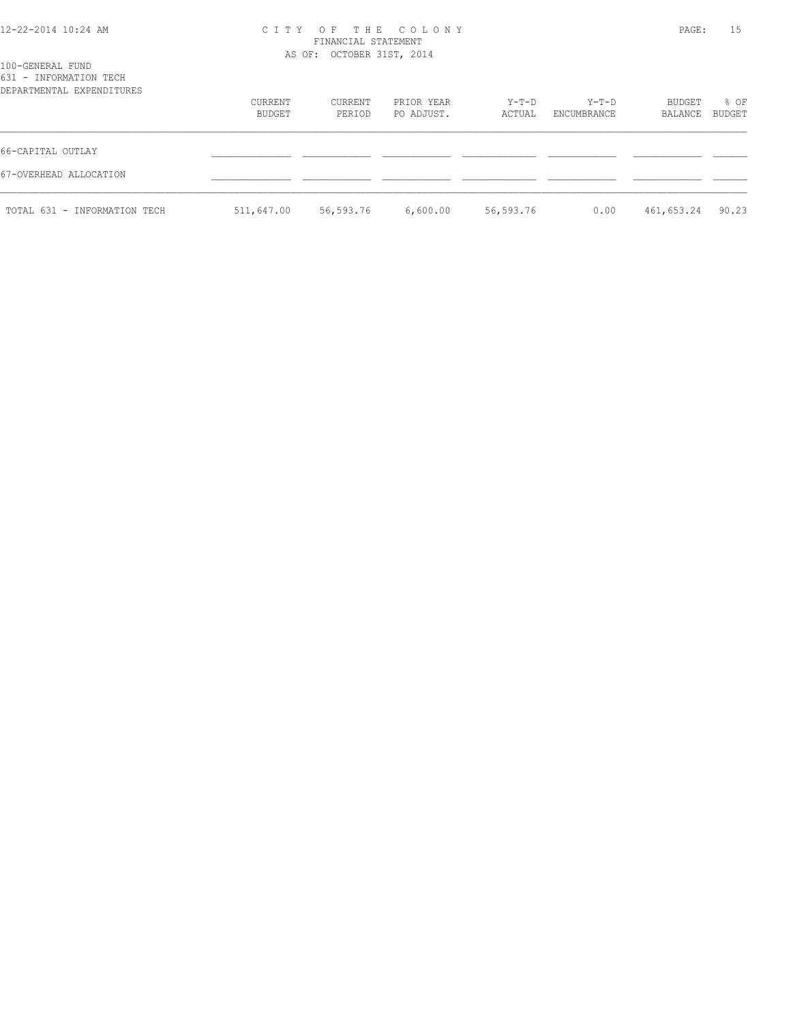## 12-22-2014 10:24 AM C I T Y O F T H E C O L O N Y PAGE: 15 FINANCIAL STATEMENT

 AS OF: OCTOBER 31ST, 2014 100-GENERAL FUND 631 - INFORMATION TECH DEPARTMENTAL EXPENDITURES CURRENT CURRENT PRIOR YEAR Y-T-D Y-T-D BUDGET % OF BUDGET PERIOD PO ADJUST. ACTUAL ENCUMBRANCE BALANCE BUDGET  $\mathcal{L} = \{ \mathcal{L} = \{ \mathcal{L} = \{ \mathcal{L} = \{ \mathcal{L} = \{ \mathcal{L} = \{ \mathcal{L} = \{ \mathcal{L} = \{ \mathcal{L} = \{ \mathcal{L} = \{ \mathcal{L} = \{ \mathcal{L} = \{ \mathcal{L} = \{ \mathcal{L} = \{ \mathcal{L} = \{ \mathcal{L} = \{ \mathcal{L} = \{ \mathcal{L} = \{ \mathcal{L} = \{ \mathcal{L} = \{ \mathcal{L} = \{ \mathcal{L} = \{ \mathcal{L} = \{ \mathcal{L} = \{ \mathcal{$ 66-CAPITAL OUTLAY \_\_\_\_\_\_\_\_\_\_\_\_\_\_ \_\_\_\_\_\_\_\_\_\_\_\_ \_\_\_\_\_\_\_\_\_\_\_\_ \_\_\_\_\_\_\_\_\_\_\_\_\_ \_\_\_\_\_\_\_\_\_\_\_\_ \_\_\_\_\_\_\_\_\_\_\_\_ \_\_\_\_\_\_ 67-OVERHEAD ALLOCATION \_\_\_\_\_\_\_\_\_\_\_\_\_\_ \_\_\_\_\_\_\_\_\_\_\_\_ \_\_\_\_\_\_\_\_\_\_\_\_ \_\_\_\_\_\_\_\_\_\_\_\_\_ \_\_\_\_\_\_\_\_\_\_\_\_ \_\_\_\_\_\_\_\_\_\_\_\_ \_\_\_\_\_\_ TOTAL 631 - INFORMATION TECH 511,647.00 56,593.76 6,600.00 56,593.76 0.00 461,653.24 90.23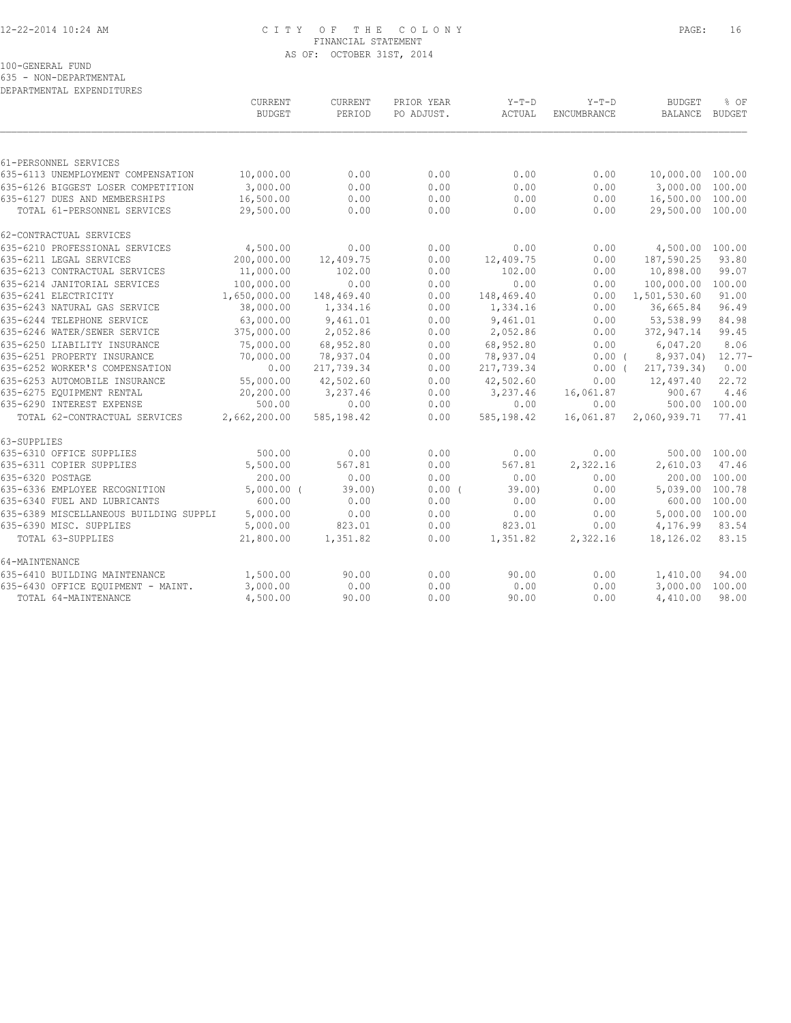#### 12-22-2014 10:24 AM C I T Y O F T H E C O L O N Y PAGE: 16 FINANCIAL STATEMENT AS OF: OCTOBER 31ST, 2014

100-GENERAL FUND

635 - NON-DEPARTMENTAL DEPARTMENTAL EXPENDITURES

|                                        | CURRENT<br><b>BUDGET</b> | CURRENT<br>PERIOD | PRIOR YEAR<br>PO ADJUST. | $Y-T-D$<br>ACTUAL | $Y-T-D$<br>ENCUMBRANCE | <b>BUDGET</b><br>BALANCE | % OF<br><b>BUDGET</b> |
|----------------------------------------|--------------------------|-------------------|--------------------------|-------------------|------------------------|--------------------------|-----------------------|
|                                        |                          |                   |                          |                   |                        |                          |                       |
| 61-PERSONNEL SERVICES                  |                          |                   |                          |                   |                        |                          |                       |
| 635-6113 UNEMPLOYMENT COMPENSATION     | 10,000.00                | 0.00              | 0.00                     | 0.00              | 0.00                   | 10,000.00 100.00         |                       |
| 635-6126 BIGGEST LOSER COMPETITION     | 3,000.00                 | 0.00              | 0.00                     | 0.00              | 0.00                   | 3,000.00 100.00          |                       |
| 635-6127 DUES AND MEMBERSHIPS          | 16,500.00                | 0.00              | 0.00                     | 0.00              | 0.00                   | 16,500.00 100.00         |                       |
| TOTAL 61-PERSONNEL SERVICES            | 29,500.00                | 0.00              | 0.00                     | 0.00              | 0.00                   | 29,500.00 100.00         |                       |
| 62-CONTRACTUAL SERVICES                |                          |                   |                          |                   |                        |                          |                       |
| 635-6210 PROFESSIONAL SERVICES         | 4,500.00                 | 0.00              | 0.00                     | 0.00              | 0.00                   | 4,500.00 100.00          |                       |
| 635-6211 LEGAL SERVICES                | 200,000.00               | 12,409.75         | 0.00                     | 12,409.75         | 0.00                   | 187,590.25               | 93.80                 |
| 635-6213 CONTRACTUAL SERVICES          | 11,000.00                | 102.00            | 0.00                     | 102.00            | 0.00                   | 10,898.00                | 99.07                 |
| 635-6214 JANITORIAL SERVICES           | 100,000.00               | 0.00              | 0.00                     | 0.00              | 0.00                   | 100,000.00               | 100.00                |
| 635-6241 ELECTRICITY                   | 1,650,000.00             | 148,469.40        | 0.00                     | 148,469.40        | 0.00                   | 1,501,530.60             | 91.00                 |
| 635-6243 NATURAL GAS SERVICE           | 38,000.00                | 1,334.16          | 0.00                     | 1,334.16          | 0.00                   | 36,665.84                | 96.49                 |
| 635-6244 TELEPHONE SERVICE             | 63,000.00                | 9,461.01          | 0.00                     | 9,461.01          | 0.00                   | 53,538.99                | 84.98                 |
| 635-6246 WATER/SEWER SERVICE           | 375,000.00               | 2,052.86          | 0.00                     | 2,052.86          | 0.00                   | 372,947.14               | 99.45                 |
| 635-6250 LIABILITY INSURANCE           | 75,000.00                | 68,952.80         | 0.00                     | 68,952.80         | 0.00                   | 6,047.20                 | 8.06                  |
| 635-6251 PROPERTY INSURANCE            | 70,000.00                | 78,937.04         | 0.00                     | 78,937.04         | 0.00(                  | 8,937.04)                | $12.77-$              |
| 635-6252 WORKER'S COMPENSATION         | 0.00                     | 217,739.34        | 0.00                     | 217,739.34        | 0.00(                  | 217,739.34)              | 0.00                  |
| 635-6253 AUTOMOBILE INSURANCE          | 55,000.00                | 42,502.60         | 0.00                     | 42,502.60         | 0.00                   | 12,497.40                | 22.72                 |
| 635-6275 EQUIPMENT RENTAL              | 20,200.00                | 3,237.46          | 0.00                     | 3,237.46          | 16,061.87              | 900.67                   | 4.46                  |
| 635-6290 INTEREST EXPENSE              | 500.00                   | 0.00              | 0.00                     | 0.00              | 0.00                   |                          | 500.00 100.00         |
| TOTAL 62-CONTRACTUAL SERVICES          | 2,662,200.00             | 585,198.42        | 0.00                     | 585,198.42        | 16,061.87              | 2,060,939.71             | 77.41                 |
| 63-SUPPLIES                            |                          |                   |                          |                   |                        |                          |                       |
| 635-6310 OFFICE SUPPLIES               | 500.00                   | 0.00              | 0.00                     | 0.00              | 0.00                   | 500.00 100.00            |                       |
| 635-6311 COPIER SUPPLIES               | 5,500.00                 | 567.81            | 0.00                     | 567.81            | 2,322.16               | 2,610.03                 | 47.46                 |
| 635-6320 POSTAGE                       | 200.00                   | 0.00              | 0.00                     | 0.00              | 0.00                   | 200.00 100.00            |                       |
| 635-6336 EMPLOYEE RECOGNITION          | $5,000.00$ (             | 39.00             | 0.00(                    | 39.00             | 0.00                   | 5,039.00 100.78          |                       |
| 635-6340 FUEL AND LUBRICANTS           | 600.00                   | 0.00              | 0.00                     | 0.00              | 0.00                   | 600.00                   | 100.00                |
| 635-6389 MISCELLANEOUS BUILDING SUPPLI | 5,000.00                 | 0.00              | 0.00                     | 0.00              | 0.00                   | 5,000.00 100.00          |                       |
| 635-6390 MISC. SUPPLIES                | 5,000.00                 | 823.01            | 0.00                     | 823.01            | 0.00                   | 4,176.99                 | 83.54                 |
| TOTAL 63-SUPPLIES                      | 21,800.00                | 1,351.82          | 0.00                     | 1,351.82          | 2,322.16               | 18,126.02                | 83.15                 |
| 64-MAINTENANCE                         |                          |                   |                          |                   |                        |                          |                       |
| 635-6410 BUILDING MAINTENANCE          | 1,500.00                 | 90.00             | 0.00                     | 90.00             | 0.00                   | 1,410.00                 | 94.00                 |
| 635-6430 OFFICE EQUIPMENT - MAINT.     | 3,000.00                 | 0.00              | 0.00                     | 0.00              | 0.00                   | 3,000.00                 | 100.00                |
| TOTAL 64-MAINTENANCE                   | 4,500.00                 | 90.00             | 0.00                     | 90.00             | 0.00                   | 4,410.00                 | 98.00                 |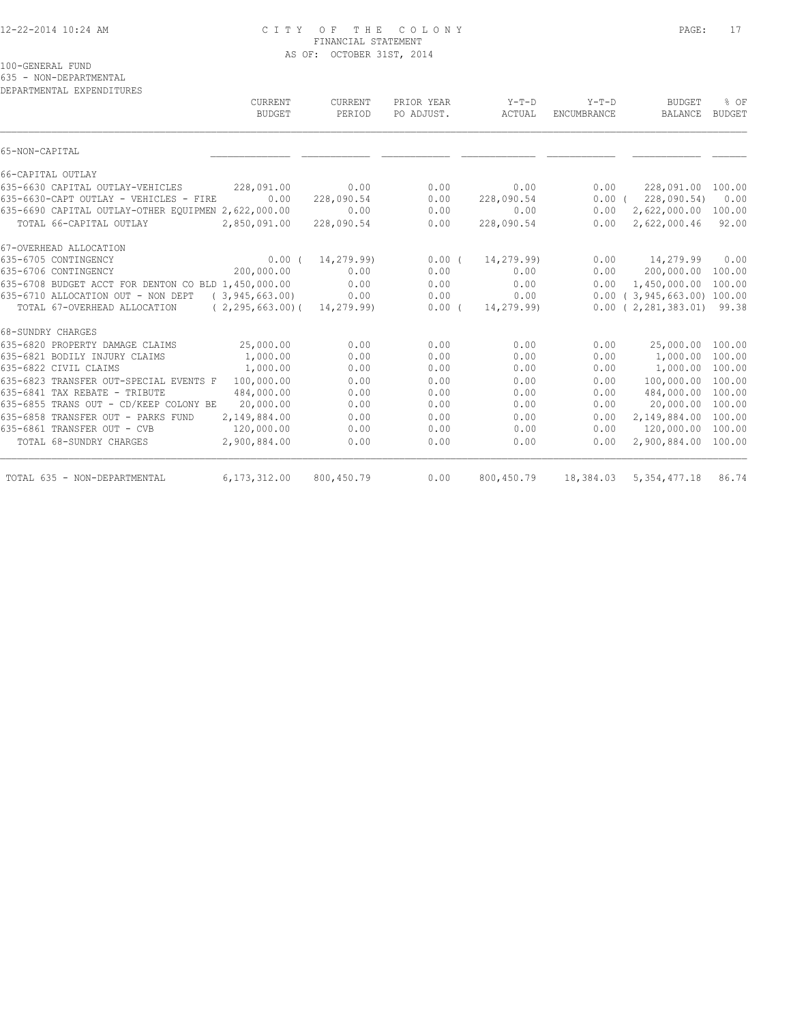#### 12-22-2014 10:24 AM C I T Y O F T H E C O L O N Y PAGE: 17 FINANCIAL STATEMENT AS OF: OCTOBER 31ST, 2014

100-GENERAL FUND

635 - NON-DEPARTMENTAL

| CURRENT<br><b>BUDGET</b> | CURRENT<br>PERIOD                                                                                                                                                                                                                        | PRIOR YEAR<br>PO ADJUST.                                                          | $Y-T-D$<br>ACTUAL            | $Y-T-D$<br>ENCUMBRANCE                                       | <b>BUDGET</b><br>BALANCE | % OF<br><b>BUDGET</b>                                                                                                                                                             |
|--------------------------|------------------------------------------------------------------------------------------------------------------------------------------------------------------------------------------------------------------------------------------|-----------------------------------------------------------------------------------|------------------------------|--------------------------------------------------------------|--------------------------|-----------------------------------------------------------------------------------------------------------------------------------------------------------------------------------|
|                          |                                                                                                                                                                                                                                          |                                                                                   |                              |                                                              |                          |                                                                                                                                                                                   |
|                          |                                                                                                                                                                                                                                          |                                                                                   |                              |                                                              |                          |                                                                                                                                                                                   |
|                          |                                                                                                                                                                                                                                          |                                                                                   |                              |                                                              |                          |                                                                                                                                                                                   |
| 228,091.00               | 0.00                                                                                                                                                                                                                                     | 0.00                                                                              | 0.00                         | 0.00                                                         | 228,091.00               | 100.00                                                                                                                                                                            |
| 0.00                     | 228,090.54                                                                                                                                                                                                                               | 0.00                                                                              | 228,090.54                   |                                                              | 228,090.54)              | 0.00                                                                                                                                                                              |
|                          | 0.00                                                                                                                                                                                                                                     | 0.00                                                                              | 0.00                         | 0.00                                                         | 2,622,000.00             | 100.00                                                                                                                                                                            |
|                          | 228,090.54                                                                                                                                                                                                                               | 0.00                                                                              | 228,090.54                   | 0.00                                                         | 2,622,000.46             | 92.00                                                                                                                                                                             |
|                          |                                                                                                                                                                                                                                          |                                                                                   |                              |                                                              |                          |                                                                                                                                                                                   |
| 0.00(                    | 14,279.99)                                                                                                                                                                                                                               | $0.00$ (                                                                          | 14,279.99)                   | 0.00                                                         | 14,279.99                | 0.00                                                                                                                                                                              |
| 200,000.00               | 0.00                                                                                                                                                                                                                                     | 0.00                                                                              | 0.00                         | 0.00                                                         | 200,000.00               | 100.00                                                                                                                                                                            |
|                          | 0.00                                                                                                                                                                                                                                     | 0.00                                                                              | 0.00                         | 0.00                                                         |                          | 100.00                                                                                                                                                                            |
|                          |                                                                                                                                                                                                                                          | 0.00                                                                              |                              |                                                              |                          |                                                                                                                                                                                   |
|                          |                                                                                                                                                                                                                                          |                                                                                   |                              |                                                              |                          |                                                                                                                                                                                   |
|                          |                                                                                                                                                                                                                                          |                                                                                   |                              |                                                              |                          |                                                                                                                                                                                   |
| 25,000.00                | 0.00                                                                                                                                                                                                                                     | 0.00                                                                              | 0.00                         | 0.00                                                         | 25,000.00                | 100.00                                                                                                                                                                            |
| 1,000.00                 | 0.00                                                                                                                                                                                                                                     | 0.00                                                                              | 0.00                         | 0.00                                                         | 1,000.00                 | 100.00                                                                                                                                                                            |
| 1,000.00                 | 0.00                                                                                                                                                                                                                                     | 0.00                                                                              | 0.00                         | 0.00                                                         | 1,000.00                 | 100.00                                                                                                                                                                            |
| 100,000.00               | 0.00                                                                                                                                                                                                                                     | 0.00                                                                              | 0.00                         | 0.00                                                         | 100,000.00               | 100.00                                                                                                                                                                            |
|                          | 0.00                                                                                                                                                                                                                                     | 0.00                                                                              | 0.00                         | 0.00                                                         |                          | 100.00                                                                                                                                                                            |
|                          |                                                                                                                                                                                                                                          |                                                                                   |                              | 0.00                                                         |                          | 100.00                                                                                                                                                                            |
|                          |                                                                                                                                                                                                                                          |                                                                                   | 0.00                         | 0.00                                                         |                          | 100.00                                                                                                                                                                            |
|                          |                                                                                                                                                                                                                                          |                                                                                   |                              |                                                              |                          | 100.00                                                                                                                                                                            |
|                          | 0.00                                                                                                                                                                                                                                     | 0.00                                                                              | 0.00                         | 0.00                                                         | 2,900,884.00             | 100.00                                                                                                                                                                            |
|                          |                                                                                                                                                                                                                                          |                                                                                   |                              |                                                              |                          | 86.74                                                                                                                                                                             |
|                          | 635-6690 CAPITAL OUTLAY-OTHER EQUIPMEN 2,622,000.00<br>2,850,091.00<br>635-6708 BUDGET ACCT FOR DENTON CO BLD 1,450,000.00<br>(3, 945, 663, 00)<br>484,000.00<br>20,000.00<br>2,149,884.00<br>120,000.00<br>2,900,884.00<br>6,173,312.00 | 0.00<br>$(2, 295, 663, 00)$ (<br>14,279.99)<br>0.00<br>0.00<br>0.00<br>800,450.79 | 0.00<br>0.00<br>0.00<br>0.00 | 0.00<br>$0.00$ (<br>14,279.99)<br>0.00<br>0.00<br>800,450.79 | 0.00                     | $0.00$ (<br>1,450,000.00<br>$0.00$ ( 3,945,663.00) 100.00<br>$0.00$ ( 2,281,383.01) 99.38<br>484,000.00<br>20,000.00<br>2,149,884.00<br>120,000.00<br>18,384.03<br>5, 354, 477.18 |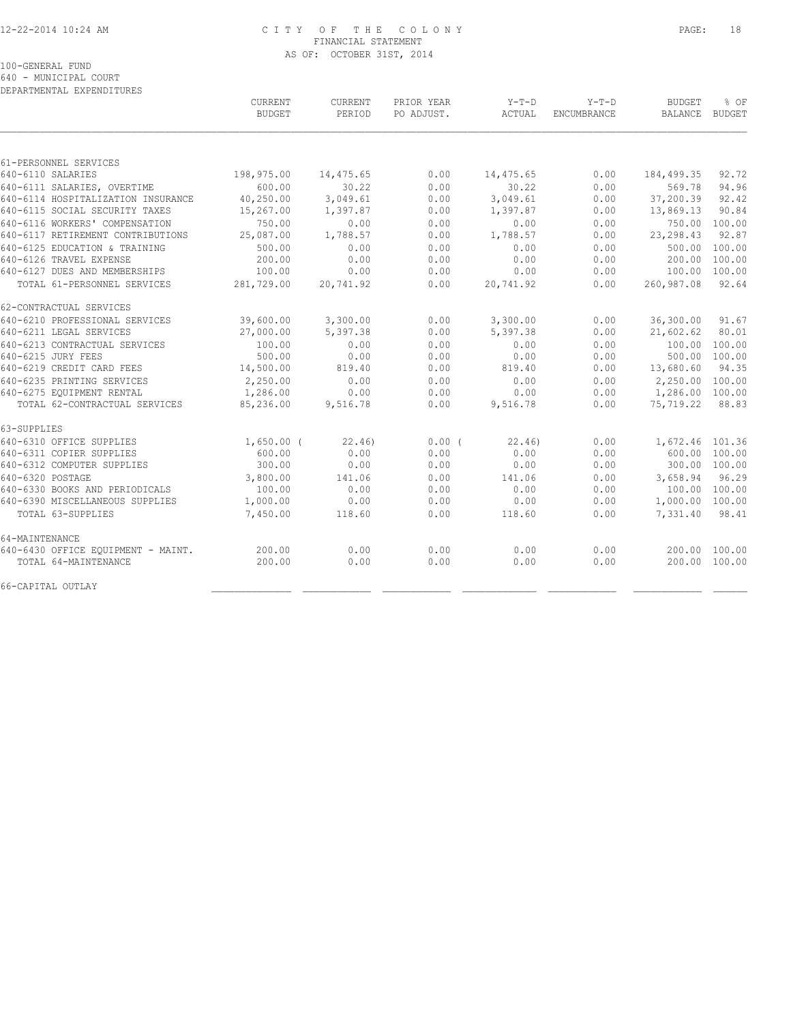#### 12-22-2014 10:24 AM C I T Y O F T H E C O L O N Y PAGE: 18 FINANCIAL STATEMENT AS OF: OCTOBER 31ST, 2014

100-GENERAL FUND

640 - MUNICIPAL COURT

| DEPARTMENTAL EXPENDITURES          |                          |                          |                          |                 |                               |                                 |                       |
|------------------------------------|--------------------------|--------------------------|--------------------------|-----------------|-------------------------------|---------------------------------|-----------------------|
|                                    | CURRENT<br><b>BUDGET</b> | <b>CURRENT</b><br>PERIOD | PRIOR YEAR<br>PO ADJUST. | Y-T-D<br>ACTUAL | $Y-T-D$<br><b>ENCUMBRANCE</b> | <b>BUDGET</b><br><b>BALANCE</b> | % OF<br><b>BUDGET</b> |
|                                    |                          |                          |                          |                 |                               |                                 |                       |
| 61-PERSONNEL SERVICES              |                          |                          |                          |                 |                               |                                 |                       |
| 640-6110 SALARIES                  | 198,975.00               | 14,475.65                | 0.00                     | 14,475.65       | 0.00                          | 184, 499.35                     | 92.72                 |
| 640-6111 SALARIES, OVERTIME        | 600.00                   | 30.22                    | 0.00                     | 30.22           | 0.00                          | 569.78                          | 94.96                 |
| 640-6114 HOSPITALIZATION INSURANCE | 40,250.00                | 3,049.61                 | 0.00                     | 3,049.61        | 0.00                          | 37,200.39                       | 92.42                 |
| 640-6115 SOCIAL SECURITY TAXES     | 15,267.00                | 1,397.87                 | 0.00                     | 1,397.87        | 0.00                          | 13,869.13                       | 90.84                 |
| 640-6116 WORKERS' COMPENSATION     | 750.00                   | 0.00                     | 0.00                     | 0.00            | 0.00                          | 750.00                          | 100.00                |
| 640-6117 RETIREMENT CONTRIBUTIONS  | 25,087.00                | 1,788.57                 | 0.00                     | 1,788.57        | 0.00                          | 23, 298.43                      | 92.87                 |
| 640-6125 EDUCATION & TRAINING      | 500.00                   | 0.00                     | 0.00                     | 0.00            | 0.00                          | 500.00                          | 100.00                |
| 640-6126 TRAVEL EXPENSE            | 200.00                   | 0.00                     | 0.00                     | 0.00            | 0.00                          | 200.00                          | 100.00                |
| 640-6127 DUES AND MEMBERSHIPS      | 100.00                   | 0.00                     | 0.00                     | 0.00            | 0.00                          | 100.00                          | 100.00                |
| TOTAL 61-PERSONNEL SERVICES        | 281,729.00               | 20,741.92                | 0.00                     | 20,741.92       | 0.00                          | 260,987.08                      | 92.64                 |
| 62-CONTRACTUAL SERVICES            |                          |                          |                          |                 |                               |                                 |                       |
| 640-6210 PROFESSIONAL SERVICES     | 39,600.00                | 3,300.00                 | 0.00                     | 3,300.00        | 0.00                          | 36,300.00                       | 91.67                 |
| 640-6211 LEGAL SERVICES            | 27,000.00                | 5,397.38                 | 0.00                     | 5,397.38        | 0.00                          | 21,602.62                       | 80.01                 |
| 640-6213 CONTRACTUAL SERVICES      | 100.00                   | 0.00                     | 0.00                     | 0.00            | 0.00                          | 100.00                          | 100.00                |
| 640-6215 JURY FEES                 | 500.00                   | 0.00                     | 0.00                     | 0.00            | 0.00                          |                                 | 500.00 100.00         |
| 640-6219 CREDIT CARD FEES          | 14,500.00                | 819.40                   | 0.00                     | 819.40          | 0.00                          | 13,680.60                       | 94.35                 |
| 640-6235 PRINTING SERVICES         | 2,250.00                 | 0.00                     | 0.00                     | 0.00            | 0.00                          | 2,250.00 100.00                 |                       |
| 640-6275 EQUIPMENT RENTAL          | 1,286.00                 | 0.00                     | 0.00                     | 0.00            | 0.00                          | 1,286.00 100.00                 |                       |
| TOTAL 62-CONTRACTUAL SERVICES      | 85,236.00                | 9,516.78                 | 0.00                     | 9,516.78        | 0.00                          | 75,719.22                       | 88.83                 |
| 63-SUPPLIES                        |                          |                          |                          |                 |                               |                                 |                       |
| 640-6310 OFFICE SUPPLIES           | $1,650.00$ (             | 22.46                    | 0.00(                    | 22.46           | 0.00                          | 1,672.46 101.36                 |                       |
| 640-6311 COPIER SUPPLIES           | 600.00                   | 0.00                     | 0.00                     | 0.00            | 0.00                          |                                 | 600.00 100.00         |
| 640-6312 COMPUTER SUPPLIES         | 300.00                   | 0.00                     | 0.00                     | 0.00            | 0.00                          |                                 | 300.00 100.00         |
| 640-6320 POSTAGE                   | 3,800.00                 | 141.06                   | 0.00                     | 141.06          | 0.00                          | 3,658.94                        | 96.29                 |
| 640-6330 BOOKS AND PERIODICALS     | 100.00                   | 0.00                     | 0.00                     | 0.00            | 0.00                          |                                 | 100.00 100.00         |
| 640-6390 MISCELLANEOUS SUPPLIES    | 1,000.00                 | 0.00                     | 0.00                     | 0.00            | 0.00                          | 1,000.00 100.00                 |                       |
| TOTAL 63-SUPPLIES                  | 7,450.00                 | 118.60                   | 0.00                     | 118.60          | 0.00                          | 7,331.40                        | 98.41                 |
| 64-MAINTENANCE                     |                          |                          |                          |                 |                               |                                 |                       |
| 640-6430 OFFICE EQUIPMENT - MAINT. | 200.00                   | 0.00                     | 0.00                     | 0.00            | 0.00                          |                                 | 200.00 100.00         |
| TOTAL 64-MAINTENANCE               | 200.00                   | 0.00                     | 0.00                     | 0.00            | 0.00                          |                                 | 200.00 100.00         |
| 66-CAPITAL OUTLAY                  |                          |                          |                          |                 |                               |                                 |                       |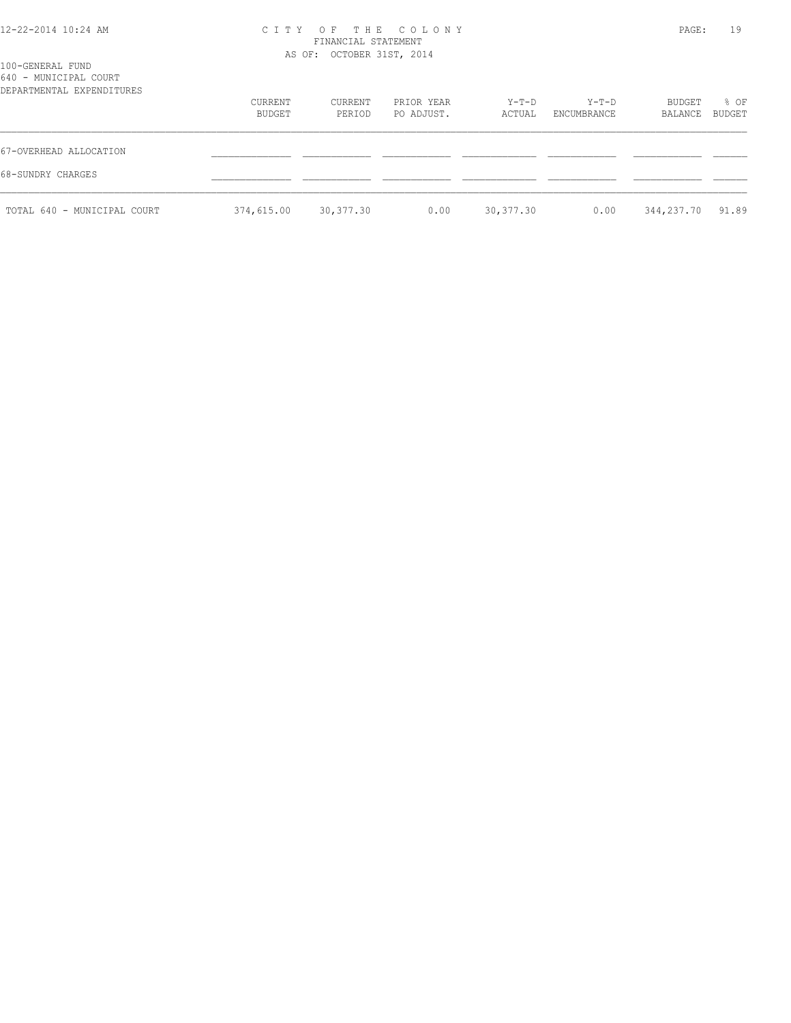#### 12-22-2014 10:24 AM C I T Y O F T H E C O L O N Y PAGE: 19 FINANCIAL STATEMENT AS OF: OCTOBER 31ST, 2014

| 100-GENERAL FUND<br>640 - MUNICIPAL COURT<br>DEPARTMENTAL EXPENDITURES |                   |                   |                          |                 |                        |                   |                |
|------------------------------------------------------------------------|-------------------|-------------------|--------------------------|-----------------|------------------------|-------------------|----------------|
|                                                                        | CURRENT<br>BUDGET | CURRENT<br>PERIOD | PRIOR YEAR<br>PO ADJUST. | Y-T-D<br>ACTUAL | $Y-T-D$<br>ENCUMBRANCE | BUDGET<br>BALANCE | % OF<br>BUDGET |
| 67-OVERHEAD ALLOCATION                                                 |                   |                   |                          |                 |                        |                   |                |
| 68-SUNDRY CHARGES                                                      |                   |                   |                          |                 |                        |                   |                |
| TOTAL 640 - MUNICIPAL COURT                                            | 374,615.00        | 30,377.30         | 0.00                     | 30,377.30       | 0.00                   | 344,237.70        | 91.89          |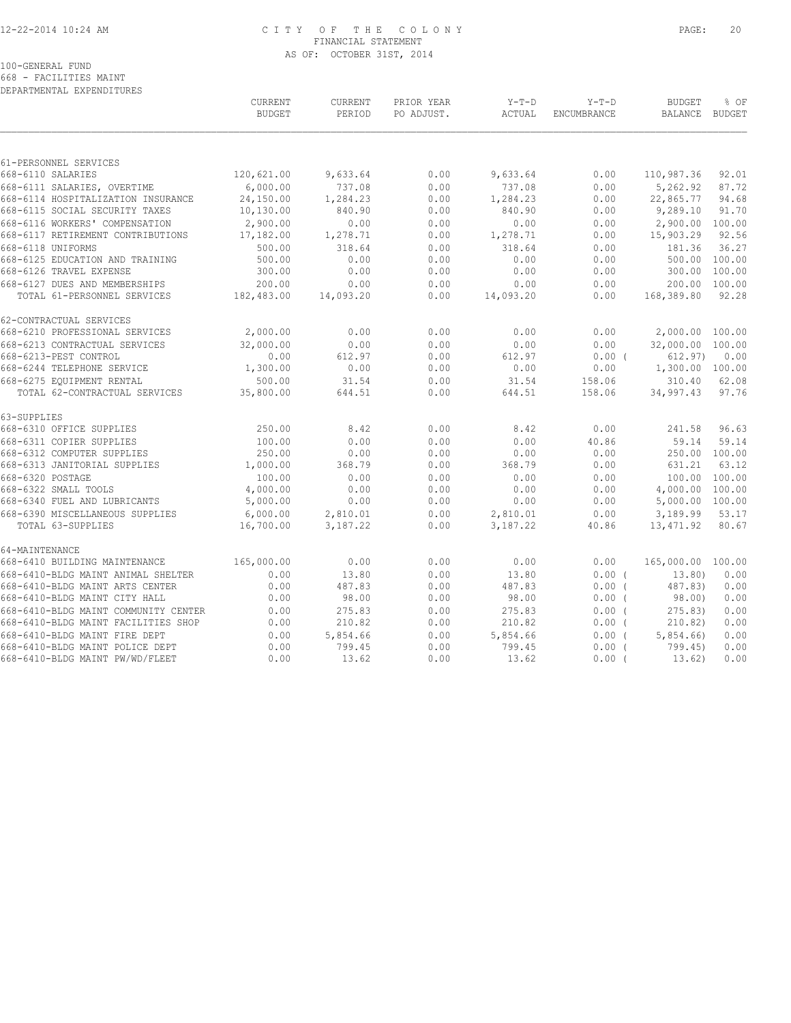#### 12-22-2014 10:24 AM C I T Y O F T H E C O L O N Y PAGE: 20 FINANCIAL STATEMENT AS OF: OCTOBER 31ST, 2014

100-GENERAL FUND

668 - FACILITIES MAINT DEPARTMENTAL EXPENDITURES

|                                         | CURRENT<br><b>BUDGET</b> | CURRENT<br>PERIOD | PRIOR YEAR<br>PO ADJUST. | $Y-T-D$<br>ACTUAL | $Y-T-D$<br>ENCUMBRANCE | <b>BUDGET</b><br>BALANCE BUDGET | % OF          |
|-----------------------------------------|--------------------------|-------------------|--------------------------|-------------------|------------------------|---------------------------------|---------------|
|                                         |                          |                   |                          |                   |                        |                                 |               |
| 61-PERSONNEL SERVICES                   |                          |                   |                          |                   |                        |                                 |               |
| 668-6110 SALARIES                       | 120,621.00               | 9,633.64          | 0.00                     | 9,633.64          | 0.00                   | 110,987.36                      | 92.01         |
| 668-6111 SALARIES, OVERTIME             | 6,000.00                 | 737.08            | 0.00                     | 737.08            | 0.00                   | 5,262.92                        | 87.72         |
| 668-6114 HOSPITALIZATION INSURANCE      | 24,150.00                | 1,284.23          | 0.00                     | 1,284.23          | 0.00                   | 22,865.77                       | 94.68         |
| 668-6115 SOCIAL SECURITY TAXES          | 10, 130.00               | 840.90            | 0.00                     | 840.90            | 0.00                   | 9,289.10                        | 91.70         |
| 668-6116 WORKERS' COMPENSATION          | 2,900.00                 | 0.00              | 0.00                     | 0.00              | 0.00                   | 2,900.00 100.00                 |               |
| 668-6117 RETIREMENT CONTRIBUTIONS       | 17,182.00                | 1,278.71          | 0.00                     | 1,278.71          | 0.00                   | 15,903.29                       | 92.56         |
| 668-6118 UNIFORMS                       | 500.00                   | 318.64            | 0.00                     | 318.64            | 0.00                   | 181.36                          | 36.27         |
| 668-6125 EDUCATION AND TRAINING         | 500.00                   | 0.00              | 0.00                     | 0.00              | 0.00                   |                                 | 500.00 100.00 |
| 668-6126 TRAVEL EXPENSE                 | 300.00                   | 0.00              | 0.00                     | 0.00              | 0.00                   |                                 | 300.00 100.00 |
| 668-6127 DUES AND MEMBERSHIPS           | 200.00                   | 0.00              | 0.00                     | 0.00              | 0.00                   |                                 | 200.00 100.00 |
| TOTAL 61-PERSONNEL SERVICES             | 182,483.00               | 14,093.20         | 0.00                     | 14,093.20         | 0.00                   | 168,389.80                      | 92.28         |
| 62-CONTRACTUAL SERVICES                 |                          |                   |                          |                   |                        |                                 |               |
| 668-6210 PROFESSIONAL SERVICES          | 2,000.00                 | 0.00              | 0.00                     | 0.00              | 0.00                   | 2,000.00 100.00                 |               |
| 668-6213 CONTRACTUAL SERVICES           | 32,000.00                | 0.00              | 0.00                     | 0.00              | 0.00                   | 32,000.00 100.00                |               |
| 668-6213-PEST CONTROL                   | 0.00                     | 612.97            | 0.00                     | 612.97            | $0.00$ (               | 612.97)                         | 0.00          |
| 668-6244 TELEPHONE SERVICE              | 1,300.00                 | 0.00              | 0.00                     | 0.00              | 0.00                   | 1,300.00 100.00                 |               |
| 668-6275 EQUIPMENT RENTAL               | 500.00                   | 31.54             | 0.00                     | 31.54             | 158.06                 | 310.40                          | 62.08         |
| TOTAL 62-CONTRACTUAL SERVICES 35,800.00 |                          | 644.51            | 0.00                     | 644.51            | 158.06                 | 34,997.43                       | 97.76         |
| 63-SUPPLIES                             |                          |                   |                          |                   |                        |                                 |               |
| 668-6310 OFFICE SUPPLIES                | 250.00                   | 8.42              | 0.00                     | 8.42              | 0.00                   | 241.58                          | 96.63         |
| 668-6311 COPIER SUPPLIES                | 100.00                   | 0.00              | 0.00                     | 0.00              | 40.86                  | 59.14                           | 59.14         |
| 668-6312 COMPUTER SUPPLIES              | 250.00                   | 0.00              | 0.00                     | 0.00              | 0.00                   |                                 | 250.00 100.00 |
| 668-6313 JANITORIAL SUPPLIES 1,000.00   |                          | 368.79            | 0.00                     | 368.79            | 0.00                   | 631.21                          | 63.12         |
| 668-6320 POSTAGE                        | 100.00                   | 0.00              | 0.00                     | 0.00              | 0.00                   |                                 | 100.00 100.00 |
| 668-6322 SMALL TOOLS                    | 4,000.00                 | 0.00              | 0.00                     | 0.00              | 0.00                   | 4,000.00 100.00                 |               |
| 668-6340 FUEL AND LUBRICANTS            | 5,000.00                 | 0.00              | 0.00                     | 0.00              | 0.00                   | 5,000.00 100.00                 |               |
| 668-6390 MISCELLANEOUS SUPPLIES         | 6,000.00                 | 2,810.01          | 0.00                     | 2,810.01          | 0.00                   | 3,189.99                        | 53.17         |
| TOTAL 63-SUPPLIES                       | 16,700.00                | 3,187.22          | 0.00                     | 3,187.22          | 40.86                  | 13,471.92                       | 80.67         |
| 64-MAINTENANCE                          |                          |                   |                          |                   |                        |                                 |               |
| 668-6410 BUILDING MAINTENANCE           | 165,000.00               | 0.00              | 0.00                     | 0.00              | 0.00                   | 165,000.00 100.00               |               |
| 668-6410-BLDG MAINT ANIMAL SHELTER      | 0.00                     | 13.80             | 0.00                     | 13.80             | 0.00(                  | 13.80)                          | 0.00          |
| 668-6410-BLDG MAINT ARTS CENTER         | 0.00                     | 487.83            | 0.00                     | 487.83            | $0.00$ (               | 487.83)                         | 0.00          |
| 668-6410-BLDG MAINT CITY HALL           | 0.00                     | 98.00             | 0.00                     | 98.00             | $0.00$ (               | 98.00)                          | 0.00          |
| 668-6410-BLDG MAINT COMMUNITY CENTER    | 0.00                     | 275.83            | 0.00                     | 275.83            | $0.00$ (               | 275.83)                         | 0.00          |
| 668-6410-BLDG MAINT FACILITIES SHOP     | 0.00                     | 210.82            | 0.00                     | 210.82            | $0.00$ (               | 210.82)                         | 0.00          |
| 668-6410-BLDG MAINT FIRE DEPT           | 0.00                     | 5,854.66          | 0.00                     | 5,854.66          | 0.00(                  | 5,854.66                        | 0.00          |
| 668-6410-BLDG MAINT POLICE DEPT         | 0.00                     | 799.45            | 0.00                     | 799.45            | $0.00$ (               | 799.45)                         | 0.00          |
| 668-6410-BLDG MAINT PW/WD/FLEET         | 0.00                     | 13.62             | 0.00                     | 13.62             | $0.00$ (               | 13.62)                          | 0.00          |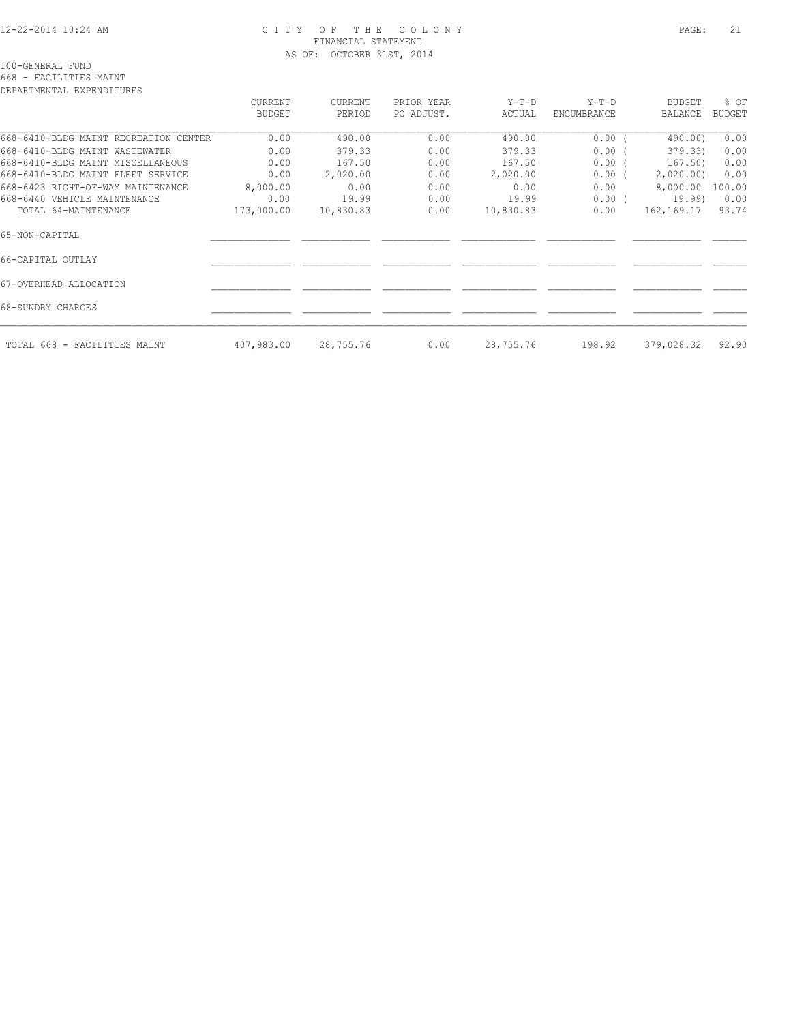#### 12-22-2014 10:24 AM C I T Y O F T H E C O L O N Y PAGE: 21 FINANCIAL STATEMENT AS OF: OCTOBER 31ST, 2014

100-GENERAL FUND

### 668 - FACILITIES MAINT

| DEPARTMENTAL EXPENDITURES             |            |           |            |           |             |            |               |
|---------------------------------------|------------|-----------|------------|-----------|-------------|------------|---------------|
|                                       | CURRENT    | CURRENT   | PRIOR YEAR | Y-T-D     | Y-T-D       | BUDGET     | % OF          |
|                                       | BUDGET     | PERIOD    | PO ADJUST. | ACTUAL    | ENCUMBRANCE | BALANCE    | <b>BUDGET</b> |
| 668-6410-BLDG MAINT RECREATION CENTER | 0.00       | 490.00    | 0.00       | 490.00    | $0.00$ (    | 490.00)    | 0.00          |
| 668-6410-BLDG MAINT WASTEWATER        | 0.00       | 379.33    | 0.00       | 379.33    | $0.00$ (    | 379.33)    | 0.00          |
| 668-6410-BLDG MAINT MISCELLANEOUS     | 0.00       | 167.50    | 0.00       | 167.50    | $0.00$ (    | 167.50)    | 0.00          |
| 668-6410-BLDG MAINT FLEET SERVICE     | 0.00       | 2,020.00  | 0.00       | 2,020.00  | $0.00$ (    | 2,020.00   | 0.00          |
| 668-6423 RIGHT-OF-WAY MAINTENANCE     | 8,000.00   | 0.00      | 0.00       | 0.00      | 0.00        | 8,000.00   | 100.00        |
| 668-6440 VEHICLE MAINTENANCE          | 0.00       | 19.99     | 0.00       | 19.99     | $0.00$ (    | 19.99)     | 0.00          |
| TOTAL 64-MAINTENANCE                  | 173,000.00 | 10,830.83 | 0.00       | 10,830.83 | 0.00        | 162,169.17 | 93.74         |
| 65-NON-CAPITAL                        |            |           |            |           |             |            |               |
| 66-CAPITAL OUTLAY                     |            |           |            |           |             |            |               |
| 67-OVERHEAD ALLOCATION                |            |           |            |           |             |            |               |
| 68-SUNDRY CHARGES                     |            |           |            |           |             |            |               |
| TOTAL 668 - FACILITIES MAINT          | 407,983.00 | 28,755.76 | 0.00       | 28,755.76 | 198.92      | 379,028.32 | 92.90         |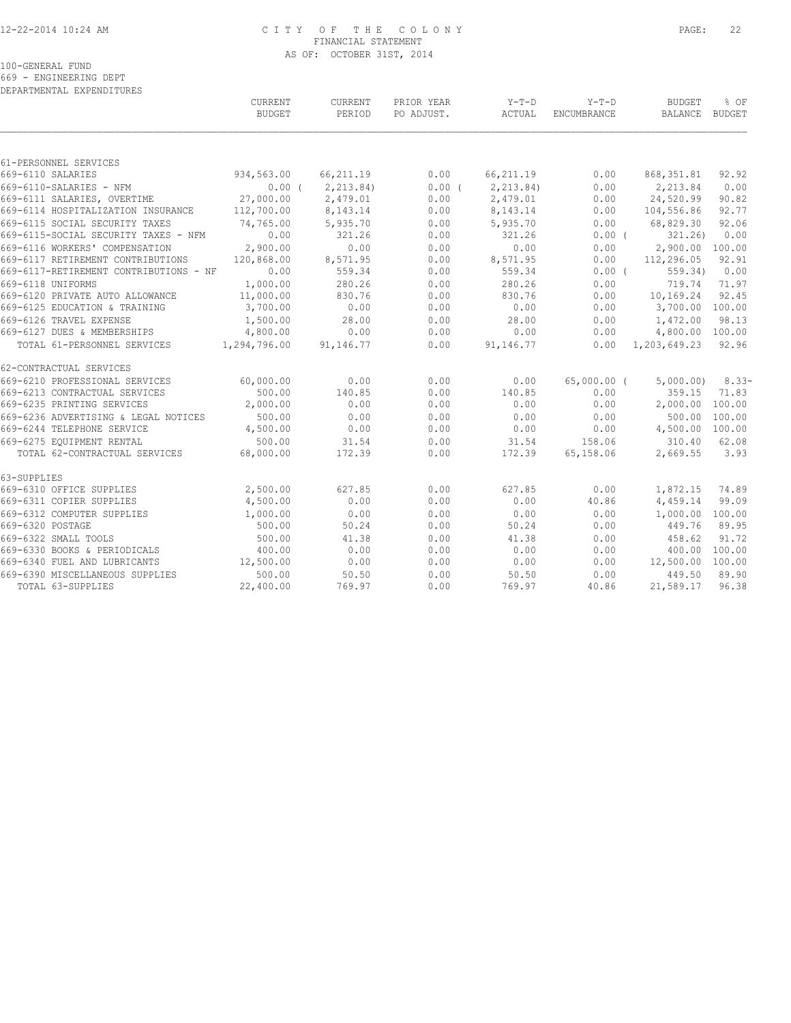#### 12-22-2014 10:24 AM C I T Y O F T H E C O L O N Y PAGE: 22 FINANCIAL STATEMENT AS OF: OCTOBER 31ST, 2014

100-GENERAL FUND

669 - ENGINEERING DEPT DEPARTMENTAL EXPENDITURES

|                                        | CURRENT<br><b>BUDGET</b> | CURRENT<br>PERIOD | PRIOR YEAR<br>PO ADJUST. | Y-T-D<br>ACTUAL | $Y-T-D$<br><b>ENCUMBRANCE</b> | <b>BUDGET</b><br>BALANCE  | % OF<br>BUDGET |
|----------------------------------------|--------------------------|-------------------|--------------------------|-----------------|-------------------------------|---------------------------|----------------|
|                                        |                          |                   |                          |                 |                               |                           |                |
| 61-PERSONNEL SERVICES                  |                          |                   |                          |                 |                               |                           |                |
| 669-6110 SALARIES                      | 934,563.00               | 66,211.19         | 0.00                     | 66,211.19       | 0.00                          | 868, 351.81               | 92.92          |
| 669-6110-SALARIES - NFM                | 0.00(                    | 2, 213.84         | 0.00(                    | 2, 213.84       | 0.00                          | 2,213.84                  | 0.00           |
| 669-6111 SALARIES, OVERTIME            | 27,000.00                | 2,479.01          | 0.00                     | 2,479.01        | 0.00                          | 24,520.99                 | 90.82          |
| 669-6114 HOSPITALIZATION INSURANCE     | 112,700.00               | 8,143.14          | 0.00                     | 8,143.14        | 0.00                          | 104,556.86                | 92.77          |
| 669-6115 SOCIAL SECURITY TAXES         | 74,765.00                | 5,935.70          | 0.00                     | 5,935.70        | 0.00                          | 68,829.30                 | 92.06          |
| 669-6115-SOCIAL SECURITY TAXES - NFM   | 0.00                     | 321.26            | 0.00                     | 321.26          | $0.00$ (                      | 321.26                    | 0.00           |
| 669-6116 WORKERS' COMPENSATION         | 2,900.00                 | 0.00              | 0.00                     | 0.00            | 0.00                          | 2,900.00 100.00           |                |
| 669-6117 RETIREMENT CONTRIBUTIONS      | 120,868.00               | 8,571.95          | 0.00                     | 8,571.95        | 0.00                          | 112,296.05                | 92.91          |
| 669-6117-RETIREMENT CONTRIBUTIONS - NF | 0.00                     | 559.34            | 0.00                     | 559.34          | $0.00$ (                      | 559.34)                   | 0.00           |
| 669-6118 UNIFORMS                      | 1,000.00                 | 280.26            | 0.00                     | 280.26          | 0.00                          | 719.74                    | 71.97          |
| 669-6120 PRIVATE AUTO ALLOWANCE        | 11,000.00                | 830.76            | 0.00                     | 830.76          | 0.00                          | 10,169.24                 | 92.45          |
| 669-6125 EDUCATION & TRAINING          | 3,700.00                 | 0.00              | 0.00                     | 0.00            | 0.00                          | 3,700.00 100.00           |                |
| 669-6126 TRAVEL EXPENSE                | 1,500.00                 | 28.00             | 0.00                     | 28.00           | 0.00                          | 1,472.00                  | 98.13          |
| 669-6127 DUES & MEMBERSHIPS            | 4,800.00                 | 0.00              | 0.00                     | 0.00            | 0.00                          | 4,800.00 100.00           |                |
| TOTAL 61-PERSONNEL SERVICES            | 1,294,796.00             | 91,146.77         | 0.00                     | 91,146.77       |                               | $0.00 \quad 1,203,649.23$ | 92.96          |
| 62-CONTRACTUAL SERVICES                |                          |                   |                          |                 |                               |                           |                |
| 669-6210 PROFESSIONAL SERVICES         | 60,000.00                | 0.00              | 0.00                     | 0.00            | 65,000.00 (                   | 5,000.00)                 | $8.33-$        |
| 669-6213 CONTRACTUAL SERVICES          | 500.00                   | 140.85            | 0.00                     | 140.85          | 0.00                          | 359.15                    | 71.83          |
| 669-6235 PRINTING SERVICES             | 2,000.00                 | 0.00              | 0.00                     | 0.00            | 0.00                          | 2,000.00 100.00           |                |
| 669-6236 ADVERTISING & LEGAL NOTICES   | 500.00                   | 0.00              | 0.00                     | 0.00            | 0.00                          | 500.00 100.00             |                |
| 669-6244 TELEPHONE SERVICE             | 4,500.00                 | 0.00              | 0.00                     | 0.00            | 0.00                          | 4,500.00 100.00           |                |
| 669-6275 EQUIPMENT RENTAL              | 500.00                   | 31.54             | 0.00                     | 31.54           | 158.06                        | 310.40 62.08              |                |
| TOTAL 62-CONTRACTUAL SERVICES          | 68,000.00                | 172.39            | 0.00                     | 172.39          | 65,158.06                     | 2,669.55                  | 3.93           |
| 63-SUPPLIES                            |                          |                   |                          |                 |                               |                           |                |
| 669-6310 OFFICE SUPPLIES               | 2,500.00                 | 627.85            | 0.00                     | 627.85          | 0.00                          | 1,872.15                  | 74.89          |
| 669-6311 COPIER SUPPLIES               | 4,500.00                 | 0.00              | 0.00                     | 0.00            | 40.86                         | 4,459.14                  | 99.09          |
| 669-6312 COMPUTER SUPPLIES             | 1,000.00                 | 0.00              | 0.00                     | 0.00            | 0.00                          | 1,000.00 100.00           |                |
| 669-6320 POSTAGE                       | 500.00                   | 50.24             | 0.00                     | 50.24           | 0.00                          | 449.76                    | 89.95          |
| 669-6322 SMALL TOOLS                   | 500.00                   | 41.38             | 0.00                     | 41.38           | 0.00                          | 458.62                    | 91.72          |
| 669-6330 BOOKS & PERIODICALS           | 400.00                   | 0.00              | 0.00                     | 0.00            | 0.00                          | 400.00 100.00             |                |
| 669-6340 FUEL AND LUBRICANTS           | 12,500.00                | 0.00              | 0.00                     | 0.00            | 0.00                          | 12,500.00 100.00          |                |
| 669-6390 MISCELLANEOUS SUPPLIES        | 500.00                   | 50.50             | 0.00                     | 50.50           | 0.00                          | 449.50 89.90              |                |
| TOTAL 63-SUPPLIES                      | 22,400.00                | 769.97            | 0.00                     | 769.97          | 40.86                         | 21,589.17                 | 96.38          |
|                                        |                          |                   |                          |                 |                               |                           |                |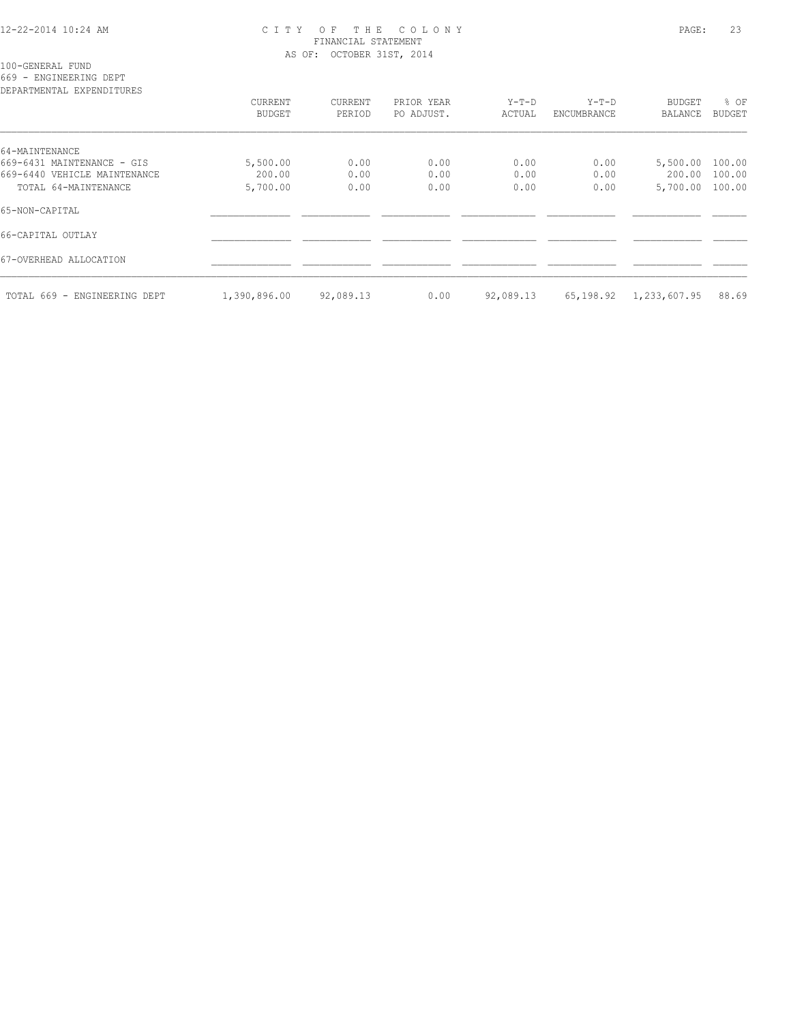#### 12-22-2014 10:24 AM C I T Y O F T H E C O L O N Y PAGE: 23 FINANCIAL STATEMENT AS OF: OCTOBER 31ST, 2014

100-GENERAL FUND

669 - ENGINEERING DEPT

| DEPARTMENTAL EXPENDITURES    |                   |                   |                          |                 |                      |                                 |                       |
|------------------------------|-------------------|-------------------|--------------------------|-----------------|----------------------|---------------------------------|-----------------------|
|                              | CURRENT<br>BUDGET | CURRENT<br>PERIOD | PRIOR YEAR<br>PO ADJUST. | Y-T-D<br>ACTUAL | Y-T-D<br>ENCUMBRANCE | <b>BUDGET</b><br><b>BALANCE</b> | % OF<br><b>BUDGET</b> |
| 64-MAINTENANCE               |                   |                   |                          |                 |                      |                                 |                       |
| 669-6431 MAINTENANCE - GIS   | 5,500.00          | 0.00              | 0.00                     | 0.00            | 0.00                 | 5,500.00 100.00                 |                       |
| 669-6440 VEHICLE MAINTENANCE | 200.00            | 0.00              | 0.00                     | 0.00            | 0.00                 | 200.00 100.00                   |                       |
| TOTAL 64-MAINTENANCE         | 5,700.00          | 0.00              | 0.00                     | 0.00            | 0.00                 | 5,700.00 100.00                 |                       |
| 65-NON-CAPITAL               |                   |                   |                          |                 |                      |                                 |                       |
| 66-CAPITAL OUTLAY            |                   |                   |                          |                 |                      |                                 |                       |
| 67-OVERHEAD ALLOCATION       |                   |                   |                          |                 |                      |                                 |                       |
| TOTAL 669 - ENGINEERING DEPT | 1,390,896.00      | 92,089.13         | 0.00                     | 92,089.13       | 65,198.92            | 1,233,607.95                    | 88.69                 |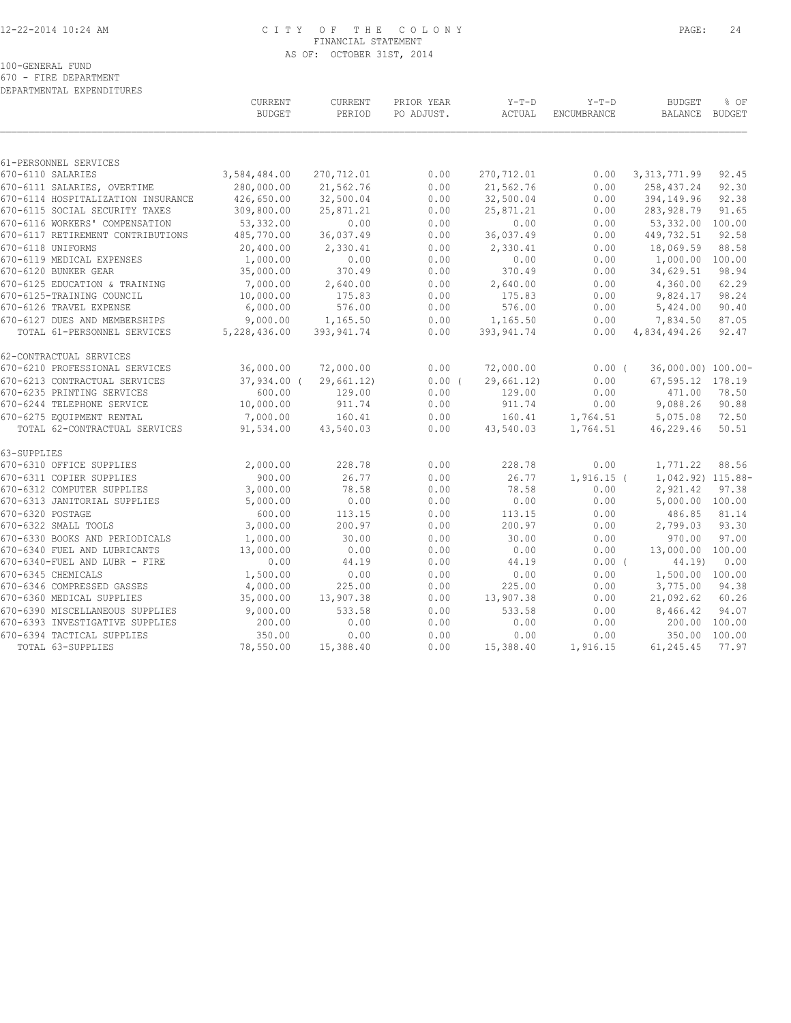#### 12-22-2014 10:24 AM C I T Y O F T H E C O L O N Y PAGE: 24 FINANCIAL STATEMENT AS OF: OCTOBER 31ST, 2014

100-GENERAL FUND

670 - FIRE DEPARTMENT DEPARTMENTAL EXPENDITURES

|                               | CURRENT<br><b>BUDGET</b>                                                                                                                                                                                                                                                                                                                                                                                                                                                                                                                                                                                                                                                        | CURRENT<br>PERIOD                                                                                                                                                                                                                                                    | PRIOR YEAR<br>PO ADJUST.                                                                                                                                                                                                                  | $Y-T-D$<br>ACTUAL                                                                                                                                    | $Y-T-D$<br><b>ENCUMBRANCE</b>                                                                                                                                                                          | <b>BUDGET</b><br>BALANCE BUDGET                                                                                                              | % OF                                                                                                                                                                                                                                                                                                                                                |
|-------------------------------|---------------------------------------------------------------------------------------------------------------------------------------------------------------------------------------------------------------------------------------------------------------------------------------------------------------------------------------------------------------------------------------------------------------------------------------------------------------------------------------------------------------------------------------------------------------------------------------------------------------------------------------------------------------------------------|----------------------------------------------------------------------------------------------------------------------------------------------------------------------------------------------------------------------------------------------------------------------|-------------------------------------------------------------------------------------------------------------------------------------------------------------------------------------------------------------------------------------------|------------------------------------------------------------------------------------------------------------------------------------------------------|--------------------------------------------------------------------------------------------------------------------------------------------------------------------------------------------------------|----------------------------------------------------------------------------------------------------------------------------------------------|-----------------------------------------------------------------------------------------------------------------------------------------------------------------------------------------------------------------------------------------------------------------------------------------------------------------------------------------------------|
|                               |                                                                                                                                                                                                                                                                                                                                                                                                                                                                                                                                                                                                                                                                                 |                                                                                                                                                                                                                                                                      |                                                                                                                                                                                                                                           |                                                                                                                                                      |                                                                                                                                                                                                        |                                                                                                                                              |                                                                                                                                                                                                                                                                                                                                                     |
|                               |                                                                                                                                                                                                                                                                                                                                                                                                                                                                                                                                                                                                                                                                                 |                                                                                                                                                                                                                                                                      |                                                                                                                                                                                                                                           |                                                                                                                                                      |                                                                                                                                                                                                        |                                                                                                                                              |                                                                                                                                                                                                                                                                                                                                                     |
|                               |                                                                                                                                                                                                                                                                                                                                                                                                                                                                                                                                                                                                                                                                                 |                                                                                                                                                                                                                                                                      |                                                                                                                                                                                                                                           |                                                                                                                                                      |                                                                                                                                                                                                        |                                                                                                                                              | 92.45                                                                                                                                                                                                                                                                                                                                               |
|                               |                                                                                                                                                                                                                                                                                                                                                                                                                                                                                                                                                                                                                                                                                 |                                                                                                                                                                                                                                                                      |                                                                                                                                                                                                                                           |                                                                                                                                                      |                                                                                                                                                                                                        |                                                                                                                                              | 92.30                                                                                                                                                                                                                                                                                                                                               |
|                               |                                                                                                                                                                                                                                                                                                                                                                                                                                                                                                                                                                                                                                                                                 |                                                                                                                                                                                                                                                                      |                                                                                                                                                                                                                                           |                                                                                                                                                      |                                                                                                                                                                                                        |                                                                                                                                              | 92.38                                                                                                                                                                                                                                                                                                                                               |
|                               |                                                                                                                                                                                                                                                                                                                                                                                                                                                                                                                                                                                                                                                                                 |                                                                                                                                                                                                                                                                      |                                                                                                                                                                                                                                           |                                                                                                                                                      |                                                                                                                                                                                                        |                                                                                                                                              | 91.65                                                                                                                                                                                                                                                                                                                                               |
|                               |                                                                                                                                                                                                                                                                                                                                                                                                                                                                                                                                                                                                                                                                                 |                                                                                                                                                                                                                                                                      |                                                                                                                                                                                                                                           |                                                                                                                                                      |                                                                                                                                                                                                        |                                                                                                                                              |                                                                                                                                                                                                                                                                                                                                                     |
|                               |                                                                                                                                                                                                                                                                                                                                                                                                                                                                                                                                                                                                                                                                                 |                                                                                                                                                                                                                                                                      |                                                                                                                                                                                                                                           |                                                                                                                                                      |                                                                                                                                                                                                        |                                                                                                                                              | 92.58                                                                                                                                                                                                                                                                                                                                               |
|                               |                                                                                                                                                                                                                                                                                                                                                                                                                                                                                                                                                                                                                                                                                 |                                                                                                                                                                                                                                                                      |                                                                                                                                                                                                                                           |                                                                                                                                                      |                                                                                                                                                                                                        |                                                                                                                                              | 88.58                                                                                                                                                                                                                                                                                                                                               |
|                               |                                                                                                                                                                                                                                                                                                                                                                                                                                                                                                                                                                                                                                                                                 |                                                                                                                                                                                                                                                                      |                                                                                                                                                                                                                                           |                                                                                                                                                      |                                                                                                                                                                                                        |                                                                                                                                              |                                                                                                                                                                                                                                                                                                                                                     |
|                               |                                                                                                                                                                                                                                                                                                                                                                                                                                                                                                                                                                                                                                                                                 |                                                                                                                                                                                                                                                                      |                                                                                                                                                                                                                                           |                                                                                                                                                      |                                                                                                                                                                                                        |                                                                                                                                              | 98.94                                                                                                                                                                                                                                                                                                                                               |
|                               |                                                                                                                                                                                                                                                                                                                                                                                                                                                                                                                                                                                                                                                                                 |                                                                                                                                                                                                                                                                      |                                                                                                                                                                                                                                           |                                                                                                                                                      |                                                                                                                                                                                                        |                                                                                                                                              | 62.29                                                                                                                                                                                                                                                                                                                                               |
|                               |                                                                                                                                                                                                                                                                                                                                                                                                                                                                                                                                                                                                                                                                                 |                                                                                                                                                                                                                                                                      | 0.00                                                                                                                                                                                                                                      | 175.83                                                                                                                                               | 0.00                                                                                                                                                                                                   |                                                                                                                                              | 98.24                                                                                                                                                                                                                                                                                                                                               |
|                               |                                                                                                                                                                                                                                                                                                                                                                                                                                                                                                                                                                                                                                                                                 |                                                                                                                                                                                                                                                                      |                                                                                                                                                                                                                                           |                                                                                                                                                      | 0.00                                                                                                                                                                                                   |                                                                                                                                              | 90.40                                                                                                                                                                                                                                                                                                                                               |
| 670-6127 DUES AND MEMBERSHIPS | 9,000.00                                                                                                                                                                                                                                                                                                                                                                                                                                                                                                                                                                                                                                                                        | 1,165.50                                                                                                                                                                                                                                                             | 0.00                                                                                                                                                                                                                                      | 1,165.50                                                                                                                                             | 0.00                                                                                                                                                                                                   | 7,834.50                                                                                                                                     | 87.05                                                                                                                                                                                                                                                                                                                                               |
| TOTAL 61-PERSONNEL SERVICES   | 5,228,436.00                                                                                                                                                                                                                                                                                                                                                                                                                                                                                                                                                                                                                                                                    | 393, 941.74                                                                                                                                                                                                                                                          | 0.00                                                                                                                                                                                                                                      | 393, 941.74                                                                                                                                          | 0.00                                                                                                                                                                                                   | 4,834,494.26                                                                                                                                 | 92.47                                                                                                                                                                                                                                                                                                                                               |
| 62-CONTRACTUAL SERVICES       |                                                                                                                                                                                                                                                                                                                                                                                                                                                                                                                                                                                                                                                                                 |                                                                                                                                                                                                                                                                      |                                                                                                                                                                                                                                           |                                                                                                                                                      |                                                                                                                                                                                                        |                                                                                                                                              |                                                                                                                                                                                                                                                                                                                                                     |
|                               |                                                                                                                                                                                                                                                                                                                                                                                                                                                                                                                                                                                                                                                                                 |                                                                                                                                                                                                                                                                      |                                                                                                                                                                                                                                           |                                                                                                                                                      |                                                                                                                                                                                                        |                                                                                                                                              |                                                                                                                                                                                                                                                                                                                                                     |
| 670-6213 CONTRACTUAL SERVICES |                                                                                                                                                                                                                                                                                                                                                                                                                                                                                                                                                                                                                                                                                 | 29,661.12)                                                                                                                                                                                                                                                           |                                                                                                                                                                                                                                           | 29,661.12)                                                                                                                                           | 0.00                                                                                                                                                                                                   | 67,595.12 178.19                                                                                                                             |                                                                                                                                                                                                                                                                                                                                                     |
| 670-6235 PRINTING SERVICES    | 600.00                                                                                                                                                                                                                                                                                                                                                                                                                                                                                                                                                                                                                                                                          | 129.00                                                                                                                                                                                                                                                               | 0.00                                                                                                                                                                                                                                      | 129.00                                                                                                                                               |                                                                                                                                                                                                        | 471.00                                                                                                                                       | 78.50                                                                                                                                                                                                                                                                                                                                               |
| 670-6244 TELEPHONE SERVICE    |                                                                                                                                                                                                                                                                                                                                                                                                                                                                                                                                                                                                                                                                                 |                                                                                                                                                                                                                                                                      | 0.00                                                                                                                                                                                                                                      | 911.74                                                                                                                                               |                                                                                                                                                                                                        |                                                                                                                                              | 90.88                                                                                                                                                                                                                                                                                                                                               |
| 670-6275 EQUIPMENT RENTAL     | 7,000.00                                                                                                                                                                                                                                                                                                                                                                                                                                                                                                                                                                                                                                                                        | 160.41                                                                                                                                                                                                                                                               | 0.00                                                                                                                                                                                                                                      | 160.41                                                                                                                                               | 1,764.51                                                                                                                                                                                               | 5,075.08                                                                                                                                     | 72.50                                                                                                                                                                                                                                                                                                                                               |
| TOTAL 62-CONTRACTUAL SERVICES | 91,534.00                                                                                                                                                                                                                                                                                                                                                                                                                                                                                                                                                                                                                                                                       | 43,540.03                                                                                                                                                                                                                                                            | 0.00                                                                                                                                                                                                                                      | 43,540.03                                                                                                                                            | 1,764.51                                                                                                                                                                                               | 46,229.46                                                                                                                                    | 50.51                                                                                                                                                                                                                                                                                                                                               |
|                               |                                                                                                                                                                                                                                                                                                                                                                                                                                                                                                                                                                                                                                                                                 |                                                                                                                                                                                                                                                                      |                                                                                                                                                                                                                                           |                                                                                                                                                      |                                                                                                                                                                                                        |                                                                                                                                              |                                                                                                                                                                                                                                                                                                                                                     |
|                               |                                                                                                                                                                                                                                                                                                                                                                                                                                                                                                                                                                                                                                                                                 |                                                                                                                                                                                                                                                                      |                                                                                                                                                                                                                                           |                                                                                                                                                      |                                                                                                                                                                                                        |                                                                                                                                              | 88.56                                                                                                                                                                                                                                                                                                                                               |
|                               |                                                                                                                                                                                                                                                                                                                                                                                                                                                                                                                                                                                                                                                                                 |                                                                                                                                                                                                                                                                      |                                                                                                                                                                                                                                           | 26.77                                                                                                                                                |                                                                                                                                                                                                        |                                                                                                                                              |                                                                                                                                                                                                                                                                                                                                                     |
| 670-6312 COMPUTER SUPPLIES    | 3,000.00                                                                                                                                                                                                                                                                                                                                                                                                                                                                                                                                                                                                                                                                        | 78.58                                                                                                                                                                                                                                                                | 0.00                                                                                                                                                                                                                                      | 78.58                                                                                                                                                | 0.00                                                                                                                                                                                                   | 2,921.42                                                                                                                                     | 97.38                                                                                                                                                                                                                                                                                                                                               |
| 670-6313 JANITORIAL SUPPLIES  | 5,000.00                                                                                                                                                                                                                                                                                                                                                                                                                                                                                                                                                                                                                                                                        | 0.00                                                                                                                                                                                                                                                                 | 0.00                                                                                                                                                                                                                                      | 0.00                                                                                                                                                 | 0.00                                                                                                                                                                                                   | 5,000.00 100.00                                                                                                                              |                                                                                                                                                                                                                                                                                                                                                     |
| 670-6320 POSTAGE              | 600.00                                                                                                                                                                                                                                                                                                                                                                                                                                                                                                                                                                                                                                                                          | 113.15                                                                                                                                                                                                                                                               | 0.00                                                                                                                                                                                                                                      | 113.15                                                                                                                                               | 0.00                                                                                                                                                                                                   | 486.85                                                                                                                                       | 81.14                                                                                                                                                                                                                                                                                                                                               |
| 670-6322 SMALL TOOLS          | 3,000.00                                                                                                                                                                                                                                                                                                                                                                                                                                                                                                                                                                                                                                                                        | 200.97                                                                                                                                                                                                                                                               | 0.00                                                                                                                                                                                                                                      | 200.97                                                                                                                                               | 0.00                                                                                                                                                                                                   | 2,799.03                                                                                                                                     | 93.30                                                                                                                                                                                                                                                                                                                                               |
|                               | 1,000.00                                                                                                                                                                                                                                                                                                                                                                                                                                                                                                                                                                                                                                                                        | 30.00                                                                                                                                                                                                                                                                | 0.00                                                                                                                                                                                                                                      | 30.00                                                                                                                                                | 0.00                                                                                                                                                                                                   | 970.00                                                                                                                                       | 97.00                                                                                                                                                                                                                                                                                                                                               |
| 670-6340 FUEL AND LUBRICANTS  | 13,000.00                                                                                                                                                                                                                                                                                                                                                                                                                                                                                                                                                                                                                                                                       | 0.00                                                                                                                                                                                                                                                                 | 0.00                                                                                                                                                                                                                                      | 0.00                                                                                                                                                 | 0.00                                                                                                                                                                                                   | 13,000.00 100.00                                                                                                                             |                                                                                                                                                                                                                                                                                                                                                     |
| 670-6340-FUEL AND LUBR - FIRE | 0.00                                                                                                                                                                                                                                                                                                                                                                                                                                                                                                                                                                                                                                                                            | 44.19                                                                                                                                                                                                                                                                | 0.00                                                                                                                                                                                                                                      | 44.19                                                                                                                                                |                                                                                                                                                                                                        | 44.19)                                                                                                                                       | 0.00                                                                                                                                                                                                                                                                                                                                                |
|                               |                                                                                                                                                                                                                                                                                                                                                                                                                                                                                                                                                                                                                                                                                 |                                                                                                                                                                                                                                                                      |                                                                                                                                                                                                                                           |                                                                                                                                                      |                                                                                                                                                                                                        |                                                                                                                                              |                                                                                                                                                                                                                                                                                                                                                     |
|                               |                                                                                                                                                                                                                                                                                                                                                                                                                                                                                                                                                                                                                                                                                 |                                                                                                                                                                                                                                                                      |                                                                                                                                                                                                                                           |                                                                                                                                                      |                                                                                                                                                                                                        |                                                                                                                                              | 94.38                                                                                                                                                                                                                                                                                                                                               |
| 670-6360 MEDICAL SUPPLIES     | 35,000.00                                                                                                                                                                                                                                                                                                                                                                                                                                                                                                                                                                                                                                                                       | 13,907.38                                                                                                                                                                                                                                                            | 0.00                                                                                                                                                                                                                                      | 13,907.38                                                                                                                                            | 0.00                                                                                                                                                                                                   | 21,092.62                                                                                                                                    | 60.26                                                                                                                                                                                                                                                                                                                                               |
|                               |                                                                                                                                                                                                                                                                                                                                                                                                                                                                                                                                                                                                                                                                                 |                                                                                                                                                                                                                                                                      |                                                                                                                                                                                                                                           |                                                                                                                                                      |                                                                                                                                                                                                        |                                                                                                                                              | 94.07                                                                                                                                                                                                                                                                                                                                               |
|                               |                                                                                                                                                                                                                                                                                                                                                                                                                                                                                                                                                                                                                                                                                 |                                                                                                                                                                                                                                                                      |                                                                                                                                                                                                                                           |                                                                                                                                                      |                                                                                                                                                                                                        |                                                                                                                                              | 100.00                                                                                                                                                                                                                                                                                                                                              |
|                               |                                                                                                                                                                                                                                                                                                                                                                                                                                                                                                                                                                                                                                                                                 |                                                                                                                                                                                                                                                                      |                                                                                                                                                                                                                                           |                                                                                                                                                      |                                                                                                                                                                                                        |                                                                                                                                              | 100.00                                                                                                                                                                                                                                                                                                                                              |
| TOTAL 63-SUPPLIES             | 78,550.00                                                                                                                                                                                                                                                                                                                                                                                                                                                                                                                                                                                                                                                                       | 15,388.40                                                                                                                                                                                                                                                            | 0.00                                                                                                                                                                                                                                      | 15,388.40                                                                                                                                            | 1,916.15                                                                                                                                                                                               | 61,245.45                                                                                                                                    | 77.97                                                                                                                                                                                                                                                                                                                                               |
|                               | 61-PERSONNEL SERVICES<br>670-6110 SALARIES<br>670-6111 SALARIES, OVERTIME<br>670-6114 HOSPITALIZATION INSURANCE<br>670-6115 SOCIAL SECURITY TAXES<br>670-6116 WORKERS' COMPENSATION<br>670-6117 RETIREMENT CONTRIBUTIONS<br>670-6118 UNIFORMS<br>670-6119 MEDICAL EXPENSES<br>670-6120 BUNKER GEAR<br>670-6125 EDUCATION & TRAINING<br>670-6125-TRAINING COUNCIL<br>670-6126 TRAVEL EXPENSE<br>670-6210 PROFESSIONAL SERVICES<br>670-6310 OFFICE SUPPLIES<br>670-6311 COPIER SUPPLIES<br>670-6330 BOOKS AND PERIODICALS<br>670-6345 CHEMICALS<br>670-6346 COMPRESSED GASSES<br>670-6390 MISCELLANEOUS SUPPLIES<br>670-6393 INVESTIGATIVE SUPPLIES<br>670-6394 TACTICAL SUPPLIES | 3,584,484.00<br>280,000.00<br>426,650.00<br>309,800.00<br>53,332.00<br>485,770.00<br>20,400.00<br>1,000.00<br>35,000.00<br>7,000.00<br>10,000.00<br>6,000.00<br>36,000.00<br>10,000.00<br>2,000.00<br>900.00<br>1,500.00<br>4,000.00<br>9,000.00<br>200.00<br>350.00 | 270,712.01<br>21,562.76<br>32,500.04<br>25,871.21<br>0.00<br>36,037.49<br>2,330.41<br>0.00<br>370.49<br>2,640.00<br>175.83<br>576.00<br>72,000.00<br>37,934.00 (<br>911.74<br>228.78<br>26.77<br>0.00<br>225.00<br>533.58<br>0.00<br>0.00 | 0.00<br>0.00<br>0.00<br>0.00<br>0.00<br>0.00<br>0.00<br>0.00<br>0.00<br>0.00<br>0.00<br>0.00<br>0.00<br>0.00<br>0.00<br>0.00<br>0.00<br>0.00<br>0.00 | 270,712.01<br>21,562.76<br>32,500.04<br>25,871.21<br>0.00<br>36,037.49<br>2,330.41<br>0.00<br>370.49<br>2,640.00<br>576.00<br>72,000.00<br>0.00(<br>228.78<br>0.00<br>225.00<br>533.58<br>0.00<br>0.00 | 0.00<br>0.00<br>0.00<br>0.00<br>0.00<br>0.00<br>0.00<br>0.00<br>0.00<br>0.00<br>0.00<br>0.00<br>0.00<br>0.00<br>0.00<br>0.00<br>0.00<br>0.00 | 3, 313, 771.99<br>258, 437.24<br>394,149.96<br>283,928.79<br>53,332.00 100.00<br>449,732.51<br>18,069.59<br>1,000.00 100.00<br>34,629.51<br>4,360.00<br>9,824.17<br>5,424.00<br>0.00(<br>36,000.00) 100.00-<br>9,088.26<br>1,771.22<br>1,042.92) 115.88-<br>$1,916.15$ (<br>$0.00$ (<br>1,500.00 100.00<br>3,775.00<br>8,466.42<br>200.00<br>350.00 |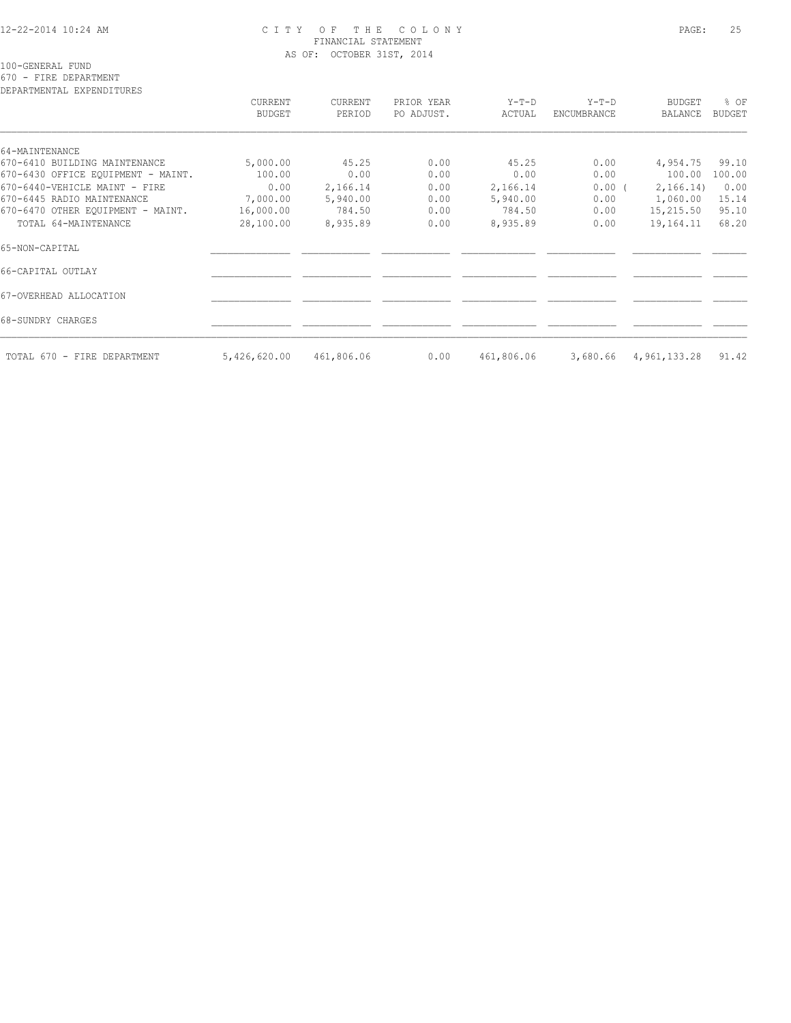#### 12-22-2014 10:24 AM C I T Y O F T H E C O L O N Y PAGE: 25 FINANCIAL STATEMENT AS OF: OCTOBER 31ST, 2014

100-GENERAL FUND

670 - FIRE DEPARTMENT

| DEPARTMENTAL EXPENDITURES          | CURRENT<br>BUDGET | CURRENT<br>PERIOD | PRIOR YEAR<br>PO ADJUST. | Y-T-D<br>ACTUAL | $Y-T-D$<br>ENCUMBRANCE | BUDGET<br>BALANCE | % OF<br><b>BUDGET</b> |
|------------------------------------|-------------------|-------------------|--------------------------|-----------------|------------------------|-------------------|-----------------------|
| 64-MAINTENANCE                     |                   |                   |                          |                 |                        |                   |                       |
| 670-6410 BUILDING MAINTENANCE      | 5,000.00          | 45.25             | 0.00                     | 45.25           | 0.00                   | 4,954.75          | 99.10                 |
| 670-6430 OFFICE EQUIPMENT - MAINT. | 100.00            | 0.00              | 0.00                     | 0.00            | 0.00                   | 100.00            | 100.00                |
| 670-6440-VEHICLE MAINT - FIRE      | 0.00              | 2,166.14          | 0.00                     | 2,166.14        | 0.00(                  | 2,166.14)         | 0.00                  |
| 670-6445 RADIO MAINTENANCE         | 7,000.00          | 5,940.00          | 0.00                     | 5,940.00        | 0.00                   | 1,060.00          | 15.14                 |
| 670-6470 OTHER EQUIPMENT - MAINT.  | 16,000.00         | 784.50            | 0.00                     | 784.50          | 0.00                   | 15,215.50         | 95.10                 |
| TOTAL 64-MAINTENANCE               | 28,100.00         | 8,935.89          | 0.00                     | 8,935.89        | 0.00                   | 19,164.11         | 68.20                 |
| 65-NON-CAPITAL                     |                   |                   |                          |                 |                        |                   |                       |
| 66-CAPITAL OUTLAY                  |                   |                   |                          |                 |                        |                   |                       |
| 67-OVERHEAD ALLOCATION             |                   |                   |                          |                 |                        |                   |                       |
| 68-SUNDRY CHARGES                  |                   |                   |                          |                 |                        |                   |                       |
| TOTAL 670 - FIRE DEPARTMENT        | 5,426,620.00      | 461,806.06        | 0.00                     | 461,806.06      | 3,680.66               | 4,961,133.28      | 91.42                 |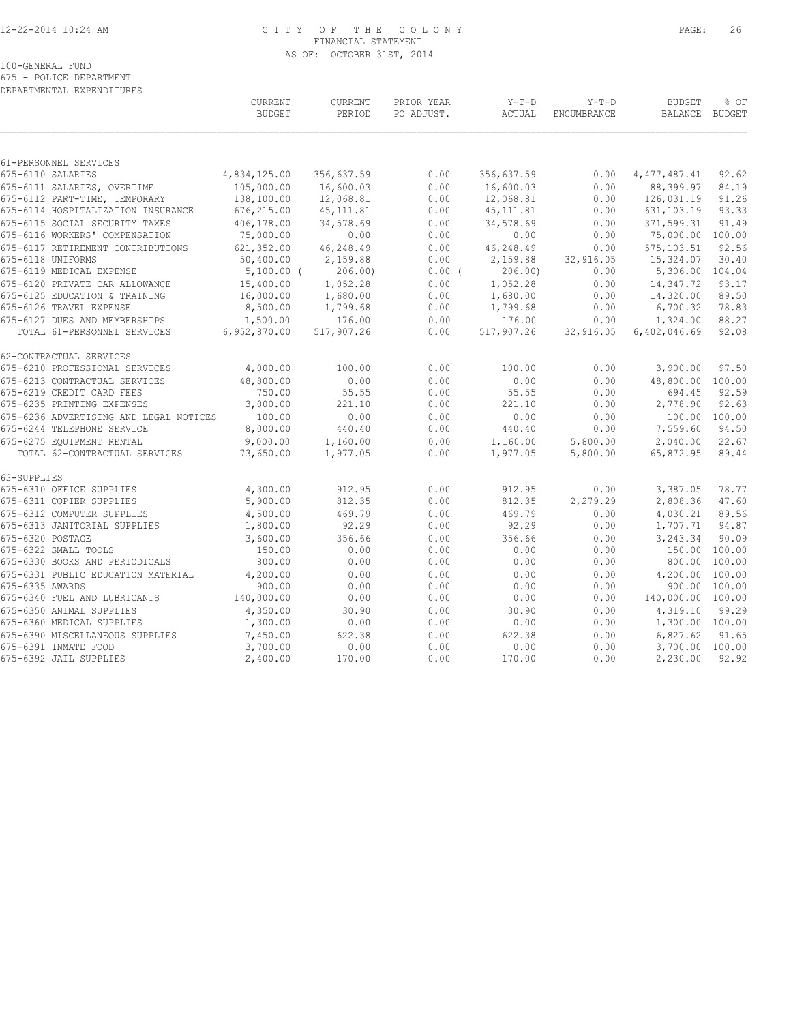#### 12-22-2014 10:24 AM C I T Y O F T H E C O L O N Y PAGE: 26 FINANCIAL STATEMENT AS OF: OCTOBER 31ST, 2014

100-GENERAL FUND

675 - POLICE DEPARTMENT DEPARTMENTAL EXPENDITURES

|                                        | CURRENT<br><b>BUDGET</b> | CURRENT<br>PERIOD | PRIOR YEAR<br>PO ADJUST. | $Y-T-D$<br>ACTUAL | $Y-T-D$<br>ENCUMBRANCE | <b>BUDGET</b><br><b>BALANCE</b> | % OF<br><b>BUDGET</b> |
|----------------------------------------|--------------------------|-------------------|--------------------------|-------------------|------------------------|---------------------------------|-----------------------|
| 61-PERSONNEL SERVICES                  |                          |                   |                          |                   |                        |                                 |                       |
| 675-6110 SALARIES                      | 4,834,125.00             | 356,637.59        | 0.00                     | 356,637.59        | 0.00                   | 4, 477, 487.41                  | 92.62                 |
| 675-6111 SALARIES, OVERTIME            | 105,000.00               | 16,600.03         | 0.00                     | 16,600.03         | 0.00                   | 88,399.97                       | 84.19                 |
| 675-6112 PART-TIME, TEMPORARY          | 138,100.00               | 12,068.81         | 0.00                     | 12,068.81         | 0.00                   | 126,031.19                      | 91.26                 |
| 675-6114 HOSPITALIZATION INSURANCE     | 676,215.00               | 45, 111.81        | 0.00                     | 45, 111.81        | 0.00                   | 631, 103.19                     | 93.33                 |
| 675-6115 SOCIAL SECURITY TAXES         | 406,178.00               | 34,578.69         | 0.00                     | 34,578.69         | 0.00                   | 371,599.31                      | 91.49                 |
| 675-6116 WORKERS' COMPENSATION         | 75,000.00                | 0.00              | 0.00                     | 0.00              | 0.00                   | 75,000.00                       | 100.00                |
| 675-6117 RETIREMENT CONTRIBUTIONS      | 621,352.00               | 46,248.49         | 0.00                     | 46,248.49         | 0.00                   | 575, 103.51                     | 92.56                 |
| 675-6118 UNIFORMS                      | 50,400.00                | 2,159.88          | 0.00                     | 2,159.88          | 32,916.05              | 15,324.07                       | 30.40                 |
| 675-6119 MEDICAL EXPENSE               | $5,100.00$ (             | 206.00)           | $0.00$ (                 | 206.00            | 0.00                   | 5,306.00                        | 104.04                |
| 675-6120 PRIVATE CAR ALLOWANCE         | 15,400.00                | 1,052.28          | 0.00                     | 1,052.28          | 0.00                   | 14,347.72                       | 93.17                 |
| 675-6125 EDUCATION & TRAINING          | 16,000.00                | 1,680.00          | 0.00                     | 1,680.00          | 0.00                   | 14,320.00                       | 89.50                 |
| 675-6126 TRAVEL EXPENSE                | 8,500.00                 | 1,799.68          | 0.00                     | 1,799.68          | 0.00                   | 6,700.32                        | 78.83                 |
| 675-6127 DUES AND MEMBERSHIPS          | 1,500.00                 | 176.00            | 0.00                     | 176.00            | 0.00                   | 1,324.00                        | 88.27                 |
| TOTAL 61-PERSONNEL SERVICES            | 6,952,870.00             | 517,907.26        | 0.00                     | 517,907.26        | 32,916.05              | 6,402,046.69                    | 92.08                 |
| 62-CONTRACTUAL SERVICES                |                          |                   |                          |                   |                        |                                 |                       |
| 675-6210 PROFESSIONAL SERVICES         | 4,000.00                 | 100.00            | 0.00                     | 100.00            | 0.00                   | 3,900.00                        | 97.50                 |
| 675-6213 CONTRACTUAL SERVICES          | 48,800.00                | 0.00              | 0.00                     | 0.00              | 0.00                   | 48,800.00                       | 100.00                |
| 675-6219 CREDIT CARD FEES              | 750.00                   | 55.55             | 0.00                     | 55.55             | 0.00                   | 694.45                          | 92.59                 |
| 675-6235 PRINTING EXPENSES             | 3,000.00                 | 221.10            | 0.00                     | 221.10            | 0.00                   | 2,778.90                        | 92.63                 |
| 675-6236 ADVERTISING AND LEGAL NOTICES | 100.00                   | 0.00              | 0.00                     | 0.00              | 0.00                   |                                 | 100.00 100.00         |
| 675-6244 TELEPHONE SERVICE             | 8,000.00                 | 440.40            | 0.00                     | 440.40            | 0.00                   | 7,559.60                        | 94.50                 |
| 675-6275 EOUIPMENT RENTAL              | 9,000.00                 | 1,160.00          | 0.00                     | 1,160.00          | 5,800.00               | 2,040.00                        | 22.67                 |
| TOTAL 62-CONTRACTUAL SERVICES          | 73,650.00                | 1,977.05          | 0.00                     | 1,977.05          | 5,800.00               | 65,872.95                       | 89.44                 |
| 63-SUPPLIES                            |                          |                   |                          |                   |                        |                                 |                       |
| 675-6310 OFFICE SUPPLIES               | 4,300.00                 | 912.95            | 0.00                     | 912.95            | 0.00                   | 3,387.05                        | 78.77                 |
| 675-6311 COPIER SUPPLIES               | 5,900.00                 | 812.35            | 0.00                     | 812.35            | 2,279.29               | 2,808.36                        | 47.60                 |
| 675-6312 COMPUTER SUPPLIES             | 4,500.00                 | 469.79            | 0.00                     | 469.79            | 0.00                   | 4,030.21                        | 89.56                 |
| 675-6313 JANITORIAL SUPPLIES           | 1,800.00                 | 92.29             | 0.00                     | 92.29             | 0.00                   | 1,707.71                        | 94.87                 |
| 675-6320 POSTAGE                       | 3,600.00                 | 356.66            | 0.00                     | 356.66            | 0.00                   | 3,243.34                        | 90.09                 |
| 675-6322 SMALL TOOLS                   | 150.00                   | 0.00              | 0.00                     | 0.00              | 0.00                   | 150.00                          | 100.00                |
| 675-6330 BOOKS AND PERIODICALS         | 800.00                   | 0.00              | 0.00                     | 0.00              | 0.00                   | 800.00                          | 100.00                |
| 675-6331 PUBLIC EDUCATION MATERIAL     | 4,200.00                 | 0.00              | 0.00                     | 0.00              | 0.00                   | 4,200.00                        | 100.00                |
| 675-6335 AWARDS                        | 900.00                   | 0.00              | 0.00                     | 0.00              | 0.00                   | 900.00                          | 100.00                |
| 675-6340 FUEL AND LUBRICANTS           | 140,000.00               | 0.00              | 0.00                     | 0.00              | 0.00                   | 140,000.00 100.00               |                       |
| 675-6350 ANIMAL SUPPLIES               | 4,350.00                 | 30.90             | 0.00                     | 30.90             | 0.00                   | 4,319.10                        | 99.29                 |
| 675-6360 MEDICAL SUPPLIES              | 1,300.00                 | 0.00              | 0.00                     | 0.00              | 0.00                   | 1,300.00 100.00                 |                       |
| 675-6390 MISCELLANEOUS SUPPLIES        | 7,450.00                 | 622.38            | 0.00                     | 622.38            | 0.00                   | 6,827.62                        | 91.65                 |
| 675-6391 INMATE FOOD                   | 3,700.00                 | 0.00              | 0.00                     | 0.00              | 0.00                   | 3,700.00 100.00                 |                       |
| 675-6392 JAIL SUPPLIES                 | 2,400.00                 | 170.00            | 0.00                     | 170.00            | 0.00                   | 2,230.00                        | 92.92                 |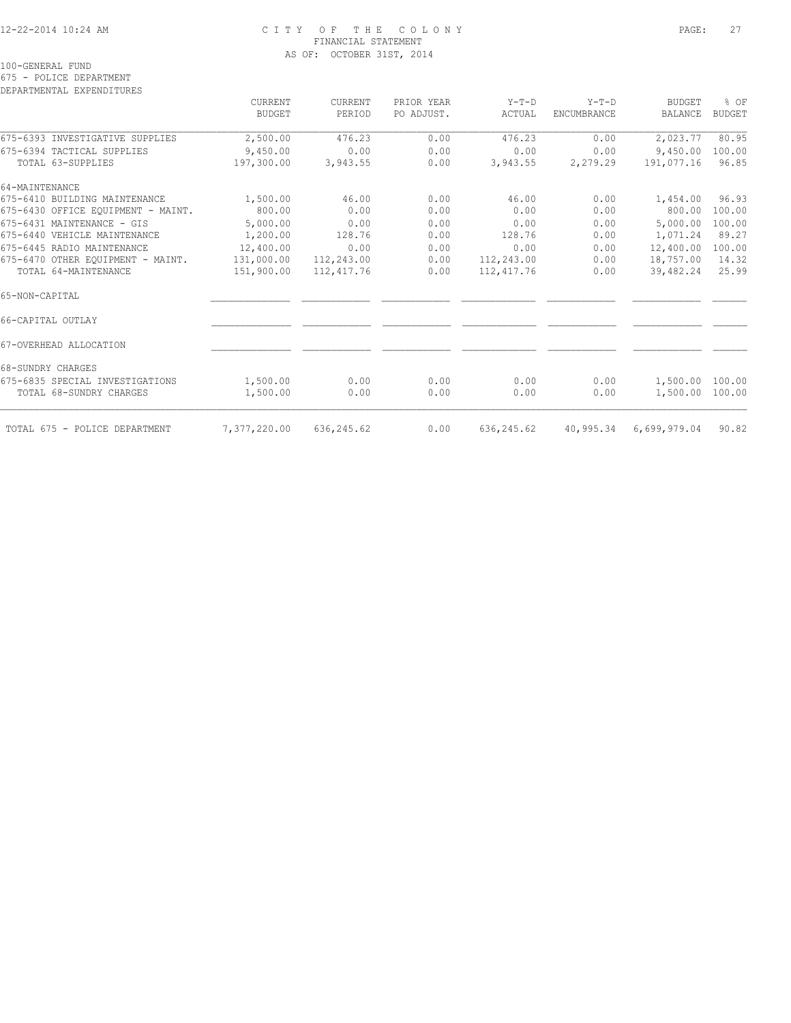#### 12-22-2014 10:24 AM C I T Y O F T H E C O L O N Y PAGE: 27 FINANCIAL STATEMENT AS OF: OCTOBER 31ST, 2014

100-GENERAL FUND

675 - POLICE DEPARTMENT

DEPARTMENTAL EXPENDITURES

|                                    | CURRENT<br><b>BUDGET</b> | <b>CURRENT</b><br>PERIOD | PRIOR YEAR<br>PO ADJUST. | $Y-T-D$<br>ACTUAL | $Y-T-D$<br>ENCUMBRANCE | <b>BUDGET</b><br>BALANCE | % OF<br><b>BUDGET</b> |
|------------------------------------|--------------------------|--------------------------|--------------------------|-------------------|------------------------|--------------------------|-----------------------|
| 675-6393 INVESTIGATIVE SUPPLIES    | 2,500.00                 | 476.23                   | 0.00                     | 476.23            | 0.00                   | 2,023.77                 | 80.95                 |
| 675-6394 TACTICAL SUPPLIES         | 9,450.00                 | 0.00                     | 0.00                     | 0.00              | 0.00                   | 9,450.00                 | 100.00                |
| TOTAL 63-SUPPLIES                  | 197,300.00               | 3,943.55                 | 0.00                     | 3,943.55          | 2,279.29               | 191,077.16               | 96.85                 |
| 64-MAINTENANCE                     |                          |                          |                          |                   |                        |                          |                       |
| 675-6410 BUILDING MAINTENANCE      | 1,500.00                 | 46.00                    | 0.00                     | 46.00             | 0.00                   | 1,454.00                 | 96.93                 |
| 675-6430 OFFICE EQUIPMENT - MAINT. | 800.00                   | 0.00                     | 0.00                     | 0.00              | 0.00                   | 800.00                   | 100.00                |
| 675-6431 MAINTENANCE - GIS         | 5,000.00                 | 0.00                     | 0.00                     | 0.00              | 0.00                   | 5,000.00                 | 100.00                |
| 675-6440 VEHICLE MAINTENANCE       | 1,200.00                 | 128.76                   | 0.00                     | 128.76            | 0.00                   | 1,071.24                 | 89.27                 |
| 675-6445 RADIO MAINTENANCE         | 12,400.00                | 0.00                     | 0.00                     | 0.00              | 0.00                   | 12,400.00                | 100.00                |
| 675-6470 OTHER EOUIPMENT - MAINT.  | 131,000.00               | 112,243.00               | 0.00                     | 112,243.00        | 0.00                   | 18,757.00                | 14.32                 |
| TOTAL 64-MAINTENANCE               | 151,900.00               | 112, 417.76              | 0.00                     | 112,417.76        | 0.00                   | 39,482.24                | 25.99                 |
| 65-NON-CAPITAL                     |                          |                          |                          |                   |                        |                          |                       |
| 66-CAPITAL OUTLAY                  |                          |                          |                          |                   |                        |                          |                       |
| 67-OVERHEAD ALLOCATION             |                          |                          |                          |                   |                        |                          |                       |
| 68-SUNDRY CHARGES                  |                          |                          |                          |                   |                        |                          |                       |
| 675-6835 SPECIAL INVESTIGATIONS    | 1,500.00                 | 0.00                     | 0.00                     | 0.00              | 0.00                   | 1,500.00 100.00          |                       |
| TOTAL 68-SUNDRY CHARGES            | 1,500.00                 | 0.00                     | 0.00                     | 0.00              | 0.00                   | 1,500.00 100.00          |                       |
| TOTAL 675 - POLICE DEPARTMENT      | 7,377,220.00             | 636, 245.62              | 0.00                     | 636, 245.62       | 40,995.34              | 6,699,979.04             | 90.82                 |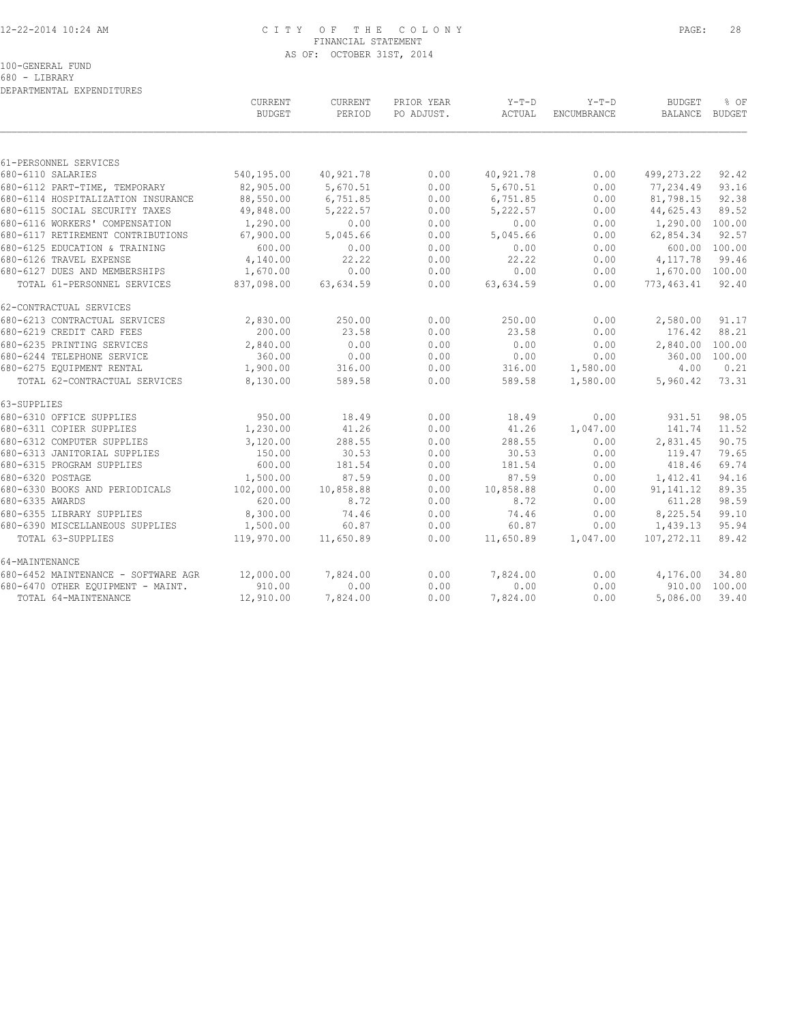#### 12-22-2014 10:24 AM C I T Y O F T H E C O L O N Y PAGE: 28 FINANCIAL STATEMENT AS OF: OCTOBER 31ST, 2014

|  | 680 - LIBRARY |                           |
|--|---------------|---------------------------|
|  |               | DEPARTMENTAL EXPENDITURES |

|                                     | <b>CURRENT</b><br><b>BUDGET</b> | <b>CURRENT</b><br>PERIOD | PRIOR YEAR<br>PO ADJUST. | $Y-T-D$<br>ACTUAL | $Y-T-D$<br><b>ENCUMBRANCE</b> | <b>BUDGET</b><br><b>BALANCE</b> | % OF<br>BUDGET |
|-------------------------------------|---------------------------------|--------------------------|--------------------------|-------------------|-------------------------------|---------------------------------|----------------|
|                                     |                                 |                          |                          |                   |                               |                                 |                |
| 61-PERSONNEL SERVICES               |                                 |                          |                          |                   |                               |                                 |                |
| 680-6110 SALARIES                   | 540,195.00                      | 40,921.78                | 0.00                     | 40,921.78         | 0.00                          | 499,273.22                      | 92.42          |
| 680-6112 PART-TIME, TEMPORARY       | 82,905.00                       | 5,670.51                 | 0.00                     | 5,670.51          | 0.00                          | 77,234.49                       | 93.16          |
| 680-6114 HOSPITALIZATION INSURANCE  | 88,550.00                       | 6,751.85                 | 0.00                     | 6,751.85          | 0.00                          | 81,798.15                       | 92.38          |
| 680-6115 SOCIAL SECURITY TAXES      | 49,848.00                       | 5,222.57                 | 0.00                     | 5,222.57          | 0.00                          | 44,625.43                       | 89.52          |
| 680-6116 WORKERS' COMPENSATION      | 1,290.00                        | 0.00                     | 0.00                     | 0.00              | 0.00                          | 1,290.00 100.00                 |                |
| 680-6117 RETIREMENT CONTRIBUTIONS   | 67,900.00                       | 5,045.66                 | 0.00                     | 5,045.66          | 0.00                          | 62,854.34                       | 92.57          |
| 680-6125 EDUCATION & TRAINING       | 600.00                          | 0.00                     | 0.00                     | 0.00              | 0.00                          |                                 | 600.00 100.00  |
| 680-6126 TRAVEL EXPENSE             | 4,140.00                        | 22.22                    | 0.00                     | 22.22             | 0.00                          | 4,117.78                        | 99.46          |
| 680-6127 DUES AND MEMBERSHIPS       | 1,670.00                        | 0.00                     | 0.00                     | 0.00              | 0.00                          | 1,670.00 100.00                 |                |
| TOTAL 61-PERSONNEL SERVICES         | 837,098.00                      | 63,634.59                | 0.00                     | 63,634.59         | 0.00                          | 773,463.41                      | 92.40          |
| 62-CONTRACTUAL SERVICES             |                                 |                          |                          |                   |                               |                                 |                |
| 680-6213 CONTRACTUAL SERVICES       | 2,830.00                        | 250.00                   | 0.00                     | 250.00            | 0.00                          | 2,580.00                        | 91.17          |
| 680-6219 CREDIT CARD FEES           | 200.00                          | 23.58                    | 0.00                     | 23.58             | 0.00                          | 176.42                          | 88.21          |
| 680-6235 PRINTING SERVICES          | 2,840.00                        | 0.00                     | 0.00                     | 0.00              | 0.00                          | 2,840.00                        | 100.00         |
| 680-6244 TELEPHONE SERVICE          | 360.00                          | 0.00                     | 0.00                     | 0.00              | 0.00                          | 360.00                          | 100.00         |
| 680-6275 EQUIPMENT RENTAL           | 1,900.00                        | 316.00                   | 0.00                     | 316.00            | 1,580.00                      | 4.00                            | 0.21           |
| TOTAL 62-CONTRACTUAL SERVICES       | 8,130.00                        | 589.58                   | 0.00                     | 589.58            | 1,580.00                      | 5,960.42                        | 73.31          |
| 63-SUPPLIES                         |                                 |                          |                          |                   |                               |                                 |                |
| 680-6310 OFFICE SUPPLIES            | 950.00                          | 18.49                    | 0.00                     | 18.49             | 0.00                          | 931.51                          | 98.05          |
| 680-6311 COPIER SUPPLIES            | 1,230.00                        | 41.26                    | 0.00                     | 41.26             | 1,047.00                      | 141.74                          | 11.52          |
| 680-6312 COMPUTER SUPPLIES          | 3,120.00                        | 288.55                   | 0.00                     | 288.55            | 0.00                          | 2,831.45                        | 90.75          |
| 680-6313 JANITORIAL SUPPLIES        | 150.00                          | 30.53                    | 0.00                     | 30.53             | 0.00                          | 119.47                          | 79.65          |
| 680-6315 PROGRAM SUPPLIES           | 600.00                          | 181.54                   | 0.00                     | 181.54            | 0.00                          | 418.46                          | 69.74          |
| 680-6320 POSTAGE                    | 1,500.00                        | 87.59                    | 0.00                     | 87.59             | 0.00                          | 1,412.41                        | 94.16          |
| 680-6330 BOOKS AND PERIODICALS      | 102,000.00                      | 10,858.88                | 0.00                     | 10,858.88         | 0.00                          | 91, 141. 12                     | 89.35          |
| 680-6335 AWARDS                     | 620.00                          | 8.72                     | 0.00                     | 8.72              | 0.00                          | 611.28                          | 98.59          |
| 680-6355 LIBRARY SUPPLIES           | 8,300.00                        | 74.46                    | 0.00                     | 74.46             | 0.00                          | 8,225.54                        | 99.10          |
| 680-6390 MISCELLANEOUS SUPPLIES     | 1,500.00                        | 60.87                    | 0.00                     | 60.87             | 0.00                          | 1,439.13                        | 95.94          |
| TOTAL 63-SUPPLIES                   | 119,970.00                      | 11,650.89                | 0.00                     | 11,650.89         | 1,047.00                      | 107,272.11                      | 89.42          |
| 64-MAINTENANCE                      |                                 |                          |                          |                   |                               |                                 |                |
| 680-6452 MAINTENANCE - SOFTWARE AGR | 12,000.00                       | 7,824.00                 | 0.00                     | 7,824.00          | 0.00                          | 4,176.00                        | 34.80          |
| 680-6470 OTHER EOUIPMENT - MAINT.   | 910.00                          | 0.00                     | 0.00                     | 0.00              | 0.00                          |                                 | 910.00 100.00  |
| TOTAL 64-MAINTENANCE                | 12,910.00                       | 7,824.00                 | 0.00                     | 7,824.00          | 0.00                          | 5,086.00                        | 39.40          |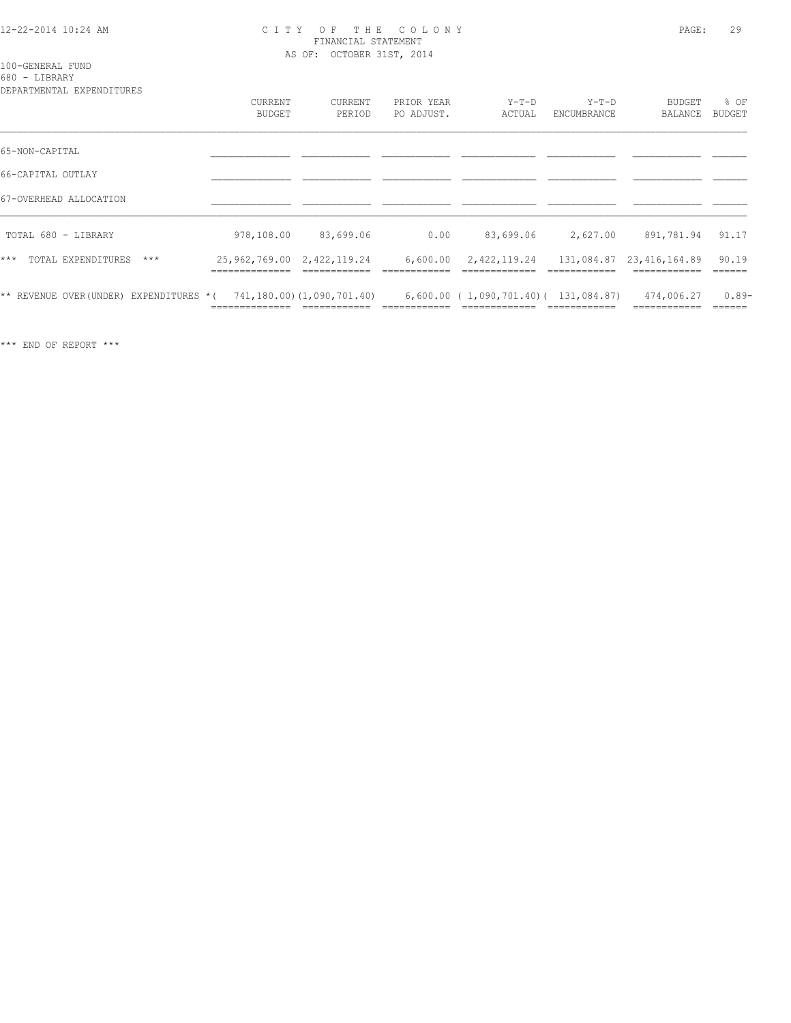#### 12-22-2014 10:24 AM C I T Y O F T H E C O L O N Y PAGE: 29 FINANCIAL STATEMENT AS OF: OCTOBER 31ST, 2014

100-GENERAL FUND

680 - LIBRARY

| DEPARTMENTAL EXPENDITURES              | <b>CURRENT</b><br><b>BUDGET</b>                 | CURRENT<br>PERIOD         | PRIOR YEAR<br>PO ADJUST. | $Y-T-D$<br>ACTUAL                        | $Y-T-D$<br>ENCUMBRANCE | BUDGET<br>BALANCE        | % OF<br><b>BUDGET</b> |
|----------------------------------------|-------------------------------------------------|---------------------------|--------------------------|------------------------------------------|------------------------|--------------------------|-----------------------|
| 65-NON-CAPITAL                         |                                                 |                           |                          |                                          |                        |                          |                       |
| 66-CAPITAL OUTLAY                      |                                                 |                           |                          |                                          |                        |                          |                       |
| 67-OVERHEAD ALLOCATION                 |                                                 |                           |                          |                                          |                        |                          |                       |
| TOTAL 680 - LIBRARY                    | 978,108.00                                      | 83,699.06                 | 0.00                     | 83,699.06                                | 2,627.00               | 891,781.94               | 91.17                 |
| $***$<br>TOTAL EXPENDITURES<br>$***$   | 25, 962, 769.00 2, 422, 119.24<br>------------- |                           | 6,600.00                 | 2,422,119.24                             |                        | 131,084.87 23,416,164.89 | 90.19<br>======       |
| ** REVENUE OVER(UNDER) EXPENDITURES *( |                                                 | 741,180.00)(1,090,701.40) |                          | $6,600.00$ ( 1,090,701.40) ( 131,084.87) |                        | 474,006.27               | $0.89-$               |

\*\*\* END OF REPORT \*\*\*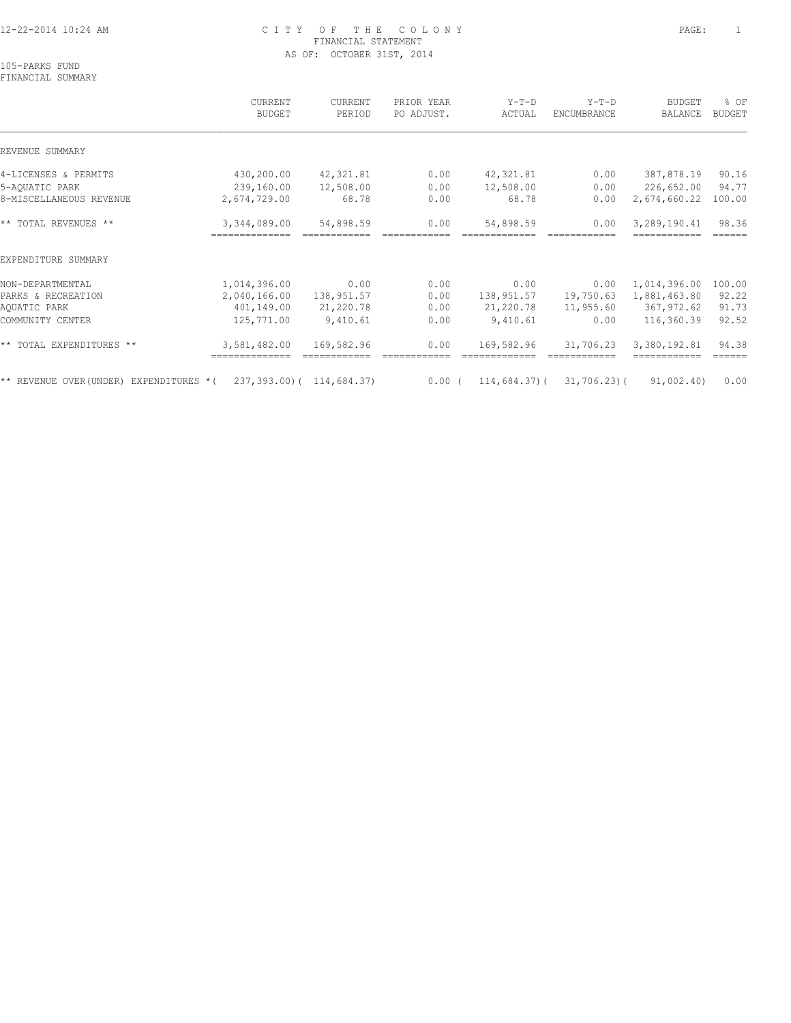#### 12-22-2014 10:24 AM C I T Y O F T H E C O L O N Y PAGE: 1 FINANCIAL STATEMENT AS OF: OCTOBER 31ST, 2014

105-PARKS FUND FINANCIAL SUMMARY

 CURRENT CURRENT PRIOR YEAR Y-T-D Y-T-D BUDGET % OF BUDGET PERIOD PO ADJUST. ACTUAL ENCUMBRANCE BALANCE BUDGET  $\mathcal{L} = \{ \mathcal{L} = \{ \mathcal{L} = \{ \mathcal{L} = \{ \mathcal{L} = \{ \mathcal{L} = \{ \mathcal{L} = \{ \mathcal{L} = \{ \mathcal{L} = \{ \mathcal{L} = \{ \mathcal{L} = \{ \mathcal{L} = \{ \mathcal{L} = \{ \mathcal{L} = \{ \mathcal{L} = \{ \mathcal{L} = \{ \mathcal{L} = \{ \mathcal{L} = \{ \mathcal{L} = \{ \mathcal{L} = \{ \mathcal{L} = \{ \mathcal{L} = \{ \mathcal{L} = \{ \mathcal{L} = \{ \mathcal{$ REVENUE SUMMARY 4-LICENSES & PERMITS 430,200.00 42,321.81 0.00 42,321.81 0.00 387,878.19 90.16 5-AQUATIC PARK 239,160.00 12,508.00 0.00 12,508.00 0.00 226,652.00 94.77 8-MISCELLANEOUS REVENUE 2,674,729.00 68.78 0.00 68.78 0.00 2,674,660.22 100.00 \*\* TOTAL REVENUES \*\* 3,344,089.00 54,898.59 0.00 54,898.59 0.00 3,289,190.41 98.36 ============== ============ ============ ============= ============ ============ ====== EXPENDITURE SUMMARY NON-DEPARTMENTAL 1,014,396.00 0.00 0.00 0.00 0.00 1,014,396.00 100.00 PARKS & RECREATION 2,040,166.00 138,951.57 0.00 138,951.57 19,750.63 1,881,463.80 92.22 AQUATIC PARK 401,149.00 21,220.78 0.00 21,220.78 11,955.60 367,972.62 91.73 COMMUNITY CENTER 125,771.00 9,410.61 0.00 9,410.61 0.00 116,360.39 92.52 \*\* TOTAL EXPENDITURES \*\* 3,581,482.00 169,582.96 0.00 169,582.96 31,706.23 3,380,192.81 94.38 ============== ============ ============ ============= ============ ============ ======

\*\* REVENUE OVER(UNDER) EXPENDITURES \*( 237,393.00)( 114,684.37) 0.00 ( 114,684.37)( 31,706.23)( 91,002.40) 0.00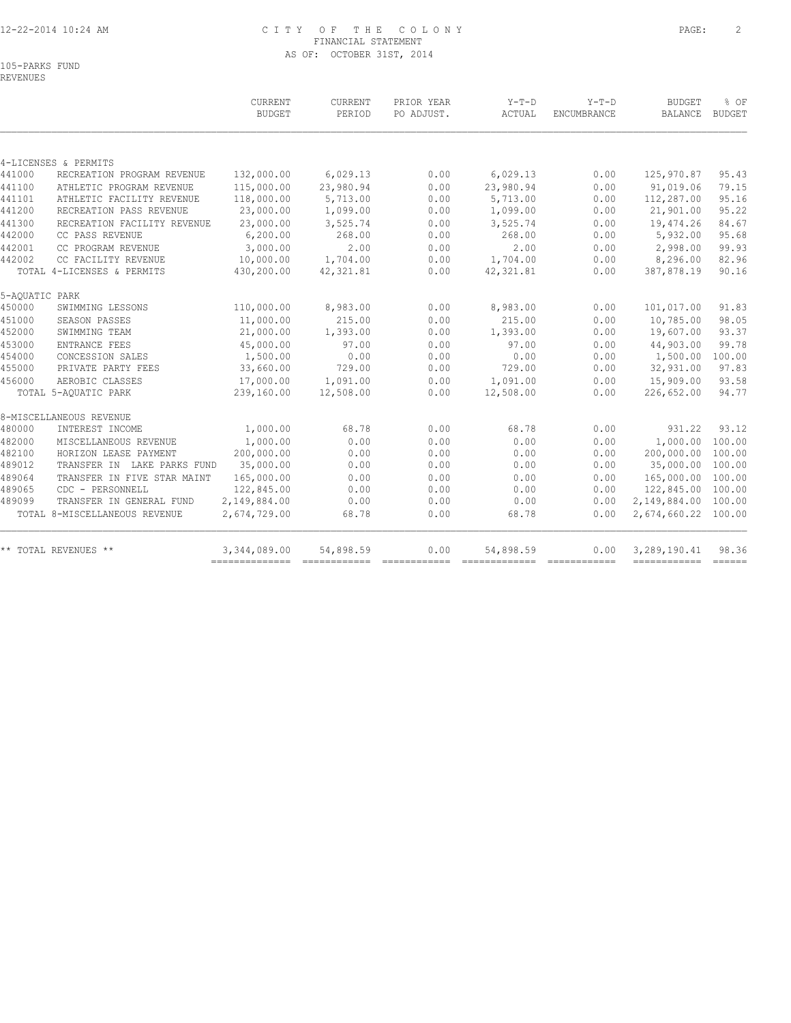#### 12-22-2014 10:24 AM C I T Y O F T H E C O L O N Y PAGE: 2 FINANCIAL STATEMENT AS OF: OCTOBER 31ST, 2014

105-PARKS FUND REVENUES

| 4-LICENSES & PERMITS<br>RECREATION PROGRAM REVENUE |                                                                                            |                                                                                                                                                                                     |                                                                                        |                                                              |                                                                                                                          |                                                                                                                                                                                                                                                                                                                                                                                                                                                                                                                                                                |                                                                                                                  |
|----------------------------------------------------|--------------------------------------------------------------------------------------------|-------------------------------------------------------------------------------------------------------------------------------------------------------------------------------------|----------------------------------------------------------------------------------------|--------------------------------------------------------------|--------------------------------------------------------------------------------------------------------------------------|----------------------------------------------------------------------------------------------------------------------------------------------------------------------------------------------------------------------------------------------------------------------------------------------------------------------------------------------------------------------------------------------------------------------------------------------------------------------------------------------------------------------------------------------------------------|------------------------------------------------------------------------------------------------------------------|
|                                                    |                                                                                            |                                                                                                                                                                                     |                                                                                        |                                                              |                                                                                                                          |                                                                                                                                                                                                                                                                                                                                                                                                                                                                                                                                                                |                                                                                                                  |
|                                                    |                                                                                            |                                                                                                                                                                                     |                                                                                        |                                                              |                                                                                                                          |                                                                                                                                                                                                                                                                                                                                                                                                                                                                                                                                                                |                                                                                                                  |
|                                                    | 132,000.00                                                                                 | 6,029.13                                                                                                                                                                            | 0.00                                                                                   | 6,029.13                                                     | 0.00                                                                                                                     | 125,970.87                                                                                                                                                                                                                                                                                                                                                                                                                                                                                                                                                     | 95.43                                                                                                            |
| ATHLETIC PROGRAM REVENUE                           | 115,000.00                                                                                 | 23,980.94                                                                                                                                                                           | 0.00                                                                                   | 23,980.94                                                    | 0.00                                                                                                                     | 91,019.06                                                                                                                                                                                                                                                                                                                                                                                                                                                                                                                                                      | 79.15                                                                                                            |
| ATHLETIC FACILITY REVENUE                          | 118,000.00                                                                                 | 5,713.00                                                                                                                                                                            | 0.00                                                                                   | 5,713.00                                                     | 0.00                                                                                                                     | 112,287.00                                                                                                                                                                                                                                                                                                                                                                                                                                                                                                                                                     | 95.16                                                                                                            |
| RECREATION PASS REVENUE                            | 23,000.00                                                                                  | 1,099.00                                                                                                                                                                            | 0.00                                                                                   |                                                              | 0.00                                                                                                                     | 21,901.00                                                                                                                                                                                                                                                                                                                                                                                                                                                                                                                                                      | 95.22                                                                                                            |
| RECREATION FACILITY REVENUE                        | 23,000.00                                                                                  | 3,525.74                                                                                                                                                                            | 0.00                                                                                   | 3,525.74                                                     | 0.00                                                                                                                     | 19,474.26                                                                                                                                                                                                                                                                                                                                                                                                                                                                                                                                                      | 84.67                                                                                                            |
| CC PASS REVENUE                                    | 6, 200.00                                                                                  | 268.00                                                                                                                                                                              | 0.00                                                                                   | 268.00                                                       | 0.00                                                                                                                     | 5,932.00                                                                                                                                                                                                                                                                                                                                                                                                                                                                                                                                                       | 95.68                                                                                                            |
| CC PROGRAM REVENUE                                 | 3,000.00                                                                                   | 2.00                                                                                                                                                                                | 0.00                                                                                   | 2.00                                                         | 0.00                                                                                                                     | 2,998.00                                                                                                                                                                                                                                                                                                                                                                                                                                                                                                                                                       | 99.93                                                                                                            |
| CC FACILITY REVENUE                                | 10,000.00                                                                                  | 1,704.00                                                                                                                                                                            | 0.00                                                                                   | 1,704.00                                                     | 0.00                                                                                                                     | 8,296.00                                                                                                                                                                                                                                                                                                                                                                                                                                                                                                                                                       | 82.96                                                                                                            |
| TOTAL 4-LICENSES & PERMITS                         | 430,200.00                                                                                 | 42, 321.81                                                                                                                                                                          | 0.00                                                                                   | 42, 321.81                                                   | 0.00                                                                                                                     | 387,878.19                                                                                                                                                                                                                                                                                                                                                                                                                                                                                                                                                     | 90.16                                                                                                            |
| 5-AQUATIC PARK                                     |                                                                                            |                                                                                                                                                                                     |                                                                                        |                                                              |                                                                                                                          |                                                                                                                                                                                                                                                                                                                                                                                                                                                                                                                                                                |                                                                                                                  |
| SWIMMING LESSONS                                   |                                                                                            |                                                                                                                                                                                     |                                                                                        |                                                              |                                                                                                                          | 101,017.00                                                                                                                                                                                                                                                                                                                                                                                                                                                                                                                                                     | 91.83                                                                                                            |
| SEASON PASSES                                      |                                                                                            |                                                                                                                                                                                     |                                                                                        |                                                              |                                                                                                                          | 10,785.00                                                                                                                                                                                                                                                                                                                                                                                                                                                                                                                                                      | 98.05                                                                                                            |
| SWIMMING TEAM                                      |                                                                                            | 1,393.00                                                                                                                                                                            | 0.00                                                                                   | 1,393.00                                                     |                                                                                                                          | 19,607.00                                                                                                                                                                                                                                                                                                                                                                                                                                                                                                                                                      | 93.37                                                                                                            |
| ENTRANCE FEES                                      | 45,000.00                                                                                  | 97.00                                                                                                                                                                               | 0.00                                                                                   | 97.00                                                        | 0.00                                                                                                                     | 44,903.00                                                                                                                                                                                                                                                                                                                                                                                                                                                                                                                                                      | 99.78                                                                                                            |
| CONCESSION SALES                                   | 1,500.00                                                                                   | 0.00                                                                                                                                                                                | 0.00                                                                                   | 0.00                                                         | 0.00                                                                                                                     | 1,500.00                                                                                                                                                                                                                                                                                                                                                                                                                                                                                                                                                       | 100.00                                                                                                           |
|                                                    |                                                                                            |                                                                                                                                                                                     |                                                                                        |                                                              |                                                                                                                          |                                                                                                                                                                                                                                                                                                                                                                                                                                                                                                                                                                | 97.83                                                                                                            |
| AEROBIC CLASSES                                    | 17,000.00                                                                                  | 1,091.00                                                                                                                                                                            | 0.00                                                                                   | 1,091.00                                                     | 0.00                                                                                                                     | 15,909.00                                                                                                                                                                                                                                                                                                                                                                                                                                                                                                                                                      | 93.58                                                                                                            |
| TOTAL 5-AQUATIC PARK                               | 239,160.00                                                                                 | 12,508.00                                                                                                                                                                           | 0.00                                                                                   | 12,508.00                                                    | 0.00                                                                                                                     | 226,652.00                                                                                                                                                                                                                                                                                                                                                                                                                                                                                                                                                     | 94.77                                                                                                            |
| 8-MISCELLANEOUS REVENUE                            |                                                                                            |                                                                                                                                                                                     |                                                                                        |                                                              |                                                                                                                          |                                                                                                                                                                                                                                                                                                                                                                                                                                                                                                                                                                |                                                                                                                  |
|                                                    |                                                                                            |                                                                                                                                                                                     |                                                                                        |                                                              |                                                                                                                          |                                                                                                                                                                                                                                                                                                                                                                                                                                                                                                                                                                | 93.12                                                                                                            |
| MISCELLANEOUS REVENUE                              |                                                                                            | 0.00                                                                                                                                                                                | 0.00                                                                                   |                                                              | 0.00                                                                                                                     |                                                                                                                                                                                                                                                                                                                                                                                                                                                                                                                                                                | 100.00                                                                                                           |
|                                                    |                                                                                            |                                                                                                                                                                                     |                                                                                        |                                                              |                                                                                                                          |                                                                                                                                                                                                                                                                                                                                                                                                                                                                                                                                                                | 100.00                                                                                                           |
|                                                    |                                                                                            |                                                                                                                                                                                     |                                                                                        |                                                              |                                                                                                                          |                                                                                                                                                                                                                                                                                                                                                                                                                                                                                                                                                                | 100.00                                                                                                           |
| TRANSFER IN FIVE STAR MAINT                        |                                                                                            |                                                                                                                                                                                     |                                                                                        |                                                              |                                                                                                                          |                                                                                                                                                                                                                                                                                                                                                                                                                                                                                                                                                                | 100.00                                                                                                           |
| CDC - PERSONNELL                                   | 122,845.00                                                                                 | 0.00                                                                                                                                                                                | 0.00                                                                                   | 0.00                                                         | 0.00                                                                                                                     | 122,845.00 100.00                                                                                                                                                                                                                                                                                                                                                                                                                                                                                                                                              |                                                                                                                  |
|                                                    |                                                                                            |                                                                                                                                                                                     |                                                                                        |                                                              |                                                                                                                          |                                                                                                                                                                                                                                                                                                                                                                                                                                                                                                                                                                | 100.00                                                                                                           |
| TOTAL 8-MISCELLANEOUS REVENUE                      | 2,674,729.00                                                                               | 68.78                                                                                                                                                                               | 0.00                                                                                   | 68.78                                                        | 0.00                                                                                                                     | 2,674,660.22 100.00                                                                                                                                                                                                                                                                                                                                                                                                                                                                                                                                            |                                                                                                                  |
| ** TOTAL REVENUES **                               | 3,344,089.00                                                                               | 54,898.59                                                                                                                                                                           | 0.00                                                                                   | 54,898.59                                                    | 0.00                                                                                                                     | 3,289,190.41                                                                                                                                                                                                                                                                                                                                                                                                                                                                                                                                                   | 98.36                                                                                                            |
|                                                    | PRIVATE PARTY FEES<br>INTEREST INCOME<br>HORIZON LEASE PAYMENT<br>TRANSFER IN GENERAL FUND | 110,000.00<br>11,000.00<br>21,000.00<br>33,660.00<br>1,000.00<br>1,000.00<br>200,000.00<br>35,000.00<br>TRANSFER IN LAKE PARKS FUND<br>165,000.00<br>2,149,884.00<br>-------------- | 8,983.00<br>215.00<br>729.00<br>68.78<br>0.00<br>0.00<br>0.00<br>0.00<br>------------- | 0.00<br>0.00<br>0.00<br>0.00<br>0.00<br>0.00<br>0.00<br>0.00 | 1,099.00<br>8,983.00<br>215.00<br>729.00<br>68.78<br>0.00<br>0.00<br>0.00<br>0.00<br>0.00<br>------------- ------------- | 0.00<br>0.00<br>0.00<br>0.00<br>0.00<br>0.00<br>0.00<br>0.00<br>0.00<br>$\begin{array}{cccccccccc} \multicolumn{2}{c}{} & \multicolumn{2}{c}{} & \multicolumn{2}{c}{} & \multicolumn{2}{c}{} & \multicolumn{2}{c}{} & \multicolumn{2}{c}{} & \multicolumn{2}{c}{} & \multicolumn{2}{c}{} & \multicolumn{2}{c}{} & \multicolumn{2}{c}{} & \multicolumn{2}{c}{} & \multicolumn{2}{c}{} & \multicolumn{2}{c}{} & \multicolumn{2}{c}{} & \multicolumn{2}{c}{} & \multicolumn{2}{c}{} & \multicolumn{2}{c}{} & \multicolumn{2}{c}{} & \multicolumn{2}{c}{} & \mult$ | 32,931.00<br>931.22<br>1,000.00<br>200,000.00<br>35,000.00<br>165,000.00<br>2,149,884.00<br>------------- ------ |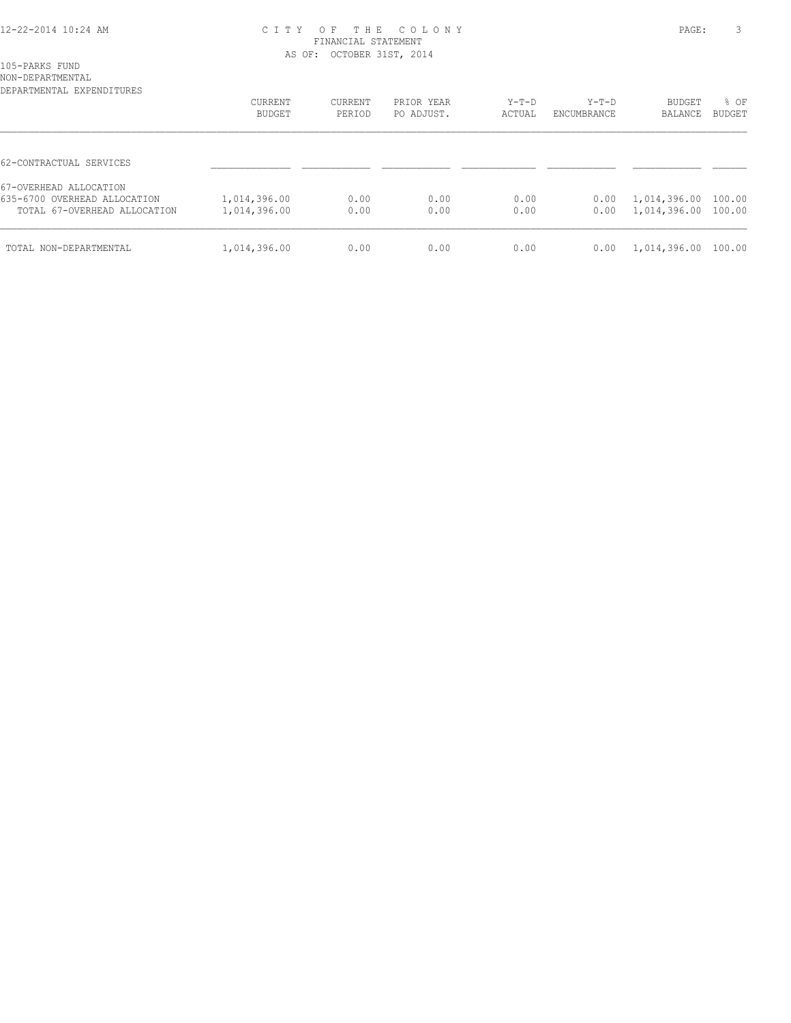#### 12-22-2014 10:24 AM C I T Y O F T H E C O L O N Y PAGE: 3 FINANCIAL STATEMENT AS OF: OCTOBER 31ST, 2014

105-PARKS FUND

| NON-DEPARTMENTAL<br>DEPARTMENTAL EXPENDITURES |                          |                   |                          |                 |                        |                     |                       |
|-----------------------------------------------|--------------------------|-------------------|--------------------------|-----------------|------------------------|---------------------|-----------------------|
|                                               | CURRENT<br><b>BUDGET</b> | CURRENT<br>PERIOD | PRIOR YEAR<br>PO ADJUST. | Y-T-D<br>ACTUAL | $Y-T-D$<br>ENCUMBRANCE | BUDGET<br>BALANCE   | % OF<br><b>BUDGET</b> |
|                                               |                          |                   |                          |                 |                        |                     |                       |
| 62-CONTRACTUAL SERVICES                       |                          |                   |                          |                 |                        |                     |                       |
| 67-OVERHEAD ALLOCATION                        |                          |                   |                          |                 |                        |                     |                       |
| 635-6700 OVERHEAD ALLOCATION                  | 1,014,396.00             | 0.00              | 0.00                     | 0.00            | 0.00                   | 1,014,396.00 100.00 |                       |
| TOTAL 67-OVERHEAD ALLOCATION                  | 1,014,396.00             | 0.00              | 0.00                     | 0.00            | 0.00                   | 1,014,396.00 100.00 |                       |
| TOTAL NON-DEPARTMENTAL                        | 1,014,396.00             | 0.00              | 0.00                     | 0.00            | 0.00                   | 1,014,396.00 100.00 |                       |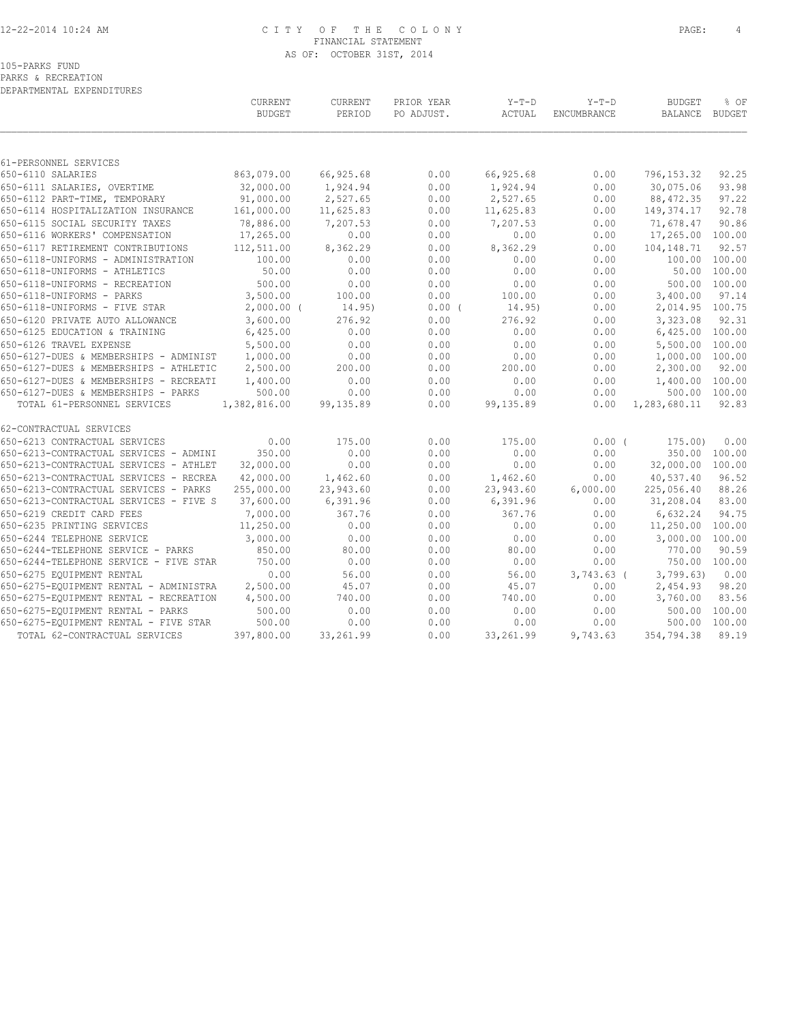#### 12-22-2014 10:24 AM C I T Y O F T H E C O L O N Y PAGE: 4 FINANCIAL STATEMENT AS OF: OCTOBER 31ST, 2014

PARKS & RECREATION DEPARTMENTAL EXPENDITURES

|                                        | CURRENT<br><b>BUDGET</b> | CURRENT<br>PERIOD | PRIOR YEAR<br>PO ADJUST. | $Y-T-D$<br>ACTUAL | $Y-T-D$<br>ENCUMBRANCE | <b>BUDGET</b><br>BALANCE | % OF<br>BUDGET |
|----------------------------------------|--------------------------|-------------------|--------------------------|-------------------|------------------------|--------------------------|----------------|
|                                        |                          |                   |                          |                   |                        |                          |                |
| 61-PERSONNEL SERVICES                  |                          |                   |                          |                   |                        |                          |                |
| 650-6110 SALARIES                      | 863,079.00               | 66,925.68         | 0.00                     | 66,925.68         | 0.00                   | 796, 153.32              | 92.25          |
| 650-6111 SALARIES, OVERTIME            | 32,000.00                | 1,924.94          | 0.00                     | 1,924.94          | 0.00                   | 30,075.06                | 93.98          |
| 650-6112 PART-TIME, TEMPORARY          | 91,000.00                | 2,527.65          | 0.00                     | 2,527.65          | 0.00                   | 88, 472.35               | 97.22          |
| 650-6114 HOSPITALIZATION INSURANCE     | 161,000.00               | 11,625.83         | 0.00                     | 11,625.83         | 0.00                   | 149,374.17               | 92.78          |
| 650-6115 SOCIAL SECURITY TAXES         | 78,886.00                | 7,207.53          | 0.00                     | 7,207.53          | 0.00                   | 71,678.47                | 90.86          |
| 650-6116 WORKERS' COMPENSATION         | 17,265.00                | 0.00              | 0.00                     | 0.00              | 0.00                   | 17,265.00 100.00         |                |
| 650-6117 RETIREMENT CONTRIBUTIONS      | 112,511.00               | 8,362.29          | 0.00                     | 8,362.29          | 0.00                   | 104,148.71               | 92.57          |
| 650-6118-UNIFORMS - ADMINISTRATION     | 100.00                   | 0.00              | 0.00                     | 0.00              | 0.00                   | 100.00 100.00            |                |
| 650-6118-UNIFORMS - ATHLETICS          | 50.00                    | 0.00              | 0.00                     | 0.00              | 0.00                   |                          | 50.00 100.00   |
| 650-6118-UNIFORMS - RECREATION         | 500.00                   | 0.00              | 0.00                     | 0.00              | 0.00                   |                          | 500.00 100.00  |
| 650-6118-UNIFORMS - PARKS              | 3,500.00                 | 100.00            | 0.00                     | 100.00            | 0.00                   | 3,400.00                 | 97.14          |
| 650-6118-UNIFORMS - FIVE STAR          | $2,000.00$ (             | 14.95)            | $0.00$ (                 | 14.95)            | 0.00                   | 2,014.95 100.75          |                |
| 650-6120 PRIVATE AUTO ALLOWANCE        | 3,600.00                 | 276.92            | 0.00                     | 276.92            | 0.00                   | 3,323.08                 | 92.31          |
| 650-6125 EDUCATION & TRAINING          | 6,425.00                 | 0.00              | 0.00                     | 0.00              | 0.00                   | 6,425.00 100.00          |                |
| 650-6126 TRAVEL EXPENSE                | 5,500.00                 | 0.00              | 0.00                     | 0.00              | 0.00                   | 5,500.00 100.00          |                |
| 650-6127-DUES & MEMBERSHIPS - ADMINIST | 1,000.00                 | 0.00              | 0.00                     | 0.00              | 0.00                   | 1,000.00 100.00          |                |
| 650-6127-DUES & MEMBERSHIPS - ATHLETIC | 2,500.00                 | 200.00            | 0.00                     | 200.00            | 0.00                   | 2,300.00                 | 92.00          |
| 650-6127-DUES & MEMBERSHIPS - RECREATI | 1,400.00                 | 0.00              | 0.00                     | 0.00              | 0.00                   | 1,400.00 100.00          |                |
| 650-6127-DUES & MEMBERSHIPS - PARKS    | 500.00                   | 0.00              | 0.00                     | 0.00              | 0.00                   |                          | 500.00 100.00  |
| TOTAL 61-PERSONNEL SERVICES            | 1,382,816.00             | 99, 135.89        | 0.00                     | 99,135.89         | 0.00                   | 1,283,680.11             | 92.83          |
| 62-CONTRACTUAL SERVICES                |                          |                   |                          |                   |                        |                          |                |
| 650-6213 CONTRACTUAL SERVICES          | 0.00                     | 175.00            | 0.00                     | 175.00            | $0.00$ (               | 175.00                   | 0.00           |
| 650-6213-CONTRACTUAL SERVICES - ADMINI | 350.00                   | 0.00              | 0.00                     | 0.00              | 0.00                   |                          | 350.00 100.00  |
| 650-6213-CONTRACTUAL SERVICES - ATHLET | 32,000.00                | 0.00              | 0.00                     | 0.00              | 0.00                   | 32,000.00 100.00         |                |
| 650-6213-CONTRACTUAL SERVICES - RECREA | 42,000.00                | 1,462.60          | 0.00                     | 1,462.60          | 0.00                   | 40,537.40                | 96.52          |
| 650-6213-CONTRACTUAL SERVICES - PARKS  | 255,000.00               | 23,943.60         | 0.00                     | 23,943.60         | 6,000.00               | 225,056.40               | 88.26          |
| 650-6213-CONTRACTUAL SERVICES - FIVE S | 37,600.00                | 6,391.96          | 0.00                     | 6,391.96          | 0.00                   | 31,208.04                | 83.00          |
| 650-6219 CREDIT CARD FEES              | 7,000.00                 | 367.76            | 0.00                     | 367.76            | 0.00                   | 6,632.24                 | 94.75          |
| 650-6235 PRINTING SERVICES             | 11,250.00                | 0.00              | 0.00                     | 0.00              | 0.00                   | 11,250.00                | 100.00         |
| 650-6244 TELEPHONE SERVICE             | 3,000.00                 | 0.00              | 0.00                     | 0.00              | 0.00                   | 3,000.00                 | 100.00         |
| 650-6244-TELEPHONE SERVICE - PARKS     | 850.00                   | 80.00             | 0.00                     | 80.00             | 0.00                   | 770.00                   | 90.59          |
| 650-6244-TELEPHONE SERVICE - FIVE STAR | 750.00                   | 0.00              | 0.00                     | 0.00              | 0.00                   | 750.00 100.00            |                |
| 650-6275 EQUIPMENT RENTAL              | 0.00                     | 56.00             | 0.00                     | 56.00             | $3,743.63$ (           | 3,799.63                 | 0.00           |
| 650-6275-EQUIPMENT RENTAL - ADMINISTRA | 2,500.00                 | 45.07             | 0.00                     | 45.07             | 0.00                   | 2,454.93                 | 98.20          |
| 650-6275-EQUIPMENT RENTAL - RECREATION | 4,500.00                 | 740.00            | 0.00                     | 740.00            | 0.00                   | 3,760.00                 | 83.56          |
| 650-6275-EQUIPMENT RENTAL - PARKS      | 500.00                   | 0.00              | 0.00                     | 0.00              | 0.00                   | 500.00                   | 100.00         |
| 650-6275-EQUIPMENT RENTAL - FIVE STAR  | 500.00                   | 0.00              | 0.00                     | 0.00              | 0.00                   | 500.00                   | 100.00         |
| TOTAL 62-CONTRACTUAL SERVICES          | 397,800.00               | 33,261.99         | 0.00                     | 33, 261.99        | 9,743.63               | 354,794.38               | 89.19          |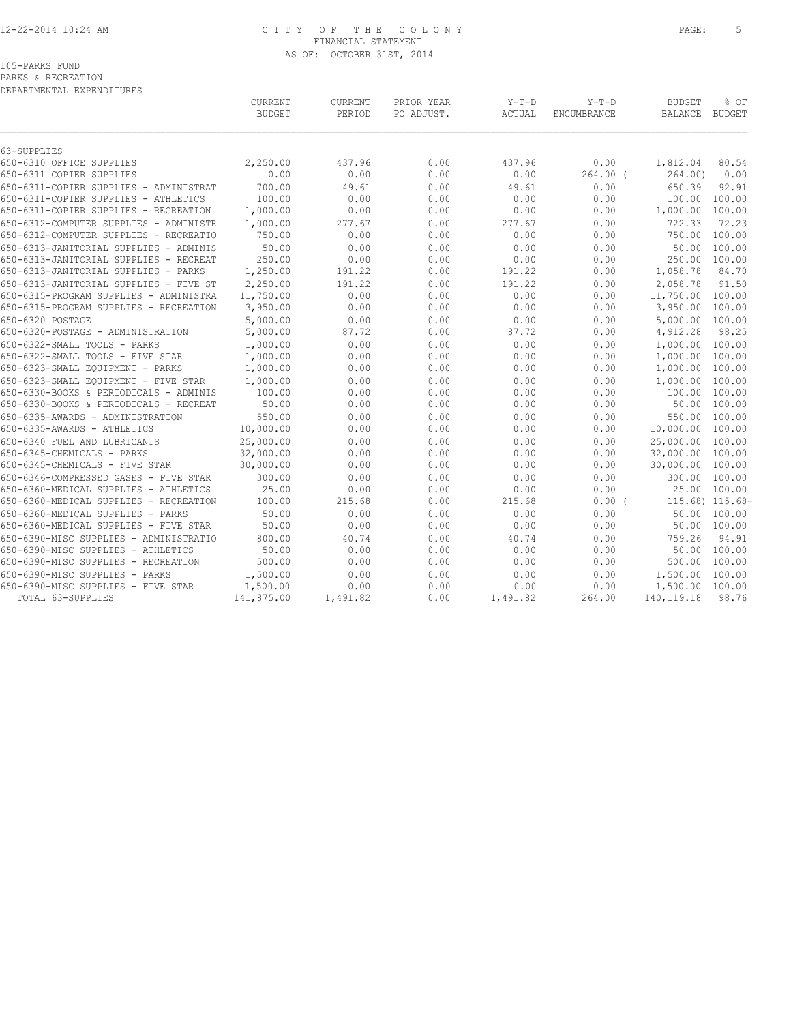#### 12-22-2014 10:24 AM C I T Y O F T H E C O L O N Y PAGE: 5 FINANCIAL STATEMENT AS OF: OCTOBER 31ST, 2014

PARKS & RECREATION

DEPARTMENTAL EXPENDITURES

|                                        | CURRENT<br><b>BUDGET</b> | CURRENT<br>PERIOD | PRIOR YEAR<br>PO ADJUST. | $Y-T-D$<br>ACTUAL | $Y-T-D$<br>ENCUMBRANCE | <b>BUDGET</b><br><b>BALANCE</b> | % OF<br><b>BUDGET</b> |
|----------------------------------------|--------------------------|-------------------|--------------------------|-------------------|------------------------|---------------------------------|-----------------------|
| 63-SUPPLIES                            |                          |                   |                          |                   |                        |                                 |                       |
| 650-6310 OFFICE SUPPLIES               | 2,250.00                 | 437.96            | 0.00                     | 437.96            | 0.00                   | 1,812.04                        | 80.54                 |
| 650-6311 COPIER SUPPLIES               | 0.00                     | 0.00              | 0.00                     | 0.00              | $264.00$ (             | 264.00)                         | 0.00                  |
| 650-6311-COPIER SUPPLIES - ADMINISTRAT | 700.00                   | 49.61             | 0.00                     | 49.61             | 0.00                   | 650.39                          | 92.91                 |
| 650-6311-COPIER SUPPLIES - ATHLETICS   | 100.00                   | 0.00              | 0.00                     | 0.00              | 0.00                   | 100.00                          | 100.00                |
| 650-6311-COPIER SUPPLIES - RECREATION  | 1,000.00                 | 0.00              | 0.00                     | 0.00              | 0.00                   | 1,000.00                        | 100.00                |
| 650-6312-COMPUTER SUPPLIES - ADMINISTR | 1,000.00                 | 277.67            | 0.00                     | 277.67            | 0.00                   | 722.33                          | 72.23                 |
| 650-6312-COMPUTER SUPPLIES - RECREATIO | 750.00                   | 0.00              | 0.00                     | 0.00              | 0.00                   | 750.00                          | 100.00                |
| 650-6313-JANITORIAL SUPPLIES - ADMINIS | 50.00                    | 0.00              | 0.00                     | 0.00              | 0.00                   | 50.00                           | 100.00                |
| 650-6313-JANITORIAL SUPPLIES - RECREAT | 250.00                   | 0.00              | 0.00                     | 0.00              | 0.00                   | 250.00                          | 100.00                |
| 650-6313-JANITORIAL SUPPLIES - PARKS   | 1,250.00                 | 191.22            | 0.00                     | 191.22            | 0.00                   | 1,058.78                        | 84.70                 |
| 650-6313-JANITORIAL SUPPLIES - FIVE ST | 2,250.00                 | 191.22            | 0.00                     | 191.22            | 0.00                   | 2,058.78                        | 91.50                 |
| 650-6315-PROGRAM SUPPLIES - ADMINISTRA | 11,750.00                | 0.00              | 0.00                     | 0.00              | 0.00                   | 11,750.00 100.00                |                       |
| 650-6315-PROGRAM SUPPLIES - RECREATION | 3,950.00                 | 0.00              | 0.00                     | 0.00              | 0.00                   | 3,950.00                        | 100.00                |
| 650-6320 POSTAGE                       | 5,000.00                 | 0.00              | 0.00                     | 0.00              | 0.00                   | 5,000.00                        | 100.00                |
| 650-6320-POSTAGE - ADMINISTRATION      | 5,000.00                 | 87.72             | 0.00                     | 87.72             | 0.00                   | 4,912.28                        | 98.25                 |
| 650-6322-SMALL TOOLS - PARKS           | 1,000.00                 | 0.00              | 0.00                     | 0.00              | 0.00                   | 1,000.00                        | 100.00                |
| 650-6322-SMALL TOOLS - FIVE STAR       | 1,000.00                 | 0.00              | 0.00                     | 0.00              | 0.00                   | 1,000.00 100.00                 |                       |
| 650-6323-SMALL EQUIPMENT - PARKS       | 1,000.00                 | 0.00              | 0.00                     | 0.00              | 0.00                   | 1,000.00                        | 100.00                |
| 650-6323-SMALL EQUIPMENT - FIVE STAR   | 1,000.00                 | 0.00              | 0.00                     | 0.00              | 0.00                   | 1,000.00 100.00                 |                       |
| 650-6330-BOOKS & PERIODICALS - ADMINIS | 100.00                   | 0.00              | 0.00                     | 0.00              | 0.00                   | 100.00                          | 100.00                |
| 650-6330-BOOKS & PERIODICALS - RECREAT | 50.00                    | 0.00              | 0.00                     | 0.00              | 0.00                   | 50.00                           | 100.00                |
| 650-6335-AWARDS - ADMINISTRATION       | 550.00                   | 0.00              | 0.00                     | 0.00              | 0.00                   | 550.00                          | 100.00                |
| 650-6335-AWARDS - ATHLETICS            | 10,000.00                | 0.00              | 0.00                     | 0.00              | 0.00                   | 10,000.00 100.00                |                       |
| 650-6340 FUEL AND LUBRICANTS           | 25,000.00                | 0.00              | 0.00                     | 0.00              | 0.00                   | 25,000.00                       | 100.00                |
| 650-6345-CHEMICALS - PARKS             | 32,000.00                | 0.00              | 0.00                     | 0.00              | 0.00                   | 32,000.00 100.00                |                       |
| 650-6345-CHEMICALS - FIVE STAR         | 30,000.00                | 0.00              | 0.00                     | 0.00              | 0.00                   | 30,000.00                       | 100.00                |
| 650-6346-COMPRESSED GASES - FIVE STAR  | 300.00                   | 0.00              | 0.00                     | 0.00              | 0.00                   | 300.00                          | 100.00                |
| 650-6360-MEDICAL SUPPLIES - ATHLETICS  | 25.00                    | 0.00              | 0.00                     | 0.00              | 0.00                   | 25.00                           | 100.00                |
| 650-6360-MEDICAL SUPPLIES - RECREATION | 100.00                   | 215.68            | 0.00                     | 215.68            | $0.00$ (               |                                 | 115.68) 115.68-       |
| 650-6360-MEDICAL SUPPLIES - PARKS      | 50.00                    | 0.00              | 0.00                     | 0.00              | 0.00                   | 50.00                           | 100.00                |
| 650-6360-MEDICAL SUPPLIES - FIVE STAR  | 50.00                    | 0.00              | 0.00                     | 0.00              | 0.00                   | 50.00                           | 100.00                |
| 650-6390-MISC SUPPLIES - ADMINISTRATIO | 800.00                   | 40.74             | 0.00                     | 40.74             | 0.00                   | 759.26                          | 94.91                 |
| 650-6390-MISC SUPPLIES - ATHLETICS     | 50.00                    | 0.00              | 0.00                     | 0.00              | 0.00                   | 50.00                           | 100.00                |
| 650-6390-MISC SUPPLIES - RECREATION    | 500.00                   | 0.00              | 0.00                     | 0.00              | 0.00                   | 500.00                          | 100.00                |
| 650-6390-MISC SUPPLIES - PARKS         | 1,500.00                 | 0.00              | 0.00                     | 0.00              | 0.00                   | 1,500.00                        | 100.00                |
| 650-6390-MISC SUPPLIES - FIVE STAR     | 1,500.00                 | 0.00              | 0.00                     | 0.00              | 0.00                   | 1,500.00                        | 100.00                |
| TOTAL 63-SUPPLIES                      | 141,875.00               | 1,491.82          | 0.00                     | 1,491.82          | 264.00                 | 140, 119. 18                    | 98.76                 |
|                                        |                          |                   |                          |                   |                        |                                 |                       |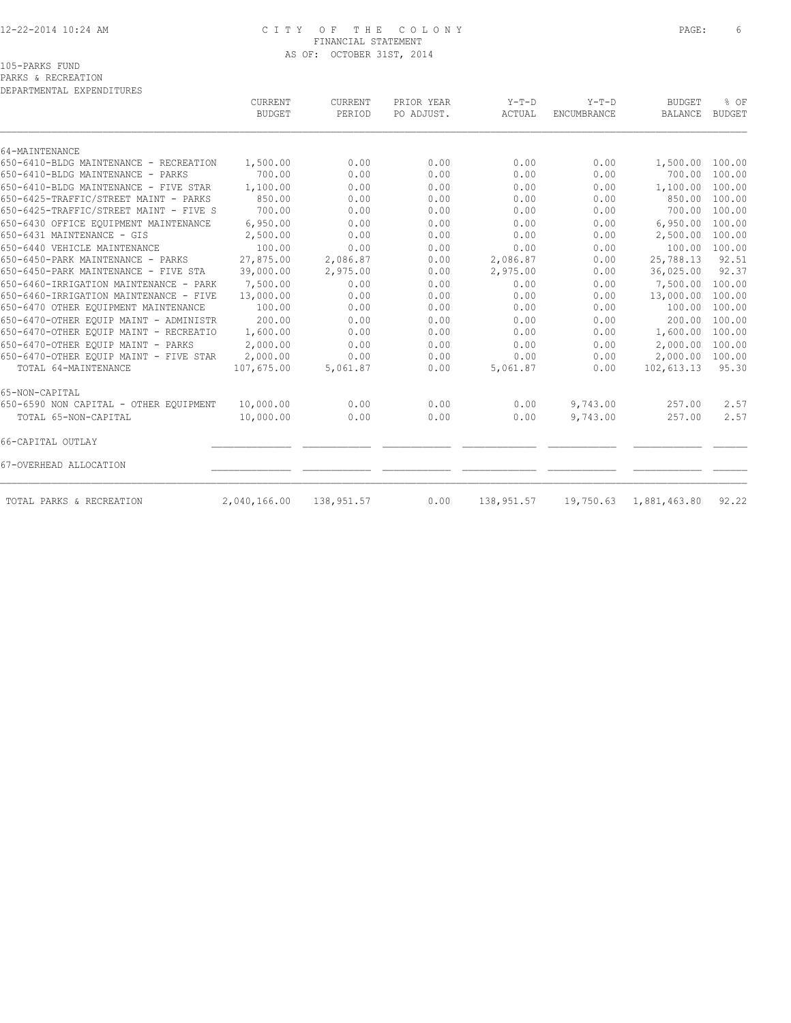#### 12-22-2014 10:24 AM C I T Y O F T H E C O L O N Y PAGE: 6 FINANCIAL STATEMENT AS OF: OCTOBER 31ST, 2014

PARKS & RECREATION

| DEPARTMENTAL EXPENDITURES              |                |                |            |            |             |                 |               |
|----------------------------------------|----------------|----------------|------------|------------|-------------|-----------------|---------------|
|                                        | <b>CURRENT</b> | <b>CURRENT</b> | PRIOR YEAR | $Y-T-D$    | $Y-T-D$     | <b>BUDGET</b>   | % OF          |
|                                        | <b>BUDGET</b>  | PERIOD         | PO ADJUST. | ACTUAL     | ENCUMBRANCE | <b>BALANCE</b>  | <b>BUDGET</b> |
| 64-MAINTENANCE                         |                |                |            |            |             |                 |               |
| 650-6410-BLDG MAINTENANCE - RECREATION | 1,500.00       | 0.00           | 0.00       | 0.00       | 0.00        | 1,500.00 100.00 |               |
| 650-6410-BLDG MAINTENANCE - PARKS      | 700.00         | 0.00           | 0.00       | 0.00       | 0.00        | 700.00          | 100.00        |
| 650-6410-BLDG MAINTENANCE - FIVE STAR  | 1,100.00       | 0.00           | 0.00       | 0.00       | 0.00        | 1,100.00        | 100.00        |
| 650-6425-TRAFFIC/STREET MAINT - PARKS  | 850.00         | 0.00           | 0.00       | 0.00       | 0.00        | 850.00          | 100.00        |
| 650-6425-TRAFFIC/STREET MAINT - FIVE S | 700.00         | 0.00           | 0.00       | 0.00       | 0.00        | 700.00          | 100.00        |
| 650-6430 OFFICE EOUIPMENT MAINTENANCE  | 6,950.00       | 0.00           | 0.00       | 0.00       | 0.00        | 6,950.00        | 100.00        |
| 650-6431 MAINTENANCE - GIS             | 2,500.00       | 0.00           | 0.00       | 0.00       | 0.00        | 2,500.00        | 100.00        |
| 650-6440 VEHICLE MAINTENANCE           | 100.00         | 0.00           | 0.00       | 0.00       | 0.00        | 100.00          | 100.00        |
| 650-6450-PARK MAINTENANCE - PARKS      | 27,875.00      | 2,086.87       | 0.00       | 2,086.87   | 0.00        | 25,788.13       | 92.51         |
| 650-6450-PARK MAINTENANCE - FIVE STA   | 39,000.00      | 2,975.00       | 0.00       | 2,975.00   | 0.00        | 36,025.00       | 92.37         |
| 650-6460-IRRIGATION MAINTENANCE - PARK | 7,500.00       | 0.00           | 0.00       | 0.00       | 0.00        | 7,500.00        | 100.00        |
| 650-6460-IRRIGATION MAINTENANCE - FIVE | 13,000.00      | 0.00           | 0.00       | 0.00       | 0.00        | 13,000.00       | 100.00        |
| 650-6470 OTHER EQUIPMENT MAINTENANCE   | 100.00         | 0.00           | 0.00       | 0.00       | 0.00        | 100.00          | 100.00        |
| 650-6470-OTHER EQUIP MAINT - ADMINISTR | 200.00         | 0.00           | 0.00       | 0.00       | 0.00        | 200.00          | 100.00        |
| 650-6470-OTHER EQUIP MAINT - RECREATIO | 1,600.00       | 0.00           | 0.00       | 0.00       | 0.00        | 1,600.00        | 100.00        |
| 650-6470-OTHER EOUIP MAINT - PARKS     | 2,000.00       | 0.00           | 0.00       | 0.00       | 0.00        | 2,000.00        | 100.00        |
| 650-6470-OTHER EQUIP MAINT - FIVE STAR | 2,000.00       | 0.00           | 0.00       | 0.00       | 0.00        | 2,000.00        | 100.00        |
| TOTAL 64-MAINTENANCE                   | 107,675.00     | 5,061.87       | 0.00       | 5,061.87   | 0.00        | 102,613.13      | 95.30         |
| 65-NON-CAPITAL                         |                |                |            |            |             |                 |               |
| 650-6590 NON CAPITAL - OTHER EQUIPMENT | 10,000.00      | 0.00           | 0.00       | 0.00       | 9,743.00    | 257.00          | 2.57          |
| TOTAL 65-NON-CAPITAL                   | 10,000.00      | 0.00           | 0.00       | 0.00       | 9,743.00    | 257.00          | 2.57          |
| 66-CAPITAL OUTLAY                      |                |                |            |            |             |                 |               |
| 67-OVERHEAD ALLOCATION                 |                |                |            |            |             |                 |               |
| TOTAL PARKS & RECREATION               | 2,040,166.00   | 138,951.57     | 0.00       | 138,951.57 | 19,750.63   | 1,881,463.80    | 92.22         |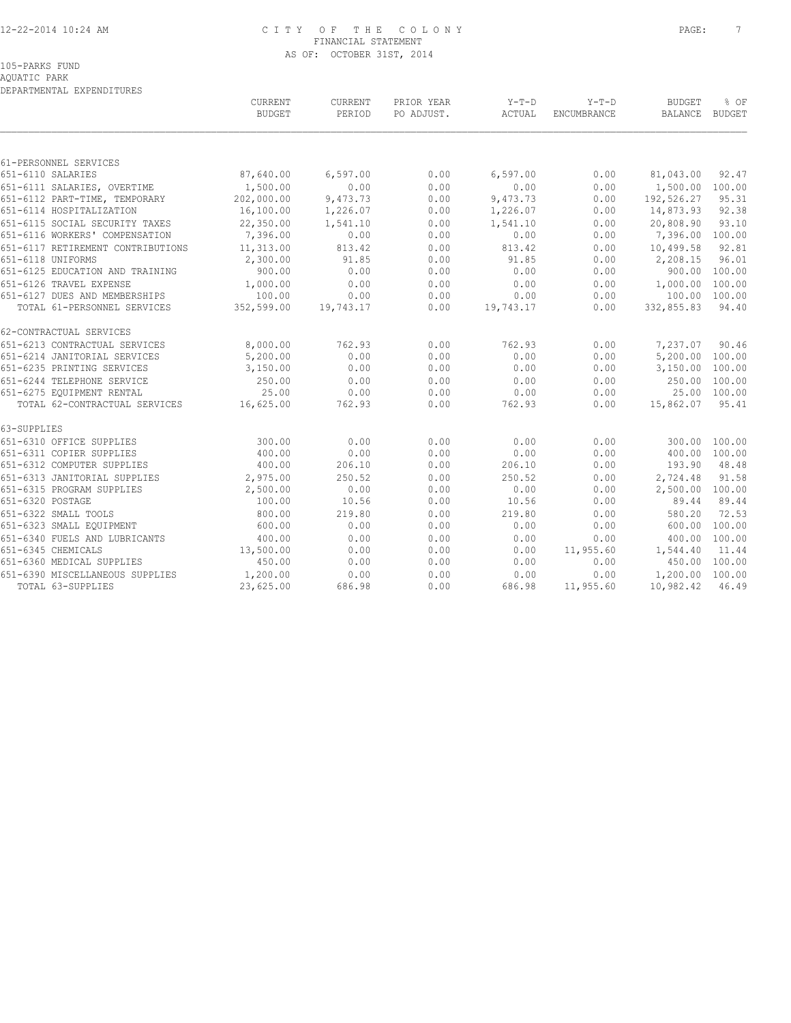#### 12-22-2014 10:24 AM C I T Y O F T H E C O L O N Y PAGE: 7 FINANCIAL STATEMENT AS OF: OCTOBER 31ST, 2014

AQUATIC PARK DEPARTMENTAL EXPENDITURES

|                                                            | CURRENT<br><b>BUDGET</b> | CURRENT<br>PERIOD | PRIOR YEAR<br>PO ADJUST. | Y-T-D<br>ACTUAL  | $Y-T-D$<br>ENCUMBRANCE | <b>BUDGET</b><br>BALANCE         | % OF<br>BUDGET |
|------------------------------------------------------------|--------------------------|-------------------|--------------------------|------------------|------------------------|----------------------------------|----------------|
|                                                            |                          |                   |                          |                  |                        |                                  |                |
| 61-PERSONNEL SERVICES<br>651-6110 SALARIES                 |                          |                   | 0.00                     |                  |                        |                                  |                |
|                                                            | 87,640.00                | 6,597.00          |                          | 6, 597.00        | 0.00                   | 81,043.00                        | 92.47          |
| 651-6111 SALARIES, OVERTIME                                | 1,500.00                 | 0.00              | 0.00                     | 0.00             | 0.00                   | 1,500.00 100.00                  |                |
| 651-6112 PART-TIME, TEMPORARY                              | 202,000.00               | 9,473.73          | 0.00<br>0.00             | 9,473.73         | 0.00<br>0.00           | 192,526.27<br>14,873.93          | 95.31<br>92.38 |
| 651-6114 HOSPITALIZATION<br>651-6115 SOCIAL SECURITY TAXES | 16,100.00<br>22,350.00   | 1,226.07          |                          | 1,226.07         |                        |                                  |                |
| 651-6116 WORKERS' COMPENSATION                             | 7,396.00                 | 1,541.10<br>0.00  | 0.00<br>0.00             | 1,541.10<br>0.00 | 0.00                   | 20,808.90                        | 93.10          |
|                                                            |                          |                   |                          |                  | 0.00                   | 7,396.00 100.00                  |                |
| 651-6117 RETIREMENT CONTRIBUTIONS<br>651-6118 UNIFORMS     | 11,313.00                | 813.42<br>91.85   | 0.00<br>0.00             | 813.42<br>91.85  | 0.00<br>0.00           | 10,499.58                        | 92.81<br>96.01 |
| 651-6125 EDUCATION AND TRAINING                            | 2,300.00<br>900.00       | 0.00              | 0.00                     | 0.00             | 0.00                   | 2,208.15                         | 900.00 100.00  |
|                                                            |                          |                   |                          |                  |                        |                                  |                |
| 651-6126 TRAVEL EXPENSE<br>651-6127 DUES AND MEMBERSHIPS   | 1,000.00<br>100.00       | 0.00<br>0.00      | 0.00<br>0.00             | 0.00<br>0.00     | 0.00<br>0.00           | 1,000.00 100.00<br>100.00 100.00 |                |
| TOTAL 61-PERSONNEL SERVICES                                | 352,599.00               | 19,743.17         | 0.00                     | 19,743.17        | 0.00                   | 332,855.83                       | 94.40          |
|                                                            |                          |                   |                          |                  |                        |                                  |                |
| 62-CONTRACTUAL SERVICES                                    |                          |                   |                          |                  |                        |                                  |                |
| 651-6213 CONTRACTUAL SERVICES                              | 8,000.00                 | 762.93            | 0.00                     | 762.93           | 0.00                   | 7,237.07                         | 90.46          |
| 651-6214 JANITORIAL SERVICES                               | 5,200.00                 | 0.00              | 0.00                     | 0.00             | 0.00                   | 5,200.00 100.00                  |                |
| 651-6235 PRINTING SERVICES                                 | 3,150.00                 | 0.00              | 0.00                     | 0.00             | 0.00                   | 3,150.00 100.00                  |                |
| 651-6244 TELEPHONE SERVICE                                 | 250.00                   | 0.00              | 0.00                     | 0.00             | 0.00                   |                                  | 250.00 100.00  |
| 651-6275 EQUIPMENT RENTAL                                  | 25.00                    | 0.00              | 0.00                     | 0.00             | 0.00                   |                                  | 25.00 100.00   |
| TOTAL 62-CONTRACTUAL SERVICES                              | 16,625.00                | 762.93            | 0.00                     | 762.93           | 0.00                   | 15,862.07                        | 95.41          |
| 63-SUPPLIES                                                |                          |                   |                          |                  |                        |                                  |                |
| 651-6310 OFFICE SUPPLIES                                   | 300.00                   | 0.00              | 0.00                     | 0.00             | 0.00                   |                                  | 300.00 100.00  |
| 651-6311 COPIER SUPPLIES                                   | 400.00                   | 0.00              | 0.00                     | 0.00             | 0.00                   |                                  | 400.00 100.00  |
| 651-6312 COMPUTER SUPPLIES                                 | 400.00                   | 206.10            | 0.00                     | 206.10           | 0.00                   | 193.90                           | 48.48          |
| 651-6313 JANITORIAL SUPPLIES                               | 2,975.00                 | 250.52            | 0.00                     | 250.52           | 0.00                   | 2,724.48                         | 91.58          |
| 651-6315 PROGRAM SUPPLIES                                  | 2,500.00                 | 0.00              | 0.00                     | 0.00             | 0.00                   | 2,500.00 100.00                  |                |
| 651-6320 POSTAGE                                           | 100.00                   | 10.56             | 0.00                     | 10.56            | 0.00                   | 89.44                            | 89.44          |
| 651-6322 SMALL TOOLS                                       | 800.00                   | 219.80            | 0.00                     | 219.80           | 0.00                   | 580.20                           | 72.53          |
| 651-6323 SMALL EOUIPMENT                                   | 600.00                   | 0.00              | 0.00                     | 0.00             | 0.00                   |                                  | 600.00 100.00  |
| 651-6340 FUELS AND LUBRICANTS                              | 400.00                   | 0.00              | 0.00                     | 0.00             | 0.00                   | 400.00                           | 100.00         |
| 651-6345 CHEMICALS                                         | 13,500.00                | 0.00              | 0.00                     | 0.00             | 11,955.60              | 1,544.40                         | 11.44          |
| 651-6360 MEDICAL SUPPLIES                                  | 450.00                   | 0.00              | 0.00                     | 0.00             | 0.00                   |                                  | 450.00 100.00  |
| 651-6390 MISCELLANEOUS SUPPLIES                            | 1,200.00                 | 0.00              | 0.00                     | 0.00             | 0.00                   | 1,200.00 100.00                  |                |
| TOTAL 63-SUPPLIES                                          | 23,625.00                | 686.98            | 0.00                     | 686.98           | 11,955.60              | 10,982.42                        | 46.49          |
|                                                            |                          |                   |                          |                  |                        |                                  |                |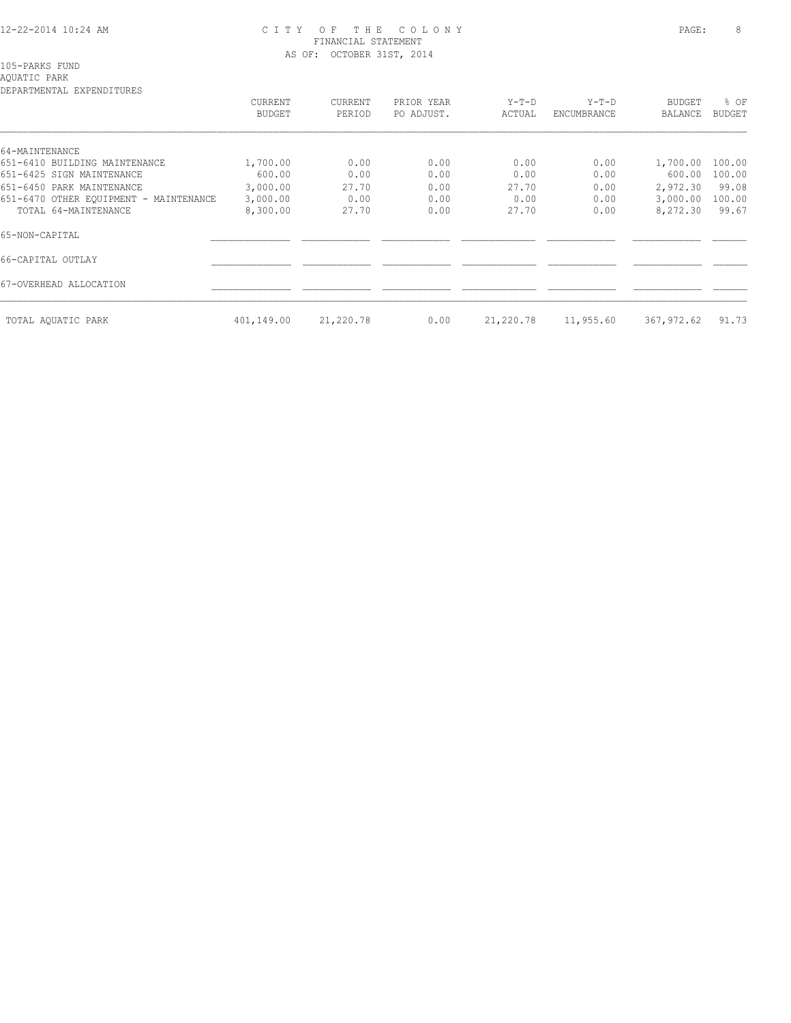#### 12-22-2014 10:24 AM C I T Y O F T H E C O L O N Y PAGE: 8 FINANCIAL STATEMENT AS OF: OCTOBER 31ST, 2014

105-PARKS FUND

# AQUATIC PARK DEPARTMENTAL EXPENDITURES

| DEFAKTMENTAL EXFENDITUKES              | CURRENT<br><b>BUDGET</b> | CURRENT<br>PERIOD | PRIOR YEAR<br>PO ADJUST. | $Y-T-D$<br>ACTUAL | $Y-T-D$<br>ENCUMBRANCE | <b>BUDGET</b><br>BALANCE | % OF<br>BUDGET |
|----------------------------------------|--------------------------|-------------------|--------------------------|-------------------|------------------------|--------------------------|----------------|
|                                        |                          |                   |                          |                   |                        |                          |                |
| 64-MAINTENANCE                         |                          |                   |                          |                   |                        |                          |                |
| 651-6410 BUILDING MAINTENANCE          | 1,700.00                 | 0.00              | 0.00                     | 0.00              | 0.00                   | 1,700.00                 | 100.00         |
| 651-6425 SIGN MAINTENANCE              | 600.00                   | 0.00              | 0.00                     | 0.00              | 0.00                   | 600.00                   | 100.00         |
| 651-6450 PARK MAINTENANCE              | 3,000.00                 | 27.70             | 0.00                     | 27.70             | 0.00                   | 2,972.30                 | 99.08          |
| 651-6470 OTHER EQUIPMENT - MAINTENANCE | 3,000.00                 | 0.00              | 0.00                     | 0.00              | 0.00                   | 3,000.00                 | 100.00         |
| TOTAL 64-MAINTENANCE                   | 8,300.00                 | 27.70             | 0.00                     | 27.70             | 0.00                   | 8,272.30                 | 99.67          |
| 65-NON-CAPITAL                         |                          |                   |                          |                   |                        |                          |                |
| 66-CAPITAL OUTLAY                      |                          |                   |                          |                   |                        |                          |                |
| 67-OVERHEAD ALLOCATION                 |                          |                   |                          |                   |                        |                          |                |
| TOTAL AQUATIC PARK                     | 401,149.00               | 21,220.78         | 0.00                     | 21,220.78         | 11,955.60              | 367,972.62               | 91.73          |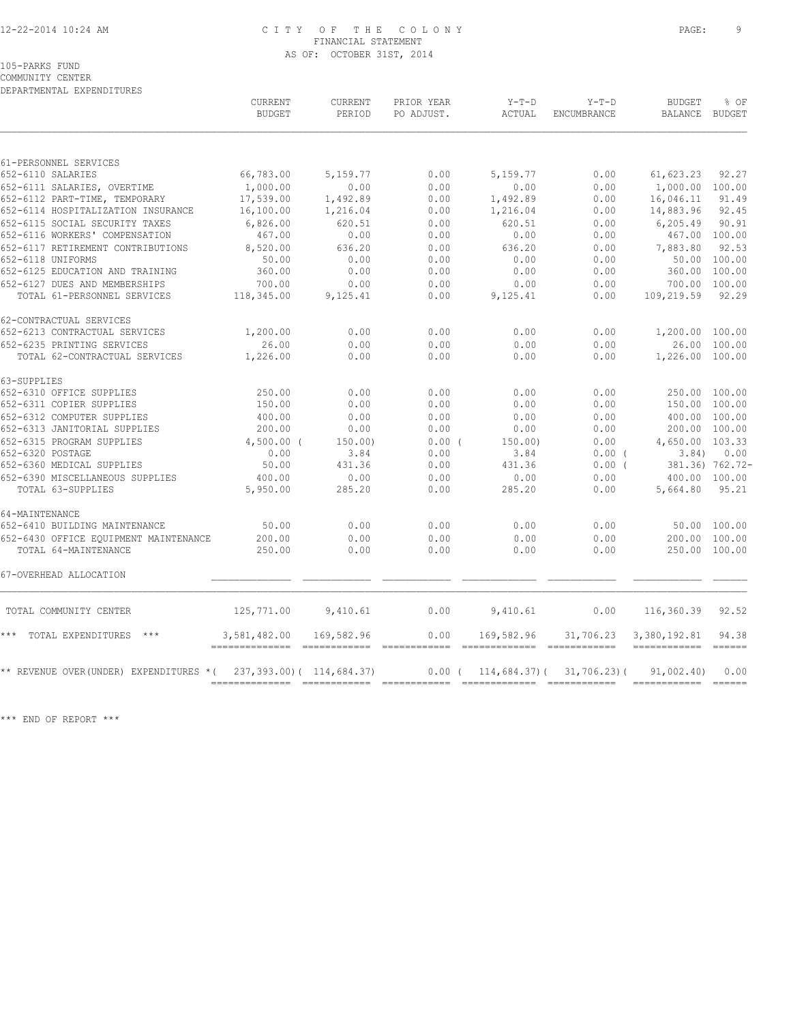#### 12-22-2014 10:24 AM C I T Y O F T H E C O L O N Y PAGE: 9 FINANCIAL STATEMENT AS OF: OCTOBER 31ST, 2014

COMMUNITY CENTER DEPARTMENTAL EXPENDITURES

|                                        | CURRENT<br><b>BUDGET</b> | CURRENT<br>PERIOD                                    | PRIOR YEAR<br>PO ADJUST. | $Y-T-D$<br><b>ACTUAL</b>                                                                                                                                                                                                                                                                                                                                                                      | $Y-T-D$<br><b>ENCUMBRANCE</b> | <b>BUDGET</b><br>BALANCE           | % OF<br>BUDGET  |
|----------------------------------------|--------------------------|------------------------------------------------------|--------------------------|-----------------------------------------------------------------------------------------------------------------------------------------------------------------------------------------------------------------------------------------------------------------------------------------------------------------------------------------------------------------------------------------------|-------------------------------|------------------------------------|-----------------|
| 61-PERSONNEL SERVICES                  |                          |                                                      |                          |                                                                                                                                                                                                                                                                                                                                                                                               |                               |                                    |                 |
| 652-6110 SALARIES                      | 66,783.00                | 5,159.77                                             | 0.00                     | 5,159.77                                                                                                                                                                                                                                                                                                                                                                                      | 0.00                          | 61,623.23                          | 92.27           |
| 652-6111 SALARIES, OVERTIME            | 1,000.00                 | 0.00                                                 | 0.00                     | 0.00                                                                                                                                                                                                                                                                                                                                                                                          | 0.00                          | 1,000.00 100.00                    |                 |
| 652-6112 PART-TIME, TEMPORARY          | 17,539.00                | 1,492.89                                             | 0.00                     | 1,492.89                                                                                                                                                                                                                                                                                                                                                                                      | 0.00                          | 16,046.11                          | 91.49           |
| 652-6114 HOSPITALIZATION INSURANCE     | 16,100.00                | 1,216.04                                             | 0.00                     | 1,216.04                                                                                                                                                                                                                                                                                                                                                                                      | 0.00                          | 14,883.96                          | 92.45           |
| 652-6115 SOCIAL SECURITY TAXES         | 6,826.00                 | 620.51                                               | 0.00                     | 620.51                                                                                                                                                                                                                                                                                                                                                                                        | 0.00                          | 6,205.49                           | 90.91           |
| 652-6116 WORKERS' COMPENSATION         | 467.00                   | 0.00                                                 | 0.00                     | 0.00                                                                                                                                                                                                                                                                                                                                                                                          | 0.00                          | 467.00 100.00                      |                 |
| 652-6117 RETIREMENT CONTRIBUTIONS      | 8,520.00                 | 636.20                                               | 0.00                     | 636.20                                                                                                                                                                                                                                                                                                                                                                                        | 0.00                          | 7,883.80                           | 92.53           |
| 652-6118 UNIFORMS                      | 50.00                    | 0.00                                                 | 0.00                     | 0.00                                                                                                                                                                                                                                                                                                                                                                                          | 0.00                          |                                    | 50.00 100.00    |
| 652-6125 EDUCATION AND TRAINING        | 360.00                   | 0.00                                                 | 0.00                     | 0.00                                                                                                                                                                                                                                                                                                                                                                                          | 0.00                          | 360.00 100.00                      |                 |
| 652-6127 DUES AND MEMBERSHIPS          | 700.00                   | 0.00                                                 | 0.00                     | 0.00                                                                                                                                                                                                                                                                                                                                                                                          | 0.00                          | 700.00 100.00                      |                 |
| TOTAL 61-PERSONNEL SERVICES            | 118,345.00               | 9,125.41                                             | 0.00                     | 9,125.41                                                                                                                                                                                                                                                                                                                                                                                      | 0.00                          | 109,219.59                         | 92.29           |
| 62-CONTRACTUAL SERVICES                |                          |                                                      |                          |                                                                                                                                                                                                                                                                                                                                                                                               |                               |                                    |                 |
| 652-6213 CONTRACTUAL SERVICES          | 1,200.00                 | 0.00                                                 | 0.00                     | 0.00                                                                                                                                                                                                                                                                                                                                                                                          | 0.00                          | 1,200.00 100.00                    |                 |
| 652-6235 PRINTING SERVICES             | 26.00                    | 0.00                                                 | 0.00                     | 0.00                                                                                                                                                                                                                                                                                                                                                                                          | 0.00                          |                                    | 26.00 100.00    |
| TOTAL 62-CONTRACTUAL SERVICES          | 1,226.00                 | 0.00                                                 | 0.00                     | 0.00                                                                                                                                                                                                                                                                                                                                                                                          | 0.00                          | 1,226.00 100.00                    |                 |
| 63-SUPPLIES                            |                          |                                                      |                          |                                                                                                                                                                                                                                                                                                                                                                                               |                               |                                    |                 |
| 652-6310 OFFICE SUPPLIES               | 250.00                   | 0.00                                                 | 0.00                     | 0.00                                                                                                                                                                                                                                                                                                                                                                                          | 0.00                          | 250.00 100.00                      |                 |
| 652-6311 COPIER SUPPLIES               | 150.00                   | 0.00                                                 | 0.00                     | 0.00                                                                                                                                                                                                                                                                                                                                                                                          | 0.00                          | 150.00 100.00                      |                 |
| 652-6312 COMPUTER SUPPLIES             | 400.00                   | 0.00                                                 | 0.00                     | 0.00                                                                                                                                                                                                                                                                                                                                                                                          | 0.00                          | 400.00 100.00                      |                 |
| 652-6313 JANITORIAL SUPPLIES           | 200.00                   | 0.00                                                 | 0.00                     | 0.00                                                                                                                                                                                                                                                                                                                                                                                          | 0.00                          | 200.00 100.00                      |                 |
| 652-6315 PROGRAM SUPPLIES              | $4,500.00$ (             | 150.00)                                              | $0.00$ (                 | 150.00                                                                                                                                                                                                                                                                                                                                                                                        | 0.00                          | 4,650.00 103.33                    |                 |
| 652-6320 POSTAGE                       | 0.00                     | 3.84                                                 | 0.00                     | 3.84                                                                                                                                                                                                                                                                                                                                                                                          | $0.00$ (                      | 3.84)                              | 0.00            |
| 652-6360 MEDICAL SUPPLIES              | 50.00                    | 431.36                                               | 0.00                     | 431.36                                                                                                                                                                                                                                                                                                                                                                                        | $0.00$ (                      |                                    | 381.36) 762.72- |
| 652-6390 MISCELLANEOUS SUPPLIES        | 400.00                   | 0.00                                                 | 0.00                     | 0.00                                                                                                                                                                                                                                                                                                                                                                                          | 0.00                          | 400.00 100.00                      |                 |
| TOTAL 63-SUPPLIES                      | 5,950.00                 | 285.20                                               | 0.00                     | 285.20                                                                                                                                                                                                                                                                                                                                                                                        | 0.00                          | 5,664.80                           | 95.21           |
| 64-MAINTENANCE                         |                          |                                                      |                          |                                                                                                                                                                                                                                                                                                                                                                                               |                               |                                    |                 |
| 652-6410 BUILDING MAINTENANCE          | 50.00                    | 0.00                                                 | 0.00                     | 0.00                                                                                                                                                                                                                                                                                                                                                                                          | 0.00                          |                                    | 50.00 100.00    |
| 652-6430 OFFICE EOUIPMENT MAINTENANCE  | 200.00                   | 0.00                                                 | 0.00                     | 0.00                                                                                                                                                                                                                                                                                                                                                                                          | 0.00                          | 200.00 100.00                      |                 |
| TOTAL 64-MAINTENANCE                   | 250.00                   | 0.00                                                 | 0.00                     | 0.00                                                                                                                                                                                                                                                                                                                                                                                          | 0.00                          | 250.00 100.00                      |                 |
| 67-OVERHEAD ALLOCATION                 |                          |                                                      |                          |                                                                                                                                                                                                                                                                                                                                                                                               |                               |                                    |                 |
| TOTAL COMMUNITY CENTER                 |                          | 125,771.00 9,410.61                                  | 0.00                     | 9,410.61                                                                                                                                                                                                                                                                                                                                                                                      | 0.00                          | 116,360.39 92.52                   |                 |
| *** TOTAL EXPENDITURES ***             | 3,581,482.00             | 169,582.96<br>-------------- ------------ ---------- | 0.00                     | 169,582.96<br>$\hskip10.08em{\texttt{m}}\hskip10.08em{\texttt{m}}\hskip10.08em{\texttt{m}}\hskip10.08em{\texttt{m}}\hskip10.08em{\texttt{m}}\hskip10.08em{\texttt{m}}\hskip10.08em{\texttt{m}}\hskip10.08em{\texttt{m}}\hskip10.08em{\texttt{m}}\hskip10.08em{\texttt{m}}\hskip10.08em{\texttt{m}}\hskip10.08em{\texttt{m}}\hskip10.08em{\texttt{m}}\hskip10.08em{\texttt{m}}\hskip10.08em{\$ | 31,706.23                     | 3,380,192.81<br>------------ ----- | 94.38           |
| ** REVENUE OVER(UNDER) EXPENDITURES *( |                          | 237, 393.00) ( 114, 684.37)                          |                          | $0.00$ ( $114,684.37$ ) ( $31,706.23$ ) (                                                                                                                                                                                                                                                                                                                                                     |                               | 91,002.40                          | 0.00            |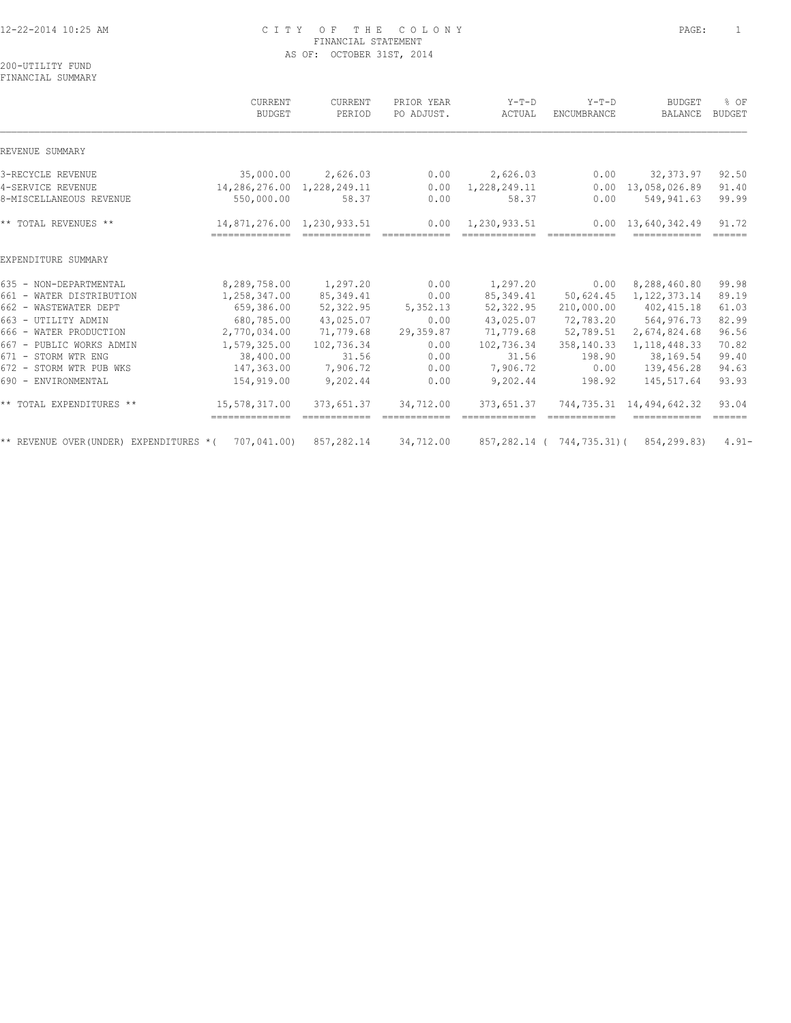# 12-22-2014 10:25 AM C I T Y O F T H E C O L O N Y PAGE: 1 FINANCIAL STATEMENT AS OF: OCTOBER 31ST, 2014

200-UTILITY FUND FINANCIAL SUMMARY

|                                                                  | CURRENT<br><b>BUDGET</b>                      | CURRENT<br>PERIOD                                                                                                                                                                                                                                                                                                                                                                                                                                                                    | PRIOR YEAR<br>PO ADJUST. | $Y-T-D$<br>ACTUAL             | $Y-T-D$<br><b>ENCUMBRANCE</b> | <b>BUDGET</b><br><b>BALANCE</b>                                                                                                                                                                                                                                                                                                                                                                                                                                                                                      | % OF<br>BUDGET                   |
|------------------------------------------------------------------|-----------------------------------------------|--------------------------------------------------------------------------------------------------------------------------------------------------------------------------------------------------------------------------------------------------------------------------------------------------------------------------------------------------------------------------------------------------------------------------------------------------------------------------------------|--------------------------|-------------------------------|-------------------------------|----------------------------------------------------------------------------------------------------------------------------------------------------------------------------------------------------------------------------------------------------------------------------------------------------------------------------------------------------------------------------------------------------------------------------------------------------------------------------------------------------------------------|----------------------------------|
| REVENUE SUMMARY                                                  |                                               |                                                                                                                                                                                                                                                                                                                                                                                                                                                                                      |                          |                               |                               |                                                                                                                                                                                                                                                                                                                                                                                                                                                                                                                      |                                  |
| 3-RECYCLE REVENUE                                                | 35,000.00                                     | 2,626.03                                                                                                                                                                                                                                                                                                                                                                                                                                                                             | 0.00                     | 2,626.03                      | 0.00                          | 32,373.97                                                                                                                                                                                                                                                                                                                                                                                                                                                                                                            | 92.50                            |
| 4-SERVICE REVENUE                                                | 14,286,276.00 1,228,249.11                    |                                                                                                                                                                                                                                                                                                                                                                                                                                                                                      | 0.00                     | 1,228,249.11                  | 0.00                          | 13,058,026.89                                                                                                                                                                                                                                                                                                                                                                                                                                                                                                        | 91.40                            |
| 8-MISCELLANEOUS REVENUE                                          | 550,000.00                                    | 58.37                                                                                                                                                                                                                                                                                                                                                                                                                                                                                | 0.00                     | 58.37                         | 0.00                          | 549,941.63                                                                                                                                                                                                                                                                                                                                                                                                                                                                                                           | 99.99                            |
| ** TOTAL REVENUES **                                             | 14,871,276.00 1,230,933.51<br>=============== | $\begin{array}{cccccc} \multicolumn{2}{c}{} & \multicolumn{2}{c}{} & \multicolumn{2}{c}{} & \multicolumn{2}{c}{} & \multicolumn{2}{c}{} & \multicolumn{2}{c}{} & \multicolumn{2}{c}{} & \multicolumn{2}{c}{} & \multicolumn{2}{c}{} & \multicolumn{2}{c}{} & \multicolumn{2}{c}{} & \multicolumn{2}{c}{} & \multicolumn{2}{c}{} & \multicolumn{2}{c}{} & \multicolumn{2}{c}{} & \multicolumn{2}{c}{} & \multicolumn{2}{c}{} & \multicolumn{2}{c}{} & \multicolumn{2}{c}{} & \multic$ | 0.00<br>============     | 1,230,933.51<br>============= | essessesses                   | $0.00 \quad 13.640.342.49$<br>$\begin{array}{cccccccccc} \multicolumn{2}{c}{} & \multicolumn{2}{c}{} & \multicolumn{2}{c}{} & \multicolumn{2}{c}{} & \multicolumn{2}{c}{} & \multicolumn{2}{c}{} & \multicolumn{2}{c}{} & \multicolumn{2}{c}{} & \multicolumn{2}{c}{} & \multicolumn{2}{c}{} & \multicolumn{2}{c}{} & \multicolumn{2}{c}{} & \multicolumn{2}{c}{} & \multicolumn{2}{c}{} & \multicolumn{2}{c}{} & \multicolumn{2}{c}{} & \multicolumn{2}{c}{} & \multicolumn{2}{c}{} & \multicolumn{2}{c}{} & \mult$ | 91.72<br>$=$ $=$ $=$ $=$ $=$ $=$ |
| EXPENDITURE SUMMARY                                              |                                               |                                                                                                                                                                                                                                                                                                                                                                                                                                                                                      |                          |                               |                               |                                                                                                                                                                                                                                                                                                                                                                                                                                                                                                                      |                                  |
| 635 - NON-DEPARTMENTAL                                           | 8,289,758.00                                  | 1,297.20                                                                                                                                                                                                                                                                                                                                                                                                                                                                             | 0.00                     | 1,297.20                      | 0.00                          | 8,288,460.80                                                                                                                                                                                                                                                                                                                                                                                                                                                                                                         | 99.98                            |
| 661 - WATER DISTRIBUTION                                         | 1,258,347.00                                  | 85, 349.41                                                                                                                                                                                                                                                                                                                                                                                                                                                                           | 0.00                     | 85, 349.41                    | 50,624.45                     | 1, 122, 373.14                                                                                                                                                                                                                                                                                                                                                                                                                                                                                                       | 89.19                            |
| 662 - WASTEWATER DEPT                                            | 659,386.00                                    | 52,322.95                                                                                                                                                                                                                                                                                                                                                                                                                                                                            | 5,352.13                 | 52,322.95                     | 210,000.00                    | 402,415.18                                                                                                                                                                                                                                                                                                                                                                                                                                                                                                           | 61.03                            |
| 663 - UTILITY ADMIN                                              | 680,785.00                                    | 43,025.07                                                                                                                                                                                                                                                                                                                                                                                                                                                                            | 0.00                     | 43,025.07                     |                               | 72,783.20 564,976.73                                                                                                                                                                                                                                                                                                                                                                                                                                                                                                 | 82.99                            |
| 666 - WATER PRODUCTION                                           | 2,770,034.00                                  | 71,779.68                                                                                                                                                                                                                                                                                                                                                                                                                                                                            | 29,359.87                | 71,779.68                     | 52,789.51                     | 2,674,824.68                                                                                                                                                                                                                                                                                                                                                                                                                                                                                                         | 96.56                            |
| 667 - PUBLIC WORKS ADMIN                                         | 1,579,325.00                                  | 102,736.34                                                                                                                                                                                                                                                                                                                                                                                                                                                                           | 0.00                     | 102,736.34                    | 358,140.33                    | 1, 118, 448.33                                                                                                                                                                                                                                                                                                                                                                                                                                                                                                       | 70.82                            |
| 671 - STORM WTR ENG                                              | 38,400.00                                     | 31.56                                                                                                                                                                                                                                                                                                                                                                                                                                                                                | 0.00                     | 31.56                         | 198.90                        | 38,169.54                                                                                                                                                                                                                                                                                                                                                                                                                                                                                                            | 99.40                            |
| 672 - STORM WTR PUB WKS                                          | 147,363.00                                    | 7,906.72                                                                                                                                                                                                                                                                                                                                                                                                                                                                             | 0.00                     | 7,906.72                      | 0.00                          | 139,456.28                                                                                                                                                                                                                                                                                                                                                                                                                                                                                                           | 94.63                            |
| 690 - ENVIRONMENTAL                                              | 154,919.00                                    | 9,202.44                                                                                                                                                                                                                                                                                                                                                                                                                                                                             | 0.00                     | 9,202.44                      | 198.92                        | 145,517.64                                                                                                                                                                                                                                                                                                                                                                                                                                                                                                           | 93.93                            |
| ** TOTAL EXPENDITURES **                                         | 15,578,317.00<br>--------------               | 373,651.37                                                                                                                                                                                                                                                                                                                                                                                                                                                                           | 34,712.00                | 373,651.37                    |                               | 744,735.31 14,494,642.32                                                                                                                                                                                                                                                                                                                                                                                                                                                                                             | 93.04<br>======                  |
| ** REVENUE OVER (UNDER) EXPENDITURES $*(707, 041.00)$ 857,282.14 |                                               |                                                                                                                                                                                                                                                                                                                                                                                                                                                                                      | 34,712.00                |                               |                               | 857,282.14 ( 744,735.31) ( 854,299.83)                                                                                                                                                                                                                                                                                                                                                                                                                                                                               | $4.91 -$                         |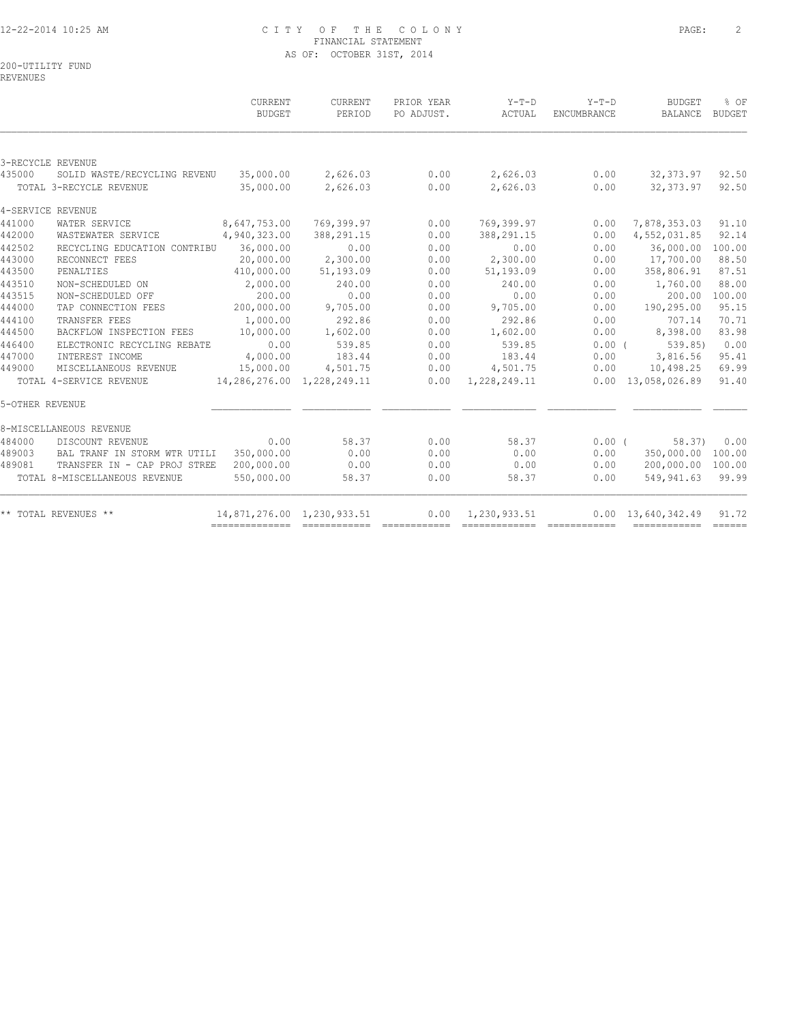# 12-22-2014 10:25 AM C I T Y O F T H E C O L O N Y PAGE: 2 FINANCIAL STATEMENT AS OF: OCTOBER 31ST, 2014

200-UTILITY FUND

REVENUES

|                 |                               | <b>CURRENT</b><br><b>BUDGET</b> | <b>CURRENT</b><br>PERIOD   | PRIOR YEAR<br>PO ADJUST. | $Y-T-D$<br>ACTUAL | $Y-T-D$<br>ENCUMBRANCE | <b>BUDGET</b><br>BALANCE   | % OF<br>BUDGET |
|-----------------|-------------------------------|---------------------------------|----------------------------|--------------------------|-------------------|------------------------|----------------------------|----------------|
|                 | 3-RECYCLE REVENUE             |                                 |                            |                          |                   |                        |                            |                |
| 435000          | SOLID WASTE/RECYCLING REVENU  | 35,000.00                       | 2,626.03                   | 0.00                     | 2,626.03          | 0.00                   | 32,373.97                  | 92.50          |
|                 | TOTAL 3-RECYCLE REVENUE       | 35,000.00                       | 2,626.03                   | 0.00                     | 2,626.03          | 0.00                   | 32, 373.97                 | 92.50          |
|                 | 4-SERVICE REVENUE             |                                 |                            |                          |                   |                        |                            |                |
| 441000          | WATER SERVICE                 | 8,647,753.00                    | 769,399.97                 | 0.00                     | 769,399.97        | 0.00                   | 7,878,353.03               | 91.10          |
| 442000          | WASTEWATER SERVICE            | 4,940,323.00                    | 388, 291.15                | 0.00                     | 388, 291.15       | 0.00                   | 4,552,031.85               | 92.14          |
| 442502          | RECYCLING EDUCATION CONTRIBU  | 36,000.00                       | 0.00                       | 0.00                     | 0.00              | 0.00                   | 36,000.00                  | 100.00         |
| 443000          | RECONNECT FEES                | 20,000.00                       | 2,300.00                   | 0.00                     | 2,300.00          | 0.00                   | 17,700.00                  | 88.50          |
| 443500          | PENALTIES                     | 410,000.00                      | 51,193.09                  | 0.00                     | 51,193.09         | 0.00                   | 358,806.91                 | 87.51          |
| 443510          | NON-SCHEDULED ON              | 2,000.00                        | 240.00                     | 0.00                     | 240.00            | 0.00                   | 1,760.00                   | 88.00          |
| 443515          | NON-SCHEDULED OFF             | 200.00                          | 0.00                       | 0.00                     | 0.00              | 0.00                   | 200.00                     | 100.00         |
| 444000          | TAP CONNECTION FEES           | 200,000.00                      | 9,705.00                   | 0.00                     | 9,705.00          | 0.00                   | 190,295.00                 | 95.15          |
| 444100          | TRANSFER FEES                 | 1,000.00                        | 292.86                     | 0.00                     | 292.86            | 0.00                   | 707.14                     | 70.71          |
| 444500          | BACKFLOW INSPECTION FEES      | 10,000.00                       | 1,602.00                   | 0.00                     | 1,602.00          | 0.00                   | 8,398.00                   | 83.98          |
| 446400          | ELECTRONIC RECYCLING REBATE   | 0.00                            | 539.85                     | 0.00                     | 539.85            | $0.00$ (               | 539.85                     | 0.00           |
| 447000          | INTEREST INCOME               | 4,000.00                        | 183.44                     | 0.00                     | 183.44            | 0.00                   | 3,816.56                   | 95.41          |
| 449000          | MISCELLANEOUS REVENUE         | 15,000.00                       | 4,501.75                   | 0.00                     | 4,501.75          | 0.00                   | 10,498.25                  | 69.99          |
|                 | TOTAL 4-SERVICE REVENUE       |                                 | 14,286,276.00 1,228,249.11 | 0.00                     | 1,228,249.11      |                        | 0.00 13,058,026.89         | 91.40          |
| 5-OTHER REVENUE |                               |                                 |                            |                          |                   |                        |                            |                |
|                 | 8-MISCELLANEOUS REVENUE       |                                 |                            |                          |                   |                        |                            |                |
| 484000          | DISCOUNT REVENUE              | 0.00                            | 58.37                      | 0.00                     | 58.37             | $0.00$ (               | 58.37)                     | 0.00           |
| 489003          | BAL TRANF IN STORM WTR UTILI  | 350,000.00                      | 0.00                       | 0.00                     | 0.00              | 0.00                   | 350,000.00                 | 100.00         |
| 489081          | TRANSFER IN - CAP PROJ STREE  | 200,000.00                      | 0.00                       | 0.00                     | 0.00              | 0.00                   | 200,000.00                 | 100.00         |
|                 | TOTAL 8-MISCELLANEOUS REVENUE | 550,000.00                      | 58.37                      | 0.00                     | 58.37             | 0.00                   | 549,941.63                 | 99.99          |
|                 | ** TOTAL REVENUES **          | 14,871,276.00 1,230,933.51      |                            | 0.00                     | 1,230,933.51      |                        | $0.00 \quad 13,640,342.49$ | 91.72          |
|                 |                               |                                 |                            |                          |                   |                        |                            |                |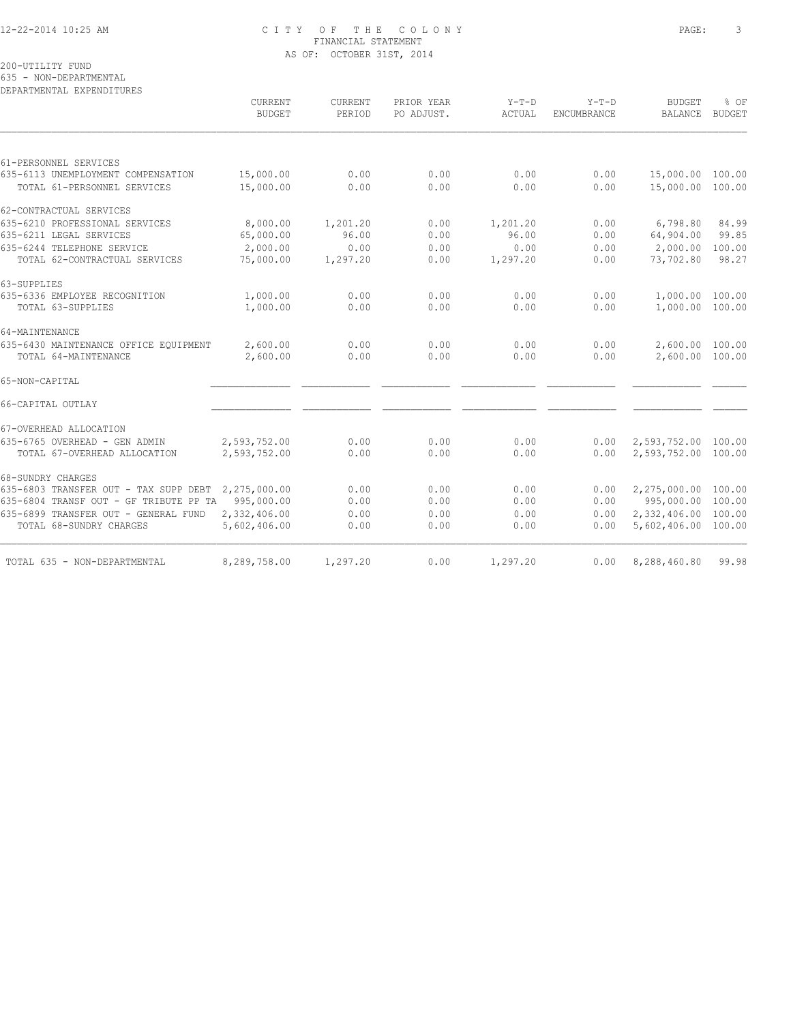#### 12-22-2014 10:25 AM C I T Y O F T H E C O L O N Y PAGE: 3 FINANCIAL STATEMENT AS OF: OCTOBER 31ST, 2014

200-UTILITY FUND

635 - NON-DEPARTMENTAL

DEPARTMENTAL EXPENDITURES

| <b>CURRENT</b><br><b>BUDGET</b>                       | CURRENT<br>PERIOD                                  | PRIOR YEAR<br>PO ADJUST. | $Y-T-D$<br>ACTUAL | $Y-T-D$<br>ENCUMBRANCE | <b>BUDGET</b><br><b>BALANCE</b> | % OF<br><b>BUDGET</b>                                                                                                                                                                                                             |
|-------------------------------------------------------|----------------------------------------------------|--------------------------|-------------------|------------------------|---------------------------------|-----------------------------------------------------------------------------------------------------------------------------------------------------------------------------------------------------------------------------------|
|                                                       |                                                    |                          |                   |                        |                                 |                                                                                                                                                                                                                                   |
|                                                       |                                                    |                          |                   |                        |                                 |                                                                                                                                                                                                                                   |
|                                                       |                                                    |                          |                   |                        |                                 |                                                                                                                                                                                                                                   |
|                                                       |                                                    |                          |                   |                        |                                 |                                                                                                                                                                                                                                   |
|                                                       |                                                    |                          |                   |                        |                                 |                                                                                                                                                                                                                                   |
| 8,000.00                                              | 1,201.20                                           | 0.00                     | 1,201.20          | 0.00                   | 6,798.80                        | 84.99                                                                                                                                                                                                                             |
| 65,000.00                                             | 96.00                                              | 0.00                     | 96.00             | 0.00                   | 64,904.00                       | 99.85                                                                                                                                                                                                                             |
| 2,000.00                                              | 0.00                                               | 0.00                     | 0.00              | 0.00                   | 2,000.00                        | 100.00                                                                                                                                                                                                                            |
| 75,000.00                                             | 1,297.20                                           | 0.00                     | 1,297.20          | 0.00                   | 73,702.80                       | 98.27                                                                                                                                                                                                                             |
|                                                       |                                                    |                          |                   |                        |                                 |                                                                                                                                                                                                                                   |
| 1,000.00                                              | 0.00                                               | 0.00                     | 0.00              | 0.00                   |                                 |                                                                                                                                                                                                                                   |
| 1,000.00                                              | 0.00                                               | 0.00                     | 0.00              | 0.00                   |                                 |                                                                                                                                                                                                                                   |
|                                                       |                                                    |                          |                   |                        |                                 |                                                                                                                                                                                                                                   |
|                                                       | 0.00                                               | 0.00                     |                   |                        |                                 |                                                                                                                                                                                                                                   |
| 2,600.00                                              | 0.00                                               | 0.00                     | 0.00              | 0.00                   |                                 |                                                                                                                                                                                                                                   |
|                                                       |                                                    |                          |                   |                        |                                 |                                                                                                                                                                                                                                   |
|                                                       |                                                    |                          |                   |                        |                                 |                                                                                                                                                                                                                                   |
|                                                       |                                                    |                          |                   |                        |                                 |                                                                                                                                                                                                                                   |
|                                                       | 0.00                                               | 0.00                     | 0.00              | 0.00                   |                                 |                                                                                                                                                                                                                                   |
| 2,593,752.00                                          | 0.00                                               | 0.00                     | 0.00              | 0.00                   |                                 |                                                                                                                                                                                                                                   |
|                                                       |                                                    |                          |                   |                        |                                 |                                                                                                                                                                                                                                   |
| 635-6803 TRANSFER OUT - TAX SUPP DEBT<br>2,275,000.00 | 0.00                                               | 0.00                     | 0.00              | 0.00                   | 2,275,000.00                    | 100.00                                                                                                                                                                                                                            |
| 635-6804 TRANSF OUT - GF TRIBUTE PP TA<br>995,000.00  | 0.00                                               | 0.00                     | 0.00              | 0.00                   |                                 |                                                                                                                                                                                                                                   |
| 2,332,406.00                                          | 0.00                                               | 0.00                     | 0.00              | 0.00                   |                                 |                                                                                                                                                                                                                                   |
| 5,602,406.00                                          | 0.00                                               | 0.00                     | 0.00              | 0.00                   |                                 |                                                                                                                                                                                                                                   |
| 8,289,758.00                                          | 1,297.20                                           | 0.00                     | 1,297.20          | 0.00                   | 8,288,460.80                    | 99.98                                                                                                                                                                                                                             |
|                                                       | 15,000.00<br>15,000.00<br>2,600.00<br>2,593,752.00 | 0.00<br>0.00             | 0.00<br>0.00      | 0.00<br>0.00<br>0.00   | 0.00<br>0.00<br>0.00            | 15,000.00 100.00<br>15,000.00 100.00<br>1,000.00 100.00<br>1,000.00 100.00<br>2,600.00 100.00<br>2,600.00 100.00<br>2,593,752.00 100.00<br>2,593,752.00 100.00<br>995,000.00 100.00<br>2,332,406.00 100.00<br>5,602,406.00 100.00 |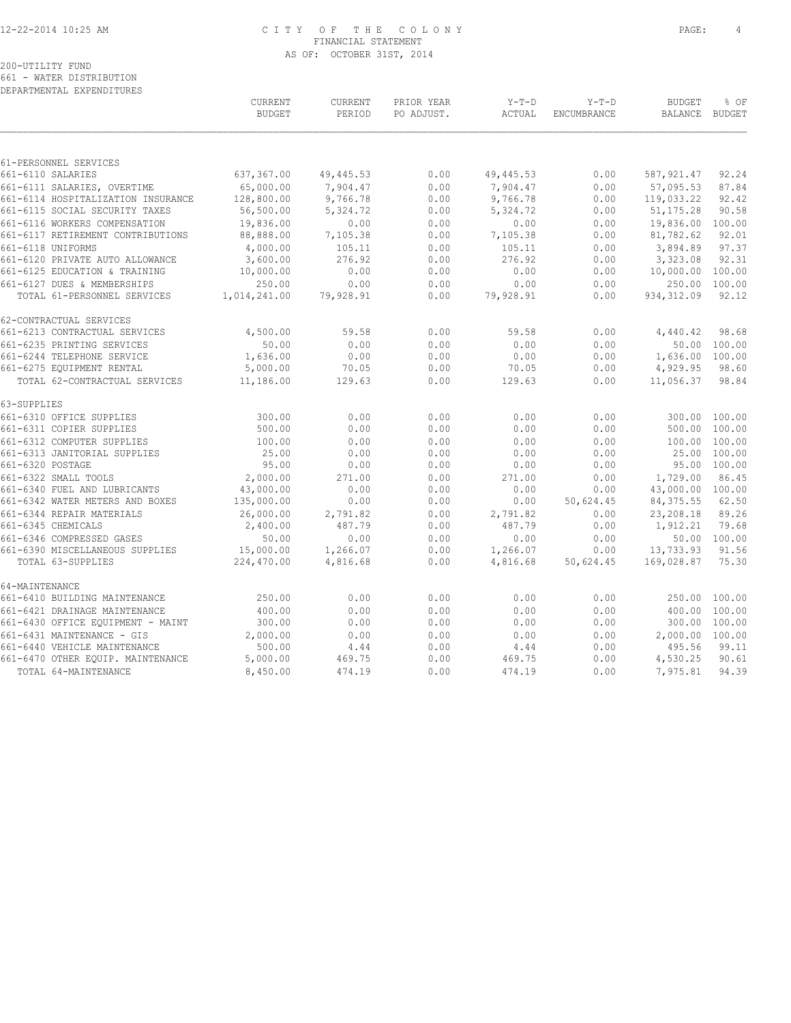## 12-22-2014 10:25 AM C I T Y O F T H E C O L O N Y PAGE: 4 FINANCIAL STATEMENT AS OF: OCTOBER 31ST, 2014

# 200-UTILITY FUND

661 - WATER DISTRIBUTION DEPARTMENTAL EXPENDITURES

|                                    | CURRENT<br><b>BUDGET</b> | CURRENT<br>PERIOD | PRIOR YEAR<br>PO ADJUST. | $Y-T-D$<br>ACTUAL | $Y-T-D$<br>ENCUMBRANCE | <b>BUDGET</b><br><b>BALANCE</b> | % OF<br><b>BUDGET</b> |
|------------------------------------|--------------------------|-------------------|--------------------------|-------------------|------------------------|---------------------------------|-----------------------|
|                                    |                          |                   |                          |                   |                        |                                 |                       |
| 61-PERSONNEL SERVICES              |                          |                   |                          |                   |                        |                                 |                       |
| 661-6110 SALARIES                  | 637,367.00               | 49,445.53         | 0.00                     | 49, 445.53        | 0.00                   | 587, 921.47                     | 92.24                 |
| 661-6111 SALARIES, OVERTIME        | 65,000.00                | 7,904.47          | 0.00                     | 7,904.47          | 0.00                   | 57,095.53                       | 87.84                 |
| 661-6114 HOSPITALIZATION INSURANCE | 128,800.00               | 9,766.78          | 0.00                     | 9,766.78          | 0.00                   | 119,033.22                      | 92.42                 |
| 661-6115 SOCIAL SECURITY TAXES     | 56,500.00                | 5, 324.72         | 0.00                     | 5, 324.72         | 0.00                   | 51, 175.28                      | 90.58                 |
| 661-6116 WORKERS COMPENSATION      | 19,836.00                | 0.00              | 0.00                     | 0.00              | 0.00                   | 19,836.00                       | 100.00                |
| 661-6117 RETIREMENT CONTRIBUTIONS  | 88,888.00                | 7,105.38          | 0.00                     | 7,105.38          | 0.00                   | 81,782.62                       | 92.01                 |
| 661-6118 UNIFORMS                  | 4,000.00                 | 105.11            | 0.00                     | 105.11            | 0.00                   | 3,894.89                        | 97.37                 |
| 661-6120 PRIVATE AUTO ALLOWANCE    | 3,600.00                 | 276.92            | 0.00                     | 276.92            | 0.00                   | 3,323.08                        | 92.31                 |
| 661-6125 EDUCATION & TRAINING      | 10,000.00                | 0.00              | 0.00                     | 0.00              | 0.00                   | 10,000.00                       | 100.00                |
| 661-6127 DUES & MEMBERSHIPS        | 250.00                   | 0.00              | 0.00                     | 0.00              | 0.00                   | 250.00                          | 100.00                |
| TOTAL 61-PERSONNEL SERVICES        | 1,014,241.00             | 79,928.91         | 0.00                     | 79,928.91         | 0.00                   | 934, 312.09                     | 92.12                 |
| 62-CONTRACTUAL SERVICES            |                          |                   |                          |                   |                        |                                 |                       |
| 661-6213 CONTRACTUAL SERVICES      | 4,500.00                 | 59.58             | 0.00                     | 59.58             | 0.00                   | 4,440.42                        | 98.68                 |
| 661-6235 PRINTING SERVICES         | 50.00                    | 0.00              | 0.00                     | 0.00              | 0.00                   |                                 | 50.00 100.00          |
| 661-6244 TELEPHONE SERVICE         | 1,636.00                 | 0.00              | 0.00                     | 0.00              | 0.00                   | 1,636.00 100.00                 |                       |
| 661-6275 EQUIPMENT RENTAL          | 5,000.00                 | 70.05             | 0.00                     | 70.05             | 0.00                   | 4,929.95                        | 98.60                 |
| TOTAL 62-CONTRACTUAL SERVICES      | 11,186.00                | 129.63            | 0.00                     | 129.63            | 0.00                   | 11,056.37                       | 98.84                 |
| 63-SUPPLIES                        |                          |                   |                          |                   |                        |                                 |                       |
| 661-6310 OFFICE SUPPLIES           | 300.00                   | 0.00              | 0.00                     | 0.00              | 0.00                   | 300.00                          | 100.00                |
| 661-6311 COPIER SUPPLIES           | 500.00                   | 0.00              | 0.00                     | 0.00              | 0.00                   | 500.00                          | 100.00                |
| 661-6312 COMPUTER SUPPLIES         | 100.00                   | 0.00              | 0.00                     | 0.00              | 0.00                   | 100.00                          | 100.00                |
| 661-6313 JANITORIAL SUPPLIES       | 25.00                    | 0.00              | 0.00                     | 0.00              | 0.00                   | 25.00                           | 100.00                |
| 661-6320 POSTAGE                   | 95.00                    | 0.00              | 0.00                     | 0.00              | 0.00                   |                                 | 95.00 100.00          |
| 661-6322 SMALL TOOLS               | 2,000.00                 | 271.00            | 0.00                     | 271.00            | 0.00                   | 1,729.00                        | 86.45                 |
| 661-6340 FUEL AND LUBRICANTS       | 43,000.00                | 0.00              | 0.00                     | 0.00              | 0.00                   | 43,000.00 100.00                |                       |
| 661-6342 WATER METERS AND BOXES    | 135,000.00               | 0.00              | 0.00                     | 0.00              | 50,624.45              | 84, 375.55                      | 62.50                 |
| 661-6344 REPAIR MATERIALS          | 26,000.00                | 2,791.82          | 0.00                     | 2,791.82          | 0.00                   | 23,208.18                       | 89.26                 |
| 661-6345 CHEMICALS                 | 2,400.00                 | 487.79            | 0.00                     | 487.79            | 0.00                   | 1,912.21                        | 79.68                 |
| 661-6346 COMPRESSED GASES          | 50.00                    | 0.00              | 0.00                     | 0.00              | 0.00                   |                                 | 50.00 100.00          |
| 661-6390 MISCELLANEOUS SUPPLIES    | 15,000.00                | 1,266.07          | 0.00                     | 1,266.07          | 0.00                   | 13,733.93                       | 91.56                 |
| TOTAL 63-SUPPLIES                  | 224,470.00               | 4,816.68          | 0.00                     | 4,816.68          | 50,624.45              | 169,028.87                      | 75.30                 |
| 64-MAINTENANCE                     |                          |                   |                          |                   |                        |                                 |                       |
| 661-6410 BUILDING MAINTENANCE      | 250.00                   | 0.00              | 0.00                     | 0.00              | 0.00                   | 250.00                          | 100.00                |
| 661-6421 DRAINAGE MAINTENANCE      | 400.00                   | 0.00              | 0.00                     | 0.00              | 0.00                   | 400.00                          | 100.00                |
| 661-6430 OFFICE EQUIPMENT - MAINT  | 300.00                   | 0.00              | 0.00                     | 0.00              | 0.00                   | 300.00                          | 100.00                |
| 661-6431 MAINTENANCE - GIS         | 2,000.00                 | 0.00              | 0.00                     | 0.00              | 0.00                   | 2,000.00 100.00                 |                       |
| 661-6440 VEHICLE MAINTENANCE       | 500.00                   | 4.44              | 0.00                     | 4.44              | 0.00                   | 495.56                          | 99.11                 |
| 661-6470 OTHER EQUIP. MAINTENANCE  | 5,000.00                 | 469.75            | 0.00                     | 469.75            | 0.00                   | 4,530.25                        | 90.61                 |
| TOTAL 64-MAINTENANCE               | 8,450.00                 | 474.19            | 0.00                     | 474.19            | 0.00                   | 7,975.81                        | 94.39                 |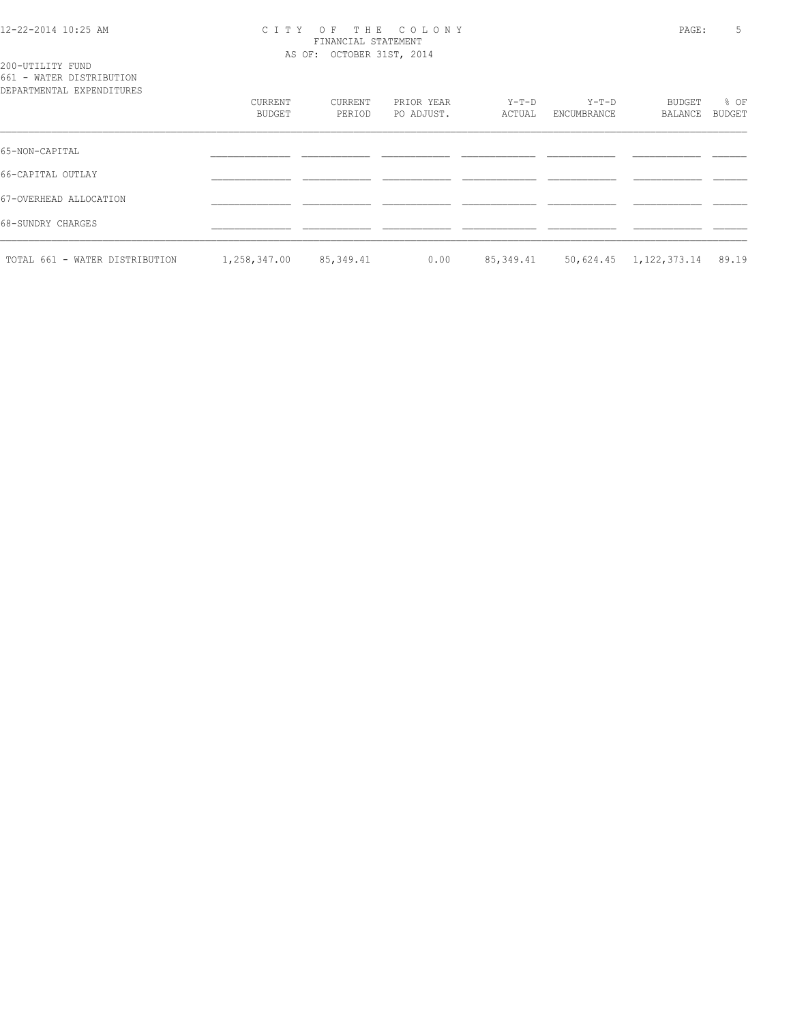#### 12-22-2014 10:25 AM C I T Y O F T H E C O L O N Y PAGE: 5 FINANCIAL STATEMENT AS OF: OCTOBER 31ST, 2014

| 200-UTILITY FUND |                                   |
|------------------|-----------------------------------|
|                  | 661 - WATER DISTRIBUTION          |
|                  | סתסווייד הואת סעת זגייואת אייסגסת |

| DEPARTMENTAL EXPENDITURES      |              |           |            |           |             |              |        |
|--------------------------------|--------------|-----------|------------|-----------|-------------|--------------|--------|
|                                | CURRENT      | CURRENT   | PRIOR YEAR | $Y-T-D$   | $Y-T-D$     | BUDGET       | % OF   |
|                                | BUDGET       | PERIOD    | PO ADJUST. | ACTUAL    | ENCUMBRANCE | BALANCE      | BUDGET |
|                                |              |           |            |           |             |              |        |
| 65-NON-CAPITAL                 |              |           |            |           |             |              |        |
| 66-CAPITAL OUTLAY              |              |           |            |           |             |              |        |
| 67-OVERHEAD ALLOCATION         |              |           |            |           |             |              |        |
| 68-SUNDRY CHARGES              |              |           |            |           |             |              |        |
| TOTAL 661 - WATER DISTRIBUTION | 1,258,347.00 | 85,349.41 | 0.00       | 85,349.41 | 50,624.45   | 1,122,373.14 | 89.19  |
|                                |              |           |            |           |             |              |        |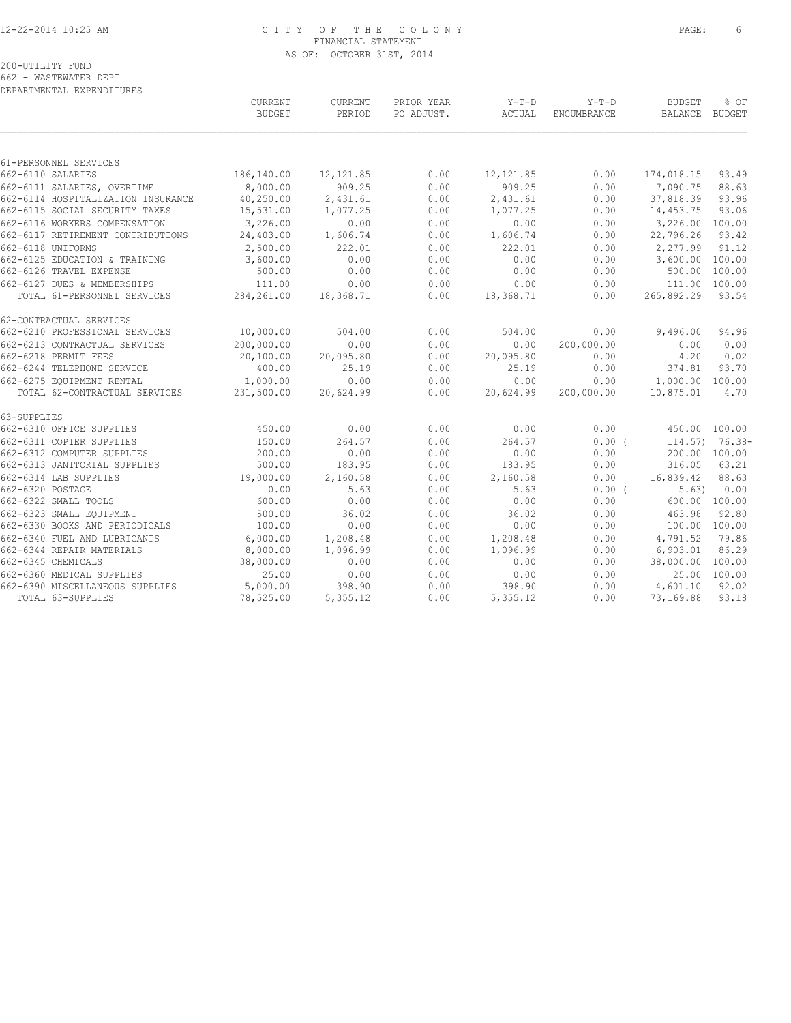#### 12-22-2014 10:25 AM C I T Y O F T H E C O L O N Y PAGE: 6 FINANCIAL STATEMENT AS OF: OCTOBER 31ST, 2014

200-UTILITY FUND 662 - WASTEWATER DEPT DEPARTMENTAL EXPENDITURES

 CURRENT CURRENT PRIOR YEAR Y-T-D Y-T-D BUDGET % OF BUDGET PERIOD PO ADJUST. ACTUAL ENCUMBRANCE BALANCE BUDGET  $\mathcal{L} = \{ \mathcal{L} = \{ \mathcal{L} = \{ \mathcal{L} = \{ \mathcal{L} = \{ \mathcal{L} = \{ \mathcal{L} = \{ \mathcal{L} = \{ \mathcal{L} = \{ \mathcal{L} = \{ \mathcal{L} = \{ \mathcal{L} = \{ \mathcal{L} = \{ \mathcal{L} = \{ \mathcal{L} = \{ \mathcal{L} = \{ \mathcal{L} = \{ \mathcal{L} = \{ \mathcal{L} = \{ \mathcal{L} = \{ \mathcal{L} = \{ \mathcal{L} = \{ \mathcal{L} = \{ \mathcal{L} = \{ \mathcal{$ 61-PERSONNEL SERVICES<br>662-6110 SALARIES 662-6110 SALARIES 186,140.00 12,121.85 0.00 12,121.85 0.00 174,018.15 93.49 662-6111 SALARIES, OVERTIME 8,000.00 909.25 0.00 909.25 0.00 7,090.75 88.63 662-6114 HOSPITALIZATION INSURANCE 40,250.00 2,431.61 0.00 2,431.61 0.00 37,818.39 93.96 662-6115 SOCIAL SECURITY TAXES 15,531.00 1,077.25 0.00 1,077.25 0.00 14,453.75 93.06 662-6116 WORKERS COMPENSATION 3,226.00 0.00 0.00 0.00 0.00 3,226.00 100.00 662-6117 RETIREMENT CONTRIBUTIONS 24,403.00 1,606.74 0.00 1,606.74 0.00 22,796.26 93.42 662-6118 UNIFORMS 2,500.00 222.01 0.00 222.01 0.00 2,277.99 91.12 662-6125 EDUCATION & TRAINING 3,600.00 0.00 0.00 0.00 0.00 3,600.00 100.00 662-6126 TRAVEL EXPENSE 500.00 0.00 0.00 0.00 0.00 500.00 100.00 662-6127 DUES & MEMBERSHIPS 111.00 0.00 0.00 0.00 0.00 111.00 100.00 TOTAL 61-PERSONNEL SERVICES 284,261.00 18,368.71 0.00 18,368.71 0.00 265,892.29 93.54 62-CONTRACTUAL SERVICES<br>662-6210 PROFESSIONAL SERVICES<br>662-6213 CONTRACTUAL SERVICES<br>663-6318 PEPMIT FEES 662-6210 PROFESSIONAL SERVICES 10,000.00 504.00 0.00 504.00 0.00 9,496.00 94.96 662-6213 CONTRACTUAL SERVICES 200,000.00 0.00 0.00 0.00 200,000.00 0.00 0.00 662-6218 PERMIT FEES 20,100.00 20,095.80 0.00 20,095.80 0.00 4.20 0.02 662-6244 TELEPHONE SERVICE 400.00 25.19 0.00 25.19 0.00 374.81 93.70 662-6275 EQUIPMENT RENTAL 1,000.00 0.00 0.00 0.00 0.00 1,000.00 100.00 TOTAL 62-CONTRACTUAL SERVICES 231,500.00 20,624.99 0.00 20,624.99 200,000.00 10,875.01 4.70 63-SUPPLIES 662-6310 OFFICE SUPPLIES 450.00 0.00 0.00 0.00 0.00 450.00 100.00 662-6311 COPIER SUPPLIES 150.00 264.57 0.00 264.57 0.00 ( 114.57) 76.38- 662-6312 COMPUTER SUPPLIES 200.00 0.00 0.00 0.00 0.00 200.00 100.00 662-6313 JANITORIAL SUPPLIES 500.00 183.95 0.00 183.95 0.00 316.05 63.21 662-6314 LAB SUPPLIES 19,000.00 2,160.58 0.00 2,160.58 0.00 16,839.42 88.63 662-6320 POSTAGE 0.00 5.63 0.00 5.63 0.00 ( 5.63) 0.00 662-6322 SMALL TOOLS 600.00 0.00 0.00 0.00 0.00 600.00 100.00 662-6323 SMALL EQUIPMENT 500.00 36.02 0.00 36.02 0.00 463.98 92.80 662-6330 BOOKS AND PERIODICALS 100.00 0.00 0.00 0.00 0.00 100.00 100.00 662-6340 FUEL AND LUBRICANTS 6,000.00 1,208.48 0.00 1,208.48 0.00 4,791.52 79.86 662-6344 REPAIR MATERIALS 8,000.00 1,096.99 0.00 1,096.99 0.00 6,903.01 86.29 662-6345 CHEMICALS 38,000.00 0.00 0.00 0.00 0.00 38,000.00 100.00 662-6360 MEDICAL SUPPLIES 25.00 0.00 0.00 0.00 0.00 25.00 100.00 662-6390 MISCELLANEOUS SUPPLIES 5,000.00 398.90 0.00 398.90 0.00 4,601.10 92.02 TOTAL 63-SUPPLIES 78,525.00 5,355.12 0.00 5,355.12 0.00 73,169.88 93.18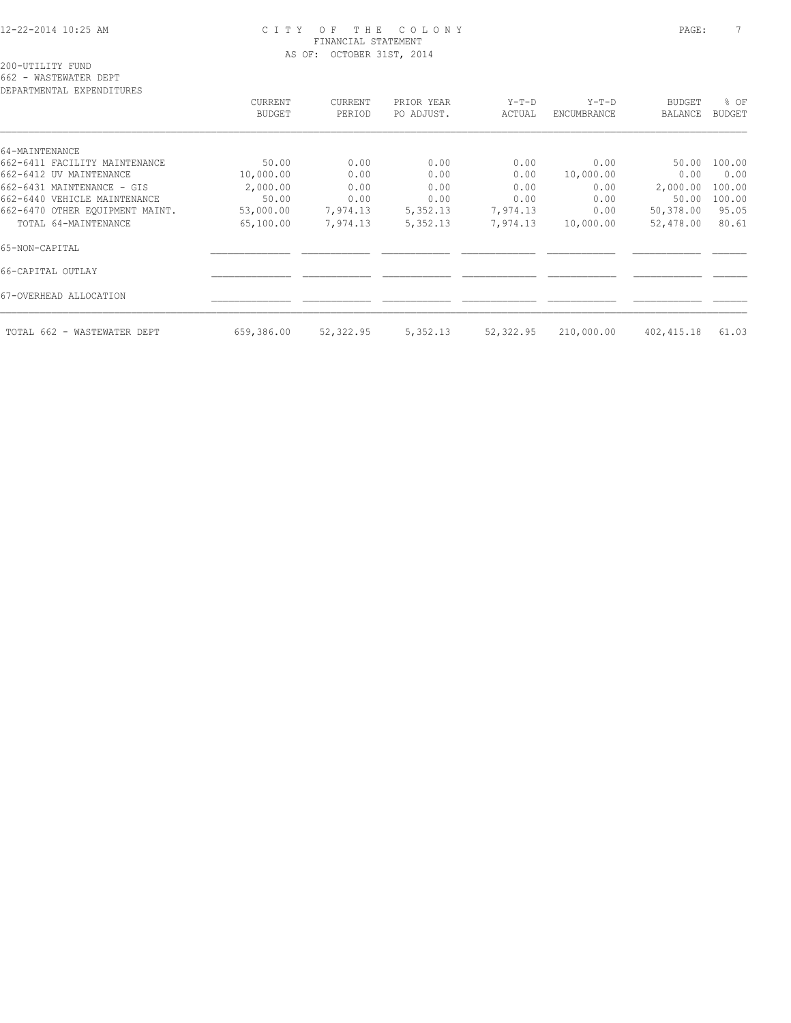#### 12-22-2014 10:25 AM C I T Y O F T H E C O L O N Y PAGE: 7 FINANCIAL STATEMENT AS OF: OCTOBER 31ST, 2014

200-UTILITY FUND

662 - WASTEWATER DEPT

| CURRENT    | CURRENT   | PRIOR YEAR | $Y-T-D$   | $Y-T-D$     | BUDGET         | % OF          |
|------------|-----------|------------|-----------|-------------|----------------|---------------|
| BUDGET     | PERIOD    | PO ADJUST. | ACTUAL    | ENCUMBRANCE | <b>BALANCE</b> | <b>BUDGET</b> |
|            |           |            |           |             |                |               |
|            |           |            |           |             |                |               |
| 50.00      | 0.00      | 0.00       | 0.00      | 0.00        | 50.00          | 100.00        |
| 10,000.00  | 0.00      | 0.00       | 0.00      | 10,000.00   | 0.00           | 0.00          |
| 2,000.00   | 0.00      | 0.00       | 0.00      | 0.00        | 2,000.00       | 100.00        |
| 50.00      | 0.00      | 0.00       | 0.00      | 0.00        | 50.00          | 100.00        |
| 53,000.00  | 7,974.13  | 5,352.13   | 7,974.13  | 0.00        | 50,378.00      | 95.05         |
| 65,100.00  | 7,974.13  | 5,352.13   | 7,974.13  | 10,000.00   | 52,478.00      | 80.61         |
|            |           |            |           |             |                |               |
|            |           |            |           |             |                |               |
|            |           |            |           |             |                |               |
| 659,386.00 | 52,322.95 | 5,352.13   | 52,322.95 | 210,000.00  | 402,415.18     | 61.03         |
|            |           |            |           |             |                |               |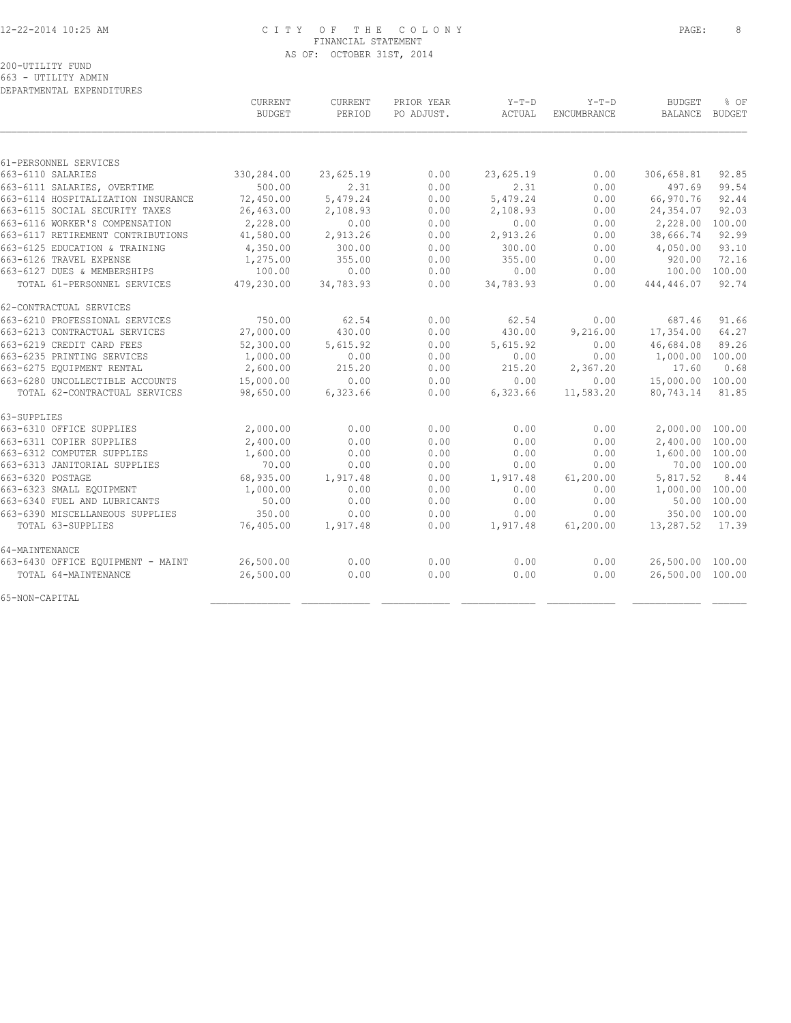#### 12-22-2014 10:25 AM C I T Y O F T H E C O L O N Y PAGE: 8 FINANCIAL STATEMENT AS OF: OCTOBER 31ST, 2014

| DEPARTMENTAL EXPENDITURES          |               |           |            |           |             |                  |               |
|------------------------------------|---------------|-----------|------------|-----------|-------------|------------------|---------------|
|                                    | CURRENT       | CURRENT   | PRIOR YEAR | $Y-T-D$   | $Y-T-D$     | <b>BUDGET</b>    | % OF          |
|                                    | <b>BUDGET</b> | PERIOD    | PO ADJUST. | ACTUAL    | ENCUMBRANCE | <b>BALANCE</b>   | BUDGET        |
|                                    |               |           |            |           |             |                  |               |
| 61-PERSONNEL SERVICES              |               |           |            |           |             |                  |               |
| 663-6110 SALARIES                  | 330,284.00    | 23,625.19 | 0.00       | 23,625.19 | 0.00        | 306,658.81       | 92.85         |
| 663-6111 SALARIES, OVERTIME        | 500.00        | 2.31      | 0.00       | 2.31      | 0.00        | 497.69           | 99.54         |
| 663-6114 HOSPITALIZATION INSURANCE | 72,450.00     | 5,479.24  | 0.00       | 5,479.24  | 0.00        | 66,970.76        | 92.44         |
| 663-6115 SOCIAL SECURITY TAXES     | 26,463.00     | 2,108.93  | 0.00       | 2,108.93  | 0.00        | 24,354.07        | 92.03         |
| 663-6116 WORKER'S COMPENSATION     | 2,228.00      | 0.00      | 0.00       | 0.00      | 0.00        | 2,228.00         | 100.00        |
| 663-6117 RETIREMENT CONTRIBUTIONS  | 41,580.00     | 2,913.26  | 0.00       | 2,913.26  | 0.00        | 38,666.74        | 92.99         |
| 663-6125 EDUCATION & TRAINING      | 4,350.00      | 300.00    | 0.00       | 300.00    | 0.00        | 4,050.00         | 93.10         |
| 663-6126 TRAVEL EXPENSE            | 1,275.00      | 355.00    | 0.00       | 355.00    | 0.00        | 920.00           | 72.16         |
| 663-6127 DUES & MEMBERSHIPS        | 100.00        | 0.00      | 0.00       | 0.00      | 0.00        | 100.00           | 100.00        |
| TOTAL 61-PERSONNEL SERVICES        | 479,230.00    | 34,783.93 | 0.00       | 34,783.93 | 0.00        | 444,446.07       | 92.74         |
| 62-CONTRACTUAL SERVICES            |               |           |            |           |             |                  |               |
| 663-6210 PROFESSIONAL SERVICES     | 750.00        | 62.54     | 0.00       | 62.54     | 0.00        | 687.46           | 91.66         |
| 663-6213 CONTRACTUAL SERVICES      | 27,000.00     | 430.00    | 0.00       | 430.00    | 9,216.00    | 17,354.00        | 64.27         |
| 663-6219 CREDIT CARD FEES          | 52,300.00     | 5,615.92  | 0.00       | 5,615.92  | 0.00        | 46,684.08        | 89.26         |
| 663-6235 PRINTING SERVICES         | 1,000.00      | 0.00      | 0.00       | 0.00      | 0.00        | 1,000.00 100.00  |               |
| 663-6275 EQUIPMENT RENTAL          | 2,600.00      | 215.20    | 0.00       | 215.20    | 2,367.20    | 17.60            | 0.68          |
| 663-6280 UNCOLLECTIBLE ACCOUNTS    | 15,000.00     | 0.00      | 0.00       | 0.00      | 0.00        | 15,000.00        | 100.00        |
| TOTAL 62-CONTRACTUAL SERVICES      | 98,650.00     | 6,323.66  | 0.00       | 6,323.66  | 11,583.20   | 80,743.14        | 81.85         |
| 63-SUPPLIES                        |               |           |            |           |             |                  |               |
| 663-6310 OFFICE SUPPLIES           | 2,000.00      | 0.00      | 0.00       | 0.00      | 0.00        | 2,000.00 100.00  |               |
| 663-6311 COPIER SUPPLIES           | 2,400.00      | 0.00      | 0.00       | 0.00      | 0.00        | 2,400.00 100.00  |               |
| 663-6312 COMPUTER SUPPLIES         | 1,600.00      | 0.00      | 0.00       | 0.00      | 0.00        | 1,600.00 100.00  |               |
| 663-6313 JANITORIAL SUPPLIES       | 70.00         | 0.00      | 0.00       | 0.00      | 0.00        |                  | 70.00 100.00  |
| 663-6320 POSTAGE                   | 68,935.00     | 1,917.48  | 0.00       | 1,917.48  | 61,200.00   | 5,817.52         | 8.44          |
| 663-6323 SMALL EQUIPMENT           | 1,000.00      | 0.00      | 0.00       | 0.00      | 0.00        | 1,000.00 100.00  |               |
| 663-6340 FUEL AND LUBRICANTS       | 50.00         | 0.00      | 0.00       | 0.00      | 0.00        |                  | 50.00 100.00  |
| 663-6390 MISCELLANEOUS SUPPLIES    | 350.00        | 0.00      | 0.00       | 0.00      | 0.00        |                  | 350.00 100.00 |
| TOTAL 63-SUPPLIES                  | 76,405.00     | 1,917.48  | 0.00       | 1,917.48  | 61,200.00   | 13,287.52        | 17.39         |
| 64-MAINTENANCE                     |               |           |            |           |             |                  |               |
| 663-6430 OFFICE EQUIPMENT - MAINT  | 26,500.00     | 0.00      | 0.00       | 0.00      | 0.00        | 26,500.00 100.00 |               |
| TOTAL 64-MAINTENANCE               | 26,500.00     | 0.00      | 0.00       | 0.00      | 0.00        | 26,500.00 100.00 |               |
| 65-NON-CAPITAL                     |               |           |            |           |             |                  |               |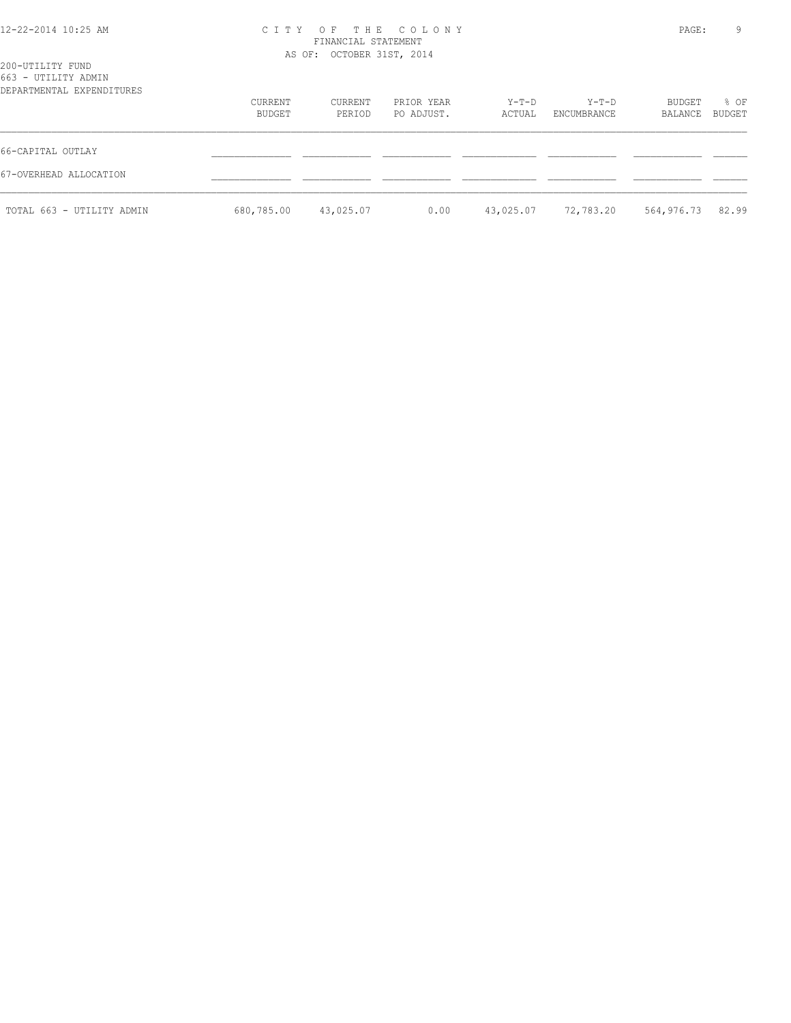# 12-22-2014 10:25 AM C I T Y O F T H E C O L O N Y PAGE: 9 FINANCIAL STATEMENT

|                                                                      |                   | AS OF: OCTOBER 31ST, 2014 |                          |                 |                      |                   |                |  |
|----------------------------------------------------------------------|-------------------|---------------------------|--------------------------|-----------------|----------------------|-------------------|----------------|--|
| 200-UTILITY FUND<br>663 - UTILITY ADMIN<br>DEPARTMENTAL EXPENDITURES |                   |                           |                          |                 |                      |                   |                |  |
|                                                                      | CURRENT<br>BUDGET | CURRENT<br>PERIOD         | PRIOR YEAR<br>PO ADJUST. | Y-T-D<br>ACTUAL | Y-T-D<br>ENCUMBRANCE | BUDGET<br>BALANCE | % OF<br>BUDGET |  |
| 66-CAPITAL OUTLAY                                                    |                   |                           |                          |                 |                      |                   |                |  |
| 67-OVERHEAD ALLOCATION                                               |                   |                           |                          |                 |                      |                   |                |  |
| TOTAL 663 - UTILITY ADMIN                                            | 680,785.00        | 43,025.07                 | 0.00                     | 43,025.07       | 72,783.20            | 564,976.73        | 82.99          |  |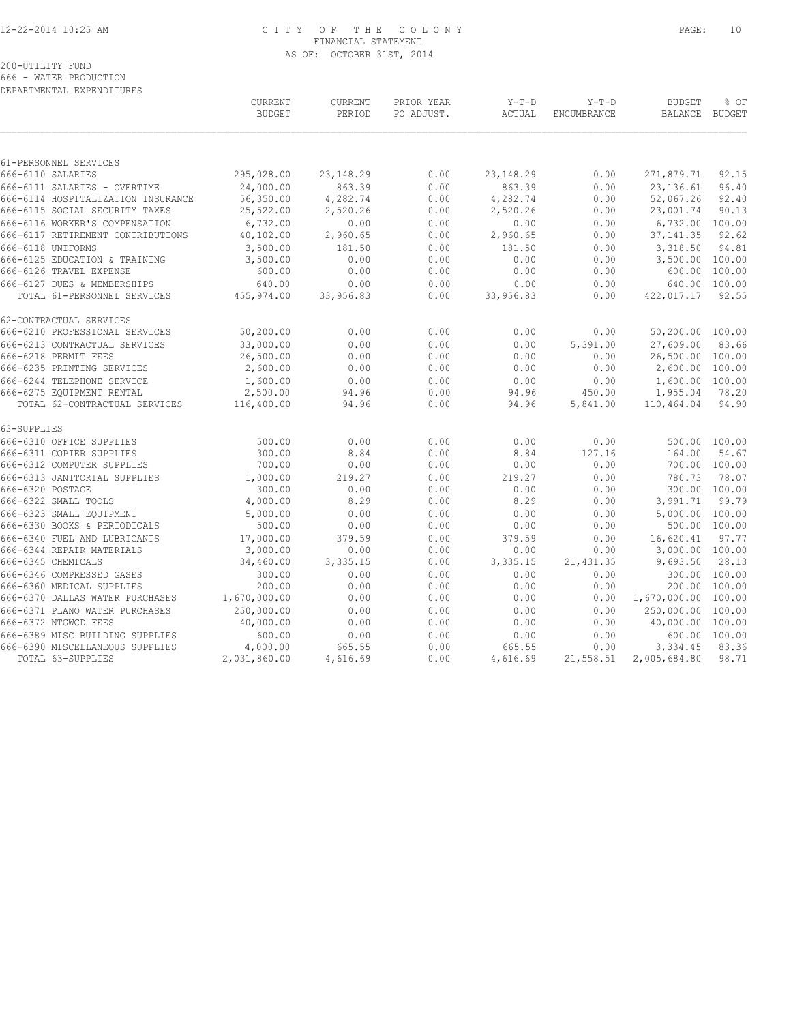## 12-22-2014 10:25 AM C I T Y O F T H E C O L O N Y PAGE: 10 FINANCIAL STATEMENT AS OF: OCTOBER 31ST, 2014

200-UTILITY FUND

666 - WATER PRODUCTION DEPARTMENTAL EXPENDITURES

| 295,028.00<br>0.00<br>23, 148. 29<br>0.00<br>271,879.71<br>666-6110 SALARIES<br>23, 148.29<br>92.15<br>24,000.00<br>863.39<br>0.00<br>863.39<br>23, 136.61<br>96.40<br>666-6111 SALARIES - OVERTIME<br>0.00<br>56,350.00<br>4,282.74<br>0.00<br>4,282.74<br>0.00<br>52,067.26<br>92.40<br>666-6114 HOSPITALIZATION INSURANCE<br>666-6115 SOCIAL SECURITY TAXES<br>25,522.00<br>2,520.26<br>0.00<br>23,001.74<br>90.13<br>2,520.26<br>0.00<br>666-6116 WORKER'S COMPENSATION<br>6,732.00<br>0.00<br>0.00<br>0.00<br>0.00<br>6,732.00<br>100.00<br>40,102.00<br>92.62<br>666-6117 RETIREMENT CONTRIBUTIONS<br>2,960.65<br>0.00<br>2,960.65<br>0.00<br>37, 141.35<br>3,318.50<br>94.81<br>666-6118 UNIFORMS<br>3,500.00<br>181.50<br>0.00<br>181.50<br>0.00<br>666-6125 EDUCATION & TRAINING<br>3,500.00<br>0.00<br>0.00<br>0.00<br>0.00<br>3,500.00 100.00<br>666-6126 TRAVEL EXPENSE<br>600.00<br>0.00<br>0.00<br>0.00<br>0.00<br>600.00 100.00<br>640.00<br>100.00<br>666-6127 DUES & MEMBERSHIPS<br>640.00<br>0.00<br>0.00<br>0.00<br>0.00<br>92.55<br>TOTAL 61-PERSONNEL SERVICES<br>455,974.00<br>33,956.83<br>0.00<br>33,956.83<br>0.00<br>422,017.17<br>666-6210 PROFESSIONAL SERVICES<br>50,200.00<br>0.00<br>0.00<br>0.00<br>0.00<br>50,200.00<br>100.00<br>33,000.00<br>0.00<br>0.00<br>27,609.00<br>83.66<br>666-6213 CONTRACTUAL SERVICES<br>0.00<br>5,391.00<br>666-6218 PERMIT FEES<br>26,500.00<br>0.00<br>26,500.00 100.00<br>0.00<br>0.00<br>0.00<br>666-6235 PRINTING SERVICES<br>2,600.00<br>0.00<br>0.00<br>0.00<br>0.00<br>2,600.00 100.00<br>666-6244 TELEPHONE SERVICE<br>1,600.00<br>0.00<br>0.00<br>0.00<br>0.00<br>1,600.00 100.00<br>666-6275 EQUIPMENT RENTAL<br>2,500.00<br>0.00<br>94.96<br>1,955.04<br>78.20<br>94.96<br>450.00<br>94.90<br>TOTAL 62-CONTRACTUAL SERVICES<br>116,400.00<br>94.96<br>0.00<br>94.96<br>5,841.00<br>110,464.04<br>0.00<br>0.00<br>0.00<br>500.00 100.00<br>500.00<br>0.00<br>300.00<br>8.84<br>0.00<br>8.84<br>164.00<br>54.67<br>127.16<br>700.00<br>0.00<br>0.00<br>0.00<br>700.00 100.00<br>0.00<br>780.73<br>1,000.00<br>219.27<br>0.00<br>219.27<br>0.00<br>78.07<br>300.00 100.00<br>300.00<br>0.00<br>0.00<br>0.00<br>0.00<br>4,000.00<br>8.29<br>0.00<br>8.29<br>3,991.71<br>99.79<br>0.00<br>5,000.00<br>0.00<br>0.00<br>0.00<br>5,000.00 100.00<br>0.00<br>500.00<br>0.00<br>0.00<br>500.00 100.00<br>0.00<br>0.00<br>16,620.41<br>97.77<br>17,000.00<br>379.59<br>0.00<br>379.59<br>0.00<br>0.00<br>0.00<br>0.00<br>3,000.00 100.00<br>3,000.00<br>0.00<br>3,335.15<br>3,335.15<br>9,693.50<br>28.13<br>34,460.00<br>0.00<br>21, 431.35<br>0.00<br>0.00<br>300.00 100.00<br>300.00<br>0.00<br>0.00<br>200.00<br>0.00<br>0.00<br>0.00<br>200.00 100.00<br>0.00<br>0.00<br>1,670,000.00<br>0.00<br>0.00<br>0.00<br>1,670,000.00 100.00<br>250,000.00<br>0.00<br>0.00<br>0.00<br>250,000.00 100.00<br>0.00<br>40,000.00<br>0.00<br>0.00<br>0.00<br>0.00<br>40,000.00 100.00<br>600.00<br>600.00 100.00<br>0.00<br>0.00<br>0.00<br>0.00<br>83.36<br>4,000.00<br>665.55<br>0.00<br>665.55<br>3,334.45<br>0.00<br>98.71<br>TOTAL 63-SUPPLIES<br>2,031,860.00<br>0.00<br>4,616.69<br>21,558.51<br>2,005,684.80<br>4,616.69 |                                 | CURRENT<br><b>BUDGET</b> | <b>CURRENT</b><br>PERIOD | PRIOR YEAR<br>PO ADJUST. | $Y-T-D$<br>ACTUAL | $Y-T-D$<br>ENCUMBRANCE | <b>BUDGET</b><br>BALANCE | % OF<br><b>BUDGET</b> |
|------------------------------------------------------------------------------------------------------------------------------------------------------------------------------------------------------------------------------------------------------------------------------------------------------------------------------------------------------------------------------------------------------------------------------------------------------------------------------------------------------------------------------------------------------------------------------------------------------------------------------------------------------------------------------------------------------------------------------------------------------------------------------------------------------------------------------------------------------------------------------------------------------------------------------------------------------------------------------------------------------------------------------------------------------------------------------------------------------------------------------------------------------------------------------------------------------------------------------------------------------------------------------------------------------------------------------------------------------------------------------------------------------------------------------------------------------------------------------------------------------------------------------------------------------------------------------------------------------------------------------------------------------------------------------------------------------------------------------------------------------------------------------------------------------------------------------------------------------------------------------------------------------------------------------------------------------------------------------------------------------------------------------------------------------------------------------------------------------------------------------------------------------------------------------------------------------------------------------------------------------------------------------------------------------------------------------------------------------------------------------------------------------------------------------------------------------------------------------------------------------------------------------------------------------------------------------------------------------------------------------------------------------------------------------------------------------------------------------------------------------------------------------------------------------------------------------------------------------------------------------------------------------------------------------------------------------------------------------------------------------------------------------------------------------------------------------------------------------------------------------------------------------------------------------------------|---------------------------------|--------------------------|--------------------------|--------------------------|-------------------|------------------------|--------------------------|-----------------------|
|                                                                                                                                                                                                                                                                                                                                                                                                                                                                                                                                                                                                                                                                                                                                                                                                                                                                                                                                                                                                                                                                                                                                                                                                                                                                                                                                                                                                                                                                                                                                                                                                                                                                                                                                                                                                                                                                                                                                                                                                                                                                                                                                                                                                                                                                                                                                                                                                                                                                                                                                                                                                                                                                                                                                                                                                                                                                                                                                                                                                                                                                                                                                                                                          |                                 |                          |                          |                          |                   |                        |                          |                       |
|                                                                                                                                                                                                                                                                                                                                                                                                                                                                                                                                                                                                                                                                                                                                                                                                                                                                                                                                                                                                                                                                                                                                                                                                                                                                                                                                                                                                                                                                                                                                                                                                                                                                                                                                                                                                                                                                                                                                                                                                                                                                                                                                                                                                                                                                                                                                                                                                                                                                                                                                                                                                                                                                                                                                                                                                                                                                                                                                                                                                                                                                                                                                                                                          | 61-PERSONNEL SERVICES           |                          |                          |                          |                   |                        |                          |                       |
|                                                                                                                                                                                                                                                                                                                                                                                                                                                                                                                                                                                                                                                                                                                                                                                                                                                                                                                                                                                                                                                                                                                                                                                                                                                                                                                                                                                                                                                                                                                                                                                                                                                                                                                                                                                                                                                                                                                                                                                                                                                                                                                                                                                                                                                                                                                                                                                                                                                                                                                                                                                                                                                                                                                                                                                                                                                                                                                                                                                                                                                                                                                                                                                          |                                 |                          |                          |                          |                   |                        |                          |                       |
|                                                                                                                                                                                                                                                                                                                                                                                                                                                                                                                                                                                                                                                                                                                                                                                                                                                                                                                                                                                                                                                                                                                                                                                                                                                                                                                                                                                                                                                                                                                                                                                                                                                                                                                                                                                                                                                                                                                                                                                                                                                                                                                                                                                                                                                                                                                                                                                                                                                                                                                                                                                                                                                                                                                                                                                                                                                                                                                                                                                                                                                                                                                                                                                          |                                 |                          |                          |                          |                   |                        |                          |                       |
|                                                                                                                                                                                                                                                                                                                                                                                                                                                                                                                                                                                                                                                                                                                                                                                                                                                                                                                                                                                                                                                                                                                                                                                                                                                                                                                                                                                                                                                                                                                                                                                                                                                                                                                                                                                                                                                                                                                                                                                                                                                                                                                                                                                                                                                                                                                                                                                                                                                                                                                                                                                                                                                                                                                                                                                                                                                                                                                                                                                                                                                                                                                                                                                          |                                 |                          |                          |                          |                   |                        |                          |                       |
|                                                                                                                                                                                                                                                                                                                                                                                                                                                                                                                                                                                                                                                                                                                                                                                                                                                                                                                                                                                                                                                                                                                                                                                                                                                                                                                                                                                                                                                                                                                                                                                                                                                                                                                                                                                                                                                                                                                                                                                                                                                                                                                                                                                                                                                                                                                                                                                                                                                                                                                                                                                                                                                                                                                                                                                                                                                                                                                                                                                                                                                                                                                                                                                          |                                 |                          |                          |                          |                   |                        |                          |                       |
|                                                                                                                                                                                                                                                                                                                                                                                                                                                                                                                                                                                                                                                                                                                                                                                                                                                                                                                                                                                                                                                                                                                                                                                                                                                                                                                                                                                                                                                                                                                                                                                                                                                                                                                                                                                                                                                                                                                                                                                                                                                                                                                                                                                                                                                                                                                                                                                                                                                                                                                                                                                                                                                                                                                                                                                                                                                                                                                                                                                                                                                                                                                                                                                          |                                 |                          |                          |                          |                   |                        |                          |                       |
|                                                                                                                                                                                                                                                                                                                                                                                                                                                                                                                                                                                                                                                                                                                                                                                                                                                                                                                                                                                                                                                                                                                                                                                                                                                                                                                                                                                                                                                                                                                                                                                                                                                                                                                                                                                                                                                                                                                                                                                                                                                                                                                                                                                                                                                                                                                                                                                                                                                                                                                                                                                                                                                                                                                                                                                                                                                                                                                                                                                                                                                                                                                                                                                          |                                 |                          |                          |                          |                   |                        |                          |                       |
|                                                                                                                                                                                                                                                                                                                                                                                                                                                                                                                                                                                                                                                                                                                                                                                                                                                                                                                                                                                                                                                                                                                                                                                                                                                                                                                                                                                                                                                                                                                                                                                                                                                                                                                                                                                                                                                                                                                                                                                                                                                                                                                                                                                                                                                                                                                                                                                                                                                                                                                                                                                                                                                                                                                                                                                                                                                                                                                                                                                                                                                                                                                                                                                          |                                 |                          |                          |                          |                   |                        |                          |                       |
|                                                                                                                                                                                                                                                                                                                                                                                                                                                                                                                                                                                                                                                                                                                                                                                                                                                                                                                                                                                                                                                                                                                                                                                                                                                                                                                                                                                                                                                                                                                                                                                                                                                                                                                                                                                                                                                                                                                                                                                                                                                                                                                                                                                                                                                                                                                                                                                                                                                                                                                                                                                                                                                                                                                                                                                                                                                                                                                                                                                                                                                                                                                                                                                          |                                 |                          |                          |                          |                   |                        |                          |                       |
|                                                                                                                                                                                                                                                                                                                                                                                                                                                                                                                                                                                                                                                                                                                                                                                                                                                                                                                                                                                                                                                                                                                                                                                                                                                                                                                                                                                                                                                                                                                                                                                                                                                                                                                                                                                                                                                                                                                                                                                                                                                                                                                                                                                                                                                                                                                                                                                                                                                                                                                                                                                                                                                                                                                                                                                                                                                                                                                                                                                                                                                                                                                                                                                          |                                 |                          |                          |                          |                   |                        |                          |                       |
|                                                                                                                                                                                                                                                                                                                                                                                                                                                                                                                                                                                                                                                                                                                                                                                                                                                                                                                                                                                                                                                                                                                                                                                                                                                                                                                                                                                                                                                                                                                                                                                                                                                                                                                                                                                                                                                                                                                                                                                                                                                                                                                                                                                                                                                                                                                                                                                                                                                                                                                                                                                                                                                                                                                                                                                                                                                                                                                                                                                                                                                                                                                                                                                          |                                 |                          |                          |                          |                   |                        |                          |                       |
|                                                                                                                                                                                                                                                                                                                                                                                                                                                                                                                                                                                                                                                                                                                                                                                                                                                                                                                                                                                                                                                                                                                                                                                                                                                                                                                                                                                                                                                                                                                                                                                                                                                                                                                                                                                                                                                                                                                                                                                                                                                                                                                                                                                                                                                                                                                                                                                                                                                                                                                                                                                                                                                                                                                                                                                                                                                                                                                                                                                                                                                                                                                                                                                          |                                 |                          |                          |                          |                   |                        |                          |                       |
|                                                                                                                                                                                                                                                                                                                                                                                                                                                                                                                                                                                                                                                                                                                                                                                                                                                                                                                                                                                                                                                                                                                                                                                                                                                                                                                                                                                                                                                                                                                                                                                                                                                                                                                                                                                                                                                                                                                                                                                                                                                                                                                                                                                                                                                                                                                                                                                                                                                                                                                                                                                                                                                                                                                                                                                                                                                                                                                                                                                                                                                                                                                                                                                          | 62-CONTRACTUAL SERVICES         |                          |                          |                          |                   |                        |                          |                       |
|                                                                                                                                                                                                                                                                                                                                                                                                                                                                                                                                                                                                                                                                                                                                                                                                                                                                                                                                                                                                                                                                                                                                                                                                                                                                                                                                                                                                                                                                                                                                                                                                                                                                                                                                                                                                                                                                                                                                                                                                                                                                                                                                                                                                                                                                                                                                                                                                                                                                                                                                                                                                                                                                                                                                                                                                                                                                                                                                                                                                                                                                                                                                                                                          |                                 |                          |                          |                          |                   |                        |                          |                       |
|                                                                                                                                                                                                                                                                                                                                                                                                                                                                                                                                                                                                                                                                                                                                                                                                                                                                                                                                                                                                                                                                                                                                                                                                                                                                                                                                                                                                                                                                                                                                                                                                                                                                                                                                                                                                                                                                                                                                                                                                                                                                                                                                                                                                                                                                                                                                                                                                                                                                                                                                                                                                                                                                                                                                                                                                                                                                                                                                                                                                                                                                                                                                                                                          |                                 |                          |                          |                          |                   |                        |                          |                       |
|                                                                                                                                                                                                                                                                                                                                                                                                                                                                                                                                                                                                                                                                                                                                                                                                                                                                                                                                                                                                                                                                                                                                                                                                                                                                                                                                                                                                                                                                                                                                                                                                                                                                                                                                                                                                                                                                                                                                                                                                                                                                                                                                                                                                                                                                                                                                                                                                                                                                                                                                                                                                                                                                                                                                                                                                                                                                                                                                                                                                                                                                                                                                                                                          |                                 |                          |                          |                          |                   |                        |                          |                       |
|                                                                                                                                                                                                                                                                                                                                                                                                                                                                                                                                                                                                                                                                                                                                                                                                                                                                                                                                                                                                                                                                                                                                                                                                                                                                                                                                                                                                                                                                                                                                                                                                                                                                                                                                                                                                                                                                                                                                                                                                                                                                                                                                                                                                                                                                                                                                                                                                                                                                                                                                                                                                                                                                                                                                                                                                                                                                                                                                                                                                                                                                                                                                                                                          |                                 |                          |                          |                          |                   |                        |                          |                       |
|                                                                                                                                                                                                                                                                                                                                                                                                                                                                                                                                                                                                                                                                                                                                                                                                                                                                                                                                                                                                                                                                                                                                                                                                                                                                                                                                                                                                                                                                                                                                                                                                                                                                                                                                                                                                                                                                                                                                                                                                                                                                                                                                                                                                                                                                                                                                                                                                                                                                                                                                                                                                                                                                                                                                                                                                                                                                                                                                                                                                                                                                                                                                                                                          |                                 |                          |                          |                          |                   |                        |                          |                       |
|                                                                                                                                                                                                                                                                                                                                                                                                                                                                                                                                                                                                                                                                                                                                                                                                                                                                                                                                                                                                                                                                                                                                                                                                                                                                                                                                                                                                                                                                                                                                                                                                                                                                                                                                                                                                                                                                                                                                                                                                                                                                                                                                                                                                                                                                                                                                                                                                                                                                                                                                                                                                                                                                                                                                                                                                                                                                                                                                                                                                                                                                                                                                                                                          |                                 |                          |                          |                          |                   |                        |                          |                       |
|                                                                                                                                                                                                                                                                                                                                                                                                                                                                                                                                                                                                                                                                                                                                                                                                                                                                                                                                                                                                                                                                                                                                                                                                                                                                                                                                                                                                                                                                                                                                                                                                                                                                                                                                                                                                                                                                                                                                                                                                                                                                                                                                                                                                                                                                                                                                                                                                                                                                                                                                                                                                                                                                                                                                                                                                                                                                                                                                                                                                                                                                                                                                                                                          |                                 |                          |                          |                          |                   |                        |                          |                       |
|                                                                                                                                                                                                                                                                                                                                                                                                                                                                                                                                                                                                                                                                                                                                                                                                                                                                                                                                                                                                                                                                                                                                                                                                                                                                                                                                                                                                                                                                                                                                                                                                                                                                                                                                                                                                                                                                                                                                                                                                                                                                                                                                                                                                                                                                                                                                                                                                                                                                                                                                                                                                                                                                                                                                                                                                                                                                                                                                                                                                                                                                                                                                                                                          | 63-SUPPLIES                     |                          |                          |                          |                   |                        |                          |                       |
|                                                                                                                                                                                                                                                                                                                                                                                                                                                                                                                                                                                                                                                                                                                                                                                                                                                                                                                                                                                                                                                                                                                                                                                                                                                                                                                                                                                                                                                                                                                                                                                                                                                                                                                                                                                                                                                                                                                                                                                                                                                                                                                                                                                                                                                                                                                                                                                                                                                                                                                                                                                                                                                                                                                                                                                                                                                                                                                                                                                                                                                                                                                                                                                          | 666-6310 OFFICE SUPPLIES        |                          |                          |                          |                   |                        |                          |                       |
|                                                                                                                                                                                                                                                                                                                                                                                                                                                                                                                                                                                                                                                                                                                                                                                                                                                                                                                                                                                                                                                                                                                                                                                                                                                                                                                                                                                                                                                                                                                                                                                                                                                                                                                                                                                                                                                                                                                                                                                                                                                                                                                                                                                                                                                                                                                                                                                                                                                                                                                                                                                                                                                                                                                                                                                                                                                                                                                                                                                                                                                                                                                                                                                          | 666-6311 COPIER SUPPLIES        |                          |                          |                          |                   |                        |                          |                       |
|                                                                                                                                                                                                                                                                                                                                                                                                                                                                                                                                                                                                                                                                                                                                                                                                                                                                                                                                                                                                                                                                                                                                                                                                                                                                                                                                                                                                                                                                                                                                                                                                                                                                                                                                                                                                                                                                                                                                                                                                                                                                                                                                                                                                                                                                                                                                                                                                                                                                                                                                                                                                                                                                                                                                                                                                                                                                                                                                                                                                                                                                                                                                                                                          | 666-6312 COMPUTER SUPPLIES      |                          |                          |                          |                   |                        |                          |                       |
|                                                                                                                                                                                                                                                                                                                                                                                                                                                                                                                                                                                                                                                                                                                                                                                                                                                                                                                                                                                                                                                                                                                                                                                                                                                                                                                                                                                                                                                                                                                                                                                                                                                                                                                                                                                                                                                                                                                                                                                                                                                                                                                                                                                                                                                                                                                                                                                                                                                                                                                                                                                                                                                                                                                                                                                                                                                                                                                                                                                                                                                                                                                                                                                          | 666-6313 JANITORIAL SUPPLIES    |                          |                          |                          |                   |                        |                          |                       |
|                                                                                                                                                                                                                                                                                                                                                                                                                                                                                                                                                                                                                                                                                                                                                                                                                                                                                                                                                                                                                                                                                                                                                                                                                                                                                                                                                                                                                                                                                                                                                                                                                                                                                                                                                                                                                                                                                                                                                                                                                                                                                                                                                                                                                                                                                                                                                                                                                                                                                                                                                                                                                                                                                                                                                                                                                                                                                                                                                                                                                                                                                                                                                                                          | 666-6320 POSTAGE                |                          |                          |                          |                   |                        |                          |                       |
|                                                                                                                                                                                                                                                                                                                                                                                                                                                                                                                                                                                                                                                                                                                                                                                                                                                                                                                                                                                                                                                                                                                                                                                                                                                                                                                                                                                                                                                                                                                                                                                                                                                                                                                                                                                                                                                                                                                                                                                                                                                                                                                                                                                                                                                                                                                                                                                                                                                                                                                                                                                                                                                                                                                                                                                                                                                                                                                                                                                                                                                                                                                                                                                          | 666-6322 SMALL TOOLS            |                          |                          |                          |                   |                        |                          |                       |
|                                                                                                                                                                                                                                                                                                                                                                                                                                                                                                                                                                                                                                                                                                                                                                                                                                                                                                                                                                                                                                                                                                                                                                                                                                                                                                                                                                                                                                                                                                                                                                                                                                                                                                                                                                                                                                                                                                                                                                                                                                                                                                                                                                                                                                                                                                                                                                                                                                                                                                                                                                                                                                                                                                                                                                                                                                                                                                                                                                                                                                                                                                                                                                                          | 666-6323 SMALL EQUIPMENT        |                          |                          |                          |                   |                        |                          |                       |
|                                                                                                                                                                                                                                                                                                                                                                                                                                                                                                                                                                                                                                                                                                                                                                                                                                                                                                                                                                                                                                                                                                                                                                                                                                                                                                                                                                                                                                                                                                                                                                                                                                                                                                                                                                                                                                                                                                                                                                                                                                                                                                                                                                                                                                                                                                                                                                                                                                                                                                                                                                                                                                                                                                                                                                                                                                                                                                                                                                                                                                                                                                                                                                                          | 666-6330 BOOKS & PERIODICALS    |                          |                          |                          |                   |                        |                          |                       |
|                                                                                                                                                                                                                                                                                                                                                                                                                                                                                                                                                                                                                                                                                                                                                                                                                                                                                                                                                                                                                                                                                                                                                                                                                                                                                                                                                                                                                                                                                                                                                                                                                                                                                                                                                                                                                                                                                                                                                                                                                                                                                                                                                                                                                                                                                                                                                                                                                                                                                                                                                                                                                                                                                                                                                                                                                                                                                                                                                                                                                                                                                                                                                                                          | 666-6340 FUEL AND LUBRICANTS    |                          |                          |                          |                   |                        |                          |                       |
|                                                                                                                                                                                                                                                                                                                                                                                                                                                                                                                                                                                                                                                                                                                                                                                                                                                                                                                                                                                                                                                                                                                                                                                                                                                                                                                                                                                                                                                                                                                                                                                                                                                                                                                                                                                                                                                                                                                                                                                                                                                                                                                                                                                                                                                                                                                                                                                                                                                                                                                                                                                                                                                                                                                                                                                                                                                                                                                                                                                                                                                                                                                                                                                          | 666-6344 REPAIR MATERIALS       |                          |                          |                          |                   |                        |                          |                       |
|                                                                                                                                                                                                                                                                                                                                                                                                                                                                                                                                                                                                                                                                                                                                                                                                                                                                                                                                                                                                                                                                                                                                                                                                                                                                                                                                                                                                                                                                                                                                                                                                                                                                                                                                                                                                                                                                                                                                                                                                                                                                                                                                                                                                                                                                                                                                                                                                                                                                                                                                                                                                                                                                                                                                                                                                                                                                                                                                                                                                                                                                                                                                                                                          | 666-6345 CHEMICALS              |                          |                          |                          |                   |                        |                          |                       |
|                                                                                                                                                                                                                                                                                                                                                                                                                                                                                                                                                                                                                                                                                                                                                                                                                                                                                                                                                                                                                                                                                                                                                                                                                                                                                                                                                                                                                                                                                                                                                                                                                                                                                                                                                                                                                                                                                                                                                                                                                                                                                                                                                                                                                                                                                                                                                                                                                                                                                                                                                                                                                                                                                                                                                                                                                                                                                                                                                                                                                                                                                                                                                                                          | 666-6346 COMPRESSED GASES       |                          |                          |                          |                   |                        |                          |                       |
|                                                                                                                                                                                                                                                                                                                                                                                                                                                                                                                                                                                                                                                                                                                                                                                                                                                                                                                                                                                                                                                                                                                                                                                                                                                                                                                                                                                                                                                                                                                                                                                                                                                                                                                                                                                                                                                                                                                                                                                                                                                                                                                                                                                                                                                                                                                                                                                                                                                                                                                                                                                                                                                                                                                                                                                                                                                                                                                                                                                                                                                                                                                                                                                          | 666-6360 MEDICAL SUPPLIES       |                          |                          |                          |                   |                        |                          |                       |
|                                                                                                                                                                                                                                                                                                                                                                                                                                                                                                                                                                                                                                                                                                                                                                                                                                                                                                                                                                                                                                                                                                                                                                                                                                                                                                                                                                                                                                                                                                                                                                                                                                                                                                                                                                                                                                                                                                                                                                                                                                                                                                                                                                                                                                                                                                                                                                                                                                                                                                                                                                                                                                                                                                                                                                                                                                                                                                                                                                                                                                                                                                                                                                                          | 666-6370 DALLAS WATER PURCHASES |                          |                          |                          |                   |                        |                          |                       |
|                                                                                                                                                                                                                                                                                                                                                                                                                                                                                                                                                                                                                                                                                                                                                                                                                                                                                                                                                                                                                                                                                                                                                                                                                                                                                                                                                                                                                                                                                                                                                                                                                                                                                                                                                                                                                                                                                                                                                                                                                                                                                                                                                                                                                                                                                                                                                                                                                                                                                                                                                                                                                                                                                                                                                                                                                                                                                                                                                                                                                                                                                                                                                                                          | 666-6371 PLANO WATER PURCHASES  |                          |                          |                          |                   |                        |                          |                       |
|                                                                                                                                                                                                                                                                                                                                                                                                                                                                                                                                                                                                                                                                                                                                                                                                                                                                                                                                                                                                                                                                                                                                                                                                                                                                                                                                                                                                                                                                                                                                                                                                                                                                                                                                                                                                                                                                                                                                                                                                                                                                                                                                                                                                                                                                                                                                                                                                                                                                                                                                                                                                                                                                                                                                                                                                                                                                                                                                                                                                                                                                                                                                                                                          | 666-6372 NTGWCD FEES            |                          |                          |                          |                   |                        |                          |                       |
|                                                                                                                                                                                                                                                                                                                                                                                                                                                                                                                                                                                                                                                                                                                                                                                                                                                                                                                                                                                                                                                                                                                                                                                                                                                                                                                                                                                                                                                                                                                                                                                                                                                                                                                                                                                                                                                                                                                                                                                                                                                                                                                                                                                                                                                                                                                                                                                                                                                                                                                                                                                                                                                                                                                                                                                                                                                                                                                                                                                                                                                                                                                                                                                          | 666-6389 MISC BUILDING SUPPLIES |                          |                          |                          |                   |                        |                          |                       |
|                                                                                                                                                                                                                                                                                                                                                                                                                                                                                                                                                                                                                                                                                                                                                                                                                                                                                                                                                                                                                                                                                                                                                                                                                                                                                                                                                                                                                                                                                                                                                                                                                                                                                                                                                                                                                                                                                                                                                                                                                                                                                                                                                                                                                                                                                                                                                                                                                                                                                                                                                                                                                                                                                                                                                                                                                                                                                                                                                                                                                                                                                                                                                                                          | 666-6390 MISCELLANEOUS SUPPLIES |                          |                          |                          |                   |                        |                          |                       |
|                                                                                                                                                                                                                                                                                                                                                                                                                                                                                                                                                                                                                                                                                                                                                                                                                                                                                                                                                                                                                                                                                                                                                                                                                                                                                                                                                                                                                                                                                                                                                                                                                                                                                                                                                                                                                                                                                                                                                                                                                                                                                                                                                                                                                                                                                                                                                                                                                                                                                                                                                                                                                                                                                                                                                                                                                                                                                                                                                                                                                                                                                                                                                                                          |                                 |                          |                          |                          |                   |                        |                          |                       |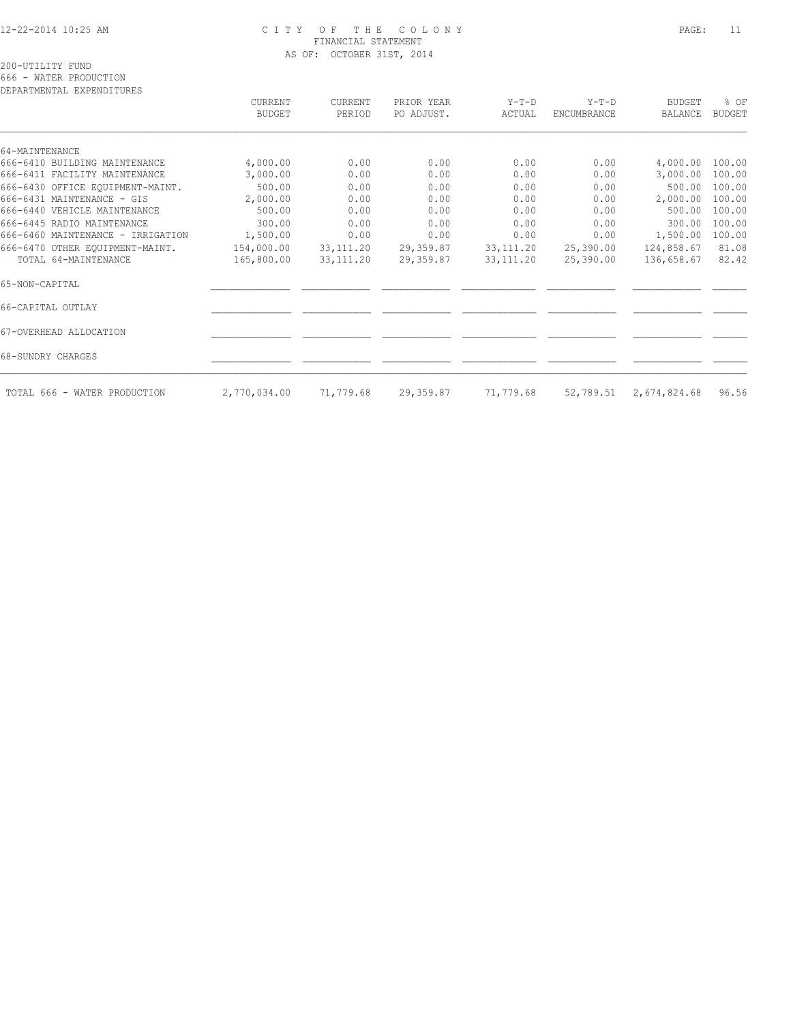## 12-22-2014 10:25 AM C I T Y O F T H E C O L O N Y PAGE: 11 FINANCIAL STATEMENT AS OF: OCTOBER 31ST, 2014

200-UTILITY FUND

666 - WATER PRODUCTION

| DEPARTMENTAL EXPENDITURES         |                          |                   |                          |                   |                               |                          |                       |
|-----------------------------------|--------------------------|-------------------|--------------------------|-------------------|-------------------------------|--------------------------|-----------------------|
|                                   | CURRENT<br><b>BUDGET</b> | CURRENT<br>PERIOD | PRIOR YEAR<br>PO ADJUST. | $Y-T-D$<br>ACTUAL | $Y-T-D$<br><b>ENCUMBRANCE</b> | <b>BUDGET</b><br>BALANCE | % OF<br><b>BUDGET</b> |
| 64-MAINTENANCE                    |                          |                   |                          |                   |                               |                          |                       |
| 666-6410 BUILDING MAINTENANCE     | 4,000.00                 | 0.00              | 0.00                     | 0.00              | 0.00                          | 4,000.00 100.00          |                       |
| 666-6411 FACILITY MAINTENANCE     | 3,000.00                 | 0.00              | 0.00                     | 0.00              | 0.00                          | 3,000.00                 | 100.00                |
| 666-6430 OFFICE EQUIPMENT-MAINT.  | 500.00                   | 0.00              | 0.00                     | 0.00              | 0.00                          | 500.00                   | 100.00                |
| 666-6431 MAINTENANCE - GIS        | 2,000.00                 | 0.00              | 0.00                     | 0.00              | 0.00                          | 2,000.00                 | 100.00                |
| 666-6440 VEHICLE MAINTENANCE      | 500.00                   | 0.00              | 0.00                     | 0.00              | 0.00                          | 500.00                   | 100.00                |
| 666-6445 RADIO MAINTENANCE        | 300.00                   | 0.00              | 0.00                     | 0.00              | 0.00                          | 300.00                   | 100.00                |
| 666-6460 MAINTENANCE - IRRIGATION | 1,500.00                 | 0.00              | 0.00                     | 0.00              | 0.00                          | 1,500.00                 | 100.00                |
| 666-6470 OTHER EOUIPMENT-MAINT.   | 154,000.00               | 33, 111.20        | 29,359.87                | 33, 111.20        | 25,390.00                     | 124,858.67               | 81.08                 |
| TOTAL 64-MAINTENANCE              | 165,800.00               | 33, 111.20        | 29,359.87                | 33, 111.20        | 25,390.00                     | 136,658.67               | 82.42                 |
| 65-NON-CAPITAL                    |                          |                   |                          |                   |                               |                          |                       |
| 66-CAPITAL OUTLAY                 |                          |                   |                          |                   |                               |                          |                       |
| 67-OVERHEAD ALLOCATION            |                          |                   |                          |                   |                               |                          |                       |
| 68-SUNDRY CHARGES                 |                          |                   |                          |                   |                               |                          |                       |
| TOTAL 666 - WATER PRODUCTION      | 2,770,034.00             | 71,779.68         | 29,359.87                | 71,779.68         | 52,789.51                     | 2,674,824.68             | 96.56                 |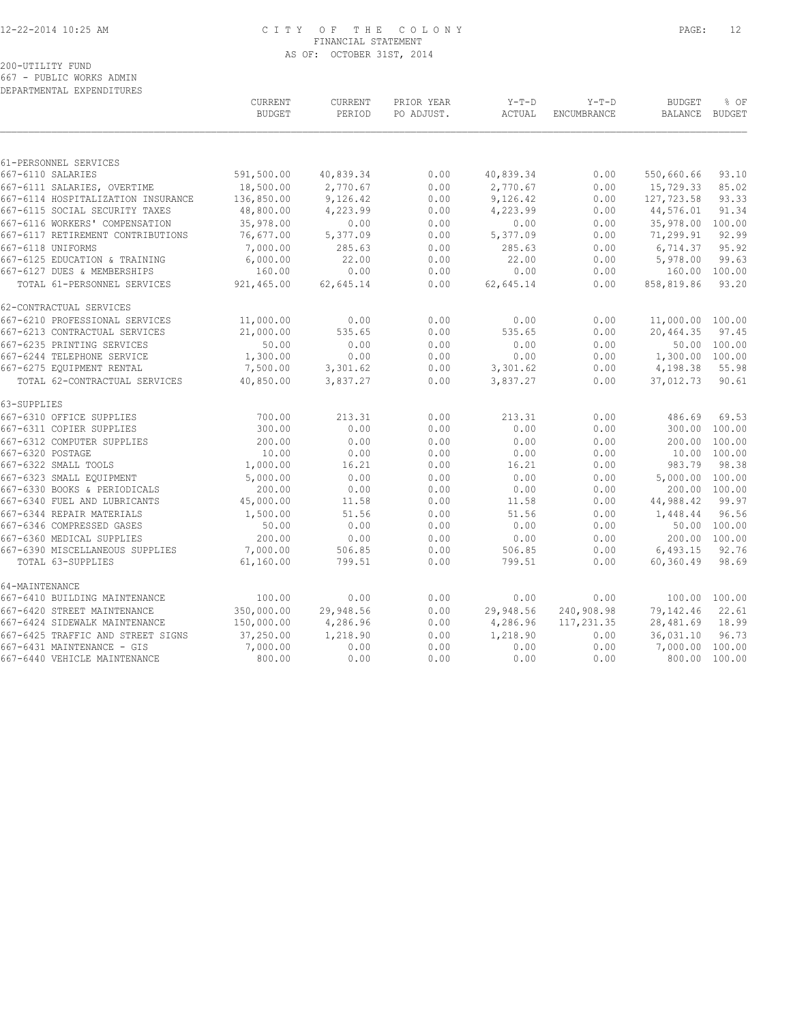# 12-22-2014 10:25 AM C I T Y O F T H E C O L O N Y PAGE: 12 FINANCIAL STATEMENT AS OF: OCTOBER 31ST, 2014

# 200-UTILITY FUND

667 - PUBLIC WORKS ADMIN DEPARTMENTAL EXPENDITURES

|                                    | CURRENT<br><b>BUDGET</b> | CURRENT<br>PERIOD | PRIOR YEAR<br>PO ADJUST. | $Y-T-D$<br>ACTUAL | $Y-T-D$<br>ENCUMBRANCE | <b>BUDGET</b><br>BALANCE | % OF<br><b>BUDGET</b> |
|------------------------------------|--------------------------|-------------------|--------------------------|-------------------|------------------------|--------------------------|-----------------------|
|                                    |                          |                   |                          |                   |                        |                          |                       |
| 61-PERSONNEL SERVICES              |                          |                   |                          |                   |                        |                          |                       |
| 667-6110 SALARIES                  | 591,500.00               | 40,839.34         | 0.00                     | 40,839.34         | 0.00                   | 550,660.66               | 93.10                 |
| 667-6111 SALARIES, OVERTIME        | 18,500.00                | 2,770.67          | 0.00                     | 2,770.67          | 0.00                   | 15,729.33                | 85.02                 |
| 667-6114 HOSPITALIZATION INSURANCE | 136,850.00               | 9,126.42          | 0.00                     | 9,126.42          | 0.00                   | 127,723.58               | 93.33                 |
| 667-6115 SOCIAL SECURITY TAXES     | 48,800.00                | 4,223.99          | 0.00                     | 4,223.99          | 0.00                   | 44,576.01                | 91.34                 |
| 667-6116 WORKERS' COMPENSATION     | 35,978.00                | 0.00              | 0.00                     | 0.00              | 0.00                   | 35,978.00                | 100.00                |
| 667-6117 RETIREMENT CONTRIBUTIONS  | 76,677.00                | 5,377.09          | 0.00                     | 5,377.09          | 0.00                   | 71,299.91                | 92.99                 |
| 667-6118 UNIFORMS                  | 7,000.00                 | 285.63            | 0.00                     | 285.63            | 0.00                   | 6,714.37                 | 95.92                 |
| 667-6125 EDUCATION & TRAINING      | 6,000.00                 | 22.00             | 0.00                     | 22.00             | 0.00                   | 5,978.00                 | 99.63                 |
| 667-6127 DUES & MEMBERSHIPS        | 160.00                   | 0.00              | 0.00                     | 0.00              | 0.00                   | 160.00                   | 100.00                |
| TOTAL 61-PERSONNEL SERVICES        | 921,465.00               | 62,645.14         | 0.00                     | 62,645.14         | 0.00                   | 858,819.86               | 93.20                 |
| 62-CONTRACTUAL SERVICES            |                          |                   |                          |                   |                        |                          |                       |
| 667-6210 PROFESSIONAL SERVICES     | 11,000.00                | 0.00              | 0.00                     | 0.00              | 0.00                   | 11,000.00 100.00         |                       |
| 667-6213 CONTRACTUAL SERVICES      | 21,000.00                | 535.65            | 0.00                     | 535.65            | 0.00                   | 20,464.35                | 97.45                 |
| 667-6235 PRINTING SERVICES         | 50.00                    | 0.00              | 0.00                     | 0.00              | 0.00                   |                          | 50.00 100.00          |
| 667-6244 TELEPHONE SERVICE         | 1,300.00                 | 0.00              | 0.00                     | 0.00              | 0.00                   | 1,300.00 100.00          |                       |
| 667-6275 EQUIPMENT RENTAL          | 7,500.00                 | 3,301.62          | 0.00                     | 3,301.62          | 0.00                   | 4,198.38                 | 55.98                 |
| TOTAL 62-CONTRACTUAL SERVICES      | 40,850.00                | 3,837.27          | 0.00                     | 3,837.27          | 0.00                   | 37,012.73                | 90.61                 |
| 63-SUPPLIES                        |                          |                   |                          |                   |                        |                          |                       |
| 667-6310 OFFICE SUPPLIES           | 700.00                   | 213.31            | 0.00                     | 213.31            | 0.00                   | 486.69                   | 69.53                 |
| 667-6311 COPIER SUPPLIES           | 300.00                   | 0.00              | 0.00                     | 0.00              | 0.00                   |                          | 300.00 100.00         |
| 667-6312 COMPUTER SUPPLIES         | 200.00                   | 0.00              | 0.00                     | 0.00              | 0.00                   | 200.00                   | 100.00                |
| 667-6320 POSTAGE                   | 10.00                    | 0.00              | 0.00                     | 0.00              | 0.00                   |                          | 10.00 100.00          |
| 667-6322 SMALL TOOLS               | 1,000.00                 | 16.21             | 0.00                     | 16.21             | 0.00                   | 983.79                   | 98.38                 |
| 667-6323 SMALL EOUIPMENT           | 5,000.00                 | 0.00              | 0.00                     | 0.00              | 0.00                   | 5,000.00 100.00          |                       |
| 667-6330 BOOKS & PERIODICALS       | 200.00                   | 0.00              | 0.00                     | 0.00              | 0.00                   |                          | 200.00 100.00         |
| 667-6340 FUEL AND LUBRICANTS       | 45,000.00                | 11.58             | 0.00                     | 11.58             | 0.00                   | 44,988.42                | 99.97                 |
| 667-6344 REPAIR MATERIALS          | 1,500.00                 | 51.56             | 0.00                     | 51.56             | 0.00                   | 1,448.44                 | 96.56                 |
| 667-6346 COMPRESSED GASES          | 50.00                    | 0.00              | 0.00                     | 0.00              | 0.00                   | 50.00                    | 100.00                |
| 667-6360 MEDICAL SUPPLIES          | 200.00                   | 0.00              | 0.00                     | 0.00              | 0.00                   |                          | 200.00 100.00         |
| 667-6390 MISCELLANEOUS SUPPLIES    | 7,000.00                 | 506.85            | 0.00                     | 506.85            | 0.00                   | 6,493.15                 | 92.76                 |
| TOTAL 63-SUPPLIES                  | 61,160.00                | 799.51            | 0.00                     | 799.51            | 0.00                   | 60,360.49                | 98.69                 |
| 64-MAINTENANCE                     |                          |                   |                          |                   |                        |                          |                       |
| 667-6410 BUILDING MAINTENANCE      | 100.00                   | 0.00              | 0.00                     | 0.00              | 0.00                   |                          | 100.00 100.00         |
| 667-6420 STREET MAINTENANCE        | 350,000.00               | 29,948.56         | 0.00                     | 29,948.56         | 240,908.98             | 79,142.46                | 22.61                 |
| 667-6424 SIDEWALK MAINTENANCE      | 150,000.00               | 4,286.96          | 0.00                     | 4,286.96          | 117,231.35             | 28,481.69                | 18.99                 |
| 667-6425 TRAFFIC AND STREET SIGNS  | 37,250.00                | 1,218.90          | 0.00                     | 1,218.90          | 0.00                   | 36,031.10                | 96.73                 |
| 667-6431 MAINTENANCE - GIS         | 7,000.00                 | 0.00              | 0.00                     | 0.00              | 0.00                   | 7,000.00 100.00          |                       |
| 667-6440 VEHICLE MAINTENANCE       | 800.00                   | 0.00              | 0.00                     | 0.00              | 0.00                   |                          | 800.00 100.00         |
|                                    |                          |                   |                          |                   |                        |                          |                       |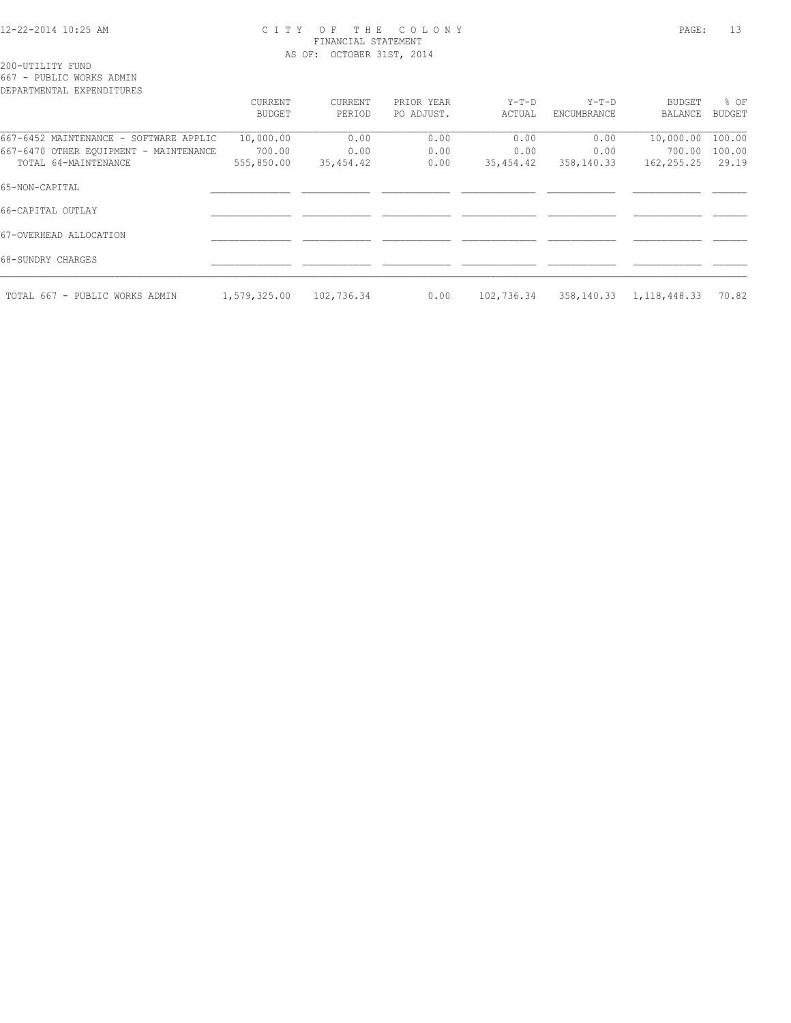#### 12-22-2014 10:25 AM C I T Y O F T H E C O L O N Y PAGE: 13 FINANCIAL STATEMENT AS OF: OCTOBER 31ST, 2014

200-UTILITY FUND

667 - PUBLIC WORKS ADMIN

| DEPARTMENTAL EXPENDITURES              |               |            |            |            |             |                |               |
|----------------------------------------|---------------|------------|------------|------------|-------------|----------------|---------------|
|                                        | CURRENT       | CURRENT    | PRIOR YEAR | Y-T-D      | $Y-T-D$     | BUDGET         | % OF          |
|                                        | <b>BUDGET</b> | PERIOD     | PO ADJUST. | ACTUAL     | ENCUMBRANCE | BALANCE        | <b>BUDGET</b> |
| 667-6452 MAINTENANCE - SOFTWARE APPLIC | 10,000.00     | 0.00       | 0.00       | 0.00       | 0.00        | 10,000.00      | 100.00        |
| 667-6470 OTHER EQUIPMENT - MAINTENANCE | 700.00        | 0.00       | 0.00       | 0.00       | 0.00        | 700.00         | 100.00        |
| TOTAL 64-MAINTENANCE                   | 555,850.00    | 35,454.42  | 0.00       | 35,454.42  | 358,140.33  | 162,255.25     | 29.19         |
| 65-NON-CAPITAL                         |               |            |            |            |             |                |               |
| 66-CAPITAL OUTLAY                      |               |            |            |            |             |                |               |
| 67-OVERHEAD ALLOCATION                 |               |            |            |            |             |                |               |
| 68-SUNDRY CHARGES                      |               |            |            |            |             |                |               |
| TOTAL 667 - PUBLIC WORKS ADMIN         | 1,579,325.00  | 102,736.34 | 0.00       | 102,736.34 | 358,140.33  | 1, 118, 448.33 | 70.82         |
|                                        |               |            |            |            |             |                |               |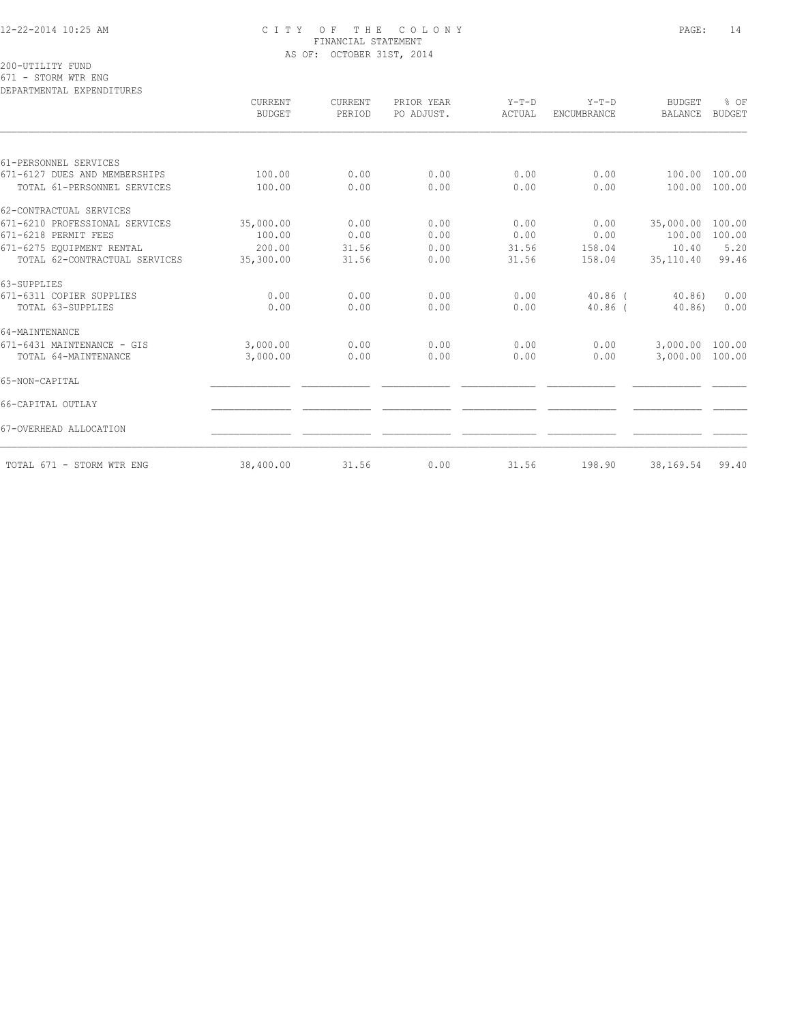### 12-22-2014 10:25 AM C I T Y O F T H E C O L O N Y PAGE: 14 FINANCIAL STATEMENT AS OF: OCTOBER 31ST, 2014

200-UTILITY FUND

671 - STORM WTR ENG

| DEPARTMENTAL EXPENDITURES      |                                 |                   |                          |                   |                        |                                 |                       |
|--------------------------------|---------------------------------|-------------------|--------------------------|-------------------|------------------------|---------------------------------|-----------------------|
|                                | <b>CURRENT</b><br><b>BUDGET</b> | CURRENT<br>PERIOD | PRIOR YEAR<br>PO ADJUST. | $Y-T-D$<br>ACTUAL | $Y-T-D$<br>ENCUMBRANCE | <b>BUDGET</b><br><b>BALANCE</b> | % OF<br><b>BUDGET</b> |
|                                |                                 |                   |                          |                   |                        |                                 |                       |
| 61-PERSONNEL SERVICES          |                                 |                   |                          |                   |                        |                                 |                       |
| 671-6127 DUES AND MEMBERSHIPS  | 100.00                          | 0.00              | 0.00                     | 0.00              | 0.00                   | 100.00                          | 100.00                |
| TOTAL 61-PERSONNEL SERVICES    | 100.00                          | 0.00              | 0.00                     | 0.00              | 0.00                   | 100.00                          | 100.00                |
| 62-CONTRACTUAL SERVICES        |                                 |                   |                          |                   |                        |                                 |                       |
| 671-6210 PROFESSIONAL SERVICES | 35,000.00                       | 0.00              | 0.00                     | 0.00              | 0.00                   | 35,000.00                       | 100.00                |
| 671-6218 PERMIT FEES           | 100.00                          | 0.00              | 0.00                     | 0.00              | 0.00                   | 100.00                          | 100.00                |
| 671-6275 EQUIPMENT RENTAL      | 200.00                          | 31.56             | 0.00                     | 31.56             | 158.04                 | 10.40                           | 5.20                  |
| TOTAL 62-CONTRACTUAL SERVICES  | 35,300.00                       | 31.56             | 0.00                     | 31.56             | 158.04                 | 35,110.40                       | 99.46                 |
| 63-SUPPLIES                    |                                 |                   |                          |                   |                        |                                 |                       |
| 671-6311 COPIER SUPPLIES       | 0.00                            | 0.00              | 0.00                     | 0.00              | $40.86$ (              | 40.86                           | 0.00                  |
| TOTAL 63-SUPPLIES              | 0.00                            | 0.00              | 0.00                     | 0.00              | $40.86$ (              | 40.86)                          | 0.00                  |
| 64-MAINTENANCE                 |                                 |                   |                          |                   |                        |                                 |                       |
| 671-6431 MAINTENANCE - GIS     | 3,000.00                        | 0.00              | 0.00                     | 0.00              | 0.00                   | 3,000.00                        | 100.00                |
| TOTAL 64-MAINTENANCE           | 3,000.00                        | 0.00              | 0.00                     | 0.00              | 0.00                   | 3,000.00                        | 100.00                |
| 65-NON-CAPITAL                 |                                 |                   |                          |                   |                        |                                 |                       |
| 66-CAPITAL OUTLAY              |                                 |                   |                          |                   |                        |                                 |                       |
| 67-OVERHEAD ALLOCATION         |                                 |                   |                          |                   |                        |                                 |                       |
| TOTAL 671 - STORM WTR ENG      | 38,400.00                       | 31.56             | 0.00                     | 31.56             | 198.90                 | 38,169.54                       | 99.40                 |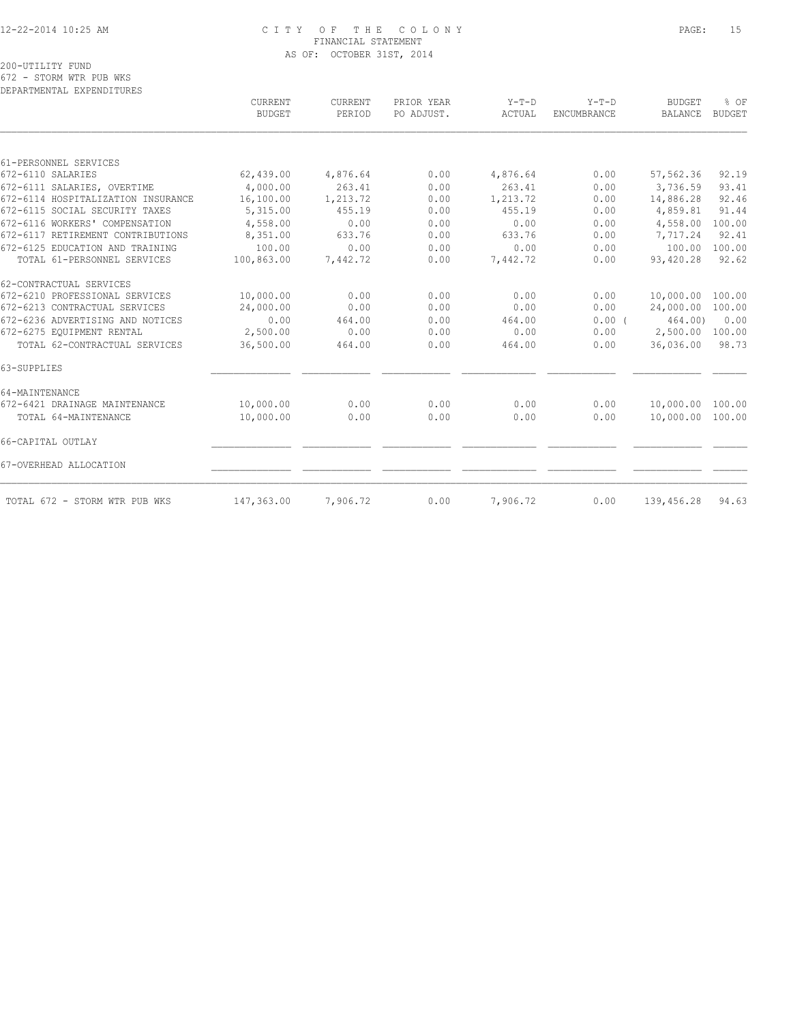### 12-22-2014 10:25 AM C I T Y O F T H E C O L O N Y PAGE: 15 FINANCIAL STATEMENT AS OF: OCTOBER 31ST, 2014

200-UTILITY FUND

672 - STORM WTR PUB WKS DEPARTMENTAL EXPENDITURES

|                                    | <b>CURRENT</b><br><b>BUDGET</b> | CURRENT<br>PERIOD | PRIOR YEAR<br>PO ADJUST. | $Y-T-D$<br>ACTUAL | $Y-T-D$<br>ENCUMBRANCE | <b>BUDGET</b><br><b>BALANCE</b> | % OF<br><b>BUDGET</b> |
|------------------------------------|---------------------------------|-------------------|--------------------------|-------------------|------------------------|---------------------------------|-----------------------|
|                                    |                                 |                   |                          |                   |                        |                                 |                       |
| 61-PERSONNEL SERVICES              |                                 |                   |                          |                   |                        |                                 |                       |
| 672-6110 SALARIES                  | 62,439.00                       | 4,876.64          | 0.00                     | 4,876.64          | 0.00                   | 57,562.36                       | 92.19                 |
| 672-6111 SALARIES, OVERTIME        | 4,000.00                        | 263.41            | 0.00                     | 263.41            | 0.00                   | 3,736.59                        | 93.41                 |
| 672-6114 HOSPITALIZATION INSURANCE | 16,100.00                       | 1,213.72          | 0.00                     | 1,213.72          | 0.00                   | 14,886.28                       | 92.46                 |
| 672-6115 SOCIAL SECURITY TAXES     | 5,315.00                        | 455.19            | 0.00                     | 455.19            | 0.00                   | 4,859.81                        | 91.44                 |
| 672-6116 WORKERS' COMPENSATION     | 4,558.00                        | 0.00              | 0.00                     | 0.00              | 0.00                   | 4,558.00                        | 100.00                |
| 672-6117 RETIREMENT CONTRIBUTIONS  | 8,351.00                        | 633.76            | 0.00                     | 633.76            | 0.00                   | 7,717.24                        | 92.41                 |
| 672-6125 EDUCATION AND TRAINING    | 100.00                          | 0.00              | 0.00                     | 0.00              | 0.00                   | 100.00                          | 100.00                |
| TOTAL 61-PERSONNEL SERVICES        | 100,863.00                      | 7,442.72          | 0.00                     | 7,442.72          | 0.00                   | 93,420.28                       | 92.62                 |
| 62-CONTRACTUAL SERVICES            |                                 |                   |                          |                   |                        |                                 |                       |
| 672-6210 PROFESSIONAL SERVICES     | 10,000.00                       | 0.00              | 0.00                     | 0.00              | 0.00                   | 10,000.00                       | 100.00                |
| 672-6213 CONTRACTUAL SERVICES      | 24,000.00                       | 0.00              | 0.00                     | 0.00              | 0.00                   | 24,000.00                       | 100.00                |
| 672-6236 ADVERTISING AND NOTICES   | 0.00                            | 464.00            | 0.00                     | 464.00            | $0.00$ (               | 464.00)                         | 0.00                  |
| 672-6275 EQUIPMENT RENTAL          | 2,500.00                        | 0.00              | 0.00                     | 0.00              | 0.00                   | 2,500.00                        | 100.00                |
| TOTAL 62-CONTRACTUAL SERVICES      | 36,500.00                       | 464.00            | 0.00                     | 464.00            | 0.00                   | 36,036.00                       | 98.73                 |
| 63-SUPPLIES                        |                                 |                   |                          |                   |                        |                                 |                       |
| 64-MAINTENANCE                     |                                 |                   |                          |                   |                        |                                 |                       |
| 672-6421 DRAINAGE MAINTENANCE      | 10,000.00                       | 0.00              | 0.00                     | 0.00              | 0.00                   | 10,000.00                       | 100.00                |
| TOTAL 64-MAINTENANCE               | 10,000.00                       | 0.00              | 0.00                     | 0.00              | 0.00                   | 10,000.00                       | 100.00                |
| 66-CAPITAL OUTLAY                  |                                 |                   |                          |                   |                        |                                 |                       |
| 67-OVERHEAD ALLOCATION             |                                 |                   |                          |                   |                        |                                 |                       |
| TOTAL 672 - STORM WTR PUB WKS      | 147,363.00                      | 7,906.72          | 0.00                     | 7,906.72          | 0.00                   | 139,456.28                      | 94.63                 |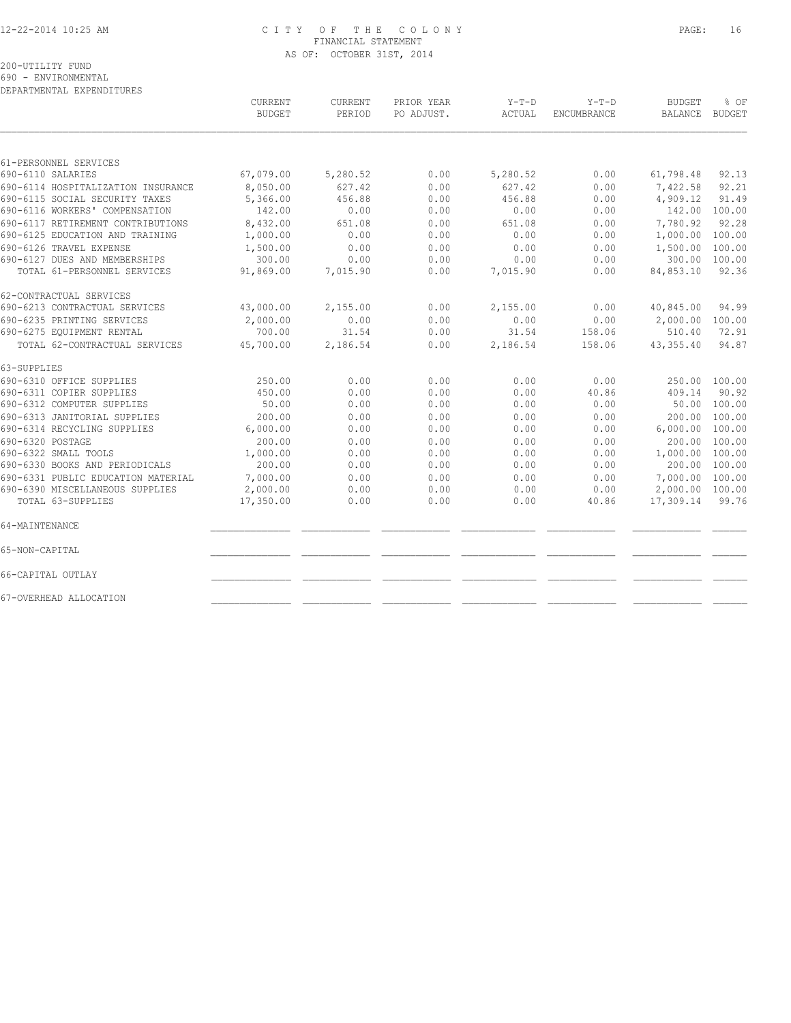## 12-22-2014 10:25 AM C I T Y O F T H E C O L O N Y PAGE: 16 FINANCIAL STATEMENT AS OF: OCTOBER 31ST, 2014

200-UTILITY FUND

690 - ENVIRONMENTAL DEPARTMENTAL EXPENDITURES

|                                    | CURRENT<br><b>BUDGET</b> | <b>CURRENT</b><br>PERIOD | PRIOR YEAR<br>PO ADJUST. | $Y-T-D$<br>ACTUAL | $Y-T-D$<br>ENCUMBRANCE | <b>BUDGET</b><br><b>BALANCE</b> | % OF<br><b>BUDGET</b> |
|------------------------------------|--------------------------|--------------------------|--------------------------|-------------------|------------------------|---------------------------------|-----------------------|
|                                    |                          |                          |                          |                   |                        |                                 |                       |
| 61-PERSONNEL SERVICES              |                          |                          |                          |                   |                        |                                 |                       |
| 690-6110 SALARIES                  | 67,079.00                | 5,280.52                 | 0.00                     | 5,280.52          | 0.00                   | 61,798.48                       | 92.13                 |
| 690-6114 HOSPITALIZATION INSURANCE | 8,050.00                 | 627.42                   | 0.00                     | 627.42            | 0.00                   | 7,422.58                        | 92.21                 |
| 690-6115 SOCIAL SECURITY TAXES     | 5,366.00                 | 456.88                   | 0.00                     | 456.88            | 0.00                   | 4,909.12                        | 91.49                 |
| 690-6116 WORKERS' COMPENSATION     | 142.00                   | 0.00                     | 0.00                     | 0.00              | 0.00                   | 142.00 100.00                   |                       |
| 690-6117 RETIREMENT CONTRIBUTIONS  | 8,432.00                 | 651.08                   | 0.00                     | 651.08            | 0.00                   | 7,780.92                        | 92.28                 |
| 690-6125 EDUCATION AND TRAINING    | 1,000.00                 | 0.00                     | 0.00                     | 0.00              | 0.00                   | 1,000.00                        | 100.00                |
| 690-6126 TRAVEL EXPENSE            | 1,500.00                 | 0.00                     | 0.00                     | 0.00              | 0.00                   | 1,500.00 100.00                 |                       |
| 690-6127 DUES AND MEMBERSHIPS      | 300.00                   | 0.00                     | 0.00                     | 0.00              | 0.00                   | 300.00 100.00                   |                       |
| TOTAL 61-PERSONNEL SERVICES        | 91,869.00                | 7,015.90                 | 0.00                     | 7,015.90          | 0.00                   | 84,853.10                       | 92.36                 |
| 62-CONTRACTUAL SERVICES            |                          |                          |                          |                   |                        |                                 |                       |
| 690-6213 CONTRACTUAL SERVICES      | 43,000.00                | 2,155.00                 | 0.00                     | 2,155.00          | 0.00                   | 40,845.00                       | 94.99                 |
| 690-6235 PRINTING SERVICES         | 2,000.00                 | 0.00                     | 0.00                     | 0.00              | 0.00                   | 2,000.00 100.00                 |                       |
| 690-6275 EQUIPMENT RENTAL          | 700.00                   | 31.54                    | 0.00                     | 31.54             | 158.06                 | 510.40                          | 72.91                 |
| TOTAL 62-CONTRACTUAL SERVICES      | 45,700.00                | 2,186.54                 | 0.00                     | 2,186.54          | 158.06                 | 43, 355.40                      | 94.87                 |
| 63-SUPPLIES                        |                          |                          |                          |                   |                        |                                 |                       |
| 690-6310 OFFICE SUPPLIES           | 250.00                   | 0.00                     | 0.00                     | 0.00              | 0.00                   | 250.00 100.00                   |                       |
| 690-6311 COPIER SUPPLIES           | 450.00                   | 0.00                     | 0.00                     | 0.00              | 40.86                  | 409.14                          | 90.92                 |
| 690-6312 COMPUTER SUPPLIES         | 50.00                    | 0.00                     | 0.00                     | 0.00              | 0.00                   |                                 | 50.00 100.00          |
| 690-6313 JANITORIAL SUPPLIES       | 200.00                   | 0.00                     | 0.00                     | 0.00              | 0.00                   | 200.00                          | 100.00                |
| 690-6314 RECYCLING SUPPLIES        | 6,000.00                 | 0.00                     | 0.00                     | 0.00              | 0.00                   | 6,000.00 100.00                 |                       |
| 690-6320 POSTAGE                   | 200.00                   | 0.00                     | 0.00                     | 0.00              | 0.00                   |                                 | 200.00 100.00         |
| 690-6322 SMALL TOOLS               | 1,000.00                 | 0.00                     | 0.00                     | 0.00              | 0.00                   | 1,000.00 100.00                 |                       |
| 690-6330 BOOKS AND PERIODICALS     | 200.00                   | 0.00                     | 0.00                     | 0.00              | 0.00                   | 200.00 100.00                   |                       |
| 690-6331 PUBLIC EDUCATION MATERIAL | 7,000.00                 | 0.00                     | 0.00                     | 0.00              | 0.00                   | 7,000.00 100.00                 |                       |
| 690-6390 MISCELLANEOUS SUPPLIES    | 2,000.00                 | 0.00                     | 0.00                     | 0.00              | 0.00                   | 2,000.00 100.00                 |                       |
| TOTAL 63-SUPPLIES                  | 17,350.00                | 0.00                     | 0.00                     | 0.00              | 40.86                  | 17,309.14                       | 99.76                 |
| 64-MAINTENANCE                     |                          |                          |                          |                   |                        |                                 |                       |
| 65-NON-CAPITAL                     |                          |                          |                          |                   |                        |                                 |                       |
| 66-CAPITAL OUTLAY                  |                          |                          |                          |                   |                        |                                 |                       |
| 67-OVERHEAD ALLOCATION             |                          |                          |                          |                   |                        |                                 |                       |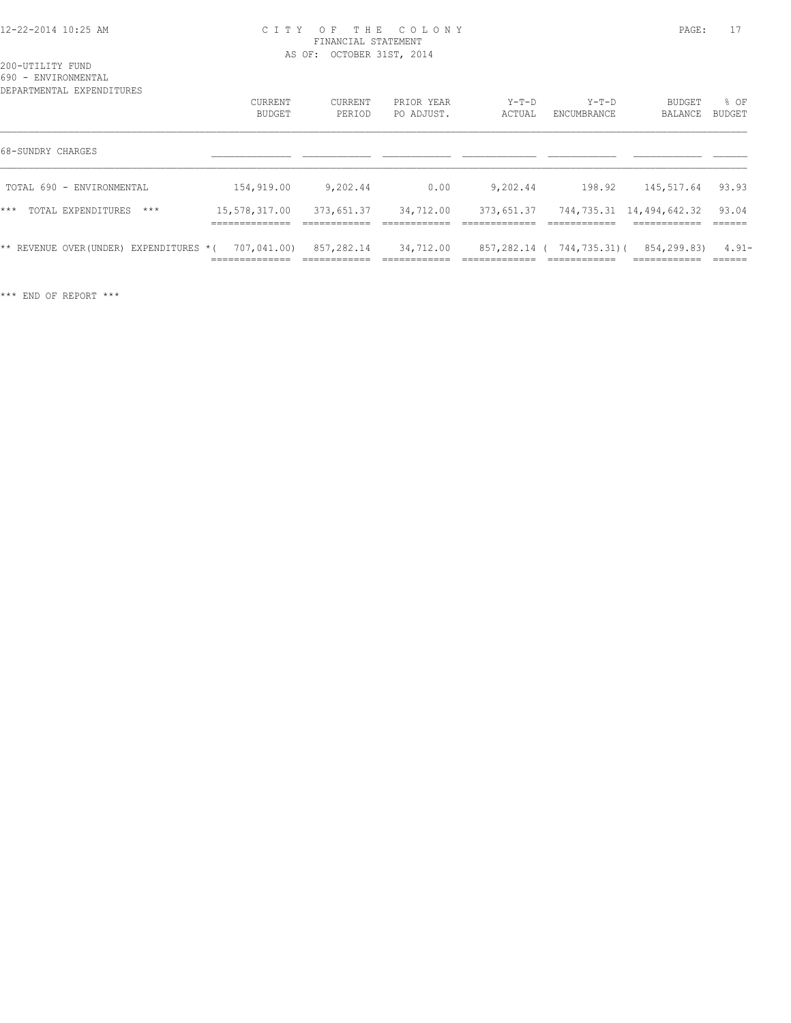#### 12-22-2014 10:25 AM C I T Y O F T H E C O L O N Y PAGE: 17 FINANCIAL STATEMENT AS OF: OCTOBER 31ST, 2014

200-UTILITY FUND 690 - ENVIRONMENTAL

| DEPARTMENTAL EXPENDITURES |                             |                                 |                             |                            |                            |              |                                              |                    |
|---------------------------|-----------------------------|---------------------------------|-----------------------------|----------------------------|----------------------------|--------------|----------------------------------------------|--------------------|
|                           |                             | CURRENT                         | CURRENT                     | PRIOR YEAR                 | $Y-T-D$                    | $Y-T-D$      | BUDGET                                       | % OF               |
|                           |                             | BUDGET                          | PERIOD                      | PO ADJUST.                 | ACTUAL                     | ENCUMBRANCE  | BALANCE                                      | BUDGET             |
| 68-SUNDRY CHARGES         |                             |                                 |                             |                            |                            |              |                                              |                    |
|                           | TOTAL 690 - ENVIRONMENTAL   | 154,919.00                      | 9,202.44                    | 0.00                       | 9,202.44                   | 198.92       | 145,517.64                                   | 93.93              |
| $***$                     | $***$<br>TOTAL EXPENDITURES | 15,578,317.00<br>______________ | 373,651.37<br>------------- | 34,712.00<br>------------- | 373,651.37<br>____________ | ------------ | 744,735.31 14,494,642.32<br>------------     | 93.04<br>-------   |
| ** REVENUE OVER (UNDER)   | EXPENDITURES *(             | 707,041.00)<br>==============   | 857,282.14                  | 34,712.00                  | 857,282.14 (               | 744,735.31)( | 854,299.83)<br>-------------<br>____________ | $4.91 -$<br>______ |

\*\*\* END OF REPORT \*\*\*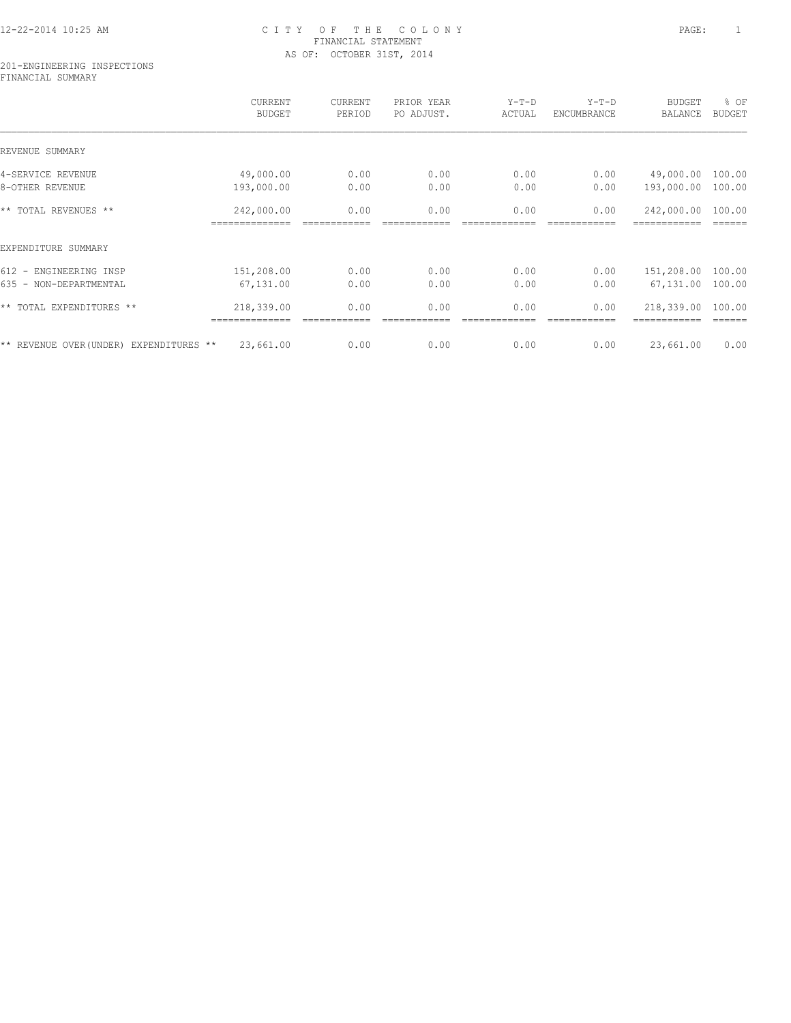# 12-22-2014 10:25 AM C I T Y O F T H E C O L O N Y PAGE: 1 FINANCIAL STATEMENT AS OF: OCTOBER 31ST, 2014

#### 201-ENGINEERING INSPECTIONS FINANCIAL SUMMARY

|                                         | CURRENT<br><b>BUDGET</b>  | CURRENT<br>PERIOD | PRIOR YEAR<br>PO ADJUST. | $Y-T-D$<br>ACTUAL | $Y-T-D$<br>ENCUMBRANCE | <b>BUDGET</b><br><b>BALANCE</b> | % OF<br><b>BUDGET</b> |
|-----------------------------------------|---------------------------|-------------------|--------------------------|-------------------|------------------------|---------------------------------|-----------------------|
| REVENUE SUMMARY                         |                           |                   |                          |                   |                        |                                 |                       |
| 4-SERVICE REVENUE                       | 49,000.00                 | 0.00              | 0.00                     | 0.00              | 0.00                   | 49,000.00                       | 100.00                |
| 8-OTHER REVENUE                         | 193,000.00                | 0.00              | 0.00                     | 0.00              | 0.00                   | 193,000.00                      | 100.00                |
| ** TOTAL REVENUES **                    | 242,000.00                | 0.00              | 0.00                     | 0.00              | 0.00                   | 242,000.00                      | 100.00                |
|                                         | ===========               |                   |                          |                   |                        |                                 |                       |
| EXPENDITURE SUMMARY                     |                           |                   |                          |                   |                        |                                 |                       |
| 612 - ENGINEERING INSP                  | 151,208.00                | 0.00              | 0.00                     | 0.00              | 0.00                   | 151,208.00                      | 100.00                |
| 635 - NON-DEPARTMENTAL                  | 67,131.00                 | 0.00              | 0.00                     | 0.00              | 0.00                   | 67,131.00                       | 100.00                |
| ** TOTAL EXPENDITURES **                | 218,339.00<br>=========== | 0.00              | 0.00                     | 0.00              | 0.00                   | 218,339.00                      | 100.00                |
| ** REVENUE OVER (UNDER) EXPENDITURES ** | 23,661.00                 | 0.00              | 0.00                     | 0.00              | 0.00                   | 23,661.00                       | 0.00                  |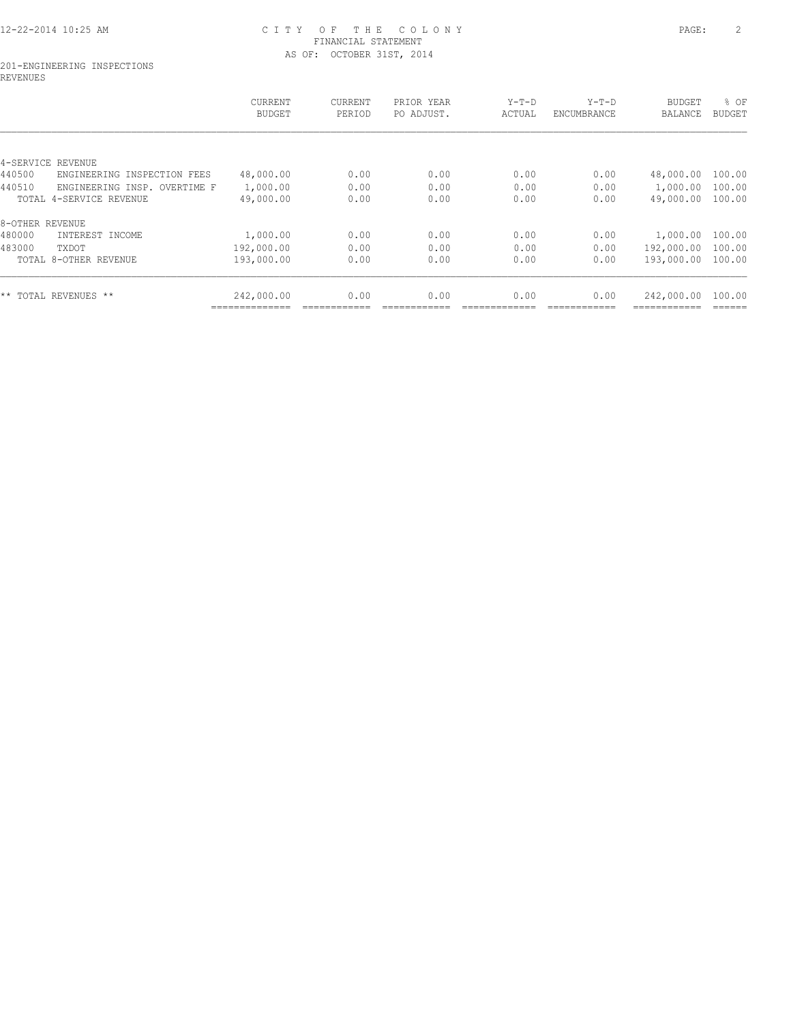# 12-22-2014 10:25 AM C I T Y O F T H E C O L O N Y PAGE: 2 FINANCIAL STATEMENT AS OF: OCTOBER 31ST, 2014

#### 201-ENGINEERING INSPECTIONS REVENUES

|                                          | CURRENT<br><b>BUDGET</b> | CURRENT<br>PERIOD | PRIOR YEAR<br>PO ADJUST. | $Y-T-D$<br>ACTUAL | $Y-T-D$<br>ENCUMBRANCE | <b>BUDGET</b><br>BALANCE | % OF<br><b>BUDGET</b> |
|------------------------------------------|--------------------------|-------------------|--------------------------|-------------------|------------------------|--------------------------|-----------------------|
|                                          |                          |                   |                          |                   |                        |                          |                       |
| 4-SERVICE<br>REVENUE                     |                          |                   |                          |                   |                        |                          |                       |
| 440500<br>ENGINEERING<br>INSPECTION FEES | 48,000.00                | 0.00              | 0.00                     | 0.00              | 0.00                   | 48,000.00                | 100.00                |
| 440510<br>ENGINEERING INSP. OVERTIME F   | 1,000.00                 | 0.00              | 0.00                     | 0.00              | 0.00                   | 1,000.00                 | 100.00                |
| TOTAL 4-SERVICE REVENUE                  | 49,000.00                | 0.00              | 0.00                     | 0.00              | 0.00                   | 49,000.00                | 100.00                |
| 8-OTHER REVENUE                          |                          |                   |                          |                   |                        |                          |                       |
| 480000<br>INTEREST INCOME                | 1,000.00                 | 0.00              | 0.00                     | 0.00              | 0.00                   | 1,000.00                 | 100.00                |
| 483000<br>TXDOT                          | 192,000.00               | 0.00              | 0.00                     | 0.00              | 0.00                   | 192,000.00               | 100.00                |
| TOTAL 8-OTHER REVENUE                    | 193,000.00               | 0.00              | 0.00                     | 0.00              | 0.00                   | 193,000.00               | 100.00                |
| ** TOTAL REVENUES **                     | 242,000.00               | 0.00              | 0.00                     | 0.00              | 0.00                   | 242,000.00               | 100.00                |
|                                          |                          |                   |                          |                   |                        |                          |                       |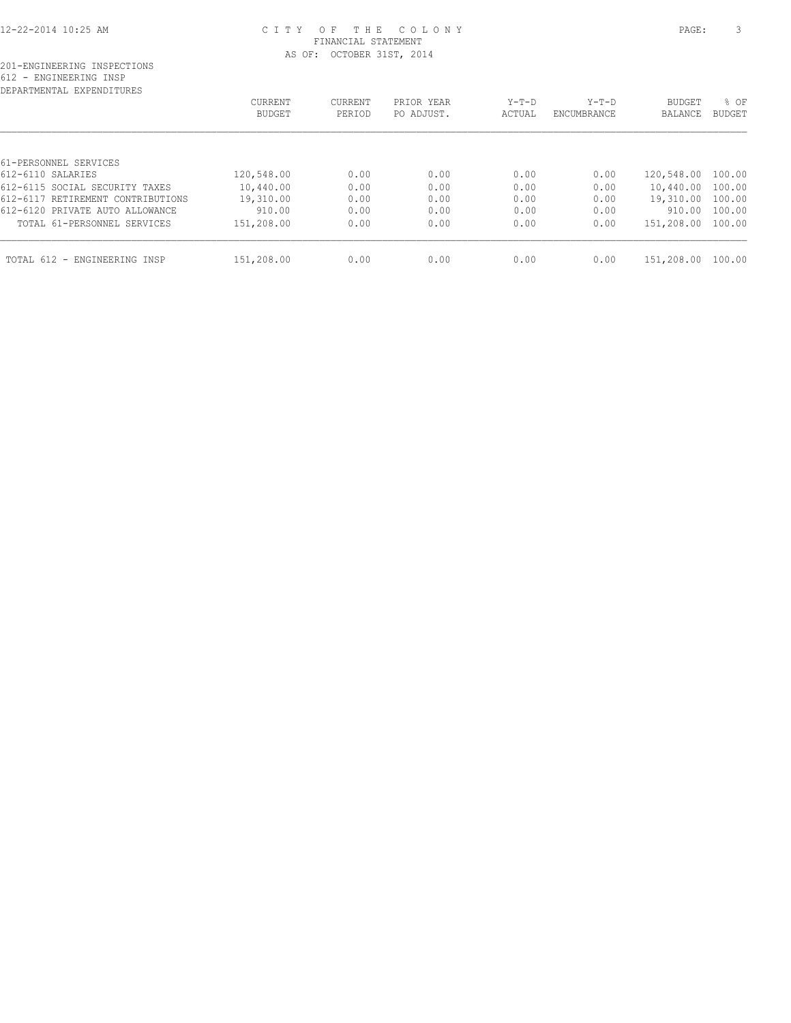#### 12-22-2014 10:25 AM C I T Y O F T H E C O L O N Y PAGE: 3 FINANCIAL STATEMENT AS OF: OCTOBER 31ST, 2014

| CURRENT    | CURRENT    | PRIOR YEAR | $Y-T-D$ | $Y-T-D$     | <b>BUDGET</b> | % OF                            |
|------------|------------|------------|---------|-------------|---------------|---------------------------------|
| BUDGET     | PERIOD     | PO ADJUST. | ACTUAL  | ENCUMBRANCE | BALANCE       | BUDGET                          |
|            |            |            |         |             |               |                                 |
|            |            |            |         |             |               |                                 |
| 120,548.00 | 0.00       | 0.00       | 0.00    | 0.00        | 120,548.00    | 100.00                          |
| 10,440.00  | 0.00       | 0.00       | 0.00    | 0.00        | 10,440.00     | 100.00                          |
| 19,310.00  | 0.00       | 0.00       | 0.00    | 0.00        | 19,310.00     | 100.00                          |
| 910.00     | 0.00       | 0.00       | 0.00    | 0.00        | 910.00        | 100.00                          |
| 151,208.00 | 0.00       | 0.00       | 0.00    | 0.00        |               |                                 |
|            |            |            |         |             |               | 100.00                          |
|            | 151,208.00 | 0.00       | 0.00    | 0.00        | 0.00          | 151,208.00 100.00<br>151,208.00 |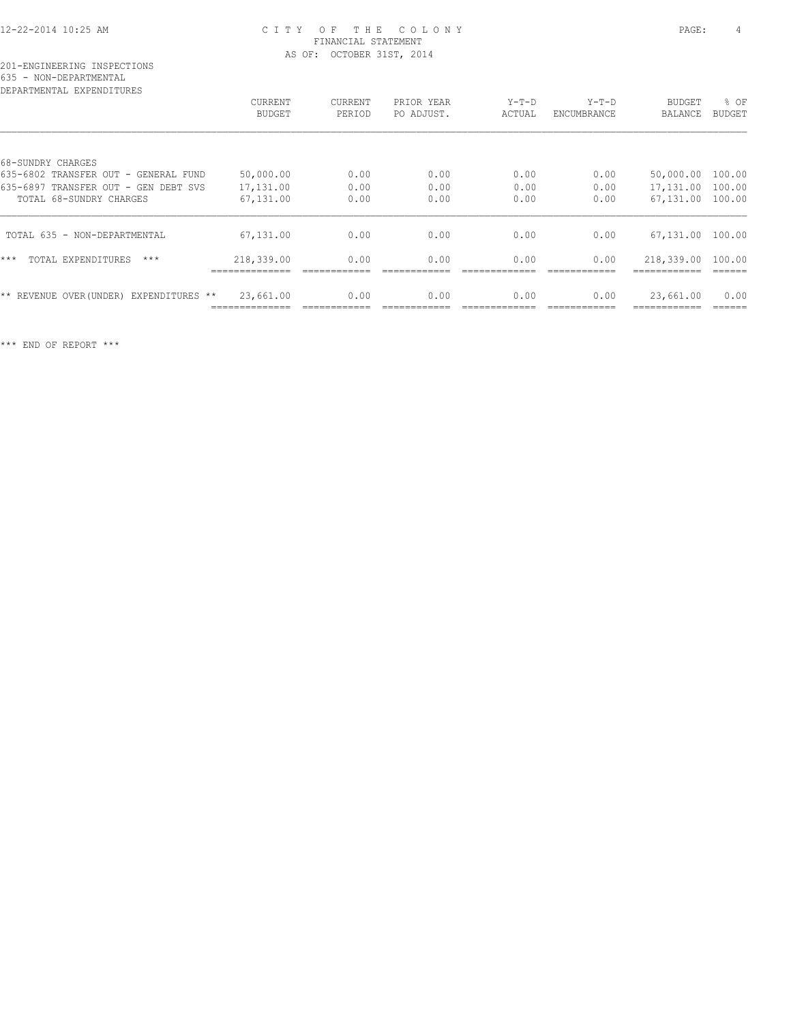#### 12-22-2014 10:25 AM C I T Y O F T H E C O L O N Y PAGE: 4 FINANCIAL STATEMENT AS OF: OCTOBER 31ST, 2014

| DEPARTMENTAL EXPENDITURES                  |               |                |            |         |             |               |               |
|--------------------------------------------|---------------|----------------|------------|---------|-------------|---------------|---------------|
|                                            | CURRENT       | <b>CURRENT</b> | PRIOR YEAR | $Y-T-D$ | $Y-T-D$     | <b>BUDGET</b> | % OF          |
|                                            | <b>BUDGET</b> | PERIOD         | PO ADJUST. | ACTUAL  | ENCUMBRANCE | BALANCE       | <b>BUDGET</b> |
|                                            |               |                |            |         |             |               |               |
| 68-SUNDRY CHARGES                          |               |                |            |         |             |               |               |
| 635-6802 TRANSFER OUT - GENERAL FUND       | 50,000.00     | 0.00           | 0.00       | 0.00    | 0.00        | 50,000.00     | 100.00        |
| 635-6897 TRANSFER OUT - GEN DEBT SVS       | 17,131.00     | 0.00           | 0.00       | 0.00    | 0.00        | 17,131.00     | 100.00        |
| TOTAL 68-SUNDRY CHARGES                    | 67,131.00     | 0.00           | 0.00       | 0.00    | 0.00        | 67,131.00     | 100.00        |
| TOTAL 635 - NON-DEPARTMENTAL               | 67,131.00     | 0.00           | 0.00       | 0.00    | 0.00        | 67,131.00     | 100.00        |
| $***$<br>TOTAL EXPENDITURES<br>$***$       | 218,339.00    | 0.00           | 0.00       | 0.00    | 0.00        | 218,339.00    | 100.00        |
| ** REVENUE OVER (UNDER)<br>EXPENDITURES ** | 23,661.00     | 0.00           | 0.00       | 0.00    | 0.00        | 23,661.00     | 0.00          |
|                                            |               |                |            |         |             |               |               |

\*\*\* END OF REPORT \*\*\*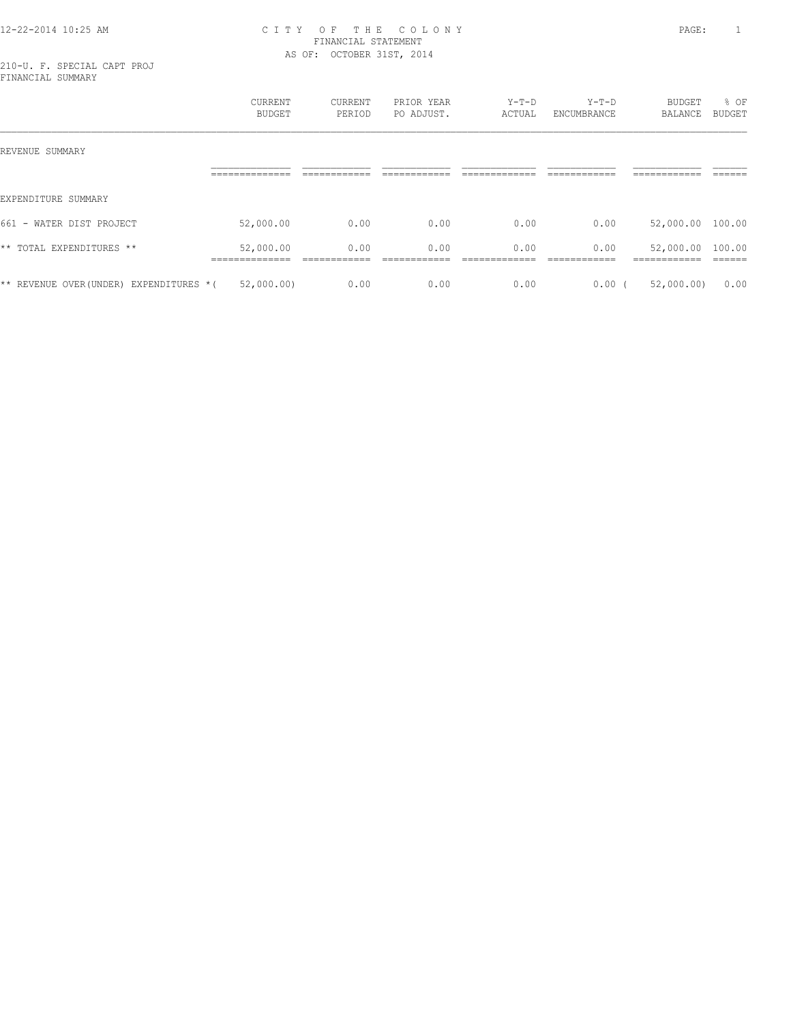#### 12-22-2014 10:25 AM C I T Y O F T H E C O L O N Y PAGE: 1 FINANCIAL STATEMENT AS OF: OCTOBER 31ST, 2014

210-U. F. SPECIAL CAPT PROJ FINANCIAL SUMMARY

|                                          | <b>CURRENT</b><br>BUDGET    | CURRENT<br>PERIOD | PRIOR YEAR<br>PO ADJUST. | $Y-T-D$<br>ACTUAL | $Y-T-D$<br>ENCUMBRANCE | BUDGET<br>BALANCE                | % OF<br>BUDGET |
|------------------------------------------|-----------------------------|-------------------|--------------------------|-------------------|------------------------|----------------------------------|----------------|
| REVENUE SUMMARY                          |                             |                   |                          |                   |                        |                                  |                |
|                                          |                             |                   |                          |                   |                        |                                  |                |
| EXPENDITURE SUMMARY                      |                             |                   |                          |                   |                        |                                  |                |
| 661 - WATER DIST PROJECT                 | 52,000.00                   | 0.00              | 0.00                     | 0.00              | 0.00                   | 52,000.00 100.00                 |                |
| ** TOTAL EXPENDITURES **                 | 52,000.00<br>-------------- | 0.00              | 0.00                     | 0.00              | 0.00                   | 52,000.00 100.00<br>------------ |                |
| ** REVENUE OVER (UNDER) EXPENDITURES * ( | 52,000.00)                  | 0.00              | 0.00                     | 0.00              | $0.00$ (               | 52,000.00)                       | 0.00           |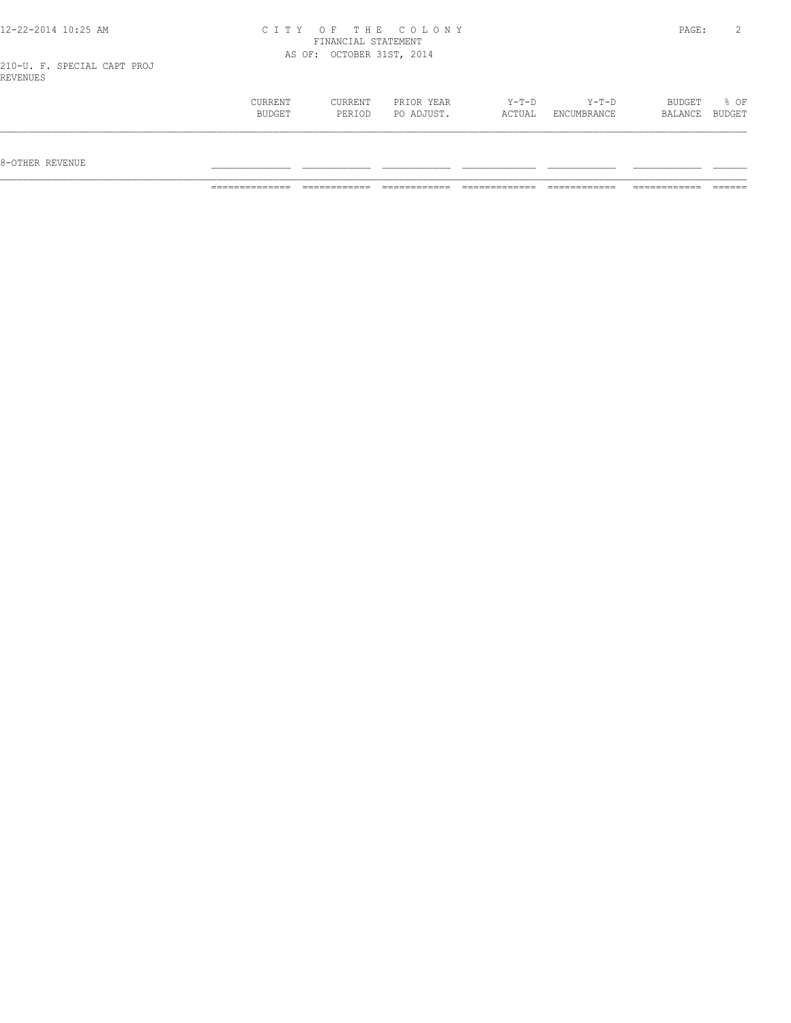|  |  | 12-22-2014 10:25 AM |  |
|--|--|---------------------|--|
|  |  |                     |  |

#### 12-22-2014 10:25 AM C I T Y O F T H E C O L O N Y PAGE: 2 FINANCIAL STATEMENT AS OF: OCTOBER 31ST, 2014

210-U. F. SPECIAL CAPT PROJ REVENUES

| CURRENT | CURRENT | PRIOR YEAR | $Y-T-D$ | $Y-T-D$     | BUDGET  | $8$ OF |
|---------|---------|------------|---------|-------------|---------|--------|
| BUDGET  | PERIOD  | PO ADJUST. | ACTUAL  | ENCUMBRANCE | BALANCE | BUDGET |
|         |         |            |         |             |         |        |
|         |         |            |         |             |         |        |
|         |         |            |         |             |         |        |

 $8-{\rm OFF}$  revenue  $\_$ 

============== ============ ============ ============= ============ ============ ======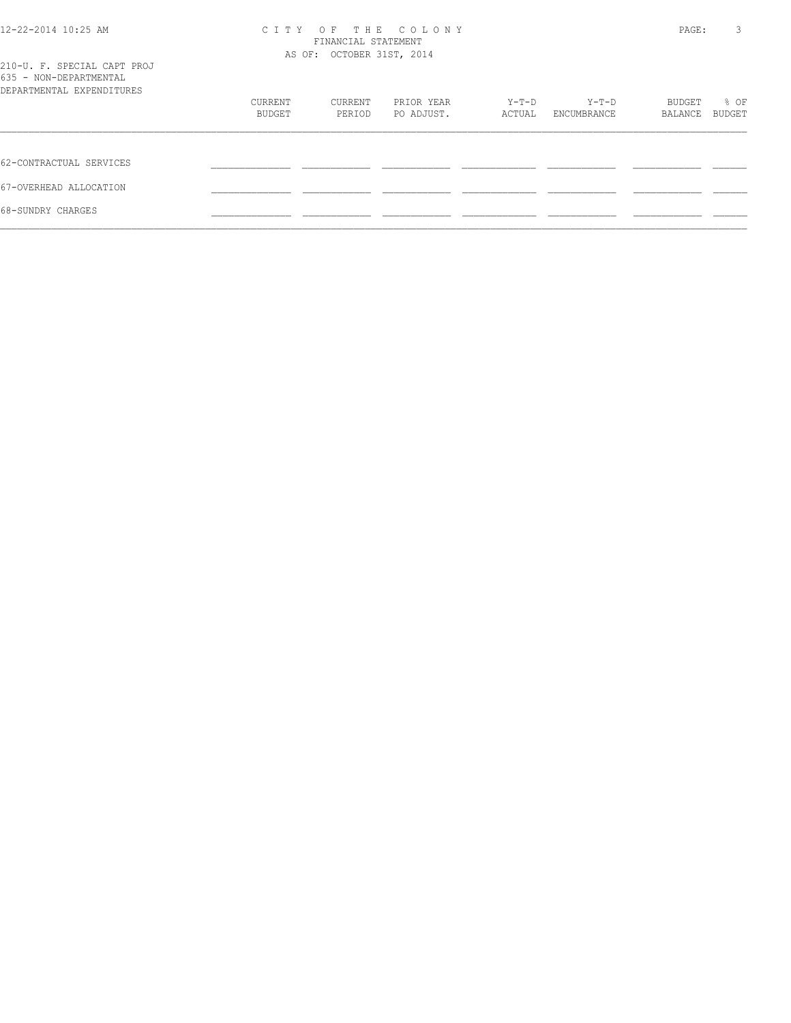| 12-22-2014 10:25 AM                                                                | C I T Y | PAGE:                     | 3          |        |             |         |               |
|------------------------------------------------------------------------------------|---------|---------------------------|------------|--------|-------------|---------|---------------|
|                                                                                    |         | AS OF: OCTOBER 31ST, 2014 |            |        |             |         |               |
| 210-U. F. SPECIAL CAPT PROJ<br>635 - NON-DEPARTMENTAL<br>DEPARTMENTAL EXPENDITURES |         |                           |            |        |             |         |               |
|                                                                                    | CURRENT | CURRENT                   | PRIOR YEAR | Y-T-D  | $Y-T-D$     | BUDGET  | % OF          |
|                                                                                    | BUDGET  | PERIOD                    | PO ADJUST. | ACTUAL | ENCUMBRANCE | BALANCE | <b>BUDGET</b> |
| 62-CONTRACTUAL SERVICES                                                            |         |                           |            |        |             |         |               |
| 67-OVERHEAD ALLOCATION                                                             |         |                           |            |        |             |         |               |
| 68-SUNDRY CHARGES                                                                  |         |                           |            |        |             |         |               |
|                                                                                    |         |                           |            |        |             |         |               |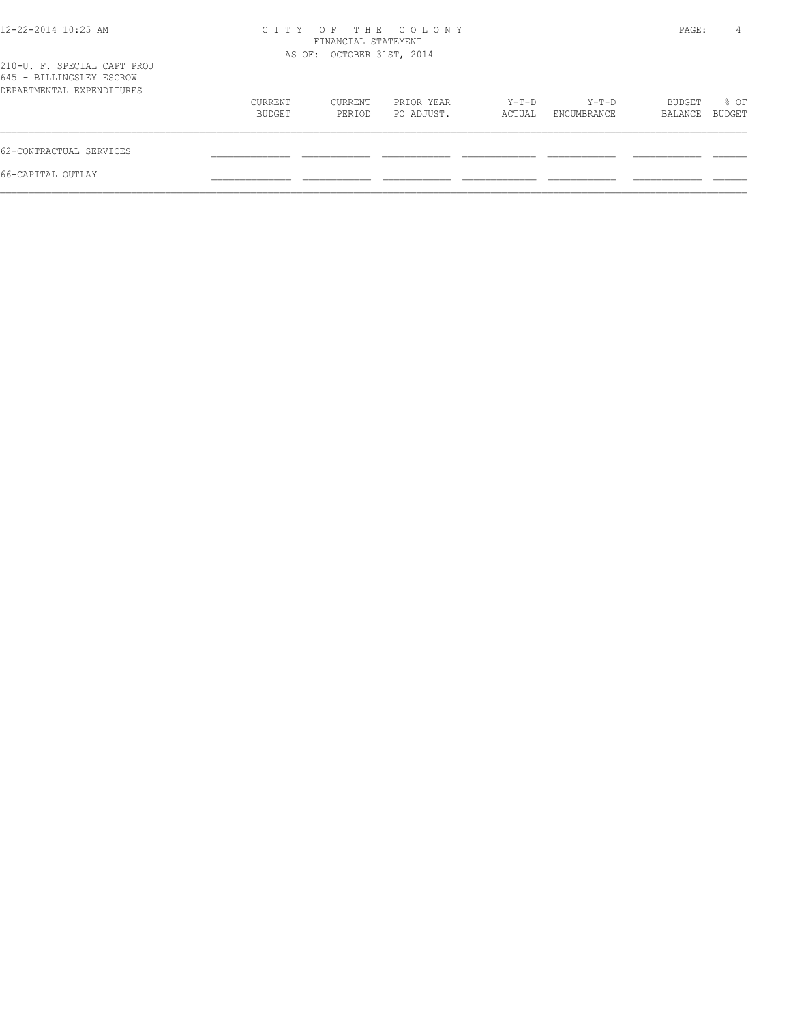| $12 - 22 - 2014$ $10:25$ AM                                                          |                   | FINANCIAL STATEMENT<br>AS OF: OCTOBER 31ST, 2014 | CITY OF THE COLONY       |                 |                      | PAGE:             | 4              |
|--------------------------------------------------------------------------------------|-------------------|--------------------------------------------------|--------------------------|-----------------|----------------------|-------------------|----------------|
| 210-U. F. SPECIAL CAPT PROJ<br>645 - BILLINGSLEY ESCROW<br>DEPARTMENTAL EXPENDITURES |                   |                                                  |                          |                 |                      |                   |                |
|                                                                                      | CURRENT<br>BUDGET | CURRENT<br>PERIOD                                | PRIOR YEAR<br>PO ADJUST. | Y-T-D<br>ACTUAL | Y-T-D<br>ENCUMBRANCE | BUDGET<br>BALANCE | % OF<br>BUDGET |
| 62-CONTRACTUAL SERVICES                                                              |                   |                                                  |                          |                 |                      |                   |                |
| 66-CAPITAL OUTLAY                                                                    |                   |                                                  |                          |                 |                      |                   |                |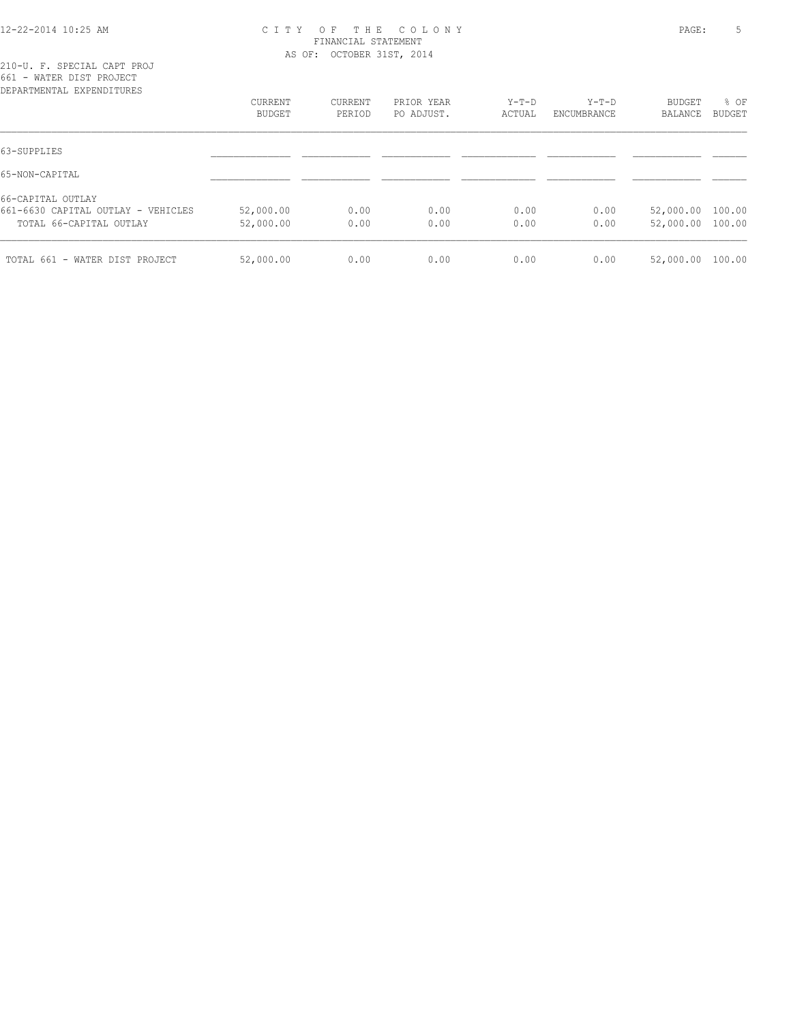#### 12-22-2014 10:25 AM C I T Y O F T H E C O L O N Y PAGE: 5 FINANCIAL STATEMENT AS OF: OCTOBER 31ST, 2014

| DEPARTMENTAL EXPENDITURES          |           |         |            |        |             |                  |               |
|------------------------------------|-----------|---------|------------|--------|-------------|------------------|---------------|
|                                    | CURRENT   | CURRENT | PRIOR YEAR | Y-T-D  | $Y-T-D$     | BUDGET           | % OF          |
|                                    | BUDGET    | PERIOD  | PO ADJUST. | ACTUAL | ENCUMBRANCE | BALANCE          | <b>BUDGET</b> |
| 63-SUPPLIES                        |           |         |            |        |             |                  |               |
| 65-NON-CAPITAL                     |           |         |            |        |             |                  |               |
| 66-CAPITAL OUTLAY                  |           |         |            |        |             |                  |               |
| 661-6630 CAPITAL OUTLAY - VEHICLES | 52,000.00 | 0.00    | 0.00       | 0.00   | 0.00        | 52,000.00 100.00 |               |
| TOTAL 66-CAPITAL OUTLAY            | 52,000.00 | 0.00    | 0.00       | 0.00   | 0.00        | 52,000.00 100.00 |               |
| TOTAL 661 - WATER DIST PROJECT     | 52,000.00 | 0.00    | 0.00       | 0.00   | 0.00        | 52,000.00 100.00 |               |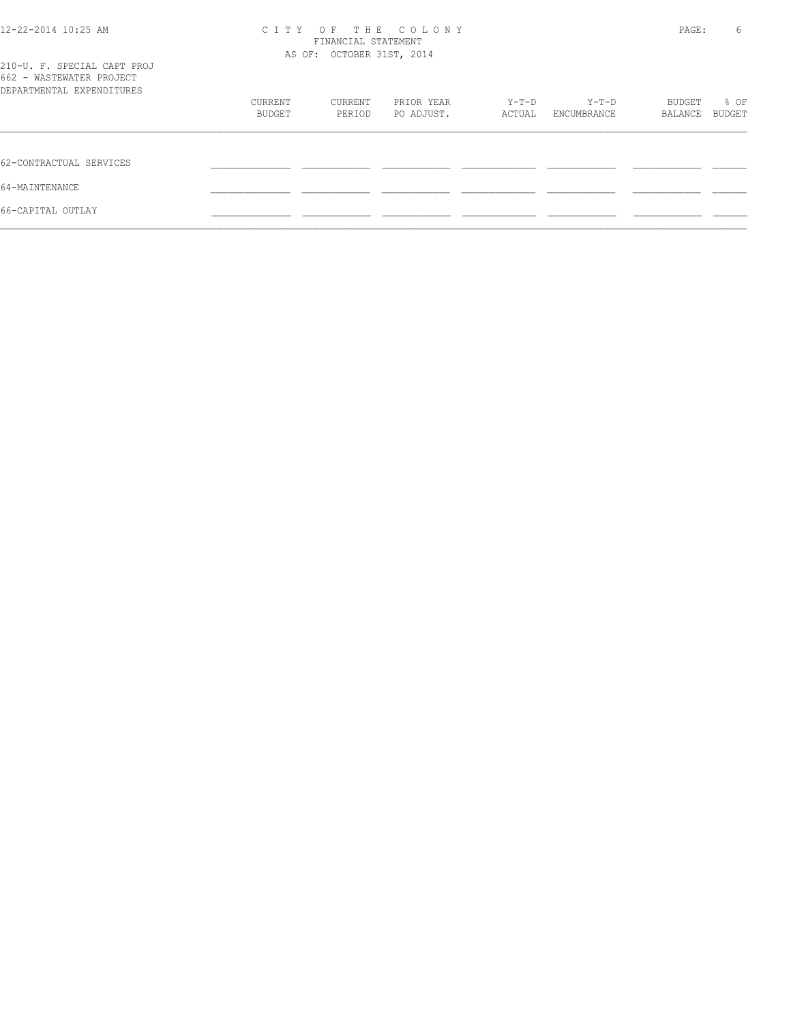| 12-22-2014 10:25 AM                                                                  | OF THE COLONY<br>C T T Y<br>FINANCIAL STATEMENT<br>AS OF: OCTOBER 31ST, 2014 |         |            |        |             | PAGE:   |        |
|--------------------------------------------------------------------------------------|------------------------------------------------------------------------------|---------|------------|--------|-------------|---------|--------|
| 210-U. F. SPECIAL CAPT PROJ<br>662 - WASTEWATER PROJECT<br>DEPARTMENTAL EXPENDITURES |                                                                              |         |            |        |             |         |        |
|                                                                                      | CURRENT                                                                      | CURRENT | PRIOR YEAR | Y-T-D  | Y-T-D       | BUDGET  | % OF   |
|                                                                                      | BUDGET                                                                       | PERIOD  | PO ADJUST. | ACTUAL | ENCUMBRANCE | BALANCE | BUDGET |
| 62-CONTRACTUAL SERVICES                                                              |                                                                              |         |            |        |             |         |        |
| 64-MAINTENANCE                                                                       |                                                                              |         |            |        |             |         |        |
| 66-CAPITAL OUTLAY                                                                    |                                                                              |         |            |        |             |         |        |
|                                                                                      |                                                                              |         |            |        |             |         |        |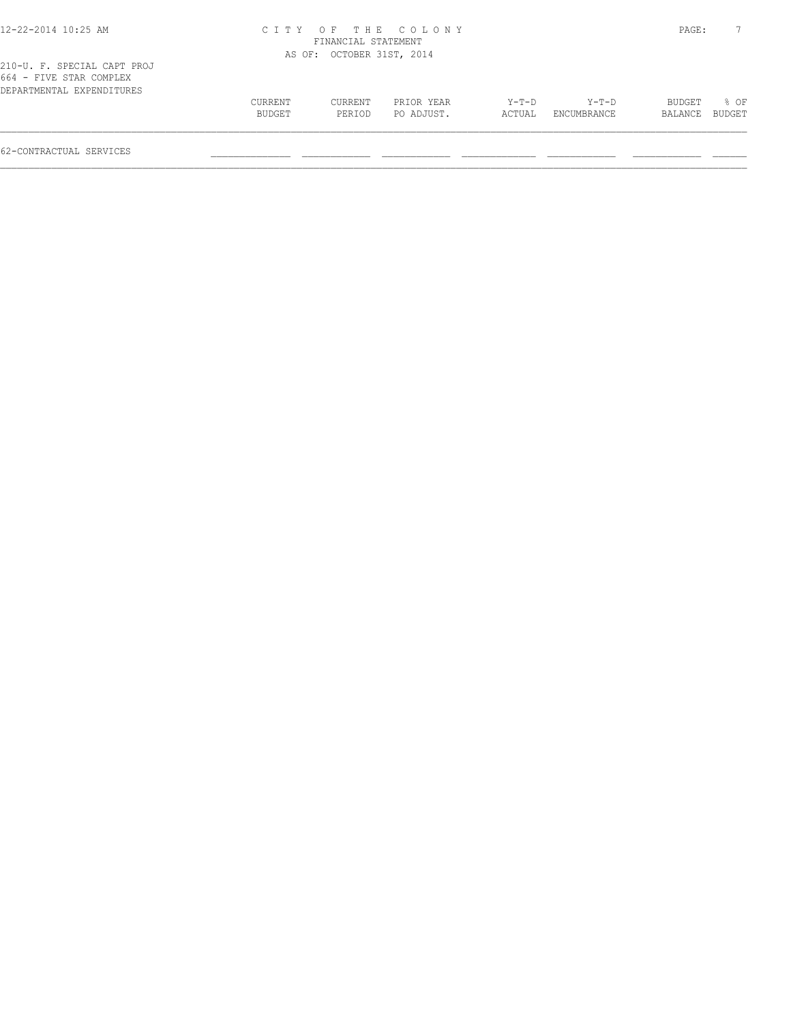| 2-22-2014 10:25 AM |  |
|--------------------|--|
|--------------------|--|

# 12-22-2014 10:25 AM C I T Y O F T H E C O L O N Y PAGE: 7 FINANCIAL STATEMENT AS OF: OCTOBER 31ST, 2014

| ZIU-U. F. SPECIAL CAPT PROJ |               |         |            |        |             |                |             |
|-----------------------------|---------------|---------|------------|--------|-------------|----------------|-------------|
| 664 - FIVE STAR COMPLEX     |               |         |            |        |             |                |             |
| DEPARTMENTAL EXPENDITURES   |               |         |            |        |             |                |             |
|                             | CURRENT       | CURRENT | PRIOR YEAR | Y-T-D  | Y-T-D       |                | BUDGET % OF |
|                             | <b>BUDGET</b> | PERIOD  | PO ADJUST. | ACTUAL | ENCUMBRANCE | BALANCE BUDGET |             |
|                             |               |         |            |        |             |                |             |
|                             |               |         |            |        |             |                |             |

62-CONTRACTUAL SERVICES \_\_\_\_\_\_\_\_\_\_\_\_\_\_ \_\_\_\_\_\_\_\_\_\_\_\_ \_\_\_\_\_\_\_\_\_\_\_\_ \_\_\_\_\_\_\_\_\_\_\_\_\_ \_\_\_\_\_\_\_\_\_\_\_\_ \_\_\_\_\_\_\_\_\_\_\_\_ \_\_\_\_\_\_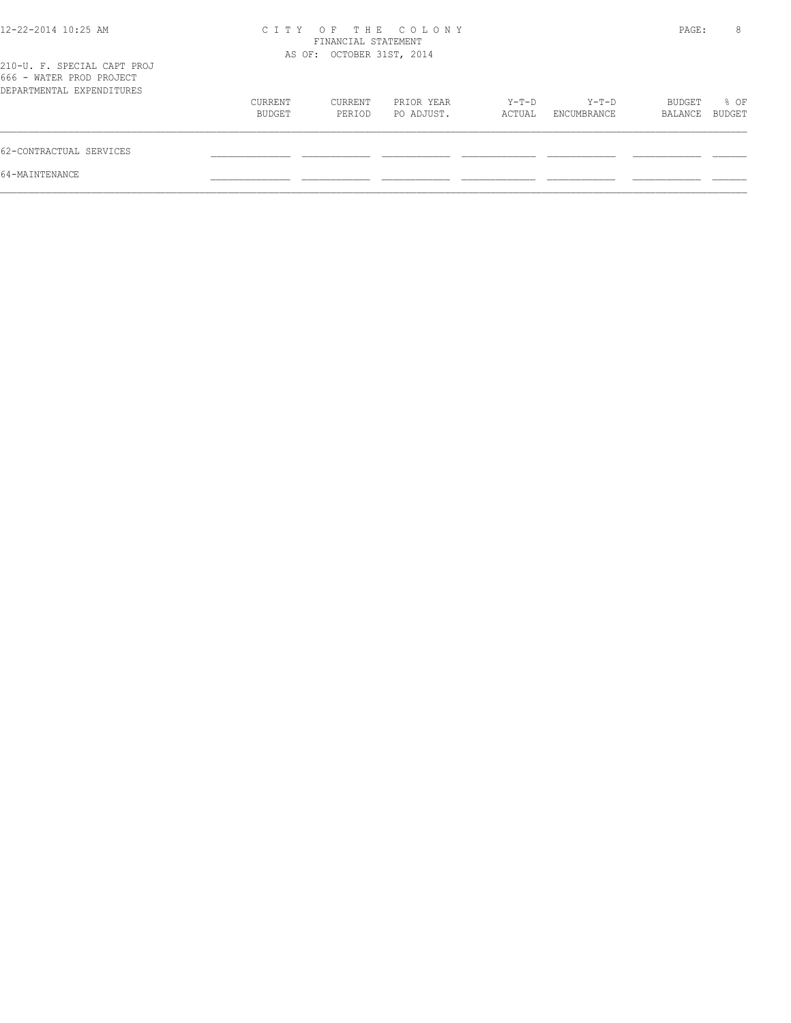| $12 - 22 - 2014$ 10:25 AM                                                            | CITY OF THE COLONY<br>FINANCIAL STATEMENT<br>AS OF: OCTOBER 31ST, 2014 |                   |                          |                 |                      |                   | 8<br>PAGE:     |
|--------------------------------------------------------------------------------------|------------------------------------------------------------------------|-------------------|--------------------------|-----------------|----------------------|-------------------|----------------|
| 210-U. F. SPECIAL CAPT PROJ<br>666 - WATER PROD PROJECT<br>DEPARTMENTAL EXPENDITURES |                                                                        |                   |                          |                 |                      |                   |                |
|                                                                                      | CURRENT<br>BUDGET                                                      | CURRENT<br>PERIOD | PRIOR YEAR<br>PO ADJUST. | Y-T-D<br>ACTUAL | Y-T-D<br>ENCUMBRANCE | BUDGET<br>BALANCE | % OF<br>BUDGET |
| 62-CONTRACTUAL SERVICES                                                              |                                                                        |                   |                          |                 |                      |                   |                |
| 64-MAINTENANCE                                                                       |                                                                        |                   |                          |                 |                      |                   |                |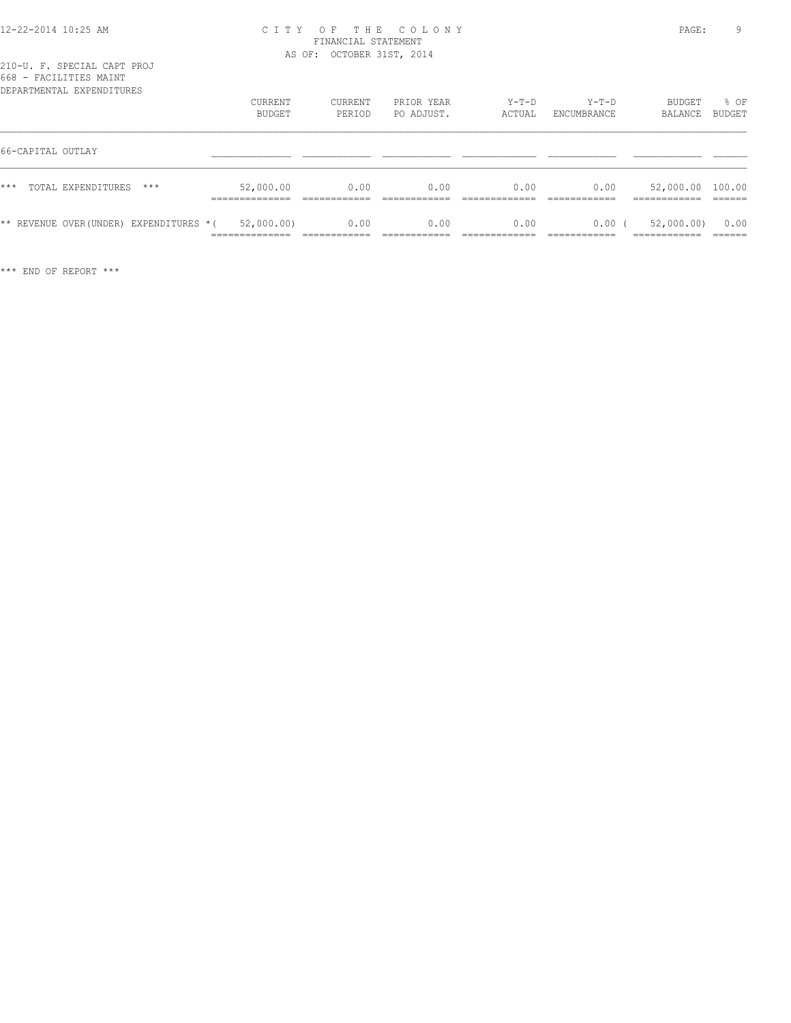#### 12-22-2014 10:25 AM C I T Y O F T H E C O L O N Y PAGE: 9 FINANCIAL STATEMENT AS OF: OCTOBER 31ST, 2014

| DEPARTMENTAL EXPENDITURES              | CURRENT<br>BUDGET                              | CURRENT<br>PERIOD | PRIOR YEAR<br>PO ADJUST. | $Y-T-D$<br>ACTUAL | $Y-T-D$<br>ENCUMBRANCE | BUDGET<br>BALANCE                           | % OF<br><b>BUDGET</b> |
|----------------------------------------|------------------------------------------------|-------------------|--------------------------|-------------------|------------------------|---------------------------------------------|-----------------------|
| 66-CAPITAL OUTLAY                      |                                                |                   |                          |                   |                        |                                             |                       |
| $***$<br>TOTAL EXPENDITURES<br>$***$   | 52,000.00<br>___________                       | 0.00              | 0.00                     | 0.00              | 0.00                   | 52,000.00 100.00<br>__________<br>_________ |                       |
| ** REVENUE OVER(UNDER) EXPENDITURES *( | 52,000.00)<br>______________<br>______________ | 0.00              | 0.00                     | 0.00              | 0.00                   | 52,000.00)<br>____________                  | 0.00                  |

\*\*\* END OF REPORT \*\*\*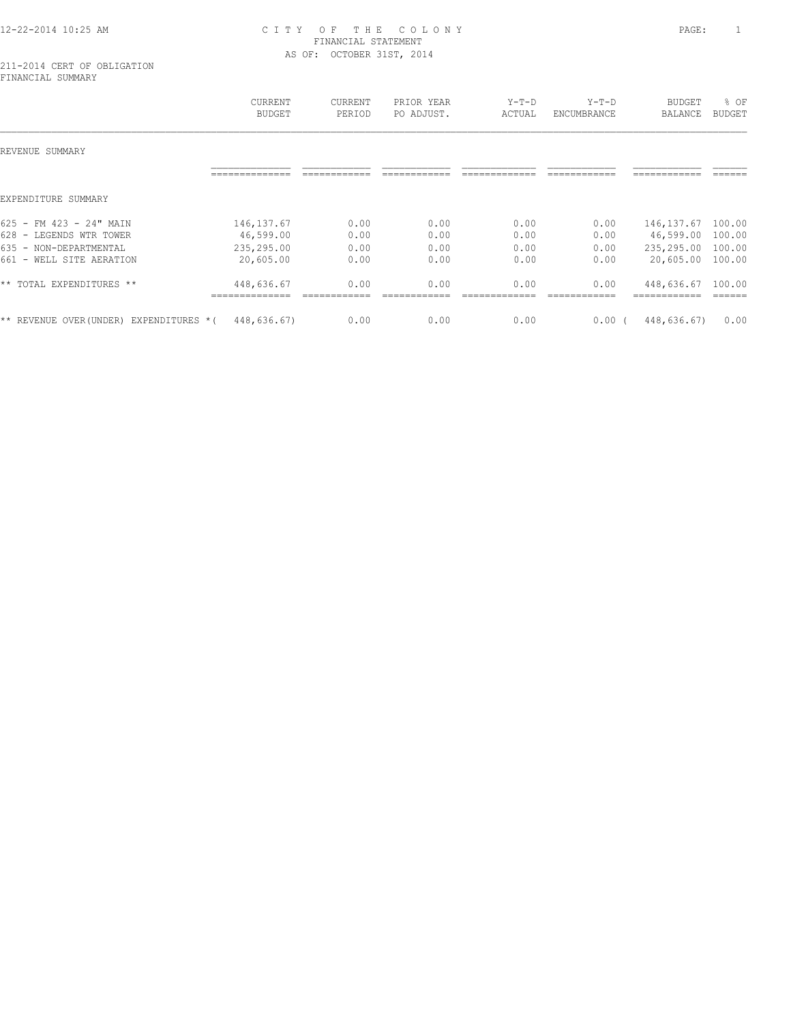## 12-22-2014 10:25 AM C I T Y O F T H E C O L O N Y PAGE: 1 FINANCIAL STATEMENT AS OF: OCTOBER 31ST, 2014

#### 211-2014 CERT OF OBLIGATION FINANCIAL SUMMARY

|                                            | <b>CURRENT</b><br><b>BUDGET</b> | CURRENT<br>PERIOD | PRIOR YEAR<br>PO ADJUST. | $Y-T-D$<br>ACTUAL | $Y-T-D$<br>ENCUMBRANCE | <b>BUDGET</b><br><b>BALANCE</b> | % OF<br>BUDGET |
|--------------------------------------------|---------------------------------|-------------------|--------------------------|-------------------|------------------------|---------------------------------|----------------|
| REVENUE SUMMARY                            |                                 |                   |                          |                   |                        |                                 |                |
|                                            |                                 |                   |                          |                   |                        |                                 |                |
| EXPENDITURE SUMMARY                        |                                 |                   |                          |                   |                        |                                 |                |
| 625 - FM 423 - 24" MAIN                    | 146, 137.67                     | 0.00              | 0.00                     | 0.00              | 0.00                   | 146, 137.67                     | 100.00         |
| 628 - LEGENDS WTR TOWER                    | 46,599.00                       | 0.00              | 0.00                     | 0.00              | 0.00                   | 46,599.00                       | 100.00         |
| 635 - NON-DEPARTMENTAL                     | 235,295.00                      | 0.00              | 0.00                     | 0.00              | 0.00                   | 235,295.00                      | 100.00         |
| 661 - WELL SITE AERATION                   | 20,605.00                       | 0.00              | 0.00                     | 0.00              | 0.00                   | 20,605.00                       | 100.00         |
| ** TOTAL EXPENDITURES **                   | 448,636.67                      | 0.00              | 0.00                     | 0.00              | 0.00                   | 448,636.67                      | 100.00         |
| ** REVENUE OVER (UNDER)<br>EXPENDITURES *( | 448,636.67)                     | 0.00              | 0.00                     | 0.00              | 0.00(                  | 448,636.67)                     | 0.00           |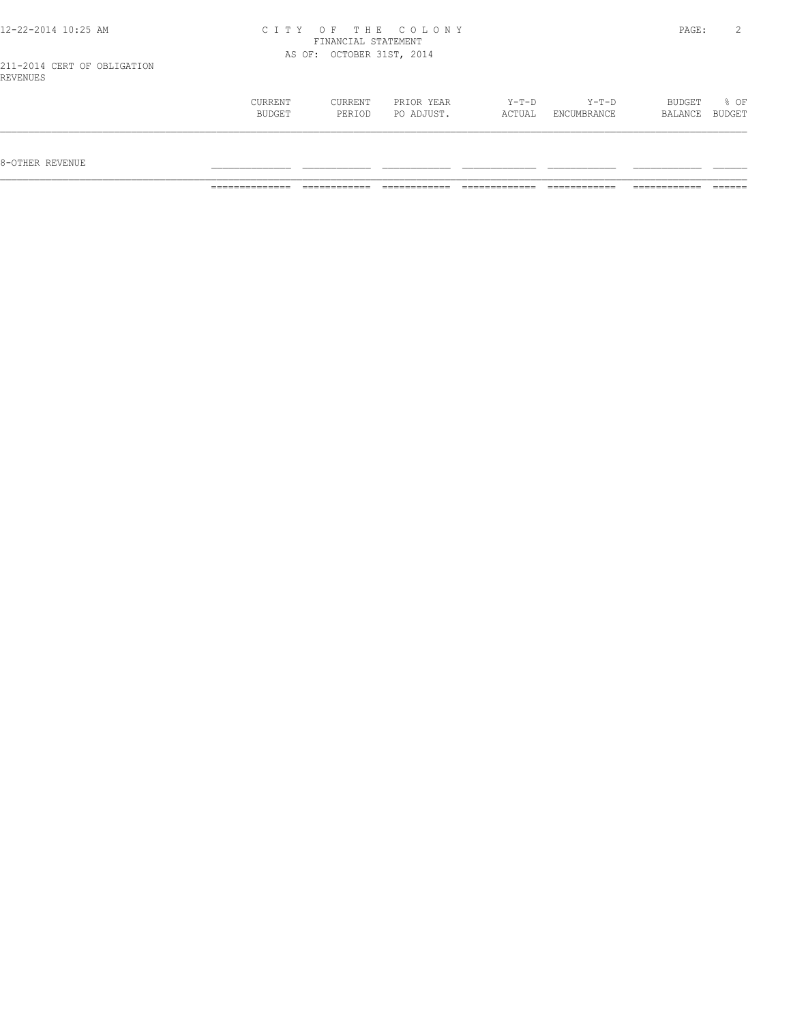| 12-22-2014 10:25 AM         | CITY OF THE COLONY        | PAGE: |  |
|-----------------------------|---------------------------|-------|--|
|                             | FINANCIAL STATEMENT       |       |  |
|                             | AS OF: OCTOBER 31ST, 2014 |       |  |
| 211-2014 CERT OF OBLIGATION |                           |       |  |
| REVENUES                    |                           |       |  |

| CURRENT | CURRENT | PRIOR YEAR | $Y-T-D$ | $Y-T-D$     | BUDGET  | % OF   |
|---------|---------|------------|---------|-------------|---------|--------|
| BUDGET  | PERIOD  | PO ADJUST. | ACTUAL  | ENCUMBRANCE | BALANCE | BUDGET |
|         |         |            |         |             |         |        |

8-OTHER REVENUE \_\_\_\_\_\_\_\_\_\_\_\_\_\_ \_\_\_\_\_\_\_\_\_\_\_\_ \_\_\_\_\_\_\_\_\_\_\_\_ \_\_\_\_\_\_\_\_\_\_\_\_\_ \_\_\_\_\_\_\_\_\_\_\_\_ \_\_\_\_\_\_\_\_\_\_\_\_ \_\_\_\_\_\_

REVENUES

============== ============ ============ ============= ============ ============ ======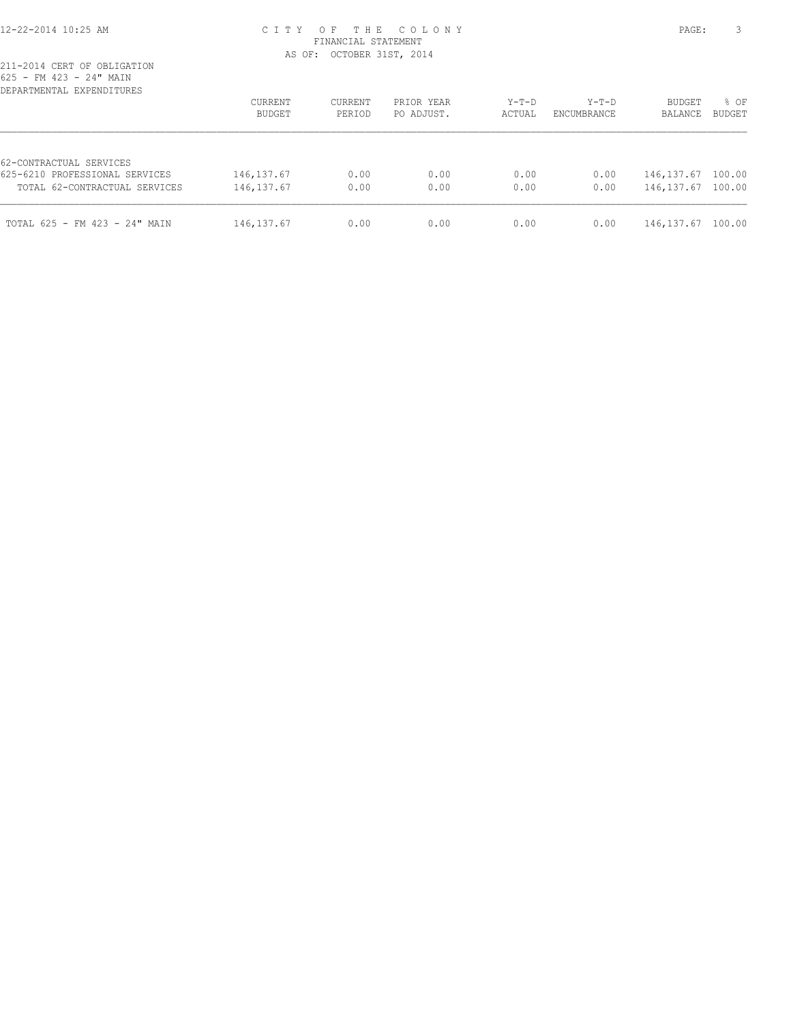#### 12-22-2014 10:25 AM C I T Y O F T H E C O L O N Y PAGE: 3 FINANCIAL STATEMENT AS OF: OCTOBER 31ST, 2014

| DEPARTMENTAL EXPENDITURES                                 | CURRENT<br>BUDGET | <b>CURRENT</b><br>PERIOD | PRIOR YEAR<br>PO ADJUST. | $Y-T-D$<br>ACTUAL | $Y-T-D$<br>ENCUMBRANCE | <b>BUDGET</b><br>BALANCE | % OF<br><b>BUDGET</b> |
|-----------------------------------------------------------|-------------------|--------------------------|--------------------------|-------------------|------------------------|--------------------------|-----------------------|
| 62-CONTRACTUAL SERVICES<br>625-6210 PROFESSIONAL SERVICES | 146, 137.67       | 0.00                     | 0.00                     | 0.00              | 0.00                   | 146,137.67               | 100.00                |
| TOTAL 62-CONTRACTUAL SERVICES                             | 146, 137.67       | 0.00                     | 0.00                     | 0.00              | 0.00                   | 146,137.67               | 100.00                |
| TOTAL 625 - FM 423 - 24" MAIN                             | 146, 137.67       | 0.00                     | 0.00                     | 0.00              | 0.00                   | 146, 137.67              | 100.00                |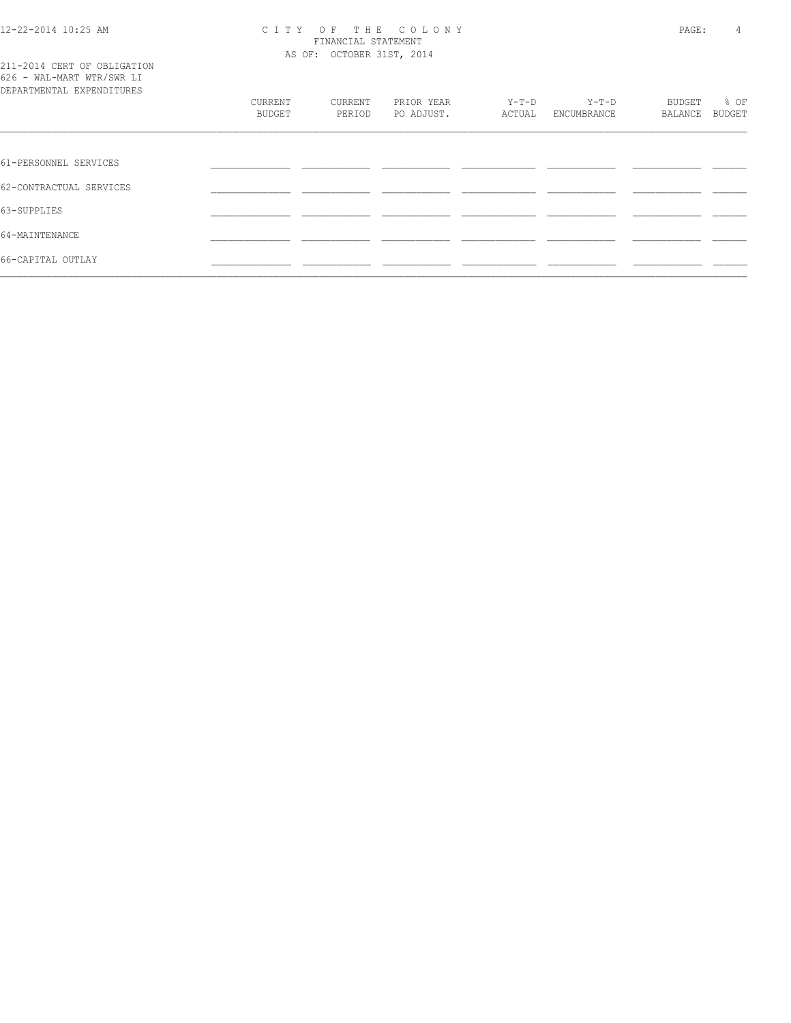#### 12-22-2014 10:25 AM C I T Y O F T H E C O L O N Y PAGE: 4 FINANCIAL STATEMENT AS OF: OCTOBER 31ST, 2014

|  |  |  | 211-2014 CERT OF OBLIGATION |  |
|--|--|--|-----------------------------|--|
|  |  |  | 626 - WAL-MART WTR/SWR LI   |  |
|  |  |  | DEPARTMENTAL EXPENDITURES   |  |

| DEPARTMENTAL EXPENDITURES |         |         |            |        |             |         |        |
|---------------------------|---------|---------|------------|--------|-------------|---------|--------|
|                           | CURRENT | CURRENT | PRIOR YEAR | Y-T-D  | $Y-T-D$     | BUDGET  | % OF   |
|                           | BUDGET  | PERIOD  | PO ADJUST. | ACTUAL | ENCUMBRANCE | BALANCE | BUDGET |
|                           |         |         |            |        |             |         |        |
| 61-PERSONNEL SERVICES     |         |         |            |        |             |         |        |
| 62-CONTRACTUAL SERVICES   |         |         |            |        |             |         |        |
| 63-SUPPLIES               |         |         |            |        |             |         |        |
| 64-MAINTENANCE            |         |         |            |        |             |         |        |
| 66-CAPITAL OUTLAY         |         |         |            |        |             |         |        |
|                           |         |         |            |        |             |         |        |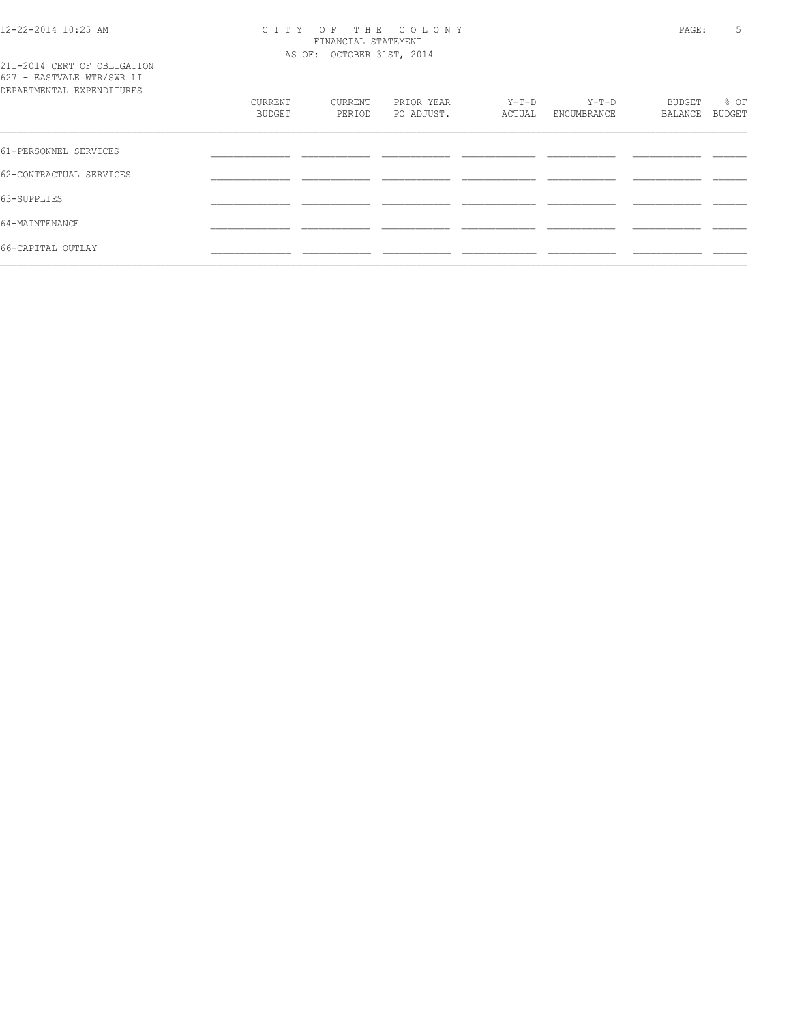#### 12-22-2014 10:25 AM C I T Y O F T H E C O L O N Y PAGE: 5 FINANCIAL STATEMENT AS OF: OCTOBER 31ST, 2014

211-2014 CERT OF OBLIGATION 627 - EASTVALE WTR/SWR LI

| DEPARTMENTAL EXPENDITURES | CURRENT<br>BUDGET | CURRENT<br>PERIOD | PRIOR YEAR<br>PO ADJUST. | Y-T-D<br>ACTUAL | $Y-T-D$<br>ENCUMBRANCE | BUDGET<br>BALANCE | % OF<br>BUDGET |
|---------------------------|-------------------|-------------------|--------------------------|-----------------|------------------------|-------------------|----------------|
| 61-PERSONNEL SERVICES     |                   |                   |                          |                 |                        |                   |                |
| 62-CONTRACTUAL SERVICES   |                   |                   |                          |                 |                        |                   |                |
| 63-SUPPLIES               |                   |                   |                          |                 |                        |                   |                |
| 64-MAINTENANCE            |                   |                   |                          |                 |                        |                   |                |
| 66-CAPITAL OUTLAY         |                   |                   |                          |                 |                        |                   |                |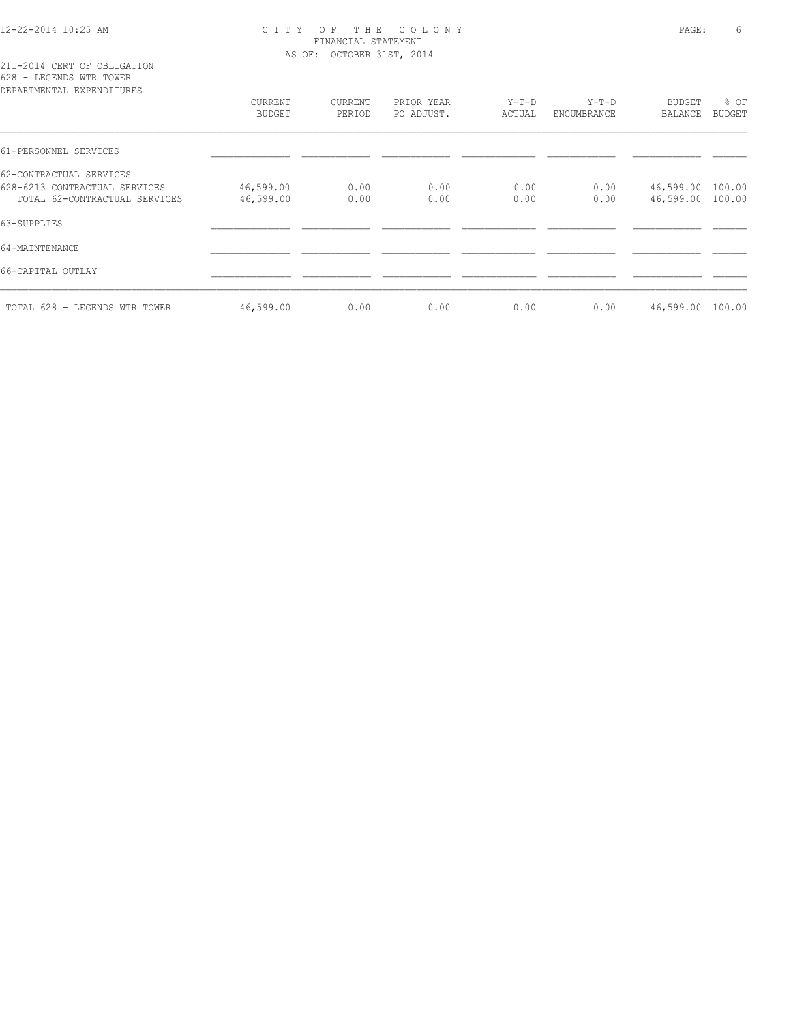## 12-22-2014 10:25 AM C I T Y O F T H E C O L O N Y PAGE: 6 FINANCIAL STATEMENT AS OF: OCTOBER 31ST, 2014

## 211-2014 CERT OF OBLIGATION 628 - LEGENDS WTR TOWER

| DEPARTMENTAL EXPENDITURES     | CURRENT   | CURRENT | PRIOR YEAR | $Y-T-D$ | $Y-T-D$     | BUDGET         | % OF          |
|-------------------------------|-----------|---------|------------|---------|-------------|----------------|---------------|
|                               | BUDGET    | PERIOD  | PO ADJUST. | ACTUAL  | ENCUMBRANCE | <b>BALANCE</b> | <b>BUDGET</b> |
| 61-PERSONNEL SERVICES         |           |         |            |         |             |                |               |
| 62-CONTRACTUAL SERVICES       |           |         |            |         |             |                |               |
| 628-6213 CONTRACTUAL SERVICES | 46,599.00 | 0.00    | 0.00       | 0.00    | 0.00        | 46,599.00      | 100.00        |
| TOTAL 62-CONTRACTUAL SERVICES | 46,599.00 | 0.00    | 0.00       | 0.00    | 0.00        | 46,599.00      | 100.00        |
| 63-SUPPLIES                   |           |         |            |         |             |                |               |
| 64-MAINTENANCE                |           |         |            |         |             |                |               |
| 66-CAPITAL OUTLAY             |           |         |            |         |             |                |               |
| TOTAL 628 - LEGENDS WTR TOWER | 46,599.00 | 0.00    | 0.00       | 0.00    | 0.00        | 46,599.00      | 100.00        |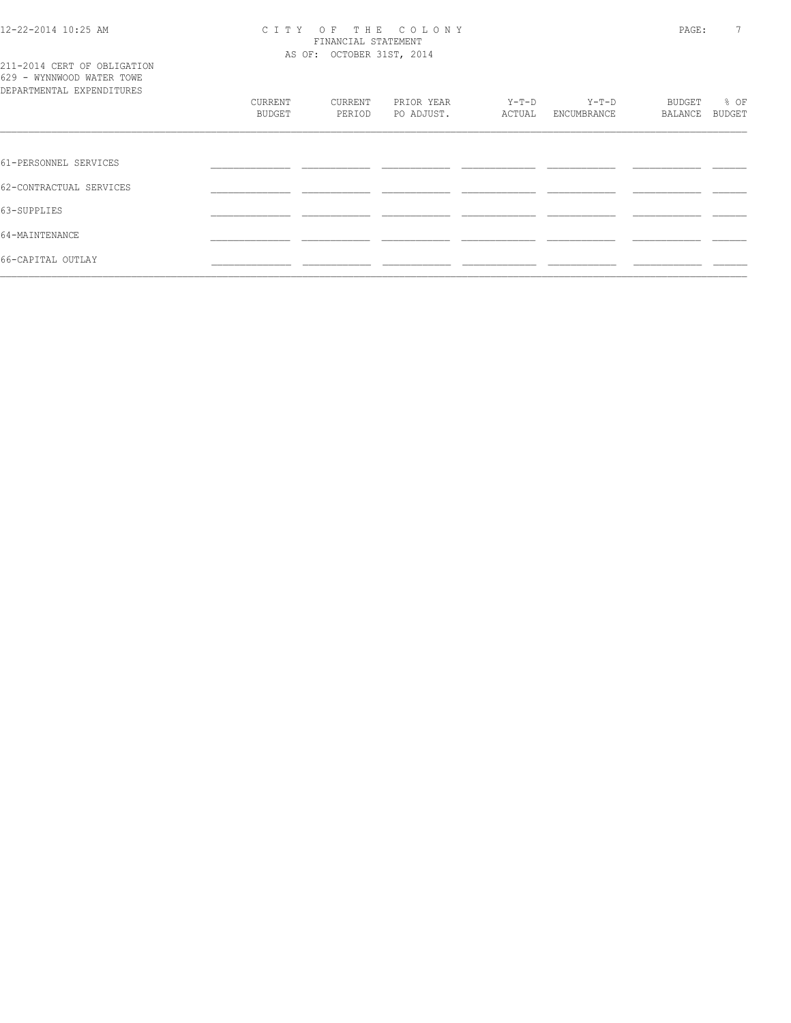#### 12-22-2014 10:25 AM C I T Y O F T H E C O L O N Y PAGE: 7 FINANCIAL STATEMENT AS OF: OCTOBER 31ST, 2014

|  |  |  | 211-2014 CERT OF OBLIGATION |  |
|--|--|--|-----------------------------|--|
|  |  |  | 629 - WYNNWOOD WATER TOWE   |  |
|  |  |  | DEPARTMENTAL EXPENDITURES   |  |

| DEPARTMENTAL EXPENDITURES |               |         |            |         |             |         |        |  |
|---------------------------|---------------|---------|------------|---------|-------------|---------|--------|--|
|                           | CURRENT       | CURRENT | PRIOR YEAR | $Y-T-D$ | Y-T-D       | BUDGET  | % OF   |  |
|                           | <b>BUDGET</b> | PERIOD  | PO ADJUST. | ACTUAL  | ENCUMBRANCE | BALANCE | BUDGET |  |
|                           |               |         |            |         |             |         |        |  |
|                           |               |         |            |         |             |         |        |  |
| 61-PERSONNEL SERVICES     |               |         |            |         |             |         |        |  |
| 62-CONTRACTUAL SERVICES   |               |         |            |         |             |         |        |  |
|                           |               |         |            |         |             |         |        |  |
| 63-SUPPLIES               |               |         |            |         |             |         |        |  |
| 64-MAINTENANCE            |               |         |            |         |             |         |        |  |
|                           |               |         |            |         |             |         |        |  |
| 66-CAPITAL OUTLAY         |               |         |            |         |             |         |        |  |
|                           |               |         |            |         |             |         |        |  |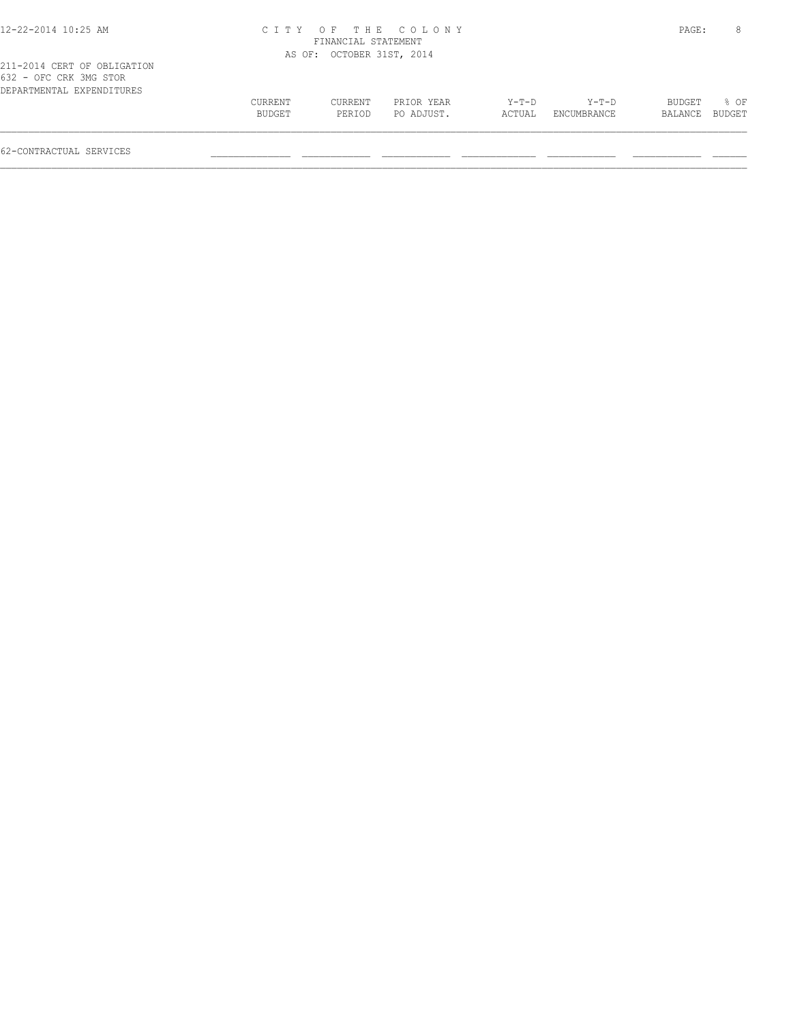| 12-22-2014 10:25 AM                                                                | CITY OF THE COLONY<br>FINANCIAL STATEMENT |                           |                          |                 |                      |                   | PAGE:                 |
|------------------------------------------------------------------------------------|-------------------------------------------|---------------------------|--------------------------|-----------------|----------------------|-------------------|-----------------------|
|                                                                                    |                                           | AS OF: OCTOBER 31ST, 2014 |                          |                 |                      |                   |                       |
| 211-2014 CERT OF OBLIGATION<br>632 - OFC CRK 3MG STOR<br>DEPARTMENTAL EXPENDITURES |                                           |                           |                          |                 |                      |                   |                       |
|                                                                                    | <b>CURRENT</b><br>BUDGET                  | <b>CURRENT</b><br>PERIOD  | PRIOR YEAR<br>PO ADJUST. | Y-T-D<br>ACTUAL | Y-T-D<br>ENCUMBRANCE | BUDGET<br>BALANCE | 8 OF<br><b>BUDGET</b> |

 $\mathcal{L} = \{ \mathcal{L} = \{ \mathcal{L} = \{ \mathcal{L} = \{ \mathcal{L} = \{ \mathcal{L} = \{ \mathcal{L} = \{ \mathcal{L} = \{ \mathcal{L} = \{ \mathcal{L} = \{ \mathcal{L} = \{ \mathcal{L} = \{ \mathcal{L} = \{ \mathcal{L} = \{ \mathcal{L} = \{ \mathcal{L} = \{ \mathcal{L} = \{ \mathcal{L} = \{ \mathcal{L} = \{ \mathcal{L} = \{ \mathcal{L} = \{ \mathcal{L} = \{ \mathcal{L} = \{ \mathcal{L} = \{ \mathcal{$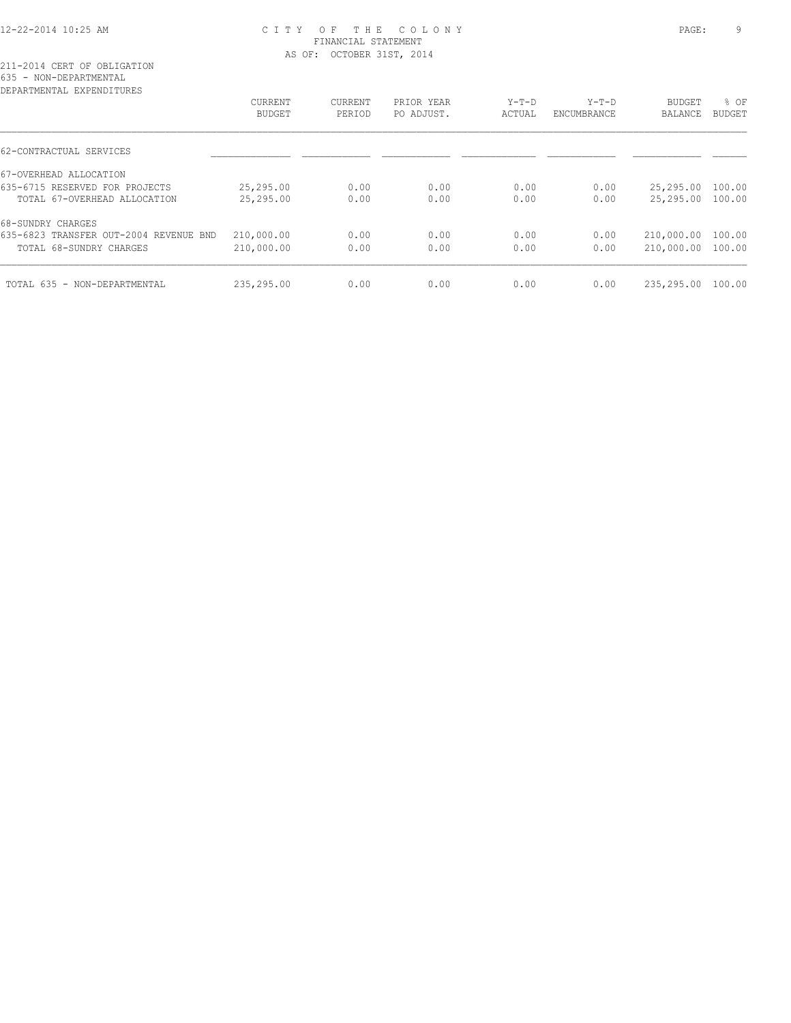## 12-22-2014 10:25 AM C I T Y O F T H E C O L O N Y PAGE: 9 FINANCIAL STATEMENT AS OF: OCTOBER 31ST, 2014

211-2014 CERT OF OBLIGATION 635 - NON-DEPARTMENTAL

| DEPARTMENTAL EXPENDITURES              |                          |                   |                          |                   |                        |                          |                       |
|----------------------------------------|--------------------------|-------------------|--------------------------|-------------------|------------------------|--------------------------|-----------------------|
|                                        | <b>CURRENT</b><br>BUDGET | CURRENT<br>PERIOD | PRIOR YEAR<br>PO ADJUST. | $Y-T-D$<br>ACTUAL | $Y-T-D$<br>ENCUMBRANCE | <b>BUDGET</b><br>BALANCE | % OF<br><b>BUDGET</b> |
| 62-CONTRACTUAL SERVICES                |                          |                   |                          |                   |                        |                          |                       |
| 67-OVERHEAD ALLOCATION                 |                          |                   |                          |                   |                        |                          |                       |
| 635-6715 RESERVED FOR PROJECTS         | 25,295.00                | 0.00              | 0.00                     | 0.00              | 0.00                   | 25,295.00                | 100.00                |
| TOTAL 67-OVERHEAD ALLOCATION           | 25,295.00                | 0.00              | 0.00                     | 0.00              | 0.00                   | 25,295.00                | 100.00                |
| 68-SUNDRY CHARGES                      |                          |                   |                          |                   |                        |                          |                       |
| 635-6823 TRANSFER OUT-2004 REVENUE BND | 210,000.00               | 0.00              | 0.00                     | 0.00              | 0.00                   | 210,000.00               | 100.00                |
| TOTAL 68-SUNDRY CHARGES                | 210,000.00               | 0.00              | 0.00                     | 0.00              | 0.00                   | 210,000.00               | 100.00                |
| TOTAL 635 - NON-DEPARTMENTAL           | 235,295.00               | 0.00              | 0.00                     | 0.00              | 0.00                   | 235,295.00               | 100.00                |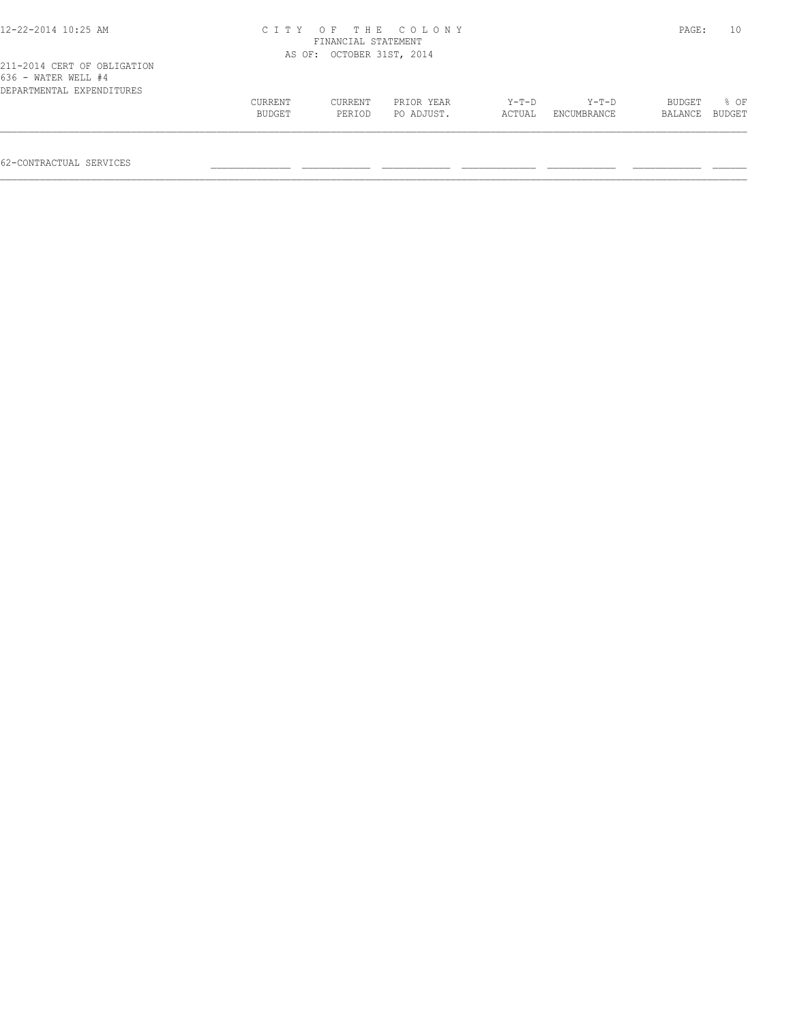| 12-22-2014 10:25 AM                                                             |                   | FINANCIAL STATEMENT       | CITY OF THE COLONY       |                   |                      | PAGE:             | 10             |
|---------------------------------------------------------------------------------|-------------------|---------------------------|--------------------------|-------------------|----------------------|-------------------|----------------|
|                                                                                 |                   | AS OF: OCTOBER 31ST, 2014 |                          |                   |                      |                   |                |
| 211-2014 CERT OF OBLIGATION<br>636 - WATER WELL #4<br>DEPARTMENTAL EXPENDITURES | CURRENT<br>BUDGET | CURRENT<br>PERIOD         | PRIOR YEAR<br>PO ADJUST. | $Y-T-D$<br>ACTUAL | Y-T-D<br>ENCUMBRANCE | BUDGET<br>BALANCE | 8 OF<br>BUDGET |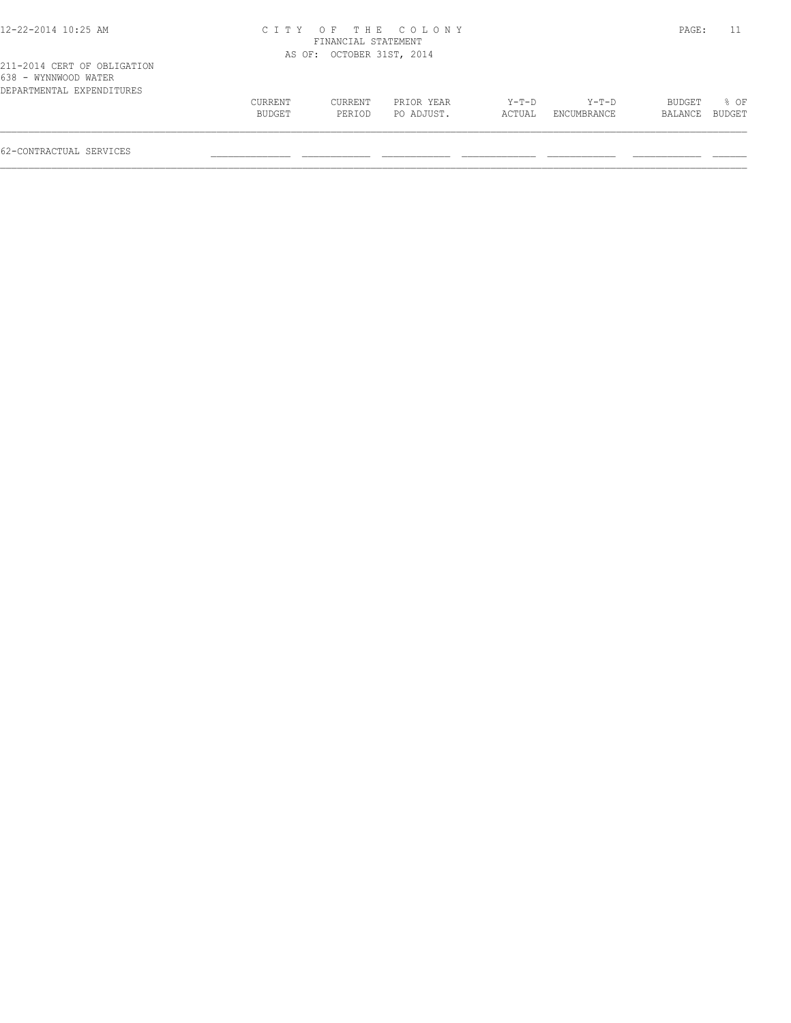| 12-22-2014 10:25 AM |  |  |
|---------------------|--|--|
|---------------------|--|--|

## 12-22-2014 10:25 AM C I T Y O F T H E C O L O N Y PAGE: 11 FINANCIAL STATEMENT AS OF: OCTOBER 31ST, 2014

| 211-2014 CERT OF OBLIGATION |  |  |
|-----------------------------|--|--|
| 638 - WYNNWOOD WATER        |  |  |
| DEPARTMENTAL EXPENDITURES   |  |  |

| 000 - WINNWOOD WAILK      |         |         |            |         |             |                |      |  |
|---------------------------|---------|---------|------------|---------|-------------|----------------|------|--|
| DEPARTMENTAL EXPENDITURES |         |         |            |         |             |                |      |  |
|                           | CURRENT | CURRENT | PRIOR YEAR | $Y-T-D$ | $Y-T-D$     | BUDGET         | % OF |  |
|                           | BUDGET  | PERIOD  | PO ADJUST. | ACTUAL  | ENCUMBRANCE | BALANCE BUDGET |      |  |
|                           |         |         |            |         |             |                |      |  |
|                           |         |         |            |         |             |                |      |  |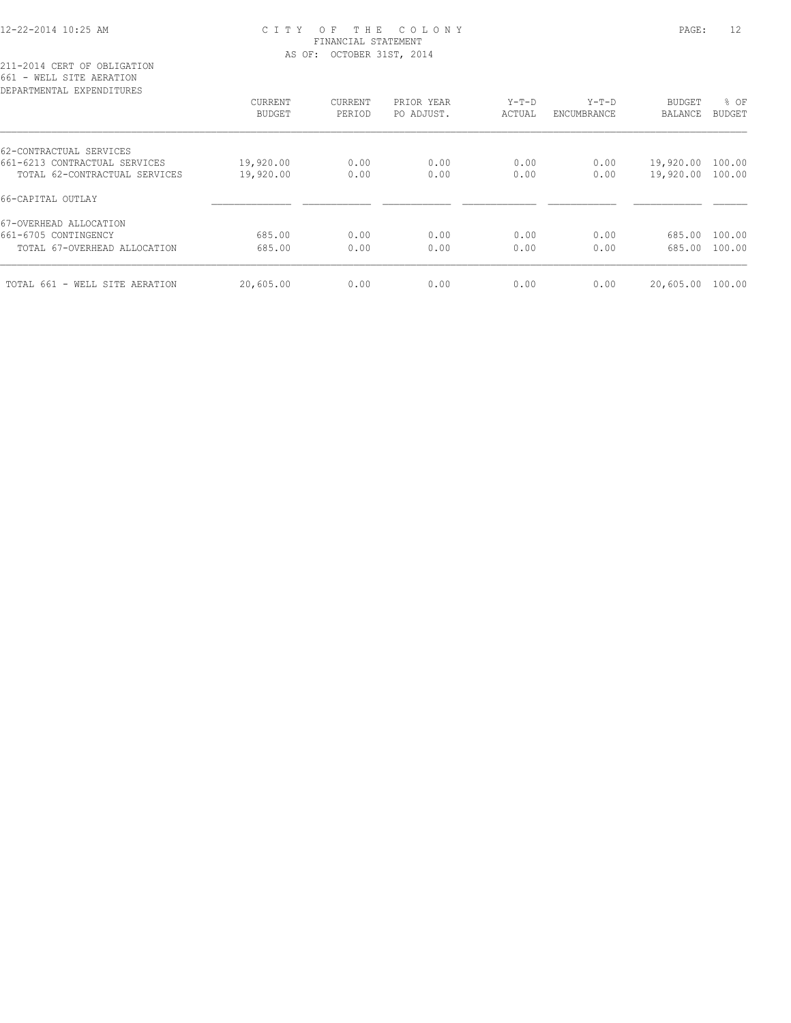## 12-22-2014 10:25 AM C I T Y O F T H E C O L O N Y PAGE: 12 FINANCIAL STATEMENT AS OF: OCTOBER 31ST, 2014

211-2014 CERT OF OBLIGATION 661 - WELL SITE AERATION

| DEPARTMENTAL EXPENDITURES      |                |                |            |         |             |                |               |
|--------------------------------|----------------|----------------|------------|---------|-------------|----------------|---------------|
|                                | <b>CURRENT</b> | <b>CURRENT</b> | PRIOR YEAR | $Y-T-D$ | $Y-T-D$     | BUDGET         | % OF          |
|                                | <b>BUDGET</b>  | PERIOD         | PO ADJUST. | ACTUAL  | ENCUMBRANCE | <b>BALANCE</b> | <b>BUDGET</b> |
| 62-CONTRACTUAL SERVICES        |                |                |            |         |             |                |               |
| 661-6213 CONTRACTUAL SERVICES  | 19,920.00      | 0.00           | 0.00       | 0.00    | 0.00        | 19,920.00      | 100.00        |
| TOTAL 62-CONTRACTUAL SERVICES  | 19,920.00      | 0.00           | 0.00       | 0.00    | 0.00        | 19,920.00      | 100.00        |
| 66-CAPITAL OUTLAY              |                |                |            |         |             |                |               |
| 67-OVERHEAD ALLOCATION         |                |                |            |         |             |                |               |
| 661-6705 CONTINGENCY           | 685.00         | 0.00           | 0.00       | 0.00    | 0.00        | 685.00         | 100.00        |
| TOTAL 67-OVERHEAD ALLOCATION   | 685.00         | 0.00           | 0.00       | 0.00    | 0.00        | 685.00         | 100.00        |
| TOTAL 661 - WELL SITE AERATION | 20,605.00      | 0.00           | 0.00       | 0.00    | 0.00        | 20,605.00      | 100.00        |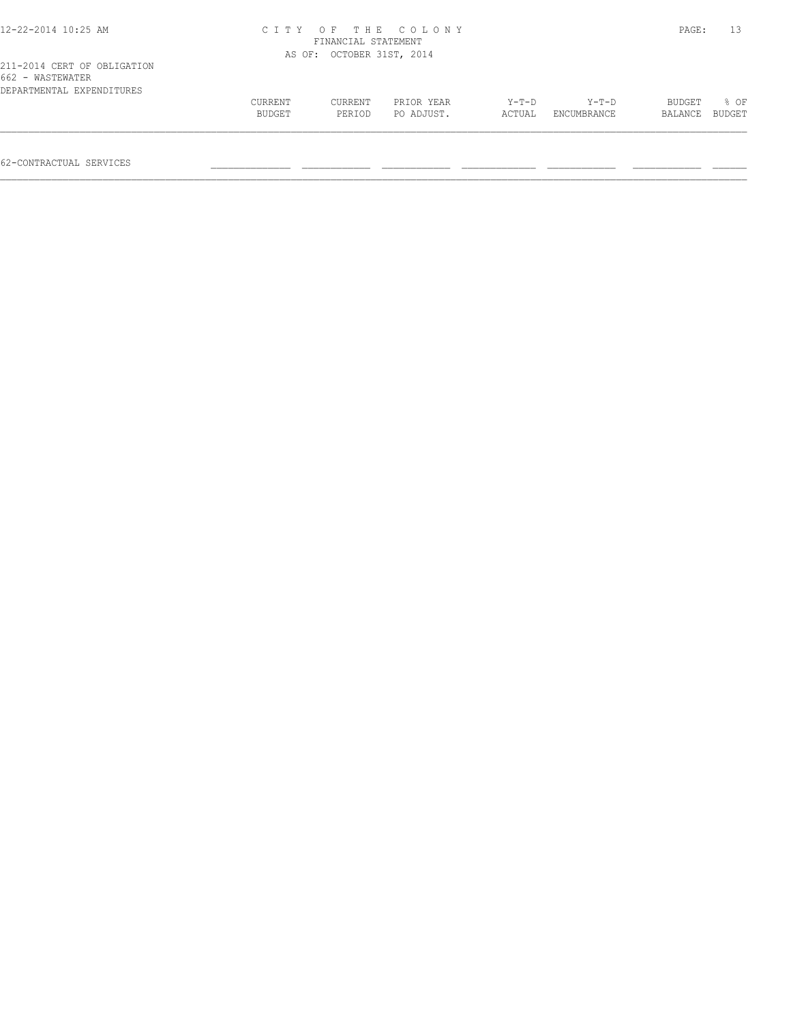| 12-22-2014 10:25 AM                                                          |         | FINANCIAL STATEMENT       | CITY OF THE COLONY |        |             | PAGE:   | 13     |
|------------------------------------------------------------------------------|---------|---------------------------|--------------------|--------|-------------|---------|--------|
|                                                                              |         | AS OF: OCTOBER 31ST, 2014 |                    |        |             |         |        |
| 211-2014 CERT OF OBLIGATION<br>662 - WASTEWATER<br>DEPARTMENTAL EXPENDITURES |         |                           |                    |        |             |         |        |
|                                                                              | CURRENT | CURRENT                   | PRIOR YEAR         | Y-T-D  | Y-T-D       | BUDGET  | 8 OF   |
|                                                                              | BUDGET  | PERTOD                    | PO ADJUST.         | ACTUAL | ENCUMBRANCE | BALANCE | BUDGET |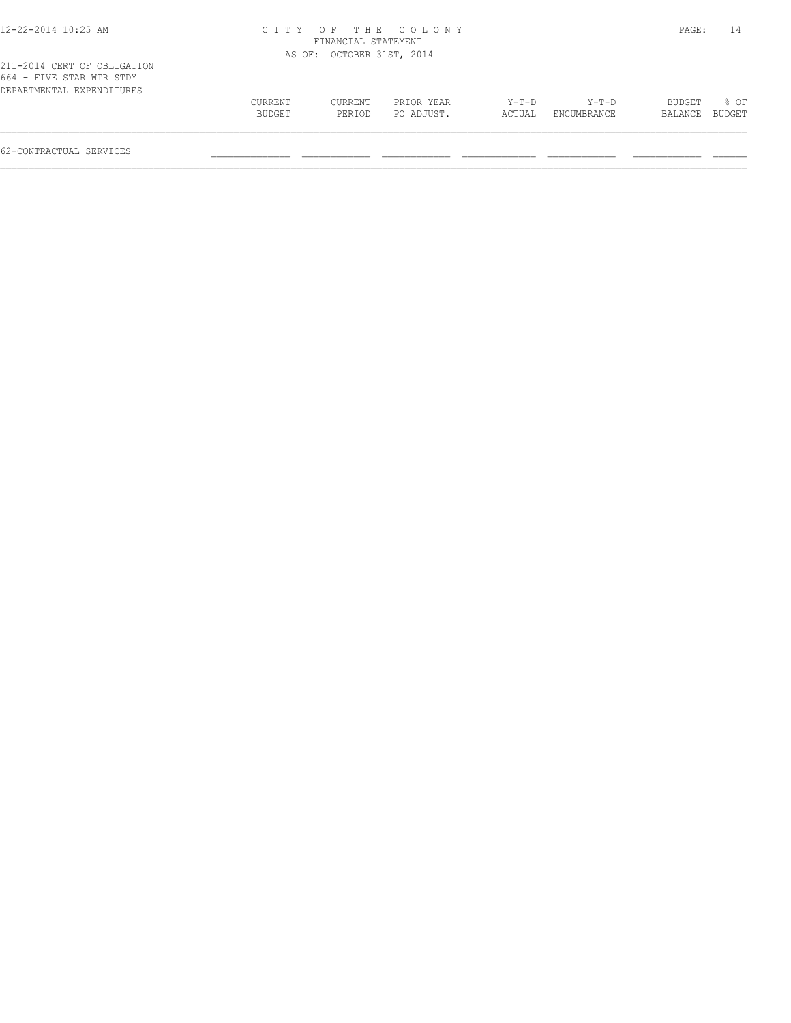|         |         |            |                                                                        |             | PAGE:         | 14     |
|---------|---------|------------|------------------------------------------------------------------------|-------------|---------------|--------|
|         |         |            |                                                                        |             |               |        |
|         |         |            |                                                                        |             |               |        |
| CURRENT | CURRENT | PRIOR YEAR | Y-T-D                                                                  | Y-T-D       | <b>BUDGET</b> | $8$ OF |
| BUDGET  | PERIOD  | PO ADJUST. | ACTUAL                                                                 | ENCUMBRANCE | BALANCE       | BUDGET |
|         |         |            | CITY OF THE COLONY<br>FINANCIAL STATEMENT<br>AS OF: OCTOBER 31ST, 2014 |             |               |        |

 $\mathcal{L} = \{ \mathcal{L} = \{ \mathcal{L} = \{ \mathcal{L} = \{ \mathcal{L} = \{ \mathcal{L} = \{ \mathcal{L} = \{ \mathcal{L} = \{ \mathcal{L} = \{ \mathcal{L} = \{ \mathcal{L} = \{ \mathcal{L} = \{ \mathcal{L} = \{ \mathcal{L} = \{ \mathcal{L} = \{ \mathcal{L} = \{ \mathcal{L} = \{ \mathcal{L} = \{ \mathcal{L} = \{ \mathcal{L} = \{ \mathcal{L} = \{ \mathcal{L} = \{ \mathcal{L} = \{ \mathcal{L} = \{ \mathcal{$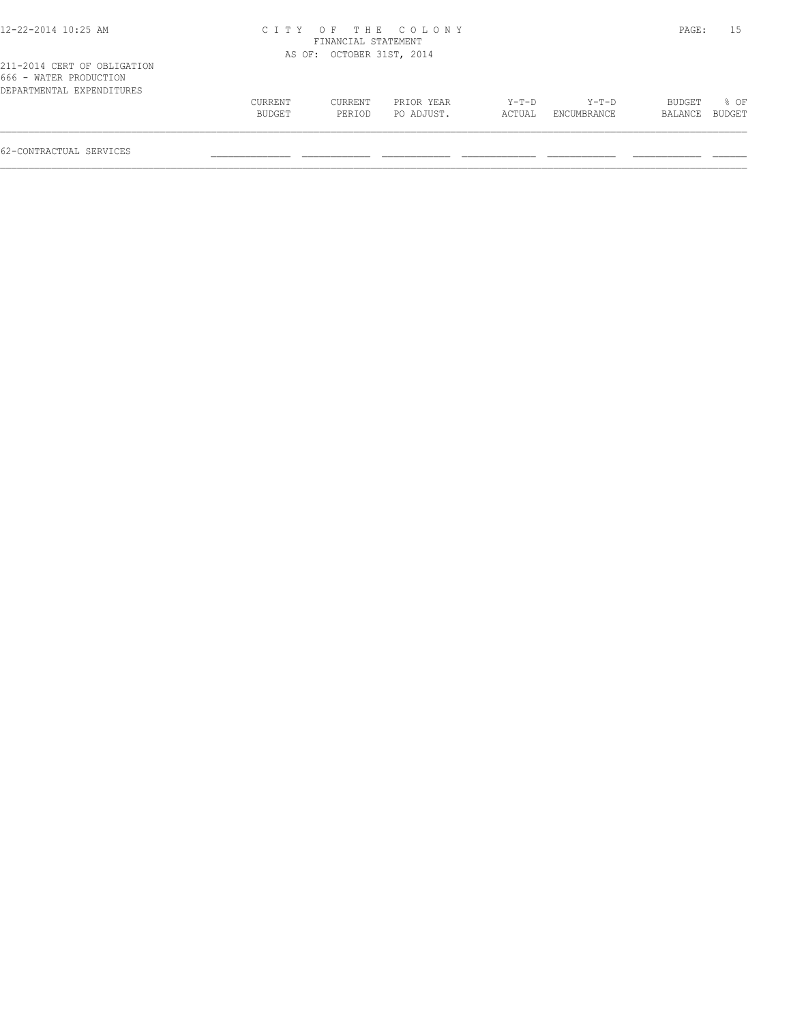## 12-22-2014 10:25 AM C I T Y O F T H E C O L O N Y PAGE: 15 FINANCIAL STATEMENT AS OF: OCTOBER 31ST, 2014

|                        | 211-2014 CERT OF OBLIGATION |  |
|------------------------|-----------------------------|--|
| 666 - WATER PRODUCTION |                             |  |
|                        | DEPARTMENTAL EXPENDITURES   |  |

| DEPARTMENTAL EXPENDITURES | CURRENT | CURRENT | PRIOR YEAR | Y-T-D  | $Y-T-D$     | <b>BUDGET</b> | OF     |
|---------------------------|---------|---------|------------|--------|-------------|---------------|--------|
|                           | BUDGET  | PERIOD  | PO ADJUST. | ACTUAL | ENCUMBRANCE | BALANCE       | BUDGET |
|                           |         |         |            |        |             |               |        |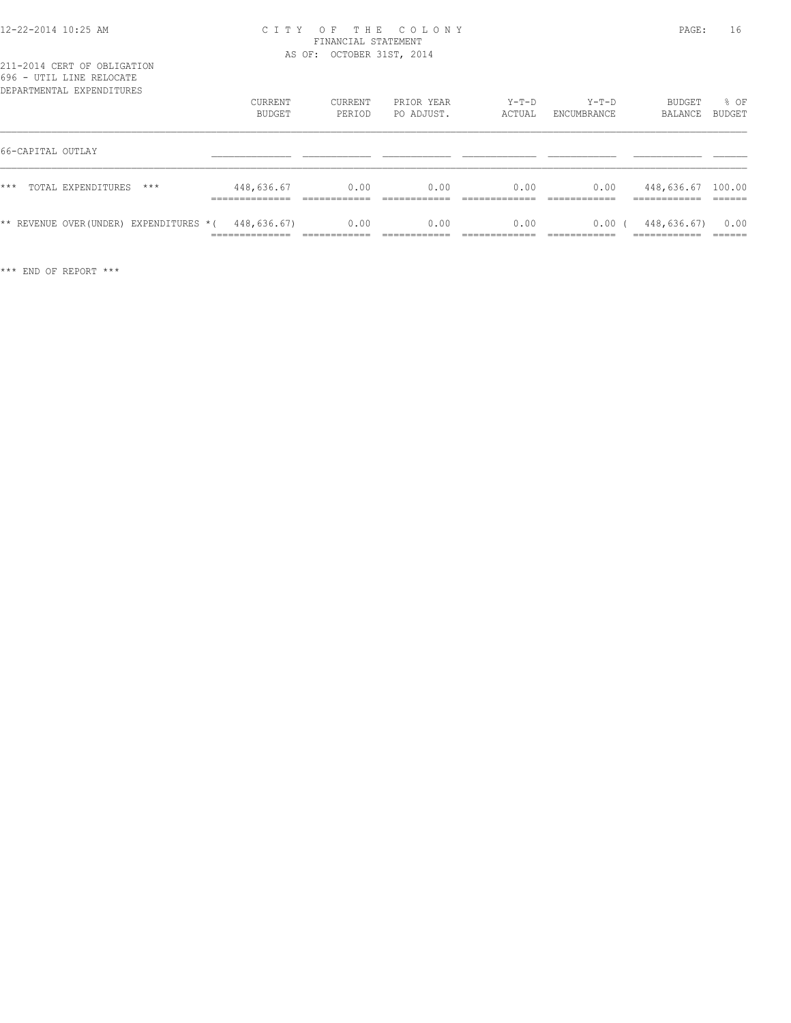## 12-22-2014 10:25 AM C I T Y O F T H E C O L O N Y PAGE: 16 FINANCIAL STATEMENT AS OF: OCTOBER 31ST, 2014

| v v v<br>UII HINI INIHUUIII<br>DEPARTMENTAL EXPENDITURES | CURRENT<br>BUDGET                               | <b>CURRENT</b><br>PERIOD             | PRIOR YEAR<br>PO ADJUST. | $Y-T-D$<br>ACTUAL      | $Y-T-D$<br>ENCUMBRANCE | BUDGET<br>BALANCE                                  | % OF<br>BUDGET            |
|----------------------------------------------------------|-------------------------------------------------|--------------------------------------|--------------------------|------------------------|------------------------|----------------------------------------------------|---------------------------|
| 66-CAPITAL OUTLAY                                        |                                                 |                                      |                          |                        |                        |                                                    |                           |
| $***$<br>TOTAL EXPENDITURES<br>$***$                     | 448,636.67<br>______________<br>--------------- | 0.00<br>-------------                | 0.00                     | 0.00                   | 0.00                   | 448,636.67 100.00<br>-------------<br>____________ | ______                    |
| ** REVENUE OVER(UNDER) EXPENDITURES *(                   | 448,636.67)<br>______________<br>-------------  | 0.00<br>------------<br>____________ | 0.00                     | 0.00<br>-------------- | 0.00<br>-------------  | 448,636.67)<br>-------------<br>____________       | 0.00<br>-------<br>______ |

\*\*\* END OF REPORT \*\*\*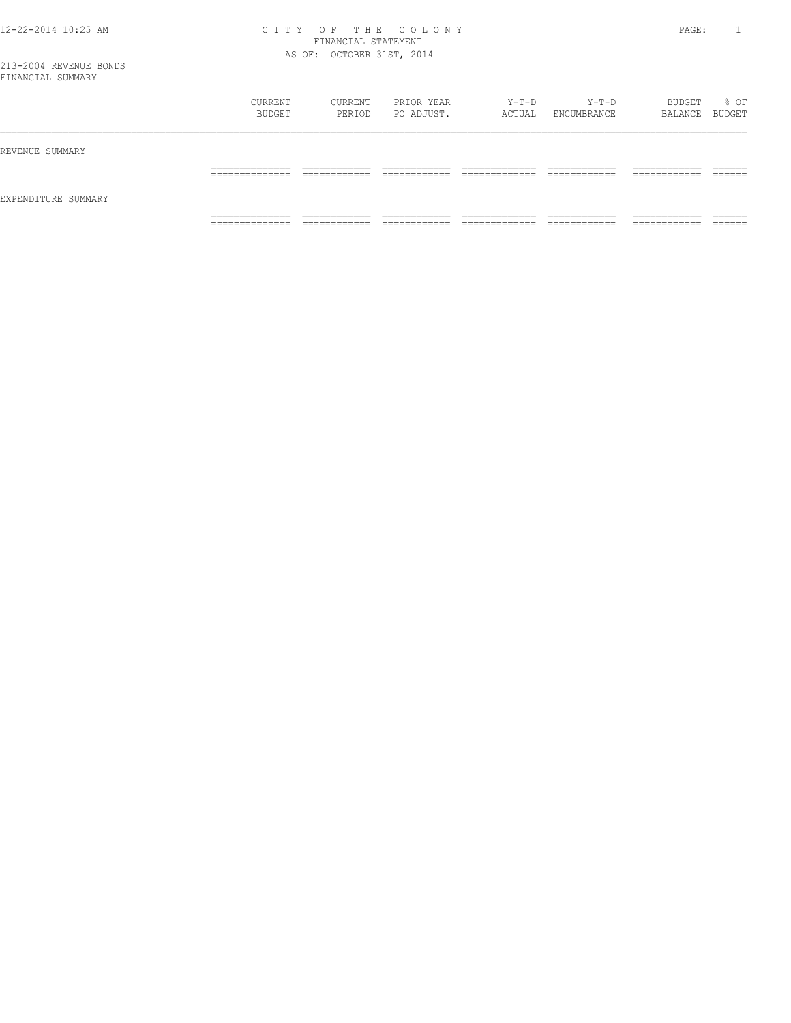## 12-22-2014 10:25 AM C I T Y O F T H E C O L O N Y PAGE: 1 FINANCIAL STATEMENT AS OF: OCTOBER 31ST, 2014

|                     | CURRENT<br>BUDGET | CURRENT<br>PERIOD | PRIOR YEAR<br>PO ADJUST. | Y-T-D<br>ACTUAL | Y-T-D<br>ENCUMBRANCE | BUDGET<br>BALANCE BUDGET | % OF |
|---------------------|-------------------|-------------------|--------------------------|-----------------|----------------------|--------------------------|------|
| REVENUE SUMMARY     |                   |                   |                          |                 |                      |                          |      |
| EXPENDITURE SUMMARY |                   |                   |                          |                 |                      |                          |      |
|                     | _______________   | ____________      |                          | _____________   | ____________         | -------------            |      |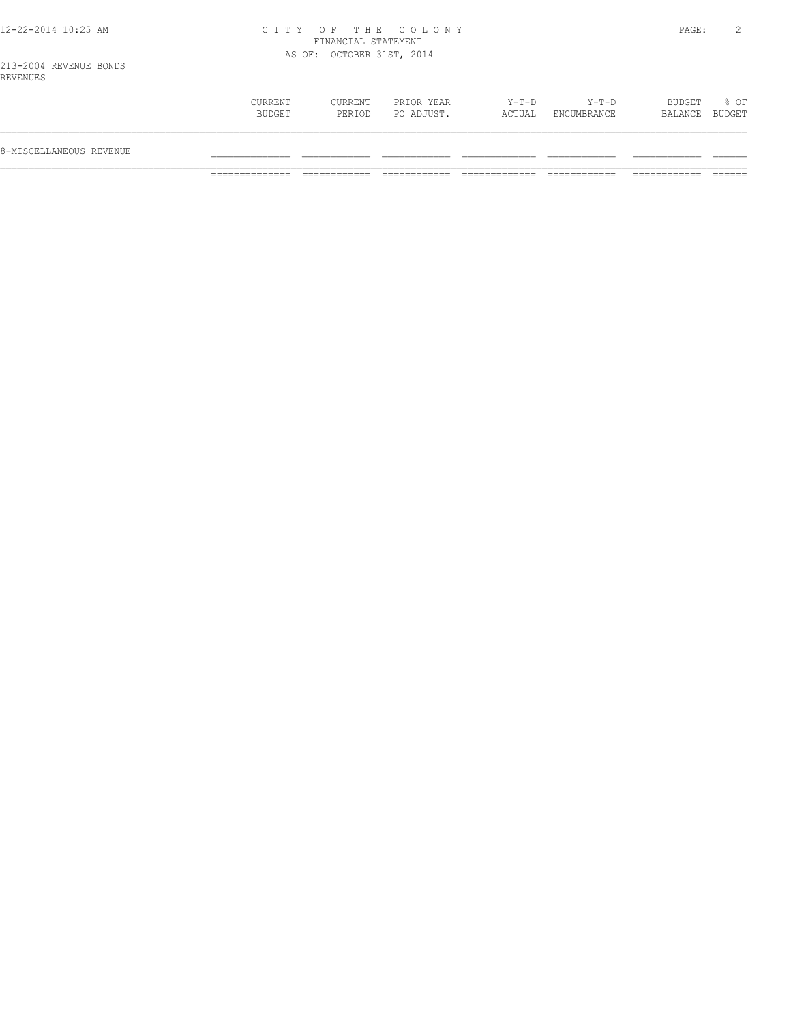## 12-22-2014 10:25 AM C I T Y O F T H E C O L O N Y PAGE: 2 FINANCIAL STATEMENT AS OF: OCTOBER 31ST, 2014

| $Y-T-D$<br>PRIOR YEAR<br>Y-T-D<br>BUDGET<br>% OF<br>CURRENT<br>CURRENT<br>PO ADJUST.<br>BALANCE BUDGET<br>BUDGET<br>ACTUAL<br>ENCUMBRANCE<br>PERIOD<br>8-MISCELLANEOUS REVENUE |  |  |  |  |
|--------------------------------------------------------------------------------------------------------------------------------------------------------------------------------|--|--|--|--|
|                                                                                                                                                                                |  |  |  |  |
|                                                                                                                                                                                |  |  |  |  |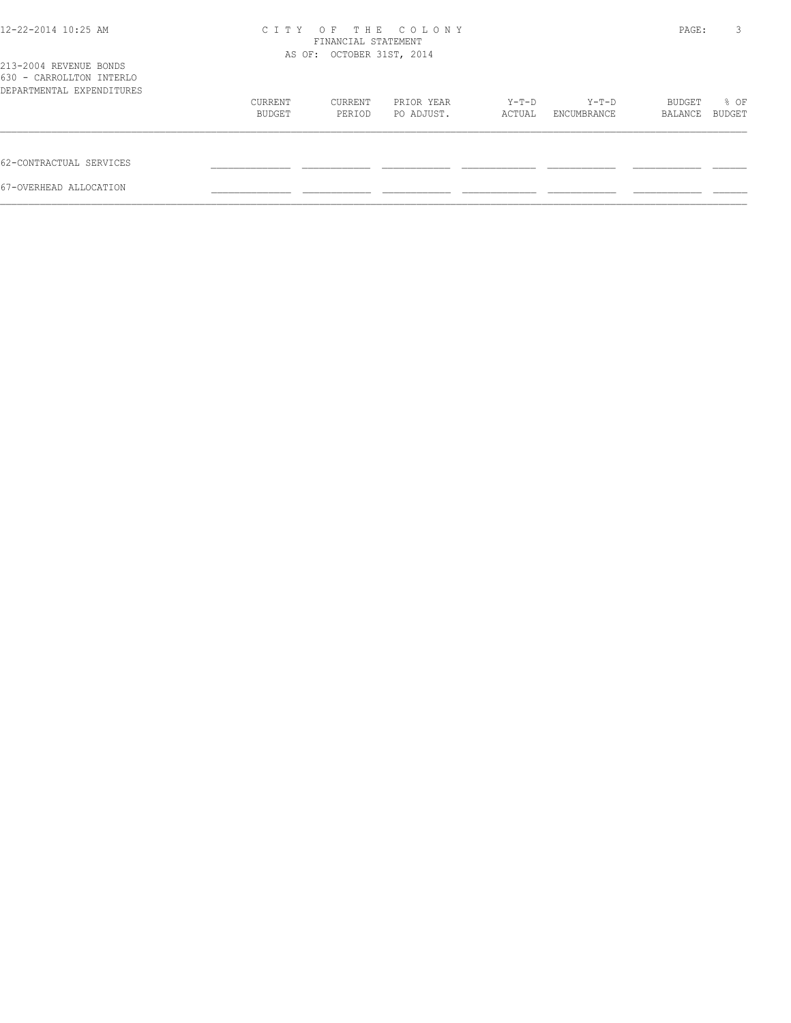| 12-22-2014 10:25 AM                                                             | C T T Y                                                                                                       | THE COLONY<br>$O$ F<br>FINANCIAL STATEMENT<br>AS OF: OCTOBER 31ST, 2014 |  |  |  |               |        |
|---------------------------------------------------------------------------------|---------------------------------------------------------------------------------------------------------------|-------------------------------------------------------------------------|--|--|--|---------------|--------|
| 213-2004 REVENUE BONDS<br>630 - CARROLLTON INTERLO<br>DEPARTMENTAL EXPENDITURES | PRIOR YEAR<br>Y-T-D<br>CURRENT<br>CURRENT<br>Y-T-D<br>BUDGET<br>PO ADJUST.<br>PERIOD<br>ENCUMBRANCE<br>ACTUAL |                                                                         |  |  |  |               |        |
|                                                                                 |                                                                                                               |                                                                         |  |  |  | <b>BUDGET</b> | % OF   |
|                                                                                 |                                                                                                               |                                                                         |  |  |  | BALANCE       | BUDGET |
| 62-CONTRACTUAL SERVICES                                                         |                                                                                                               |                                                                         |  |  |  |               |        |
| 67-OVERHEAD ALLOCATION                                                          |                                                                                                               |                                                                         |  |  |  |               |        |
|                                                                                 |                                                                                                               |                                                                         |  |  |  |               |        |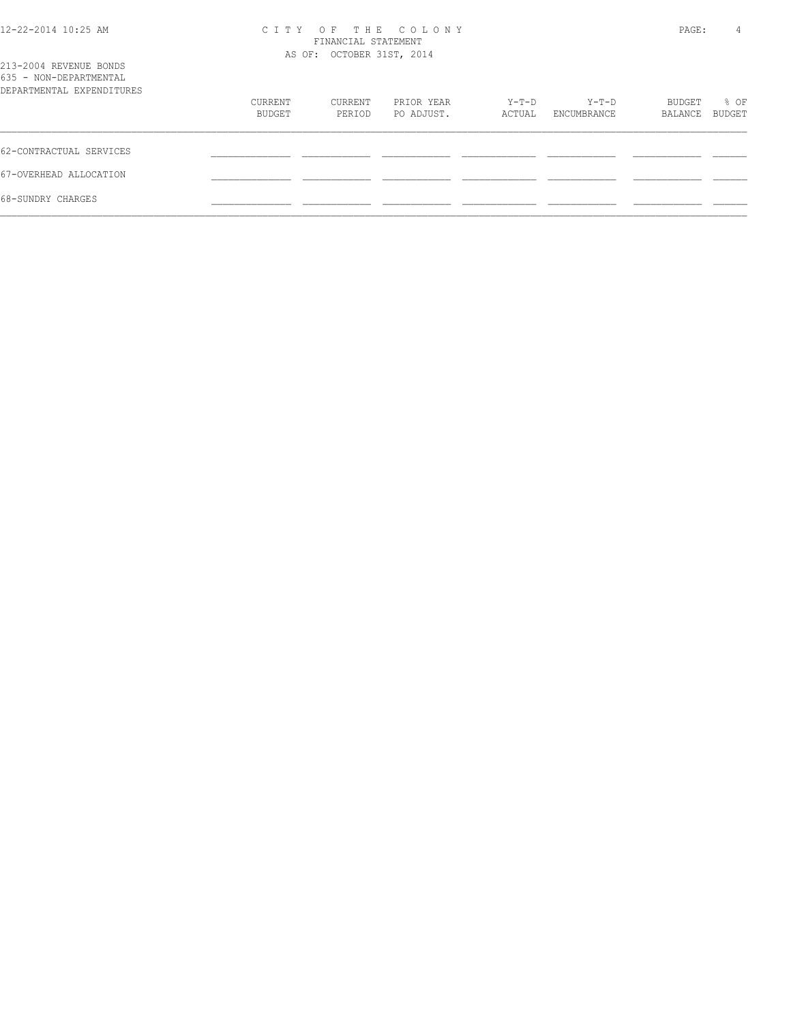| 12-22-2014 10:25 AM |  |  |
|---------------------|--|--|
|---------------------|--|--|

## 12-22-2014 10:25 AM C I T Y O F T H E C O L O N Y PAGE: 4 FINANCIAL STATEMENT

| 213-2004 REVENUE BONDS<br>635 - NON-DEPARTMENTAL |                   | AS OF: OCTOBER 31ST, 2014 |                          |                 |                        |                   |                |
|--------------------------------------------------|-------------------|---------------------------|--------------------------|-----------------|------------------------|-------------------|----------------|
| DEPARTMENTAL EXPENDITURES                        |                   |                           |                          |                 |                        |                   |                |
|                                                  | CURRENT<br>BUDGET | CURRENT<br>PERIOD         | PRIOR YEAR<br>PO ADJUST. | Y-T-D<br>ACTUAL | $Y-T-D$<br>ENCUMBRANCE | BUDGET<br>BALANCE | % OF<br>BUDGET |
| 62-CONTRACTUAL SERVICES                          |                   |                           |                          |                 |                        |                   |                |
| 67-OVERHEAD ALLOCATION                           |                   |                           |                          |                 |                        |                   |                |
| 68-SUNDRY CHARGES                                |                   |                           |                          |                 |                        |                   |                |
|                                                  |                   |                           |                          |                 |                        |                   |                |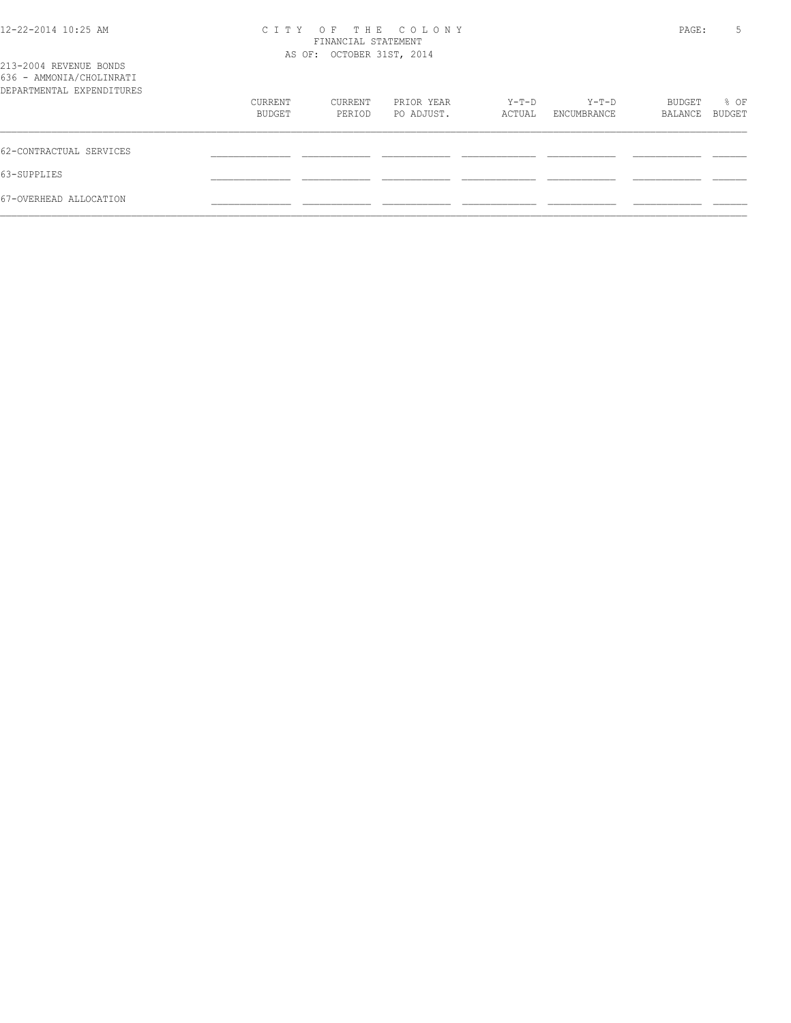| 12-22-2014 10:25 AM                                                             | OF THE COLONY<br>C T T Y<br>FINANCIAL STATEMENT<br>AS OF: OCTOBER 31ST, 2014 |         |            |        |                      |         | 5<br>PAGE: |
|---------------------------------------------------------------------------------|------------------------------------------------------------------------------|---------|------------|--------|----------------------|---------|------------|
| 213-2004 REVENUE BONDS<br>636 - AMMONIA/CHOLINRATI<br>DEPARTMENTAL EXPENDITURES |                                                                              |         |            |        | Y-T-D<br>ENCUMBRANCE |         |            |
|                                                                                 | CURRENT                                                                      | CURRENT | PRIOR YEAR | Y-T-D  |                      | BUDGET  | % OF       |
|                                                                                 | BUDGET                                                                       | PERIOD  | PO ADJUST. | ACTUAL |                      | BALANCE | BUDGET     |
| 62-CONTRACTUAL SERVICES                                                         |                                                                              |         |            |        |                      |         |            |
| 63-SUPPLIES                                                                     |                                                                              |         |            |        |                      |         |            |
| 67-OVERHEAD ALLOCATION                                                          |                                                                              |         |            |        |                      |         |            |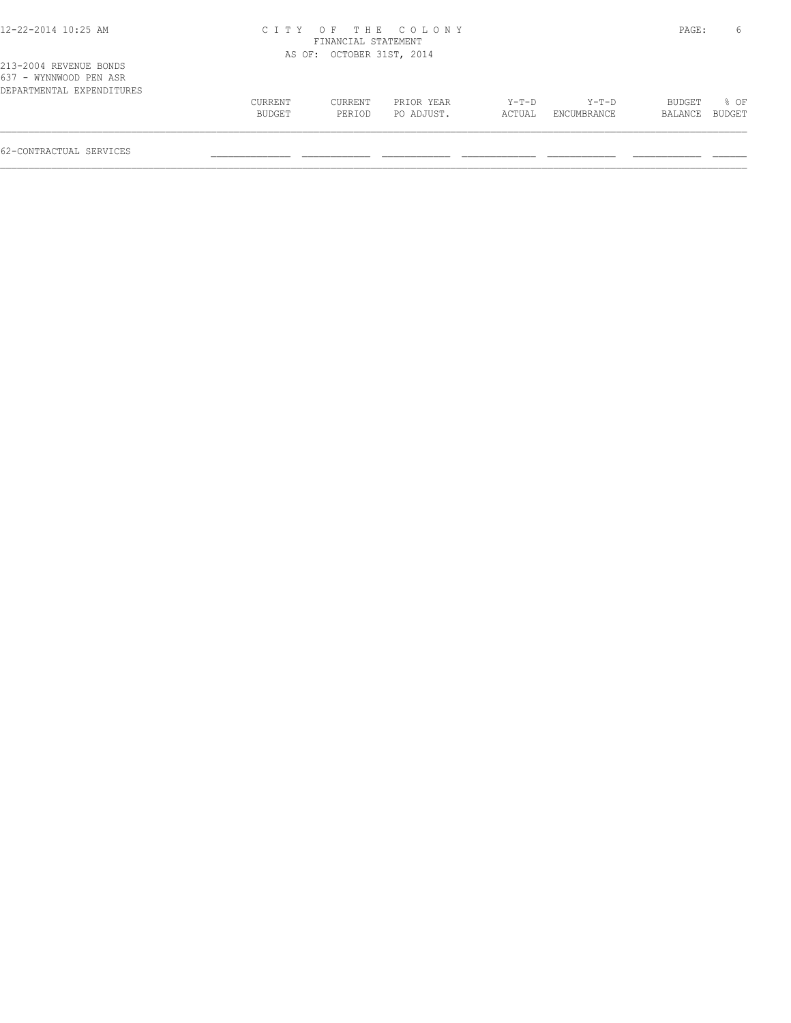## 12-22-2014 10:25 AM C I T Y O F T H E C O L O N Y PAGE: 6 FINANCIAL STATEMENT

|                                                                               |         | AS OF: OCTOBER 31ST, 2014 |            |        |             |                |      |
|-------------------------------------------------------------------------------|---------|---------------------------|------------|--------|-------------|----------------|------|
| 213-2004 REVENUE BONDS<br>637 - WYNNWOOD PEN ASR<br>DEPARTMENTAL EXPENDITURES |         |                           |            |        |             |                |      |
|                                                                               | CURRENT | CURRENT                   | PRIOR YEAR | Y-T-D  | Y-T-D       | BUDGET         | * 0⊧ |
|                                                                               | BUDGET  | PERIOD                    | PO ADJUST. | ACTUAL | ENCUMBRANCE | BALANCE BUDGET |      |
|                                                                               |         |                           |            |        |             |                |      |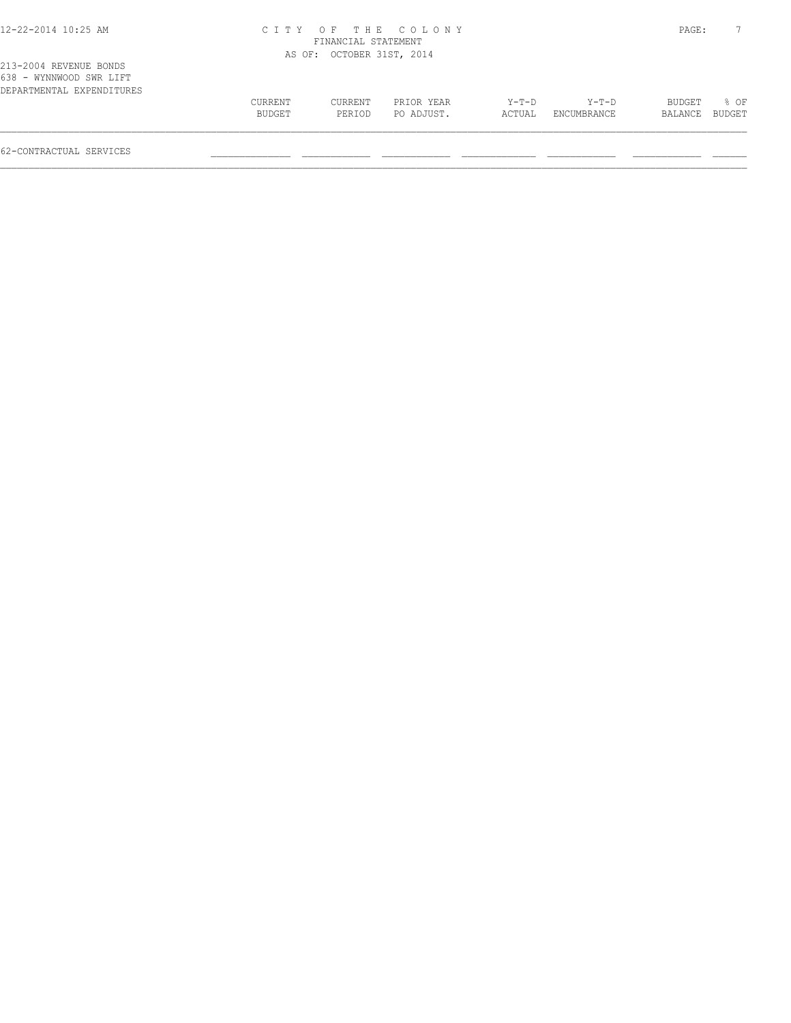## 12-22-2014 10:25 AM C I T Y O F T H E C O L O N Y PAGE: 7 FINANCIAL STATEMENT

 $\mathcal{L} = \{ \mathcal{L} = \{ \mathcal{L} = \{ \mathcal{L} = \{ \mathcal{L} = \{ \mathcal{L} = \{ \mathcal{L} = \{ \mathcal{L} = \{ \mathcal{L} = \{ \mathcal{L} = \{ \mathcal{L} = \{ \mathcal{L} = \{ \mathcal{L} = \{ \mathcal{L} = \{ \mathcal{L} = \{ \mathcal{L} = \{ \mathcal{L} = \{ \mathcal{L} = \{ \mathcal{L} = \{ \mathcal{L} = \{ \mathcal{L} = \{ \mathcal{L} = \{ \mathcal{L} = \{ \mathcal{L} = \{ \mathcal{$ 

|                                                                                |                   | AS OF: OCTOBER 31ST, 2014 |                          |                   |                        |                   |                  |
|--------------------------------------------------------------------------------|-------------------|---------------------------|--------------------------|-------------------|------------------------|-------------------|------------------|
| 213-2004 REVENUE BONDS<br>638 - WYNNWOOD SWR LIFT<br>DEPARTMENTAL EXPENDITURES |                   |                           |                          |                   |                        |                   |                  |
|                                                                                | CURRENT<br>BUDGET | CURRENT<br>PERIOD         | PRIOR YEAR<br>PO ADJUST. | $Y-T-D$<br>ACTUAL | $Y-T-D$<br>ENCUMBRANCE | BUDGET<br>BALANCE | $8$ OF<br>BUDGET |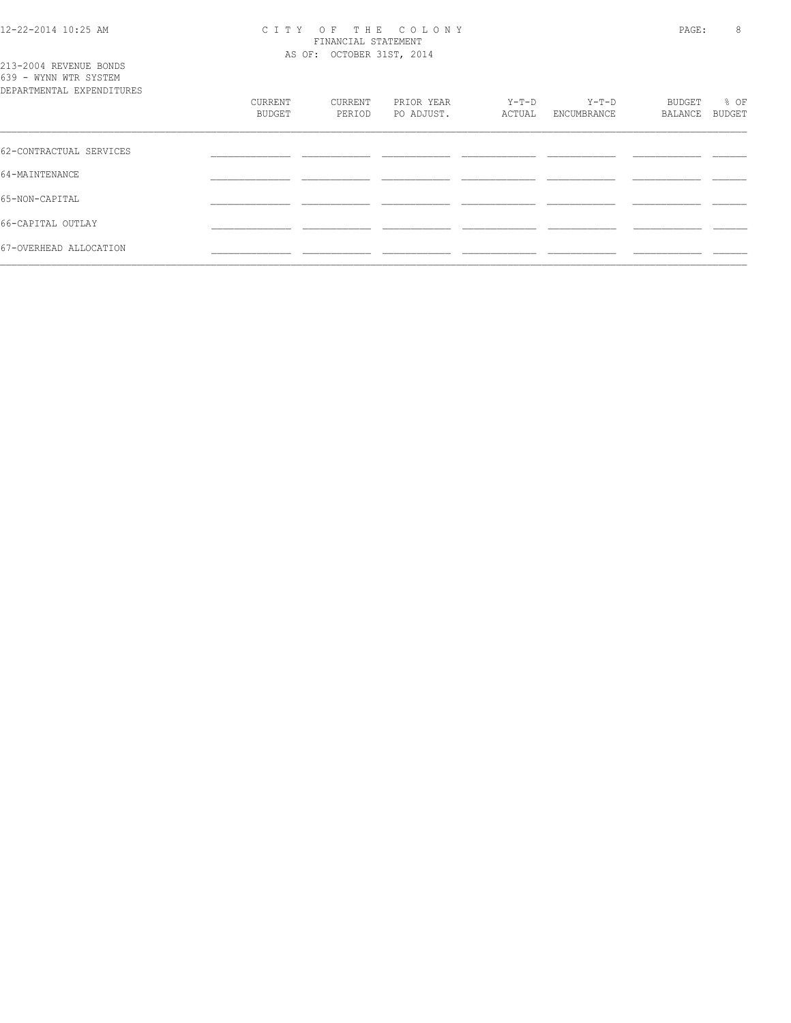#### 12-22-2014 10:25 AM C I T Y O F T H E C O L O N Y PAGE: 8 FINANCIAL STATEMENT AS OF: OCTOBER 31ST, 2014

| 213-2004 REVENUE BONDS<br>639 - WYNN WTR SYSTEM<br>DEPARTMENTAL EXPENDITURES | CURRENT | CURRENT | PRIOR YEAR | Y-T-D  | $Y-T-D$     | BUDGET         | % OF   |
|------------------------------------------------------------------------------|---------|---------|------------|--------|-------------|----------------|--------|
|                                                                              | BUDGET  | PERIOD  | PO ADJUST. | ACTUAL | ENCUMBRANCE | <b>BALANCE</b> | BUDGET |
| 62-CONTRACTUAL SERVICES                                                      |         |         |            |        |             |                |        |
| 64-MAINTENANCE                                                               |         |         |            |        |             |                |        |
| 65-NON-CAPITAL                                                               |         |         |            |        |             |                |        |
| 66-CAPITAL OUTLAY                                                            |         |         |            |        |             |                |        |
| 67-OVERHEAD ALLOCATION                                                       |         |         |            |        |             |                |        |
|                                                                              |         |         |            |        |             |                |        |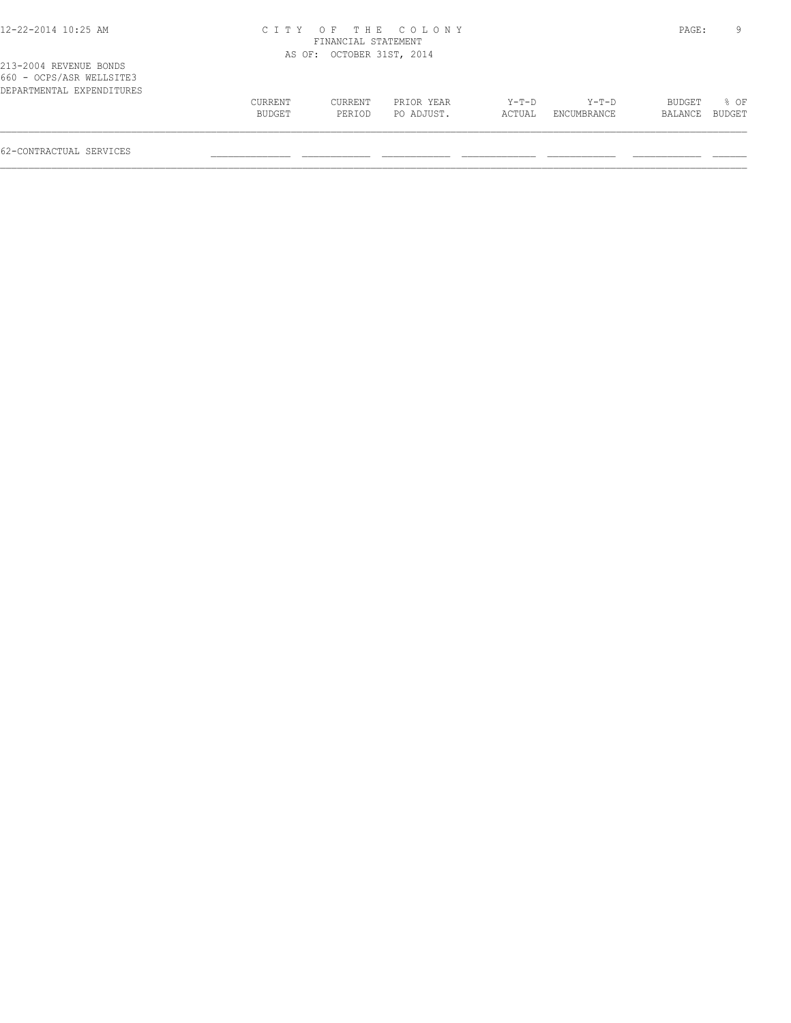## 12-22-2014 10:25 AM C I T Y O F T H E C O L O N Y PAGE: 9 FINANCIAL STATEMENT AS OF: OCTOBER 31ST, 2014

| DEPARTMENTAL EXPENDITURES |         |         |            |         | $Y-T-D$     |                |      |
|---------------------------|---------|---------|------------|---------|-------------|----------------|------|
|                           | CURRENT | CURRENT | PRIOR YEAR | $Y-T-D$ |             | BUDGET         | 8 OF |
|                           | BUDGET  | PERTOD  | PO ADJUST. | ACTUAL  | ENCUMBRANCE | BALANCE BUDGET |      |
|                           |         |         |            |         |             |                |      |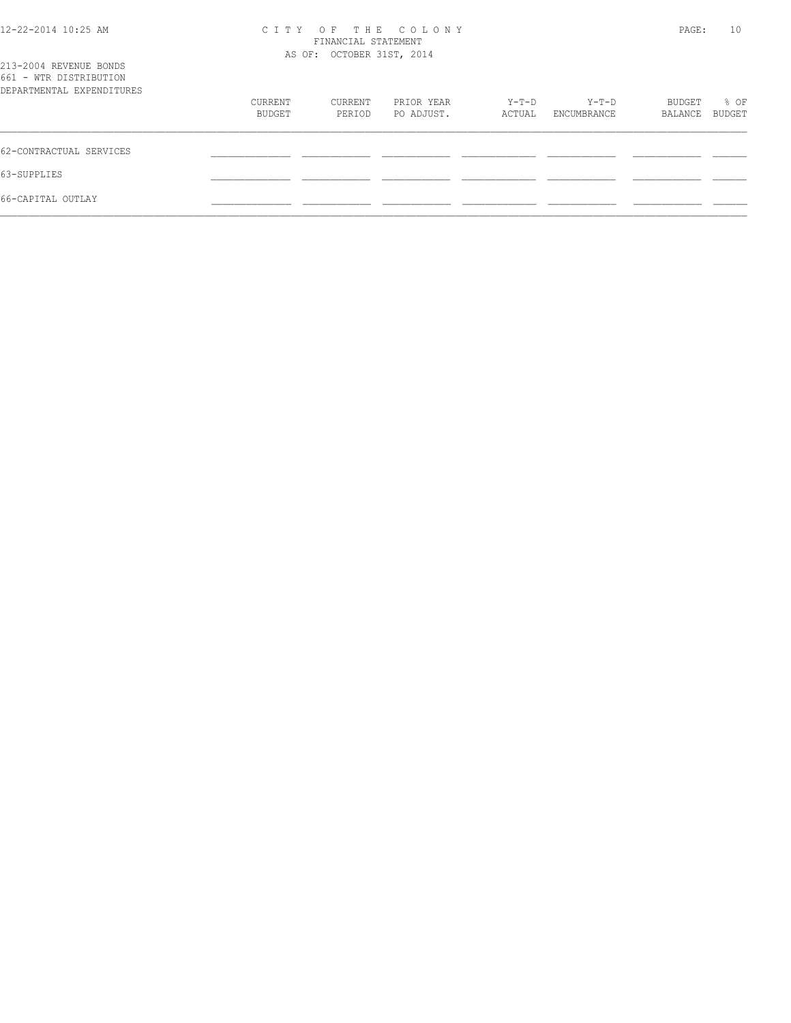# 12-22-2014 10:25 AM C I T Y O F T H E C O L O N Y PAGE: 10 FINANCIAL STATEMENT

| 213-2004 REVENUE BONDS<br>661 - WTR DISTRIBUTION |                   | AS OF: OCTOBER 31ST, 2014 |                          |                 |                      |                   |                       |
|--------------------------------------------------|-------------------|---------------------------|--------------------------|-----------------|----------------------|-------------------|-----------------------|
| DEPARTMENTAL EXPENDITURES                        |                   |                           |                          |                 |                      |                   |                       |
|                                                  | CURRENT<br>BUDGET | CURRENT<br>PERIOD         | PRIOR YEAR<br>PO ADJUST. | Y-T-D<br>ACTUAL | Y-T-D<br>ENCUMBRANCE | BUDGET<br>BALANCE | % OF<br><b>BUDGET</b> |
| 62-CONTRACTUAL SERVICES                          |                   |                           |                          |                 |                      |                   |                       |
| 63-SUPPLIES                                      |                   |                           |                          |                 |                      |                   |                       |
| 66-CAPITAL OUTLAY                                |                   |                           |                          |                 |                      |                   |                       |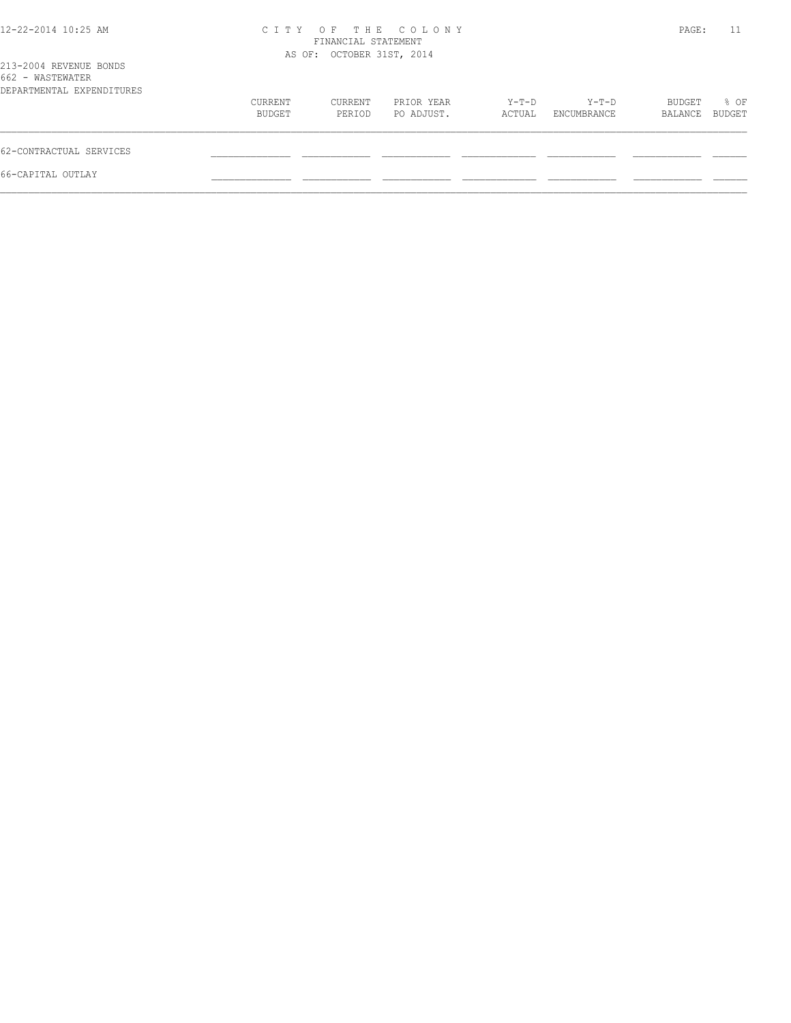| 12-22-2014 10:25 AM                                                     |                   | FINANCIAL STATEMENT       | CITY OF THE COLONY       |                 |                      | PAGE:             | 11             |
|-------------------------------------------------------------------------|-------------------|---------------------------|--------------------------|-----------------|----------------------|-------------------|----------------|
| 213-2004 REVENUE BONDS<br>662 - WASTEWATER<br>DEPARTMENTAL EXPENDITURES |                   | AS OF: OCTOBER 31ST, 2014 |                          |                 |                      |                   |                |
|                                                                         | CURRENT<br>BUDGET | CURRENT<br>PERIOD         | PRIOR YEAR<br>PO ADJUST. | Y-T-D<br>ACTUAL | Y-T-D<br>ENCUMBRANCE | BUDGET<br>BALANCE | % OF<br>BUDGET |
| 62-CONTRACTUAL SERVICES                                                 |                   |                           |                          |                 |                      |                   |                |
| 66-CAPITAL OUTLAY                                                       |                   |                           |                          |                 |                      |                   |                |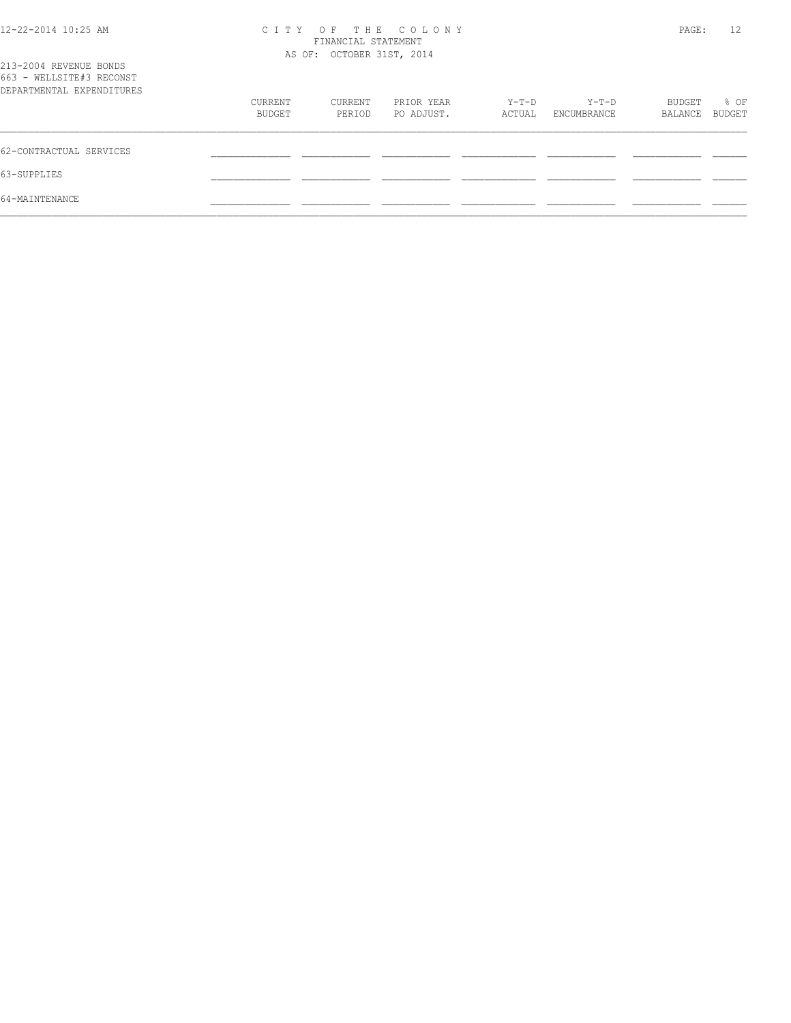| 12-22-2014 10:25 AM                                                             | C I T Y           | FINANCIAL STATEMENT<br>AS OF: OCTOBER 31ST, 2014 | OF THE COLONY            |                 |                      | PAGE:                    | 12                    |
|---------------------------------------------------------------------------------|-------------------|--------------------------------------------------|--------------------------|-----------------|----------------------|--------------------------|-----------------------|
| 213-2004 REVENUE BONDS<br>663 - WELLSITE#3 RECONST<br>DEPARTMENTAL EXPENDITURES |                   |                                                  |                          |                 |                      |                          |                       |
|                                                                                 | CURRENT<br>BUDGET | CURRENT<br>PERIOD                                | PRIOR YEAR<br>PO ADJUST. | Y-T-D<br>ACTUAL | Y-T-D<br>ENCUMBRANCE | <b>BUDGET</b><br>BALANCE | % OF<br><b>BUDGET</b> |
| 62-CONTRACTUAL SERVICES                                                         |                   |                                                  |                          |                 |                      |                          |                       |
| 63-SUPPLIES                                                                     |                   |                                                  |                          |                 |                      |                          |                       |
| 64-MAINTENANCE                                                                  |                   |                                                  |                          |                 |                      |                          |                       |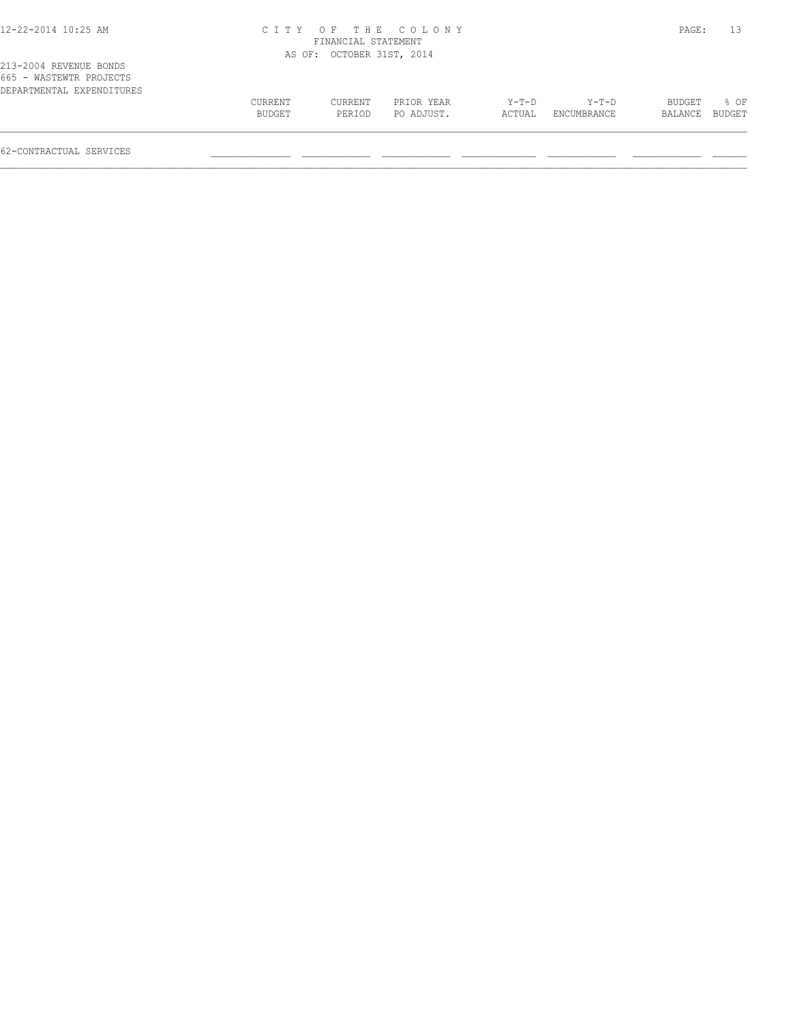## 12-22-2014 10:25 AM C I T Y O F T H E C O L O N Y PAGE: 13 FINANCIAL STATEMENT

 $\mathcal{L} = \{ \mathcal{L} = \{ \mathcal{L} = \{ \mathcal{L} = \{ \mathcal{L} = \{ \mathcal{L} = \{ \mathcal{L} = \{ \mathcal{L} = \{ \mathcal{L} = \{ \mathcal{L} = \{ \mathcal{L} = \{ \mathcal{L} = \{ \mathcal{L} = \{ \mathcal{L} = \{ \mathcal{L} = \{ \mathcal{L} = \{ \mathcal{L} = \{ \mathcal{L} = \{ \mathcal{L} = \{ \mathcal{L} = \{ \mathcal{L} = \{ \mathcal{L} = \{ \mathcal{L} = \{ \mathcal{L} = \{ \mathcal{$ 

|                           |         | AS OF: OCTOBER 31ST, 2014 |            |         |             |         |        |
|---------------------------|---------|---------------------------|------------|---------|-------------|---------|--------|
| 213-2004 REVENUE BONDS    |         |                           |            |         |             |         |        |
| 665 - WASTEWTR PROJECTS   |         |                           |            |         |             |         |        |
| DEPARTMENTAL EXPENDITURES |         |                           |            |         |             |         |        |
|                           | CURRENT | CURRENT                   | PRIOR YEAR | $Y-T-D$ | $Y-T-D$     | BUDGET  | % OF   |
|                           | BUDGET  | PERIOD                    | PO ADJUST. | ACTUAL  | ENCUMBRANCE | BALANCE | BUDGET |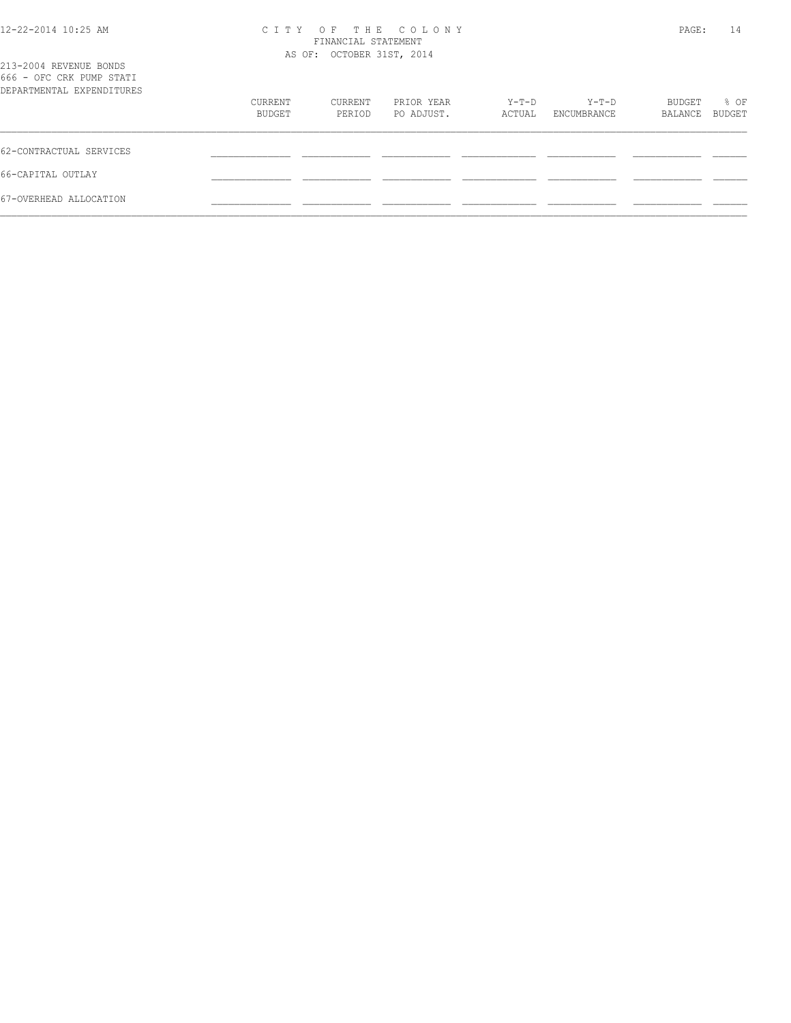| 12-22-2014 10:25 AM |  |
|---------------------|--|
|---------------------|--|

## 12-22-2014 10:25 AM C I T Y O F T H E C O L O N Y PAGE: 14 FINANCIAL STATEMENT

| 213-2004 REVENUE BONDS<br>666 - OFC CRK PUMP STATI<br>DEPARTMENTAL EXPENDITURES |                   | AS OF: OCTOBER 31ST, 2014 |                          |                 |                      |                   |                |
|---------------------------------------------------------------------------------|-------------------|---------------------------|--------------------------|-----------------|----------------------|-------------------|----------------|
|                                                                                 | CURRENT<br>BUDGET | CURRENT<br>PERIOD         | PRIOR YEAR<br>PO ADJUST. | Y-T-D<br>ACTUAL | Y-T-D<br>ENCUMBRANCE | BUDGET<br>BALANCE | % OF<br>BUDGET |
| 62-CONTRACTUAL SERVICES                                                         |                   |                           |                          |                 |                      |                   |                |
| 66-CAPITAL OUTLAY                                                               |                   |                           |                          |                 |                      |                   |                |
| 67-OVERHEAD ALLOCATION                                                          |                   |                           |                          |                 |                      |                   |                |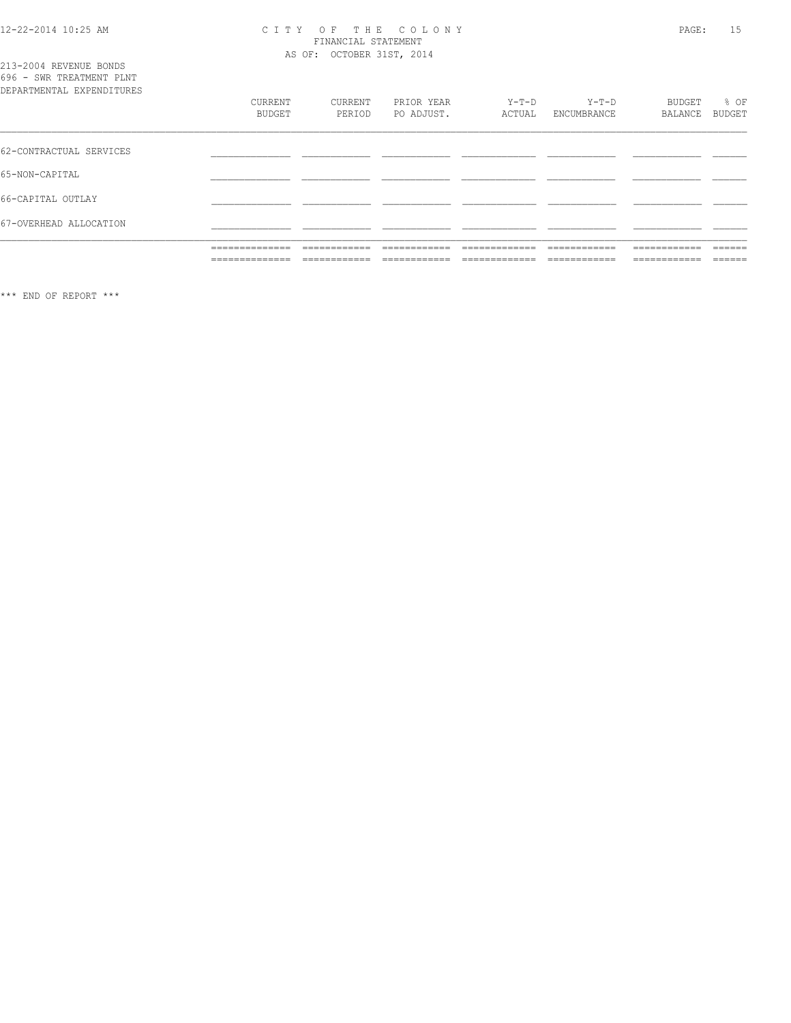# CITY OF THE COLONY<br>
CITY OF THE COLONY<br>
FINANCIAL STATEMENT<br>
AS OF: OCTOBER 31ST, 2014

|  | 213-2004 REVENUE BONDS    |  |
|--|---------------------------|--|
|  | 696 - SWR TREATMENT PLNT  |  |
|  | DEPARTMENTAL EXPENDITURES |  |

| DEPARTMENTAL EXPENDITURES |                                                                |                              |                               |                                  |                                 |                                |                  |
|---------------------------|----------------------------------------------------------------|------------------------------|-------------------------------|----------------------------------|---------------------------------|--------------------------------|------------------|
|                           | CURRENT                                                        | CURRENT                      | PRIOR YEAR                    | $Y-T-D$                          | $Y-T-D$                         | BUDGET                         | % OF             |
|                           | BUDGET                                                         | PERIOD                       | PO ADJUST.                    | ACTUAL                           | ENCUMBRANCE                     | BALANCE                        | BUDGET           |
|                           |                                                                |                              |                               |                                  |                                 |                                |                  |
| 62-CONTRACTUAL SERVICES   |                                                                |                              |                               |                                  |                                 |                                |                  |
| 65-NON-CAPITAL            |                                                                |                              |                               |                                  |                                 |                                |                  |
| 66-CAPITAL OUTLAY         |                                                                |                              |                               |                                  |                                 |                                |                  |
| 67-OVERHEAD ALLOCATION    |                                                                |                              |                               |                                  |                                 |                                |                  |
|                           | ______________<br>مساميات المناسبات المسامين المسامين المسامين | _____________<br>___________ | -------------<br>-----------  | _____________<br>--------------- | -------------<br>-------------- | -------------<br>------------- | -------<br>----- |
|                           | ______________<br>-------------                                | ____________<br>___________  | --------------<br>----------- | _____________<br>.               | _____________<br>-----------    | -------------<br>----------    | -------<br>_____ |

\*\*\* END OF REPORT \*\*\*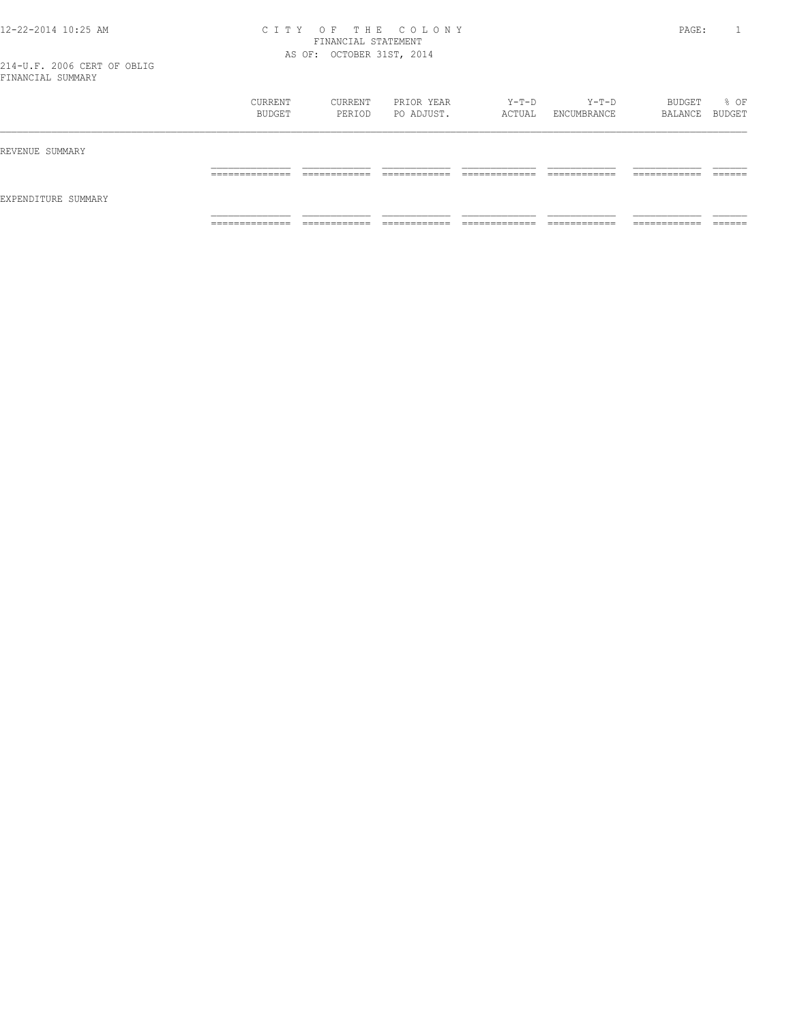### 12-22-2014 10:25 AM C I T Y O F T H E C O L O N Y PAGE: 1 FINANCIAL STATEMENT AS OF: OCTOBER 31ST, 2014

|                     | CURRENT<br>BUDGET                 | CURRENT<br>PERIOD            | PRIOR YEAR<br>PO ADJUST.   | Y-T-D<br>ACTUAL                | Y-T-D<br>ENCUMBRANCE          | BUDGET<br>BALANCE BUDGET      | % OF               |
|---------------------|-----------------------------------|------------------------------|----------------------------|--------------------------------|-------------------------------|-------------------------------|--------------------|
| REVENUE SUMMARY     |                                   |                              |                            |                                |                               |                               |                    |
|                     | ______________<br>_______________ | ____________<br>____________ | -------------<br>_________ | _____________<br>_____________ | _____________<br>____________ | -------------<br>____________ | -------<br>_______ |
| EXPENDITURE SUMMARY |                                   |                              |                            |                                |                               |                               |                    |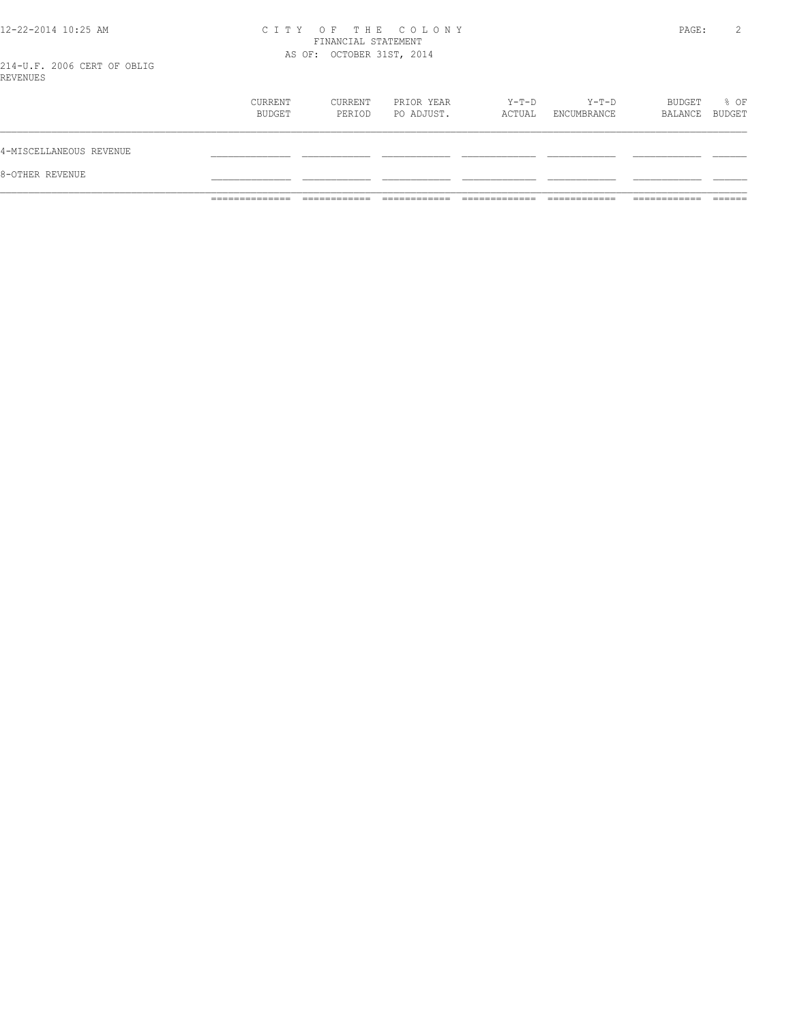# 12-22-2014 10:25 AM CITY OF THE COLONY<br>FINANCIAL STATEMENT<br>214 V.F. 2006 CERT OF ORLE

|                         | --------------    |                   |                          |                 |                      |                          |      |
|-------------------------|-------------------|-------------------|--------------------------|-----------------|----------------------|--------------------------|------|
| 8-OTHER REVENUE         |                   |                   |                          |                 |                      |                          |      |
| 4-MISCELLANEOUS REVENUE |                   |                   |                          |                 |                      |                          |      |
|                         | CURRENT<br>BUDGET | CURRENT<br>PERIOD | PRIOR YEAR<br>PO ADJUST. | Y-T-D<br>ACTUAL | Y-T-D<br>ENCUMBRANCE | BUDGET<br>BALANCE BUDGET | % OF |
|                         |                   |                   |                          |                 |                      |                          |      |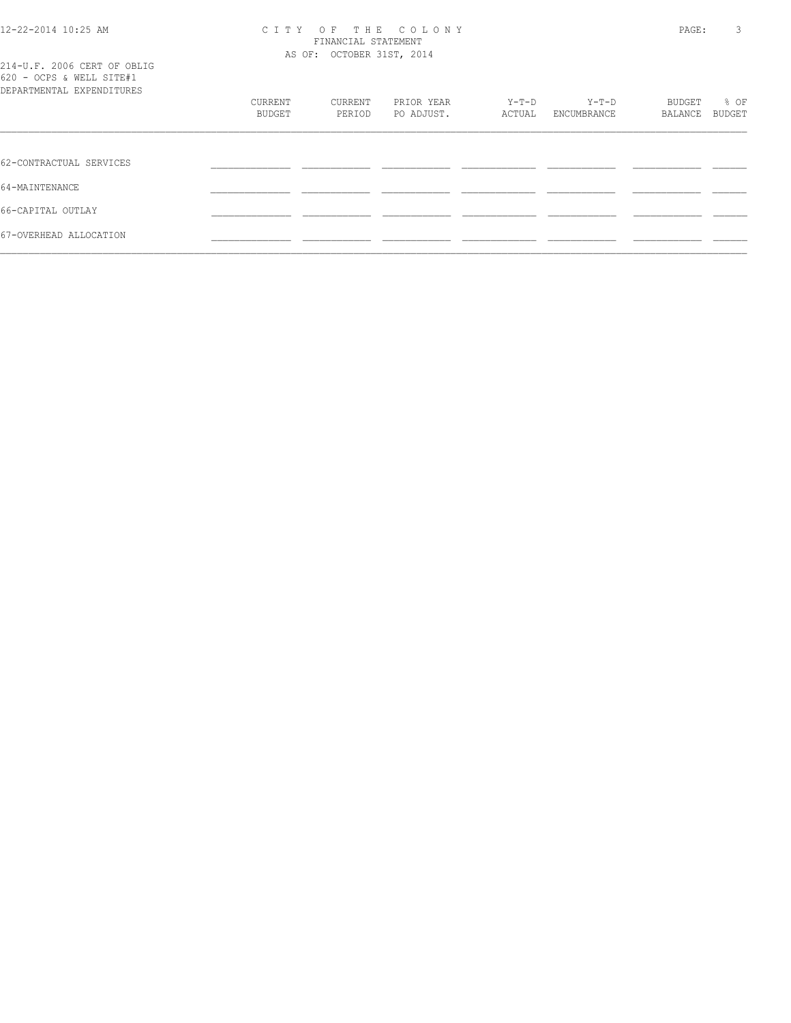## 12-22-2014 10:25 AM C I T Y O F T H E C O L O N Y PAGE: 3 FINANCIAL STATEMENT AS OF: OCTOBER 31ST, 2014

| 214-U.F. 2006 CERT OF OBLIG |  |  |
|-----------------------------|--|--|
| 620 - OCPS & WELL SITE#1    |  |  |
| DEPARTMENTAL EXPENDITURES   |  |  |

| DEPARTMENTAL EXPENDITURES |         |         |            |         |             |         |        |
|---------------------------|---------|---------|------------|---------|-------------|---------|--------|
|                           | CURRENT | CURRENT | PRIOR YEAR | $Y-T-D$ | Y-T-D       | BUDGET  | % OF   |
|                           | BUDGET  | PERIOD  | PO ADJUST. | ACTUAL  | ENCUMBRANCE | BALANCE | BUDGET |
|                           |         |         |            |         |             |         |        |
| 62-CONTRACTUAL SERVICES   |         |         |            |         |             |         |        |
| 64-MAINTENANCE            |         |         |            |         |             |         |        |
| 66-CAPITAL OUTLAY         |         |         |            |         |             |         |        |
| 67-OVERHEAD ALLOCATION    |         |         |            |         |             |         |        |
|                           |         |         |            |         |             |         |        |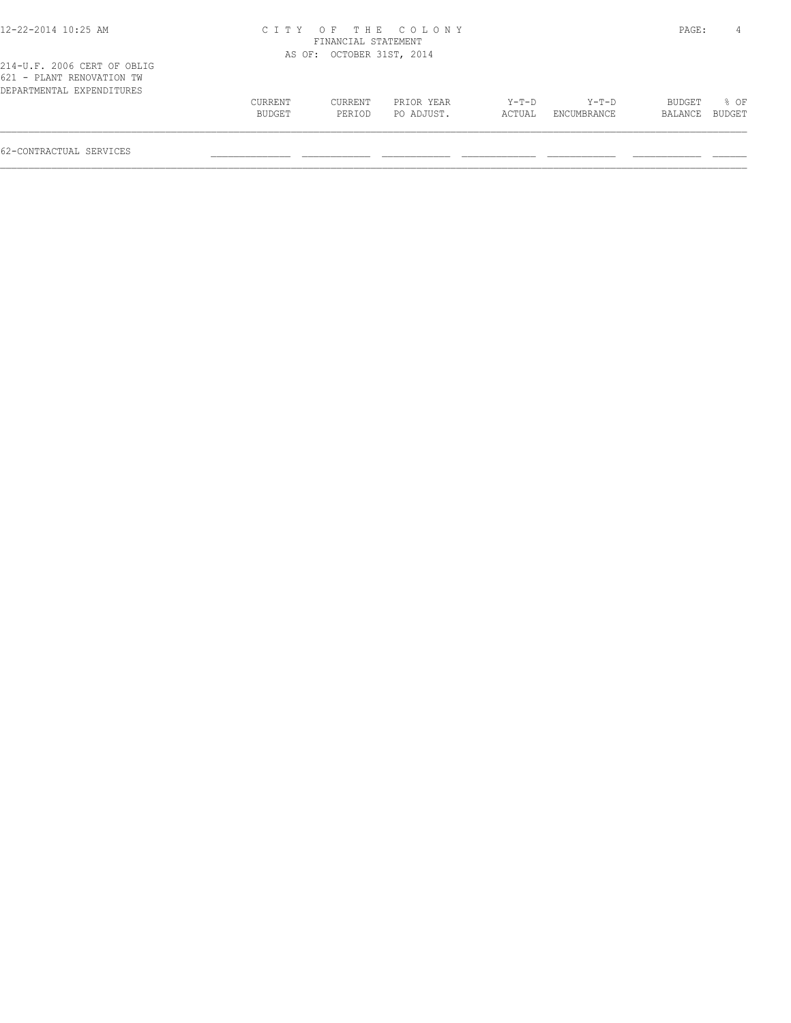| 12-22-2014 10:25 AM                                                                   | C T T Y |                           | OF THE COLONY |        |             | PAGE:   | 4      |
|---------------------------------------------------------------------------------------|---------|---------------------------|---------------|--------|-------------|---------|--------|
|                                                                                       |         | FINANCIAL STATEMENT       |               |        |             |         |        |
|                                                                                       |         | AS OF: OCTOBER 31ST, 2014 |               |        |             |         |        |
| 214-U.F. 2006 CERT OF OBLIG<br>621 - PLANT RENOVATION TW<br>DEPARTMENTAL EXPENDITURES |         |                           |               |        |             |         |        |
|                                                                                       | CURRENT | CURRENT                   | PRIOR YEAR    | Y-T-D  | Y-T-D       | BUDGET  | 8 OF   |
|                                                                                       | BUDGET  | PERIOD                    | PO ADJUST.    | ACTUAL | ENCUMBRANCE | BALANCE | BUDGET |
|                                                                                       |         |                           |               |        |             |         |        |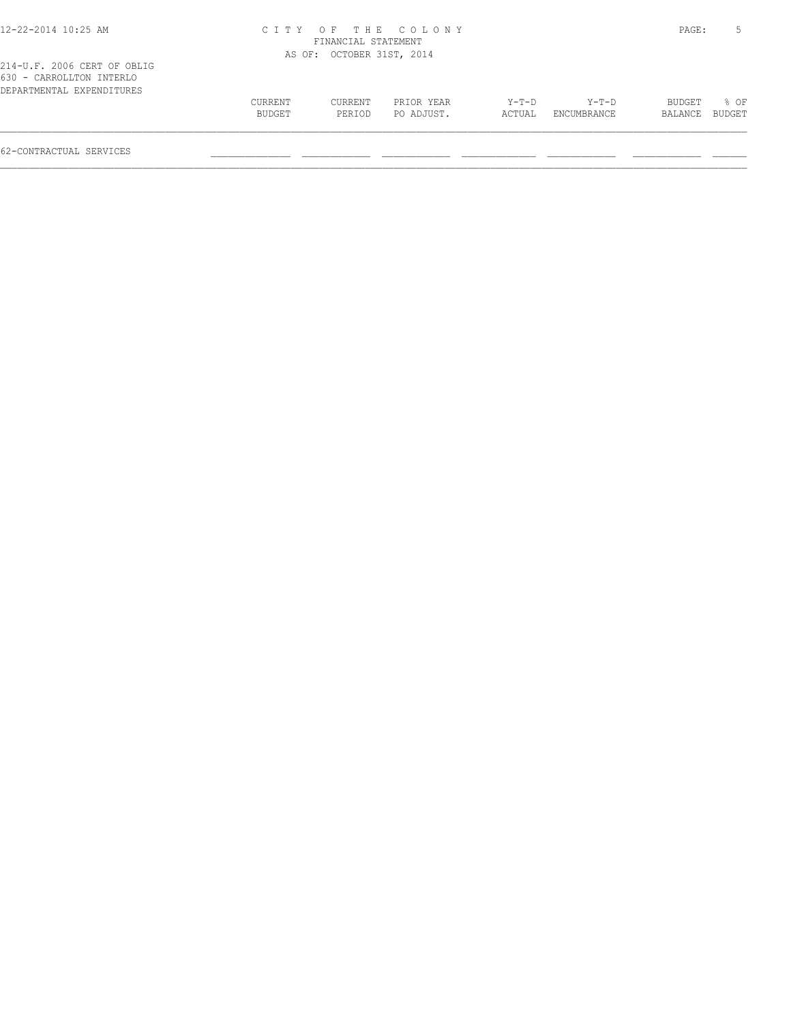| 12-22-2014 10:25 AM                                                                  |                   | FINANCIAL STATEMENT       | CITY OF THE COLONY       |                   |                        | PAGE:             |                |
|--------------------------------------------------------------------------------------|-------------------|---------------------------|--------------------------|-------------------|------------------------|-------------------|----------------|
|                                                                                      |                   | AS OF: OCTOBER 31ST, 2014 |                          |                   |                        |                   |                |
| 214-U.F. 2006 CERT OF OBLIG<br>630 - CARROLLTON INTERLO<br>DEPARTMENTAL EXPENDITURES |                   |                           |                          |                   |                        |                   |                |
|                                                                                      | CURRENT<br>BUDGET | CURRENT<br>PERIOD         | PRIOR YEAR<br>PO ADJUST. | $Y-T-D$<br>ACTUAL | $Y-T-D$<br>ENCUMBRANCE | BUDGET<br>BALANCE | % OF<br>BUDGET |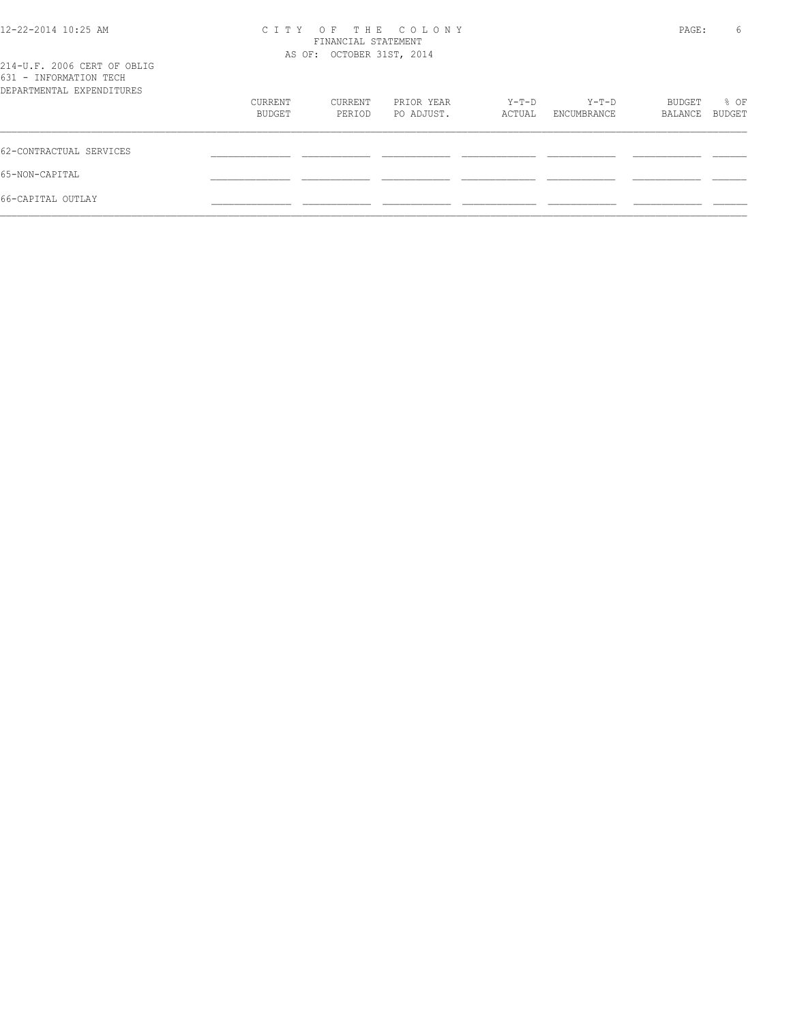| 12-22-2014 10:25 AM<br>214-U.F. 2006 CERT OF OBLIG<br>631 - INFORMATION TECH | C T T Y           | FINANCIAL STATEMENT<br>AS OF: OCTOBER 31ST, 2014 | OF THE COLONY            |                 |                      | PAGE:             | 6              |
|------------------------------------------------------------------------------|-------------------|--------------------------------------------------|--------------------------|-----------------|----------------------|-------------------|----------------|
| DEPARTMENTAL EXPENDITURES                                                    |                   |                                                  |                          |                 |                      |                   |                |
|                                                                              | CURRENT<br>BUDGET | CURRENT<br>PERIOD                                | PRIOR YEAR<br>PO ADJUST. | Y-T-D<br>ACTUAL | Y-T-D<br>ENCUMBRANCE | BUDGET<br>BALANCE | % OF<br>BUDGET |
| 62-CONTRACTUAL SERVICES                                                      |                   |                                                  |                          |                 |                      |                   |                |
| 65-NON-CAPITAL                                                               |                   |                                                  |                          |                 |                      |                   |                |
| 66-CAPITAL OUTLAY                                                            |                   |                                                  |                          |                 |                      |                   |                |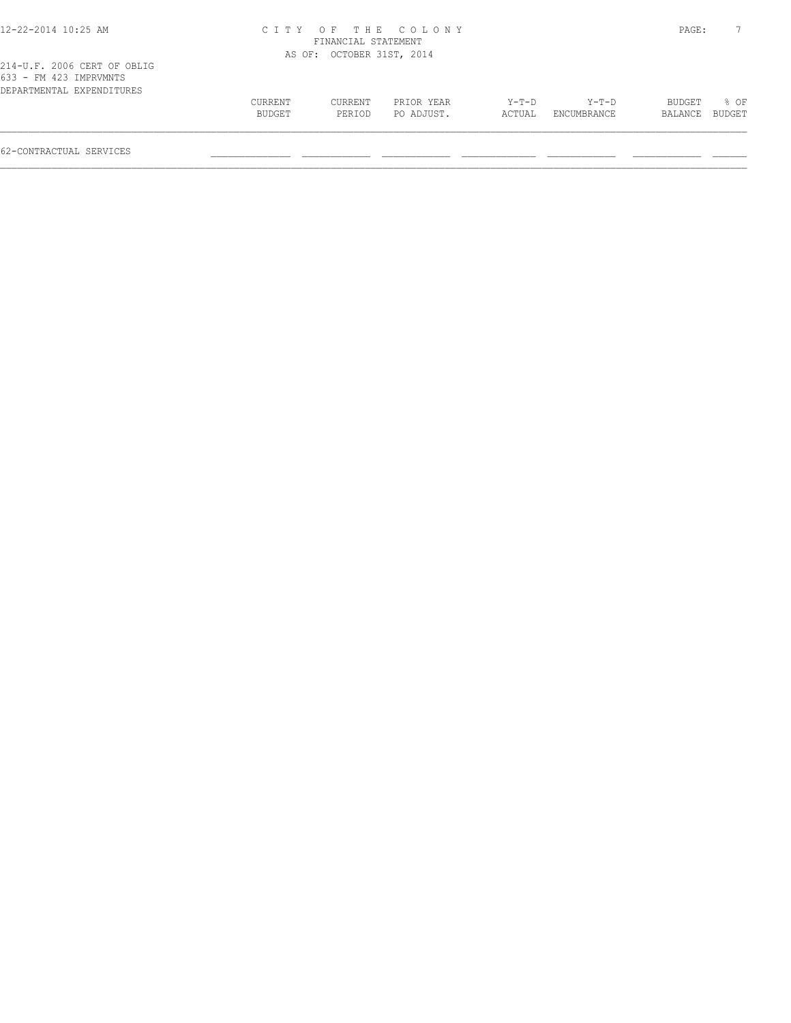|                              | PRIOR YEAR        | $Y-T-D$                                                           | Y-T-D       | BUDGET  | $8$ OF |
|------------------------------|-------------------|-------------------------------------------------------------------|-------------|---------|--------|
|                              | PO ADJUST.        | ACTUAL                                                            | ENCUMBRANCE | BALANCE | BUDGET |
| C T T Y<br>CURRENT<br>BUDGET | CURRENT<br>PERIOD | OF THE COLONY<br>FINANCIAL STATEMENT<br>AS OF: OCTOBER 31ST, 2014 |             |         | PAGE:  |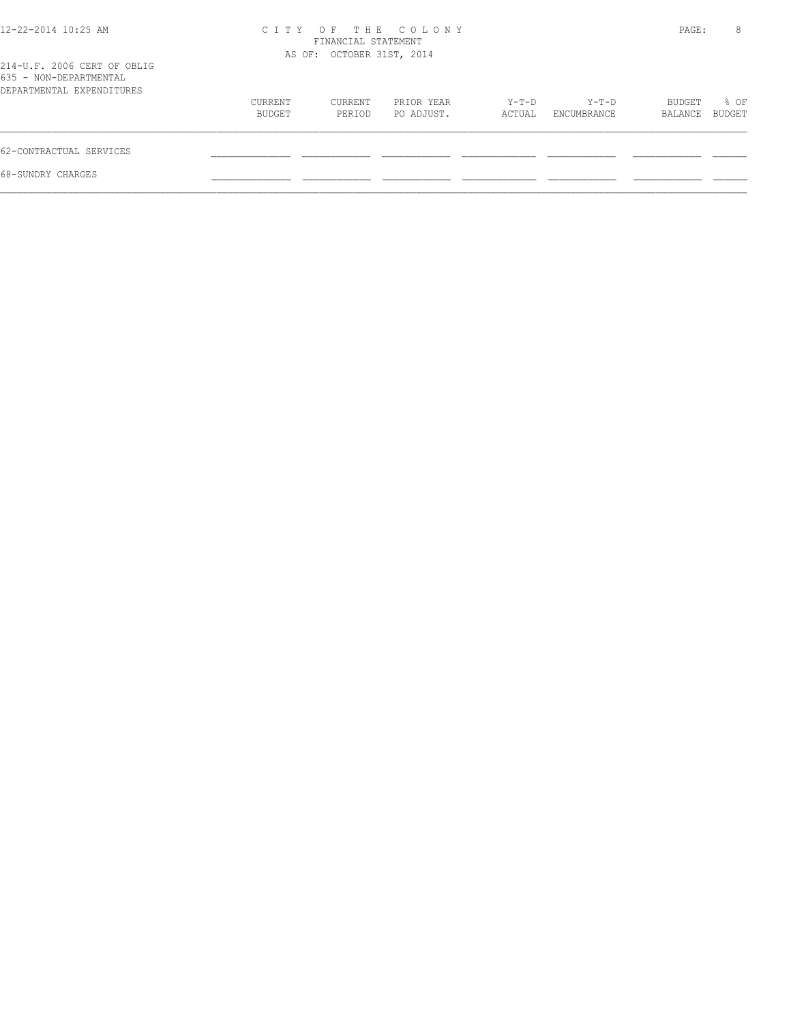| $12 - 22 - 2014$ $10:25$ AM                                                        |                   | FINANCIAL STATEMENT<br>AS OF: OCTOBER 31ST, 2014 | CITY OF THE COLONY       |                 |                      | PAGE:             | 8              |
|------------------------------------------------------------------------------------|-------------------|--------------------------------------------------|--------------------------|-----------------|----------------------|-------------------|----------------|
| 214-U.F. 2006 CERT OF OBLIG<br>635 - NON-DEPARTMENTAL<br>DEPARTMENTAL EXPENDITURES |                   |                                                  |                          |                 |                      |                   |                |
|                                                                                    | CURRENT<br>BUDGET | CURRENT<br>PERIOD                                | PRIOR YEAR<br>PO ADJUST. | Y-T-D<br>ACTUAL | Y-T-D<br>ENCUMBRANCE | BUDGET<br>BALANCE | % OF<br>BUDGET |
| 62-CONTRACTUAL SERVICES                                                            |                   |                                                  |                          |                 |                      |                   |                |
| 68-SUNDRY CHARGES                                                                  |                   |                                                  |                          |                 |                      |                   |                |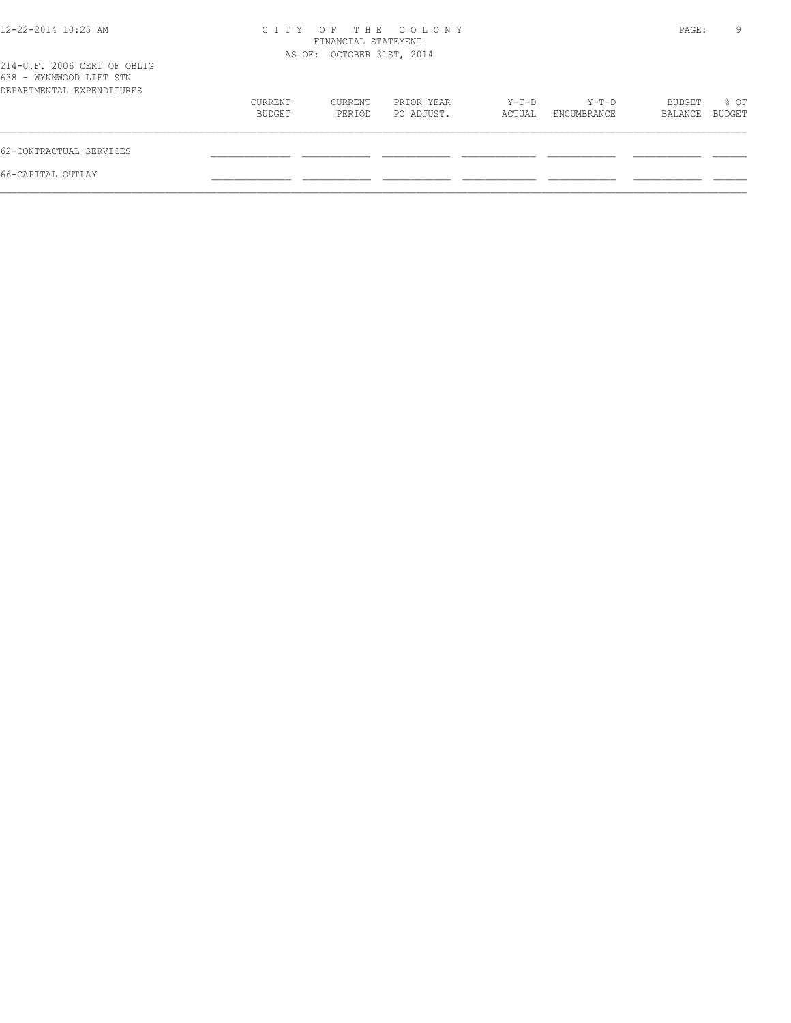| 12-22-2014 10:25 AM                                                                 |                   | FINANCIAL STATEMENT       | CITY OF THE COLONY       |                 |                      | PAGE:             | 9              |
|-------------------------------------------------------------------------------------|-------------------|---------------------------|--------------------------|-----------------|----------------------|-------------------|----------------|
| 214-U.F. 2006 CERT OF OBLIG<br>638 - WYNNWOOD LIFT STN<br>DEPARTMENTAL EXPENDITURES |                   | AS OF: OCTOBER 31ST, 2014 |                          |                 |                      |                   |                |
|                                                                                     | CURRENT<br>BUDGET | CURRENT<br>PERIOD         | PRIOR YEAR<br>PO ADJUST. | Y-T-D<br>ACTUAL | Y-T-D<br>ENCUMBRANCE | BUDGET<br>BALANCE | % OF<br>BUDGET |
| 62-CONTRACTUAL SERVICES                                                             |                   |                           |                          |                 |                      |                   |                |
| 66-CAPITAL OUTLAY                                                                   |                   |                           |                          |                 |                      |                   |                |
|                                                                                     |                   |                           |                          |                 |                      |                   |                |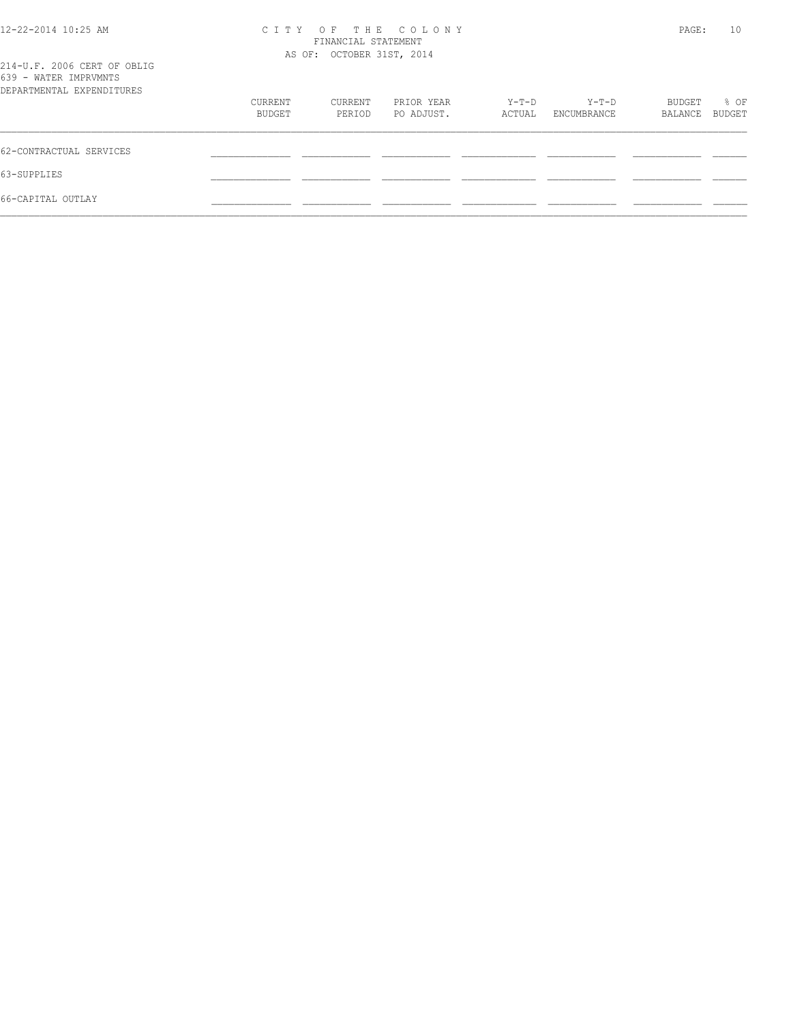| 12-22-2014 10:25 AM                                  | CITY OF THE COLONY<br>FINANCIAL STATEMENT | PAGE:   | 10         |        |             |         |        |
|------------------------------------------------------|-------------------------------------------|---------|------------|--------|-------------|---------|--------|
|                                                      | AS OF: OCTOBER 31ST, 2014                 |         |            |        |             |         |        |
| 214-U.F. 2006 CERT OF OBLIG<br>639 - WATER IMPRVMNTS |                                           |         |            |        |             |         |        |
| DEPARTMENTAL EXPENDITURES                            |                                           |         |            |        |             |         |        |
|                                                      | CURRENT                                   | CURRENT | PRIOR YEAR | Y-T-D  | Y-T-D       | BUDGET  | % OF   |
|                                                      | BUDGET                                    | PERIOD  | PO ADJUST. | ACTUAL | ENCUMBRANCE | BALANCE | BUDGET |
| 62-CONTRACTUAL SERVICES                              |                                           |         |            |        |             |         |        |
| 63-SUPPLIES                                          |                                           |         |            |        |             |         |        |
| 66-CAPITAL OUTLAY                                    |                                           |         |            |        |             |         |        |
|                                                      |                                           |         |            |        |             |         |        |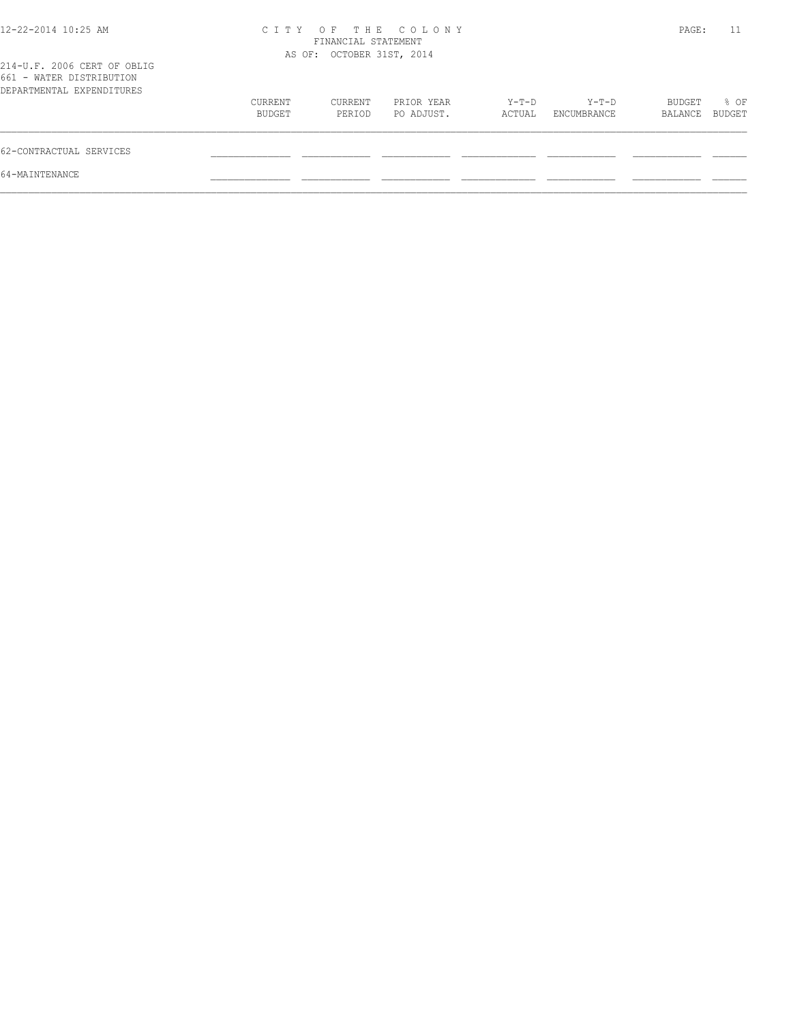| $12 - 22 - 2014$ 10:25 AM                                                            | C T T Y           | FINANCIAL STATEMENT       | OF THE COLONY            |                 |                      | PAGE:             | 11             |
|--------------------------------------------------------------------------------------|-------------------|---------------------------|--------------------------|-----------------|----------------------|-------------------|----------------|
| 214-U.F. 2006 CERT OF OBLIG<br>661 - WATER DISTRIBUTION<br>DEPARTMENTAL EXPENDITURES |                   | AS OF: OCTOBER 31ST, 2014 |                          |                 |                      |                   |                |
|                                                                                      | CURRENT<br>BUDGET | CURRENT<br>PERIOD         | PRIOR YEAR<br>PO ADJUST. | Y-T-D<br>ACTUAL | Y-T-D<br>ENCUMBRANCE | BUDGET<br>BALANCE | % OF<br>BUDGET |
| 62-CONTRACTUAL SERVICES                                                              |                   |                           |                          |                 |                      |                   |                |
| 64-MAINTENANCE                                                                       |                   |                           |                          |                 |                      |                   |                |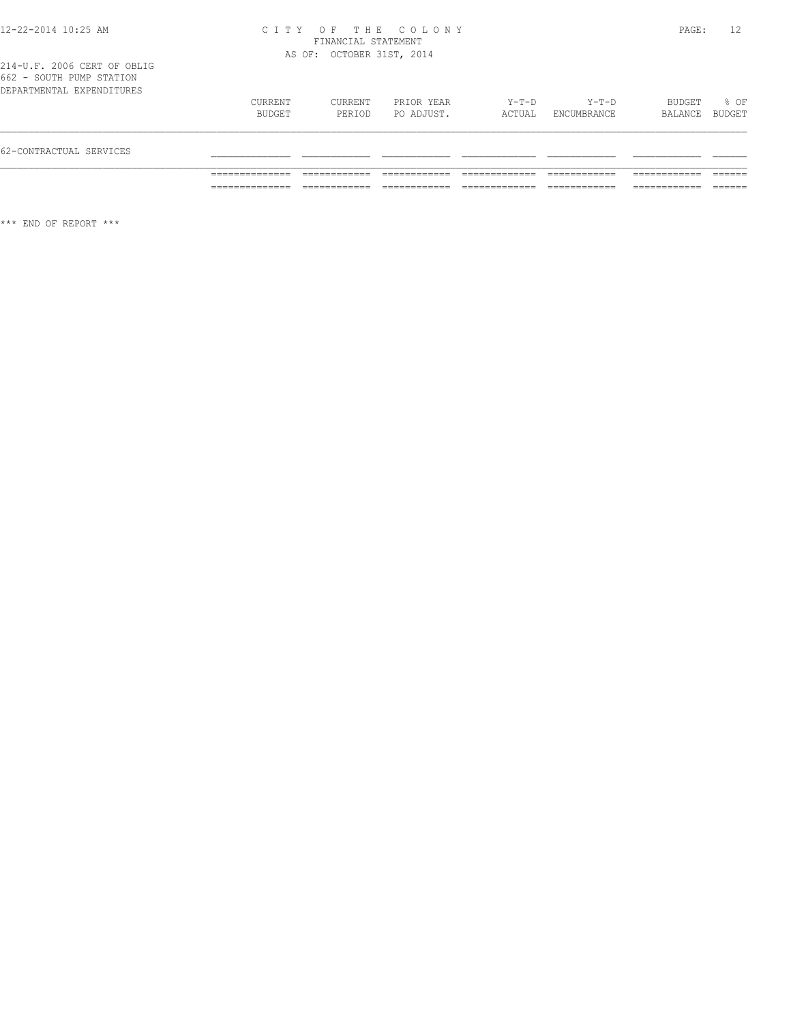| 62-CONTRACTUAL SERVICES   |         |         |            |        |             |                |      |
|---------------------------|---------|---------|------------|--------|-------------|----------------|------|
|                           | BUDGET  | PERIOD  | PO ADJUST. | ACTUAL | ENCUMBRANCE | BALANCE BUDGET |      |
| DEPARTMENTAL EXPENDITURES | CURRENT | CURRENT | PRIOR YEAR | Y-T-D  | Y-T-D       | BUDGET         | % OF |
| OUZ - SUUIN FUME SIAIIUN  |         |         |            |        |             |                |      |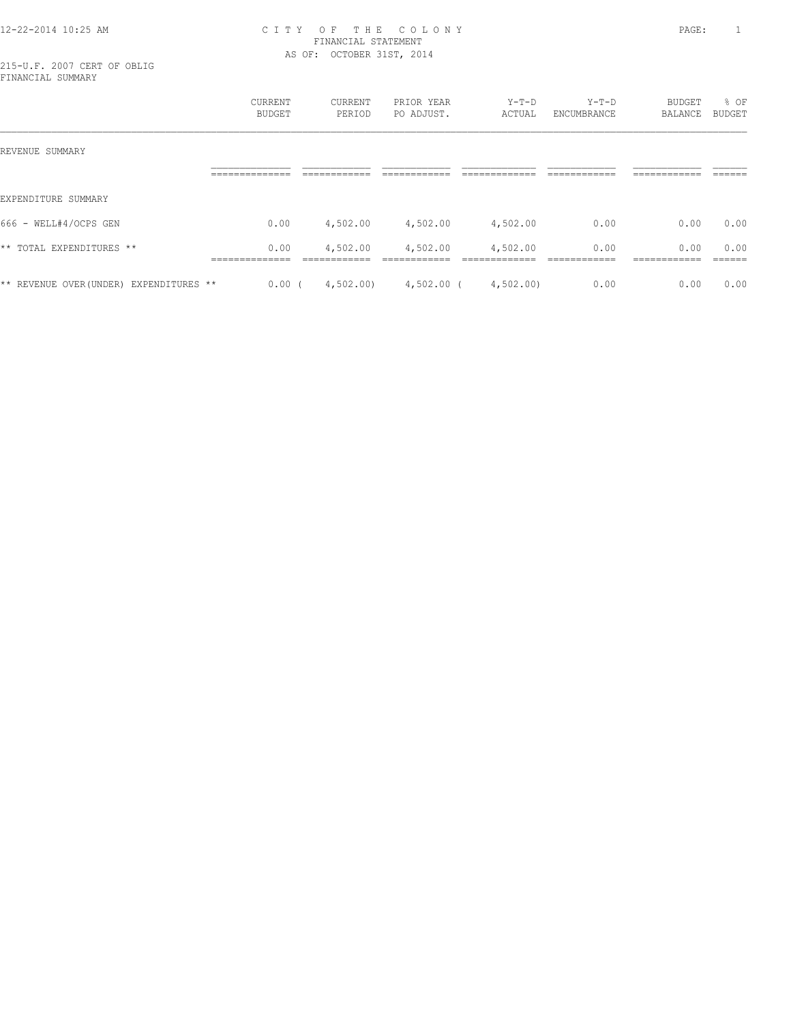215-U.F. 2007 CERT OF OBLIG FINANCIAL SUMMARY

|                                         | CURRENT<br><b>BUDGET</b>                 | CURRENT<br>PERIOD        | PRIOR YEAR<br>PO ADJUST.  | $Y-T-D$<br>ACTUAL        | $Y-T-D$<br>ENCUMBRANCE | <b>BUDGET</b><br>BALANCE     | % OF<br><b>BUDGET</b> |
|-----------------------------------------|------------------------------------------|--------------------------|---------------------------|--------------------------|------------------------|------------------------------|-----------------------|
| REVENUE SUMMARY                         |                                          |                          |                           |                          |                        |                              |                       |
|                                         | ______________<br>-------------          | ------------             | -------------             | ____________             | ____________           | -------------<br>----------- | -------               |
| EXPENDITURE SUMMARY                     |                                          |                          |                           |                          |                        |                              |                       |
| 666 - WELL#4/OCPS GEN                   | 0.00                                     | 4,502.00                 | 4,502.00                  | 4,502.00                 | 0.00                   | 0.00                         | 0.00                  |
| ** TOTAL EXPENDITURES **                | 0.00<br>______________<br>______________ | 4,502.00<br>------------ | 4,502.00<br>------------- | 4,502.00<br>____________ | 0.00<br>____________   | 0.00<br>-------------        | 0.00<br>-------       |
| ** REVENUE OVER (UNDER) EXPENDITURES ** | 0.00                                     | 4,502.00                 | $4,502.00$ (              | 4,502.00)                | 0.00                   | 0.00                         | 0.00                  |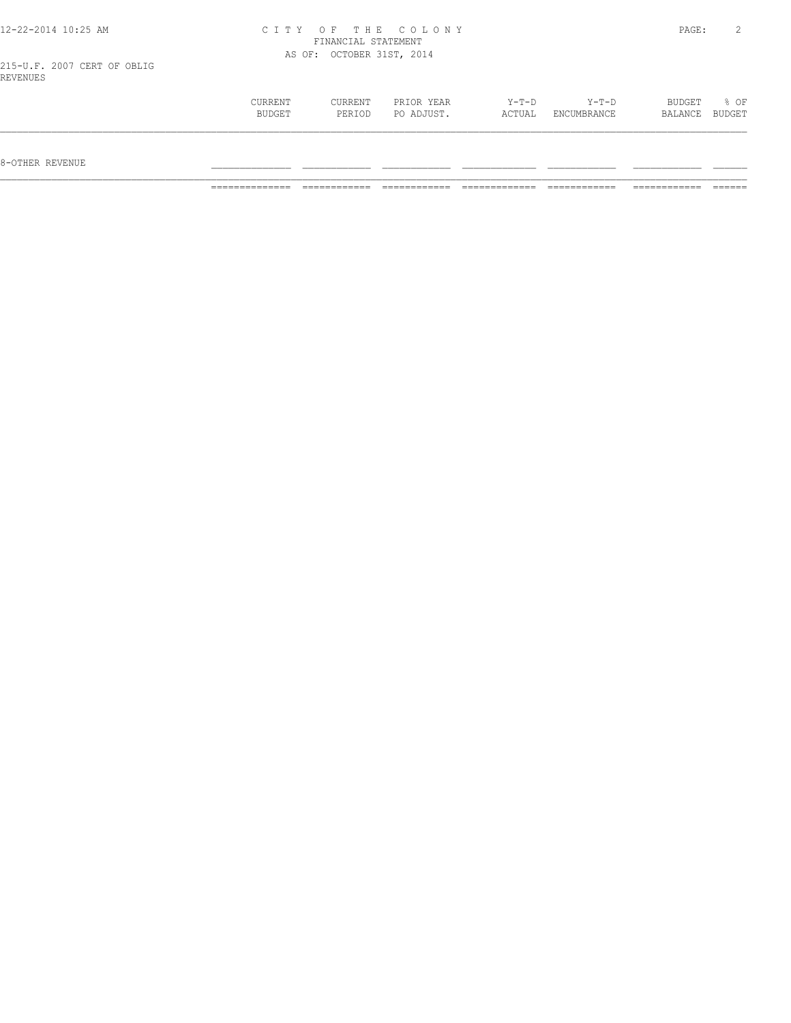|  |  |  |  | 12-22-2014 10:25 AM |  |  |
|--|--|--|--|---------------------|--|--|
|--|--|--|--|---------------------|--|--|

215-U.F. 2007 CERT OF OBLIG REVENUES

| CURRENT       | CURRENT | PRIOR YEAR | $Y-T-D$ | Y-T-D       | BUDGET  | % OF   |
|---------------|---------|------------|---------|-------------|---------|--------|
| <b>BUDGET</b> | PERIOD  | PO ADJUST. | ACTUAL  | ENCUMBRANCE | BALANCE | BUDGET |
|               |         |            |         |             |         |        |

 $8-{\rm OFF}$  revenue  $\_$ 

============== ============ ============ ============= ============ ============ ======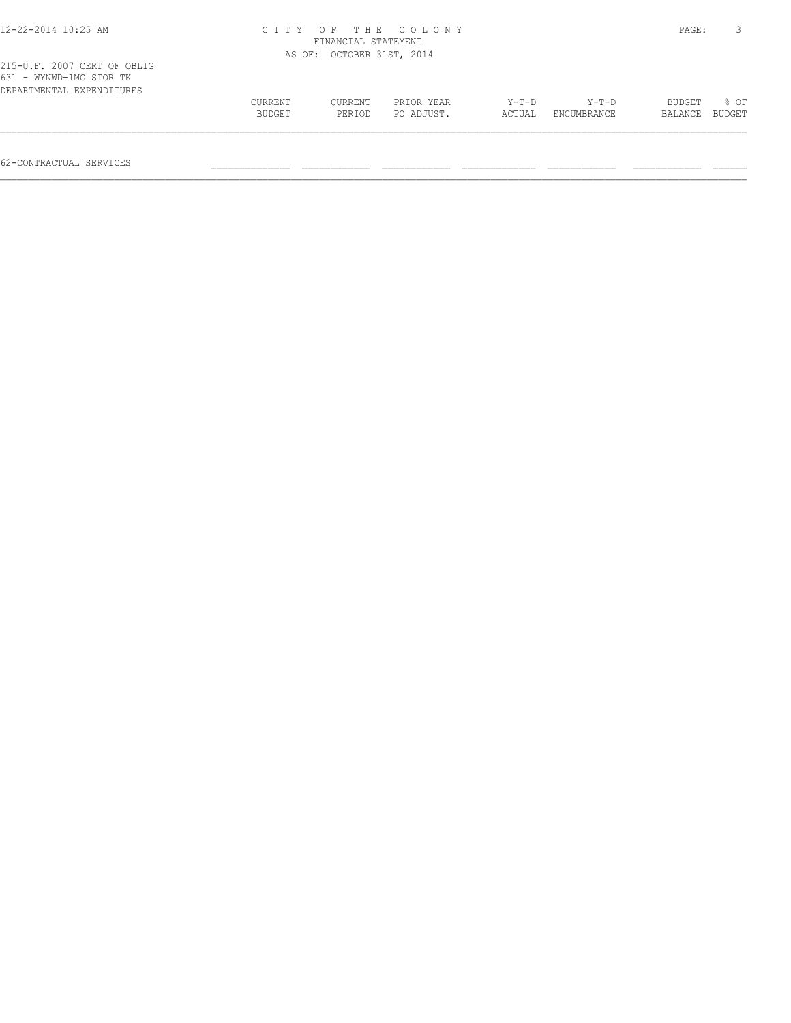| $12 - 22 - 2014$ $10:25$ AM                                                         |                   | CITY OF THE COLONY<br>FINANCIAL STATEMENT |                          |                   |                      |                   |                |  |  |
|-------------------------------------------------------------------------------------|-------------------|-------------------------------------------|--------------------------|-------------------|----------------------|-------------------|----------------|--|--|
|                                                                                     |                   | AS OF: OCTOBER 31ST, 2014                 |                          |                   |                      |                   |                |  |  |
| 215-U.F. 2007 CERT OF OBLIG<br>631 - WYNWD-1MG STOR TK<br>DEPARTMENTAL EXPENDITURES |                   |                                           |                          |                   |                      |                   |                |  |  |
|                                                                                     | CURRENT<br>BUDGET | CURRENT<br>PERIOD                         | PRIOR YEAR<br>PO ADJUST. | $Y-T-D$<br>ACTUAL | Y-T-D<br>ENCUMBRANCE | BUDGET<br>BALANCE | 8 OF<br>BUDGET |  |  |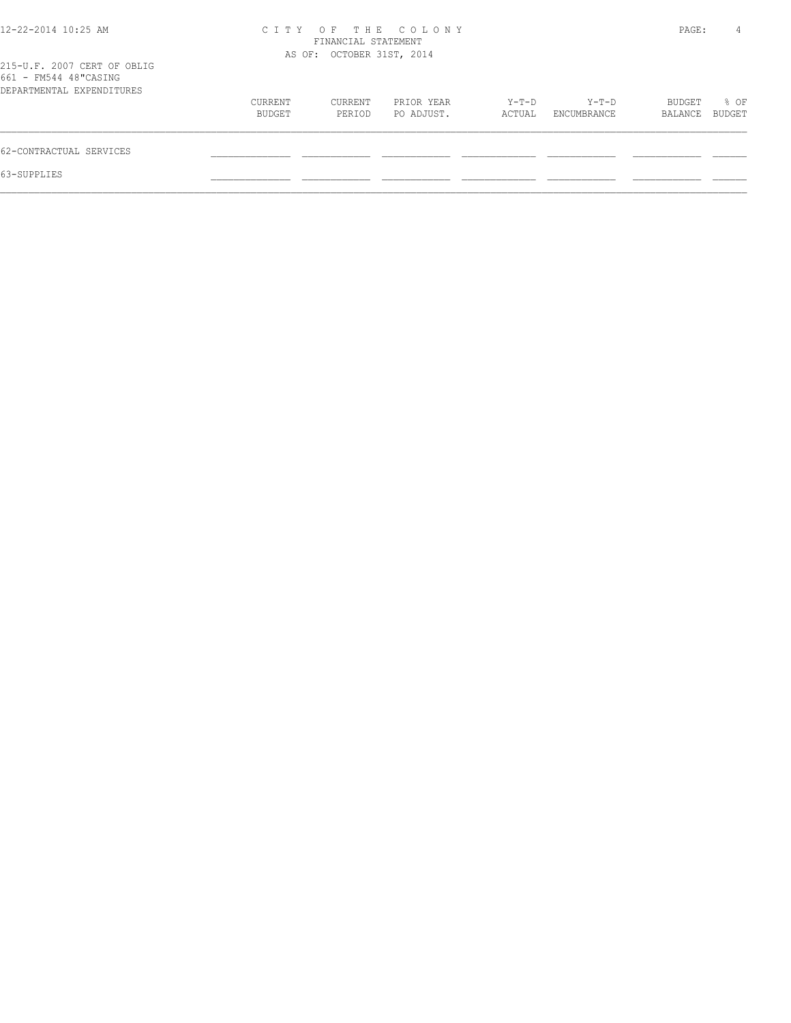| $12 - 22 - 2014$ 10:25 AM                                                         | C T T Y           | FINANCIAL STATEMENT       | OF THE COLONY            |                 |                      | PAGE:             | 4              |
|-----------------------------------------------------------------------------------|-------------------|---------------------------|--------------------------|-----------------|----------------------|-------------------|----------------|
| 215-U.F. 2007 CERT OF OBLIG<br>661 - FM544 48"CASING<br>DEPARTMENTAL EXPENDITURES |                   | AS OF: OCTOBER 31ST, 2014 |                          |                 |                      |                   |                |
|                                                                                   | CURRENT<br>BUDGET | CURRENT<br>PERIOD         | PRIOR YEAR<br>PO ADJUST. | Y-T-D<br>ACTUAL | Y-T-D<br>ENCUMBRANCE | BUDGET<br>BALANCE | % OF<br>BUDGET |
| 62-CONTRACTUAL SERVICES                                                           |                   |                           |                          |                 |                      |                   |                |
| 63-SUPPLIES                                                                       |                   |                           |                          |                 |                      |                   |                |
|                                                                                   |                   |                           |                          |                 |                      |                   |                |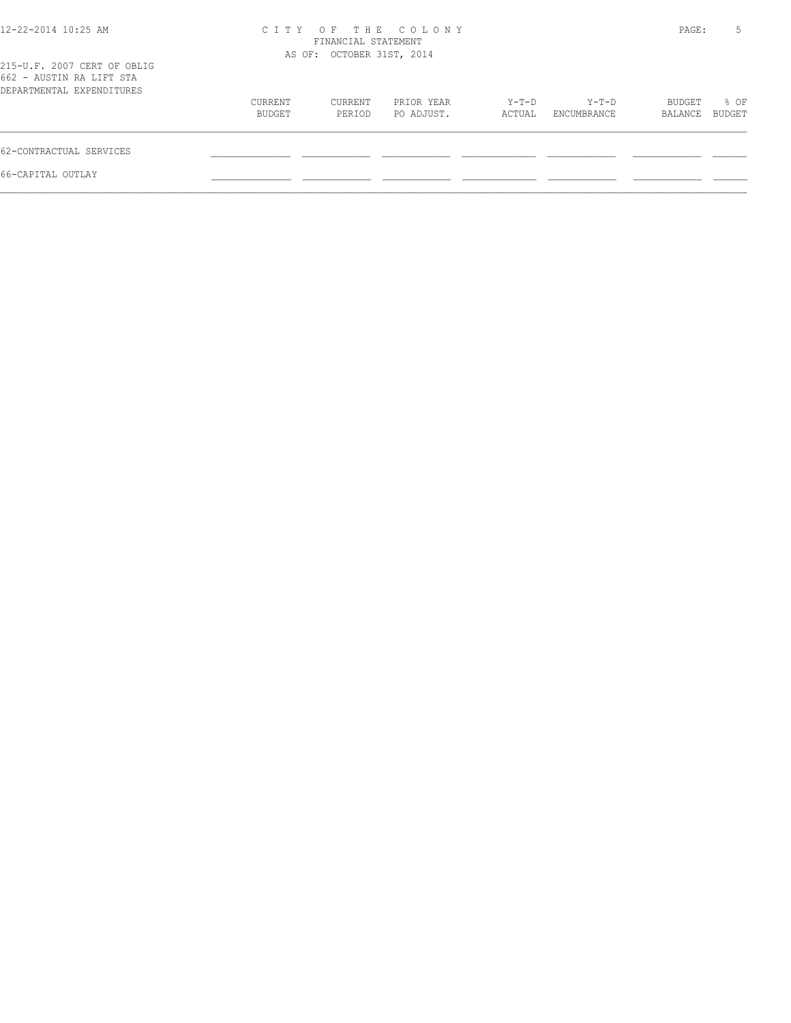| 12-22-2014 10:25 AM                                                                  |                   | FINANCIAL STATEMENT       | CITY OF THE COLONY       |                 |                      | PAGE:             | 5              |
|--------------------------------------------------------------------------------------|-------------------|---------------------------|--------------------------|-----------------|----------------------|-------------------|----------------|
| 215-U.F. 2007 CERT OF OBLIG<br>662 - AUSTIN RA LIFT STA<br>DEPARTMENTAL EXPENDITURES |                   | AS OF: OCTOBER 31ST, 2014 |                          |                 |                      |                   |                |
|                                                                                      | CURRENT<br>BUDGET | CURRENT<br>PERIOD         | PRIOR YEAR<br>PO ADJUST. | Y-T-D<br>ACTUAL | Y-T-D<br>ENCUMBRANCE | BUDGET<br>BALANCE | % OF<br>BUDGET |
| 62-CONTRACTUAL SERVICES                                                              |                   |                           |                          |                 |                      |                   |                |
| 66-CAPITAL OUTLAY                                                                    |                   |                           |                          |                 |                      |                   |                |
|                                                                                      |                   |                           |                          |                 |                      |                   |                |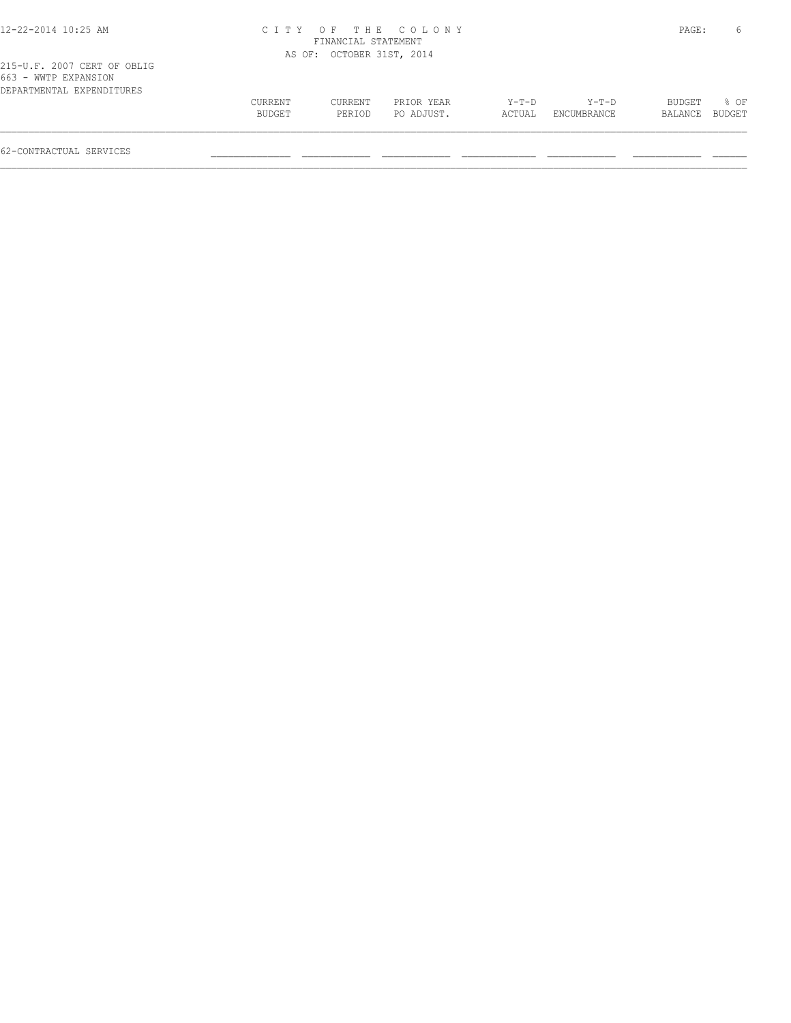|                   |                   |                          |                                                                        |                      |        | 6                |
|-------------------|-------------------|--------------------------|------------------------------------------------------------------------|----------------------|--------|------------------|
|                   |                   |                          |                                                                        |                      |        |                  |
|                   |                   |                          |                                                                        |                      |        |                  |
| CURRENT<br>BUDGET | CURRENT<br>PERIOD | PRIOR YEAR<br>PO ADJUST. | Y-T-D<br>ACTUAL                                                        | Y-T-D<br>ENCUMBRANCE | BUDGET | % OF<br>BUDGET   |
|                   |                   |                          | CITY OF THE COLONY<br>FINANCIAL STATEMENT<br>AS OF: OCTOBER 31ST, 2014 |                      |        | PAGE:<br>BALANCE |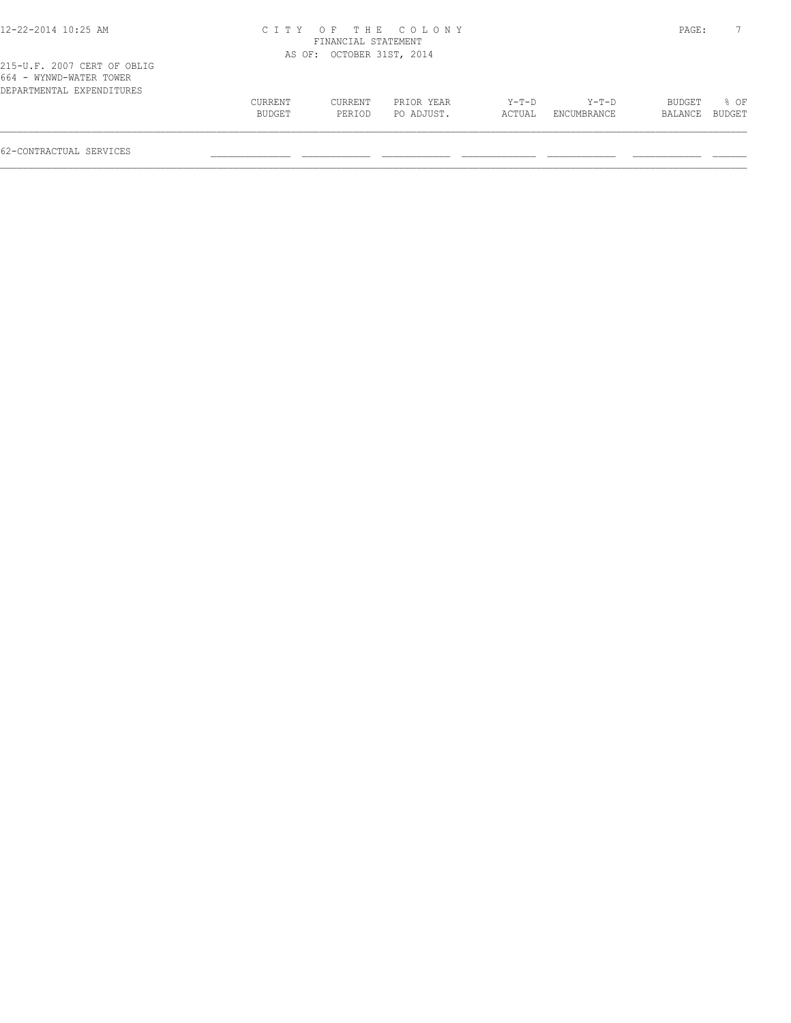| 12-22-2014 10:25 AM                                                                 |         |                           | CITY OF THE COLONY |         |             | PAGE:   |        |
|-------------------------------------------------------------------------------------|---------|---------------------------|--------------------|---------|-------------|---------|--------|
|                                                                                     |         | FINANCIAL STATEMENT       |                    |         |             |         |        |
|                                                                                     |         | AS OF: OCTOBER 31ST, 2014 |                    |         |             |         |        |
| 215-U.F. 2007 CERT OF OBLIG<br>664 - WYNWD-WATER TOWER<br>DEPARTMENTAL EXPENDITURES |         |                           |                    |         |             |         |        |
|                                                                                     | CURRENT | CURRENT                   | PRIOR YEAR         | $Y-T-D$ | Y-T-D       | BUDGET  | 8 OF   |
|                                                                                     | BUDGET  | PERIOD                    | PO ADJUST.         | ACTUAL  | ENCUMBRANCE | BALANCE | BUDGET |
|                                                                                     |         |                           |                    |         |             |         |        |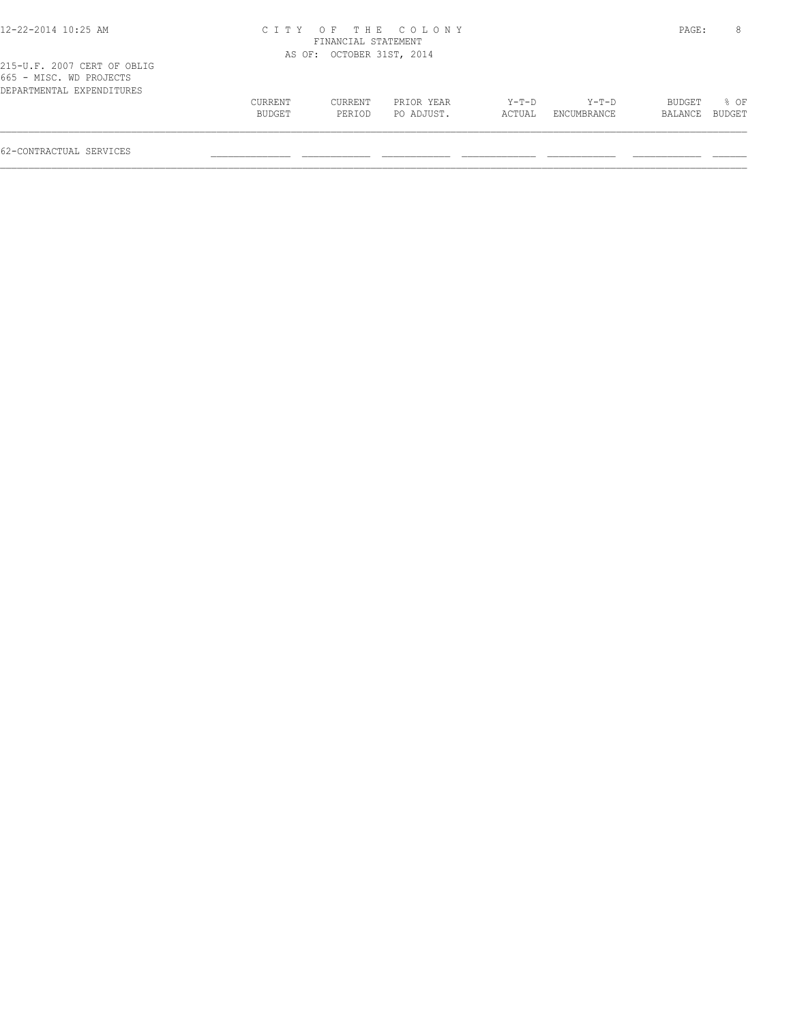|         |         |            |                                                                                      |         |             | 8                     |
|---------|---------|------------|--------------------------------------------------------------------------------------|---------|-------------|-----------------------|
|         |         |            |                                                                                      |         |             |                       |
|         |         |            |                                                                                      |         |             |                       |
| CURRENT | CURRENT | PRIOR YEAR | Y-T-D                                                                                | $Y-T-D$ | BUDGET      | % OF<br><b>BUDGET</b> |
|         | BUDGET  | PERIOD     | CITY OF THE COLONY<br>FINANCIAL STATEMENT<br>AS OF: OCTOBER 31ST, 2014<br>PO ADJUST. | ACTUAL  | ENCUMBRANCE | PAGE:<br>BALANCE      |

 $\mathcal{L} = \{ \mathcal{L} = \{ \mathcal{L} = \{ \mathcal{L} = \{ \mathcal{L} = \{ \mathcal{L} = \{ \mathcal{L} = \{ \mathcal{L} = \{ \mathcal{L} = \{ \mathcal{L} = \{ \mathcal{L} = \{ \mathcal{L} = \{ \mathcal{L} = \{ \mathcal{L} = \{ \mathcal{L} = \{ \mathcal{L} = \{ \mathcal{L} = \{ \mathcal{L} = \{ \mathcal{L} = \{ \mathcal{L} = \{ \mathcal{L} = \{ \mathcal{L} = \{ \mathcal{L} = \{ \mathcal{L} = \{ \mathcal{$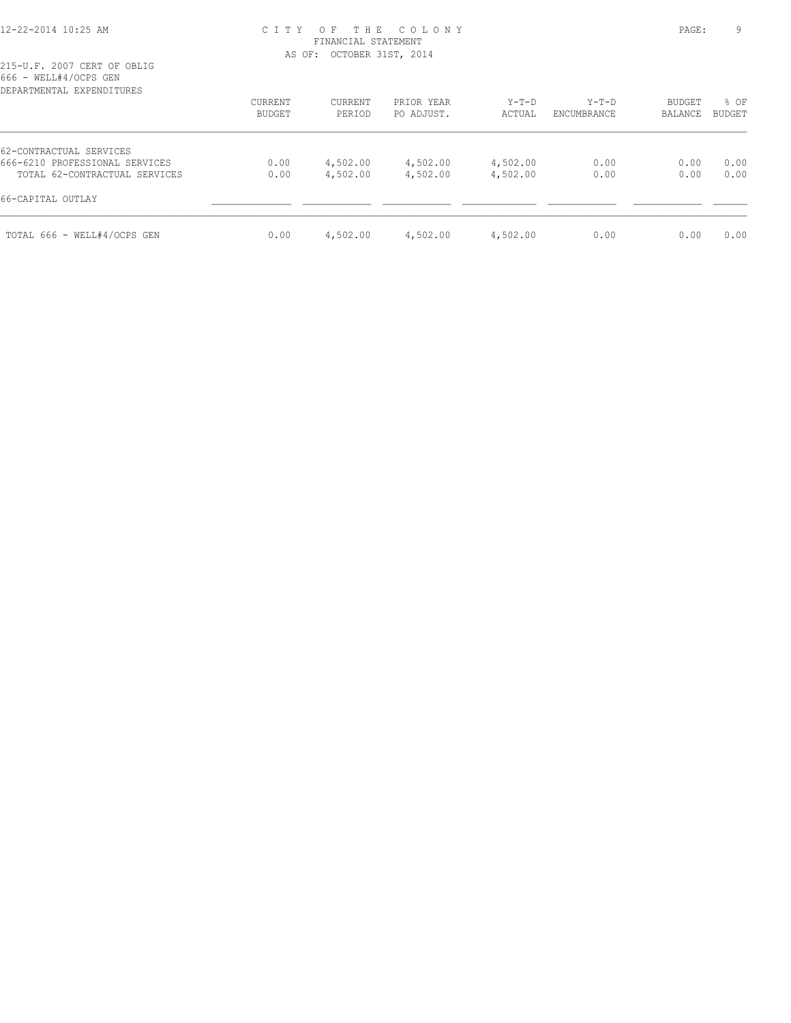| DEPARTMENTAL EXPENDITURES      |                          |                   |                          |                   |                        |                          |                |
|--------------------------------|--------------------------|-------------------|--------------------------|-------------------|------------------------|--------------------------|----------------|
|                                | <b>CURRENT</b><br>BUDGET | CURRENT<br>PERIOD | PRIOR YEAR<br>PO ADJUST. | $Y-T-D$<br>ACTUAL | $Y-T-D$<br>ENCUMBRANCE | <b>BUDGET</b><br>BALANCE | % OF<br>BUDGET |
| 62-CONTRACTUAL SERVICES        |                          |                   |                          |                   |                        |                          |                |
| 666-6210 PROFESSIONAL SERVICES | 0.00                     | 4,502.00          | 4,502.00                 | 4,502.00          | 0.00                   | 0.00                     | 0.00           |
| TOTAL 62-CONTRACTUAL SERVICES  | 0.00                     | 4,502.00          | 4,502.00                 | 4,502.00          | 0.00                   | 0.00                     | 0.00           |
| 66-CAPITAL OUTLAY              |                          |                   |                          |                   |                        |                          |                |
| TOTAL 666 - WELL#4/OCPS GEN    | 0.00                     | 4,502.00          | 4,502.00                 | 4,502.00          | 0.00                   | 0.00                     | 0.00           |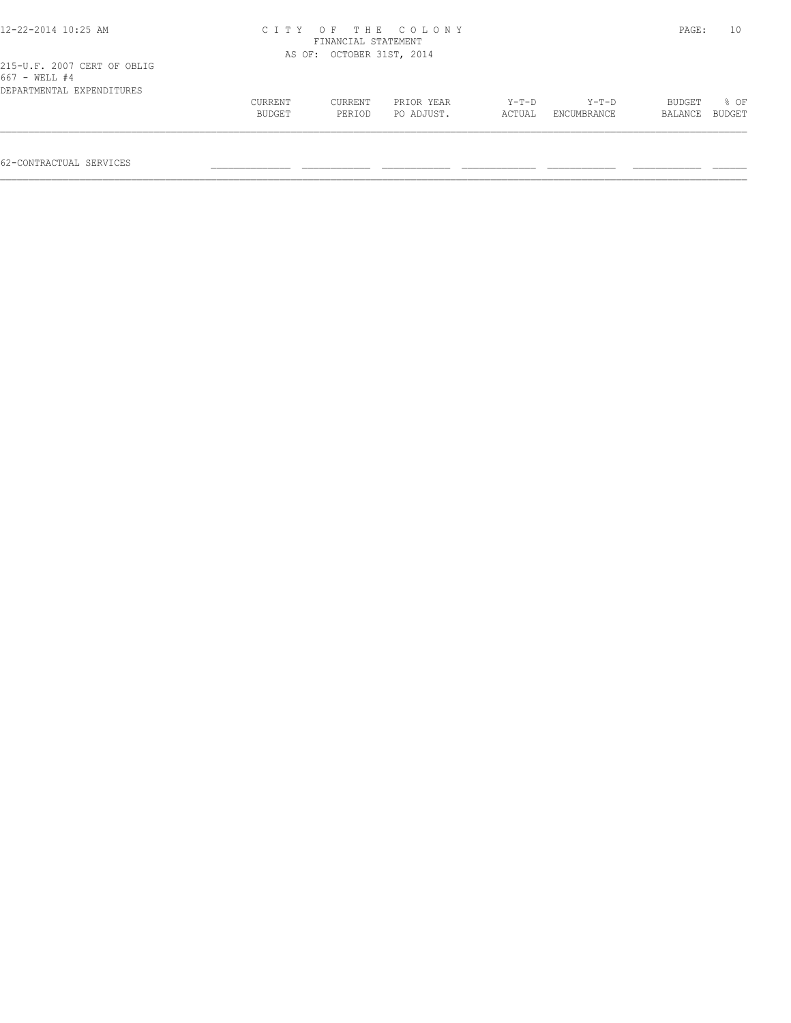| 12-22-2014 10:25 AM                                                       | C I T Y           | O F<br>FINANCIAL STATEMENT | THE COLONY               |                   |                      | PAGE:             | 10             |
|---------------------------------------------------------------------------|-------------------|----------------------------|--------------------------|-------------------|----------------------|-------------------|----------------|
|                                                                           |                   | AS OF: OCTOBER 31ST, 2014  |                          |                   |                      |                   |                |
| 215-U.F. 2007 CERT OF OBLIG<br>667 - WELL #4<br>DEPARTMENTAL EXPENDITURES |                   |                            |                          |                   |                      |                   |                |
|                                                                           | CURRENT<br>BUDGET | CURRENT<br>PERIOD          | PRIOR YEAR<br>PO ADJUST. | $Y-T-D$<br>ACTUAL | Y-T-D<br>ENCUMBRANCE | BUDGET<br>BALANCE | 8 OF<br>BUDGET |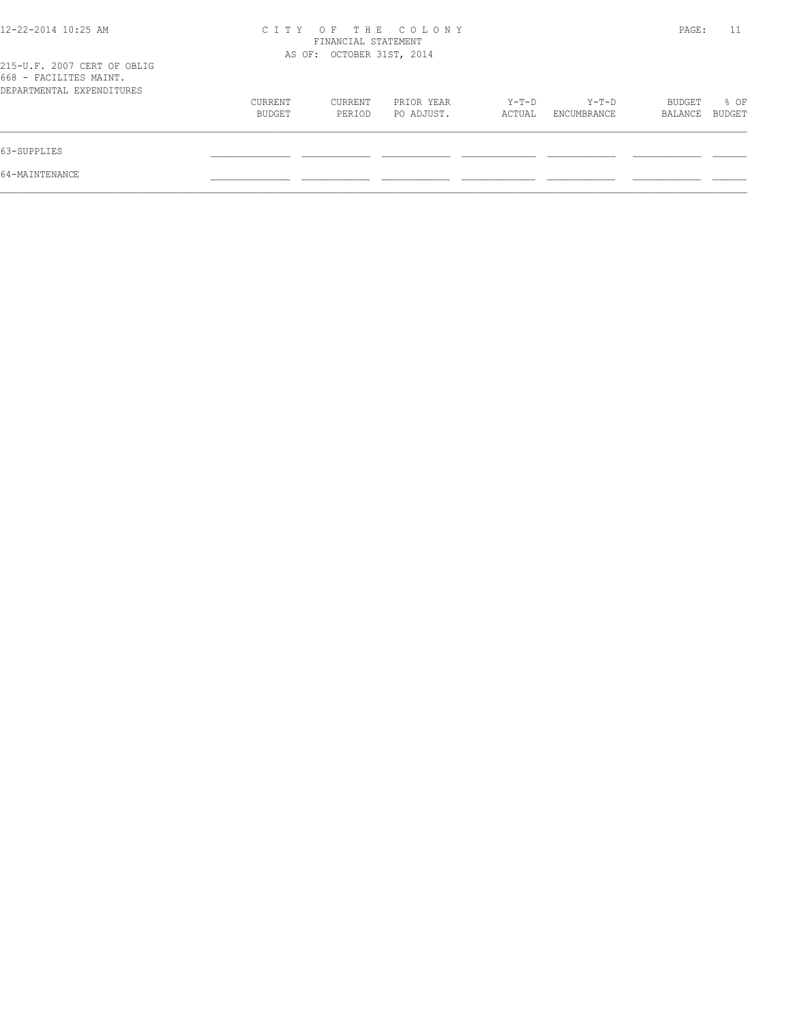| 12-22-2014 10:25 AM                                                                |                   | FINANCIAL STATEMENT       | CITY OF THE COLONY       |                 |                      | PAGE:             | 11             |
|------------------------------------------------------------------------------------|-------------------|---------------------------|--------------------------|-----------------|----------------------|-------------------|----------------|
| 215-U.F. 2007 CERT OF OBLIG<br>668 - FACILITES MAINT.<br>DEPARTMENTAL EXPENDITURES |                   | AS OF: OCTOBER 31ST, 2014 |                          |                 |                      |                   |                |
|                                                                                    | CURRENT<br>BUDGET | CURRENT<br>PERIOD         | PRIOR YEAR<br>PO ADJUST. | Y-T-D<br>ACTUAL | Y-T-D<br>ENCUMBRANCE | BUDGET<br>BALANCE | % OF<br>BUDGET |
| 63-SUPPLIES                                                                        |                   |                           |                          |                 |                      |                   |                |
| 64-MAINTENANCE                                                                     |                   |                           |                          |                 |                      |                   |                |
|                                                                                    |                   |                           |                          |                 |                      |                   |                |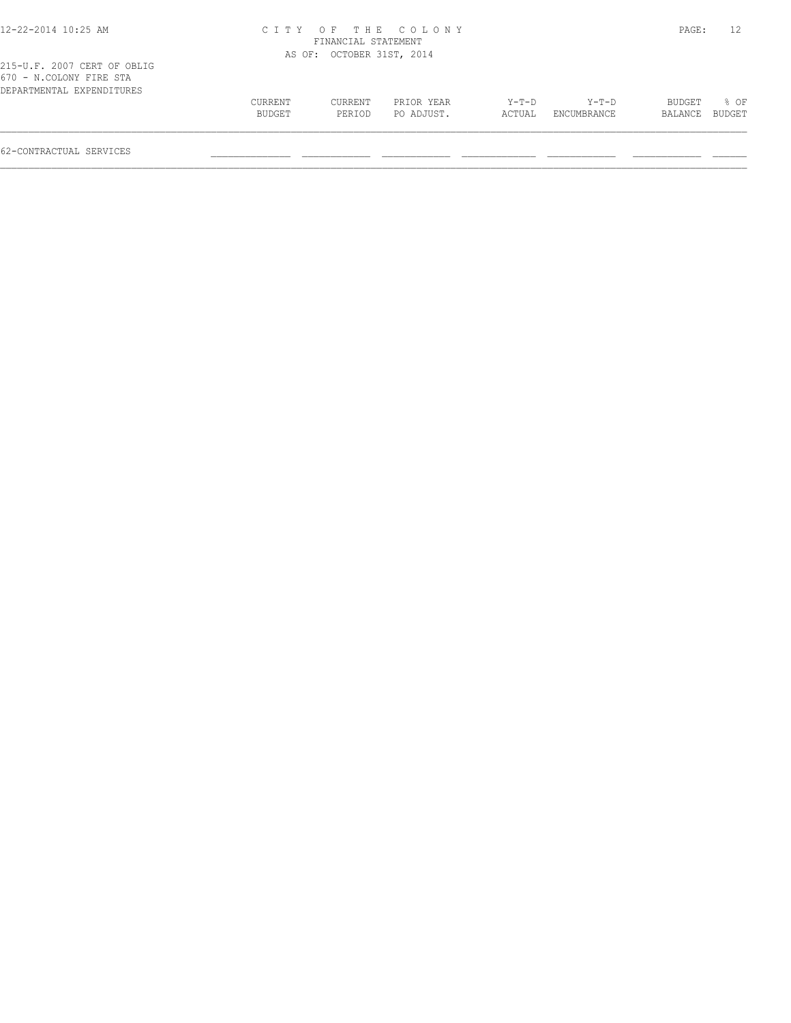| 12-22-2014 10:25 AM                                                                 |         | FINANCIAL STATEMENT       | CITY OF THE COLONY |        |             | PAGE:         | 12     |
|-------------------------------------------------------------------------------------|---------|---------------------------|--------------------|--------|-------------|---------------|--------|
|                                                                                     |         | AS OF: OCTOBER 31ST, 2014 |                    |        |             |               |        |
| 215-U.F. 2007 CERT OF OBLIG<br>670 - N.COLONY FIRE STA<br>DEPARTMENTAL EXPENDITURES |         |                           |                    |        |             |               |        |
|                                                                                     | CURRENT | CURRENT                   | PRIOR YEAR         | Y-T-D  | Y-T-D       | <b>BUDGET</b> | $8$ OF |
|                                                                                     | BUDGET  | PERIOD                    | PO ADJUST.         | ACTUAL | ENCUMBRANCE | BALANCE       | BUDGET |

 $\mathcal{L} = \{ \mathcal{L} = \{ \mathcal{L} = \{ \mathcal{L} = \{ \mathcal{L} = \{ \mathcal{L} = \{ \mathcal{L} = \{ \mathcal{L} = \{ \mathcal{L} = \{ \mathcal{L} = \{ \mathcal{L} = \{ \mathcal{L} = \{ \mathcal{L} = \{ \mathcal{L} = \{ \mathcal{L} = \{ \mathcal{L} = \{ \mathcal{L} = \{ \mathcal{L} = \{ \mathcal{L} = \{ \mathcal{L} = \{ \mathcal{L} = \{ \mathcal{L} = \{ \mathcal{L} = \{ \mathcal{L} = \{ \mathcal{$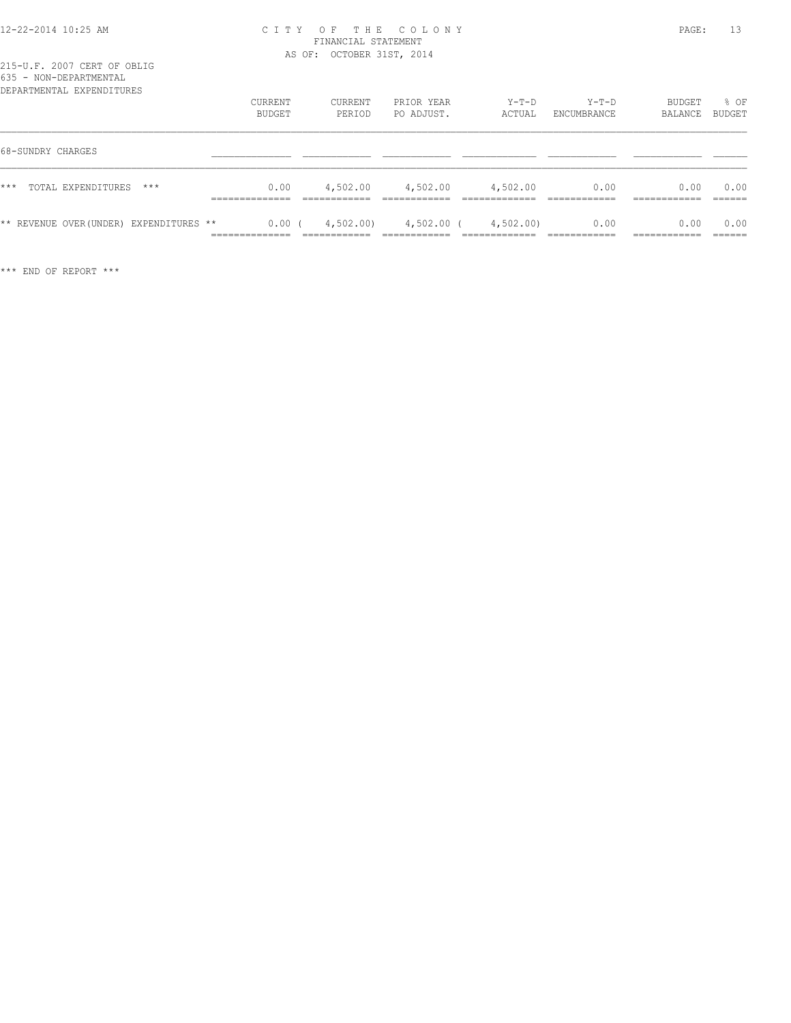| DEPARTMENTAL EXPENDITURES               | CURRENT<br>BUDGET                        | CURRENT<br>PERIOD | PRIOR YEAR<br>PO ADJUST. | $Y-T-D$<br>ACTUAL | $Y-T-D$<br>ENCUMBRANCE | BUDGET<br>BALANCE | % OF<br>BUDGET |
|-----------------------------------------|------------------------------------------|-------------------|--------------------------|-------------------|------------------------|-------------------|----------------|
| 68-SUNDRY CHARGES                       |                                          |                   |                          |                   |                        |                   |                |
| $***$<br>TOTAL EXPENDITURES<br>$***$    | 0.00                                     | 4,502.00          | 4,502.00                 | 4,502.00          | 0.00                   | 0.00              | 0.00           |
| ** REVENUE OVER (UNDER) EXPENDITURES ** | 0.00(<br>______________<br>------------- | 4,502.00)         | 4,502.00 (               | 4,502.00)         | 0.00                   | 0.00              | 0.00           |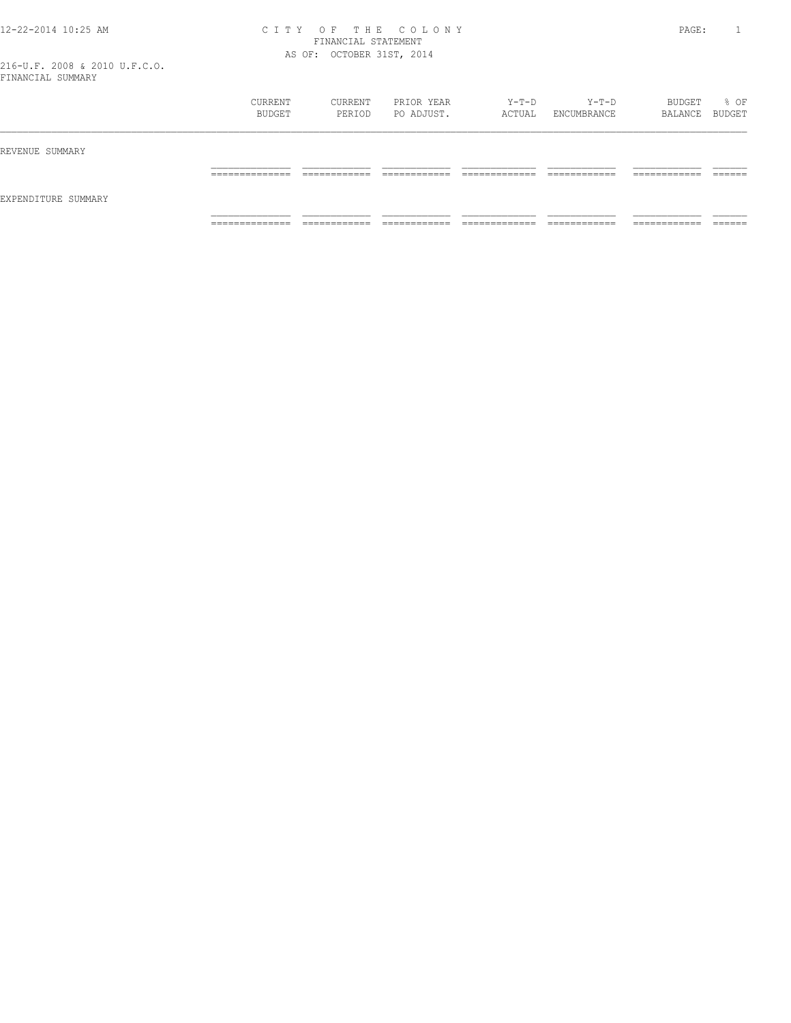|                     | CURRENT<br>BUDGET                 | CURRENT<br>PERIOD            | PRIOR YEAR<br>PO ADJUST.      | Y-T-D<br>ACTUAL                    | $Y-T-D$<br>ENCUMBRANCE        | BUDGET<br>BALANCE BUDGET      | % OF              |
|---------------------|-----------------------------------|------------------------------|-------------------------------|------------------------------------|-------------------------------|-------------------------------|-------------------|
| REVENUE SUMMARY     |                                   |                              |                               |                                    |                               |                               |                   |
| EXPENDITURE SUMMARY | ______________<br>-------------   | ____________<br>____________ | -------------<br>____________ | ____________<br>__________<br>____ | -------------<br>____________ | -------------<br>____________ | -------<br>______ |
|                     | ______________<br>_______________ | ____________<br>____________ | ____________<br>____________  | _____________<br>_____________     | ____________<br>_____________ | ___________<br>____________   | _______           |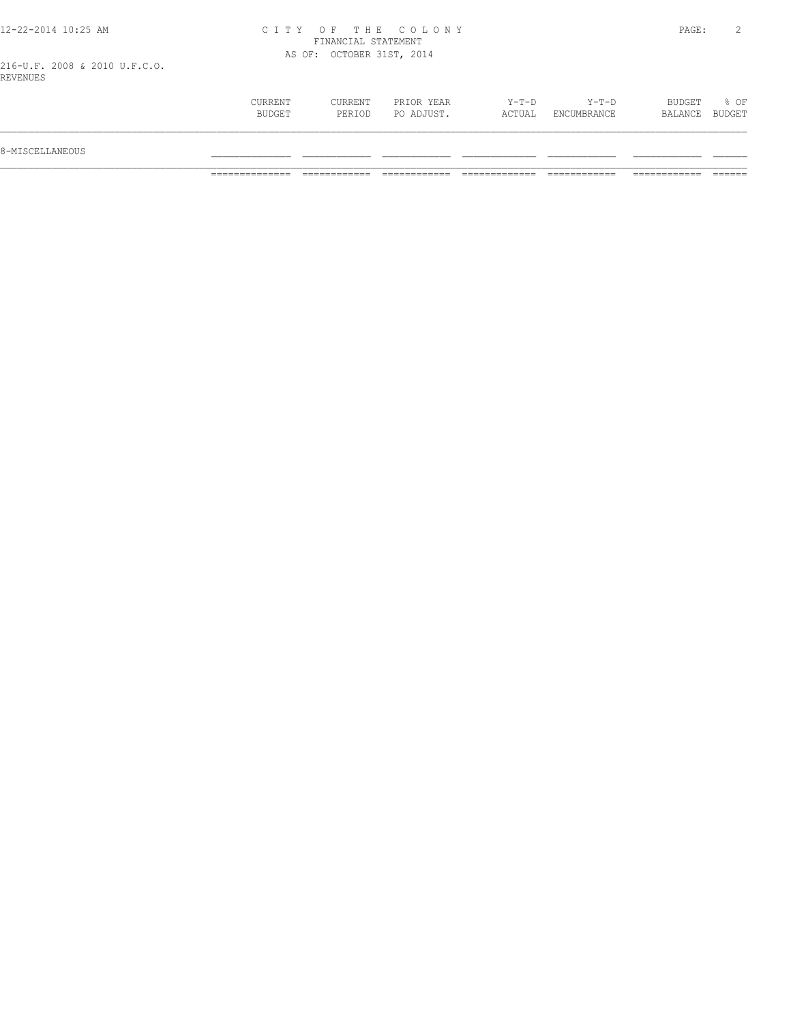216-U.F. 2008 & 2010 U.F.C.O. REVENUES

| PO ADJUST.<br>BUDGET<br>ACTUAL<br>ENCUMBRANCE<br>PERIOD<br>BALANCE<br>8-MISCELLANEOUS |                |         |            |       |         |        |                |
|---------------------------------------------------------------------------------------|----------------|---------|------------|-------|---------|--------|----------------|
|                                                                                       |                |         |            |       |         |        |                |
|                                                                                       | <b>CURRENT</b> | CURRENT | PRIOR YEAR | Y-T-D | $Y-T-D$ | BUDGET | % OF<br>BUDGET |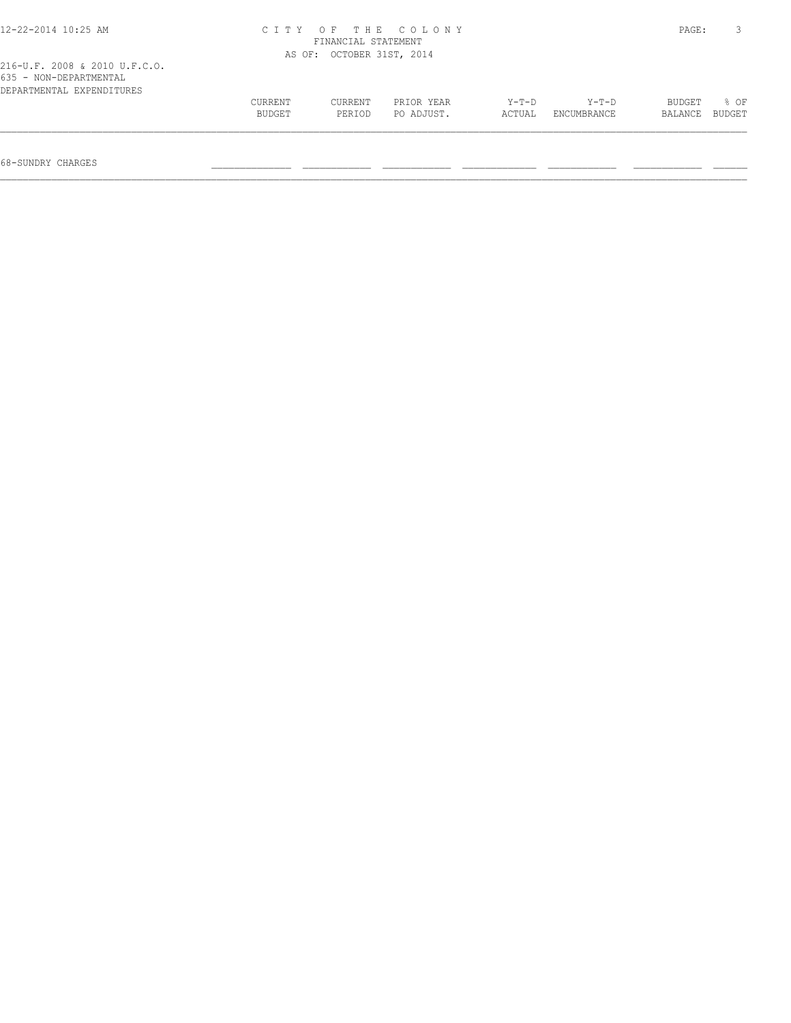| 216-U.F. 2008 & 2010 U.F.C.O.<br>635 - NON-DEPARTMENTAL |               | AS OF: OCTOBER 31ST, 2014 |            |        |             |         |        |
|---------------------------------------------------------|---------------|---------------------------|------------|--------|-------------|---------|--------|
| DEPARTMENTAL EXPENDITURES                               | CURRENT       | CURRENT                   | PRIOR YEAR | Y-T-D  | Y-T-D       | BUDGET  | % OF   |
|                                                         | <b>BUDGET</b> | PERIOD                    | PO ADJUST. | ACTUAL | ENCUMBRANCE | BALANCE | BUDGET |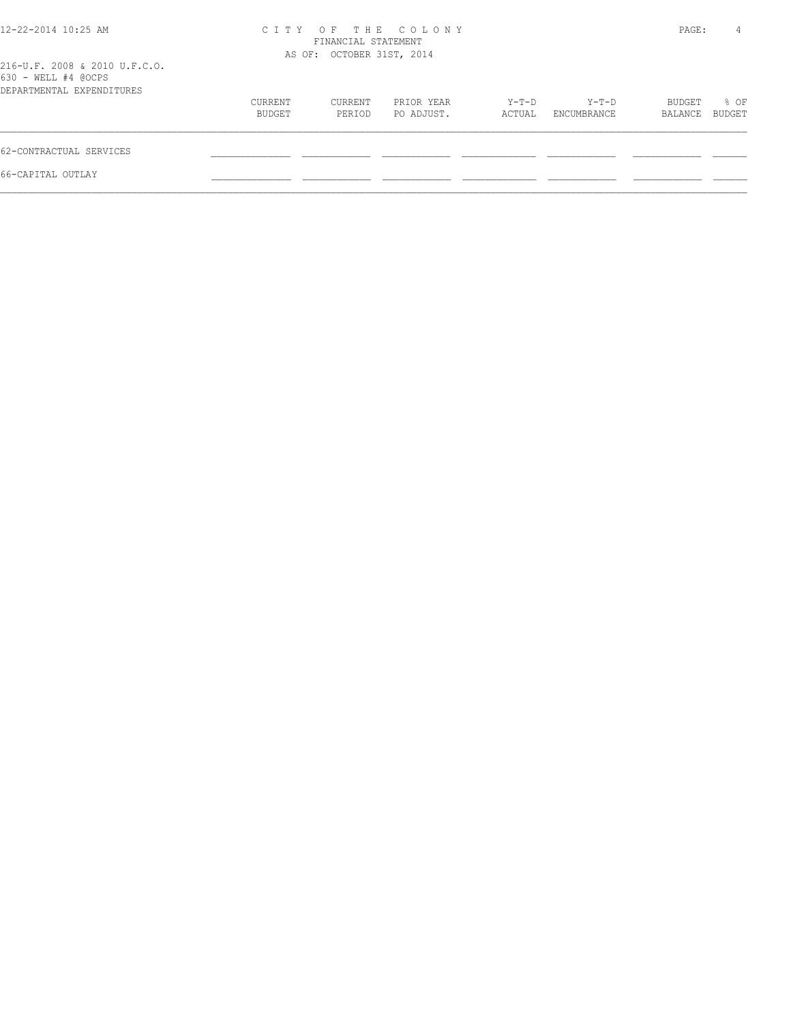| 12-22-2014 10:25 AM                                                               | CITY OF THE COLONY<br>FINANCIAL STATEMENT<br>AS OF: OCTOBER 31ST, 2014 |                   |                          |                 |                      | PAGE:             | 4              |
|-----------------------------------------------------------------------------------|------------------------------------------------------------------------|-------------------|--------------------------|-----------------|----------------------|-------------------|----------------|
| 216-U.F. 2008 & 2010 U.F.C.O.<br>630 - WELL #4 @OCPS<br>DEPARTMENTAL EXPENDITURES |                                                                        |                   |                          |                 |                      |                   |                |
|                                                                                   | CURRENT<br>BUDGET                                                      | CURRENT<br>PERIOD | PRIOR YEAR<br>PO ADJUST. | Y-T-D<br>ACTUAL | Y-T-D<br>ENCUMBRANCE | BUDGET<br>BALANCE | % OF<br>BUDGET |
| 62-CONTRACTUAL SERVICES                                                           |                                                                        |                   |                          |                 |                      |                   |                |
| 66-CAPITAL OUTLAY                                                                 |                                                                        |                   |                          |                 |                      |                   |                |
|                                                                                   |                                                                        |                   |                          |                 |                      |                   |                |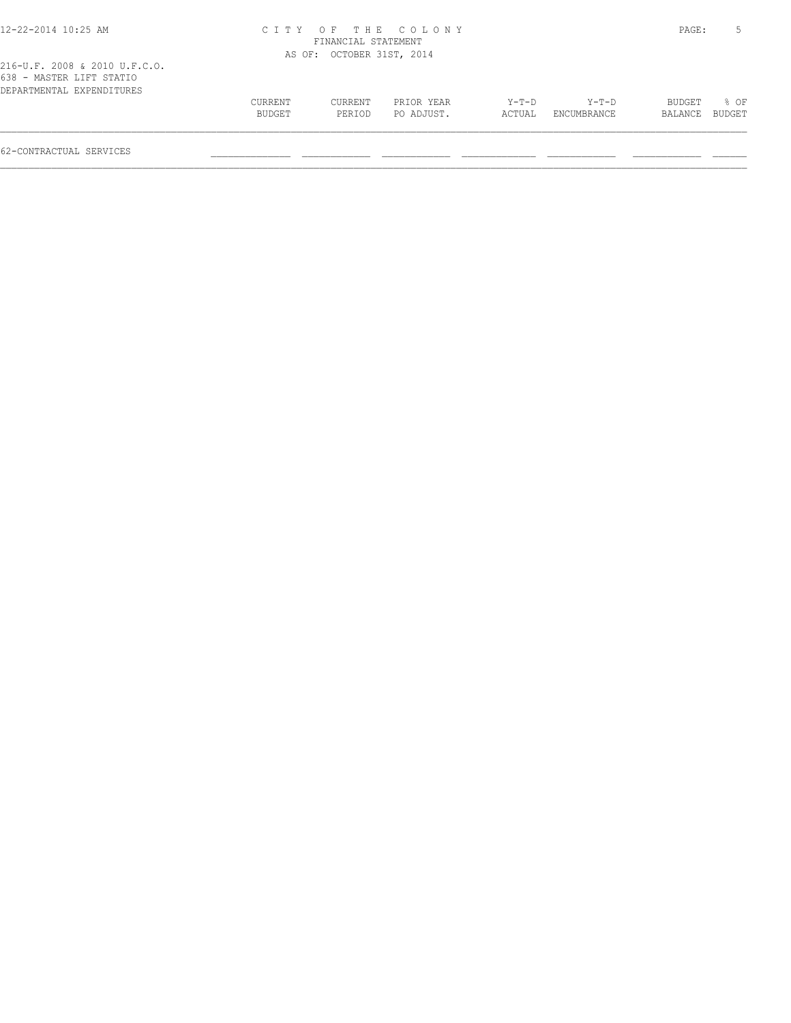| 12-22-2014 10:25 AM           |         |                           | CITY OF THE COLONY |        |             | PAGE:   |        |
|-------------------------------|---------|---------------------------|--------------------|--------|-------------|---------|--------|
|                               |         | FINANCIAL STATEMENT       |                    |        |             |         |        |
|                               |         | AS OF: OCTOBER 31ST, 2014 |                    |        |             |         |        |
| 216-U.F. 2008 & 2010 U.F.C.O. |         |                           |                    |        |             |         |        |
| 638 - MASTER LIFT STATIO      |         |                           |                    |        |             |         |        |
| DEPARTMENTAL EXPENDITURES     |         |                           |                    |        |             |         |        |
|                               | CURRENT | CURRENT                   | PRIOR YEAR         | Y-T-D  | Y-T-D       | BUDGET  | 8 OF   |
|                               | BUDGET  | PERTOD                    | PO ADJUST.         | ACTUAL | ENCUMBRANCE | BALANCE | BUDGET |
|                               |         |                           |                    |        |             |         |        |
|                               |         |                           |                    |        |             |         |        |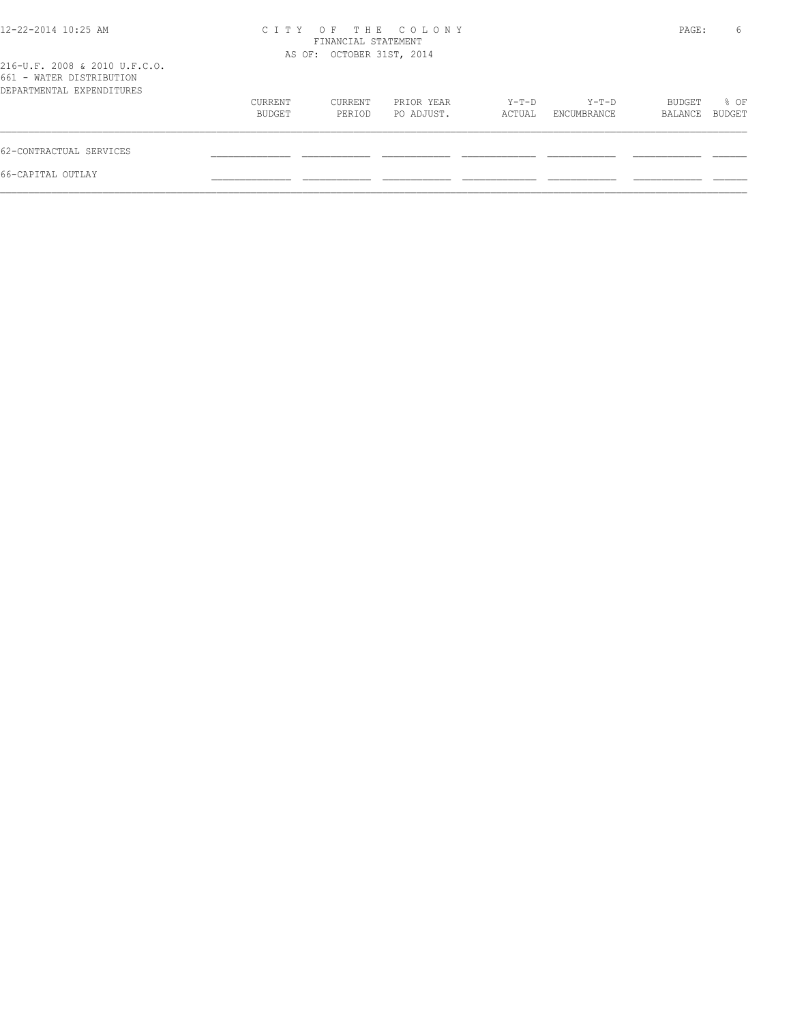| 12-22-2014 10:25 AM                                                                    | CITY OF THE COLONY<br>FINANCIAL STATEMENT<br>AS OF: OCTOBER 31ST, 2014 |                   |                          |                 |                      | PAGE:             | 6              |
|----------------------------------------------------------------------------------------|------------------------------------------------------------------------|-------------------|--------------------------|-----------------|----------------------|-------------------|----------------|
| 216-U.F. 2008 & 2010 U.F.C.O.<br>661 - WATER DISTRIBUTION<br>DEPARTMENTAL EXPENDITURES |                                                                        |                   |                          |                 |                      |                   |                |
|                                                                                        | CURRENT<br>BUDGET                                                      | CURRENT<br>PERIOD | PRIOR YEAR<br>PO ADJUST. | Y-T-D<br>ACTUAL | Y-T-D<br>ENCUMBRANCE | BUDGET<br>BALANCE | % OF<br>BUDGET |
| 62-CONTRACTUAL SERVICES                                                                |                                                                        |                   |                          |                 |                      |                   |                |
| 66-CAPITAL OUTLAY                                                                      |                                                                        |                   |                          |                 |                      |                   |                |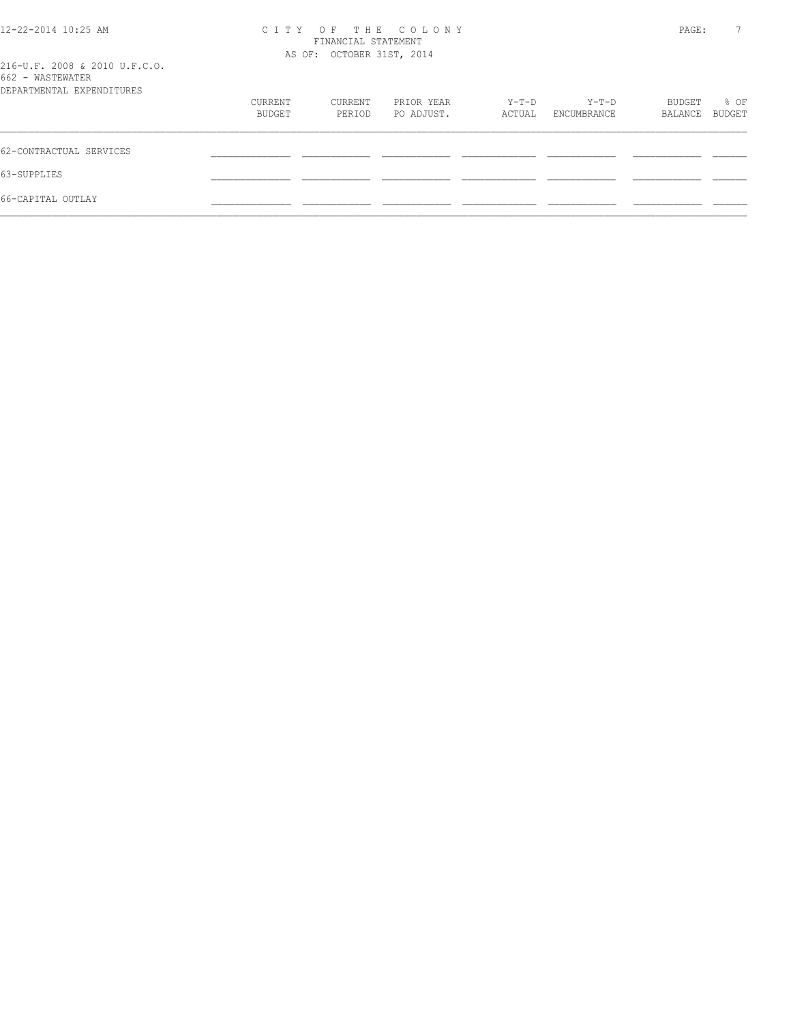| $12 - 22 - 2014$ 10:25 AM<br>216-U.F. 2008 & 2010 U.F.C.O. | OF THE COLONY<br>C T T Y<br>FINANCIAL STATEMENT<br>AS OF: OCTOBER 31ST, 2014 |         |            |        |             |         | PAGE:  |
|------------------------------------------------------------|------------------------------------------------------------------------------|---------|------------|--------|-------------|---------|--------|
| 662 - WASTEWATER                                           |                                                                              |         |            |        |             |         |        |
| DEPARTMENTAL EXPENDITURES                                  |                                                                              |         |            |        |             |         |        |
|                                                            | CURRENT                                                                      | CURRENT | PRIOR YEAR | Y-T-D  | $Y-T-D$     | BUDGET  | % OF   |
|                                                            | BUDGET                                                                       | PERIOD  | PO ADJUST. | ACTUAL | ENCUMBRANCE | BALANCE | BUDGET |
| 62-CONTRACTUAL SERVICES                                    |                                                                              |         |            |        |             |         |        |
| 63-SUPPLIES                                                |                                                                              |         |            |        |             |         |        |
| 66-CAPITAL OUTLAY                                          |                                                                              |         |            |        |             |         |        |
|                                                            |                                                                              |         |            |        |             |         |        |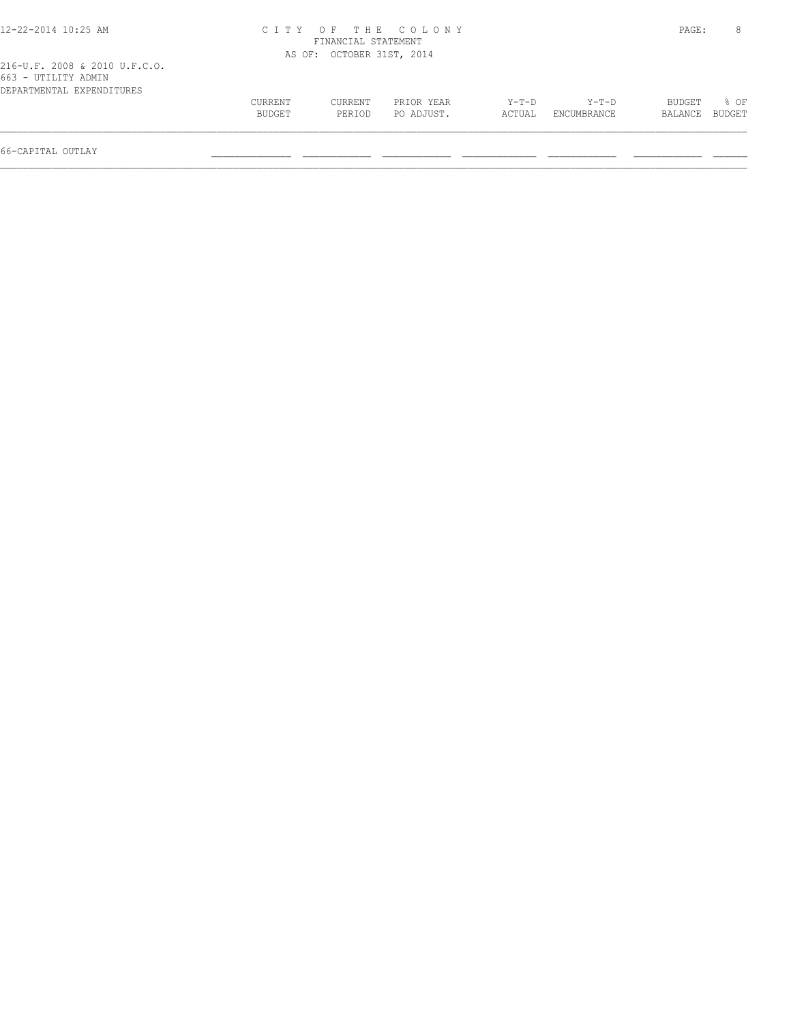| 12-22-2014 10:25 AM           |         |                           | CITY OF THE COLONY |         |             | PAGE:   |        |
|-------------------------------|---------|---------------------------|--------------------|---------|-------------|---------|--------|
|                               |         | FINANCIAL STATEMENT       |                    |         |             |         |        |
|                               |         | AS OF: OCTOBER 31ST, 2014 |                    |         |             |         |        |
| 216-U.F. 2008 & 2010 U.F.C.O. |         |                           |                    |         |             |         |        |
| 663 - UTILITY ADMIN           |         |                           |                    |         |             |         |        |
| DEPARTMENTAL EXPENDITURES     |         |                           |                    |         |             |         |        |
|                               | CURRENT | CURRENT                   | PRIOR YEAR         | $Y-T-D$ | Y-T-D       | BUDGET  | $8$ OF |
|                               | BUDGET  | PERIOD                    | PO ADJUST.         | ACTUAL  | ENCUMBRANCE | BALANCE | BUDGET |
|                               |         |                           |                    |         |             |         |        |
|                               |         |                           |                    |         |             |         |        |

66-CAPITAL OUTLAY \_\_\_\_\_\_\_\_\_\_\_\_\_\_ \_\_\_\_\_\_\_\_\_\_\_\_ \_\_\_\_\_\_\_\_\_\_\_\_ \_\_\_\_\_\_\_\_\_\_\_\_\_ \_\_\_\_\_\_\_\_\_\_\_\_ \_\_\_\_\_\_\_\_\_\_\_\_ \_\_\_\_\_\_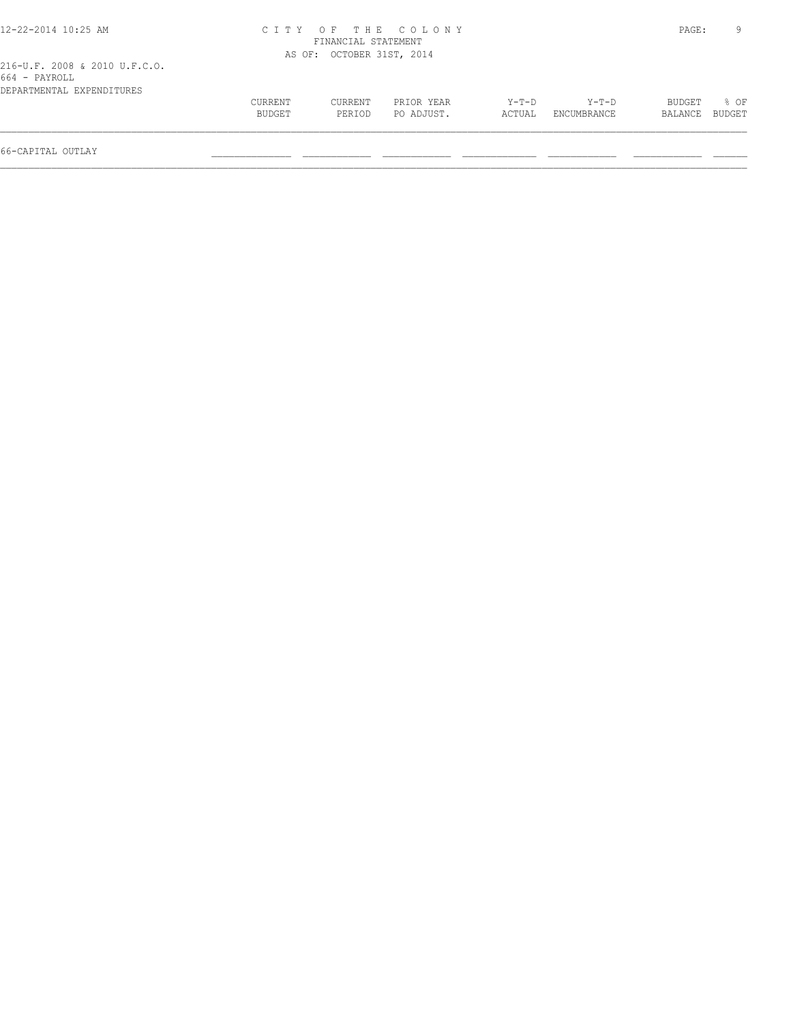| 12-22-2014 10:25 AM                                                         |         |                           | CITY OF THE COLONY |        |             | PAGE:   | 9      |
|-----------------------------------------------------------------------------|---------|---------------------------|--------------------|--------|-------------|---------|--------|
|                                                                             |         | FINANCIAL STATEMENT       |                    |        |             |         |        |
|                                                                             |         | AS OF: OCTOBER 31ST, 2014 |                    |        |             |         |        |
| 216-U.F. 2008 & 2010 U.F.C.O.<br>664 - PAYROLL<br>DEPARTMENTAL EXPENDITURES |         |                           |                    |        |             |         |        |
|                                                                             | CURRENT | CURRENT                   | PRIOR YEAR         | Y-T-D  | Y-T-D       | BUDGET  | 8 OF   |
|                                                                             | BUDGET  | PERIOD                    | PO ADJUST.         | ACTUAL | ENCUMBRANCE | BALANCE | BUDGET |
| 66-CAPITAL OUTLAY                                                           |         |                           |                    |        |             |         |        |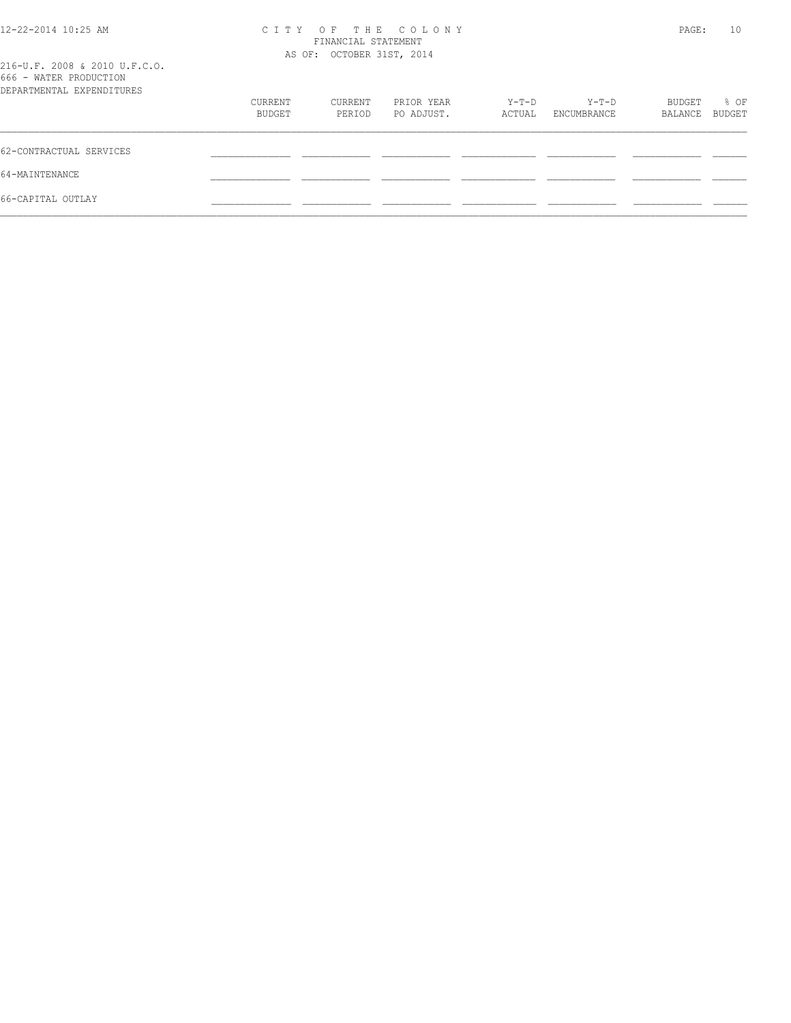| 12-22-2014 10:25 AM                                     |         | FINANCIAL STATEMENT<br>AS OF: OCTOBER 31ST, 2014 | CITY OF THE COLONY |        |             | PAGE:   | 10     |
|---------------------------------------------------------|---------|--------------------------------------------------|--------------------|--------|-------------|---------|--------|
| 216-U.F. 2008 & 2010 U.F.C.O.<br>666 - WATER PRODUCTION |         |                                                  |                    |        |             |         |        |
| DEPARTMENTAL EXPENDITURES                               |         |                                                  |                    |        |             |         |        |
|                                                         | CURRENT | CURRENT                                          | PRIOR YEAR         | Y-T-D  | Y-T-D       | BUDGET  | % OF   |
|                                                         | BUDGET  | PERIOD                                           | PO ADJUST.         | ACTUAL | ENCUMBRANCE | BALANCE | BUDGET |
| 62-CONTRACTUAL SERVICES                                 |         |                                                  |                    |        |             |         |        |
| 64-MAINTENANCE                                          |         |                                                  |                    |        |             |         |        |
| 66-CAPITAL OUTLAY                                       |         |                                                  |                    |        |             |         |        |
|                                                         |         |                                                  |                    |        |             |         |        |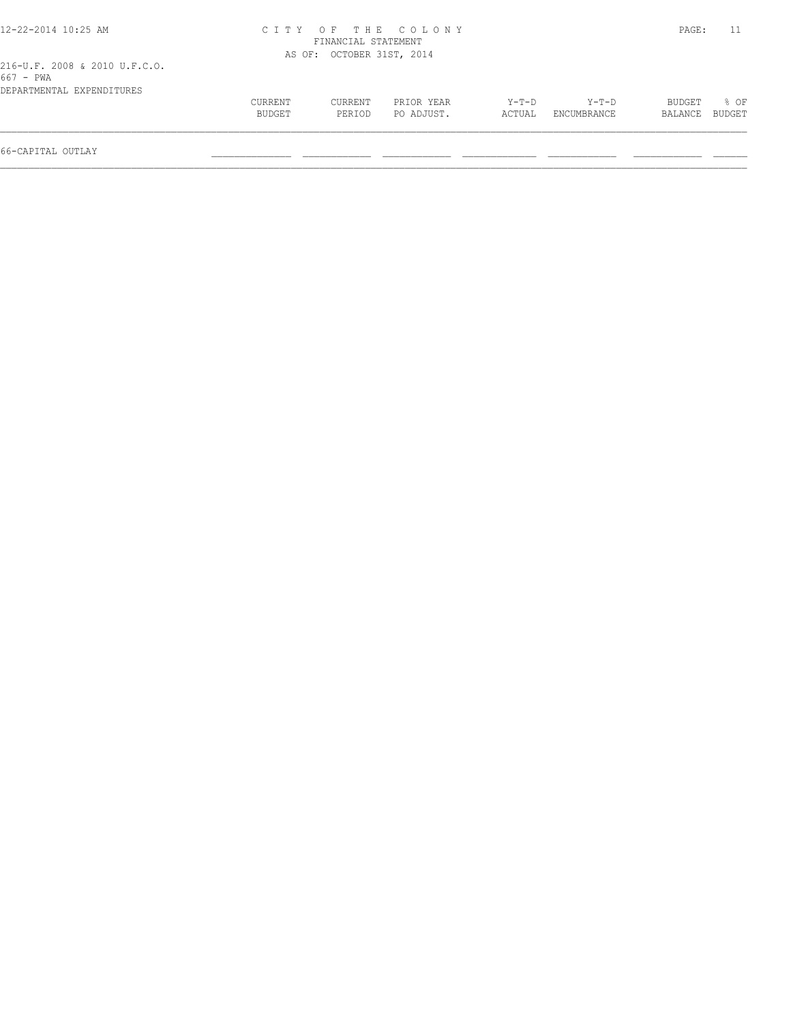| 12-22-2014 10:25 AM                                                     |                |                           | CITY OF THE COLONY |        |             | PAGE:         |        |
|-------------------------------------------------------------------------|----------------|---------------------------|--------------------|--------|-------------|---------------|--------|
|                                                                         |                | FINANCIAL STATEMENT       |                    |        |             |               |        |
|                                                                         |                | AS OF: OCTOBER 31ST, 2014 |                    |        |             |               |        |
| 216-U.F. 2008 & 2010 U.F.C.O.<br>667 - PWA<br>DEPARTMENTAL EXPENDITURES |                |                           |                    |        |             |               |        |
|                                                                         | <b>CURRENT</b> | CURRENT                   | PRIOR YEAR         | Y-T-D  | Y-T-D       | <b>BUDGET</b> | 8 OF   |
|                                                                         | <b>BUDGET</b>  | PERTOD                    | PO ADJUST.         | ACTUAL | ENCUMBRANCE | BALANCE       | BUDGET |
|                                                                         |                |                           |                    |        |             |               |        |
| 66-CAPITAL OUTLAY                                                       |                |                           |                    |        |             |               |        |
|                                                                         |                |                           |                    |        |             |               |        |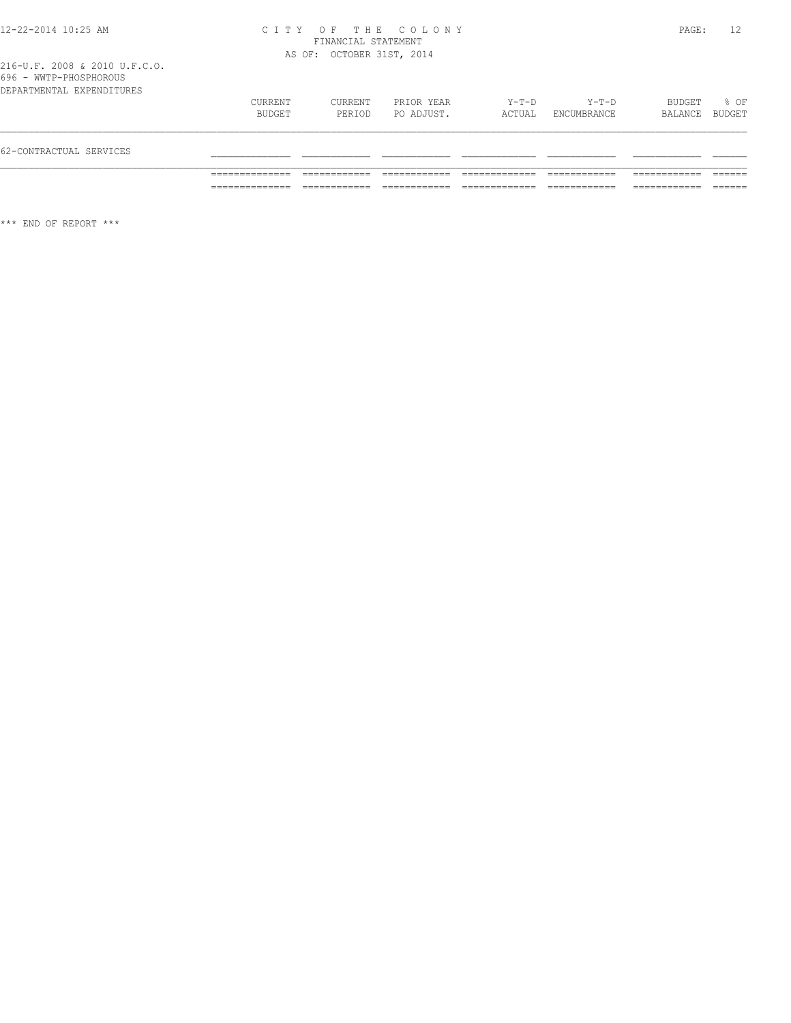216-U.F. 2008 & 2010 U.F.C.O. 696 - WWTP-PHOSPHOROUS

| 62-CONTRACTUAL SERVICES   |                   |                   |                          |                 |                        |                   |                |
|---------------------------|-------------------|-------------------|--------------------------|-----------------|------------------------|-------------------|----------------|
| DEPARTMENTAL EXPENDITURES | CURRENT<br>BUDGET | CURRENT<br>PERIOD | PRIOR YEAR<br>PO ADJUST. | Y-T-D<br>ACTUAL | $Y-T-D$<br>ENCUMBRANCE | BUDGET<br>BALANCE | 8 OF<br>BUDGET |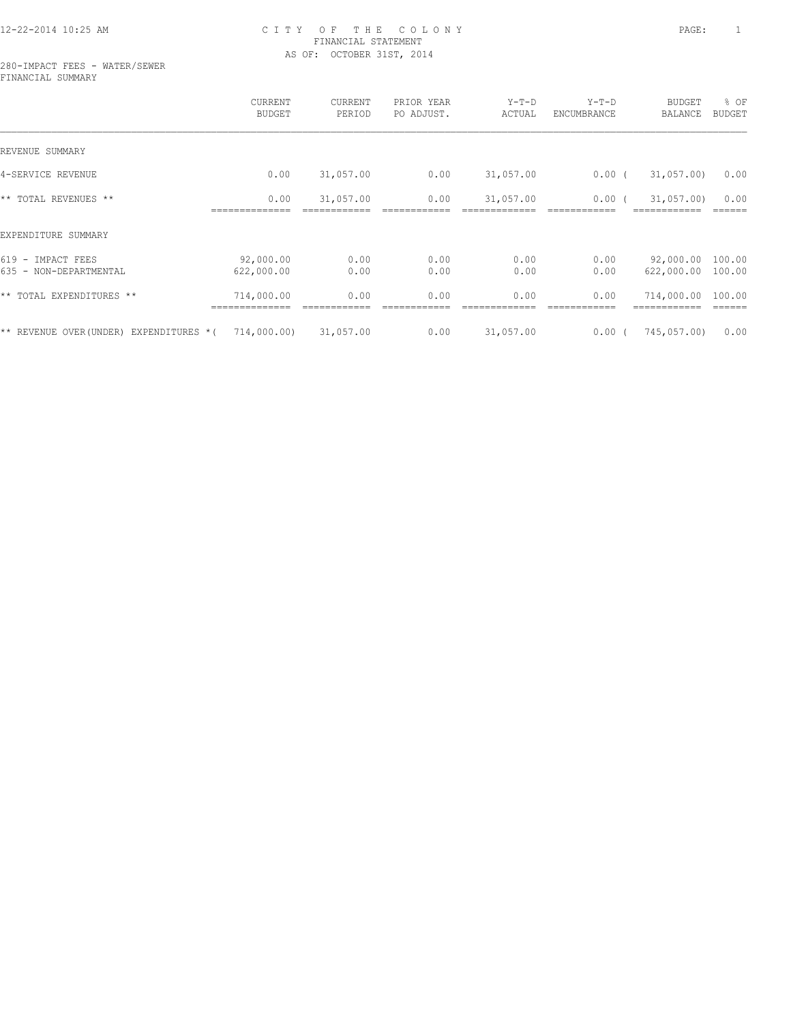#### 280-IMPACT FEES - WATER/SEWER FINANCIAL SUMMARY

|                                                  | CURRENT<br><b>BUDGET</b> | CURRENT<br>PERIOD | PRIOR YEAR<br>PO ADJUST. | $Y-T-D$<br>ACTUAL | $Y-T-D$<br>ENCUMBRANCE | <b>BUDGET</b><br>BALANCE | % OF<br><b>BUDGET</b> |
|--------------------------------------------------|--------------------------|-------------------|--------------------------|-------------------|------------------------|--------------------------|-----------------------|
| REVENUE SUMMARY                                  |                          |                   |                          |                   |                        |                          |                       |
| 4-SERVICE REVENUE                                | 0.00                     | 31,057.00         | 0.00                     | 31,057.00         | $0.00$ (               | 31,057.00                | 0.00                  |
| ** TOTAL REVENUES **                             | 0.00                     | 31,057.00         | 0.00                     | 31,057.00         | 0.00                   | 31,057.00                | 0.00                  |
| EXPENDITURE SUMMARY                              |                          |                   |                          |                   |                        |                          |                       |
| $619 -$<br>IMPACT FEES<br>635 - NON-DEPARTMENTAL | 92,000.00<br>622,000.00  | 0.00<br>0.00      | 0.00<br>0.00             | 0.00<br>0.00      | 0.00<br>0.00           | 92,000.00<br>622,000.00  | 100.00<br>100.00      |
| ** TOTAL EXPENDITURES **                         | 714,000.00               | 0.00              | 0.00                     | 0.00              | 0.00                   | 714,000.00               | 100.00                |
| ** REVENUE OVER (UNDER)<br>EXPENDITURES *(       | 714,000.00)              | 31,057.00         | 0.00                     | 31,057.00         | 0.00(                  | 745,057.00)              | 0.00                  |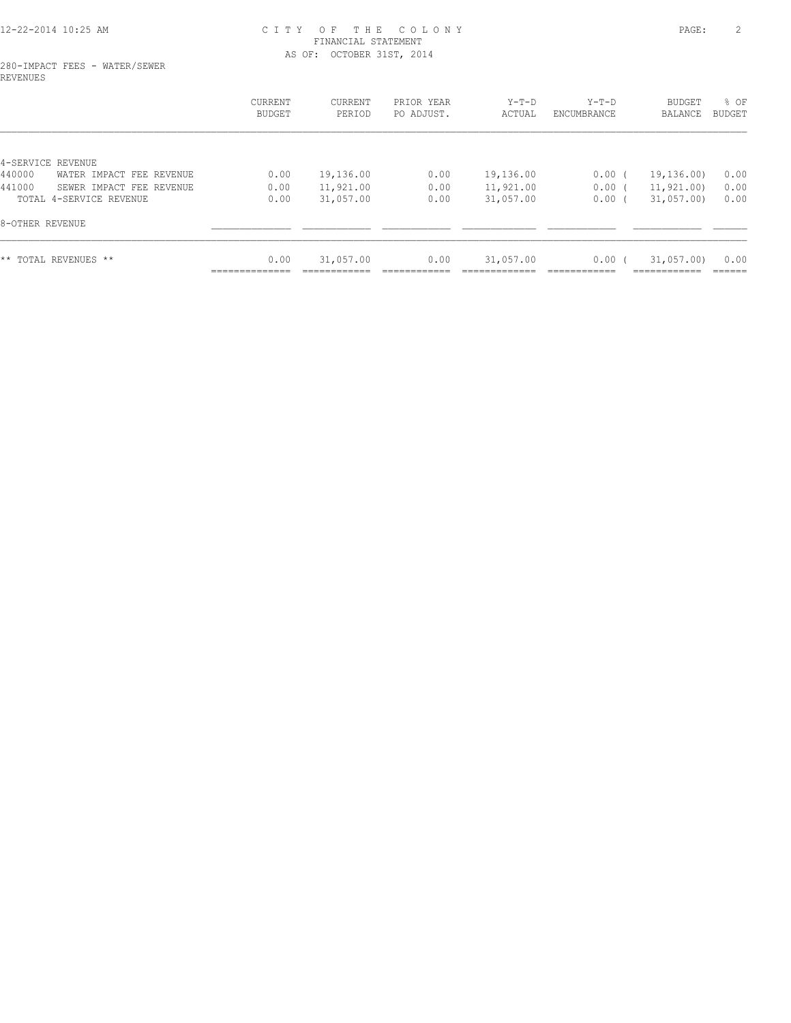#### 280-IMPACT FEES - WATER/SEWER REVENUES

|                                    | CURRENT<br>BUDGET | <b>CURRENT</b><br>PERIOD | PRIOR YEAR<br>PO ADJUST. | $Y-T-D$<br>ACTUAL | $Y-T-D$<br>ENCUMBRANCE | BUDGET<br>BALANCE | % OF<br>BUDGET |
|------------------------------------|-------------------|--------------------------|--------------------------|-------------------|------------------------|-------------------|----------------|
|                                    |                   |                          |                          |                   |                        |                   |                |
| 4-SERVICE REVENUE                  |                   |                          |                          |                   |                        |                   |                |
| 440000<br>WATER IMPACT FEE REVENUE | 0.00              | 19,136.00                | 0.00                     | 19,136.00         | 0.00(                  | 19, 136, 00)      | 0.00           |
| 441000<br>SEWER IMPACT FEE REVENUE | 0.00              | 11,921.00                | 0.00                     | 11,921.00         | 0.00(                  | 11,921.00)        | 0.00           |
| TOTAL 4-SERVICE REVENUE            | 0.00              | 31,057.00                | 0.00                     | 31,057.00         | 0.00                   | 31,057.00         | 0.00           |
| 8-OTHER REVENUE                    |                   |                          |                          |                   |                        |                   |                |
| ** TOTAL REVENUES **               | 0.00              | 31,057.00                | 0.00                     | 31,057.00         | 0.00                   | 31,057.00         | 0.00           |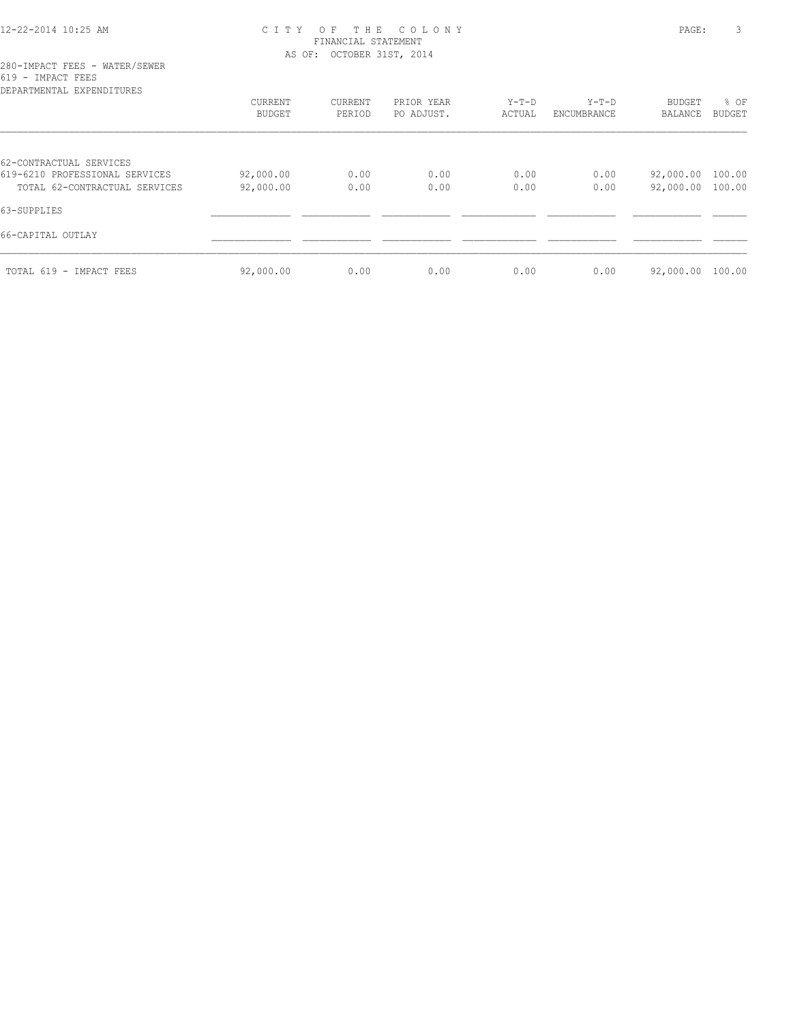| DEPARTMENTAL EXPENDITURES                                 |           |         |            |         |             |                  |               |
|-----------------------------------------------------------|-----------|---------|------------|---------|-------------|------------------|---------------|
|                                                           | CURRENT   | CURRENT | PRIOR YEAR | $Y-T-D$ | $Y-T-D$     | BUDGET           | % OF          |
|                                                           | BUDGET    | PERIOD  | PO ADJUST. | ACTUAL  | ENCUMBRANCE | BALANCE          | <b>BUDGET</b> |
|                                                           |           |         |            |         |             |                  |               |
| 62-CONTRACTUAL SERVICES<br>619-6210 PROFESSIONAL SERVICES | 92,000.00 | 0.00    | 0.00       | 0.00    | 0.00        | 92,000.00        | 100.00        |
| TOTAL 62-CONTRACTUAL SERVICES                             | 92,000.00 | 0.00    | 0.00       | 0.00    | 0.00        | 92,000.00        | 100.00        |
| 63-SUPPLIES                                               |           |         |            |         |             |                  |               |
| 66-CAPITAL OUTLAY                                         |           |         |            |         |             |                  |               |
| TOTAL 619 - IMPACT FEES                                   | 92,000.00 | 0.00    | 0.00       | 0.00    | 0.00        | 92,000.00 100.00 |               |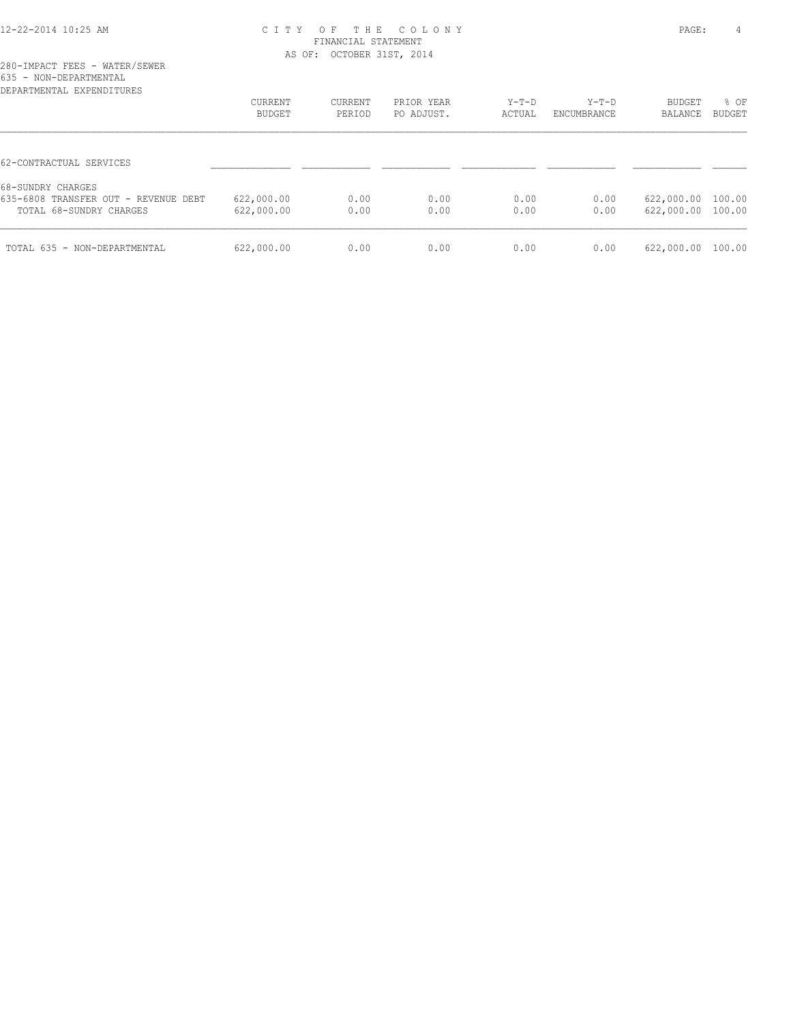| DEPARTMENTAL EXPENDITURES            |            |         |            |        |             |                   |               |
|--------------------------------------|------------|---------|------------|--------|-------------|-------------------|---------------|
|                                      | CURRENT    | CURRENT | PRIOR YEAR | Y-T-D  | $Y-T-D$     | BUDGET            | % OF          |
|                                      | BUDGET     | PERIOD  | PO ADJUST. | ACTUAL | ENCUMBRANCE | BALANCE           | <b>BUDGET</b> |
|                                      |            |         |            |        |             |                   |               |
| 62-CONTRACTUAL SERVICES              |            |         |            |        |             |                   |               |
| 68-SUNDRY CHARGES                    |            |         |            |        |             |                   |               |
| 635-6808 TRANSFER OUT - REVENUE DEBT | 622,000.00 | 0.00    | 0.00       | 0.00   | 0.00        | 622,000.00 100.00 |               |
| TOTAL 68-SUNDRY CHARGES              | 622,000.00 | 0.00    | 0.00       | 0.00   | 0.00        | 622,000.00 100.00 |               |
| TOTAL 635 - NON-DEPARTMENTAL         | 622,000.00 | 0.00    | 0.00       | 0.00   | 0.00        | 622,000.00        | 100.00        |
|                                      |            |         |            |        |             |                   |               |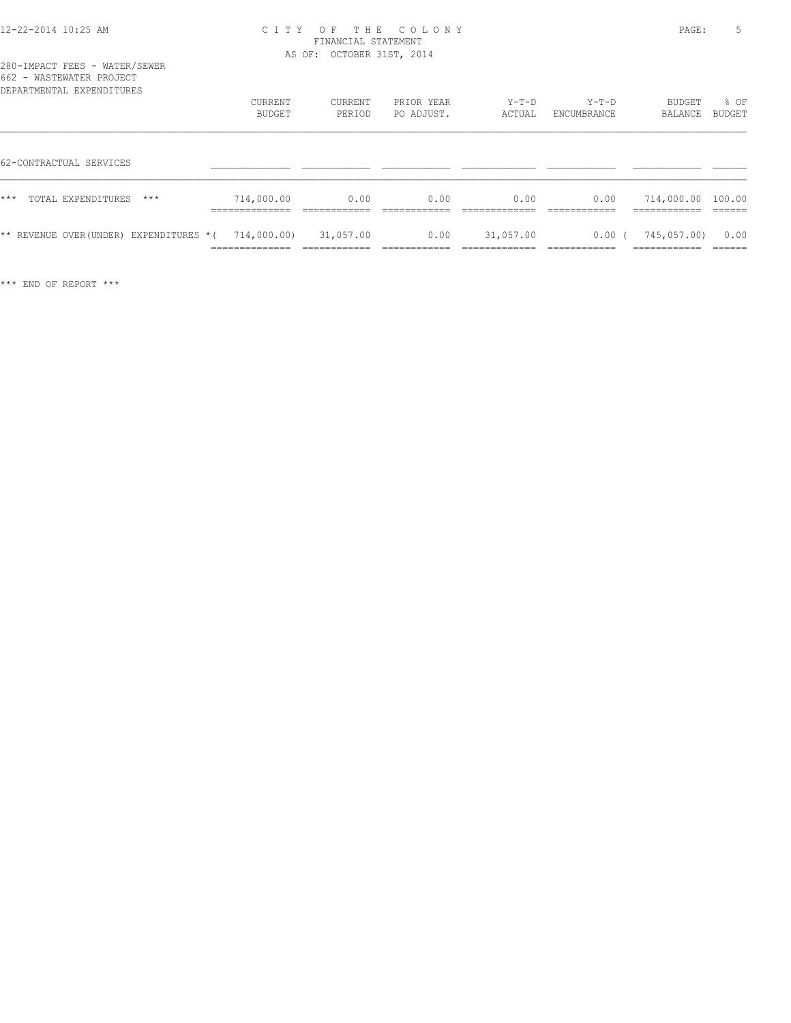| 662 - WASTEWATER PROJECT<br>DEPARTMENTAL EXPENDITURES |                   |                   |                          |                   |                        |                   |                       |
|-------------------------------------------------------|-------------------|-------------------|--------------------------|-------------------|------------------------|-------------------|-----------------------|
|                                                       | CURRENT<br>BUDGET | CURRENT<br>PERIOD | PRIOR YEAR<br>PO ADJUST. | $Y-T-D$<br>ACTUAL | $Y-T-D$<br>ENCUMBRANCE | BUDGET<br>BALANCE | % OF<br><b>BUDGET</b> |
| 62-CONTRACTUAL SERVICES                               |                   |                   |                          |                   |                        |                   |                       |
|                                                       |                   |                   |                          |                   |                        |                   |                       |
| $***$<br>TOTAL EXPENDITURES<br>$***$                  | 714,000.00        | 0.00              | 0.00                     | 0.00              | 0.00                   | 714,000.00 100.00 |                       |
| ** REVENUE OVER(UNDER) EXPENDITURES *(                | 714,000.00)       | 31,057.00         | 0.00                     | 31,057.00         | 0.00                   | 745,057.00)       | 0.00                  |

============== ============ ============ ============= ============ ============ ======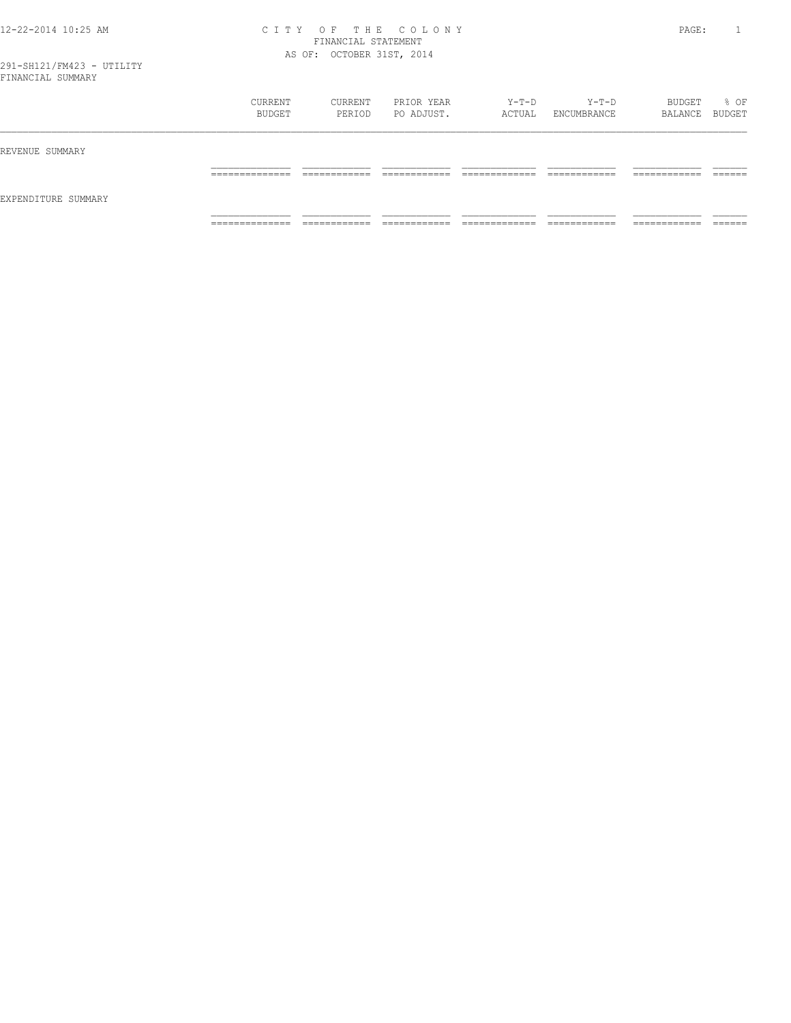|                     | CURRENT<br>BUDGET                 | CURRENT<br>PERIOD            | PRIOR YEAR<br>PO ADJUST.   | Y-T-D<br>ACTUAL                | Y-T-D<br>ENCUMBRANCE         | BUDGET<br>BALANCE BUDGET      | % OF               |
|---------------------|-----------------------------------|------------------------------|----------------------------|--------------------------------|------------------------------|-------------------------------|--------------------|
| REVENUE SUMMARY     |                                   |                              |                            |                                |                              |                               |                    |
|                     | ______________<br>_______________ | ____________<br>____________ | -------------<br>_________ | _____________<br>_____________ | ____________<br>____________ | -------------<br>____________ | -------<br>_______ |
| EXPENDITURE SUMMARY |                                   |                              |                            |                                |                              |                               |                    |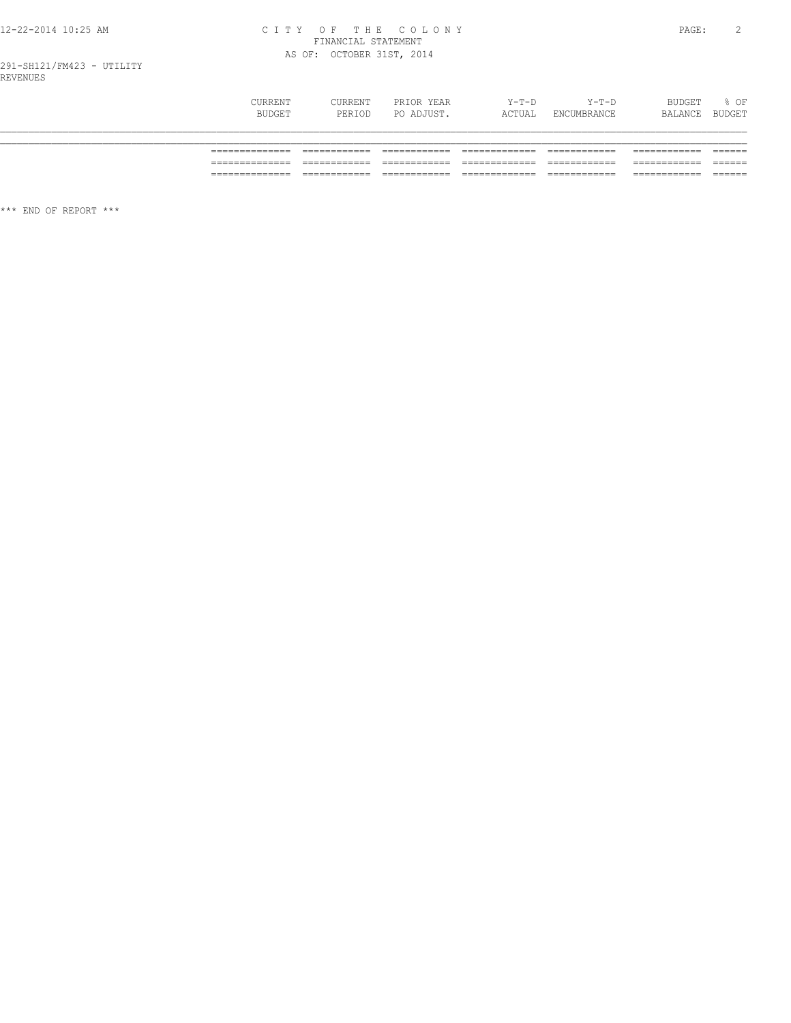# 12-22-2014 10:25 AM CITY OF THE COLONY<br>FINANCIAL STATEMENT<br>AS OF: OCTOBER 31ST, 2014

| CURRENT<br>BUDGET | CURRENT<br>PERIOD | PRIOR YEAR<br>PO ADJUST. | $Y-T-D$<br>ACTUAL | $Y-T-D$<br>ENCUMBRANCE | BUDGET<br>BALANCE | % OF<br>BUDGET |
|-------------------|-------------------|--------------------------|-------------------|------------------------|-------------------|----------------|
|                   |                   |                          |                   |                        |                   |                |
|                   |                   |                          |                   |                        |                   |                |
|                   |                   |                          |                   |                        |                   |                |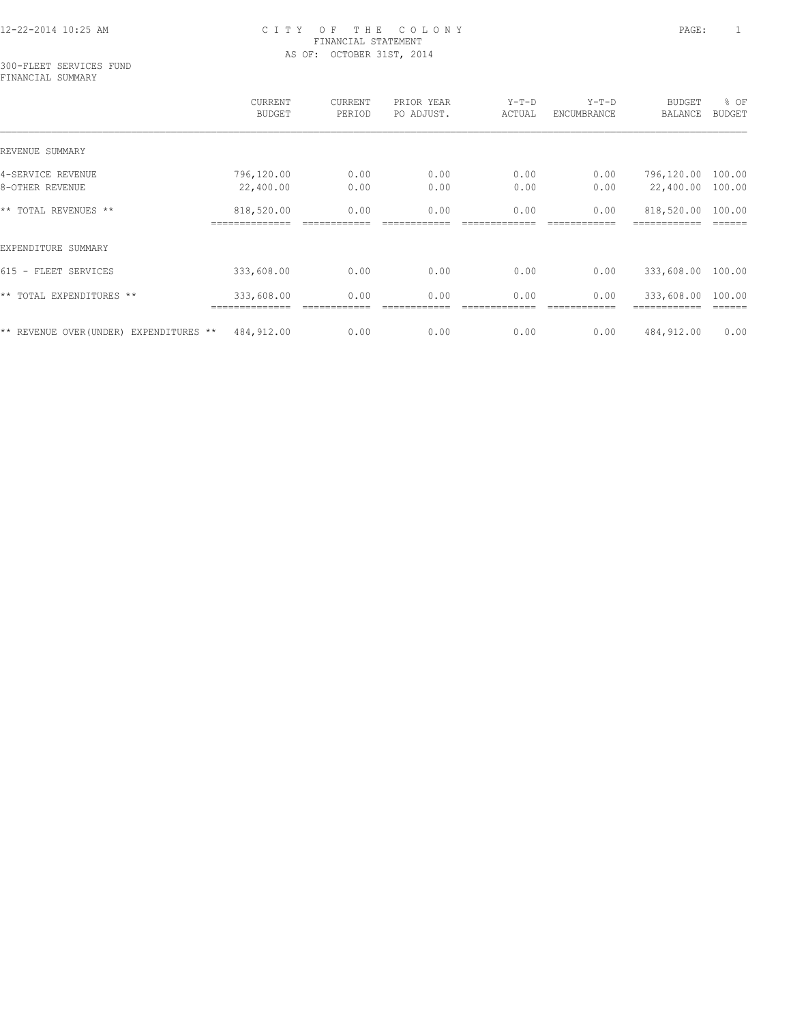#### 300-FLEET SERVICES FUND FINANCIAL SUMMARY

|                                            | CURRENT<br><b>BUDGET</b>  | CURRENT<br>PERIOD | PRIOR YEAR<br>PO ADJUST. | $Y-T-D$<br>ACTUAL | $Y-T-D$<br>ENCUMBRANCE | <b>BUDGET</b><br>BALANCE | % OF<br><b>BUDGET</b> |
|--------------------------------------------|---------------------------|-------------------|--------------------------|-------------------|------------------------|--------------------------|-----------------------|
| REVENUE SUMMARY                            |                           |                   |                          |                   |                        |                          |                       |
| 4-SERVICE REVENUE                          | 796,120.00                | 0.00              | 0.00                     | 0.00              | 0.00                   | 796,120.00               | 100.00                |
| 8-OTHER REVENUE                            | 22,400.00                 | 0.00              | 0.00                     | 0.00              | 0.00                   | 22,400.00                | 100.00                |
| ** TOTAL REVENUES **                       | 818,520.00                | 0.00              | 0.00                     | 0.00              | 0.00                   | 818,520.00               | 100.00                |
| EXPENDITURE SUMMARY                        |                           |                   |                          |                   |                        |                          |                       |
| 615 - FLEET SERVICES                       | 333,608.00                | 0.00              | 0.00                     | 0.00              | 0.00                   | 333,608.00               | 100.00                |
| ** TOTAL EXPENDITURES **                   | 333,608.00<br>.========== | 0.00              | 0.00                     | 0.00              | 0.00                   | 333,608.00               | 100.00                |
| ** REVENUE OVER (UNDER)<br>EXPENDITURES ** | 484,912.00                | 0.00              | 0.00                     | 0.00              | 0.00                   | 484,912.00               | 0.00                  |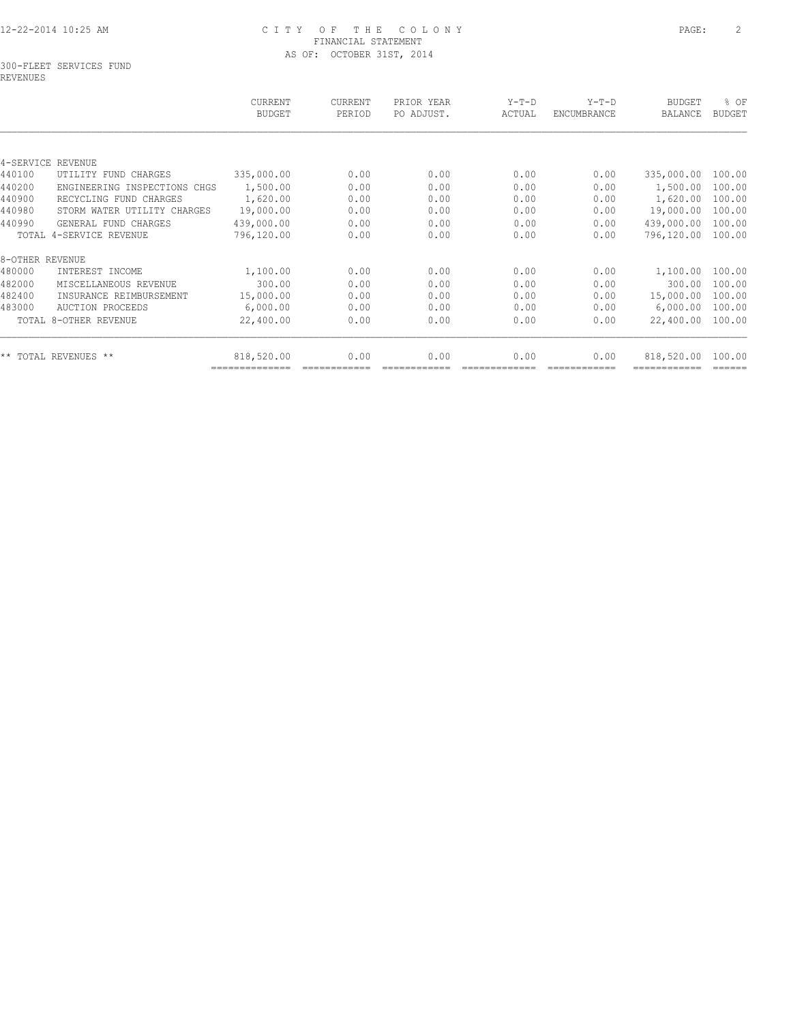#### 300-FLEET SERVICES FUND REVENUES

| 335,000.00 | 0.00 | 0.00 | 0.00 | 0.00 | 335,000.00 | 100.00 |
|------------|------|------|------|------|------------|--------|
| 1,500.00   | 0.00 | 0.00 | 0.00 | 0.00 | 1,500.00   | 100.00 |
| 1,620.00   | 0.00 | 0.00 | 0.00 | 0.00 | 1,620.00   | 100.00 |
| 19,000.00  | 0.00 | 0.00 | 0.00 | 0.00 | 19,000.00  | 100.00 |
| 439,000.00 | 0.00 | 0.00 | 0.00 | 0.00 | 439,000.00 | 100.00 |
| 796,120.00 | 0.00 | 0.00 | 0.00 | 0.00 | 796,120.00 | 100.00 |
|            |      |      |      |      |            |        |
| 1,100.00   | 0.00 | 0.00 | 0.00 | 0.00 | 1,100.00   | 100.00 |
| 300.00     | 0.00 | 0.00 | 0.00 | 0.00 | 300.00     | 100.00 |
| 15,000.00  | 0.00 | 0.00 | 0.00 | 0.00 | 15,000.00  | 100.00 |
| 6,000.00   | 0.00 | 0.00 | 0.00 | 0.00 | 6,000.00   | 100.00 |
| 22,400.00  | 0.00 | 0.00 | 0.00 | 0.00 | 22,400.00  | 100.00 |
| 818,520.00 | 0.00 | 0.00 | 0.00 | 0.00 | 818,520.00 | 100.00 |
|            |      |      |      |      |            |        |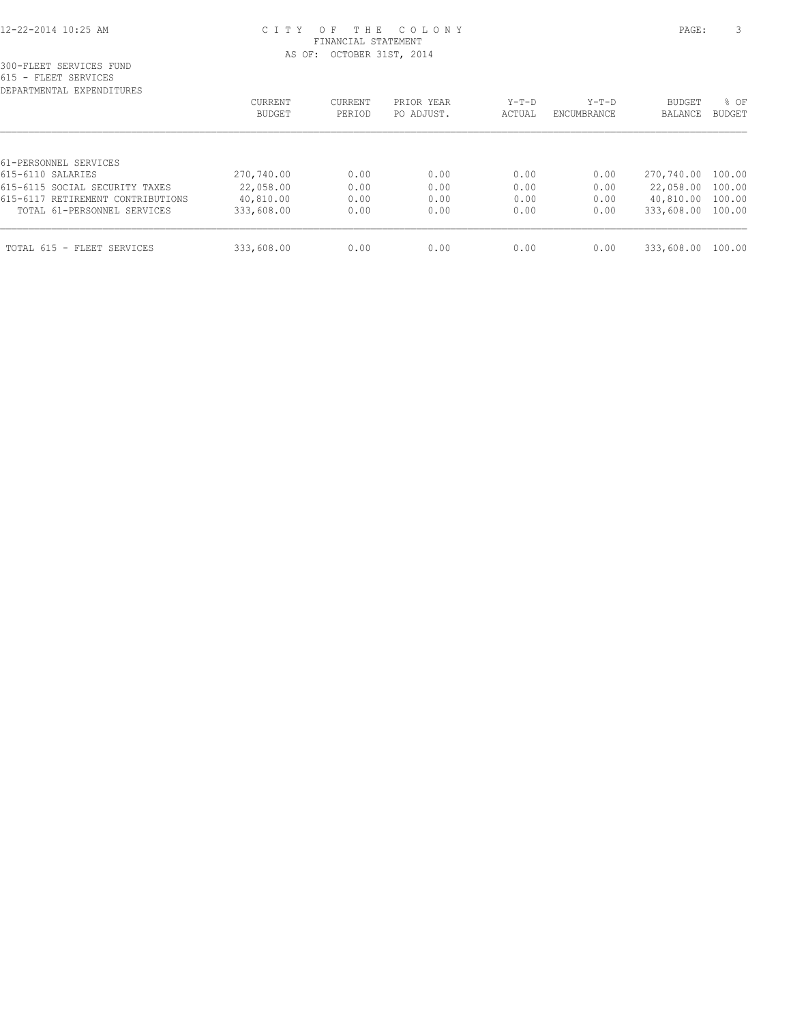| DEPARTMENTAL EXPENDITURES         |                          |                   |                          |                 |                        |                   |                       |
|-----------------------------------|--------------------------|-------------------|--------------------------|-----------------|------------------------|-------------------|-----------------------|
|                                   | <b>CURRENT</b><br>BUDGET | CURRENT<br>PERIOD | PRIOR YEAR<br>PO ADJUST. | Y-T-D<br>ACTUAL | $Y-T-D$<br>ENCUMBRANCE | BUDGET<br>BALANCE | % OF<br><b>BUDGET</b> |
|                                   |                          |                   |                          |                 |                        |                   |                       |
| 61-PERSONNEL SERVICES             |                          |                   |                          |                 |                        |                   |                       |
| 615-6110 SALARIES                 | 270,740.00               | 0.00              | 0.00                     | 0.00            | 0.00                   | 270,740.00 100.00 |                       |
| 615-6115 SOCIAL SECURITY TAXES    | 22,058.00                | 0.00              | 0.00                     | 0.00            | 0.00                   | 22,058.00 100.00  |                       |
| 615-6117 RETIREMENT CONTRIBUTIONS | 40,810.00                | 0.00              | 0.00                     | 0.00            | 0.00                   | 40,810.00 100.00  |                       |
| TOTAL 61-PERSONNEL SERVICES       | 333,608.00               | 0.00              | 0.00                     | 0.00            | 0.00                   | 333,608.00 100.00 |                       |
| TOTAL 615 - FLEET SERVICES        | 333,608.00               | 0.00              | 0.00                     | 0.00            | 0.00                   | 333,608.00        | 100.00                |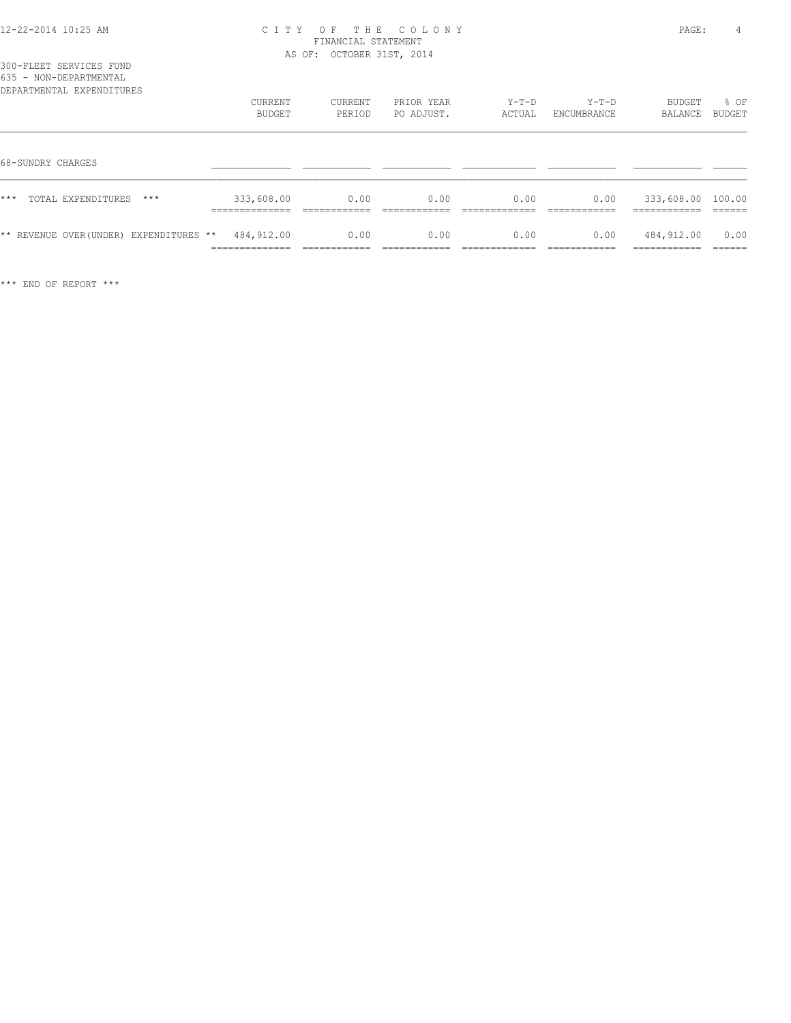|  | 300-FLEET SERVICES FUND |  |
|--|-------------------------|--|
|  | 635 - NON-DEPARTMENTAL  |  |

| <b>UU</b><br>NUN DELINIPERININ<br>DEPARTMENTAL EXPENDITURES | CURRENT<br><b>BUDGET</b>                      | CURRENT<br>PERIOD                   | PRIOR YEAR<br>PO ADJUST. | $Y-T-D$<br>ACTUAL | $Y-T-D$<br>ENCUMBRANCE               | BUDGET<br><b>BALANCE</b>                        | % OF<br>BUDGET           |
|-------------------------------------------------------------|-----------------------------------------------|-------------------------------------|--------------------------|-------------------|--------------------------------------|-------------------------------------------------|--------------------------|
| 68-SUNDRY CHARGES                                           |                                               |                                     |                          |                   |                                      |                                                 |                          |
| ***<br>TOTAL EXPENDITURES<br>$***$                          | 333,608.00<br>--------------<br>_____________ | 0.00                                | 0.00                     | 0.00              | 0.00                                 | 333,608.00 100.00<br>------------<br>---------- |                          |
| ** REVENUE OVER (UNDER) EXPENDITURES **                     | 484,912.00<br>______________<br>------------- | 0.00<br>___________<br>____________ | 0.00<br>____________     | 0.00              | 0.00<br>____________<br>____________ | 484,912.00<br>____________<br>____________      | 0.00<br>______<br>______ |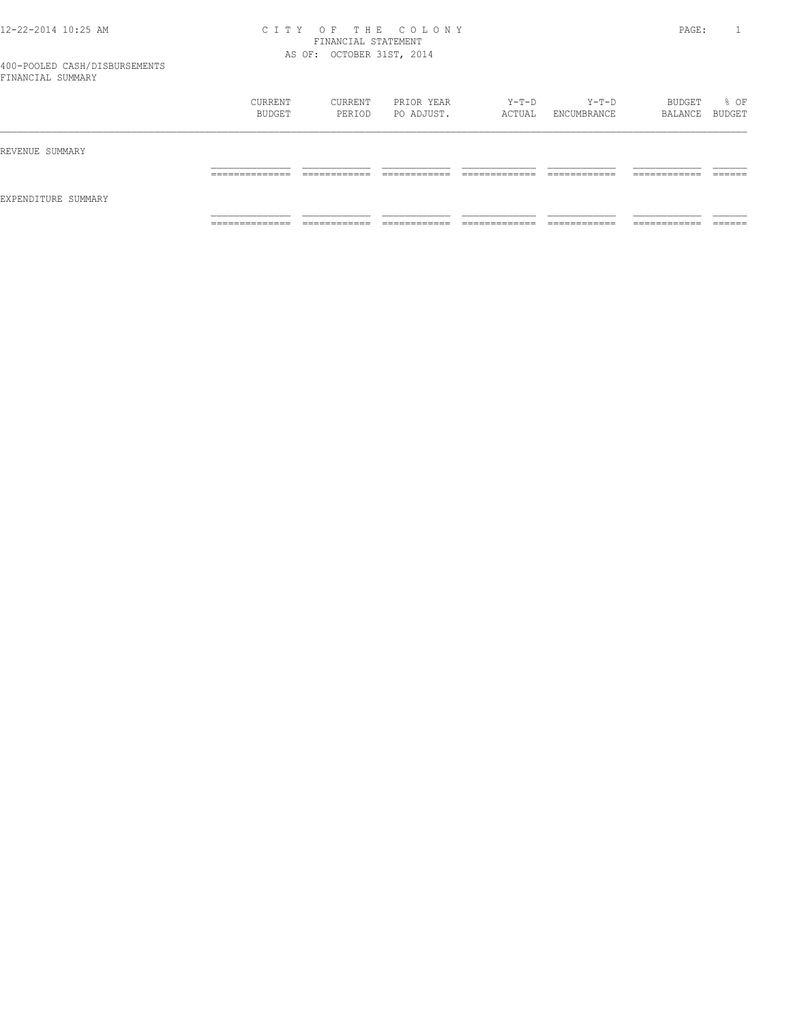|                     | CURRENT<br>BUDGET   | CURRENT<br>PERIOD           | PRIOR YEAR<br>PO ADJUST. | Y-T-D<br>ACTUAL    | Y-T-D<br>ENCUMBRANCE | BUDGET<br>BALANCE BUDGET     | % OF    |
|---------------------|---------------------|-----------------------------|--------------------------|--------------------|----------------------|------------------------------|---------|
| REVENUE SUMMARY     | ______________      | -------------               | ____________             | _____________      | ____________         | ____________                 | ------- |
| EXPENDITURE SUMMARY | ___________         | ____________                | ____________             | ______________     | ____________         | ____________                 | _______ |
|                     | ______________<br>. | ------------<br>----------- | -------------<br>.       | _____________<br>. | -------------<br>.   | -------------<br>----------- |         |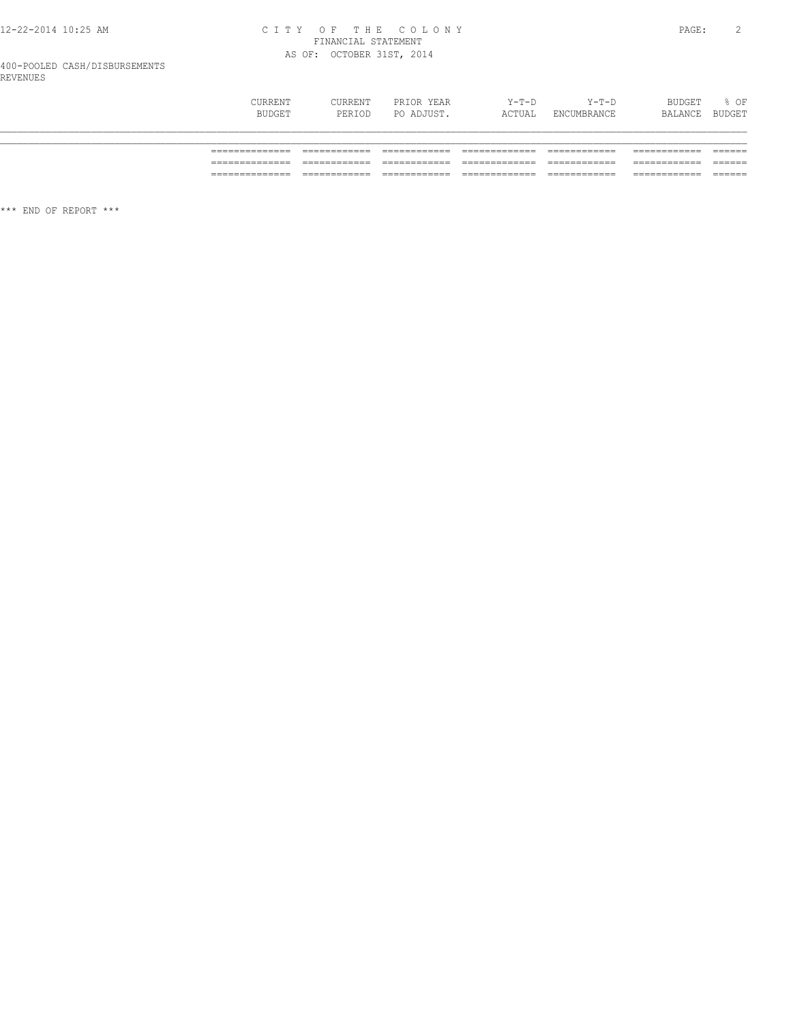# CITY OF THE COLONY<br>
FINANCIAL STATEMENT<br>
AS OF: OCTOBER 31ST, 2014

# 400-POOLED CASH/DISBURSEMENTS<br>REVENUES

|                 | CURRENT<br>CURRENT<br><b>BUDGET</b><br>PERIOD | PRIOR YEAR<br>PO ADJUST. | $Y-T-D$<br>ACTUAL | $Y-T-D$<br>ENCUMBRANCE | <b>BUDGET</b><br>BALANCE | % OF<br><b>BUDGET</b> |
|-----------------|-----------------------------------------------|--------------------------|-------------------|------------------------|--------------------------|-----------------------|
|                 |                                               |                          |                   |                        |                          |                       |
|                 |                                               |                          |                   |                        |                          |                       |
|                 |                                               |                          |                   |                        |                          |                       |
| _______________ |                                               |                          |                   |                        |                          | ______                |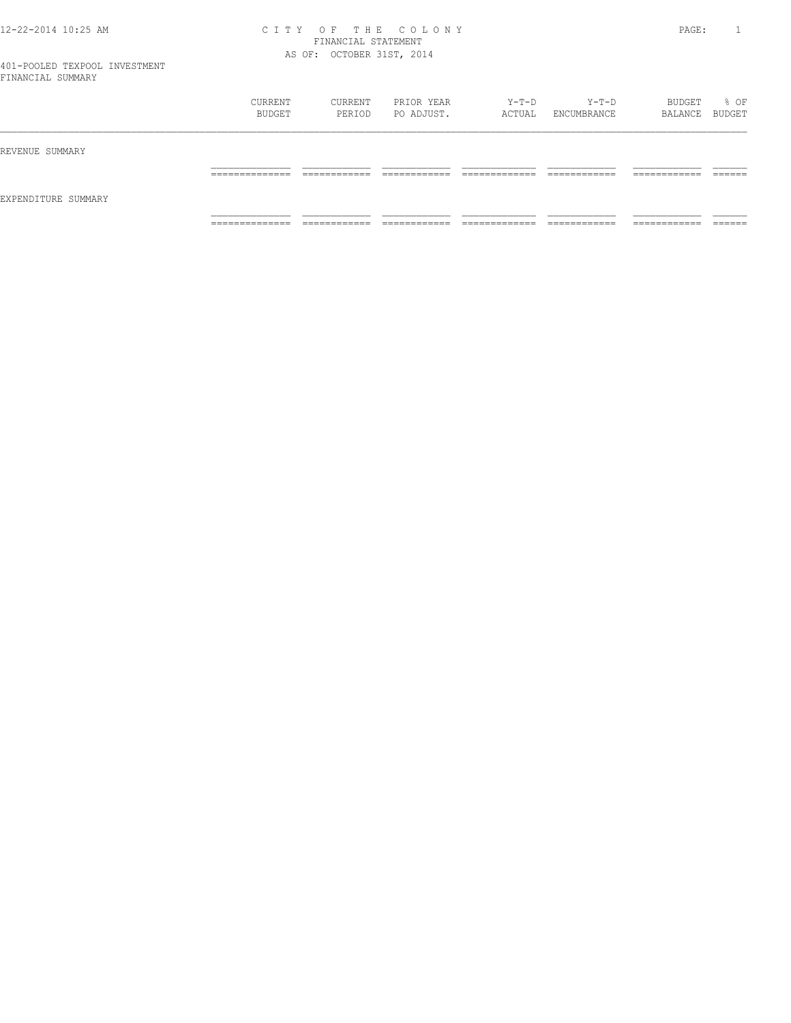|                     | CURRENT<br>BUDGET                 | CURRENT<br>PERIOD           | PRIOR YEAR<br>PO ADJUST.      | Y-T-D<br>ACTUAL                | Y-T-D<br>ENCUMBRANCE         | BUDGET<br>BALANCE BUDGET      | % OF               |
|---------------------|-----------------------------------|-----------------------------|-------------------------------|--------------------------------|------------------------------|-------------------------------|--------------------|
| REVENUE SUMMARY     |                                   |                             |                               |                                |                              |                               |                    |
|                     | ______________<br>_______________ | -------------<br>_________  | -------------                 | _____________                  | ____________<br>____________ | -------------<br>____________ | -------<br>_______ |
| EXPENDITURE SUMMARY |                                   |                             |                               |                                |                              |                               |                    |
|                     | ______________<br>-------------   | ___________<br>____________ | ____________<br>_____________ | _____________<br>_____________ | ____________<br>____________ | -------------<br>____________ | _______            |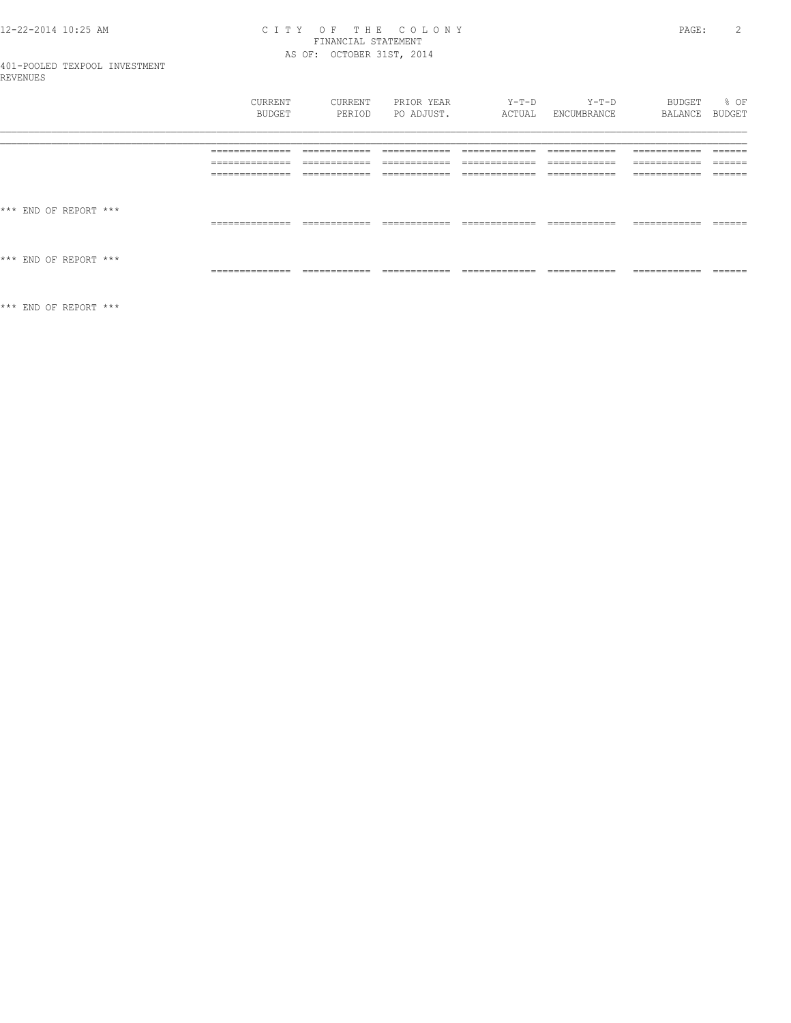# CITY OF THE COLONY<br>FINANCIAL STATEMENT<br>AS OF: OCTOBER 31ST, 2014

| 401-POOLED TEXPOOL INVESTMENT<br>REVENUES |                 |               |                |                 |               |               |               |
|-------------------------------------------|-----------------|---------------|----------------|-----------------|---------------|---------------|---------------|
|                                           | CURRENT         | CURRENT       | PRIOR YEAR     | Y-T-D           | Y-T-D         | BUDGET        | % OF          |
|                                           | BUDGET          | PERIOD        | PO ADJUST.     | ACTUAL          | ENCUMBRANCE   | BALANCE       | BUDGET        |
|                                           | ______________  | ____________  | -------------- | _____________   | ------------- | ------------- | $- - - - - -$ |
|                                           | _______________ | ____________  | ____________   | _____________   | ____________  | ____________  | _______       |
|                                           | --------------  | ------------  | ------------   | -------------   | ------------  | ------------  | $- - - - - -$ |
|                                           | _______________ | ____________  | ____________   | _____________   | ____________  | ____________  | ______        |
|                                           | --------------  | ------------- | -------------- | ____________    | ------------- | ------------- | $- - - - - -$ |
|                                           | --------------- | -----------   | ------------   | --------------  | ------------- | ------------- | _____         |
| *** END OF REPORT ***                     | ______________  | ____________  | ____________   | _____________   | ____________  | ____________  | _______       |
| *** END OF REPORT ***                     | --------------- | ------------- | ------------   | --------------- | ------------- | ------------- | ------        |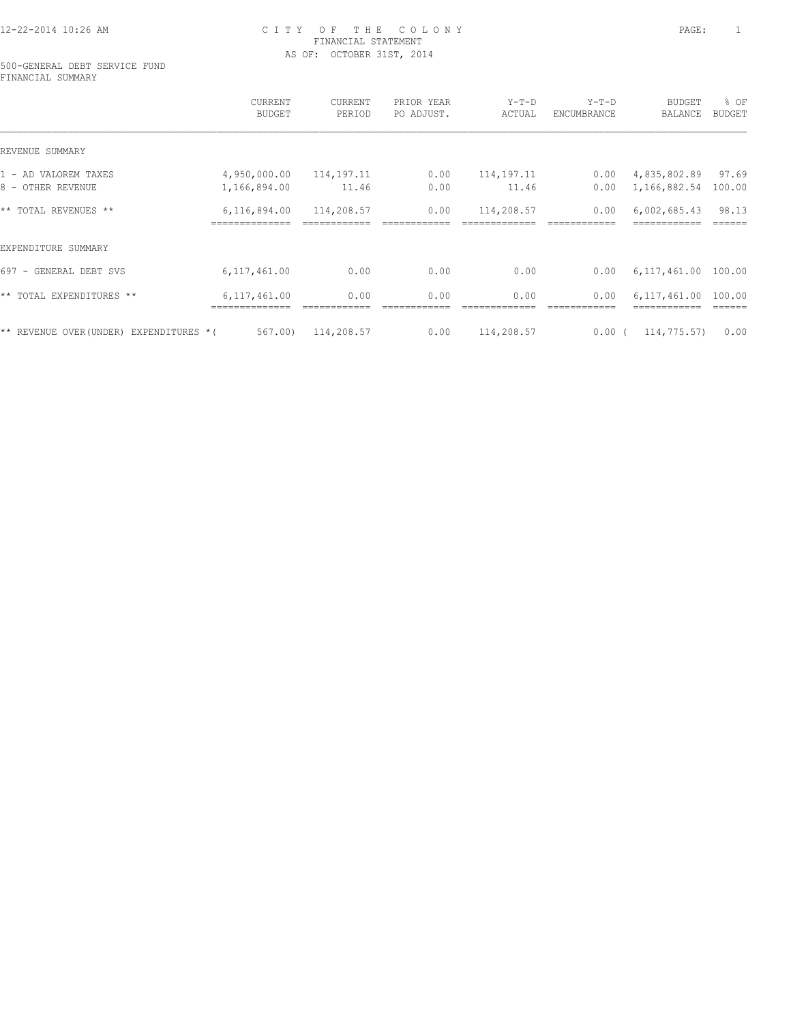#### 500-GENERAL DEBT SERVICE FUND FINANCIAL SUMMARY

|                                          | CURRENT<br><b>BUDGET</b> | CURRENT<br>PERIOD | PRIOR YEAR<br>PO ADJUST. | $Y-T-D$<br>ACTUAL | $Y-T-D$<br>ENCUMBRANCE | <b>BUDGET</b><br>BALANCE | % OF<br><b>BUDGET</b> |
|------------------------------------------|--------------------------|-------------------|--------------------------|-------------------|------------------------|--------------------------|-----------------------|
| REVENUE SUMMARY                          |                          |                   |                          |                   |                        |                          |                       |
| 1 - AD VALOREM TAXES                     | 4,950,000.00             | 114,197.11        | 0.00                     | 114, 197. 11      | 0.00                   | 4,835,802.89             | 97.69                 |
| 8 - OTHER REVENUE                        | 1,166,894.00             | 11.46             | 0.00                     | 11.46             | 0.00                   | 1,166,882.54             | 100.00                |
| ** TOTAL REVENUES **                     | 6,116,894.00             | 114,208.57        | 0.00                     | 114,208.57        | 0.00                   | 6,002,685.43             | 98.13                 |
| EXPENDITURE SUMMARY                      |                          |                   |                          |                   |                        |                          |                       |
| 697 - GENERAL DEBT SVS                   | 6, 117, 461.00           | 0.00              | 0.00                     | 0.00              | 0.00                   | 6,117,461.00             | 100.00                |
| ** TOTAL EXPENDITURES **                 | 6,117,461.00             | 0.00              | 0.00                     | 0.00              | 0.00                   | 6.117.461.00             | 100.00                |
| ** REVENUE OVER (UNDER) EXPENDITURES * ( | 567.00)                  | 114,208.57        | 0.00                     | 114,208.57        | 0.00(                  | 114,775.57)              | 0.00                  |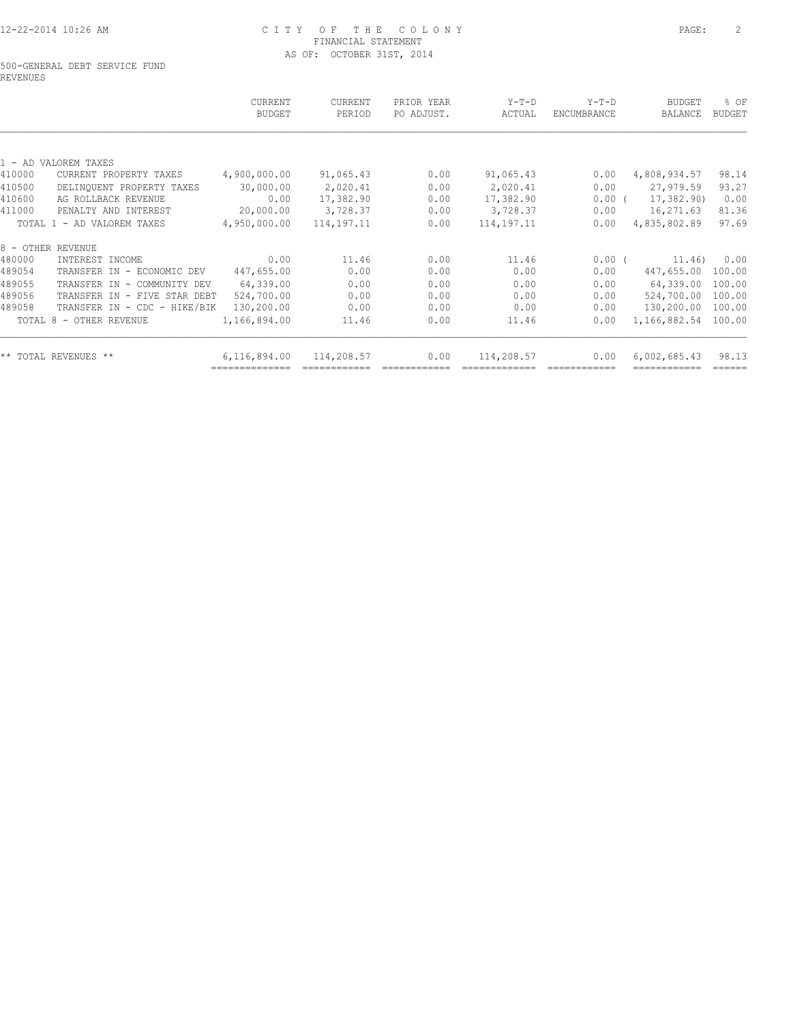#### 500-GENERAL DEBT SERVICE FUND REVENUES

|              | PERIOD       | PO ADJUST. | ACTUAL       | ENCUMBRANCE | <b>BUDGET</b><br>BALANCE | <b>BUDGET</b>               |
|--------------|--------------|------------|--------------|-------------|--------------------------|-----------------------------|
|              |              |            |              |             |                          |                             |
|              |              |            |              |             |                          |                             |
| 4,900,000.00 | 91,065.43    | 0.00       | 91,065.43    | 0.00        | 4,808,934.57             | 98.14                       |
| 30,000.00    | 2,020.41     | 0.00       | 2,020.41     | 0.00        | 27,979.59                | 93.27                       |
| 0.00         | 17,382.90    | 0.00       | 17,382.90    |             | 17,382.90)               | 0.00                        |
| 20,000.00    | 3,728.37     | 0.00       | 3,728.37     | 0.00        | 16,271.63                | 81.36                       |
| 4,950,000.00 | 114, 197. 11 | 0.00       | 114, 197. 11 | 0.00        | 4,835,802.89             | 97.69                       |
|              |              |            |              |             |                          |                             |
| 0.00         | 11.46        | 0.00       | 11.46        |             |                          | 0.00                        |
| 447,655.00   | 0.00         | 0.00       | 0.00         | 0.00        | 447,655.00               | 100.00                      |
| 64,339.00    | 0.00         | 0.00       | 0.00         | 0.00        | 64,339.00                | 100.00                      |
| 524,700.00   | 0.00         | 0.00       | 0.00         | 0.00        | 524,700.00               | 100.00                      |
| 130,200.00   | 0.00         | 0.00       | 0.00         | 0.00        | 130,200.00               | 100.00                      |
| 1,166,894.00 | 11.46        | 0.00       | 11.46        | 0.00        | 1,166,882.54             | 100.00                      |
| 6,116,894.00 | 114,208.57   | 0.00       | 114,208.57   | 0.00        | 6,002,685.43             | 98.13                       |
|              |              |            |              |             |                          | $0.00$ (<br>0.00(<br>11.46) |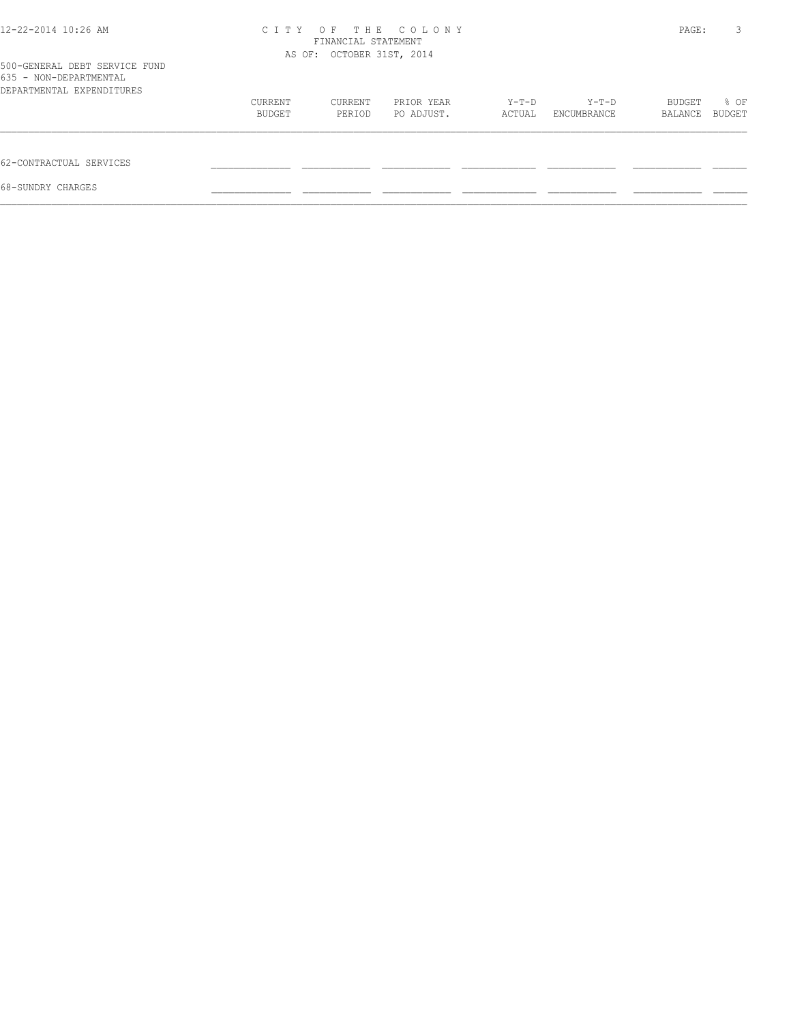| 12-22-2014 10:26 AM<br>500-GENERAL DEBT SERVICE FUND | C T T Y | FINANCIAL STATEMENT<br>AS OF: OCTOBER 31ST, 2014 | OF THE COLONY |        |             | PAGE:   | 3      |
|------------------------------------------------------|---------|--------------------------------------------------|---------------|--------|-------------|---------|--------|
| 635 - NON-DEPARTMENTAL                               |         |                                                  |               |        |             |         |        |
| DEPARTMENTAL EXPENDITURES                            |         |                                                  |               |        |             |         |        |
|                                                      | CURRENT | CURRENT                                          | PRIOR YEAR    | Y-T-D  | $Y-T-D$     | BUDGET  | % OF   |
|                                                      | BUDGET  | PERIOD                                           | PO ADJUST.    | ACTUAL | ENCUMBRANCE | BALANCE | BUDGET |
| 62-CONTRACTUAL SERVICES                              |         |                                                  |               |        |             |         |        |
| 68-SUNDRY CHARGES                                    |         |                                                  |               |        |             |         |        |
|                                                      |         |                                                  |               |        |             |         |        |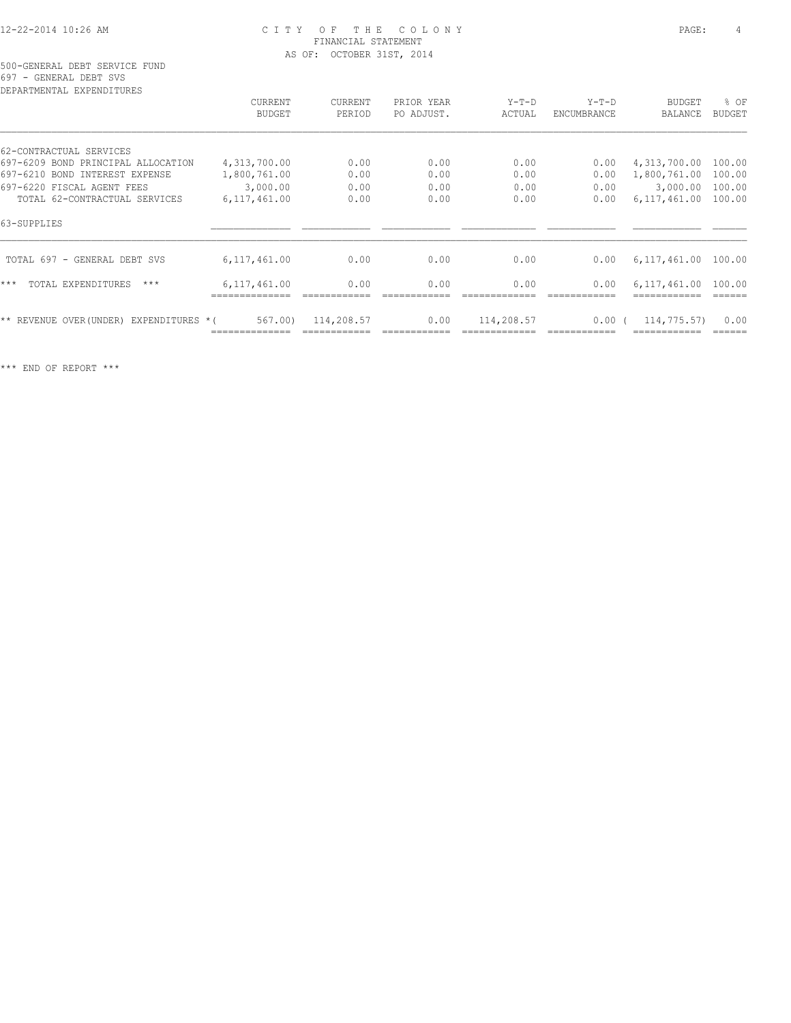500-GENERAL DEBT SERVICE FUND 697 - GENERAL DEBT SVS

| CURRENT        | CURRENT                                 | PRIOR YEAR | $Y-T-D$    | $Y-T-D$     | BUDGET       | % OF                                        |
|----------------|-----------------------------------------|------------|------------|-------------|--------------|---------------------------------------------|
| <b>BUDGET</b>  | PERIOD                                  | PO ADJUST. | ACTUAL     | ENCUMBRANCE | BALANCE      | <b>BUDGET</b>                               |
|                |                                         |            |            |             |              |                                             |
| 4,313,700.00   | 0.00                                    | 0.00       | 0.00       | 0.00        | 4,313,700.00 | 100.00                                      |
| 1,800,761.00   | 0.00                                    | 0.00       | 0.00       | 0.00        | 1,800,761.00 | 100.00                                      |
| 3,000.00       | 0.00                                    | 0.00       | 0.00       | 0.00        | 3,000.00     | 100.00                                      |
| 6, 117, 461.00 | 0.00                                    | 0.00       | 0.00       | 0.00        | 6,117,461.00 | 100.00                                      |
|                |                                         |            |            |             |              |                                             |
| 6,117,461.00   | 0.00                                    | 0.00       | 0.00       | 0.00        |              |                                             |
| 6,117,461.00   | 0.00                                    | 0.00       | 0.00       | 0.00        | 6,117,461.00 | 100.00                                      |
| 567.00         | 114,208.57                              | 0.00       | 114,208.57 |             |              | 0.00                                        |
|                | ** REVENUE OVER (UNDER) EXPENDITURES *( |            |            |             |              | 6,117,461.00 100.00<br>0.00(<br>114,775.57) |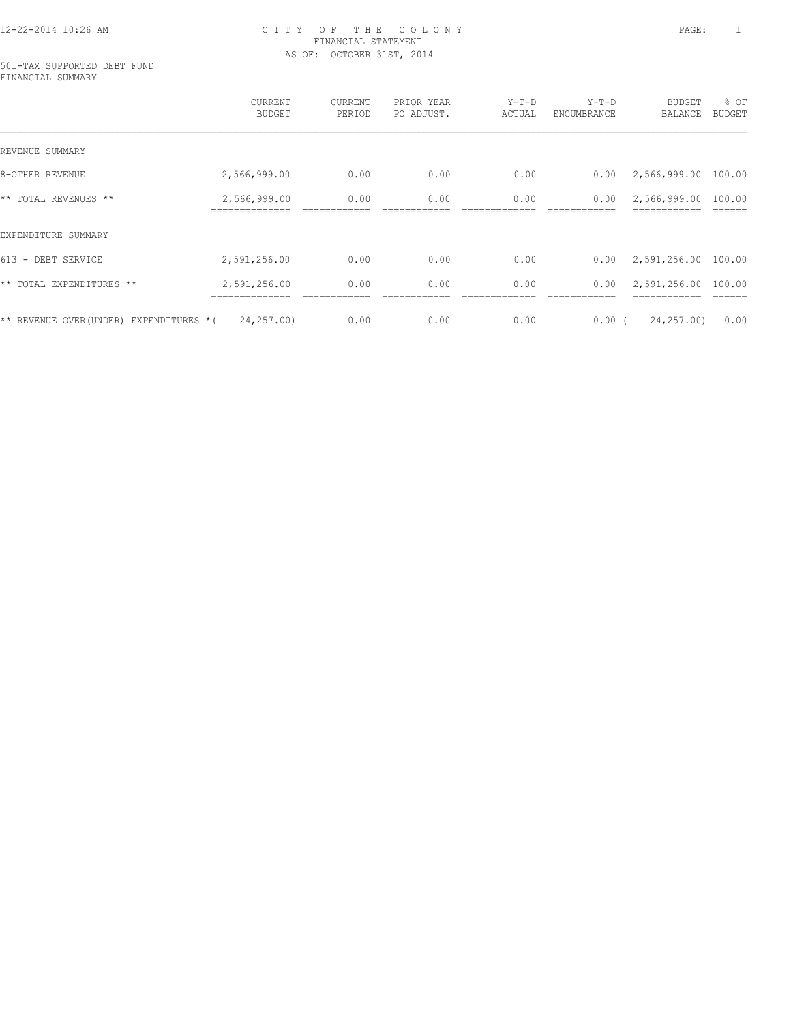#### 501-TAX SUPPORTED DEBT FUND FINANCIAL SUMMARY

|                                          | CURRENT<br><b>BUDGET</b> | CURRENT<br>PERIOD | PRIOR YEAR<br>PO ADJUST. | $Y-T-D$<br>ACTUAL | $Y-T-D$<br>ENCUMBRANCE | <b>BUDGET</b><br>BALANCE | % OF<br>BUDGET |
|------------------------------------------|--------------------------|-------------------|--------------------------|-------------------|------------------------|--------------------------|----------------|
| REVENUE SUMMARY                          |                          |                   |                          |                   |                        |                          |                |
| 8-OTHER REVENUE                          | 2,566,999.00             | 0.00              | 0.00                     | 0.00              | 0.00                   | 2,566,999.00             | 100.00         |
| ** TOTAL REVENUES **                     | 2,566,999.00             | 0.00              | 0.00                     | 0.00              | 0.00                   | 2,566,999.00             | 100.00         |
| EXPENDITURE SUMMARY                      |                          |                   |                          |                   |                        |                          |                |
| 613 - DEBT SERVICE                       | 2,591,256.00             | 0.00              | 0.00                     | 0.00              | 0.00                   | 2,591,256.00             | 100.00         |
| ** TOTAL EXPENDITURES **                 | 2,591,256.00             | 0.00              | 0.00                     | 0.00              | 0.00                   | 2,591,256.00             | 100.00         |
| ** REVENUE OVER (UNDER) EXPENDITURES * ( | 24,257.00)               | 0.00              | 0.00                     | 0.00              | $0.00$ (               | 24,257.00)               | 0.00           |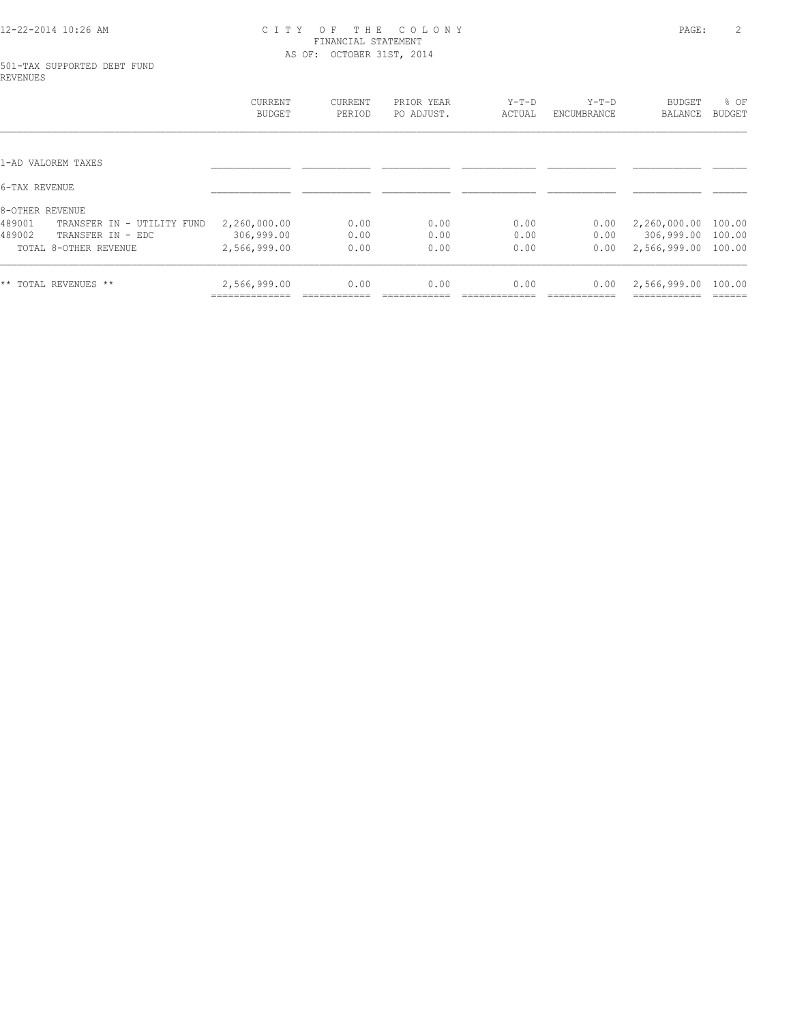#### 501-TAX SUPPORTED DEBT FUND REVENUES

| <b>CURRENT</b><br>BUDGET | CURRENT<br>PERIOD | PRIOR YEAR<br>PO ADJUST. | $Y-T-D$<br>ACTUAL | $Y-T-D$<br>ENCUMBRANCE | <b>BUDGET</b><br>BALANCE | % OF<br><b>BUDGET</b> |
|--------------------------|-------------------|--------------------------|-------------------|------------------------|--------------------------|-----------------------|
|                          |                   |                          |                   |                        |                          |                       |
|                          |                   |                          |                   |                        |                          |                       |
|                          |                   |                          |                   |                        |                          |                       |
|                          |                   |                          |                   |                        |                          |                       |
| 2,260,000.00             | 0.00              | 0.00                     | 0.00              | 0.00                   | 2,260,000.00             | 100.00                |
| 306,999.00               | 0.00              | 0.00                     | 0.00              | 0.00                   | 306,999.00               | 100.00                |
| 2,566,999.00             | 0.00              | 0.00                     | 0.00              | 0.00                   | 2,566,999.00             | 100.00                |
| 2,566,999.00             | 0.00              | 0.00                     | 0.00              | 0.00                   | 2,566,999.00             | 100.00                |
|                          |                   |                          |                   |                        |                          |                       |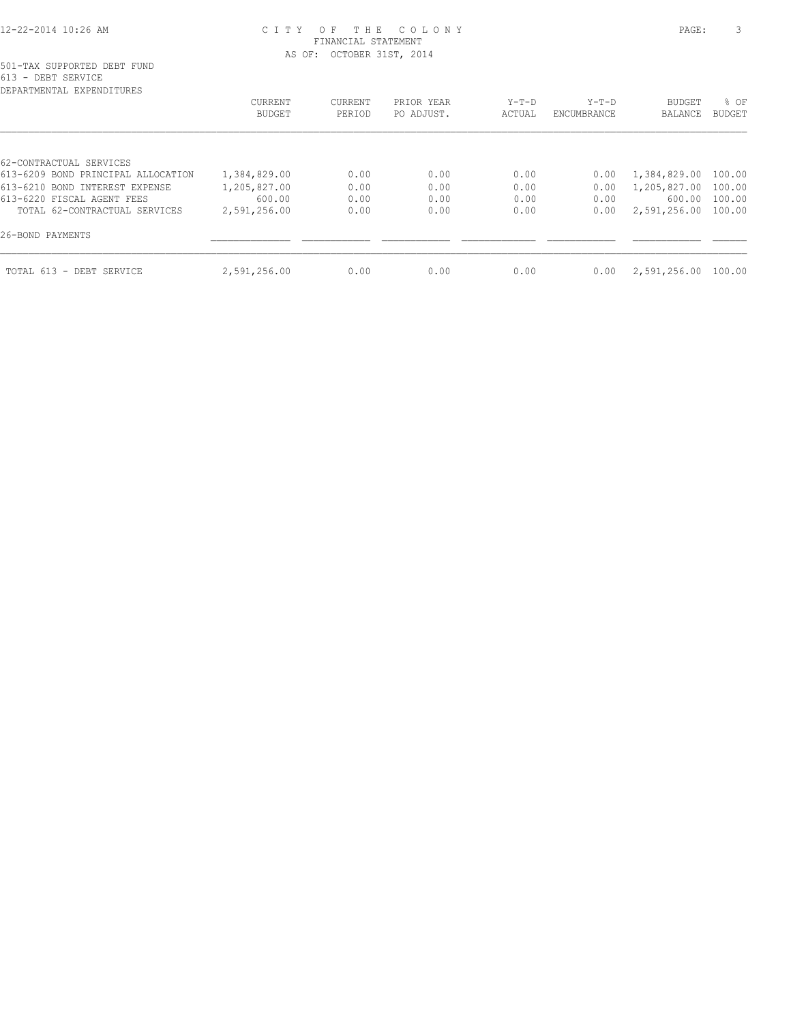| DEPARTMENTAL EXPENDITURES          |                   |                   |                          |                   |                        |                     |                       |
|------------------------------------|-------------------|-------------------|--------------------------|-------------------|------------------------|---------------------|-----------------------|
|                                    | CURRENT<br>BUDGET | CURRENT<br>PERIOD | PRIOR YEAR<br>PO ADJUST. | $Y-T-D$<br>ACTUAL | $Y-T-D$<br>ENCUMBRANCE | BUDGET<br>BALANCE   | % OF<br><b>BUDGET</b> |
|                                    |                   |                   |                          |                   |                        |                     |                       |
| 62-CONTRACTUAL SERVICES            |                   |                   |                          |                   |                        |                     |                       |
| 613-6209 BOND PRINCIPAL ALLOCATION | 1,384,829.00      | 0.00              | 0.00                     | 0.00              | 0.00                   | 1,384,829.00 100.00 |                       |
| 613-6210 BOND INTEREST EXPENSE     | 1,205,827.00      | 0.00              | 0.00                     | 0.00              | 0.00                   | 1,205,827.00 100.00 |                       |
| 613-6220 FISCAL AGENT FEES         | 600.00            | 0.00              | 0.00                     | 0.00              | 0.00                   | 600.00              | 100.00                |
| TOTAL 62-CONTRACTUAL SERVICES      | 2,591,256.00      | 0.00              | 0.00                     | 0.00              | 0.00                   | 2,591,256.00 100.00 |                       |
| 26-BOND PAYMENTS                   |                   |                   |                          |                   |                        |                     |                       |
| TOTAL 613 - DEBT SERVICE           | 2,591,256.00      | 0.00              | 0.00                     | 0.00              | 0.00                   | 2,591,256.00        | 100.00                |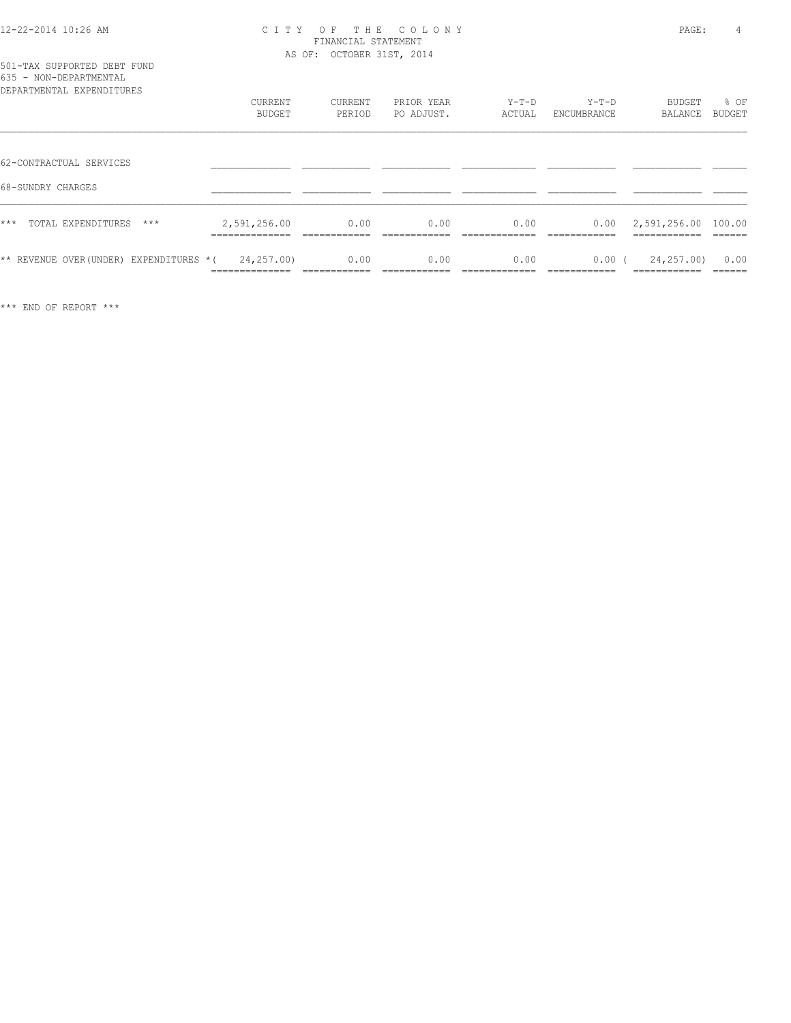# 501-TAX SUPPORTED DEBT FUND 635 - NON-DEPARTMENTAL

| DEPARTMENTAL EXPENDITURES                    | CURRENT                      | CURRENT      | PRIOR YEAR | $Y-T-D$      | $Y-T-D$       | BUDGET                             | % OF    |
|----------------------------------------------|------------------------------|--------------|------------|--------------|---------------|------------------------------------|---------|
|                                              | BUDGET                       | PERIOD       | PO ADJUST. | ACTUAL       | ENCUMBRANCE   | BALANCE                            | BUDGET  |
| 62-CONTRACTUAL SERVICES<br>68-SUNDRY CHARGES |                              |              |            |              |               |                                    |         |
| ***<br>TOTAL EXPENDITURES<br>$***$           | 2,591,256.00<br>------------ | 0.00         | 0.00       | 0.00         | 0.00          | 2,591,256.00 100.00<br>----------- | ------- |
| ** REVENUE OVER (UNDER)                      | 24,257.00)                   | 0.00         | 0.00       | 0.00         | 0.00(         | 24,257.00)                         | 0.00    |
| EXPENDITURES *(                              | ______________               | ____________ |            | ____________ | ------------- | ------------                       | ------- |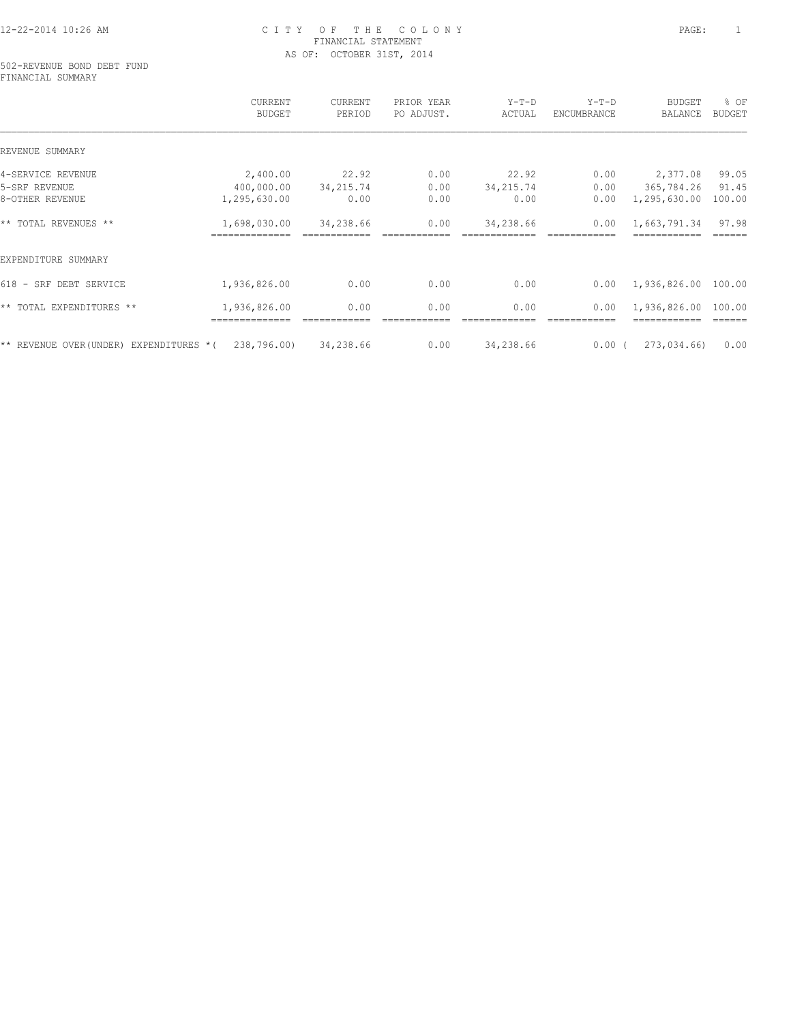502-REVENUE BOND DEBT FUND FINANCIAL SUMMARY

|                                          | CURRENT<br><b>BUDGET</b> | CURRENT<br>PERIOD | PRIOR YEAR<br>PO ADJUST. | Y-T-D<br>ACTUAL | $Y-T-D$<br>ENCUMBRANCE | <b>BUDGET</b><br>BALANCE | % OF<br><b>BUDGET</b> |
|------------------------------------------|--------------------------|-------------------|--------------------------|-----------------|------------------------|--------------------------|-----------------------|
| REVENUE SUMMARY                          |                          |                   |                          |                 |                        |                          |                       |
| 4-SERVICE REVENUE                        | 2,400.00                 | 22.92             | 0.00                     | 22.92           | 0.00                   | 2,377.08                 | 99.05                 |
| 5-SRF REVENUE                            | 400,000.00               | 34, 215.74        | 0.00                     | 34, 215.74      | 0.00                   | 365,784.26               | 91.45                 |
| 8-OTHER REVENUE                          | 1,295,630.00             | 0.00              | 0.00                     | 0.00            | 0.00                   | 1,295,630.00             | 100.00                |
| ** TOTAL REVENUES **                     | 1,698,030.00             | 34,238.66         | 0.00                     | 34,238.66       | 0.00                   | 1,663,791.34             | 97.98                 |
| EXPENDITURE SUMMARY                      |                          |                   |                          |                 |                        |                          |                       |
| 618 - SRF DEBT SERVICE                   | 1,936,826.00             | 0.00              | 0.00                     | 0.00            | 0.00                   | 1,936,826.00             | 100.00                |
| ** TOTAL EXPENDITURES **                 | 1,936,826.00             | 0.00              | 0.00                     | 0.00            | 0.00                   | 1,936,826.00             | 100.00                |
| ** REVENUE OVER (UNDER) EXPENDITURES * ( | 238,796.00)              | 34,238.66         | 0.00                     | 34,238.66       | 0.00(                  | 273,034.66)              | 0.00                  |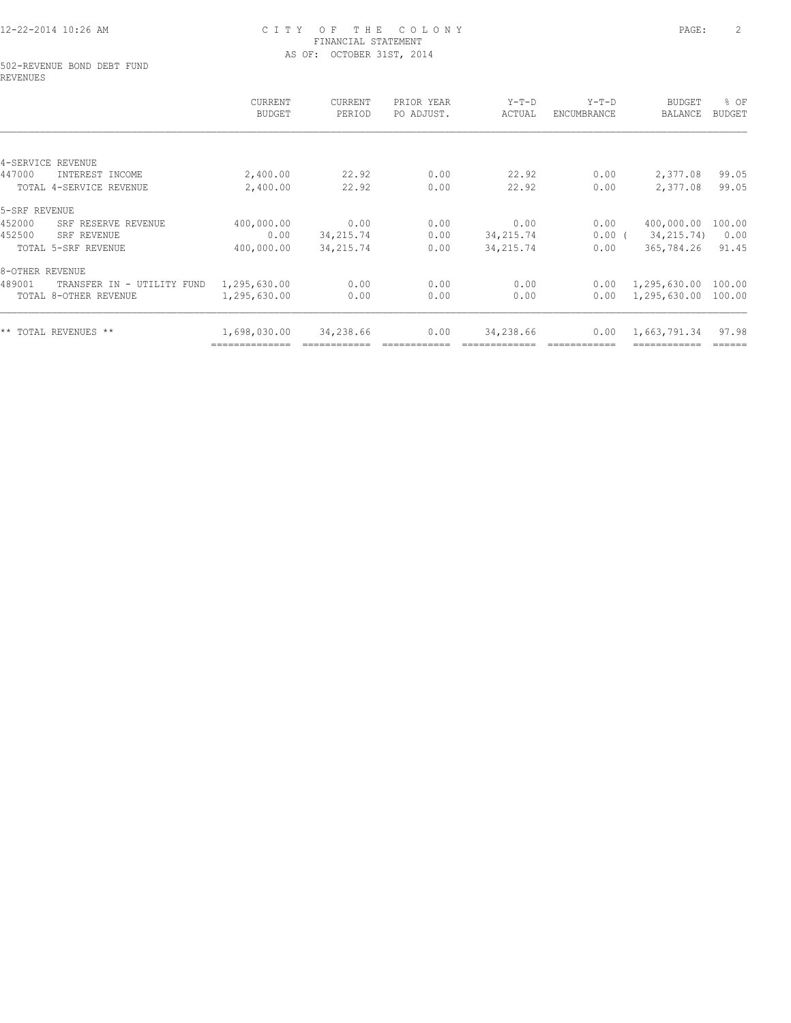#### 502-REVENUE BOND DEBT FUND REVENUES

|                                      | CURRENT<br><b>BUDGET</b> | CURRENT<br>PERIOD | PRIOR YEAR<br>PO ADJUST. | Y-T-D<br>ACTUAL | $Y-T-D$<br>ENCUMBRANCE | BUDGET<br>BALANCE | % OF<br><b>BUDGET</b> |
|--------------------------------------|--------------------------|-------------------|--------------------------|-----------------|------------------------|-------------------|-----------------------|
|                                      |                          |                   |                          |                 |                        |                   |                       |
| 4-SERVICE REVENUE                    |                          |                   |                          |                 |                        |                   |                       |
| 447000<br>INTEREST INCOME            | 2,400.00                 | 22.92             | 0.00                     | 22.92           | 0.00                   | 2,377.08          | 99.05                 |
| TOTAL 4-SERVICE REVENUE              | 2,400.00                 | 22.92             | 0.00                     | 22.92           | 0.00                   | 2,377.08          | 99.05                 |
| 5-SRF REVENUE                        |                          |                   |                          |                 |                        |                   |                       |
| 452000<br>SRF RESERVE REVENUE        | 400,000.00               | 0.00              | 0.00                     | 0.00            | 0.00                   | 400,000.00        | 100.00                |
| 452500<br>SRF REVENUE                | 0.00                     | 34, 215.74        | 0.00                     | 34, 215.74      | $0.00$ (               | 34, 215. 74)      | 0.00                  |
| TOTAL 5-SRF REVENUE                  | 400,000.00               | 34, 215.74        | 0.00                     | 34,215.74       | 0.00                   | 365,784.26        | 91.45                 |
| 8-OTHER REVENUE                      |                          |                   |                          |                 |                        |                   |                       |
| 489001<br>TRANSFER IN - UTILITY FUND | 1,295,630.00             | 0.00              | 0.00                     | 0.00            | 0.00                   | 1,295,630.00      | 100.00                |
| TOTAL 8-OTHER REVENUE                | 1,295,630.00             | 0.00              | 0.00                     | 0.00            | 0.00                   | 1,295,630.00      | 100.00                |
| ** TOTAL REVENUES **                 | 1,698,030.00             | 34,238.66         | 0.00                     | 34,238.66       | 0.00                   | 1,663,791.34      | 97.98                 |
|                                      |                          |                   |                          |                 |                        |                   | ======                |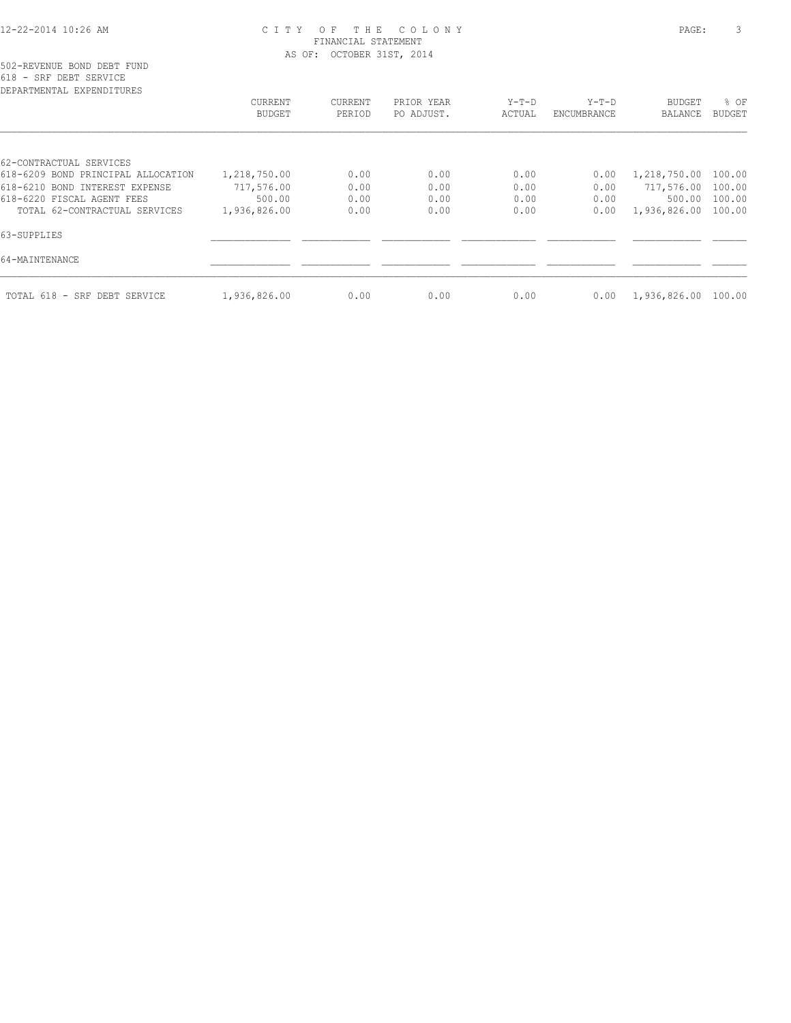| DEPARTMENTAL EXPENDITURES          |                          |                   |                          |                 |                        |                          |                       |
|------------------------------------|--------------------------|-------------------|--------------------------|-----------------|------------------------|--------------------------|-----------------------|
|                                    | CURRENT<br><b>BUDGET</b> | CURRENT<br>PERIOD | PRIOR YEAR<br>PO ADJUST. | Y-T-D<br>ACTUAL | $Y-T-D$<br>ENCUMBRANCE | BUDGET<br><b>BALANCE</b> | % OF<br><b>BUDGET</b> |
|                                    |                          |                   |                          |                 |                        |                          |                       |
| 62-CONTRACTUAL SERVICES            |                          |                   |                          |                 |                        |                          |                       |
| 618-6209 BOND PRINCIPAL ALLOCATION | 1,218,750.00             | 0.00              | 0.00                     | 0.00            | 0.00                   | 1,218,750.00             | 100.00                |
| 618-6210 BOND INTEREST EXPENSE     | 717,576.00               | 0.00              | 0.00                     | 0.00            | 0.00                   | 717,576.00 100.00        |                       |
| 618-6220 FISCAL AGENT FEES         | 500.00                   | 0.00              | 0.00                     | 0.00            | 0.00                   | 500.00                   | 100.00                |
| TOTAL 62-CONTRACTUAL SERVICES      | 1,936,826.00             | 0.00              | 0.00                     | 0.00            | 0.00                   | 1,936,826.00 100.00      |                       |
| 63-SUPPLIES                        |                          |                   |                          |                 |                        |                          |                       |
| 64-MAINTENANCE                     |                          |                   |                          |                 |                        |                          |                       |
| TOTAL 618 - SRF DEBT SERVICE       | 1,936,826.00             | 0.00              | 0.00                     | 0.00            | 0.00                   | 1,936,826.00 100.00      |                       |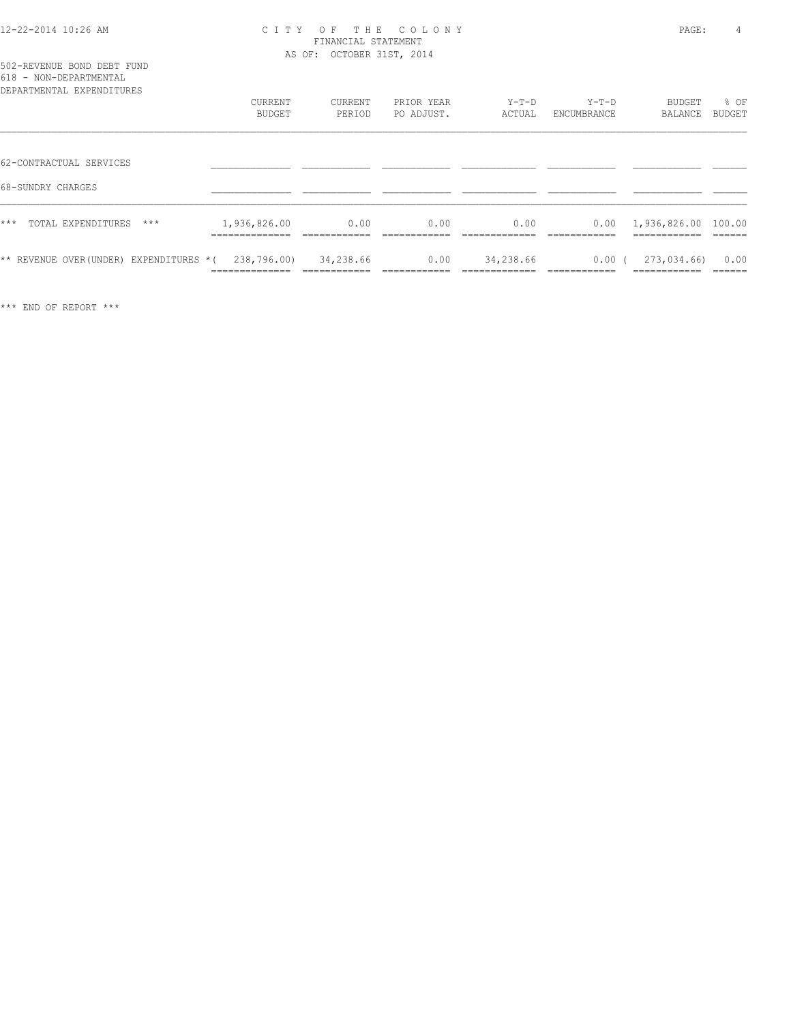| 502-REVENUE BOND DEBT FUND |  |  |
|----------------------------|--|--|
| 618 - NON-DEPARTMENTAL     |  |  |

| DEPARTMENTAL EXPENDITURES              |                               |                   |                          |                   |                        |                                                         |                       |
|----------------------------------------|-------------------------------|-------------------|--------------------------|-------------------|------------------------|---------------------------------------------------------|-----------------------|
|                                        | CURRENT<br><b>BUDGET</b>      | CURRENT<br>PERIOD | PRIOR YEAR<br>PO ADJUST. | $Y-T-D$<br>ACTUAL | $Y-T-D$<br>ENCUMBRANCE | BUDGET<br>BALANCE                                       | % OF<br><b>BUDGET</b> |
|                                        |                               |                   |                          |                   |                        |                                                         |                       |
| 62-CONTRACTUAL SERVICES                |                               |                   |                          |                   |                        |                                                         |                       |
| 68-SUNDRY CHARGES                      |                               |                   |                          |                   |                        |                                                         |                       |
| $***$<br>TOTAL EXPENDITURES<br>***     | 1,936,826.00                  | 0.00              | 0.00                     | 0.00              |                        | $0.00 \quad 1,936,826.00 \quad 100.00$<br>------------- |                       |
| ** REVENUE OVER(UNDER) EXPENDITURES *( | 238,796.00)<br>______________ | 34,238.66         | 0.00                     | 34,238.66         | 0.00(<br>____________  | 273,034.66)<br>------------                             | 0.00                  |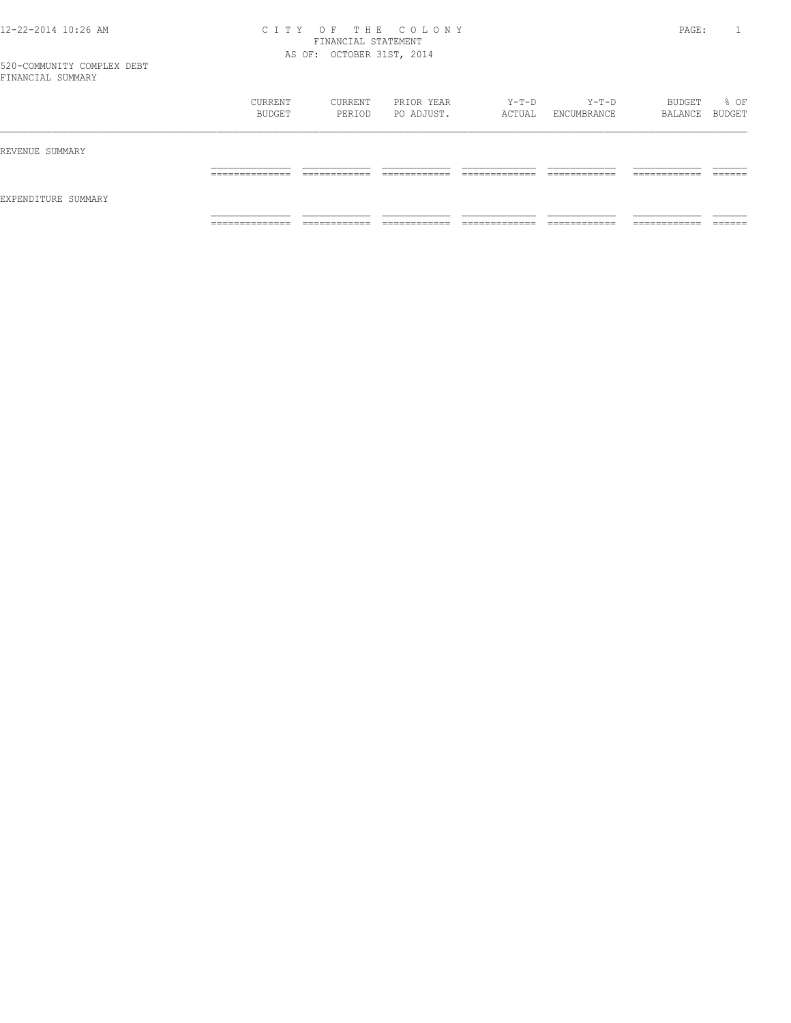|                     | CURRENT<br>BUDGET   | CURRENT<br>PERIOD             | PRIOR YEAR<br>PO ADJUST.     | Y-T-D<br>ACTUAL                | $Y-T-D$<br>ENCUMBRANCE        | BUDGET<br>BALANCE BUDGET      | % OF               |
|---------------------|---------------------|-------------------------------|------------------------------|--------------------------------|-------------------------------|-------------------------------|--------------------|
| REVENUE SUMMARY     |                     |                               |                              |                                |                               |                               |                    |
|                     | ______________<br>. | -------------<br>____________ | -------------                | ____________<br>_____________  | -------------<br>____________ | -------------<br>____________ | -------<br>_______ |
| EXPENDITURE SUMMARY |                     |                               |                              |                                |                               |                               |                    |
|                     | ______________<br>. | ____________<br>____________  | ____________<br>____________ | _____________<br>_____________ | ____________<br>____________  | ------------<br>____________  | _______            |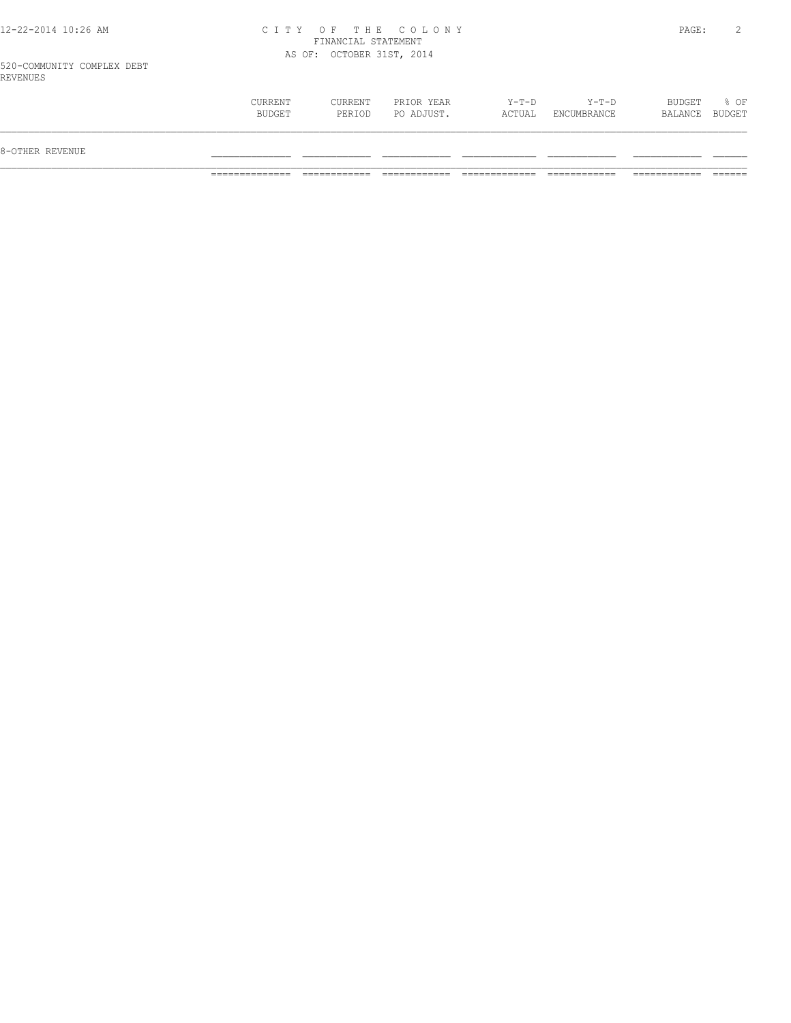| $Y-T-D$<br>$Y-T-D$<br>CURRENT<br>PRIOR YEAR<br>CURRENT<br>BUDGET<br>BUDGET<br>PO ADJUST.<br>ACTUAL<br>ENCUMBRANCE<br>PERIOD<br>BALANCE<br>8-OTHER REVENUE |  |  |  |                |
|-----------------------------------------------------------------------------------------------------------------------------------------------------------|--|--|--|----------------|
|                                                                                                                                                           |  |  |  |                |
|                                                                                                                                                           |  |  |  | % OF<br>BUDGET |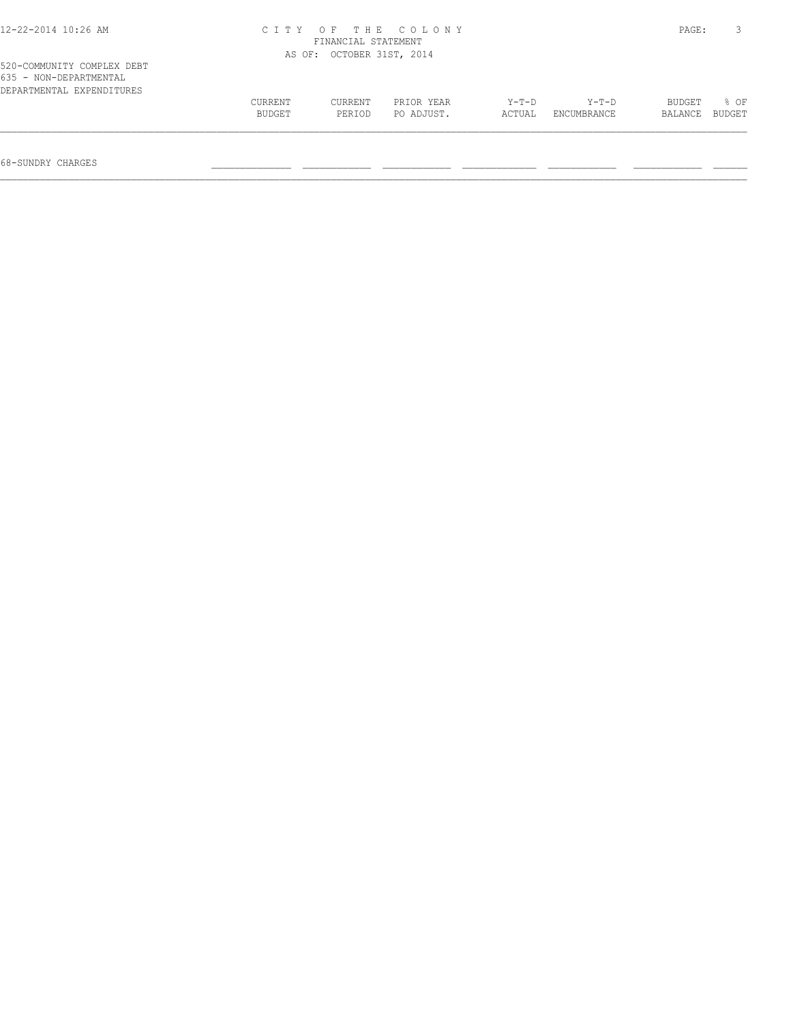| 12-22-2014 10:26 AM                                                               | CITY OF THE COLONY<br>FINANCIAL STATEMENT | PAGE:                     |                          |                   |                        |                   |                |
|-----------------------------------------------------------------------------------|-------------------------------------------|---------------------------|--------------------------|-------------------|------------------------|-------------------|----------------|
| 520-COMMUNITY COMPLEX DEBT<br>635 - NON-DEPARTMENTAL<br>DEPARTMENTAL EXPENDITURES |                                           | AS OF: OCTOBER 31ST, 2014 |                          |                   |                        |                   |                |
|                                                                                   | CURRENT<br>BUDGET                         | CURRENT<br>PERIOD         | PRIOR YEAR<br>PO ADJUST. | $Y-T-D$<br>ACTUAL | $Y-T-D$<br>ENCUMBRANCE | BUDGET<br>BALANCE | 8 OF<br>BUDGET |
|                                                                                   |                                           |                           |                          |                   |                        |                   |                |

68-SUNDRY CHARGES \_\_\_\_\_\_\_\_\_\_\_\_\_\_ \_\_\_\_\_\_\_\_\_\_\_\_ \_\_\_\_\_\_\_\_\_\_\_\_ \_\_\_\_\_\_\_\_\_\_\_\_\_ \_\_\_\_\_\_\_\_\_\_\_\_ \_\_\_\_\_\_\_\_\_\_\_\_ \_\_\_\_\_\_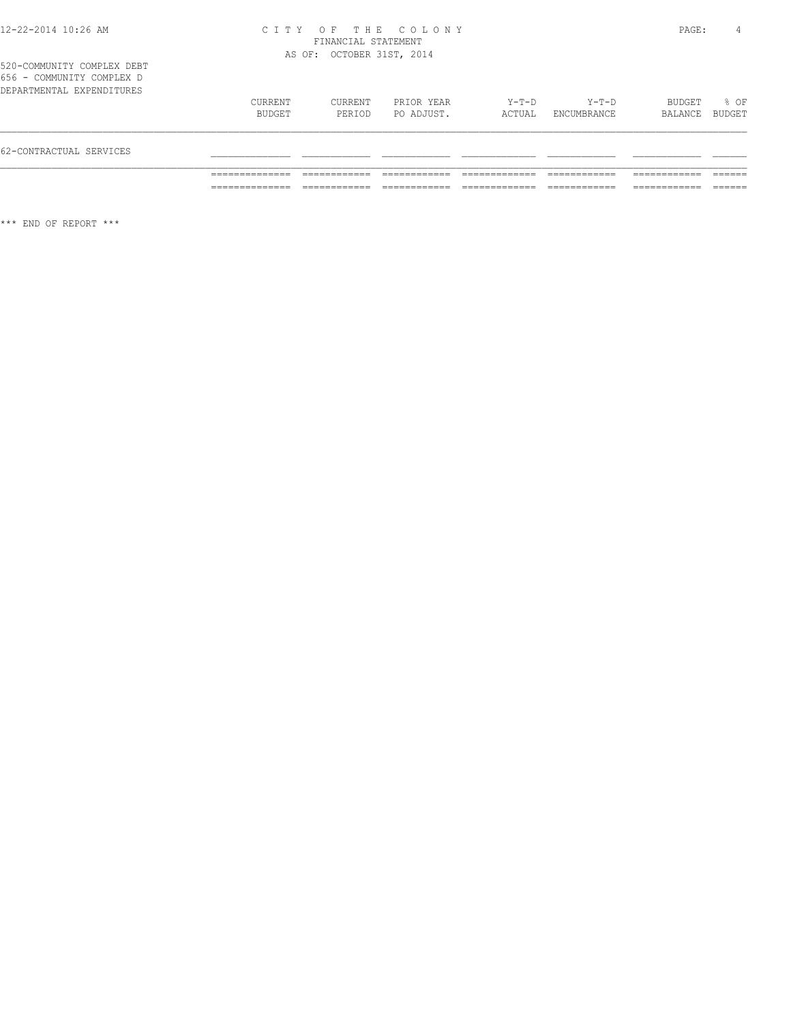520-COMMUNITY COMPLEX DEBT 656 - COMMUNITY COMPLEX D

| 62-CONTRACTUAL SERVICES     |                   |                   |                          |                 |                      |                   |                |
|-----------------------------|-------------------|-------------------|--------------------------|-----------------|----------------------|-------------------|----------------|
| DEPARTMENTAL EXPENDITURES   | CURRENT<br>BUDGET | CURRENT<br>PERTOD | PRIOR YEAR<br>PO ADJUST. | Y-T-D<br>ACTUAL | Y-T-D<br>ENCUMBRANCE | BUDGET<br>BALANCE | % OF<br>BUDGET |
| UJ U<br>COPERATI COPILIBA D |                   |                   |                          |                 |                      |                   |                |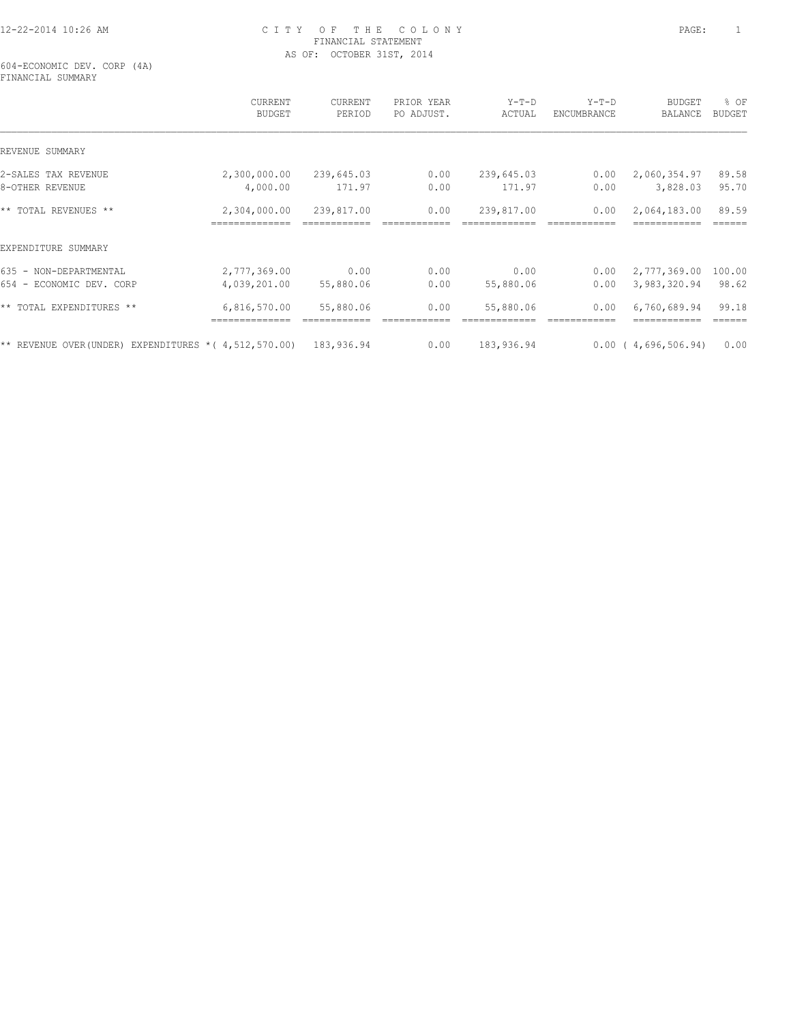604-ECONOMIC DEV. CORP (4A) FINANCIAL SUMMARY

|                                                                     | <b>CURRENT</b><br><b>BUDGET</b> | <b>CURRENT</b><br>PERIOD | PRIOR YEAR<br>PO ADJUST. | $Y-T-D$<br>ACTUAL | $Y-T-D$<br>ENCUMBRANCE | <b>BUDGET</b><br>BALANCE | % OF<br><b>BUDGET</b> |
|---------------------------------------------------------------------|---------------------------------|--------------------------|--------------------------|-------------------|------------------------|--------------------------|-----------------------|
| REVENUE SUMMARY                                                     |                                 |                          |                          |                   |                        |                          |                       |
| 2-SALES TAX REVENUE                                                 | 2,300,000.00                    | 239,645.03               | 0.00                     | 239,645.03        | 0.00                   | 2,060,354.97             | 89.58                 |
| 8-OTHER REVENUE                                                     | 4,000.00                        | 171.97                   | 0.00                     | 171.97            | 0.00                   | 3,828.03                 | 95.70                 |
| ** TOTAL REVENUES **                                                | 2,304,000.00                    | 239,817.00               | 0.00                     | 239,817.00        | 0.00                   | 2,064,183.00             | 89.59                 |
| EXPENDITURE SUMMARY                                                 |                                 |                          |                          |                   |                        |                          |                       |
| 635 - NON-DEPARTMENTAL                                              | 2,777,369.00                    | 0.00                     | 0.00                     | 0.00              | 0.00                   | 2,777,369.00             | 100.00                |
| 654 - ECONOMIC DEV. CORP                                            | 4,039,201.00                    | 55,880.06                | 0.00                     | 55,880.06         | 0.00                   | 3,983,320.94             | 98.62                 |
| ** TOTAL EXPENDITURES **                                            | 6,816,570.00                    | 55,880.06                | 0.00                     | 55,880.06         | 0.00                   | 6,760,689.94             | 99.18                 |
| ** REVENUE OVER(UNDER) EXPENDITURES * ( $4,512,570.00$ ) 183,936.94 |                                 |                          | 0.00                     | 183,936.94        |                        | 0.00(4,696,506.94)       | 0.00                  |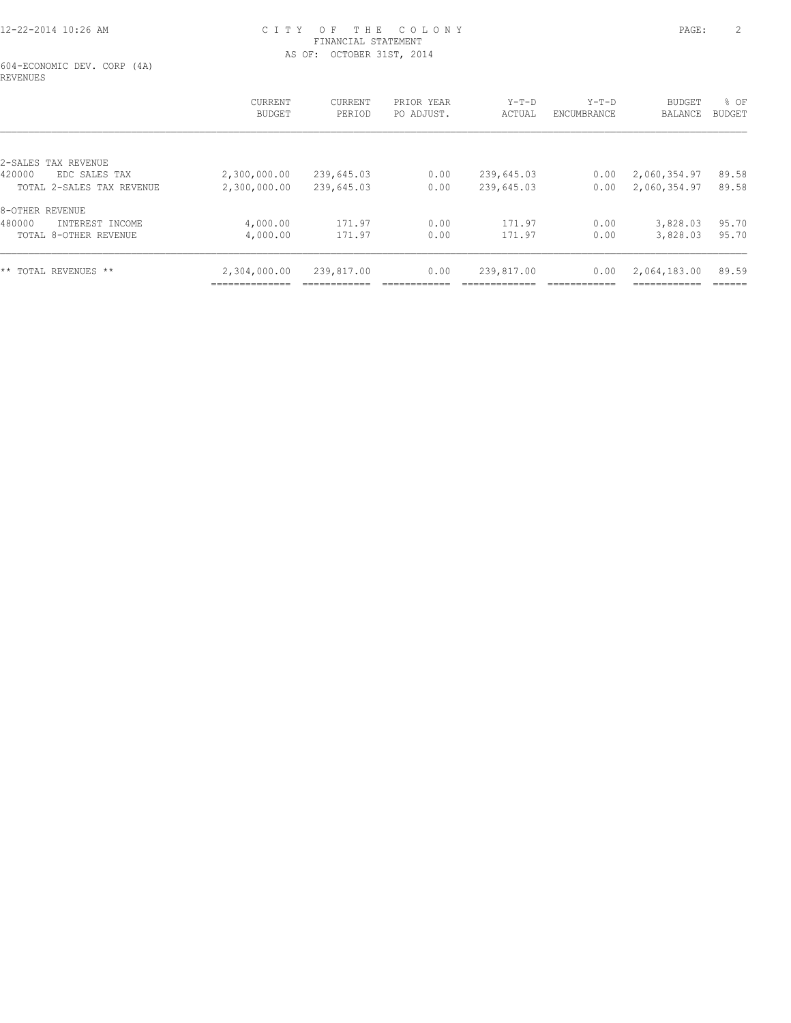604-ECONOMIC DEV. CORP (4A) REVENUES

|                           | <b>CURRENT</b><br><b>BUDGET</b> | <b>CURRENT</b><br>PERIOD | PRIOR YEAR<br>PO ADJUST. | $Y-T-D$<br>ACTUAL | $Y-T-D$<br>ENCUMBRANCE | <b>BUDGET</b><br><b>BALANCE</b> | % OF<br>BUDGET |
|---------------------------|---------------------------------|--------------------------|--------------------------|-------------------|------------------------|---------------------------------|----------------|
| 2-SALES TAX REVENUE       |                                 |                          |                          |                   |                        |                                 |                |
| 420000<br>EDC SALES TAX   | 2,300,000.00                    | 239,645.03               | 0.00                     | 239,645.03        | 0.00                   | 2,060,354.97                    | 89.58          |
| TOTAL 2-SALES TAX REVENUE | 2,300,000.00                    | 239,645.03               | 0.00                     | 239,645.03        | 0.00                   | 2,060,354.97                    | 89.58          |
| 8-OTHER REVENUE           |                                 |                          |                          |                   |                        |                                 |                |
| 480000<br>INTEREST INCOME | 4,000.00                        | 171.97                   | 0.00                     | 171.97            | 0.00                   | 3,828.03                        | 95.70          |
| TOTAL 8-OTHER REVENUE     | 4,000.00                        | 171.97                   | 0.00                     | 171.97            | 0.00                   | 3,828.03                        | 95.70          |
| ** TOTAL REVENUES **      | 2,304,000.00                    | 239,817.00               | 0.00                     | 239,817.00        | 0.00                   | 2,064,183.00                    | 89.59          |
|                           | ______________                  |                          |                          |                   |                        | -----------                     | ------         |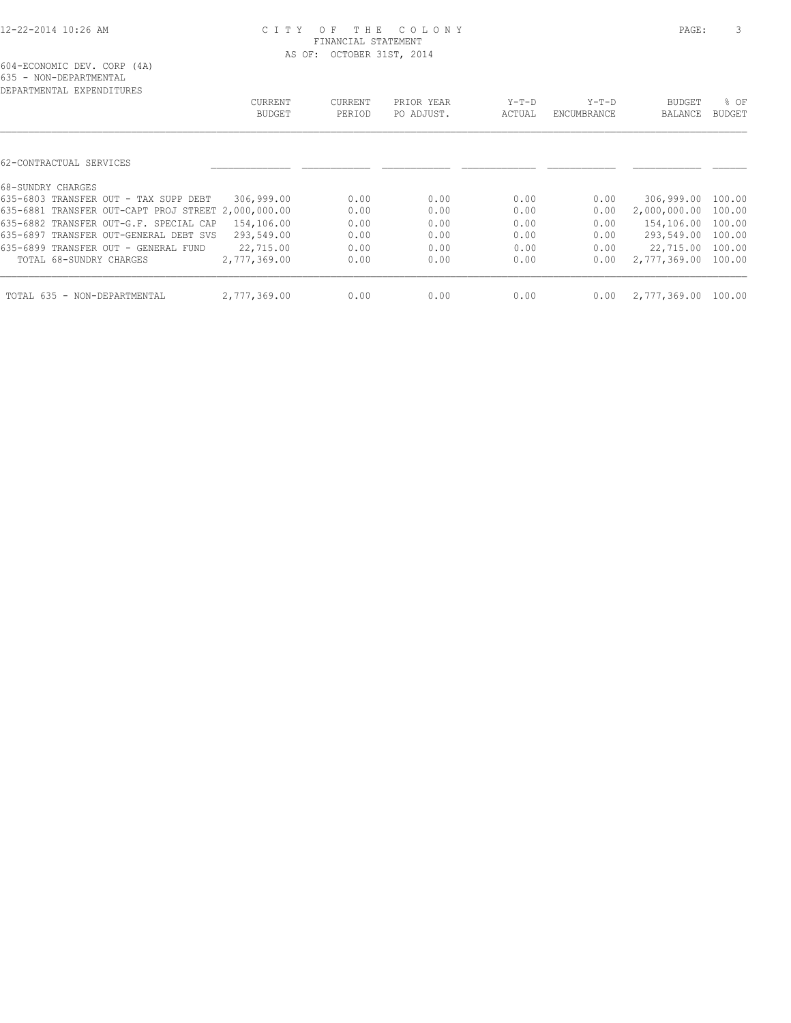| DEPARTMENTAL EXPENDITURES                           |               |         |            |        |             |                     |               |
|-----------------------------------------------------|---------------|---------|------------|--------|-------------|---------------------|---------------|
|                                                     | CURRENT       | CURRENT | PRIOR YEAR | Y-T-D  | $Y-T-D$     | BUDGET              | % OF          |
|                                                     | <b>BUDGET</b> | PERIOD  | PO ADJUST. | ACTUAL | ENCUMBRANCE | BALANCE             | <b>BUDGET</b> |
|                                                     |               |         |            |        |             |                     |               |
| 62-CONTRACTUAL SERVICES                             |               |         |            |        |             |                     |               |
| 68-SUNDRY CHARGES                                   |               |         |            |        |             |                     |               |
| 635-6803 TRANSFER OUT - TAX SUPP DEBT               | 306,999.00    | 0.00    | 0.00       | 0.00   | 0.00        | 306,999.00 100.00   |               |
| 635-6881 TRANSFER OUT-CAPT PROJ STREET 2,000,000.00 |               | 0.00    | 0.00       | 0.00   | 0.00        | 2,000,000.00        | 100.00        |
| 635-6882 TRANSFER OUT-G.F. SPECIAL CAP              | 154,106.00    | 0.00    | 0.00       | 0.00   | 0.00        | 154,106.00 100.00   |               |
| 635-6897 TRANSFER OUT-GENERAL DEBT SVS              | 293,549.00    | 0.00    | 0.00       | 0.00   | 0.00        | 293,549.00          | 100.00        |
| 635-6899 TRANSFER OUT - GENERAL FUND                | 22,715.00     | 0.00    | 0.00       | 0.00   | 0.00        | 22,715.00 100.00    |               |
| TOTAL 68-SUNDRY CHARGES                             | 2,777,369.00  | 0.00    | 0.00       | 0.00   | 0.00        | 2,777,369.00 100.00 |               |
| TOTAL 635 - NON-DEPARTMENTAL                        | 2,777,369.00  | 0.00    | 0.00       | 0.00   | 0.00        | 2,777,369.00 100.00 |               |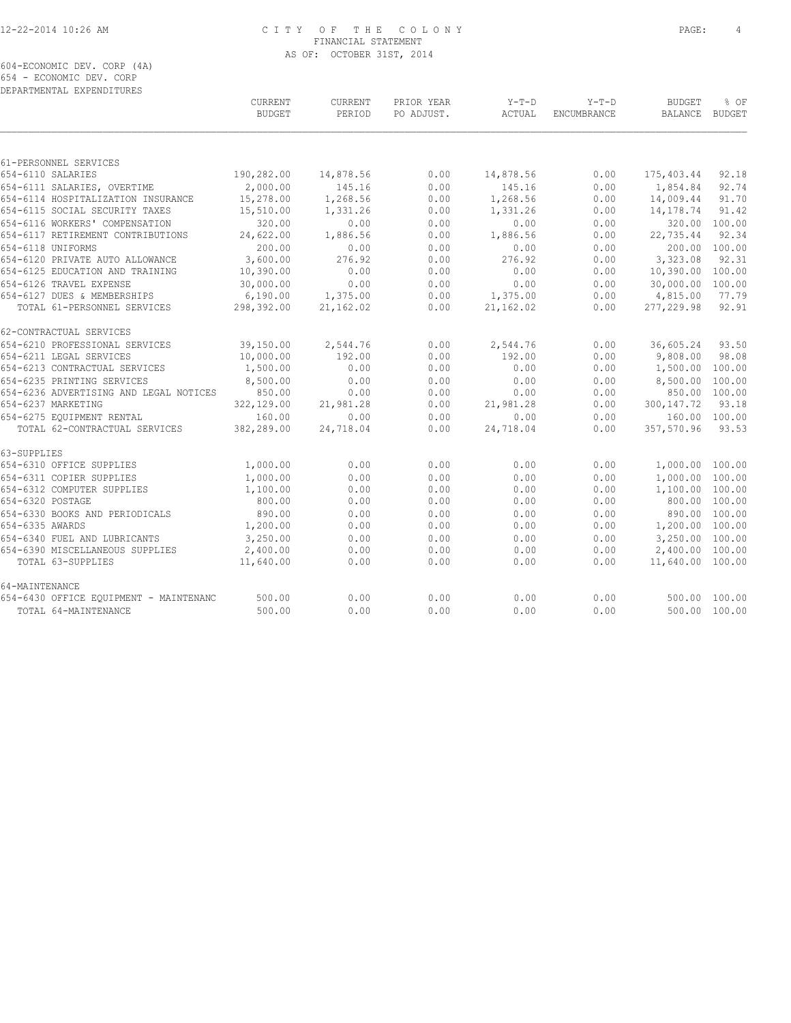604-ECONOMIC DEV. CORP (4A) 654 - ECONOMIC DEV. CORP DEPARTMENTAL EXPENDITURES

| DEFANIMENIAL EAFENDIIONES              | CURRENT       | CURRENT   | PRIOR YEAR | $Y-T-D$   | $Y-T-D$     | <b>BUDGET</b>    | % OF          |
|----------------------------------------|---------------|-----------|------------|-----------|-------------|------------------|---------------|
|                                        | <b>BUDGET</b> | PERIOD    | PO ADJUST. | ACTUAL    | ENCUMBRANCE | BALANCE          | BUDGET        |
|                                        |               |           |            |           |             |                  |               |
| 61-PERSONNEL SERVICES                  |               |           |            |           |             |                  |               |
| 654-6110 SALARIES                      | 190,282.00    | 14,878.56 | 0.00       | 14,878.56 | 0.00        | 175,403.44       | 92.18         |
| 654-6111 SALARIES, OVERTIME            | 2,000.00      | 145.16    | 0.00       | 145.16    | 0.00        | 1,854.84         | 92.74         |
| 654-6114 HOSPITALIZATION INSURANCE     | 15,278.00     | 1,268.56  | 0.00       | 1,268.56  | 0.00        | 14,009.44        | 91.70         |
| 654-6115 SOCIAL SECURITY TAXES         | 15,510.00     | 1,331.26  | 0.00       | 1,331.26  | 0.00        | 14,178.74        | 91.42         |
| 654-6116 WORKERS' COMPENSATION         | 320.00        | 0.00      | 0.00       | 0.00      | 0.00        | 320.00           | 100.00        |
| 654-6117 RETIREMENT CONTRIBUTIONS      | 24,622.00     | 1,886.56  | 0.00       | 1,886.56  | 0.00        | 22,735.44        | 92.34         |
| 654-6118 UNIFORMS                      | 200.00        | 0.00      | 0.00       | 0.00      | 0.00        |                  | 200.00 100.00 |
| 654-6120 PRIVATE AUTO ALLOWANCE        | 3,600.00      | 276.92    | 0.00       | 276.92    | 0.00        | 3,323.08         | 92.31         |
| 654-6125 EDUCATION AND TRAINING        | 10,390.00     | 0.00      | 0.00       | 0.00      | 0.00        | 10,390.00        | 100.00        |
| 654-6126 TRAVEL EXPENSE                | 30,000.00     | 0.00      | 0.00       | 0.00      | 0.00        | 30,000.00        | 100.00        |
| 654-6127 DUES & MEMBERSHIPS            | 6,190.00      | 1,375.00  | 0.00       | 1,375.00  | 0.00        | 4,815.00         | 77.79         |
| TOTAL 61-PERSONNEL SERVICES            | 298,392.00    | 21,162.02 | 0.00       | 21,162.02 | 0.00        | 277, 229.98      | 92.91         |
| 62-CONTRACTUAL SERVICES                |               |           |            |           |             |                  |               |
| 654-6210 PROFESSIONAL SERVICES         | 39,150.00     | 2,544.76  | 0.00       | 2,544.76  | 0.00        | 36,605.24        | 93.50         |
| 654-6211 LEGAL SERVICES                | 10,000.00     | 192.00    | 0.00       | 192.00    | 0.00        | 9,808.00         | 98.08         |
| 654-6213 CONTRACTUAL SERVICES          | 1,500.00      | 0.00      | 0.00       | 0.00      | 0.00        | 1,500.00         | 100.00        |
| 654-6235 PRINTING SERVICES             | 8,500.00      | 0.00      | 0.00       | 0.00      | 0.00        | 8,500.00         | 100.00        |
| 654-6236 ADVERTISING AND LEGAL NOTICES | 850.00        | 0.00      | 0.00       | 0.00      | 0.00        |                  | 850.00 100.00 |
| 654-6237 MARKETING                     | 322,129.00    | 21,981.28 | 0.00       | 21,981.28 | 0.00        | 300, 147.72      | 93.18         |
| 654-6275 EOUIPMENT RENTAL              | 160.00        | 0.00      | 0.00       | 0.00      | 0.00        |                  | 160.00 100.00 |
| TOTAL 62-CONTRACTUAL SERVICES          | 382,289.00    | 24,718.04 | 0.00       | 24,718.04 | 0.00        | 357,570.96       | 93.53         |
| 63-SUPPLIES                            |               |           |            |           |             |                  |               |
| 654-6310 OFFICE SUPPLIES               | 1,000.00      | 0.00      | 0.00       | 0.00      | 0.00        | 1,000.00 100.00  |               |
| 654-6311 COPIER SUPPLIES               | 1,000.00      | 0.00      | 0.00       | 0.00      | 0.00        | 1,000.00 100.00  |               |
| 654-6312 COMPUTER SUPPLIES             | 1,100.00      | 0.00      | 0.00       | 0.00      | 0.00        | 1,100.00 100.00  |               |
| 654-6320 POSTAGE                       | 800.00        | 0.00      | 0.00       | 0.00      | 0.00        |                  | 800.00 100.00 |
| 654-6330 BOOKS AND PERIODICALS         | 890.00        | 0.00      | 0.00       | 0.00      | 0.00        |                  | 890.00 100.00 |
| 654-6335 AWARDS                        | 1,200.00      | 0.00      | 0.00       | 0.00      | 0.00        | 1,200.00 100.00  |               |
| 654-6340 FUEL AND LUBRICANTS           | 3,250.00      | 0.00      | 0.00       | 0.00      | 0.00        | 3,250.00 100.00  |               |
| 654-6390 MISCELLANEOUS SUPPLIES        | 2,400.00      | 0.00      | 0.00       | 0.00      | 0.00        | 2,400.00 100.00  |               |
| TOTAL 63-SUPPLIES                      | 11,640.00     | 0.00      | 0.00       | 0.00      | 0.00        | 11,640.00 100.00 |               |
| 64-MAINTENANCE                         |               |           |            |           |             |                  |               |
| 654-6430 OFFICE EQUIPMENT - MAINTENANC | 500.00        | 0.00      | 0.00       | 0.00      | 0.00        | 500.00           | 100.00        |
| TOTAL 64-MAINTENANCE                   | 500.00        | 0.00      | 0.00       | 0.00      | 0.00        |                  | 500.00 100.00 |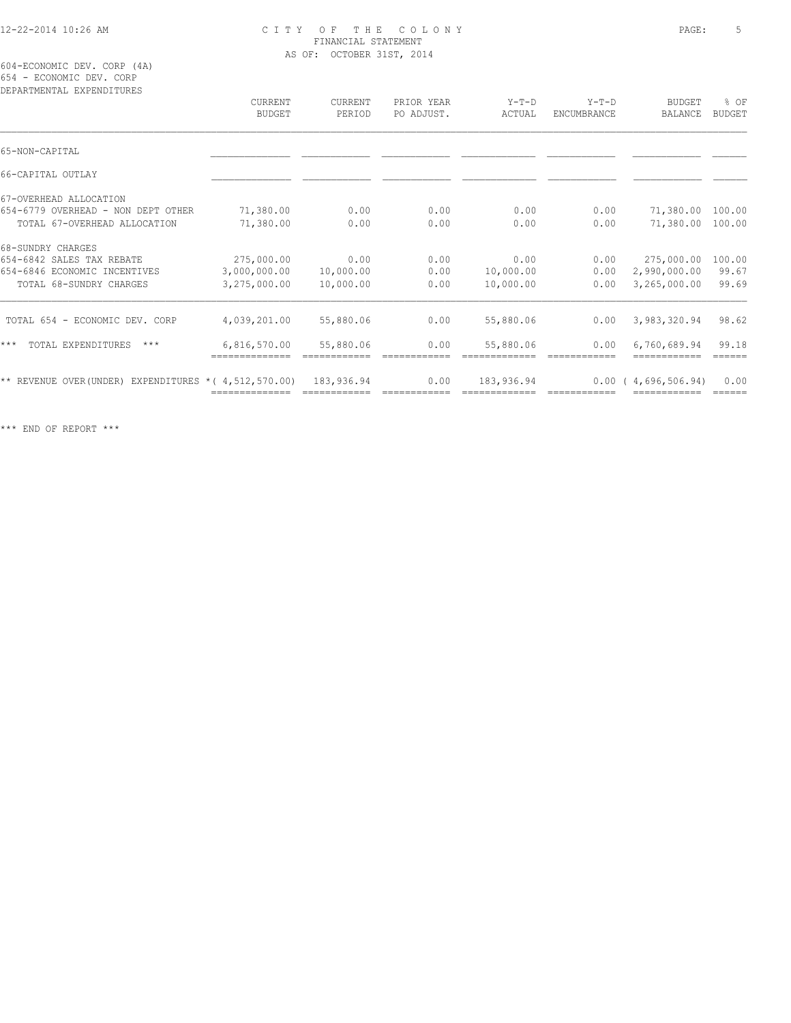604-ECONOMIC DEV. CORP (4A) 654 - ECONOMIC DEV. CORP

| DEPARTMENTAL EXPENDITURES                                  | <b>CURRENT</b> | CURRENT    | PRIOR YEAR | $Y-T-D$    | $Y-T-D$     | <b>BUDGET</b>    | % OF          |
|------------------------------------------------------------|----------------|------------|------------|------------|-------------|------------------|---------------|
|                                                            | <b>BUDGET</b>  | PERIOD     | PO ADJUST. | ACTUAL     | ENCUMBRANCE | <b>BALANCE</b>   | <b>BUDGET</b> |
| 65-NON-CAPITAL                                             |                |            |            |            |             |                  |               |
| 66-CAPITAL OUTLAY                                          |                |            |            |            |             |                  |               |
| 67-OVERHEAD ALLOCATION                                     |                |            |            |            |             |                  |               |
| 654-6779 OVERHEAD - NON DEPT OTHER                         | 71,380.00      | 0.00       | 0.00       | 0.00       | 0.00        | 71,380.00        | 100.00        |
| TOTAL 67-OVERHEAD ALLOCATION                               | 71,380.00      | 0.00       | 0.00       | 0.00       | 0.00        | 71,380.00 100.00 |               |
| 68-SUNDRY CHARGES                                          |                |            |            |            |             |                  |               |
| 654-6842 SALES TAX REBATE                                  | 275,000.00     | 0.00       | 0.00       | 0.00       | 0.00        | 275,000.00       | 100.00        |
| 654-6846 ECONOMIC INCENTIVES                               | 3,000,000.00   | 10,000.00  | 0.00       | 10,000.00  | 0.00        | 2,990,000.00     | 99.67         |
| TOTAL 68-SUNDRY CHARGES                                    | 3,275,000.00   | 10,000.00  | 0.00       | 10,000.00  | 0.00        | 3,265,000.00     | 99.69         |
| TOTAL 654 - ECONOMIC DEV. CORP                             | 4,039,201.00   | 55,880.06  | 0.00       | 55,880.06  | 0.00        | 3,983,320.94     | 98.62         |
| $***$<br>TOTAL EXPENDITURES<br>$***$                       | 6,816,570.00   | 55,880.06  | 0.00       | 55,880.06  | 0.00        | 6,760,689.94     | 99.18         |
| $**$ REVENUE OVER(UNDER) EXPENDITURES $*(4, 512, 570, 00)$ |                | 183,936.94 | 0.00       | 183,936.94 | 0.00        | (4,696,506,94)   | 0.00          |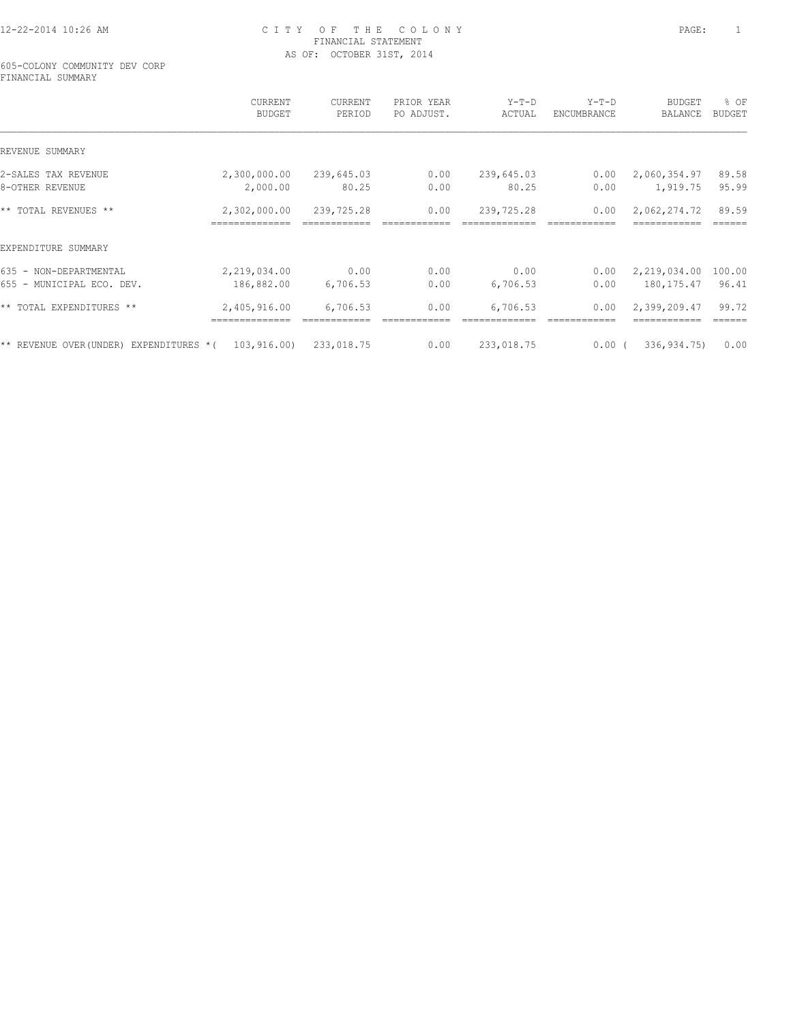605-COLONY COMMUNITY DEV CORP FINANCIAL SUMMARY

|                                                       | CURRENT<br><b>BUDGET</b> | CURRENT<br>PERIOD | PRIOR YEAR<br>PO ADJUST. | $Y-T-D$<br>ACTUAL | $Y-T-D$<br>ENCUMBRANCE | <b>BUDGET</b><br>BALANCE | % OF<br><b>BUDGET</b> |
|-------------------------------------------------------|--------------------------|-------------------|--------------------------|-------------------|------------------------|--------------------------|-----------------------|
| REVENUE SUMMARY                                       |                          |                   |                          |                   |                        |                          |                       |
| 2-SALES TAX REVENUE                                   | 2,300,000.00             | 239,645.03        | 0.00                     | 239,645.03        | 0.00                   | 2,060,354.97             | 89.58                 |
| 8-OTHER REVENUE                                       | 2,000.00                 | 80.25             | 0.00                     | 80.25             | 0.00                   | 1,919.75                 | 95.99                 |
| ** TOTAL REVENUES **                                  | 2,302,000.00             | 239,725.28        | 0.00                     | 239,725.28        | 0.00                   | 2,062,274.72             | 89.59                 |
| EXPENDITURE SUMMARY                                   |                          |                   |                          |                   |                        |                          |                       |
| 635 - NON-DEPARTMENTAL                                | 2,219,034.00             | 0.00              | 0.00                     | 0.00              | 0.00                   | 2,219,034.00             | 100.00                |
| 655 - MUNICIPAL ECO. DEV.                             | 186,882.00               | 6,706.53          | 0.00                     | 6,706.53          | 0.00                   | 180,175.47               | 96.41                 |
| ** TOTAL EXPENDITURES **                              | 2,405,916.00             | 6,706.53          | 0.00                     | 6,706.53          | 0.00                   | 2,399,209.47             | 99.72                 |
| $*$ REVENUE OVER(UNDER) EXPENDITURES $*(103, 916.00)$ |                          | 233,018.75        | 0.00                     | 233,018.75        | $0.00$ (               | 336,934.75)              | 0.00                  |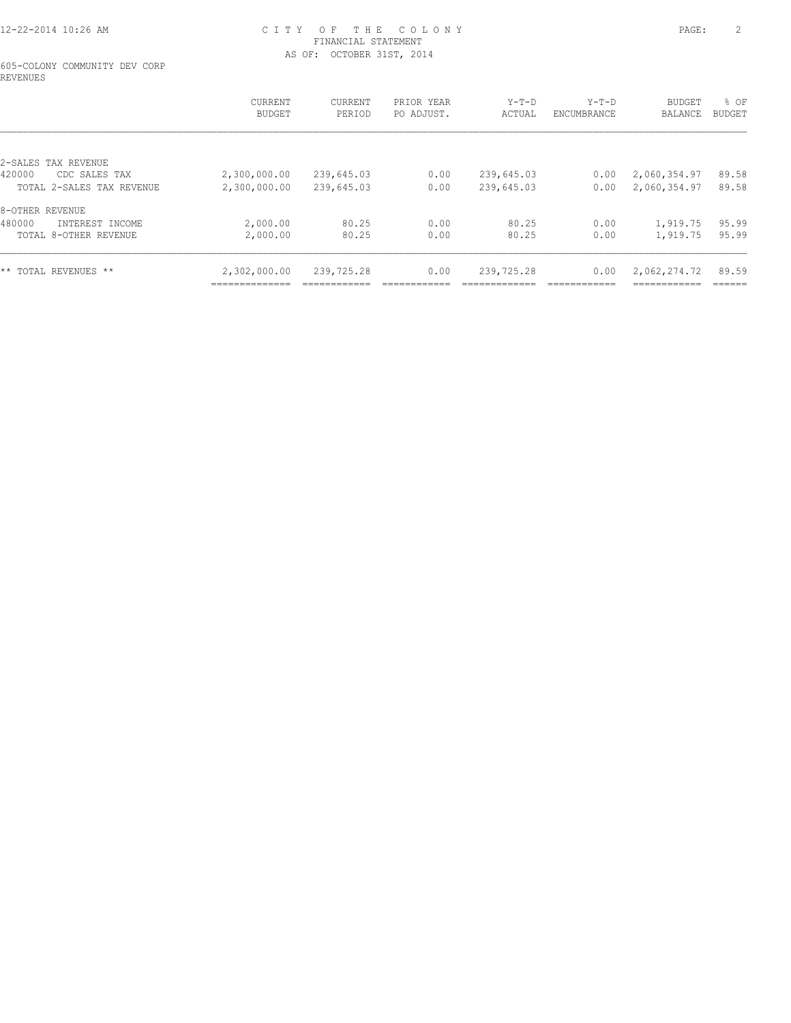#### 605-COLONY COMMUNITY DEV CORP REVENUES

|                           | CURRENT<br><b>BUDGET</b> | CURRENT<br>PERIOD | PRIOR YEAR<br>PO ADJUST. | $Y-T-D$<br>ACTUAL | $Y-T-D$<br><b>ENCUMBRANCE</b> | BUDGET<br>BALANCE | % OF<br>BUDGET |
|---------------------------|--------------------------|-------------------|--------------------------|-------------------|-------------------------------|-------------------|----------------|
|                           |                          |                   |                          |                   |                               |                   |                |
| 2-SALES TAX REVENUE       |                          |                   |                          |                   |                               |                   |                |
| 420000<br>CDC SALES TAX   | 2,300,000.00             | 239,645.03        | 0.00                     | 239,645.03        | 0.00                          | 2,060,354.97      | 89.58          |
| TOTAL 2-SALES TAX REVENUE | 2,300,000.00             | 239,645.03        | 0.00                     | 239,645.03        | 0.00                          | 2,060,354.97      | 89.58          |
| 8-OTHER REVENUE           |                          |                   |                          |                   |                               |                   |                |
| 480000<br>INTEREST INCOME | 2,000.00                 | 80.25             | 0.00                     | 80.25             | 0.00                          | 1,919.75          | 95.99          |
| TOTAL 8-OTHER REVENUE     | 2,000.00                 | 80.25             | 0.00                     | 80.25             | 0.00                          | 1,919.75          | 95.99          |
| ** TOTAL REVENUES **      | 2,302,000.00             | 239,725.28        | 0.00                     | 239,725.28        | 0.00                          | 2,062,274.72      | 89.59          |
|                           | --------------           |                   |                          |                   |                               | -----------       |                |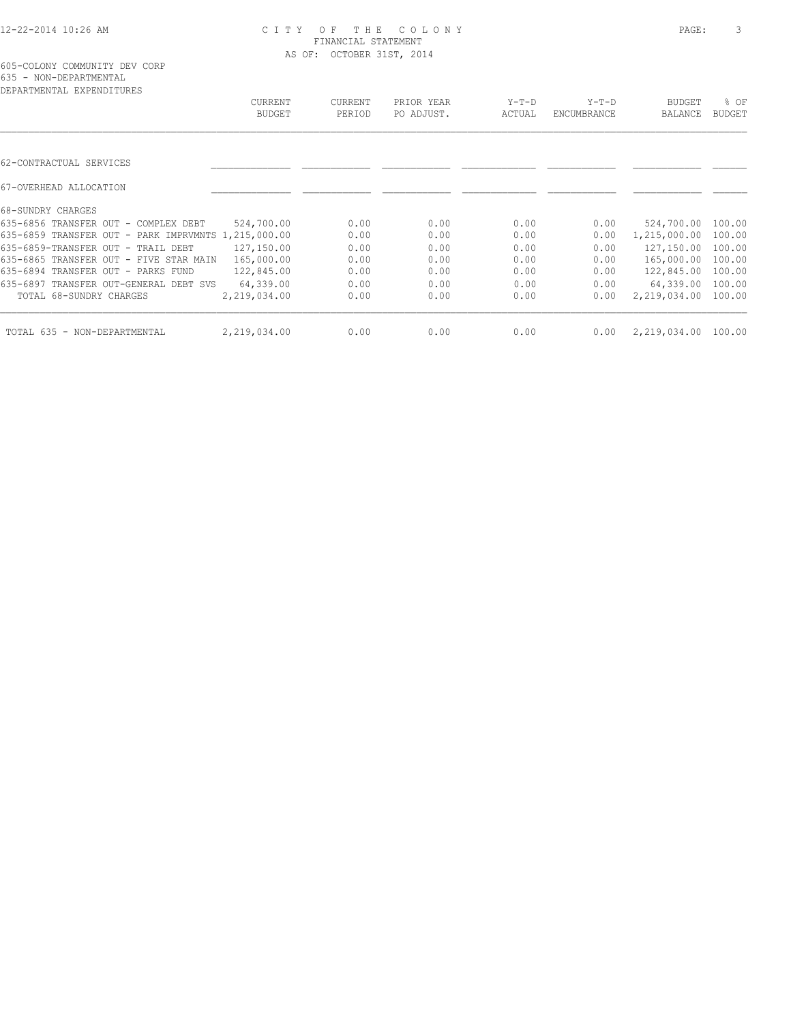| DEPARTMENTAL EXPENDITURES                           |               |                |            |         |             |               |               |
|-----------------------------------------------------|---------------|----------------|------------|---------|-------------|---------------|---------------|
|                                                     | CURRENT       | <b>CURRENT</b> | PRIOR YEAR | $Y-T-D$ | $Y-T-D$     | <b>BUDGET</b> | % OF          |
|                                                     | <b>BUDGET</b> | PERIOD         | PO ADJUST. | ACTUAL  | ENCUMBRANCE | BALANCE       | <b>BUDGET</b> |
|                                                     |               |                |            |         |             |               |               |
| 62-CONTRACTUAL SERVICES                             |               |                |            |         |             |               |               |
| 67-OVERHEAD ALLOCATION                              |               |                |            |         |             |               |               |
| 68-SUNDRY CHARGES                                   |               |                |            |         |             |               |               |
| 635-6856 TRANSFER OUT - COMPLEX DEBT                | 524,700.00    | 0.00           | 0.00       | 0.00    | 0.00        | 524,700.00    | 100.00        |
| 635-6859 TRANSFER OUT - PARK IMPRVMNTS 1,215,000.00 |               | 0.00           | 0.00       | 0.00    | 0.00        | 1,215,000.00  | 100.00        |
| 635-6859-TRANSFER OUT - TRAIL DEBT                  | 127,150.00    | 0.00           | 0.00       | 0.00    | 0.00        | 127,150.00    | 100.00        |
| 635-6865 TRANSFER OUT - FIVE STAR MAIN              | 165,000.00    | 0.00           | 0.00       | 0.00    | 0.00        | 165,000.00    | 100.00        |
| 635-6894 TRANSFER OUT - PARKS FUND                  | 122,845.00    | 0.00           | 0.00       | 0.00    | 0.00        | 122,845.00    | 100.00        |
| 635-6897 TRANSFER OUT-GENERAL DEBT SVS              | 64,339.00     | 0.00           | 0.00       | 0.00    | 0.00        | 64,339.00     | 100.00        |
| TOTAL 68-SUNDRY CHARGES                             | 2,219,034.00  | 0.00           | 0.00       | 0.00    | 0.00        | 2,219,034.00  | 100.00        |
| TOTAL 635 - NON-DEPARTMENTAL                        | 2,219,034.00  | 0.00           | 0.00       | 0.00    | 0.00        | 2,219,034.00  | 100.00        |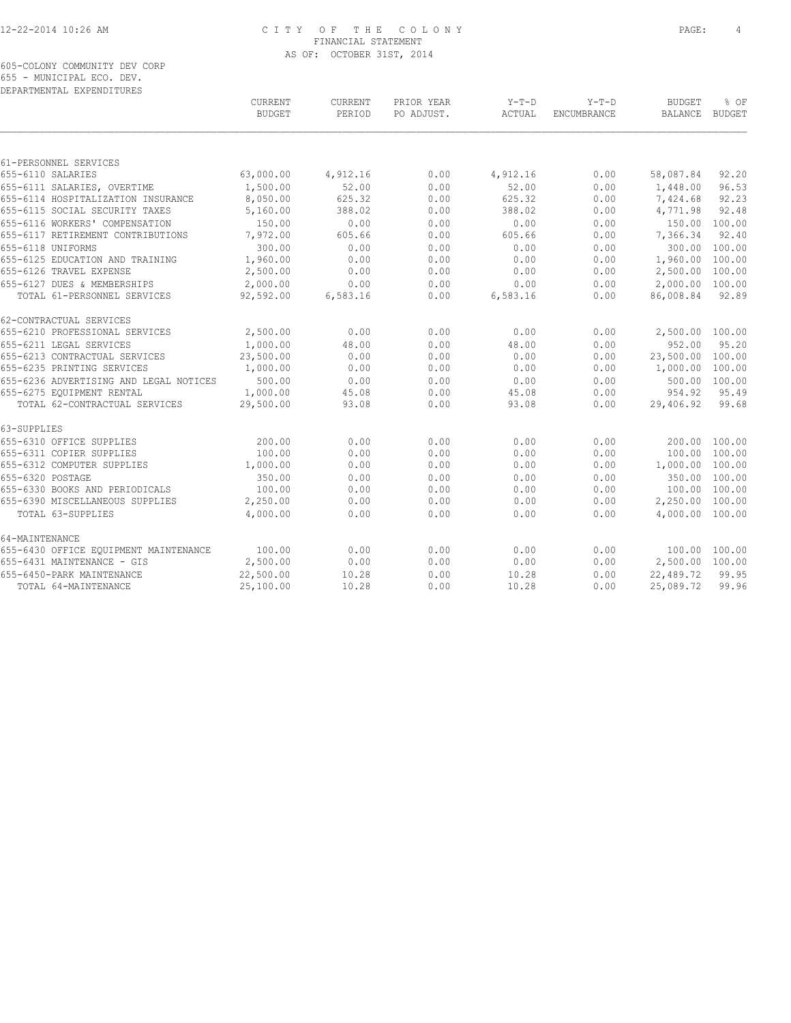605-COLONY COMMUNITY DEV CORP 655 - MUNICIPAL ECO. DEV. DEPARTMENTAL EXPENDITURES

| DELANINENIAE EALENDIIONEO              | CURRENT<br><b>BUDGET</b> | CURRENT<br>PERIOD | PRIOR YEAR<br>PO ADJUST. | $Y-T-D$<br>ACTUAL | $Y-T-D$<br><b>ENCUMBRANCE</b> | <b>BUDGET</b><br>BALANCE | % OF<br><b>BUDGET</b> |
|----------------------------------------|--------------------------|-------------------|--------------------------|-------------------|-------------------------------|--------------------------|-----------------------|
|                                        |                          |                   |                          |                   |                               |                          |                       |
| 61-PERSONNEL SERVICES                  |                          |                   |                          |                   |                               |                          |                       |
| 655-6110 SALARIES                      | 63,000.00                | 4,912.16          | 0.00                     | 4,912.16          | 0.00                          | 58,087.84                | 92.20                 |
| 655-6111 SALARIES, OVERTIME            | 1,500.00                 | 52.00             | 0.00                     | 52.00             | 0.00                          | 1,448.00                 | 96.53                 |
| 655-6114 HOSPITALIZATION INSURANCE     | 8,050.00                 | 625.32            | 0.00                     | 625.32            | 0.00                          | 7,424.68                 | 92.23                 |
| 655-6115 SOCIAL SECURITY TAXES         | 5,160.00                 | 388.02            | 0.00                     | 388.02            | 0.00                          | 4,771.98                 | 92.48                 |
| 655-6116 WORKERS' COMPENSATION         | 150.00                   | 0.00              | 0.00                     | 0.00              | 0.00                          | 150.00                   | 100.00                |
| 655-6117 RETIREMENT CONTRIBUTIONS      | 7,972.00                 | 605.66            | 0.00                     | 605.66            | 0.00                          | 7,366.34                 | 92.40                 |
| 655-6118 UNIFORMS                      | 300.00                   | 0.00              | 0.00                     | 0.00              | 0.00                          | 300.00                   | 100.00                |
| 655-6125 EDUCATION AND TRAINING        | 1,960.00                 | 0.00              | 0.00                     | 0.00              | 0.00                          | 1,960.00                 | 100.00                |
| 655-6126 TRAVEL EXPENSE                | 2,500.00                 | 0.00              | 0.00                     | 0.00              | 0.00                          | 2,500.00                 | 100.00                |
| 655-6127 DUES & MEMBERSHIPS            | 2,000.00                 | 0.00              | 0.00                     | 0.00              | 0.00                          | 2,000.00 100.00          |                       |
| TOTAL 61-PERSONNEL SERVICES            | 92,592.00                | 6,583.16          | 0.00                     | 6,583.16          | 0.00                          | 86,008.84                | 92.89                 |
| 62-CONTRACTUAL SERVICES                |                          |                   |                          |                   |                               |                          |                       |
| 655-6210 PROFESSIONAL SERVICES         | 2,500.00                 | 0.00              | 0.00                     | 0.00              | 0.00                          | 2,500.00 100.00          |                       |
| 655-6211 LEGAL SERVICES                | 1,000.00                 | 48.00             | 0.00                     | 48.00             | 0.00                          | 952.00                   | 95.20                 |
| 655-6213 CONTRACTUAL SERVICES          | 23,500.00                | 0.00              | 0.00                     | 0.00              | 0.00                          | 23,500.00                | 100.00                |
| 655-6235 PRINTING SERVICES             | 1,000.00                 | 0.00              | 0.00                     | 0.00              | 0.00                          | 1,000.00                 | 100.00                |
| 655-6236 ADVERTISING AND LEGAL NOTICES | 500.00                   | 0.00              | 0.00                     | 0.00              | 0.00                          |                          | 500.00 100.00         |
| 655-6275 EOUIPMENT RENTAL              | 1,000.00                 | 45.08             | 0.00                     | 45.08             | 0.00                          | 954.92                   | 95.49                 |
| TOTAL 62-CONTRACTUAL SERVICES          | 29,500.00                | 93.08             | 0.00                     | 93.08             | 0.00                          | 29,406.92                | 99.68                 |
| 63-SUPPLIES                            |                          |                   |                          |                   |                               |                          |                       |
| 655-6310 OFFICE SUPPLIES               | 200.00                   | 0.00              | 0.00                     | 0.00              | 0.00                          |                          | 200.00 100.00         |
| 655-6311 COPIER SUPPLIES               | 100.00                   | 0.00              | 0.00                     | 0.00              | 0.00                          |                          | 100.00 100.00         |
| 655-6312 COMPUTER SUPPLIES             | 1,000.00                 | 0.00              | 0.00                     | 0.00              | 0.00                          | 1,000.00 100.00          |                       |
| 655-6320 POSTAGE                       | 350.00                   | 0.00              | 0.00                     | 0.00              | 0.00                          |                          | 350.00 100.00         |
| 655-6330 BOOKS AND PERIODICALS         | 100.00                   | 0.00              | 0.00                     | 0.00              | 0.00                          |                          | 100.00 100.00         |
| 655-6390 MISCELLANEOUS SUPPLIES        | 2,250.00                 | 0.00              | 0.00                     | 0.00              | 0.00                          | 2,250.00 100.00          |                       |
| TOTAL 63-SUPPLIES                      | 4,000.00                 | 0.00              | 0.00                     | 0.00              | 0.00                          | 4,000.00 100.00          |                       |
| 64-MAINTENANCE                         |                          |                   |                          |                   |                               |                          |                       |
| 655-6430 OFFICE EQUIPMENT MAINTENANCE  | 100.00                   | 0.00              | 0.00                     | 0.00              | 0.00                          |                          | 100.00 100.00         |
| 655-6431 MAINTENANCE - GIS             | 2,500.00                 | 0.00              | 0.00                     | 0.00              | 0.00                          | 2,500.00 100.00          |                       |
| 655-6450-PARK MAINTENANCE              | 22,500.00                | 10.28             | 0.00                     | 10.28             | 0.00                          | 22,489.72                | 99.95                 |
| TOTAL 64-MAINTENANCE                   | 25,100.00                | 10.28             | 0.00                     | 10.28             | 0.00                          | 25,089.72                | 99.96                 |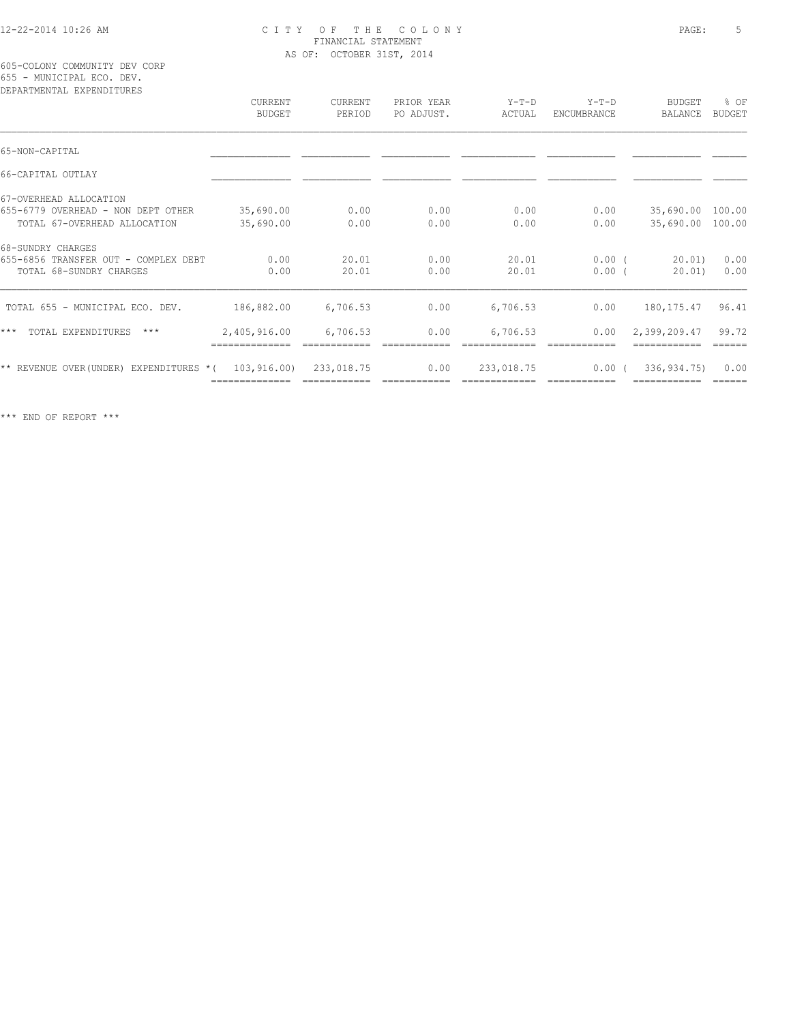605-COLONY COMMUNITY DEV CORP 655 - MUNICIPAL ECO. DEV.

| DEPARTMENTAL EXPENDITURES                |                          |                   |                          |                   |                        |                          |                       |
|------------------------------------------|--------------------------|-------------------|--------------------------|-------------------|------------------------|--------------------------|-----------------------|
|                                          | CURRENT<br><b>BUDGET</b> | CURRENT<br>PERIOD | PRIOR YEAR<br>PO ADJUST. | $Y-T-D$<br>ACTUAL | $Y-T-D$<br>ENCUMBRANCE | <b>BUDGET</b><br>BALANCE | % OF<br><b>BUDGET</b> |
| 65-NON-CAPITAL                           |                          |                   |                          |                   |                        |                          |                       |
|                                          |                          |                   |                          |                   |                        |                          |                       |
| 66-CAPITAL OUTLAY                        |                          |                   |                          |                   |                        |                          |                       |
| 67-OVERHEAD ALLOCATION                   |                          |                   |                          |                   |                        |                          |                       |
| 655-6779 OVERHEAD - NON DEPT OTHER       | 35,690.00                | 0.00              | 0.00                     | 0.00              | 0.00                   | 35,690.00 100.00         |                       |
| TOTAL 67-OVERHEAD ALLOCATION             | 35,690.00                | 0.00              | 0.00                     | 0.00              | 0.00                   | 35,690.00 100.00         |                       |
| 68-SUNDRY CHARGES                        |                          |                   |                          |                   |                        |                          |                       |
| 655-6856 TRANSFER OUT - COMPLEX DEBT     | 0.00                     | 20.01             | 0.00                     | 20.01             | $0.00$ (               | 20.01)                   | 0.00                  |
| TOTAL 68-SUNDRY CHARGES                  | 0.00                     | 20.01             | 0.00                     | 20.01             | 0.00(                  | 20.01)                   | 0.00                  |
| TOTAL 655 - MUNICIPAL ECO. DEV.          | 186,882.00               | 6,706.53          | 0.00                     | 6,706.53          | 0.00                   | 180, 175. 47             | 96.41                 |
| $***$<br>TOTAL EXPENDITURES<br>$***$     | 2,405,916.00             | 6,706.53          | 0.00                     | 6,706.53          | 0.00                   | 2,399,209.47             | 99.72<br>======       |
| ** REVENUE OVER (UNDER) EXPENDITURES * ( | 103,916.00)              | 233,018.75        | 0.00                     | 233,018.75        | 0.00(                  | 336,934.75)              | 0.00                  |
|                                          |                          |                   |                          |                   |                        |                          |                       |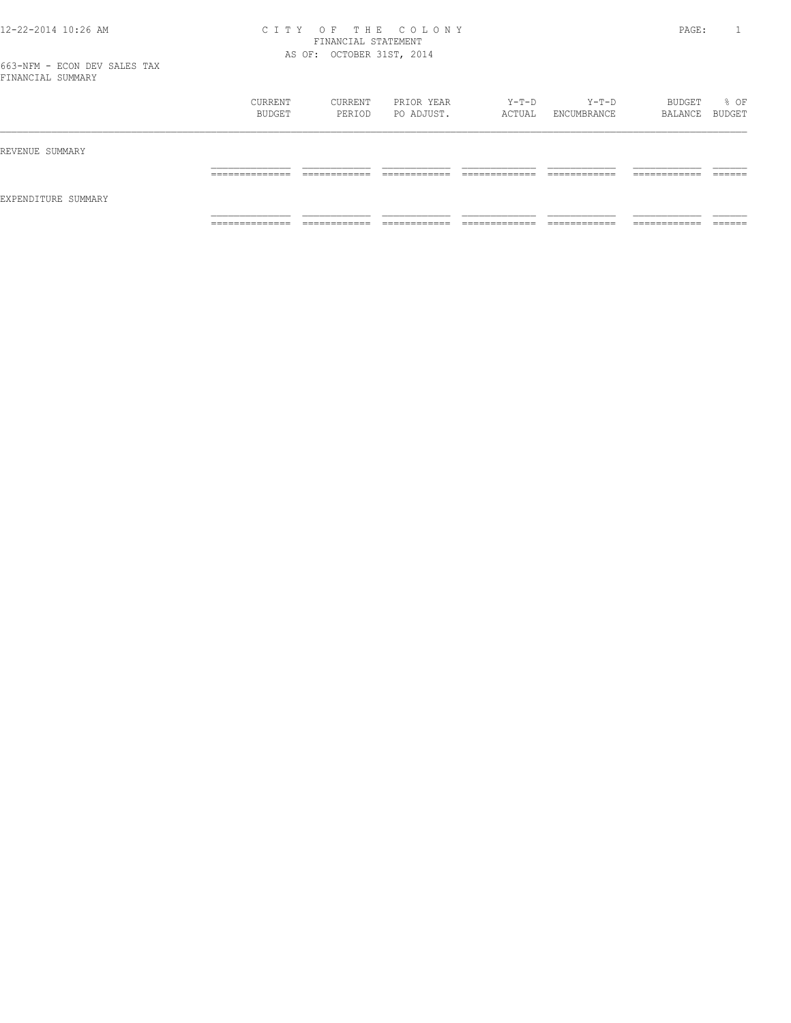|                     | CURRENT<br>BUDGET                 | CURRENT<br>PERIOD             | PRIOR YEAR<br>PO ADJUST.   | Y-T-D<br>ACTUAL                | Y-T-D<br>ENCUMBRANCE         | BUDGET<br>BALANCE BUDGET      | % OF               |
|---------------------|-----------------------------------|-------------------------------|----------------------------|--------------------------------|------------------------------|-------------------------------|--------------------|
| REVENUE SUMMARY     |                                   |                               |                            |                                |                              |                               |                    |
|                     | ______________<br>_______________ | -------------<br>____________ | -------------<br>_________ | _____________<br>_____________ | ____________<br>____________ | -------------<br>____________ | -------<br>_______ |
| EXPENDITURE SUMMARY |                                   |                               |                            |                                |                              |                               |                    |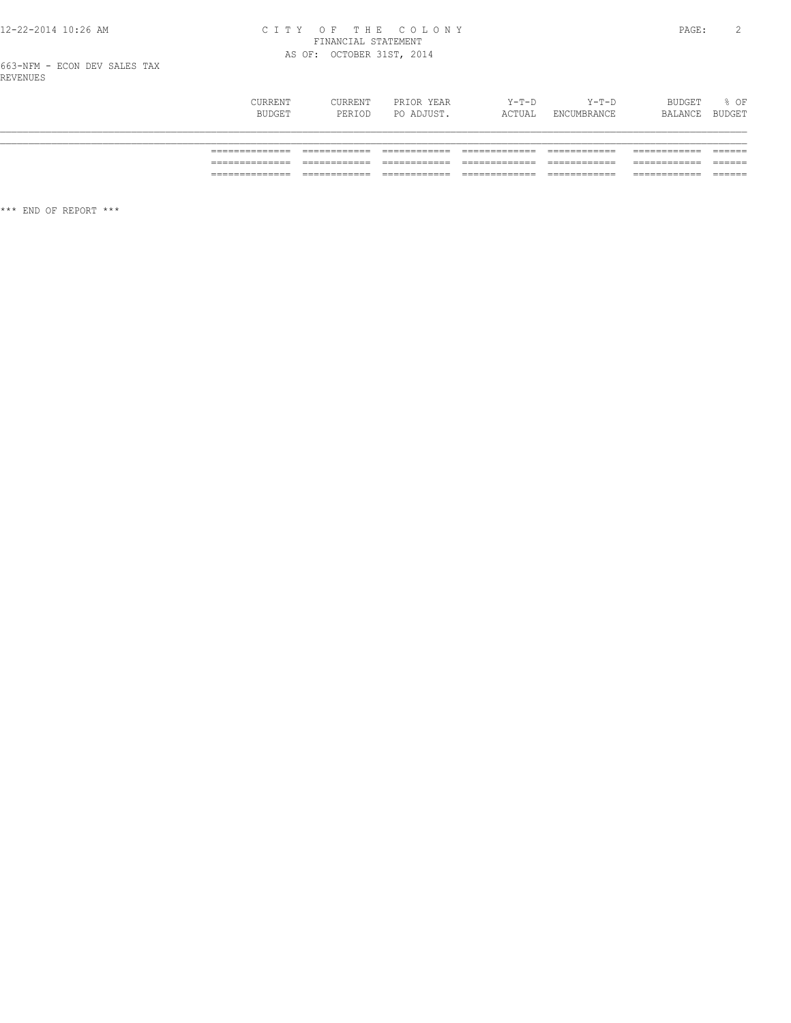# CITY OF THE COLONY<br>
FINANCIAL STATEMENT<br>
AS OF: OCTOBER 31ST, 2014

663-NFM - ECON DEV SALES TAX<br>REVENUES

| CURRENT<br>BUDGET | <b>CURRENT</b><br>PERIOD | PRIOR YEAR<br>PO ADJUST. | $Y-T-D$<br>ACTUAL | $Y-T-D$<br>ENCUMBRANCE | BUDGET<br>BALANCE | % OF<br>BUDGET |
|-------------------|--------------------------|--------------------------|-------------------|------------------------|-------------------|----------------|
|                   |                          |                          |                   |                        |                   |                |
| _________         |                          |                          |                   |                        |                   |                |
|                   |                          |                          |                   |                        |                   |                |
| ______________    |                          |                          |                   |                        |                   |                |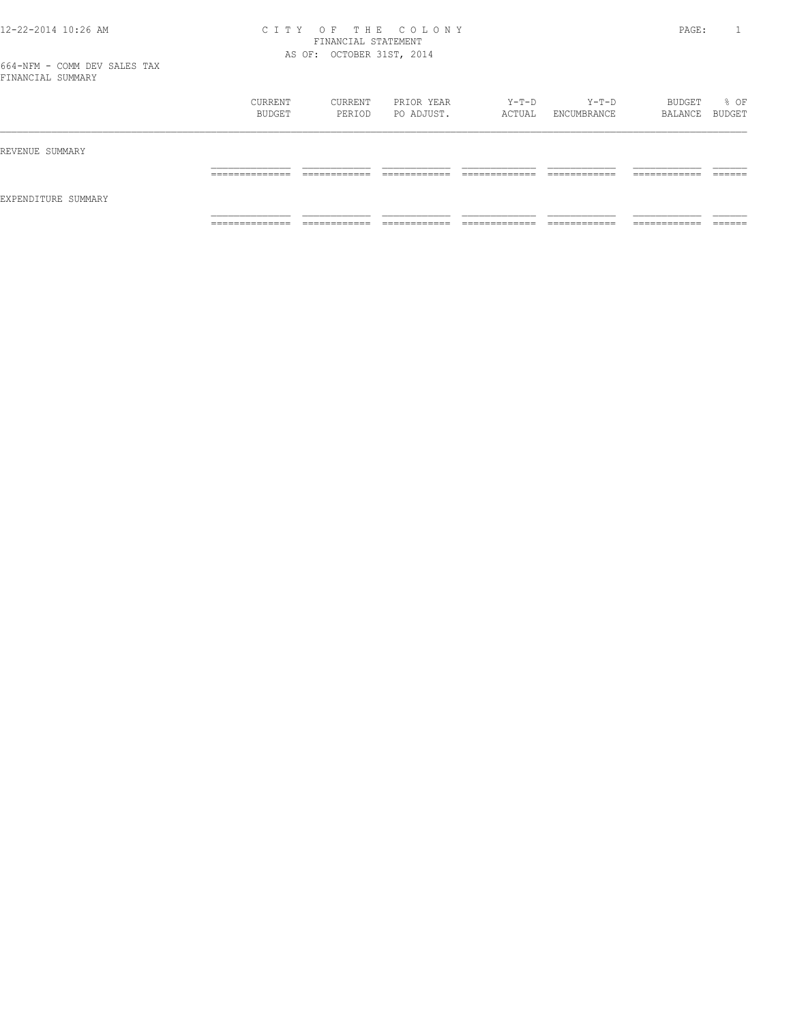|                     | CURRENT<br>BUDGET   | CURRENT<br>PERIOD            | PRIOR YEAR<br>PO ADJUST.     | Y-T-D<br>ACTUAL                | $Y-T-D$<br>ENCUMBRANCE       | BUDGET<br>BALANCE BUDGET      | % OF               |
|---------------------|---------------------|------------------------------|------------------------------|--------------------------------|------------------------------|-------------------------------|--------------------|
| REVENUE SUMMARY     |                     |                              |                              |                                |                              |                               |                    |
| EXPENDITURE SUMMARY | ______________<br>. | ------------<br>____________ | -------------                | ____________<br>_____________  | ____________<br>____________ | -------------<br>____________ | -------<br>_______ |
|                     | _____________<br>.  | ____________<br>____________ | ____________<br>____________ | _____________<br>_____________ | ____________<br>-----------  | -------------<br>____________ | _______            |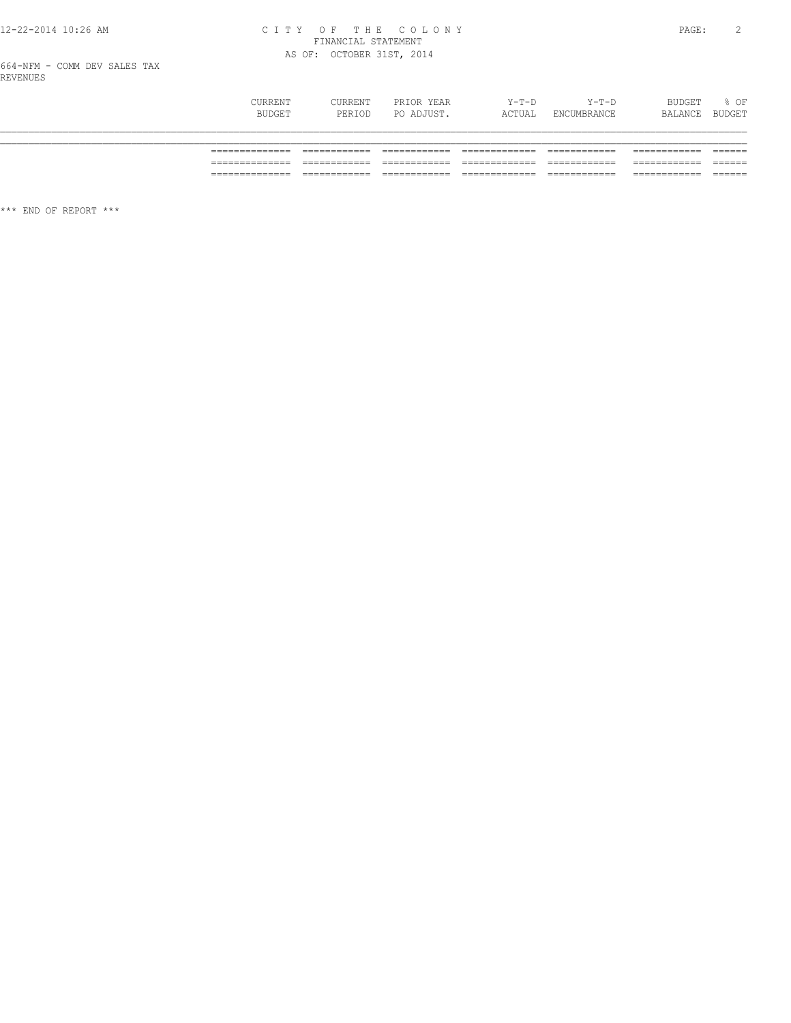# CITY OF THE COLONY<br>
FINANCIAL STATEMENT<br>
AS OF: OCTOBER 31ST, 2014

664-NFM - COMM DEV SALES TAX<br>REVENUES

| CURRENT<br>BUDGET | <b>CURRENT</b><br>PERIOD | PRIOR YEAR<br>PO ADJUST. | $Y-T-D$<br>ACTUAL | $Y-T-D$<br>ENCUMBRANCE | BUDGET<br>BALANCE | % OF<br>BUDGET |
|-------------------|--------------------------|--------------------------|-------------------|------------------------|-------------------|----------------|
|                   |                          |                          |                   |                        |                   |                |
| _________         |                          |                          |                   |                        |                   |                |
|                   |                          |                          |                   |                        |                   |                |
| ______________    |                          |                          |                   |                        |                   |                |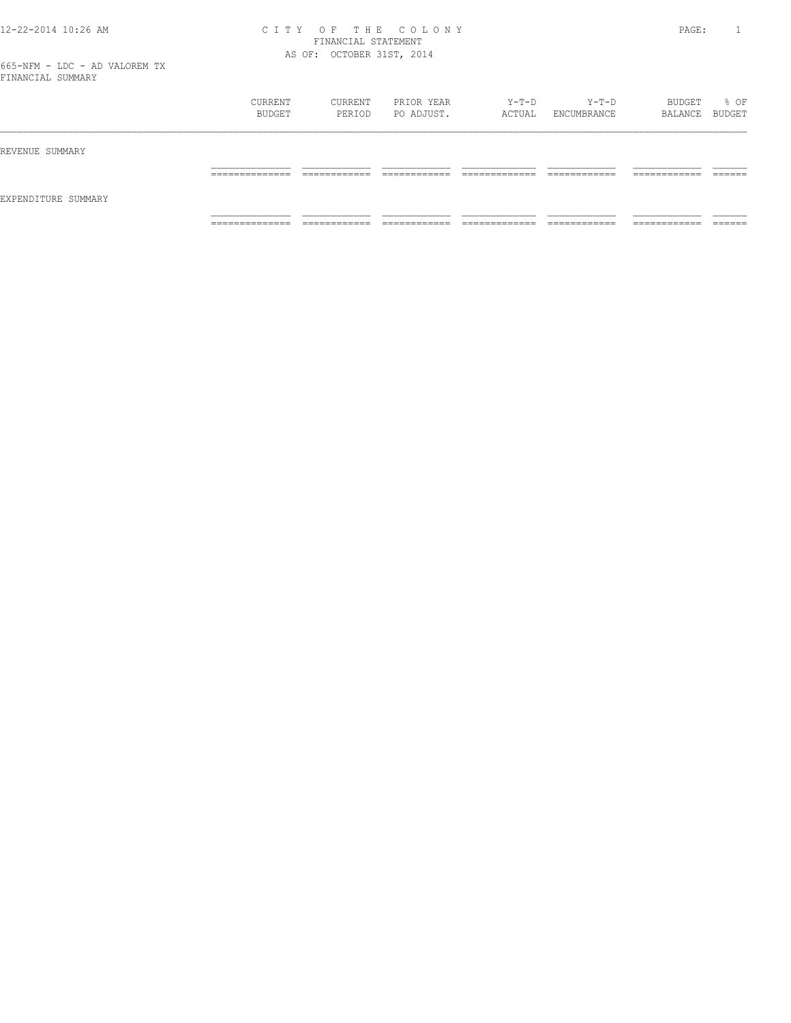|                     | CURRENT<br>BUDGET                 | CURRENT<br>PERIOD           | PRIOR YEAR<br>PO ADJUST.      | Y-T-D<br>ACTUAL                | Y-T-D<br>ENCUMBRANCE         | BUDGET<br>BALANCE BUDGET      | % OF               |
|---------------------|-----------------------------------|-----------------------------|-------------------------------|--------------------------------|------------------------------|-------------------------------|--------------------|
| REVENUE SUMMARY     |                                   |                             |                               |                                |                              |                               |                    |
|                     | ______________<br>_______________ | ____________<br>_________   | -------------                 | _____________                  | ____________<br>____________ | -------------<br>____________ | -------<br>_______ |
| EXPENDITURE SUMMARY |                                   |                             |                               |                                |                              |                               |                    |
|                     | ______________<br>-------------   | ___________<br>____________ | ____________<br>_____________ | _____________<br>_____________ | ____________<br>____________ | -------------<br>____________ | _______            |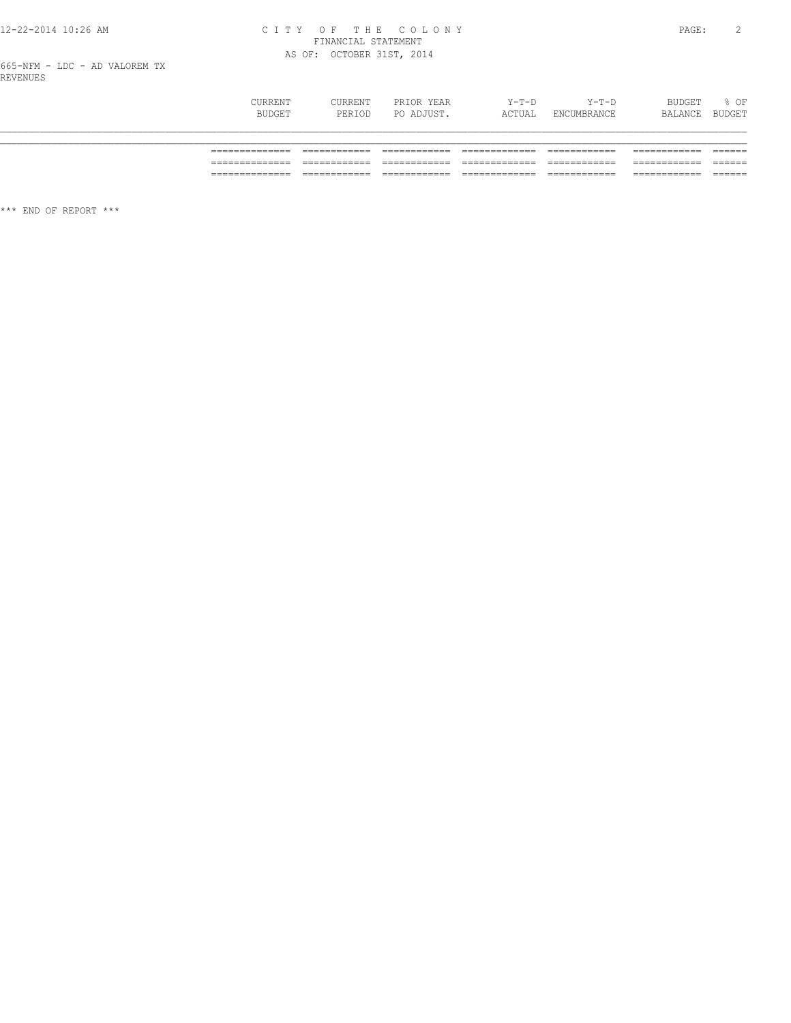# 12-22-2014 10:26 AM CITY OF THE COLONY<br>FINANCIAL STATEMENT<br>AS OF: OCTOBER 31ST, 2014

665-NFM - LDC - AD VALOREM TX<br>REVENUES

| CURRENT<br>BUDGET | CURRENT<br>PERIOD | PRIOR YEAR<br>PO ADJUST. | $Y-T-D$<br>ACTUAL | $Y-T-D$<br>ENCUMBRANCE | BUDGET<br>BALANCE | % OF<br>BUDGET |
|-------------------|-------------------|--------------------------|-------------------|------------------------|-------------------|----------------|
|                   |                   |                          |                   |                        |                   |                |
| ______________    |                   |                          |                   |                        |                   |                |
|                   |                   |                          |                   |                        |                   |                |
| _______________   |                   |                          |                   | ____________           |                   |                |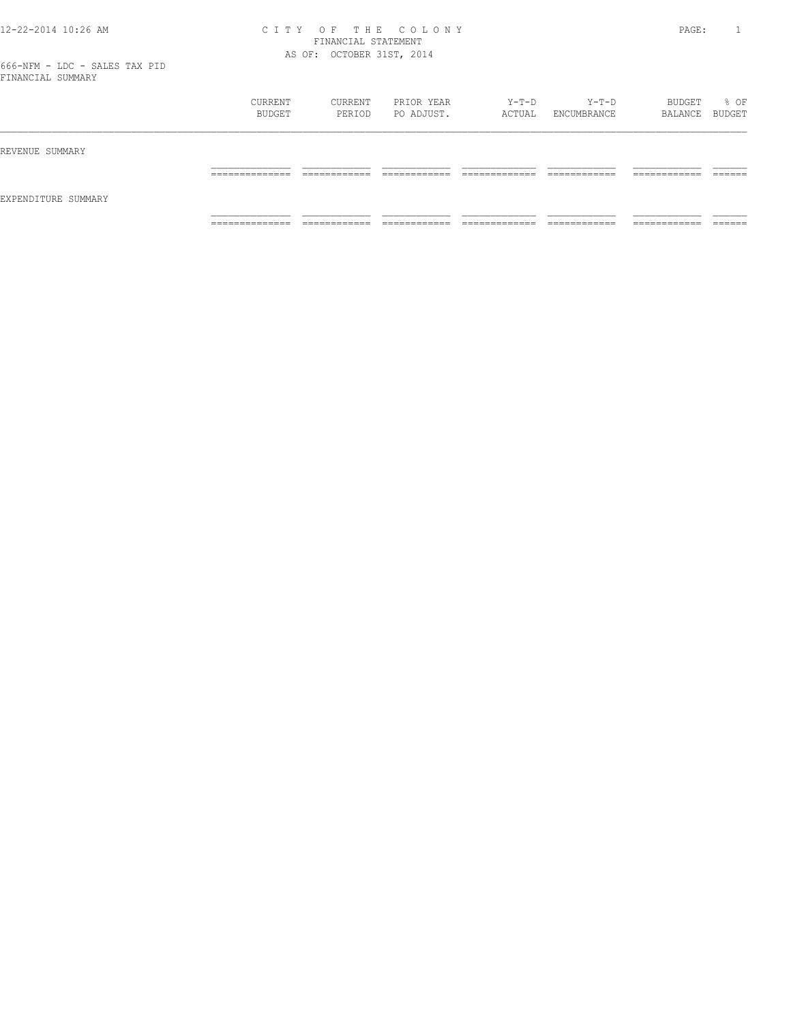|                     | CURRENT<br>BUDGET                 | CURRENT<br>PERIOD           | PRIOR YEAR<br>PO ADJUST.      | Y-T-D<br>ACTUAL                | Y-T-D<br>ENCUMBRANCE         | BUDGET<br>BALANCE BUDGET      | % OF               |
|---------------------|-----------------------------------|-----------------------------|-------------------------------|--------------------------------|------------------------------|-------------------------------|--------------------|
| REVENUE SUMMARY     |                                   |                             |                               |                                |                              |                               |                    |
|                     | ______________<br>_______________ | -------------<br>_________  | -------------                 | _____________                  | ____________<br>____________ | -------------<br>____________ | -------<br>_______ |
| EXPENDITURE SUMMARY |                                   |                             |                               |                                |                              |                               |                    |
|                     | ______________<br>-------------   | ___________<br>____________ | ____________<br>_____________ | _____________<br>_____________ | ____________<br>____________ | -------------<br>____________ | _______            |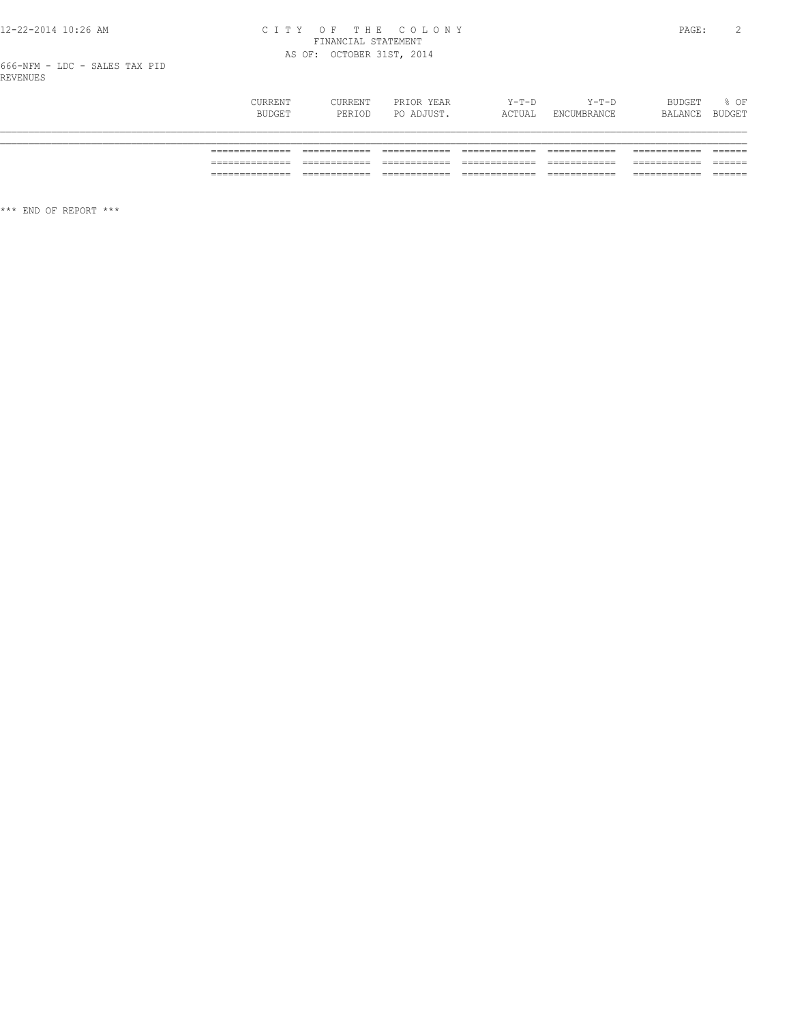# 12-22-2014 10:26 AM CITY OF THE COLONY<br>FINANCIAL STATEMENT<br>AS OF: OCTOBER 31ST, 2014

666-NFM - LDC - SALES TAX PID<br>REVENUES

| <b>CURRENT</b><br>BUDGET | CURRENT<br>PERIOD | PRIOR YEAR<br>PO ADJUST. | $Y-T-D$<br>ACTUAL | $Y-T-D$<br>ENCUMBRANCE | BUDGET<br>BALANCE | $8$ OF<br><b>BUDGET</b> |
|--------------------------|-------------------|--------------------------|-------------------|------------------------|-------------------|-------------------------|
| ______________           |                   |                          |                   |                        |                   |                         |
|                          |                   |                          |                   |                        |                   |                         |
|                          |                   |                          |                   |                        |                   |                         |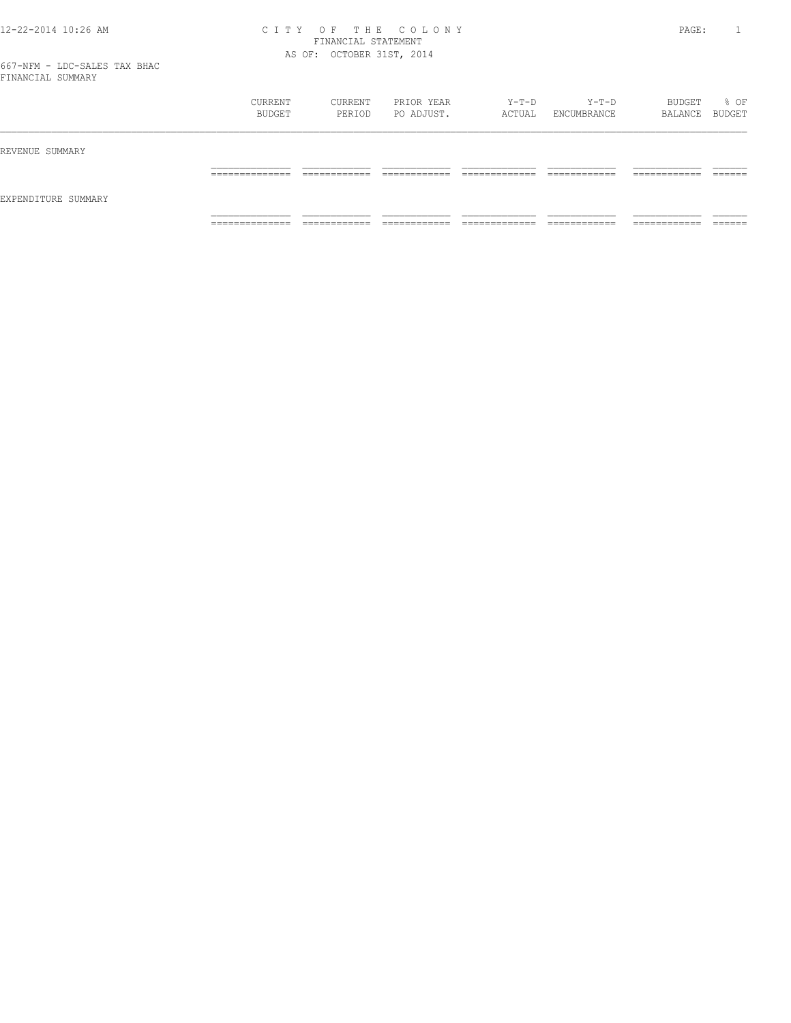|                     | CURRENT<br>BUDGET   | CURRENT<br>PERIOD             | PRIOR YEAR<br>PO ADJUST.     | Y-T-D<br>ACTUAL                | $Y-T-D$<br>ENCUMBRANCE        | BUDGET<br>BALANCE BUDGET      | % OF               |
|---------------------|---------------------|-------------------------------|------------------------------|--------------------------------|-------------------------------|-------------------------------|--------------------|
| REVENUE SUMMARY     |                     |                               |                              |                                |                               |                               |                    |
|                     | ______________<br>. | -------------<br>____________ | -------------                | ____________<br>_____________  | -------------<br>____________ | -------------<br>____________ | -------<br>_______ |
| EXPENDITURE SUMMARY |                     |                               |                              |                                |                               |                               |                    |
|                     | ______________<br>. | ____________<br>____________  | ____________<br>____________ | _____________<br>_____________ | ____________<br>____________  | -------------<br>____________ | _______            |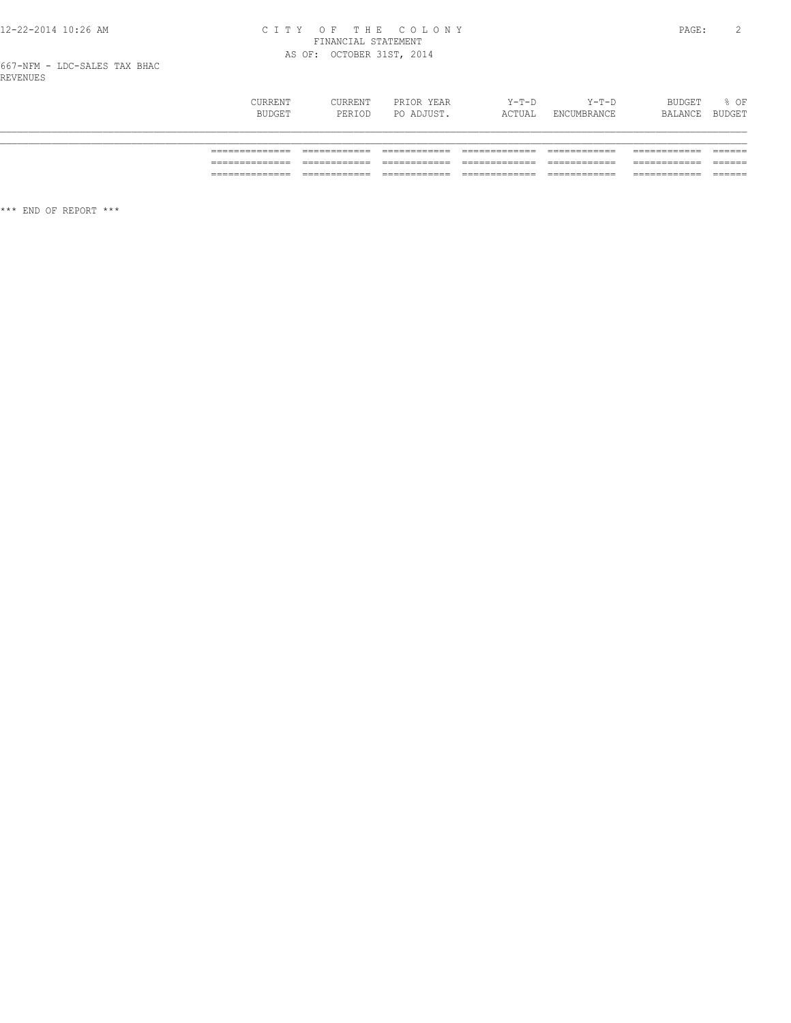# 12-22-2014 10:26 AM CITY OF THE COLONY<br>FINANCIAL STATEMENT<br>AS OF: OCTOBER 31ST, 2014

667-NFM - LDC-SALES TAX BHAC<br>REVENUES

| CURRENT<br>BUDGET | CURRENT<br>PERIOD | PRIOR YEAR<br>PO ADJUST. | $Y-T-D$<br>ACTUAL | $Y-T-D$<br>ENCUMBRANCE | BUDGET<br>BALANCE | % OF<br>BUDGET |
|-------------------|-------------------|--------------------------|-------------------|------------------------|-------------------|----------------|
|                   |                   |                          |                   |                        |                   |                |
|                   |                   |                          |                   |                        |                   |                |
| __________        |                   |                          |                   |                        |                   |                |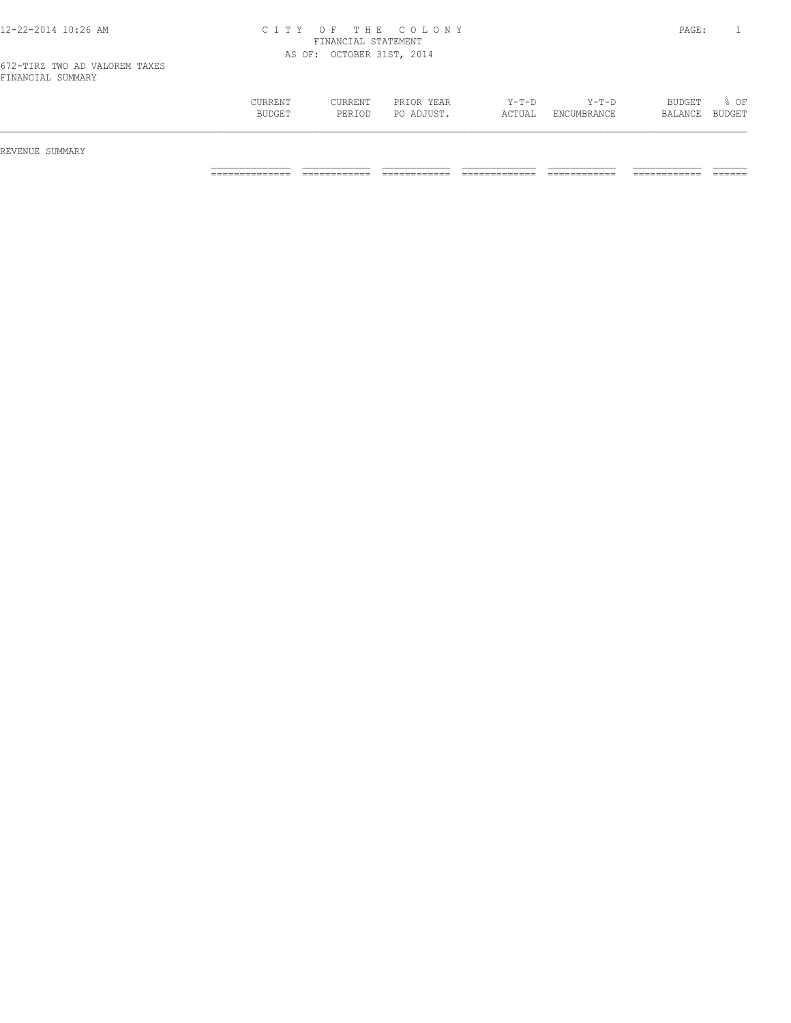| CURRENT<br>BUDGET | CURRENT<br>PERIOD | PRIOR YEAR<br>PO ADJUST. | $Y-T-D$<br>ACTUAL | $Y-T-D$<br>ENCUMBRANCE | <b>BUDGET</b><br>BALANCE | OF<br><b>BUDGET</b> |
|-------------------|-------------------|--------------------------|-------------------|------------------------|--------------------------|---------------------|
|                   |                   |                          |                   |                        |                          |                     |

REVENUE SUMMARY

============== ============ ============ ============= ============ ============ ======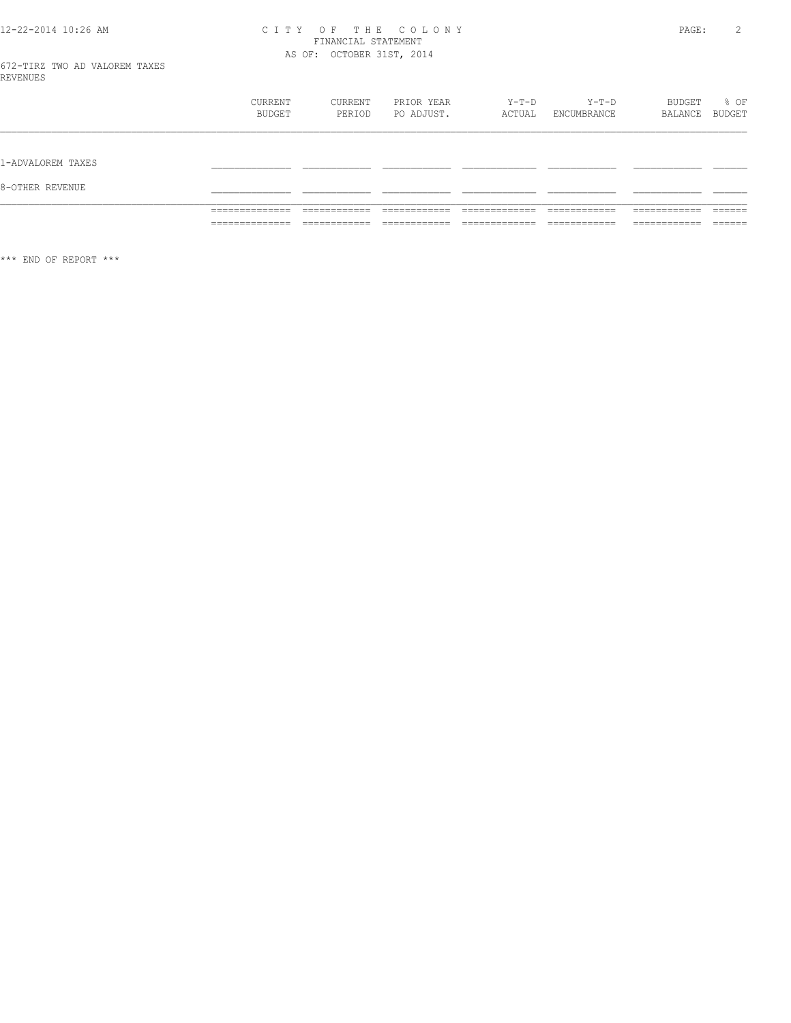# CITY OF THE COLONY<br>FINANCIAL STATEMENT<br>AS OF: OCTOBER 31ST, 2014

|                                      | <b>CURRENT</b><br>BUDGET                            | CURRENT<br>PERIOD                            | PRIOR YEAR<br>PO ADJUST.      | Y-T-D<br>ACTUAL                                 | $Y-T-D$<br>ENCUMBRANCE       | BUDGET<br>BALANCE                             | % OF<br>BUDGET                           |
|--------------------------------------|-----------------------------------------------------|----------------------------------------------|-------------------------------|-------------------------------------------------|------------------------------|-----------------------------------------------|------------------------------------------|
| 1-ADVALOREM TAXES<br>8-OTHER REVENUE |                                                     |                                              |                               |                                                 |                              |                                               |                                          |
|                                      | ______________<br>_______________<br>______________ | ____________<br>____________<br>____________ | ____________<br>_____________ | _____________<br>_____________<br>_____________ | ____________<br>____________ | -------------<br>____________<br>____________ | _______<br>-------<br>_______<br>------- |

 $\star\star\star$  END OF REPORT  $\star\star\star$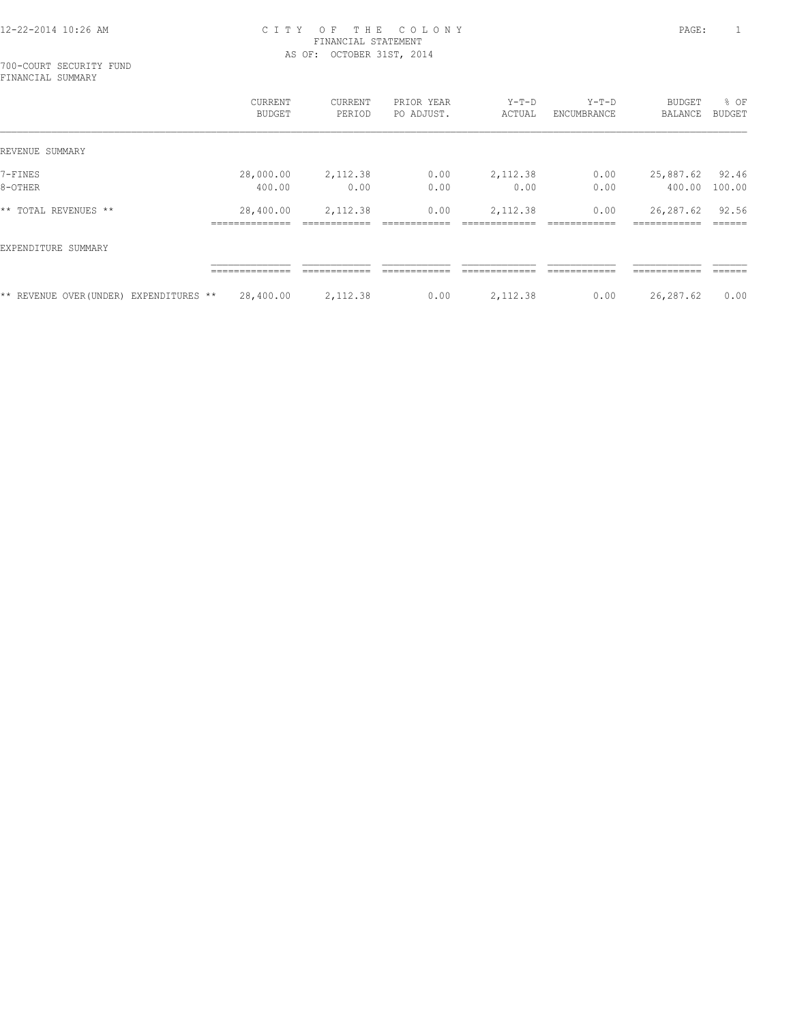700-COURT SECURITY FUND FINANCIAL SUMMARY

|                                         | CURRENT<br>BUDGET                              | CURRENT<br>PERIOD        | PRIOR YEAR<br>PO ADJUST. | $Y-T-D$<br>ACTUAL          | $Y-T-D$<br>ENCUMBRANCE | BUDGET<br>BALANCE                          | % OF<br>BUDGET  |
|-----------------------------------------|------------------------------------------------|--------------------------|--------------------------|----------------------------|------------------------|--------------------------------------------|-----------------|
| REVENUE SUMMARY                         |                                                |                          |                          |                            |                        |                                            |                 |
| 7-FINES                                 | 28,000.00                                      | 2,112.38                 | 0.00                     | 2,112.38                   | 0.00                   | 25,887.62                                  | 92.46           |
| 8-OTHER                                 | 400.00                                         | 0.00                     | 0.00                     | 0.00                       | 0.00                   | 400.00                                     | 100.00          |
| * *<br>TOTAL REVENUES **                | 28,400.00<br>--------------<br>--------------- | 2,112.38<br>____________ | 0.00<br>-------------    | 2,112.38<br>-------------- | 0.00<br>____________   | 26,287.62<br>------------<br>------------- | 92.56<br>______ |
| EXPENDITURE SUMMARY                     |                                                |                          |                          |                            |                        |                                            |                 |
|                                         | _____________                                  | ------------             | ------------             | ____________               | -------------          | ------------                               | -------         |
| ** REVENUE OVER (UNDER) EXPENDITURES ** | 28,400.00                                      | 2,112.38                 | 0.00                     | 2,112.38                   | 0.00                   | 26,287.62                                  | 0.00            |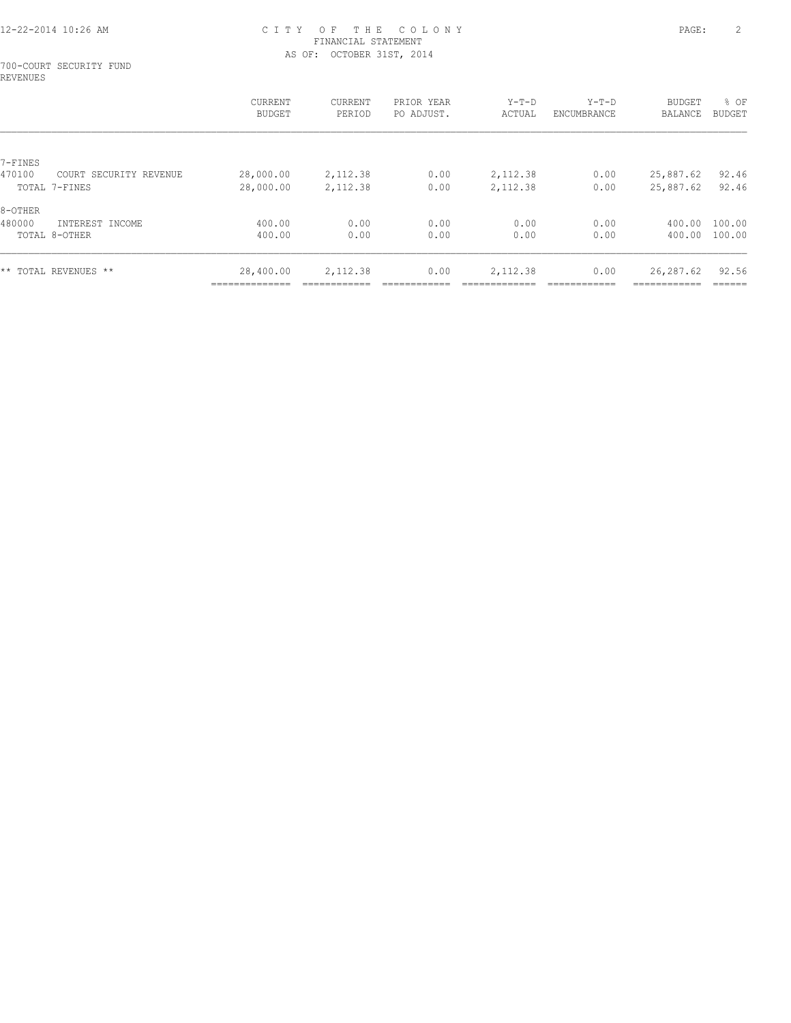#### 700-COURT SECURITY FUND REVENUES

|         |                        | CURRENT<br><b>BUDGET</b>    | CURRENT<br>PERIOD | PRIOR YEAR<br>PO ADJUST. | $Y-T-D$<br>ACTUAL | $Y-T-D$<br>ENCUMBRANCE | <b>BUDGET</b><br>BALANCE | % OF<br><b>BUDGET</b> |
|---------|------------------------|-----------------------------|-------------------|--------------------------|-------------------|------------------------|--------------------------|-----------------------|
|         |                        |                             |                   |                          |                   |                        |                          |                       |
| 7-FINES |                        |                             |                   |                          |                   |                        |                          |                       |
| 470100  | COURT SECURITY REVENUE | 28,000.00                   | 2,112.38          | 0.00                     | 2,112.38          | 0.00                   | 25,887.62                | 92.46                 |
|         | TOTAL 7-FINES          | 28,000.00                   | 2,112.38          | 0.00                     | 2,112.38          | 0.00                   | 25,887.62                | 92.46                 |
| 8-OTHER |                        |                             |                   |                          |                   |                        |                          |                       |
| 480000  | INTEREST INCOME        | 400.00                      | 0.00              | 0.00                     | 0.00              | 0.00                   | 400.00                   | 100.00                |
|         | TOTAL 8-OTHER          | 400.00                      | 0.00              | 0.00                     | 0.00              | 0.00                   | 400.00                   | 100.00                |
|         |                        |                             |                   |                          |                   |                        |                          |                       |
|         | ** TOTAL REVENUES **   | 28,400.00<br>-------------- | 2,112.38          | 0.00                     | 2,112.38          | 0.00                   | 26,287.62<br>----------- | 92.56<br>-------      |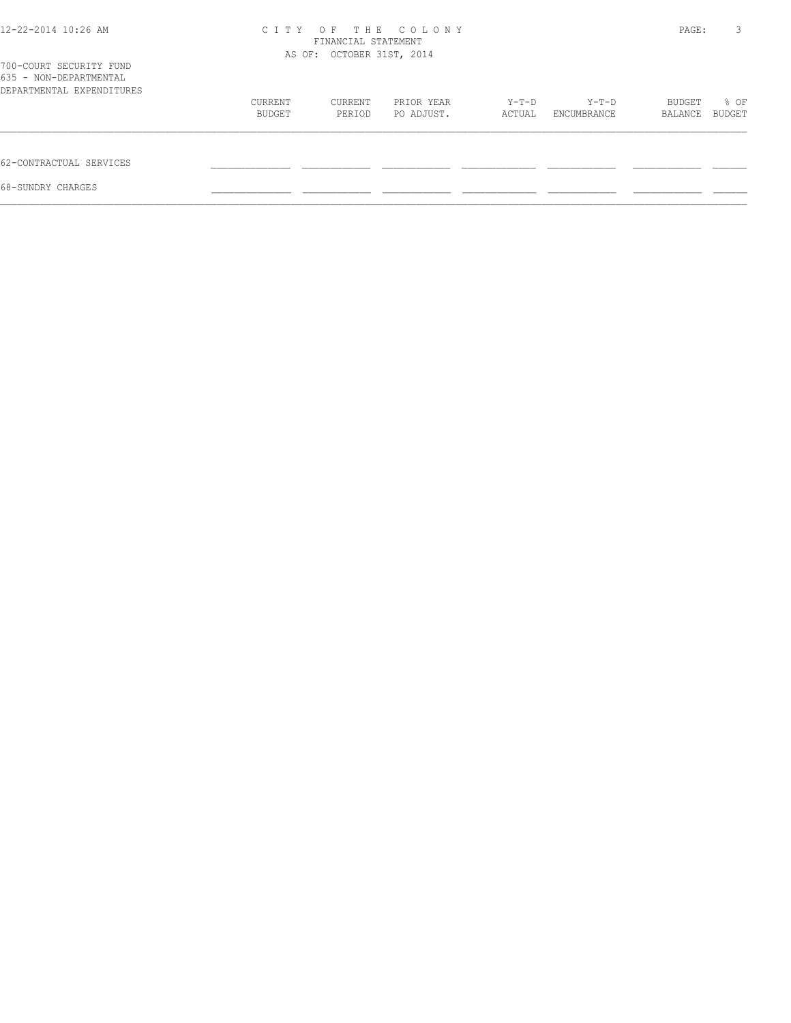| 12-22-2014 10:26 AM                                                            | C T T Y | T H E<br>O F<br>FINANCIAL STATEMENT<br>AS OF: OCTOBER 31ST, 2014 | COLONY     |        |             | PAGE:   | 3      |
|--------------------------------------------------------------------------------|---------|------------------------------------------------------------------|------------|--------|-------------|---------|--------|
| 700-COURT SECURITY FUND<br>635 - NON-DEPARTMENTAL<br>DEPARTMENTAL EXPENDITURES |         |                                                                  |            |        |             |         |        |
|                                                                                | CURRENT | CURRENT                                                          | PRIOR YEAR | Y-T-D  | Y-T-D       | BUDGET  | % OF   |
|                                                                                | BUDGET  | PERIOD                                                           | PO ADJUST. | ACTUAL | ENCUMBRANCE | BALANCE | BUDGET |
| 62-CONTRACTUAL SERVICES                                                        |         |                                                                  |            |        |             |         |        |
| 68-SUNDRY CHARGES                                                              |         |                                                                  |            |        |             |         |        |
|                                                                                |         |                                                                  |            |        |             |         |        |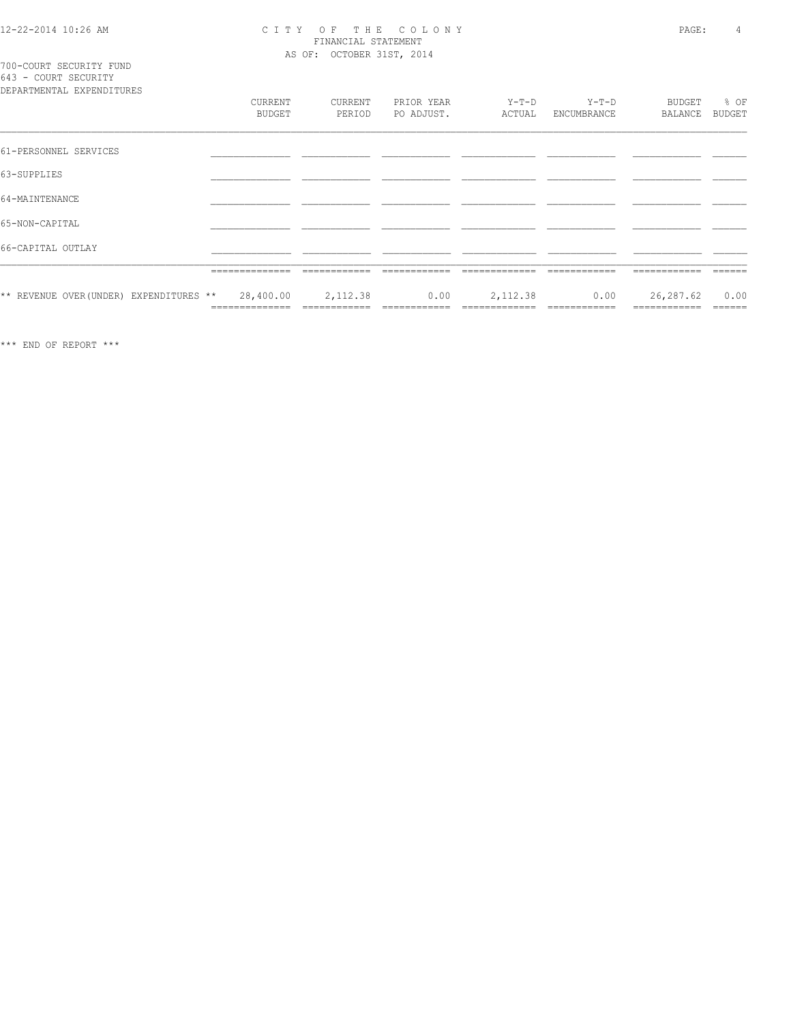# 12-22-2014 10:26 AM CITY OF THE COLONY<br>
FINANCIAL STATEMENT<br>
AS OF: OCTOBER 31ST, 2014

700-COURT SECURITY FUND<br>643 - COURT SECURITY

| DEPARTMENTAL EXPENDITURES               |                             |                          |                          |                           |                        |                           |                |
|-----------------------------------------|-----------------------------|--------------------------|--------------------------|---------------------------|------------------------|---------------------------|----------------|
|                                         | CURRENT<br>BUDGET           | CURRENT<br>PERIOD        | PRIOR YEAR<br>PO ADJUST. | Y-T-D<br>ACTUAL           | $Y-T-D$<br>ENCUMBRANCE | BUDGET<br>BALANCE         | % OF<br>BUDGET |
| 61-PERSONNEL SERVICES                   |                             |                          |                          |                           |                        |                           |                |
| 63-SUPPLIES                             |                             |                          |                          |                           |                        |                           |                |
| 64-MAINTENANCE                          |                             |                          |                          |                           |                        |                           |                |
| 65-NON-CAPITAL                          |                             |                          |                          |                           |                        |                           |                |
| 66-CAPITAL OUTLAY                       |                             |                          |                          |                           |                        |                           |                |
|                                         | ==============              |                          |                          |                           |                        |                           |                |
| ** REVENUE OVER (UNDER) EXPENDITURES ** | 28,400.00<br>============== | 2,112.38<br>============ | 0.00<br>============     | 2,112.38<br>============= | 0.00<br>============   | 26,287.62<br>============ | 0.00<br>====== |
|                                         |                             |                          |                          |                           |                        |                           |                |

 $\star\star\star$  END OF REPORT  $\star\star\star$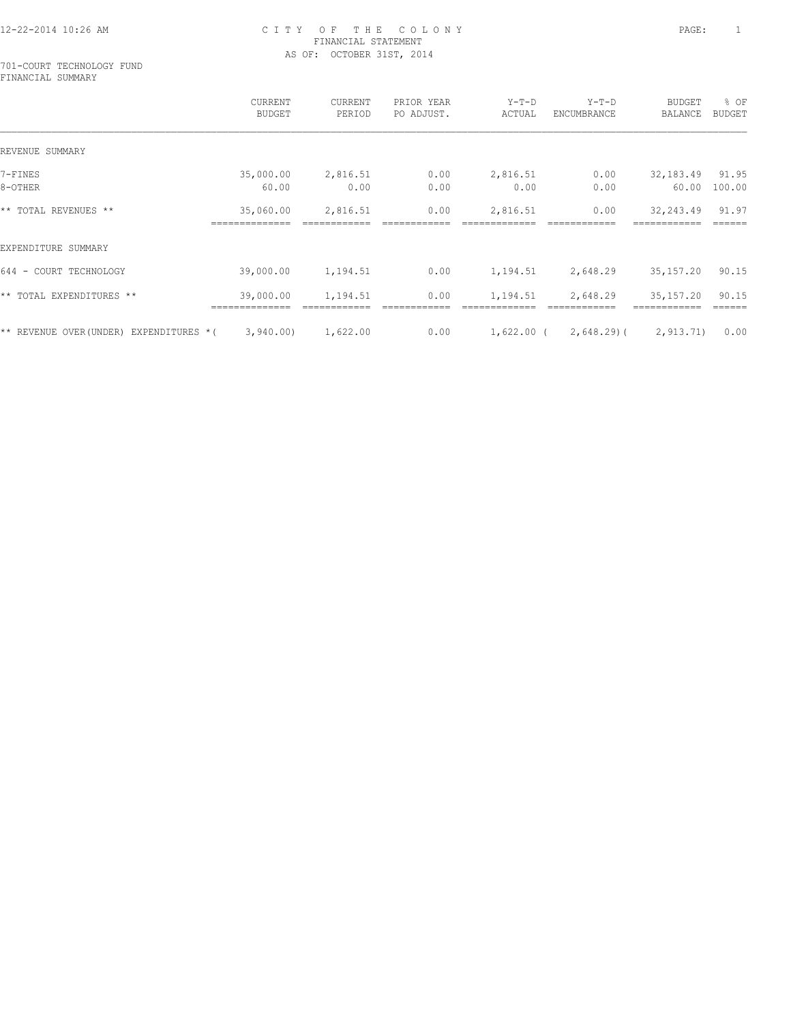#### 701-COURT TECHNOLOGY FUND FINANCIAL SUMMARY

|                                        | CURRENT<br><b>BUDGET</b> | CURRENT<br>PERIOD | PRIOR YEAR<br>PO ADJUST. | $Y-T-D$<br>ACTUAL | $Y-T-D$<br>ENCUMBRANCE | <b>BUDGET</b><br>BALANCE | % OF<br>BUDGET |
|----------------------------------------|--------------------------|-------------------|--------------------------|-------------------|------------------------|--------------------------|----------------|
| REVENUE SUMMARY                        |                          |                   |                          |                   |                        |                          |                |
| 7-FINES                                | 35,000.00                | 2,816.51          | 0.00                     | 2,816.51          | 0.00                   | 32,183.49                | 91.95          |
| 8-OTHER                                | 60.00                    | 0.00              | 0.00                     | 0.00              | 0.00                   | 60.00                    | 100.00         |
| ** TOTAL REVENUES **                   | 35,060.00                | 2,816.51          | 0.00                     | 2,816.51          | 0.00                   | 32,243.49                | 91.97          |
| EXPENDITURE SUMMARY                    |                          |                   |                          |                   |                        |                          |                |
| 644 - COURT TECHNOLOGY                 | 39,000.00                | 1,194.51          | 0.00                     | 1,194.51          | 2,648.29               | 35,157.20                | 90.15          |
| ** TOTAL EXPENDITURES **               | 39,000.00                | 1,194.51          | 0.00                     | 1,194.51          | 2,648.29               | 35, 157. 20              | 90.15          |
| ** REVENUE OVER(UNDER) EXPENDITURES *( | 3,940.00                 | 1,622.00          | 0.00                     | 1,622.00 (        | $2,648.29$ (           | 2,913.71)                | 0.00           |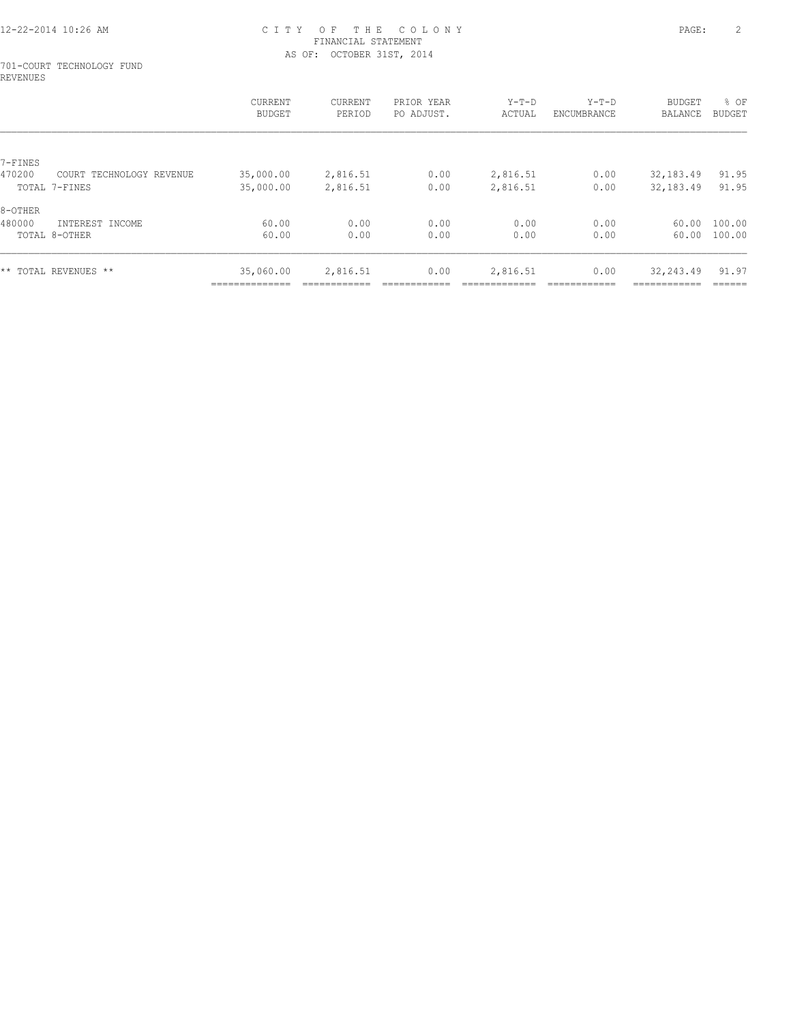#### 701-COURT TECHNOLOGY FUND REVENUES

|                   |                          | CURRENT<br><b>BUDGET</b>    | CURRENT<br>PERIOD | PRIOR YEAR<br>PO ADJUST. | $Y-T-D$<br>ACTUAL | $Y-T-D$<br>ENCUMBRANCE | <b>BUDGET</b><br>BALANCE  | % OF<br>BUDGET   |
|-------------------|--------------------------|-----------------------------|-------------------|--------------------------|-------------------|------------------------|---------------------------|------------------|
|                   |                          |                             |                   |                          |                   |                        |                           |                  |
| 7-FINES<br>470200 | COURT TECHNOLOGY REVENUE | 35,000.00                   | 2,816.51          | 0.00                     | 2,816.51          | 0.00                   | 32,183.49                 | 91.95            |
|                   | TOTAL 7-FINES            | 35,000.00                   | 2,816.51          | 0.00                     | 2,816.51          | 0.00                   | 32,183.49                 | 91.95            |
| 8-OTHER           |                          |                             |                   |                          |                   |                        |                           |                  |
| 480000            | INTEREST INCOME          | 60.00                       | 0.00              | 0.00                     | 0.00              | 0.00                   | 60.00                     | 100.00           |
|                   | TOTAL 8-OTHER            | 60.00                       | 0.00              | 0.00                     | 0.00              | 0.00                   | 60.00                     | 100.00           |
|                   | ** TOTAL REVENUES **     | 35,060.00<br>______________ | 2,816.51          | 0.00                     | 2,816.51          | 0.00                   | 32,243.49<br>------------ | 91.97<br>------- |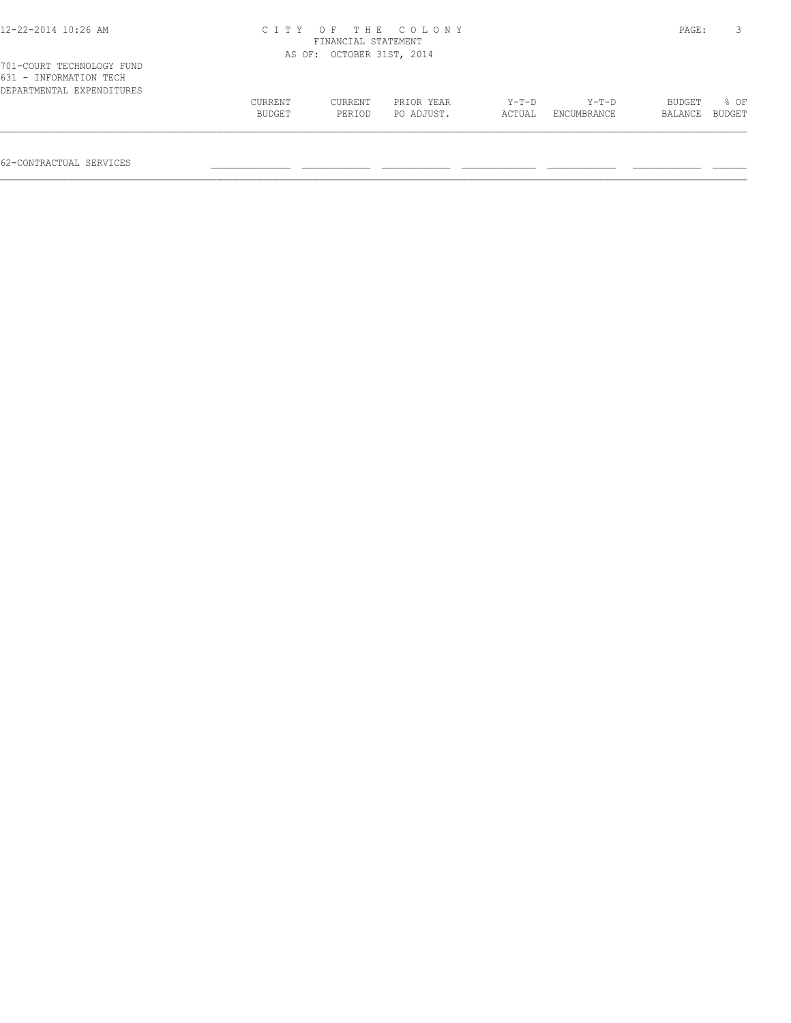| 12-22-2014 10:26 AM                                                              |         |                           | CITY OF THE COLONY |        |             | PAGE:   |        |
|----------------------------------------------------------------------------------|---------|---------------------------|--------------------|--------|-------------|---------|--------|
|                                                                                  |         | FINANCIAL STATEMENT       |                    |        |             |         |        |
|                                                                                  |         | AS OF: OCTOBER 31ST, 2014 |                    |        |             |         |        |
| 701-COURT TECHNOLOGY FUND<br>631 - INFORMATION TECH<br>DEPARTMENTAL EXPENDITURES |         |                           |                    |        |             |         |        |
|                                                                                  | CURRENT | CURRENT                   | PRIOR YEAR         | Y-T-D  | Y-T-D       | BUDGET  | 8 OF   |
|                                                                                  | BUDGET  | PERIOD                    | PO ADJUST.         | ACTUAL | ENCUMBRANCE | BALANCE | BUDGET |
|                                                                                  |         |                           |                    |        |             |         |        |

62-CONTRACTUAL SERVICES \_\_\_\_\_\_\_\_\_\_\_\_\_\_ \_\_\_\_\_\_\_\_\_\_\_\_ \_\_\_\_\_\_\_\_\_\_\_\_ \_\_\_\_\_\_\_\_\_\_\_\_\_ \_\_\_\_\_\_\_\_\_\_\_\_ \_\_\_\_\_\_\_\_\_\_\_\_ \_\_\_\_\_\_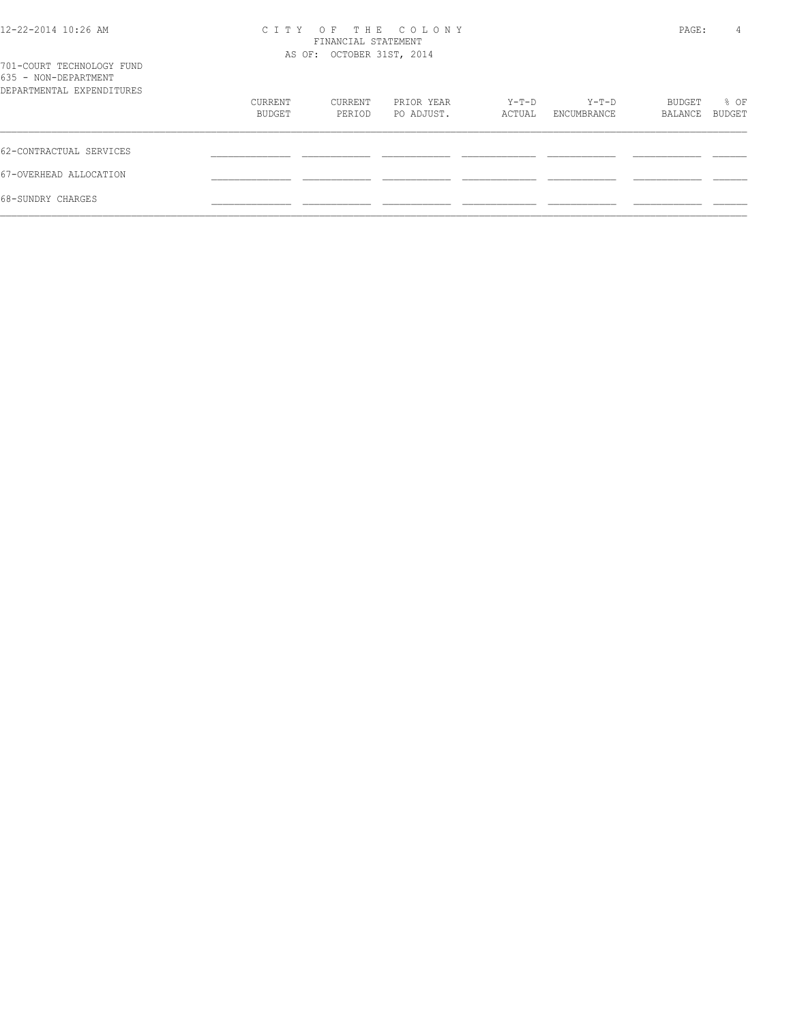| 12-22-2014 10:26 AM |  |
|---------------------|--|
|---------------------|--|

# 12-22-2014 10:26 AM C I T Y O F T H E C O L O N Y PAGE: 4 FINANCIAL STATEMENT

| 701-COURT TECHNOLOGY FUND                         |                   | AS OF: OCTOBER 31ST, 2014 |                          |                 |                      |                   |                       |
|---------------------------------------------------|-------------------|---------------------------|--------------------------|-----------------|----------------------|-------------------|-----------------------|
| 635 - NON-DEPARTMENT<br>DEPARTMENTAL EXPENDITURES |                   |                           |                          |                 |                      |                   |                       |
|                                                   | CURRENT<br>BUDGET | CURRENT<br>PERIOD         | PRIOR YEAR<br>PO ADJUST. | Y-T-D<br>ACTUAL | Y-T-D<br>ENCUMBRANCE | BUDGET<br>BALANCE | % OF<br><b>BUDGET</b> |
| 62-CONTRACTUAL SERVICES                           |                   |                           |                          |                 |                      |                   |                       |
| 67-OVERHEAD ALLOCATION                            |                   |                           |                          |                 |                      |                   |                       |
| 68-SUNDRY CHARGES                                 |                   |                           |                          |                 |                      |                   |                       |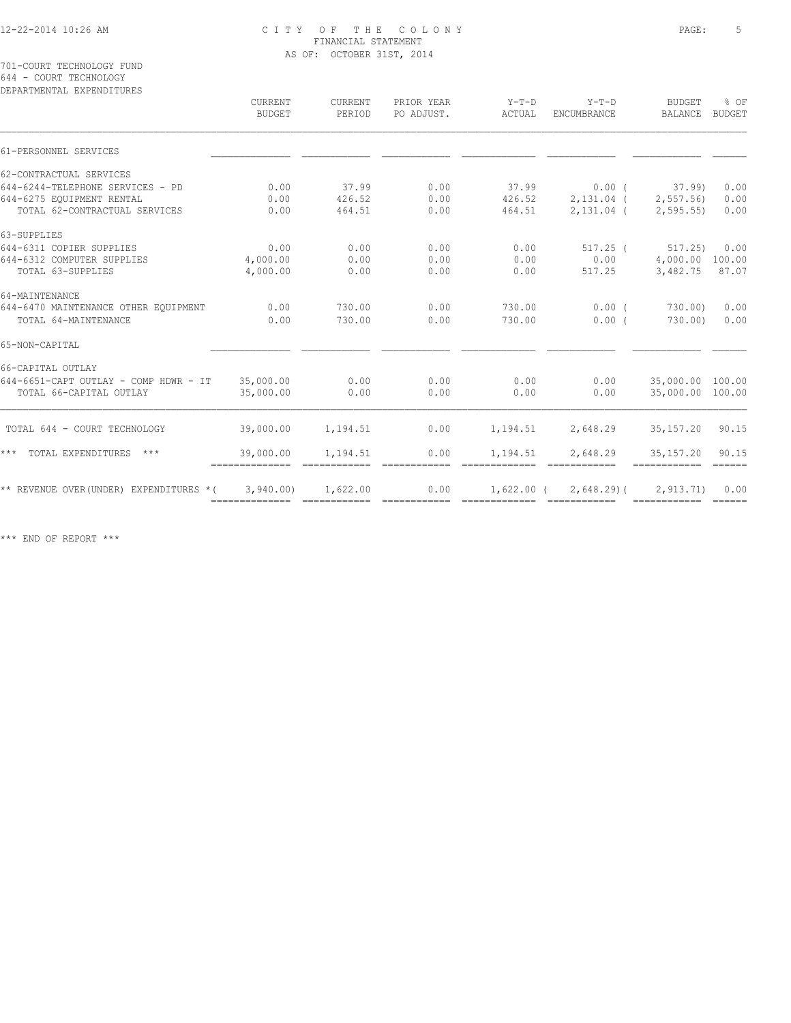701-COURT TECHNOLOGY FUND 644 - COURT TECHNOLOGY

| DEPARTMENTAL EXPENDITURES                | CURRENT<br><b>BUDGET</b>     | <b>CURRENT</b><br>PERIOD | PRIOR YEAR<br>PO ADJUST. | $Y-T-D$<br>ACTUAL | $Y-T-D$<br><b>ENCUMBRANCE</b>                                                                                                                                                                                                                                                                                                                                                                                                                                   | <b>BUDGET</b><br>BALANCE | % OF<br><b>BUDGET</b>           |
|------------------------------------------|------------------------------|--------------------------|--------------------------|-------------------|-----------------------------------------------------------------------------------------------------------------------------------------------------------------------------------------------------------------------------------------------------------------------------------------------------------------------------------------------------------------------------------------------------------------------------------------------------------------|--------------------------|---------------------------------|
| 61-PERSONNEL SERVICES                    |                              |                          |                          |                   |                                                                                                                                                                                                                                                                                                                                                                                                                                                                 |                          |                                 |
| 62-CONTRACTUAL SERVICES                  |                              |                          |                          |                   |                                                                                                                                                                                                                                                                                                                                                                                                                                                                 |                          |                                 |
| 644-6244-TELEPHONE SERVICES - PD         | 0.00                         | 37.99                    | 0.00                     | 37.99             | $0.00$ (                                                                                                                                                                                                                                                                                                                                                                                                                                                        | 37.99                    | 0.00                            |
| 644-6275 EOUIPMENT RENTAL                | 0.00                         | 426.52                   | 0.00                     | 426.52            | $2,131.04$ (                                                                                                                                                                                                                                                                                                                                                                                                                                                    | 2, 557.56                | 0.00                            |
| TOTAL 62-CONTRACTUAL SERVICES            | 0.00                         | 464.51                   | 0.00                     | 464.51            | $2,131.04$ (                                                                                                                                                                                                                                                                                                                                                                                                                                                    | 2, 595.55                | 0.00                            |
| 63-SUPPLIES                              |                              |                          |                          |                   |                                                                                                                                                                                                                                                                                                                                                                                                                                                                 |                          |                                 |
| 644-6311 COPIER SUPPLIES                 | 0.00                         | 0.00                     | 0.00                     | 0.00              | $517.25$ (                                                                                                                                                                                                                                                                                                                                                                                                                                                      | 517.25                   | 0.00                            |
| 644-6312 COMPUTER SUPPLIES               | 4,000.00                     | 0.00                     | 0.00                     | 0.00              | 0.00                                                                                                                                                                                                                                                                                                                                                                                                                                                            | 4,000.00 100.00          |                                 |
| TOTAL 63-SUPPLIES                        | 4,000.00                     | 0.00                     | 0.00                     | 0.00              | 517.25                                                                                                                                                                                                                                                                                                                                                                                                                                                          | 3,482.75                 | 87.07                           |
| 64-MAINTENANCE                           |                              |                          |                          |                   |                                                                                                                                                                                                                                                                                                                                                                                                                                                                 |                          |                                 |
| 644-6470 MAINTENANCE OTHER EQUIPMENT     | 0.00                         | 730.00                   | 0.00                     | 730.00            | $0.00$ (                                                                                                                                                                                                                                                                                                                                                                                                                                                        | 730.00)                  | 0.00                            |
| TOTAL 64-MAINTENANCE                     | 0.00                         | 730.00                   | 0.00                     | 730.00            | 0.00(                                                                                                                                                                                                                                                                                                                                                                                                                                                           | 730.00                   | 0.00                            |
| 65-NON-CAPITAL                           |                              |                          |                          |                   |                                                                                                                                                                                                                                                                                                                                                                                                                                                                 |                          |                                 |
| 66-CAPITAL OUTLAY                        |                              |                          |                          |                   |                                                                                                                                                                                                                                                                                                                                                                                                                                                                 |                          |                                 |
| 644-6651-CAPT OUTLAY - COMP HDWR - IT    | 35,000.00                    | 0.00                     | 0.00                     | 0.00              | 0.00                                                                                                                                                                                                                                                                                                                                                                                                                                                            | 35,000.00 100.00         |                                 |
| TOTAL 66-CAPITAL OUTLAY                  | 35,000.00                    | 0.00                     | 0.00                     | 0.00              | 0.00                                                                                                                                                                                                                                                                                                                                                                                                                                                            | 35,000.00 100.00         |                                 |
| TOTAL 644 - COURT TECHNOLOGY             | 39,000.00                    | 1,194.51                 | 0.00                     | 1,194.51          | 2,648.29                                                                                                                                                                                                                                                                                                                                                                                                                                                        | 35, 157. 20              | 90.15                           |
| *** TOTAL EXPENDITURES ***               | 39,000.00<br>--------------- | 1,194.51                 | 0.00                     | 1,194.51          | 2,648.29                                                                                                                                                                                                                                                                                                                                                                                                                                                        | 35, 157. 20              | 90.15<br>$\frac{1}{2}$          |
| ** REVENUE OVER (UNDER) EXPENDITURES * ( | 3,940.00                     | 1,622.00                 | 0.00                     | 1,622.00 (        | 2,648.29)(<br>$\begin{minipage}{0.9\linewidth} \begin{tabular}{l} \hline \textbf{m} & \textbf{m} & \textbf{m} & \textbf{m} & \textbf{m} \\ \hline \textbf{m} & \textbf{m} & \textbf{m} & \textbf{m} & \textbf{m} \\ \hline \textbf{m} & \textbf{m} & \textbf{m} & \textbf{m} & \textbf{m} \\ \hline \textbf{m} & \textbf{m} & \textbf{m} & \textbf{m} & \textbf{m} \\ \hline \textbf{m} & \textbf{m} & \textbf{m} & \textbf{m} & \textbf{m} & \textbf{m} \\ \h$ | 2, 913, 71)              | 0.00<br>$=$ $=$ $=$ $=$ $=$ $=$ |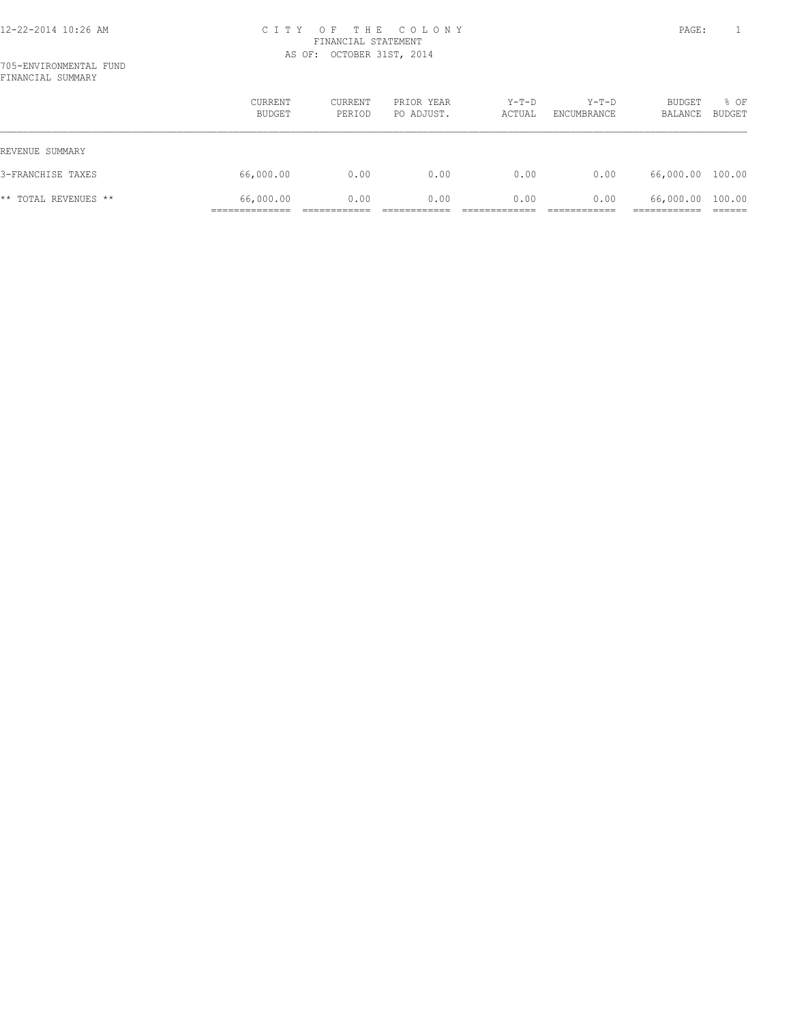|                      | CURRENT<br>BUDGET | CURRENT<br>PERIOD | PRIOR YEAR<br>PO ADJUST. | $Y-T-D$<br>ACTUAL | $Y-T-D$<br>ENCUMBRANCE | BUDGET<br>BALANCE | % OF<br><b>BUDGET</b> |
|----------------------|-------------------|-------------------|--------------------------|-------------------|------------------------|-------------------|-----------------------|
| REVENUE SUMMARY      |                   |                   |                          |                   |                        |                   |                       |
| 3-FRANCHISE TAXES    | 66,000.00         | 0.00              | 0.00                     | 0.00              | 0.00                   | 66,000.00 100.00  |                       |
| ** TOTAL REVENUES ** | 66,000.00         | 0.00              | 0.00                     | 0.00              | 0.00                   | 66,000.00 100.00  |                       |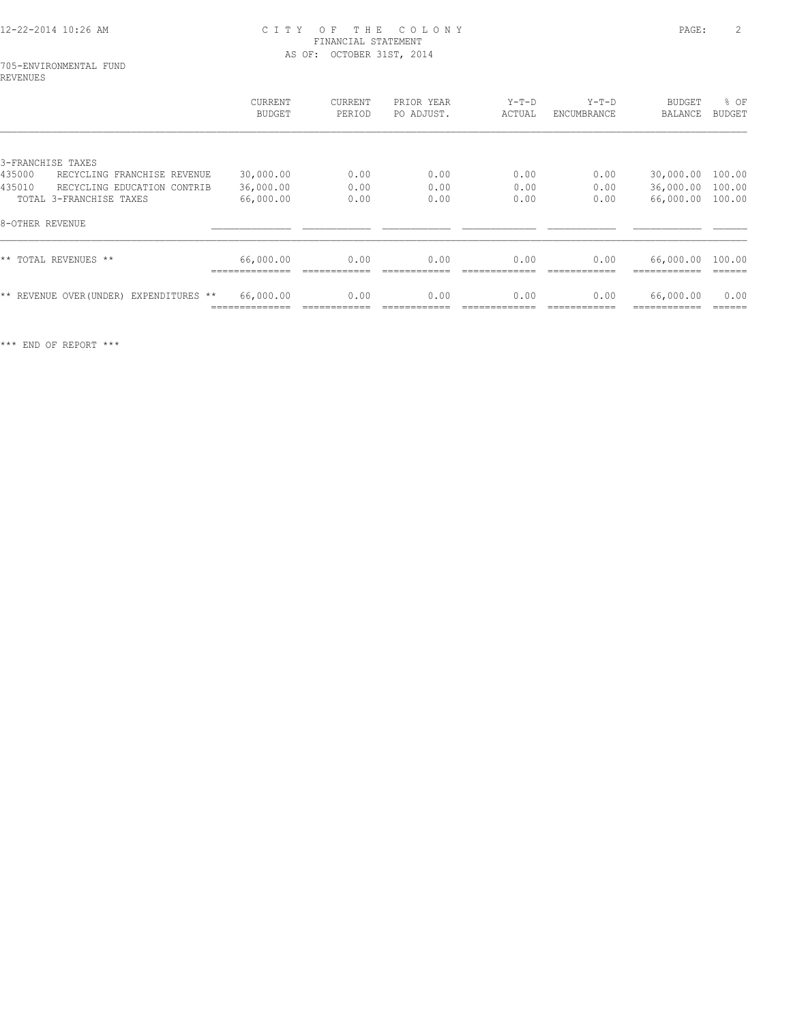#### 705-ENVIRONMENTAL FUND REVENUES

|                 |                                         | CURRENT<br><b>BUDGET</b> | CURRENT<br>PERIOD | PRIOR YEAR<br>PO ADJUST. | $Y-T-D$<br>ACTUAL | $Y-T-D$<br>ENCUMBRANCE | <b>BUDGET</b><br>BALANCE | % OF<br><b>BUDGET</b> |
|-----------------|-----------------------------------------|--------------------------|-------------------|--------------------------|-------------------|------------------------|--------------------------|-----------------------|
|                 |                                         |                          |                   |                          |                   |                        |                          |                       |
|                 | 3-FRANCHISE TAXES                       |                          |                   |                          |                   |                        |                          |                       |
| 435000          | RECYCLING FRANCHISE REVENUE             | 30,000.00                | 0.00              | 0.00                     | 0.00              | 0.00                   | 30,000.00                | 100.00                |
| 435010          | RECYCLING EDUCATION CONTRIB             | 36,000.00                | 0.00              | 0.00                     | 0.00              | 0.00                   | 36,000.00                | 100.00                |
|                 | TOTAL 3-FRANCHISE TAXES                 | 66,000.00                | 0.00              | 0.00                     | 0.00              | 0.00                   | 66,000.00                | 100.00                |
| 8-OTHER REVENUE |                                         |                          |                   |                          |                   |                        |                          |                       |
|                 | ** TOTAL REVENUES **                    | 66,000.00                | 0.00              | 0.00                     | 0.00              | 0.00                   | 66,000.00                | 100.00                |
|                 | ** REVENUE OVER (UNDER) EXPENDITURES ** | 66,000.00                | 0.00              | 0.00                     | 0.00              | 0.00                   | 66,000.00                | 0.00                  |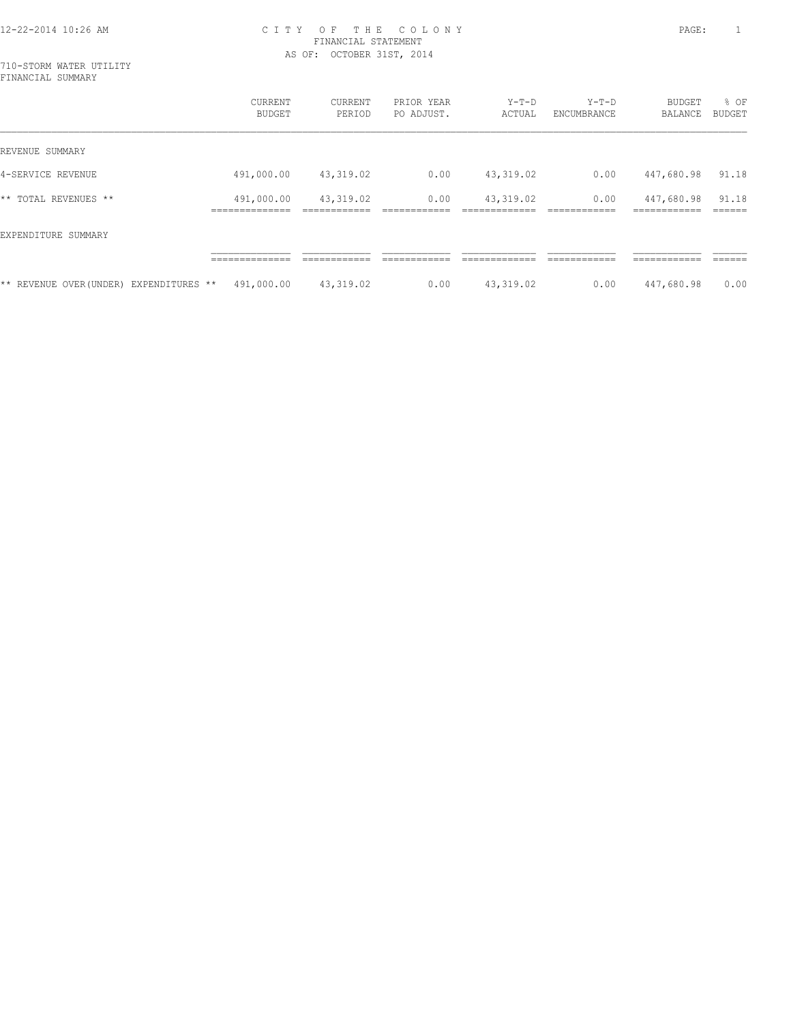710-STORM WATER UTILITY FINANCIAL SUMMARY

|                                         | <b>CURRENT</b><br>BUDGET    | <b>CURRENT</b><br>PERIOD | PRIOR YEAR<br>PO ADJUST. | $Y-T-D$<br>ACTUAL | $Y-T-D$<br>ENCUMBRANCE | <b>BUDGET</b><br><b>BALANCE</b> | % OF<br>BUDGET  |
|-----------------------------------------|-----------------------------|--------------------------|--------------------------|-------------------|------------------------|---------------------------------|-----------------|
| REVENUE SUMMARY                         |                             |                          |                          |                   |                        |                                 |                 |
| 4-SERVICE REVENUE                       | 491,000.00                  | 43,319.02                | 0.00                     | 43, 319.02        | 0.00                   | 447,680.98                      | 91.18           |
| ** TOTAL REVENUES **                    | 491,000.00<br>_____________ | 43,319.02                | 0.00                     | 43,319.02         | 0.00                   | 447,680.98<br>-------------     | 91.18<br>------ |
| EXPENDITURE SUMMARY                     |                             |                          |                          |                   |                        |                                 |                 |
|                                         | ______________              |                          |                          |                   |                        | -------------                   |                 |
| ** REVENUE OVER (UNDER) EXPENDITURES ** | 491,000.00                  | 43,319.02                | 0.00                     | 43,319.02         | 0.00                   | 447,680.98                      | 0.00            |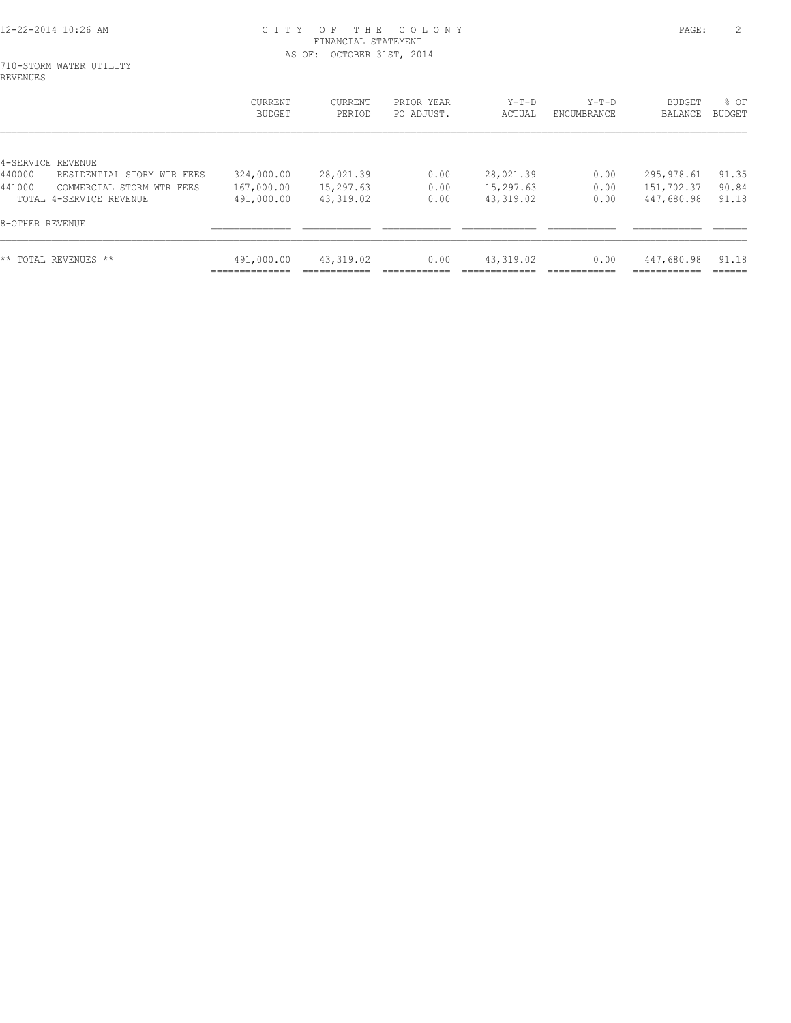#### 710-STORM WATER UTILITY REVENUES

|                                      | CURRENT<br>BUDGET | <b>CURRENT</b><br>PERIOD | PRIOR YEAR<br>PO ADJUST. | $Y-T-D$<br>ACTUAL | $Y-T-D$<br>ENCUMBRANCE | <b>BUDGET</b><br>BALANCE | % OF<br>BUDGET |
|--------------------------------------|-------------------|--------------------------|--------------------------|-------------------|------------------------|--------------------------|----------------|
|                                      |                   |                          |                          |                   |                        |                          |                |
| 4-SERVICE REVENUE                    |                   |                          |                          |                   |                        |                          |                |
| 440000<br>RESIDENTIAL STORM WTR FEES | 324,000.00        | 28,021.39                | 0.00                     | 28,021.39         | 0.00                   | 295,978.61               | 91.35          |
| 441000<br>COMMERCIAL STORM WTR FEES  | 167,000.00        | 15,297.63                | 0.00                     | 15,297.63         | 0.00                   | 151,702.37               | 90.84          |
| TOTAL 4-SERVICE REVENUE              | 491,000.00        | 43,319.02                | 0.00                     | 43,319.02         | 0.00                   | 447,680.98               | 91.18          |
| 8-OTHER REVENUE                      |                   |                          |                          |                   |                        |                          |                |
| ** TOTAL REVENUES **                 | 491,000.00        | 43,319.02                | 0.00                     | 43,319.02         | 0.00                   | 447,680.98               | 91.18          |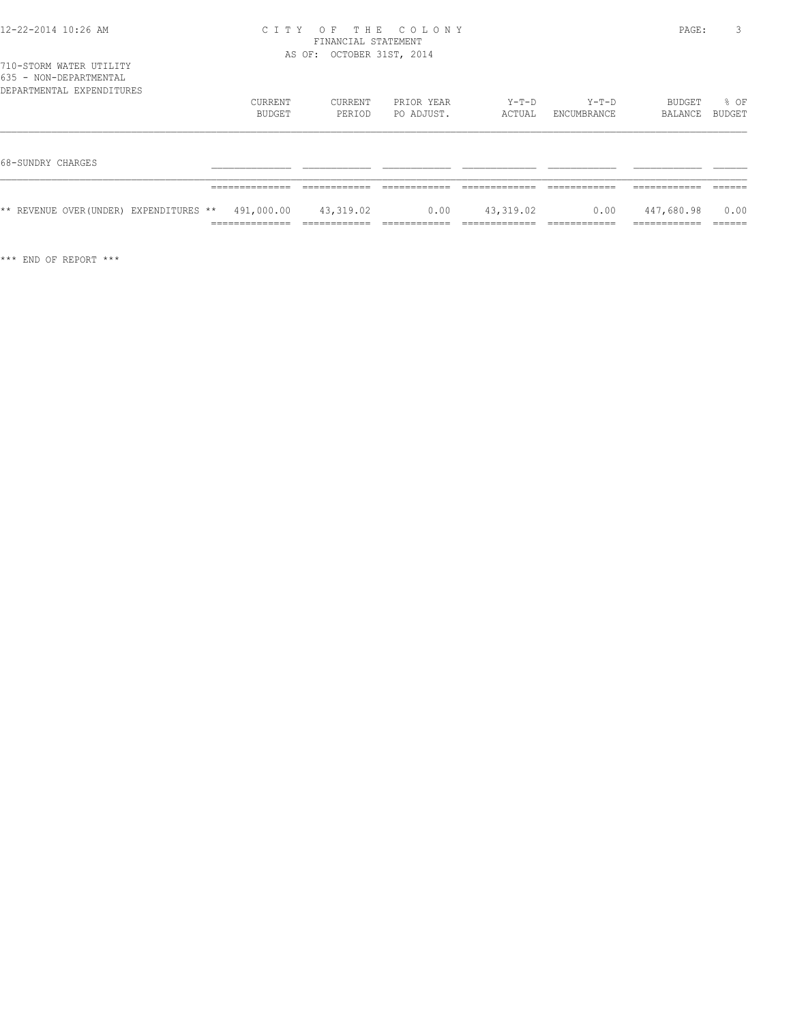| 2-22-2014 10:26 AM |  |  |
|--------------------|--|--|
|                    |  |  |

# 12-22-2014 10:26 AM C I T Y O F T H E C O L O N Y PAGE: 3 FINANCIAL STATEMENT

|                                                                                |               | AS OF: OCTOBER 31ST, 2014 |            |           |             |            |        |
|--------------------------------------------------------------------------------|---------------|---------------------------|------------|-----------|-------------|------------|--------|
| 710-STORM WATER UTILITY<br>635 - NON-DEPARTMENTAL<br>DEPARTMENTAL EXPENDITURES |               |                           |            |           |             |            |        |
|                                                                                | CURRENT       | CURRENT                   | PRIOR YEAR | Y-T-D     | Y-T-D       | BUDGET     | % OF   |
|                                                                                | BUDGET        | PERIOD                    | PO ADJUST. | ACTUAL    | ENCUMBRANCE | BALANCE    | BUDGET |
|                                                                                |               |                           |            |           |             |            |        |
| 68-SUNDRY CHARGES                                                              |               |                           |            |           |             |            |        |
|                                                                                |               |                           |            |           |             |            |        |
| ** REVENUE OVER(UNDER) EXPENDITURES **                                         |               | 491,000.00 43,319.02      | 0.00       | 43,319.02 | 0.00        | 447,680.98 | 0.00   |
|                                                                                | _____________ |                           |            |           |             |            |        |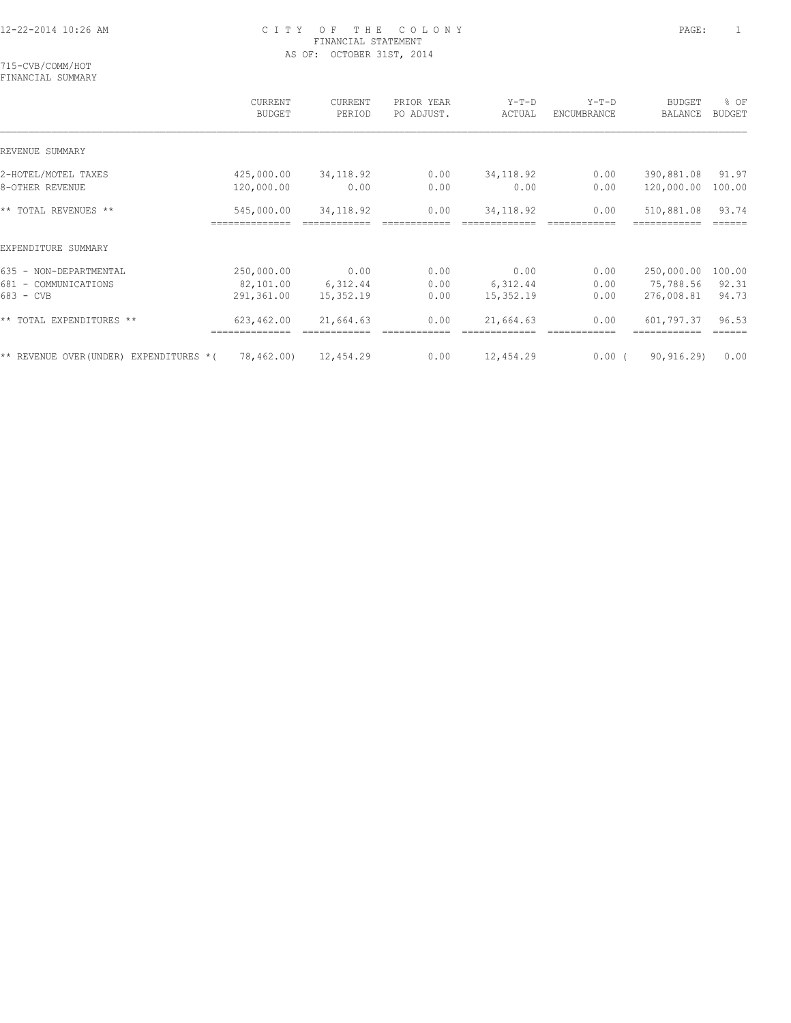715-CVB/COMM/HOT FINANCIAL SUMMARY

|                                                             | CURRENT<br><b>BUDGET</b>              | CURRENT<br>PERIOD             | PRIOR YEAR<br>PO ADJUST. | $Y-T-D$<br>ACTUAL             | $Y-T-D$<br>ENCUMBRANCE | <b>BUDGET</b><br>BALANCE              | % OF<br><b>BUDGET</b>    |
|-------------------------------------------------------------|---------------------------------------|-------------------------------|--------------------------|-------------------------------|------------------------|---------------------------------------|--------------------------|
| REVENUE SUMMARY                                             |                                       |                               |                          |                               |                        |                                       |                          |
| 2-HOTEL/MOTEL TAXES<br>8-OTHER REVENUE                      | 425,000.00<br>120,000.00              | 34,118.92<br>0.00             | 0.00<br>0.00             | 34, 118.92<br>0.00            | 0.00<br>0.00           | 390,881.08<br>120,000.00              | 91.97<br>100.00          |
| ** TOTAL REVENUES **                                        | 545,000.00                            | 34,118.92                     | 0.00                     | 34, 118.92                    | 0.00                   | 510,881.08                            | 93.74                    |
| EXPENDITURE SUMMARY                                         |                                       |                               |                          |                               |                        |                                       |                          |
| 635 - NON-DEPARTMENTAL<br>681 - COMMUNICATIONS<br>683 - CVB | 250,000.00<br>82,101.00<br>291,361.00 | 0.00<br>6,312.44<br>15,352.19 | 0.00<br>0.00<br>0.00     | 0.00<br>6,312.44<br>15,352.19 | 0.00<br>0.00<br>0.00   | 250,000.00<br>75,788.56<br>276,008.81 | 100.00<br>92.31<br>94.73 |
| ** TOTAL EXPENDITURES **                                    | 623,462.00                            | 21,664.63                     | 0.00                     | 21,664.63                     | 0.00                   | 601,797.37                            | 96.53                    |
| ** REVENUE OVER (UNDER) EXPENDITURES *(                     | 78,462.00)                            | 12,454.29                     | 0.00                     | 12,454.29                     | $0.00$ (               | 90, 916.29                            | 0.00                     |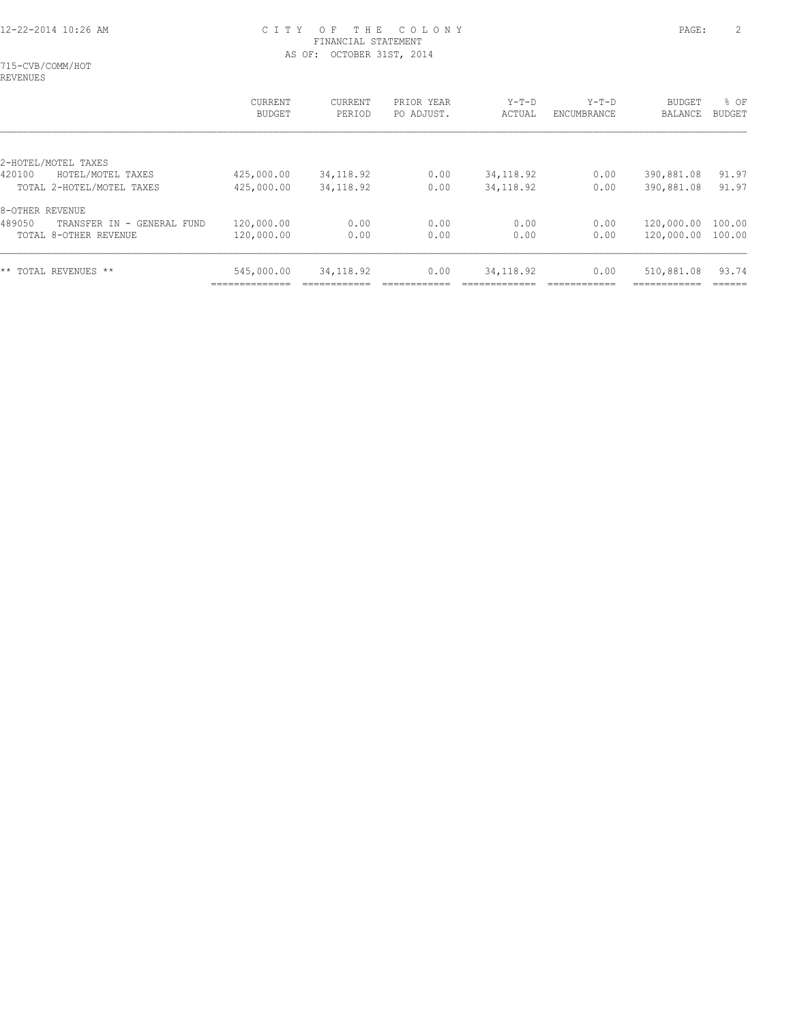715-CVB/COMM/HOT REVENUES

|                                         | CURRENT<br><b>BUDGET</b>     | CURRENT<br>PERIOD | PRIOR YEAR<br>PO ADJUST. | $Y-T-D$<br>ACTUAL | $Y-T-D$<br>ENCUMBRANCE | <b>BUDGET</b><br>BALANCE | % OF<br><b>BUDGET</b> |
|-----------------------------------------|------------------------------|-------------------|--------------------------|-------------------|------------------------|--------------------------|-----------------------|
| 2-HOTEL/MOTEL TAXES                     |                              |                   |                          |                   |                        |                          |                       |
| 420100<br>HOTEL/MOTEL TAXES             | 425,000.00                   | 34, 118.92        | 0.00                     | 34, 118.92        | 0.00                   | 390,881.08               | 91.97                 |
| TOTAL 2-HOTEL/MOTEL TAXES               | 425,000.00                   | 34, 118.92        | 0.00                     | 34, 118.92        | 0.00                   | 390,881.08               | 91.97                 |
| 8-OTHER REVENUE                         |                              |                   |                          |                   |                        |                          |                       |
| 489050<br>TRANSFER IN<br>- GENERAL FUND | 120,000.00                   | 0.00              | 0.00                     | 0.00              | 0.00                   | 120,000.00               | 100.00                |
| TOTAL 8-OTHER REVENUE                   | 120,000.00                   | 0.00              | 0.00                     | 0.00              | 0.00                   | 120,000.00               | 100.00                |
| ** TOTAL REVENUES **                    | 545,000.00<br>-------------- | 34, 118.92        | 0.00                     | 34, 118.92        | 0.00                   | 510,881.08               | 93.74                 |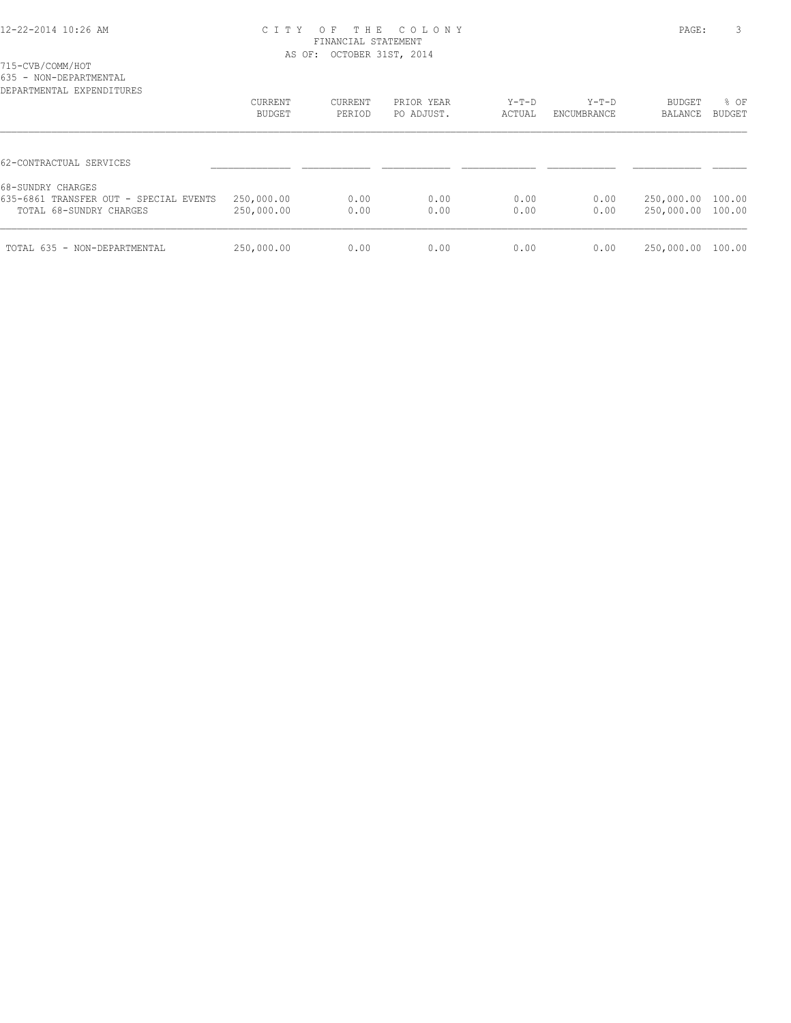715-CVB/COMM/HOT

635 - NON-DEPARTMENTAL

| DEPARTMENTAL EXPENDITURES                                                              | CURRENT<br><b>BUDGET</b> | CURRENT<br>PERIOD | PRIOR YEAR<br>PO ADJUST. | $Y-T-D$<br>ACTUAL | $Y-T-D$<br>ENCUMBRANCE | <b>BUDGET</b><br>BALANCE               | % OF<br><b>BUDGET</b> |
|----------------------------------------------------------------------------------------|--------------------------|-------------------|--------------------------|-------------------|------------------------|----------------------------------------|-----------------------|
| 62-CONTRACTUAL SERVICES                                                                |                          |                   |                          |                   |                        |                                        |                       |
| 68-SUNDRY CHARGES<br>635-6861 TRANSFER OUT - SPECIAL EVENTS<br>TOTAL 68-SUNDRY CHARGES | 250,000.00<br>250,000.00 | 0.00<br>0.00      | 0.00<br>0.00             | 0.00<br>0.00      | 0.00<br>0.00           | 250,000.00 100.00<br>250,000.00 100.00 |                       |
| TOTAL 635 - NON-DEPARTMENTAL                                                           | 250,000.00               | 0.00              | 0.00                     | 0.00              | 0.00                   | 250,000.00                             | 100.00                |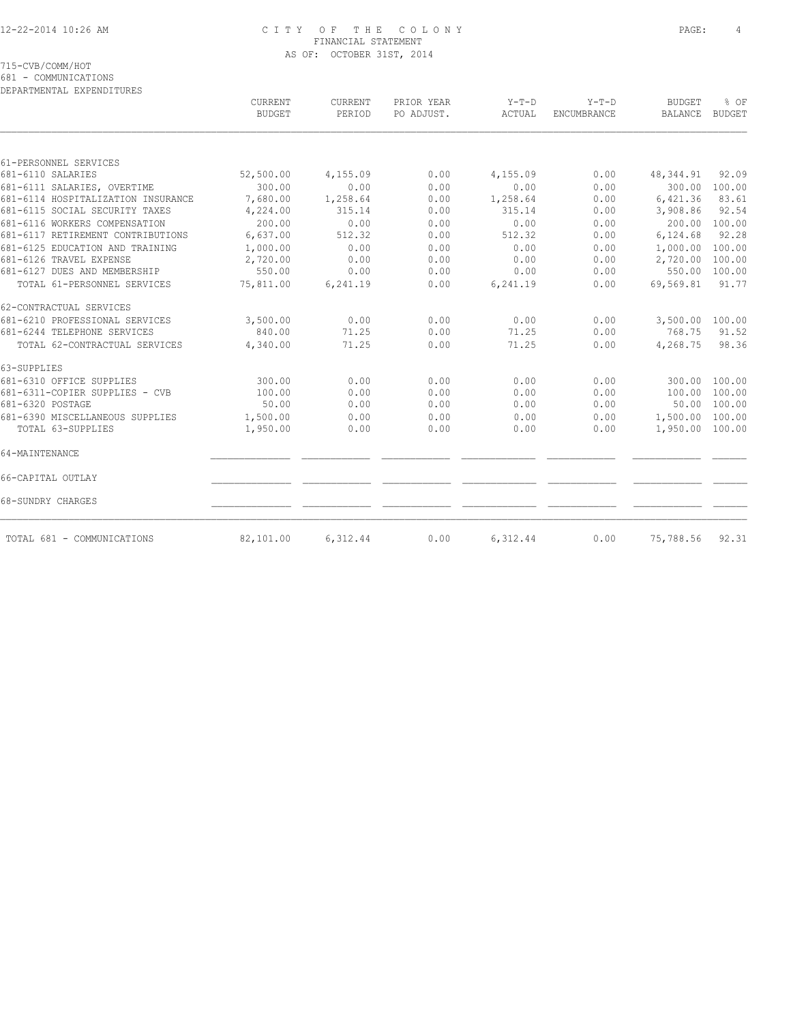715-CVB/COMM/HOT

681 - COMMUNICATIONS

| DEPARTMENTAL EXPENDITURES          |                                 |                   |                          |                   |                        |                                 |                       |
|------------------------------------|---------------------------------|-------------------|--------------------------|-------------------|------------------------|---------------------------------|-----------------------|
|                                    | <b>CURRENT</b><br><b>BUDGET</b> | CURRENT<br>PERIOD | PRIOR YEAR<br>PO ADJUST. | $Y-T-D$<br>ACTUAL | $Y-T-D$<br>ENCUMBRANCE | <b>BUDGET</b><br><b>BALANCE</b> | % OF<br><b>BUDGET</b> |
|                                    |                                 |                   |                          |                   |                        |                                 |                       |
| 61-PERSONNEL SERVICES              |                                 |                   |                          |                   |                        |                                 |                       |
| 681-6110 SALARIES                  | 52,500.00                       | 4,155.09          | 0.00                     | 4,155.09          | 0.00                   | 48, 344.91                      | 92.09                 |
| 681-6111 SALARIES, OVERTIME        | 300.00                          | 0.00              | 0.00                     | 0.00              | 0.00                   | 300.00                          | 100.00                |
| 681-6114 HOSPITALIZATION INSURANCE | 7,680.00                        | 1,258.64          | 0.00                     | 1,258.64          | 0.00                   | 6,421.36                        | 83.61                 |
| 681-6115 SOCIAL SECURITY TAXES     | 4,224.00                        | 315.14            | 0.00                     | 315.14            | 0.00                   | 3,908.86                        | 92.54                 |
| 681-6116 WORKERS COMPENSATION      | 200.00                          | 0.00              | 0.00                     | 0.00              | 0.00                   | 200.00                          | 100.00                |
| 681-6117 RETIREMENT CONTRIBUTIONS  | 6,637.00                        | 512.32            | 0.00                     | 512.32            | 0.00                   | 6,124.68                        | 92.28                 |
| 681-6125 EDUCATION AND TRAINING    | 1,000.00                        | 0.00              | 0.00                     | 0.00              | 0.00                   | 1,000.00                        | 100.00                |
| 681-6126 TRAVEL EXPENSE            | 2,720.00                        | 0.00              | 0.00                     | 0.00              | 0.00                   | 2,720.00                        | 100.00                |
| 681-6127 DUES AND MEMBERSHIP       | 550.00                          | 0.00              | 0.00                     | 0.00              | 0.00                   | 550.00                          | 100.00                |
| TOTAL 61-PERSONNEL SERVICES        | 75,811.00                       | 6,241.19          | 0.00                     | 6,241.19          | 0.00                   | 69,569.81                       | 91.77                 |
| 62-CONTRACTUAL SERVICES            |                                 |                   |                          |                   |                        |                                 |                       |
| 681-6210 PROFESSIONAL SERVICES     | 3,500.00                        | 0.00              | 0.00                     | 0.00              | 0.00                   | 3,500.00                        | 100.00                |
| 681-6244 TELEPHONE SERVICES        | 840.00                          | 71.25             | 0.00                     | 71.25             | 0.00                   | 768.75                          | 91.52                 |
| TOTAL 62-CONTRACTUAL SERVICES      | 4,340.00                        | 71.25             | 0.00                     | 71.25             | 0.00                   | 4,268.75                        | 98.36                 |
| 63-SUPPLIES                        |                                 |                   |                          |                   |                        |                                 |                       |
| 681-6310 OFFICE SUPPLIES           | 300.00                          | 0.00              | 0.00                     | 0.00              | 0.00                   | 300.00                          | 100.00                |
| 681-6311-COPIER SUPPLIES - CVB     | 100.00                          | 0.00              | 0.00                     | 0.00              | 0.00                   | 100.00                          | 100.00                |
| 681-6320 POSTAGE                   | 50.00                           | 0.00              | 0.00                     | 0.00              | 0.00                   |                                 | 50.00 100.00          |
| 681-6390 MISCELLANEOUS SUPPLIES    | 1,500.00                        | 0.00              | 0.00                     | 0.00              | 0.00                   | 1,500.00 100.00                 |                       |
| TOTAL 63-SUPPLIES                  | 1,950.00                        | 0.00              | 0.00                     | 0.00              | 0.00                   | 1,950.00 100.00                 |                       |
| 64-MAINTENANCE                     |                                 |                   |                          |                   |                        |                                 |                       |
| 66-CAPITAL OUTLAY                  |                                 |                   |                          |                   |                        |                                 |                       |
| 68-SUNDRY CHARGES                  |                                 |                   |                          |                   |                        |                                 |                       |
| TOTAL 681 - COMMUNICATIONS         | 82,101.00                       | 6,312.44          | 0.00                     | 6,312.44          | 0.00                   | 75,788.56                       | 92.31                 |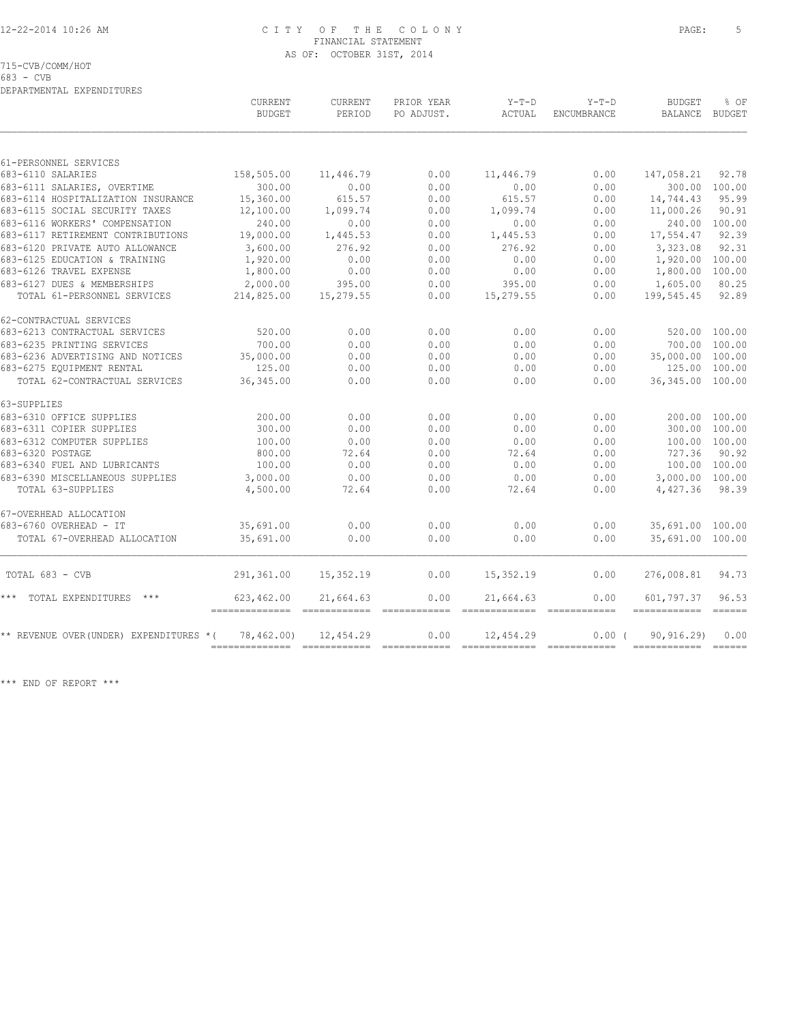715-CVB/COMM/HOT

683 - CVB

DEPARTMENTAL EXPENDITURES

|                                         | CURRENT<br><b>BUDGET</b>         | <b>CURRENT</b><br>PERIOD | PRIOR YEAR<br>PO ADJUST.                                                                                                                                                                                                                                                                                                                                                                                                                                                                       | $Y-T-D$<br>ACTUAL                                                                                                                                                                                                                                                                                                                                                                                                                                                                      | $Y-T-D$<br>ENCUMBRANCE | <b>BUDGET</b><br>BALANCE   | % OF<br><b>BUDGET</b>                                                                                                                                                                                                                                                                                                                                                                                                                                                                                  |
|-----------------------------------------|----------------------------------|--------------------------|------------------------------------------------------------------------------------------------------------------------------------------------------------------------------------------------------------------------------------------------------------------------------------------------------------------------------------------------------------------------------------------------------------------------------------------------------------------------------------------------|----------------------------------------------------------------------------------------------------------------------------------------------------------------------------------------------------------------------------------------------------------------------------------------------------------------------------------------------------------------------------------------------------------------------------------------------------------------------------------------|------------------------|----------------------------|--------------------------------------------------------------------------------------------------------------------------------------------------------------------------------------------------------------------------------------------------------------------------------------------------------------------------------------------------------------------------------------------------------------------------------------------------------------------------------------------------------|
|                                         |                                  |                          |                                                                                                                                                                                                                                                                                                                                                                                                                                                                                                |                                                                                                                                                                                                                                                                                                                                                                                                                                                                                        |                        |                            |                                                                                                                                                                                                                                                                                                                                                                                                                                                                                                        |
| 61-PERSONNEL SERVICES                   |                                  |                          |                                                                                                                                                                                                                                                                                                                                                                                                                                                                                                |                                                                                                                                                                                                                                                                                                                                                                                                                                                                                        |                        |                            |                                                                                                                                                                                                                                                                                                                                                                                                                                                                                                        |
| 683-6110 SALARIES                       | 158,505.00                       | 11,446.79                | 0.00                                                                                                                                                                                                                                                                                                                                                                                                                                                                                           | 11,446.79                                                                                                                                                                                                                                                                                                                                                                                                                                                                              | 0.00                   | 147,058.21                 | 92.78                                                                                                                                                                                                                                                                                                                                                                                                                                                                                                  |
| 683-6111 SALARIES, OVERTIME             | 300.00                           | 0.00                     | 0.00                                                                                                                                                                                                                                                                                                                                                                                                                                                                                           | 0.00                                                                                                                                                                                                                                                                                                                                                                                                                                                                                   | 0.00                   |                            | 300.00 100.00                                                                                                                                                                                                                                                                                                                                                                                                                                                                                          |
| 683-6114 HOSPITALIZATION INSURANCE      | 15,360.00                        | 615.57                   | 0.00                                                                                                                                                                                                                                                                                                                                                                                                                                                                                           | 615.57                                                                                                                                                                                                                                                                                                                                                                                                                                                                                 | 0.00                   | 14,744.43                  | 95.99                                                                                                                                                                                                                                                                                                                                                                                                                                                                                                  |
| 683-6115 SOCIAL SECURITY TAXES          | 12,100.00                        | 1,099.74                 | 0.00                                                                                                                                                                                                                                                                                                                                                                                                                                                                                           | 1,099.74                                                                                                                                                                                                                                                                                                                                                                                                                                                                               | 0.00                   | 11,000.26                  | 90.91                                                                                                                                                                                                                                                                                                                                                                                                                                                                                                  |
| 683-6116 WORKERS' COMPENSATION          | 240.00                           | 0.00                     | 0.00                                                                                                                                                                                                                                                                                                                                                                                                                                                                                           | 0.00                                                                                                                                                                                                                                                                                                                                                                                                                                                                                   | 0.00                   |                            | 240.00 100.00                                                                                                                                                                                                                                                                                                                                                                                                                                                                                          |
| 683-6117 RETIREMENT CONTRIBUTIONS       | 19,000.00                        | 1,445.53                 | 0.00                                                                                                                                                                                                                                                                                                                                                                                                                                                                                           | 1,445.53                                                                                                                                                                                                                                                                                                                                                                                                                                                                               | 0.00                   | 17,554.47                  | 92.39                                                                                                                                                                                                                                                                                                                                                                                                                                                                                                  |
| 683-6120 PRIVATE AUTO ALLOWANCE         | 3,600.00                         | 276.92                   | 0.00                                                                                                                                                                                                                                                                                                                                                                                                                                                                                           | 276.92                                                                                                                                                                                                                                                                                                                                                                                                                                                                                 | 0.00                   | 3,323.08                   | 92.31                                                                                                                                                                                                                                                                                                                                                                                                                                                                                                  |
| 683-6125 EDUCATION & TRAINING           | 1,920.00                         | 0.00                     | 0.00                                                                                                                                                                                                                                                                                                                                                                                                                                                                                           | 0.00                                                                                                                                                                                                                                                                                                                                                                                                                                                                                   | 0.00                   | 1,920.00 100.00            |                                                                                                                                                                                                                                                                                                                                                                                                                                                                                                        |
| 683-6126 TRAVEL EXPENSE                 | 1,800.00                         | 0.00                     | 0.00                                                                                                                                                                                                                                                                                                                                                                                                                                                                                           | 0.00                                                                                                                                                                                                                                                                                                                                                                                                                                                                                   | 0.00                   | 1,800.00                   | 100.00                                                                                                                                                                                                                                                                                                                                                                                                                                                                                                 |
| 683-6127 DUES & MEMBERSHIPS             | 2,000.00                         | 395.00                   | 0.00                                                                                                                                                                                                                                                                                                                                                                                                                                                                                           | 395.00                                                                                                                                                                                                                                                                                                                                                                                                                                                                                 | 0.00                   | 1,605.00                   | 80.25                                                                                                                                                                                                                                                                                                                                                                                                                                                                                                  |
| TOTAL 61-PERSONNEL SERVICES             | 214,825.00                       | 15,279.55                | 0.00                                                                                                                                                                                                                                                                                                                                                                                                                                                                                           | 15,279.55                                                                                                                                                                                                                                                                                                                                                                                                                                                                              | 0.00                   | 199,545.45                 | 92.89                                                                                                                                                                                                                                                                                                                                                                                                                                                                                                  |
| 62-CONTRACTUAL SERVICES                 |                                  |                          |                                                                                                                                                                                                                                                                                                                                                                                                                                                                                                |                                                                                                                                                                                                                                                                                                                                                                                                                                                                                        |                        |                            |                                                                                                                                                                                                                                                                                                                                                                                                                                                                                                        |
| 683-6213 CONTRACTUAL SERVICES           | 520.00                           | 0.00                     | 0.00                                                                                                                                                                                                                                                                                                                                                                                                                                                                                           | 0.00                                                                                                                                                                                                                                                                                                                                                                                                                                                                                   | 0.00                   |                            | 520.00 100.00                                                                                                                                                                                                                                                                                                                                                                                                                                                                                          |
| 683-6235 PRINTING SERVICES              | 700.00                           | 0.00                     | 0.00                                                                                                                                                                                                                                                                                                                                                                                                                                                                                           | 0.00                                                                                                                                                                                                                                                                                                                                                                                                                                                                                   | 0.00                   |                            | 700.00 100.00                                                                                                                                                                                                                                                                                                                                                                                                                                                                                          |
| 683-6236 ADVERTISING AND NOTICES        | 35,000.00                        | 0.00                     | 0.00                                                                                                                                                                                                                                                                                                                                                                                                                                                                                           | 0.00                                                                                                                                                                                                                                                                                                                                                                                                                                                                                   | 0.00                   | 35,000.00 100.00           |                                                                                                                                                                                                                                                                                                                                                                                                                                                                                                        |
| 683-6275 EQUIPMENT RENTAL               | 125.00                           | 0.00                     | 0.00                                                                                                                                                                                                                                                                                                                                                                                                                                                                                           | 0.00                                                                                                                                                                                                                                                                                                                                                                                                                                                                                   | 0.00                   |                            | 125.00 100.00                                                                                                                                                                                                                                                                                                                                                                                                                                                                                          |
| TOTAL 62-CONTRACTUAL SERVICES           | 36, 345.00                       | 0.00                     | 0.00                                                                                                                                                                                                                                                                                                                                                                                                                                                                                           | 0.00                                                                                                                                                                                                                                                                                                                                                                                                                                                                                   | 0.00                   | 36, 345.00 100.00          |                                                                                                                                                                                                                                                                                                                                                                                                                                                                                                        |
| 63-SUPPLIES                             |                                  |                          |                                                                                                                                                                                                                                                                                                                                                                                                                                                                                                |                                                                                                                                                                                                                                                                                                                                                                                                                                                                                        |                        |                            |                                                                                                                                                                                                                                                                                                                                                                                                                                                                                                        |
| 683-6310 OFFICE SUPPLIES                | 200.00                           | 0.00                     | 0.00                                                                                                                                                                                                                                                                                                                                                                                                                                                                                           | 0.00                                                                                                                                                                                                                                                                                                                                                                                                                                                                                   | 0.00                   |                            | 200.00 100.00                                                                                                                                                                                                                                                                                                                                                                                                                                                                                          |
| 683-6311 COPIER SUPPLIES                | 300.00                           | 0.00                     | 0.00                                                                                                                                                                                                                                                                                                                                                                                                                                                                                           | 0.00                                                                                                                                                                                                                                                                                                                                                                                                                                                                                   | 0.00                   |                            | 300.00 100.00                                                                                                                                                                                                                                                                                                                                                                                                                                                                                          |
| 683-6312 COMPUTER SUPPLIES              | 100.00                           | 0.00                     | 0.00                                                                                                                                                                                                                                                                                                                                                                                                                                                                                           | 0.00                                                                                                                                                                                                                                                                                                                                                                                                                                                                                   | 0.00                   |                            | 100.00 100.00                                                                                                                                                                                                                                                                                                                                                                                                                                                                                          |
| 683-6320 POSTAGE                        | 800.00                           | 72.64                    | 0.00                                                                                                                                                                                                                                                                                                                                                                                                                                                                                           | 72.64                                                                                                                                                                                                                                                                                                                                                                                                                                                                                  | 0.00                   | 727.36                     | 90.92                                                                                                                                                                                                                                                                                                                                                                                                                                                                                                  |
| 683-6340 FUEL AND LUBRICANTS            | 100.00                           | 0.00                     | 0.00                                                                                                                                                                                                                                                                                                                                                                                                                                                                                           | 0.00                                                                                                                                                                                                                                                                                                                                                                                                                                                                                   | 0.00                   |                            | 100.00 100.00                                                                                                                                                                                                                                                                                                                                                                                                                                                                                          |
| 683-6390 MISCELLANEOUS SUPPLIES         | 3,000.00                         | 0.00                     | 0.00                                                                                                                                                                                                                                                                                                                                                                                                                                                                                           | 0.00                                                                                                                                                                                                                                                                                                                                                                                                                                                                                   | 0.00                   | 3,000.00 100.00            |                                                                                                                                                                                                                                                                                                                                                                                                                                                                                                        |
| TOTAL 63-SUPPLIES                       | 4,500.00                         | 72.64                    | 0.00                                                                                                                                                                                                                                                                                                                                                                                                                                                                                           | 72.64                                                                                                                                                                                                                                                                                                                                                                                                                                                                                  | 0.00                   | 4,427.36                   | 98.39                                                                                                                                                                                                                                                                                                                                                                                                                                                                                                  |
| 67-OVERHEAD ALLOCATION                  |                                  |                          |                                                                                                                                                                                                                                                                                                                                                                                                                                                                                                |                                                                                                                                                                                                                                                                                                                                                                                                                                                                                        |                        |                            |                                                                                                                                                                                                                                                                                                                                                                                                                                                                                                        |
| 683-6760 OVERHEAD - IT                  | 35,691.00                        | 0.00                     | 0.00                                                                                                                                                                                                                                                                                                                                                                                                                                                                                           | 0.00                                                                                                                                                                                                                                                                                                                                                                                                                                                                                   | 0.00                   | 35,691.00 100.00           |                                                                                                                                                                                                                                                                                                                                                                                                                                                                                                        |
| TOTAL 67-OVERHEAD ALLOCATION            | 35,691.00                        | 0.00                     | 0.00                                                                                                                                                                                                                                                                                                                                                                                                                                                                                           | 0.00                                                                                                                                                                                                                                                                                                                                                                                                                                                                                   | 0.00                   | 35,691.00 100.00           |                                                                                                                                                                                                                                                                                                                                                                                                                                                                                                        |
| TOTAL 683 - CVB                         | 291,361.00                       | 15,352.19                | 0.00                                                                                                                                                                                                                                                                                                                                                                                                                                                                                           | 15,352.19                                                                                                                                                                                                                                                                                                                                                                                                                                                                              | 0.00                   | 276,008.81                 | 94.73                                                                                                                                                                                                                                                                                                                                                                                                                                                                                                  |
| *** TOTAL EXPENDITURES ***              | 623,462.00                       | 21,664.63                | 0.00                                                                                                                                                                                                                                                                                                                                                                                                                                                                                           | 21,664.63                                                                                                                                                                                                                                                                                                                                                                                                                                                                              | 0.00                   | 601,797.37                 | 96.53                                                                                                                                                                                                                                                                                                                                                                                                                                                                                                  |
|                                         | ================================ |                          |                                                                                                                                                                                                                                                                                                                                                                                                                                                                                                | $\begin{array}{cccccccccc} \multicolumn{2}{c}{} & \multicolumn{2}{c}{} & \multicolumn{2}{c}{} & \multicolumn{2}{c}{} & \multicolumn{2}{c}{} & \multicolumn{2}{c}{} & \multicolumn{2}{c}{} & \multicolumn{2}{c}{} & \multicolumn{2}{c}{} & \multicolumn{2}{c}{} & \multicolumn{2}{c}{} & \multicolumn{2}{c}{} & \multicolumn{2}{c}{} & \multicolumn{2}{c}{} & \multicolumn{2}{c}{} & \multicolumn{2}{c}{} & \multicolumn{2}{c}{} & \multicolumn{2}{c}{} & \multicolumn{2}{c}{} & \mult$ |                        | ======================     |                                                                                                                                                                                                                                                                                                                                                                                                                                                                                                        |
| ** REVENUE OVER (UNDER) EXPENDITURES *( | 78,462.00)                       | 12,454.29                | 0.00<br>$\begin{array}{cccccccccc} \multicolumn{2}{c}{} & \multicolumn{2}{c}{} & \multicolumn{2}{c}{} & \multicolumn{2}{c}{} & \multicolumn{2}{c}{} & \multicolumn{2}{c}{} & \multicolumn{2}{c}{} & \multicolumn{2}{c}{} & \multicolumn{2}{c}{} & \multicolumn{2}{c}{} & \multicolumn{2}{c}{} & \multicolumn{2}{c}{} & \multicolumn{2}{c}{} & \multicolumn{2}{c}{} & \multicolumn{2}{c}{} & \multicolumn{2}{c}{} & \multicolumn{2}{c}{} & \multicolumn{2}{c}{} & \multicolumn{2}{c}{} & \mult$ | 12,454.29                                                                                                                                                                                                                                                                                                                                                                                                                                                                              | 0.00(                  | 90, 916.29<br>------------ | 0.00<br>$\begin{array}{c} \multicolumn{3}{c} {\textbf{1}} & \multicolumn{3}{c} {\textbf{2}} & \multicolumn{3}{c} {\textbf{3}} \\ \multicolumn{3}{c} {\textbf{4}} & \multicolumn{3}{c} {\textbf{5}} & \multicolumn{3}{c} {\textbf{6}} \\ \multicolumn{3}{c} {\textbf{5}} & \multicolumn{3}{c} {\textbf{6}} & \multicolumn{3}{c} {\textbf{7}} \\ \multicolumn{3}{c} {\textbf{6}} & \multicolumn{3}{c} {\textbf{7}} & \multicolumn{3}{c} {\textbf{8}} \\ \multicolumn{3}{c} {\textbf{7}} & \multicolumn{$ |
|                                         |                                  |                          |                                                                                                                                                                                                                                                                                                                                                                                                                                                                                                |                                                                                                                                                                                                                                                                                                                                                                                                                                                                                        |                        |                            |                                                                                                                                                                                                                                                                                                                                                                                                                                                                                                        |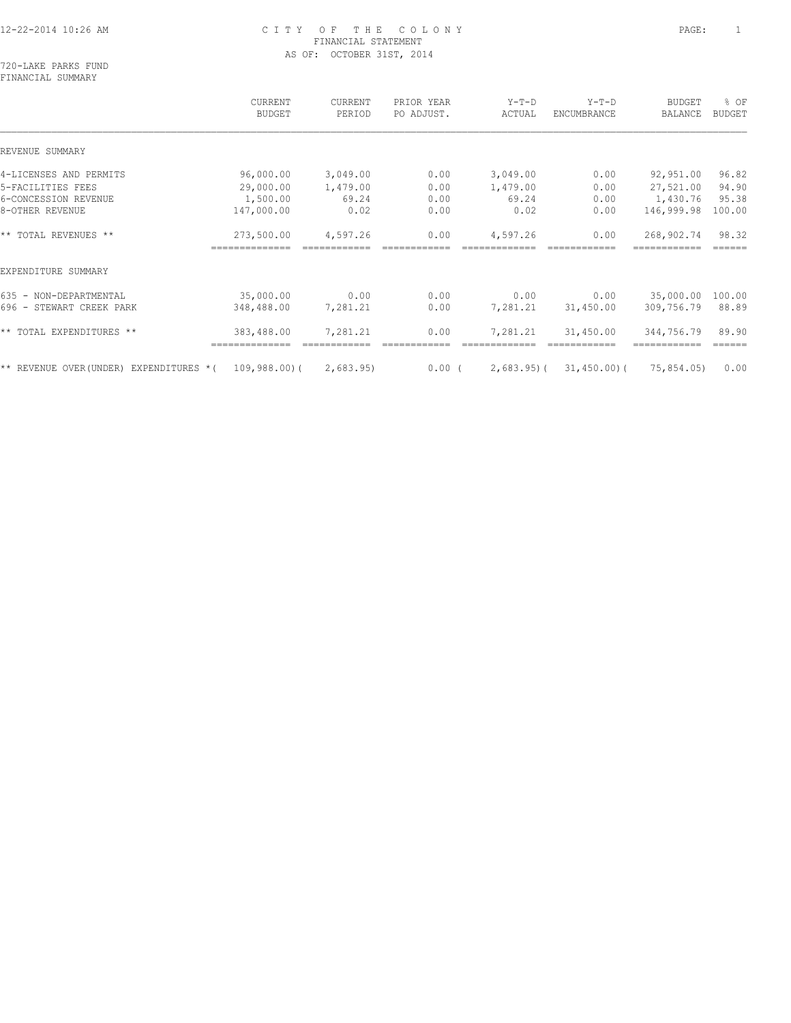720-LAKE PARKS FUND FINANCIAL SUMMARY

|                                        | CURRENT<br><b>BUDGET</b> | CURRENT<br>PERIOD | PRIOR YEAR<br>PO ADJUST. | $Y-T-D$<br>ACTUAL | $Y-T-D$<br>ENCUMBRANCE | <b>BUDGET</b><br>BALANCE | % OF<br><b>BUDGET</b> |
|----------------------------------------|--------------------------|-------------------|--------------------------|-------------------|------------------------|--------------------------|-----------------------|
| REVENUE SUMMARY                        |                          |                   |                          |                   |                        |                          |                       |
| 4-LICENSES AND PERMITS                 | 96,000.00                | 3,049.00          | 0.00                     | 3,049.00          | 0.00                   | 92,951.00                | 96.82                 |
| 5-FACILITIES FEES                      | 29,000.00                | 1,479.00          | 0.00                     | 1,479.00          | 0.00                   | 27,521.00                | 94.90                 |
| 6-CONCESSION REVENUE                   | 1,500.00                 | 69.24             | 0.00                     | 69.24             | 0.00                   | 1,430.76                 | 95.38                 |
| 8-OTHER REVENUE                        | 147,000.00               | 0.02              | 0.00                     | 0.02              | 0.00                   | 146,999.98               | 100.00                |
| ** TOTAL REVENUES **                   | 273,500.00               | 4,597.26          | 0.00                     | 4,597.26          | 0.00                   | 268,902.74               | 98.32                 |
| EXPENDITURE SUMMARY                    |                          |                   |                          |                   |                        |                          |                       |
| 635 - NON-DEPARTMENTAL                 | 35,000.00                | 0.00              | 0.00                     | 0.00              | 0.00                   | 35,000.00                | 100.00                |
| 696 - STEWART CREEK PARK               | 348,488.00               | 7,281.21          | 0.00                     | 7,281.21          | 31,450.00              | 309,756.79               | 88.89                 |
| ** TOTAL EXPENDITURES **               | 383,488.00               | 7,281.21          | 0.00                     | 7,281.21          | 31,450.00              | 344,756.79               | 89.90<br>======       |
| ** REVENUE OVER(UNDER) EXPENDITURES *( | 109,988.00)(             | 2,683.95)         | $0.00$ (                 | $2,683.95$ ) (    | 31,450.00)(            | 75,854.05)               | 0.00                  |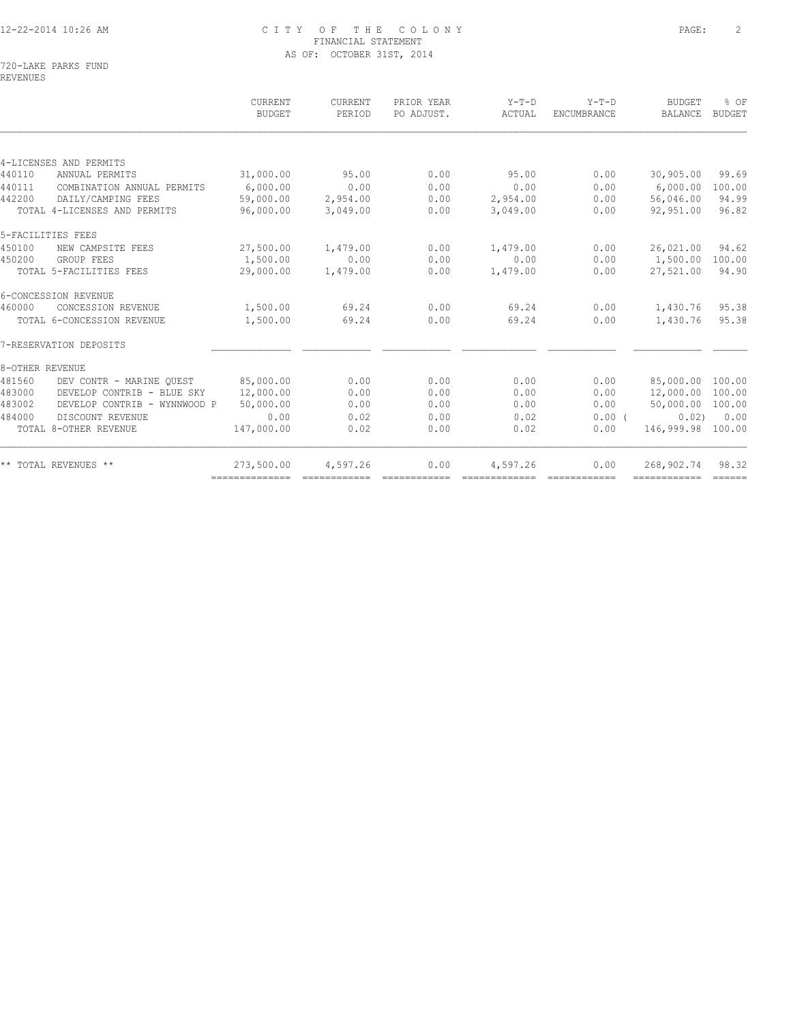720-LAKE PARKS FUND REVENUES

|                                        | CURRENT<br><b>BUDGET</b> | CURRENT<br>PERIOD                                                                                                                                                                                                                                                                                                                                                                                                                                                                      | PRIOR YEAR<br>PO ADJUST. | $Y-T-D$<br>ACTUAL | $Y-T-D$<br>ENCUMBRANCE | <b>BUDGET</b><br>BALANCE | % OF<br><b>BUDGET</b> |
|----------------------------------------|--------------------------|----------------------------------------------------------------------------------------------------------------------------------------------------------------------------------------------------------------------------------------------------------------------------------------------------------------------------------------------------------------------------------------------------------------------------------------------------------------------------------------|--------------------------|-------------------|------------------------|--------------------------|-----------------------|
|                                        |                          |                                                                                                                                                                                                                                                                                                                                                                                                                                                                                        |                          |                   |                        |                          |                       |
| 4-LICENSES AND PERMITS                 |                          |                                                                                                                                                                                                                                                                                                                                                                                                                                                                                        |                          |                   |                        |                          |                       |
| 440110<br>ANNUAL PERMITS               | 31,000.00                | 95.00                                                                                                                                                                                                                                                                                                                                                                                                                                                                                  | 0.00                     | 95.00             | 0.00                   | 30,905.00                | 99.69                 |
| 440111<br>COMBINATION ANNUAL PERMITS   | 6,000.00                 | 0.00                                                                                                                                                                                                                                                                                                                                                                                                                                                                                   | 0.00                     | 0.00              | 0.00                   | 6,000.00                 | 100.00                |
| DAILY/CAMPING FEES<br>442200           | 59,000.00                | 2,954.00                                                                                                                                                                                                                                                                                                                                                                                                                                                                               | 0.00                     | 2,954.00          | 0.00                   | 56,046.00                | 94.99                 |
| TOTAL 4-LICENSES AND PERMITS           | 96,000.00                | 3,049.00                                                                                                                                                                                                                                                                                                                                                                                                                                                                               | 0.00                     | 3,049.00          | 0.00                   | 92,951.00                | 96.82                 |
| 5-FACILITIES FEES                      |                          |                                                                                                                                                                                                                                                                                                                                                                                                                                                                                        |                          |                   |                        |                          |                       |
| 450100<br>NEW CAMPSITE FEES            | 27,500.00                | 1,479.00                                                                                                                                                                                                                                                                                                                                                                                                                                                                               | 0.00                     | 1,479.00          | 0.00                   | 26,021.00                | 94.62                 |
| 450200<br>GROUP FEES                   | 1,500.00                 | 0.00                                                                                                                                                                                                                                                                                                                                                                                                                                                                                   | 0.00                     | 0.00              | 0.00                   | 1,500.00                 | 100.00                |
| TOTAL 5-FACILITIES FEES                | 29,000.00                | 1,479.00                                                                                                                                                                                                                                                                                                                                                                                                                                                                               | 0.00                     | 1,479.00          | 0.00                   | 27,521.00                | 94.90                 |
| 6-CONCESSION REVENUE                   |                          |                                                                                                                                                                                                                                                                                                                                                                                                                                                                                        |                          |                   |                        |                          |                       |
| 460000<br>CONCESSION REVENUE           | 1,500.00                 | 69.24                                                                                                                                                                                                                                                                                                                                                                                                                                                                                  | 0.00                     | 69.24             | 0.00                   | 1,430.76                 | 95.38                 |
| TOTAL 6-CONCESSION REVENUE             | 1,500.00                 | 69.24                                                                                                                                                                                                                                                                                                                                                                                                                                                                                  | 0.00                     | 69.24             | 0.00                   | 1,430.76                 | 95.38                 |
| 7-RESERVATION DEPOSITS                 |                          |                                                                                                                                                                                                                                                                                                                                                                                                                                                                                        |                          |                   |                        |                          |                       |
| 8-OTHER REVENUE                        |                          |                                                                                                                                                                                                                                                                                                                                                                                                                                                                                        |                          |                   |                        |                          |                       |
| 481560<br>DEV CONTR - MARINE OUEST     | 85,000.00                | 0.00                                                                                                                                                                                                                                                                                                                                                                                                                                                                                   | 0.00                     | 0.00              | 0.00                   | 85,000.00 100.00         |                       |
| 483000<br>DEVELOP CONTRIB - BLUE SKY   | 12,000.00                | 0.00                                                                                                                                                                                                                                                                                                                                                                                                                                                                                   | 0.00                     | 0.00              | 0.00                   | 12,000.00 100.00         |                       |
| 483002<br>DEVELOP CONTRIB - WYNNWOOD P | 50,000.00                | 0.00                                                                                                                                                                                                                                                                                                                                                                                                                                                                                   | 0.00                     | 0.00              | 0.00                   | 50,000.00                | 100.00                |
| 484000<br>DISCOUNT REVENUE             | 0.00                     | 0.02                                                                                                                                                                                                                                                                                                                                                                                                                                                                                   | 0.00                     | 0.02              | $0.00$ (               | 0.02                     | 0.00                  |
| TOTAL 8-OTHER REVENUE                  | 147,000.00               | 0.02                                                                                                                                                                                                                                                                                                                                                                                                                                                                                   | 0.00                     | 0.02              | 0.00                   | 146,999.98               | 100.00                |
| ** TOTAL REVENUES **                   | 273,500.00               | 4,597.26                                                                                                                                                                                                                                                                                                                                                                                                                                                                               | 0.00                     | 4,597.26          | 0.00                   | 268,902.74               | 98.32                 |
|                                        | ---------------          | $\begin{array}{cccccccccc} \multicolumn{2}{c}{} & \multicolumn{2}{c}{} & \multicolumn{2}{c}{} & \multicolumn{2}{c}{} & \multicolumn{2}{c}{} & \multicolumn{2}{c}{} & \multicolumn{2}{c}{} & \multicolumn{2}{c}{} & \multicolumn{2}{c}{} & \multicolumn{2}{c}{} & \multicolumn{2}{c}{} & \multicolumn{2}{c}{} & \multicolumn{2}{c}{} & \multicolumn{2}{c}{} & \multicolumn{2}{c}{} & \multicolumn{2}{c}{} & \multicolumn{2}{c}{} & \multicolumn{2}{c}{} & \multicolumn{2}{c}{} & \mult$ | ============             | -------------     |                        | ============             | $=$ $=$ $=$ $=$ $=$   |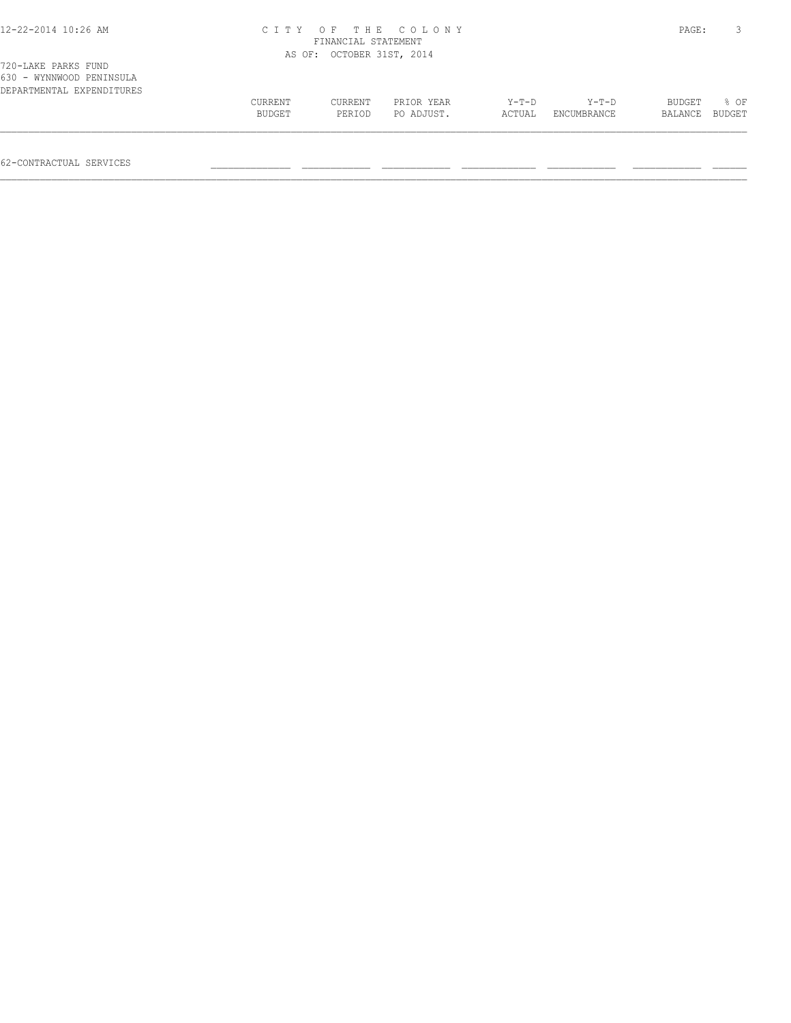| 12-22-2014 10:26 AM                             |         | FINANCIAL STATEMENT       | CITY OF THE COLONY |       |       | PAGE:         | $\mathbf{3}$ |
|-------------------------------------------------|---------|---------------------------|--------------------|-------|-------|---------------|--------------|
|                                                 |         |                           |                    |       |       |               |              |
|                                                 |         | AS OF: OCTOBER 31ST, 2014 |                    |       |       |               |              |
| 720-LAKE PARKS FUND<br>630 - WYNNWOOD PENINSULA |         |                           |                    |       |       |               |              |
| DEPARTMENTAL EXPENDITURES                       |         |                           |                    |       |       |               |              |
|                                                 | CURRENT | CURRENT                   | PRIOR YEAR         | Y-T-D | Y-T-D | <b>BUDGET</b> | 80F          |

 BUDGET PERIOD PO ADJUST. ACTUAL ENCUMBRANCE BALANCE BUDGET  $\mathcal{L} = \{ \mathcal{L} = \{ \mathcal{L} = \{ \mathcal{L} = \{ \mathcal{L} = \{ \mathcal{L} = \{ \mathcal{L} = \{ \mathcal{L} = \{ \mathcal{L} = \{ \mathcal{L} = \{ \mathcal{L} = \{ \mathcal{L} = \{ \mathcal{L} = \{ \mathcal{L} = \{ \mathcal{L} = \{ \mathcal{L} = \{ \mathcal{L} = \{ \mathcal{L} = \{ \mathcal{L} = \{ \mathcal{L} = \{ \mathcal{L} = \{ \mathcal{L} = \{ \mathcal{L} = \{ \mathcal{L} = \{ \mathcal{$ 

62-CONTRACTUAL SERVICES \_\_\_\_\_\_\_\_\_\_\_\_\_\_ \_\_\_\_\_\_\_\_\_\_\_\_ \_\_\_\_\_\_\_\_\_\_\_\_ \_\_\_\_\_\_\_\_\_\_\_\_\_ \_\_\_\_\_\_\_\_\_\_\_\_ \_\_\_\_\_\_\_\_\_\_\_\_ \_\_\_\_\_\_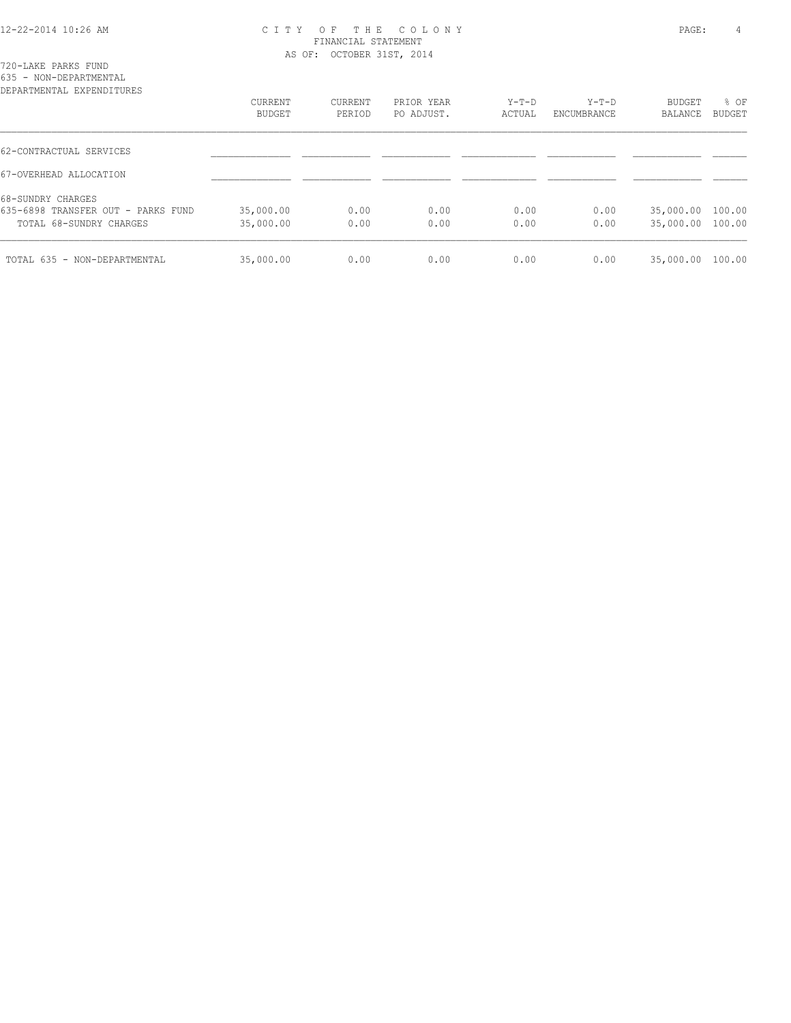|  | 720-LAKE PARKS FUND |                        |  |
|--|---------------------|------------------------|--|
|  |                     | 635 - NON-DEPARTMENTAL |  |

| CURRENT<br><b>BUDGET</b> | CURRENT<br>PERIOD | PRIOR YEAR<br>PO ADJUST. | $Y-T-D$<br>ACTUAL | $Y-T-D$<br>ENCUMBRANCE | BUDGET<br>BALANCE | % OF<br>BUDGET |
|--------------------------|-------------------|--------------------------|-------------------|------------------------|-------------------|----------------|
|                          |                   |                          |                   |                        |                   |                |
|                          |                   |                          |                   |                        |                   |                |
|                          |                   |                          |                   |                        |                   |                |
| 35,000.00                | 0.00              | 0.00                     | 0.00              | 0.00                   | 35,000.00 100.00  |                |
| 35,000.00                | 0.00              | 0.00                     | 0.00              | 0.00                   | 35,000.00 100.00  |                |
| 35,000.00                | 0.00              | 0.00                     | 0.00              | 0.00                   | 35,000.00         | 100.00         |
|                          |                   |                          |                   |                        |                   |                |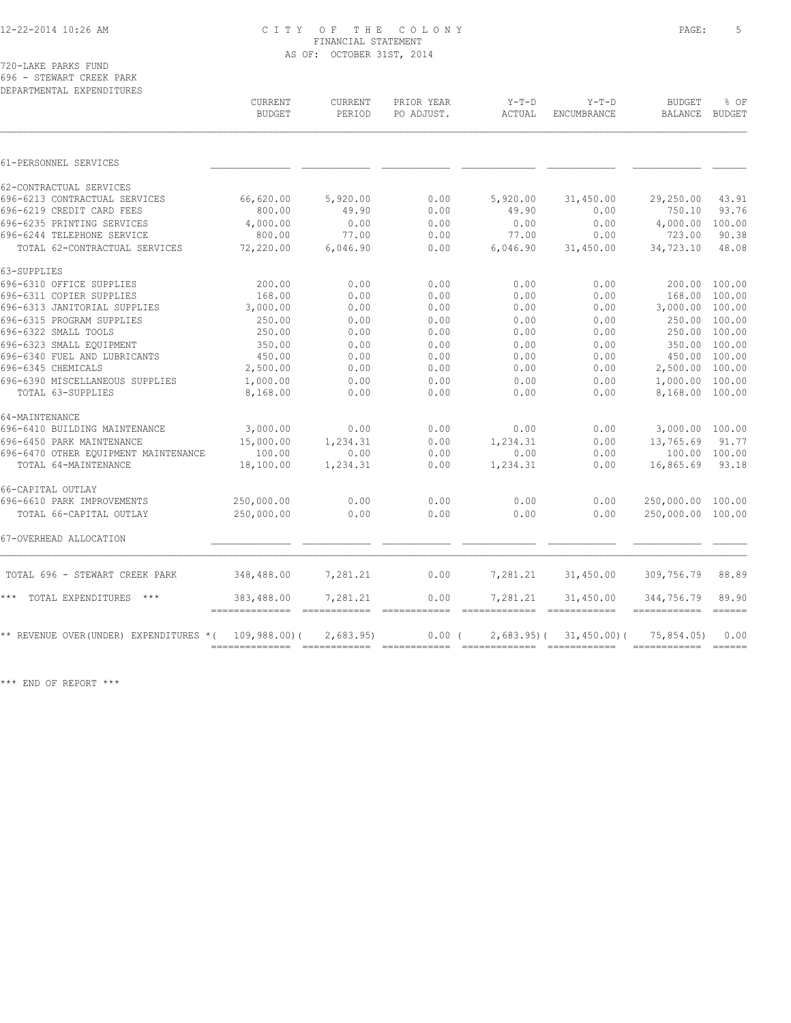720-LAKE PARKS FUND 696 - STEWART CREEK PARK

| DEPARTMENTAL EXPENDITURES                |                                 |                   |                          |                                                 |                        |                             |                                                                                                                                                                                                                                                                                                                                                                                              |
|------------------------------------------|---------------------------------|-------------------|--------------------------|-------------------------------------------------|------------------------|-----------------------------|----------------------------------------------------------------------------------------------------------------------------------------------------------------------------------------------------------------------------------------------------------------------------------------------------------------------------------------------------------------------------------------------|
|                                          | <b>CURRENT</b><br><b>BUDGET</b> | CURRENT<br>PERIOD | PRIOR YEAR<br>PO ADJUST. | $Y-T-D$<br>ACTUAL                               | $Y-T-D$<br>ENCUMBRANCE | <b>BUDGET</b><br>BALANCE    | % OF<br>BUDGET                                                                                                                                                                                                                                                                                                                                                                               |
|                                          |                                 |                   |                          |                                                 |                        |                             |                                                                                                                                                                                                                                                                                                                                                                                              |
| 61-PERSONNEL SERVICES                    |                                 |                   |                          |                                                 |                        |                             |                                                                                                                                                                                                                                                                                                                                                                                              |
| 62-CONTRACTUAL SERVICES                  |                                 |                   |                          |                                                 |                        |                             |                                                                                                                                                                                                                                                                                                                                                                                              |
| 696-6213 CONTRACTUAL SERVICES            | 66,620.00                       | 5,920.00          | 0.00                     | 5,920.00                                        | 31,450.00              | 29,250.00                   | 43.91                                                                                                                                                                                                                                                                                                                                                                                        |
| 696-6219 CREDIT CARD FEES                | 800.00                          | 49.90             | 0.00                     | 49.90                                           | 0.00                   | 750.10                      | 93.76                                                                                                                                                                                                                                                                                                                                                                                        |
| 696-6235 PRINTING SERVICES               | 4,000.00                        | 0.00              | 0.00                     | 0.00                                            | 0.00                   | 4,000.00                    | 100.00                                                                                                                                                                                                                                                                                                                                                                                       |
| 696-6244 TELEPHONE SERVICE               | 800.00                          | 77.00             | 0.00                     | 77.00                                           | 0.00                   | 723.00                      | 90.38                                                                                                                                                                                                                                                                                                                                                                                        |
| TOTAL 62-CONTRACTUAL SERVICES            | 72,220.00                       | 6,046.90          | 0.00                     | 6,046.90                                        | 31,450.00              | 34,723.10                   | 48.08                                                                                                                                                                                                                                                                                                                                                                                        |
| 63-SUPPLIES                              |                                 |                   |                          |                                                 |                        |                             |                                                                                                                                                                                                                                                                                                                                                                                              |
| 696-6310 OFFICE SUPPLIES                 | 200.00                          | 0.00              | 0.00                     | 0.00                                            | 0.00                   | 200.00                      | 100.00                                                                                                                                                                                                                                                                                                                                                                                       |
| 696-6311 COPIER SUPPLIES                 | 168.00                          | 0.00              | 0.00                     | 0.00                                            | 0.00                   | 168.00                      | 100.00                                                                                                                                                                                                                                                                                                                                                                                       |
| 696-6313 JANITORIAL SUPPLIES             | 3,000.00                        | 0.00              | 0.00                     | 0.00                                            | 0.00                   | 3,000.00 100.00             |                                                                                                                                                                                                                                                                                                                                                                                              |
| 696-6315 PROGRAM SUPPLIES                | 250.00                          | 0.00              | 0.00                     | 0.00                                            | 0.00                   | 250.00 100.00               |                                                                                                                                                                                                                                                                                                                                                                                              |
| 696-6322 SMALL TOOLS                     | 250.00                          | 0.00              | 0.00                     | 0.00                                            | 0.00                   | 250.00 100.00               |                                                                                                                                                                                                                                                                                                                                                                                              |
| 696-6323 SMALL EOUIPMENT                 | 350.00                          | 0.00              | 0.00                     | 0.00                                            | 0.00                   | 350.00 100.00               |                                                                                                                                                                                                                                                                                                                                                                                              |
| 696-6340 FUEL AND LUBRICANTS             | 450.00                          | 0.00              | 0.00                     | 0.00                                            | 0.00                   | 450.00 100.00               |                                                                                                                                                                                                                                                                                                                                                                                              |
| 696-6345 CHEMICALS                       | 2,500.00                        | 0.00              | 0.00                     | 0.00                                            | 0.00                   | 2,500.00 100.00             |                                                                                                                                                                                                                                                                                                                                                                                              |
| 696-6390 MISCELLANEOUS SUPPLIES          | 1,000.00                        | 0.00              | 0.00                     | 0.00                                            | 0.00                   | 1,000.00 100.00             |                                                                                                                                                                                                                                                                                                                                                                                              |
| TOTAL 63-SUPPLIES                        | 8,168.00                        | 0.00              | 0.00                     | 0.00                                            | 0.00                   | 8,168.00 100.00             |                                                                                                                                                                                                                                                                                                                                                                                              |
| 64-MAINTENANCE                           |                                 |                   |                          |                                                 |                        |                             |                                                                                                                                                                                                                                                                                                                                                                                              |
| 696-6410 BUILDING MAINTENANCE            | 3,000.00                        | 0.00              | 0.00                     | 0.00                                            | 0.00                   | 3,000.00 100.00             |                                                                                                                                                                                                                                                                                                                                                                                              |
| 696-6450 PARK MAINTENANCE                | 15,000.00                       | 1,234.31          | 0.00                     | 1,234.31                                        | 0.00                   | 13,765.69                   | 91.77                                                                                                                                                                                                                                                                                                                                                                                        |
| 696-6470 OTHER EQUIPMENT MAINTENANCE     | 100.00                          | 0.00              | 0.00                     | 0.00                                            | 0.00                   | 100.00 100.00               |                                                                                                                                                                                                                                                                                                                                                                                              |
| TOTAL 64-MAINTENANCE                     | 18,100.00                       | 1,234.31          | 0.00                     | 1,234.31                                        | 0.00                   | 16,865.69                   | 93.18                                                                                                                                                                                                                                                                                                                                                                                        |
| 66-CAPITAL OUTLAY                        |                                 |                   |                          |                                                 |                        |                             |                                                                                                                                                                                                                                                                                                                                                                                              |
| 696-6610 PARK IMPROVEMENTS               | 250,000.00                      | 0.00              | 0.00                     | 0.00                                            | 0.00                   | 250,000.00 100.00           |                                                                                                                                                                                                                                                                                                                                                                                              |
| TOTAL 66-CAPITAL OUTLAY                  | 250,000.00                      | 0.00              | 0.00                     | 0.00                                            | 0.00                   | 250,000.00 100.00           |                                                                                                                                                                                                                                                                                                                                                                                              |
| 67-OVERHEAD ALLOCATION                   |                                 |                   |                          |                                                 |                        |                             |                                                                                                                                                                                                                                                                                                                                                                                              |
| TOTAL 696 - STEWART CREEK PARK           | 348,488.00                      | 7,281.21          | 0.00                     | 7,281.21                                        | 31,450.00              | 309,756.79                  | 88.89                                                                                                                                                                                                                                                                                                                                                                                        |
| ***<br>TOTAL EXPENDITURES<br>$***$       | 383,488.00                      | 7,281.21          | 0.00                     | 7,281.21                                        | 31,450.00              | 344,756.79                  | 89.90                                                                                                                                                                                                                                                                                                                                                                                        |
| ** REVENUE OVER (UNDER) EXPENDITURES * ( | 109,988,00(                     | 2,683.95          | 0.00(                    | -----------------------------<br>$2,683.95$ ) ( | 31,450.00(             | -------------<br>75,854.05) | $=$ $=$ $=$ $=$ $=$<br>0.00                                                                                                                                                                                                                                                                                                                                                                  |
|                                          |                                 |                   |                          |                                                 |                        |                             | $\frac{1}{1} \frac{1}{1} \frac{1}{1} \frac{1}{1} \frac{1}{1} \frac{1}{1} \frac{1}{1} \frac{1}{1} \frac{1}{1} \frac{1}{1} \frac{1}{1} \frac{1}{1} \frac{1}{1} \frac{1}{1} \frac{1}{1} \frac{1}{1} \frac{1}{1} \frac{1}{1} \frac{1}{1} \frac{1}{1} \frac{1}{1} \frac{1}{1} \frac{1}{1} \frac{1}{1} \frac{1}{1} \frac{1}{1} \frac{1}{1} \frac{1}{1} \frac{1}{1} \frac{1}{1} \frac{1}{1} \frac{$ |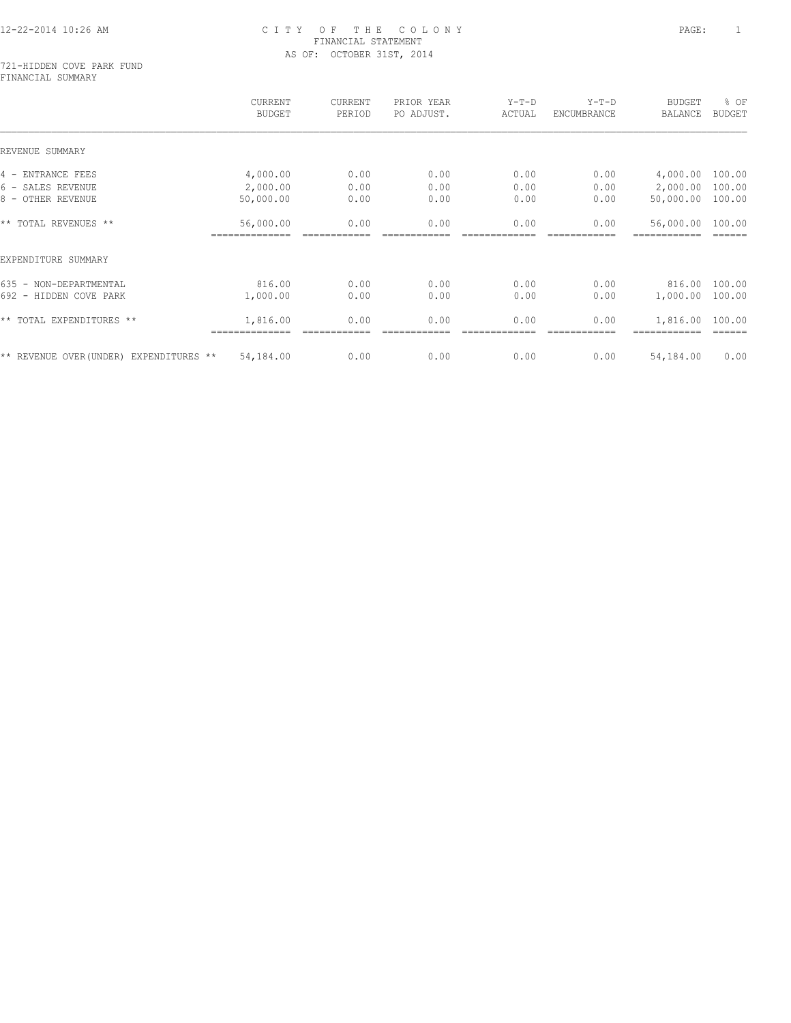#### 721-HIDDEN COVE PARK FUND FINANCIAL SUMMARY

|                                         | <b>CURRENT</b><br><b>BUDGET</b> | CURRENT<br>PERIOD | PRIOR YEAR<br>PO ADJUST. | $Y-T-D$<br>ACTUAL | $Y-T-D$<br>ENCUMBRANCE | <b>BUDGET</b><br>BALANCE | % OF<br><b>BUDGET</b> |
|-----------------------------------------|---------------------------------|-------------------|--------------------------|-------------------|------------------------|--------------------------|-----------------------|
| REVENUE SUMMARY                         |                                 |                   |                          |                   |                        |                          |                       |
| 4 - ENTRANCE FEES                       | 4,000.00                        | 0.00              | 0.00                     | 0.00              | 0.00                   | 4,000.00                 | 100.00                |
| 6 - SALES REVENUE                       | 2,000.00                        | 0.00              | 0.00                     | 0.00              | 0.00                   | 2,000.00                 | 100.00                |
| 8 - OTHER REVENUE                       | 50,000.00                       | 0.00              | 0.00                     | 0.00              | 0.00                   | 50,000.00                | 100.00                |
| ** TOTAL REVENUES **                    | 56,000.00                       | 0.00              | 0.00                     | 0.00              | 0.00                   | 56,000.00                | 100.00                |
| EXPENDITURE SUMMARY                     |                                 |                   |                          |                   |                        |                          |                       |
| 635 - NON-DEPARTMENTAL                  | 816.00                          | 0.00              | 0.00                     | 0.00              | 0.00                   | 816.00                   | 100.00                |
| 692 - HIDDEN COVE PARK                  | 1,000.00                        | 0.00              | 0.00                     | 0.00              | 0.00                   | 1,000.00                 | 100.00                |
| ** TOTAL EXPENDITURES **                | 1,816.00                        | 0.00              | 0.00                     | 0.00              | 0.00                   | 1,816.00                 | 100.00                |
| ** REVENUE OVER (UNDER) EXPENDITURES ** | 54,184.00                       | 0.00              | 0.00                     | 0.00              | 0.00                   | 54,184.00                | 0.00                  |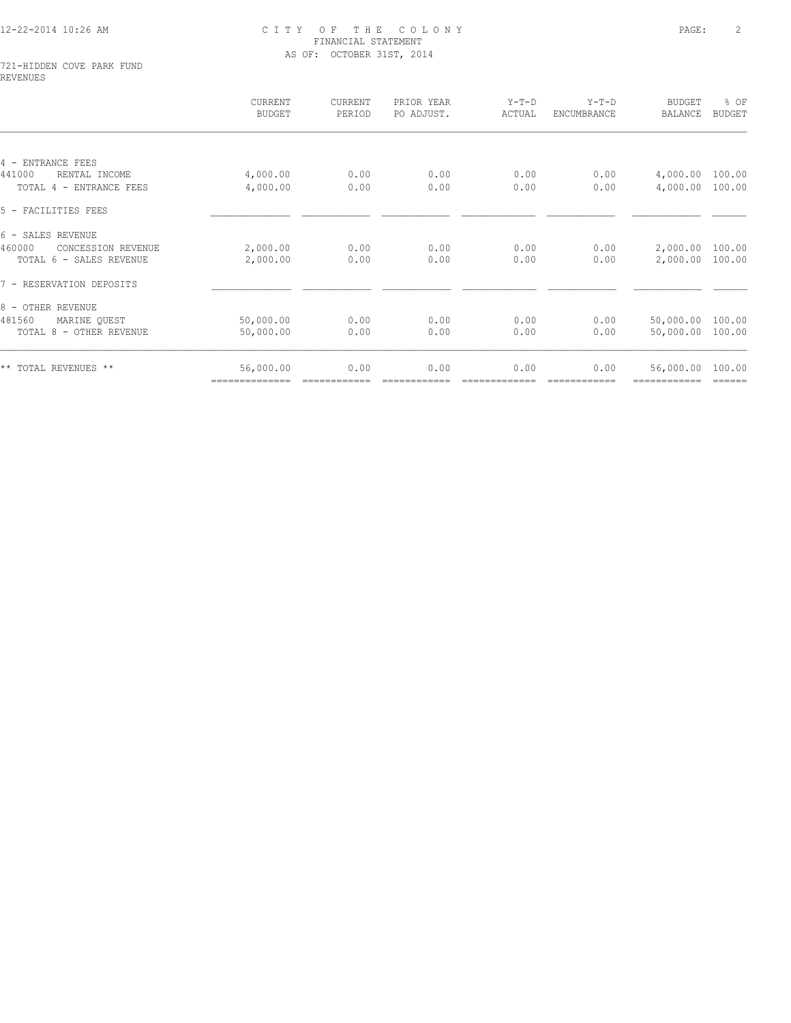#### 721-HIDDEN COVE PARK FUND REVENUES

|                              | CURRENT<br><b>BUDGET</b> | CURRENT<br>PERIOD | PRIOR YEAR<br>PO ADJUST. | $Y-T-D$<br>ACTUAL | $Y-T-D$<br>ENCUMBRANCE | <b>BUDGET</b><br><b>BALANCE</b> | % OF<br><b>BUDGET</b> |
|------------------------------|--------------------------|-------------------|--------------------------|-------------------|------------------------|---------------------------------|-----------------------|
|                              |                          |                   |                          |                   |                        |                                 |                       |
| 4 - ENTRANCE FEES            |                          |                   |                          |                   |                        |                                 |                       |
| 441000<br>RENTAL INCOME      | 4,000.00                 | 0.00              | 0.00                     | 0.00              | 0.00                   | 4,000.00                        | 100.00                |
| TOTAL 4 - ENTRANCE FEES      | 4,000.00                 | 0.00              | 0.00                     | 0.00              | 0.00                   | 4,000.00                        | 100.00                |
| 5 - FACILITIES FEES          |                          |                   |                          |                   |                        |                                 |                       |
| 6 - SALES REVENUE            |                          |                   |                          |                   |                        |                                 |                       |
| 460000<br>CONCESSION REVENUE | 2,000.00                 | 0.00              | 0.00                     | 0.00              | 0.00                   | 2,000.00                        | 100.00                |
| TOTAL 6 - SALES REVENUE      | 2,000.00                 | 0.00              | 0.00                     | 0.00              | 0.00                   | 2,000.00                        | 100.00                |
| 7 - RESERVATION DEPOSITS     |                          |                   |                          |                   |                        |                                 |                       |
| 8 - OTHER REVENUE            |                          |                   |                          |                   |                        |                                 |                       |
| 481560<br>MARINE OUEST       | 50,000.00                | 0.00              | 0.00                     | 0.00              | 0.00                   | 50,000.00                       | 100.00                |
| TOTAL 8 - OTHER REVENUE      | 50,000.00                | 0.00              | 0.00                     | 0.00              | 0.00                   | 50,000.00                       | 100.00                |
| ** TOTAL REVENUES **         | 56,000.00                | 0.00              | 0.00                     | 0.00              | 0.00                   | 56,000.00                       | 100.00                |
|                              | ==============           |                   |                          |                   |                        |                                 | ======                |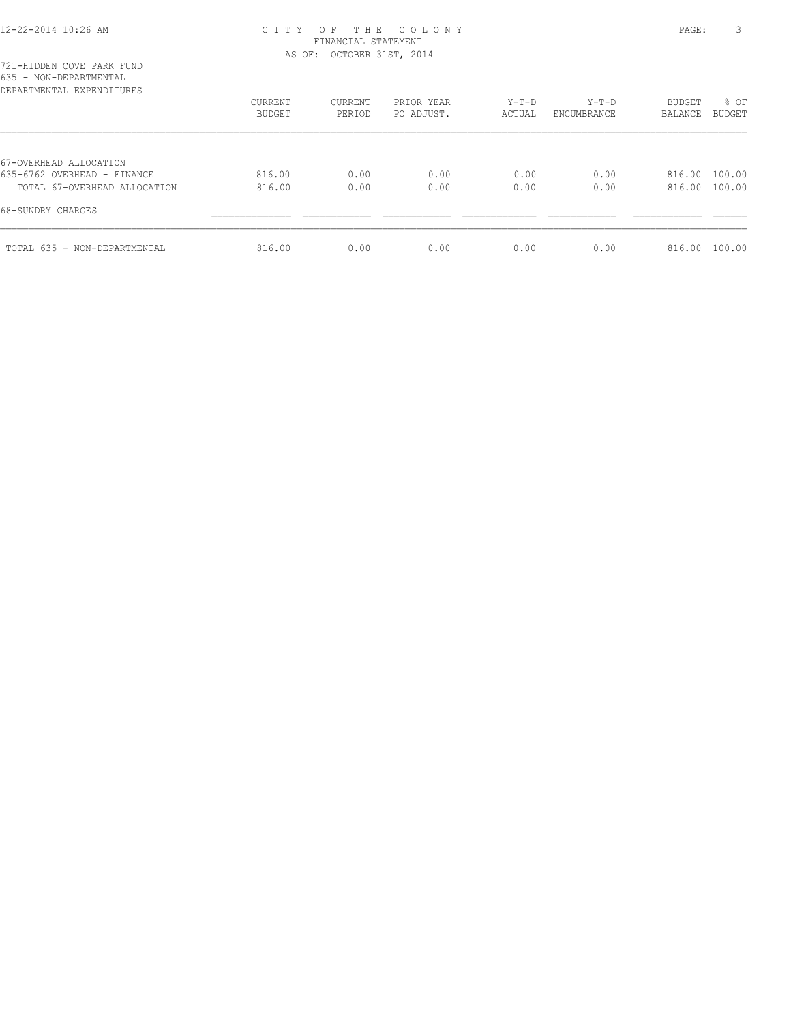| 721-HIDDEN COVE PARK FUND |      |
|---------------------------|------|
| 635 - NON-DEPARTMENTAL    |      |
| DEPARTMENTAL EXPENDITURES |      |
|                           | CURE |
|                           |      |

|                                                             | CURRENT<br>BUDGET | CURRENT<br>PERIOD | PRIOR YEAR<br>PO ADJUST. | Y-T-D<br>ACTUAL | Y-T-D<br>ENCUMBRANCE | <b>BUDGET</b><br>BALANCE       | % OF<br><b>BUDGET</b> |
|-------------------------------------------------------------|-------------------|-------------------|--------------------------|-----------------|----------------------|--------------------------------|-----------------------|
| 67-OVERHEAD ALLOCATION                                      |                   |                   |                          |                 |                      |                                |                       |
| 635-6762 OVERHEAD - FINANCE<br>TOTAL 67-OVERHEAD ALLOCATION | 816.00<br>816.00  | 0.00<br>0.00      | 0.00<br>0.00             | 0.00<br>0.00    | 0.00<br>0.00         | 816.00 100.00<br>816.00 100.00 |                       |
| 68-SUNDRY CHARGES                                           |                   |                   |                          |                 |                      |                                |                       |
| TOTAL 635 - NON-DEPARTMENTAL                                | 816.00            | 0.00              | 0.00                     | 0.00            | 0.00                 | 816.00 100.00                  |                       |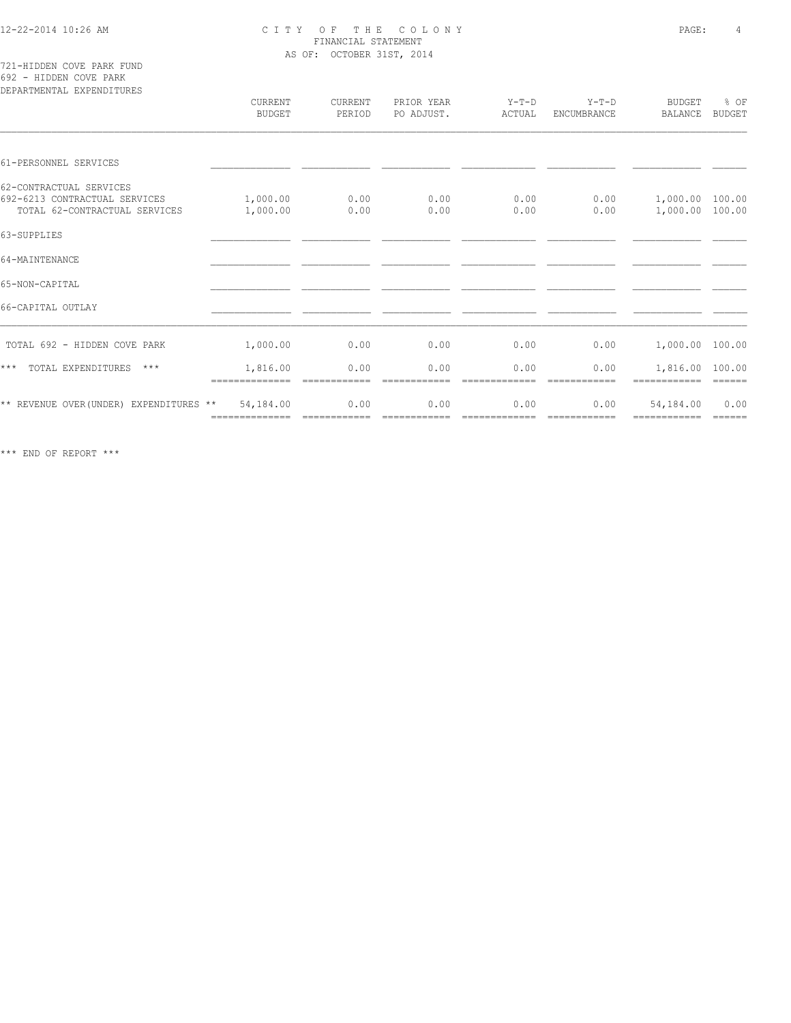721-HIDDEN COVE PARK FUND 692 - HIDDEN COVE PARK

| DEPARTMENTAL EXPENDITURES                                                                 | CURRENT<br><b>BUDGET</b>    | CURRENT<br>PERIOD    | PRIOR YEAR<br>PO ADJUST. | $Y-T-D$<br>ACTUAL    | $Y-T-D$<br>ENCUMBRANCE | <b>BUDGET</b><br>BALANCE           | % OF<br><b>BUDGET</b>                                                                                                                                                                                                                                                                                                                                                                                                                                                                  |
|-------------------------------------------------------------------------------------------|-----------------------------|----------------------|--------------------------|----------------------|------------------------|------------------------------------|----------------------------------------------------------------------------------------------------------------------------------------------------------------------------------------------------------------------------------------------------------------------------------------------------------------------------------------------------------------------------------------------------------------------------------------------------------------------------------------|
| 61-PERSONNEL SERVICES                                                                     |                             |                      |                          |                      |                        |                                    |                                                                                                                                                                                                                                                                                                                                                                                                                                                                                        |
| 62-CONTRACTUAL SERVICES<br>692-6213 CONTRACTUAL SERVICES<br>TOTAL 62-CONTRACTUAL SERVICES | 1,000.00<br>1,000.00        | 0.00<br>0.00         | 0.00<br>0.00             | 0.00<br>0.00         | 0.00<br>0.00           | 1,000.00 100.00<br>1,000.00 100.00 |                                                                                                                                                                                                                                                                                                                                                                                                                                                                                        |
| 63-SUPPLIES                                                                               |                             |                      |                          |                      |                        |                                    |                                                                                                                                                                                                                                                                                                                                                                                                                                                                                        |
| 64-MAINTENANCE                                                                            |                             |                      |                          |                      |                        |                                    |                                                                                                                                                                                                                                                                                                                                                                                                                                                                                        |
| 65-NON-CAPITAL                                                                            |                             |                      |                          |                      |                        |                                    |                                                                                                                                                                                                                                                                                                                                                                                                                                                                                        |
| 66-CAPITAL OUTLAY                                                                         |                             |                      |                          |                      |                        |                                    |                                                                                                                                                                                                                                                                                                                                                                                                                                                                                        |
| TOTAL 692 - HIDDEN COVE PARK                                                              | 1,000.00                    | 0.00                 | 0.00                     | 0.00                 | 0.00                   | 1,000.00 100.00                    |                                                                                                                                                                                                                                                                                                                                                                                                                                                                                        |
| $***$<br>TOTAL EXPENDITURES<br>$***$                                                      | 1,816.00<br>==============  | 0.00                 | 0.00                     | 0.00                 | 0.00<br>-------------  | 1,816.00 100.00                    | $\begin{array}{cccccccccc} \multicolumn{2}{c}{} & \multicolumn{2}{c}{} & \multicolumn{2}{c}{} & \multicolumn{2}{c}{} & \multicolumn{2}{c}{} & \multicolumn{2}{c}{} & \multicolumn{2}{c}{} & \multicolumn{2}{c}{} & \multicolumn{2}{c}{} & \multicolumn{2}{c}{} & \multicolumn{2}{c}{} & \multicolumn{2}{c}{} & \multicolumn{2}{c}{} & \multicolumn{2}{c}{} & \multicolumn{2}{c}{} & \multicolumn{2}{c}{} & \multicolumn{2}{c}{} & \multicolumn{2}{c}{} & \multicolumn{2}{c}{} & \mult$ |
| ** REVENUE OVER (UNDER) EXPENDITURES **                                                   | 54,184.00<br>============== | 0.00<br>============ | 0.00<br>essessesses      | 0.00<br>essessessess | 0.00<br>============   | 54,184.00<br>------------          | 0.00<br>$=$ $=$ $=$ $=$ $=$ $=$                                                                                                                                                                                                                                                                                                                                                                                                                                                        |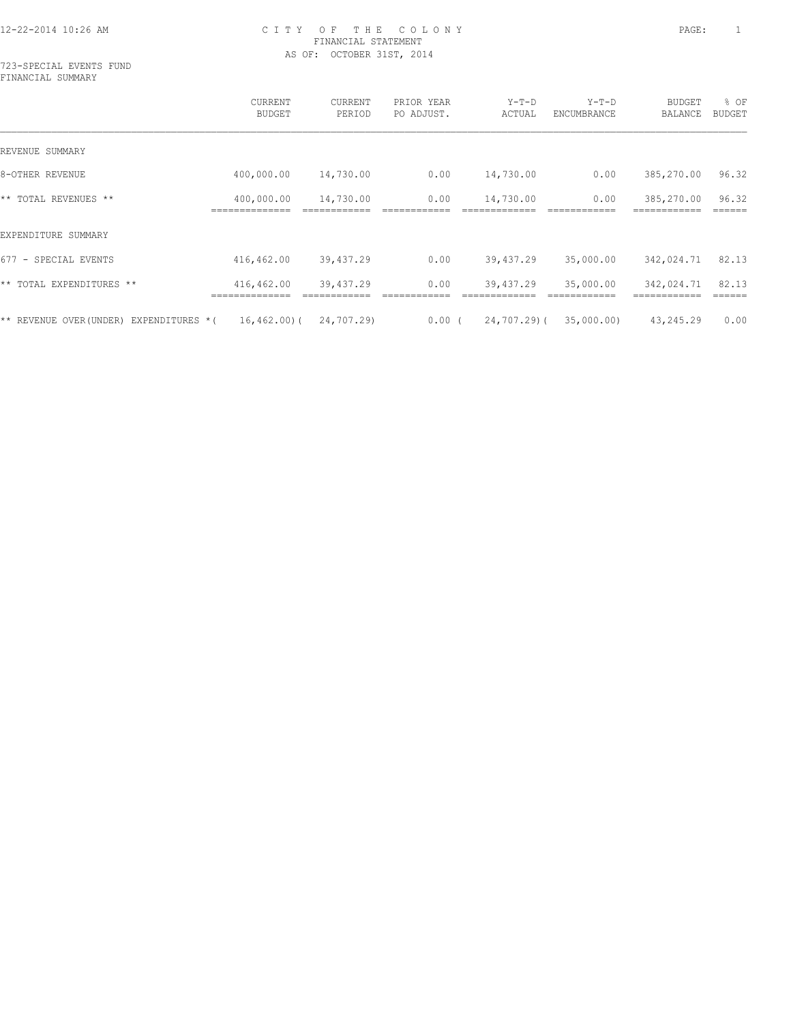723-SPECIAL EVENTS FUND FINANCIAL SUMMARY

|                                           | <b>CURRENT</b><br><b>BUDGET</b> | CURRENT<br>PERIOD | PRIOR YEAR<br>PO ADJUST. | $Y-T-D$<br>ACTUAL | $Y-T-D$<br>ENCUMBRANCE | <b>BUDGET</b><br>BALANCE | % OF<br><b>BUDGET</b> |
|-------------------------------------------|---------------------------------|-------------------|--------------------------|-------------------|------------------------|--------------------------|-----------------------|
| REVENUE SUMMARY                           |                                 |                   |                          |                   |                        |                          |                       |
| 8-OTHER REVENUE                           | 400,000.00                      | 14,730.00         | 0.00                     | 14,730.00         | 0.00                   | 385,270.00               | 96.32                 |
| ** TOTAL REVENUES **                      | 400,000.00                      | 14,730.00         | 0.00                     | 14,730.00         | 0.00                   | 385,270.00               | 96.32                 |
| EXPENDITURE SUMMARY                       |                                 |                   |                          |                   |                        |                          |                       |
| 677 - SPECIAL EVENTS                      | 416,462.00                      | 39,437.29         | 0.00                     | 39,437.29         | 35,000.00              | 342,024.71               | 82.13                 |
| ** TOTAL EXPENDITURES **                  | 416,462.00                      | 39,437.29         | 0.00                     | 39,437.29         | 35,000.00              | 342,024.71               | 82.13                 |
| ** REVENUE OVER(UNDER)<br>EXPENDITURES *( | 16,462.00)(                     | 24,707.29)        | $0.00$ (                 | 24,707.29)(       | 35,000.00)             | 43,245.29                | 0.00                  |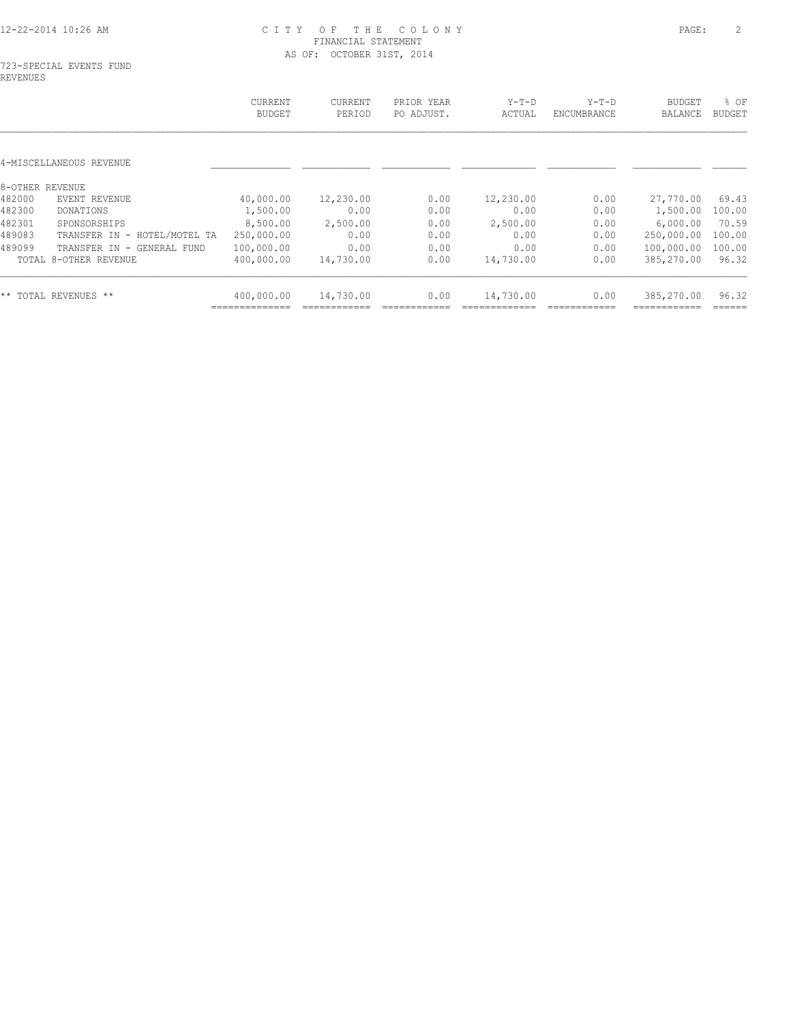### 723-SPECIAL EVENTS FUND REVENUES

|                              | CURRENT<br><b>BUDGET</b>                   | <b>CURRENT</b><br>PERIOD | PRIOR YEAR<br>PO ADJUST. | $Y-T-D$<br>ACTUAL | $Y-T-D$<br>ENCUMBRANCE | <b>BUDGET</b><br><b>BALANCE</b> | % OF<br><b>BUDGET</b> |
|------------------------------|--------------------------------------------|--------------------------|--------------------------|-------------------|------------------------|---------------------------------|-----------------------|
|                              |                                            |                          |                          |                   |                        |                                 |                       |
|                              |                                            |                          |                          |                   |                        |                                 |                       |
|                              |                                            |                          |                          |                   |                        |                                 |                       |
| EVENT REVENUE                | 40,000.00                                  | 12,230.00                | 0.00                     | 12,230.00         | 0.00                   | 27,770.00                       | 69.43                 |
| DONATIONS                    | 1,500.00                                   | 0.00                     | 0.00                     | 0.00              | 0.00                   | 1,500.00                        | 100.00                |
| SPONSORSHIPS                 | 8,500.00                                   | 2,500.00                 | 0.00                     | 2,500.00          | 0.00                   | 6,000.00                        | 70.59                 |
| TRANSFER IN - HOTEL/MOTEL TA | 250,000.00                                 | 0.00                     | 0.00                     | 0.00              | 0.00                   | 250,000.00                      | 100.00                |
| TRANSFER IN - GENERAL FUND   |                                            | 0.00                     | 0.00                     | 0.00              | 0.00                   |                                 | 100.00                |
| TOTAL 8-OTHER REVENUE        | 400,000.00                                 | 14,730.00                | 0.00                     | 14,730.00         | 0.00                   | 385,270.00                      | 96.32                 |
| ** TOTAL REVENUES **         | 400,000.00                                 | 14,730.00                | 0.00                     | 14,730.00         | 0.00                   | 385,270.00                      | 96.32                 |
|                              | 4-MISCELLANEOUS REVENUE<br>8-OTHER REVENUE | 100,000.00               |                          |                   |                        |                                 | 100,000.00            |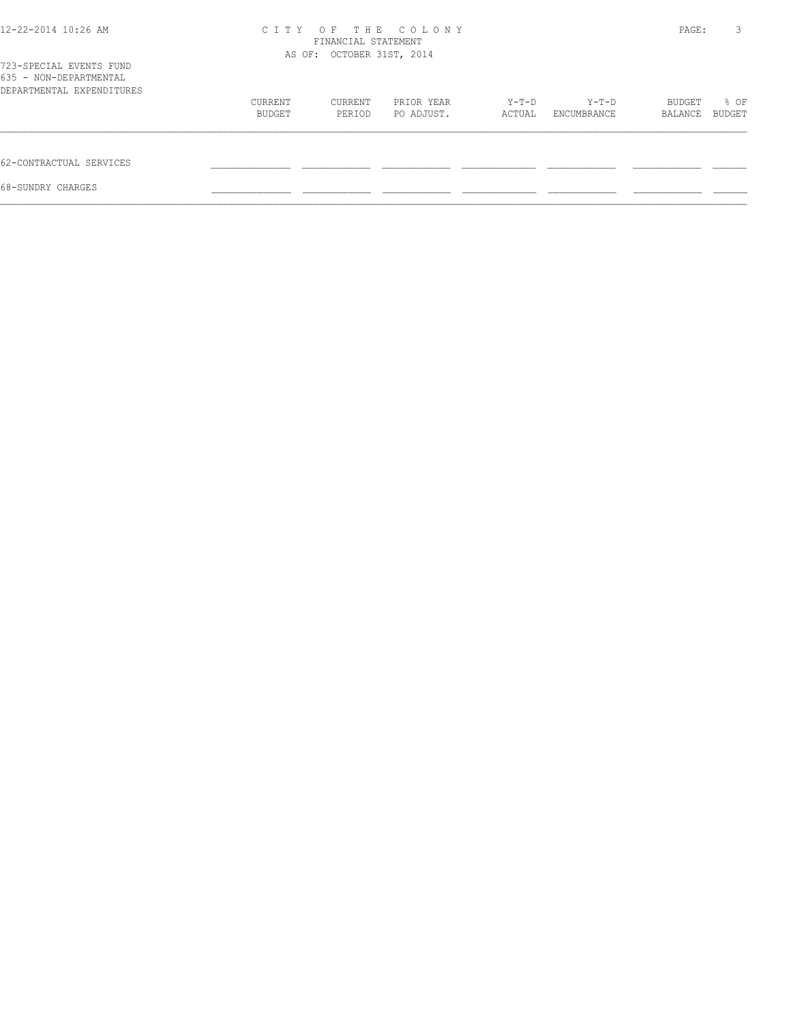| 12-22-2014 10:26 AM                                                            | C T T Y | THE<br>O F<br>FINANCIAL STATEMENT<br>AS OF: OCTOBER 31ST, 2014 | COLONY     |        |             | PAGE:   | 3      |
|--------------------------------------------------------------------------------|---------|----------------------------------------------------------------|------------|--------|-------------|---------|--------|
| 723-SPECIAL EVENTS FUND<br>635 - NON-DEPARTMENTAL<br>DEPARTMENTAL EXPENDITURES |         |                                                                |            |        |             |         |        |
|                                                                                | CURRENT | CURRENT                                                        | PRIOR YEAR | Y-T-D  | Y-T-D       | BUDGET  | % OF   |
|                                                                                | BUDGET  | PERIOD                                                         | PO ADJUST. | ACTUAL | ENCUMBRANCE | BALANCE | BUDGET |
| 62-CONTRACTUAL SERVICES                                                        |         |                                                                |            |        |             |         |        |
| 68-SUNDRY CHARGES                                                              |         |                                                                |            |        |             |         |        |
|                                                                                |         |                                                                |            |        |             |         |        |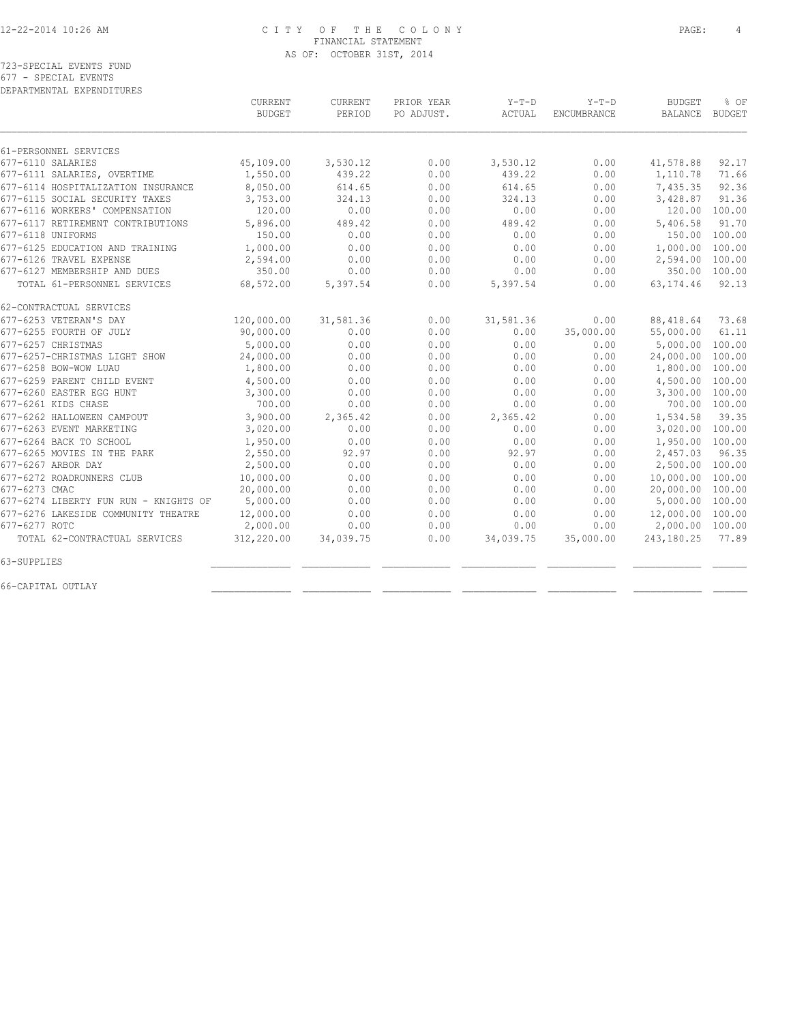|  | 723-SPECIAL EVENTS FUND |  |  |
|--|-------------------------|--|--|
|  | 677 - SPECIAL EVENTS    |  |  |

DEPARTMENTAL EXPENDITURES

|                                       | CURRENT<br><b>BUDGET</b> | CURRENT<br>PERIOD | PRIOR YEAR<br>PO ADJUST. | $Y-T-D$<br>ACTUAL | $Y-T-D$<br>ENCUMBRANCE | <b>BUDGET</b><br><b>BALANCE</b> | % OF<br><b>BUDGET</b> |
|---------------------------------------|--------------------------|-------------------|--------------------------|-------------------|------------------------|---------------------------------|-----------------------|
| 61-PERSONNEL SERVICES                 |                          |                   |                          |                   |                        |                                 |                       |
| 677-6110 SALARIES                     | 45,109.00                | 3,530.12          | 0.00                     | 3,530.12          | 0.00                   | 41,578.88                       | 92.17                 |
| 677-6111 SALARIES, OVERTIME           | 1,550.00                 | 439.22            | 0.00                     | 439.22            | 0.00                   | 1,110.78                        | 71.66                 |
| 677-6114 HOSPITALIZATION INSURANCE    | 8,050.00                 | 614.65            | 0.00                     | 614.65            | 0.00                   | 7,435.35                        | 92.36                 |
| 677-6115 SOCIAL SECURITY TAXES        | 3,753.00                 | 324.13            | 0.00                     | 324.13            | 0.00                   | 3,428.87                        | 91.36                 |
| 677-6116 WORKERS' COMPENSATION        | 120.00                   | 0.00              | 0.00                     | 0.00              | 0.00                   | 120.00                          | 100.00                |
| 677-6117 RETIREMENT CONTRIBUTIONS     | 5,896.00                 | 489.42            | 0.00                     | 489.42            | 0.00                   | 5,406.58                        | 91.70                 |
| 677-6118 UNIFORMS                     | 150.00                   | 0.00              | 0.00                     | 0.00              | 0.00                   | 150.00                          | 100.00                |
| 677-6125 EDUCATION AND TRAINING       | 1,000.00                 | 0.00              | 0.00                     | 0.00              | 0.00                   | 1,000.00                        | 100.00                |
| 677-6126 TRAVEL EXPENSE               | 2,594.00                 | 0.00              | 0.00                     | 0.00              | 0.00                   | 2,594.00                        | 100.00                |
| 677-6127 MEMBERSHIP AND DUES          | 350.00                   | 0.00              | 0.00                     | 0.00              | 0.00                   | 350.00                          | 100.00                |
| TOTAL 61-PERSONNEL SERVICES           | 68,572.00                | 5,397.54          | 0.00                     | 5,397.54          | 0.00                   | 63, 174.46                      | 92.13                 |
| 62-CONTRACTUAL SERVICES               |                          |                   |                          |                   |                        |                                 |                       |
| 677-6253 VETERAN'S DAY                | 120,000.00               | 31,581.36         | 0.00                     | 31,581.36         | 0.00                   | 88,418.64                       | 73.68                 |
| 677-6255 FOURTH OF JULY               | 90,000.00                | 0.00              | 0.00                     | 0.00              | 35,000.00              | 55,000.00                       | 61.11                 |
| 677-6257 CHRISTMAS                    | 5,000.00                 | 0.00              | 0.00                     | 0.00              | 0.00                   | 5,000.00                        | 100.00                |
| 677-6257-CHRISTMAS LIGHT SHOW         | 24,000.00                | 0.00              | 0.00                     | 0.00              | 0.00                   | 24,000.00                       | 100.00                |
| 677-6258 BOW-WOW LUAU                 | 1,800.00                 | 0.00              | 0.00                     | 0.00              | 0.00                   | 1,800.00                        | 100.00                |
| 677-6259 PARENT CHILD EVENT           | 4,500.00                 | 0.00              | 0.00                     | 0.00              | 0.00                   | 4,500.00                        | 100.00                |
| 677-6260 EASTER EGG HUNT              | 3,300.00                 | 0.00              | 0.00                     | 0.00              | 0.00                   | 3,300.00                        | 100.00                |
| 677-6261 KIDS CHASE                   | 700.00                   | 0.00              | 0.00                     | 0.00              | 0.00                   | 700.00 100.00                   |                       |
| 677-6262 HALLOWEEN CAMPOUT            | 3,900.00                 | 2,365.42          | 0.00                     | 2,365.42          | 0.00                   | 1,534.58                        | 39.35                 |
| 677-6263 EVENT MARKETING              | 3,020.00                 | 0.00              | 0.00                     | 0.00              | 0.00                   | 3,020.00                        | 100.00                |
| 677-6264 BACK TO SCHOOL               | 1,950.00                 | 0.00              | 0.00                     | 0.00              | 0.00                   | 1,950.00                        | 100.00                |
| 677-6265 MOVIES IN THE PARK           | 2,550.00                 | 92.97             | 0.00                     | 92.97             | 0.00                   | 2,457.03                        | 96.35                 |
| 677-6267 ARBOR DAY                    | 2,500.00                 | 0.00              | 0.00                     | 0.00              | 0.00                   | 2,500.00                        | 100.00                |
| 677-6272 ROADRUNNERS CLUB             | 10,000.00                | 0.00              | 0.00                     | 0.00              | 0.00                   | 10,000.00                       | 100.00                |
| 677-6273 CMAC                         | 20,000.00                | 0.00              | 0.00                     | 0.00              | 0.00                   | 20,000.00                       | 100.00                |
| 677-6274 LIBERTY FUN RUN - KNIGHTS OF | 5,000.00                 | 0.00              | 0.00                     | 0.00              | 0.00                   | 5,000.00                        | 100.00                |
| 677-6276 LAKESIDE COMMUNITY THEATRE   | 12,000.00                | 0.00              | 0.00                     | 0.00              | 0.00                   | 12,000.00                       | 100.00                |
| 677-6277 ROTC                         | 2,000.00                 | 0.00              | 0.00                     | 0.00              | 0.00                   | 2,000.00 100.00                 |                       |
| TOTAL 62-CONTRACTUAL SERVICES         | 312,220.00               | 34,039.75         | 0.00                     | 34,039.75         | 35,000.00              | 243,180.25                      | 77.89                 |
| 63-SUPPLIES                           |                          |                   |                          |                   |                        |                                 |                       |
| 66-CAPITAL OUTLAY                     |                          |                   |                          |                   |                        |                                 |                       |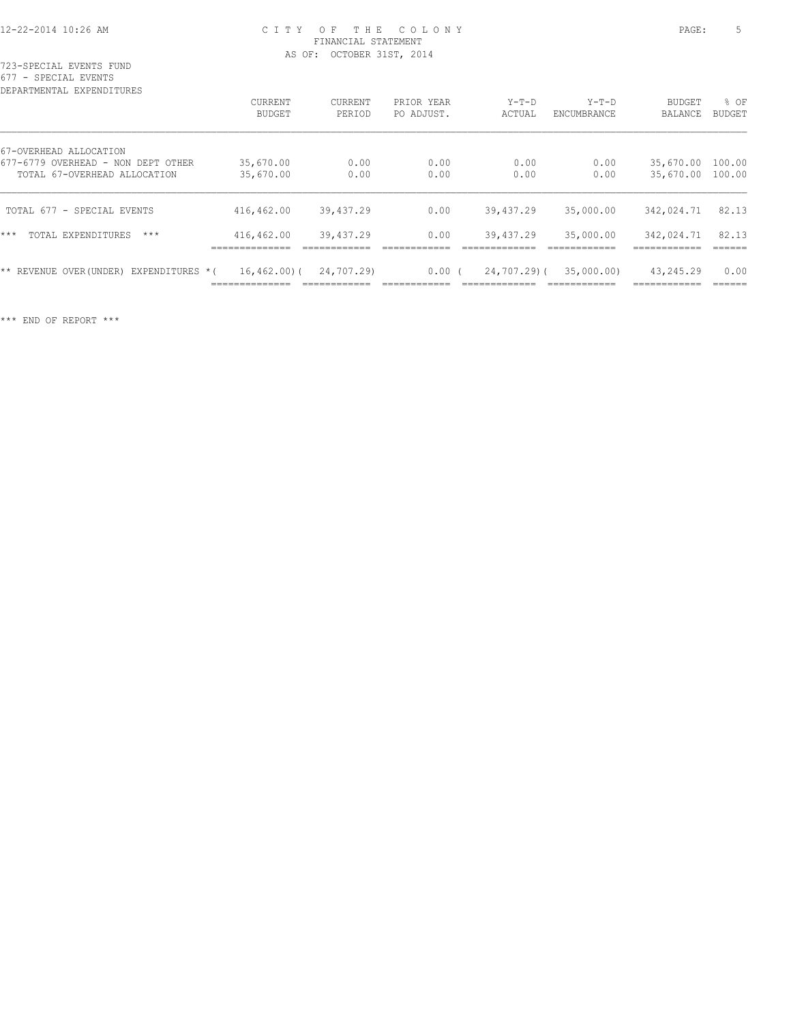723-SPECIAL EVENTS FUND 677 - SPECIAL EVENTS

| DEPARTMENTAL EXPENDITURES                 |                                    |                |            |               |             |            |               |
|-------------------------------------------|------------------------------------|----------------|------------|---------------|-------------|------------|---------------|
|                                           | <b>CURRENT</b>                     | <b>CURRENT</b> | PRIOR YEAR | $Y-T-D$       | $Y-T-D$     | BUDGET     | % OF          |
|                                           | BUDGET                             | PERIOD         | PO ADJUST. | ACTUAL        | ENCUMBRANCE | BALANCE    | <b>BUDGET</b> |
| 67-OVERHEAD ALLOCATION                    |                                    |                |            |               |             |            |               |
| 677-6779 OVERHEAD - NON DEPT OTHER        | 35,670.00                          | 0.00           | 0.00       | 0.00          | 0.00        | 35,670.00  | 100.00        |
| TOTAL 67-OVERHEAD ALLOCATION              | 35,670.00                          | 0.00           | 0.00       | 0.00          | 0.00        | 35,670.00  | 100.00        |
| TOTAL 677 - SPECIAL EVENTS                | 416,462.00                         | 39,437.29      | 0.00       | 39,437.29     | 35,000.00   | 342,024.71 | 82.13         |
| ***<br>TOTAL EXPENDITURES<br>$***$        | 416,462.00                         | 39,437.29      | 0.00       | 39,437.29     | 35,000.00   | 342,024.71 | 82.13         |
| EXPENDITURES *(<br>** REVENUE OVER(UNDER) | $16, 462, 00$ ) (<br>------------- | 24,707.29)     | 0.00(      | $24,707,29$ ( | 35,000,00)  | 43,245.29  | 0.00          |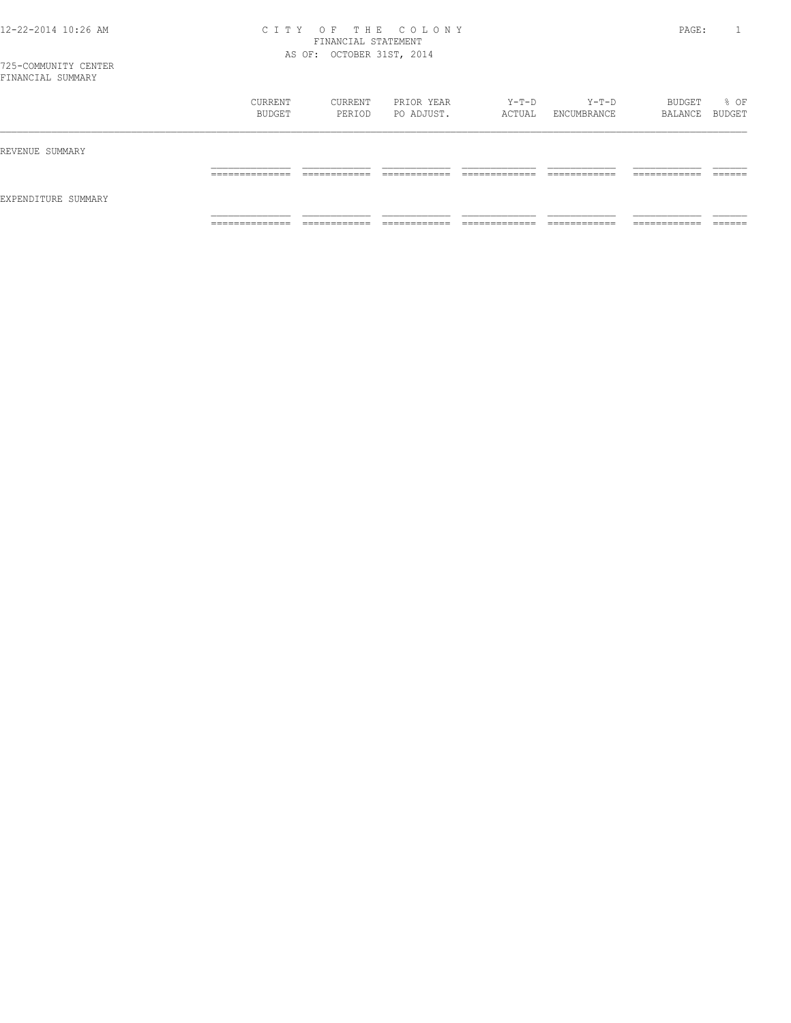| FINANCIAL SUMMARY   |                   |                   |                          |                 |                      |                   |                |
|---------------------|-------------------|-------------------|--------------------------|-----------------|----------------------|-------------------|----------------|
|                     | CURRENT<br>BUDGET | CURRENT<br>PERIOD | PRIOR YEAR<br>PO ADJUST. | Y-T-D<br>ACTUAL | Y-T-D<br>ENCUMBRANCE | BUDGET<br>BALANCE | % OF<br>BUDGET |
| REVENUE SUMMARY     |                   |                   |                          |                 |                      |                   |                |
|                     |                   |                   |                          |                 |                      |                   |                |
| EXPENDITURE SUMMARY |                   |                   |                          |                 |                      |                   |                |
|                     |                   |                   |                          |                 |                      |                   |                |

============== ============ ============ ============= ============ ============ ======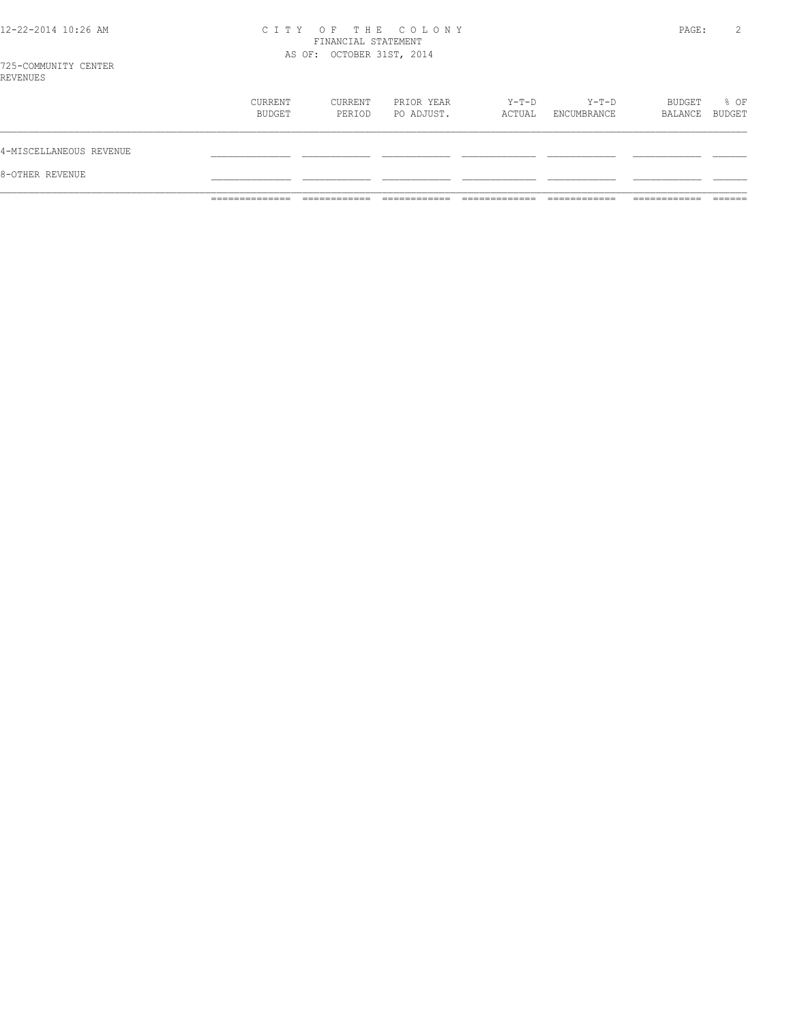# 12-22-2014 10:26 AM CITY OF THE COLONY<br>
FINANCIAL STATEMENT<br>
AS OF: OCTOBER 31ST, 2014

PAGE: 2

| 8-OTHER REVENUE         |                   |                   |                          |                 |                      |                          |      |
|-------------------------|-------------------|-------------------|--------------------------|-----------------|----------------------|--------------------------|------|
| 4-MISCELLANEOUS REVENUE |                   |                   |                          |                 |                      |                          |      |
|                         | CURRENT<br>BUDGET | CURRENT<br>PERIOD | PRIOR YEAR<br>PO ADJUST. | Y-T-D<br>ACTUAL | Y-T-D<br>ENCUMBRANCE | BUDGET<br>BALANCE BUDGET | % OF |
| KEVENUES                |                   |                   |                          |                 |                      |                          |      |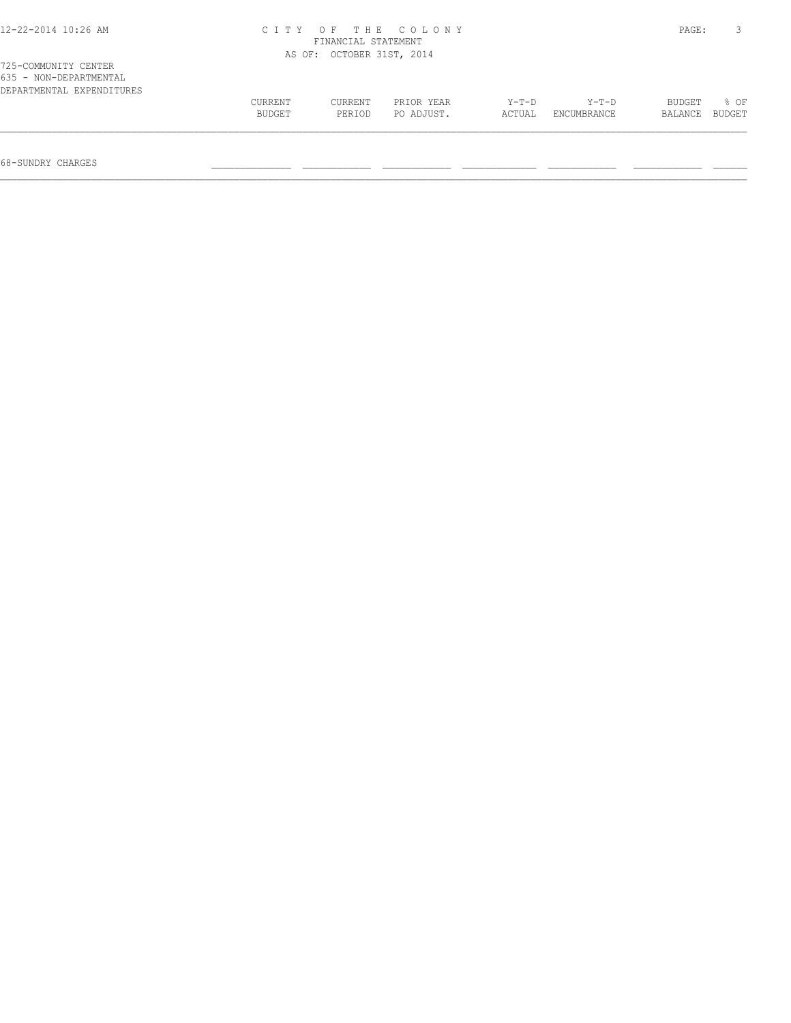| 12-22-2014 10:26 AM<br>CITY OF THE COLONY<br>FINANCIAL STATEMENT            |         |                           |            |         |             |         |        |  |
|-----------------------------------------------------------------------------|---------|---------------------------|------------|---------|-------------|---------|--------|--|
|                                                                             |         | AS OF: OCTOBER 31ST, 2014 |            |         |             |         |        |  |
| 725-COMMUNITY CENTER<br>635 - NON-DEPARTMENTAL<br>DEPARTMENTAL EXPENDITURES |         |                           |            |         |             |         |        |  |
|                                                                             | CURRENT | CURRENT                   | PRIOR YEAR | $Y-T-D$ | $Y-T-D$     | BUDGET  | 8 OF   |  |
|                                                                             | BUDGET  | PERIOD                    | PO ADJUST. | ACTUAL  | ENCUMBRANCE | BALANCE | BUDGET |  |
|                                                                             |         |                           |            |         |             |         |        |  |

68-SUNDRY CHARGES \_\_\_\_\_\_\_\_\_\_\_\_\_\_ \_\_\_\_\_\_\_\_\_\_\_\_ \_\_\_\_\_\_\_\_\_\_\_\_ \_\_\_\_\_\_\_\_\_\_\_\_\_ \_\_\_\_\_\_\_\_\_\_\_\_ \_\_\_\_\_\_\_\_\_\_\_\_ \_\_\_\_\_\_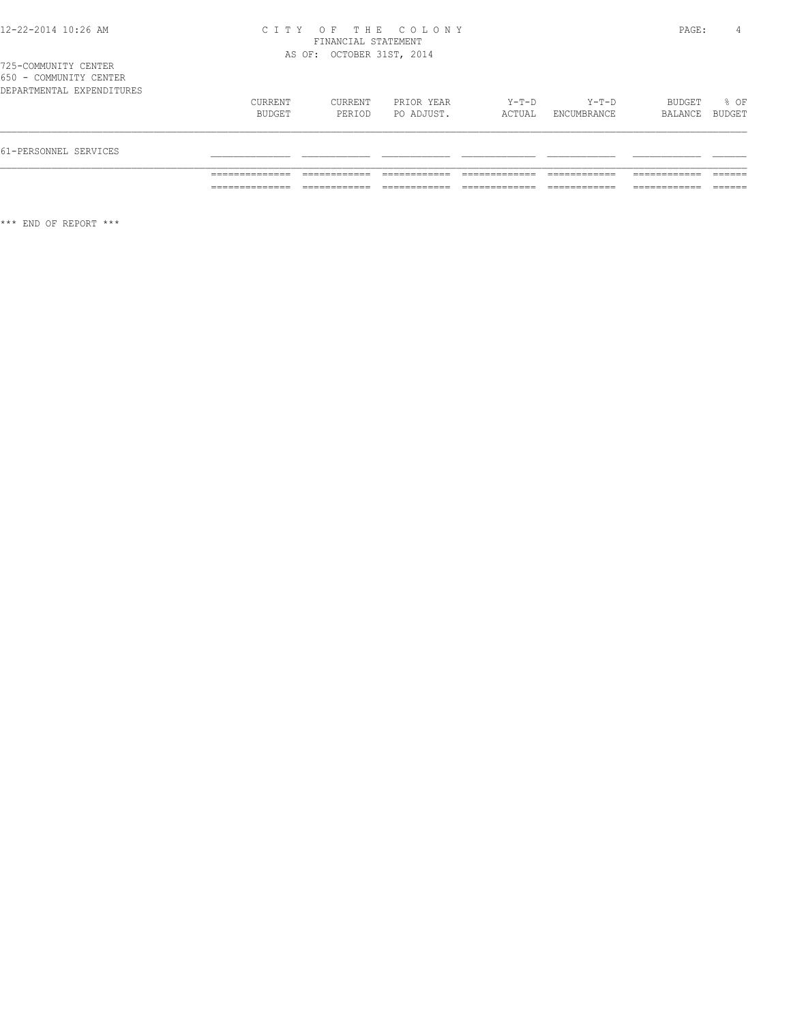725-COMMUNITY CENTER 650 - COMMUNITY CENTER

| 61-PERSONNEL SERVICES     |                   |                   |                          |                 |                        |                          |      |
|---------------------------|-------------------|-------------------|--------------------------|-----------------|------------------------|--------------------------|------|
| DEPARTMENTAL EXPENDITURES | CURRENT<br>BUDGET | CURRENT<br>PERIOD | PRIOR YEAR<br>PO ADJUST. | Y-T-D<br>ACTUAL | $Y-T-D$<br>ENCUMBRANCE | BUDGET<br>BALANCE BUDGET | % OF |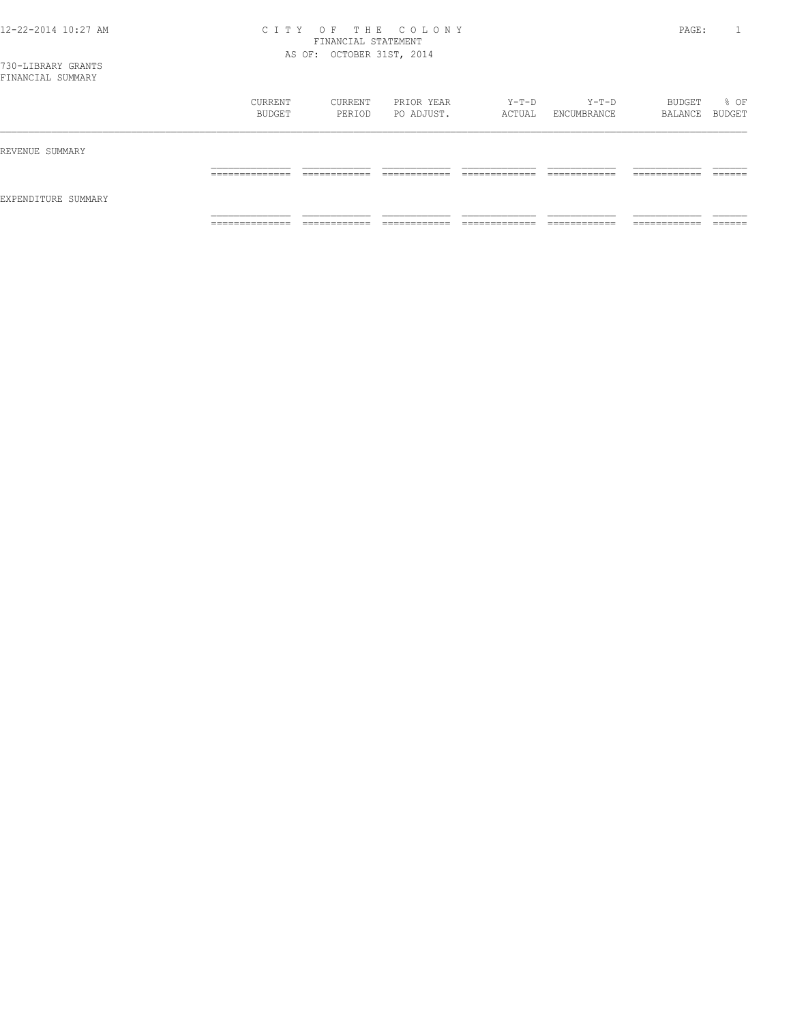| FINANCIAL SUMMARY   |                   |                   |                          |                 |                      |                          |      |
|---------------------|-------------------|-------------------|--------------------------|-----------------|----------------------|--------------------------|------|
|                     | CURRENT<br>BUDGET | CURRENT<br>PERIOD | PRIOR YEAR<br>PO ADJUST. | Y-T-D<br>ACTUAL | Y-T-D<br>ENCUMBRANCE | BUDGET<br>BALANCE BUDGET | % OF |
| REVENUE SUMMARY     |                   |                   |                          |                 |                      |                          |      |
|                     |                   |                   |                          |                 |                      | ________                 |      |
| EXPENDITURE SUMMARY |                   |                   |                          |                 |                      |                          |      |
|                     | ______________    | ---------         |                          |                 |                      |                          |      |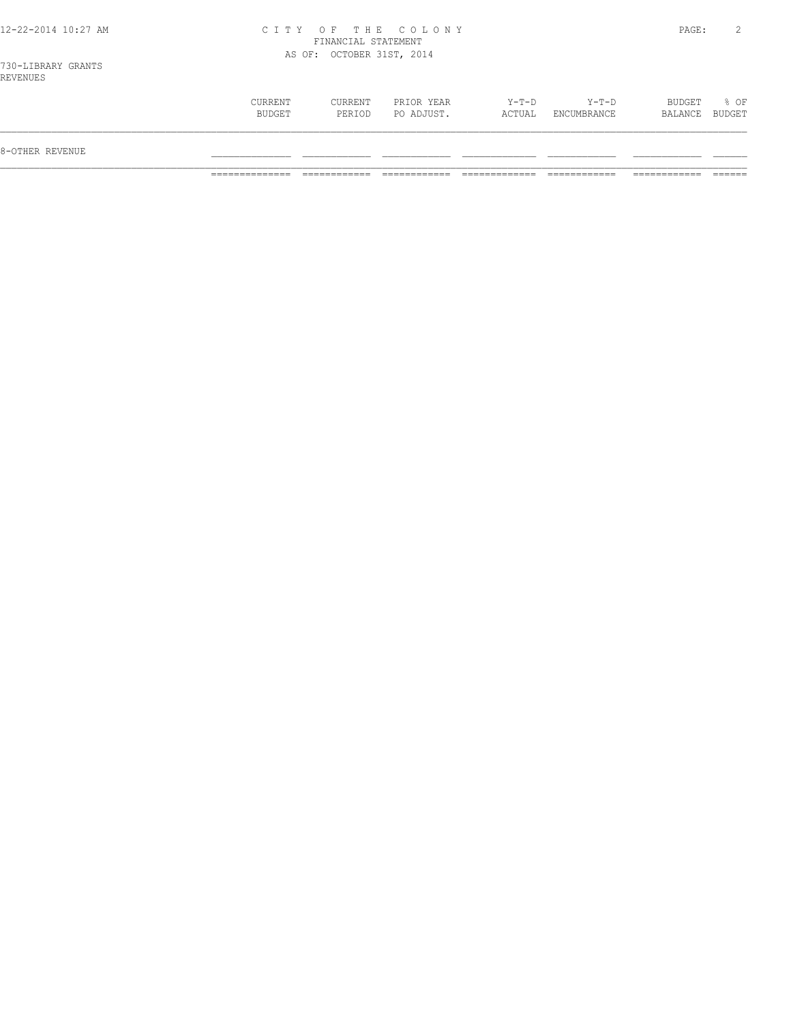| 8-OTHER REVENUE |                   |                   |                          |                   |                            |                          |      |
|-----------------|-------------------|-------------------|--------------------------|-------------------|----------------------------|--------------------------|------|
|                 | CURRENT<br>BUDGET | CURRENT<br>PERIOD | PRIOR YEAR<br>PO ADJUST. | $Y-T-D$<br>ACTUAL | $Y - T - D$<br>ENCUMBRANCE | BUDGET<br>BALANCE BUDGET | % OF |
| --------        |                   |                   |                          |                   |                            |                          |      |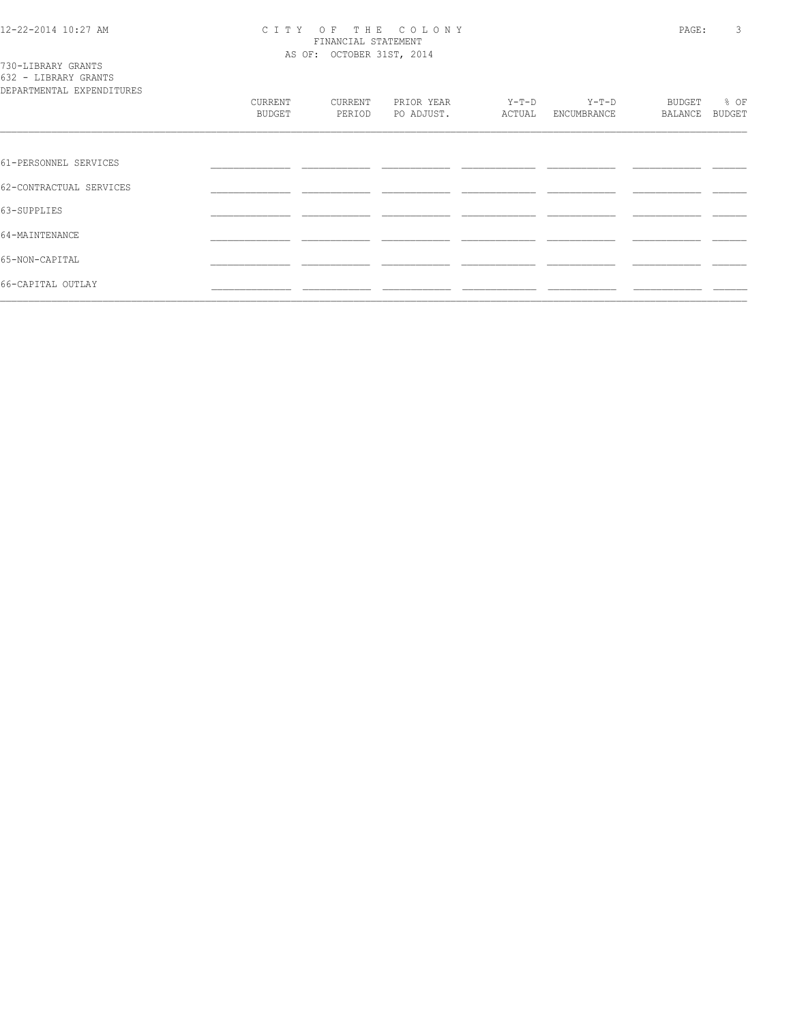# CITY OF THE COLONY<br>
CITY OF THE COLONY<br>
FINANCIAL STATEMENT<br>
AS OF: OCTOBER 31ST, 2014

|  |  | 730-LIBRARY GRANTS   |  |  |  |  |
|--|--|----------------------|--|--|--|--|
|  |  | 632 - LIBRARY GRANTS |  |  |  |  |
|  |  |                      |  |  |  |  |

| DEPARTMENTAL EXPENDITURES |               |         |            |         |             |         |               |
|---------------------------|---------------|---------|------------|---------|-------------|---------|---------------|
|                           | CURRENT       | CURRENT | PRIOR YEAR | $Y-T-D$ | $Y-T-D$     | BUDGET  | % OF          |
|                           | <b>BUDGET</b> | PERIOD  | PO ADJUST. | ACTUAL  | ENCUMBRANCE | BALANCE | <b>BUDGET</b> |
|                           |               |         |            |         |             |         |               |
| 61-PERSONNEL SERVICES     |               |         |            |         |             |         |               |
| 62-CONTRACTUAL SERVICES   |               |         |            |         |             |         |               |
| 63-SUPPLIES               |               |         |            |         |             |         |               |
| 64-MAINTENANCE            |               |         |            |         |             |         |               |
| 65-NON-CAPITAL            |               |         |            |         |             |         |               |
| 66-CAPITAL OUTLAY         |               |         |            |         |             |         |               |
|                           |               |         |            |         |             |         |               |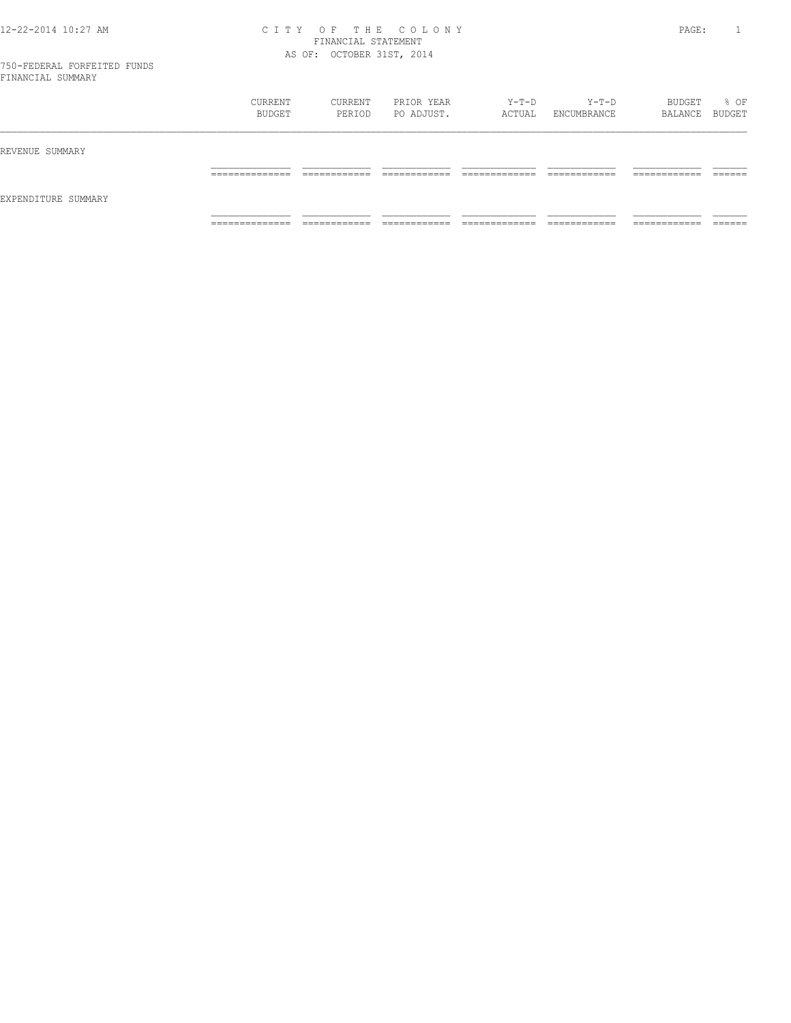|                     | CURRENT<br>BUDGET   | CURRENT<br>PERIOD            | PRIOR YEAR<br>PO ADJUST. | Y-T-D<br>ACTUAL    | Y-T-D<br>ENCUMBRANCE | BUDGET<br>BALANCE BUDGET     | % OF    |
|---------------------|---------------------|------------------------------|--------------------------|--------------------|----------------------|------------------------------|---------|
| REVENUE SUMMARY     | ______________      | _____________                | ____________             | _____________      | ____________         | ____________                 | ------- |
| EXPENDITURE SUMMARY | _______________     | ____________                 | _____________            | ______________     | _____________        | ____________                 | _______ |
|                     | ______________<br>. | -------------<br>----------- | -------------<br>.       | _____________<br>. | ____________<br>.    | -------------<br>----------- | _______ |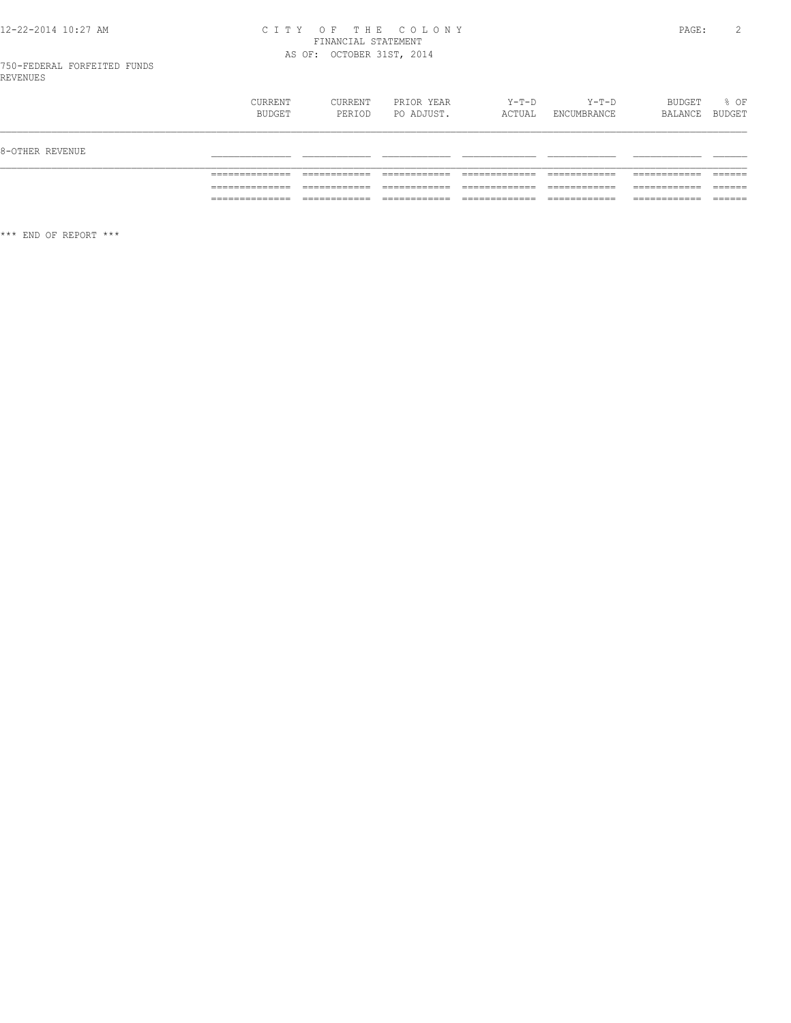# 12-22-2014 10:27 AM CITY OF THE COLONY<br>FINANCIAL STATEMENT<br>AS OF: OCTOBER 31ST, 2014

|                 | <b>CURRENT</b><br>BUDGET | CURRENT<br>PERIOD | PRIOR YEAR<br>PO ADJUST. | $Y-T-D$<br>ACTUAL | Y-T-D<br>ENCUMBRANCE | BUDGET<br>BALANCE | % OF<br>BUDGET |
|-----------------|--------------------------|-------------------|--------------------------|-------------------|----------------------|-------------------|----------------|
| 8-OTHER REVENUE |                          |                   |                          |                   |                      |                   |                |
|                 |                          |                   |                          |                   |                      |                   |                |
|                 |                          |                   |                          |                   |                      |                   |                |
|                 | .                        |                   |                          |                   | ____________         |                   | ______         |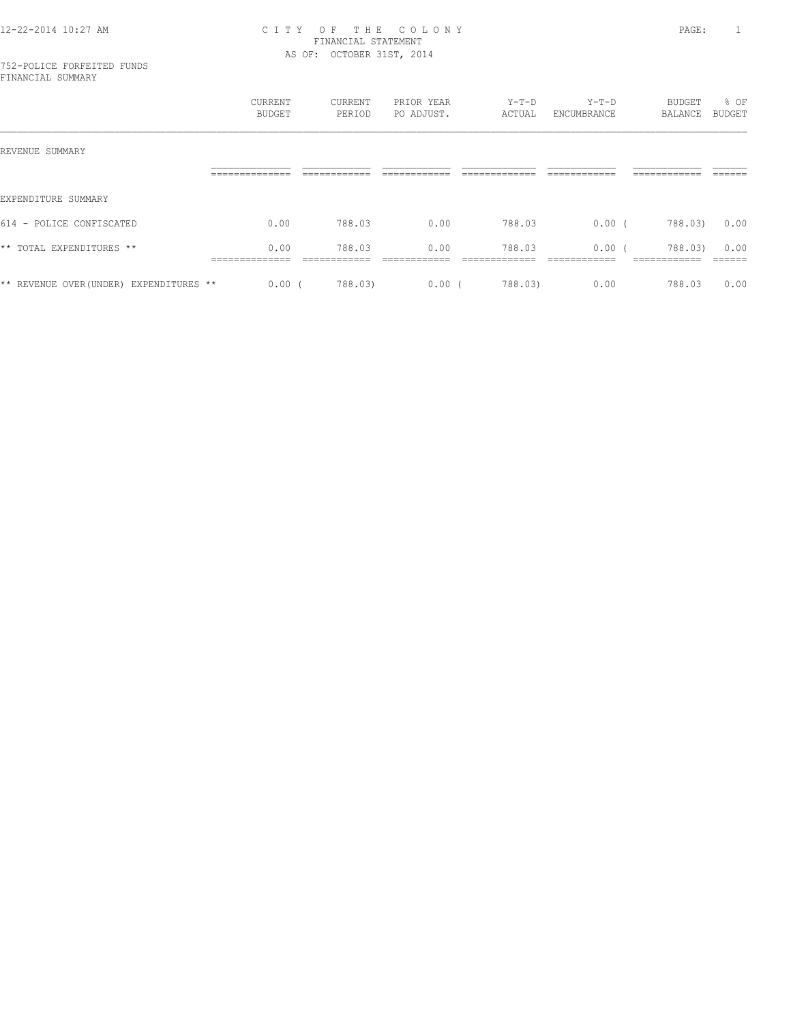#### 752-POLICE FORFEITED FUNDS FINANCIAL SUMMARY

|                                         | CURRENT<br>BUDGET | CURRENT<br>PERIOD | PRIOR YEAR<br>PO ADJUST. | $Y-T-D$<br>ACTUAL | $Y-T-D$<br>ENCUMBRANCE | BUDGET<br>BALANCE | % OF<br>BUDGET |
|-----------------------------------------|-------------------|-------------------|--------------------------|-------------------|------------------------|-------------------|----------------|
| REVENUE SUMMARY                         |                   |                   |                          |                   |                        |                   |                |
|                                         |                   |                   |                          |                   |                        |                   |                |
| EXPENDITURE SUMMARY                     |                   |                   |                          |                   |                        |                   |                |
| 614 - POLICE CONFISCATED                | 0.00              | 788.03            | 0.00                     | 788.03            | $0.00$ (               | 788.03)           | 0.00           |
| ** TOTAL EXPENDITURES **                | 0.00              | 788.03            | 0.00                     | 788.03            | 0.00(                  | 788.03)           | 0.00           |
|                                         |                   |                   |                          |                   |                        |                   |                |
| ** REVENUE OVER (UNDER) EXPENDITURES ** | 0.00(             | 788.03)           | 0.00(                    | 788.03)           | 0.00                   | 788.03            | 0.00           |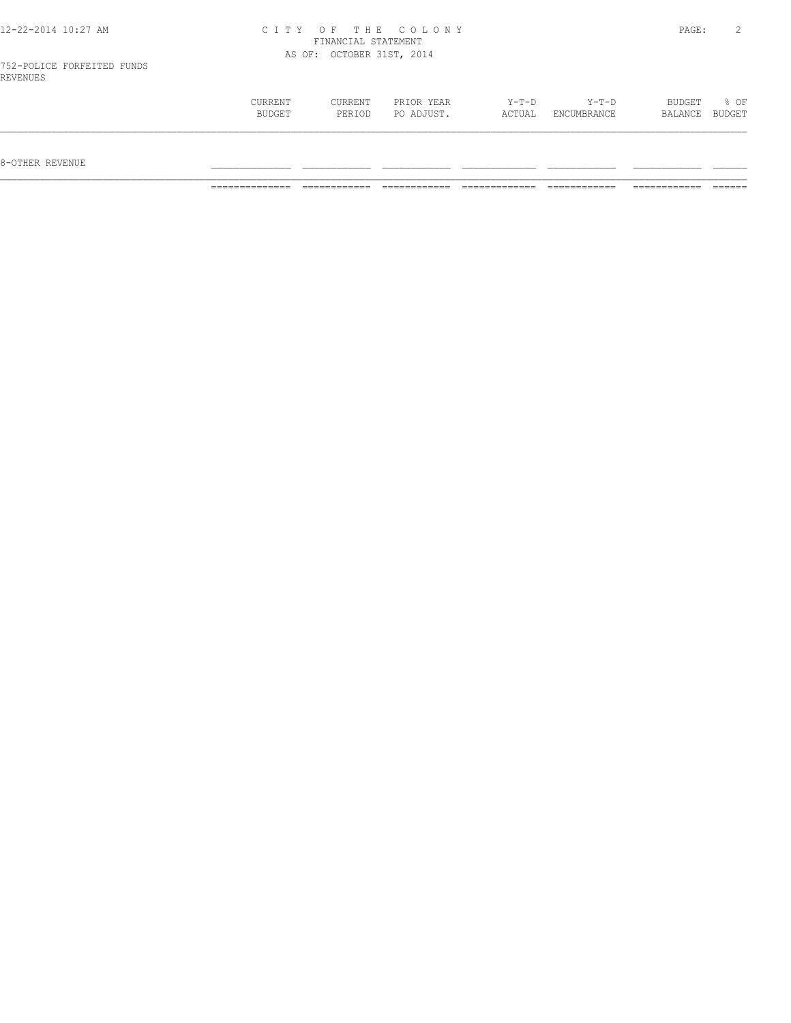| CURRENT | <b>CURRENT</b> | PRIOR YEAR | $Y-T-D$ | $Y-T-D$     | BUDGET  | % OF          |
|---------|----------------|------------|---------|-------------|---------|---------------|
| BUDGET  | PERIOD         | PO ADJUST. | ACTUAL  | ENCUMBRANCE | BALANCE | <b>BUDGET</b> |
|         |                |            |         |             |         |               |

 $8-{\rm OFF}$  revenue  $\_$ 

============== ============ ============ ============= ============ ============ ======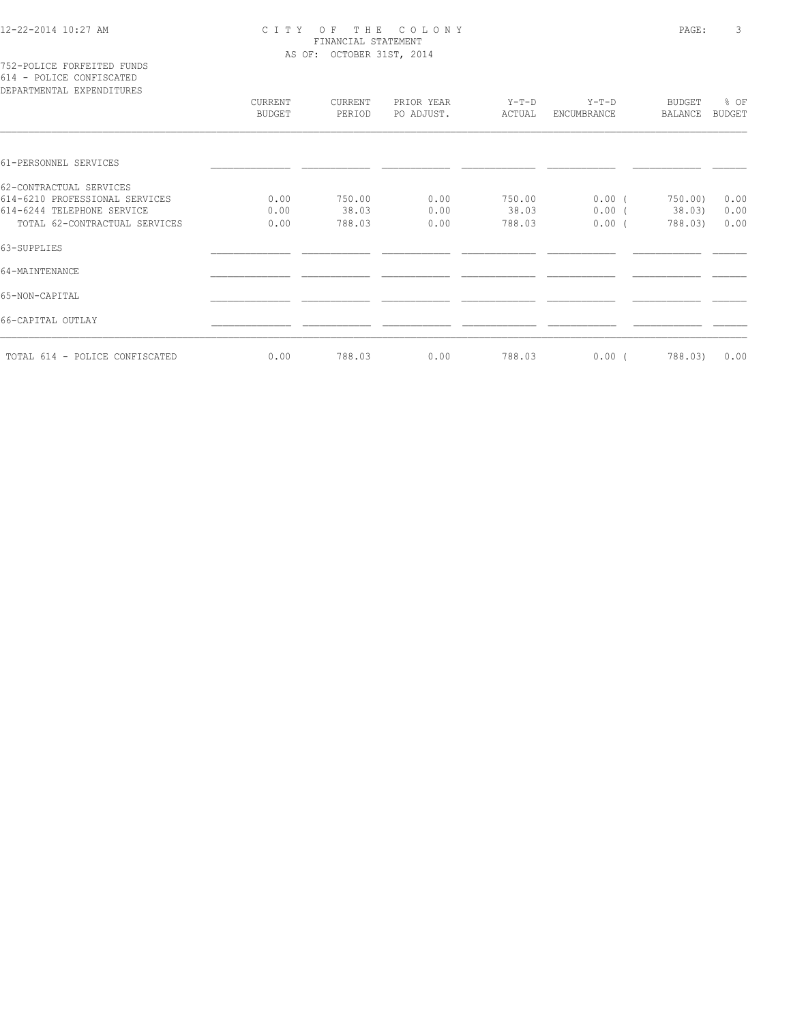|  |  | 752-POLICE FORFEITED FUNDS |  |
|--|--|----------------------------|--|
|  |  | 614 - POLICE CONFISCATED   |  |
|  |  | RPARTMENTAL EXPENDITHERS   |  |

| DEPARTMENTAL EXPENDITURES      |                          |                   |                          |                 |                        |                   |                       |
|--------------------------------|--------------------------|-------------------|--------------------------|-----------------|------------------------|-------------------|-----------------------|
|                                | CURRENT<br><b>BUDGET</b> | CURRENT<br>PERIOD | PRIOR YEAR<br>PO ADJUST. | Y-T-D<br>ACTUAL | $Y-T-D$<br>ENCUMBRANCE | BUDGET<br>BALANCE | % OF<br><b>BUDGET</b> |
|                                |                          |                   |                          |                 |                        |                   |                       |
| 61-PERSONNEL SERVICES          |                          |                   |                          |                 |                        |                   |                       |
| 62-CONTRACTUAL SERVICES        |                          |                   |                          |                 |                        |                   |                       |
| 614-6210 PROFESSIONAL SERVICES | 0.00                     | 750.00            | 0.00                     | 750.00          | $0.00$ (               | 750.00)           | 0.00                  |
| 614-6244 TELEPHONE SERVICE     | 0.00                     | 38.03             | 0.00                     | 38.03           | $0.00$ (               | 38.03)            | 0.00                  |
| TOTAL 62-CONTRACTUAL SERVICES  | 0.00                     | 788.03            | 0.00                     | 788.03          | $0.00$ (               | 788.03)           | 0.00                  |
| 63-SUPPLIES                    |                          |                   |                          |                 |                        |                   |                       |
| 64-MAINTENANCE                 |                          |                   |                          |                 |                        |                   |                       |
| 65-NON-CAPITAL                 |                          |                   |                          |                 |                        |                   |                       |
| 66-CAPITAL OUTLAY              |                          |                   |                          |                 |                        |                   |                       |
| TOTAL 614 - POLICE CONFISCATED | 0.00                     | 788.03            | 0.00                     | 788.03          | $0.00$ (               | 788.03)           | 0.00                  |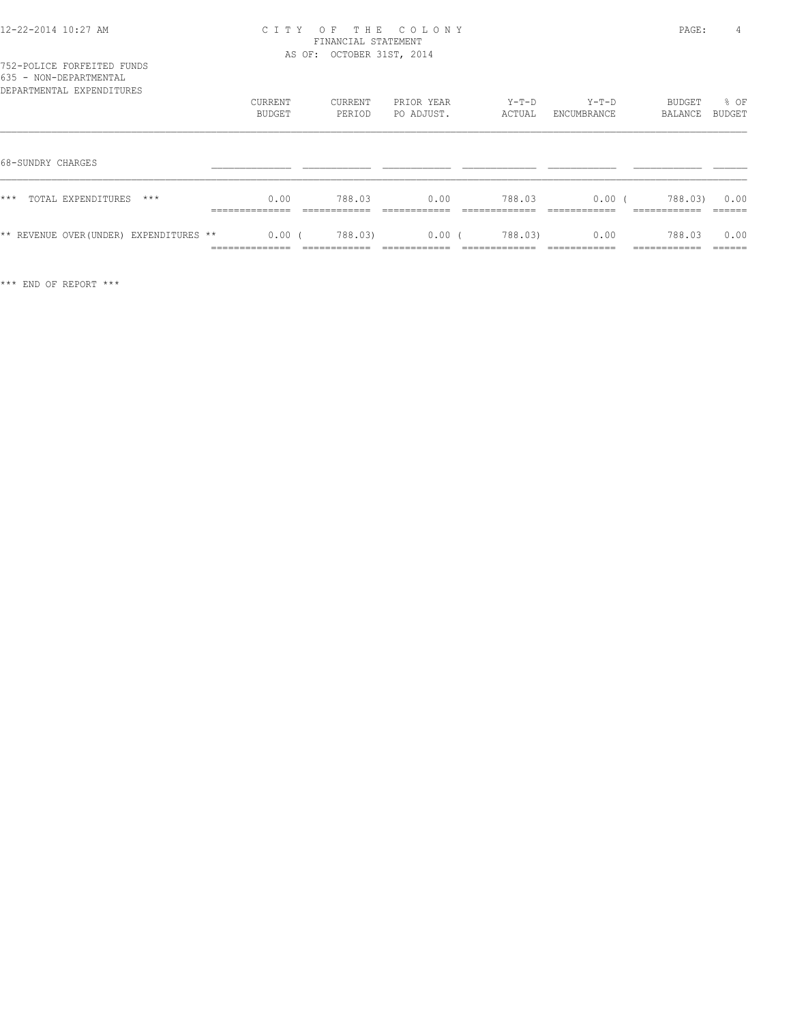| 000 - NON-DEFARIMENIAE<br>DEPARTMENTAL EXPENDITURES | <b>CURRENT</b><br>BUDGET                  | CURRENT<br>PERIOD                      | PRIOR YEAR<br>PO ADJUST.  | $Y-T-D$<br>ACTUAL       | $Y-T-D$<br>ENCUMBRANCE | BUDGET<br>BALANCE                       | % OF<br>BUDGET            |
|-----------------------------------------------------|-------------------------------------------|----------------------------------------|---------------------------|-------------------------|------------------------|-----------------------------------------|---------------------------|
| 68-SUNDRY CHARGES                                   |                                           |                                        |                           |                         |                        |                                         |                           |
| $***$<br>$***$<br>TOTAL EXPENDITURES                | 0.00<br>______________<br>--------------- | 788.03<br>____________<br>____________ | 0.00<br>-------------     | 788.03<br>____________  | 0.00<br>-------------  | 788.03)<br>____________<br>____________ | 0.00<br>-------<br>______ |
| ** REVENUE OVER (UNDER) EXPENDITURES **             | 0.00<br>______________<br>.               | 788.03)<br>____________                | $0.00$ (<br>------------- | 788.03)<br>____________ | 0.00<br>-------------  | 788.03<br>____________                  | 0.00<br>-------<br>-----  |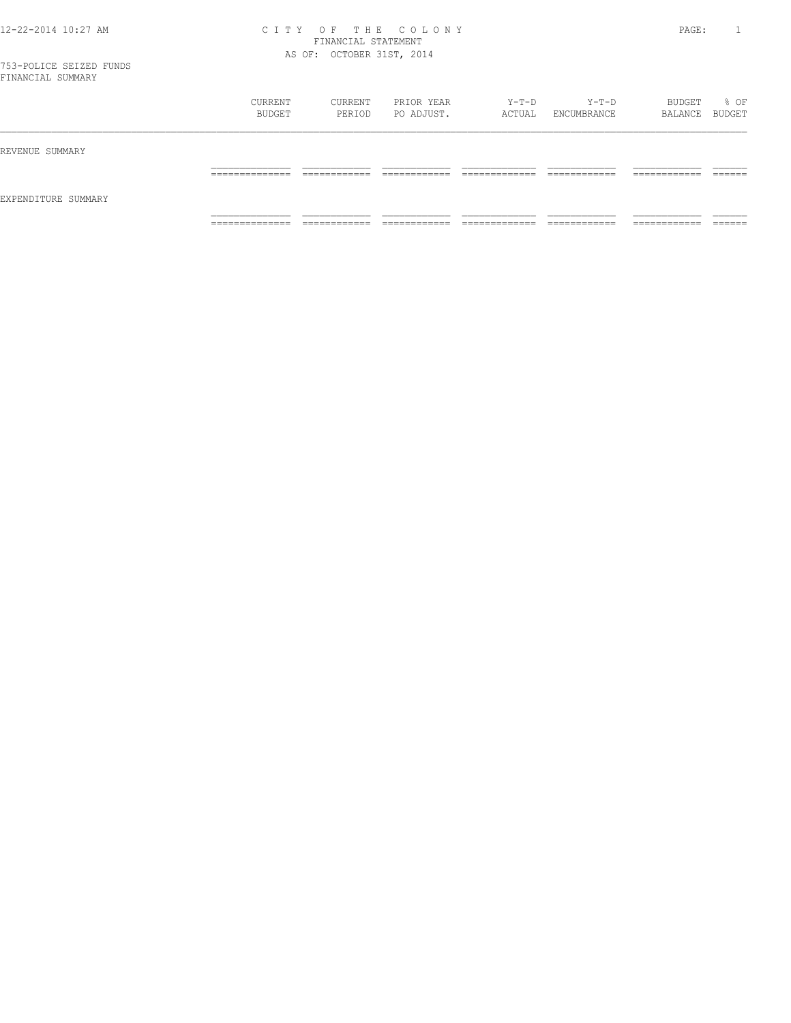|                     | CURRENT<br>BUDGET | CURRENT<br>PERIOD | PRIOR YEAR<br>PO ADJUST. | Y-T-D<br>ACTUAL | $Y-T-D$<br>ENCUMBRANCE | BUDGET<br>BALANCE BUDGET | % OF    |
|---------------------|-------------------|-------------------|--------------------------|-----------------|------------------------|--------------------------|---------|
| REVENUE SUMMARY     |                   |                   |                          |                 |                        |                          |         |
| EXPENDITURE SUMMARY | ______________    | -------------     | -------------            | _____________   | ------------           | -------------            | ------- |
|                     | .                 | ____________      | ____________             | _____________   | ____________           | ____________             | _______ |
|                     | ______________    | ___________       | ____________             | _____________   | ____________           | ___________              | ______  |
|                     | .                 | ____________      | _____________            | _____________   | _____________          | ____________             | _______ |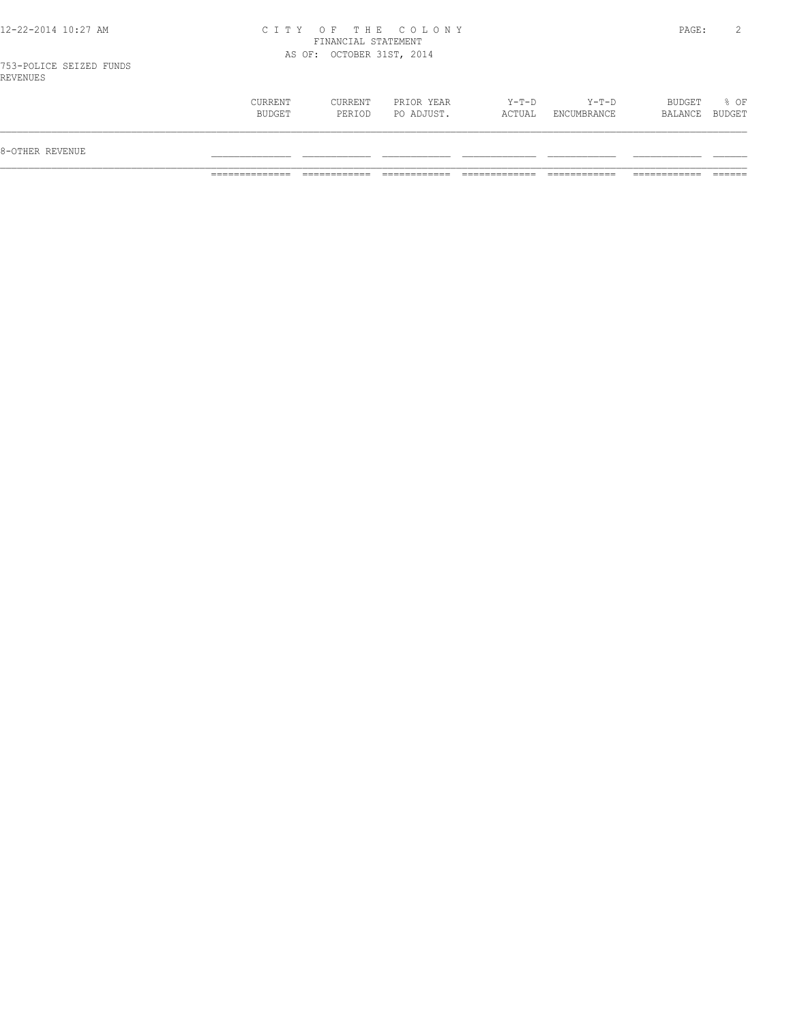753-POLICE SEIZED FUNDS REVENUES

| 8-OTHER REVENUE |                          |                          |                          |                 |                        |                   |                |
|-----------------|--------------------------|--------------------------|--------------------------|-----------------|------------------------|-------------------|----------------|
|                 | <b>CURRENT</b><br>BUDGET | <b>CURRENT</b><br>PERIOD | PRIOR YEAR<br>PO ADJUST. | Y-T-D<br>ACTUAL | $Y-T-D$<br>ENCUMBRANCE | BUDGET<br>BALANCE | % OF<br>BUDGET |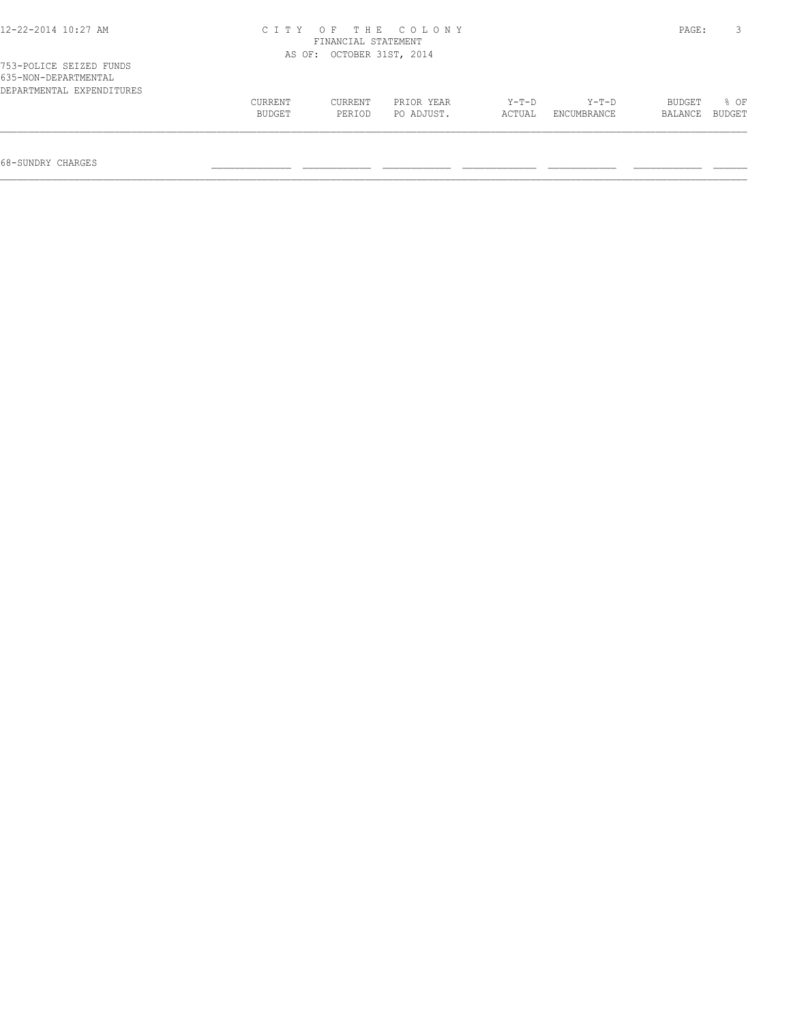| $12 - 22 - 2014$ $10:27$ AM                                                  | CITY OF THE COLONY | PAGE:                     |                          |                   |                        |                   |                |
|------------------------------------------------------------------------------|--------------------|---------------------------|--------------------------|-------------------|------------------------|-------------------|----------------|
|                                                                              |                    | AS OF: OCTOBER 31ST, 2014 |                          |                   |                        |                   |                |
| 753-POLICE SEIZED FUNDS<br>635-NON-DEPARTMENTAL<br>DEPARTMENTAL EXPENDITURES |                    |                           |                          |                   |                        |                   |                |
|                                                                              | CURRENT<br>BUDGET  | CURRENT<br>PERIOD         | PRIOR YEAR<br>PO ADJUST. | $Y-T-D$<br>ACTUAL | $Y-T-D$<br>ENCUMBRANCE | BUDGET<br>BALANCE | 8 OF<br>BUDGET |

68-SUNDRY CHARGES \_\_\_\_\_\_\_\_\_\_\_\_\_\_ \_\_\_\_\_\_\_\_\_\_\_\_ \_\_\_\_\_\_\_\_\_\_\_\_ \_\_\_\_\_\_\_\_\_\_\_\_\_ \_\_\_\_\_\_\_\_\_\_\_\_ \_\_\_\_\_\_\_\_\_\_\_\_ \_\_\_\_\_\_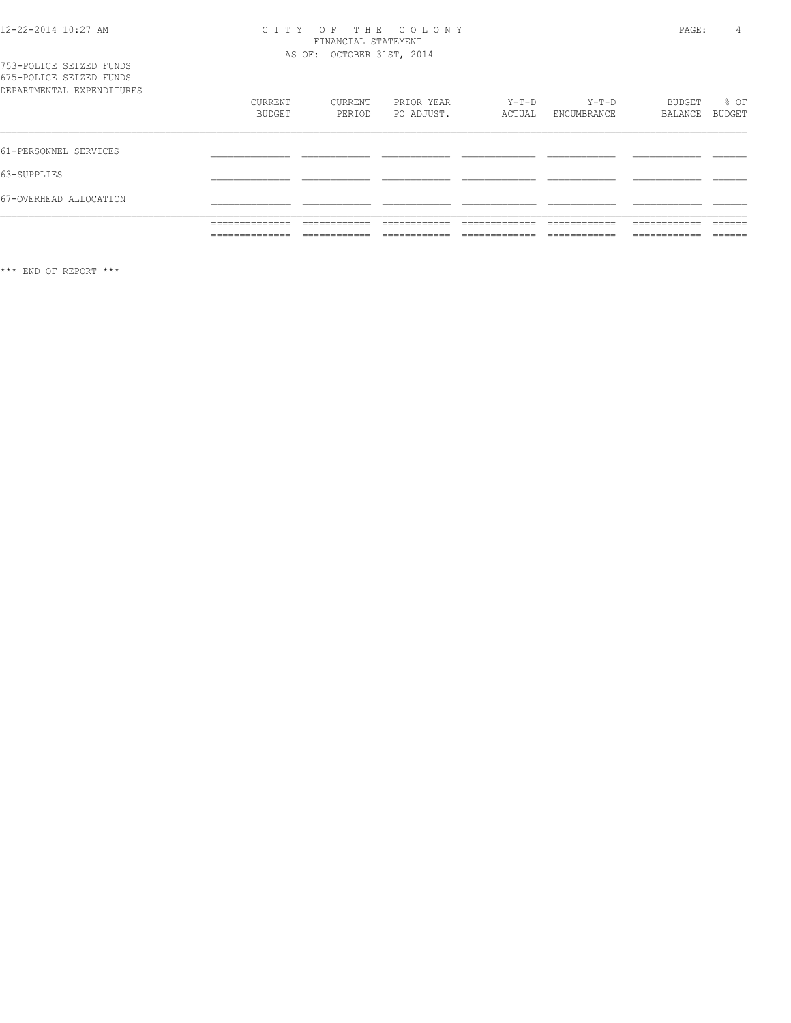# CITY OF THE COLONY<br>FINANCIAL STATEMENT<br>AS OF: OCTOBER 31ST, 2014

|                                                    | ______________<br>.<br>______________<br>. | ____________<br>-----------<br>____________<br>____________ | --------------<br>-----------<br>--------------<br>____________ | _____________<br>-----------<br>_____________<br>_____________ | ------------<br>-----------<br>-------------<br>____________ | ------------<br>-----------<br>____________<br>____________ | -------<br>_____<br>-------<br>_______ |
|----------------------------------------------------|--------------------------------------------|-------------------------------------------------------------|-----------------------------------------------------------------|----------------------------------------------------------------|--------------------------------------------------------------|-------------------------------------------------------------|----------------------------------------|
| 67-OVERHEAD ALLOCATION                             |                                            |                                                             |                                                                 |                                                                |                                                              |                                                             |                                        |
| 63-SUPPLIES                                        |                                            |                                                             |                                                                 |                                                                |                                                              |                                                             |                                        |
| 61-PERSONNEL SERVICES                              |                                            |                                                             |                                                                 |                                                                |                                                              |                                                             |                                        |
| DEPARTMENTAL EXPENDITURES                          | <b>CURRENT</b><br>BUDGET                   | CURRENT<br>PERIOD                                           | PRIOR YEAR<br>PO ADJUST.                                        | Y-T-D<br>ACTUAL                                                | Y-T-D<br>ENCUMBRANCE                                         | BUDGET<br>BALANCE                                           | $8$ OF<br>BUDGET                       |
| 753-POLICE SEIZED FUNDS<br>675-POLICE SEIZED FUNDS |                                            |                                                             |                                                                 |                                                                |                                                              |                                                             |                                        |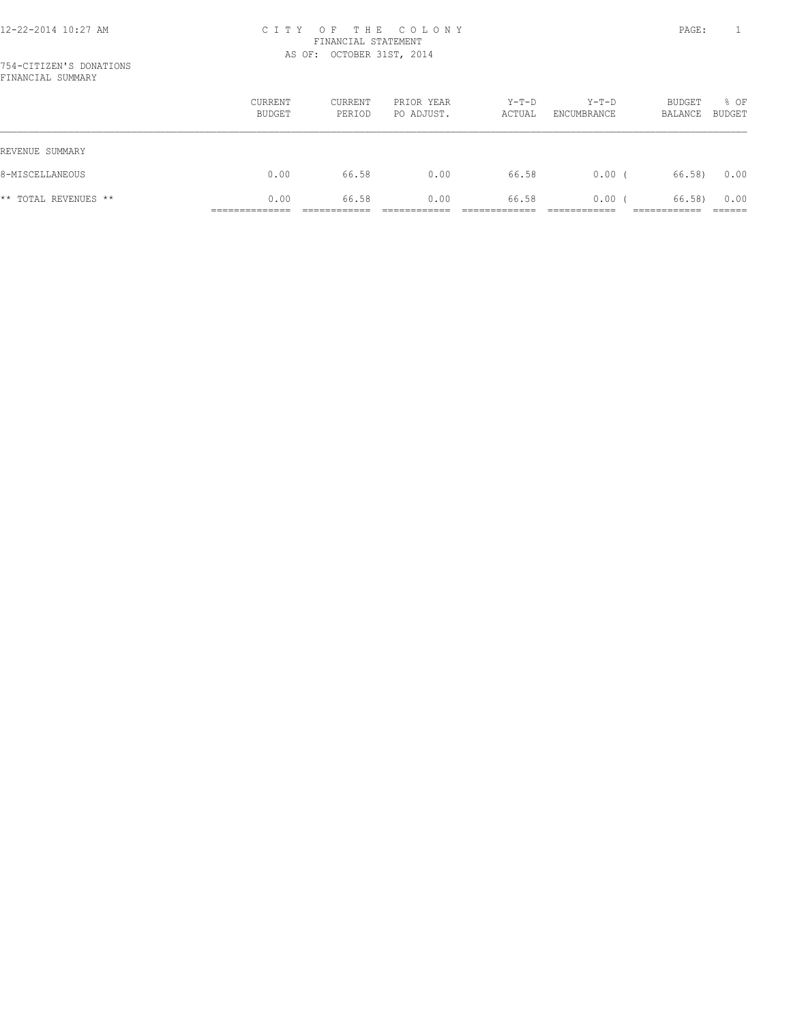|                      | <b>CURRENT</b><br>BUDGET | <b>CURRENT</b><br>PERIOD | PRIOR YEAR<br>PO ADJUST. | $Y-T-D$<br>ACTUAL | $Y-T-D$<br>ENCUMBRANCE | BUDGET<br>BALANCE | % OF<br>BUDGET |
|----------------------|--------------------------|--------------------------|--------------------------|-------------------|------------------------|-------------------|----------------|
| REVENUE SUMMARY      |                          |                          |                          |                   |                        |                   |                |
| 8-MISCELLANEOUS      | 0.00                     | 66.58                    | 0.00                     | 66.58             | 0.00(                  | 66.58)            | 0.00           |
| ** TOTAL REVENUES ** | 0.00                     | 66.58                    | 0.00                     | 66.58             | $0.00$ (               | 66.58)            | 0.00           |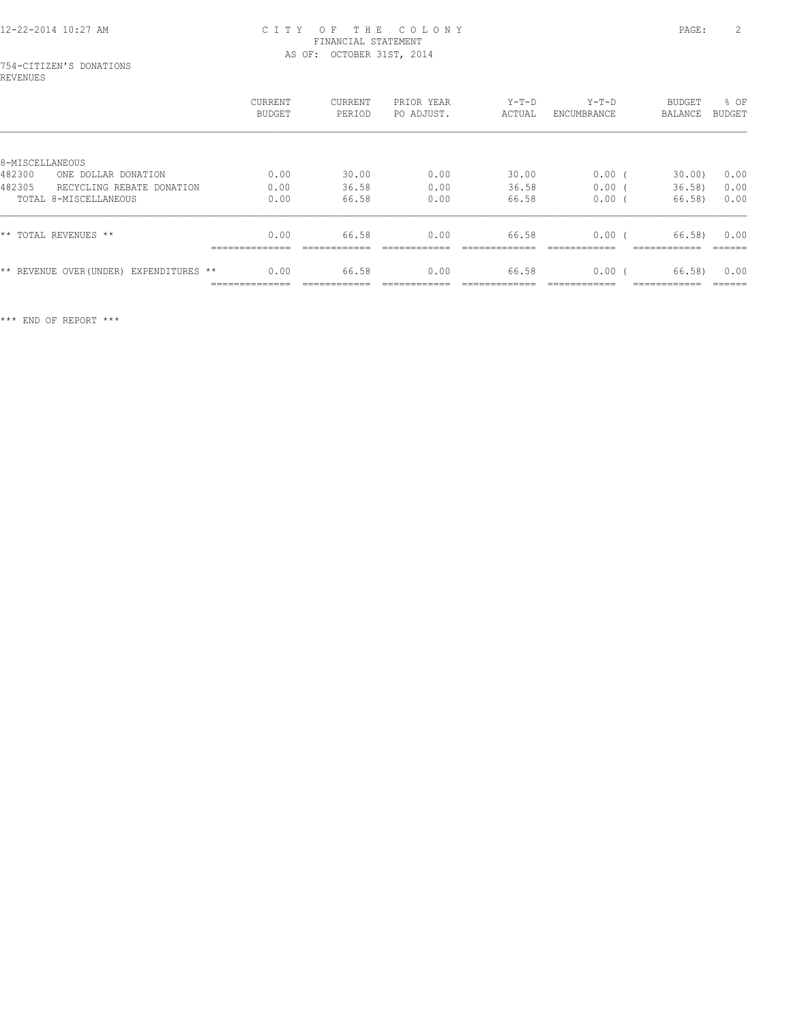### 754-CITIZEN'S DONATIONS REVENUES

|                                         | <b>CURRENT</b><br>BUDGET            | CURRENT<br>PERIOD | PRIOR YEAR<br>PO ADJUST. | $Y-T-D$<br>ACTUAL | $Y-T-D$<br>ENCUMBRANCE | BUDGET<br>BALANCE     | % OF<br><b>BUDGET</b> |
|-----------------------------------------|-------------------------------------|-------------------|--------------------------|-------------------|------------------------|-----------------------|-----------------------|
|                                         |                                     |                   |                          |                   |                        |                       |                       |
| 8-MISCELLANEOUS                         |                                     |                   |                          |                   |                        |                       |                       |
| 482300<br>ONE DOLLAR DONATION           | 0.00                                | 30.00             | 0.00                     | 30.00             | $0.00$ (               | 30.00                 | 0.00                  |
| 482305<br>RECYCLING REBATE DONATION     | 0.00                                | 36.58             | 0.00                     | 36.58             | 0.00                   | 36.58                 | 0.00                  |
| TOTAL 8-MISCELLANEOUS                   | 0.00                                | 66.58             | 0.00                     | 66.58             | 0.00                   | 66.58)                | 0.00                  |
| ** TOTAL REVENUES **                    | 0.00<br>. _ _ _ _ _ _ _ _ _ _ _ _ _ | 66.58             | 0.00                     | 66.58             | 0.00                   | 66.58)                | 0.00                  |
|                                         |                                     |                   |                          |                   |                        |                       |                       |
| ** REVENUE OVER (UNDER) EXPENDITURES ** | 0.00<br>______________              | 66.58             | 0.00                     | 66.58             | 0.00                   | 66.58)<br>___________ | 0.00<br>------        |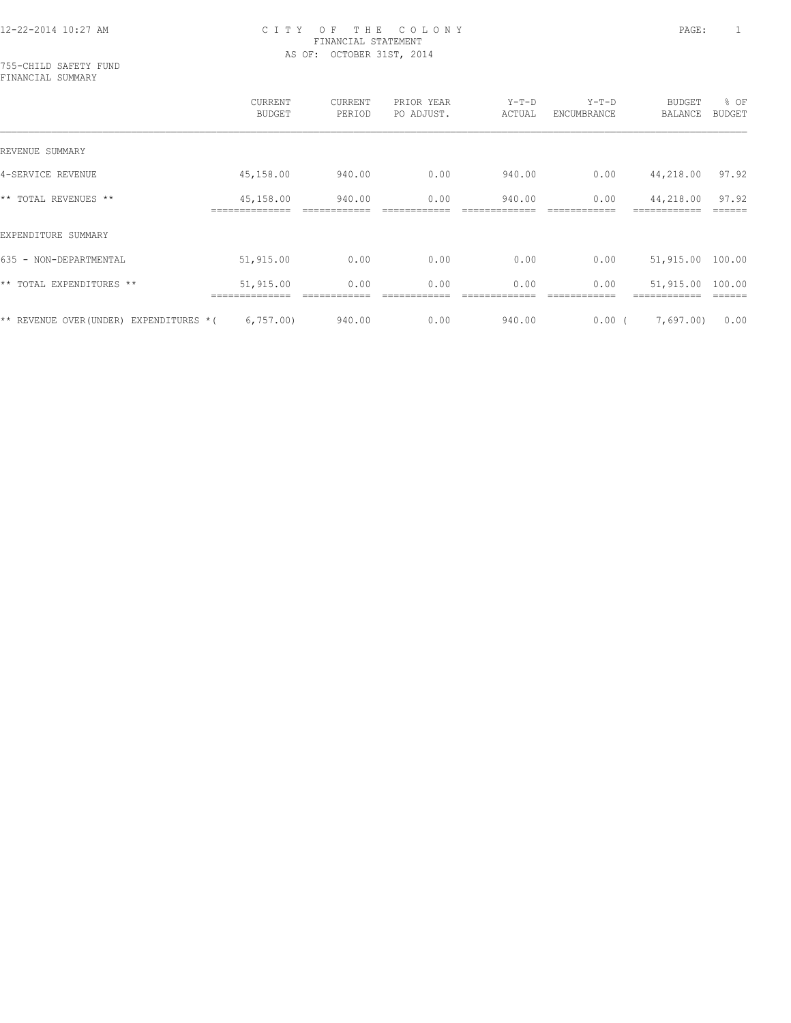755-CHILD SAFETY FUND FINANCIAL SUMMARY

|                                           | CURRENT<br><b>BUDGET</b> | CURRENT<br>PERIOD | PRIOR YEAR<br>PO ADJUST. | $Y-T-D$<br>ACTUAL | $Y-T-D$<br>ENCUMBRANCE | BUDGET<br>BALANCE | % OF<br><b>BUDGET</b> |
|-------------------------------------------|--------------------------|-------------------|--------------------------|-------------------|------------------------|-------------------|-----------------------|
| REVENUE SUMMARY                           |                          |                   |                          |                   |                        |                   |                       |
| 4-SERVICE REVENUE                         | 45,158.00                | 940.00            | 0.00                     | 940.00            | 0.00                   | 44,218.00         | 97.92                 |
| ** TOTAL REVENUES **                      | 45,158.00                | 940.00            | 0.00                     | 940.00            | 0.00                   | 44,218.00         | 97.92                 |
| EXPENDITURE SUMMARY                       |                          |                   |                          |                   |                        |                   |                       |
| 635 - NON-DEPARTMENTAL                    | 51,915.00                | 0.00              | 0.00                     | 0.00              | 0.00                   | 51,915.00         | 100.00                |
| ** TOTAL EXPENDITURES **                  | 51,915.00                | 0.00              | 0.00                     | 0.00              | 0.00                   | 51,915.00         | 100.00                |
| EXPENDITURES *(<br>** REVENUE OVER(UNDER) | 6,757.00                 | 940.00            | 0.00                     | 940.00            | 0.00(                  | 7,697.00)         | 0.00                  |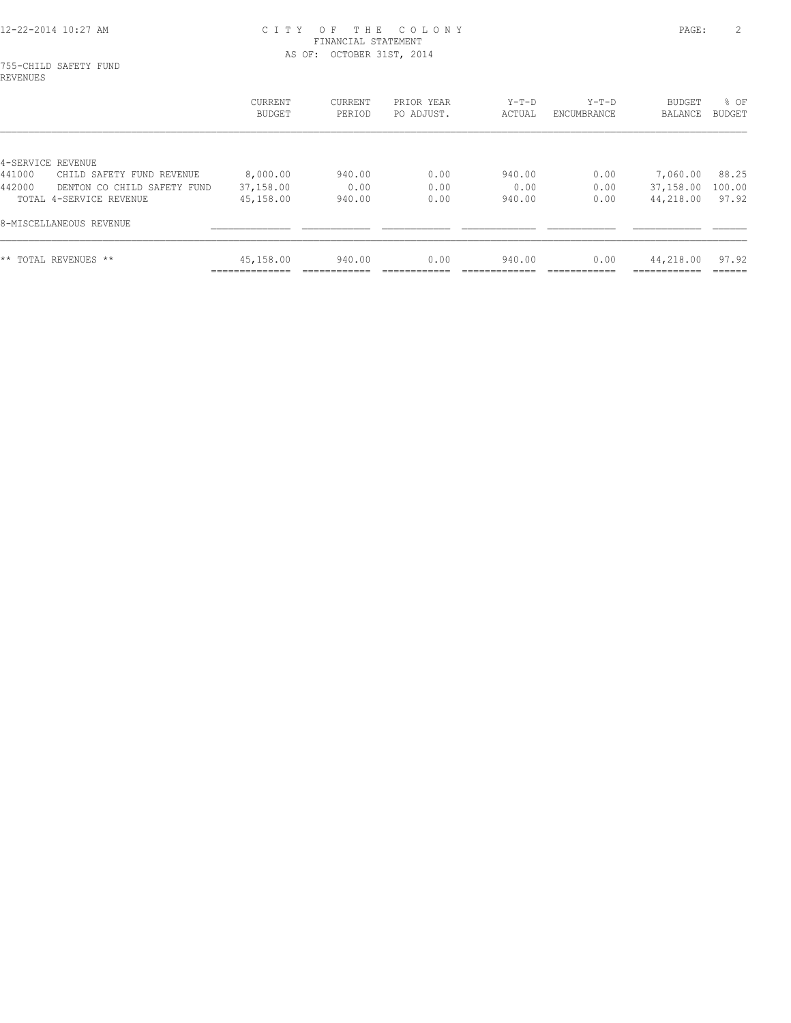755-CHILD SAFETY FUND REVENUES

|                                       | CURRENT<br><b>BUDGET</b> | <b>CURRENT</b><br>PERIOD | PRIOR YEAR<br>PO ADJUST. | $Y-T-D$<br>ACTUAL | $Y-T-D$<br>ENCUMBRANCE | BUDGET<br>BALANCE | % OF<br><b>BUDGET</b> |
|---------------------------------------|--------------------------|--------------------------|--------------------------|-------------------|------------------------|-------------------|-----------------------|
| 4-SERVICE REVENUE                     |                          |                          |                          |                   |                        |                   |                       |
| 441000<br>CHILD SAFETY FUND REVENUE   | 8,000.00                 | 940.00                   | 0.00                     | 940.00            | 0.00                   | 7,060.00          | 88.25                 |
| 442000<br>DENTON CO CHILD SAFETY FUND | 37,158.00                | 0.00                     | 0.00                     | 0.00              | 0.00                   | 37,158.00         | 100.00                |
| TOTAL 4-SERVICE REVENUE               | 45,158.00                | 940.00                   | 0.00                     | 940.00            | 0.00                   | 44,218.00         | 97.92                 |
| 8-MISCELLANEOUS REVENUE               |                          |                          |                          |                   |                        |                   |                       |
| ** TOTAL REVENUES **                  | 45,158.00<br>___________ | 940.00                   | 0.00                     | 940.00            | 0.00                   | 44,218.00         | 97.92                 |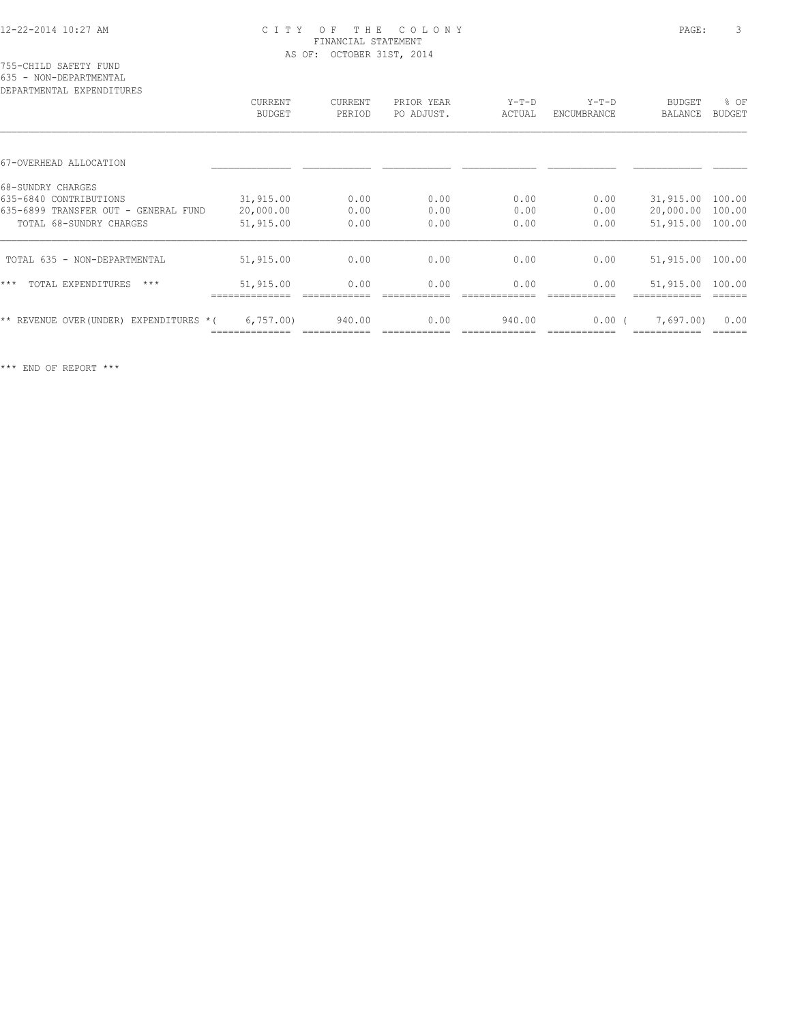|  | 755-CHILD SAFETY FUND  |  |
|--|------------------------|--|
|  | 635 - NON-DEPARTMENTAL |  |

| DEPARTMENTAL EXPENDITURES                  |                          |                   |                          |                   |                        |                                 |                       |
|--------------------------------------------|--------------------------|-------------------|--------------------------|-------------------|------------------------|---------------------------------|-----------------------|
|                                            | CURRENT<br><b>BUDGET</b> | CURRENT<br>PERIOD | PRIOR YEAR<br>PO ADJUST. | $Y-T-D$<br>ACTUAL | $Y-T-D$<br>ENCUMBRANCE | <b>BUDGET</b><br><b>BALANCE</b> | % OF<br><b>BUDGET</b> |
|                                            |                          |                   |                          |                   |                        |                                 |                       |
| 67-OVERHEAD ALLOCATION                     |                          |                   |                          |                   |                        |                                 |                       |
| 68-SUNDRY CHARGES                          |                          |                   |                          |                   |                        |                                 |                       |
| 635-6840 CONTRIBUTIONS                     | 31,915.00                | 0.00              | 0.00                     | 0.00              | 0.00                   | 31,915.00                       | 100.00                |
| 635-6899 TRANSFER OUT - GENERAL FUND       | 20,000.00                | 0.00              | 0.00                     | 0.00              | 0.00                   | 20,000.00                       | 100.00                |
| TOTAL 68-SUNDRY CHARGES                    | 51,915.00                | 0.00              | 0.00                     | 0.00              | 0.00                   | 51,915.00                       | 100.00                |
| TOTAL 635 - NON-DEPARTMENTAL               | 51,915.00                | 0.00              | 0.00                     | 0.00              | 0.00                   | 51,915.00 100.00                |                       |
| $***$<br>TOTAL EXPENDITURES<br>$***$       | 51,915.00                | 0.00              | 0.00                     | 0.00              | 0.00                   | 51,915.00                       | 100.00                |
| EXPENDITURES *(<br>** REVENUE OVER (UNDER) | 6,757.00                 | 940.00            | 0.00                     | 940.00            | $0.00$ (               | 7,697.00)                       | 0.00                  |
|                                            |                          |                   |                          |                   |                        |                                 |                       |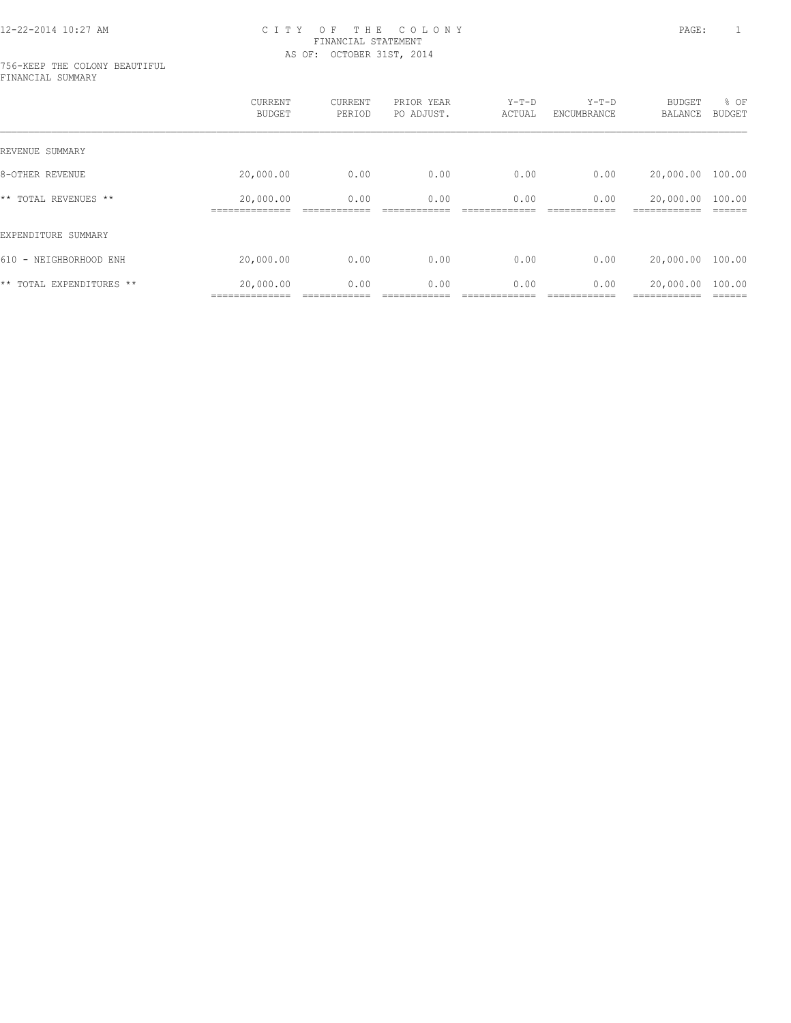#### 756-KEEP THE COLONY BEAUTIFUL FINANCIAL SUMMARY

|                          | CURRENT<br><b>BUDGET</b>    | CURRENT<br>PERIOD | PRIOR YEAR<br>PO ADJUST. | $Y-T-D$<br>ACTUAL | $Y-T-D$<br>ENCUMBRANCE | <b>BUDGET</b><br>BALANCE  | % OF<br>BUDGET    |
|--------------------------|-----------------------------|-------------------|--------------------------|-------------------|------------------------|---------------------------|-------------------|
| REVENUE SUMMARY          |                             |                   |                          |                   |                        |                           |                   |
| 8-OTHER REVENUE          | 20,000.00                   | 0.00              | 0.00                     | 0.00              | 0.00                   | 20,000.00                 | 100.00            |
| ** TOTAL REVENUES **     | 20,000.00                   | 0.00              | 0.00                     | 0.00              | 0.00                   | 20,000.00                 | 100.00            |
| EXPENDITURE SUMMARY      |                             |                   |                          |                   |                        |                           |                   |
| 610 - NEIGHBORHOOD ENH   | 20,000.00                   | 0.00              | 0.00                     | 0.00              | 0.00                   | 20,000.00                 | 100.00            |
| ** TOTAL EXPENDITURES ** | 20,000.00<br>============== | 0.00              | 0.00                     | 0.00              | 0.00                   | 20,000.00<br>------------ | 100.00<br>------- |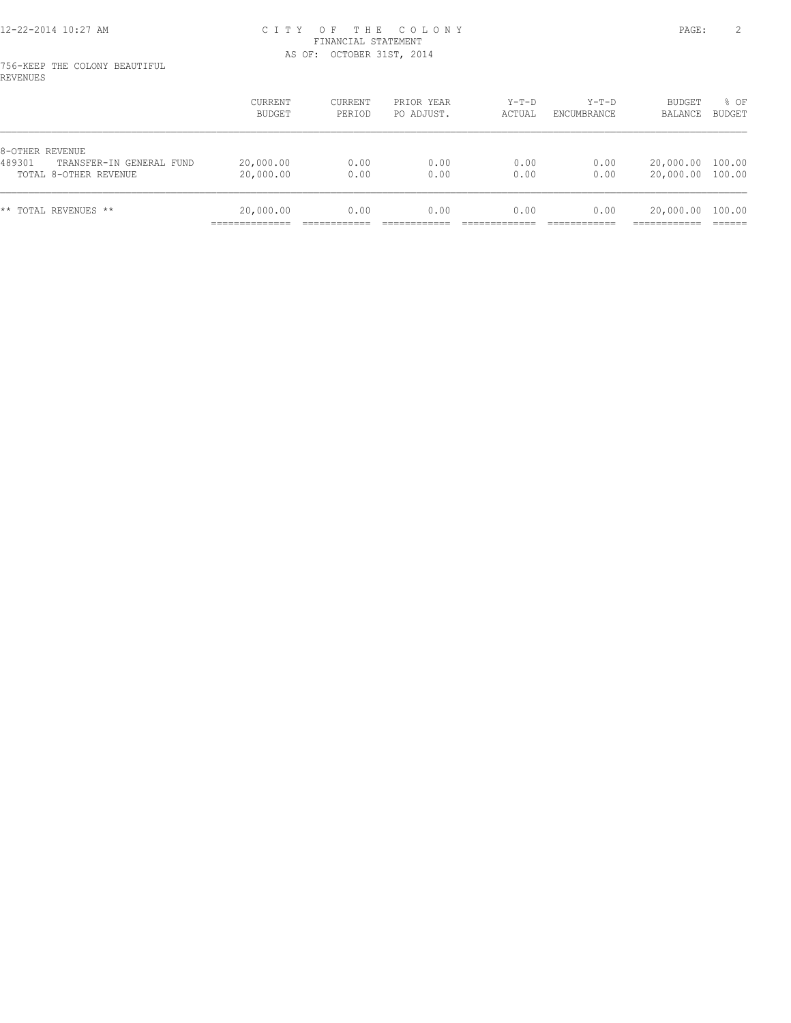#### 756-KEEP THE COLONY BEAUTIFUL REVENUES

|                                                                                | <b>CURRENT</b><br>BUDGET | <b>CURRENT</b><br>PERIOD | PRIOR YEAR<br>PO ADJUST. | $Y-T-D$<br>ACTUAL | $Y-T-D$<br>ENCUMBRANCE | BUDGET<br>BALANCE      | % OF<br>BUDGET   |
|--------------------------------------------------------------------------------|--------------------------|--------------------------|--------------------------|-------------------|------------------------|------------------------|------------------|
| 8-OTHER REVENUE<br>489301<br>TRANSFER-IN GENERAL FUND<br>TOTAL 8-OTHER REVENUE | 20,000.00<br>20,000.00   | 0.00<br>0.00             | 0.00<br>0.00             | 0.00<br>0.00      | 0.00<br>0.00           | 20,000.00<br>20,000.00 | 100.00<br>100.00 |
| ** TOTAL REVENUES **                                                           | 20,000.00<br>___________ | 0.00                     | 0.00                     | 0.00              | 0.00                   | 20,000.00              | 100.00           |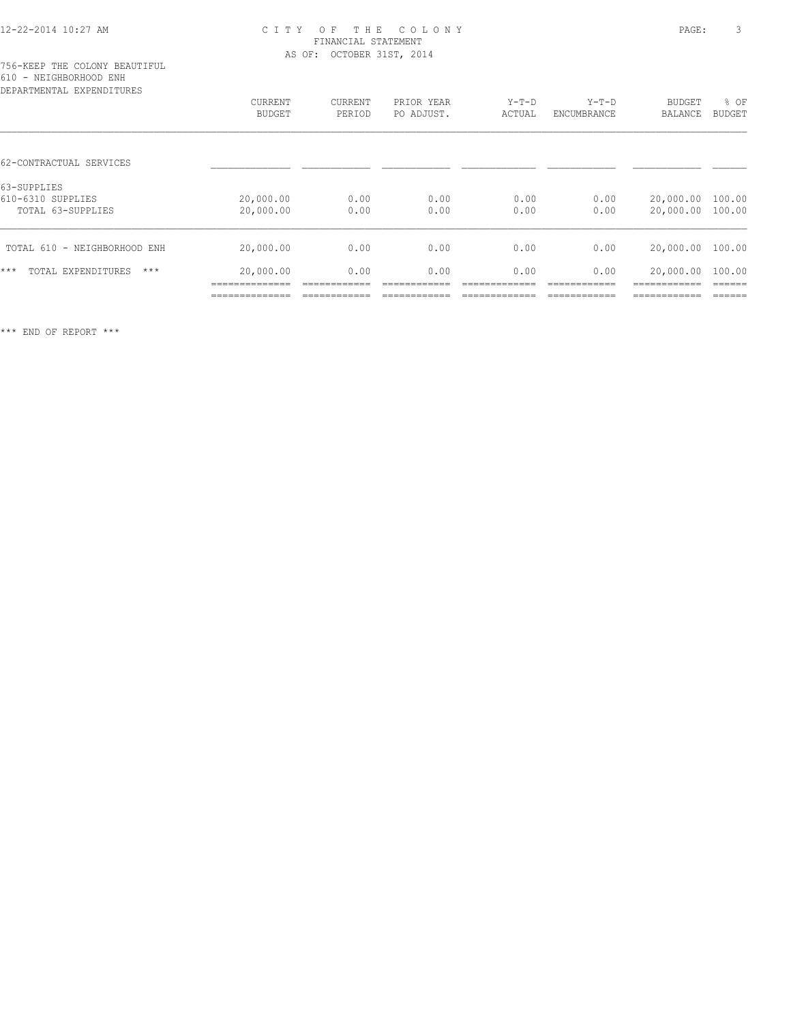| DEPARTMENTAL EXPENDITURES            |                          |                   |                          |                   |                        |                          |                       |
|--------------------------------------|--------------------------|-------------------|--------------------------|-------------------|------------------------|--------------------------|-----------------------|
|                                      | CURRENT<br><b>BUDGET</b> | CURRENT<br>PERIOD | PRIOR YEAR<br>PO ADJUST. | $Y-T-D$<br>ACTUAL | $Y-T-D$<br>ENCUMBRANCE | <b>BUDGET</b><br>BALANCE | % OF<br><b>BUDGET</b> |
|                                      |                          |                   |                          |                   |                        |                          |                       |
| 62-CONTRACTUAL SERVICES              |                          |                   |                          |                   |                        |                          |                       |
| 63-SUPPLIES                          |                          |                   |                          |                   |                        |                          |                       |
| 610-6310 SUPPLIES                    | 20,000.00                | 0.00              | 0.00                     | 0.00              | 0.00                   | 20,000.00 100.00         |                       |
| TOTAL 63-SUPPLIES                    | 20,000.00                | 0.00              | 0.00                     | 0.00              | 0.00                   | 20,000.00 100.00         |                       |
| TOTAL 610 - NEIGHBORHOOD ENH         | 20,000.00                | 0.00              | 0.00                     | 0.00              | 0.00                   | 20,000.00 100.00         |                       |
|                                      |                          |                   |                          |                   |                        |                          |                       |
| $***$<br>TOTAL EXPENDITURES<br>$***$ | 20,000.00                | 0.00              | 0.00                     | 0.00              | 0.00                   | 20,000.00                | 100.00                |
|                                      |                          |                   |                          |                   |                        |                          |                       |
|                                      | -----------              |                   |                          |                   |                        | --------                 |                       |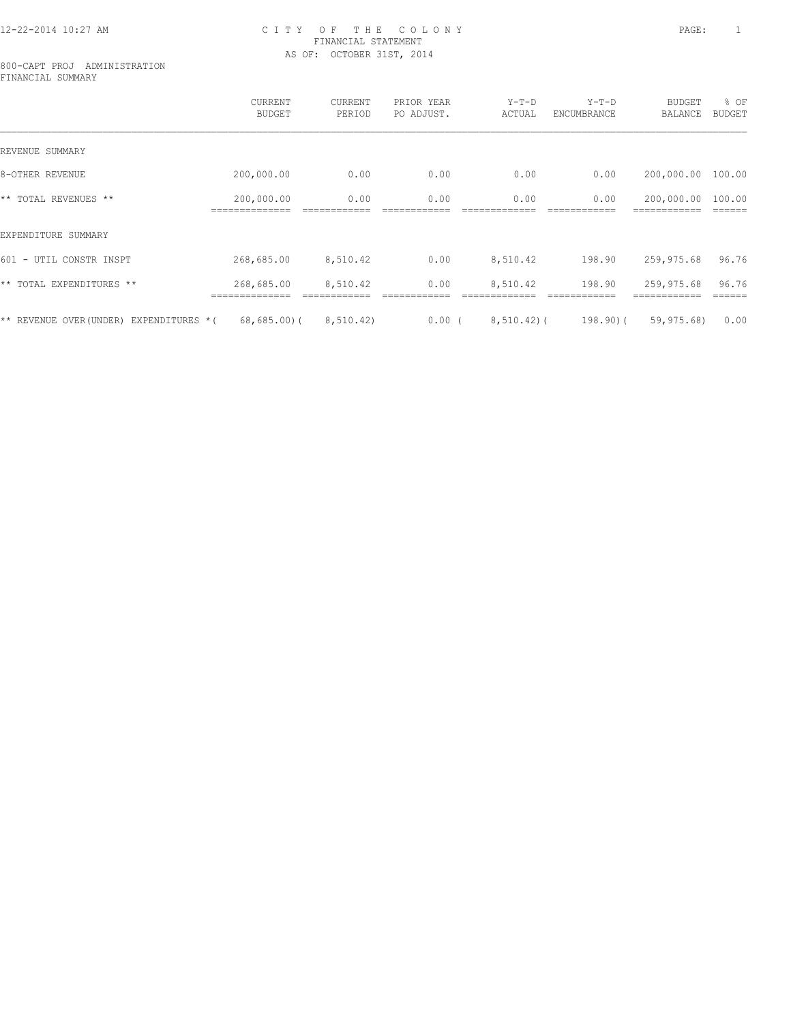#### 800-CAPT PROJ ADMINISTRATION FINANCIAL SUMMARY

|                                        | CURRENT<br><b>BUDGET</b>     | CURRENT<br>PERIOD | PRIOR YEAR<br>PO ADJUST. | $Y-T-D$<br>ACTUAL | $Y-T-D$<br>ENCUMBRANCE | <b>BUDGET</b><br>BALANCE   | % OF<br><b>BUDGET</b> |
|----------------------------------------|------------------------------|-------------------|--------------------------|-------------------|------------------------|----------------------------|-----------------------|
| REVENUE SUMMARY                        |                              |                   |                          |                   |                        |                            |                       |
| 8-OTHER REVENUE                        | 200,000.00                   | 0.00              | 0.00                     | 0.00              | 0.00                   | 200,000.00                 | 100.00                |
| ** TOTAL REVENUES **                   | 200,000.00<br>-------------- | 0.00              | 0.00                     | 0.00              | 0.00                   | 200,000.00<br>------------ | 100.00                |
| EXPENDITURE SUMMARY                    |                              |                   |                          |                   |                        |                            |                       |
| 601 - UTIL CONSTR INSPT                | 268,685.00                   | 8,510.42          | 0.00                     | 8,510.42          | 198.90                 | 259,975.68                 | 96.76                 |
| ** TOTAL EXPENDITURES **               | 268,685.00                   | 8,510.42          | 0.00                     | 8,510.42          | 198.90                 | 259,975.68                 | 96.76                 |
| ** REVENUE OVER(UNDER) EXPENDITURES *( | $68,685.00$ (                | 8, 510.42)        | $0.00$ (                 | $8,510.42$ ) (    | 198.90)(               | 59,975.68)                 | 0.00                  |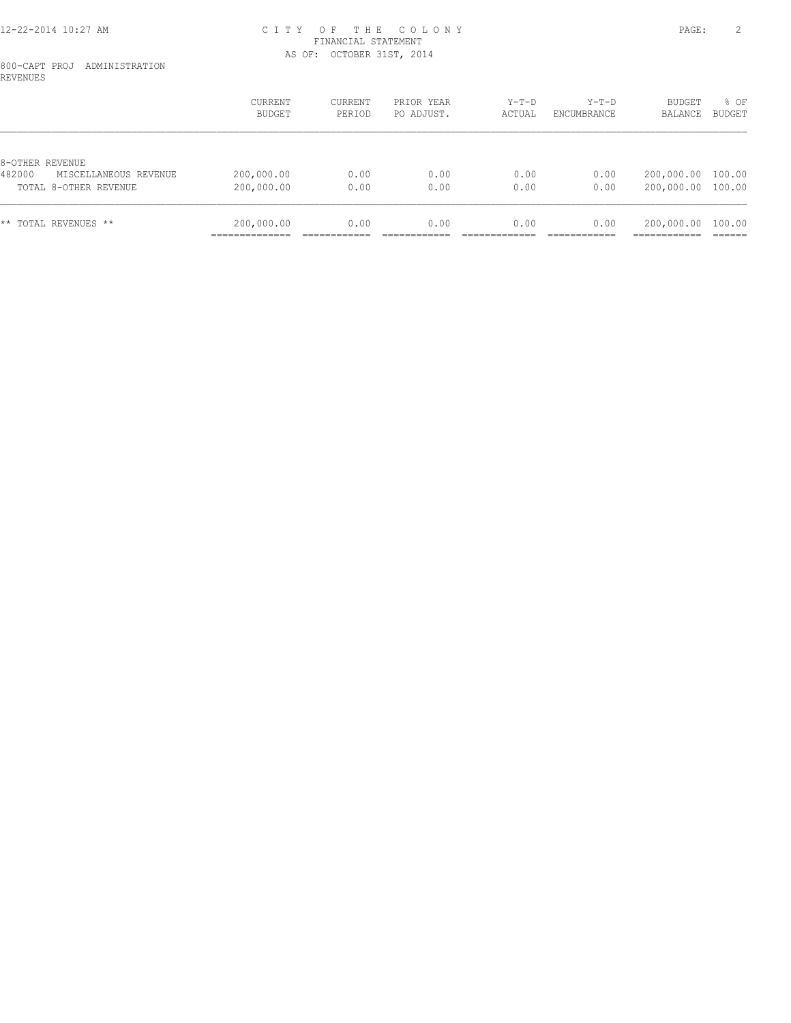#### 800-CAPT PROJ ADMINISTRATION REVENUES

|                                 | CURRENT<br>BUDGET | CURRENT<br>PERIOD | PRIOR YEAR<br>PO ADJUST. | $Y-T-D$<br>ACTUAL | $Y-T-D$<br>ENCUMBRANCE | <b>BUDGET</b><br>BALANCE | % OF<br>BUDGET |
|---------------------------------|-------------------|-------------------|--------------------------|-------------------|------------------------|--------------------------|----------------|
| 8-OTHER REVENUE                 |                   |                   |                          |                   |                        |                          |                |
| 482000<br>MISCELLANEOUS REVENUE | 200,000.00        | 0.00              | 0.00                     | 0.00              | 0.00                   | 200,000.00 100.00        |                |
| TOTAL 8-OTHER REVENUE           | 200,000.00        | 0.00              | 0.00                     | 0.00              | 0.00                   | 200,000.00               | 100.00         |
| ** TOTAL REVENUES **            | 200,000.00        | 0.00              | 0.00                     | 0.00              | 0.00                   | 200,000.00               | 100.00         |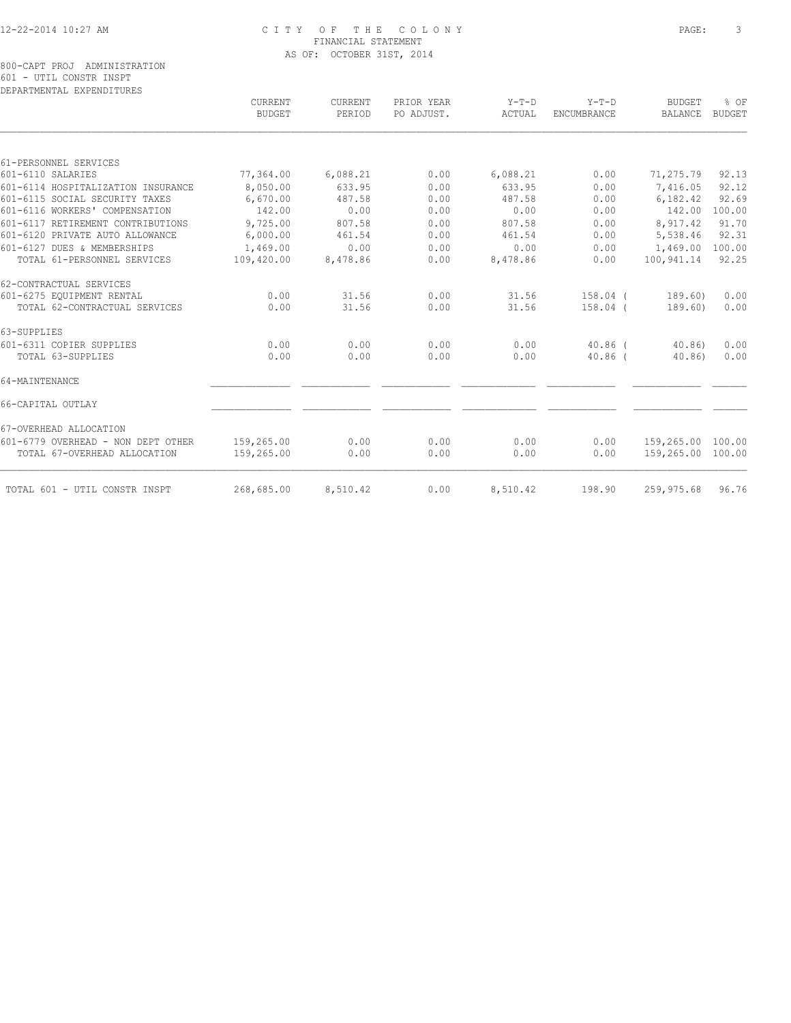|                                    | CURRENT<br><b>BUDGET</b> | CURRENT<br>PERIOD | PRIOR YEAR<br>PO ADJUST. | $Y-T-D$<br>ACTUAL | $Y-T-D$<br><b>ENCUMBRANCE</b> | BUDGET<br><b>BALANCE</b> | % OF<br>BUDGET |
|------------------------------------|--------------------------|-------------------|--------------------------|-------------------|-------------------------------|--------------------------|----------------|
|                                    |                          |                   |                          |                   |                               |                          |                |
| 61-PERSONNEL SERVICES              |                          |                   |                          |                   |                               |                          |                |
| 601-6110 SALARIES                  | 77,364.00                | 6,088.21          | 0.00                     | 6,088.21          | 0.00                          | 71,275.79                | 92.13          |
| 601-6114 HOSPITALIZATION INSURANCE | 8,050.00                 | 633.95            | 0.00                     | 633.95            | 0.00                          | 7,416.05                 | 92.12          |
| 601-6115 SOCIAL SECURITY TAXES     | 6,670.00                 | 487.58            | 0.00                     | 487.58            | 0.00                          | 6,182.42                 | 92.69          |
| 601-6116 WORKERS' COMPENSATION     | 142.00                   | 0.00              | 0.00                     | 0.00              | 0.00                          | 142.00                   | 100.00         |
| 601-6117 RETIREMENT CONTRIBUTIONS  | 9,725.00                 | 807.58            | 0.00                     | 807.58            | 0.00                          | 8,917.42                 | 91.70          |
| 601-6120 PRIVATE AUTO ALLOWANCE    | 6,000.00                 | 461.54            | 0.00                     | 461.54            | 0.00                          | 5,538.46                 | 92.31          |
| 601-6127 DUES & MEMBERSHIPS        | 1,469.00                 | 0.00              | 0.00                     | 0.00              | 0.00                          | 1,469.00                 | 100.00         |
| TOTAL 61-PERSONNEL SERVICES        | 109,420.00               | 8,478.86          | 0.00                     | 8,478.86          | 0.00                          | 100,941.14               | 92.25          |
| 62-CONTRACTUAL SERVICES            |                          |                   |                          |                   |                               |                          |                |
| 601-6275 EQUIPMENT RENTAL          | 0.00                     | 31.56             | 0.00                     | 31.56             | 158.04 (                      | 189.60)                  | 0.00           |
| TOTAL 62-CONTRACTUAL SERVICES      | 0.00                     | 31.56             | 0.00                     | 31.56             | $158.04$ (                    | 189.60)                  | 0.00           |
| 63-SUPPLIES                        |                          |                   |                          |                   |                               |                          |                |
| 601-6311 COPIER SUPPLIES           | 0.00                     | 0.00              | 0.00                     | 0.00              | $40.86$ (                     | 40.86)                   | 0.00           |
| TOTAL 63-SUPPLIES                  | 0.00                     | 0.00              | 0.00                     | 0.00              | $40.86$ (                     | 40.86)                   | 0.00           |
| 64-MAINTENANCE                     |                          |                   |                          |                   |                               |                          |                |
| 66-CAPITAL OUTLAY                  |                          |                   |                          |                   |                               |                          |                |
| 67-OVERHEAD ALLOCATION             |                          |                   |                          |                   |                               |                          |                |
| 601-6779 OVERHEAD - NON DEPT OTHER | 159,265.00               | 0.00              | 0.00                     | 0.00              | 0.00                          | 159,265.00 100.00        |                |
| TOTAL 67-OVERHEAD ALLOCATION       | 159,265.00               | 0.00              | 0.00                     | 0.00              | 0.00                          | 159,265.00 100.00        |                |
| TOTAL 601 - UTIL CONSTR INSPT      | 268,685.00               | 8,510.42          | 0.00                     | 8,510.42          | 198.90                        | 259,975.68               | 96.76          |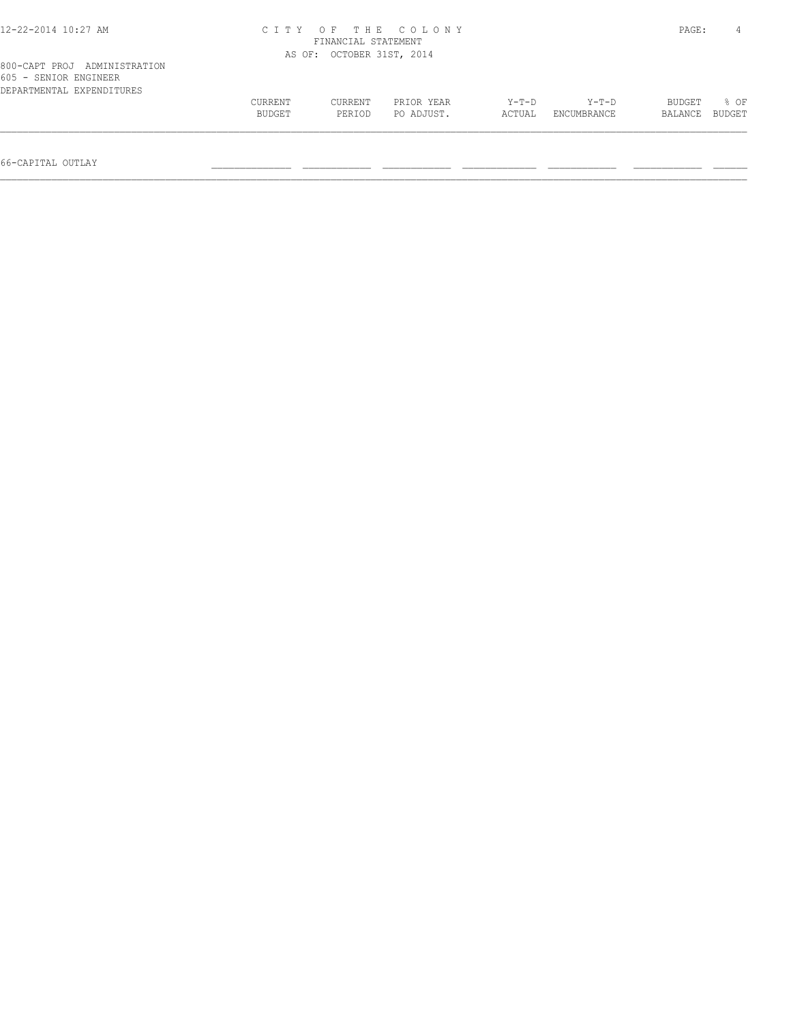| 12-22-2014 10:27 AM                                                                | CITY OF THE COLONY<br>FINANCIAL STATEMENT |                   |                          |                   |                      |                   |                |  |
|------------------------------------------------------------------------------------|-------------------------------------------|-------------------|--------------------------|-------------------|----------------------|-------------------|----------------|--|
|                                                                                    | AS OF: OCTOBER 31ST, 2014                 |                   |                          |                   |                      |                   |                |  |
| 800-CAPT PROJ ADMINISTRATION<br>605 - SENIOR ENGINEER<br>DEPARTMENTAL EXPENDITURES |                                           |                   |                          |                   |                      |                   |                |  |
|                                                                                    | CURRENT<br>BUDGET                         | CURRENT<br>PERIOD | PRIOR YEAR<br>PO ADJUST. | $Y-T-D$<br>ACTUAL | Y-T-D<br>ENCUMBRANCE | BUDGET<br>BALANCE | 8 OF<br>BUDGET |  |
|                                                                                    |                                           |                   |                          |                   |                      |                   |                |  |

66-CAPITAL OUTLAY \_\_\_\_\_\_\_\_\_\_\_\_\_\_ \_\_\_\_\_\_\_\_\_\_\_\_ \_\_\_\_\_\_\_\_\_\_\_\_ \_\_\_\_\_\_\_\_\_\_\_\_\_ \_\_\_\_\_\_\_\_\_\_\_\_ \_\_\_\_\_\_\_\_\_\_\_\_ \_\_\_\_\_\_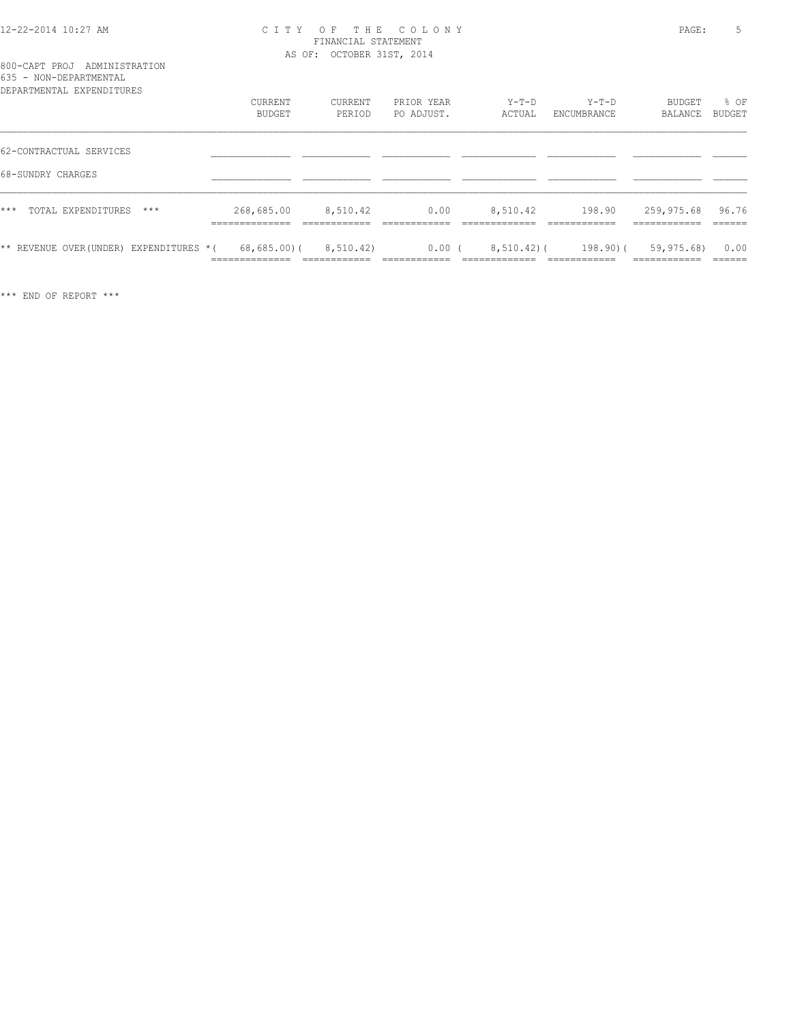#### 12-22-2014 10:27 AM C I T Y O F T H E C O L O N Y PAGE: 5 FINANCIAL STATEMENT AS OF: OCTOBER 31ST, 2014

| UJJ.<br>-NUN DELINIERIE IND<br>DEPARTMENTAL EXPENDITURES | CURRENT<br>BUDGET                               | CURRENT<br>PERIOD                        | PRIOR YEAR<br>PO ADJUST.            | $Y-T-D$<br>ACTUAL                           | Y-T-D<br>ENCUMBRANCE                          | BUDGET<br>BALANCE                             | % OF<br>BUDGET            |
|----------------------------------------------------------|-------------------------------------------------|------------------------------------------|-------------------------------------|---------------------------------------------|-----------------------------------------------|-----------------------------------------------|---------------------------|
| 62-CONTRACTUAL SERVICES                                  |                                                 |                                          |                                     |                                             |                                               |                                               |                           |
| 68-SUNDRY CHARGES                                        |                                                 |                                          |                                     |                                             |                                               |                                               |                           |
| $***$<br>TOTAL EXPENDITURES<br>$***$                     | 268,685.00<br>______________<br>--------------- | 8,510.42<br>____________<br>____________ | 0.00<br>___________<br>____________ | 8,510.42<br>_____________<br>______________ | 198.90<br>____________<br>____________        | 259,975.68<br>--------------<br>------------- | 96.76<br>______<br>______ |
| ** REVENUE OVER (UNDER) EXPENDITURES *(                  | 68,685.00(<br>______________<br>______________  | 8,510.42)                                | 0.00(                               | $8,510.42$ ) (<br>_____________             | $198.90$ $($<br>____________<br>------------- | 59,975.68)<br>-----------<br>__________       | 0.00<br>-------<br>-----  |

\*\*\* END OF REPORT \*\*\*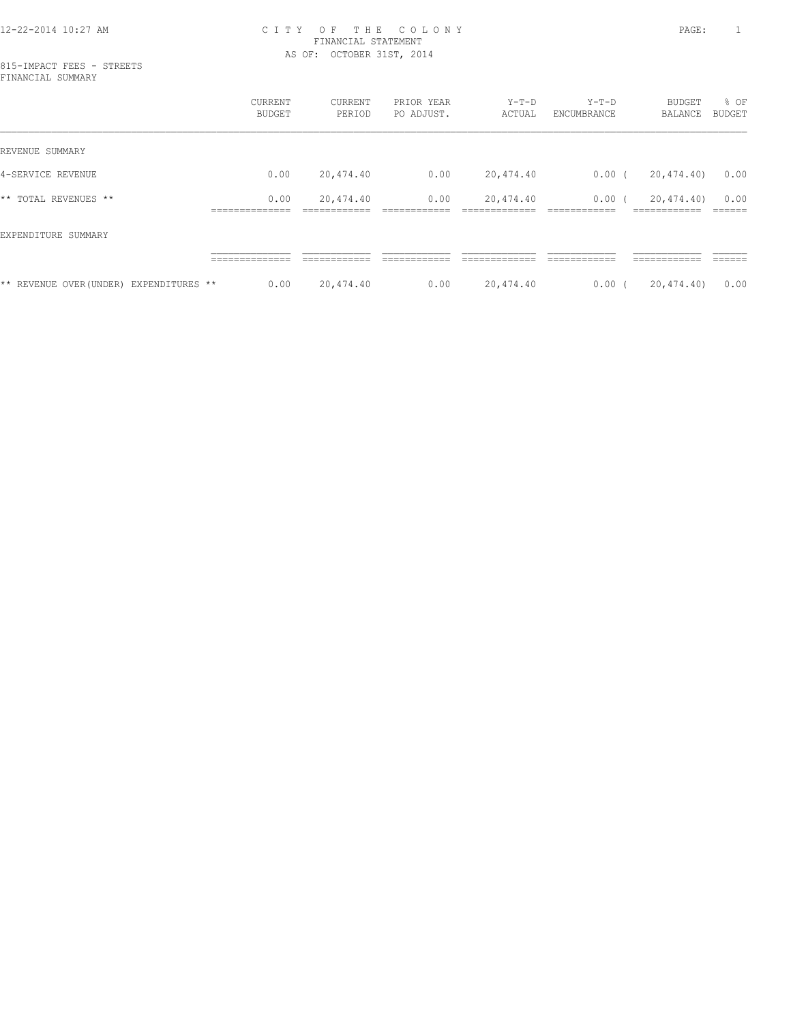#### 12-22-2014 10:27 AM C I T Y O F T H E C O L O N Y PAGE: 1 FINANCIAL STATEMENT AS OF: OCTOBER 31ST, 2014

815-IMPACT FEES - STREETS FINANCIAL SUMMARY

|                                         | <b>CURRENT</b><br><b>BUDGET</b> | CURRENT<br>PERIOD | PRIOR YEAR<br>PO ADJUST. | $Y-T-D$<br>ACTUAL | $Y-T-D$<br>ENCUMBRANCE | <b>BUDGET</b><br>BALANCE  | % OF<br>BUDGET |
|-----------------------------------------|---------------------------------|-------------------|--------------------------|-------------------|------------------------|---------------------------|----------------|
| REVENUE SUMMARY                         |                                 |                   |                          |                   |                        |                           |                |
| 4-SERVICE REVENUE                       | 0.00                            | 20,474.40         | 0.00                     | 20,474.40         | $0.00$ (               | 20,474.40)                | 0.00           |
| ** TOTAL REVENUES **                    | 0.00<br>______________          | 20,474.40         | 0.00                     | 20,474.40         | 0.00(                  | 20,474.40)<br>----------- | 0.00<br>______ |
| EXPENDITURE SUMMARY                     |                                 |                   |                          |                   |                        |                           |                |
|                                         | ______________                  | ____________      | ____________             |                   | ------------           | ------------              | -------        |
| ** REVENUE OVER (UNDER) EXPENDITURES ** | 0.00                            | 20,474.40         | 0.00                     | 20,474.40         | $0.00$ (               | 20,474.40)                | 0.00           |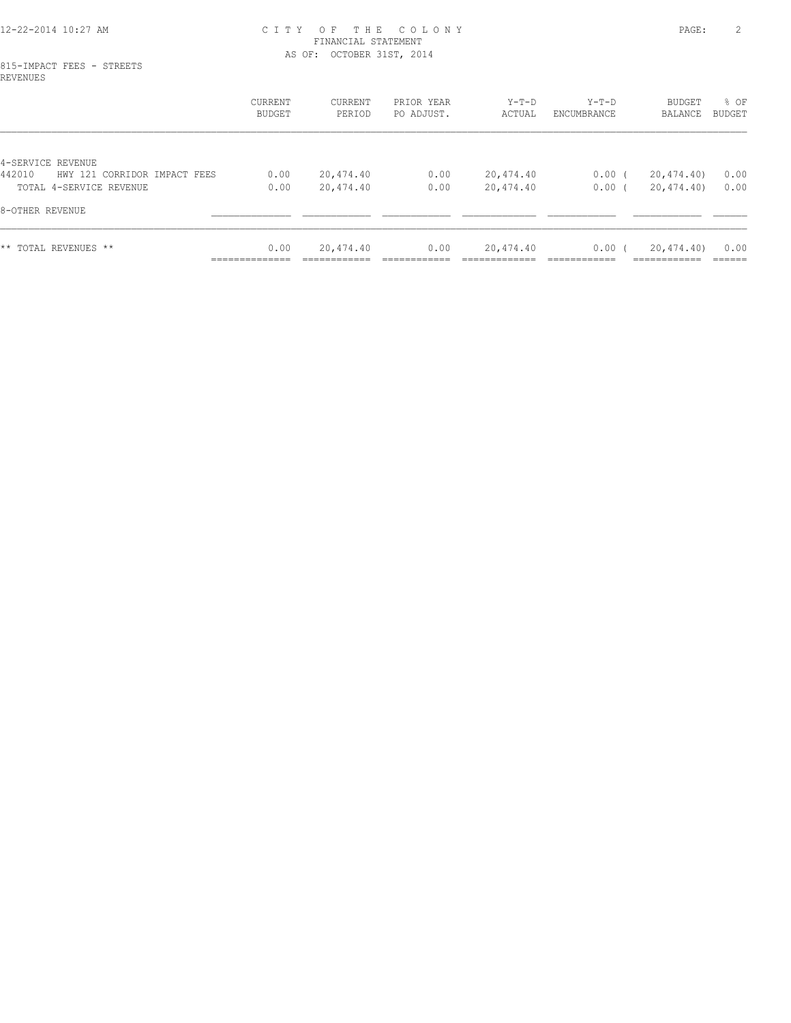#### 12-22-2014 10:27 AM C I T Y O F T H E C O L O N Y PAGE: 2 FINANCIAL STATEMENT AS OF: OCTOBER 31ST, 2014

#### 815-IMPACT FEES - STREETS REVENUES

|                                        | CURRENT<br><b>BUDGET</b> | CURRENT<br>PERIOD | PRIOR YEAR<br>PO ADJUST. | $Y-T-D$<br>ACTUAL | Y-T-D<br>ENCUMBRANCE | BUDGET<br>BALANCE           | % OF<br>BUDGET |
|----------------------------------------|--------------------------|-------------------|--------------------------|-------------------|----------------------|-----------------------------|----------------|
|                                        |                          |                   |                          |                   |                      |                             |                |
| 4-SERVICE REVENUE                      |                          |                   |                          |                   |                      |                             |                |
| 442010<br>HWY 121 CORRIDOR IMPACT FEES | 0.00                     | 20,474.40         | 0.00                     | 20,474.40         | $0.00$ (             | 20,474.40)                  | 0.00           |
| TOTAL 4-SERVICE REVENUE                | 0.00                     | 20,474.40         | 0.00                     | 20,474.40         | 0.00(                | 20,474.40)                  | 0.00           |
| 8-OTHER REVENUE                        |                          |                   |                          |                   |                      |                             |                |
| ** TOTAL REVENUES **                   | 0.00<br>______________   | 20,474.40         | 0.00                     | 20,474.40         | 0.00(                | 20,474.40)<br>------------- | 0.00<br>------ |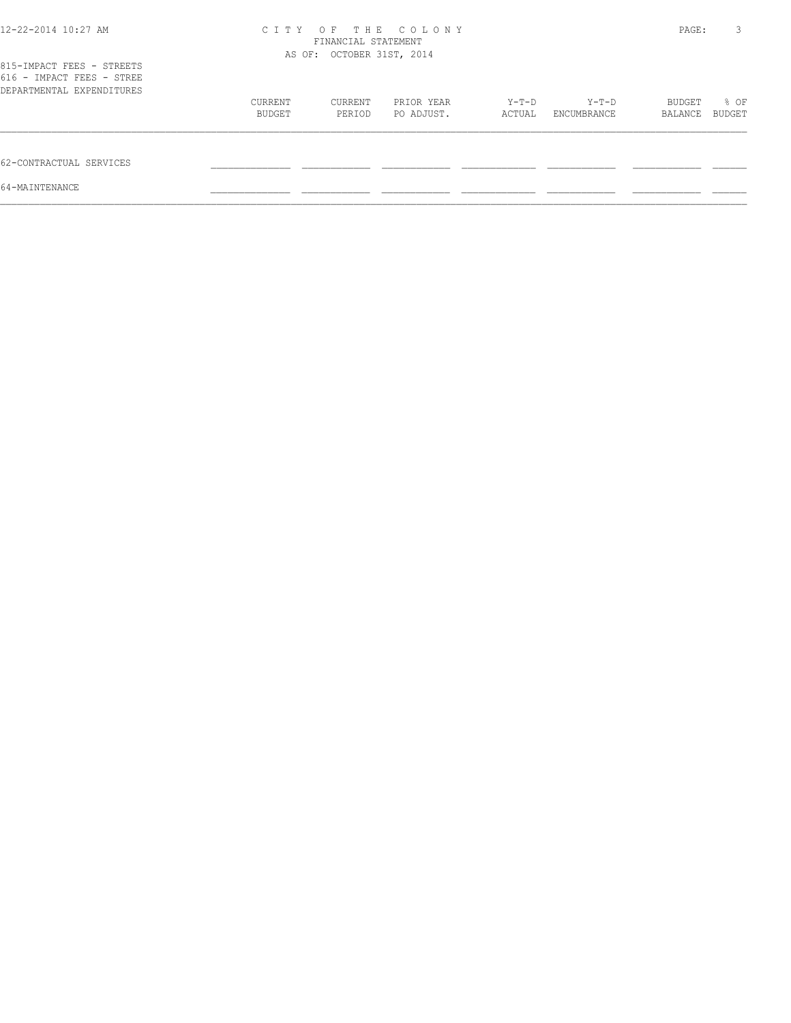| 12-22-2014 10:27 AM                                                                 | C I T Y           | FINANCIAL STATEMENT<br>AS OF: OCTOBER 31ST, 2014 | OF THE COLONY            |                 |                        | PAGE:             | 3              |
|-------------------------------------------------------------------------------------|-------------------|--------------------------------------------------|--------------------------|-----------------|------------------------|-------------------|----------------|
| 815-IMPACT FEES - STREETS<br>616 - IMPACT FEES - STREE<br>DEPARTMENTAL EXPENDITURES |                   |                                                  |                          |                 |                        |                   |                |
|                                                                                     | CURRENT<br>BUDGET | CURRENT<br>PERIOD                                | PRIOR YEAR<br>PO ADJUST. | Y-T-D<br>ACTUAL | $Y-T-D$<br>ENCUMBRANCE | BUDGET<br>BALANCE | % OF<br>BUDGET |
| 62-CONTRACTUAL SERVICES                                                             |                   |                                                  |                          |                 |                        |                   |                |
| 64-MAINTENANCE                                                                      |                   |                                                  |                          |                 |                        |                   |                |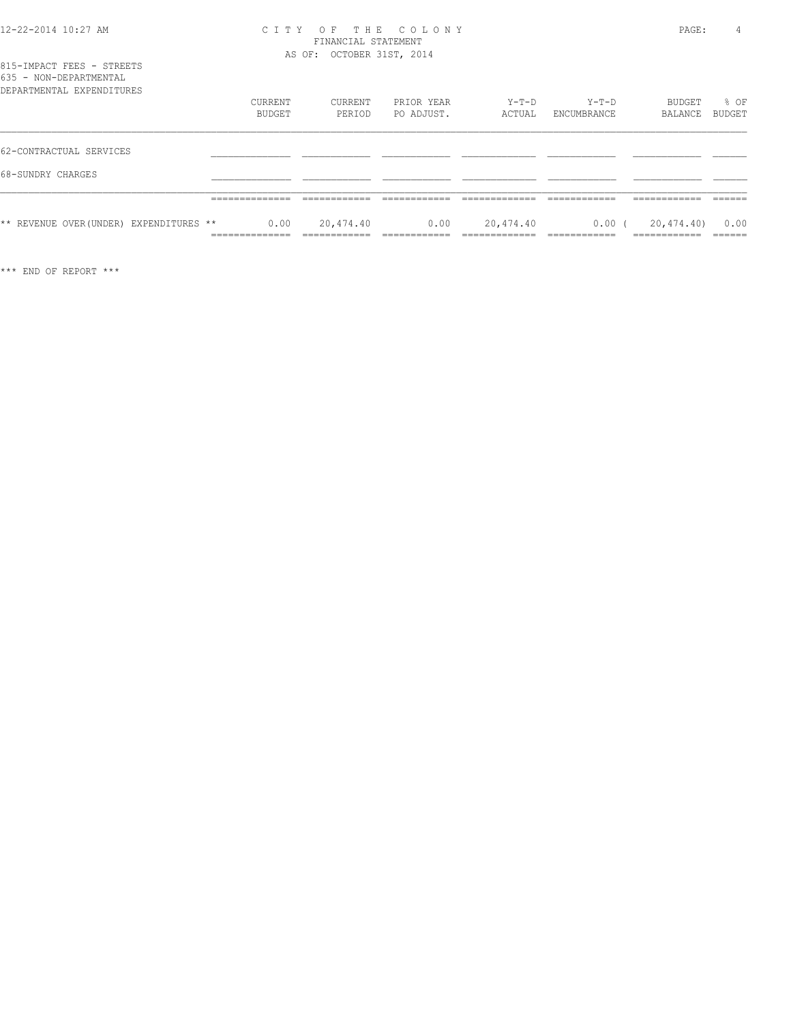| 12-22-2014 10:27 AM |  |
|---------------------|--|
|---------------------|--|

#### 12-22-2014 10:27 AM C I T Y O F T H E C O L O N Y PAGE: 4 FINANCIAL STATEMENT AS OF: OCTOBER 31ST, 2014

|                        |  | 815-IMPACT FEES - STREETS         |  |
|------------------------|--|-----------------------------------|--|
| 635 - NON-DEPARTMENTAL |  |                                   |  |
|                        |  | סתסווייד הואת סעת זגייואת אייסגסת |  |

| DEPARTMENTAL EXPENDITURES               |                                          |           |            |           |             |            |        |
|-----------------------------------------|------------------------------------------|-----------|------------|-----------|-------------|------------|--------|
|                                         | CURRENT                                  | CURRENT   | PRIOR YEAR | $Y-T-D$   | $Y-T-D$     | BUDGET     | % OF   |
|                                         | <b>BUDGET</b>                            | PERIOD    | PO ADJUST. | ACTUAL    | ENCUMBRANCE | BALANCE    | BUDGET |
| 62-CONTRACTUAL SERVICES                 |                                          |           |            |           |             |            |        |
| 68-SUNDRY CHARGES                       |                                          |           |            |           |             |            |        |
|                                         |                                          |           |            |           |             |            |        |
| ** REVENUE OVER (UNDER) EXPENDITURES ** | 0.00<br>---------------<br>------------- | 20,474.40 | 0.00       | 20,474.40 | $0.00$ (    | 20,474.40) | 0.00   |

\*\*\* END OF REPORT \*\*\*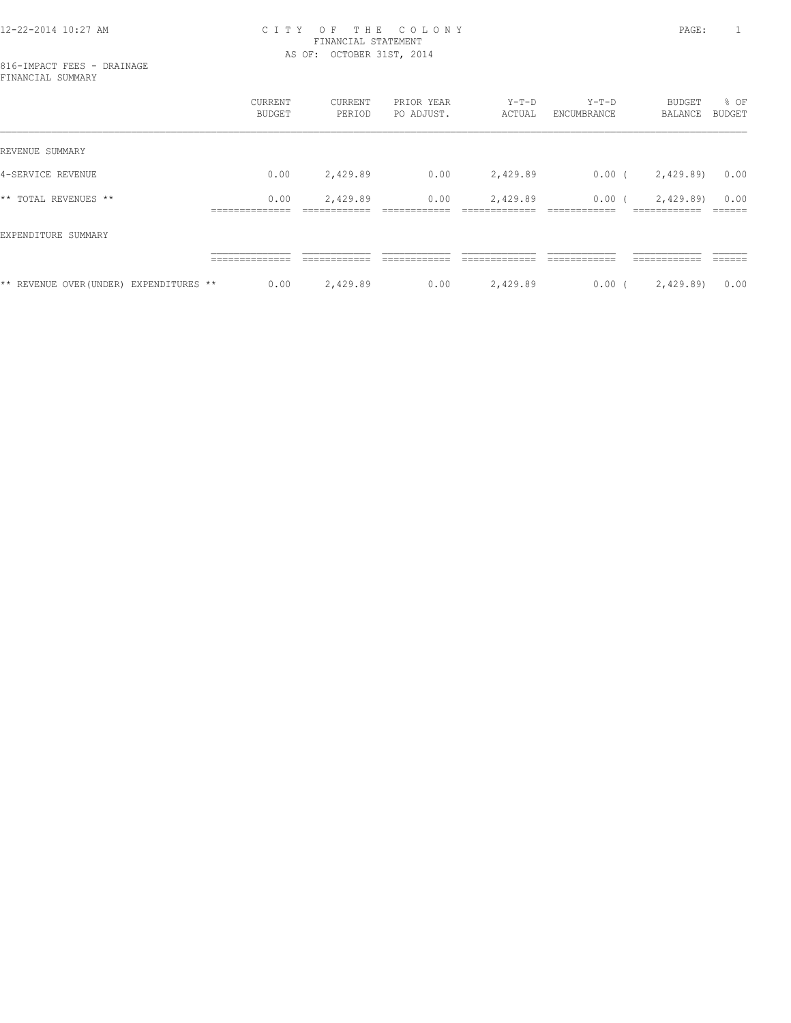#### 12-22-2014 10:27 AM C I T Y O F T H E C O L O N Y PAGE: 1 FINANCIAL STATEMENT AS OF: OCTOBER 31ST, 2014

816-IMPACT FEES - DRAINAGE FINANCIAL SUMMARY

|                                         | CURRENT<br>BUDGET | CURRENT<br>PERIOD | PRIOR YEAR<br>PO ADJUST. | $Y-T-D$<br>ACTUAL | $Y-T-D$<br>ENCUMBRANCE | <b>BUDGET</b><br>BALANCE | % OF<br>BUDGET |
|-----------------------------------------|-------------------|-------------------|--------------------------|-------------------|------------------------|--------------------------|----------------|
| REVENUE SUMMARY                         |                   |                   |                          |                   |                        |                          |                |
| 4-SERVICE REVENUE                       | 0.00              | 2,429.89          | 0.00                     | 2,429.89          | $0.00$ (               | 2,429.89)                | 0.00           |
| ** TOTAL REVENUES **                    | 0.00              | 2,429.89          | 0.00                     | 2,429.89          | $0.00$ (               | 2,429.89)                | 0.00           |
| EXPENDITURE SUMMARY                     |                   |                   |                          |                   |                        |                          |                |
|                                         |                   |                   |                          |                   |                        |                          |                |
| ** REVENUE OVER (UNDER) EXPENDITURES ** | 0.00              | 2,429.89          | 0.00                     | 2,429.89          | $0.00$ (               | 2,429.89)                | 0.00           |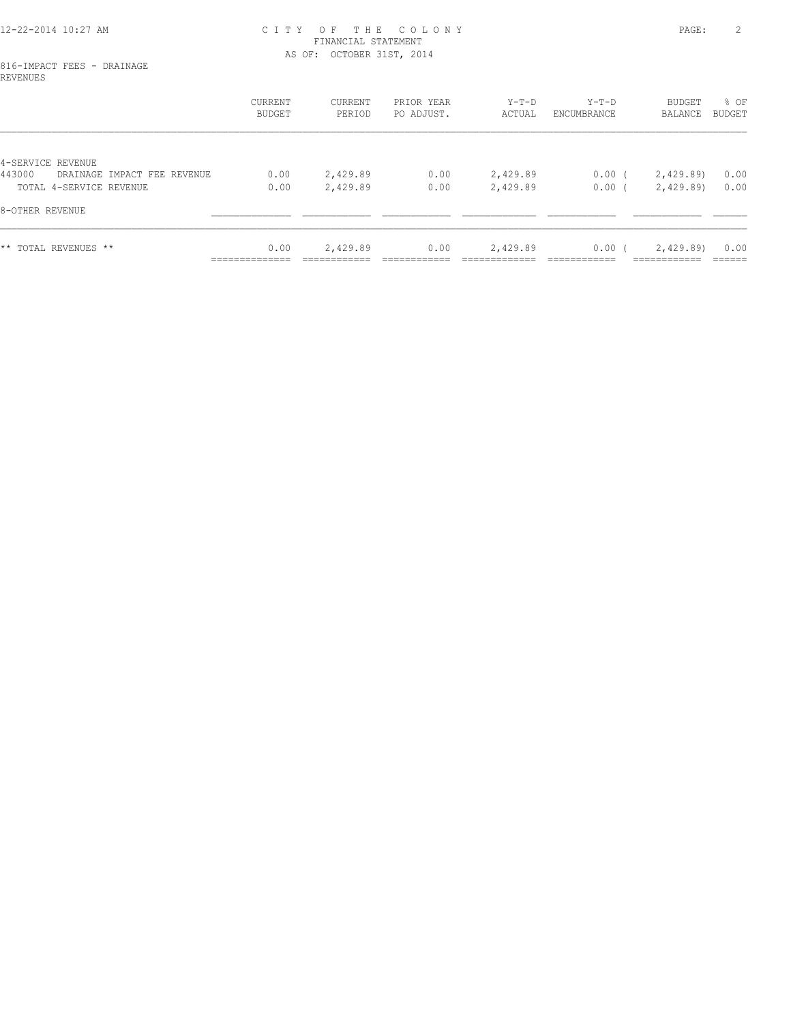#### 12-22-2014 10:27 AM C I T Y O F T H E C O L O N Y PAGE: 2 FINANCIAL STATEMENT AS OF: OCTOBER 31ST, 2014

#### 816-IMPACT FEES - DRAINAGE REVENUES

|                                                            | CURRENT<br><b>BUDGET</b> | CURRENT<br>PERIOD | PRIOR YEAR<br>PO ADJUST. | $Y-T-D$<br>ACTUAL | Y-T-D<br>ENCUMBRANCE | BUDGET<br>BALANCE          | % OF<br>BUDGET |
|------------------------------------------------------------|--------------------------|-------------------|--------------------------|-------------------|----------------------|----------------------------|----------------|
|                                                            |                          |                   |                          |                   |                      |                            |                |
| 4-SERVICE REVENUE<br>443000<br>DRAINAGE IMPACT FEE REVENUE | 0.00                     | 2,429.89          | 0.00                     | 2,429.89          | $0.00$ (             | 2,429.89)                  | 0.00           |
| TOTAL 4-SERVICE REVENUE                                    | 0.00                     | 2,429.89          | 0.00                     | 2,429.89          | $0.00$ (             | 2,429.89)                  | 0.00           |
| 8-OTHER REVENUE                                            |                          |                   |                          |                   |                      |                            |                |
| ** TOTAL REVENUES **                                       | 0.00<br>______________   | 2,429.89          | 0.00                     | 2,429.89          | 0.00(                | 2,429.89)<br>------------- | 0.00<br>------ |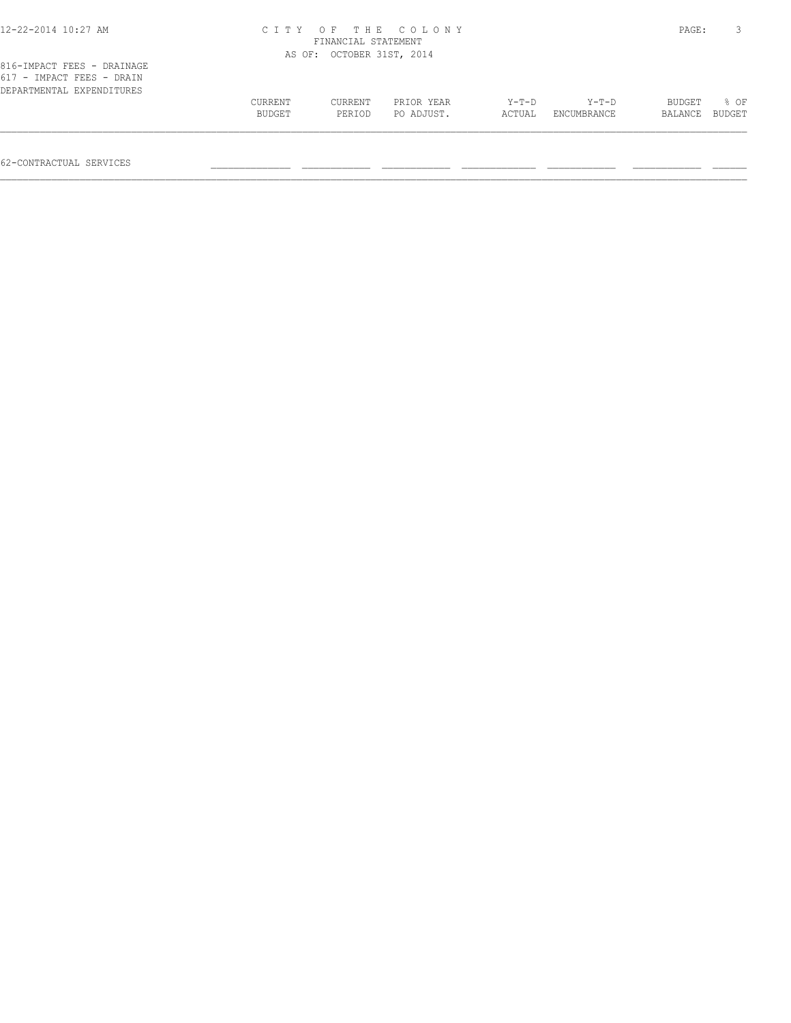| 12-22-2014 10:27 AM                                     |                |                           | CITY OF THE COLONY |         |             | PAGE:   |        |
|---------------------------------------------------------|----------------|---------------------------|--------------------|---------|-------------|---------|--------|
|                                                         |                | FINANCIAL STATEMENT       |                    |         |             |         |        |
|                                                         |                | AS OF: OCTOBER 31ST, 2014 |                    |         |             |         |        |
| 816-IMPACT FEES - DRAINAGE<br>617 - IMPACT FEES - DRAIN |                |                           |                    |         |             |         |        |
| DEPARTMENTAL EXPENDITURES                               |                |                           |                    |         |             |         |        |
|                                                         | <b>CURRENT</b> | CURRENT                   | PRIOR YEAR         | $Y-T-D$ | $Y-T-D$     | BUDGET  | 8 OF   |
|                                                         | BUDGET         | PERIOD                    | PO ADJUST.         | ACTUAL  | ENCUMBRANCE | BALANCE | BUDGET |

 $\mathcal{L} = \{ \mathcal{L} = \{ \mathcal{L} = \{ \mathcal{L} = \{ \mathcal{L} = \{ \mathcal{L} = \{ \mathcal{L} = \{ \mathcal{L} = \{ \mathcal{L} = \{ \mathcal{L} = \{ \mathcal{L} = \{ \mathcal{L} = \{ \mathcal{L} = \{ \mathcal{L} = \{ \mathcal{L} = \{ \mathcal{L} = \{ \mathcal{L} = \{ \mathcal{L} = \{ \mathcal{L} = \{ \mathcal{L} = \{ \mathcal{L} = \{ \mathcal{L} = \{ \mathcal{L} = \{ \mathcal{L} = \{ \mathcal{$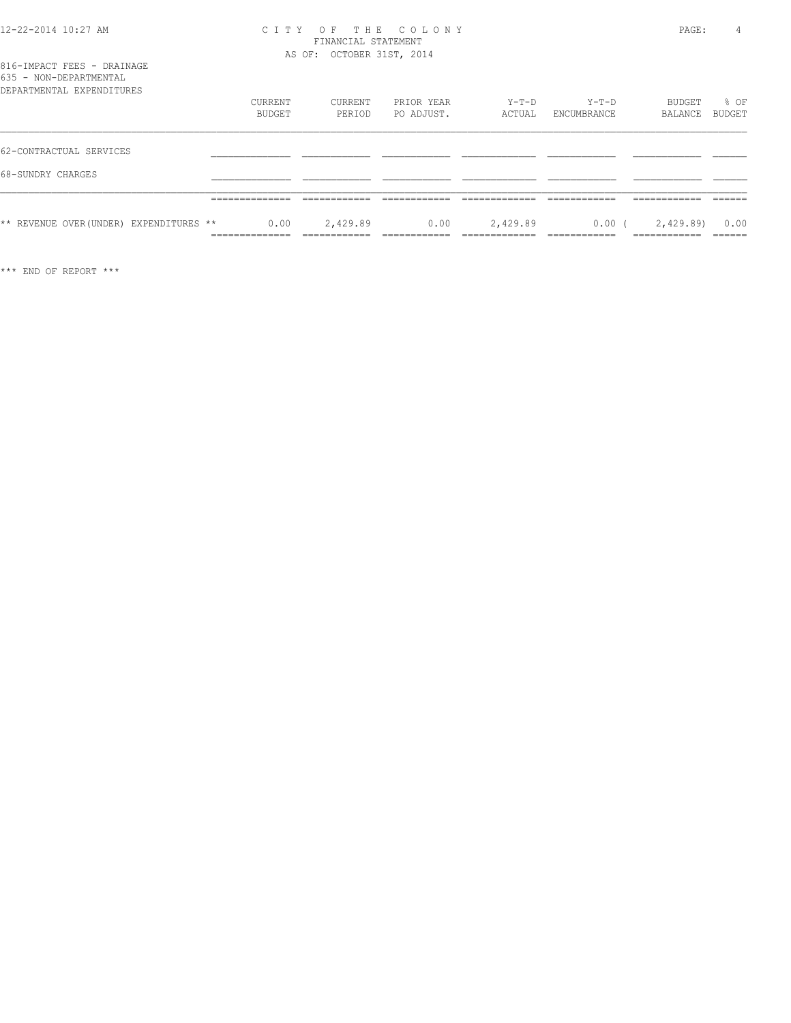#### 12-22-2014 10:27 AM C I T Y O F T H E C O L O N Y PAGE: 4 FINANCIAL STATEMENT AS OF: OCTOBER 31ST, 2014

|                        |  | 816-IMPACT FEES - DRAINAGE |
|------------------------|--|----------------------------|
| 635 - NON-DEPARTMENTAL |  |                            |
|                        |  |                            |

| DEPARTMENTAL EXPENDITURES               | CURRENT<br>BUDGET | CURRENT<br>PERIOD | PRIOR YEAR<br>PO ADJUST. | Y-T-D<br>ACTUAL | $Y-T-D$<br>ENCUMBRANCE | BUDGET<br>BALANCE | % OF<br>BUDGET |
|-----------------------------------------|-------------------|-------------------|--------------------------|-----------------|------------------------|-------------------|----------------|
| 62-CONTRACTUAL SERVICES                 |                   |                   |                          |                 |                        |                   |                |
| 68-SUNDRY CHARGES                       |                   |                   |                          |                 |                        |                   |                |
|                                         |                   |                   |                          |                 |                        |                   |                |
| ** REVENUE OVER (UNDER) EXPENDITURES ** | 0.00              | 2,429.89          | 0.00                     | 2,429.89        | $0.00$ (               | 2,429.89)         | 0.00           |

\*\*\* END OF REPORT \*\*\*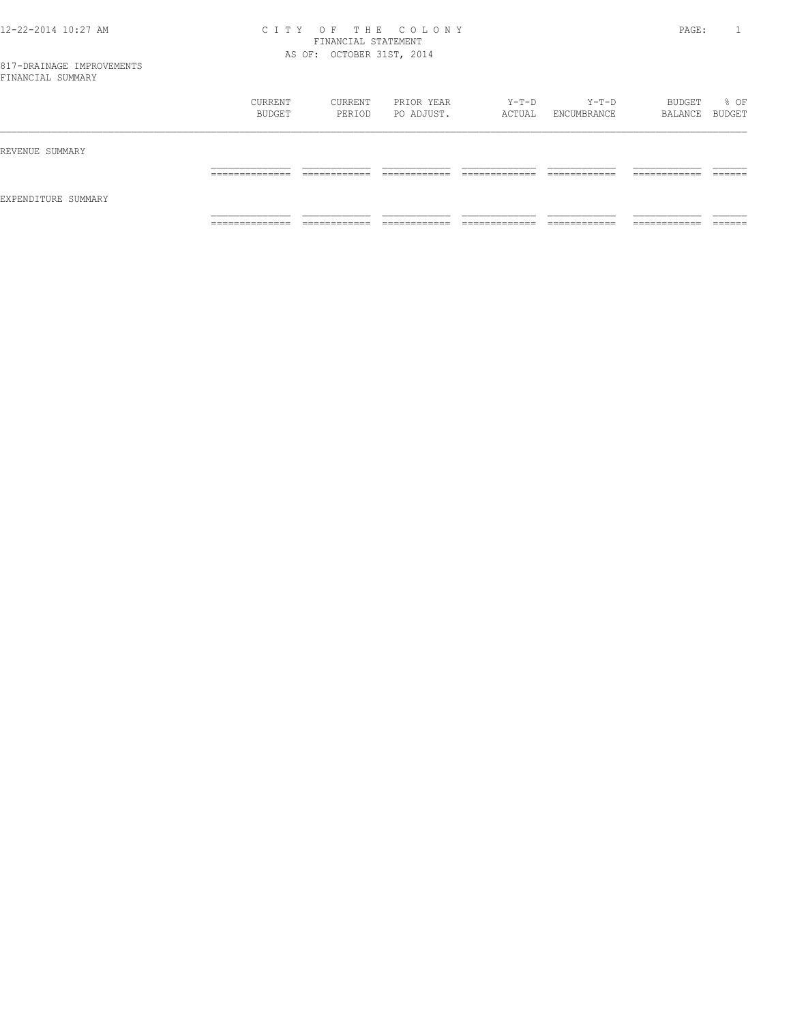#### 12-22-2014 10:27 AM C I T Y O F T H E C O L O N Y PAGE: 1 FINANCIAL STATEMENT AS OF: OCTOBER 31ST, 2014

|                     | CURRENT<br>BUDGET                | CURRENT<br>PERIOD            | PRIOR YEAR<br>PO ADJUST.       | $Y-T-D$<br>ACTUAL              | Y-T-D<br>ENCUMBRANCE          | BUDGET<br>BALANCE BUDGET      | % OF                   |
|---------------------|----------------------------------|------------------------------|--------------------------------|--------------------------------|-------------------------------|-------------------------------|------------------------|
| REVENUE SUMMARY     |                                  |                              |                                |                                |                               |                               |                        |
|                     | ______________<br>______________ | ____________<br>____________ | ____________<br>____________   | _____________<br>_____________ | ____________<br>____________  | -------------<br>____________ | -------<br>_______     |
| EXPENDITURE SUMMARY |                                  |                              |                                |                                |                               |                               |                        |
|                     | ______________<br>.              | ____________<br>____________ | -------------<br>_____________ | _____________<br>.             | -------------<br>____________ | -------------<br>____________ | $- - - - -$<br>_______ |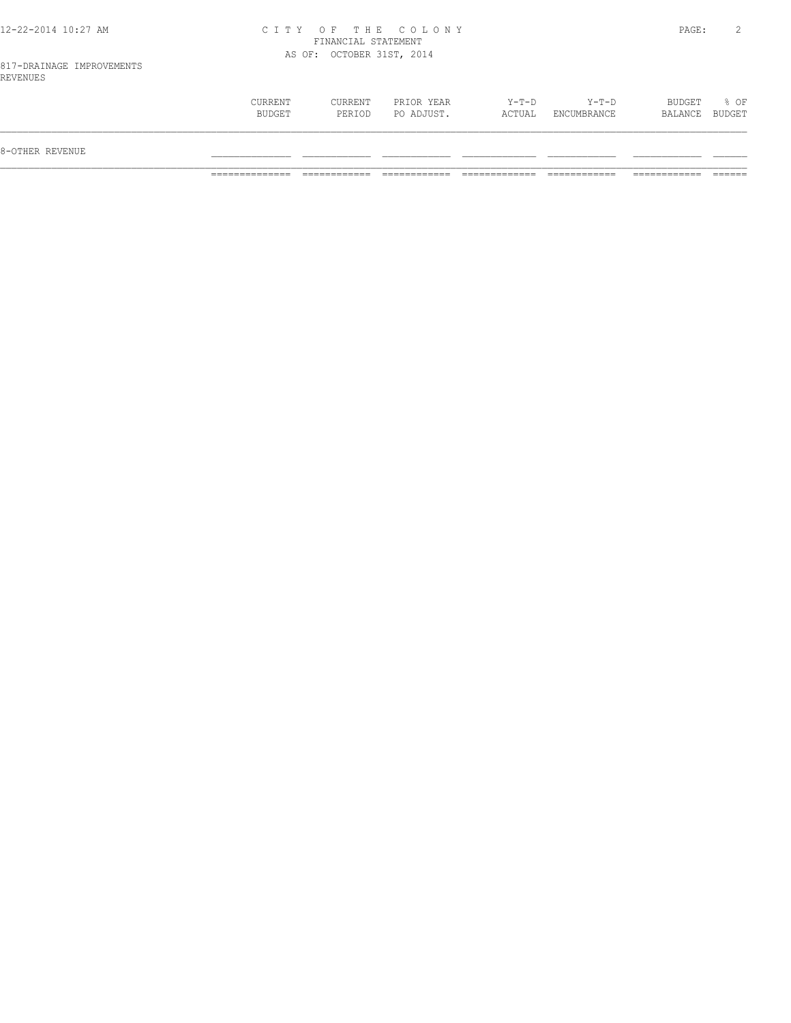#### 12-22-2014 10:27 AM C I T Y O F T H E C O L O N Y PAGE: 2 FINANCIAL STATEMENT AS OF: OCTOBER 31ST, 2014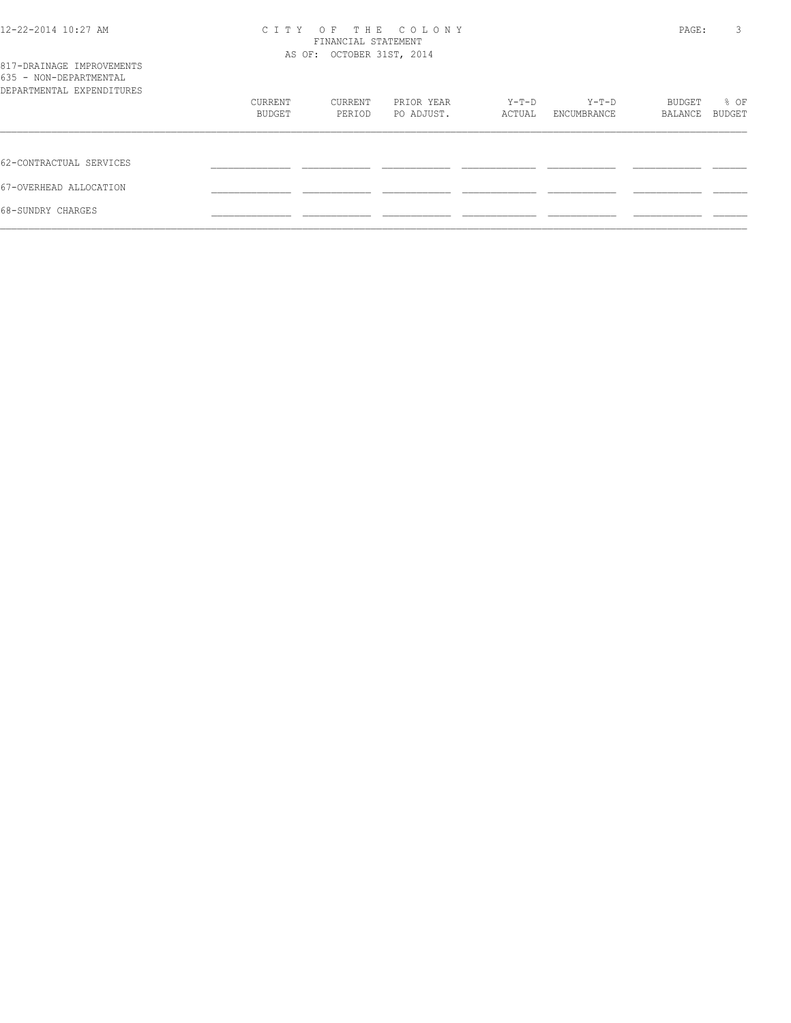| 12-22-2014 10:27 AM                                                              |         | CITY OF THE COLONY<br>FINANCIAL STATEMENT<br>AS OF: OCTOBER 31ST, 2014 |            |        |             |         |        |
|----------------------------------------------------------------------------------|---------|------------------------------------------------------------------------|------------|--------|-------------|---------|--------|
| 817-DRAINAGE IMPROVEMENTS<br>635 - NON-DEPARTMENTAL<br>DEPARTMENTAL EXPENDITURES |         |                                                                        |            |        |             |         |        |
|                                                                                  | CURRENT | CURRENT                                                                | PRIOR YEAR | Y-T-D  | Y-T-D       | BUDGET  | % OF   |
|                                                                                  | BUDGET  | PERIOD                                                                 | PO ADJUST. | ACTUAL | ENCUMBRANCE | BALANCE | BUDGET |
| 62-CONTRACTUAL SERVICES                                                          |         |                                                                        |            |        |             |         |        |
| 67-OVERHEAD ALLOCATION                                                           |         |                                                                        |            |        |             |         |        |
| 68-SUNDRY CHARGES                                                                |         |                                                                        |            |        |             |         |        |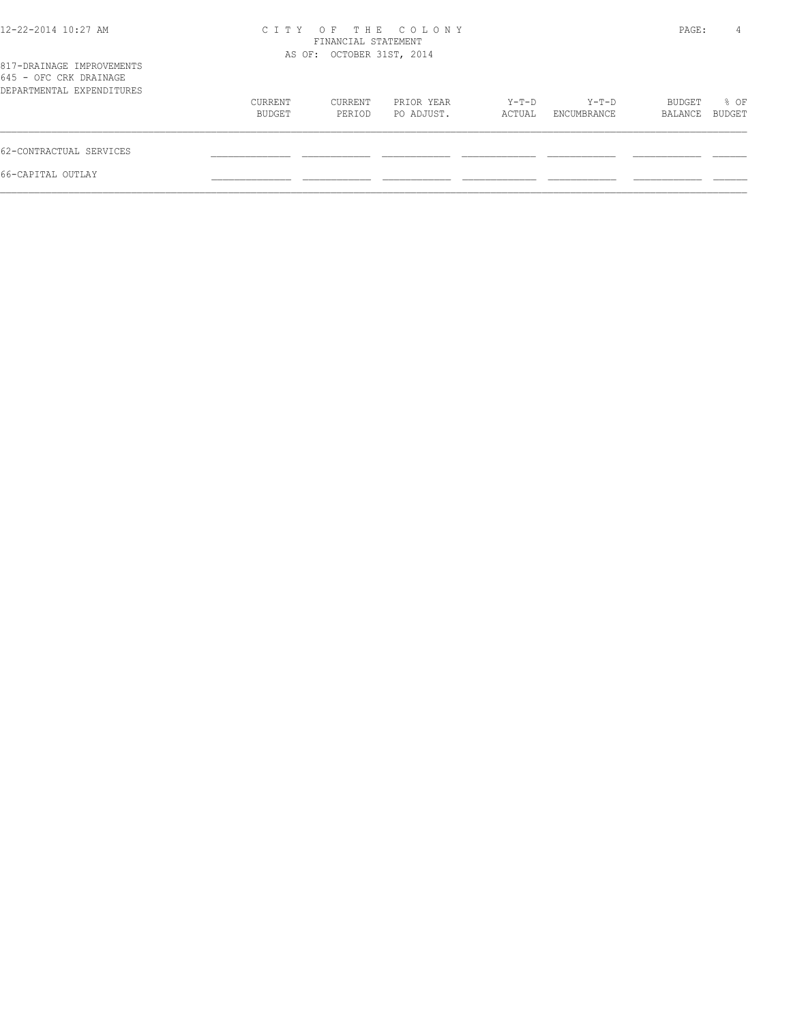| 12-22-2014 10:27 AM                                                              |                   | FINANCIAL STATEMENT<br>AS OF: OCTOBER 31ST, 2014 | CITY OF THE COLONY       |                 |                      | PAGE:             | 4              |
|----------------------------------------------------------------------------------|-------------------|--------------------------------------------------|--------------------------|-----------------|----------------------|-------------------|----------------|
| 817-DRAINAGE IMPROVEMENTS<br>645 - OFC CRK DRAINAGE<br>DEPARTMENTAL EXPENDITURES |                   |                                                  |                          |                 |                      |                   |                |
|                                                                                  | CURRENT<br>BUDGET | CURRENT<br>PERIOD                                | PRIOR YEAR<br>PO ADJUST. | Y-T-D<br>ACTUAL | Y-T-D<br>ENCUMBRANCE | BUDGET<br>BALANCE | % OF<br>BUDGET |
| 62-CONTRACTUAL SERVICES                                                          |                   |                                                  |                          |                 |                      |                   |                |
| 66-CAPITAL OUTLAY                                                                |                   |                                                  |                          |                 |                      |                   |                |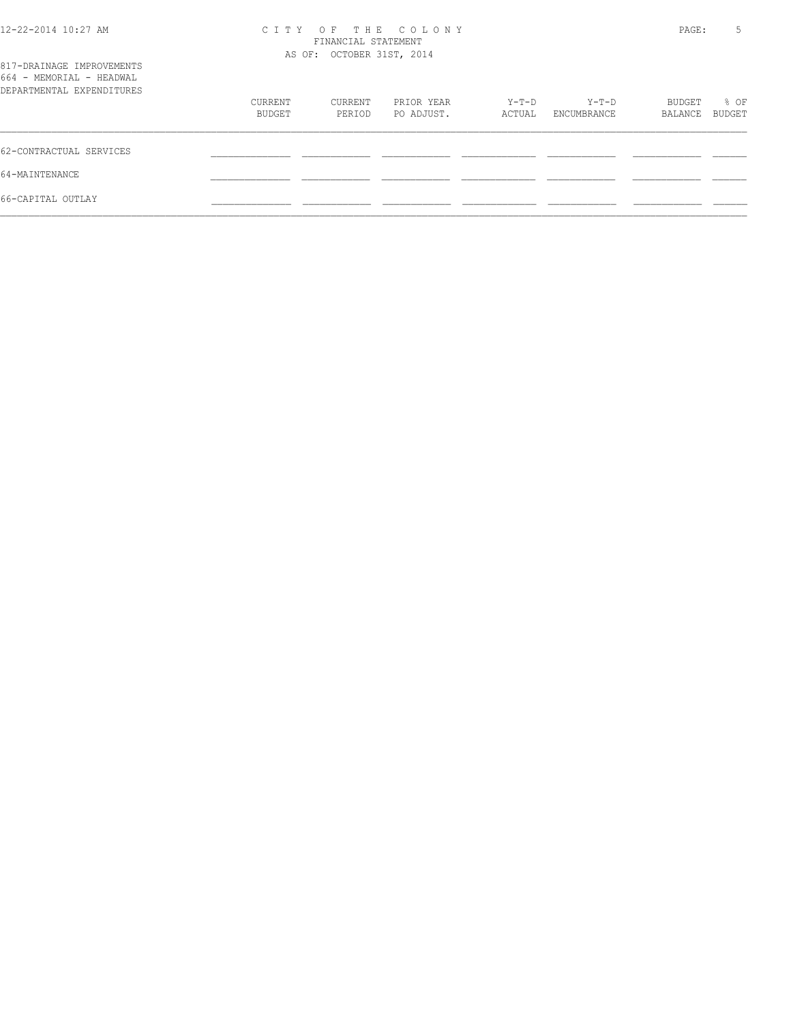| $12 - 22 - 2014$ $10:27$ AM                                                        | C T T Y<br>AS OF: OCTOBER 31ST, 2014 | PAGE:   | 5          |        |             |         |        |
|------------------------------------------------------------------------------------|--------------------------------------|---------|------------|--------|-------------|---------|--------|
| 817-DRAINAGE IMPROVEMENTS<br>664 - MEMORIAL - HEADWAL<br>DEPARTMENTAL EXPENDITURES |                                      |         |            |        |             |         |        |
|                                                                                    | CURRENT                              | CURRENT | PRIOR YEAR | Y-T-D  | $Y-T-D$     | BUDGET  | % OF   |
|                                                                                    | BUDGET                               | PERIOD  | PO ADJUST. | ACTUAL | ENCUMBRANCE | BALANCE | BUDGET |
| 62-CONTRACTUAL SERVICES                                                            |                                      |         |            |        |             |         |        |
| 64-MAINTENANCE                                                                     |                                      |         |            |        |             |         |        |
| 66-CAPITAL OUTLAY                                                                  |                                      |         |            |        |             |         |        |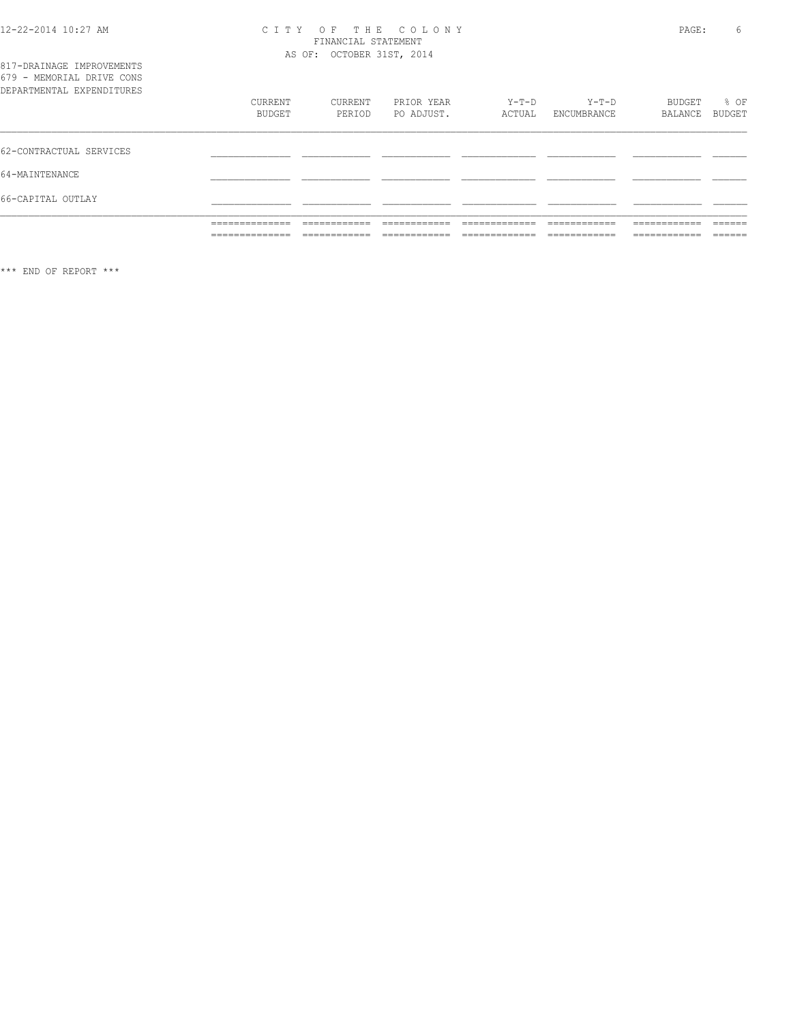# CITY OF THE COLONY<br>
CITY OF THE COLONY<br>
FINANCIAL STATEMENT<br>
AS OF: OCTOBER 31ST, 2014

|                                                        | ______________<br>______________ | ____________<br>____________ | -----------<br>____________   | --------------<br>____________ | ------------<br>____________  | __________<br>____________    | -------<br>______ |
|--------------------------------------------------------|----------------------------------|------------------------------|-------------------------------|--------------------------------|-------------------------------|-------------------------------|-------------------|
|                                                        | ______________<br>______________ | ____________<br>____________ | -------------<br>____________ | _____________<br>_____________ | -------------<br>____________ | -------------<br>____________ | -------<br>______ |
| 66-CAPITAL OUTLAY                                      |                                  |                              |                               |                                |                               |                               |                   |
| 64-MAINTENANCE                                         |                                  |                              |                               |                                |                               |                               |                   |
| 62-CONTRACTUAL SERVICES                                |                                  |                              |                               |                                |                               |                               |                   |
| DEPARTMENTAL EXPENDITURES                              | CURRENT<br>BUDGET                | CURRENT<br>PERIOD            | PRIOR YEAR<br>PO ADJUST.      | $Y-T-D$<br>ACTUAL              | $Y-T-D$<br>ENCUMBRANCE        | BUDGET<br>BALANCE             | $8$ OF<br>BUDGET  |
| 817-DRAINAGE IMPROVEMENTS<br>679 - MEMORIAL DRIVE CONS |                                  |                              |                               |                                |                               |                               |                   |

\*\*\* END OF REPORT \*\*\*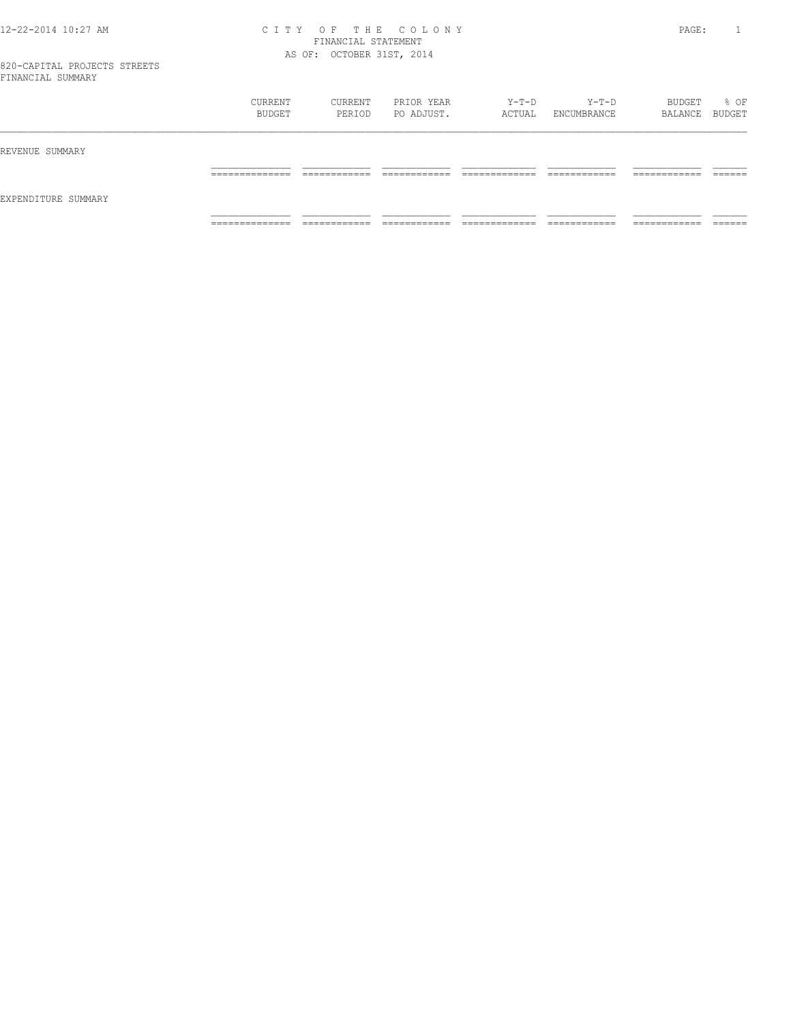#### 12-22-2014 10:27 AM C I T Y O F T H E C O L O N Y PAGE: 1 FINANCIAL STATEMENT AS OF: OCTOBER 31ST, 2014

|                     | CURRENT<br>BUDGET   | CURRENT<br>PERIOD           | PRIOR YEAR<br>PO ADJUST. | $Y-T-D$<br>ACTUAL  | Y-T-D<br>ENCUMBRANCE | BUDGET<br>BALANCE BUDGET     | % OF    |
|---------------------|---------------------|-----------------------------|--------------------------|--------------------|----------------------|------------------------------|---------|
| REVENUE SUMMARY     | ______________      | -------------               | ____________             | _____________      | ____________         | ____________                 | ------- |
| EXPENDITURE SUMMARY | ____________        | ____________                | ____________             | ______________     | ____________         | ____________                 | _______ |
|                     | ______________<br>. | ------------<br>----------- | -------------<br>.       | _____________<br>. | -------------<br>.   | -------------<br>----------- |         |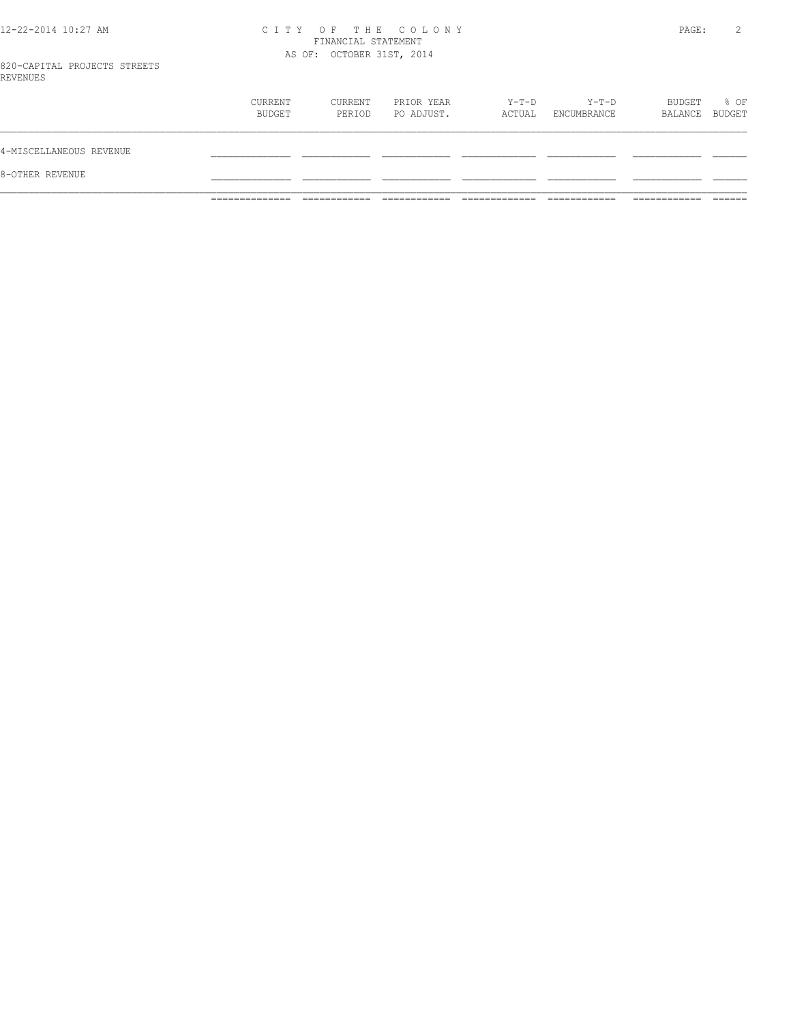#### 12-22-2014 10:27 AM C I T Y O F T H E C O L O N Y PAGE: 2 FINANCIAL STATEMENT AS OF: OCTOBER 31ST, 2014

820-CAPITAL PROJECTS STREETS REVENUES

| 8-OTHER REVENUE         |                   |                   |                          |                 |                      |                   |                |
|-------------------------|-------------------|-------------------|--------------------------|-----------------|----------------------|-------------------|----------------|
| 4-MISCELLANEOUS REVENUE |                   |                   |                          |                 |                      |                   |                |
|                         | CURRENT<br>BUDGET | CURRENT<br>PERIOD | PRIOR YEAR<br>PO ADJUST. | Y-T-D<br>ACTUAL | Y-T-D<br>ENCUMBRANCE | BUDGET<br>BALANCE | % OF<br>BUDGET |
|                         |                   |                   |                          |                 |                      |                   |                |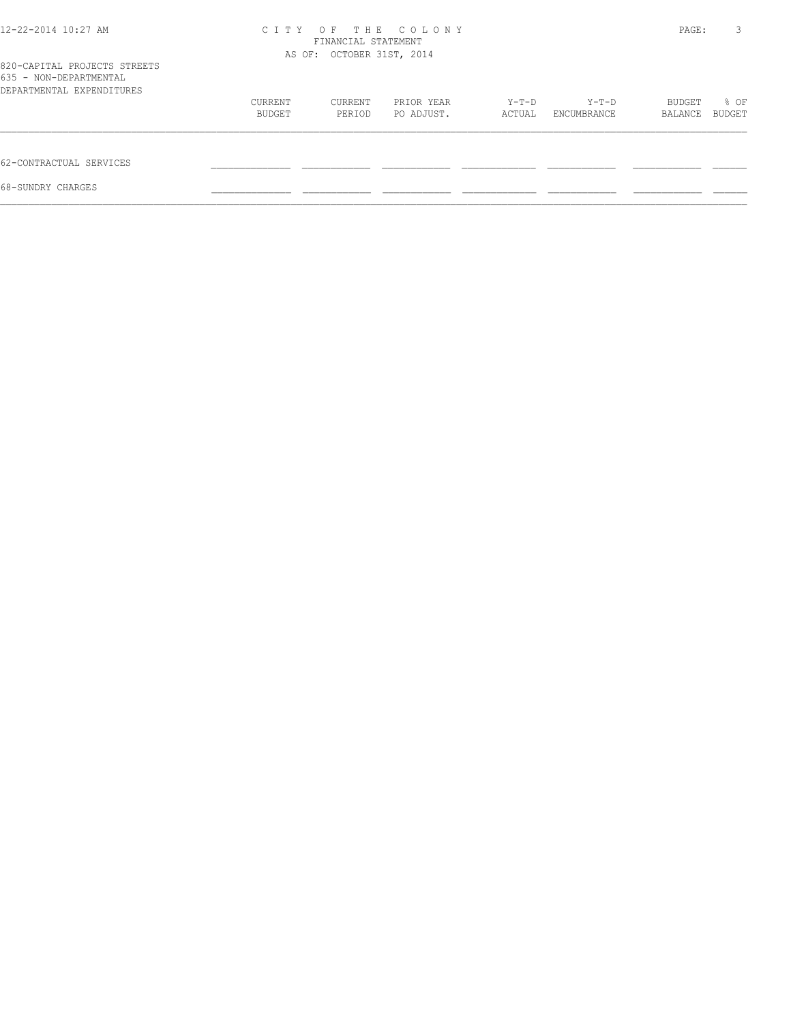| 12-22-2014 10:27 AM                                    |         | OF THE COLONY<br>C T T Y<br>FINANCIAL STATEMENT<br>AS OF: OCTOBER 31ST, 2014 |            |        |             |         |        |
|--------------------------------------------------------|---------|------------------------------------------------------------------------------|------------|--------|-------------|---------|--------|
| 820-CAPITAL PROJECTS STREETS<br>635 - NON-DEPARTMENTAL |         |                                                                              |            |        |             |         |        |
| DEPARTMENTAL EXPENDITURES                              |         |                                                                              |            |        |             |         |        |
|                                                        | CURRENT | CURRENT                                                                      | PRIOR YEAR | Y-T-D  | Y-T-D       | BUDGET  | % OF   |
|                                                        | BUDGET  | PERIOD                                                                       | PO ADJUST. | ACTUAL | ENCUMBRANCE | BALANCE | BUDGET |
| 62-CONTRACTUAL SERVICES                                |         |                                                                              |            |        |             |         |        |
| 68-SUNDRY CHARGES                                      |         |                                                                              |            |        |             |         |        |
|                                                        |         |                                                                              |            |        |             |         |        |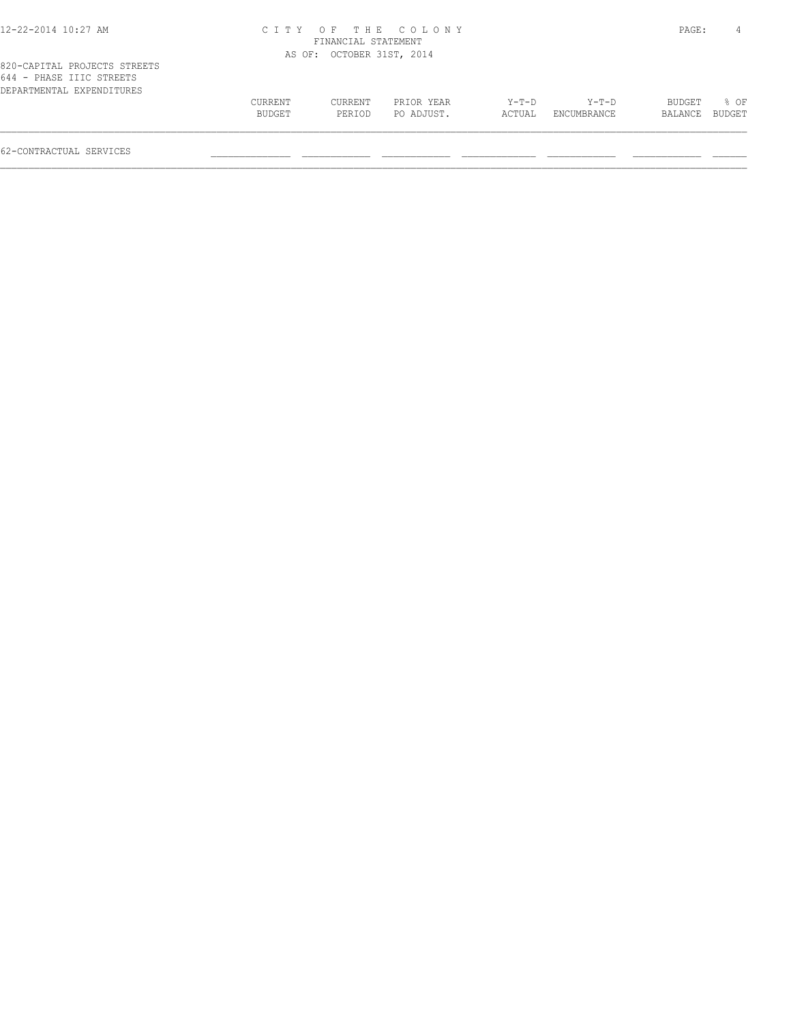|--|

#### 12-22-2014 10:27 AM C I T Y O F T H E C O L O N Y PAGE: 4 FINANCIAL STATEMENT AS OF: OCTOBER 31ST, 2014

| 644 - PHASE IIIC STREETS  |                |         |            |         |             |                |      |
|---------------------------|----------------|---------|------------|---------|-------------|----------------|------|
| DEPARTMENTAL EXPENDITURES |                |         |            |         |             |                |      |
|                           | <b>CURRENT</b> | CURRENT | PRIOR YEAR | $Y-T-D$ | $Y-T-D$     | BUDGET         | 8 OF |
|                           | BUDGET         | PERTOD  | PO ADJUST. | ACTUAL  | ENCUMBRANCE | BALANCE BUDGET |      |
|                           |                |         |            |         |             |                |      |
|                           |                |         |            |         |             |                |      |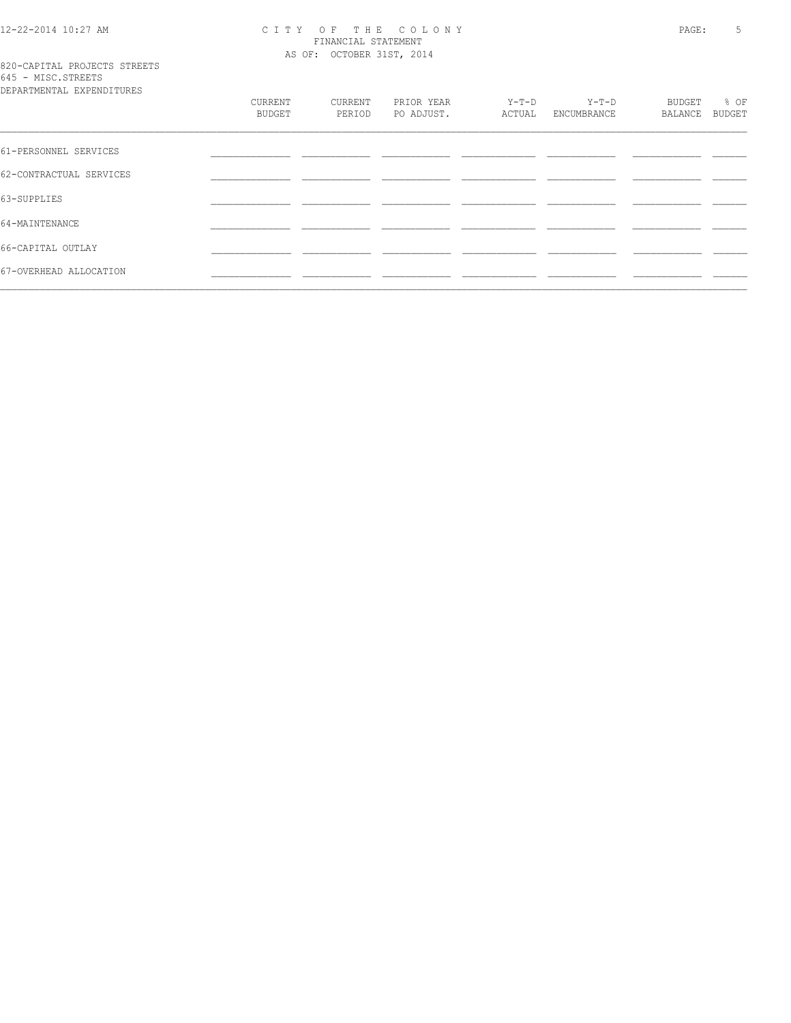# 12-22-2014 10:27 AM CITY OF THE COLONY<br>FINANCIAL STATEMENT<br>AS OF: OCTOBER 31ST, 2014

## 820-CAPITAL PROJECTS STREETS<br>645 - MISC.STREETS<br>RERESTE

| DEPARTMENTAL EXPENDITURES | CURRENT<br>BUDGET | CURRENT<br>PERIOD | PRIOR YEAR<br>PO ADJUST. | $Y-T-D$<br>ACTUAL | $Y-T-D$<br>ENCUMBRANCE | BUDGET<br>BALANCE | % OF<br>BUDGET |
|---------------------------|-------------------|-------------------|--------------------------|-------------------|------------------------|-------------------|----------------|
| 61-PERSONNEL SERVICES     |                   |                   |                          |                   |                        |                   |                |
| 62-CONTRACTUAL SERVICES   |                   |                   |                          |                   |                        |                   |                |
| 63-SUPPLIES               |                   |                   |                          |                   |                        |                   |                |
| 64-MAINTENANCE            |                   |                   |                          |                   |                        |                   |                |
| 66-CAPITAL OUTLAY         |                   |                   |                          |                   |                        |                   |                |
| 67-OVERHEAD ALLOCATION    |                   |                   |                          |                   |                        |                   |                |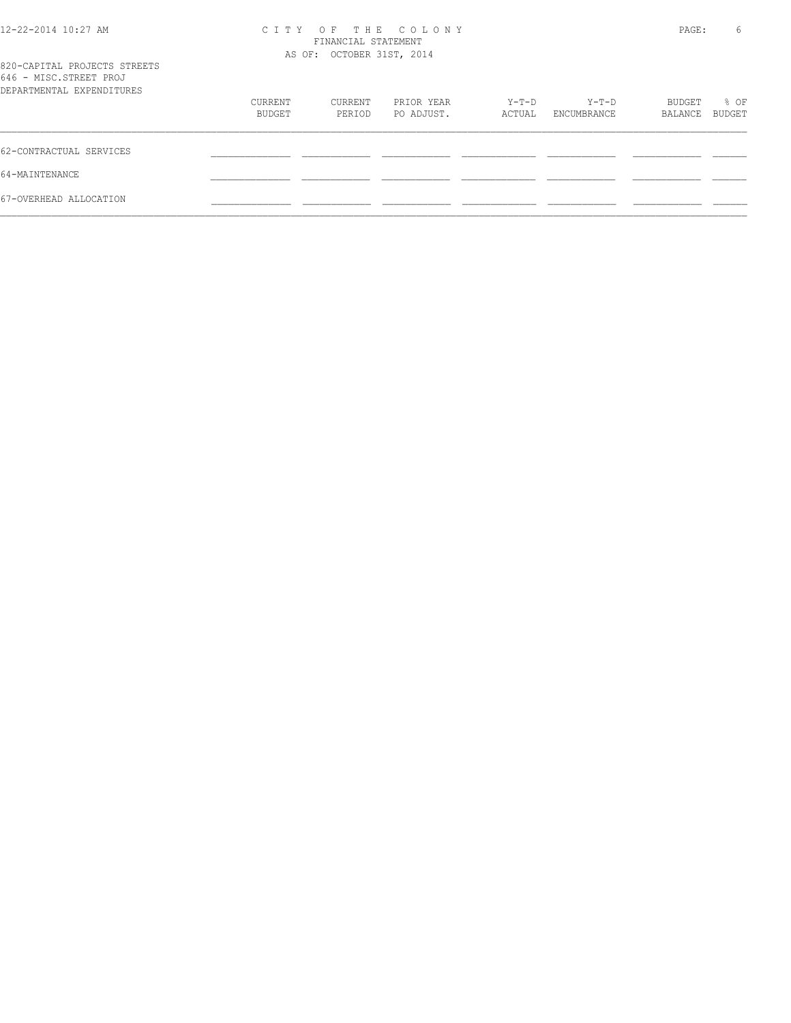| 12-22-2014 10:27 AM                                                                 | OF THE COLONY<br>C T T Y<br>FINANCIAL STATEMENT<br>AS OF: OCTOBER 31ST, 2014 |                   |                          |                 |                      |                   | 6<br>PAGE:            |
|-------------------------------------------------------------------------------------|------------------------------------------------------------------------------|-------------------|--------------------------|-----------------|----------------------|-------------------|-----------------------|
| 820-CAPITAL PROJECTS STREETS<br>646 - MISC.STREET PROJ<br>DEPARTMENTAL EXPENDITURES |                                                                              |                   |                          |                 |                      |                   |                       |
|                                                                                     | CURRENT<br>BUDGET                                                            | CURRENT<br>PERIOD | PRIOR YEAR<br>PO ADJUST. | Y-T-D<br>ACTUAL | Y-T-D<br>ENCUMBRANCE | BUDGET<br>BALANCE | % OF<br><b>BUDGET</b> |
| 62-CONTRACTUAL SERVICES                                                             |                                                                              |                   |                          |                 |                      |                   |                       |
| 64-MAINTENANCE                                                                      |                                                                              |                   |                          |                 |                      |                   |                       |
| 67-OVERHEAD ALLOCATION                                                              |                                                                              |                   |                          |                 |                      |                   |                       |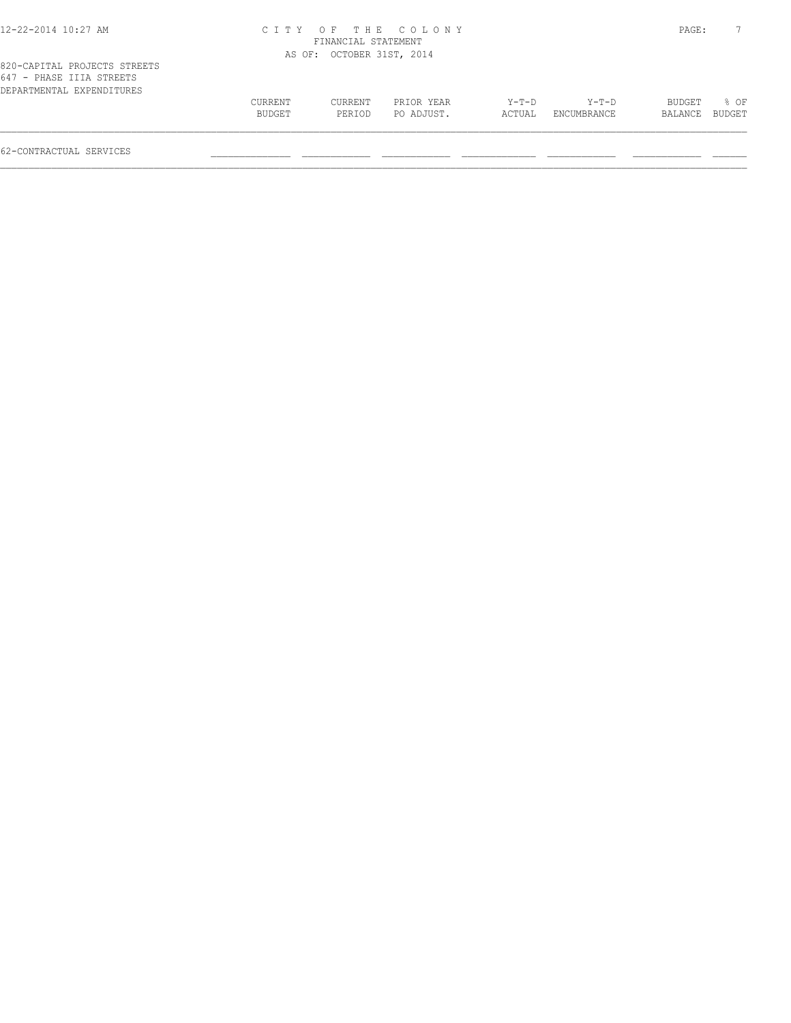#### 12-22-2014 10:27 AM C I T Y O F T H E C O L O N Y PAGE: 7 FINANCIAL STATEMENT AS OF: OCTOBER 31ST, 2014

| 647 - PHASE IIIA STREETS  |         |         |            |        |             |                |      |
|---------------------------|---------|---------|------------|--------|-------------|----------------|------|
| DEPARTMENTAL EXPENDITURES |         |         |            |        |             |                |      |
|                           | CURRENT | CURRENT | PRIOR YEAR | Y-T-D  | $Y-T-D$     | BUDGET         | 8 OF |
|                           | BUDGET  | PERIOD  | PO ADJUST. | ACTUAL | ENCUMBRANCE | BALANCE BUDGET |      |
|                           |         |         |            |        |             |                |      |
|                           |         |         |            |        |             |                |      |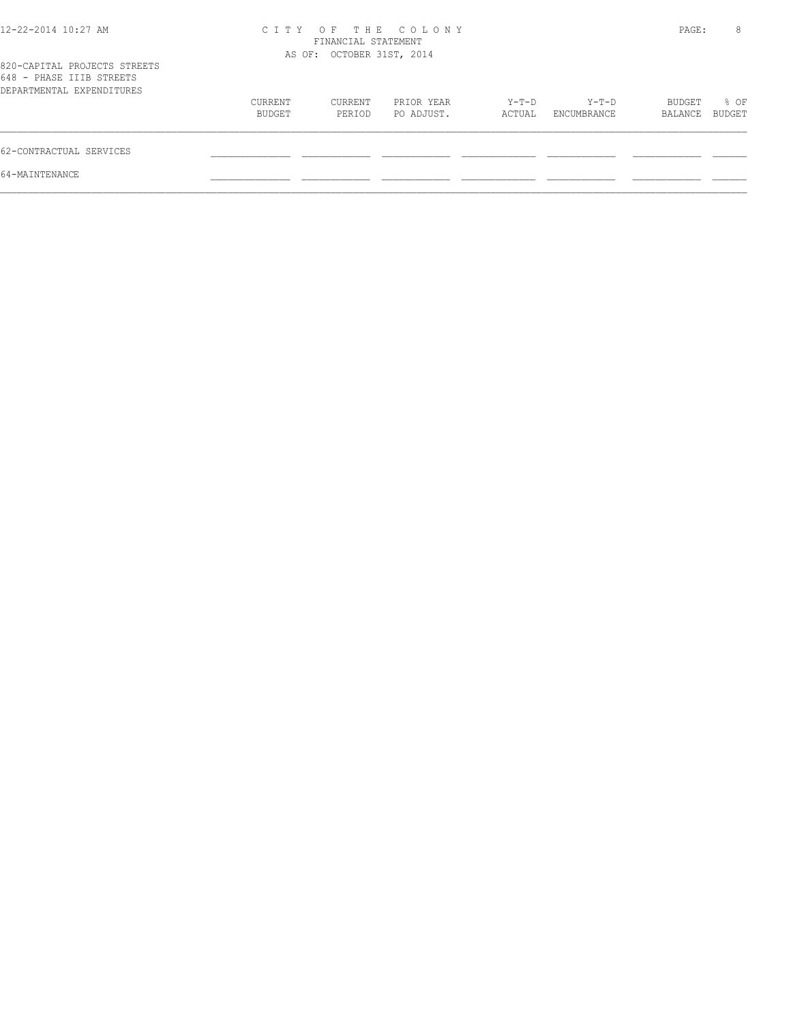| 12-22-2014 10:27 AM                                                                   | OF THE COLONY<br>C I T Y<br>FINANCIAL STATEMENT<br>AS OF: OCTOBER 31ST, 2014 |                   |                          |                 |                      | PAGE:             | 8              |
|---------------------------------------------------------------------------------------|------------------------------------------------------------------------------|-------------------|--------------------------|-----------------|----------------------|-------------------|----------------|
| 820-CAPITAL PROJECTS STREETS<br>648 - PHASE IIIB STREETS<br>DEPARTMENTAL EXPENDITURES |                                                                              |                   |                          |                 |                      |                   |                |
|                                                                                       | CURRENT<br>BUDGET                                                            | CURRENT<br>PERIOD | PRIOR YEAR<br>PO ADJUST. | Y-T-D<br>ACTUAL | Y-T-D<br>ENCUMBRANCE | BUDGET<br>BALANCE | % OF<br>BUDGET |
| 62-CONTRACTUAL SERVICES                                                               |                                                                              |                   |                          |                 |                      |                   |                |
| 64-MAINTENANCE                                                                        |                                                                              |                   |                          |                 |                      |                   |                |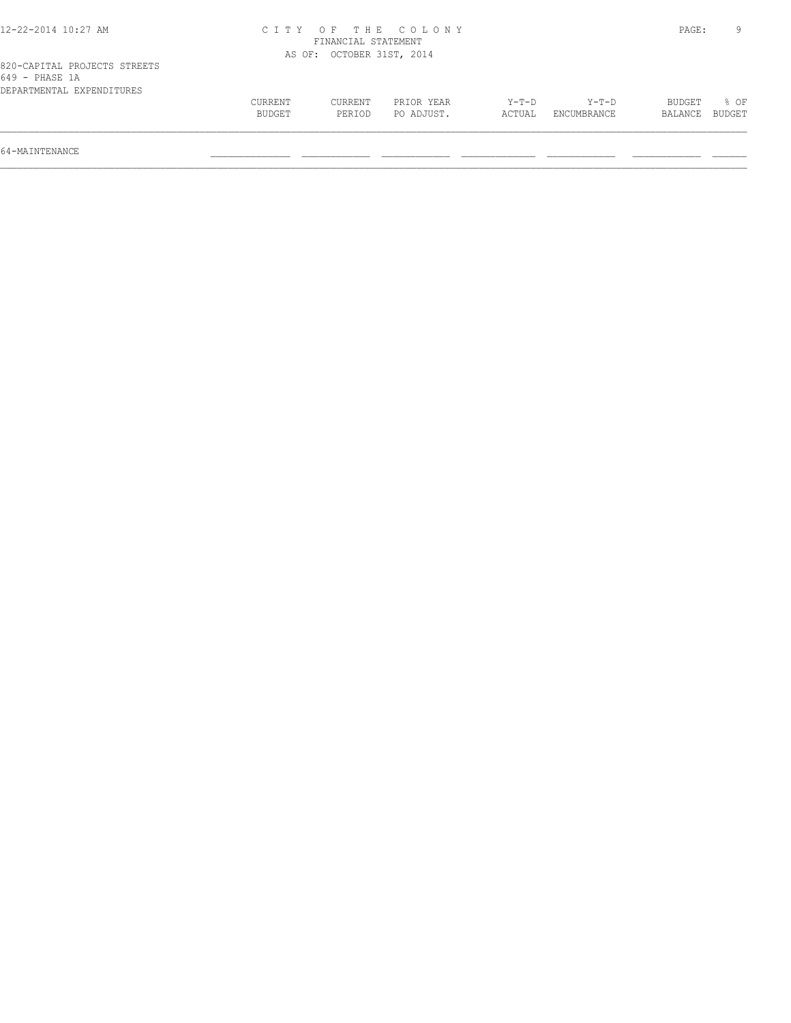| 12-22-2014 10:27 AM                                                         |                   |                           | CITY OF THE COLONY       |                 |                      | PAGE:             | 9                |
|-----------------------------------------------------------------------------|-------------------|---------------------------|--------------------------|-----------------|----------------------|-------------------|------------------|
|                                                                             |                   | FINANCIAL STATEMENT       |                          |                 |                      |                   |                  |
|                                                                             |                   | AS OF: OCTOBER 31ST, 2014 |                          |                 |                      |                   |                  |
| 820-CAPITAL PROJECTS STREETS<br>649 - PHASE 1A<br>DEPARTMENTAL EXPENDITURES |                   |                           |                          |                 |                      |                   |                  |
|                                                                             | CURRENT<br>BUDGET | CURRENT<br>PERIOD         | PRIOR YEAR<br>PO ADJUST. | Y-T-D<br>ACTUAL | Y-T-D<br>ENCUMBRANCE | BUDGET<br>BALANCE | $8$ OF<br>BUDGET |

64-MAINTENANCE \_\_\_\_\_\_\_\_\_\_\_\_\_\_ \_\_\_\_\_\_\_\_\_\_\_\_ \_\_\_\_\_\_\_\_\_\_\_\_ \_\_\_\_\_\_\_\_\_\_\_\_\_ \_\_\_\_\_\_\_\_\_\_\_\_ \_\_\_\_\_\_\_\_\_\_\_\_ \_\_\_\_\_\_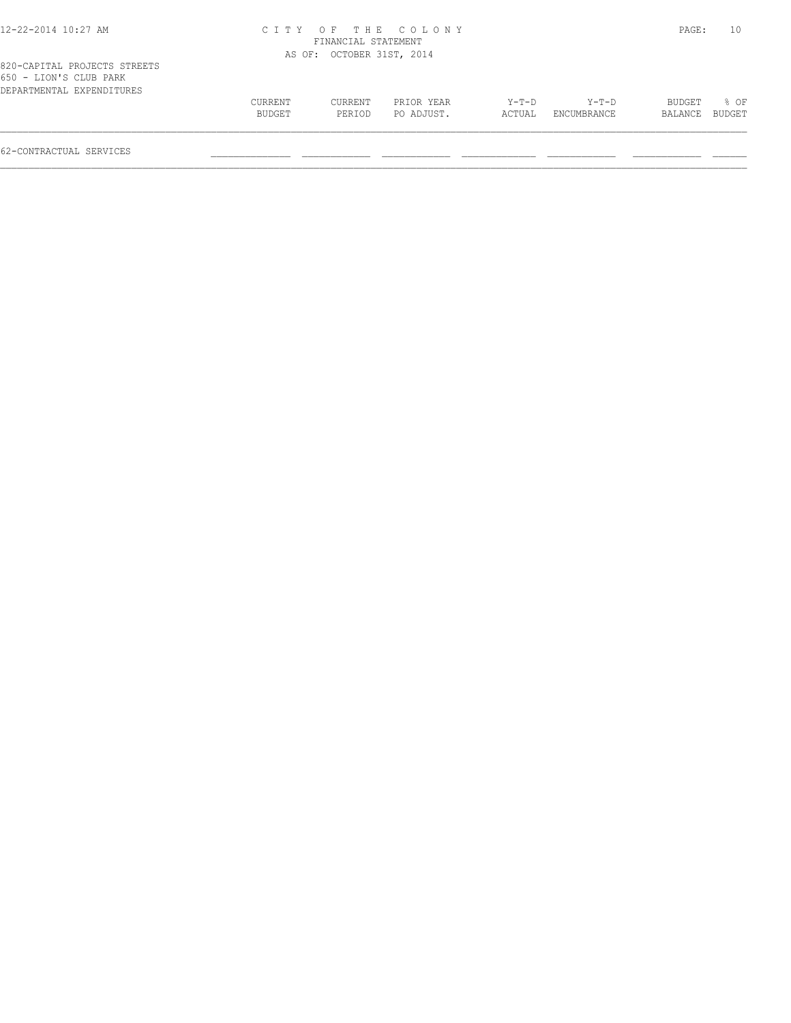| 12-22-2014 10:27 AM |  |
|---------------------|--|
|---------------------|--|

#### 12-22-2014 10:27 AM C I T Y O F T H E C O L O N Y PAGE: 10 FINANCIAL STATEMENT AS OF: OCTOBER 31ST, 2014

|                        | 820-CAPITAL PROJECTS STREETS |
|------------------------|------------------------------|
| 650 - LION'S CLUB PARK |                              |
|                        | DEPARTMENTAL EXPENDITURES    |

| DEPARTMENTAL EXPENDITURES | CURRENT | CURRENT | PRIOR YEAR | $Y-T-D$ | $Y - T - D$ | BUDGET         | 8 OF |
|---------------------------|---------|---------|------------|---------|-------------|----------------|------|
|                           | BUDGET  | PERTOD  | PO ADJUST. | ACTUAL  | ENCUMBRANCE | BALANCE BUDGET |      |
| 62-CONTRACTUAL SERVICES   |         |         |            |         |             |                |      |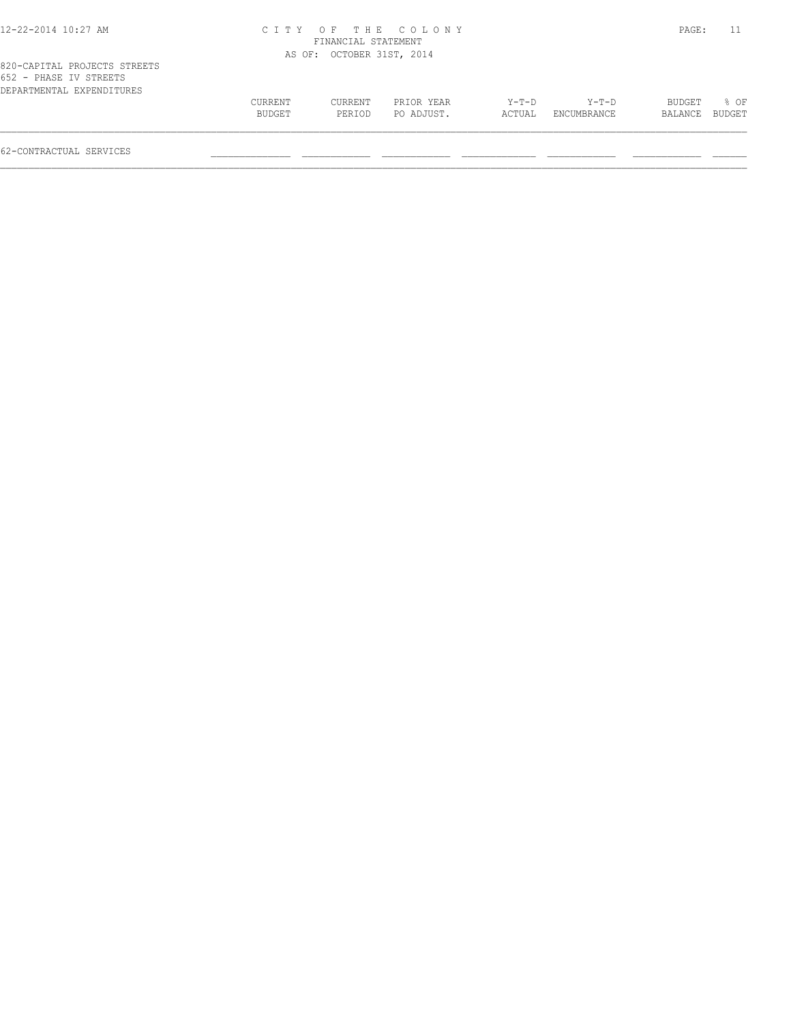| 12-22-2014 10:27 AM |
|---------------------|
|---------------------|

#### 12-22-2014 10:27 AM C I T Y O F T H E C O L O N Y PAGE: 11 FINANCIAL STATEMENT AS OF: OCTOBER 31ST, 2014

| 652 - PHASE IV STREETS    |         |         |            |        |             |                |             |
|---------------------------|---------|---------|------------|--------|-------------|----------------|-------------|
| DEPARTMENTAL EXPENDITURES |         |         |            |        |             |                |             |
|                           | CURRENT | CURRENT | PRIOR YEAR | Y-T-D  | Y-T-D       |                | BUDGET % OF |
|                           | BUDGET  | PERTOD  | PO ADJUST. | ACTUAL | ENCUMBRANCE | BALANCE BUDGET |             |
|                           |         |         |            |        |             |                |             |
|                           |         |         |            |        |             |                |             |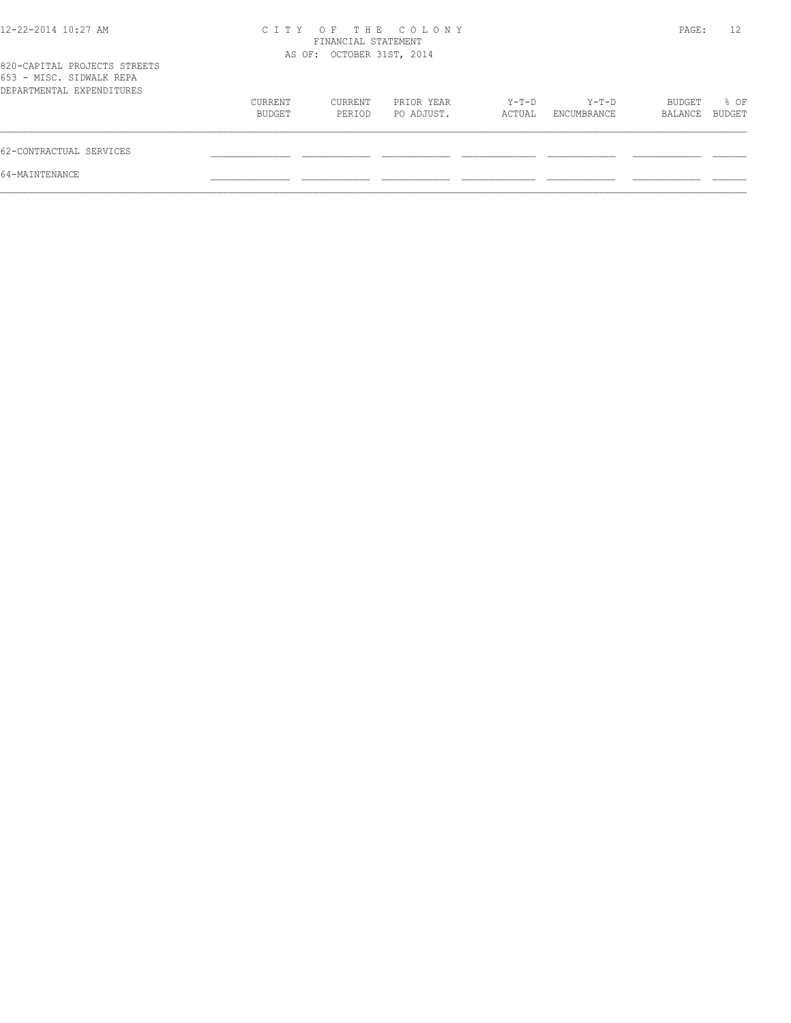| 12-22-2014 10:27 AM                                                                   | OF THE COLONY<br>C I T Y<br>FINANCIAL STATEMENT<br>AS OF: OCTOBER 31ST, 2014 |                   |                          |                 |                      | PAGE:             | 12             |
|---------------------------------------------------------------------------------------|------------------------------------------------------------------------------|-------------------|--------------------------|-----------------|----------------------|-------------------|----------------|
| 820-CAPITAL PROJECTS STREETS<br>653 - MISC. SIDWALK REPA<br>DEPARTMENTAL EXPENDITURES |                                                                              |                   |                          |                 |                      |                   |                |
|                                                                                       | CURRENT<br>BUDGET                                                            | CURRENT<br>PERIOD | PRIOR YEAR<br>PO ADJUST. | Y-T-D<br>ACTUAL | Y-T-D<br>ENCUMBRANCE | BUDGET<br>BALANCE | % OF<br>BUDGET |
| 62-CONTRACTUAL SERVICES                                                               |                                                                              |                   |                          |                 |                      |                   |                |
| 64-MAINTENANCE                                                                        |                                                                              |                   |                          |                 |                      |                   |                |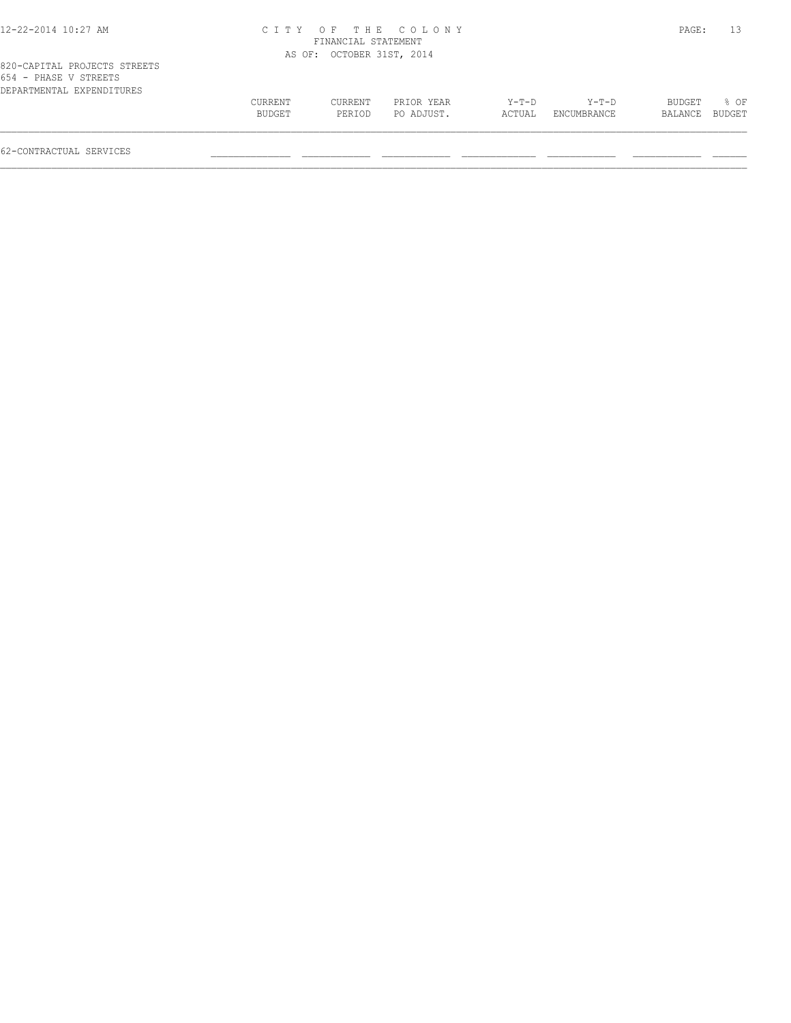|  |  |  |  |  | 12-22-2014 10:27 AM |  |
|--|--|--|--|--|---------------------|--|
|--|--|--|--|--|---------------------|--|

#### 12-22-2014 10:27 AM C I T Y O F T H E C O L O N Y PAGE: 13 FINANCIAL STATEMENT AS OF: OCTOBER 31ST, 2014

|  |  |                           | 820-CAPITAL PROJECTS STREETS |
|--|--|---------------------------|------------------------------|
|  |  | 654 - PHASE V STREETS     |                              |
|  |  | DEPARTMENTAL EXPENDITURES |                              |

| DEPARTMENTAL EXPENDITURES | CURRENT | CURRENT | PRIOR YEAR | Y-T-D  | $Y-T-D$     | BUDGET  | 8 OF   |
|---------------------------|---------|---------|------------|--------|-------------|---------|--------|
|                           | BUDGET  | PERIOD  | PO ADJUST. | ACTUAL | ENCUMBRANCE | BALANCE | BUDGET |
| 62-CONTRACTUAL SERVICES   |         |         |            |        |             |         |        |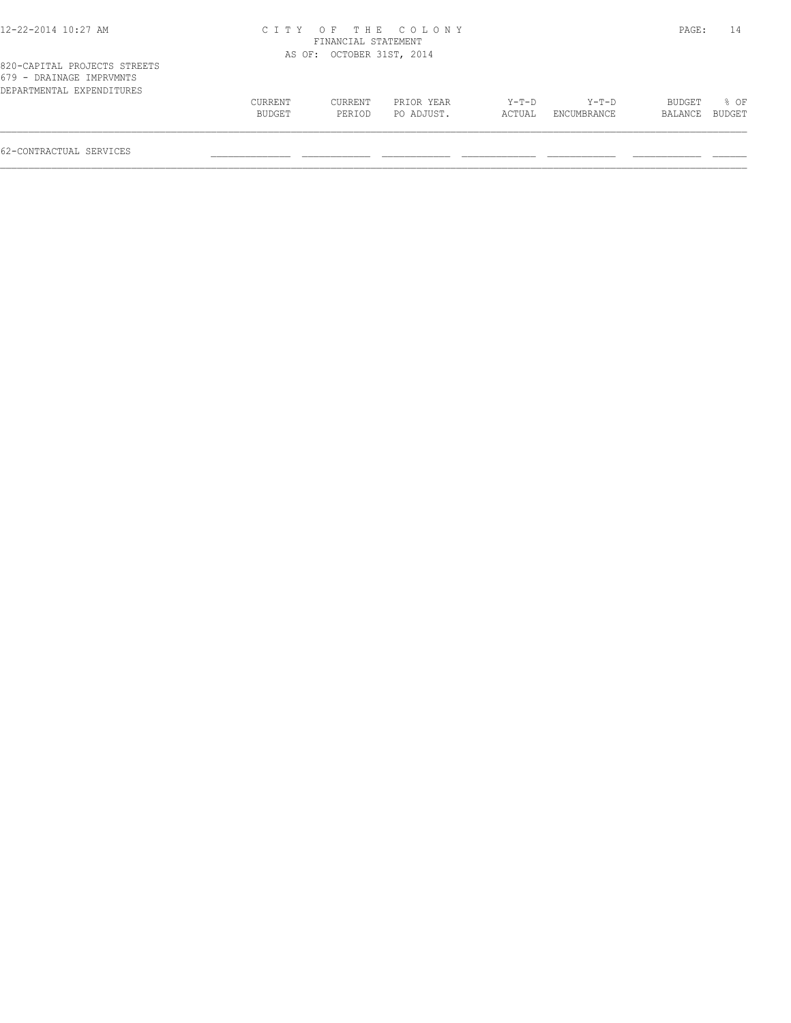#### 12-22-2014 10:27 AM C I T Y O F T H E C O L O N Y PAGE: 14 FINANCIAL STATEMENT AS OF: OCTOBER 31ST, 2014

| DEPARTMENTAL EXPENDITURES |         |         |            |        |             |         |        |
|---------------------------|---------|---------|------------|--------|-------------|---------|--------|
|                           | CURRENT | CURRENT | PRIOR YEAR | Y-T-D  | $Y-T-D$     | BUDGET  | 8 OF   |
|                           | BUDGET  | PERIOD  | PO ADJUST. | ACTUAL | ENCUMBRANCE | BALANCE | BUDGET |
|                           |         |         |            |        |             |         |        |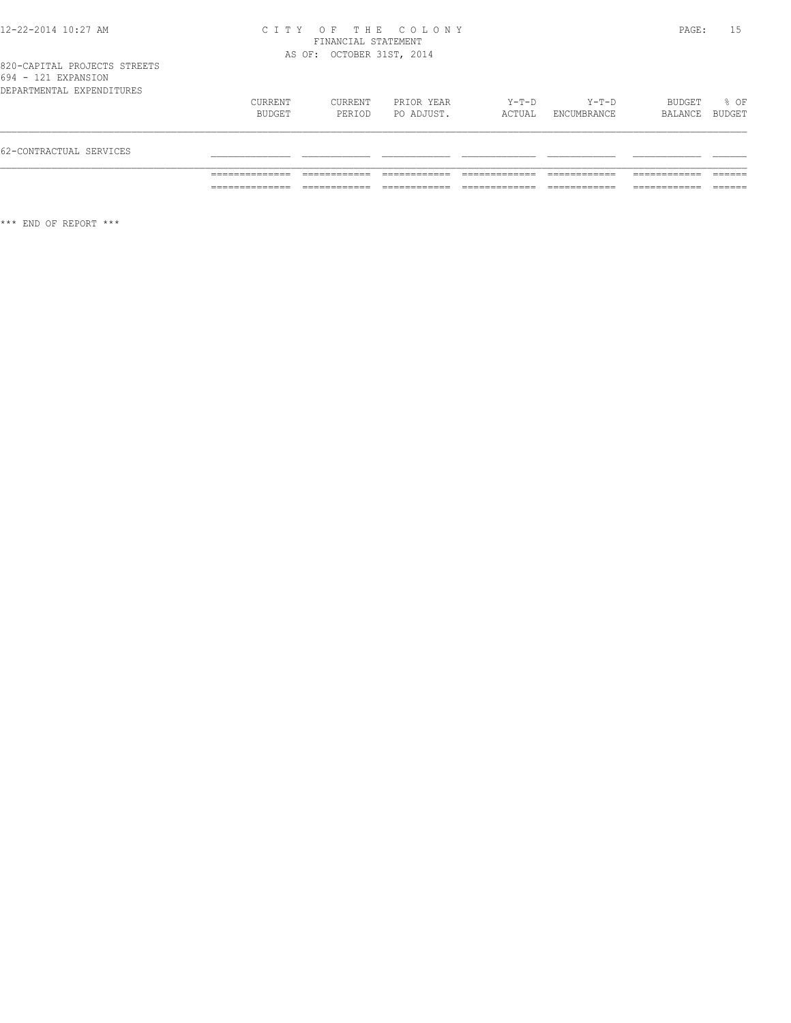#### 12-22-2014 10:27 AM C I T Y O F T H E C O L O N Y PAGE: 15 FINANCIAL STATEMENT AS OF: OCTOBER 31ST, 2014

820-CAPITAL PROJECTS STREETS 694 - 121 EXPANSION

| 62-CONTRACTUAL SERVICES |                           |                   |                   |                          |                   |                        |                   |                  |
|-------------------------|---------------------------|-------------------|-------------------|--------------------------|-------------------|------------------------|-------------------|------------------|
|                         | DEPARTMENTAL EXPENDITURES | CURRENT<br>BUDGET | CURRENT<br>PERIOD | PRIOR YEAR<br>PO ADJUST. | $Y-T-D$<br>ACTUAL | $Y-T-D$<br>ENCUMBRANCE | BUDGET<br>BALANCE | $8$ OF<br>BUDGET |

\*\*\* END OF REPORT \*\*\*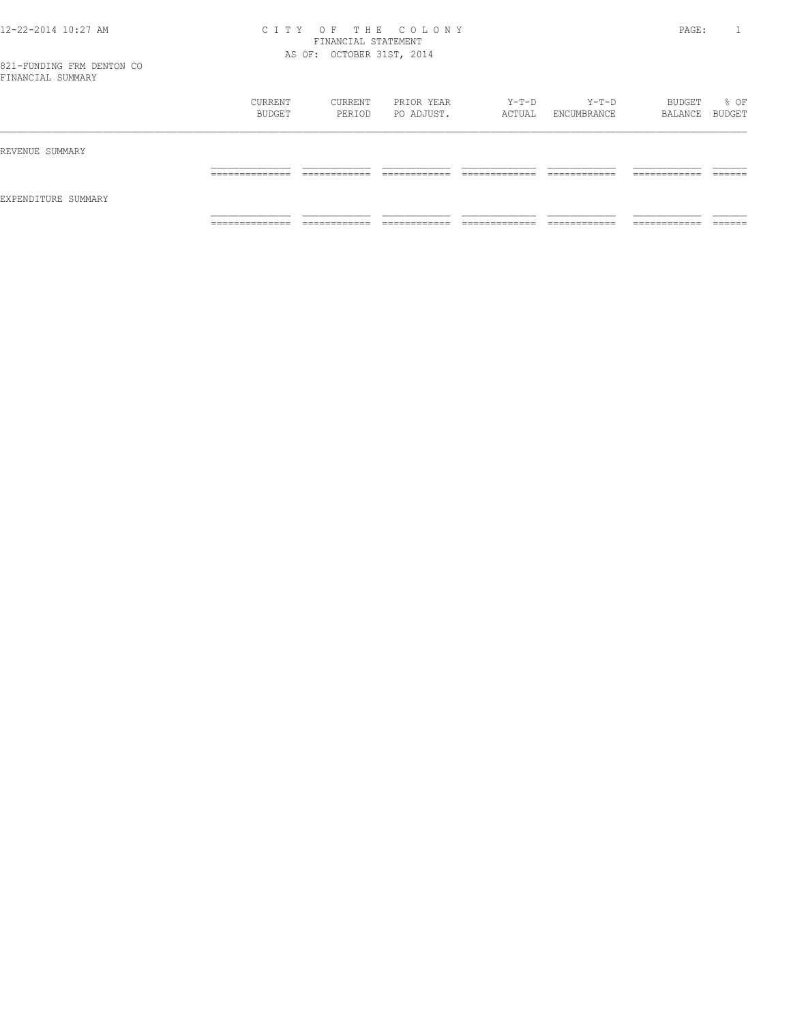#### 12-22-2014 10:27 AM C I T Y O F T H E C O L O N Y PAGE: 1 FINANCIAL STATEMENT AS OF: OCTOBER 31ST, 2014

|                     | CURRENT<br>BUDGET                 | CURRENT<br>PERIOD            | PRIOR YEAR<br>PO ADJUST.      | Y-T-D<br>ACTUAL                    | $Y-T-D$<br>ENCUMBRANCE        | BUDGET<br>BALANCE BUDGET      | % OF              |
|---------------------|-----------------------------------|------------------------------|-------------------------------|------------------------------------|-------------------------------|-------------------------------|-------------------|
| REVENUE SUMMARY     |                                   |                              |                               |                                    |                               |                               |                   |
| EXPENDITURE SUMMARY | ______________<br>-------------   | ____________<br>____________ | -------------<br>____________ | ____________<br>__________<br>____ | -------------<br>____________ | -------------<br>____________ | -------<br>______ |
|                     | ______________<br>_______________ | ____________<br>____________ | ____________<br>____________  | _____________<br>_____________     | ____________<br>_____________ | ___________<br>____________   | _______           |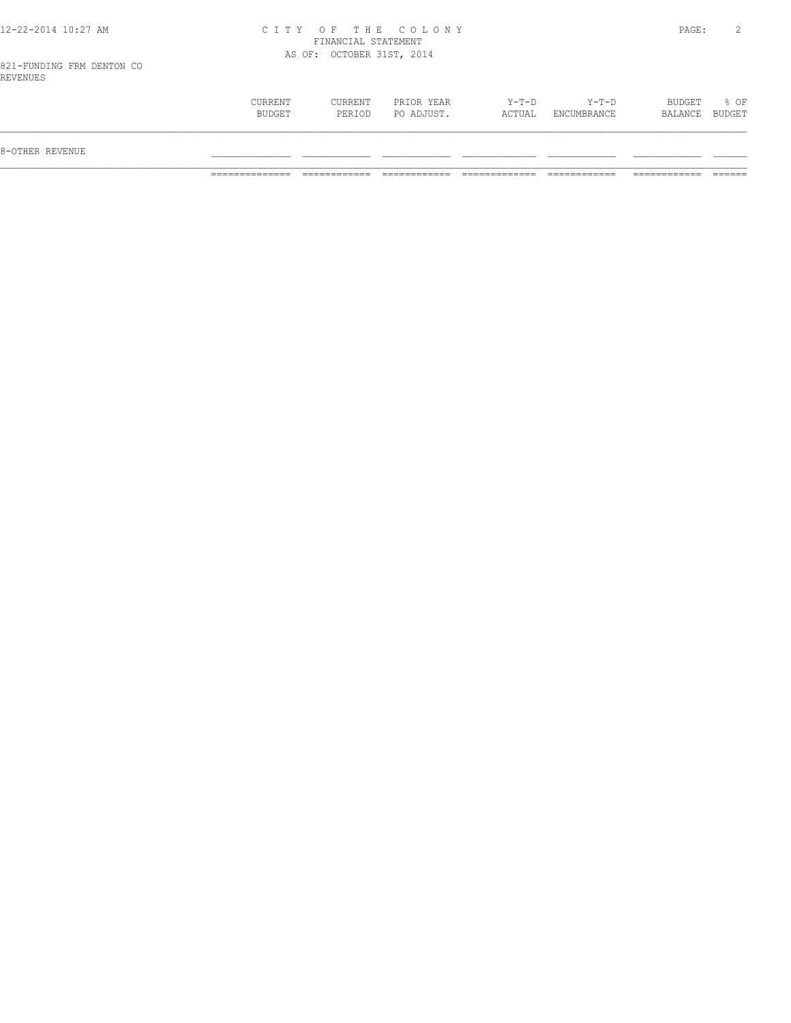#### 12-22-2014 10:27 AM C I T Y O F T H E C O L O N Y PAGE: 2 FINANCIAL STATEMENT AS OF: OCTOBER 31ST, 2014

821-FUNDING FRM DENTON CO REVENUES

| <b>CURRENT</b><br>$Y-T-D$<br>$Y-T-D$<br>BUDGET<br>% OF<br>CURRENT<br>PRIOR YEAR<br>PO ADJUST.<br>ACTUAL<br>BUDGET<br>BUDGET<br>PERIOD<br>ENCUMBRANCE<br>BALANCE |                 |  |  |  |  |
|-----------------------------------------------------------------------------------------------------------------------------------------------------------------|-----------------|--|--|--|--|
|                                                                                                                                                                 | 8-OTHER REVENUE |  |  |  |  |
|                                                                                                                                                                 |                 |  |  |  |  |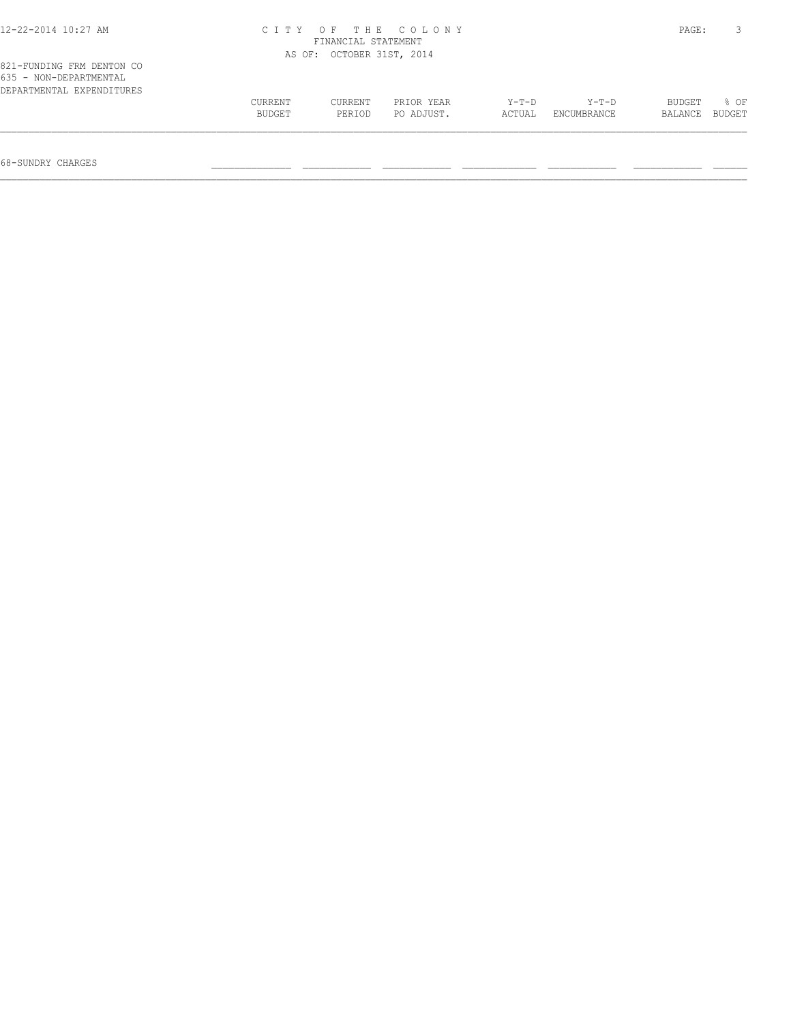| 12-22-2014 10:27 AM                                                              |                   | FINANCIAL STATEMENT       | CITY OF THE COLONY       |                 |                      | PAGE:                    |                |
|----------------------------------------------------------------------------------|-------------------|---------------------------|--------------------------|-----------------|----------------------|--------------------------|----------------|
|                                                                                  |                   | AS OF: OCTOBER 31ST, 2014 |                          |                 |                      |                          |                |
| 821-FUNDING FRM DENTON CO<br>635 - NON-DEPARTMENTAL<br>DEPARTMENTAL EXPENDITURES |                   |                           |                          |                 |                      |                          |                |
|                                                                                  | CURRENT<br>BUDGET | CURRENT<br>PERIOD         | PRIOR YEAR<br>PO ADJUST. | Y-T-D<br>ACTUAL | Y-T-D<br>ENCUMBRANCE | <b>BUDGET</b><br>BALANCE | 8 OF<br>BUDGET |
|                                                                                  |                   |                           |                          |                 |                      |                          |                |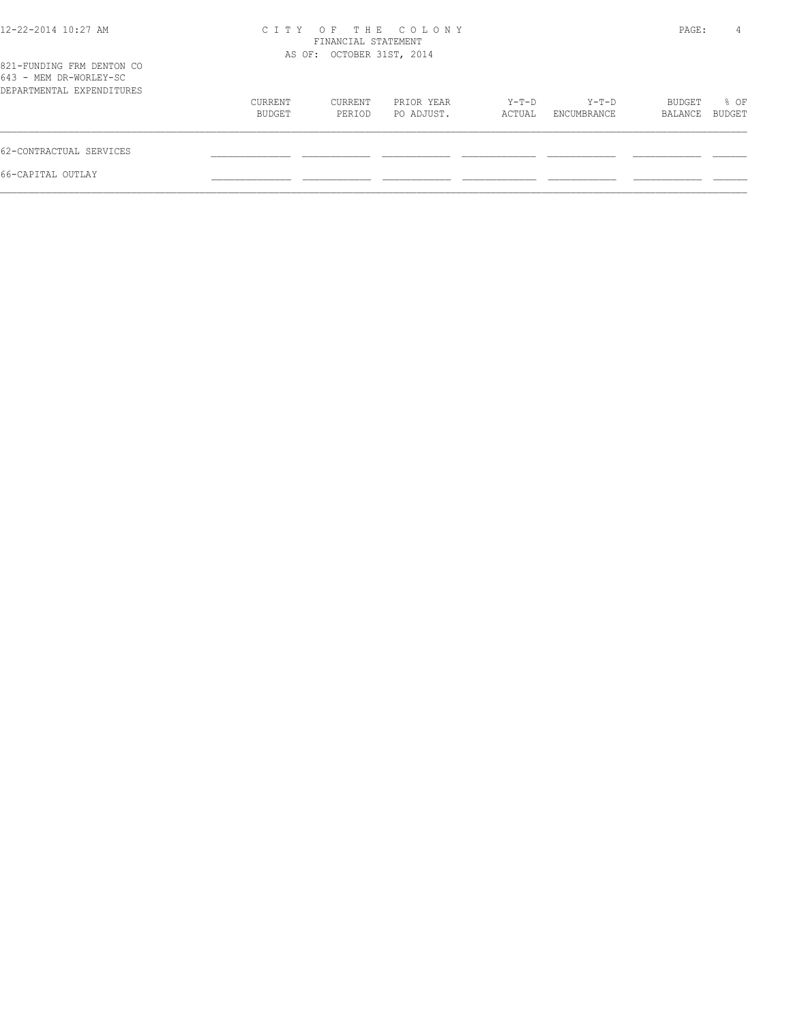| 12-22-2014 10:27 AM                                                              |                   | FINANCIAL STATEMENT<br>AS OF: OCTOBER 31ST, 2014 | CITY OF THE COLONY       |                 |                      | PAGE:             | 4              |
|----------------------------------------------------------------------------------|-------------------|--------------------------------------------------|--------------------------|-----------------|----------------------|-------------------|----------------|
| 821-FUNDING FRM DENTON CO<br>643 - MEM DR-WORLEY-SC<br>DEPARTMENTAL EXPENDITURES |                   |                                                  |                          |                 |                      |                   |                |
|                                                                                  | CURRENT<br>BUDGET | CURRENT<br>PERIOD                                | PRIOR YEAR<br>PO ADJUST. | Y-T-D<br>ACTUAL | Y-T-D<br>ENCUMBRANCE | BUDGET<br>BALANCE | % OF<br>BUDGET |
| 62-CONTRACTUAL SERVICES                                                          |                   |                                                  |                          |                 |                      |                   |                |
| 66-CAPITAL OUTLAY                                                                |                   |                                                  |                          |                 |                      |                   |                |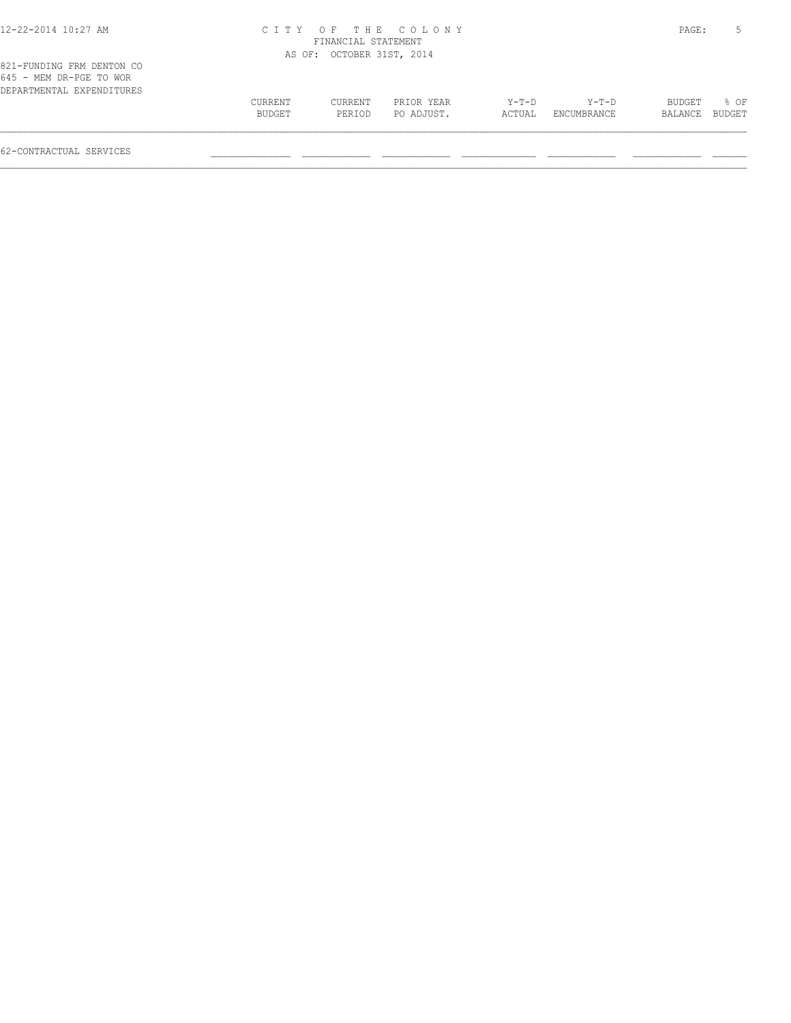### 12-22-2014 10:27 AM C I T Y O F T H E C O L O N Y PAGE: 5

|                                                      |         | FINANCIAL STATEMENT       |            |        |             |         |        |
|------------------------------------------------------|---------|---------------------------|------------|--------|-------------|---------|--------|
|                                                      |         | AS OF: OCTOBER 31ST, 2014 |            |        |             |         |        |
| 821-FUNDING FRM DENTON CO<br>645 - MEM DR-PGE TO WOR |         |                           |            |        |             |         |        |
| DEPARTMENTAL EXPENDITURES                            | CURRENT | CURRENT                   | PRIOR YEAR | Y-T-D  | Y-T-D       | BUDGET  | % OF   |
|                                                      | BUDGET  | PERIOD                    | PO ADJUST. | ACTUAL | ENCUMBRANCE | BALANCE | BUDGET |
|                                                      |         |                           |            |        |             |         |        |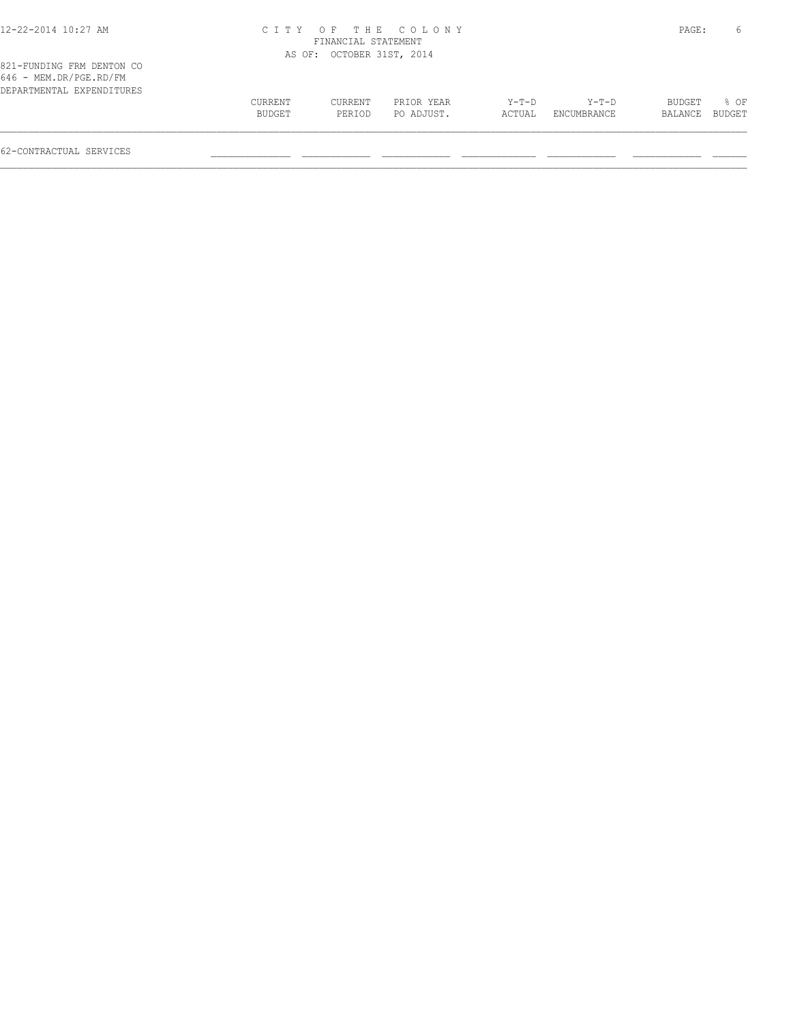#### 12-22-2014 10:27 AM C I T Y O F T H E C O L O N Y PAGE: 6 FINANCIAL STATEMENT AS OF: OCTOBER 31ST, 2014

|  | 821-FUNDING FRM DENTON CO |  |
|--|---------------------------|--|
|  | 646 - MEM.DR/PGE.RD/FM    |  |
|  | DEPARTMENTAL EXPENDITURES |  |

| 646 - MEM.DR/PGE.RD/FM    |         |         |            |       |                    |                |      |
|---------------------------|---------|---------|------------|-------|--------------------|----------------|------|
| DEPARTMENTAL EXPENDITURES |         |         |            |       |                    |                |      |
|                           | CURRENT | CURRENT | PRIOR YEAR | Y-T-D | $Y-T-D$            | BUDGET         | % OF |
|                           | BUDGET  | PERTOD  | PO ADJUST. |       | ACTUAL ENCUMBRANCE | BALANCE BUDGET |      |
|                           |         |         |            |       |                    |                |      |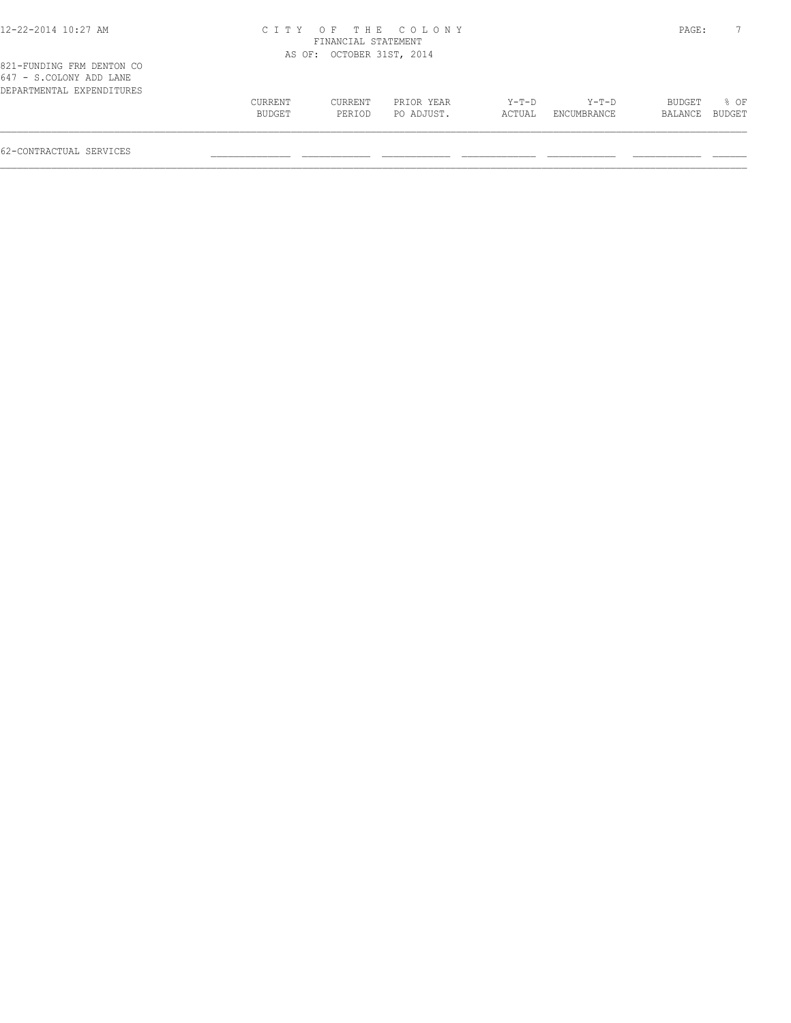# 12-22-2014 10:27 AM C I T Y O F T H E C O L O N Y PAGE: 7 FINANCIAL STATEMENT

|                                                                                   |         | AS OF: OCTOBER 31ST, 2014 |            |        |             |                |      |
|-----------------------------------------------------------------------------------|---------|---------------------------|------------|--------|-------------|----------------|------|
| 821-FUNDING FRM DENTON CO<br>647 - S.COLONY ADD LANE<br>DEPARTMENTAL EXPENDITURES |         |                           |            |        |             |                |      |
|                                                                                   | CURRENT | CURRENT                   | PRIOR YEAR | Y-T-D  | $Y-T-D$     | BUDGET         | 8 OF |
|                                                                                   | BUDGET  | PERIOD                    | PO ADJUST. | ACTUAL | ENCUMBRANCE | BALANCE BUDGET |      |
|                                                                                   |         |                           |            |        |             |                |      |
|                                                                                   |         |                           |            |        |             |                |      |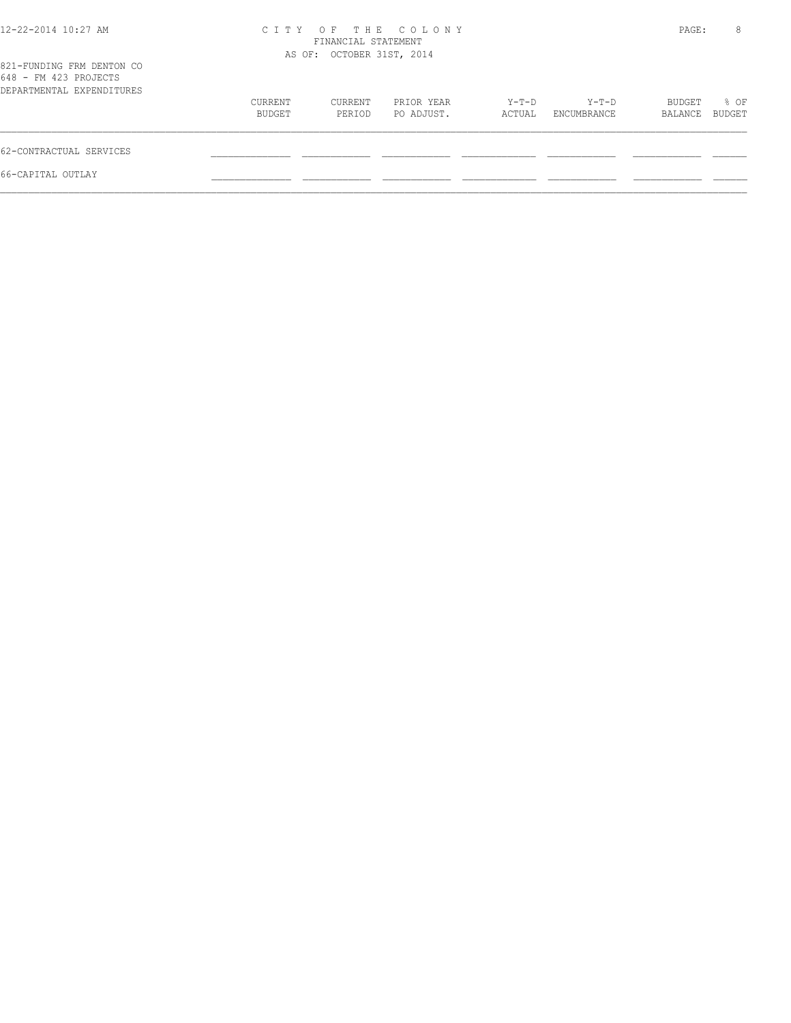|                   |                   |                          |                                                                        |                      |                   | 8              |
|-------------------|-------------------|--------------------------|------------------------------------------------------------------------|----------------------|-------------------|----------------|
|                   |                   |                          |                                                                        |                      |                   |                |
| CURRENT<br>BUDGET | CURRENT<br>PERIOD | PRIOR YEAR<br>PO ADJUST. | Y-T-D<br>ACTUAL                                                        | Y-T-D<br>ENCUMBRANCE | BUDGET<br>BALANCE | % OF<br>BUDGET |
|                   |                   |                          |                                                                        |                      |                   |                |
|                   |                   |                          |                                                                        |                      |                   |                |
|                   |                   |                          | CITY OF THE COLONY<br>FINANCIAL STATEMENT<br>AS OF: OCTOBER 31ST, 2014 |                      |                   | PAGE:          |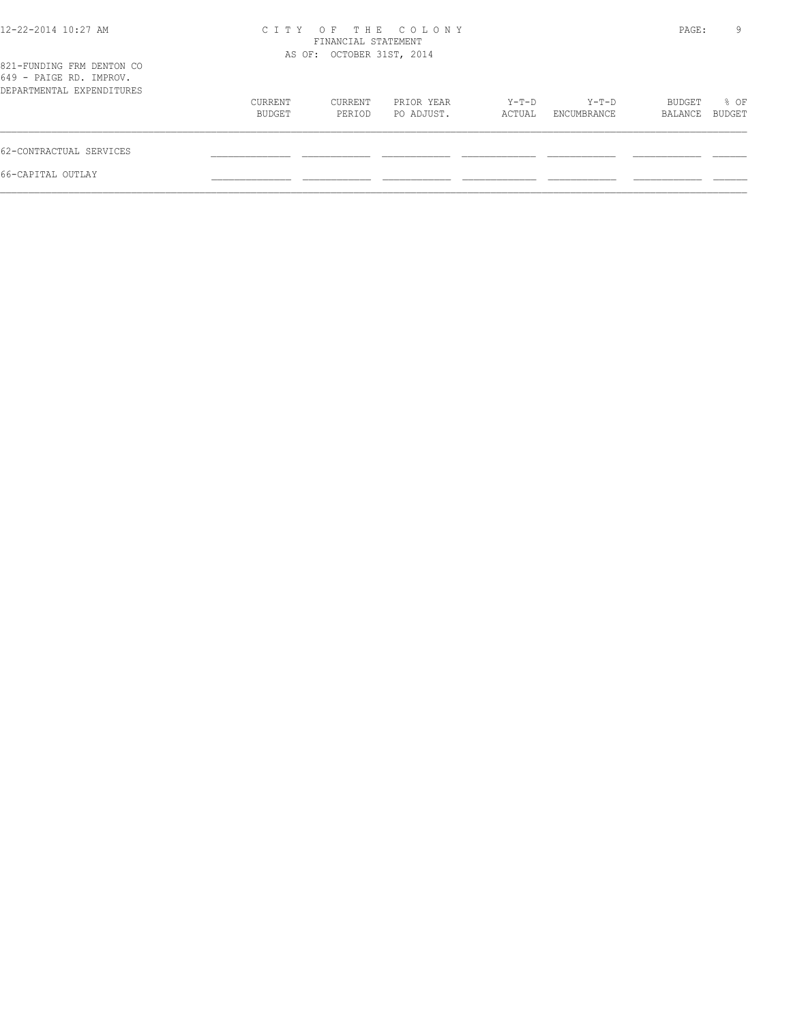| 12-22-2014 10:27 AM                                                               | C T T Y           | FINANCIAL STATEMENT<br>AS OF: OCTOBER 31ST, 2014 | OF THE COLONY            |                 |                      | PAGE:             | 9              |
|-----------------------------------------------------------------------------------|-------------------|--------------------------------------------------|--------------------------|-----------------|----------------------|-------------------|----------------|
| 821-FUNDING FRM DENTON CO<br>649 - PAIGE RD. IMPROV.<br>DEPARTMENTAL EXPENDITURES |                   |                                                  |                          |                 |                      |                   |                |
|                                                                                   | CURRENT<br>BUDGET | CURRENT<br>PERIOD                                | PRIOR YEAR<br>PO ADJUST. | Y-T-D<br>ACTUAL | Y-T-D<br>ENCUMBRANCE | BUDGET<br>BALANCE | % OF<br>BUDGET |
| 62-CONTRACTUAL SERVICES                                                           |                   |                                                  |                          |                 |                      |                   |                |
| 66-CAPITAL OUTLAY                                                                 |                   |                                                  |                          |                 |                      |                   |                |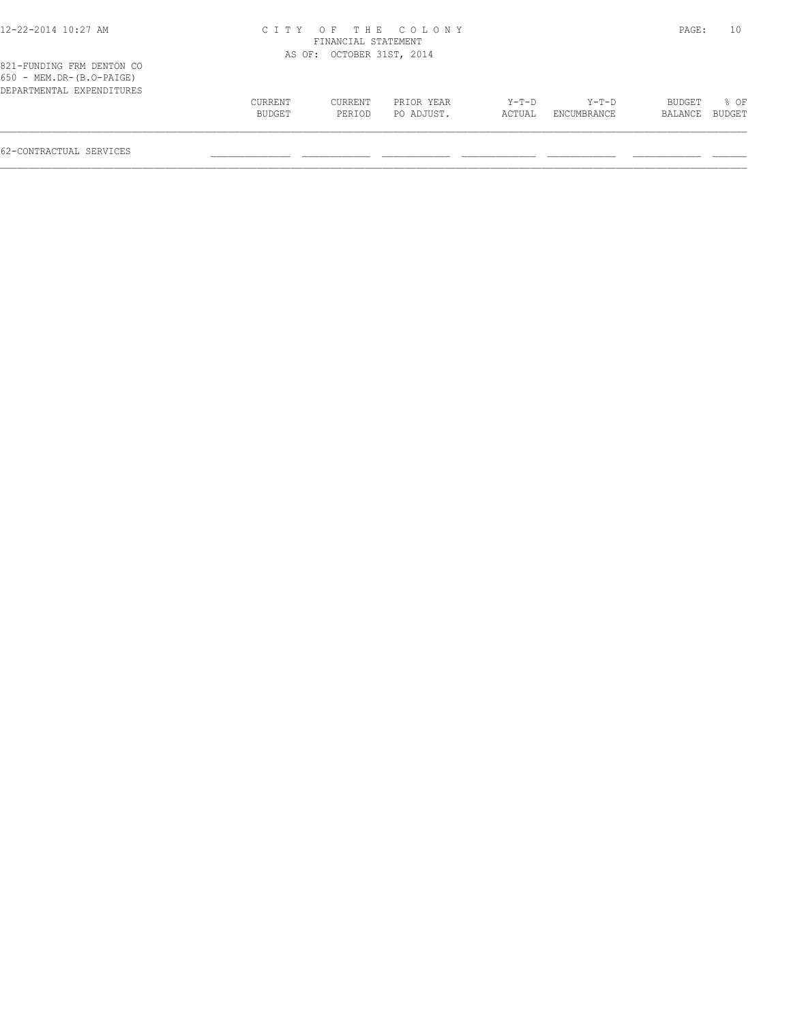# 12-22-2014 10:27 AM C I T Y O F T H E C O L O N Y PAGE: 10 FINANCIAL STATEMENT

|                                                         |         | AS OF: OCTOBER 31ST, 2014 |            |        |             |         |               |
|---------------------------------------------------------|---------|---------------------------|------------|--------|-------------|---------|---------------|
| 821-FUNDING FRM DENTON CO<br>$650 - MEM.DR-(B.O-PAIGE)$ |         |                           |            |        |             |         |               |
| DEPARTMENTAL EXPENDITURES                               |         |                           |            |        |             |         |               |
|                                                         | CURRENT | CURRENT                   | PRIOR YEAR | Y-T-D  | Y-T-D       | BUDGET  | 80F           |
|                                                         | BUDGET  | PERIOD                    | PO ADJUST. | ACTUAL | ENCUMBRANCE | BALANCE | <b>BUDGET</b> |
|                                                         |         |                           |            |        |             |         |               |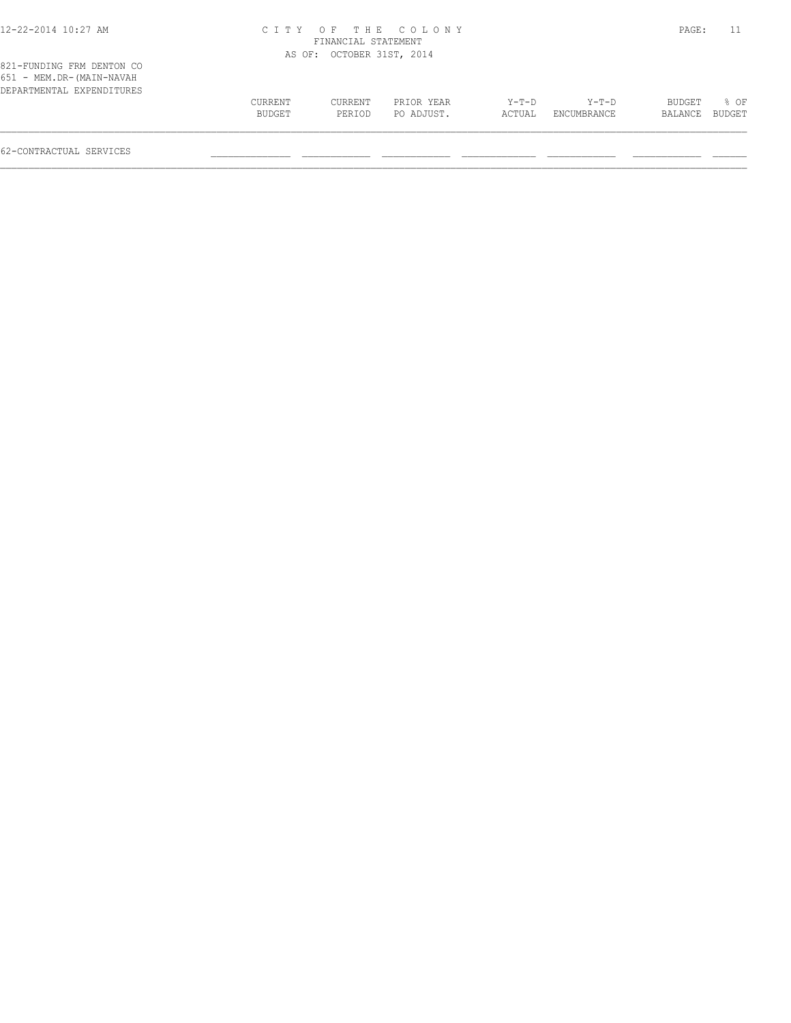# 12-22-2014 10:27 AM C I T Y O F T H E C O L O N Y PAGE: 11 FINANCIAL STATEMENT

|                                                                                    |         | AS OF: OCTOBER 31ST, 2014 |            |         |             |         |        |
|------------------------------------------------------------------------------------|---------|---------------------------|------------|---------|-------------|---------|--------|
| 821-FUNDING FRM DENTON CO<br>651 - MEM.DR-(MAIN-NAVAH<br>DEPARTMENTAL EXPENDITURES |         |                           |            |         |             |         |        |
|                                                                                    | CURRENT | CURRENT                   | PRIOR YEAR | $Y-T-D$ | $Y-T-D$     | BUDGET  | $8$ OF |
|                                                                                    | BUDGET  | PERIOD                    | PO ADJUST. | ACTUAL  | ENCUMBRANCE | BALANCE | BUDGET |
|                                                                                    |         |                           |            |         |             |         |        |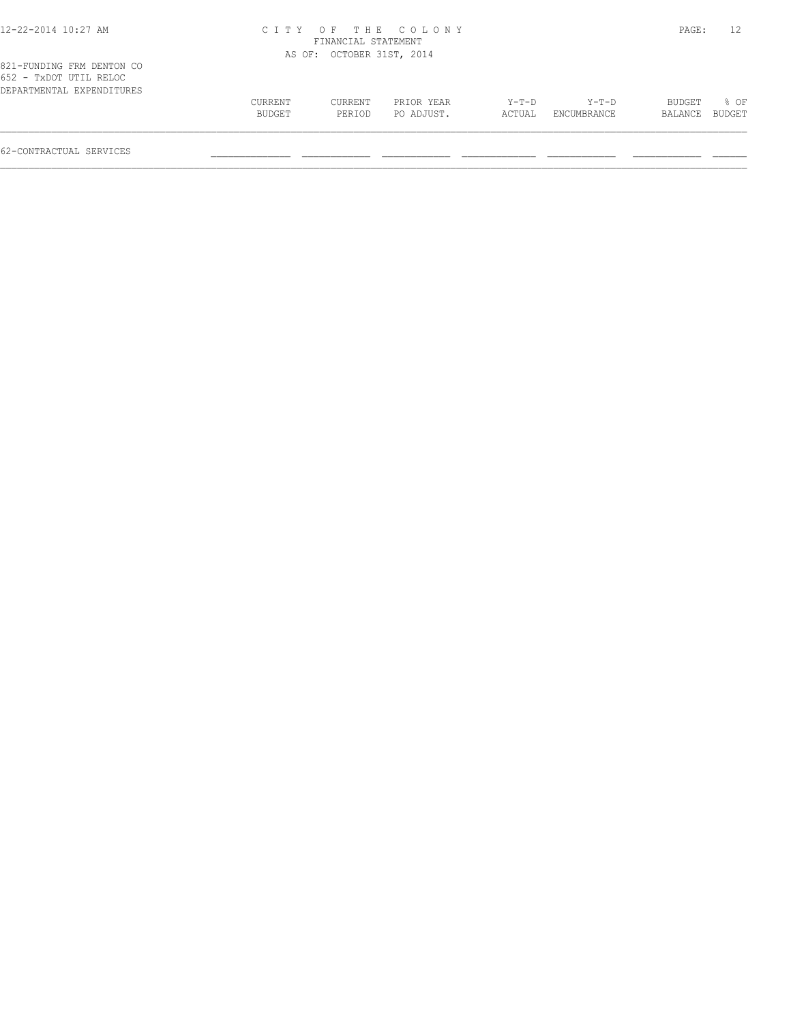| 12-22-2014 10:27 AM |  |  |  |  |  |  |  |
|---------------------|--|--|--|--|--|--|--|
|---------------------|--|--|--|--|--|--|--|

# 12-22-2014 10:27 AM C I T Y O F T H E C O L O N Y PAGE: 12 FINANCIAL STATEMENT

|                                                                                  |                   | AS OF: OCTOBER 31ST, 2014 |                          |                 |                      |                          |                  |
|----------------------------------------------------------------------------------|-------------------|---------------------------|--------------------------|-----------------|----------------------|--------------------------|------------------|
| 821-FUNDING FRM DENTON CO<br>652 - TxDOT UTIL RELOC<br>DEPARTMENTAL EXPENDITURES |                   |                           |                          |                 |                      |                          |                  |
|                                                                                  | CURRENT<br>BUDGET | CURRENT<br>PERIOD         | PRIOR YEAR<br>PO ADJUST. | Y-T-D<br>ACTUAL | Y-T-D<br>ENCUMBRANCE | <b>BUDGET</b><br>BALANCE | $8$ OF<br>BUDGET |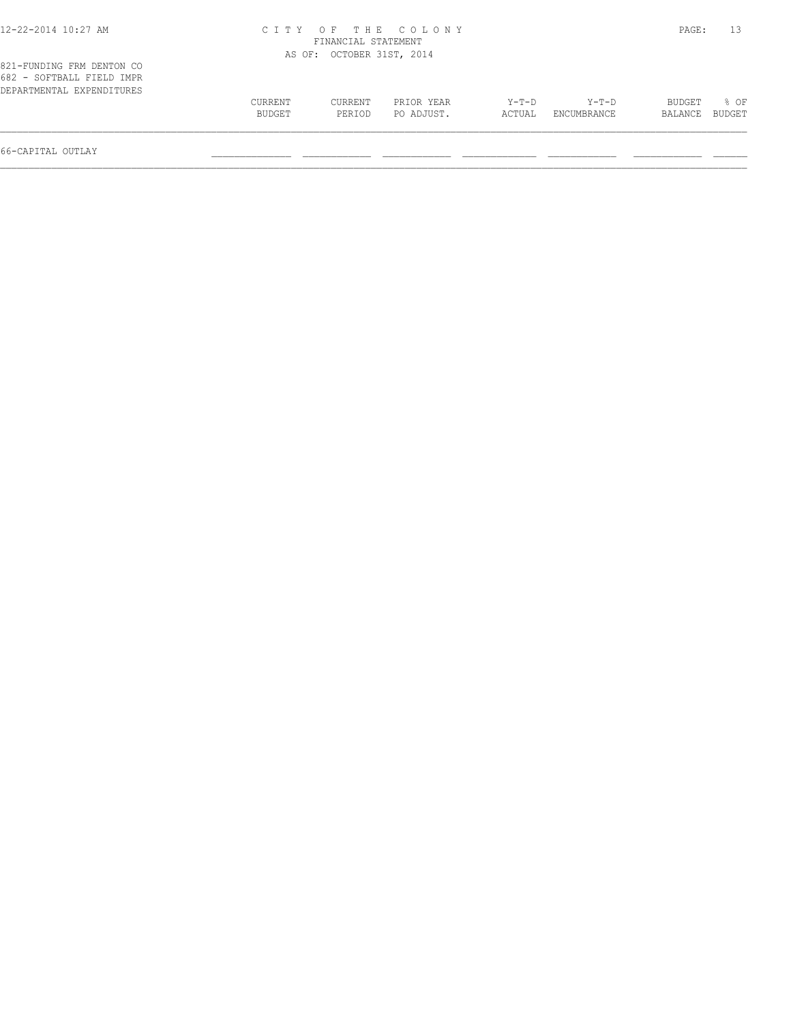#### 12-22-2014 10:27 AM C I T Y O F T H E C O L O N Y PAGE: 13 FINANCIAL STATEMENT AS OF: OCTOBER 31ST, 2014

| 821-FUNDING FRM DENTON CO<br>682 - SOFTBALL FIELD IMPR |         |         |            |        |             |         |        |
|--------------------------------------------------------|---------|---------|------------|--------|-------------|---------|--------|
| DEPARTMENTAL EXPENDITURES                              |         |         |            |        |             |         |        |
|                                                        | CURRENT | CURRENT | PRIOR YEAR | Y-T-D  | Y-T-D       | BUDGET  | 8 OF   |
|                                                        | BUDGET  | PERIOD  | PO ADJUST. | ACTUAL | ENCUMBRANCE | BALANCE | BUDGET |
|                                                        |         |         |            |        |             |         |        |

66-CAPITAL OUTLAY \_\_\_\_\_\_\_\_\_\_\_\_\_\_ \_\_\_\_\_\_\_\_\_\_\_\_ \_\_\_\_\_\_\_\_\_\_\_\_ \_\_\_\_\_\_\_\_\_\_\_\_\_ \_\_\_\_\_\_\_\_\_\_\_\_ \_\_\_\_\_\_\_\_\_\_\_\_ \_\_\_\_\_\_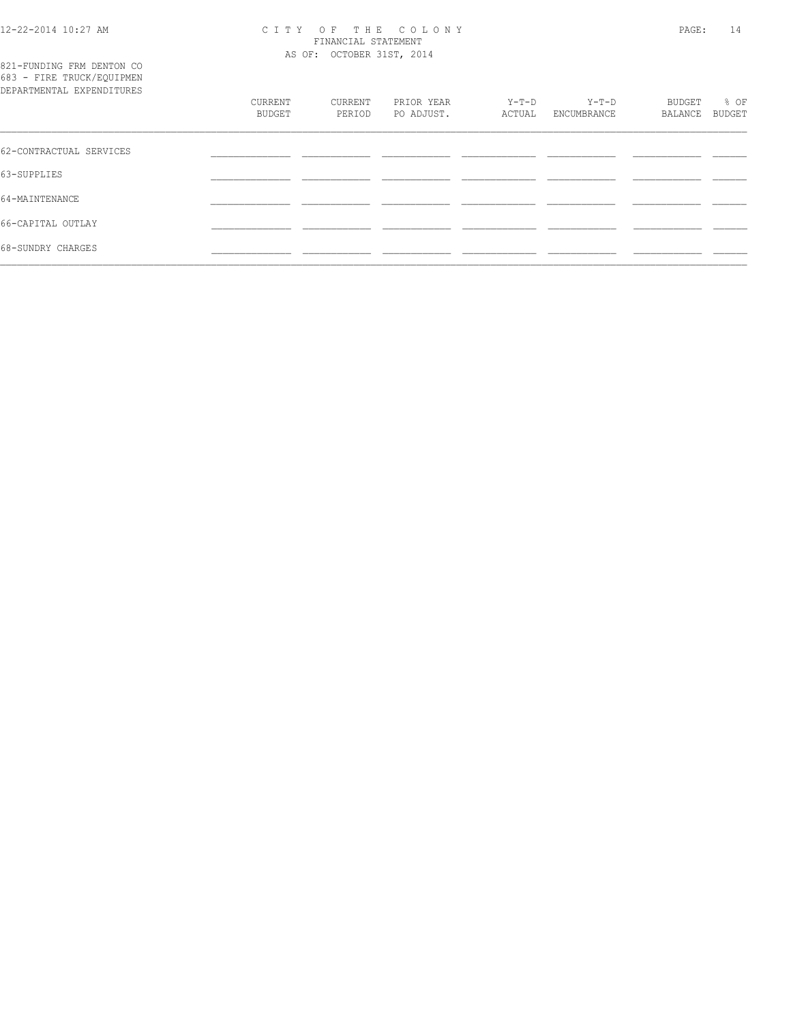#### 12-22-2014 10:27 AM C I T Y O F T H E C O L O N Y PAGE: 14 FINANCIAL STATEMENT AS OF: OCTOBER 31ST, 2014

| 821-FUNDING FRM DENTON CO<br>683 - FIRE TRUCK/EQUIPMEN<br>DEPARTMENTAL EXPENDITURES | CURRENT<br>BUDGET | CURRENT<br>PERIOD | PRIOR YEAR<br>PO ADJUST. | Y-T-D<br>ACTUAL | $Y-T-D$<br>ENCUMBRANCE | BUDGET<br>BALANCE | % OF<br>BUDGET |
|-------------------------------------------------------------------------------------|-------------------|-------------------|--------------------------|-----------------|------------------------|-------------------|----------------|
| 62-CONTRACTUAL SERVICES                                                             |                   |                   |                          |                 |                        |                   |                |
| 63-SUPPLIES                                                                         |                   |                   |                          |                 |                        |                   |                |
| 64-MAINTENANCE                                                                      |                   |                   |                          |                 |                        |                   |                |
| 66-CAPITAL OUTLAY                                                                   |                   |                   |                          |                 |                        |                   |                |
| 68-SUNDRY CHARGES                                                                   |                   |                   |                          |                 |                        |                   |                |
|                                                                                     |                   |                   |                          |                 |                        |                   |                |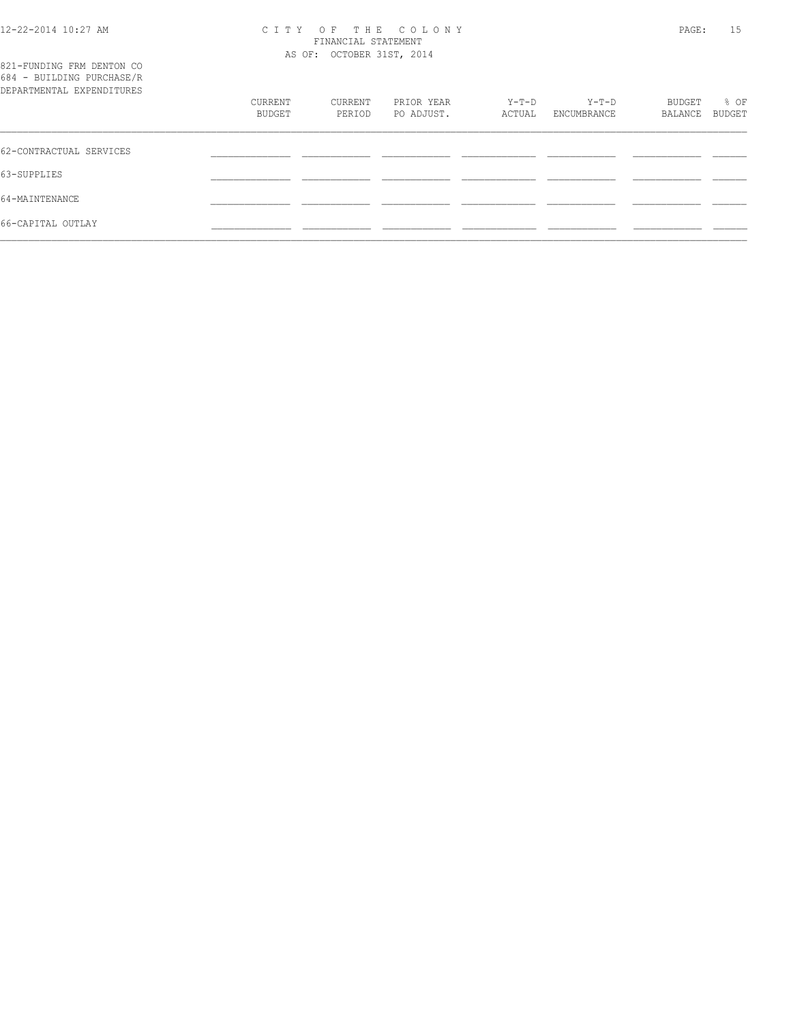# 12-22-2014 10:27 AM C I T Y O F T H E C O L O N Y PAGE: 15 FINANCIAL STATEMENT

| 821-FUNDING FRM DENTON CO<br>684 - BUILDING PURCHASE/R |                   | AS OF: OCTOBER 31ST, 2014 |                          |                 |                      |                   |                |
|--------------------------------------------------------|-------------------|---------------------------|--------------------------|-----------------|----------------------|-------------------|----------------|
| DEPARTMENTAL EXPENDITURES                              | CURRENT<br>BUDGET | CURRENT<br>PERIOD         | PRIOR YEAR<br>PO ADJUST. | Y-T-D<br>ACTUAL | Y-T-D<br>ENCUMBRANCE | BUDGET<br>BALANCE | % OF<br>BUDGET |
| 62-CONTRACTUAL SERVICES                                |                   |                           |                          |                 |                      |                   |                |
| 63-SUPPLIES                                            |                   |                           |                          |                 |                      |                   |                |
| 64-MAINTENANCE                                         |                   |                           |                          |                 |                      |                   |                |
| 66-CAPITAL OUTLAY                                      |                   |                           |                          |                 |                      |                   |                |
|                                                        |                   |                           |                          |                 |                      |                   |                |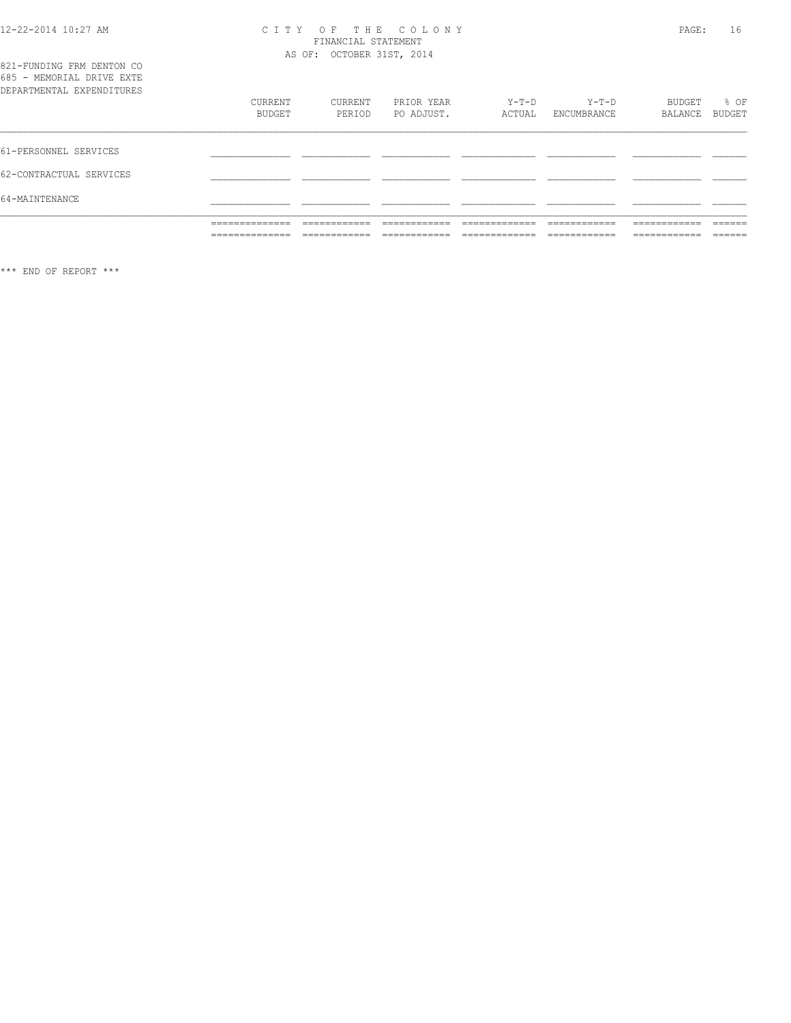# 12-22-2014 10:27 AM CITY OF THE COLONY<br>
FINANCIAL STATEMENT<br>
AS OF: OCTOBER 31ST, 2014

|  | 821-FUNDING FRM DENTON CO |  |  |  |
|--|---------------------------|--|--|--|
|  | 685 - MEMORIAL DRIVE EXTE |  |  |  |
|  | DEPARTMENTAL EXPENDITURES |  |  |  |

| DEPARTMENTAL EXPENDITURES |                                   |                              |                              |                                |                             |                              |                   |
|---------------------------|-----------------------------------|------------------------------|------------------------------|--------------------------------|-----------------------------|------------------------------|-------------------|
|                           | CURRENT                           | CURRENT                      | PRIOR YEAR                   | Y-T-D                          | $Y-T-D$                     | BUDGET                       | % OF              |
|                           | BUDGET                            | PERIOD                       | PO ADJUST.                   | ACTUAL                         | ENCUMBRANCE                 | BALANCE                      | BUDGET            |
|                           |                                   |                              |                              |                                |                             |                              |                   |
| 61-PERSONNEL SERVICES     |                                   |                              |                              |                                |                             |                              |                   |
| 62-CONTRACTUAL SERVICES   |                                   |                              |                              |                                |                             |                              |                   |
| 64-MAINTENANCE            |                                   |                              |                              |                                |                             |                              |                   |
|                           | ______________<br>______________  | ____________<br>____________ | ____________<br>____________ | _____________<br>_____________ | ____________<br>=========== | ____________<br>____________ | ______<br>______  |
|                           | ______________<br>_______________ | ____________                 | ___________                  | _____________                  | ____________                | ____________<br>____________ | -------<br>______ |

\*\*\* END OF REPORT \*\*\*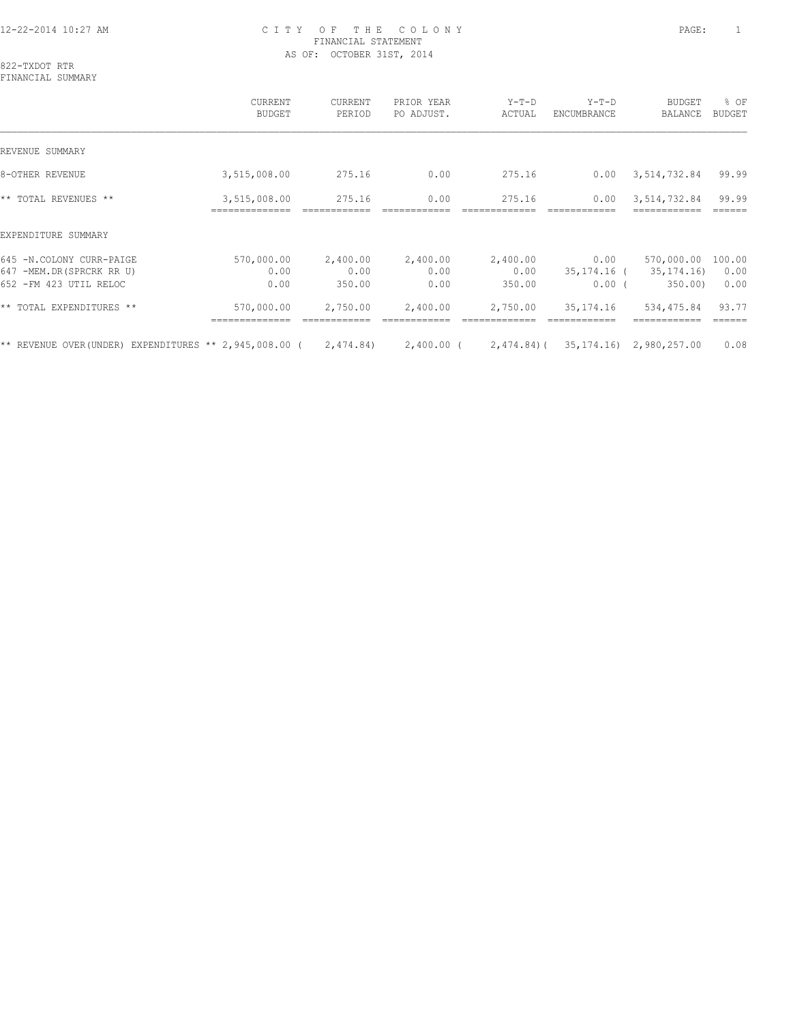## 12-22-2014 10:27 AM C I T Y O F T H E C O L O N Y PAGE: 1 FINANCIAL STATEMENT AS OF: OCTOBER 31ST, 2014

822-TXDOT RTR FINANCIAL SUMMARY

 CURRENT CURRENT PRIOR YEAR Y-T-D Y-T-D BUDGET % OF BUDGET PERIOD PO ADJUST. ACTUAL ENCUMBRANCE BALANCE BUDGET  $\mathcal{L} = \{ \mathcal{L} = \{ \mathcal{L} = \{ \mathcal{L} = \{ \mathcal{L} = \{ \mathcal{L} = \{ \mathcal{L} = \{ \mathcal{L} = \{ \mathcal{L} = \{ \mathcal{L} = \{ \mathcal{L} = \{ \mathcal{L} = \{ \mathcal{L} = \{ \mathcal{L} = \{ \mathcal{L} = \{ \mathcal{L} = \{ \mathcal{L} = \{ \mathcal{L} = \{ \mathcal{L} = \{ \mathcal{L} = \{ \mathcal{L} = \{ \mathcal{L} = \{ \mathcal{L} = \{ \mathcal{L} = \{ \mathcal{$ REVENUE SUMMARY 8-OTHER REVENUE 6 1 275.16 275.16 0.00 275.16 0.00 3,514,732.84 99.99 \*\* TOTAL REVENUES \*\* 3,515,008.00 275.16 0.00 275.16 0.00 3,514,732.84 99.99 ============== ============ ============ ============= ============ ============ ====== EXPENDITURE SUMMARY 645 -N.COLONY CURR-PAIGE 570,000.00 2,400.00 2,400.00 2,400.00 0.00 570,000.00 100.00 647 -MEM.DR(SPRCRK RR U) 0.00 0.00 0.00 0.00 35,174.16 ( 35,174.16) 0.00 652 -FM 423 UTIL RELOC 0.00 350.00 0.00 350.00 0.00 ( 350.00) 0.00 \*\* TOTAL EXPENDITURES \*\* 570,000.00 2,750.00 2,400.00 2,750.00 35,174.16 534,475.84 93.77 ============== ============ ============ ============= ============ ============ ====== \*\* REVENUE OVER(UNDER) EXPENDITURES \*\* 2,945,008.00 ( 2,474.84) 2,400.00 ( 2,474.84)( 35,174.16) 2,980,257.00 0.08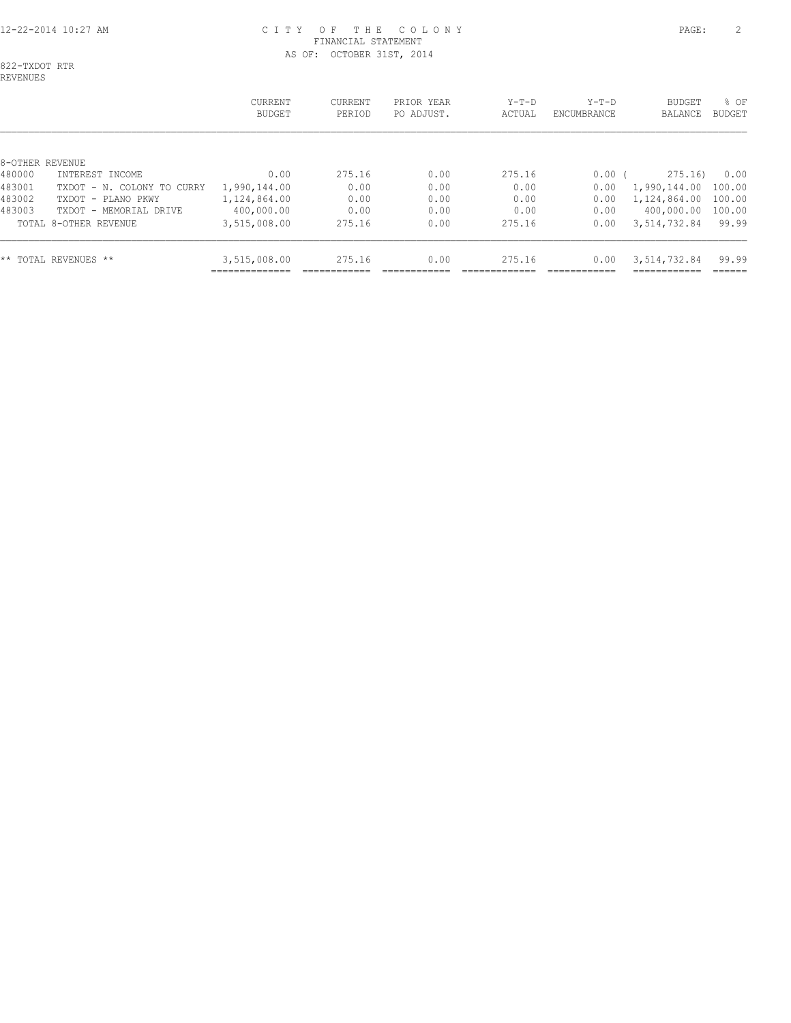# 12-22-2014 10:27 AM C I T Y O F T H E C O L O N Y PAGE: 2 FINANCIAL STATEMENT AS OF: OCTOBER 31ST, 2014

822-TXDOT RTR REVENUES

|                 |                            | <b>CURRENT</b><br><b>BUDGET</b> | <b>CURRENT</b><br>PERIOD | PRIOR YEAR<br>PO ADJUST. | $Y-T-D$<br>ACTUAL | $Y-T-D$<br>ENCUMBRANCE | BUDGET<br>BALANCE | % OF<br><b>BUDGET</b> |
|-----------------|----------------------------|---------------------------------|--------------------------|--------------------------|-------------------|------------------------|-------------------|-----------------------|
| 8-OTHER REVENUE |                            |                                 |                          |                          |                   |                        |                   |                       |
| 480000          | INTEREST INCOME            | 0.00                            | 275.16                   | 0.00                     | 275.16            | 0.00                   | 275.16            | 0.00                  |
| 483001          | TXDOT - N. COLONY TO CURRY | 1,990,144.00                    | 0.00                     | 0.00                     | 0.00              | 0.00                   | 1,990,144.00      | 100.00                |
| 483002          | TXDOT - PLANO PKWY         | 1,124,864.00                    | 0.00                     | 0.00                     | 0.00              | 0.00                   | 1,124,864.00      | 100.00                |
| 483003          | TXDOT - MEMORIAL DRIVE     | 400,000.00                      | 0.00                     | 0.00                     | 0.00              | 0.00                   | 400,000.00        | 100.00                |
|                 | TOTAL 8-OTHER REVENUE      | 3,515,008.00                    | 275.16                   | 0.00                     | 275.16            | 0.00                   | 3,514,732.84      | 99.99                 |
|                 | ** TOTAL REVENUES **       | 3,515,008.00                    | 275.16                   | 0.00                     | 275.16            | 0.00                   | 3,514,732.84      | 99.99                 |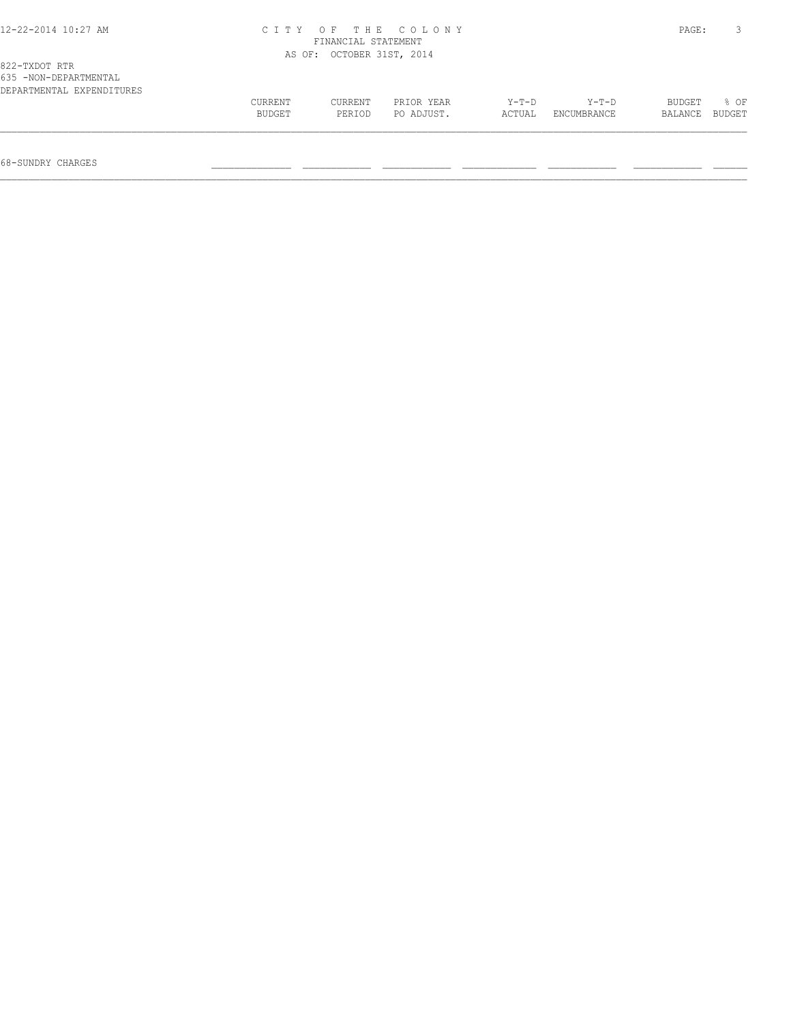| 12-22-2014 10:27 AM       | CITY OF THE COLONY        | PAGE: |  |
|---------------------------|---------------------------|-------|--|
|                           | FINANCIAL STATEMENT       |       |  |
|                           | AS OF: OCTOBER 31ST, 2014 |       |  |
| 822-TXDOT RTR             |                           |       |  |
| 635 -NON-DEPARTMENTAL     |                           |       |  |
| DEPARTMENTAL EXPENDITURES |                           |       |  |
|                           |                           |       |  |

 CURRENT CURRENT PRIOR YEAR Y-T-D Y-T-D BUDGET % OF BUDGET PERIOD PO ADJUST. ACTUAL ENCUMBRANCE BALANCE BUDGET  $\mathcal{L} = \{ \mathcal{L} = \{ \mathcal{L} = \{ \mathcal{L} = \{ \mathcal{L} = \{ \mathcal{L} = \{ \mathcal{L} = \{ \mathcal{L} = \{ \mathcal{L} = \{ \mathcal{L} = \{ \mathcal{L} = \{ \mathcal{L} = \{ \mathcal{L} = \{ \mathcal{L} = \{ \mathcal{L} = \{ \mathcal{L} = \{ \mathcal{L} = \{ \mathcal{L} = \{ \mathcal{L} = \{ \mathcal{L} = \{ \mathcal{L} = \{ \mathcal{L} = \{ \mathcal{L} = \{ \mathcal{L} = \{ \mathcal{$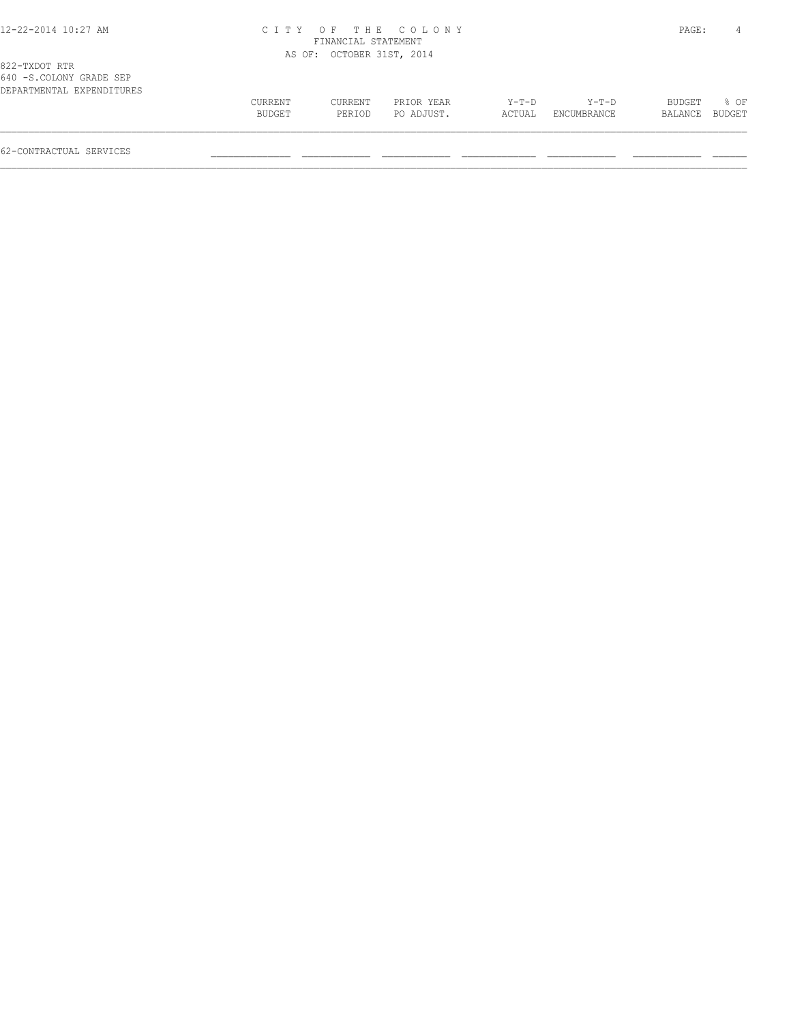#### 12-22-2014 10:27 AM C I T Y O F T H E C O L O N Y PAGE: 4 FINANCIAL STATEMENT AS OF: OCTOBER 31ST, 2014

| .                         |               |         |            |         |                    |         |               |
|---------------------------|---------------|---------|------------|---------|--------------------|---------|---------------|
| DEPARTMENTAL EXPENDITURES |               |         |            |         |                    |         |               |
|                           | CURRENT       | CURRENT | PRIOR YEAR | $Y-T-D$ | $Y-T-D$            | BUDGET  | % OF          |
|                           | <b>BUDGET</b> | PERIOD  | PO ADJUST. | ACTUAL  | <b>ENCUMBRANCE</b> | BALANCE | <b>BUDGET</b> |
|                           |               |         |            |         |                    |         |               |
|                           |               |         |            |         |                    |         |               |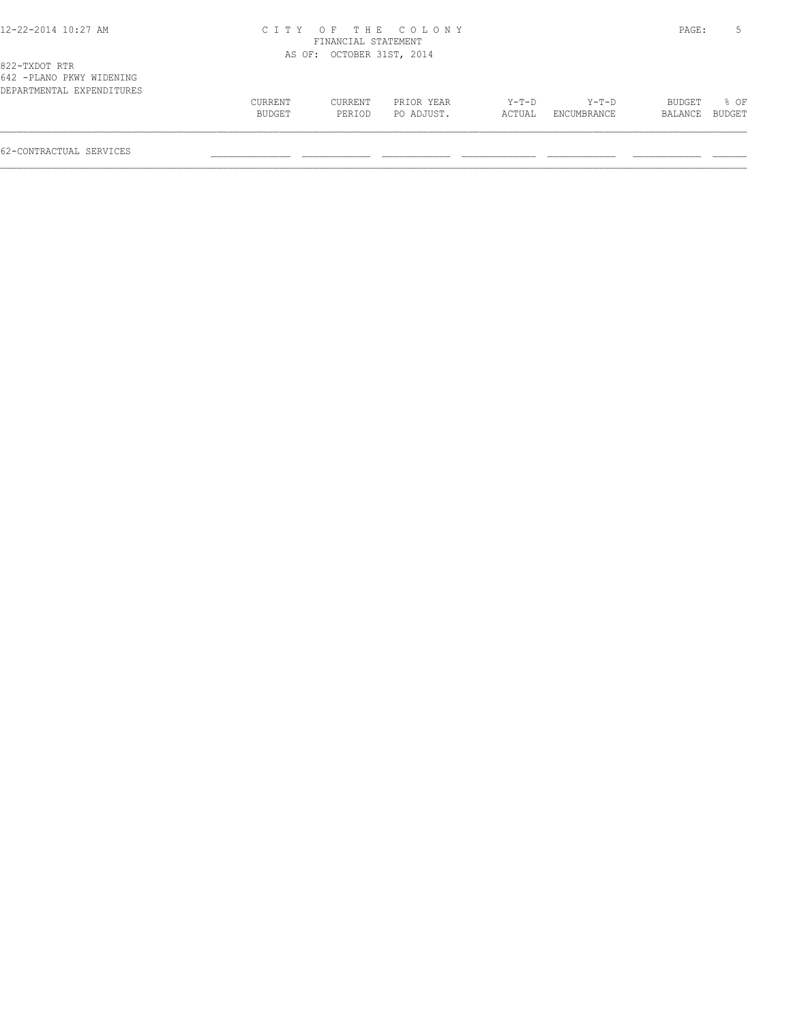#### 12-22-2014 10:27 AM C I T Y O F T H E C O L O N Y PAGE: 5 FINANCIAL STATEMENT AS OF: OCTOBER 31ST, 2014

| DEPARTMENTAL EXPENDITURES |         |         |            |         |                    |               |        |
|---------------------------|---------|---------|------------|---------|--------------------|---------------|--------|
|                           | CURRENT | CURRENT | PRIOR YEAR | $Y-T-D$ | $Y-T-D$            | <b>BUDGET</b> | $8$ OF |
|                           | BUDGET  | PERIOD  | PO ADJUST. | ACTUAL  | <b>ENCUMBRANCE</b> | BALANCE       | BUDGET |
|                           |         |         |            |         |                    |               |        |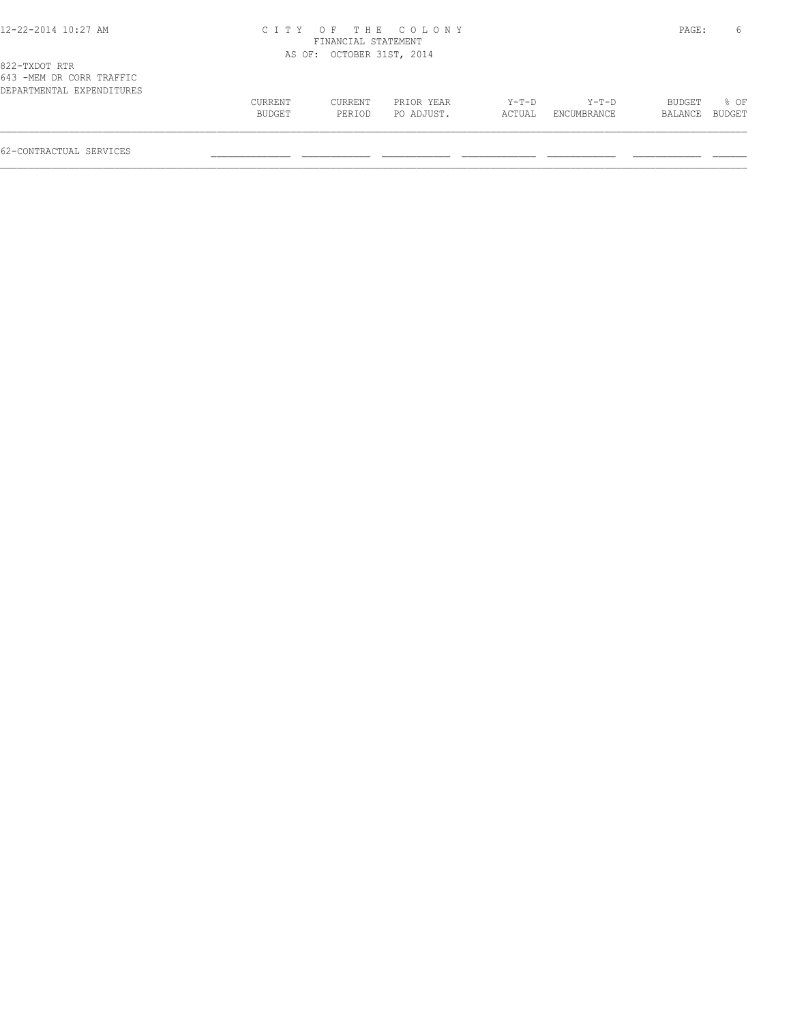#### 12-22-2014 10:27 AM C I T Y O F T H E C O L O N Y PAGE: 6 FINANCIAL STATEMENT AS OF: OCTOBER 31ST, 2014

| CURRENT<br>CURRENT<br>BUDGET<br>$Y-T-D$<br>PRIOR YEAR<br>Y-T-D<br><b>BUDGET</b><br>PO ADJUST.<br>PERIOD<br>ENCUMBRANCE<br>ACTUAL |                |        |
|----------------------------------------------------------------------------------------------------------------------------------|----------------|--------|
|                                                                                                                                  | BALANCE BUDGET | $8$ OF |
| 62-CONTRACTUAL SERVICES                                                                                                          |                |        |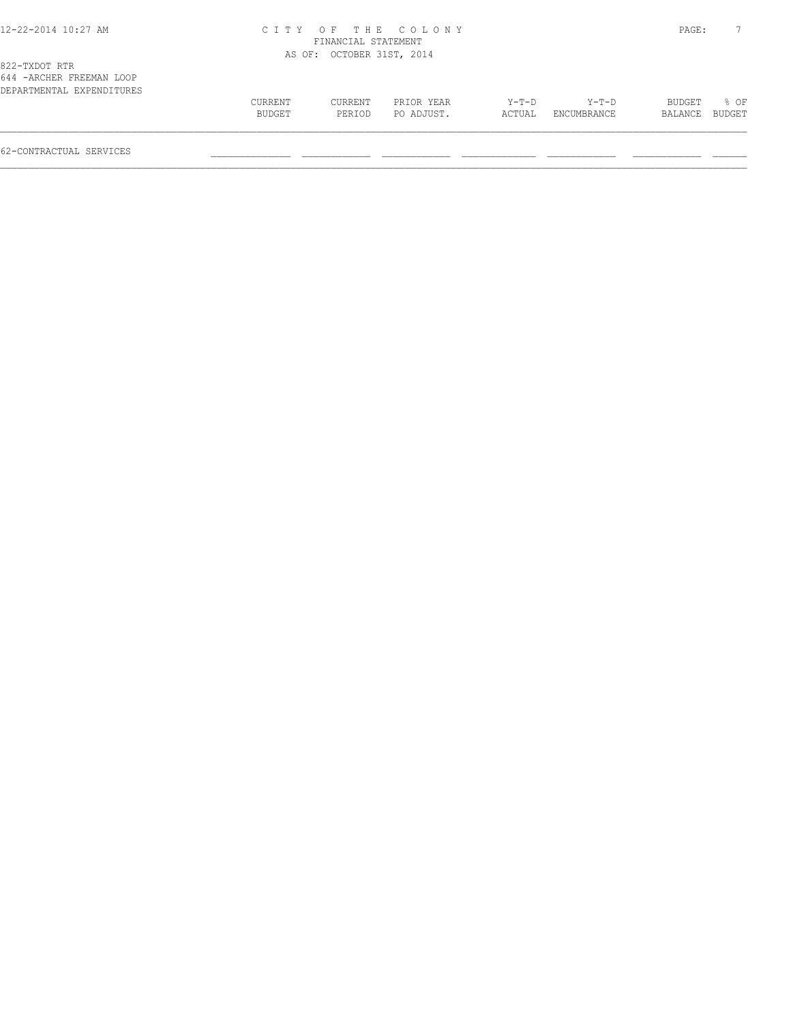#### 12-22-2014 10:27 AM C I T Y O F T H E C O L O N Y PAGE: 7 FINANCIAL STATEMENT AS OF: OCTOBER 31ST, 2014

| 644 - ARCHER FREEMAN LOOP |         |         |            |         |             |               |        |
|---------------------------|---------|---------|------------|---------|-------------|---------------|--------|
| DEPARTMENTAL EXPENDITURES |         |         |            |         |             |               |        |
|                           | CURRENT | CURRENT | PRIOR YEAR | $Y-T-D$ | $Y-T-D$     | <b>BUDGET</b> | % OF   |
|                           | BUDGET  | PERTOD  | PO ADJUST. | ACTUAL  | ENCUMBRANCE | BALANCE       | BUDGET |
|                           |         |         |            |         |             |               |        |
|                           |         |         |            |         |             |               |        |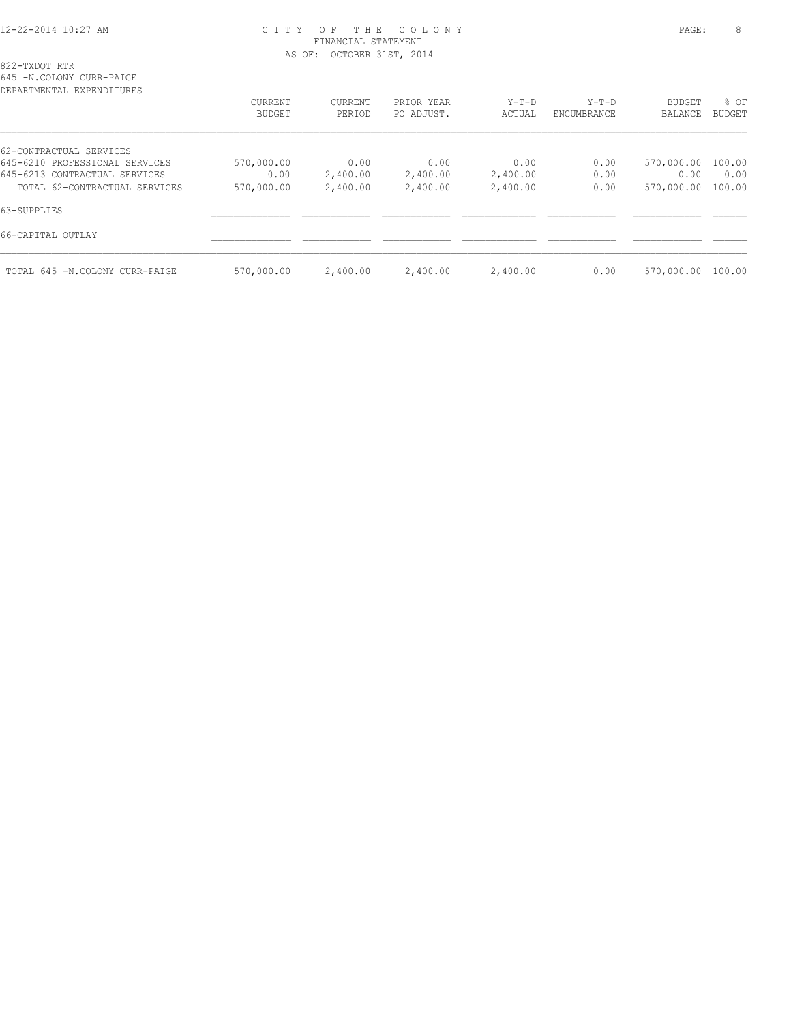## 12-22-2014 10:27 AM C I T Y O F T H E C O L O N Y PAGE: 8 FINANCIAL STATEMENT AS OF: OCTOBER 31ST, 2014

| 645 -N.COLONY CURR-PAIGE<br>DEPARTMENTAL EXPENDITURES |                   |                   |                          |                   |                        |                          |                       |
|-------------------------------------------------------|-------------------|-------------------|--------------------------|-------------------|------------------------|--------------------------|-----------------------|
|                                                       | CURRENT<br>BUDGET | CURRENT<br>PERIOD | PRIOR YEAR<br>PO ADJUST. | $Y-T-D$<br>ACTUAL | $Y-T-D$<br>ENCUMBRANCE | <b>BUDGET</b><br>BALANCE | % OF<br><b>BUDGET</b> |
| 62-CONTRACTUAL SERVICES                               |                   |                   |                          |                   |                        |                          |                       |
| 645-6210 PROFESSIONAL SERVICES                        | 570,000.00        | 0.00              | 0.00                     | 0.00              | 0.00                   | 570,000.00 100.00        |                       |
| 645-6213 CONTRACTUAL SERVICES                         | 0.00              | 2,400.00          | 2,400.00                 | 2,400.00          | 0.00                   | 0.00                     | 0.00                  |
| TOTAL 62-CONTRACTUAL SERVICES                         | 570,000.00        | 2,400.00          | 2,400.00                 | 2,400.00          | 0.00                   | 570,000.00               | 100.00                |
| 63-SUPPLIES                                           |                   |                   |                          |                   |                        |                          |                       |
| 66-CAPITAL OUTLAY                                     |                   |                   |                          |                   |                        |                          |                       |
|                                                       |                   |                   |                          |                   |                        |                          |                       |

TOTAL 645 -N.COLONY CURR-PAIGE 570,000.00 2,400.00 2,400.00 2,400.00 0.00 570,000.00 100.00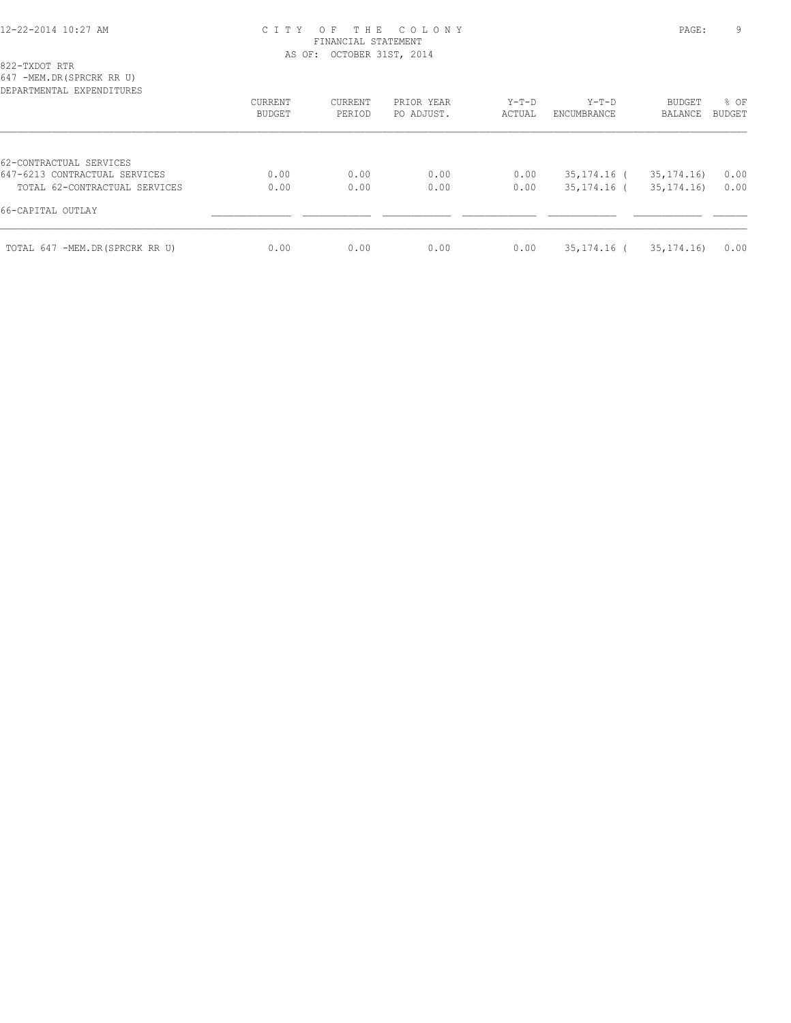## 12-22-2014 10:27 AM C I T Y O F T H E C O L O N Y PAGE: 9 FINANCIAL STATEMENT AS OF: OCTOBER 31ST, 2014

822-TXDOT RTR

647 -MEM.DR(SPRCRK RR U)

| DEPARTMENTAL EXPENDITURES      | <b>CURRENT</b><br>BUDGET | CURRENT<br>PERIOD | PRIOR YEAR<br>PO ADJUST. | Y-T-D<br>ACTUAL | $Y-T-D$<br>ENCUMBRANCE | BUDGET<br>BALANCE | % OF<br><b>BUDGET</b> |
|--------------------------------|--------------------------|-------------------|--------------------------|-----------------|------------------------|-------------------|-----------------------|
|                                |                          |                   |                          |                 |                        |                   |                       |
| 62-CONTRACTUAL SERVICES        |                          |                   |                          |                 |                        |                   |                       |
| 647-6213 CONTRACTUAL SERVICES  | 0.00                     | 0.00              | 0.00                     | 0.00            | $35,174,16$ (          | 35, 174, 16)      | 0.00                  |
| TOTAL 62-CONTRACTUAL SERVICES  | 0.00                     | 0.00              | 0.00                     | 0.00            | 35,174.16 (            | 35, 174, 16       | 0.00                  |
| 66-CAPITAL OUTLAY              |                          |                   |                          |                 |                        |                   |                       |
| TOTAL 647 -MEM.DR(SPRCRK RR U) | 0.00                     | 0.00              | 0.00                     | 0.00            | 35,174.16 (            | 35, 174. 16)      | 0.00                  |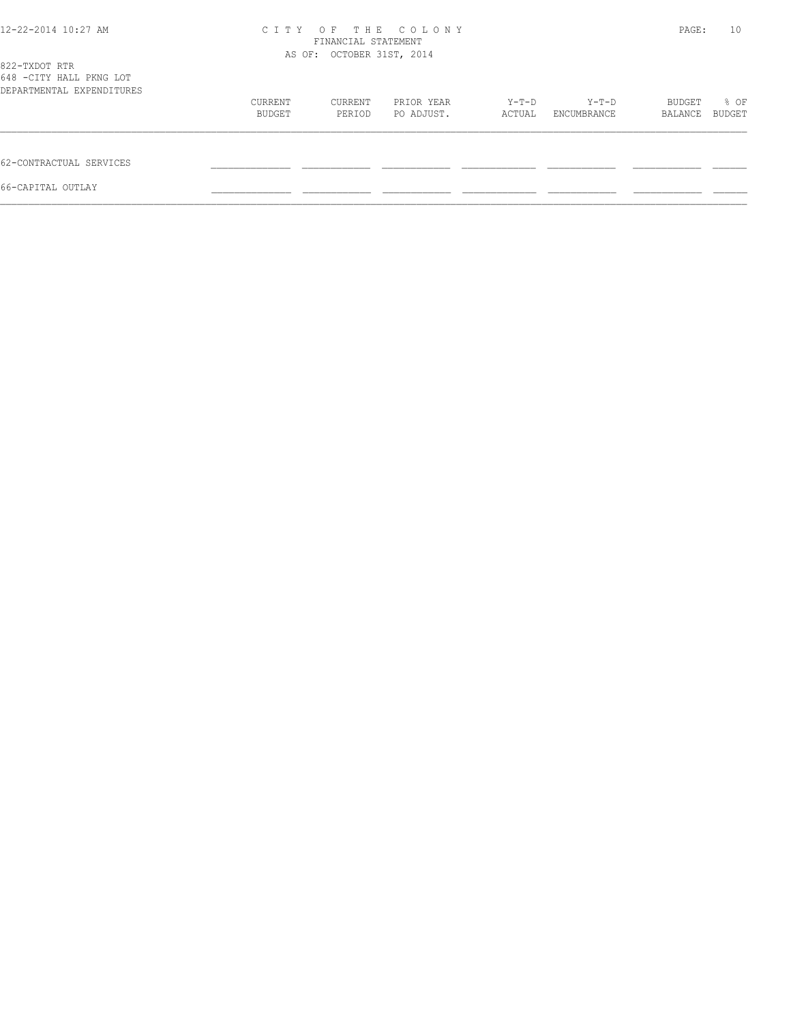| 12-22-2014 10:27 AM                                                   | C T T Y                   | PAGE:             | 10                       |                 |                      |                   |                |
|-----------------------------------------------------------------------|---------------------------|-------------------|--------------------------|-----------------|----------------------|-------------------|----------------|
| 822-TXDOT RTR<br>648 -CITY HALL PKNG LOT<br>DEPARTMENTAL EXPENDITURES | AS OF: OCTOBER 31ST, 2014 |                   |                          |                 |                      |                   |                |
|                                                                       | CURRENT<br>BUDGET         | CURRENT<br>PERIOD | PRIOR YEAR<br>PO ADJUST. | Y-T-D<br>ACTUAL | Y-T-D<br>ENCUMBRANCE | BUDGET<br>BALANCE | % OF<br>BUDGET |
| 62-CONTRACTUAL SERVICES                                               |                           |                   |                          |                 |                      |                   |                |
| 66-CAPITAL OUTLAY                                                     |                           |                   |                          |                 |                      |                   |                |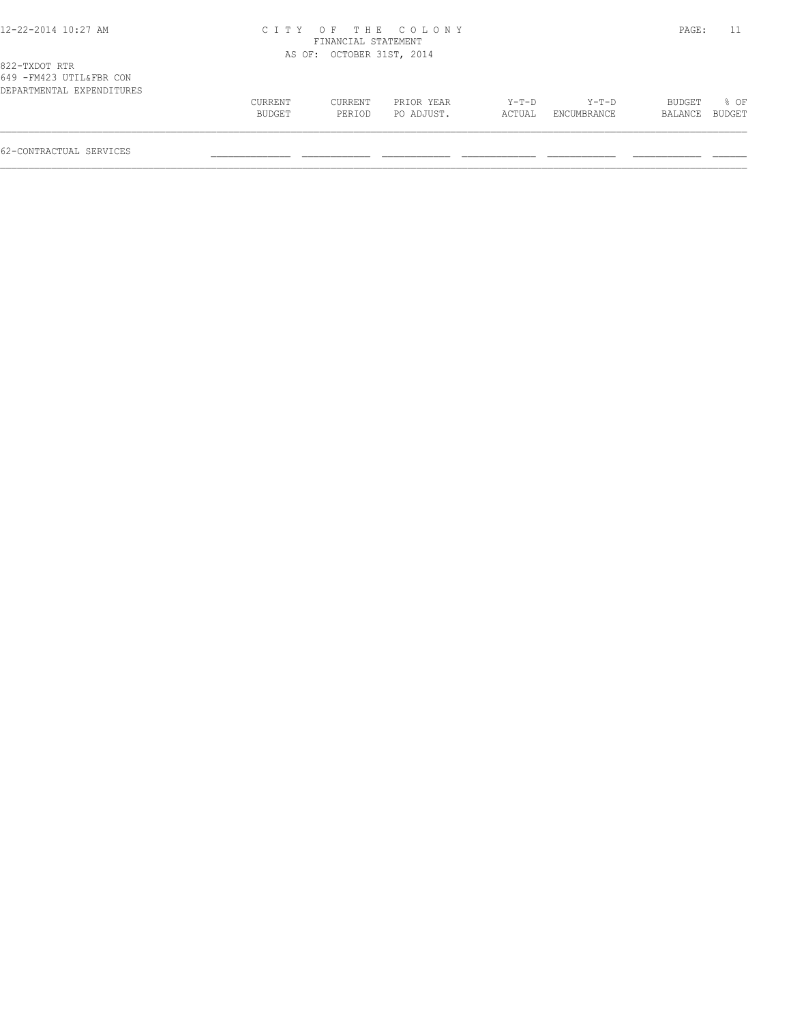#### 12-22-2014 10:27 AM C I T Y O F T H E C O L O N Y PAGE: 11 FINANCIAL STATEMENT AS OF: OCTOBER 31ST, 2014

| DEPARTMENTAL EXPENDITURES |         |         |            |        |             |                |        |
|---------------------------|---------|---------|------------|--------|-------------|----------------|--------|
|                           | CURRENT | CURRENT | PRIOR YEAR | Y-T-D  | $Y-T-D$     | BUDGET         | $8$ OF |
|                           | BUDGET  | PERTOD  | PO ADJUST. | ACTUAL | ENCUMBRANCE | BALANCE BUDGET |        |
|                           |         |         |            |        |             |                |        |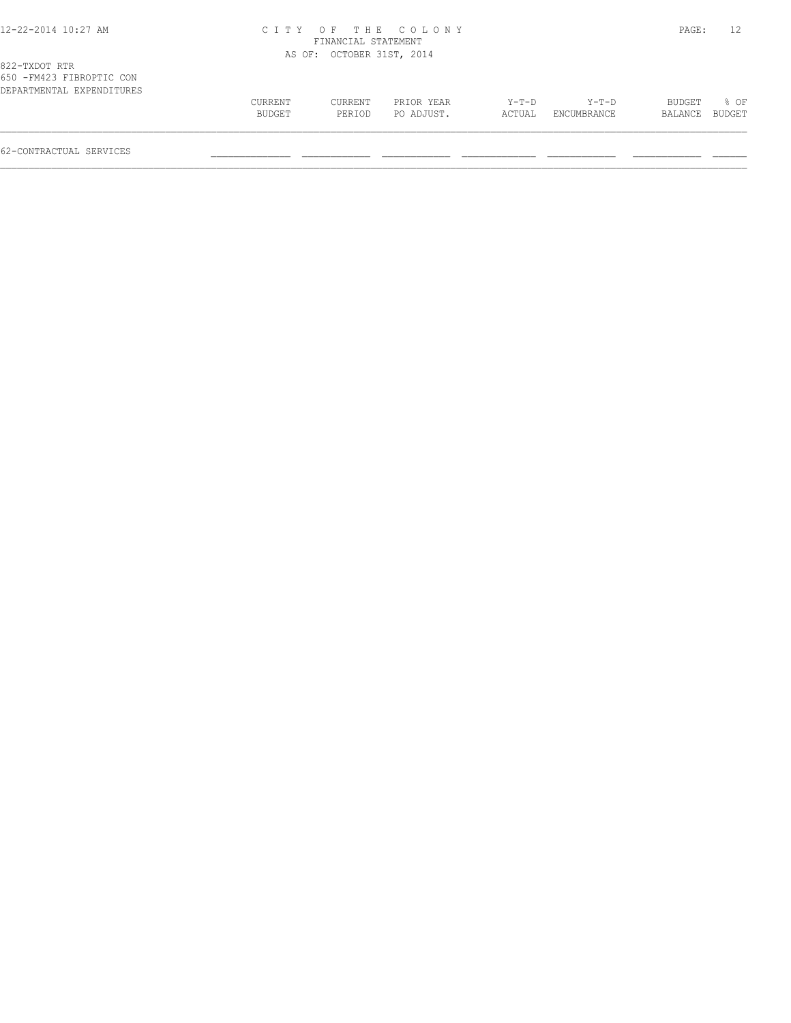#### 12-22-2014 10:27 AM C I T Y O F T H E C O L O N Y PAGE: 12 FINANCIAL STATEMENT AS OF: OCTOBER 31ST, 2014

| NJV – FRITZJ FIDNULITU UVN |               |         |            |         |             |                |        |
|----------------------------|---------------|---------|------------|---------|-------------|----------------|--------|
| DEPARTMENTAL EXPENDITURES  |               |         |            |         |             |                |        |
|                            | CURRENT       | CURRENT | PRIOR YEAR | $Y-T-D$ | $Y-T-D$     | <b>BUDGET</b>  | $8$ OF |
|                            | <b>BUDGET</b> | PERIOD  | PO ADJUST. | ACTUAL  | ENCUMBRANCE | BALANCE BUDGET |        |
|                            |               |         |            |         |             |                |        |
|                            |               |         |            |         |             |                |        |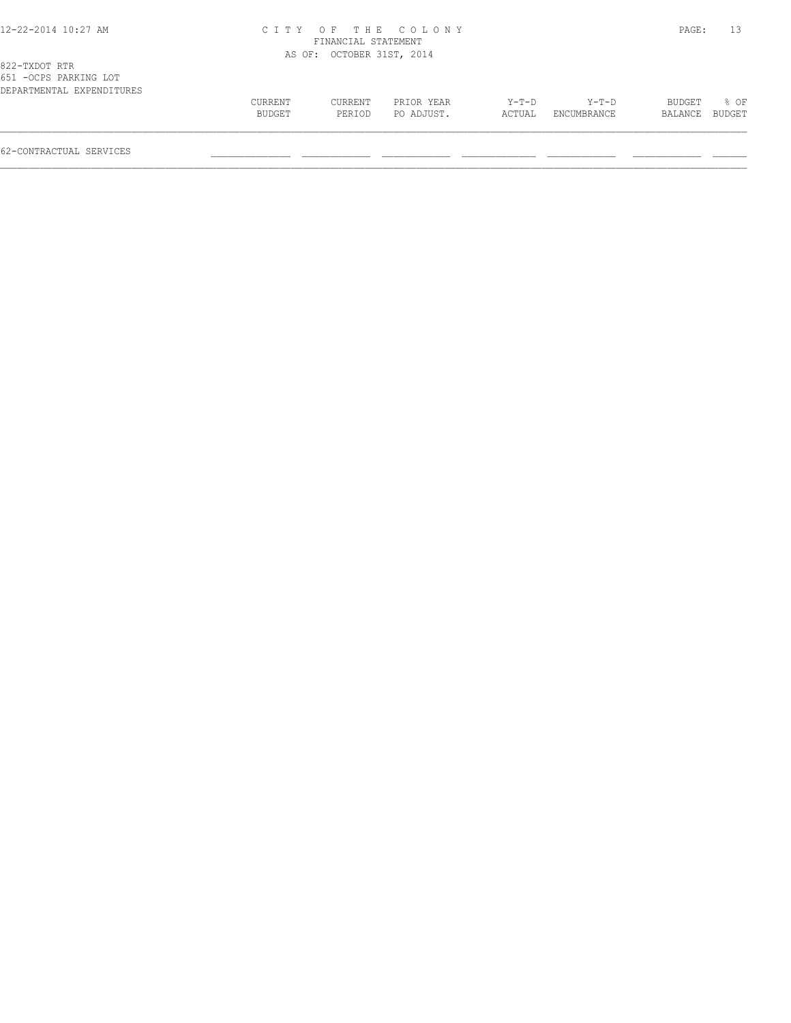#### 12-22-2014 10:27 AM C I T Y O F T H E C O L O N Y PAGE: 13 FINANCIAL STATEMENT AS OF: OCTOBER 31ST, 2014

| OUI LOCED ENVITING POI    |               |         |            |         |                    |         |        |
|---------------------------|---------------|---------|------------|---------|--------------------|---------|--------|
| DEPARTMENTAL EXPENDITURES |               |         |            |         |                    |         |        |
|                           | CURRENT       | CURRENT | PRIOR YEAR | $Y-T-D$ | $Y - T - D$        | BUDGET  | % OF   |
|                           | <b>BUDGET</b> | PERIOD  | PO ADJUST. | ACTUAL  | <b>ENCUMBRANCE</b> | BALANCE | BUDGET |
|                           |               |         |            |         |                    |         |        |
|                           |               |         |            |         |                    |         |        |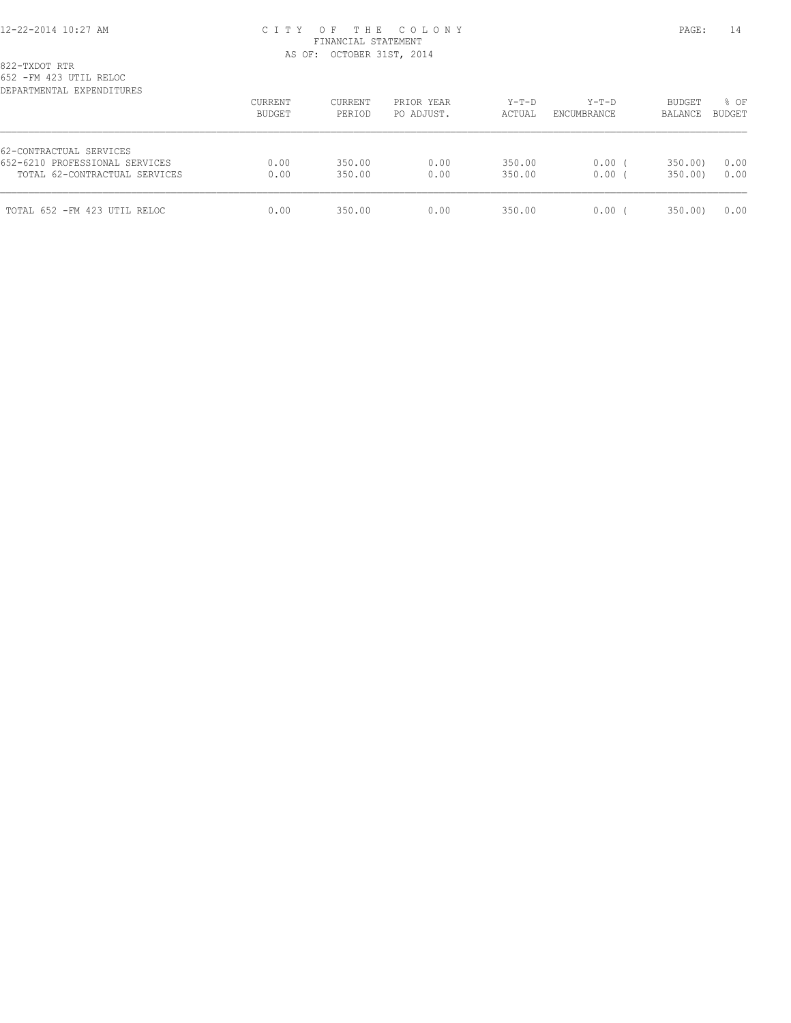## 12-22-2014 10:27 AM C I T Y O F T H E C O L O N Y PAGE: 14 FINANCIAL STATEMENT AS OF: OCTOBER 31ST, 2014

822-TXDOT RTR

652 -FM 423 UTIL RELOC

| DEPARTMENTAL EXPENDITURES      |                   |                   |                          |                   |                        |                          |                         |
|--------------------------------|-------------------|-------------------|--------------------------|-------------------|------------------------|--------------------------|-------------------------|
|                                | CURRENT<br>BUDGET | CURRENT<br>PERIOD | PRIOR YEAR<br>PO ADJUST. | $Y-T-D$<br>ACTUAL | $Y-T-D$<br>ENCUMBRANCE | <b>BUDGET</b><br>BALANCE | $8$ OF<br><b>BUDGET</b> |
| 62-CONTRACTUAL SERVICES        |                   |                   |                          |                   |                        |                          |                         |
| 652-6210 PROFESSIONAL SERVICES | 0.00              | 350.00            | 0.00                     | 350.00            | $0.00$ (               | 350.00                   | 0.00                    |
| TOTAL 62-CONTRACTUAL SERVICES  | 0.00              | 350.00            | 0.00                     | 350.00            | 0.00(                  | 350.00                   | 0.00                    |
| TOTAL 652 - FM 423 UTIL RELOC  | 0.00              | 350.00            | 0.00                     | 350.00            | 0.00(                  | 350.00                   | 0.00                    |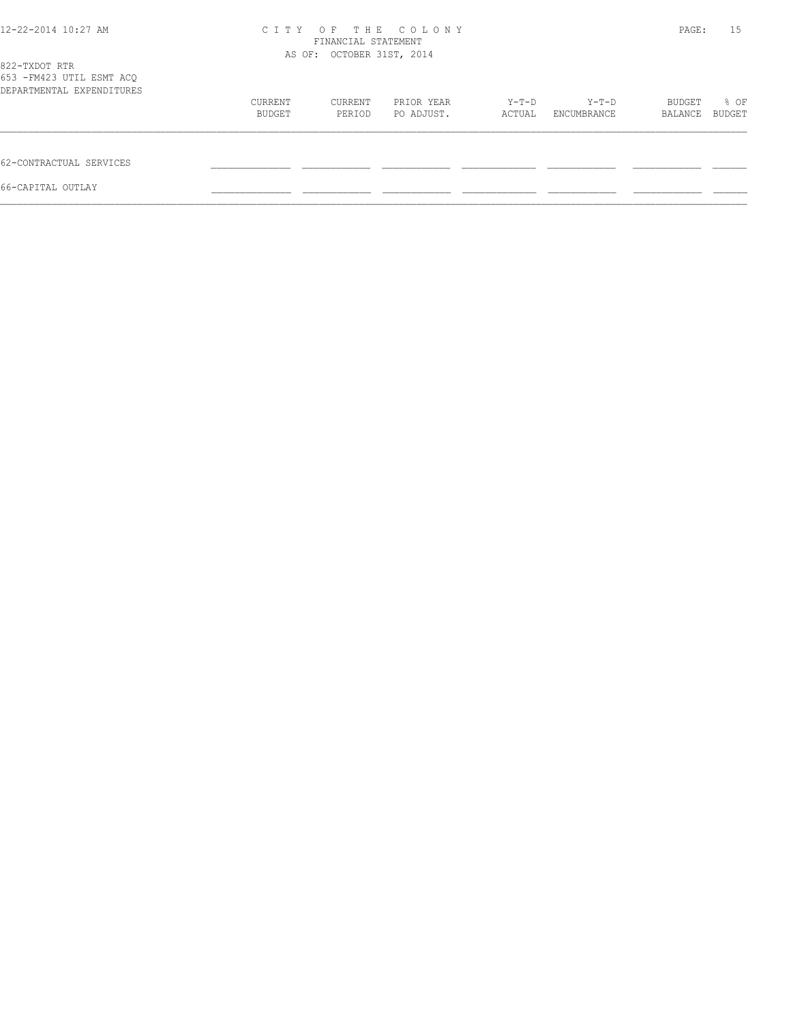| 12-22-2014 10:27 AM                                                     | C T T Y           | PAGE:                     | 15                       |                 |                      |                   |                |
|-------------------------------------------------------------------------|-------------------|---------------------------|--------------------------|-----------------|----------------------|-------------------|----------------|
| 822-TXDOT RTR<br>653 - FM423 UTIL ESMT ACQ<br>DEPARTMENTAL EXPENDITURES |                   | AS OF: OCTOBER 31ST, 2014 |                          |                 |                      |                   |                |
|                                                                         | CURRENT<br>BUDGET | CURRENT<br>PERIOD         | PRIOR YEAR<br>PO ADJUST. | Y-T-D<br>ACTUAL | Y-T-D<br>ENCUMBRANCE | BUDGET<br>BALANCE | % OF<br>BUDGET |
| 62-CONTRACTUAL SERVICES                                                 |                   |                           |                          |                 |                      |                   |                |
| 66-CAPITAL OUTLAY                                                       |                   |                           |                          |                 |                      |                   |                |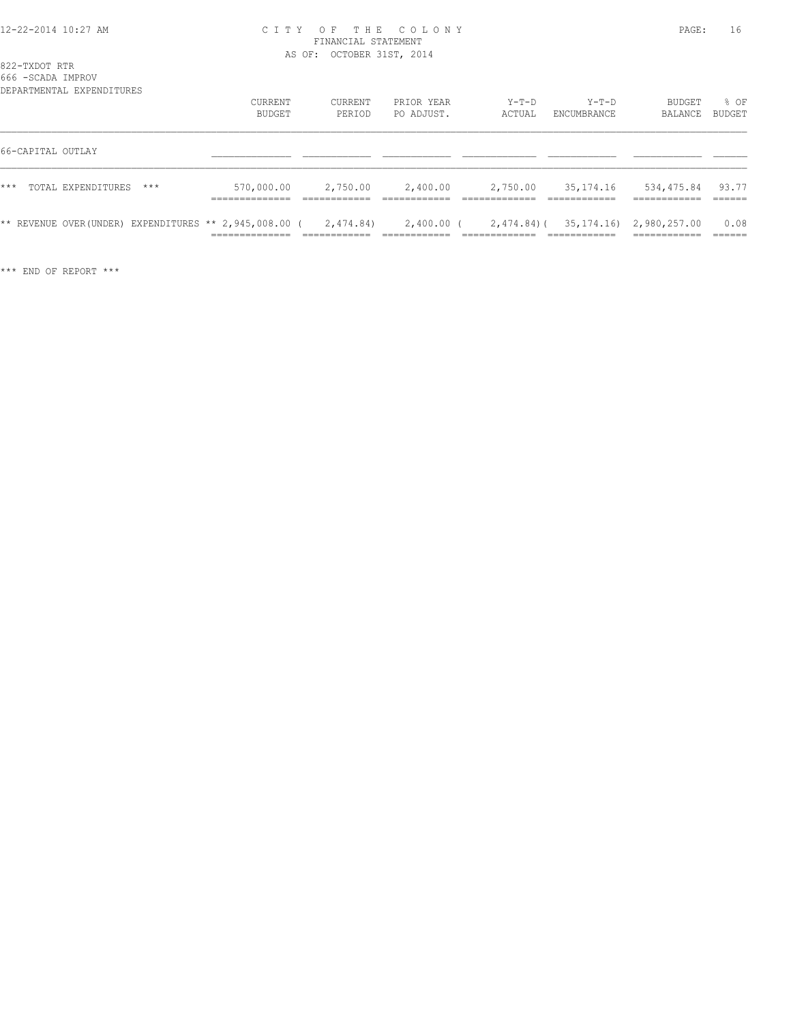### 12-22-2014 10:27 AM C I T Y O F T H E C O L O N Y PAGE: 16 FINANCIAL STATEMENT AS OF: OCTOBER 31ST, 2014

#### 822-TXDOT RTR

666 -SCADA IMPROV

|                   | DEPARTMENTAL EXPENDITURES                                          | CURRENT<br>BUDGET   | CURRENT<br>PERIOD | PRIOR YEAR<br>PO ADJUST. | Y-T-D<br>ACTUAL | Y-T-D<br>ENCUMBRANCE | <b>BUDGET</b><br>BALANCE                     | 8 OF<br>BUDGET |
|-------------------|--------------------------------------------------------------------|---------------------|-------------------|--------------------------|-----------------|----------------------|----------------------------------------------|----------------|
| 66-CAPITAL OUTLAY |                                                                    |                     |                   |                          |                 |                      |                                              |                |
| $***$             | TOTAL EXPENDITURES<br>$***$                                        | 570,000.00 2,750.00 |                   | 2,400.00                 | 2,750.00        | 35,174.16            | 534,475.84 93.77                             |                |
|                   | ** REVENUE OVER(UNDER) EXPENDITURES ** 2,945,008.00 ( $2,474.84$ ) |                     |                   |                          |                 |                      | 2,400.00 (2,474.84) (35,174.16) 2,980,257.00 | 0.08           |

\*\*\* END OF REPORT \*\*\*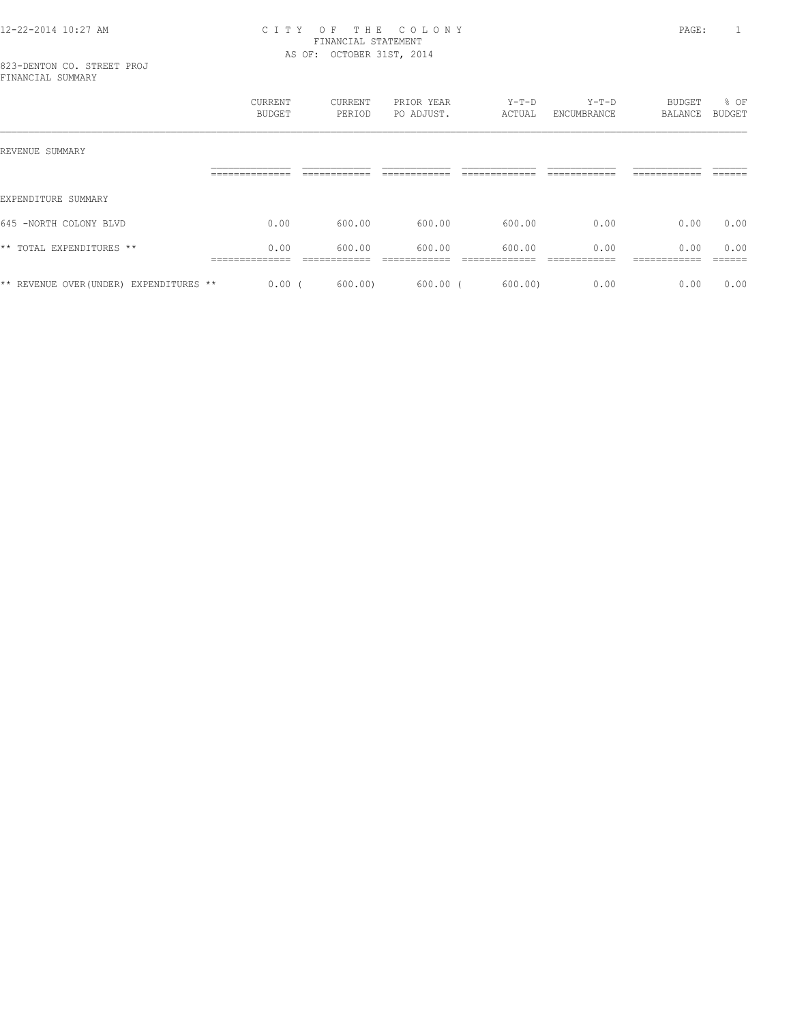## 12-22-2014 10:27 AM C I T Y O F T H E C O L O N Y PAGE: 1 FINANCIAL STATEMENT AS OF: OCTOBER 31ST, 2014

|                                         | CURRENT<br><b>BUDGET</b> | CURRENT<br>PERIOD       | PRIOR YEAR<br>PO ADJUST. | $Y-T-D$<br>ACTUAL      | $Y-T-D$<br>ENCUMBRANCE | BUDGET<br>BALANCE     | % OF<br><b>BUDGET</b> |
|-----------------------------------------|--------------------------|-------------------------|--------------------------|------------------------|------------------------|-----------------------|-----------------------|
| REVENUE SUMMARY                         |                          |                         |                          |                        |                        |                       |                       |
|                                         | --------------           |                         |                          |                        |                        |                       |                       |
| EXPENDITURE SUMMARY                     |                          |                         |                          |                        |                        |                       |                       |
| 645 -NORTH COLONY BLVD                  | 0.00                     | 600.00                  | 600.00                   | 600.00                 | 0.00                   | 0.00                  | 0.00                  |
| ** TOTAL EXPENDITURES **                | 0.00<br>______________   | 600.00<br>------------- | 600.00<br>------------   | 600.00<br>____________ | 0.00<br>------------   | 0.00<br>------------- | 0.00<br>------        |
| ** REVENUE OVER (UNDER) EXPENDITURES ** | $0.00$ (                 | 600.00                  | 600.00                   | 600.00)                | 0.00                   | 0.00                  | 0.00                  |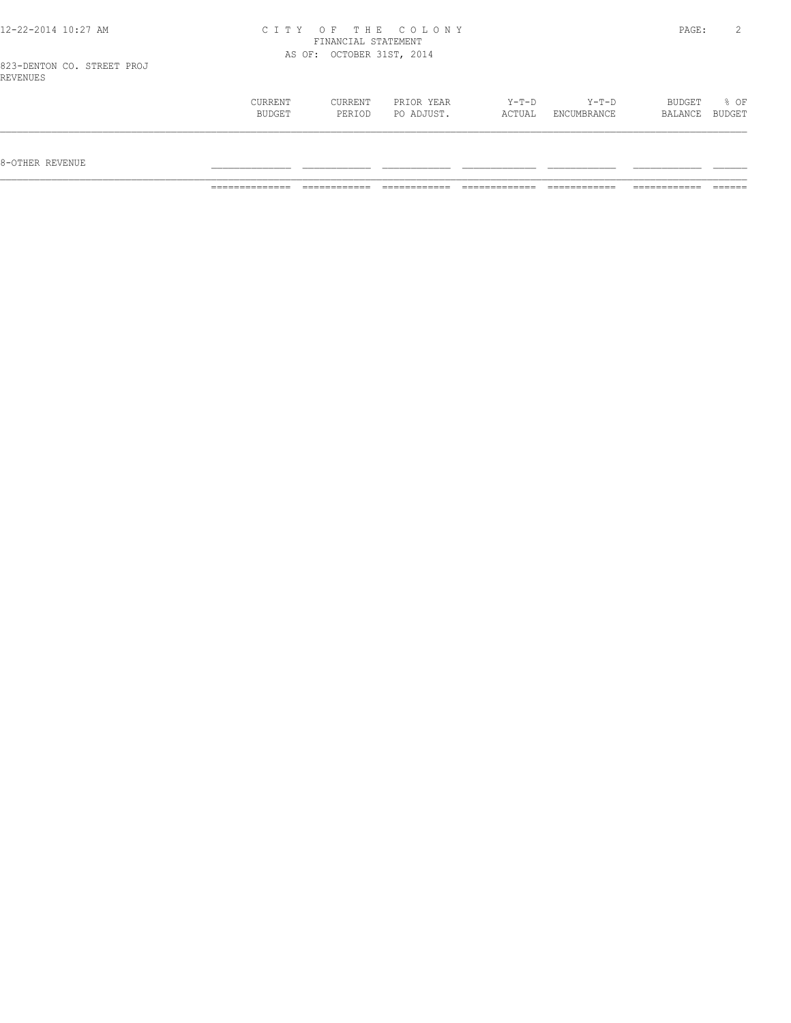|  |  | 12-22-2014 10:27 AM |  |
|--|--|---------------------|--|
|  |  |                     |  |

## 12-22-2014 10:27 AM C I T Y O F T H E C O L O N Y PAGE: 2 FINANCIAL STATEMENT AS OF: OCTOBER 31ST, 2014

| CURRENT | CURRENT | PRIOR YEAR | $Y-T-D$ | $Y-T-D$     | BUDGET  | % OF          |
|---------|---------|------------|---------|-------------|---------|---------------|
| BUDGET  | PERIOD  | PO ADJUST. | ACTUAL  | ENCUMBRANCE | BALANCE | <b>BUDGET</b> |
|         |         |            |         |             |         |               |
|         |         |            |         |             |         |               |
|         |         |            |         |             |         |               |

 $8-{\rm OFF}$  revenue  $\_$ 

============== ============ ============ ============= ============ ============ ======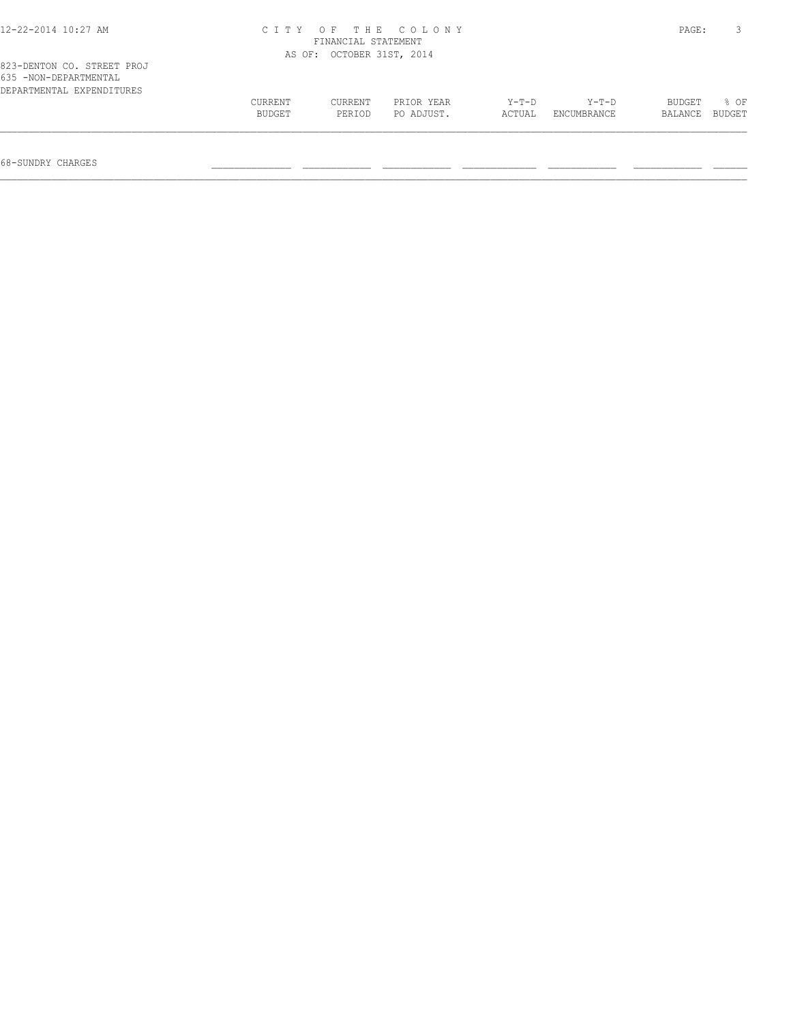| 12-22-2014 10:27 AM                                                              | CITY OF THE COLONY<br>FINANCIAL STATEMENT |                   |                          |                 |                      |                   | PAGE:          |
|----------------------------------------------------------------------------------|-------------------------------------------|-------------------|--------------------------|-----------------|----------------------|-------------------|----------------|
|                                                                                  | AS OF: OCTOBER 31ST, 2014                 |                   |                          |                 |                      |                   |                |
| 823-DENTON CO. STREET PROJ<br>635 -NON-DEPARTMENTAL<br>DEPARTMENTAL EXPENDITURES |                                           |                   |                          |                 |                      |                   |                |
|                                                                                  | CURRENT<br>BUDGET                         | CURRENT<br>PERIOD | PRIOR YEAR<br>PO ADJUST. | Y-T-D<br>ACTUAL | Y-T-D<br>ENCUMBRANCE | BUDGET<br>BALANCE | 8 OF<br>BUDGET |
|                                                                                  |                                           |                   |                          |                 |                      |                   |                |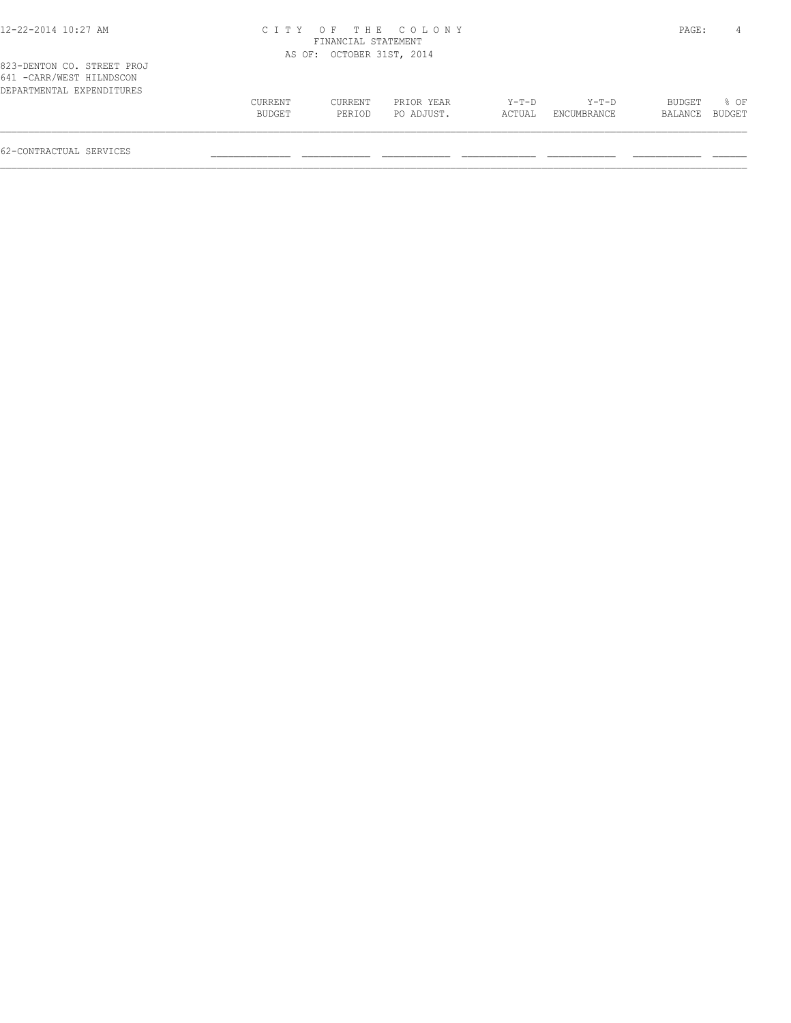| 12-22-2014 10:27 AM                                                                  |                   | FINANCIAL STATEMENT       | CITY OF THE COLONY       |                   |                        | PAGE:                           | 4                |
|--------------------------------------------------------------------------------------|-------------------|---------------------------|--------------------------|-------------------|------------------------|---------------------------------|------------------|
|                                                                                      |                   | AS OF: OCTOBER 31ST, 2014 |                          |                   |                        |                                 |                  |
| 823-DENTON CO. STREET PROJ<br>641 - CARR/WEST HILNDSCON<br>DEPARTMENTAL EXPENDITURES |                   |                           |                          |                   |                        |                                 |                  |
|                                                                                      | CURRENT<br>BUDGET | CURRENT<br>PERIOD         | PRIOR YEAR<br>PO ADJUST. | $Y-T-D$<br>ACTUAL | $Y-T-D$<br>ENCUMBRANCE | <b>BUDGET</b><br><b>BALANCE</b> | $8$ OF<br>BUDGET |

 $\mathcal{L} = \{ \mathcal{L} = \{ \mathcal{L} = \{ \mathcal{L} = \{ \mathcal{L} = \{ \mathcal{L} = \{ \mathcal{L} = \{ \mathcal{L} = \{ \mathcal{L} = \{ \mathcal{L} = \{ \mathcal{L} = \{ \mathcal{L} = \{ \mathcal{L} = \{ \mathcal{L} = \{ \mathcal{L} = \{ \mathcal{L} = \{ \mathcal{L} = \{ \mathcal{L} = \{ \mathcal{L} = \{ \mathcal{L} = \{ \mathcal{L} = \{ \mathcal{L} = \{ \mathcal{L} = \{ \mathcal{L} = \{ \mathcal{$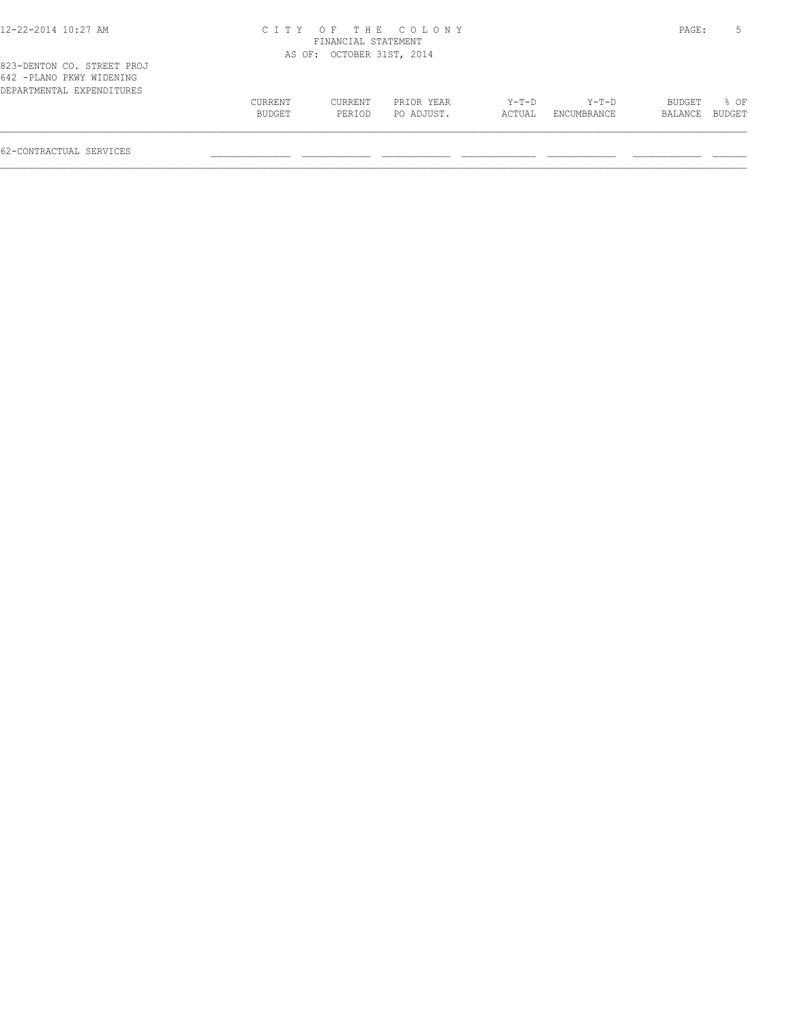| 12-22-2014 10:27 AM                                                                 |                   | FINANCIAL STATEMENT       | CITY OF THE COLONY       |                   |                        | PAGE:             |                |
|-------------------------------------------------------------------------------------|-------------------|---------------------------|--------------------------|-------------------|------------------------|-------------------|----------------|
|                                                                                     |                   | AS OF: OCTOBER 31ST, 2014 |                          |                   |                        |                   |                |
| 823-DENTON CO. STREET PROJ<br>642 -PLANO PKWY WIDENING<br>DEPARTMENTAL EXPENDITURES |                   |                           |                          |                   |                        |                   |                |
|                                                                                     | CURRENT<br>BUDGET | CURRENT<br>PERIOD         | PRIOR YEAR<br>PO ADJUST. | $Y-T-D$<br>ACTUAL | $Y-T-D$<br>ENCUMBRANCE | BUDGET<br>BALANCE | 8 OF<br>BUDGET |

 $\mathcal{L} = \{ \mathcal{L} = \{ \mathcal{L} = \{ \mathcal{L} = \{ \mathcal{L} = \{ \mathcal{L} = \{ \mathcal{L} = \{ \mathcal{L} = \{ \mathcal{L} = \{ \mathcal{L} = \{ \mathcal{L} = \{ \mathcal{L} = \{ \mathcal{L} = \{ \mathcal{L} = \{ \mathcal{L} = \{ \mathcal{L} = \{ \mathcal{L} = \{ \mathcal{L} = \{ \mathcal{L} = \{ \mathcal{L} = \{ \mathcal{L} = \{ \mathcal{L} = \{ \mathcal{L} = \{ \mathcal{L} = \{ \mathcal{$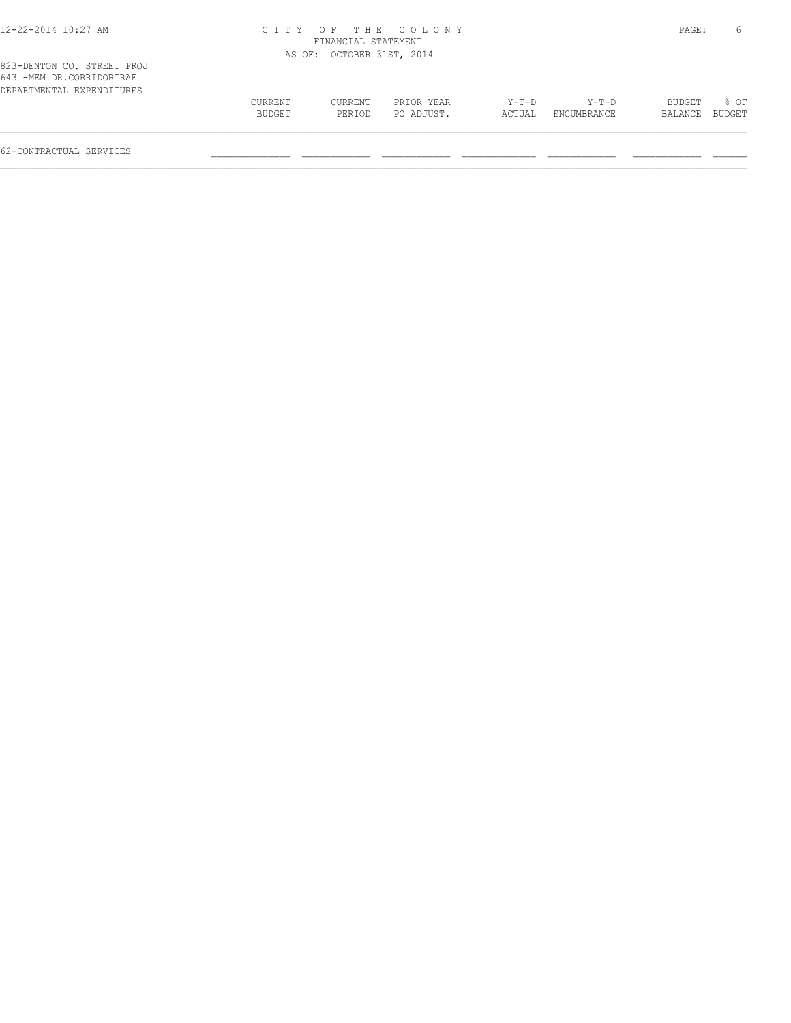| 12-22-2014 10:27 AM                                                                 |                   | FINANCIAL STATEMENT       | CITY OF THE COLONY       |                   |                      | PAGE:                    | 6                |
|-------------------------------------------------------------------------------------|-------------------|---------------------------|--------------------------|-------------------|----------------------|--------------------------|------------------|
|                                                                                     |                   | AS OF: OCTOBER 31ST, 2014 |                          |                   |                      |                          |                  |
| 823-DENTON CO. STREET PROJ<br>643 -MEM DR.CORRIDORTRAF<br>DEPARTMENTAL EXPENDITURES |                   |                           |                          |                   |                      |                          |                  |
|                                                                                     | CURRENT<br>BUDGET | CURRENT<br>PERIOD         | PRIOR YEAR<br>PO ADJUST. | $Y-T-D$<br>ACTUAL | Y-T-D<br>ENCUMBRANCE | <b>BUDGET</b><br>BALANCE | $8$ OF<br>BUDGET |

 $\mathcal{L} = \{ \mathcal{L} = \{ \mathcal{L} = \{ \mathcal{L} = \{ \mathcal{L} = \{ \mathcal{L} = \{ \mathcal{L} = \{ \mathcal{L} = \{ \mathcal{L} = \{ \mathcal{L} = \{ \mathcal{L} = \{ \mathcal{L} = \{ \mathcal{L} = \{ \mathcal{L} = \{ \mathcal{L} = \{ \mathcal{L} = \{ \mathcal{L} = \{ \mathcal{L} = \{ \mathcal{L} = \{ \mathcal{L} = \{ \mathcal{L} = \{ \mathcal{L} = \{ \mathcal{L} = \{ \mathcal{L} = \{ \mathcal{$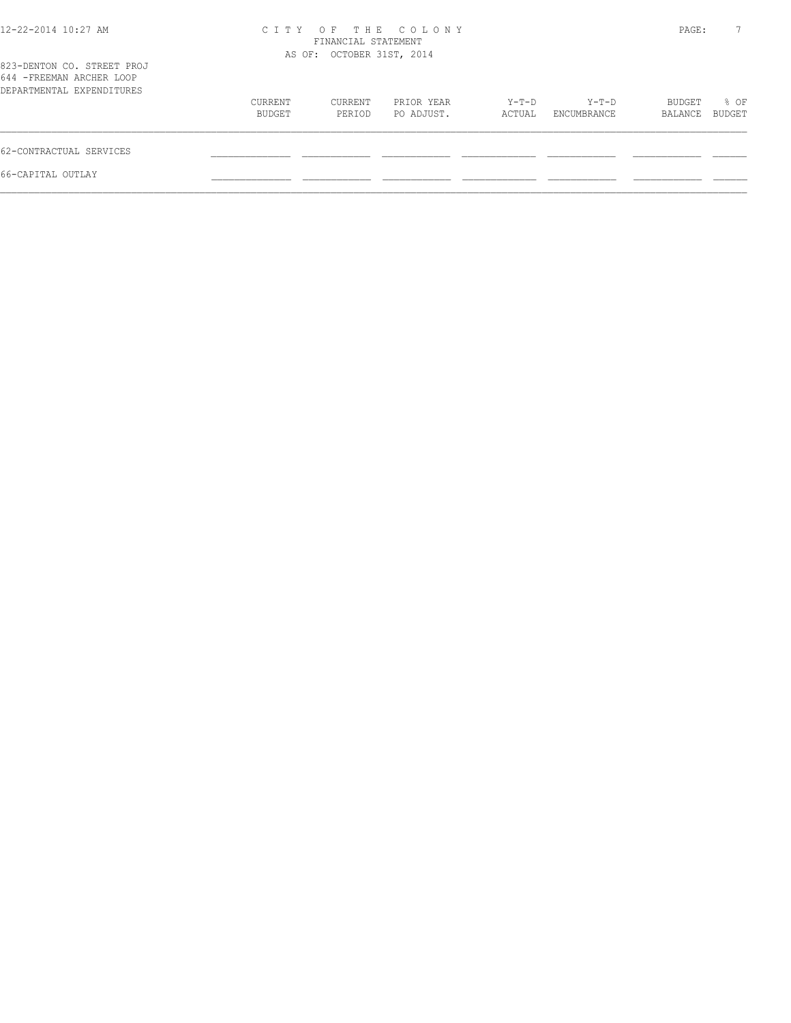| 12-22-2014 10:27 AM                                                                  | OF THE COLONY<br>C T T Y<br>FINANCIAL STATEMENT<br>AS OF: OCTOBER 31ST, 2014 |                   |                          |                 |                      | PAGE:             | $7^{\circ}$    |
|--------------------------------------------------------------------------------------|------------------------------------------------------------------------------|-------------------|--------------------------|-----------------|----------------------|-------------------|----------------|
| 823-DENTON CO. STREET PROJ<br>644 - FREEMAN ARCHER LOOP<br>DEPARTMENTAL EXPENDITURES |                                                                              |                   |                          |                 |                      |                   |                |
|                                                                                      | CURRENT<br>BUDGET                                                            | CURRENT<br>PERIOD | PRIOR YEAR<br>PO ADJUST. | Y-T-D<br>ACTUAL | Y-T-D<br>ENCUMBRANCE | BUDGET<br>BALANCE | % OF<br>BUDGET |
| 62-CONTRACTUAL SERVICES                                                              |                                                                              |                   |                          |                 |                      |                   |                |
| 66-CAPITAL OUTLAY                                                                    |                                                                              |                   |                          |                 |                      |                   |                |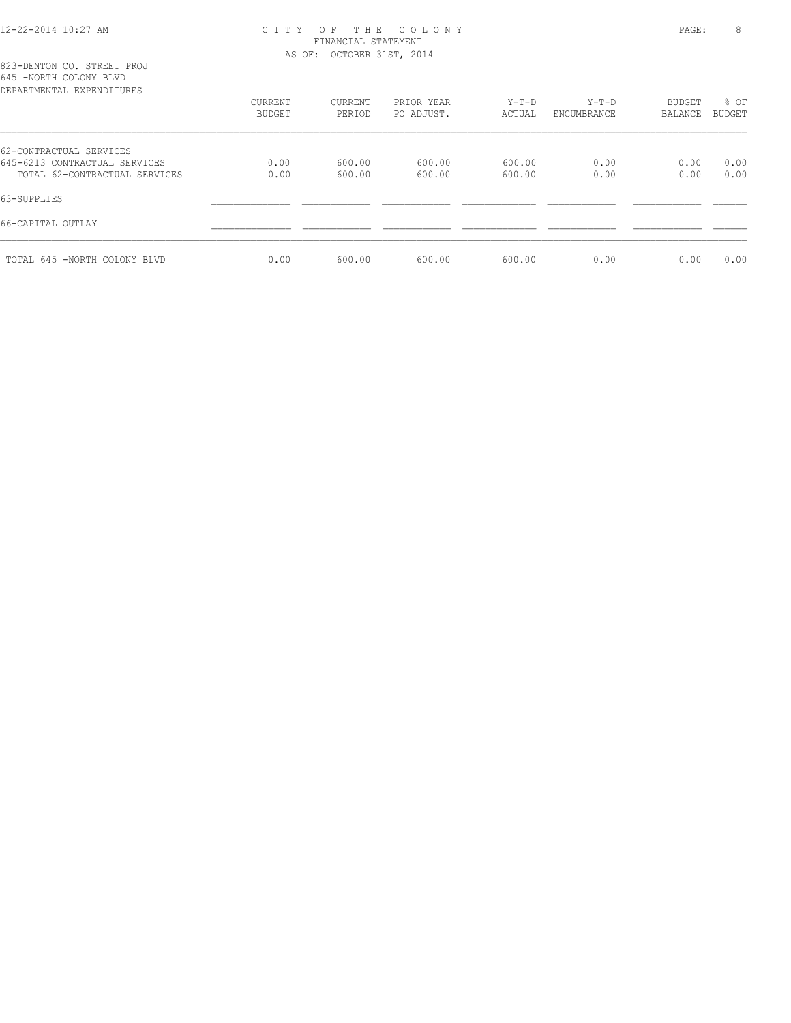# 12-22-2014 10:27 AM C I T Y O F T H E C O L O N Y PAGE: 8 FINANCIAL STATEMENT

645 -NORTH COLONY BLVD

| DEPARTMENTAL EXPENDITURES     |               |         |            |         |             |         |        |
|-------------------------------|---------------|---------|------------|---------|-------------|---------|--------|
|                               | CURRENT       | CURRENT | PRIOR YEAR | $Y-T-D$ | $Y-T-D$     | BUDGET  | % OF   |
|                               | <b>BUDGET</b> | PERIOD  | PO ADJUST. | ACTUAL  | ENCUMBRANCE | BALANCE | BUDGET |
| 62-CONTRACTUAL SERVICES       |               |         |            |         |             |         |        |
| 645-6213 CONTRACTUAL SERVICES | 0.00          | 600.00  | 600.00     | 600.00  | 0.00        | 0.00    | 0.00   |
| TOTAL 62-CONTRACTUAL SERVICES | 0.00          | 600.00  | 600.00     | 600.00  | 0.00        | 0.00    | 0.00   |
| 63-SUPPLIES                   |               |         |            |         |             |         |        |
| 66-CAPITAL OUTLAY             |               |         |            |         |             |         |        |
| TOTAL 645 -NORTH COLONY BLVD  | 0.00          | 600.00  | 600.00     | 600.00  | 0.00        | 0.00    | 0.00   |
|                               |               |         |            |         |             |         |        |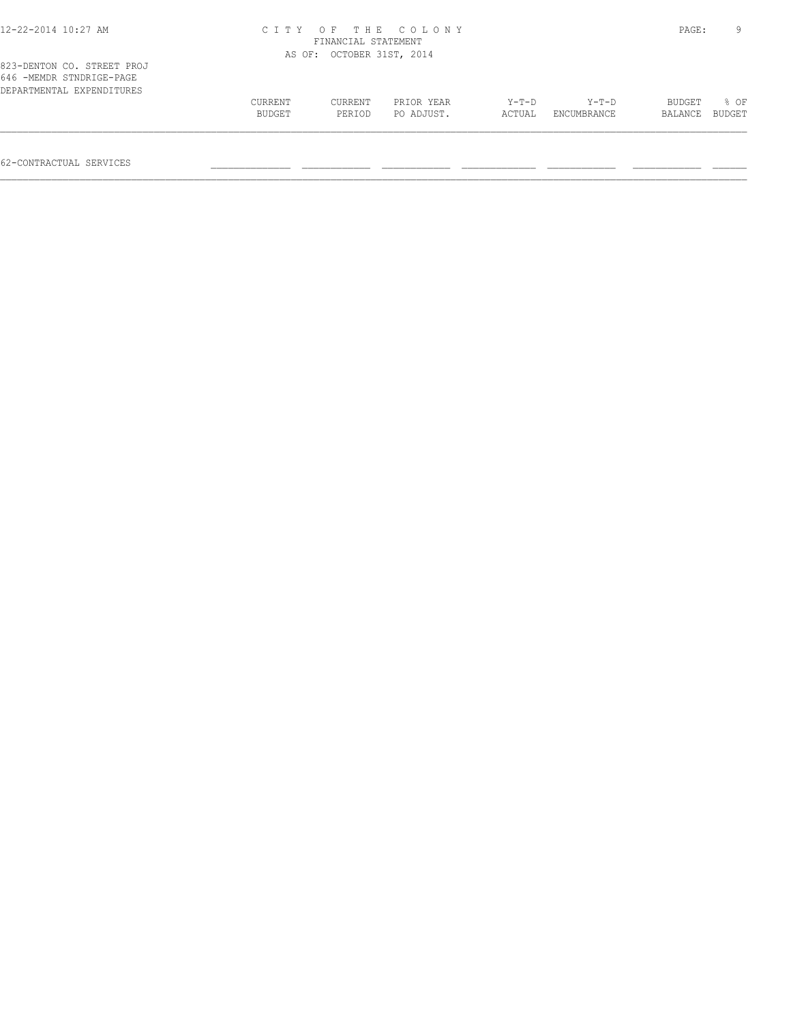| 12-22-2014 10:27 AM                                                                 | сттү                     | FINANCIAL STATEMENT       | OF THE COLONY            |                 |                      | PAGE:             | Q              |
|-------------------------------------------------------------------------------------|--------------------------|---------------------------|--------------------------|-----------------|----------------------|-------------------|----------------|
|                                                                                     |                          | AS OF: OCTOBER 31ST, 2014 |                          |                 |                      |                   |                |
| 823-DENTON CO. STREET PROJ<br>646 -MEMDR STNDRIGE-PAGE<br>DEPARTMENTAL EXPENDITURES |                          |                           |                          |                 |                      |                   |                |
|                                                                                     | <b>CURRENT</b><br>BUDGET | CURRENT<br>PERIOD         | PRIOR YEAR<br>PO ADJUST. | Y-T-D<br>ACTUAL | Y-T-D<br>ENCUMBRANCE | BUDGET<br>BALANCE | % OF<br>BUDGET |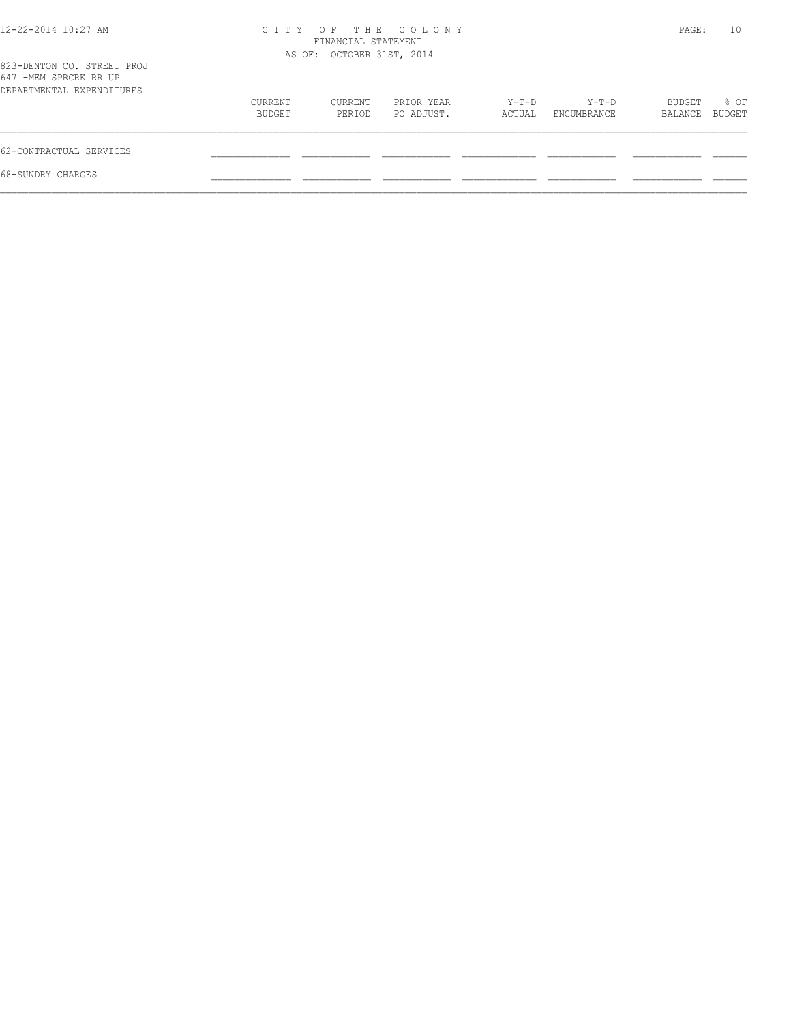| 12-22-2014 10:27 AM                                                              | OF THE COLONY<br>C T T Y<br>FINANCIAL STATEMENT<br>AS OF: OCTOBER 31ST, 2014 |                   |                          |                 |                      | PAGE:             | 10             |
|----------------------------------------------------------------------------------|------------------------------------------------------------------------------|-------------------|--------------------------|-----------------|----------------------|-------------------|----------------|
| 823-DENTON CO. STREET PROJ<br>647 -MEM SPRCRK RR UP<br>DEPARTMENTAL EXPENDITURES |                                                                              |                   |                          |                 |                      |                   |                |
|                                                                                  | CURRENT<br>BUDGET                                                            | CURRENT<br>PERIOD | PRIOR YEAR<br>PO ADJUST. | Y-T-D<br>ACTUAL | Y-T-D<br>ENCUMBRANCE | BUDGET<br>BALANCE | % OF<br>BUDGET |
| 62-CONTRACTUAL SERVICES                                                          |                                                                              |                   |                          |                 |                      |                   |                |
| 68-SUNDRY CHARGES                                                                |                                                                              |                   |                          |                 |                      |                   |                |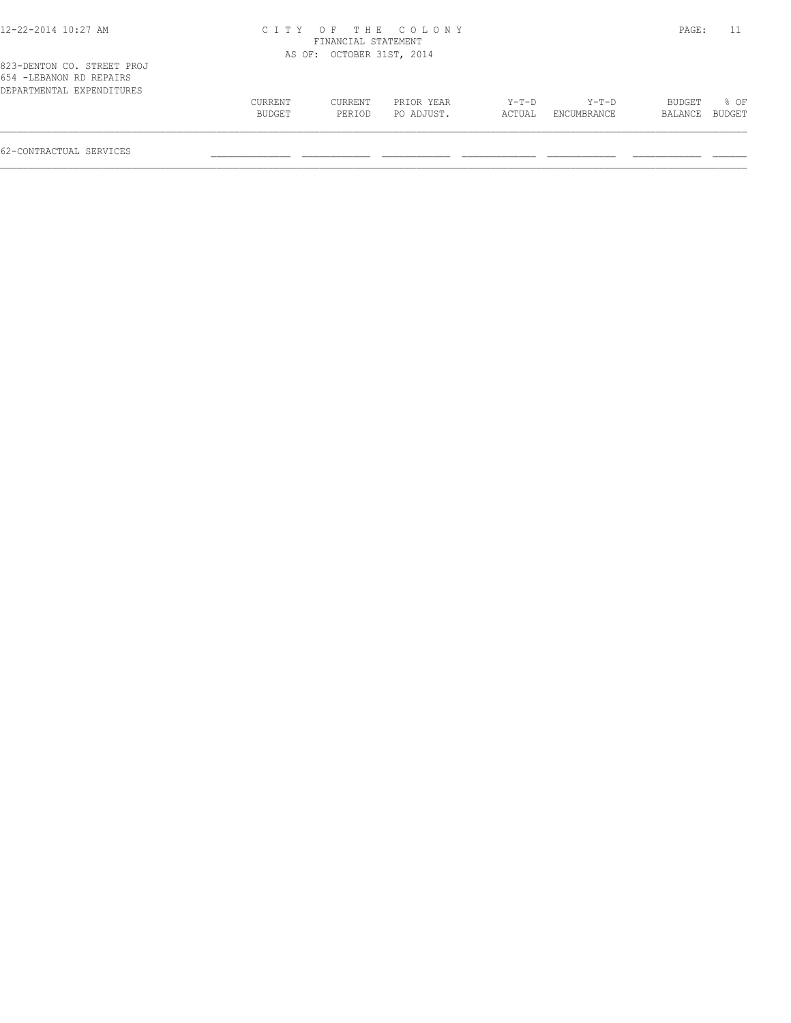| 12-22-2014 10:27 AM                                    |                   | FINANCIAL STATEMENT       | CITY OF THE COLONY       |                 |                      | PAGE:             |                       |
|--------------------------------------------------------|-------------------|---------------------------|--------------------------|-----------------|----------------------|-------------------|-----------------------|
|                                                        |                   | AS OF: OCTOBER 31ST, 2014 |                          |                 |                      |                   |                       |
| 823-DENTON CO. STREET PROJ<br>654 - LEBANON RD REPAIRS |                   |                           |                          |                 |                      |                   |                       |
| DEPARTMENTAL EXPENDITURES                              |                   |                           |                          |                 |                      |                   |                       |
|                                                        | CURRENT<br>BUDGET | CURRENT<br>PERIOD         | PRIOR YEAR<br>PO ADJUST. | Y-T-D<br>ACTUAL | Y-T-D<br>ENCUMBRANCE | BUDGET<br>BALANCE | % OF<br><b>BUDGET</b> |

 $\mathcal{L} = \{ \mathcal{L} = \{ \mathcal{L} = \{ \mathcal{L} = \{ \mathcal{L} = \{ \mathcal{L} = \{ \mathcal{L} = \{ \mathcal{L} = \{ \mathcal{L} = \{ \mathcal{L} = \{ \mathcal{L} = \{ \mathcal{L} = \{ \mathcal{L} = \{ \mathcal{L} = \{ \mathcal{L} = \{ \mathcal{L} = \{ \mathcal{L} = \{ \mathcal{L} = \{ \mathcal{L} = \{ \mathcal{L} = \{ \mathcal{L} = \{ \mathcal{L} = \{ \mathcal{L} = \{ \mathcal{L} = \{ \mathcal{$ 

62-CONTRACTUAL SERVICES \_\_\_\_\_\_\_\_\_\_\_\_\_\_ \_\_\_\_\_\_\_\_\_\_\_\_ \_\_\_\_\_\_\_\_\_\_\_\_ \_\_\_\_\_\_\_\_\_\_\_\_\_ \_\_\_\_\_\_\_\_\_\_\_\_ \_\_\_\_\_\_\_\_\_\_\_\_ \_\_\_\_\_\_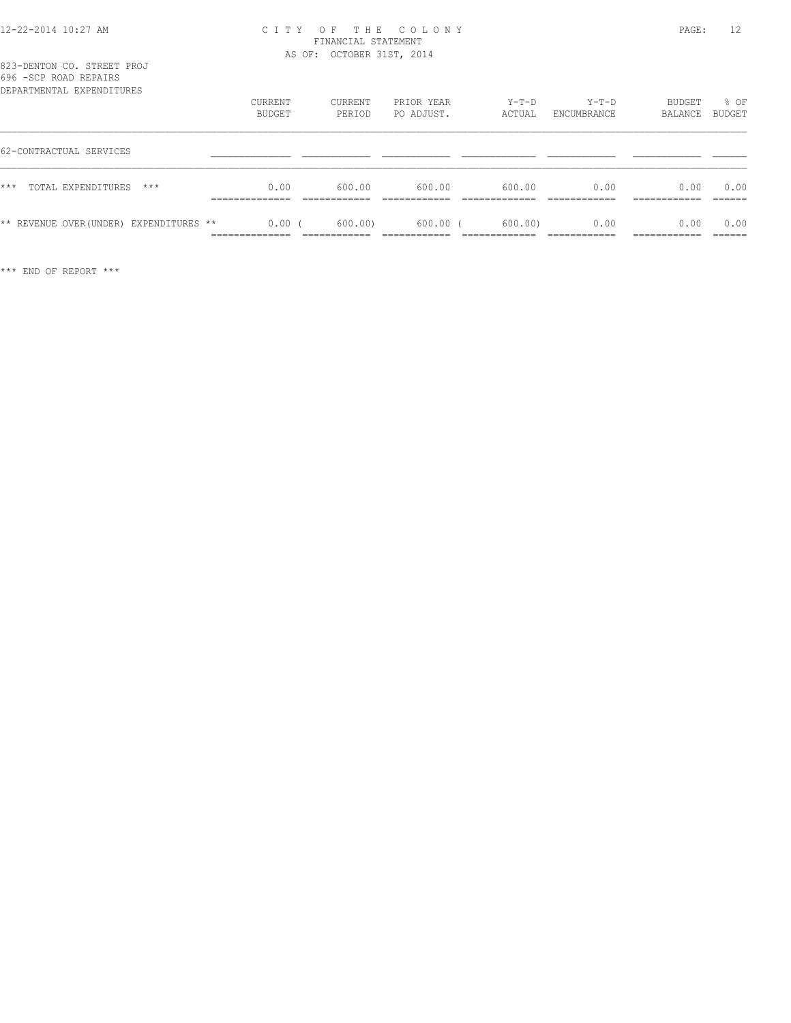## 12-22-2014 10:27 AM C I T Y O F T H E C O L O N Y PAGE: 12 FINANCIAL STATEMENT AS OF: OCTOBER 31ST, 2014

| 823-DENTON CO. STREET PROJ        |  |  |  |
|-----------------------------------|--|--|--|
| 696 - SCP ROAD REPAIRS            |  |  |  |
| סססווחיד הואסמעס זג חואס אחס גמסמ |  |  |  |

| DEPARTMENTAL EXPENDITURES               | CURRENT<br>BUDGET                   | CURRENT<br>PERIOD | PRIOR YEAR<br>PO ADJUST. | $Y-T-D$<br>ACTUAL | $Y-T-D$<br>ENCUMBRANCE | BUDGET<br>BALANCE | % OF<br>BUDGET |
|-----------------------------------------|-------------------------------------|-------------------|--------------------------|-------------------|------------------------|-------------------|----------------|
| 62-CONTRACTUAL SERVICES                 |                                     |                   |                          |                   |                        |                   |                |
| $***$<br>TOTAL EXPENDITURES<br>$***$    | 0.00<br>. _ _ _ _ _ _ _ _ _ _ _ _ _ | 600.00            | 600.00                   | 600.00            | 0.00                   | 0.00              | 0.00<br>------ |
| ** REVENUE OVER (UNDER) EXPENDITURES ** | 0.00<br>--------------<br>.         | 600.00            | $600.00$ (               | 600.00            | 0.00                   | 0.00              | 0.00<br>______ |

\*\*\* END OF REPORT \*\*\*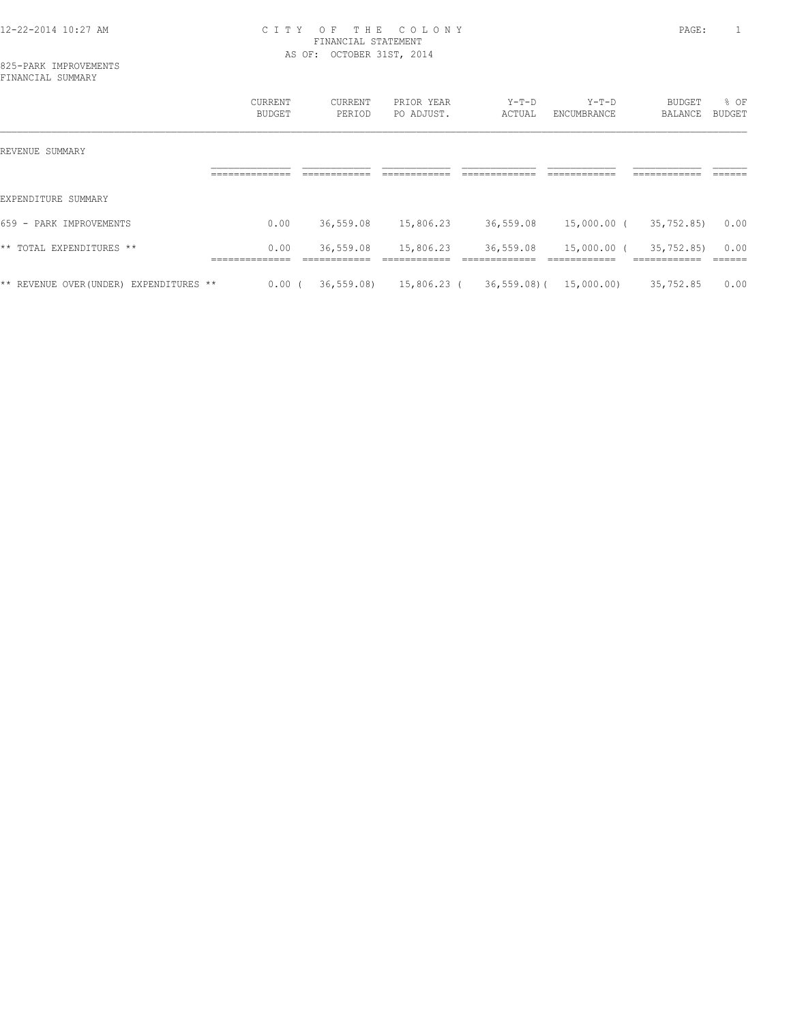## 12-22-2014 10:27 AM C I T Y O F T H E C O L O N Y PAGE: 1 FINANCIAL STATEMENT AS OF: OCTOBER 31ST, 2014

|                                         | CURRENT<br><b>BUDGET</b>         | CURRENT<br>PERIOD            | PRIOR YEAR<br>PO ADJUST.  | $Y-T-D$<br>ACTUAL              | $Y-T-D$<br>ENCUMBRANCE       | BUDGET<br>BALANCE                           | % OF<br>BUDGET   |
|-----------------------------------------|----------------------------------|------------------------------|---------------------------|--------------------------------|------------------------------|---------------------------------------------|------------------|
| REVENUE SUMMARY                         |                                  |                              |                           |                                |                              |                                             |                  |
|                                         | ______________<br>______________ | ____________<br>____________ | ____________              | -------------<br>_____________ | ------------<br>____________ | -------------<br>____________               | ------<br>______ |
| EXPENDITURE SUMMARY                     |                                  |                              |                           |                                |                              |                                             |                  |
| 659 - PARK IMPROVEMENTS                 | 0.00                             | 36,559.08                    | 15,806.23                 | 36,559.08                      | 15,000.00 (                  | 35,752.85)                                  | 0.00             |
| ** TOTAL EXPENDITURES **                | 0.00<br>______________           | 36,559.08<br>____________    | 15,806.23<br>____________ | 36,559.08<br>_____________     | 15,000.00 (<br>____________  | 35,752.85)<br>____________<br>------------- | 0.00<br>_______  |
| ** REVENUE OVER (UNDER) EXPENDITURES ** | 0.00(                            | 36, 559.08                   | 15,806.23 (               | 36,559.08)(                    | 15,000.00)                   | 35,752.85                                   | 0.00             |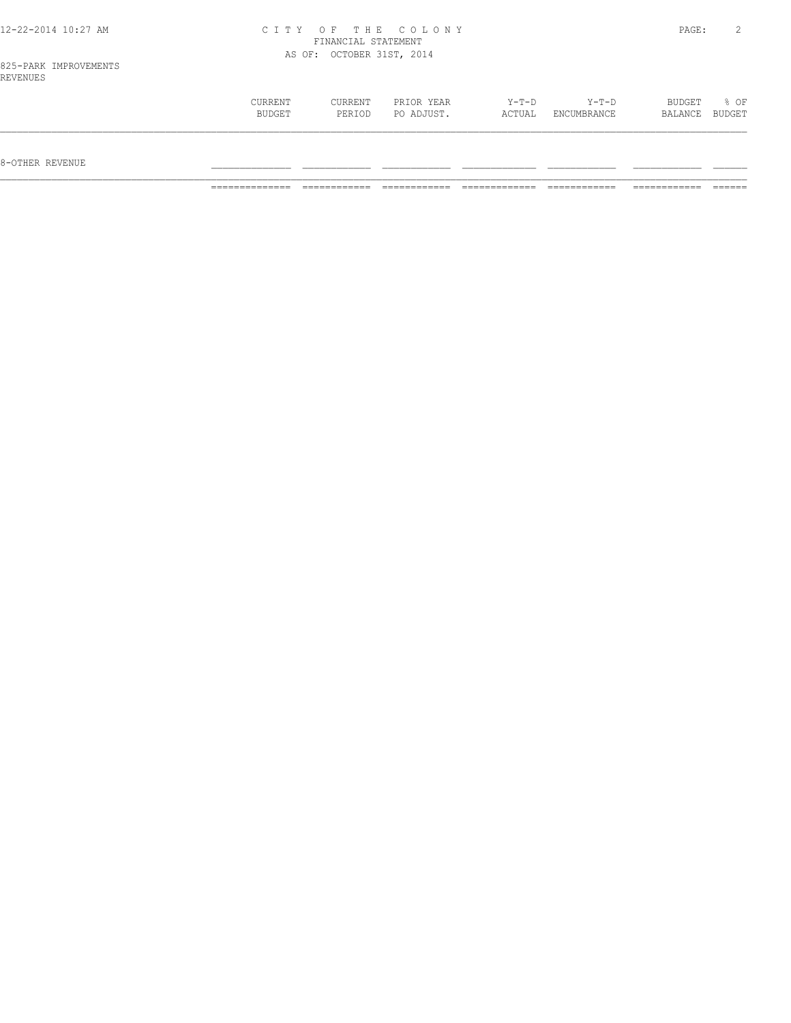| $12 - 22 - 21$<br>AM<br>$\cdots$<br>$\sqrt{1}$<br>14 G G |               | m                            |        | PAGE<br>$\sim$ $\sim$ $\sim$ |  |
|----------------------------------------------------------|---------------|------------------------------|--------|------------------------------|--|
|                                                          | <b>TNIANC</b> | $\cap$ m $\overline{\wedge}$ | 'EMENT |                              |  |

AS OF: OCTOBER 31ST, 2014

| KLVLNULS | <b>CURRENT</b> | CURRENT | PRIOR YEAR | $Y-T-D$ | $Y-T-D$     | BUDGET  | % OF   |
|----------|----------------|---------|------------|---------|-------------|---------|--------|
|          | BUDGET         | PERIOD  | PO ADJUST. | ACTUAL  | ENCUMBRANCE | BALANCE | BUDGET |
|          |                |         |            |         |             |         |        |

8-OTHER REVENUE \_\_\_\_\_\_\_\_\_\_\_\_\_\_ \_\_\_\_\_\_\_\_\_\_\_\_ \_\_\_\_\_\_\_\_\_\_\_\_ \_\_\_\_\_\_\_\_\_\_\_\_\_ \_\_\_\_\_\_\_\_\_\_\_\_ \_\_\_\_\_\_\_\_\_\_\_\_ \_\_\_\_\_\_

============== ============ ============ ============= ============ ============ ======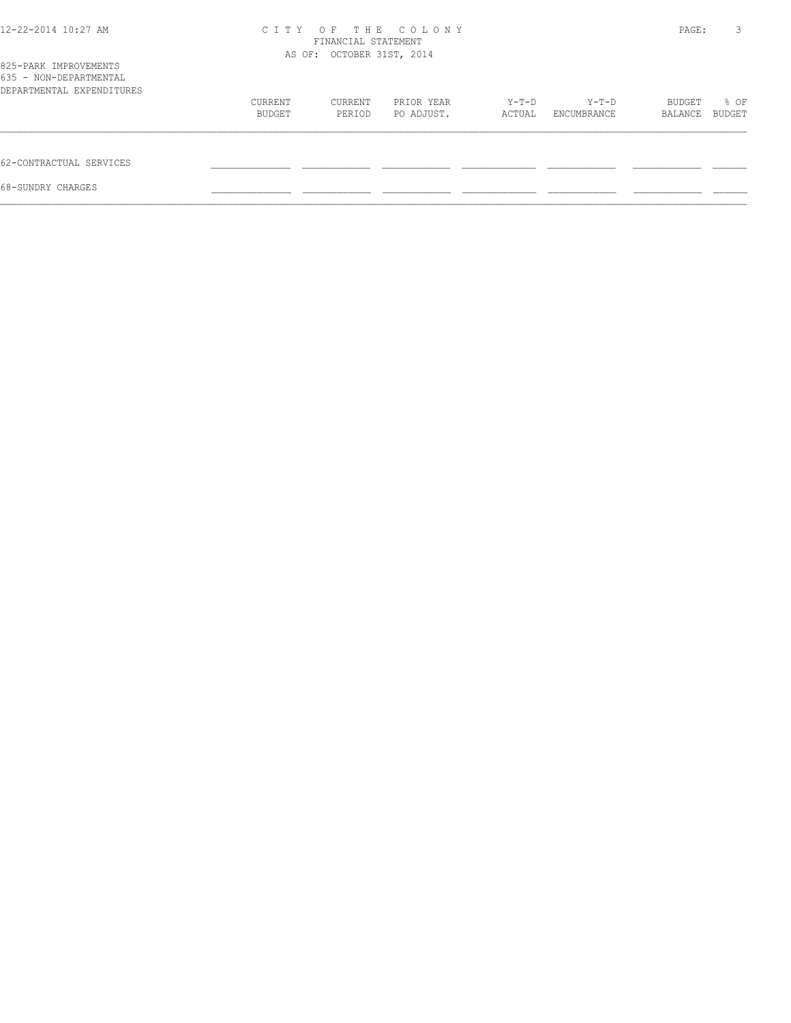| 12-22-2014 10:27 AM                                                          |         | FINANCIAL STATEMENT<br>AS OF: OCTOBER 31ST, 2014 | CITY OF THE COLONY |        |             | PAGE:   | 3      |
|------------------------------------------------------------------------------|---------|--------------------------------------------------|--------------------|--------|-------------|---------|--------|
| 825-PARK IMPROVEMENTS<br>635 - NON-DEPARTMENTAL<br>DEPARTMENTAL EXPENDITURES |         |                                                  |                    |        |             |         |        |
|                                                                              | CURRENT | CURRENT                                          | PRIOR YEAR         | Y-T-D  | $Y-T-D$     | BUDGET  | % OF   |
|                                                                              | BUDGET  | PERIOD                                           | PO ADJUST.         | ACTUAL | ENCUMBRANCE | BALANCE | BUDGET |
| 62-CONTRACTUAL SERVICES                                                      |         |                                                  |                    |        |             |         |        |
| 68-SUNDRY CHARGES                                                            |         |                                                  |                    |        |             |         |        |
|                                                                              |         |                                                  |                    |        |             |         |        |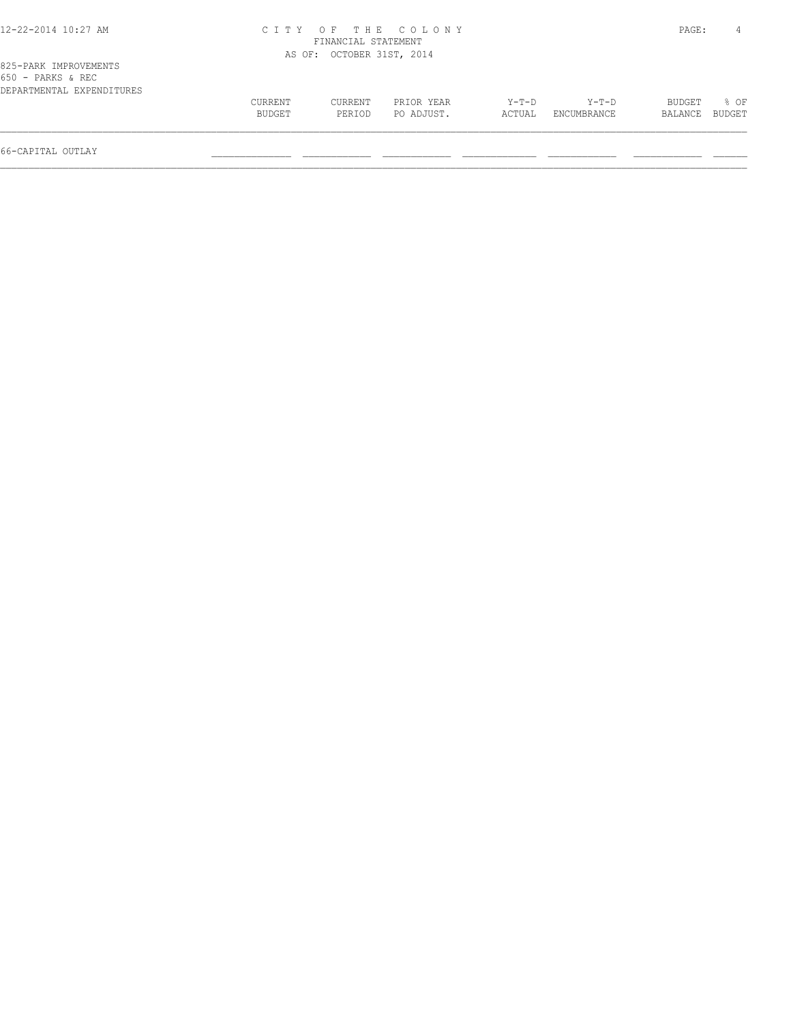| 12-22-2014 10:27 AM |  |  |
|---------------------|--|--|
|---------------------|--|--|

## 12-22-2014 10:27 AM C I T Y O F T H E C O L O N Y PAGE: 4 FINANCIAL STATEMENT AS OF: OCTOBER 31ST, 2014

| 650 - PARKS & REC         |         |         |            |         |                    |                |      |
|---------------------------|---------|---------|------------|---------|--------------------|----------------|------|
| DEPARTMENTAL EXPENDITURES |         |         |            |         |                    |                |      |
|                           | CURRENT | CURRENT | PRIOR YEAR | $Y-T-D$ | $Y-T-D$            | BUDGET         | % OF |
|                           | BUDGET  | PERTOD  | PO ADJUST. |         | ACTUAL ENCUMBRANCE | BALANCE BUDGET |      |
|                           |         |         |            |         |                    |                |      |
|                           |         |         |            |         |                    |                |      |

66-CAPITAL OUTLAY \_\_\_\_\_\_\_\_\_\_\_\_\_\_ \_\_\_\_\_\_\_\_\_\_\_\_ \_\_\_\_\_\_\_\_\_\_\_\_ \_\_\_\_\_\_\_\_\_\_\_\_\_ \_\_\_\_\_\_\_\_\_\_\_\_ \_\_\_\_\_\_\_\_\_\_\_\_ \_\_\_\_\_\_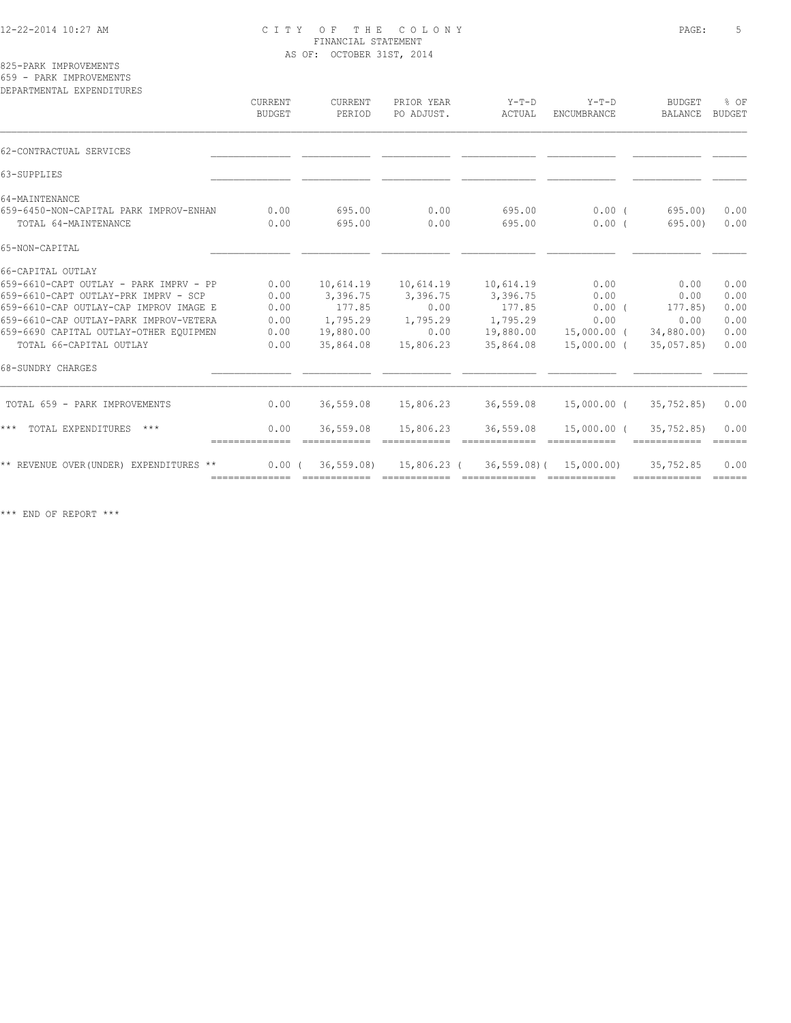## 12-22-2014 10:27 AM C I T Y O F T H E C O L O N Y PAGE: 5 FINANCIAL STATEMENT AS OF: OCTOBER 31ST, 2014

825-PARK IMPROVEMENTS

659 - PARK IMPROVEMENTS

| CURRENT<br><b>BUDGET</b> | CURRENT<br>PERIOD | PRIOR YEAR<br>PO ADJUST. | $Y-T-D$<br>ACTUAL     | $Y-T-D$<br>ENCUMBRANCE            | <b>BUDGET</b><br>BALANCE | % OF<br>BUDGET                                                                                                                                                                                                                                                                                                                                                                                                                                                                                                                                                                                                                                                                                                          |
|--------------------------|-------------------|--------------------------|-----------------------|-----------------------------------|--------------------------|-------------------------------------------------------------------------------------------------------------------------------------------------------------------------------------------------------------------------------------------------------------------------------------------------------------------------------------------------------------------------------------------------------------------------------------------------------------------------------------------------------------------------------------------------------------------------------------------------------------------------------------------------------------------------------------------------------------------------|
|                          |                   |                          |                       |                                   |                          |                                                                                                                                                                                                                                                                                                                                                                                                                                                                                                                                                                                                                                                                                                                         |
|                          |                   |                          |                       |                                   |                          |                                                                                                                                                                                                                                                                                                                                                                                                                                                                                                                                                                                                                                                                                                                         |
|                          |                   |                          |                       |                                   |                          |                                                                                                                                                                                                                                                                                                                                                                                                                                                                                                                                                                                                                                                                                                                         |
| 0.00                     | 695.00            | 0.00                     | 695.00                |                                   |                          | 0.00                                                                                                                                                                                                                                                                                                                                                                                                                                                                                                                                                                                                                                                                                                                    |
| 0.00                     | 695.00            | 0.00                     | 695.00                | 0.00(                             | 695.00)                  | 0.00                                                                                                                                                                                                                                                                                                                                                                                                                                                                                                                                                                                                                                                                                                                    |
|                          |                   |                          |                       |                                   |                          |                                                                                                                                                                                                                                                                                                                                                                                                                                                                                                                                                                                                                                                                                                                         |
|                          |                   |                          |                       |                                   |                          |                                                                                                                                                                                                                                                                                                                                                                                                                                                                                                                                                                                                                                                                                                                         |
| 0.00                     | 10,614.19         |                          |                       | 0.00                              | 0.00                     | 0.00                                                                                                                                                                                                                                                                                                                                                                                                                                                                                                                                                                                                                                                                                                                    |
| 0.00                     |                   |                          |                       | 0.00                              | 0.00                     | 0.00                                                                                                                                                                                                                                                                                                                                                                                                                                                                                                                                                                                                                                                                                                                    |
| 0.00                     | 177.85            | 0.00                     | 177.85                | $0.00$ (                          |                          | 0.00                                                                                                                                                                                                                                                                                                                                                                                                                                                                                                                                                                                                                                                                                                                    |
| 0.00                     | 1,795.29          | 1,795.29                 |                       | 0.00                              | 0.00                     | 0.00                                                                                                                                                                                                                                                                                                                                                                                                                                                                                                                                                                                                                                                                                                                    |
| 0.00                     | 19,880.00         | 0.00                     | 19,880.00             |                                   |                          | 0.00                                                                                                                                                                                                                                                                                                                                                                                                                                                                                                                                                                                                                                                                                                                    |
| 0.00                     | 35,864.08         | 15,806.23                | 35,864.08             |                                   |                          | 0.00                                                                                                                                                                                                                                                                                                                                                                                                                                                                                                                                                                                                                                                                                                                    |
|                          |                   |                          |                       |                                   |                          |                                                                                                                                                                                                                                                                                                                                                                                                                                                                                                                                                                                                                                                                                                                         |
| 0.00                     | 36,559.08         | 15,806.23                |                       |                                   |                          | 0.00                                                                                                                                                                                                                                                                                                                                                                                                                                                                                                                                                                                                                                                                                                                    |
| 0.00                     | 36,559.08         | 15,806.23                | 36,559.08             |                                   |                          | 0.00<br>$=$ $=$ $=$ $=$ $=$                                                                                                                                                                                                                                                                                                                                                                                                                                                                                                                                                                                                                                                                                             |
|                          |                   |                          |                       |                                   | 35,752.85                | 0.00                                                                                                                                                                                                                                                                                                                                                                                                                                                                                                                                                                                                                                                                                                                    |
|                          |                   | 3,396.75<br>0.00(        | 10,614.19<br>3,396.75 | 10,614.19<br>3,396.75<br>1,795.29 | 36,559.08                | $0.00$ (<br>695.00)<br>177.85)<br>15,000.00 (34,880.00)<br>15,000.00 (35,057.85)<br>15,000.00 (<br>35,752.85)<br>15,000.00 (<br>35,752.85)<br>36,559.08) 15,806.23 (36,559.08) (15,000.00)<br>$\begin{tabular}{lllllllllll} \multicolumn{3}{l}{{\color{red}\textbf{m}}} & \multicolumn{3}{l}{\color{green}\textbf{m}} & \multicolumn{3}{l}{\color{green}\textbf{m}} & \multicolumn{3}{l}{\color{green}\textbf{m}} & \multicolumn{3}{l}{\color{green}\textbf{m}} & \multicolumn{3}{l}{\color{green}\textbf{m}} & \multicolumn{3}{l}{\color{green}\textbf{m}} & \multicolumn{3}{l}{\color{green}\textbf{m}} & \multicolumn{3}{l}{\color{green}\textbf{m}} & \multicolumn{3}{l}{\color{green}\textbf{m}} & \multicolumn{3$ |

\*\*\* END OF REPORT \*\*\*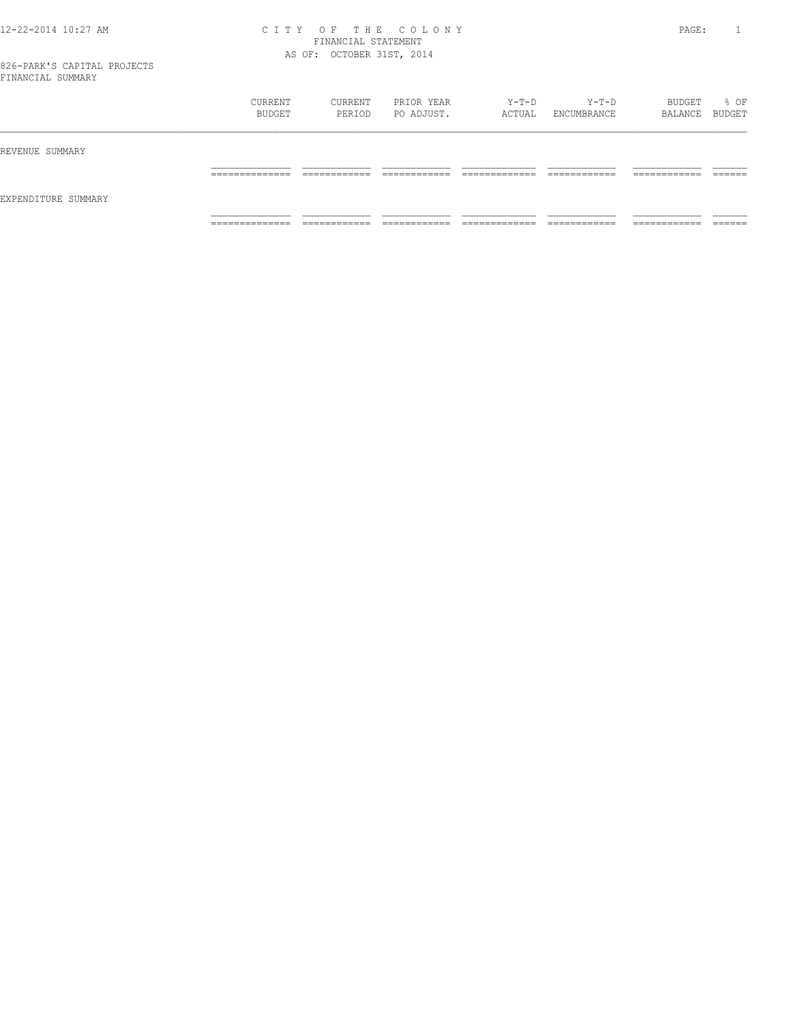### 12-22-2014 10:27 AM C I T Y O F T H E C O L O N Y PAGE: 1 FINANCIAL STATEMENT AS OF: OCTOBER 31ST, 2014

|                     | CURRENT<br>BUDGET   | CURRENT<br>PERIOD           | PRIOR YEAR<br>PO ADJUST. | Y-T-D<br>ACTUAL    | Y-T-D<br>ENCUMBRANCE | BUDGET<br>BALANCE BUDGET     | % OF    |
|---------------------|---------------------|-----------------------------|--------------------------|--------------------|----------------------|------------------------------|---------|
| REVENUE SUMMARY     | ______________      | _____________               | ____________             | _____________      | ____________         | ____________                 | ------- |
| EXPENDITURE SUMMARY | _______________     | ____________                | _____________            | ______________     | _____________        | ____________                 | _______ |
|                     | ______________<br>. | ____________<br>----------- | -------------<br>.       | _____________<br>. | _____________<br>.   | -------------<br>----------- | _______ |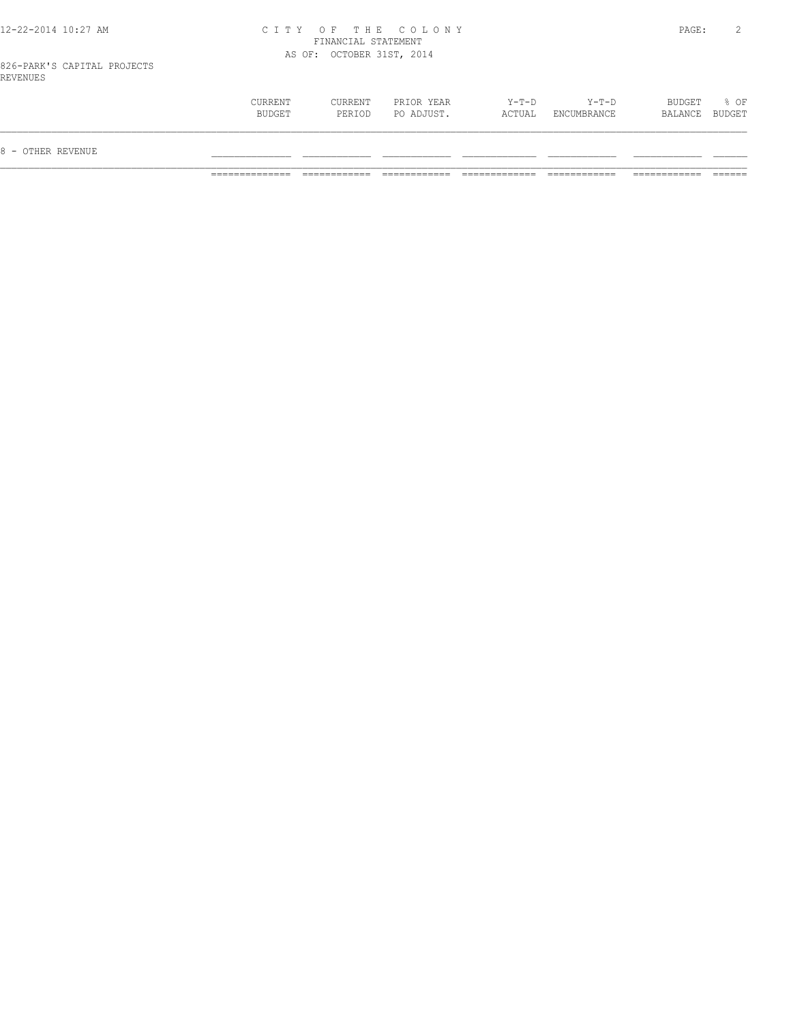## 12-22-2014 10:27 AM C I T Y O F T H E C O L O N Y PAGE: 2 FINANCIAL STATEMENT AS OF: OCTOBER 31ST, 2014

826-PARK'S CAPITAL PROJECTS REVENUES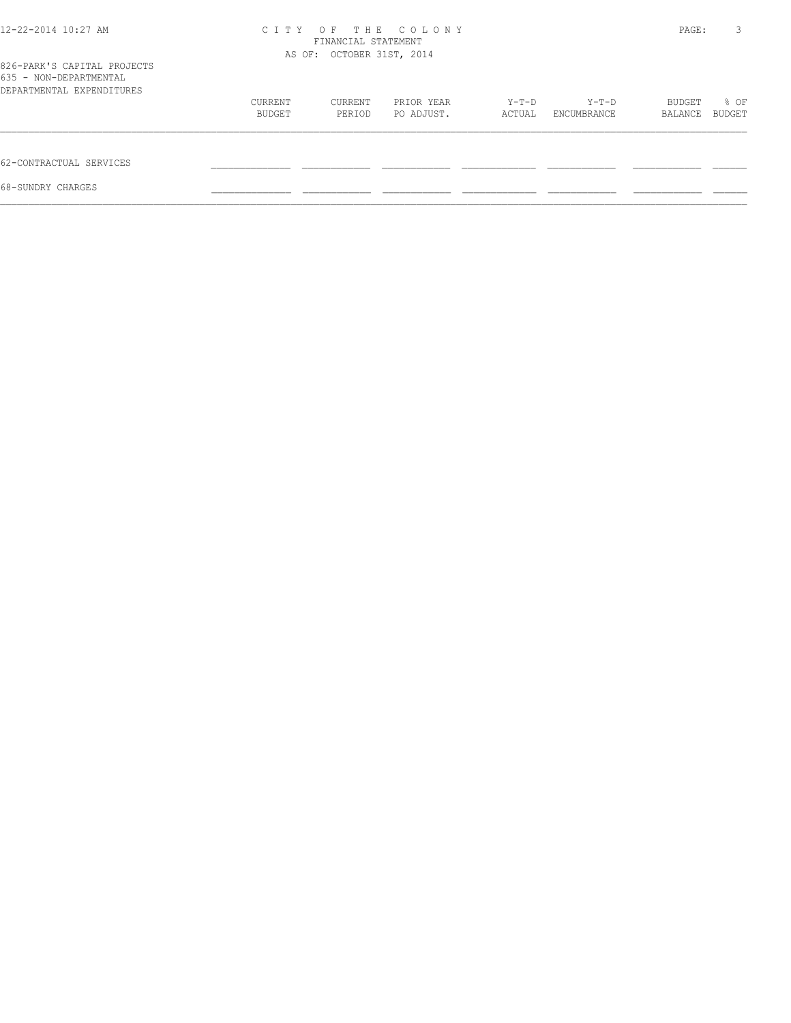| 12-22-2014 10:27 AM                                                                | C T T Y           | FINANCIAL STATEMENT<br>AS OF: OCTOBER 31ST, 2014 | OF THE COLONY            |                   |                        | PAGE:             | 3              |
|------------------------------------------------------------------------------------|-------------------|--------------------------------------------------|--------------------------|-------------------|------------------------|-------------------|----------------|
| 826-PARK'S CAPITAL PROJECTS<br>635 - NON-DEPARTMENTAL<br>DEPARTMENTAL EXPENDITURES |                   |                                                  |                          |                   |                        |                   |                |
|                                                                                    | CURRENT<br>BUDGET | CURRENT<br>PERIOD                                | PRIOR YEAR<br>PO ADJUST. | $Y-T-D$<br>ACTUAL | $Y-T-D$<br>ENCUMBRANCE | BUDGET<br>BALANCE | % OF<br>BUDGET |
| 62-CONTRACTUAL SERVICES                                                            |                   |                                                  |                          |                   |                        |                   |                |
| 68-SUNDRY CHARGES                                                                  |                   |                                                  |                          |                   |                        |                   |                |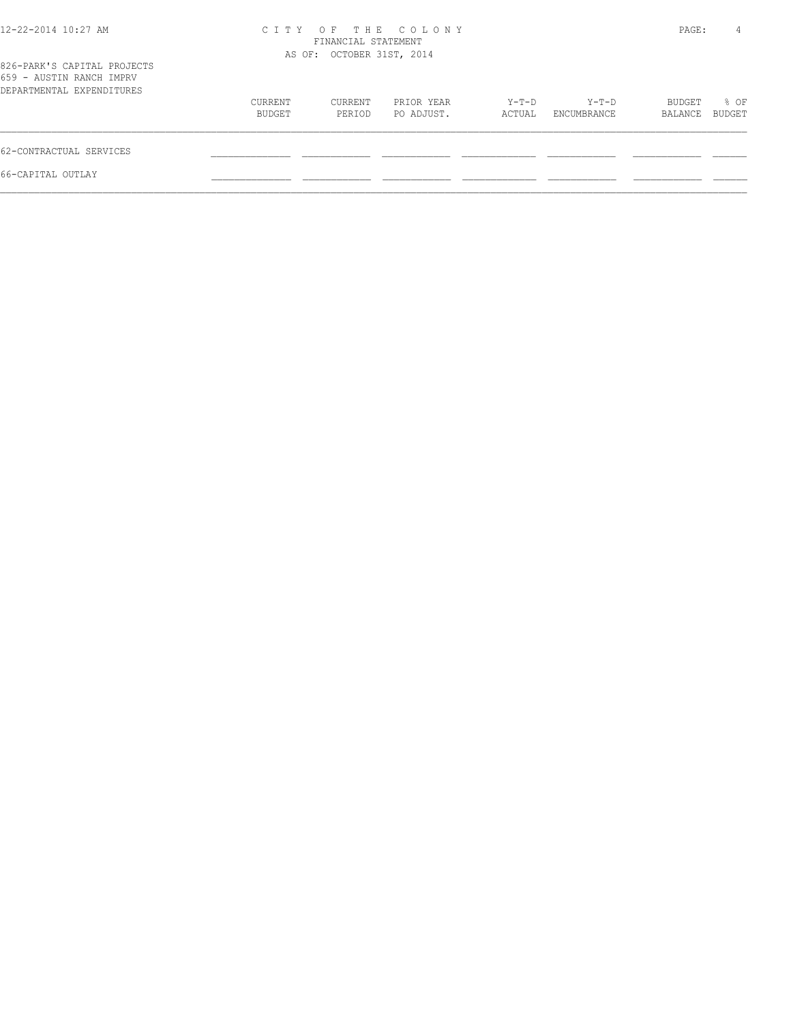| 12-22-2014 10:27 AM                                                                  |                   | FINANCIAL STATEMENT<br>AS OF: OCTOBER 31ST, 2014 | CITY OF THE COLONY       |                 |                      | PAGE:             | 4              |
|--------------------------------------------------------------------------------------|-------------------|--------------------------------------------------|--------------------------|-----------------|----------------------|-------------------|----------------|
| 826-PARK'S CAPITAL PROJECTS<br>659 - AUSTIN RANCH IMPRV<br>DEPARTMENTAL EXPENDITURES |                   |                                                  |                          |                 |                      |                   |                |
|                                                                                      | CURRENT<br>BUDGET | CURRENT<br>PERIOD                                | PRIOR YEAR<br>PO ADJUST. | Y-T-D<br>ACTUAL | Y-T-D<br>ENCUMBRANCE | BUDGET<br>BALANCE | % OF<br>BUDGET |
| 62-CONTRACTUAL SERVICES                                                              |                   |                                                  |                          |                 |                      |                   |                |
| 66-CAPITAL OUTLAY                                                                    |                   |                                                  |                          |                 |                      |                   |                |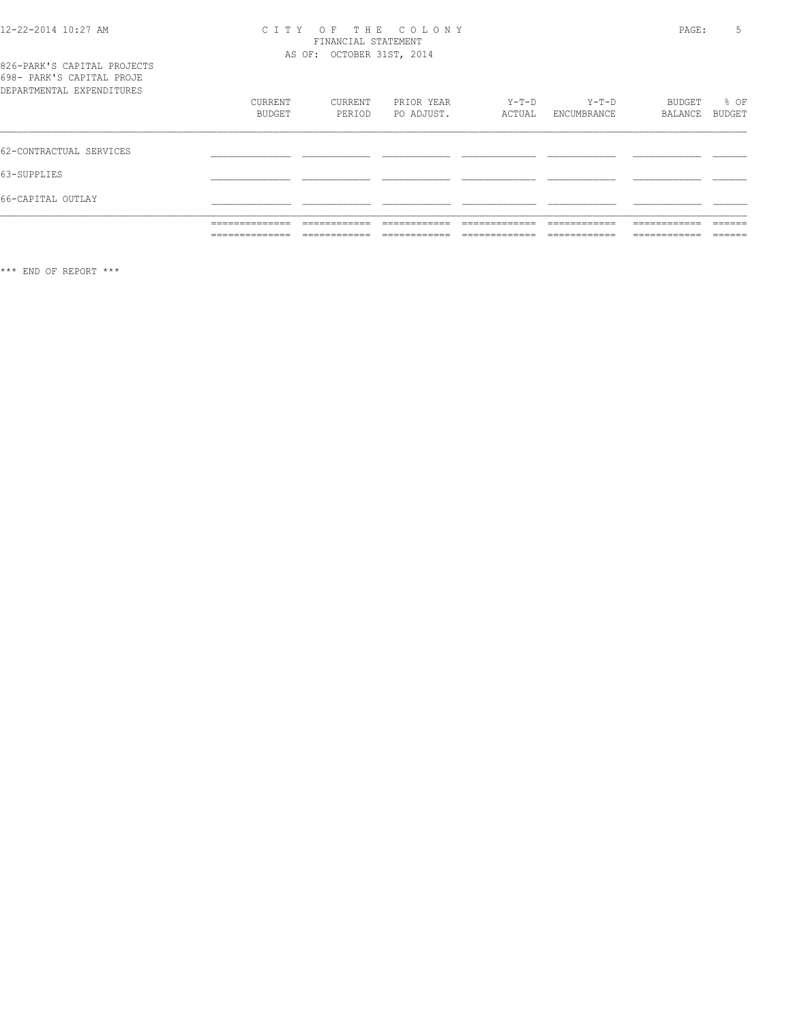# CITY OF THE COLONY<br>
CITY OF THE COLONY<br>
FINANCIAL STATEMENT<br>
AS OF: OCTOBER 31ST, 2014

| 826-PARK'S CAPITAL PROJECTS |  |
|-----------------------------|--|
| 698- PARK'S CAPITAL PROJE   |  |
| DEPARTMENTAL EXPENDITURES   |  |

|                           | ______________  | _____________  | -------------- | _____________  | _____________ | ____________  | ------- |
|---------------------------|-----------------|----------------|----------------|----------------|---------------|---------------|---------|
|                           |                 | ______________ | _____________  | -------------- | ____________  | _____________ | _______ |
|                           | ______________  | ____________   | -------------  | ____________   | _____________ | ------------- | ------- |
|                           | _______________ | ____________   | ____________   | ____________   | ____________  | ____________  | ______  |
| 66-CAPITAL OUTLAY         |                 |                |                |                |               |               |         |
| 63-SUPPLIES               |                 |                |                |                |               |               |         |
| 62-CONTRACTUAL SERVICES   |                 |                |                |                |               |               |         |
| DEPARTMENTAL EXPENDITURES | CURRENT         | CURRENT        | PRIOR YEAR     | Y-T-D          | $Y-T-D$       | BUDGET        | % OF    |
|                           | BUDGET          | PERIOD         | PO ADJUST.     | ACTUAL         | ENCUMBRANCE   | BALANCE       | BUDGET  |

\*\*\* END OF REPORT \*\*\*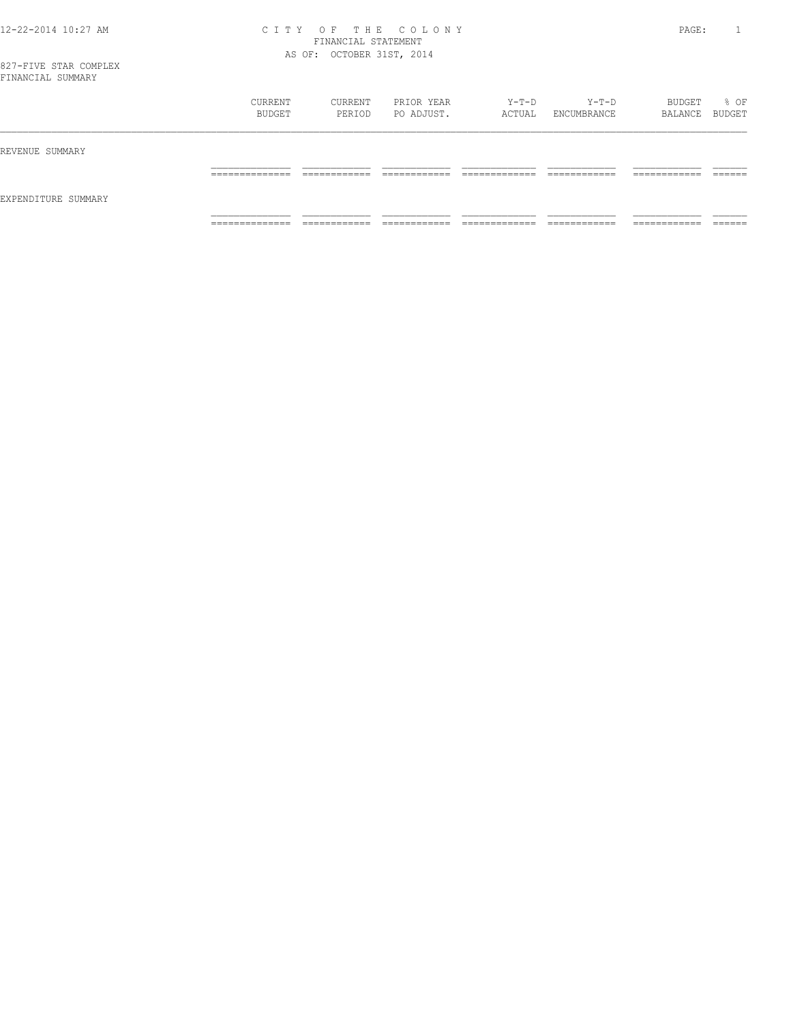### 12-22-2014 10:27 AM C I T Y O F T H E C O L O N Y PAGE: 1 FINANCIAL STATEMENT AS OF: OCTOBER 31ST, 2014

827-FIVE STAR COMPLEX FINANCIAL SUMMARY

| E TIATIMO TUTT OOLIHIYIYI |                                  |                   |                          |                 |                              |                              |                   |
|---------------------------|----------------------------------|-------------------|--------------------------|-----------------|------------------------------|------------------------------|-------------------|
|                           | CURRENT<br>BUDGET                | CURRENT<br>PERIOD | PRIOR YEAR<br>PO ADJUST. | Y-T-D<br>ACTUAL | Y-T-D<br>ENCUMBRANCE         | BUDGET<br>BALANCE BUDGET     | % OF              |
| REVENUE SUMMARY           |                                  |                   |                          |                 |                              |                              |                   |
|                           |                                  |                   |                          |                 |                              | ---------                    |                   |
| EXPENDITURE SUMMARY       |                                  |                   |                          |                 |                              |                              |                   |
|                           | ______________<br>______________ | --------          |                          | ------------    | ____________<br>____________ | ____________<br>____________ | -------<br>______ |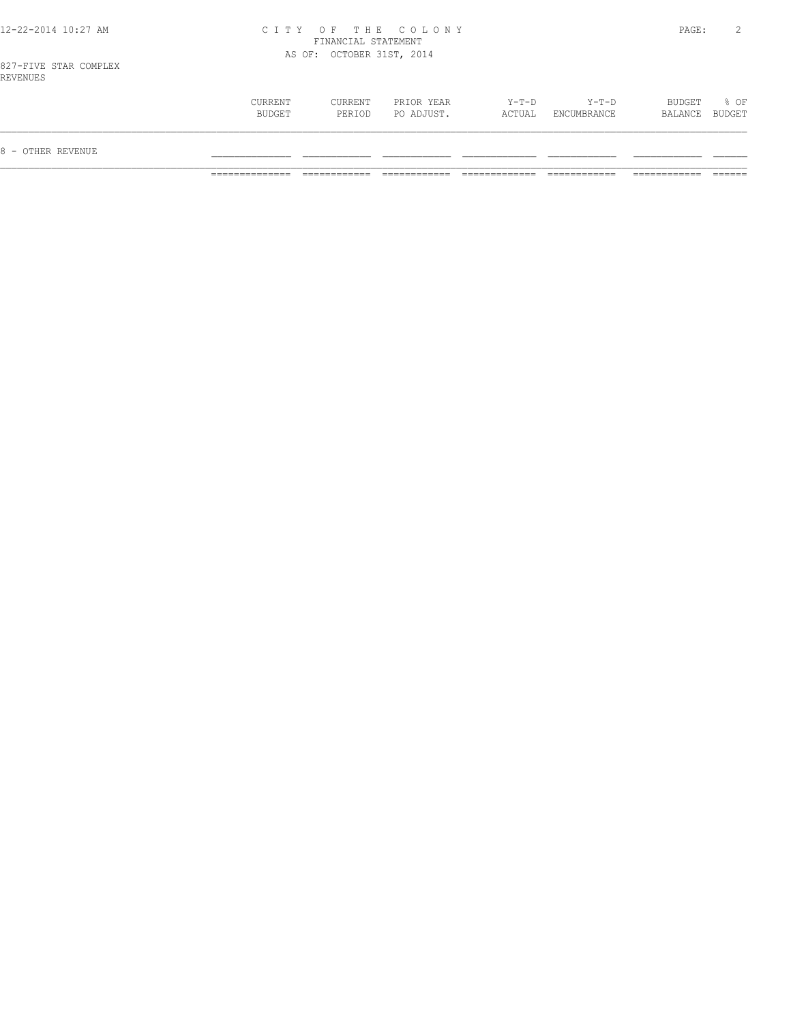## 12-22-2014 10:27 AM C I T Y O F T H E C O L O N Y PAGE: 2 FINANCIAL STATEMENT AS OF: OCTOBER 31ST, 2014

| 8 - OTHER REVENUE |                   |                   |                          |                   |                        |                          |      |
|-------------------|-------------------|-------------------|--------------------------|-------------------|------------------------|--------------------------|------|
|                   | CURRENT<br>BUDGET | CURRENT<br>PERIOD | PRIOR YEAR<br>PO ADJUST. | $Y-T-D$<br>ACTUAL | $Y-T-D$<br>ENCUMBRANCE | BUDGET<br>BALANCE BUDGET | % OF |
|                   |                   |                   |                          |                   |                        |                          |      |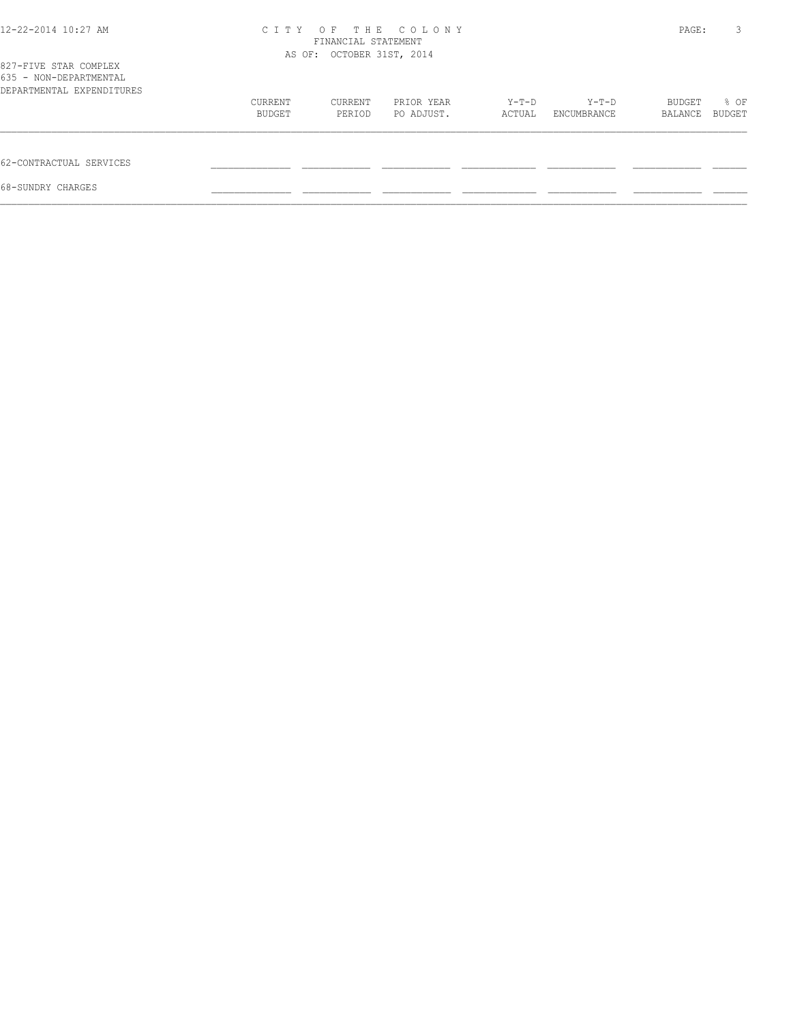| 12-22-2014 10:27 AM                                                          |         | FINANCIAL STATEMENT<br>AS OF: OCTOBER 31ST, 2014 | CITY OF THE COLONY |        |             | PAGE:   | 3      |
|------------------------------------------------------------------------------|---------|--------------------------------------------------|--------------------|--------|-------------|---------|--------|
| 827-FIVE STAR COMPLEX<br>635 - NON-DEPARTMENTAL<br>DEPARTMENTAL EXPENDITURES |         |                                                  |                    |        |             |         |        |
|                                                                              | CURRENT | CURRENT                                          | PRIOR YEAR         | Y-T-D  | $Y-T-D$     | BUDGET  | % OF   |
|                                                                              | BUDGET  | PERIOD                                           | PO ADJUST.         | ACTUAL | ENCUMBRANCE | BALANCE | BUDGET |
| 62-CONTRACTUAL SERVICES                                                      |         |                                                  |                    |        |             |         |        |
| 68-SUNDRY CHARGES                                                            |         |                                                  |                    |        |             |         |        |
|                                                                              |         |                                                  |                    |        |             |         |        |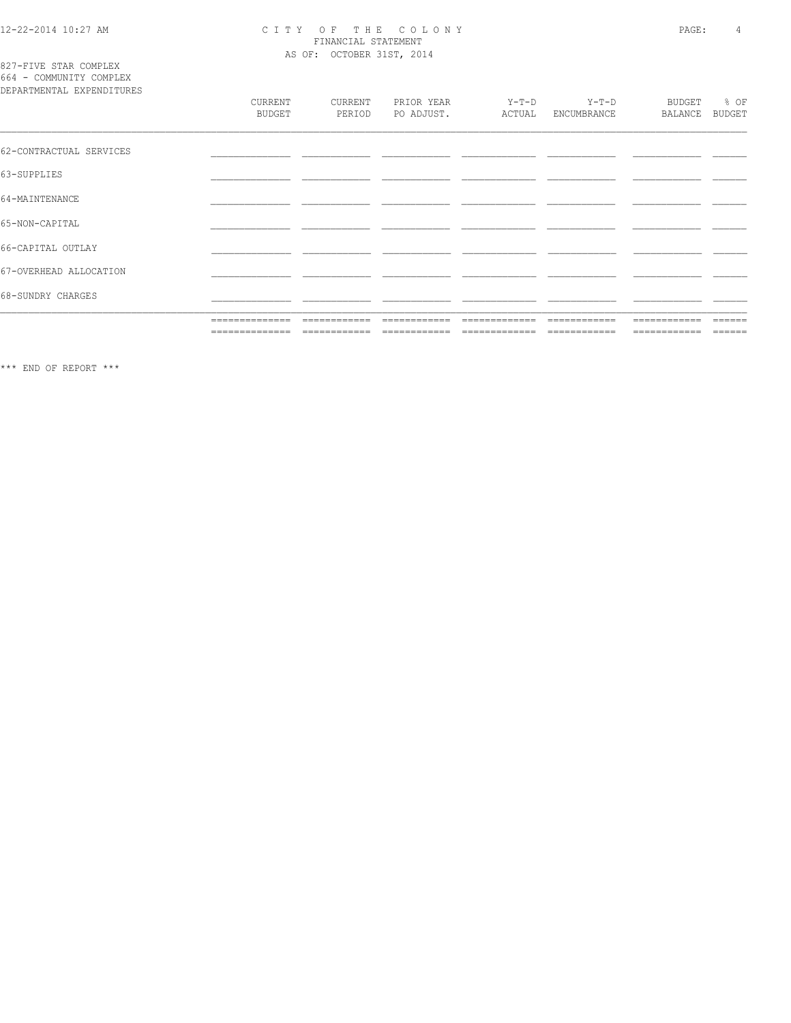# 12-22-2014 10:27 AM CITY OF THE COLONY<br>
FINANCIAL STATEMENT<br>
AS OF: OCTOBER 31ST, 2014

827-FIVE STAR COMPLEX<br>664 - COMMUNITY COMPLEX

| DEPARTMENTAL EXPENDITURES |                   |                   |                          |                   |                        |                          |                       |
|---------------------------|-------------------|-------------------|--------------------------|-------------------|------------------------|--------------------------|-----------------------|
|                           | CURRENT<br>BUDGET | CURRENT<br>PERIOD | PRIOR YEAR<br>PO ADJUST. | $Y-T-D$<br>ACTUAL | $Y-T-D$<br>ENCUMBRANCE | <b>BUDGET</b><br>BALANCE | % OF<br><b>BUDGET</b> |
| 62-CONTRACTUAL SERVICES   |                   |                   |                          |                   |                        |                          |                       |
| 63-SUPPLIES               |                   |                   |                          |                   |                        |                          |                       |
| 64-MAINTENANCE            |                   |                   |                          |                   |                        |                          |                       |
| 65-NON-CAPITAL            |                   |                   |                          |                   |                        |                          |                       |
| 66-CAPITAL OUTLAY         |                   |                   |                          |                   |                        |                          |                       |
| 67-OVERHEAD ALLOCATION    |                   |                   |                          |                   |                        |                          |                       |
| 68-SUNDRY CHARGES         |                   |                   |                          |                   |                        |                          |                       |
|                           | ==============    | ============      | ============             | =============     | ============           | ============             | ------                |
|                           | ==============    | ============      | ------------             | -------------     | ============           | ============             | $=$ $=$ $=$ $=$ $=$   |

 $\star\star\star$  END OF REPORT  $\star\star\star$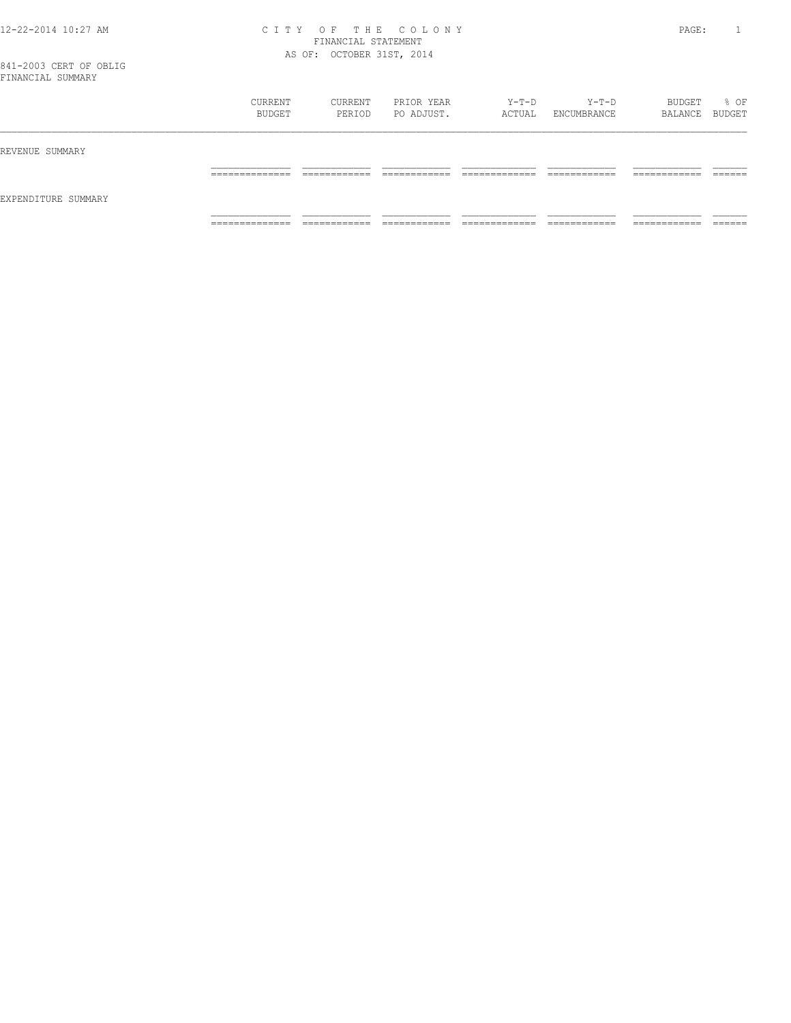## 12-22-2014 10:27 AM C I T Y O F T H E C O L O N Y PAGE: 1 FINANCIAL STATEMENT AS OF: OCTOBER 31ST, 2014

|                     | CURRENT<br>BUDGET | CURRENT<br>PERIOD | PRIOR YEAR<br>PO ADJUST. | Y-T-D<br>ACTUAL | Y-T-D<br>ENCUMBRANCE | BUDGET<br>BALANCE BUDGET | % OF |
|---------------------|-------------------|-------------------|--------------------------|-----------------|----------------------|--------------------------|------|
| REVENUE SUMMARY     |                   |                   |                          |                 |                      |                          |      |
| EXPENDITURE SUMMARY |                   |                   |                          |                 |                      |                          |      |
|                     | _______________   | ____________      |                          | _____________   | ____________         | -------------            |      |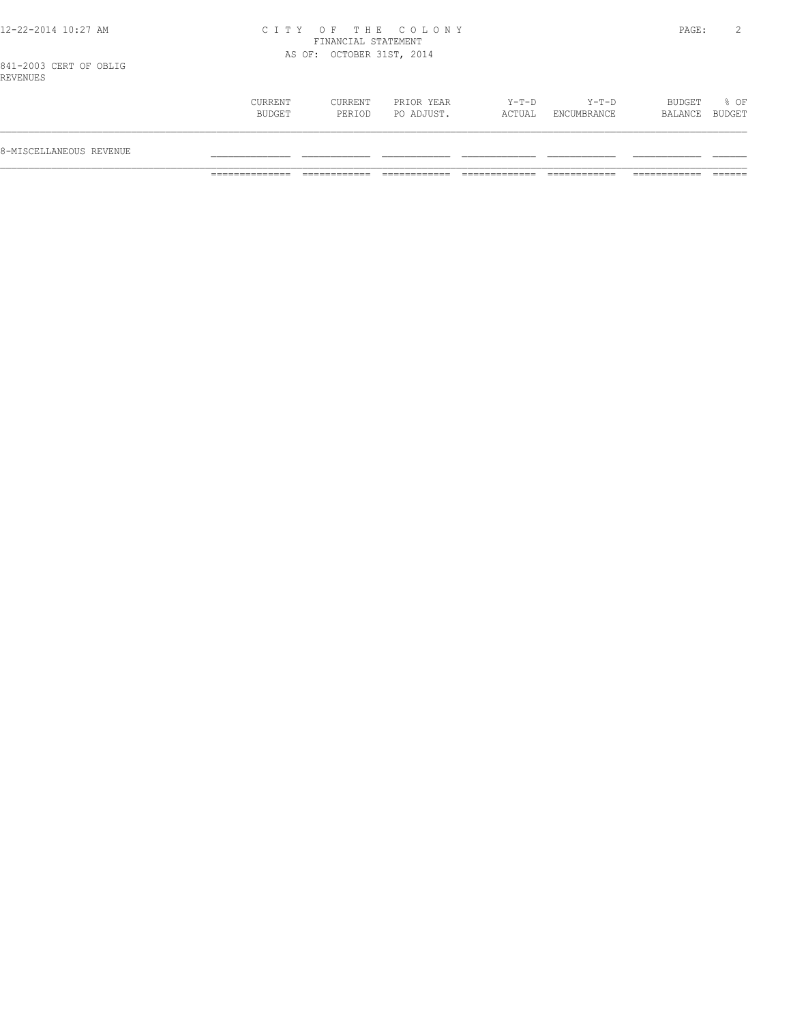## 12-22-2014 10:27 AM C I T Y O F T H E C O L O N Y PAGE: 2 FINANCIAL STATEMENT AS OF: OCTOBER 31ST, 2014

| CURRENT<br>$Y-T-D$<br>BUDGET<br>$8$ OF<br>CURRENT<br>PRIOR YEAR<br>Y-T-D<br>BUDGET<br>PO ADJUST.<br>ACTUAL<br>BUDGET<br>PERIOD<br>ENCUMBRANCE<br>BALANCE<br>8-MISCELLANEOUS REVENUE |  |  |  |  |
|-------------------------------------------------------------------------------------------------------------------------------------------------------------------------------------|--|--|--|--|
|                                                                                                                                                                                     |  |  |  |  |
|                                                                                                                                                                                     |  |  |  |  |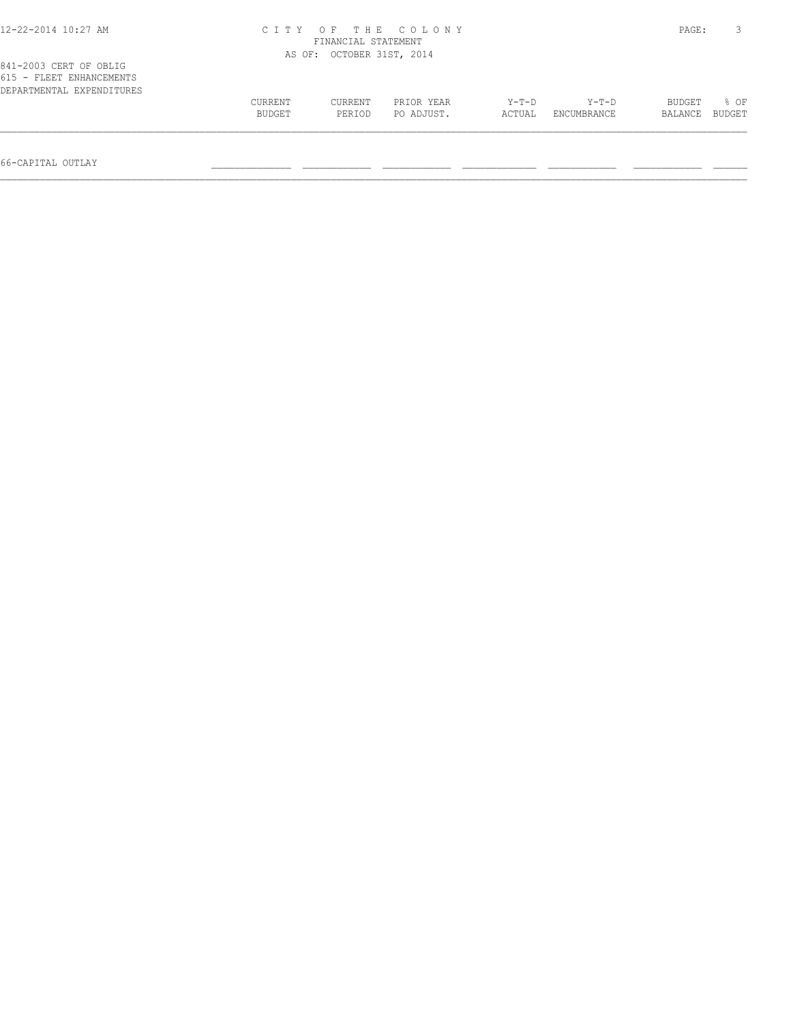| 12-22-2014 10:27 AM                                                             | THE COLONY<br>OF<br>ITY .<br>C T<br>FINANCIAL STATEMENT |                           |            |         |             |         |                |  |
|---------------------------------------------------------------------------------|---------------------------------------------------------|---------------------------|------------|---------|-------------|---------|----------------|--|
|                                                                                 |                                                         | AS OF: OCTOBER 31ST, 2014 |            |         |             |         |                |  |
| 841-2003 CERT OF OBLIG<br>615 - FLEET ENHANCEMENTS<br>DEPARTMENTAL EXPENDITURES | CURRENT                                                 | CURRENT                   | PRIOR YEAR | $Y-T-D$ | $Y-T-D$     | BUDGET  | 8 OF<br>BUDGET |  |
|                                                                                 | BUDGET                                                  | PERIOD                    | PO ADJUST. | ACTUAL  | ENCUMBRANCE | BALANCE |                |  |

66-CAPITAL OUTLAY \_\_\_\_\_\_\_\_\_\_\_\_\_\_ \_\_\_\_\_\_\_\_\_\_\_\_ \_\_\_\_\_\_\_\_\_\_\_\_ \_\_\_\_\_\_\_\_\_\_\_\_\_ \_\_\_\_\_\_\_\_\_\_\_\_ \_\_\_\_\_\_\_\_\_\_\_\_ \_\_\_\_\_\_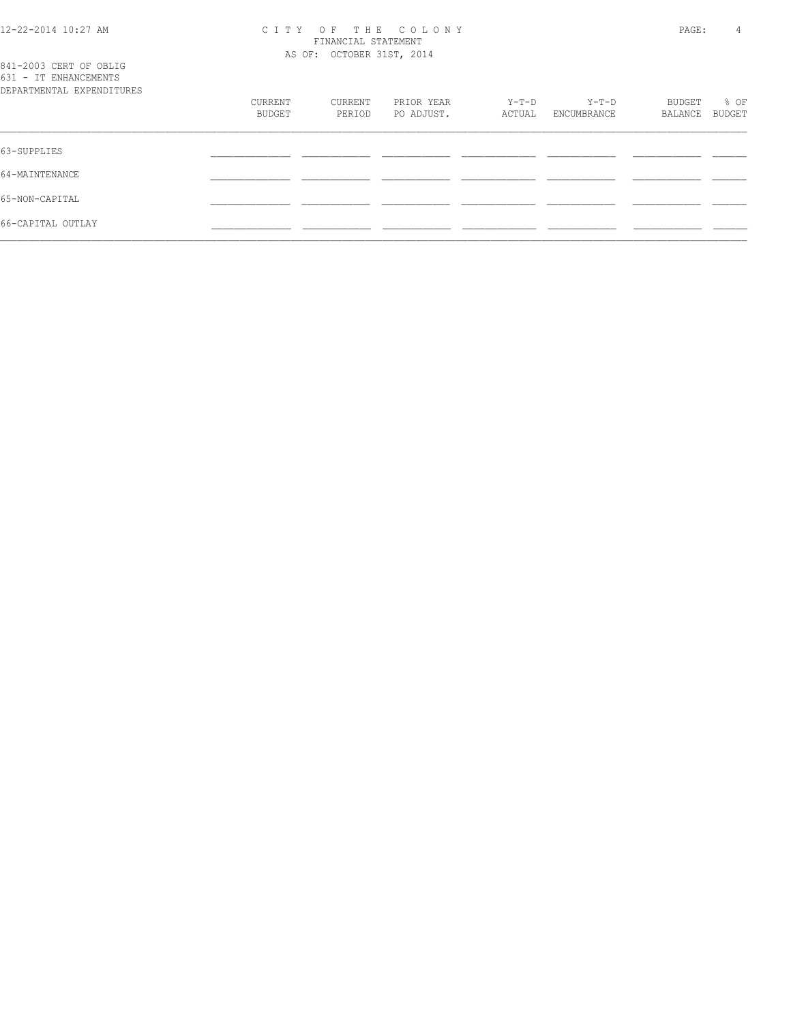#### 12-22-2014 10:27 AM C I T Y O F T H E C O L O N Y PAGE: 4 FINANCIAL STATEMENT AS OF: OCTOBER 31ST, 2014

| 841-2003 CERT OF OBLIG<br>631 - IT ENHANCEMENTS<br>DEPARTMENTAL EXPENDITURES |                   |                   |                          |                   |                      |                   |                |
|------------------------------------------------------------------------------|-------------------|-------------------|--------------------------|-------------------|----------------------|-------------------|----------------|
|                                                                              | CURRENT<br>BUDGET | CURRENT<br>PERIOD | PRIOR YEAR<br>PO ADJUST. | $Y-T-D$<br>ACTUAL | Y-T-D<br>ENCUMBRANCE | BUDGET<br>BALANCE | % OF<br>BUDGET |
| 63-SUPPLIES                                                                  |                   |                   |                          |                   |                      |                   |                |
| 64-MAINTENANCE                                                               |                   |                   |                          |                   |                      |                   |                |
| 65-NON-CAPITAL                                                               |                   |                   |                          |                   |                      |                   |                |
| 66-CAPITAL OUTLAY                                                            |                   |                   |                          |                   |                      |                   |                |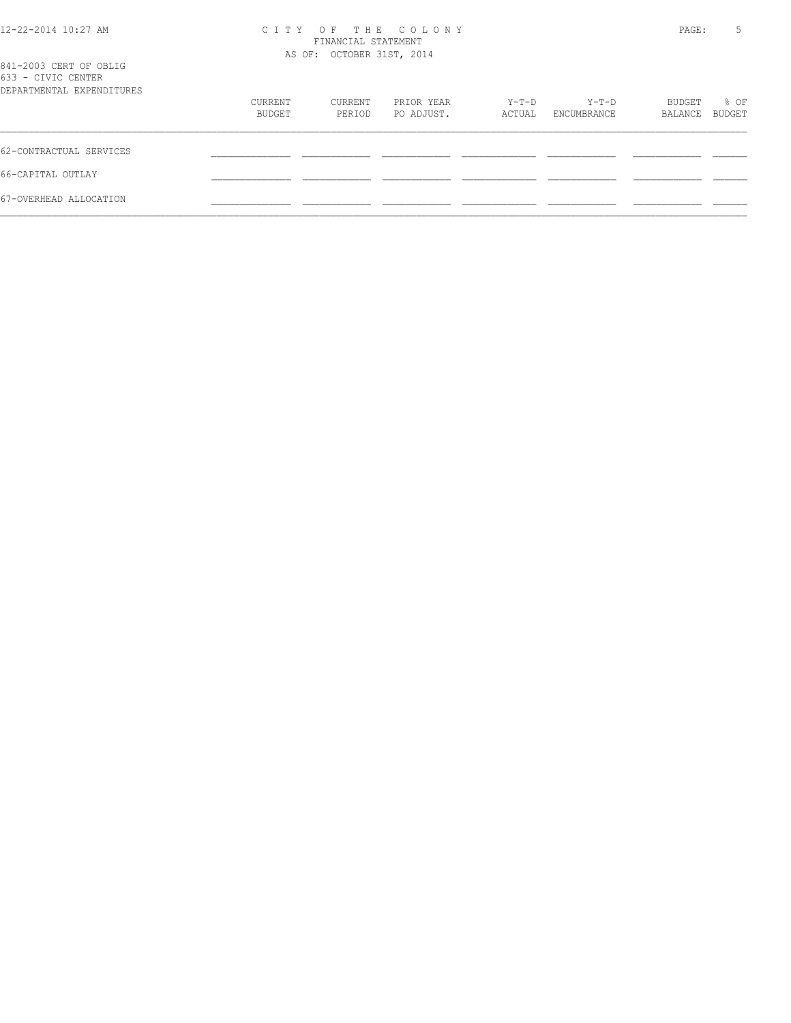| 12-22-2014 10:27 AM |  |
|---------------------|--|
|                     |  |

## 12-22-2014 10:27 AM C I T Y O F T H E C O L O N Y PAGE: 5 FINANCIAL STATEMENT

| 841-2003 CERT OF OBLIG<br>633 - CIVIC CENTER |                   | AS OF: OCTOBER 31ST, 2014 |                          |                 |                        |                   |                |
|----------------------------------------------|-------------------|---------------------------|--------------------------|-----------------|------------------------|-------------------|----------------|
| DEPARTMENTAL EXPENDITURES                    |                   |                           |                          |                 |                        |                   |                |
|                                              | CURRENT<br>BUDGET | CURRENT<br>PERIOD         | PRIOR YEAR<br>PO ADJUST. | Y-T-D<br>ACTUAL | $Y-T-D$<br>ENCUMBRANCE | BUDGET<br>BALANCE | % OF<br>BUDGET |
| 62-CONTRACTUAL SERVICES                      |                   |                           |                          |                 |                        |                   |                |
| 66-CAPITAL OUTLAY                            |                   |                           |                          |                 |                        |                   |                |
| 67-OVERHEAD ALLOCATION                       |                   |                           |                          |                 |                        |                   |                |
|                                              |                   |                           |                          |                 |                        |                   |                |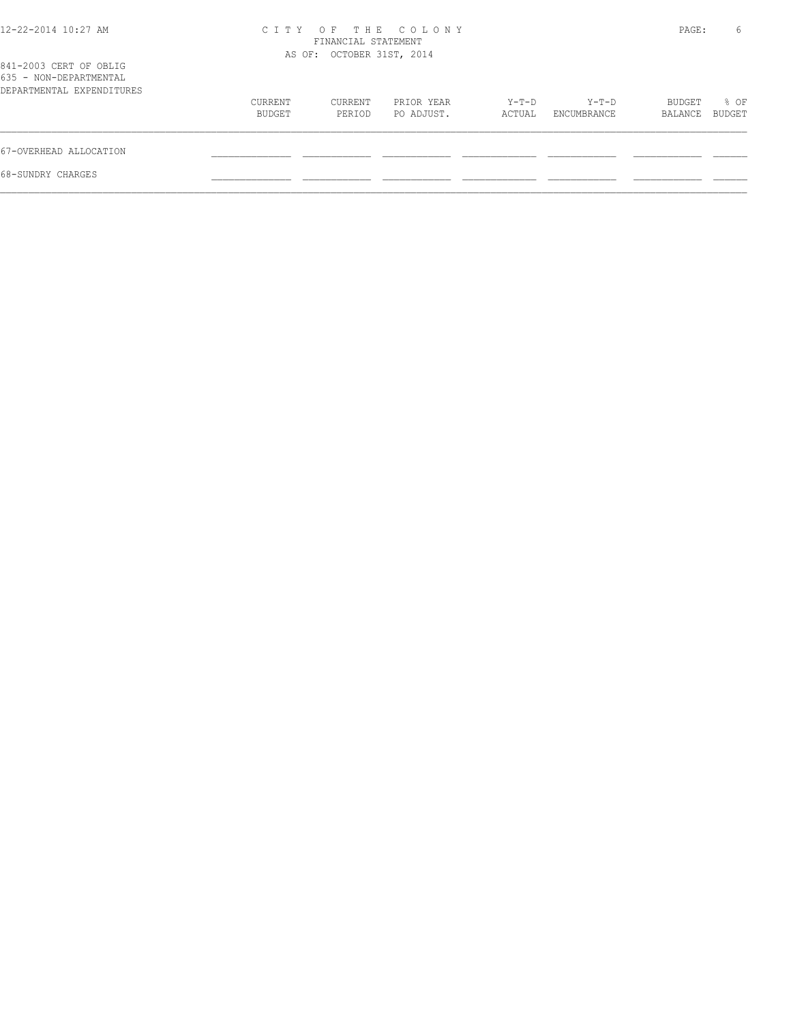| 12-22-2014 10:27 AM                              | C T T Y | FINANCIAL STATEMENT<br>AS OF: OCTOBER 31ST, 2014 | OF THE COLONY |        |             | PAGE:   | 6      |
|--------------------------------------------------|---------|--------------------------------------------------|---------------|--------|-------------|---------|--------|
| 841-2003 CERT OF OBLIG<br>635 - NON-DEPARTMENTAL |         |                                                  |               |        |             |         |        |
| DEPARTMENTAL EXPENDITURES                        |         |                                                  |               |        |             |         |        |
|                                                  | CURRENT | CURRENT                                          | PRIOR YEAR    | Y-T-D  | Y-T-D       | BUDGET  | % OF   |
|                                                  | BUDGET  | PERIOD                                           | PO ADJUST.    | ACTUAL | ENCUMBRANCE | BALANCE | BUDGET |
| 67-OVERHEAD ALLOCATION                           |         |                                                  |               |        |             |         |        |
| 68-SUNDRY CHARGES                                |         |                                                  |               |        |             |         |        |
|                                                  |         |                                                  |               |        |             |         |        |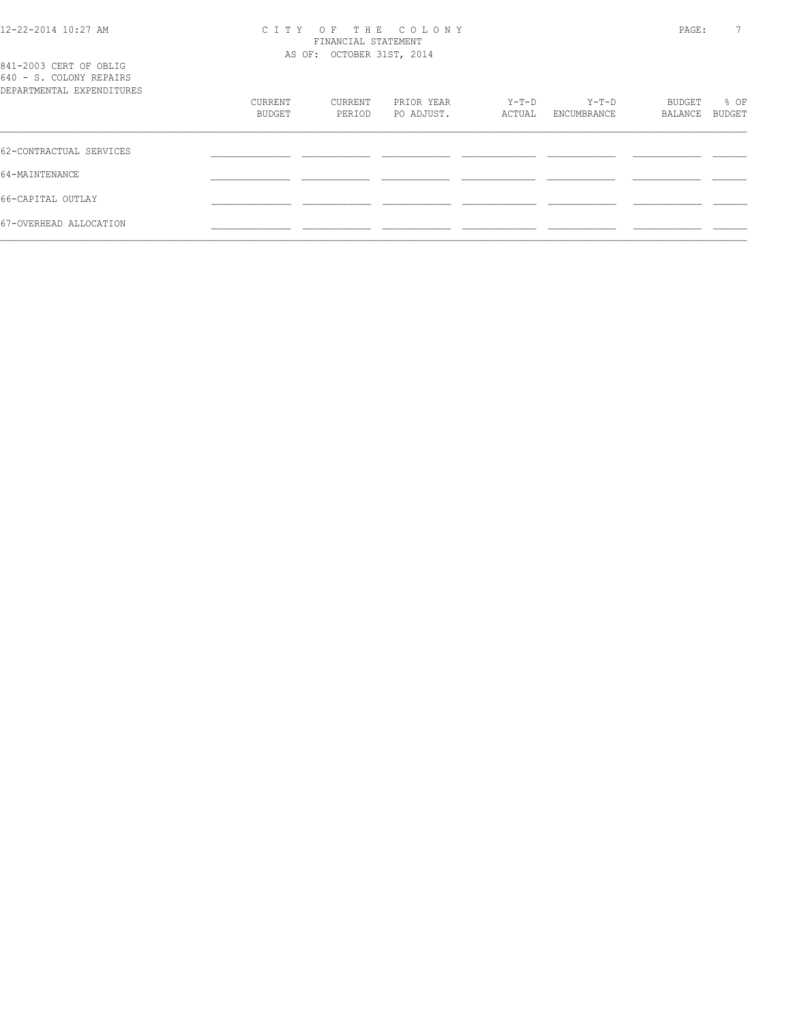## 12-22-2014 10:27 AM C I T Y O F T H E C O L O N Y PAGE: 7

|                                                                                |                   | FINANCIAL STATEMENT       |                          |                 |                      |                   |                |
|--------------------------------------------------------------------------------|-------------------|---------------------------|--------------------------|-----------------|----------------------|-------------------|----------------|
| 841-2003 CERT OF OBLIG<br>640 - S. COLONY REPAIRS<br>DEPARTMENTAL EXPENDITURES |                   | AS OF: OCTOBER 31ST, 2014 |                          |                 |                      |                   |                |
|                                                                                | CURRENT<br>BUDGET | CURRENT<br>PERIOD         | PRIOR YEAR<br>PO ADJUST. | Y-T-D<br>ACTUAL | Y-T-D<br>ENCUMBRANCE | BUDGET<br>BALANCE | % OF<br>BUDGET |
| 62-CONTRACTUAL SERVICES                                                        |                   |                           |                          |                 |                      |                   |                |
| 64-MAINTENANCE                                                                 |                   |                           |                          |                 |                      |                   |                |
| 66-CAPITAL OUTLAY                                                              |                   |                           |                          |                 |                      |                   |                |
|                                                                                |                   |                           |                          |                 |                      |                   |                |

67-OVERHEAD ALLOCATION \_\_\_\_\_\_\_\_\_\_\_\_\_\_ \_\_\_\_\_\_\_\_\_\_\_\_ \_\_\_\_\_\_\_\_\_\_\_\_ \_\_\_\_\_\_\_\_\_\_\_\_\_ \_\_\_\_\_\_\_\_\_\_\_\_ \_\_\_\_\_\_\_\_\_\_\_\_ \_\_\_\_\_\_  $\mathcal{L} = \{ \mathcal{L} = \{ \mathcal{L} = \{ \mathcal{L} = \{ \mathcal{L} = \{ \mathcal{L} = \{ \mathcal{L} = \{ \mathcal{L} = \{ \mathcal{L} = \{ \mathcal{L} = \{ \mathcal{L} = \{ \mathcal{L} = \{ \mathcal{L} = \{ \mathcal{L} = \{ \mathcal{L} = \{ \mathcal{L} = \{ \mathcal{L} = \{ \mathcal{L} = \{ \mathcal{L} = \{ \mathcal{L} = \{ \mathcal{L} = \{ \mathcal{L} = \{ \mathcal{L} = \{ \mathcal{L} = \{ \mathcal{$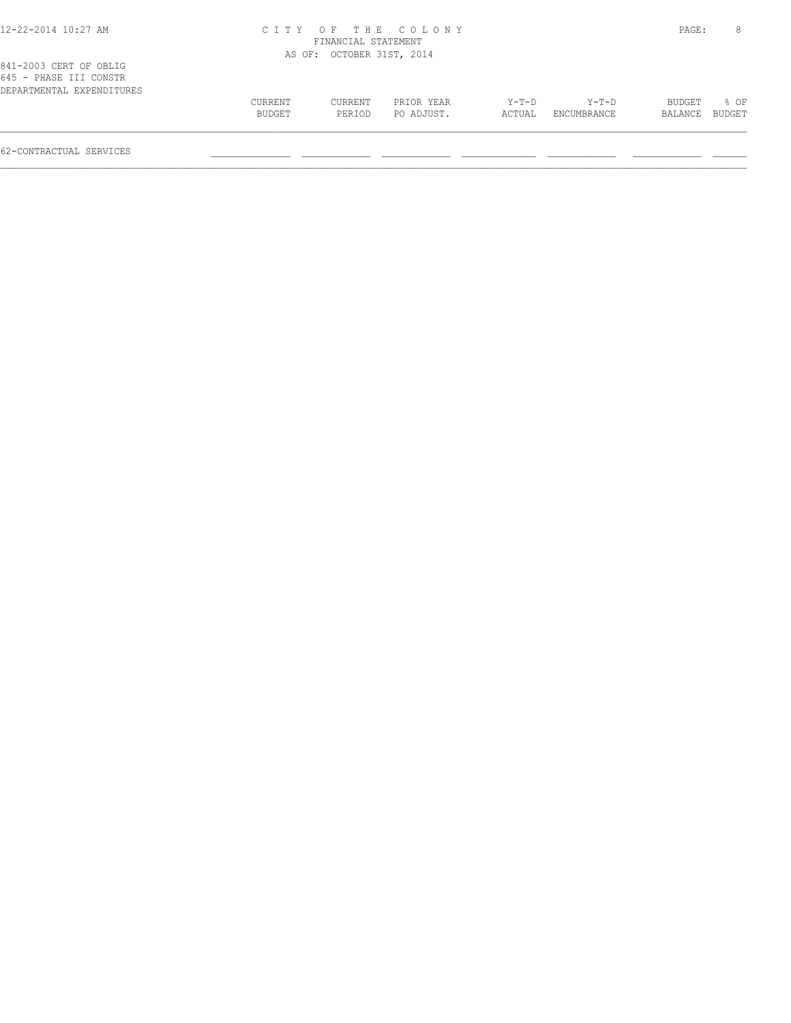## 12-22-2014 10:27 AM C I T Y O F T H E C O L O N Y PAGE: 8 FINANCIAL STATEMENT

|                           |  | AS OF: OCTOBER 31ST, 2014 |  |
|---------------------------|--|---------------------------|--|
| 841-2003 CERT OF OBLIG    |  |                           |  |
| 645 - PHASE III CONSTR    |  |                           |  |
| DEPARTMENTAL EXPENDITURES |  |                           |  |

| 645 - PHASE III CONSTR    |         |         |            |         |             |                |  |
|---------------------------|---------|---------|------------|---------|-------------|----------------|--|
| DEPARTMENTAL EXPENDITURES |         |         |            |         |             |                |  |
|                           | CURRENT | CURRENT | PRIOR YEAR | $Y-T-D$ | $Y-T-D$     | BUDGET % OF    |  |
|                           | BUDGET  | PERTOD  | PO ADJUST. | ACTUAL  | ENCUMBRANCE | BALANCE BUDGET |  |
|                           |         |         |            |         |             |                |  |

62-CONTRACTUAL SERVICES \_\_\_\_\_\_\_\_\_\_\_\_\_\_ \_\_\_\_\_\_\_\_\_\_\_\_ \_\_\_\_\_\_\_\_\_\_\_\_ \_\_\_\_\_\_\_\_\_\_\_\_\_ \_\_\_\_\_\_\_\_\_\_\_\_ \_\_\_\_\_\_\_\_\_\_\_\_ \_\_\_\_\_\_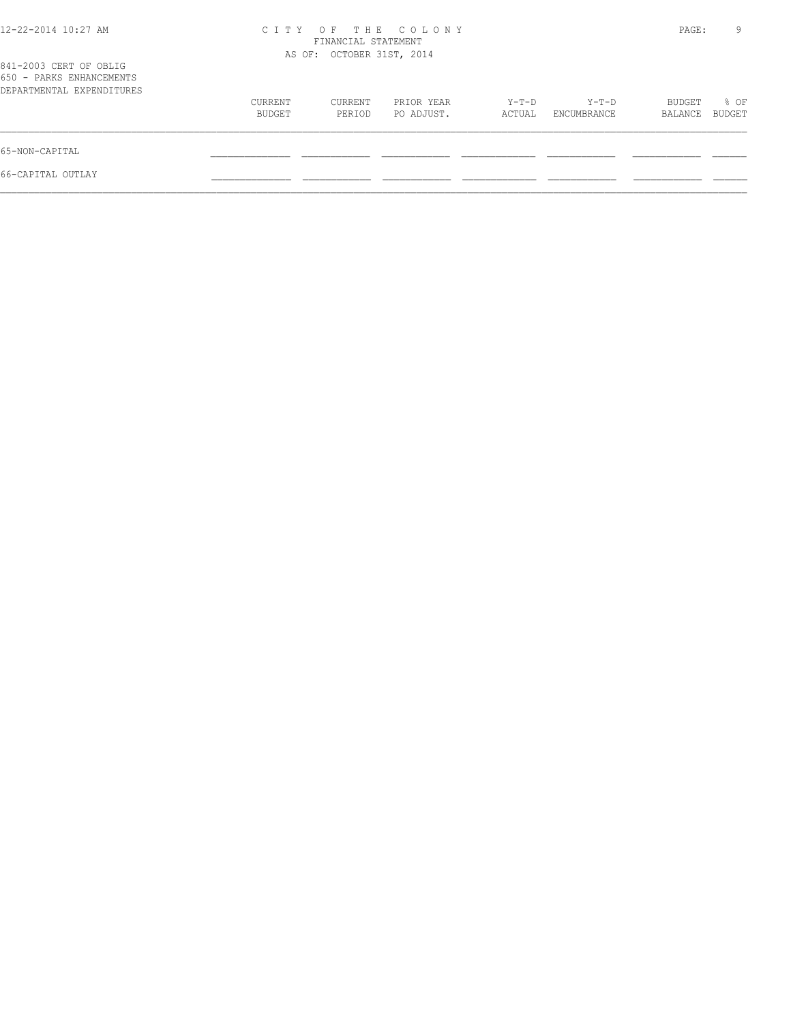| 12-22-2014 10:27 AM                                                             | C I T Y           | FINANCIAL STATEMENT       | OF THE COLONY            |                 |                      | PAGE:             | 9              |
|---------------------------------------------------------------------------------|-------------------|---------------------------|--------------------------|-----------------|----------------------|-------------------|----------------|
| 841-2003 CERT OF OBLIG<br>650 - PARKS ENHANCEMENTS<br>DEPARTMENTAL EXPENDITURES |                   | AS OF: OCTOBER 31ST, 2014 |                          |                 |                      |                   |                |
|                                                                                 | CURRENT<br>BUDGET | CURRENT<br>PERIOD         | PRIOR YEAR<br>PO ADJUST. | Y-T-D<br>ACTUAL | Y-T-D<br>ENCUMBRANCE | BUDGET<br>BALANCE | % OF<br>BUDGET |
| 65-NON-CAPITAL                                                                  |                   |                           |                          |                 |                      |                   |                |
| 66-CAPITAL OUTLAY                                                               |                   |                           |                          |                 |                      |                   |                |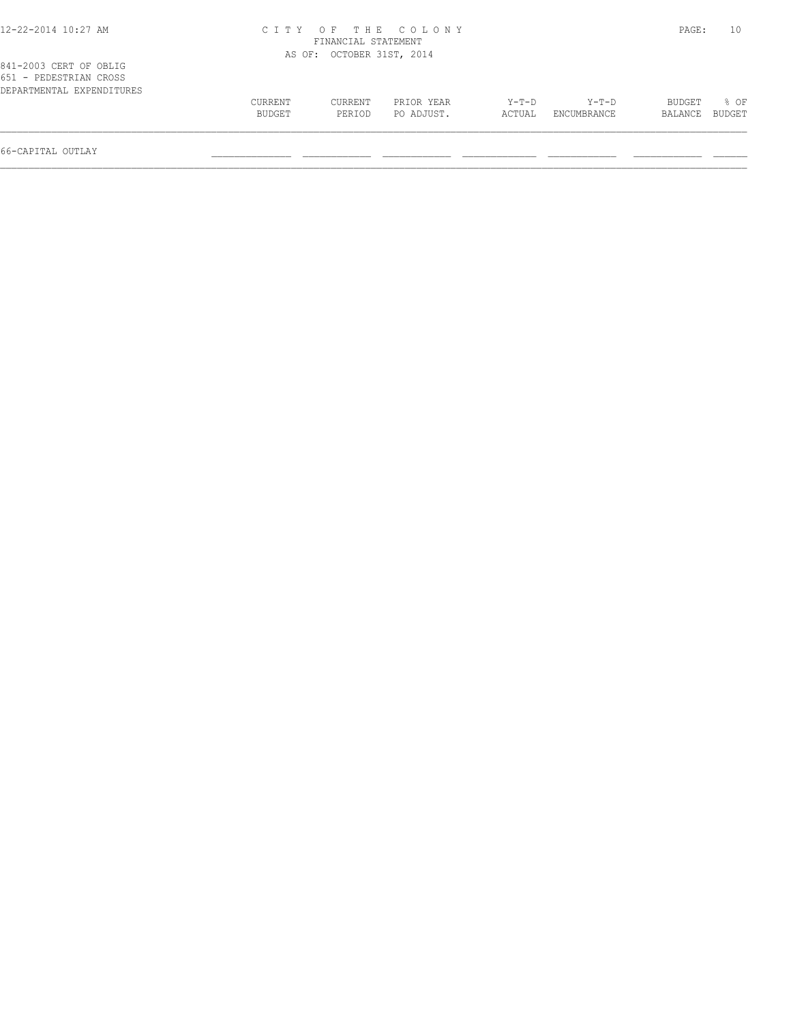| 12-22-2014 10:27 AM |  |
|---------------------|--|
|---------------------|--|

## 12-22-2014 10:27 AM C I T Y O F T H E C O L O N Y PAGE: 10 FINANCIAL STATEMENT

 $\mathcal{L} = \{ \mathcal{L} = \{ \mathcal{L} = \{ \mathcal{L} = \{ \mathcal{L} = \{ \mathcal{L} = \{ \mathcal{L} = \{ \mathcal{L} = \{ \mathcal{L} = \{ \mathcal{L} = \{ \mathcal{L} = \{ \mathcal{L} = \{ \mathcal{L} = \{ \mathcal{L} = \{ \mathcal{L} = \{ \mathcal{L} = \{ \mathcal{L} = \{ \mathcal{L} = \{ \mathcal{L} = \{ \mathcal{L} = \{ \mathcal{L} = \{ \mathcal{L} = \{ \mathcal{L} = \{ \mathcal{L} = \{ \mathcal{$ 

| CURRENT | CURRENT | PRIOR YEAR | $Y-T-D$                   | $Y-T-D$     | BUDGET  | % OF   |
|---------|---------|------------|---------------------------|-------------|---------|--------|
| BUDGET  | PERIOD  | PO ADJUST. | ACTUAL                    | ENCUMBRANCE | BALANCE | BUDGET |
|         |         |            | AS OF: OCTOBER 31ST, 2014 |             |         |        |

66-CAPITAL OUTLAY \_\_\_\_\_\_\_\_\_\_\_\_\_\_ \_\_\_\_\_\_\_\_\_\_\_\_ \_\_\_\_\_\_\_\_\_\_\_\_ \_\_\_\_\_\_\_\_\_\_\_\_\_ \_\_\_\_\_\_\_\_\_\_\_\_ \_\_\_\_\_\_\_\_\_\_\_\_ \_\_\_\_\_\_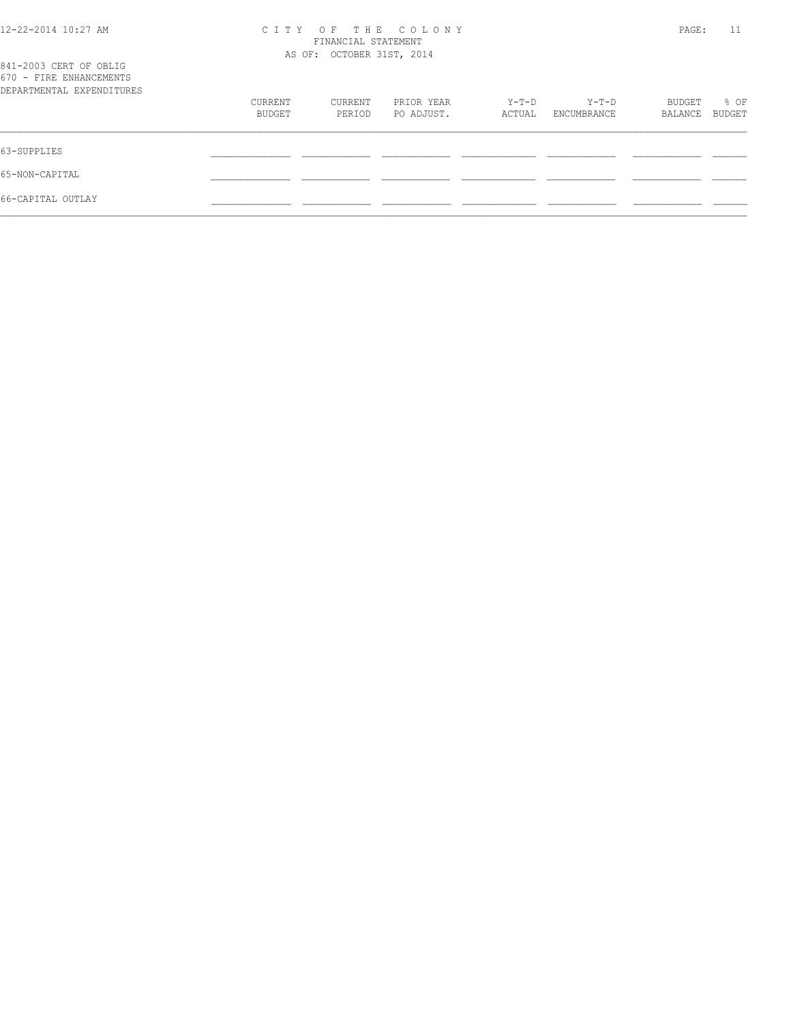## 12-22-2014 10:27 AM C I T Y O F T H E C O L O N Y PAGE: 11 FINANCIAL STATEMENT

| 841-2003 CERT OF OBLIG                               |                   | AS OF: OCTOBER 31ST, 2014 |                          |                 |                      |                   |                       |
|------------------------------------------------------|-------------------|---------------------------|--------------------------|-----------------|----------------------|-------------------|-----------------------|
| 670 - FIRE ENHANCEMENTS<br>DEPARTMENTAL EXPENDITURES |                   |                           |                          |                 |                      |                   |                       |
|                                                      | CURRENT<br>BUDGET | CURRENT<br>PERIOD         | PRIOR YEAR<br>PO ADJUST. | Y-T-D<br>ACTUAL | Y-T-D<br>ENCUMBRANCE | BUDGET<br>BALANCE | % OF<br><b>BUDGET</b> |
| 63-SUPPLIES                                          |                   |                           |                          |                 |                      |                   |                       |
| 65-NON-CAPITAL                                       |                   |                           |                          |                 |                      |                   |                       |
| 66-CAPITAL OUTLAY                                    |                   |                           |                          |                 |                      |                   |                       |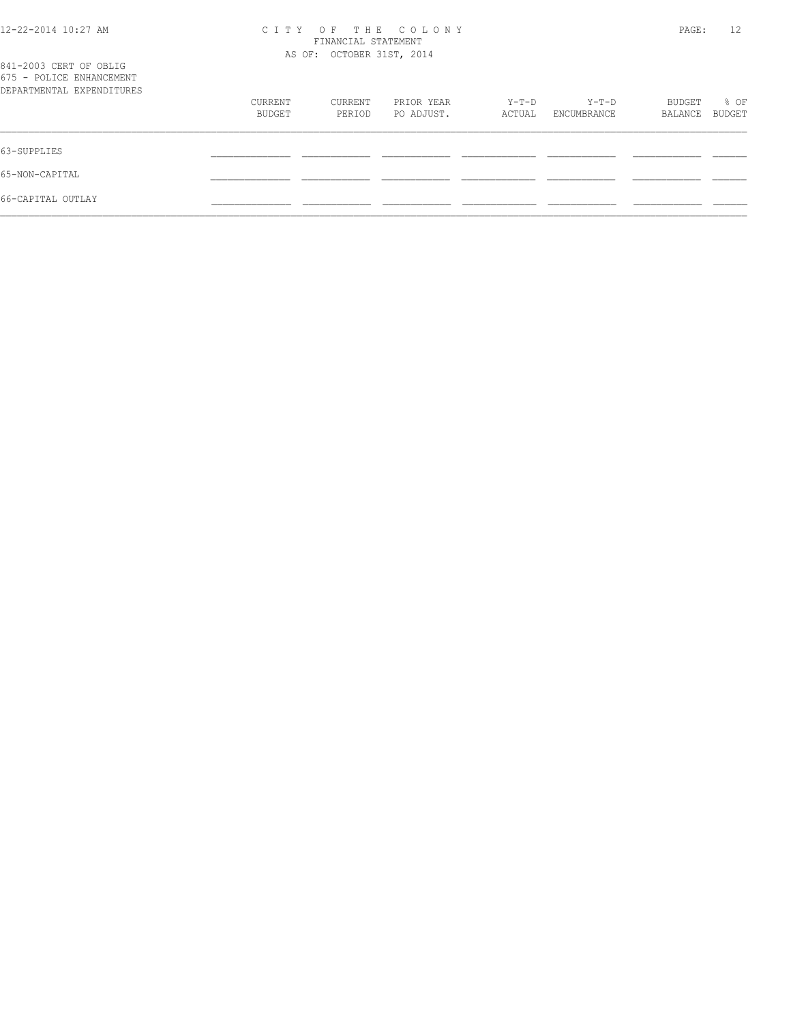| 12-22-2014 10:27 AM                                                             | CITY OF THE COLONY<br>FINANCIAL STATEMENT<br>AS OF: OCTOBER 31ST, 2014 |                   |                          |                 |                             |                   | 12<br>PAGE:    |
|---------------------------------------------------------------------------------|------------------------------------------------------------------------|-------------------|--------------------------|-----------------|-----------------------------|-------------------|----------------|
| 841-2003 CERT OF OBLIG<br>675 - POLICE ENHANCEMENT<br>DEPARTMENTAL EXPENDITURES |                                                                        |                   |                          |                 |                             |                   |                |
|                                                                                 | CURRENT<br>BUDGET                                                      | CURRENT<br>PERTOD | PRIOR YEAR<br>PO ADJUST. | Y-T-D<br>ACTUAL | Y-T-D<br><b>ENCUMBRANCE</b> | BUDGET<br>BALANCE | % OF<br>BUDGET |
| 63-SUPPLIES                                                                     |                                                                        |                   |                          |                 |                             |                   |                |

65-NON-CAPITAL \_\_\_\_\_\_\_\_\_\_\_\_\_\_ \_\_\_\_\_\_\_\_\_\_\_\_ \_\_\_\_\_\_\_\_\_\_\_\_ \_\_\_\_\_\_\_\_\_\_\_\_\_ \_\_\_\_\_\_\_\_\_\_\_\_ \_\_\_\_\_\_\_\_\_\_\_\_ \_\_\_\_\_\_ 66-CAPITAL OUTLAY \_\_\_\_\_\_\_\_\_\_\_\_\_\_ \_\_\_\_\_\_\_\_\_\_\_\_ \_\_\_\_\_\_\_\_\_\_\_\_ \_\_\_\_\_\_\_\_\_\_\_\_\_ \_\_\_\_\_\_\_\_\_\_\_\_ \_\_\_\_\_\_\_\_\_\_\_\_ \_\_\_\_\_\_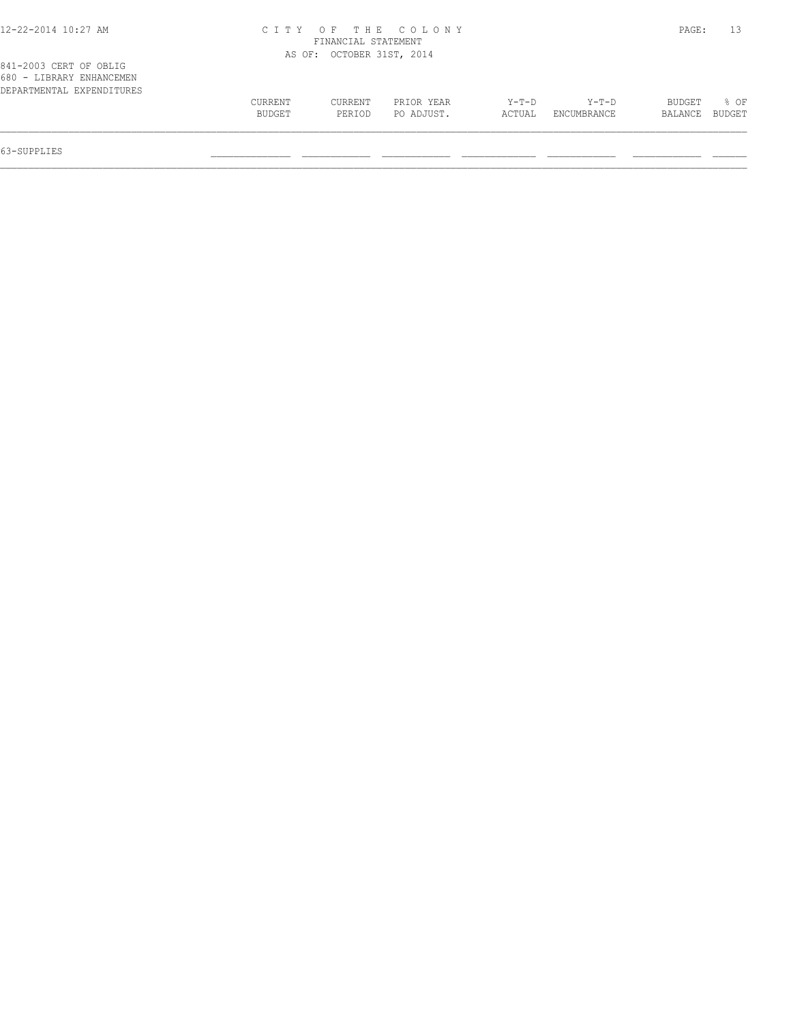| 12-22-2014 10:27 AM |
|---------------------|
|---------------------|

## 12-22-2014 10:27 AM C I T Y O F T H E C O L O N Y PAGE: 13 FINANCIAL STATEMENT

63-SUPPLIES \_\_\_\_\_\_\_\_\_\_\_\_\_\_ \_\_\_\_\_\_\_\_\_\_\_\_ \_\_\_\_\_\_\_\_\_\_\_\_ \_\_\_\_\_\_\_\_\_\_\_\_\_ \_\_\_\_\_\_\_\_\_\_\_\_ \_\_\_\_\_\_\_\_\_\_\_\_ \_\_\_\_\_\_

|                                                                                 |         | AS OF: OCTOBER 31ST, 2014 |            |         |             |                |        |
|---------------------------------------------------------------------------------|---------|---------------------------|------------|---------|-------------|----------------|--------|
| 841-2003 CERT OF OBLIG<br>680 - LIBRARY ENHANCEMEN<br>DEPARTMENTAL EXPENDITURES |         |                           |            |         |             |                |        |
|                                                                                 | CURRENT | CURRENT                   | PRIOR YEAR | $Y-T-D$ | $Y-T-D$     | BUDGET         | $8$ OF |
|                                                                                 | BUDGET  | PERIOD                    | PO ADJUST. | ACTUAL  | ENCUMBRANCE | BALANCE BUDGET |        |
|                                                                                 |         |                           |            |         |             |                |        |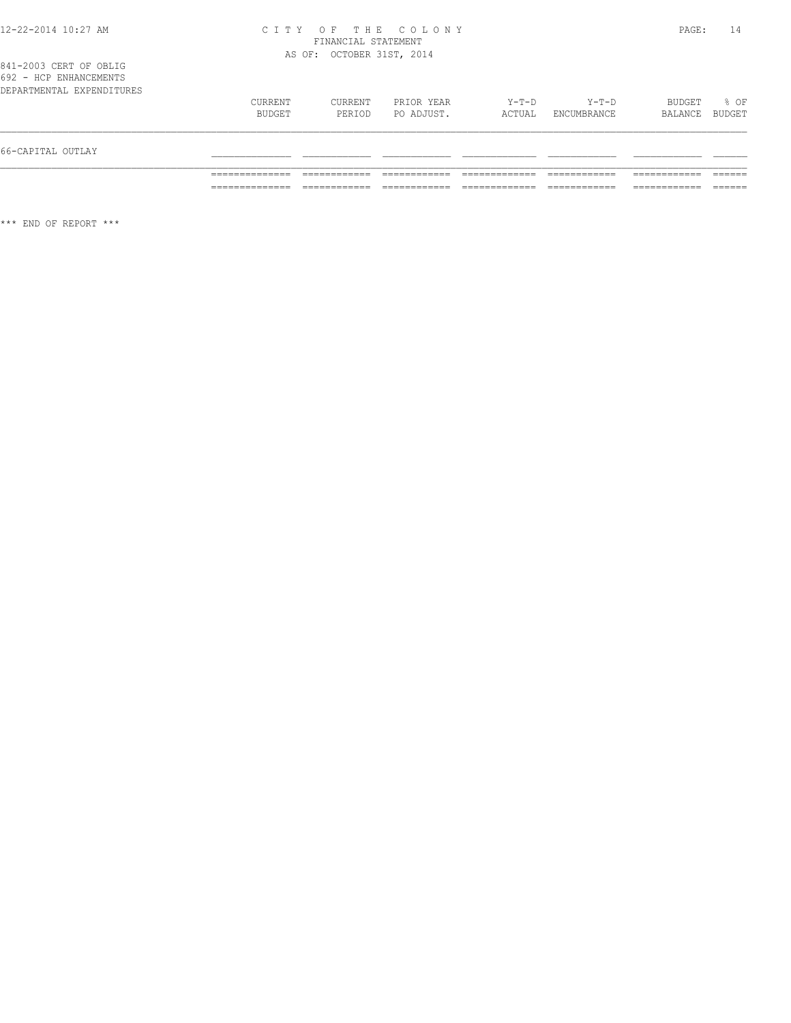## 12-22-2014 10:27 AM C I T Y O F T H E C O L O N Y PAGE: 14 FINANCIAL STATEMENT AS OF: OCTOBER 31ST, 2014

|  | 841-2003 CERT OF OBLIG    |  |  |
|--|---------------------------|--|--|
|  | 692 - HCP ENHANCEMENTS    |  |  |
|  | DEPARTMENTAL EXPENDITURES |  |  |

| 66-CAPITAL OUTLAY |                           |                   |                   |                          |                 |                        |                   |                  |
|-------------------|---------------------------|-------------------|-------------------|--------------------------|-----------------|------------------------|-------------------|------------------|
|                   | DEPARTMENTAL EXPENDITURES | CURRENT<br>BUDGET | CURRENT<br>PERIOD | PRIOR YEAR<br>PO ADJUST. | Y-T-D<br>ACTUAL | $Y-T-D$<br>ENCUMBRANCE | BUDGET<br>BALANCE | $8$ OF<br>BUDGET |

\*\*\* END OF REPORT \*\*\*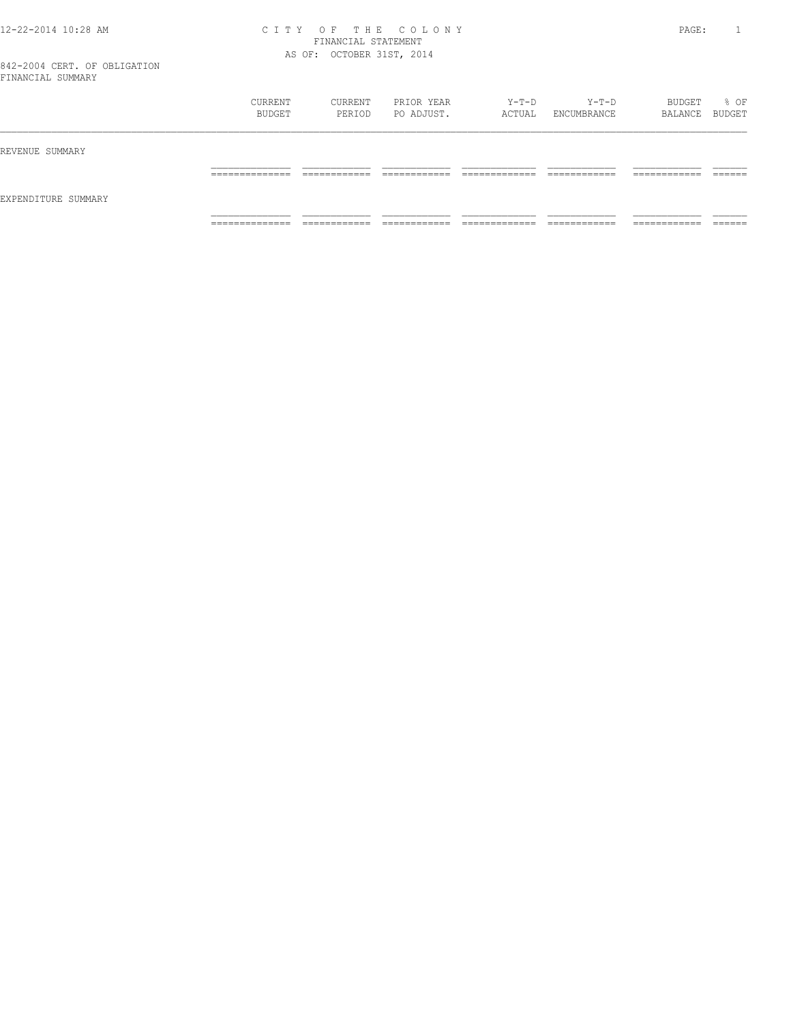### 12-22-2014 10:28 AM C I T Y O F T H E C O L O N Y PAGE: 1 FINANCIAL STATEMENT AS OF: OCTOBER 31ST, 2014

|                     | CURRENT<br>BUDGET   | CURRENT<br>PERIOD             | PRIOR YEAR<br>PO ADJUST.     | Y-T-D<br>ACTUAL                | $Y-T-D$<br>ENCUMBRANCE        | BUDGET<br>BALANCE BUDGET      | % OF               |
|---------------------|---------------------|-------------------------------|------------------------------|--------------------------------|-------------------------------|-------------------------------|--------------------|
| REVENUE SUMMARY     |                     |                               |                              |                                |                               |                               |                    |
|                     | ______________<br>. | -------------<br>____________ | -------------                | ____________<br>_____________  | -------------<br>____________ | -------------<br>____________ | -------<br>_______ |
| EXPENDITURE SUMMARY |                     |                               |                              |                                |                               |                               |                    |
|                     | ______________<br>. | ____________<br>____________  | ____________<br>____________ | _____________<br>_____________ | ____________<br>____________  | ------------<br>____________  | _______            |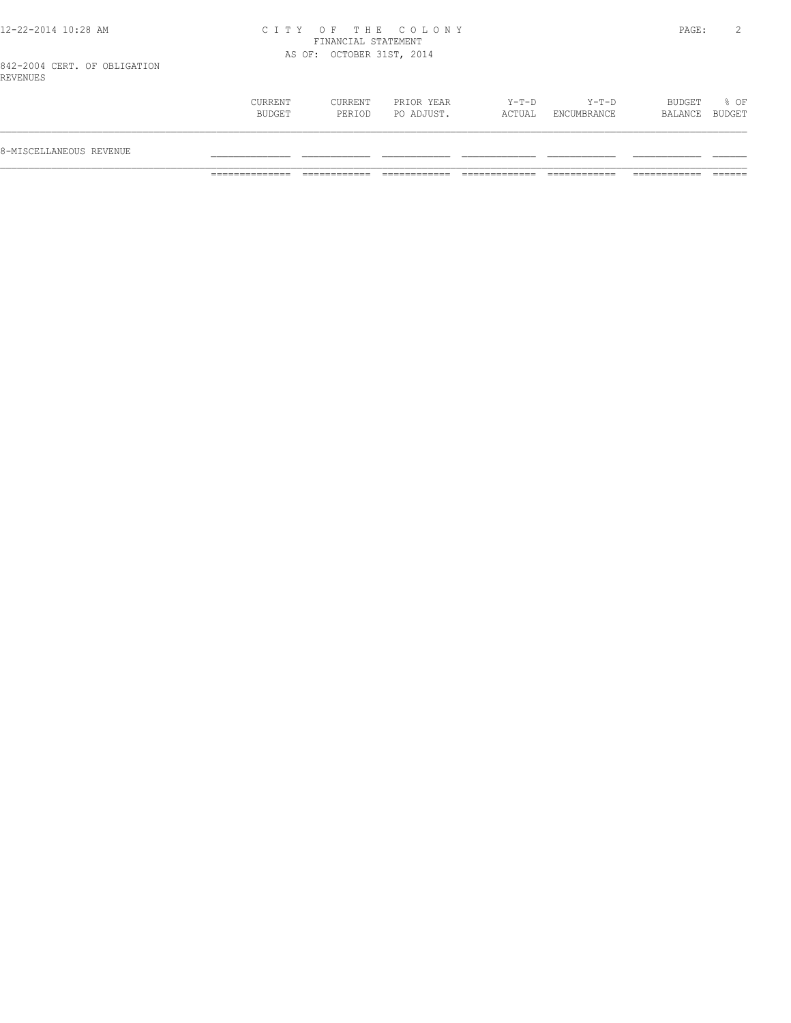## 12-22-2014 10:28 AM C I T Y O F T H E C O L O N Y PAGE: 2 FINANCIAL STATEMENT AS OF: OCTOBER 31ST, 2014

842-2004 CERT. OF OBLIGATION REVENUES

| BUDGET<br>PO ADJUST.<br>ACTUAL<br>ENCUMBRANCE<br>PERIOD<br>BALANCE<br>8-MISCELLANEOUS REVENUE |                |
|-----------------------------------------------------------------------------------------------|----------------|
|                                                                                               |                |
| $Y-T-D$<br>$Y-T-D$<br>PRIOR YEAR<br>BUDGET<br>CURRENT<br>CURRENT                              | % OF<br>BUDGET |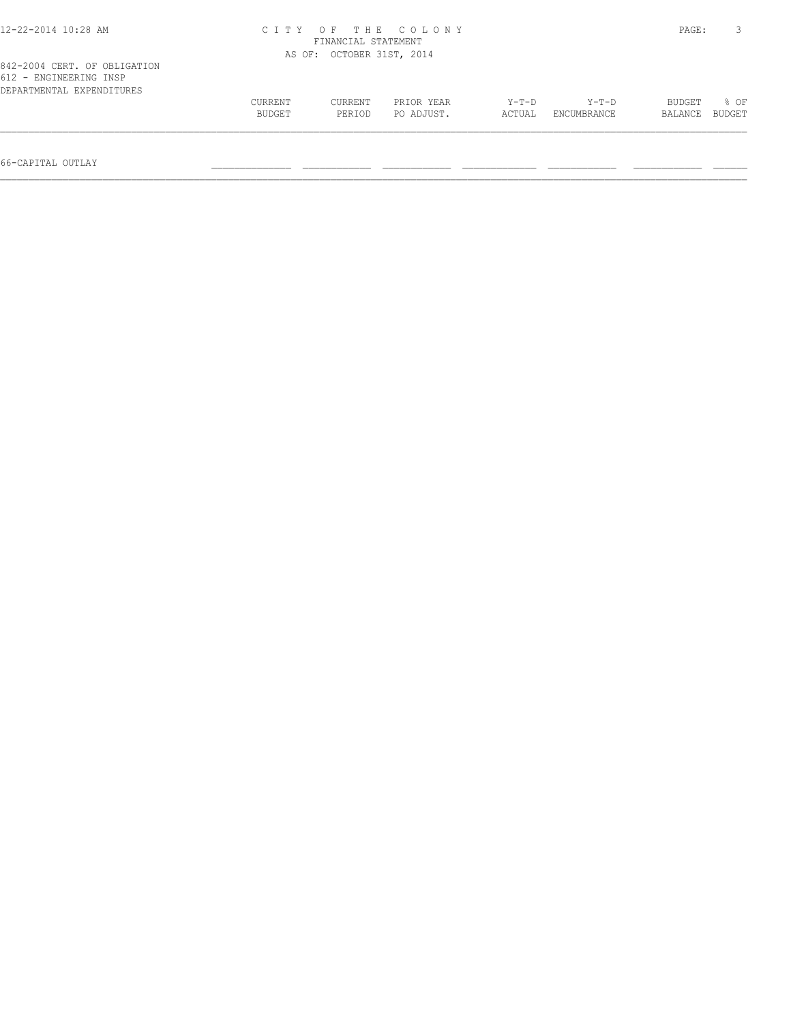| 12-22-2014 10:28 AM                                                                 | CITY OF THE COLONY<br>FINANCIAL STATEMENT |                           |                          |                 |                      |                   |                |
|-------------------------------------------------------------------------------------|-------------------------------------------|---------------------------|--------------------------|-----------------|----------------------|-------------------|----------------|
|                                                                                     |                                           | AS OF: OCTOBER 31ST, 2014 |                          |                 |                      |                   |                |
| 842-2004 CERT. OF OBLIGATION<br>612 - ENGINEERING INSP<br>DEPARTMENTAL EXPENDITURES |                                           |                           |                          |                 |                      |                   |                |
|                                                                                     | CURRENT<br>BUDGET                         | CURRENT<br>PERIOD         | PRIOR YEAR<br>PO ADJUST. | Y-T-D<br>ACTUAL | Y-T-D<br>ENCUMBRANCE | BUDGET<br>BALANCE | 8 OF<br>BUDGET |
|                                                                                     |                                           |                           |                          |                 |                      |                   |                |

66-CAPITAL OUTLAY \_\_\_\_\_\_\_\_\_\_\_\_\_\_ \_\_\_\_\_\_\_\_\_\_\_\_ \_\_\_\_\_\_\_\_\_\_\_\_ \_\_\_\_\_\_\_\_\_\_\_\_\_ \_\_\_\_\_\_\_\_\_\_\_\_ \_\_\_\_\_\_\_\_\_\_\_\_ \_\_\_\_\_\_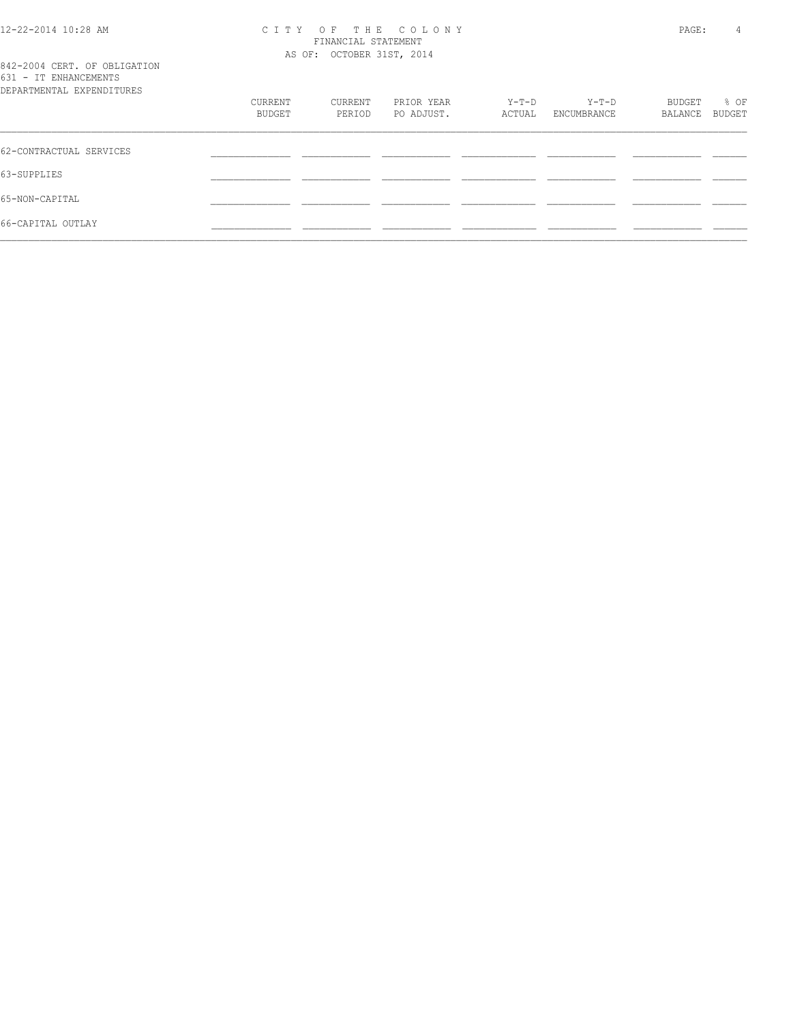#### 12-22-2014 10:28 AM C I T Y O F T H E C O L O N Y PAGE: 4 FINANCIAL STATEMENT AS OF: OCTOBER 31ST, 2014

|  |                       | 842-2004 CERT. OF OBLIGATION            |
|--|-----------------------|-----------------------------------------|
|  | 631 - IT ENHANCEMENTS |                                         |
|  |                       | סתסווידרוות בעית זו אייוות המשייכות הסת |

| DEPARTMENTAL EXPENDITURES |         |         |            |        |             |         |        |
|---------------------------|---------|---------|------------|--------|-------------|---------|--------|
|                           | CURRENT | CURRENT | PRIOR YEAR | Y-T-D  | Y-T-D       | BUDGET  | % OF   |
|                           | BUDGET  | PERIOD  | PO ADJUST. | ACTUAL | ENCUMBRANCE | BALANCE | BUDGET |
|                           |         |         |            |        |             |         |        |
| 62-CONTRACTUAL SERVICES   |         |         |            |        |             |         |        |
| 63-SUPPLIES               |         |         |            |        |             |         |        |
|                           |         |         |            |        |             |         |        |
| 65-NON-CAPITAL            |         |         |            |        |             |         |        |
| 66-CAPITAL OUTLAY         |         |         |            |        |             |         |        |
|                           |         |         |            |        |             |         |        |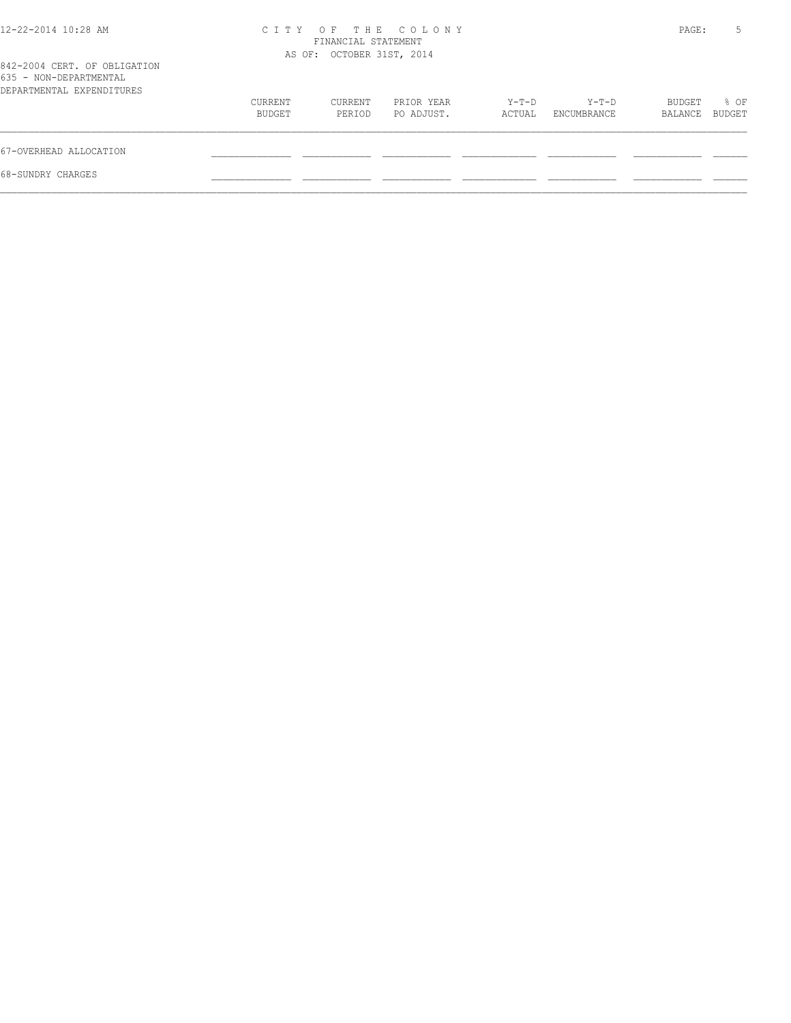| $12 - 22 - 2014$ $10:28$ AM                                                         |                   | FINANCIAL STATEMENT<br>AS OF: OCTOBER 31ST, 2014 | CITY OF THE COLONY       |                 |                      | PAGE:             | 5              |
|-------------------------------------------------------------------------------------|-------------------|--------------------------------------------------|--------------------------|-----------------|----------------------|-------------------|----------------|
| 842-2004 CERT. OF OBLIGATION<br>635 - NON-DEPARTMENTAL<br>DEPARTMENTAL EXPENDITURES |                   |                                                  |                          |                 |                      |                   |                |
|                                                                                     | CURRENT<br>BUDGET | CURRENT<br>PERIOD                                | PRIOR YEAR<br>PO ADJUST. | Y-T-D<br>ACTUAL | Y-T-D<br>ENCUMBRANCE | BUDGET<br>BALANCE | % OF<br>BUDGET |
| 67-OVERHEAD ALLOCATION                                                              |                   |                                                  |                          |                 |                      |                   |                |
| 68-SUNDRY CHARGES                                                                   |                   |                                                  |                          |                 |                      |                   |                |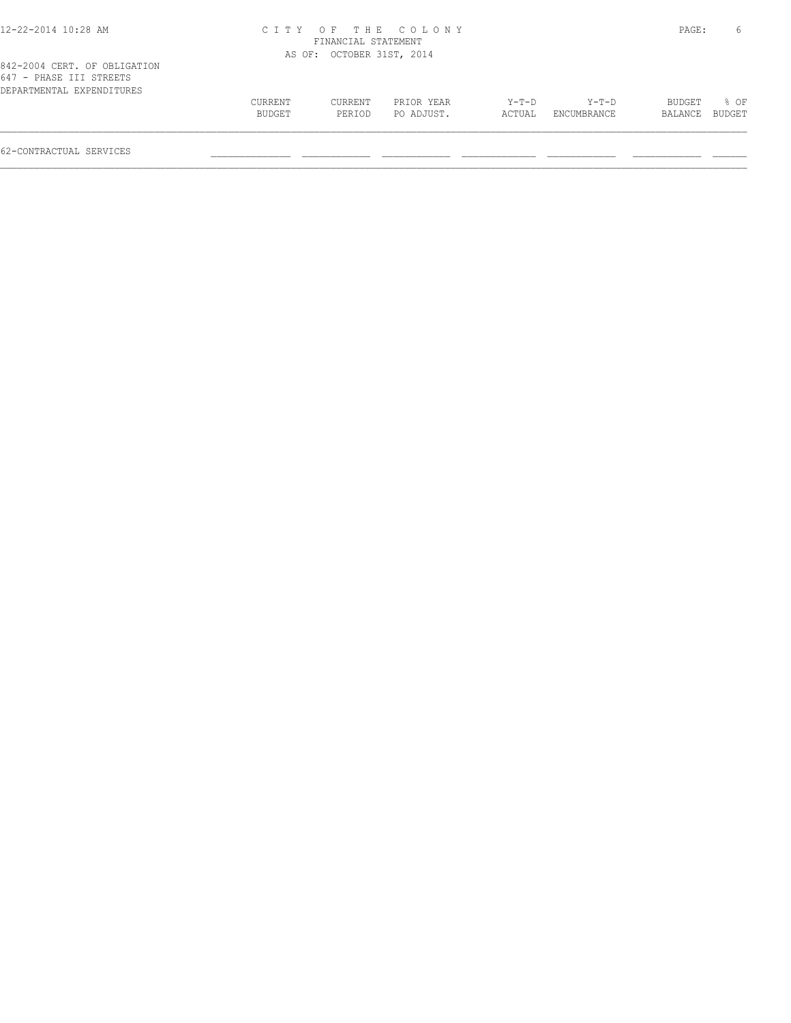| 2-22-2014 10:28 AM |  |  |  |
|--------------------|--|--|--|
|--------------------|--|--|--|

## 12-22-2014 10:28 AM C I T Y O F T H E C O L O N Y PAGE: 6 FINANCIAL STATEMENT AS OF: OCTOBER 31ST, 2014

| 647 - PHASE III STREETS   |               |         |            |        |             |                |                  |
|---------------------------|---------------|---------|------------|--------|-------------|----------------|------------------|
| DEPARTMENTAL EXPENDITURES |               |         |            |        |             |                |                  |
|                           | CURRENT       | CURRENT | PRIOR YEAR | Y-T-D  | Y-T-D       | BUDGET         | $\frac{1}{2}$ OF |
|                           | <b>BUDGET</b> | PERIOD  | PO ADJUST. | ACTUAL | ENCUMBRANCE | BALANCE BUDGET |                  |
|                           |               |         |            |        |             |                |                  |
|                           |               |         |            |        |             |                |                  |

62-CONTRACTUAL SERVICES \_\_\_\_\_\_\_\_\_\_\_\_\_\_ \_\_\_\_\_\_\_\_\_\_\_\_ \_\_\_\_\_\_\_\_\_\_\_\_ \_\_\_\_\_\_\_\_\_\_\_\_\_ \_\_\_\_\_\_\_\_\_\_\_\_ \_\_\_\_\_\_\_\_\_\_\_\_ \_\_\_\_\_\_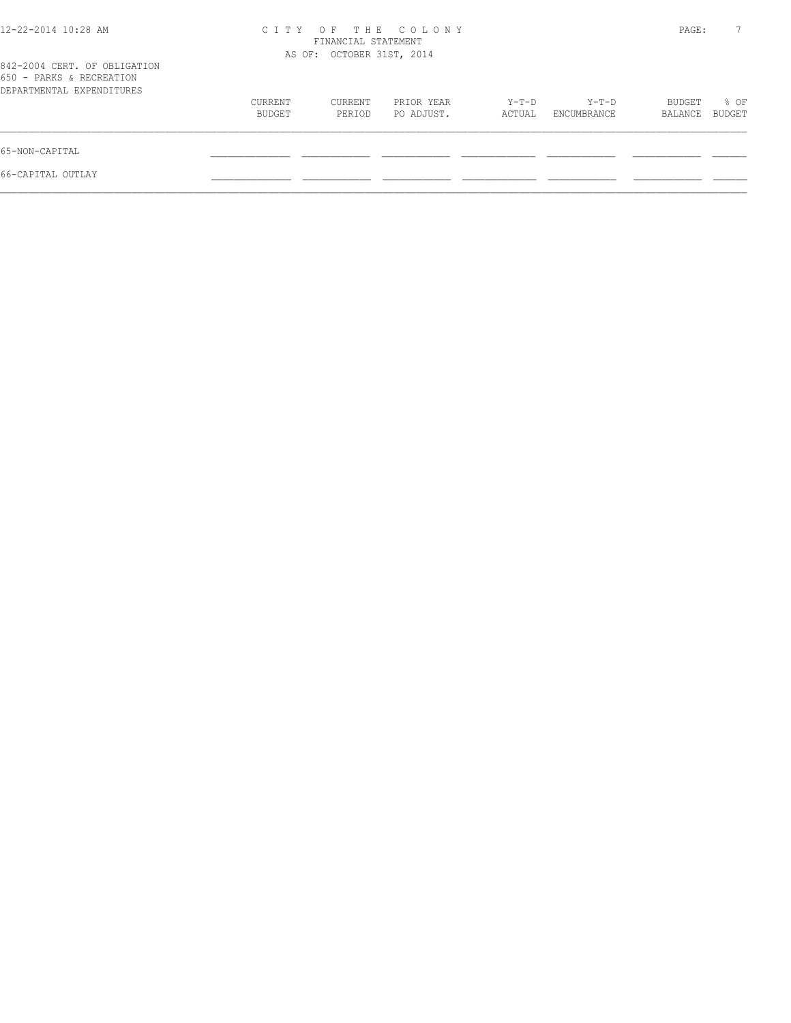| THE COLONY<br>OF.<br>C T T Y<br>FINANCIAL STATEMENT |                   |                          |                           |                      |                   |                |
|-----------------------------------------------------|-------------------|--------------------------|---------------------------|----------------------|-------------------|----------------|
|                                                     |                   |                          |                           |                      |                   |                |
| CURRENT<br>BUDGET                                   | CURRENT<br>PERIOD | PRIOR YEAR<br>PO ADJUST. | Y-T-D<br>ACTUAL           | Y-T-D<br>ENCUMBRANCE | BUDGET<br>BALANCE | % OF<br>BUDGET |
|                                                     |                   |                          |                           |                      |                   |                |
|                                                     |                   |                          |                           |                      |                   |                |
|                                                     |                   |                          | AS OF: OCTOBER 31ST, 2014 |                      |                   | PAGE:          |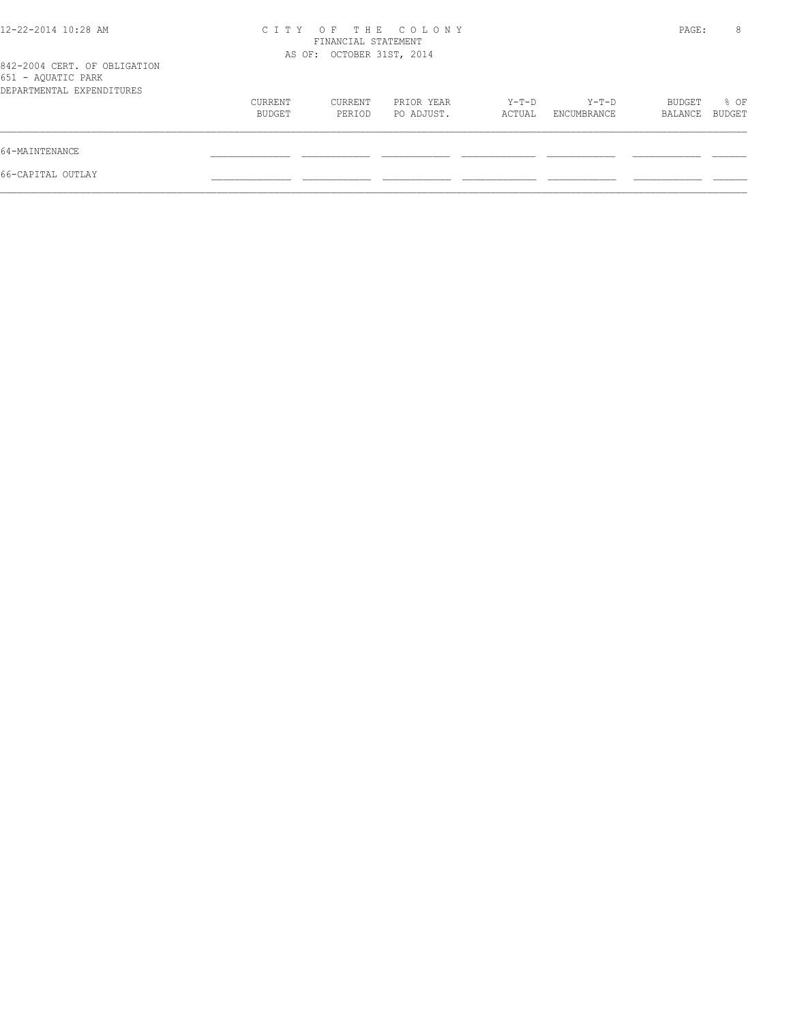| 12-22-2014 10:28 AM                                                             | C T T Y           | FINANCIAL STATEMENT<br>AS OF: OCTOBER 31ST, 2014 | OF THE COLONY            |                 |                      | PAGE:             | 8              |
|---------------------------------------------------------------------------------|-------------------|--------------------------------------------------|--------------------------|-----------------|----------------------|-------------------|----------------|
| 842-2004 CERT. OF OBLIGATION<br>651 - AQUATIC PARK<br>DEPARTMENTAL EXPENDITURES |                   |                                                  |                          |                 |                      |                   |                |
|                                                                                 | CURRENT<br>BUDGET | CURRENT<br>PERIOD                                | PRIOR YEAR<br>PO ADJUST. | Y-T-D<br>ACTUAL | Y-T-D<br>ENCUMBRANCE | BUDGET<br>BALANCE | % OF<br>BUDGET |
| 64-MAINTENANCE                                                                  |                   |                                                  |                          |                 |                      |                   |                |
| 66-CAPITAL OUTLAY                                                               |                   |                                                  |                          |                 |                      |                   |                |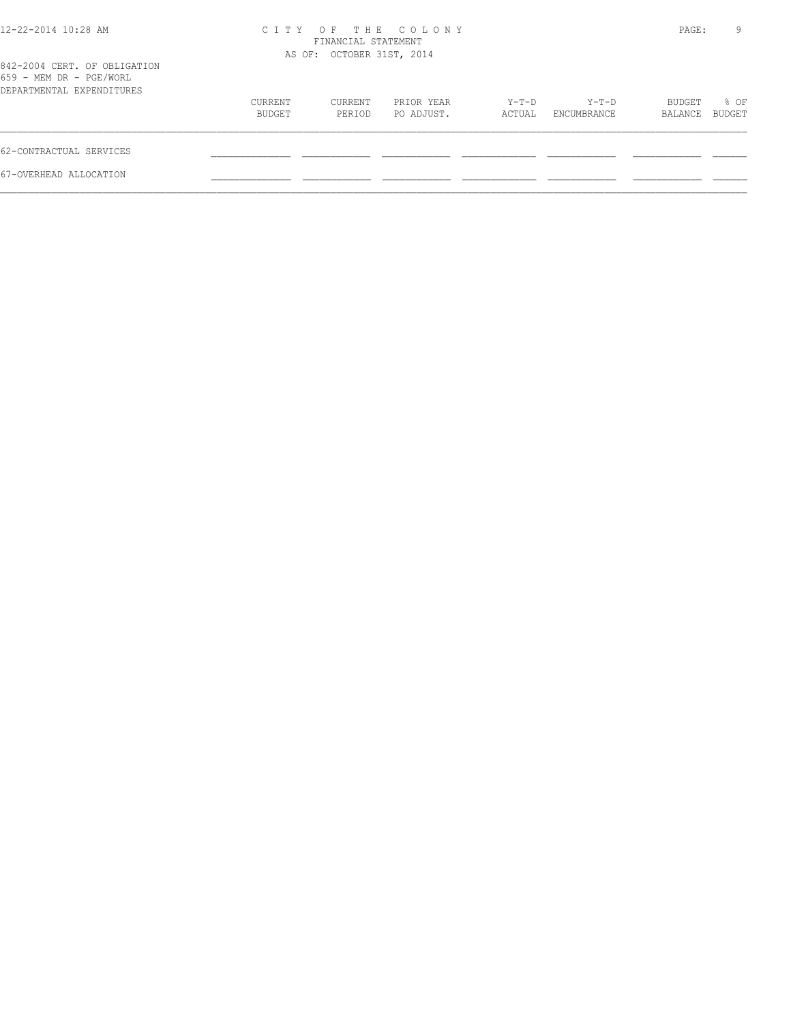| $12 - 22 - 2014$ $10:28$ AM                                                          | OF THE COLONY<br>C T T Y<br>FINANCIAL STATEMENT<br>AS OF: OCTOBER 31ST, 2014 |                   |                          |                 |                        |                   | 9                     |
|--------------------------------------------------------------------------------------|------------------------------------------------------------------------------|-------------------|--------------------------|-----------------|------------------------|-------------------|-----------------------|
| 842-2004 CERT. OF OBLIGATION<br>659 - MEM DR - PGE/WORL<br>DEPARTMENTAL EXPENDITURES |                                                                              |                   |                          |                 |                        |                   |                       |
|                                                                                      | CURRENT<br>BUDGET                                                            | CURRENT<br>PERIOD | PRIOR YEAR<br>PO ADJUST. | Y-T-D<br>ACTUAL | $Y-T-D$<br>ENCUMBRANCE | BUDGET<br>BALANCE | % OF<br><b>BUDGET</b> |
| 62-CONTRACTUAL SERVICES                                                              |                                                                              |                   |                          |                 |                        |                   |                       |
| 67-OVERHEAD ALLOCATION                                                               |                                                                              |                   |                          |                 |                        |                   |                       |
|                                                                                      |                                                                              |                   |                          |                 |                        |                   |                       |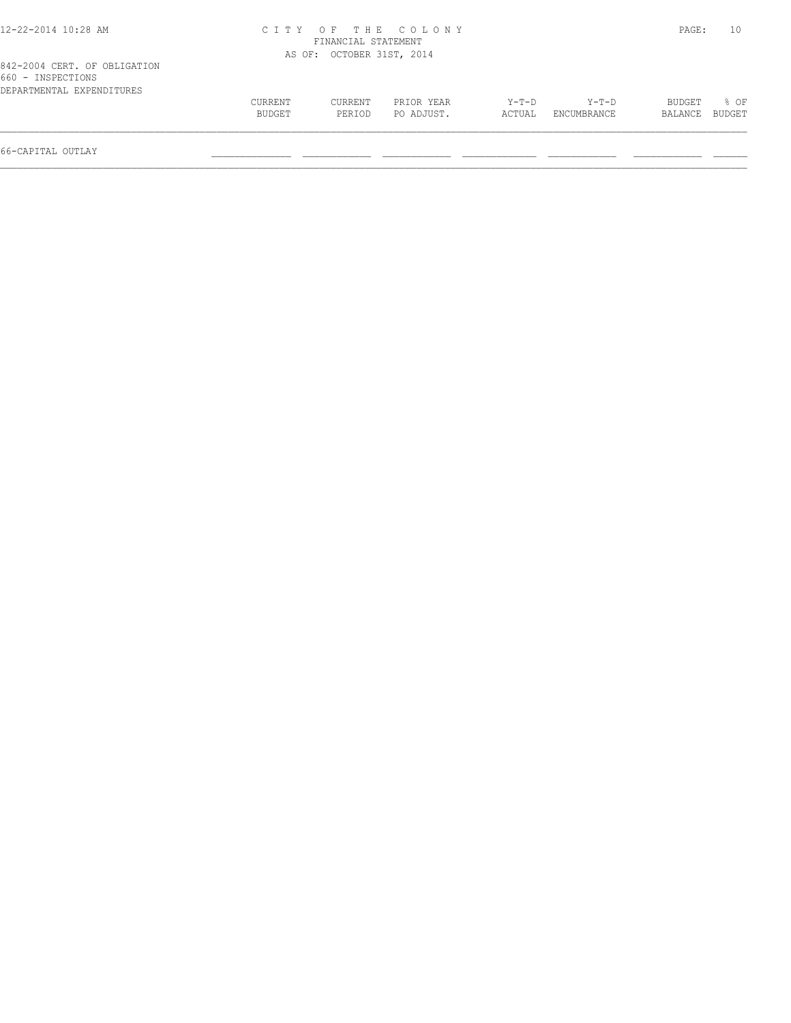| 12-22-2014 10:28 AM                                                            |                   | FINANCIAL STATEMENT       | CITY OF THE COLONY       |                   |                      | PAGE:                    | 10               |
|--------------------------------------------------------------------------------|-------------------|---------------------------|--------------------------|-------------------|----------------------|--------------------------|------------------|
|                                                                                |                   | AS OF: OCTOBER 31ST, 2014 |                          |                   |                      |                          |                  |
| 842-2004 CERT. OF OBLIGATION<br>660 - INSPECTIONS<br>DEPARTMENTAL EXPENDITURES |                   |                           |                          |                   |                      |                          |                  |
|                                                                                | CURRENT<br>BUDGET | CURRENT<br>PERIOD         | PRIOR YEAR<br>PO ADJUST. | $Y-T-D$<br>ACTUAL | Y-T-D<br>ENCUMBRANCE | <b>BUDGET</b><br>BALANCE | $8$ OF<br>BUDGET |

 $\mathcal{L} = \{ \mathcal{L} = \{ \mathcal{L} = \{ \mathcal{L} = \{ \mathcal{L} = \{ \mathcal{L} = \{ \mathcal{L} = \{ \mathcal{L} = \{ \mathcal{L} = \{ \mathcal{L} = \{ \mathcal{L} = \{ \mathcal{L} = \{ \mathcal{L} = \{ \mathcal{L} = \{ \mathcal{L} = \{ \mathcal{L} = \{ \mathcal{L} = \{ \mathcal{L} = \{ \mathcal{L} = \{ \mathcal{L} = \{ \mathcal{L} = \{ \mathcal{L} = \{ \mathcal{L} = \{ \mathcal{L} = \{ \mathcal{$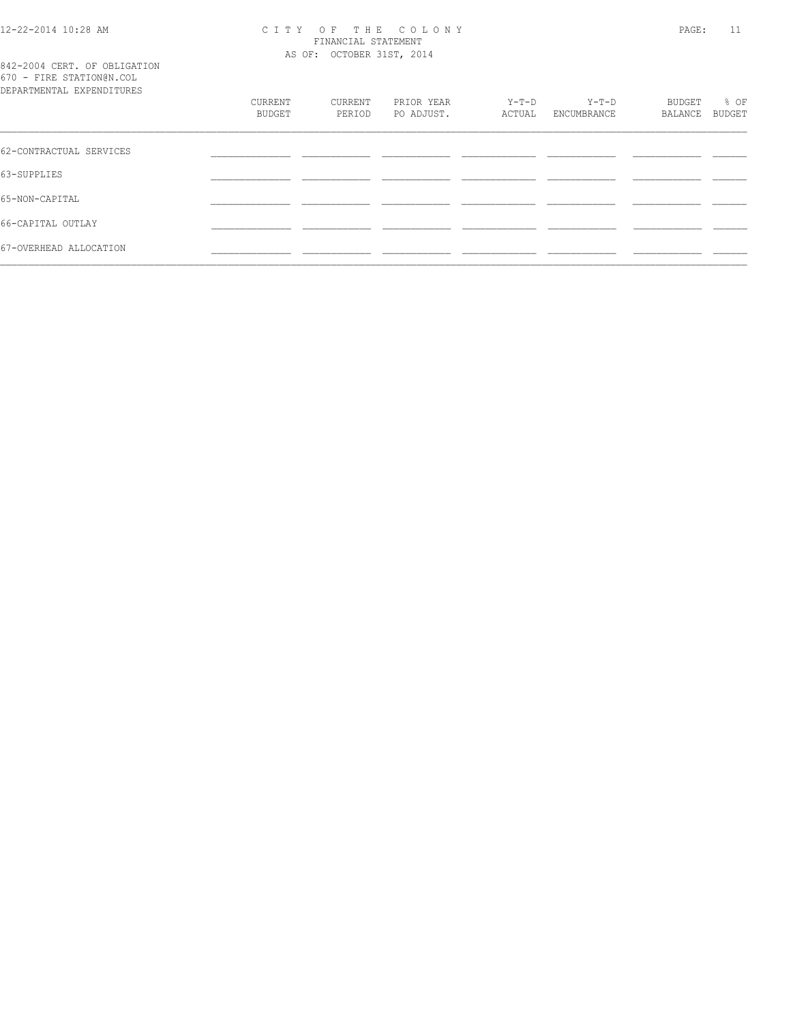### 12-22-2014 10:28 AM C I T Y O F T H E C O L O N Y PAGE: 11 FINANCIAL STATEMENT AS OF: OCTOBER 31ST, 2014

842-2004 CERT. OF OBLIGATION 670 - FIRE STATION@N.COL

| BUDGET  |
|---------|
|         |
|         |
|         |
|         |
|         |
| BALANCE |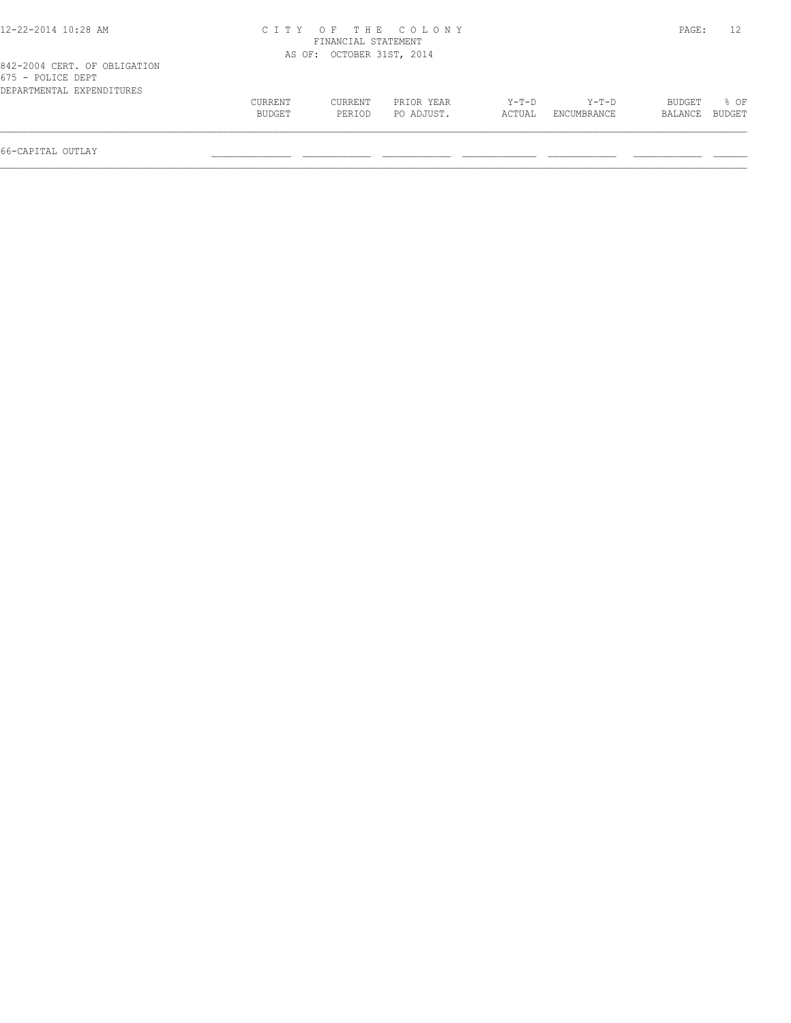| 12-22-2014 10:28 AM                                                            |                   | FINANCIAL STATEMENT       | CITY OF THE COLONY       |                   |                      | PAGE:             |                  |
|--------------------------------------------------------------------------------|-------------------|---------------------------|--------------------------|-------------------|----------------------|-------------------|------------------|
|                                                                                |                   |                           |                          |                   |                      |                   |                  |
|                                                                                |                   | AS OF: OCTOBER 31ST, 2014 |                          |                   |                      |                   |                  |
| 842-2004 CERT. OF OBLIGATION<br>675 - POLICE DEPT<br>DEPARTMENTAL EXPENDITURES |                   |                           |                          |                   |                      |                   |                  |
|                                                                                | CURRENT<br>BUDGET | CURRENT<br>PERIOD         | PRIOR YEAR<br>PO ADJUST. | $Y-T-D$<br>ACTUAL | Y-T-D<br>ENCUMBRANCE | BUDGET<br>BALANCE | $8$ OF<br>BUDGET |

 $\mathcal{L} = \{ \mathcal{L} = \{ \mathcal{L} = \{ \mathcal{L} = \{ \mathcal{L} = \{ \mathcal{L} = \{ \mathcal{L} = \{ \mathcal{L} = \{ \mathcal{L} = \{ \mathcal{L} = \{ \mathcal{L} = \{ \mathcal{L} = \{ \mathcal{L} = \{ \mathcal{L} = \{ \mathcal{L} = \{ \mathcal{L} = \{ \mathcal{L} = \{ \mathcal{L} = \{ \mathcal{L} = \{ \mathcal{L} = \{ \mathcal{L} = \{ \mathcal{L} = \{ \mathcal{L} = \{ \mathcal{L} = \{ \mathcal{$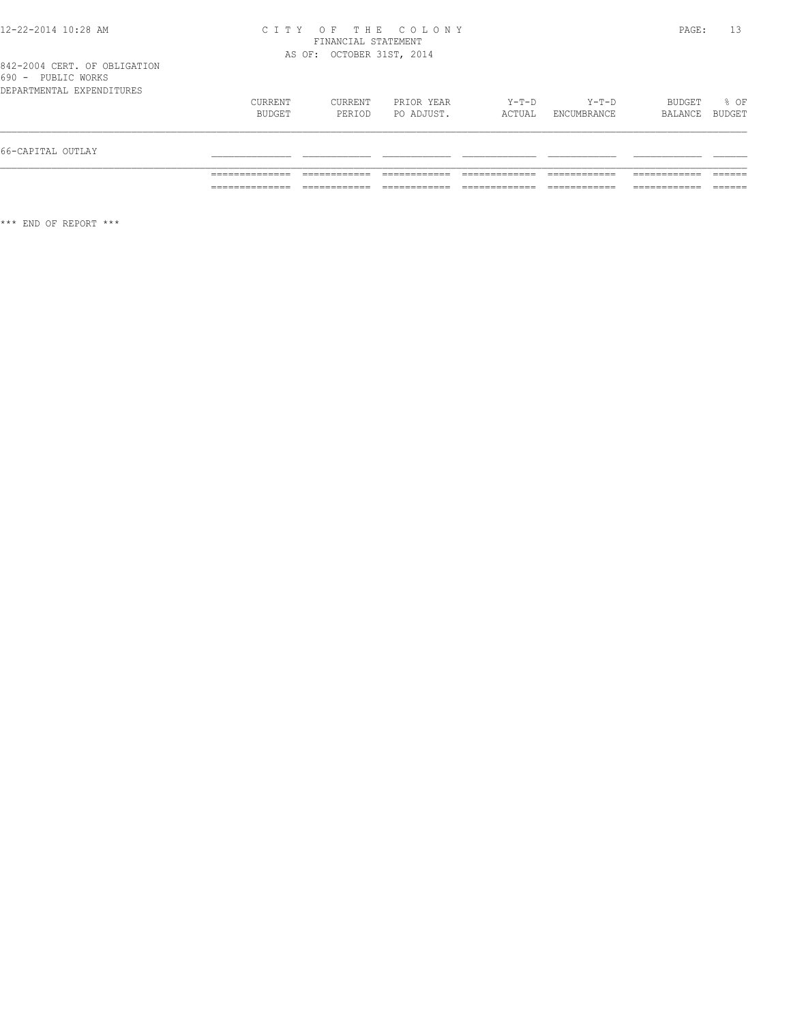### 12-22-2014 10:28 AM C I T Y O F T H E C O L O N Y PAGE: 13 FINANCIAL STATEMENT AS OF: OCTOBER 31ST, 2014

| 66-CAPITAL OUTLAY             |                   |                   |                          |                 |                      |                          |      |
|-------------------------------|-------------------|-------------------|--------------------------|-----------------|----------------------|--------------------------|------|
| DEPARTMENTAL EXPENDITURES     | CURRENT<br>BUDGET | CURRENT<br>PERIOD | PRIOR YEAR<br>PO ADJUST. | Y-T-D<br>ACTUAL | Y-T-D<br>ENCUMBRANCE | BUDGET<br>BALANCE BUDGET | % OF |
| $\cup$ $\cup$<br>LUDILU WUINU |                   |                   |                          |                 |                      |                          |      |

\*\*\* END OF REPORT \*\*\*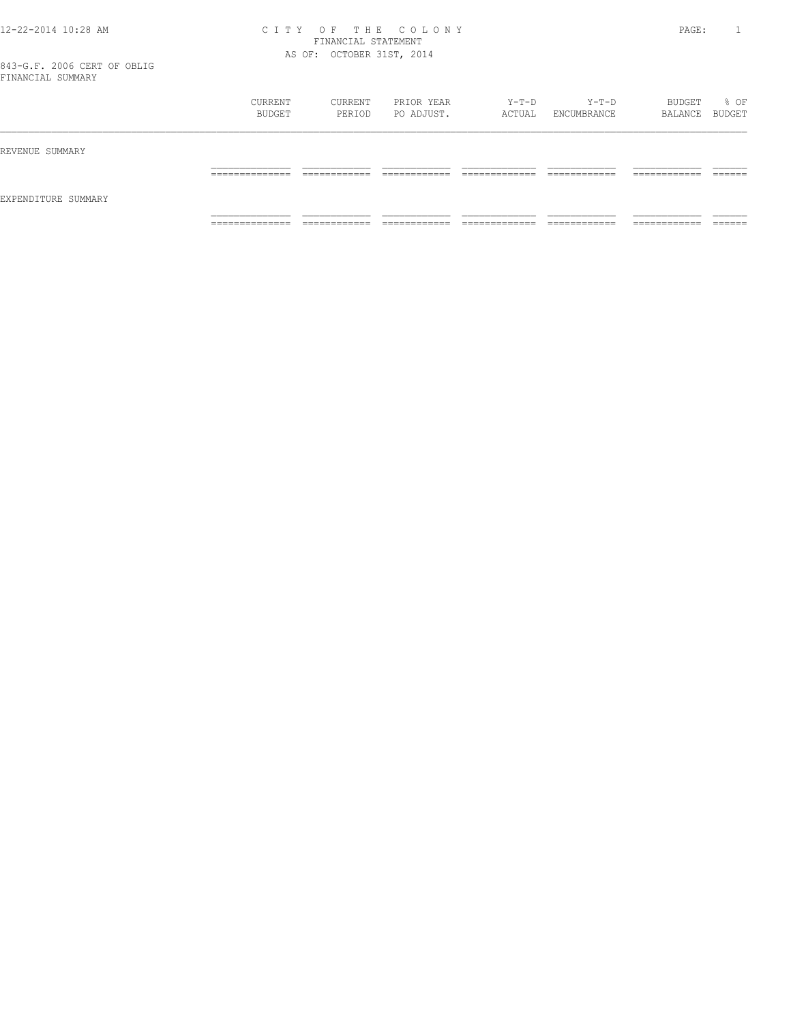### 12-22-2014 10:28 AM C I T Y O F T H E C O L O N Y PAGE: 1 FINANCIAL STATEMENT AS OF: OCTOBER 31ST, 2014

|                     | CURRENT<br>BUDGET                 | CURRENT<br>PERIOD            | PRIOR YEAR<br>PO ADJUST.   | Y-T-D<br>ACTUAL                | Y-T-D<br>ENCUMBRANCE         | BUDGET<br>BALANCE BUDGET      | % OF               |
|---------------------|-----------------------------------|------------------------------|----------------------------|--------------------------------|------------------------------|-------------------------------|--------------------|
| REVENUE SUMMARY     |                                   |                              |                            |                                |                              |                               |                    |
|                     | ______________<br>_______________ | ____________<br>____________ | -------------<br>_________ | _____________<br>_____________ | ____________<br>____________ | -------------<br>____________ | -------<br>_______ |
| EXPENDITURE SUMMARY |                                   |                              |                            |                                |                              |                               |                    |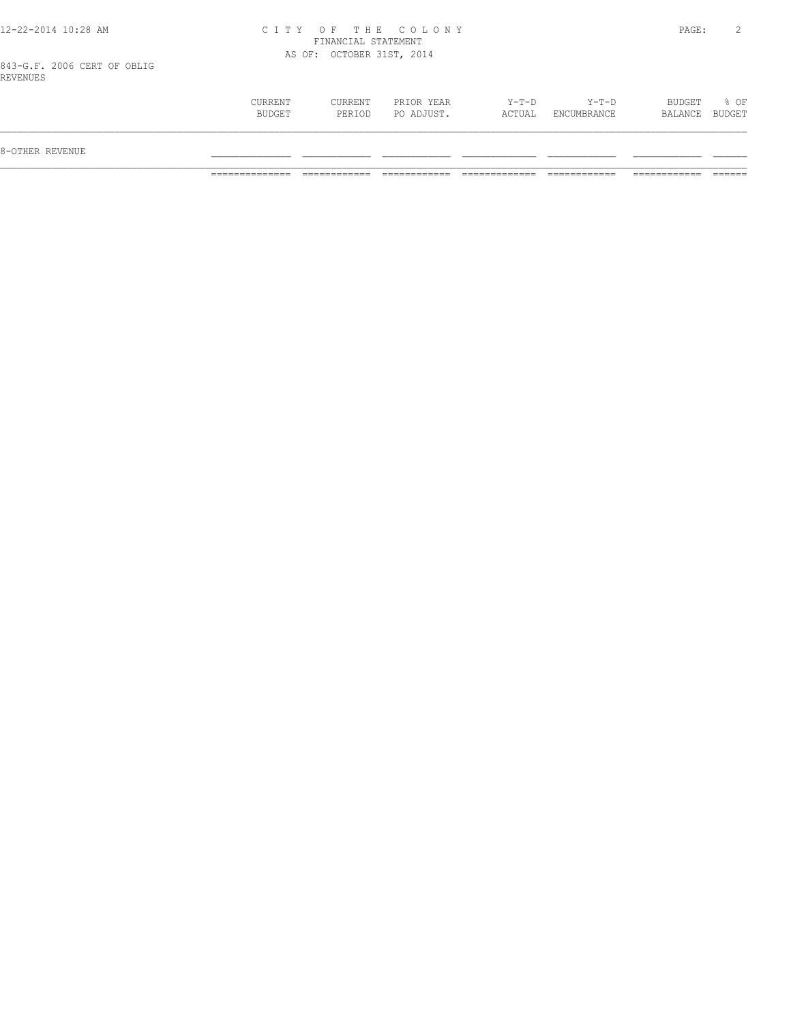## 12-22-2014 10:28 AM C I T Y O F T H E C O L O N Y PAGE: 2 FINANCIAL STATEMENT AS OF: OCTOBER 31ST, 2014

843-G.F. 2006 CERT OF OBLIG REVENUES

| 8-OTHER REVENUE |                   |                          |                          |                   |                      |                          |        |
|-----------------|-------------------|--------------------------|--------------------------|-------------------|----------------------|--------------------------|--------|
|                 | CURRENT<br>BUDGET | <b>CURRENT</b><br>PERIOD | PRIOR YEAR<br>PO ADJUST. | $Y-T-D$<br>ACTUAL | Y-T-D<br>ENCUMBRANCE | BUDGET<br>BALANCE BUDGET | $8$ OF |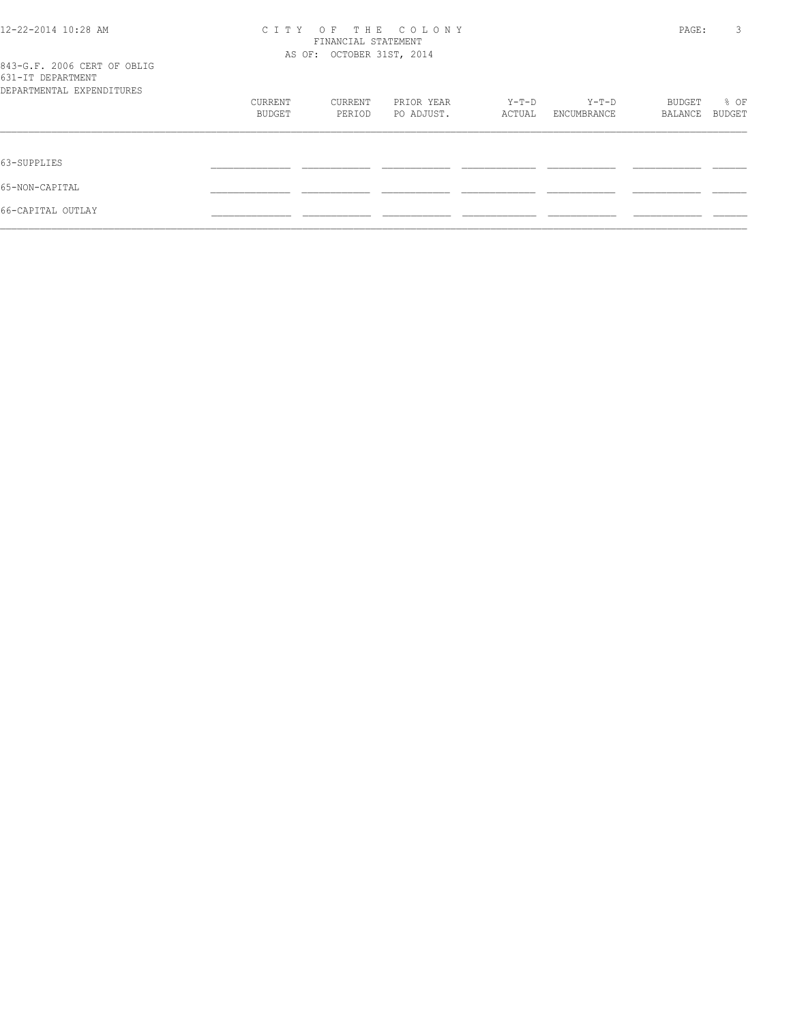| 12-22-2014 10:28 AM                                                           | OF THE COLONY<br>C T T Y<br>FINANCIAL STATEMENT<br>AS OF: OCTOBER 31ST, 2014 |         |            |        |             | PAGE:   | 3             |
|-------------------------------------------------------------------------------|------------------------------------------------------------------------------|---------|------------|--------|-------------|---------|---------------|
| 843-G.F. 2006 CERT OF OBLIG<br>631-IT DEPARTMENT<br>DEPARTMENTAL EXPENDITURES |                                                                              |         |            |        |             |         |               |
|                                                                               | CURRENT                                                                      | CURRENT | PRIOR YEAR | Y-T-D  | Y-T-D       | BUDGET  | % OF          |
|                                                                               | BUDGET                                                                       | PERIOD  | PO ADJUST. | ACTUAL | ENCUMBRANCE | BALANCE | <b>BUDGET</b> |
| 63-SUPPLIES                                                                   |                                                                              |         |            |        |             |         |               |
| 65-NON-CAPITAL                                                                |                                                                              |         |            |        |             |         |               |
| 66-CAPITAL OUTLAY                                                             |                                                                              |         |            |        |             |         |               |
|                                                                               |                                                                              |         |            |        |             |         |               |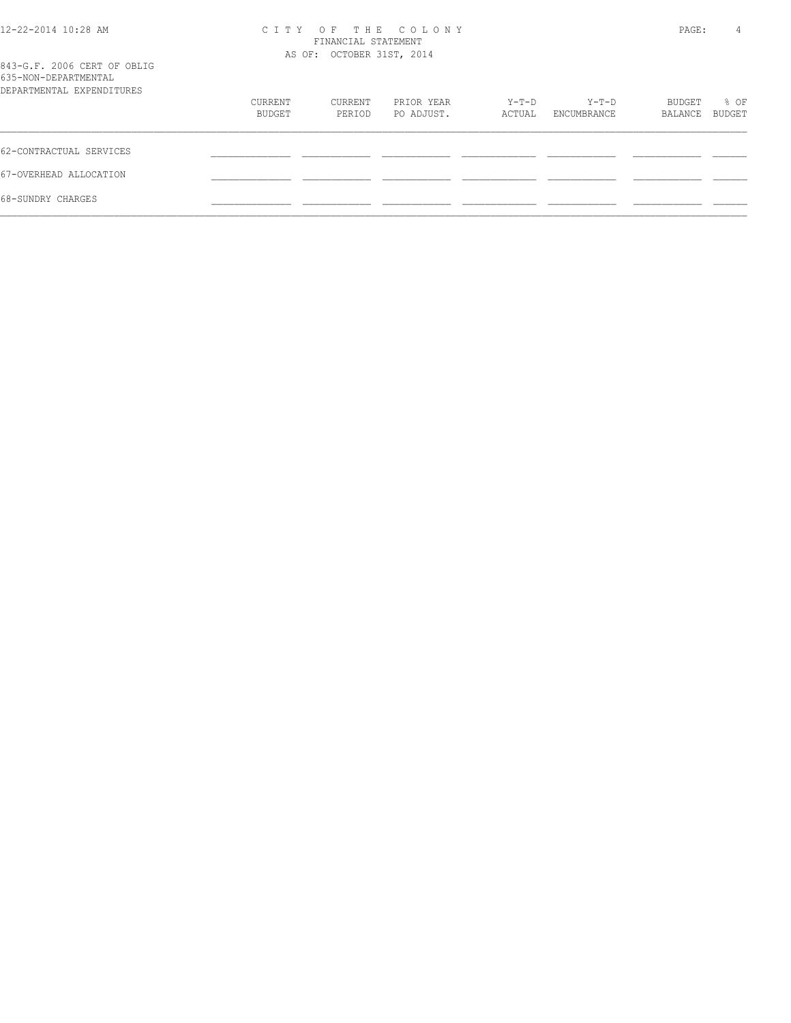| 12-22-2014 10:28 AM                                                              | C T T Y<br>AS OF: OCTOBER 31ST, 2014 |                   | PAGE:                    |                 |                      |                   |                |
|----------------------------------------------------------------------------------|--------------------------------------|-------------------|--------------------------|-----------------|----------------------|-------------------|----------------|
| 843-G.F. 2006 CERT OF OBLIG<br>635-NON-DEPARTMENTAL<br>DEPARTMENTAL EXPENDITURES |                                      |                   |                          |                 |                      |                   |                |
|                                                                                  | CURRENT<br>BUDGET                    | CURRENT<br>PERIOD | PRIOR YEAR<br>PO ADJUST. | Y-T-D<br>ACTUAL | Y-T-D<br>ENCUMBRANCE | BUDGET<br>BALANCE | % OF<br>BUDGET |
| 62-CONTRACTUAL SERVICES                                                          |                                      |                   |                          |                 |                      |                   |                |
| 67-OVERHEAD ALLOCATION                                                           |                                      |                   |                          |                 |                      |                   |                |
| 68-SUNDRY CHARGES                                                                |                                      |                   |                          |                 |                      |                   |                |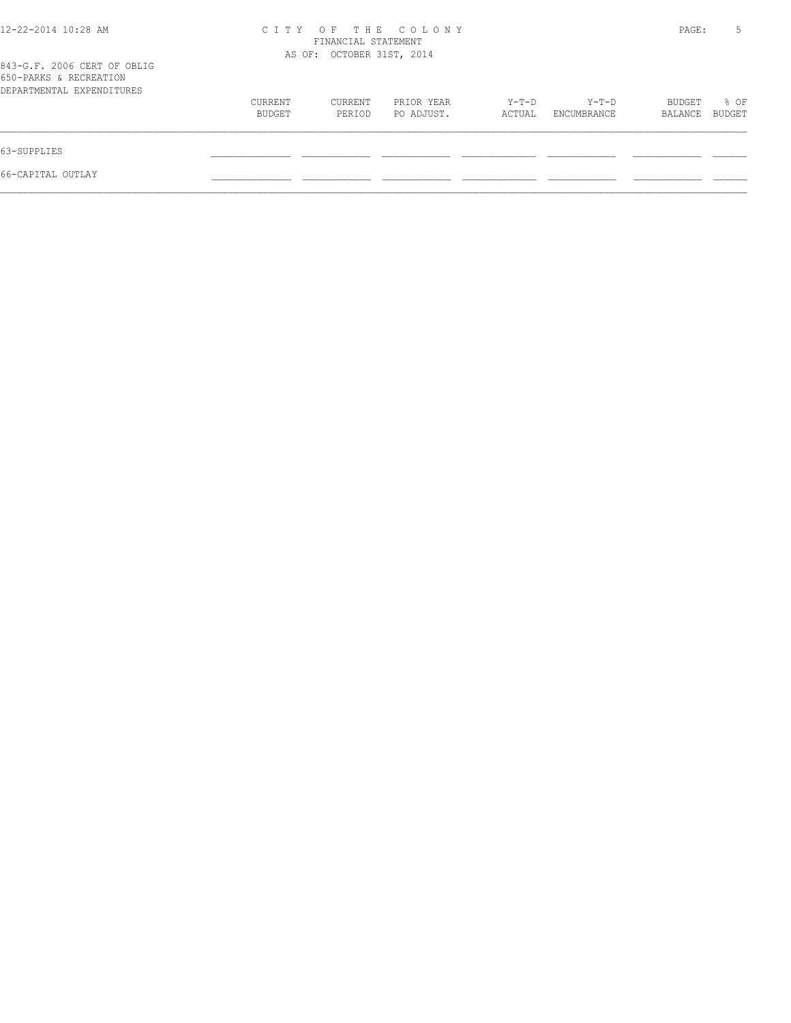| 12-22-2014 10:28 AM                                                                | THE COLONY<br>CITY OF<br>FINANCIAL STATEMENT<br>AS OF: OCTOBER 31ST, 2014 |                   |                          |                   |                        |                   | 5              |
|------------------------------------------------------------------------------------|---------------------------------------------------------------------------|-------------------|--------------------------|-------------------|------------------------|-------------------|----------------|
| 843-G.F. 2006 CERT OF OBLIG<br>650-PARKS & RECREATION<br>DEPARTMENTAL EXPENDITURES |                                                                           |                   |                          |                   |                        |                   |                |
|                                                                                    | CURRENT<br>BUDGET                                                         | CURRENT<br>PERIOD | PRIOR YEAR<br>PO ADJUST. | $Y-T-D$<br>ACTUAL | $Y-T-D$<br>ENCUMBRANCE | BUDGET<br>BALANCE | % OF<br>BUDGET |
| 63-SUPPLIES                                                                        |                                                                           |                   |                          |                   |                        |                   |                |
| 66-CAPITAL OUTLAY                                                                  |                                                                           |                   |                          |                   |                        |                   |                |
|                                                                                    |                                                                           |                   |                          |                   |                        |                   |                |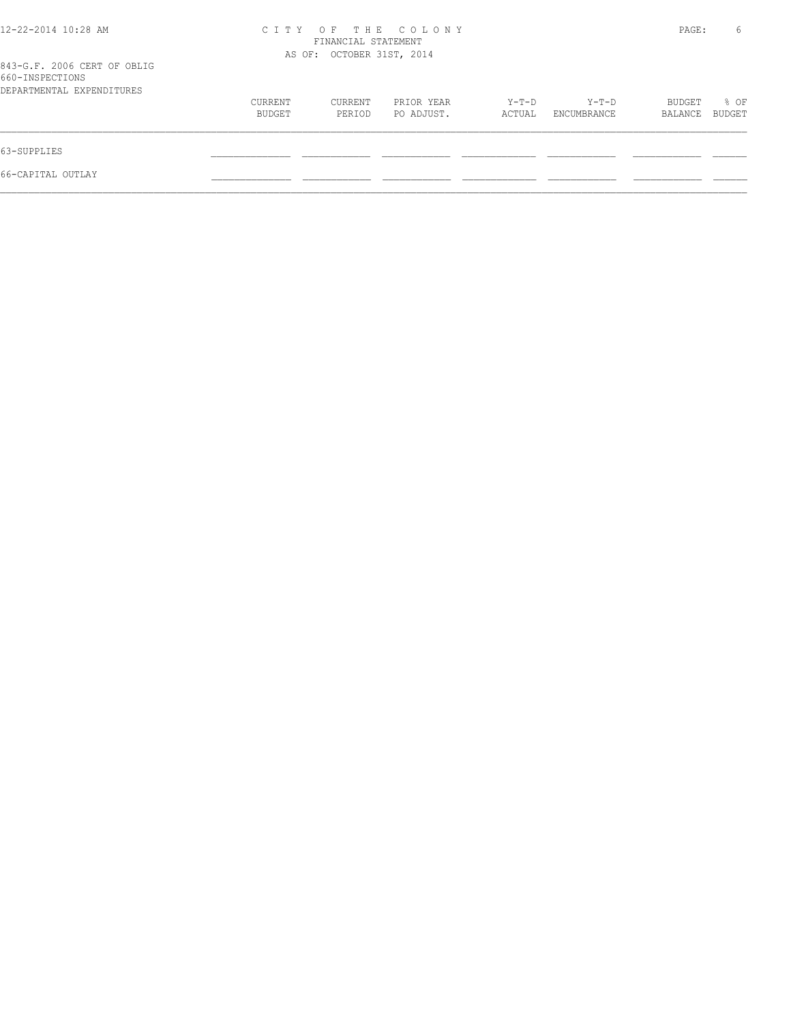| 12-22-2014 10:28 AM                            | OF THE COLONY<br>C T T Y<br>FINANCIAL STATEMENT<br>AS OF: OCTOBER 31ST, 2014 |         |            |        |             | PAGE:   | 6      |
|------------------------------------------------|------------------------------------------------------------------------------|---------|------------|--------|-------------|---------|--------|
| 843-G.F. 2006 CERT OF OBLIG<br>660-INSPECTIONS |                                                                              |         |            |        |             |         |        |
| DEPARTMENTAL EXPENDITURES                      |                                                                              |         |            |        |             |         |        |
|                                                | CURRENT                                                                      | CURRENT | PRIOR YEAR | Y-T-D  | Y-T-D       | BUDGET  | % OF   |
|                                                | BUDGET                                                                       | PERIOD  | PO ADJUST. | ACTUAL | ENCUMBRANCE | BALANCE | BUDGET |
| 63-SUPPLIES                                    |                                                                              |         |            |        |             |         |        |
| 66-CAPITAL OUTLAY                              |                                                                              |         |            |        |             |         |        |
|                                                |                                                                              |         |            |        |             |         |        |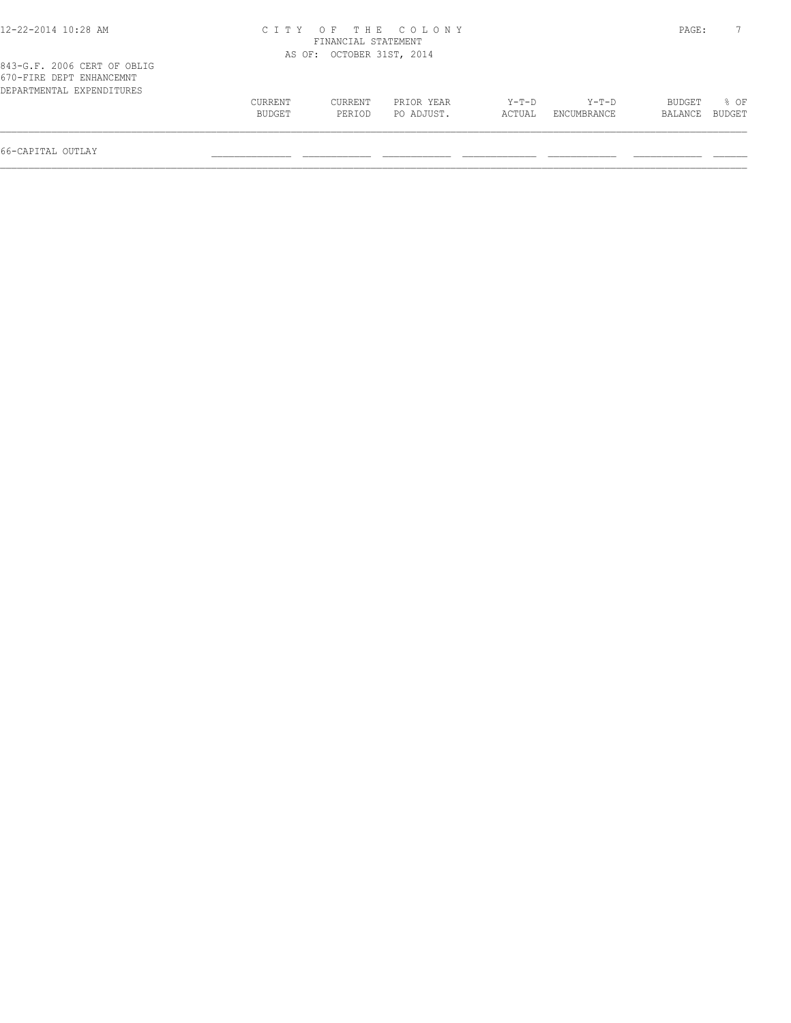| CURRENT<br>BUDGET | CURRENT<br>PERIOD | PRIOR YEAR<br>PO ADJUST. | $Y-T-D$<br>ACTUAL                                                      | $Y-T-D$<br>ENCUMBRANCE | BUDGET<br>BALANCE | $8$ OF<br>BUDGET |
|-------------------|-------------------|--------------------------|------------------------------------------------------------------------|------------------------|-------------------|------------------|
|                   |                   |                          | CITY OF THE COLONY<br>FINANCIAL STATEMENT<br>AS OF: OCTOBER 31ST, 2014 |                        |                   | PAGE:            |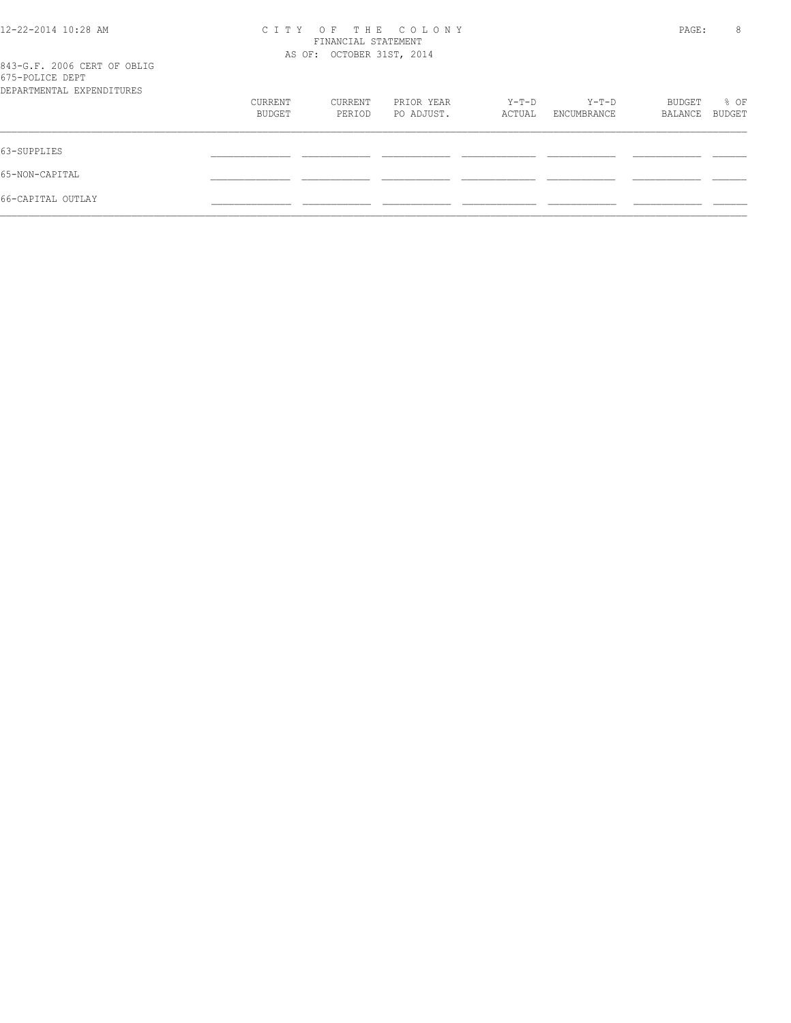| $12 - 22 - 2014$ $10:28$ AM<br>843-G.F. 2006 CERT OF OBLIG<br>675-POLICE DEPT | T H E<br>C T T Y<br>$O$ F<br>COLONY<br>FINANCIAL STATEMENT<br>AS OF: OCTOBER 31ST, 2014 |                   |                          |                 |                        | PAGE:             |                |  |
|-------------------------------------------------------------------------------|-----------------------------------------------------------------------------------------|-------------------|--------------------------|-----------------|------------------------|-------------------|----------------|--|
| DEPARTMENTAL EXPENDITURES                                                     | CURRENT<br>BUDGET                                                                       | CURRENT<br>PERIOD | PRIOR YEAR<br>PO ADJUST. | Y-T-D<br>ACTUAL | $Y-T-D$<br>ENCUMBRANCE | BUDGET<br>BALANCE | % OF<br>BUDGET |  |
| 63-SUPPLIES                                                                   |                                                                                         |                   |                          |                 |                        |                   |                |  |
| 65-NON-CAPITAL                                                                |                                                                                         |                   |                          |                 |                        |                   |                |  |
| 66-CAPITAL OUTLAY                                                             |                                                                                         |                   |                          |                 |                        |                   |                |  |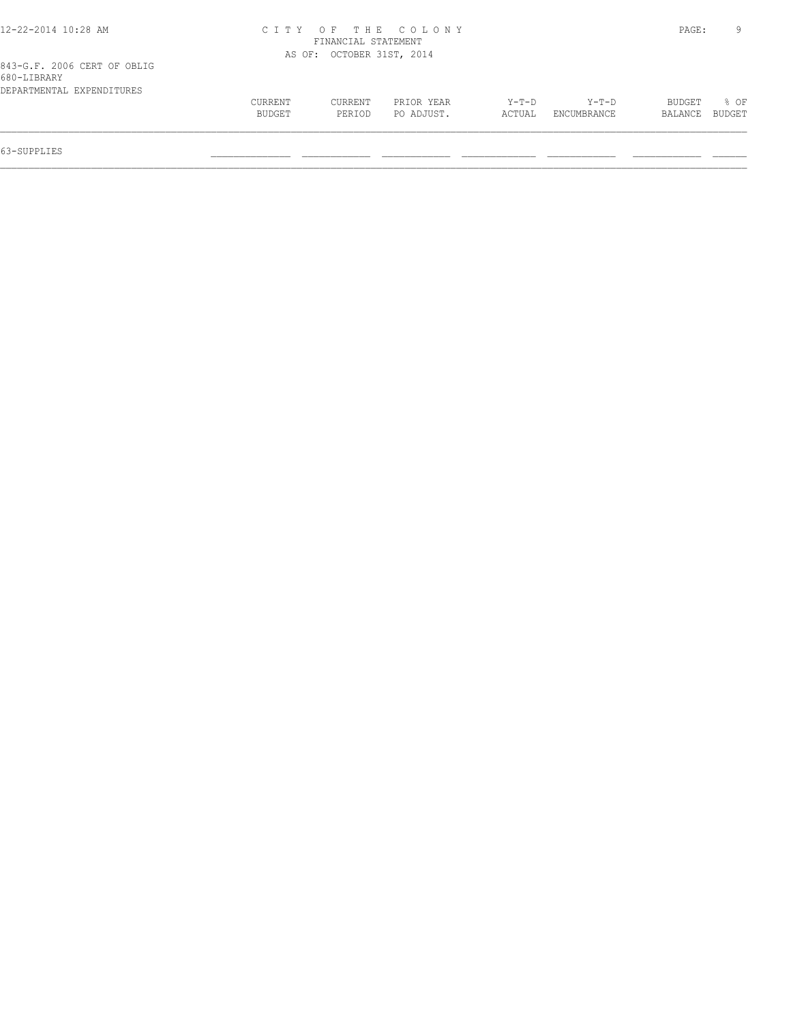| 12-22-2014 10:28 AM         |                     |                           | CITY OF THE COLONY |        |             | PAGE:   |        |
|-----------------------------|---------------------|---------------------------|--------------------|--------|-------------|---------|--------|
|                             | FINANCIAL STATEMENT |                           |                    |        |             |         |        |
|                             |                     | AS OF: OCTOBER 31ST, 2014 |                    |        |             |         |        |
| 843-G.F. 2006 CERT OF OBLIG |                     |                           |                    |        |             |         |        |
| 680-LIBRARY                 |                     |                           |                    |        |             |         |        |
| DEPARTMENTAL EXPENDITURES   |                     |                           |                    |        |             |         |        |
|                             | CURRENT             | CURRENT                   | PRIOR YEAR         | Y-T-D  | Y-T-D       | BUDGET  | 8 OF   |
|                             | BUDGET              | PERIOD                    | PO ADJUST.         | ACTUAL | ENCUMBRANCE | BALANCE | BUDGET |
|                             |                     |                           |                    |        |             |         |        |
|                             |                     |                           |                    |        |             |         |        |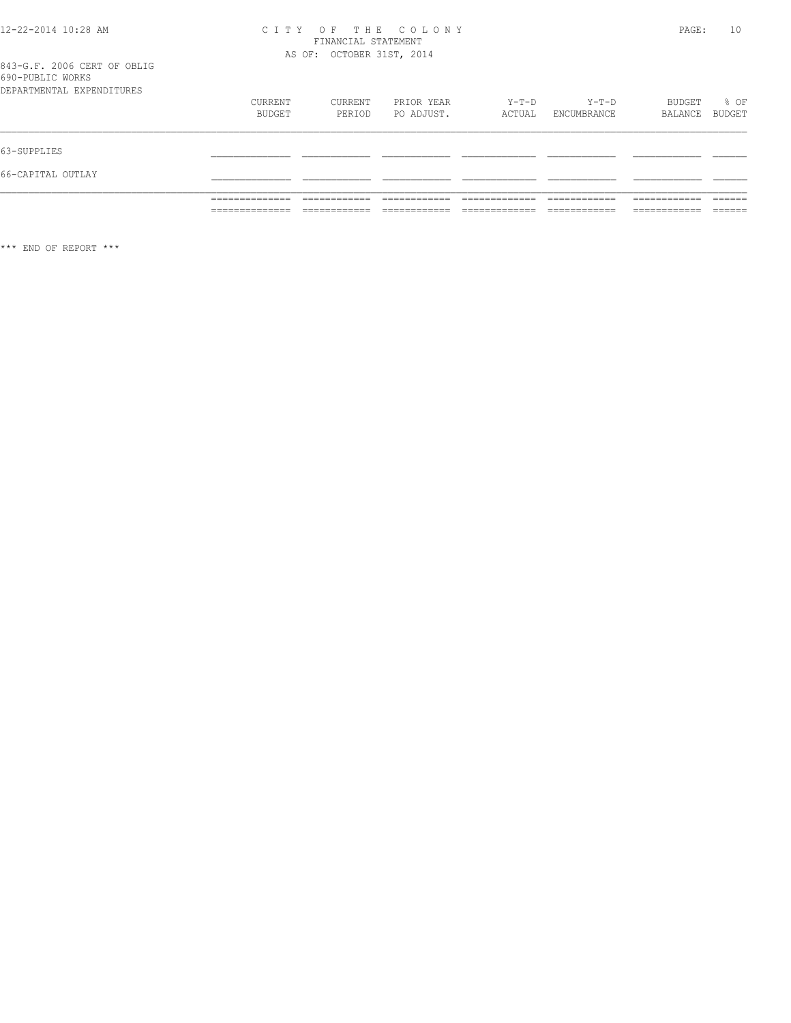# CITY OF THE COLONY<br>
FINANCIAL STATEMENT<br>
AS OF: OCTOBER 31ST, 2014

843-G.F. 2006 CERT OF OBLIG<br>690-PUBLIC WORKS

|                           | ______________<br>______________ | _____________                | ____________               | _____________<br>_____________ | ____________<br>____________ | ____________<br>____________  | -------<br>_______ |
|---------------------------|----------------------------------|------------------------------|----------------------------|--------------------------------|------------------------------|-------------------------------|--------------------|
|                           | _____________<br>______________  | ____________<br>____________ | __________<br>____________ | _____________                  | ____________<br>____________ | -------------<br>____________ | -------<br>______  |
| 66-CAPITAL OUTLAY         |                                  |                              |                            |                                |                              |                               |                    |
| 63-SUPPLIES               |                                  |                              |                            |                                |                              |                               |                    |
|                           |                                  |                              |                            |                                |                              |                               |                    |
|                           | CURRENT<br>BUDGET                | CURRENT<br>PERIOD            | PRIOR YEAR<br>PO ADJUST.   | Y-T-D<br>ACTUAL                | $Y-T-D$<br>ENCUMBRANCE       | BUDGET<br>BALANCE             | % OF<br>BUDGET     |
| DEPARTMENTAL EXPENDITURES |                                  |                              |                            |                                |                              |                               |                    |
| OPU LODDIC NOIGO          |                                  |                              |                            |                                |                              |                               |                    |

 $***$  END OF REPORT  $***$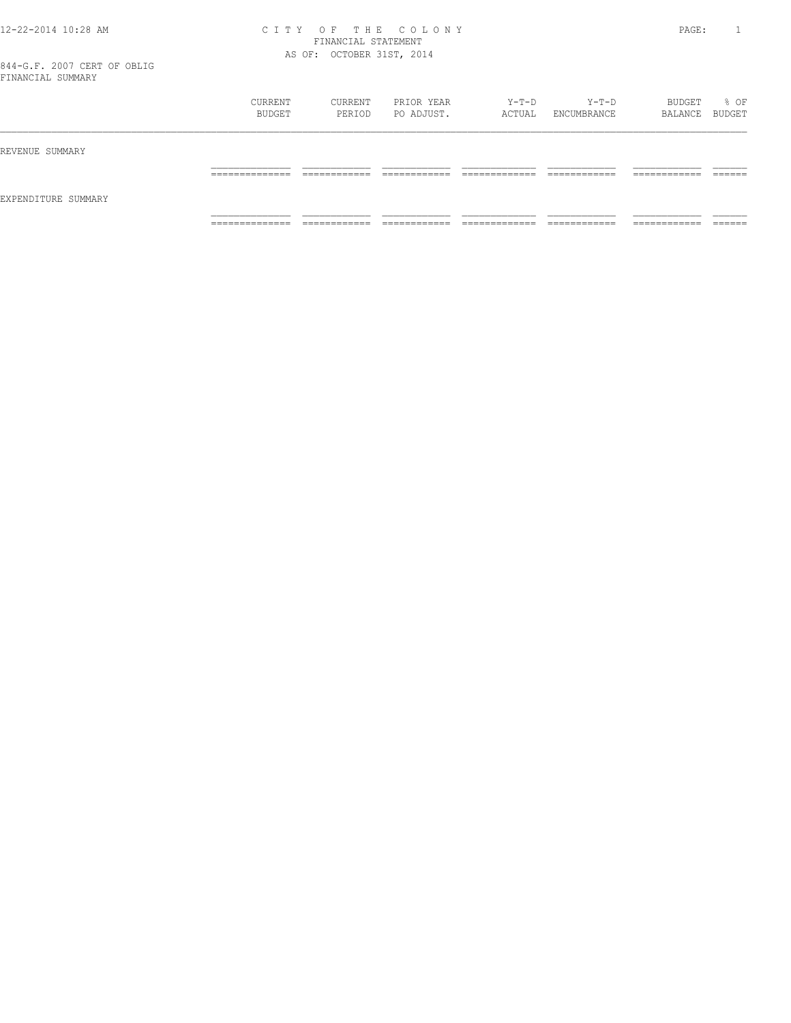### 12-22-2014 10:28 AM C I T Y O F T H E C O L O N Y PAGE: 1 FINANCIAL STATEMENT AS OF: OCTOBER 31ST, 2014

|                     | CURRENT<br>BUDGET   | CURRENT<br>PERIOD           | PRIOR YEAR<br>PO ADJUST.    | Y-T-D<br>ACTUAL    | Y-T-D<br>ENCUMBRANCE         | BUDGET<br>BALANCE BUDGET      | % OF                 |
|---------------------|---------------------|-----------------------------|-----------------------------|--------------------|------------------------------|-------------------------------|----------------------|
| REVENUE SUMMARY     |                     |                             |                             |                    |                              |                               |                      |
|                     | ______________<br>. |                             |                             |                    | ____________<br>____________ | -------------<br>____________ | $- - - - -$<br>_____ |
| EXPENDITURE SUMMARY |                     |                             |                             |                    |                              |                               |                      |
|                     | ______________<br>. | ____________<br>----------- | ____________<br>----------- | _____________<br>. | ____________<br>.            | ------------<br>-----------   | _______              |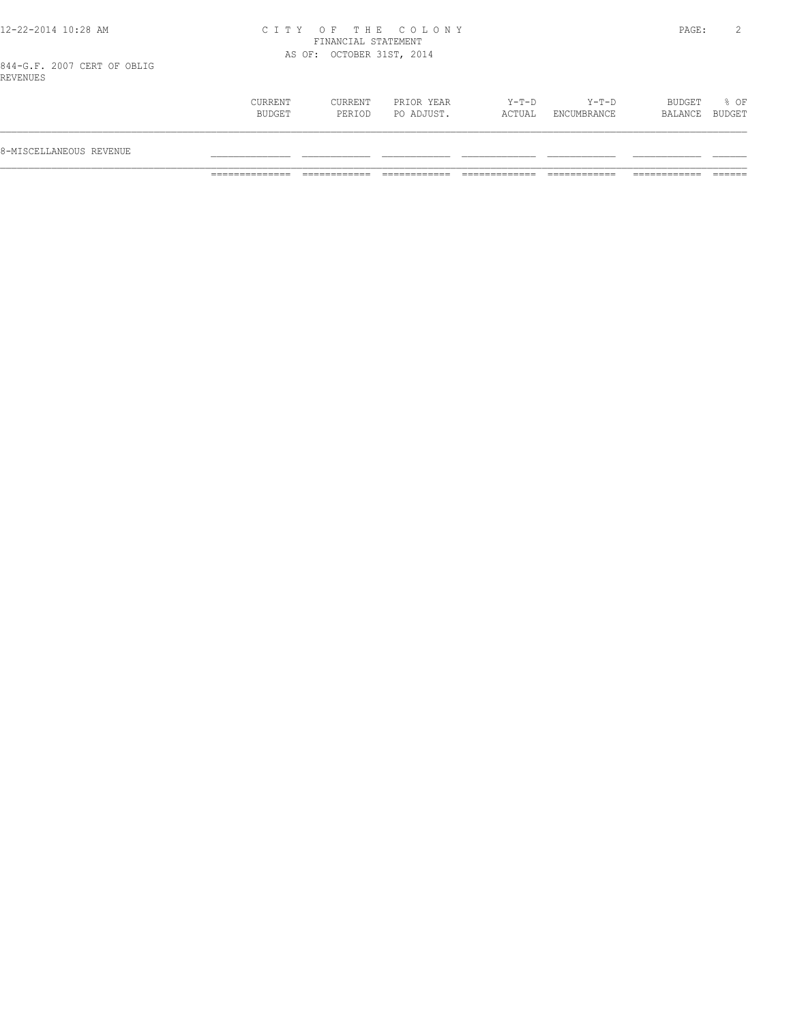## 12-22-2014 10:28 AM C I T Y O F T H E C O L O N Y PAGE: 2 FINANCIAL STATEMENT AS OF: OCTOBER 31ST, 2014

| % OF<br>CURRENT<br>BUDGET<br>CURRENT<br>PRIOR YEAR<br>$Y-T-D$<br>Y-T-D<br>BUDGET<br>PO ADJUST.<br>BALANCE BUDGET<br>ACTUAL<br>ENCUMBRANCE<br>PERIOD |                         |  |  |  |  |
|-----------------------------------------------------------------------------------------------------------------------------------------------------|-------------------------|--|--|--|--|
|                                                                                                                                                     | 8-MISCELLANEOUS REVENUE |  |  |  |  |
|                                                                                                                                                     |                         |  |  |  |  |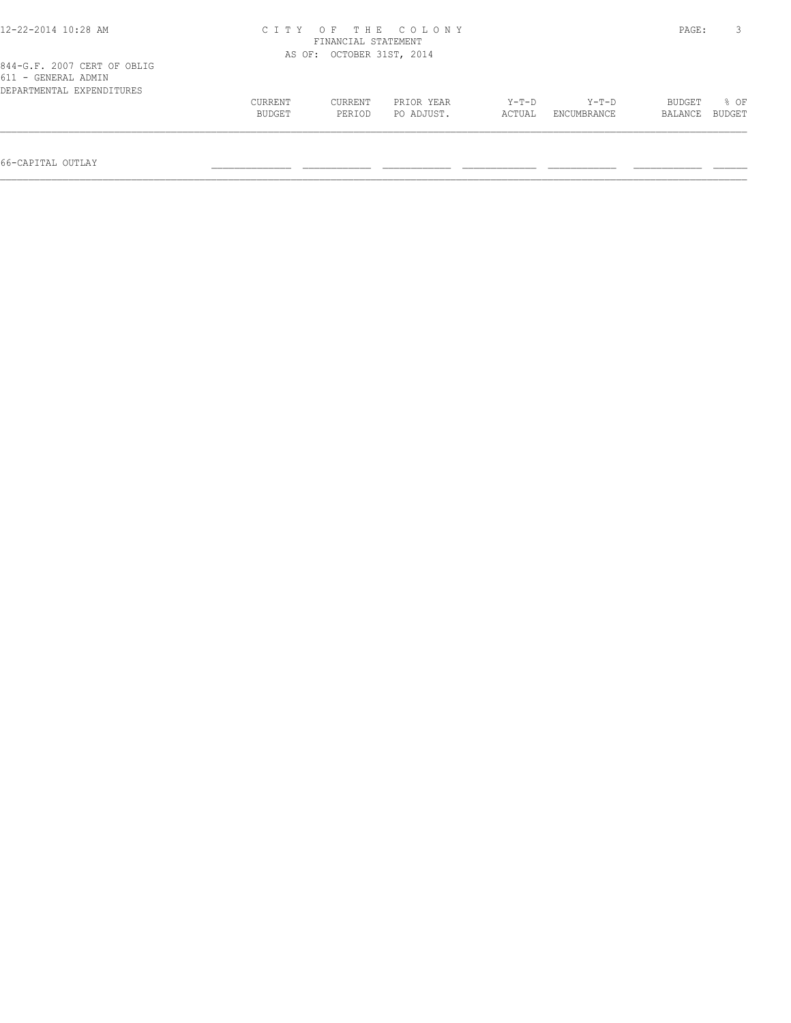| 12-22-2014 10:28 AM                                                             | CITY OF THE COLONY<br>FINANCIAL STATEMENT |                   |                          |                   |                        |                   |                |  |
|---------------------------------------------------------------------------------|-------------------------------------------|-------------------|--------------------------|-------------------|------------------------|-------------------|----------------|--|
|                                                                                 | AS OF: OCTOBER 31ST, 2014                 |                   |                          |                   |                        |                   |                |  |
| 844-G.F. 2007 CERT OF OBLIG<br>611 - GENERAL ADMIN<br>DEPARTMENTAL EXPENDITURES |                                           |                   |                          |                   |                        |                   |                |  |
|                                                                                 | <b>CURRENT</b><br>BUDGET                  | CURRENT<br>PERIOD | PRIOR YEAR<br>PO ADJUST. | $Y-T-D$<br>ACTUAL | $Y-T-D$<br>ENCUMBRANCE | BUDGET<br>BALANCE | 8 OF<br>BUDGET |  |
|                                                                                 |                                           |                   |                          |                   |                        |                   |                |  |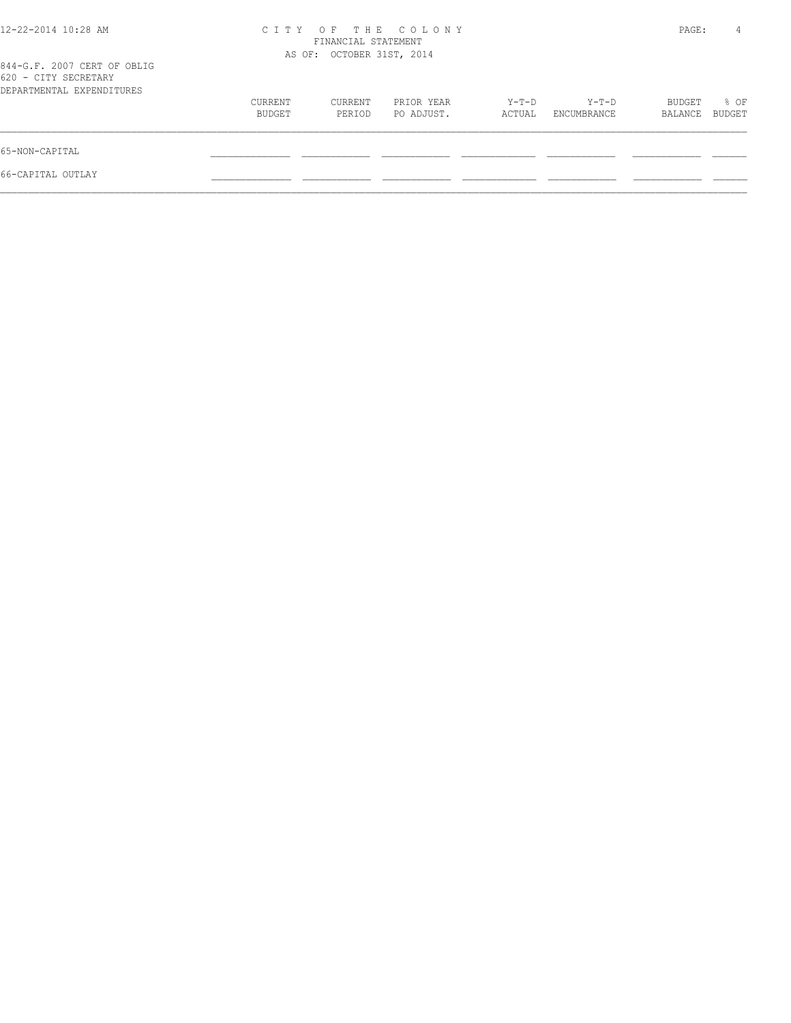| 12-22-2014 10:28 AM                                                              | CITY OF THE COLONY<br>FINANCIAL STATEMENT<br>AS OF: OCTOBER 31ST, 2014 |                   |                          |                 |                      |                   | 4              |
|----------------------------------------------------------------------------------|------------------------------------------------------------------------|-------------------|--------------------------|-----------------|----------------------|-------------------|----------------|
| 844-G.F. 2007 CERT OF OBLIG<br>620 - CITY SECRETARY<br>DEPARTMENTAL EXPENDITURES |                                                                        |                   |                          |                 |                      |                   |                |
|                                                                                  | CURRENT<br>BUDGET                                                      | CURRENT<br>PERIOD | PRIOR YEAR<br>PO ADJUST. | Y-T-D<br>ACTUAL | Y-T-D<br>ENCUMBRANCE | BUDGET<br>BALANCE | % OF<br>BUDGET |
| 65-NON-CAPITAL                                                                   |                                                                        |                   |                          |                 |                      |                   |                |
| 66-CAPITAL OUTLAY                                                                |                                                                        |                   |                          |                 |                      |                   |                |
|                                                                                  |                                                                        |                   |                          |                 |                      |                   |                |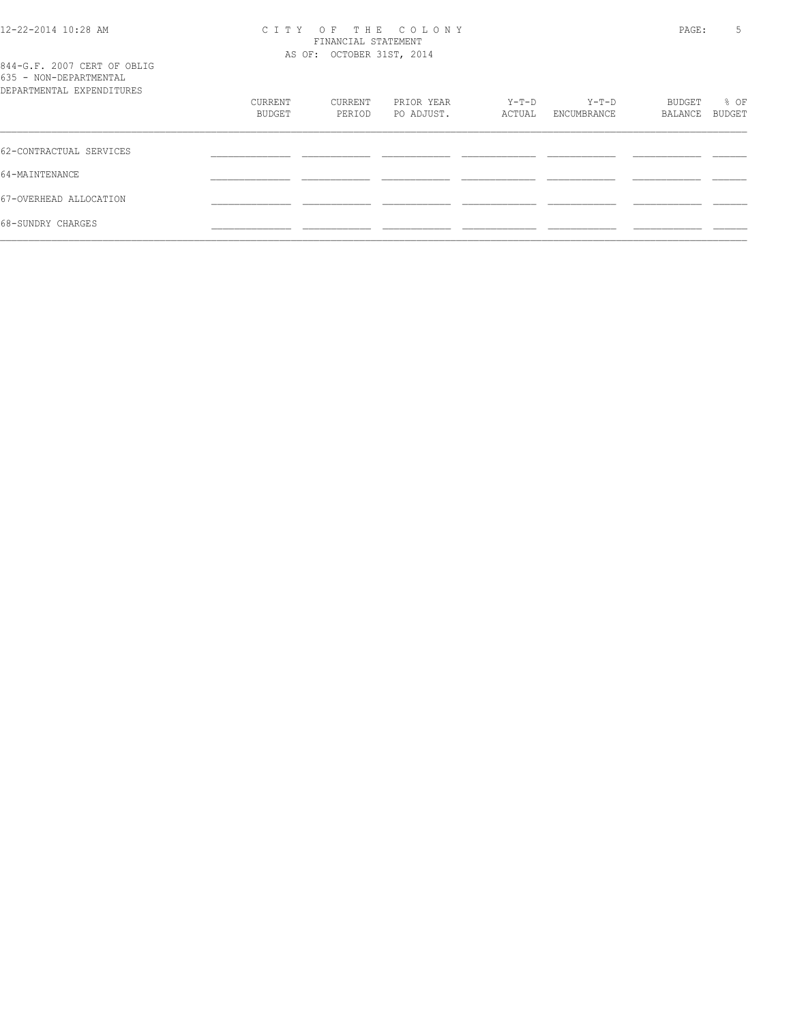### 12-22-2014 10:28 AM C I T Y O F T H E C O L O N Y PAGE: 5 FINANCIAL STATEMENT AS OF: OCTOBER 31ST, 2014

| 844-G.F. 2007 CERT OF OBLIG<br>635 - NON-DEPARTMENTAL<br>DEPARTMENTAL EXPENDITURES |                   |                   |                          |                   |                        |                          |                       |
|------------------------------------------------------------------------------------|-------------------|-------------------|--------------------------|-------------------|------------------------|--------------------------|-----------------------|
|                                                                                    | CURRENT<br>BUDGET | CURRENT<br>PERIOD | PRIOR YEAR<br>PO ADJUST. | $Y-T-D$<br>ACTUAL | $Y-T-D$<br>ENCUMBRANCE | <b>BUDGET</b><br>BALANCE | % OF<br><b>BUDGET</b> |
| 62-CONTRACTUAL SERVICES                                                            |                   |                   |                          |                   |                        |                          |                       |

| 62-CONTRACTUAL SERVICES |  |  |  |  |
|-------------------------|--|--|--|--|
| 64-MAINTENANCE          |  |  |  |  |
| 67-OVERHEAD ALLOCATION  |  |  |  |  |
| 68-SUNDRY CHARGES       |  |  |  |  |
|                         |  |  |  |  |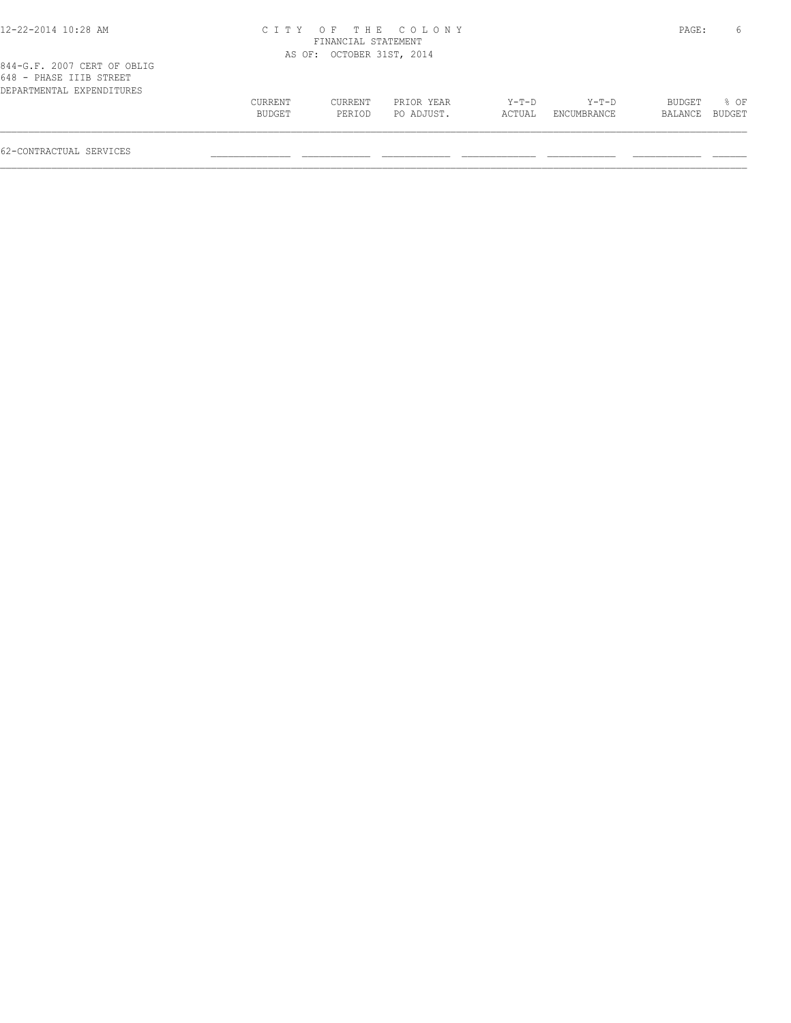| 12-22-2014 10:28 AM                                                                 |         |                           | CITY OF THE COLONY |         |             | PAGE:   | 6      |
|-------------------------------------------------------------------------------------|---------|---------------------------|--------------------|---------|-------------|---------|--------|
|                                                                                     |         | FINANCIAL STATEMENT       |                    |         |             |         |        |
|                                                                                     |         | AS OF: OCTOBER 31ST, 2014 |                    |         |             |         |        |
| 844-G.F. 2007 CERT OF OBLIG<br>648 - PHASE IIIB STREET<br>DEPARTMENTAL EXPENDITURES |         |                           |                    |         |             |         |        |
|                                                                                     | CURRENT | CURRENT                   | PRIOR YEAR         | $Y-T-D$ | Y-T-D       | BUDGET  | 8 OF   |
|                                                                                     | BUDGET  | PERIOD                    | PO ADJUST.         | ACTUAL  | ENCUMBRANCE | BALANCE | BUDGET |
|                                                                                     |         |                           |                    |         |             |         |        |

62-CONTRACTUAL SERVICES \_\_\_\_\_\_\_\_\_\_\_\_\_\_ \_\_\_\_\_\_\_\_\_\_\_\_ \_\_\_\_\_\_\_\_\_\_\_\_ \_\_\_\_\_\_\_\_\_\_\_\_\_ \_\_\_\_\_\_\_\_\_\_\_\_ \_\_\_\_\_\_\_\_\_\_\_\_ \_\_\_\_\_\_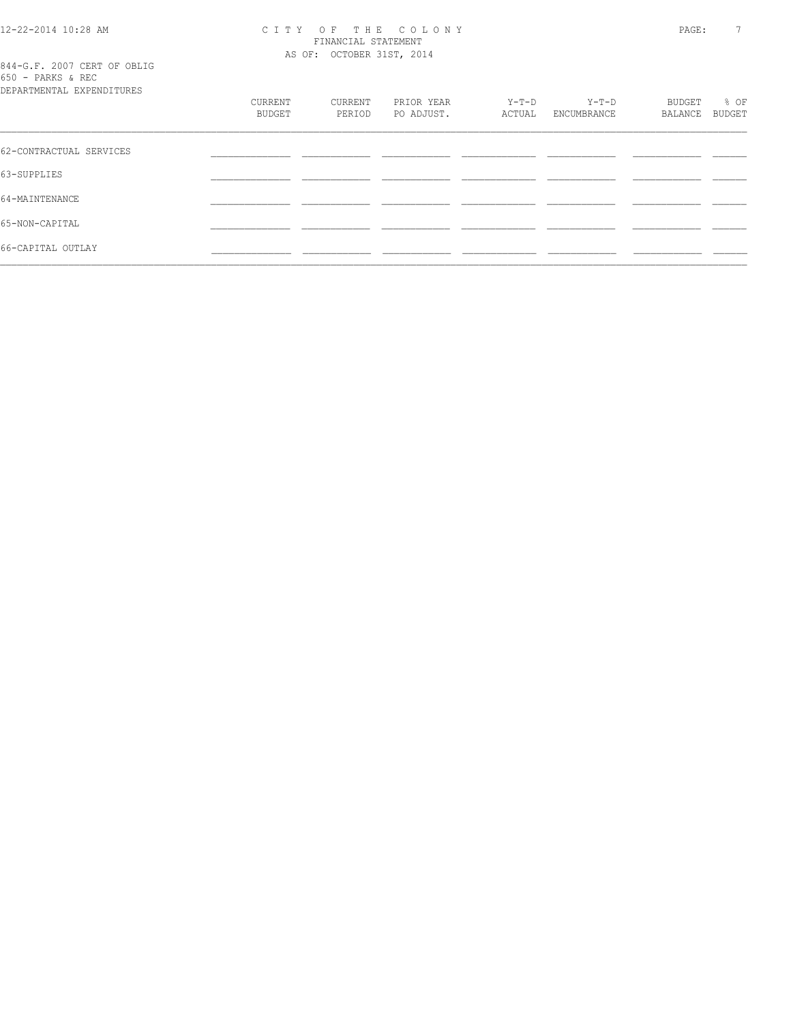# 12-22-2014 10:28 AM CITY OF THE COLONY<br>FINANCIAL STATEMENT<br>2014 C.E. 2007 CERT OF OPLIC

844-G.F. 2007 CERT OF OBLIG<br>650 - PARKS & REC<br>PRESIGNATI

| DEPARTMENTAL EXPENDITURES |                   |                   |                          |                 |                        |                   |                |
|---------------------------|-------------------|-------------------|--------------------------|-----------------|------------------------|-------------------|----------------|
|                           | CURRENT<br>BUDGET | CURRENT<br>PERIOD | PRIOR YEAR<br>PO ADJUST. | Y-T-D<br>ACTUAL | $Y-T-D$<br>ENCUMBRANCE | BUDGET<br>BALANCE | % OF<br>BUDGET |
|                           |                   |                   |                          |                 |                        |                   |                |
| 62-CONTRACTUAL SERVICES   |                   |                   |                          |                 |                        |                   |                |
| 63-SUPPLIES               |                   |                   |                          |                 |                        |                   |                |
| 64-MAINTENANCE            |                   |                   |                          |                 |                        |                   |                |
| 65-NON-CAPITAL            |                   |                   |                          |                 |                        |                   |                |
| 66-CAPITAL OUTLAY         |                   |                   |                          |                 |                        |                   |                |
|                           |                   |                   |                          |                 |                        |                   |                |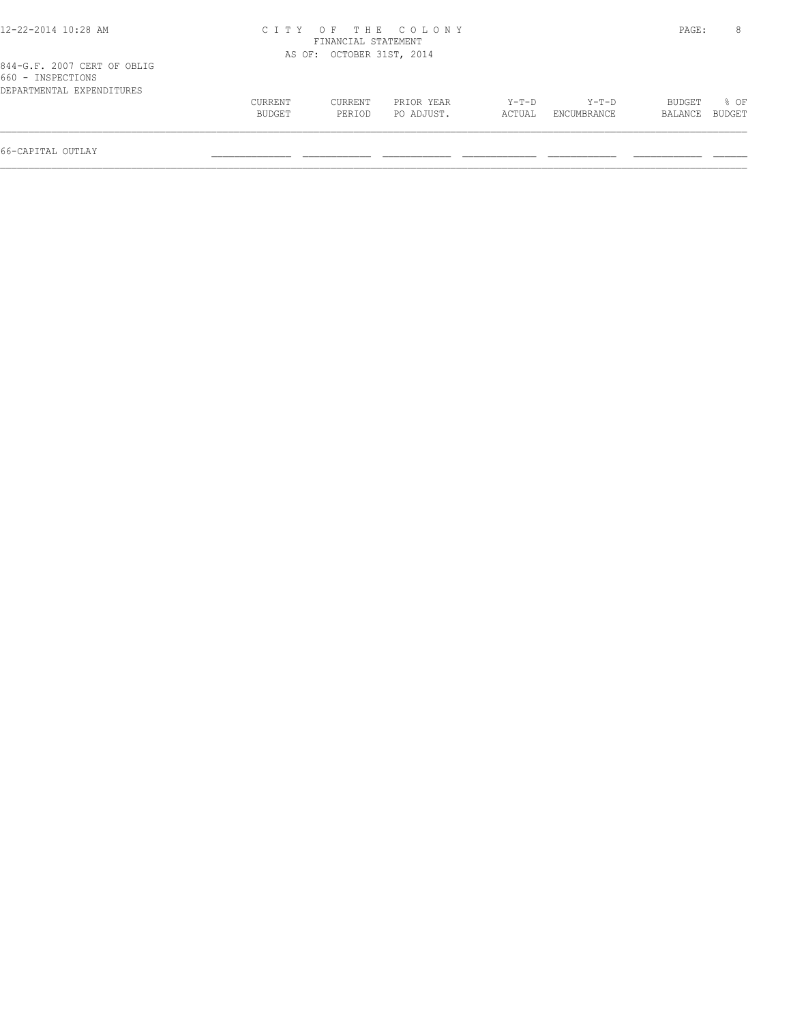| 12-22-2014 10:28 AM                                                           |                   |                           | CITY OF THE COLONY       |                   |                        | PAGE:             |                |
|-------------------------------------------------------------------------------|-------------------|---------------------------|--------------------------|-------------------|------------------------|-------------------|----------------|
|                                                                               |                   | FINANCIAL STATEMENT       |                          |                   |                        |                   |                |
|                                                                               |                   | AS OF: OCTOBER 31ST, 2014 |                          |                   |                        |                   |                |
| 844-G.F. 2007 CERT OF OBLIG<br>660 - INSPECTIONS<br>DEPARTMENTAL EXPENDITURES |                   |                           |                          |                   |                        |                   |                |
|                                                                               | CURRENT<br>BUDGET | <b>CURRENT</b><br>PERIOD  | PRIOR YEAR<br>PO ADJUST. | $Y-T-D$<br>ACTUAL | $Y-T-D$<br>ENCUMBRANCE | BUDGET<br>BALANCE | 8 OF<br>BUDGET |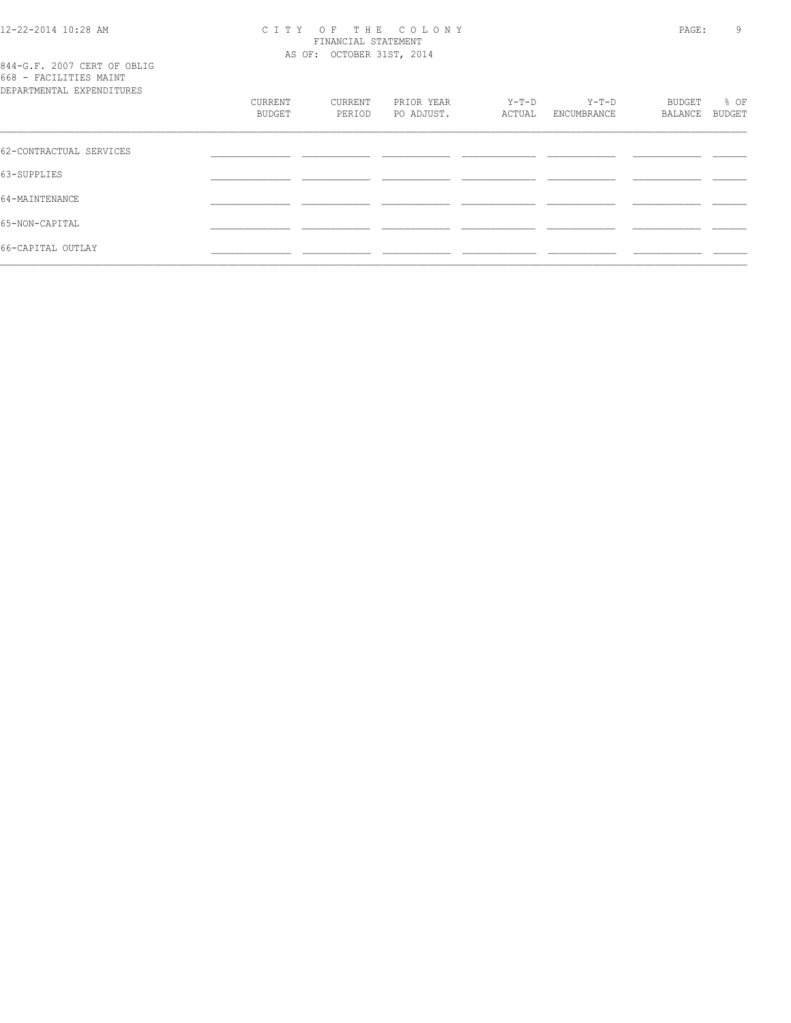# 12-22-2014 10:28 AM CITY OF THE COLONY<br>FINANCIAL STATEMENT<br>2014 C.E. 2007 CERT OF OPLIC

844-G.F. 2007 CERT OF OBLIG<br>668 - FACILITIES MAINT

| DEPARTMENTAL EXPENDITURES | CURRENT<br>BUDGET | CURRENT<br>PERIOD | PRIOR YEAR<br>PO ADJUST. | $Y-T-D$<br>ACTUAL | Y-T-D<br>ENCUMBRANCE | BUDGET<br>BALANCE | % OF<br><b>BUDGET</b> |
|---------------------------|-------------------|-------------------|--------------------------|-------------------|----------------------|-------------------|-----------------------|
| 62-CONTRACTUAL SERVICES   |                   |                   |                          |                   |                      |                   |                       |
| 63-SUPPLIES               |                   |                   |                          |                   |                      |                   |                       |
| 64-MAINTENANCE            |                   |                   |                          |                   |                      |                   |                       |
| 65-NON-CAPITAL            |                   |                   |                          |                   |                      |                   |                       |
| 66-CAPITAL OUTLAY         |                   |                   |                          |                   |                      |                   |                       |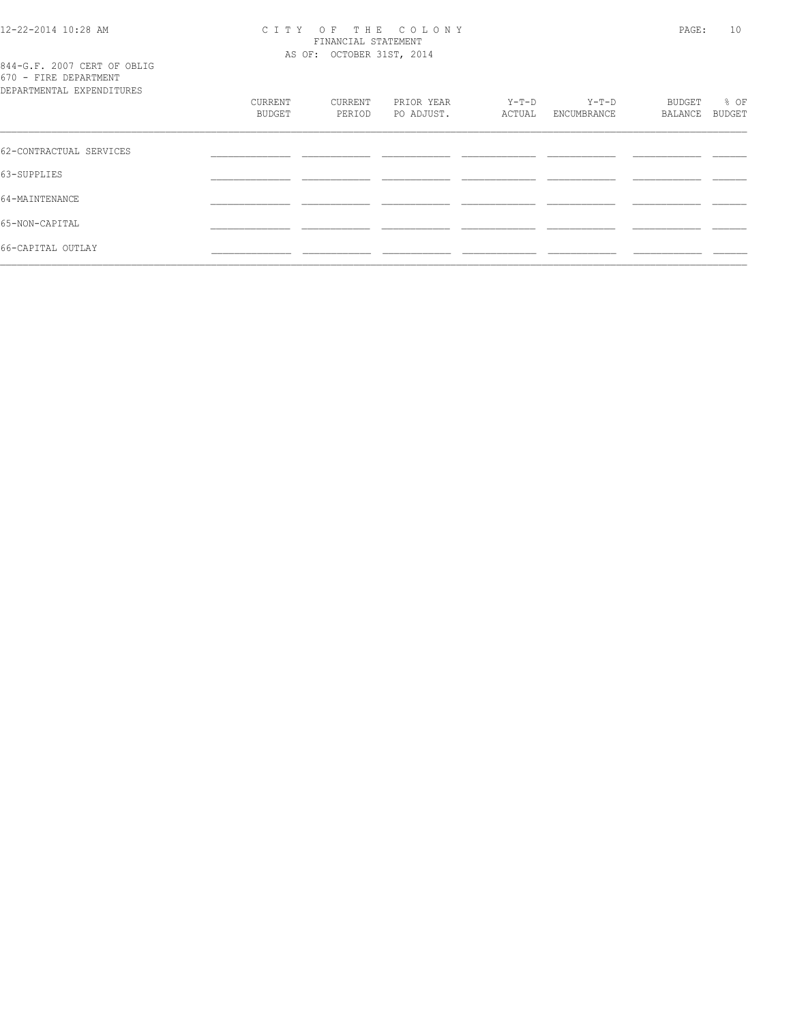# 12-22-2014 10:28 AM CITY OF THE COLONY<br>FINANCIAL STATEMENT<br>AS OF: OCTOBER 31ST, 2014

|  |  |                           | 844-G.F. 2007 CERT OF OBLIG |
|--|--|---------------------------|-----------------------------|
|  |  | 670 - FIRE DEPARTMENT     |                             |
|  |  | DEPARTMENTAL EXPENDITHERS |                             |

| DEPARTMENTAL EXPENDITURES |         |         |            |         |             |         |        |
|---------------------------|---------|---------|------------|---------|-------------|---------|--------|
|                           | CURRENT | CURRENT | PRIOR YEAR | $Y-T-D$ | $Y-T-D$     | BUDGET  | % OF   |
|                           | BUDGET  | PERIOD  | PO ADJUST. | ACTUAL  | ENCUMBRANCE | BALANCE | BUDGET |
|                           |         |         |            |         |             |         |        |
| 62-CONTRACTUAL SERVICES   |         |         |            |         |             |         |        |
| 63-SUPPLIES               |         |         |            |         |             |         |        |
| 64-MAINTENANCE            |         |         |            |         |             |         |        |
| 65-NON-CAPITAL            |         |         |            |         |             |         |        |
| 66-CAPITAL OUTLAY         |         |         |            |         |             |         |        |
|                           |         |         |            |         |             |         |        |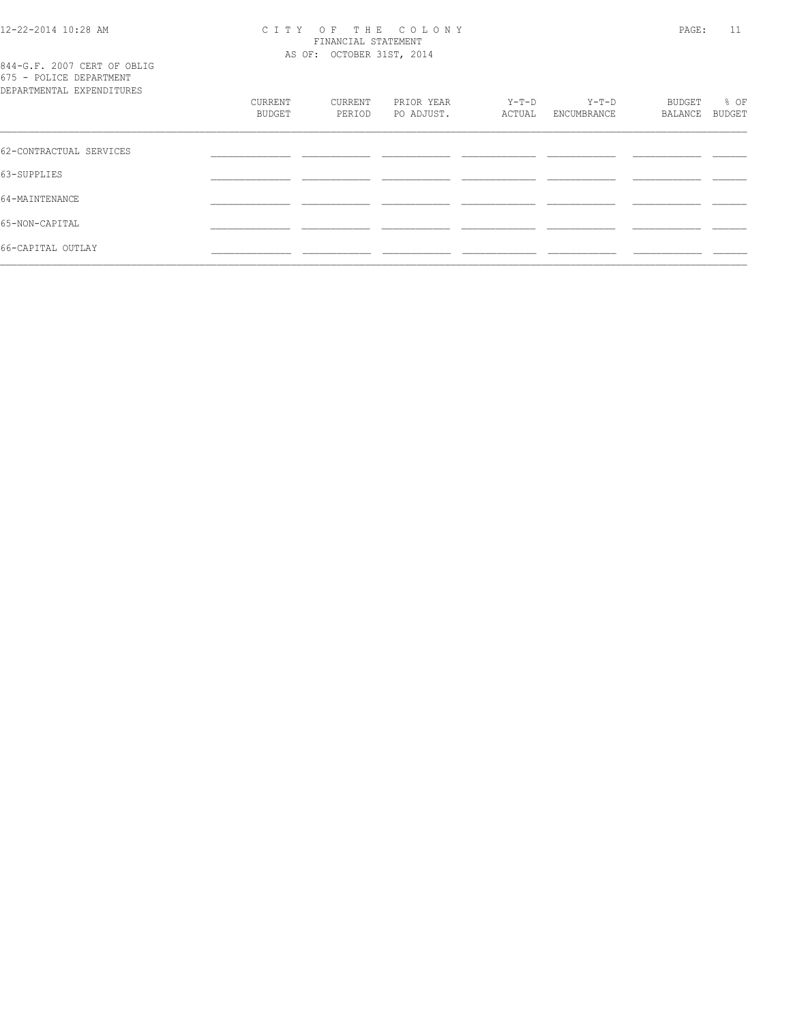# 12-22-2014 10:28 AM CITY OF THE COLONY<br>FINANCIAL STATEMENT<br>AS OF: OCTOBER 31ST, 2014

844-G.F. 2007 CERT OF OBLIG<br>675 - POLICE DEPARTMENT

| DEPARTMENTAL EXPENDITURES | CURRENT<br><b>BUDGET</b> | CURRENT<br>PERIOD | PRIOR YEAR<br>PO ADJUST. | Y-T-D<br>ACTUAL | $Y-T-D$<br>ENCUMBRANCE | BUDGET<br>BALANCE | % OF<br><b>BUDGET</b> |
|---------------------------|--------------------------|-------------------|--------------------------|-----------------|------------------------|-------------------|-----------------------|
| 62-CONTRACTUAL SERVICES   |                          |                   |                          |                 |                        |                   |                       |
| 63-SUPPLIES               |                          |                   |                          |                 |                        |                   |                       |
| 64-MAINTENANCE            |                          |                   |                          |                 |                        |                   |                       |
| 65-NON-CAPITAL            |                          |                   |                          |                 |                        |                   |                       |
| 66-CAPITAL OUTLAY         |                          |                   |                          |                 |                        |                   |                       |
|                           |                          |                   |                          |                 |                        |                   |                       |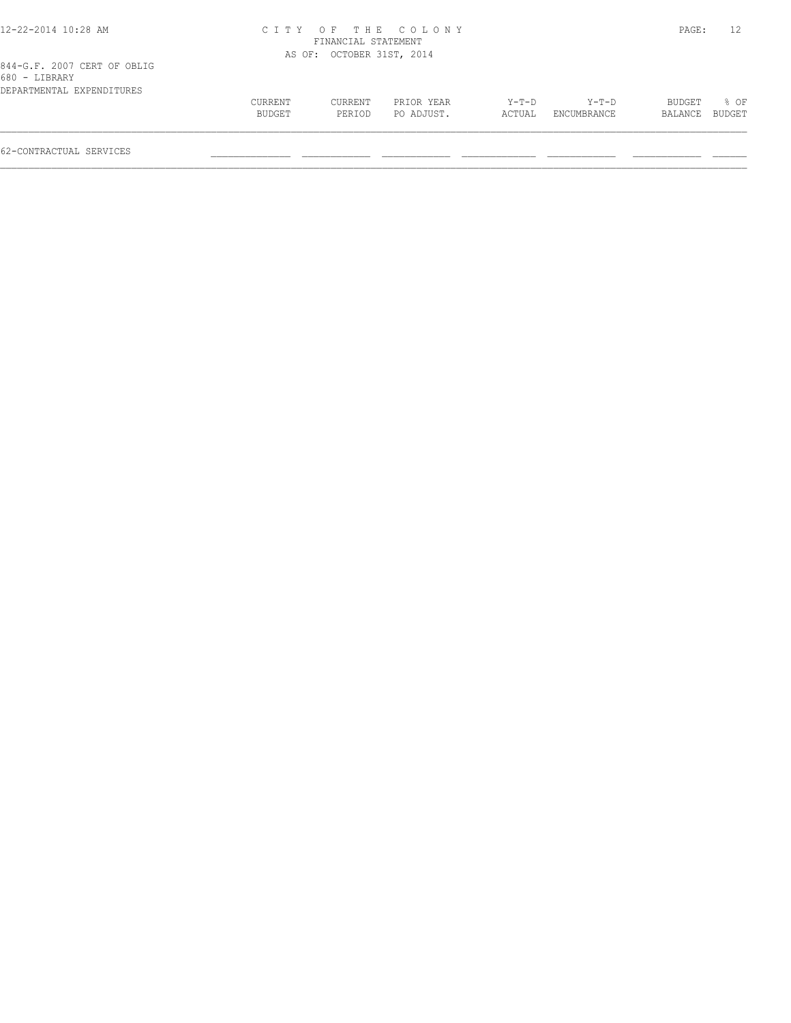| 12-22-2014 10:28 AM                          |                   |                           | CITY OF THE COLONY       |                 |                      | PAGE:             | 12             |
|----------------------------------------------|-------------------|---------------------------|--------------------------|-----------------|----------------------|-------------------|----------------|
|                                              |                   | FINANCIAL STATEMENT       |                          |                 |                      |                   |                |
|                                              |                   | AS OF: OCTOBER 31ST, 2014 |                          |                 |                      |                   |                |
| 844-G.F. 2007 CERT OF OBLIG<br>680 - LIBRARY |                   |                           |                          |                 |                      |                   |                |
| DEPARTMENTAL EXPENDITURES                    |                   |                           |                          |                 |                      |                   |                |
|                                              | CURRENT<br>BUDGET | CURRENT<br>PERIOD         | PRIOR YEAR<br>PO ADJUST. | Y-T-D<br>ACTUAL | Y-T-D<br>ENCUMBRANCE | BUDGET<br>BALANCE | 8 OF<br>BUDGET |

 $\mathcal{L} = \{ \mathcal{L} = \{ \mathcal{L} = \{ \mathcal{L} = \{ \mathcal{L} = \{ \mathcal{L} = \{ \mathcal{L} = \{ \mathcal{L} = \{ \mathcal{L} = \{ \mathcal{L} = \{ \mathcal{L} = \{ \mathcal{L} = \{ \mathcal{L} = \{ \mathcal{L} = \{ \mathcal{L} = \{ \mathcal{L} = \{ \mathcal{L} = \{ \mathcal{L} = \{ \mathcal{L} = \{ \mathcal{L} = \{ \mathcal{L} = \{ \mathcal{L} = \{ \mathcal{L} = \{ \mathcal{L} = \{ \mathcal{$ 

62-CONTRACTUAL SERVICES \_\_\_\_\_\_\_\_\_\_\_\_\_\_ \_\_\_\_\_\_\_\_\_\_\_\_ \_\_\_\_\_\_\_\_\_\_\_\_ \_\_\_\_\_\_\_\_\_\_\_\_\_ \_\_\_\_\_\_\_\_\_\_\_\_ \_\_\_\_\_\_\_\_\_\_\_\_ \_\_\_\_\_\_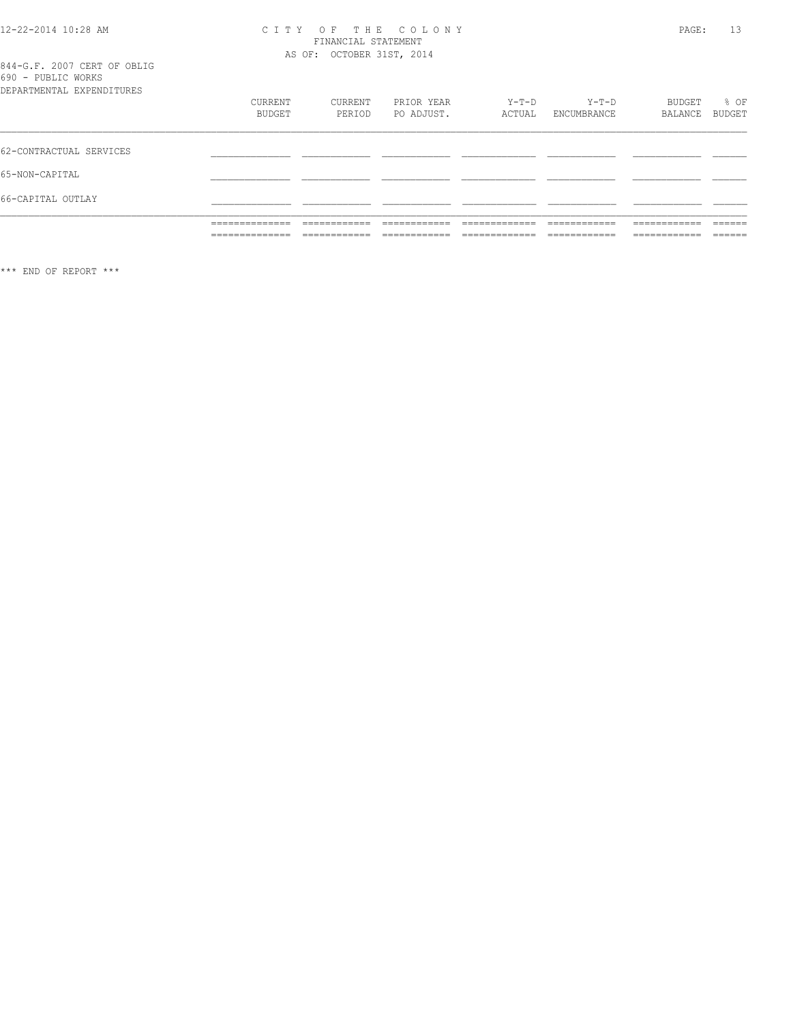# CITY OF THE COLONY<br>
CITY OF THE COLONY<br>
FINANCIAL STATEMENT<br>
AS OF: OCTOBER 31ST, 2014

|  |  | 844-G.F. 2007 CERT OF OBLIG        |  |
|--|--|------------------------------------|--|
|  |  | 690 - PUBLIC WORKS                 |  |
|  |  | י התווחדת ומתמטים וגחוגת אחת גם הת |  |

|                           | ______________ | -------------   | ____________  | _____________  | ------------   | ____________  | ------- |
|---------------------------|----------------|-----------------|---------------|----------------|----------------|---------------|---------|
|                           |                | _______________ | ____________  | -------------- | ______________ | _____________ | ______  |
|                           | ______________ | -------------   | ------------- | ____________   | -------------  | ------------- | ------- |
|                           | ______________ | ____________    | ____________  |                | ____________   | ____________  | ______  |
| 66-CAPITAL OUTLAY         |                |                 |               |                |                |               |         |
| 65-NON-CAPITAL            |                |                 |               |                |                |               |         |
| 62-CONTRACTUAL SERVICES   |                |                 |               |                |                |               |         |
| DEPARTMENTAL EXPENDITURES | <b>CURRENT</b> | CURRENT         | PRIOR YEAR    | $Y-T-D$        | $Y-T-D$        | BUDGET        | % OF    |
|                           | BUDGET         | PERIOD          | PO ADJUST.    | ACTUAL         | ENCUMBRANCE    | BALANCE       | BUDGET  |

\*\*\* END OF REPORT \*\*\*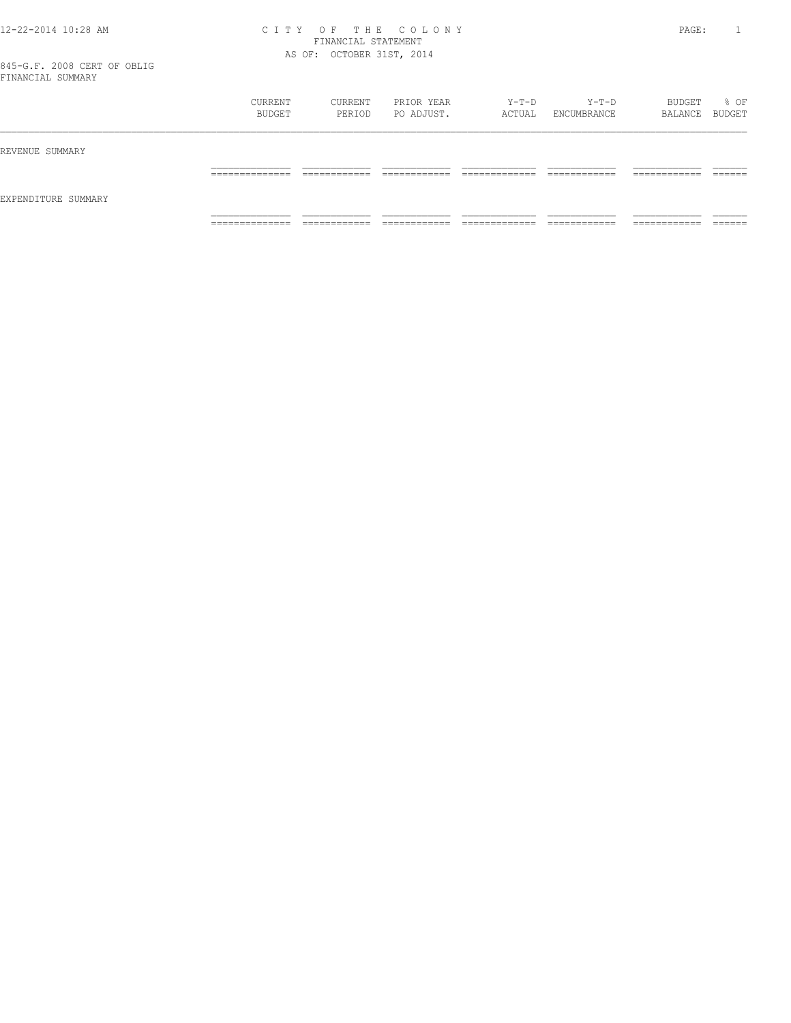### 12-22-2014 10:28 AM C I T Y O F T H E C O L O N Y PAGE: 1 FINANCIAL STATEMENT AS OF: OCTOBER 31ST, 2014

|                     | CURRENT<br>BUDGET                 | CURRENT<br>PERIOD            | PRIOR YEAR<br>PO ADJUST.   | Y-T-D<br>ACTUAL                | Y-T-D<br>ENCUMBRANCE         | BUDGET<br>BALANCE BUDGET      | % OF               |
|---------------------|-----------------------------------|------------------------------|----------------------------|--------------------------------|------------------------------|-------------------------------|--------------------|
| REVENUE SUMMARY     |                                   |                              |                            |                                |                              |                               |                    |
|                     | ______________<br>_______________ | ____________<br>____________ | -------------<br>_________ | _____________<br>_____________ | ____________<br>____________ | -------------<br>____________ | -------<br>_______ |
| EXPENDITURE SUMMARY |                                   |                              |                            |                                |                              |                               |                    |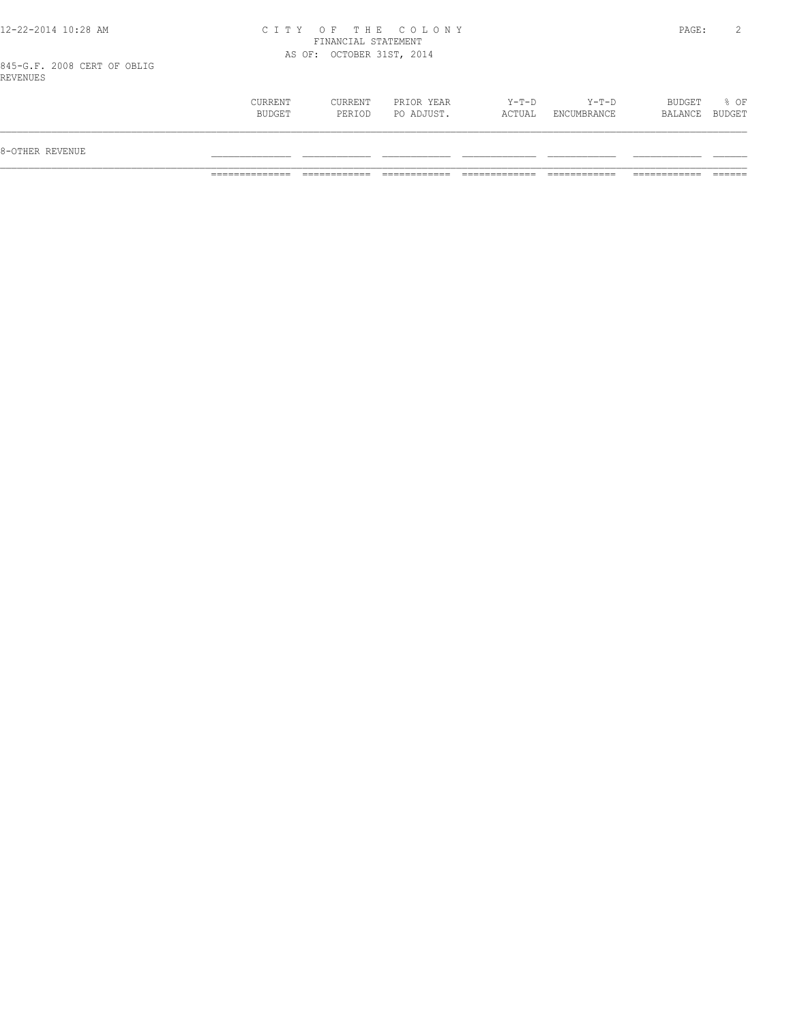## 12-22-2014 10:28 AM C I T Y O F T H E C O L O N Y PAGE: 2 FINANCIAL STATEMENT AS OF: OCTOBER 31ST, 2014

845-G.F. 2008 CERT OF OBLIG REVENUES

| 8-OTHER REVENUE |                   |                          |                          |                   |                      |                          |        |
|-----------------|-------------------|--------------------------|--------------------------|-------------------|----------------------|--------------------------|--------|
|                 | CURRENT<br>BUDGET | <b>CURRENT</b><br>PERIOD | PRIOR YEAR<br>PO ADJUST. | $Y-T-D$<br>ACTUAL | Y-T-D<br>ENCUMBRANCE | BUDGET<br>BALANCE BUDGET | $8$ OF |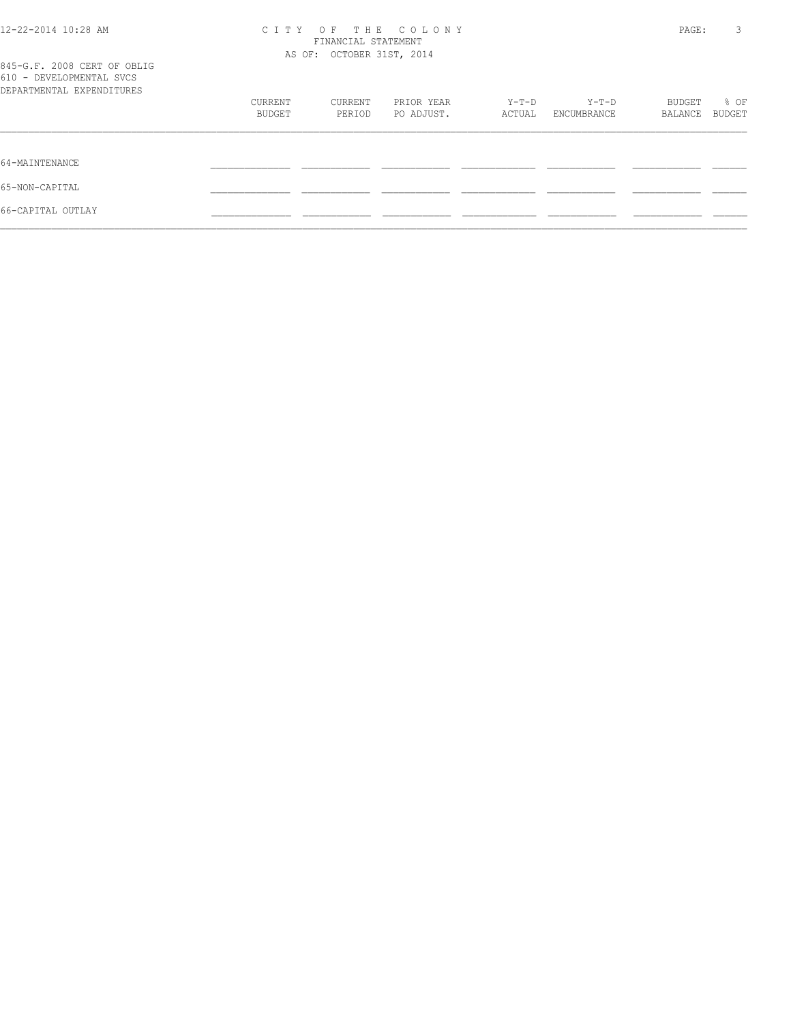| 12-22-2014 10:28 AM                                                                  | CITY OF THE COLONY<br>FINANCIAL STATEMENT<br>AS OF: OCTOBER 31ST, 2014 |         |            |        |             |         | 3<br>PAGE: |
|--------------------------------------------------------------------------------------|------------------------------------------------------------------------|---------|------------|--------|-------------|---------|------------|
| 845-G.F. 2008 CERT OF OBLIG<br>610 - DEVELOPMENTAL SVCS<br>DEPARTMENTAL EXPENDITURES |                                                                        |         |            |        |             |         |            |
|                                                                                      | CURRENT                                                                | CURRENT | PRIOR YEAR | Y-T-D  | Y-T-D       | BUDGET  | % OF       |
|                                                                                      | BUDGET                                                                 | PERIOD  | PO ADJUST. | ACTUAL | ENCUMBRANCE | BALANCE | BUDGET     |
| 64-MAINTENANCE                                                                       |                                                                        |         |            |        |             |         |            |
| 65-NON-CAPITAL                                                                       |                                                                        |         |            |        |             |         |            |
| 66-CAPITAL OUTLAY                                                                    |                                                                        |         |            |        |             |         |            |
|                                                                                      |                                                                        |         |            |        |             |         |            |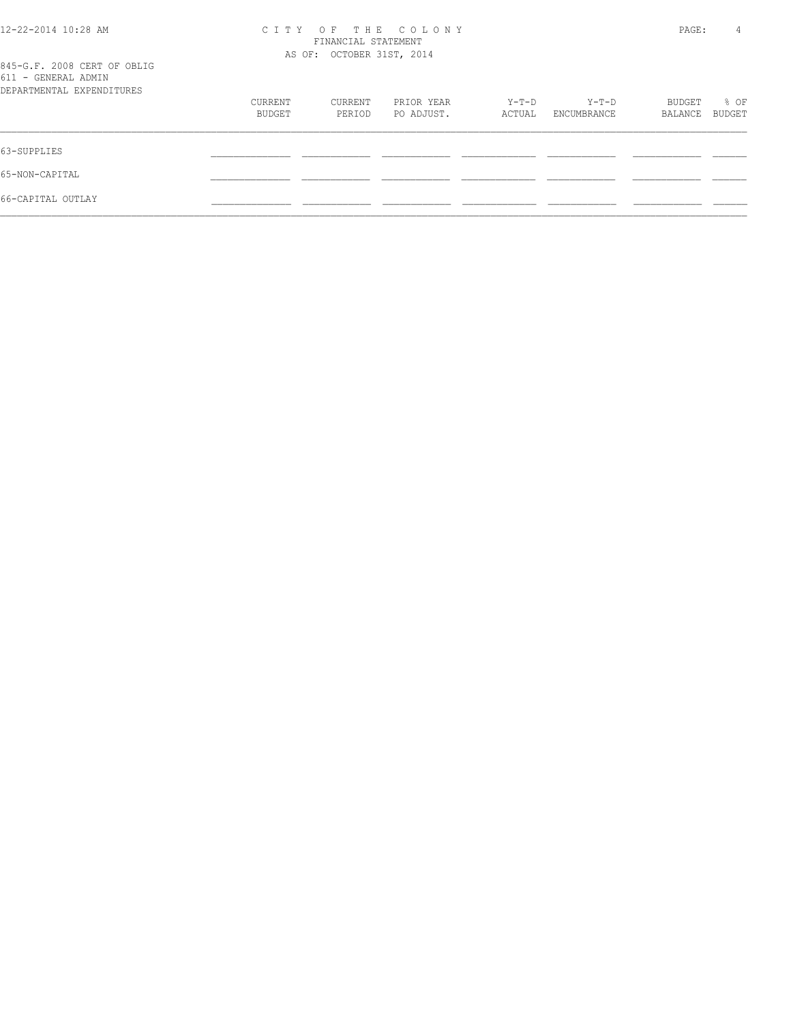| THE COLONY<br>C T T Y<br>OF<br>FINANCIAL STATEMENT |         |            |                           |             | PAGE:   | 4      |
|----------------------------------------------------|---------|------------|---------------------------|-------------|---------|--------|
|                                                    |         |            |                           |             |         |        |
| CURRENT                                            | CURRENT | PRIOR YEAR | Y-T-D                     | $Y-T-D$     | BUDGET  | % OF   |
| <b>BUDGET</b>                                      | PERIOD  | PO ADJUST. | ACTUAL                    | ENCUMBRANCE | BALANCE | BUDGET |
|                                                    |         |            |                           |             |         |        |
|                                                    |         |            |                           |             |         |        |
|                                                    |         |            |                           |             |         |        |
|                                                    |         |            | AS OF: OCTOBER 31ST, 2014 |             |         |        |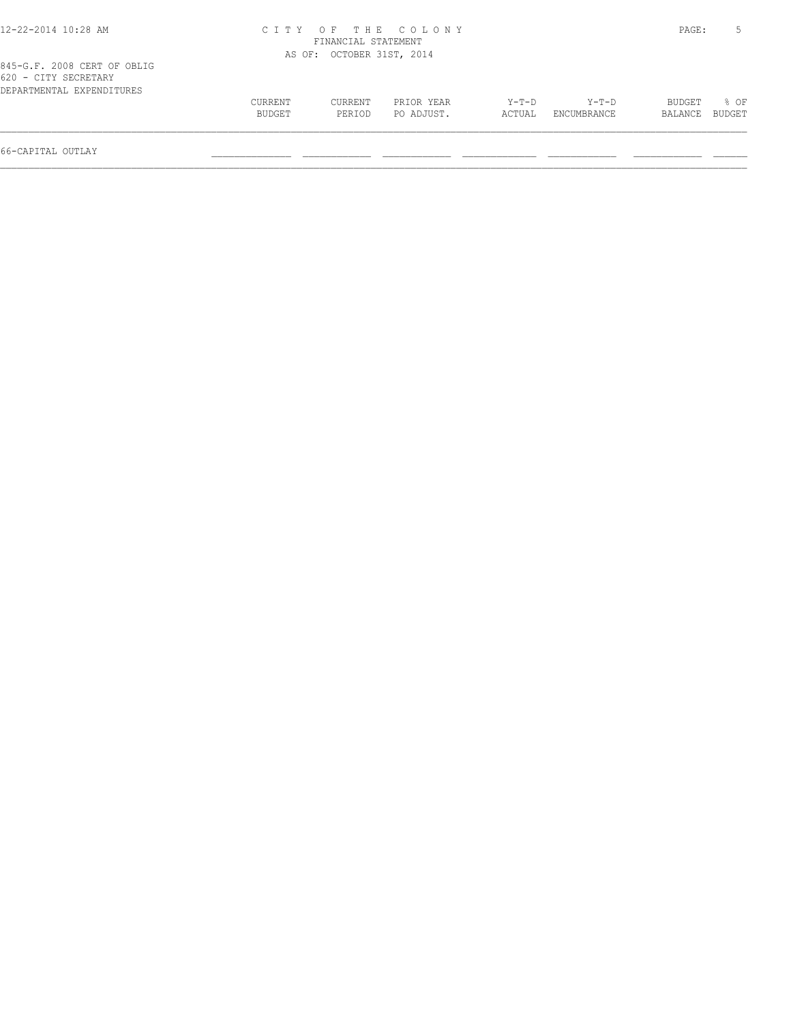| 12-22-2014 10:28 AM                                                              |                   |                           | CITY OF THE COLONY       |                   |                        | PAGE:             |                  |
|----------------------------------------------------------------------------------|-------------------|---------------------------|--------------------------|-------------------|------------------------|-------------------|------------------|
|                                                                                  |                   | FINANCIAL STATEMENT       |                          |                   |                        |                   |                  |
|                                                                                  |                   | AS OF: OCTOBER 31ST, 2014 |                          |                   |                        |                   |                  |
| 845-G.F. 2008 CERT OF OBLIG<br>620 - CITY SECRETARY<br>DEPARTMENTAL EXPENDITURES |                   |                           |                          |                   |                        |                   |                  |
|                                                                                  | CURRENT<br>BUDGET | CURRENT<br>PERIOD         | PRIOR YEAR<br>PO ADJUST. | $Y-T-D$<br>ACTUAL | $Y-T-D$<br>ENCUMBRANCE | BUDGET<br>BALANCE | $8$ OF<br>BUDGET |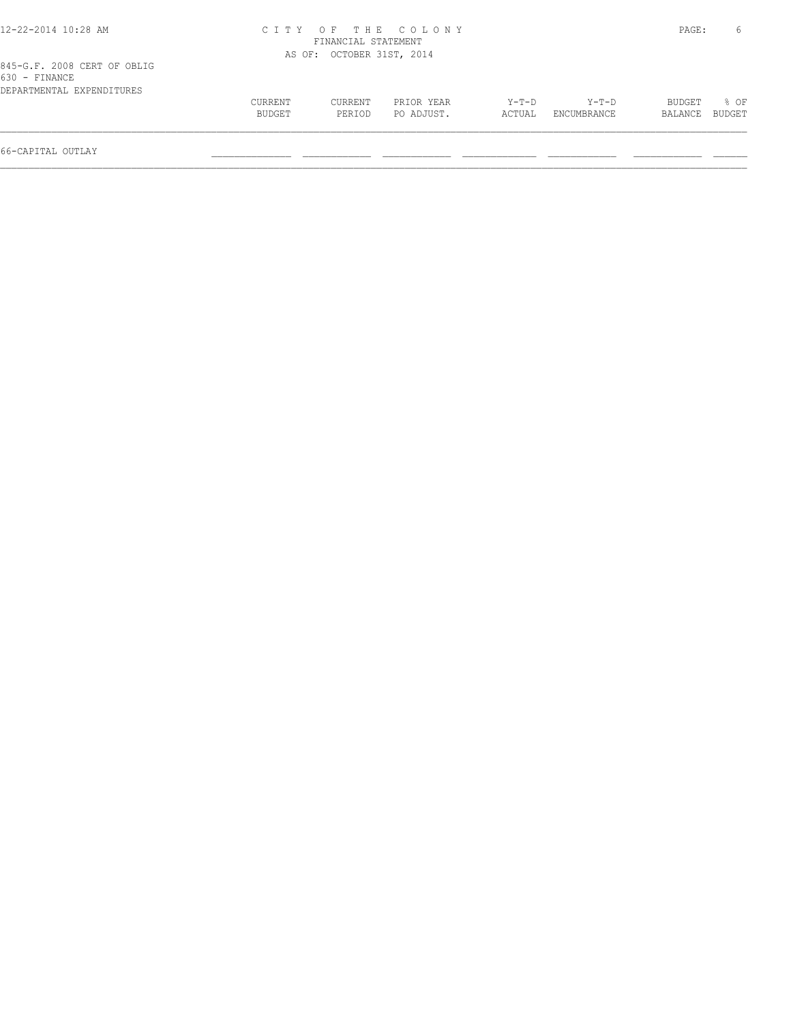| 12-22-2014 10:28 AM                                                       |                   |                           | CITY OF THE COLONY       |                   |                        | PAGE:             | <sub>6</sub>   |
|---------------------------------------------------------------------------|-------------------|---------------------------|--------------------------|-------------------|------------------------|-------------------|----------------|
|                                                                           |                   | FINANCIAL STATEMENT       |                          |                   |                        |                   |                |
|                                                                           |                   | AS OF: OCTOBER 31ST, 2014 |                          |                   |                        |                   |                |
| 845-G.F. 2008 CERT OF OBLIG<br>630 - FINANCE<br>DEPARTMENTAL EXPENDITURES |                   |                           |                          |                   |                        |                   |                |
|                                                                           | CURRENT<br>BUDGET | CURRENT<br>PERIOD         | PRIOR YEAR<br>PO ADJUST. | $Y-T-D$<br>ACTUAL | $Y-T-D$<br>ENCUMBRANCE | BUDGET<br>BALANCE | % OF<br>BUDGET |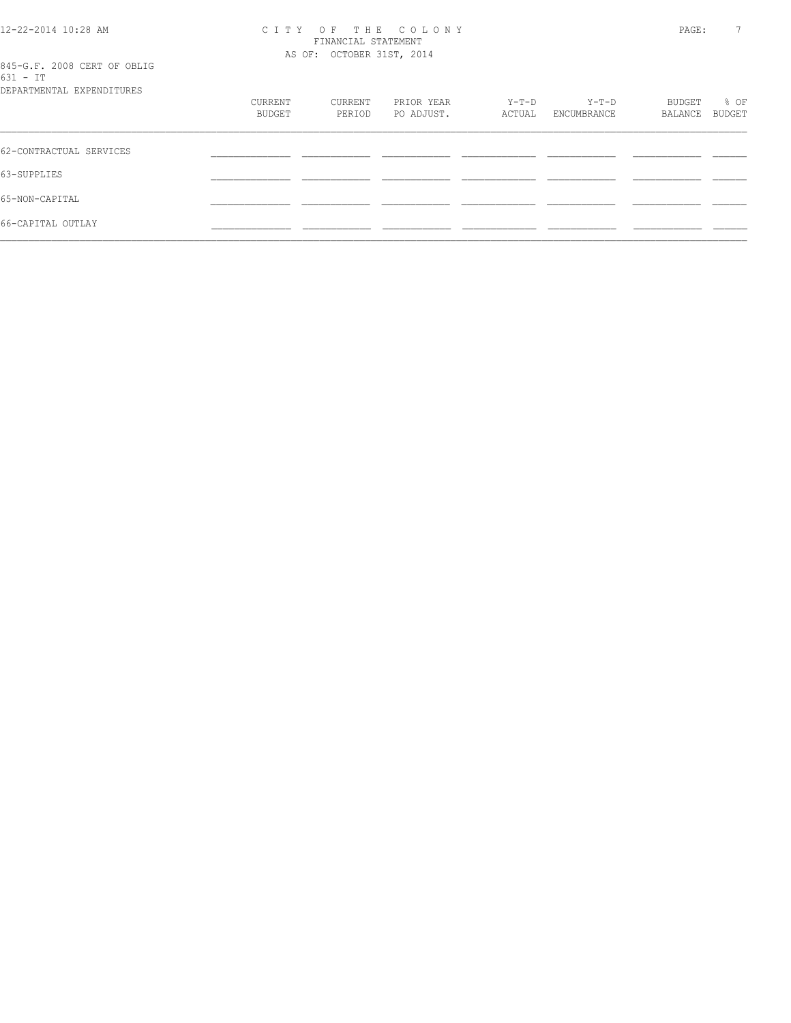| 12-22-2014 10:28 AM |
|---------------------|
|                     |

#### 12-22-2014 10:28 AM C I T Y O F T H E C O L O N Y PAGE: 7 FINANCIAL STATEMENT AS OF: OCTOBER 31ST, 2014

|          |  |  | 845-G.F. 2008 CERT OF OBLIG |
|----------|--|--|-----------------------------|
| 631 - TT |  |  |                             |
|          |  |  |                             |

| DEPARTMENTAL EXPENDITURES |                   |                   |                          |                 |                        |                   |                |
|---------------------------|-------------------|-------------------|--------------------------|-----------------|------------------------|-------------------|----------------|
|                           | CURRENT<br>BUDGET | CURRENT<br>PERIOD | PRIOR YEAR<br>PO ADJUST. | Y-T-D<br>ACTUAL | $Y-T-D$<br>ENCUMBRANCE | BUDGET<br>BALANCE | % OF<br>BUDGET |
|                           |                   |                   |                          |                 |                        |                   |                |
| 62-CONTRACTUAL SERVICES   |                   |                   |                          |                 |                        |                   |                |
| 63-SUPPLIES               |                   |                   |                          |                 |                        |                   |                |
| 65-NON-CAPITAL            |                   |                   |                          |                 |                        |                   |                |
| 66-CAPITAL OUTLAY         |                   |                   |                          |                 |                        |                   |                |
|                           |                   |                   |                          |                 |                        |                   |                |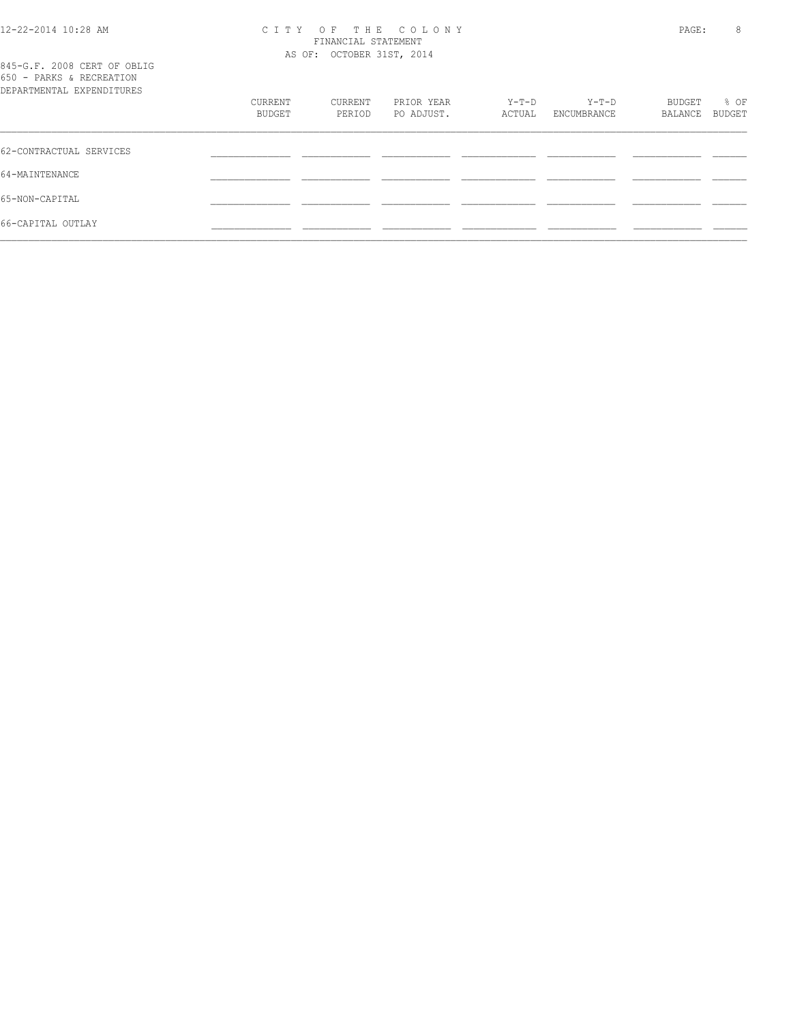## 12-22-2014 10:28 AM C I T Y O F T H E C O L O N Y PAGE: 8 FINANCIAL STATEMENT

 $\mathcal{L} = \{ \mathcal{L} = \{ \mathcal{L} = \{ \mathcal{L} = \{ \mathcal{L} = \{ \mathcal{L} = \{ \mathcal{L} = \{ \mathcal{L} = \{ \mathcal{L} = \{ \mathcal{L} = \{ \mathcal{L} = \{ \mathcal{L} = \{ \mathcal{L} = \{ \mathcal{L} = \{ \mathcal{L} = \{ \mathcal{L} = \{ \mathcal{L} = \{ \mathcal{L} = \{ \mathcal{L} = \{ \mathcal{L} = \{ \mathcal{L} = \{ \mathcal{L} = \{ \mathcal{L} = \{ \mathcal{L} = \{ \mathcal{$ 

|                                                                                      |                   |                   | AS OF: OCTOBER 31ST, 2014 |                 |                        |                   |                |  |
|--------------------------------------------------------------------------------------|-------------------|-------------------|---------------------------|-----------------|------------------------|-------------------|----------------|--|
| 845-G.F. 2008 CERT OF OBLIG<br>650 - PARKS & RECREATION<br>DEPARTMENTAL EXPENDITURES |                   |                   |                           |                 |                        |                   |                |  |
|                                                                                      | CURRENT<br>BUDGET | CURRENT<br>PERIOD | PRIOR YEAR<br>PO ADJUST.  | Y-T-D<br>ACTUAL | $Y-T-D$<br>ENCUMBRANCE | BUDGET<br>BALANCE | % OF<br>BUDGET |  |
| 62-CONTRACTUAL SERVICES                                                              |                   |                   |                           |                 |                        |                   |                |  |
| 64-MAINTENANCE                                                                       |                   |                   |                           |                 |                        |                   |                |  |
| 65-NON-CAPITAL                                                                       |                   |                   |                           |                 |                        |                   |                |  |
| 66-CAPITAL OUTLAY                                                                    |                   |                   |                           |                 |                        |                   |                |  |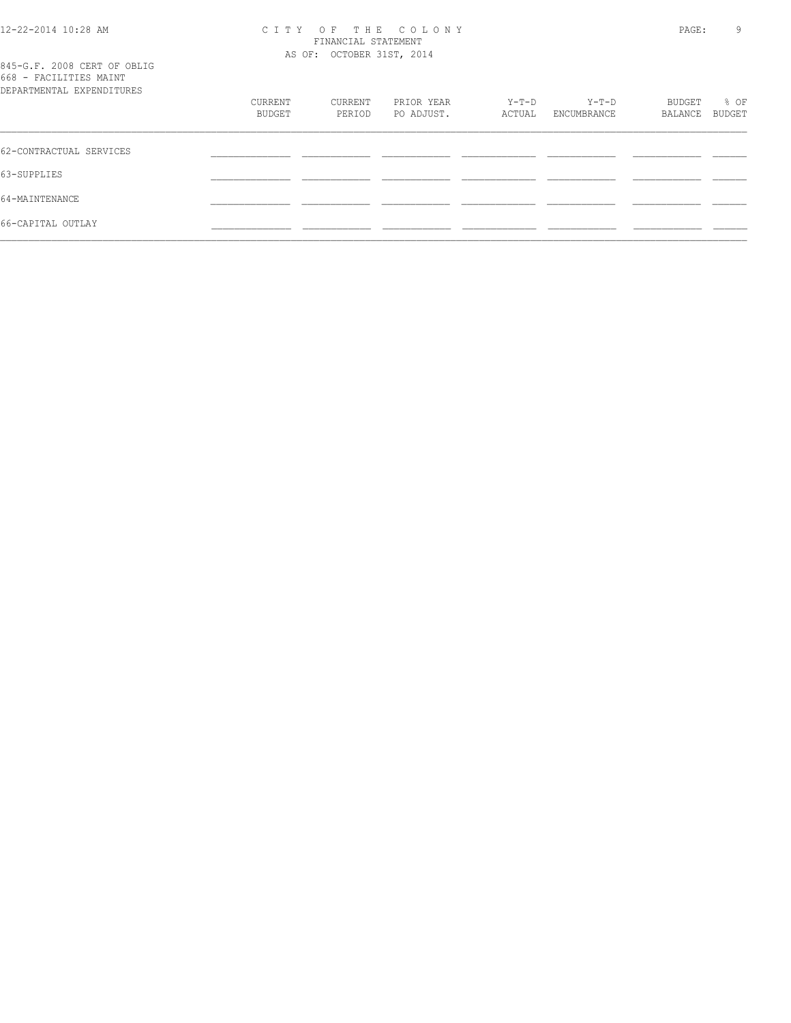#### 12-22-2014 10:28 AM C I T Y O F T H E C O L O N Y PAGE: 9 FINANCIAL STATEMENT AS OF: OCTOBER 31ST, 2014

| 845-G.F. 2008 CERT OF OBLIG |  |  |
|-----------------------------|--|--|
| 668 - FACILITIES MAINT      |  |  |
| DEPARTMENTAL EXPENDITIRES   |  |  |

| 000 LIQLELLED IMILINE<br>DEPARTMENTAL EXPENDITURES |                   |                   |                          |                 |                        |                   |                |
|----------------------------------------------------|-------------------|-------------------|--------------------------|-----------------|------------------------|-------------------|----------------|
|                                                    | CURRENT<br>BUDGET | CURRENT<br>PERIOD | PRIOR YEAR<br>PO ADJUST. | Y-T-D<br>ACTUAL | $Y-T-D$<br>ENCUMBRANCE | BUDGET<br>BALANCE | % OF<br>BUDGET |
| 62-CONTRACTUAL SERVICES                            |                   |                   |                          |                 |                        |                   |                |
| 63-SUPPLIES                                        |                   |                   |                          |                 |                        |                   |                |
| 64-MAINTENANCE                                     |                   |                   |                          |                 |                        |                   |                |
| 66-CAPITAL OUTLAY                                  |                   |                   |                          |                 |                        |                   |                |
|                                                    |                   |                   |                          |                 |                        |                   |                |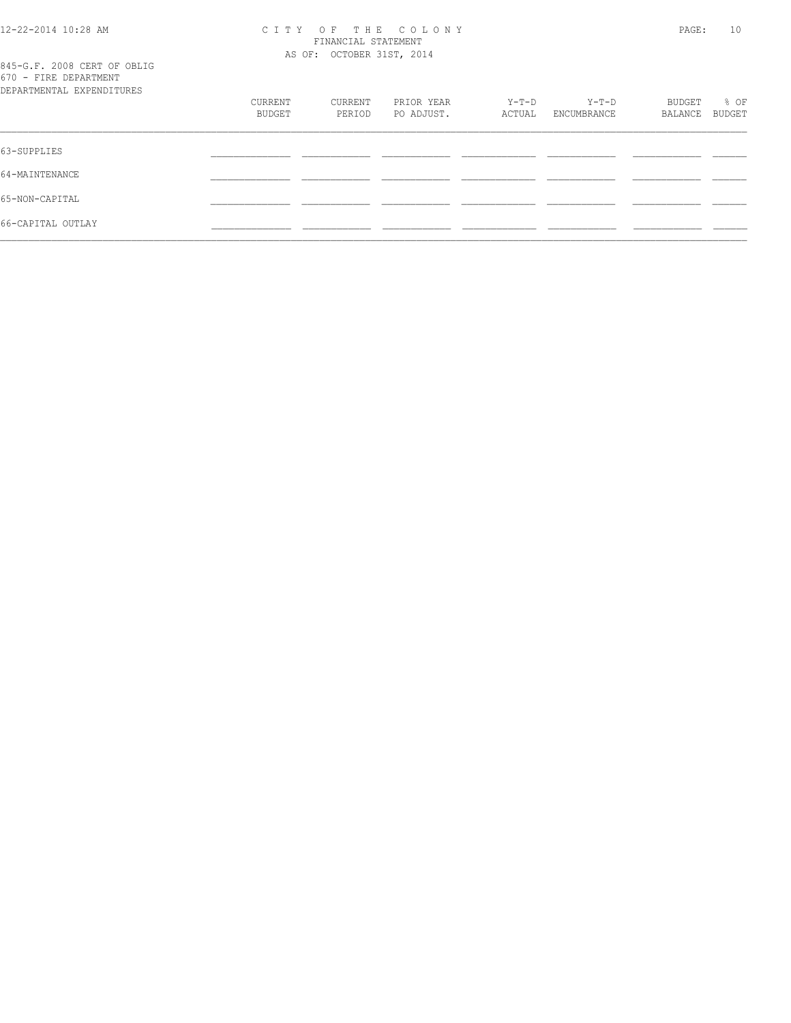#### 12-22-2014 10:28 AM C I T Y O F T H E C O L O N Y PAGE: 10 FINANCIAL STATEMENT AS OF: OCTOBER 31ST, 2014

|  |  |                                   | 845-G.F. 2008 CERT OF OBLIG |
|--|--|-----------------------------------|-----------------------------|
|  |  | 670 - FIRE DEPARTMENT             |                             |
|  |  | סתסוזידרוות בעים וגידוות שתייסגסת |                             |

| DEPARTMENTAL EXPENDITURES |                   |                   |                          |                 |                        |                   |                |
|---------------------------|-------------------|-------------------|--------------------------|-----------------|------------------------|-------------------|----------------|
|                           | CURRENT<br>BUDGET | CURRENT<br>PERIOD | PRIOR YEAR<br>PO ADJUST. | Y-T-D<br>ACTUAL | $Y-T-D$<br>ENCUMBRANCE | BUDGET<br>BALANCE | % OF<br>BUDGET |
|                           |                   |                   |                          |                 |                        |                   |                |
| 63-SUPPLIES               |                   |                   |                          |                 |                        |                   |                |
| 64-MAINTENANCE            |                   |                   |                          |                 |                        |                   |                |
| 65-NON-CAPITAL            |                   |                   |                          |                 |                        |                   |                |
| 66-CAPITAL OUTLAY         |                   |                   |                          |                 |                        |                   |                |
|                           |                   |                   |                          |                 |                        |                   |                |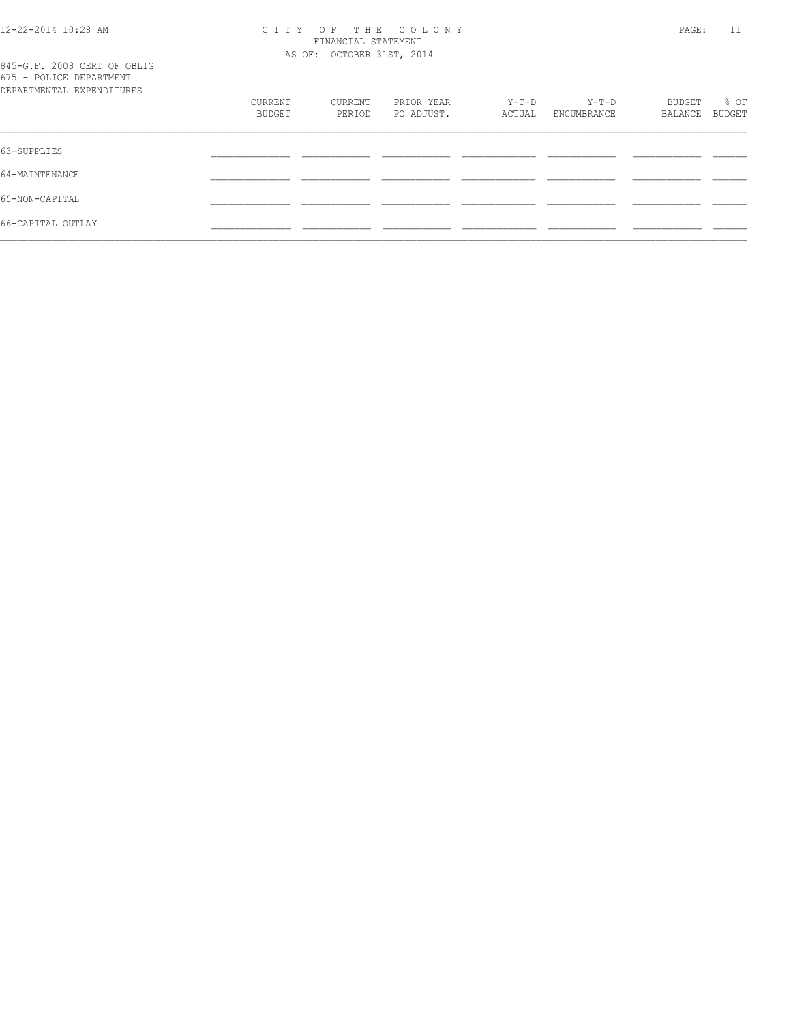#### 12-22-2014 10:28 AM C I T Y O F T H E C O L O N Y PAGE: 11 FINANCIAL STATEMENT AS OF: OCTOBER 31ST, 2014

|  |  | 845-G.F. 2008 CERT OF OBLIG |  |
|--|--|-----------------------------|--|
|  |  | 675 - POLICE DEPARTMENT     |  |
|  |  | DEPARTMENTAL EXPENDITIRES   |  |

| DEPARTMENTAL EXPENDITURES |         |         |            |        |             |         |        |
|---------------------------|---------|---------|------------|--------|-------------|---------|--------|
|                           | CURRENT | CURRENT | PRIOR YEAR | Y-T-D  | $Y-T-D$     | BUDGET  | % OF   |
|                           | BUDGET  | PERIOD  | PO ADJUST. | ACTUAL | ENCUMBRANCE | BALANCE | BUDGET |
|                           |         |         |            |        |             |         |        |
| 63-SUPPLIES               |         |         |            |        |             |         |        |
| 64-MAINTENANCE            |         |         |            |        |             |         |        |
| 65-NON-CAPITAL            |         |         |            |        |             |         |        |
| 66-CAPITAL OUTLAY         |         |         |            |        |             |         |        |
|                           |         |         |            |        |             |         |        |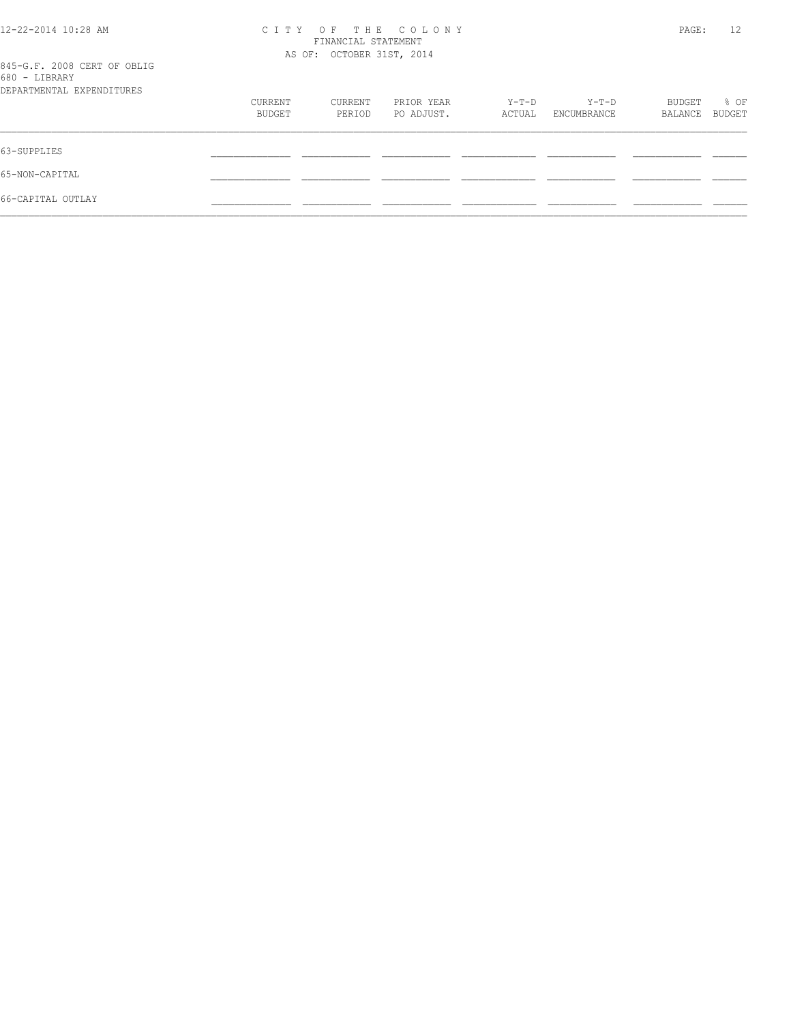| $12 - 22 - 2014$ $10:28$ AM<br>845-G.F. 2008 CERT OF OBLIG<br>680 - LIBRARY | C T T Y           | THE COLONY<br>$O$ F<br>FINANCIAL STATEMENT<br>AS OF: OCTOBER 31ST, 2014 |                          |                 | PAGE:                | 12                |                |
|-----------------------------------------------------------------------------|-------------------|-------------------------------------------------------------------------|--------------------------|-----------------|----------------------|-------------------|----------------|
| DEPARTMENTAL EXPENDITURES                                                   | CURRENT<br>BUDGET | CURRENT<br>PERIOD                                                       | PRIOR YEAR<br>PO ADJUST. | Y-T-D<br>ACTUAL | Y-T-D<br>ENCUMBRANCE | BUDGET<br>BALANCE | % OF<br>BUDGET |
| 63-SUPPLIES                                                                 |                   |                                                                         |                          |                 |                      |                   |                |
| 65-NON-CAPITAL                                                              |                   |                                                                         |                          |                 |                      |                   |                |
| 66-CAPITAL OUTLAY                                                           |                   |                                                                         |                          |                 |                      |                   |                |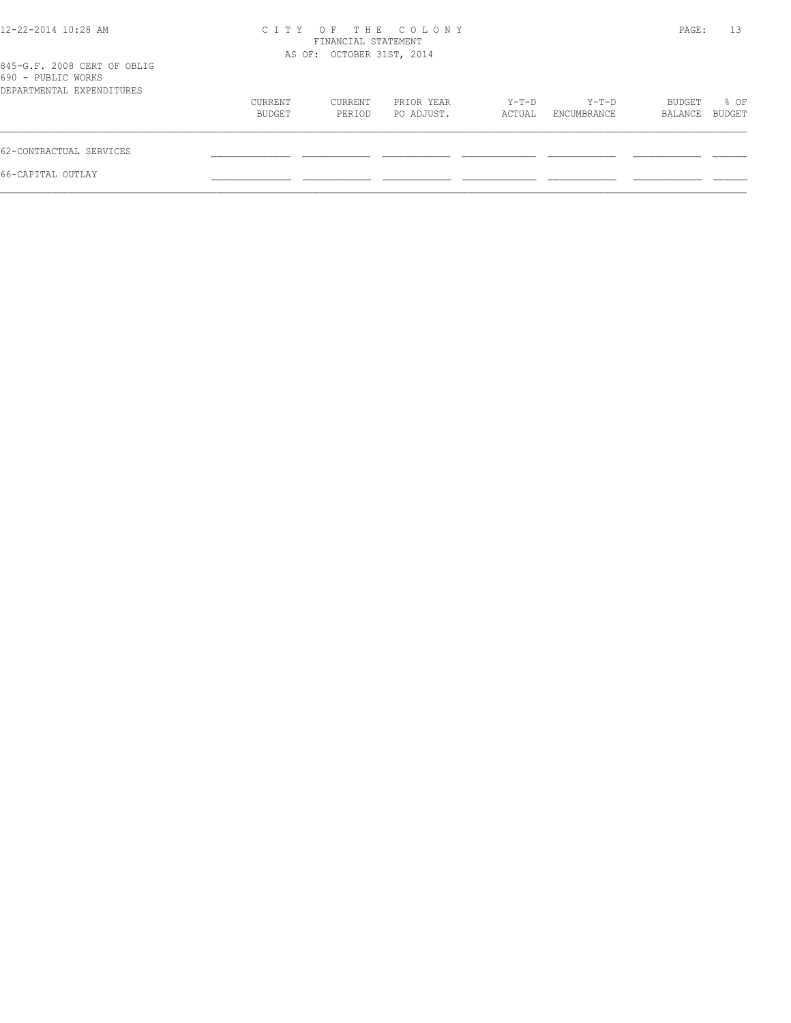| $12 - 22 - 2014$ $10:28$ AM                                                    |                   | FINANCIAL STATEMENT       | CITY OF THE COLONY       |                 |                      | PAGE:             | 13             |
|--------------------------------------------------------------------------------|-------------------|---------------------------|--------------------------|-----------------|----------------------|-------------------|----------------|
| 845-G.F. 2008 CERT OF OBLIG<br>690 - PUBLIC WORKS<br>DEPARTMENTAL EXPENDITURES |                   | AS OF: OCTOBER 31ST, 2014 |                          |                 |                      |                   |                |
|                                                                                | CURRENT<br>BUDGET | CURRENT<br>PERIOD         | PRIOR YEAR<br>PO ADJUST. | Y-T-D<br>ACTUAL | Y-T-D<br>ENCUMBRANCE | BUDGET<br>BALANCE | % OF<br>BUDGET |
| 62-CONTRACTUAL SERVICES                                                        |                   |                           |                          |                 |                      |                   |                |
| 66-CAPITAL OUTLAY                                                              |                   |                           |                          |                 |                      |                   |                |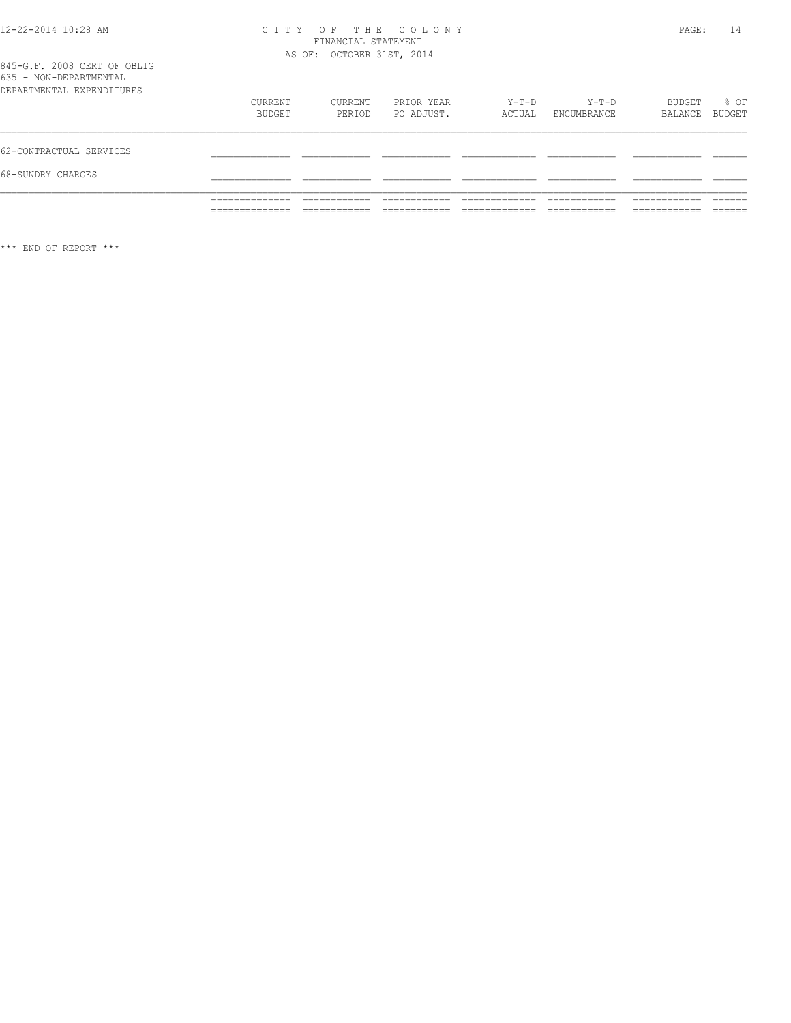#### 12-22-2014 10:28 AM C I T Y O F T H E C O L O N Y PAGE: 14 FINANCIAL STATEMENT AS OF: OCTOBER 31ST, 2014

| 845-G.F. 2008 CERT OF OBLIG |  |  |
|-----------------------------|--|--|
| 635 - NON-DEPARTMENTAL      |  |  |
| DEPARTMENTAL EXPENDITURES   |  |  |

\*\*\* END OF REPORT \*\*\*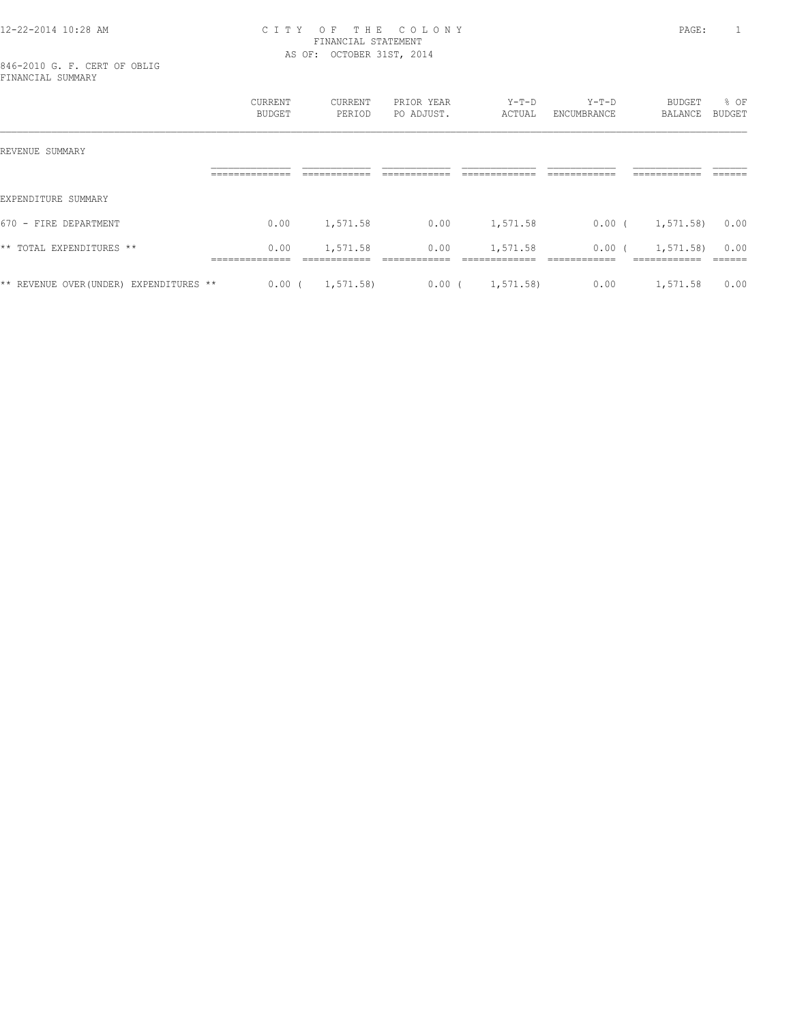#### 12-22-2014 10:28 AM C I T Y O F T H E C O L O N Y PAGE: 1 FINANCIAL STATEMENT AS OF: OCTOBER 31ST, 2014

846-2010 G. F. CERT OF OBLIG FINANCIAL SUMMARY

|                                         | CURRENT<br>BUDGET                        | <b>CURRENT</b><br>PERIOD | PRIOR YEAR<br>PO ADJUST. | $Y-T-D$<br>ACTUAL        | $Y-T-D$<br>ENCUMBRANCE             | <b>BUDGET</b><br><b>BALANCE</b>          | % OF<br>BUDGET    |
|-----------------------------------------|------------------------------------------|--------------------------|--------------------------|--------------------------|------------------------------------|------------------------------------------|-------------------|
| REVENUE SUMMARY                         |                                          |                          |                          |                          |                                    |                                          |                   |
|                                         | ______________<br>-----------            | ____________             | -------------            | ____________             | -------------                      | -------------<br>-----------             | -------<br>______ |
| EXPENDITURE SUMMARY                     |                                          |                          |                          |                          |                                    |                                          |                   |
| 670 - FIRE DEPARTMENT                   | 0.00                                     | 1,571.58                 | 0.00                     | 1,571.58                 | 0.00(                              | 1,571.58                                 | 0.00              |
| ** TOTAL EXPENDITURES **                | 0.00<br>______________<br>______________ | 1,571.58<br>____________ | 0.00<br>-------------    | 1,571.58<br>____________ | 0.00 <sub>1</sub><br>------------- | 1,571.58)<br>____________<br>----------- | 0.00<br>-------   |
| ** REVENUE OVER (UNDER) EXPENDITURES ** | $0.00$ (                                 | 1, 571.58                | 0.00(                    | 1, 571.58                | 0.00                               | 1,571.58                                 | 0.00              |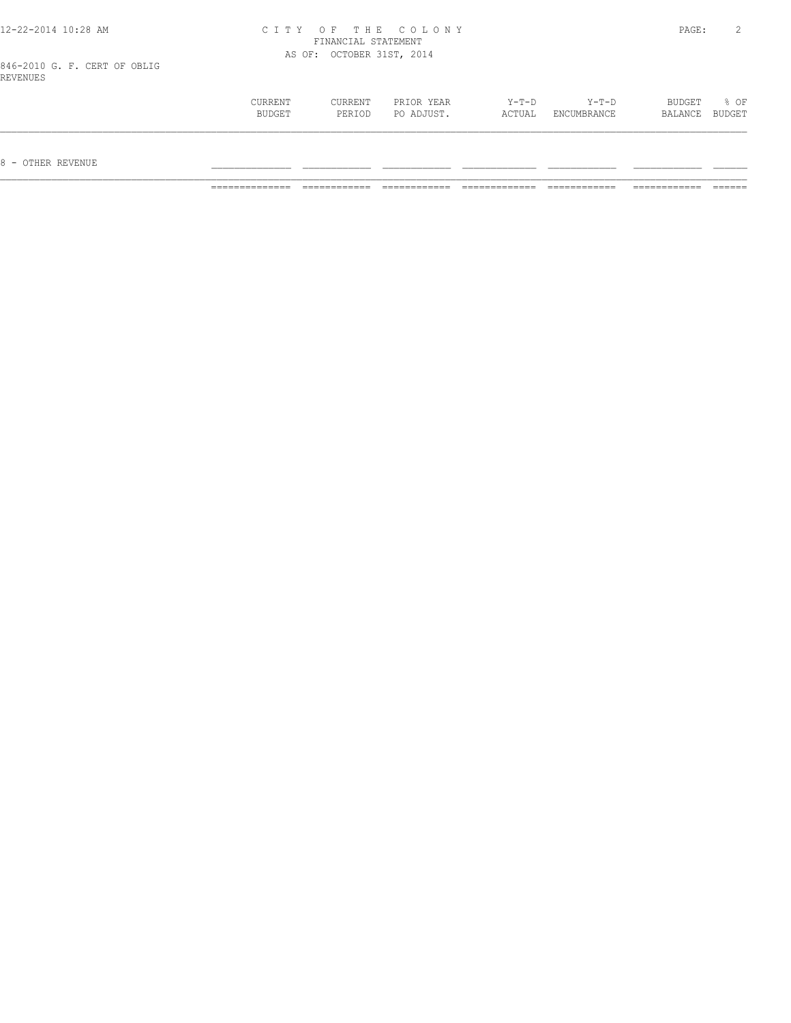| 12-22-2014 10:28 AM |
|---------------------|
|---------------------|

#### 12-22-2014 10:28 AM C I T Y O F T H E C O L O N Y PAGE: 2 FINANCIAL STATEMENT AS OF: OCTOBER 31ST, 2014

846-2010 G. F. CERT OF OBLIG REVENUES

| CURRENT | <b>CURRENT</b> | PRIOR YEAR | $Y-T-D$ | Y-T-D       | BUDGET  | % OF   |
|---------|----------------|------------|---------|-------------|---------|--------|
| BUDGET  | PERIOD         | PO ADJUST. | ACTUAL  | ENCUMBRANCE | BALANCE | BUDGET |
|         |                |            |         |             |         |        |
|         |                |            |         |             |         |        |
|         |                |            |         |             |         |        |

 $8$  – OTHER REVENUE

============== ============ ============ ============= ============ ============ ======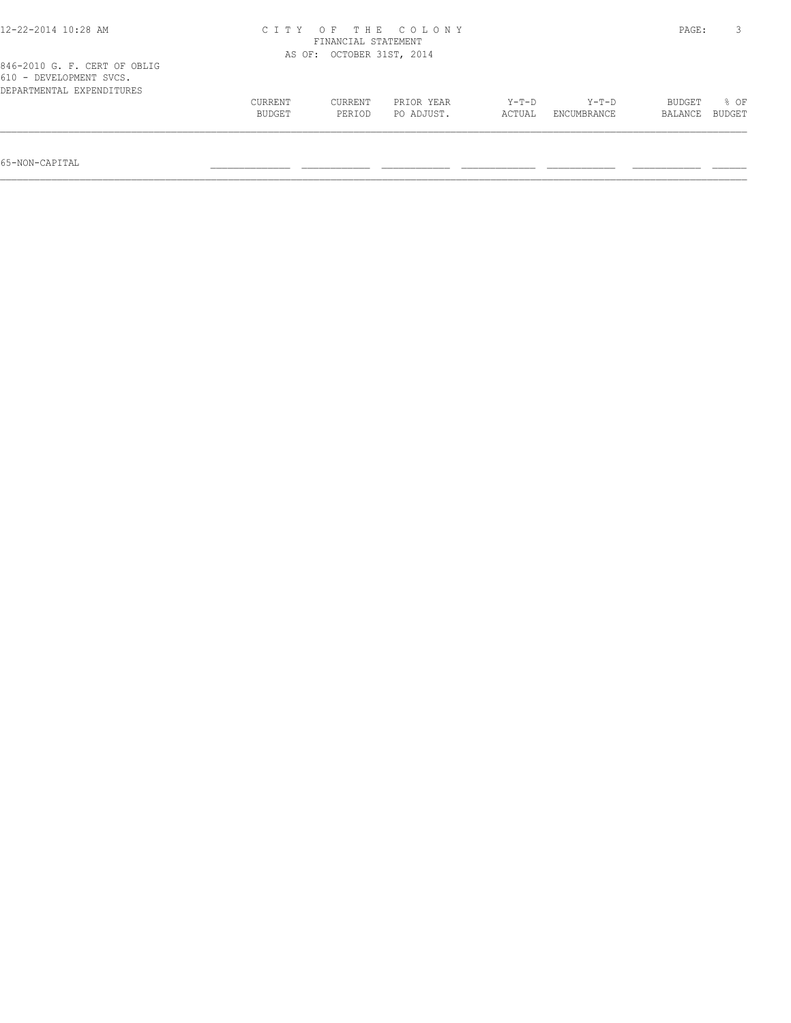| 12-22-2014 10:28 AM                                                                  | CITY OF THE COLONY | PAGE:                     |                          |                   |                        |                   |                |
|--------------------------------------------------------------------------------------|--------------------|---------------------------|--------------------------|-------------------|------------------------|-------------------|----------------|
|                                                                                      |                    | AS OF: OCTOBER 31ST, 2014 |                          |                   |                        |                   |                |
| 846-2010 G. F. CERT OF OBLIG<br>610 - DEVELOPMENT SVCS.<br>DEPARTMENTAL EXPENDITURES |                    |                           |                          |                   |                        |                   |                |
|                                                                                      | CURRENT<br>BUDGET  | CURRENT<br>PERIOD         | PRIOR YEAR<br>PO ADJUST. | $Y-T-D$<br>ACTUAL | $Y-T-D$<br>ENCUMBRANCE | BUDGET<br>BALANCE | 8 OF<br>BUDGET |
|                                                                                      |                    |                           |                          |                   |                        |                   |                |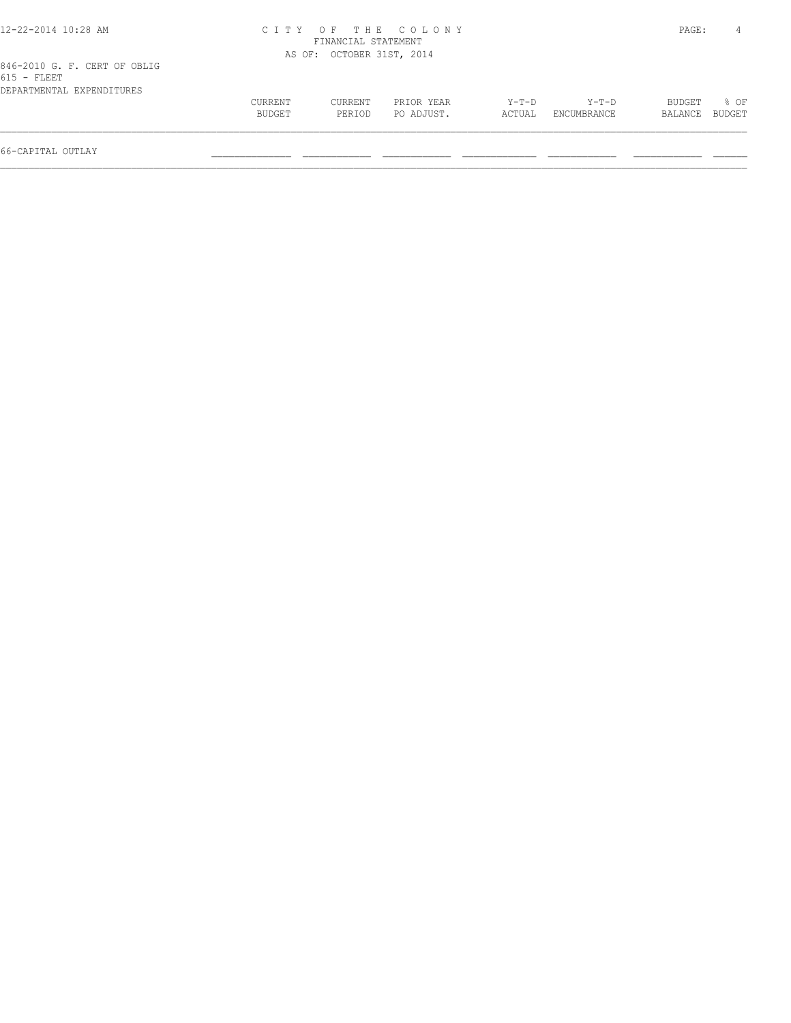| 12-22-2014 10:28 AM          |         |                           | CITY OF THE COLONY |        |             | PAGE:   |        |
|------------------------------|---------|---------------------------|--------------------|--------|-------------|---------|--------|
|                              |         | FINANCIAL STATEMENT       |                    |        |             |         |        |
|                              |         | AS OF: OCTOBER 31ST, 2014 |                    |        |             |         |        |
| 846-2010 G. F. CERT OF OBLIG |         |                           |                    |        |             |         |        |
| $615$ - FLEET                |         |                           |                    |        |             |         |        |
| DEPARTMENTAL EXPENDITURES    |         |                           |                    |        |             |         |        |
|                              | CURRENT | CURRENT                   | PRIOR YEAR         | Y-T-D  | Y-T-D       | BUDGET  | 8 OF   |
|                              | BUDGET  | PERTOD                    | PO ADJUST.         | ACTUAL | ENCUMBRANCE | BALANCE | BUDGET |
|                              |         |                           |                    |        |             |         |        |
|                              |         |                           |                    |        |             |         |        |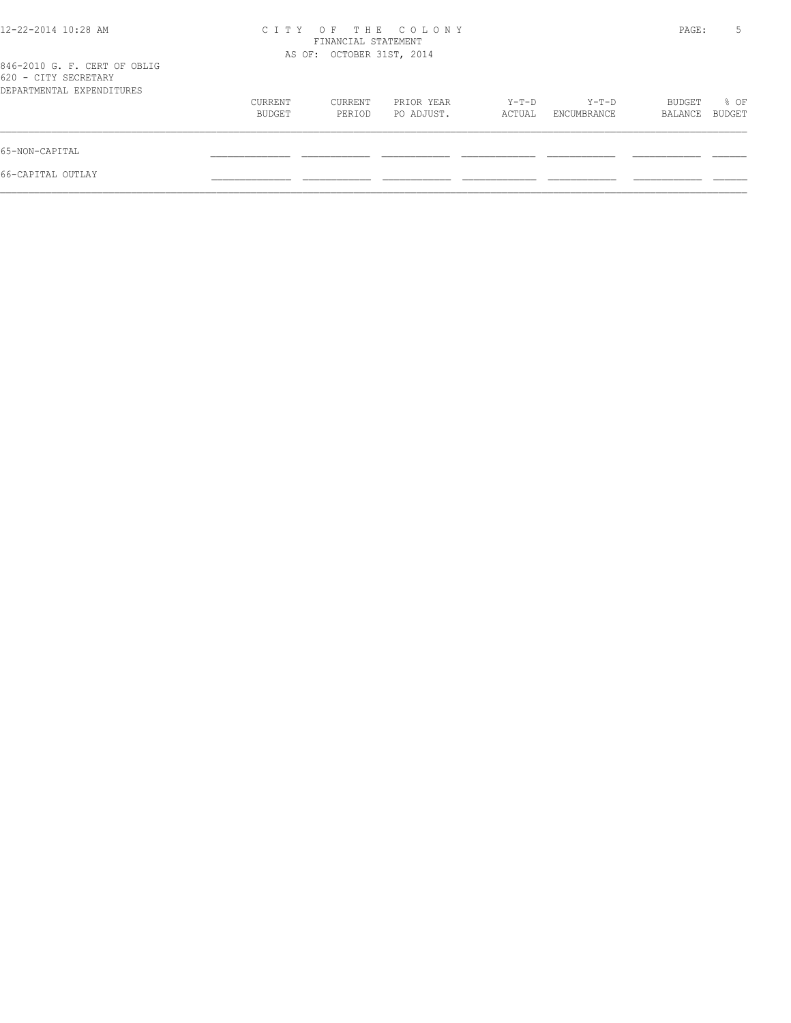| 12-22-2014 10:28 AM                                                               | C T T Y<br>$O$ F  |                           | PAGE:                    |                   |                      |                   |                |
|-----------------------------------------------------------------------------------|-------------------|---------------------------|--------------------------|-------------------|----------------------|-------------------|----------------|
| 846-2010 G. F. CERT OF OBLIG<br>620 - CITY SECRETARY<br>DEPARTMENTAL EXPENDITURES |                   | AS OF: OCTOBER 31ST, 2014 |                          |                   |                      |                   |                |
|                                                                                   | CURRENT<br>BUDGET | CURRENT<br>PERIOD         | PRIOR YEAR<br>PO ADJUST. | $Y-T-D$<br>ACTUAL | Y-T-D<br>ENCUMBRANCE | BUDGET<br>BALANCE | % OF<br>BUDGET |
| 65-NON-CAPITAL                                                                    |                   |                           |                          |                   |                      |                   |                |
| 66-CAPITAL OUTLAY                                                                 |                   |                           |                          |                   |                      |                   |                |
|                                                                                   |                   |                           |                          |                   |                      |                   |                |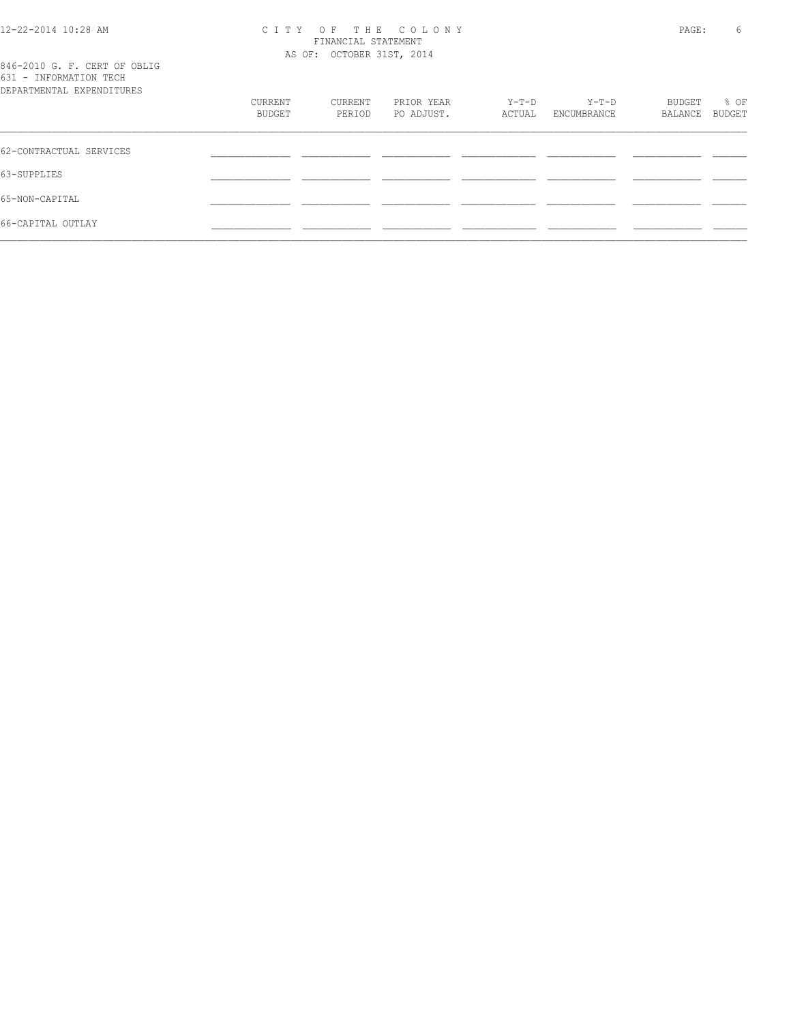#### 12-22-2014 10:28 AM C I T Y O F T H E C O L O N Y PAGE: 6 FINANCIAL STATEMENT AS OF: OCTOBER 31ST, 2014

|                          |  |  |  | 846-2010 G. F. CERT OF OBLIG |  |
|--------------------------|--|--|--|------------------------------|--|
| 631 - INFORMATION TECH   |  |  |  |                              |  |
| RPARTMENTAL EXPENDITHERS |  |  |  |                              |  |

| DEPARTMENTAL EXPENDITURES |         |         |            |        |             |         |        |
|---------------------------|---------|---------|------------|--------|-------------|---------|--------|
|                           | CURRENT | CURRENT | PRIOR YEAR | Y-T-D  | Y-T-D       | BUDGET  | % OF   |
|                           | BUDGET  | PERIOD  | PO ADJUST. | ACTUAL | ENCUMBRANCE | BALANCE | BUDGET |
|                           |         |         |            |        |             |         |        |
| 62-CONTRACTUAL SERVICES   |         |         |            |        |             |         |        |
| 63-SUPPLIES               |         |         |            |        |             |         |        |
| 65-NON-CAPITAL            |         |         |            |        |             |         |        |
| 66-CAPITAL OUTLAY         |         |         |            |        |             |         |        |
|                           |         |         |            |        |             |         |        |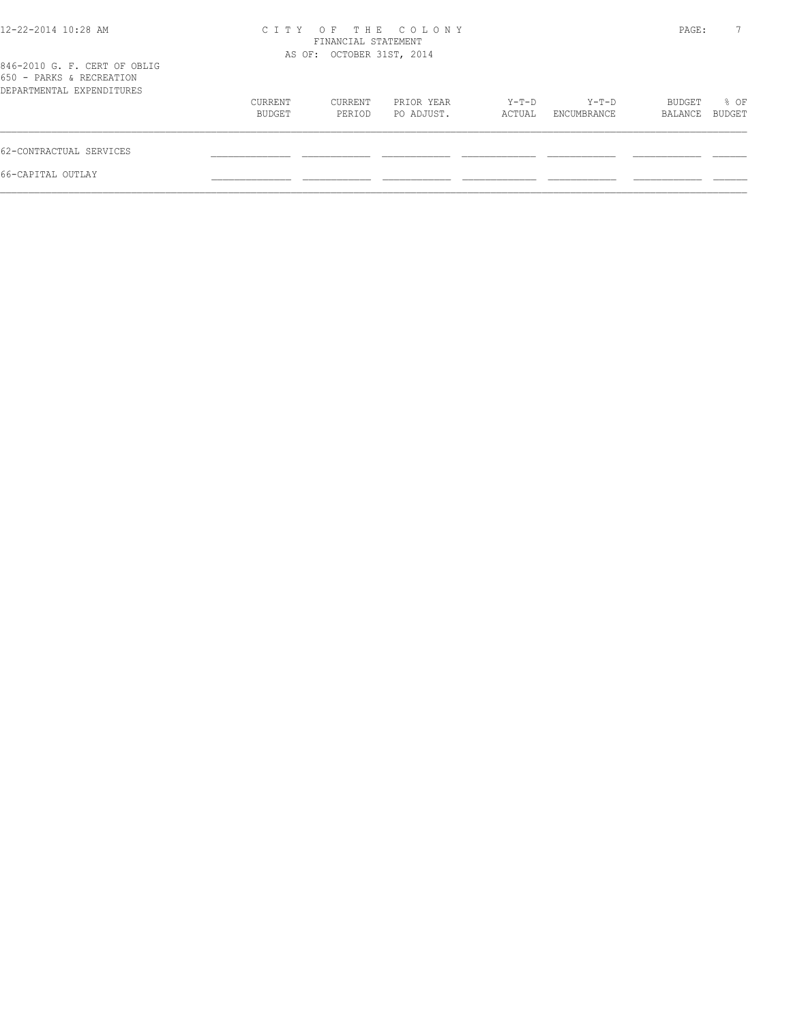| 12-22-2014 10:28 AM                                                                   | CITY OF THE COLONY<br>FINANCIAL STATEMENT<br>AS OF: OCTOBER 31ST, 2014 |                   |                          |                 |                      | PAGE:             |                |  |
|---------------------------------------------------------------------------------------|------------------------------------------------------------------------|-------------------|--------------------------|-----------------|----------------------|-------------------|----------------|--|
| 846-2010 G. F. CERT OF OBLIG<br>650 - PARKS & RECREATION<br>DEPARTMENTAL EXPENDITURES |                                                                        |                   |                          |                 |                      |                   |                |  |
|                                                                                       | CURRENT<br>BUDGET                                                      | CURRENT<br>PERIOD | PRIOR YEAR<br>PO ADJUST. | Y-T-D<br>ACTUAL | Y-T-D<br>ENCUMBRANCE | BUDGET<br>BALANCE | % OF<br>BUDGET |  |
| 62-CONTRACTUAL SERVICES                                                               |                                                                        |                   |                          |                 |                      |                   |                |  |
| 66-CAPITAL OUTLAY                                                                     |                                                                        |                   |                          |                 |                      |                   |                |  |
|                                                                                       |                                                                        |                   |                          |                 |                      |                   |                |  |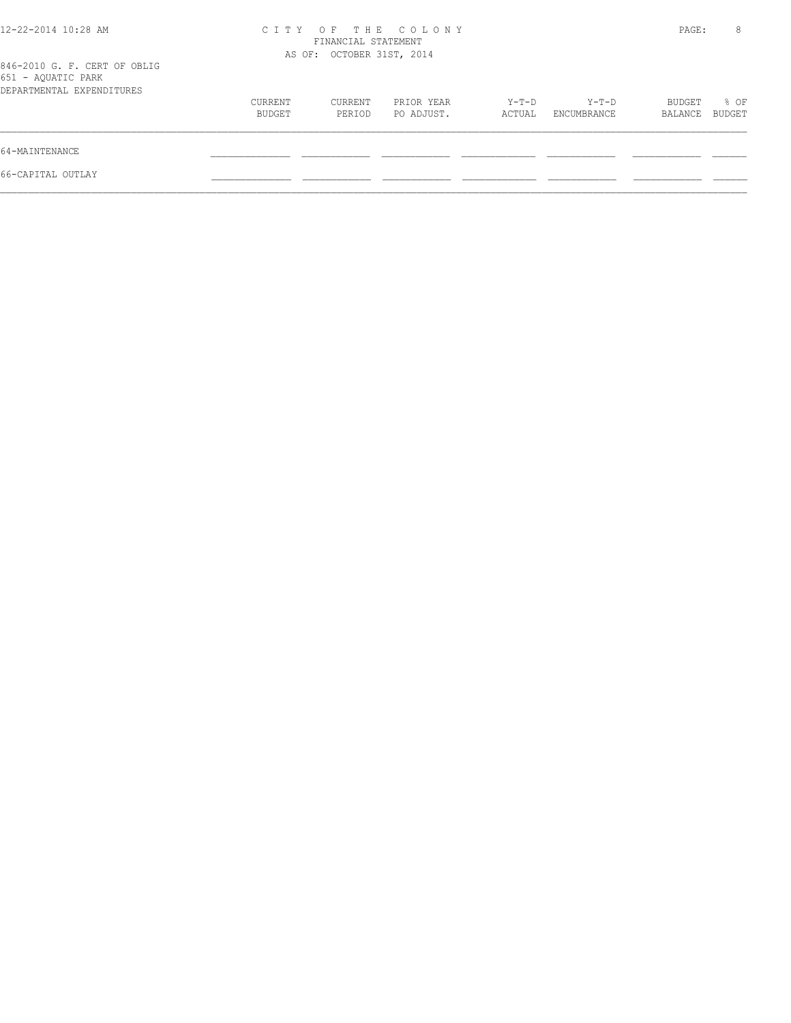| 12-22-2014 10:28 AM                                                             | CITY OF THE COLONY<br>FINANCIAL STATEMENT<br>AS OF: OCTOBER 31ST, 2014 |                   |                          |                   |                      |                   | 8              |
|---------------------------------------------------------------------------------|------------------------------------------------------------------------|-------------------|--------------------------|-------------------|----------------------|-------------------|----------------|
| 846-2010 G. F. CERT OF OBLIG<br>651 - AQUATIC PARK<br>DEPARTMENTAL EXPENDITURES |                                                                        |                   |                          |                   |                      |                   |                |
|                                                                                 | CURRENT<br>BUDGET                                                      | CURRENT<br>PERIOD | PRIOR YEAR<br>PO ADJUST. | $Y-T-D$<br>ACTUAL | Y-T-D<br>ENCUMBRANCE | BUDGET<br>BALANCE | % OF<br>BUDGET |
| 64-MAINTENANCE                                                                  |                                                                        |                   |                          |                   |                      |                   |                |
| 66-CAPITAL OUTLAY                                                               |                                                                        |                   |                          |                   |                      |                   |                |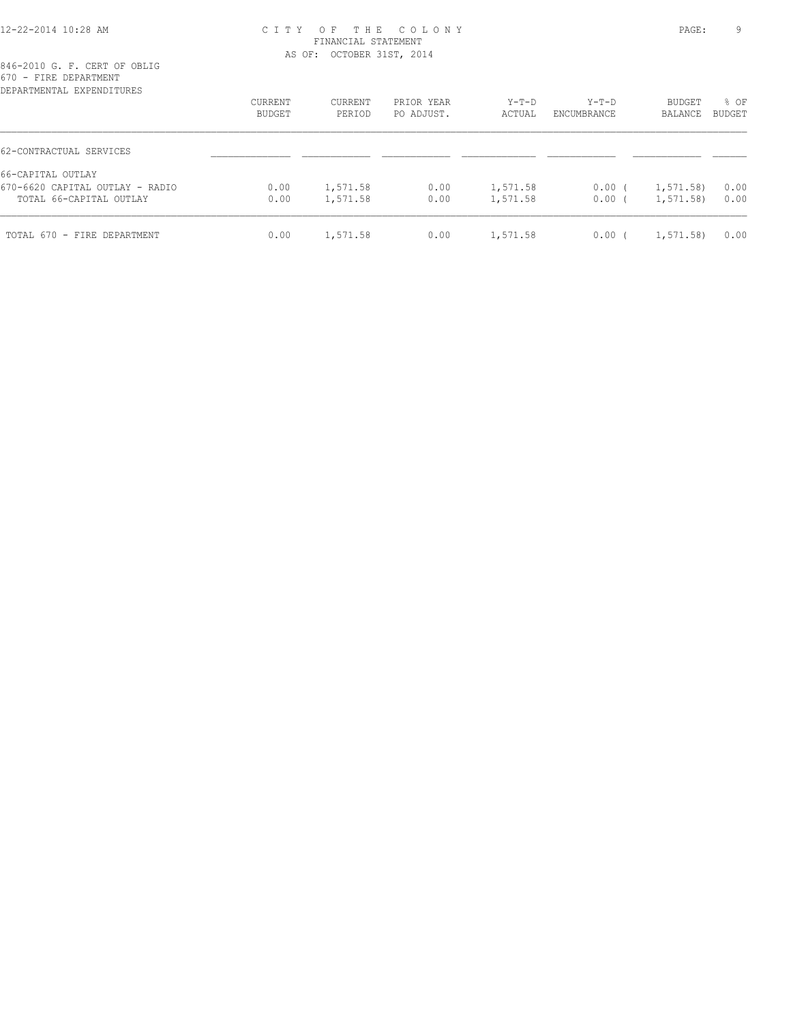#### 12-22-2014 10:28 AM C I T Y O F T H E C O L O N Y PAGE: 9 FINANCIAL STATEMENT AS OF: OCTOBER 31ST, 2014

| DEPARTMENTAL EXPENDITURES       |         |          |            |          |             |               |               |
|---------------------------------|---------|----------|------------|----------|-------------|---------------|---------------|
|                                 | CURRENT | CURRENT  | PRIOR YEAR | $Y-T-D$  | $Y-T-D$     | <b>BUDGET</b> | % OF          |
|                                 | BUDGET  | PERIOD   | PO ADJUST. | ACTUAL   | ENCUMBRANCE | BALANCE       | <b>BUDGET</b> |
| 62-CONTRACTUAL SERVICES         |         |          |            |          |             |               |               |
| 66-CAPITAL OUTLAY               |         |          |            |          |             |               |               |
| 670-6620 CAPITAL OUTLAY - RADIO | 0.00    | 1,571.58 | 0.00       | 1,571.58 | $0.00$ (    | 1, 571.58     | 0.00          |
| TOTAL 66-CAPITAL OUTLAY         | 0.00    | 1,571.58 | 0.00       | 1,571.58 | $0.00$ (    | 1,571.58)     | 0.00          |
| TOTAL 670 - FIRE DEPARTMENT     | 0.00    | 1,571.58 | 0.00       | 1,571.58 | 0.00        | 1,571.58)     | 0.00          |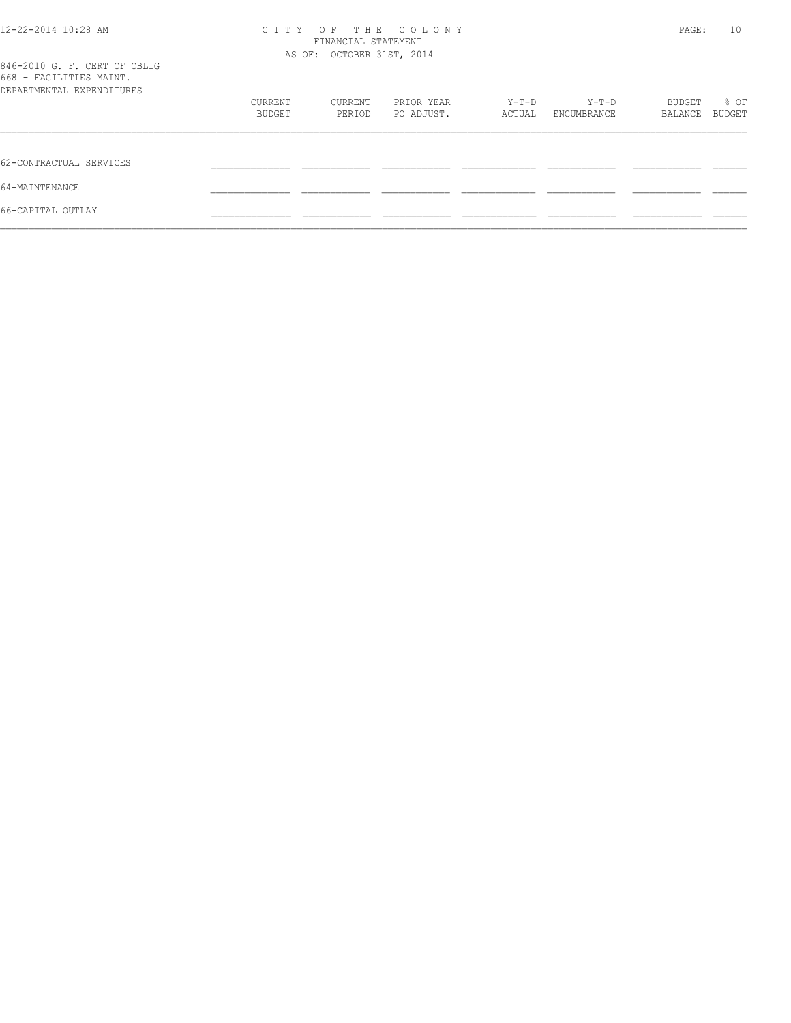| 12-22-2014 10:28 AM                                                                  | CITY OF THE COLONY<br>FINANCIAL STATEMENT<br>AS OF: OCTOBER 31ST, 2014 |                   |                          |                 |                      | PAGE:             | 10             |
|--------------------------------------------------------------------------------------|------------------------------------------------------------------------|-------------------|--------------------------|-----------------|----------------------|-------------------|----------------|
| 846-2010 G. F. CERT OF OBLIG<br>668 - FACILITIES MAINT.<br>DEPARTMENTAL EXPENDITURES |                                                                        |                   |                          |                 |                      |                   |                |
|                                                                                      | CURRENT<br>BUDGET                                                      | CURRENT<br>PERIOD | PRIOR YEAR<br>PO ADJUST. | Y-T-D<br>ACTUAL | Y-T-D<br>ENCUMBRANCE | BUDGET<br>BALANCE | % OF<br>BUDGET |
| 62-CONTRACTUAL SERVICES                                                              |                                                                        |                   |                          |                 |                      |                   |                |
| 64-MAINTENANCE                                                                       |                                                                        |                   |                          |                 |                      |                   |                |
| 66-CAPITAL OUTLAY                                                                    |                                                                        |                   |                          |                 |                      |                   |                |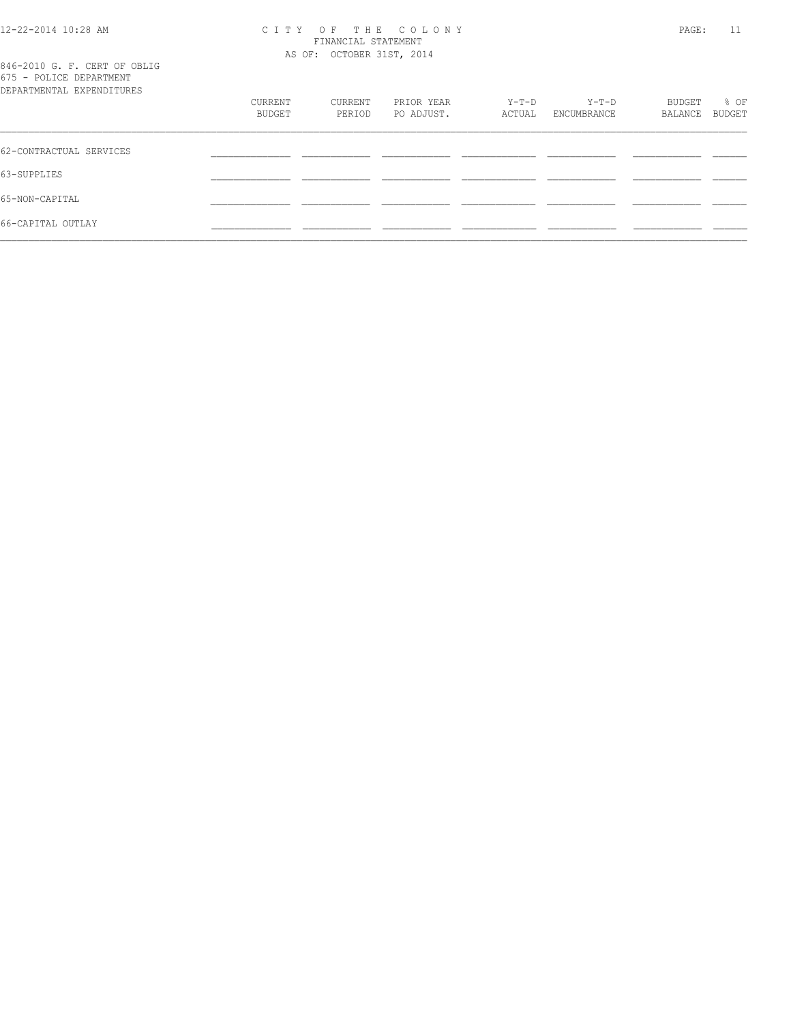#### 12-22-2014 10:28 AM C I T Y O F T H E C O L O N Y PAGE: 11 FINANCIAL STATEMENT AS OF: OCTOBER 31ST, 2014

|                          |  |  |  |  | 846-2010 G. F. CERT OF OBLIG |
|--------------------------|--|--|--|--|------------------------------|
| 675 - POLICE DEPARTMENT  |  |  |  |  |                              |
| RPARTMENTAL EXPENDITHERS |  |  |  |  |                              |

| DEPARTMENTAL EXPENDITURES |                   |                   |                          |                 |                      |                   |                |
|---------------------------|-------------------|-------------------|--------------------------|-----------------|----------------------|-------------------|----------------|
|                           | CURRENT<br>BUDGET | CURRENT<br>PERIOD | PRIOR YEAR<br>PO ADJUST. | Y-T-D<br>ACTUAL | Y-T-D<br>ENCUMBRANCE | BUDGET<br>BALANCE | % OF<br>BUDGET |
|                           |                   |                   |                          |                 |                      |                   |                |
| 62-CONTRACTUAL SERVICES   |                   |                   |                          |                 |                      |                   |                |
| 63-SUPPLIES               |                   |                   |                          |                 |                      |                   |                |
| 65-NON-CAPITAL            |                   |                   |                          |                 |                      |                   |                |
| 66-CAPITAL OUTLAY         |                   |                   |                          |                 |                      |                   |                |
|                           |                   |                   |                          |                 |                      |                   |                |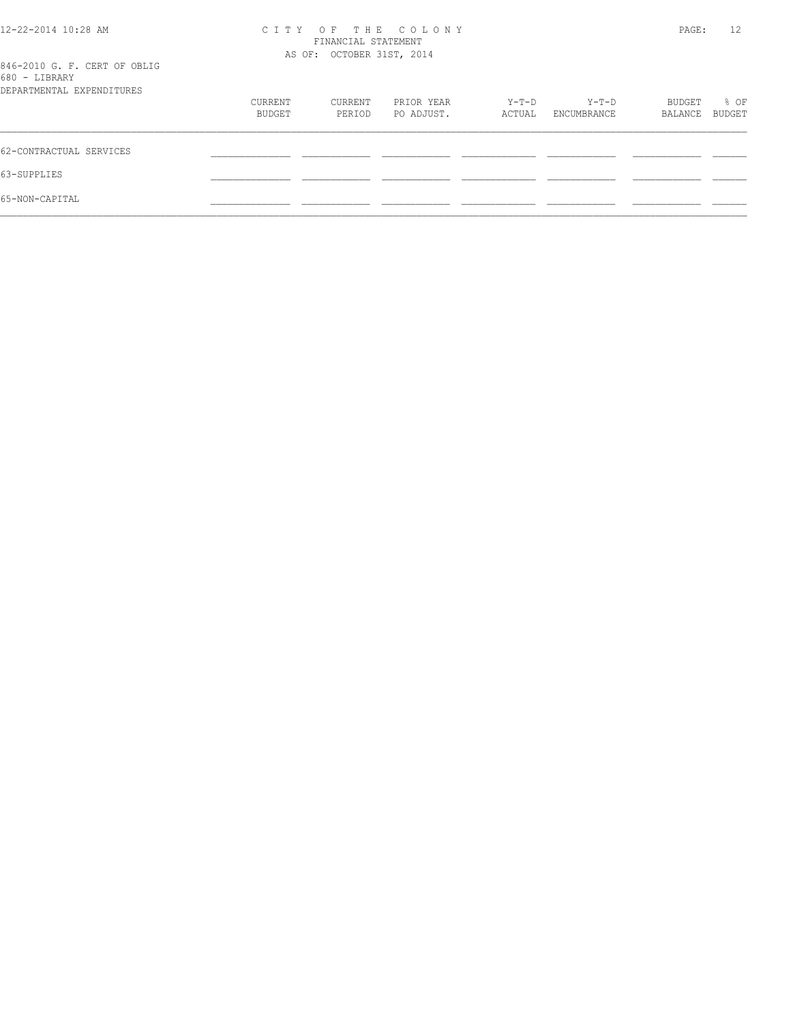| 12-22-2014 10:28 AM                           | CITY OF THE COLONY | PAGE:                     | 12         |        |             |         |               |
|-----------------------------------------------|--------------------|---------------------------|------------|--------|-------------|---------|---------------|
|                                               |                    | AS OF: OCTOBER 31ST, 2014 |            |        |             |         |               |
| 846-2010 G. F. CERT OF OBLIG<br>680 - LIBRARY |                    |                           |            |        |             |         |               |
| DEPARTMENTAL EXPENDITURES                     |                    |                           |            |        |             |         |               |
|                                               | CURRENT            | CURRENT                   | PRIOR YEAR | Y-T-D  | Y-T-D       | BUDGET  | % OF          |
|                                               | BUDGET             | PERIOD                    | PO ADJUST. | ACTUAL | ENCUMBRANCE | BALANCE | <b>BUDGET</b> |
| 62-CONTRACTUAL SERVICES                       |                    |                           |            |        |             |         |               |
| 63-SUPPLIES                                   |                    |                           |            |        |             |         |               |
| 65-NON-CAPITAL                                |                    |                           |            |        |             |         |               |
|                                               |                    |                           |            |        |             |         |               |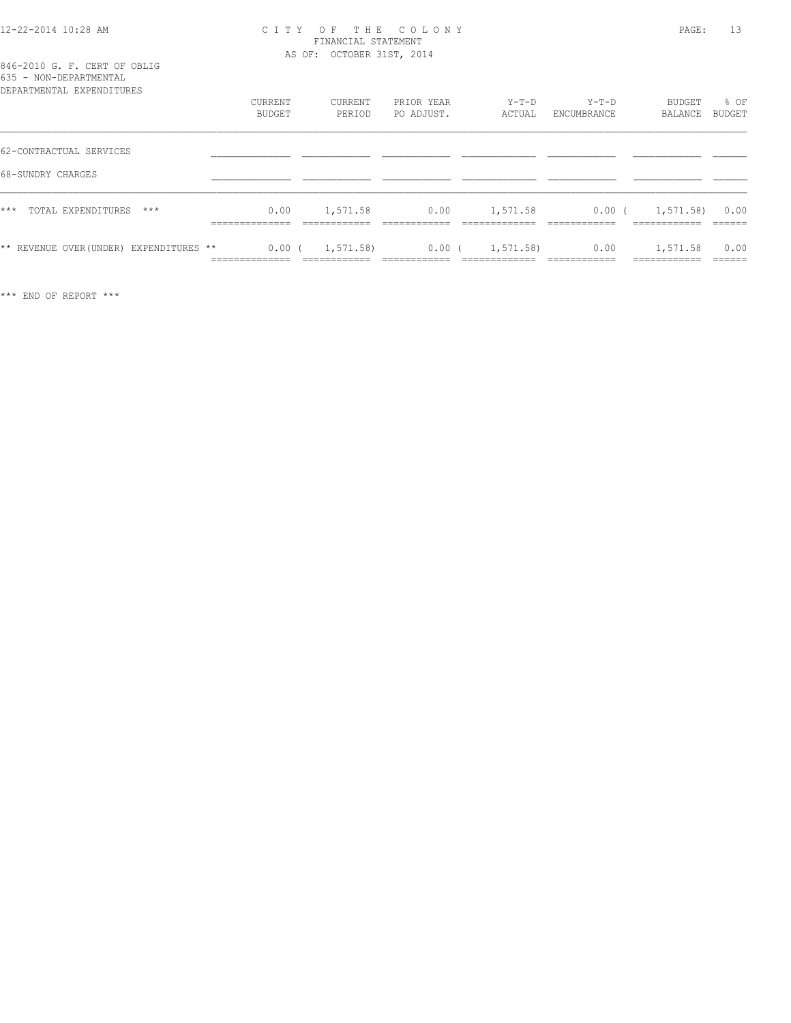#### 12-22-2014 10:28 AM C I T Y O F T H E C O L O N Y PAGE: 13 FINANCIAL STATEMENT AS OF: OCTOBER 31ST, 2014

### 846-2010 G. F. CERT OF OBLIG 635 - NON-DEPARTMENTAL

| DEPARTMENTAL EXPENDITURES                    | CURRENT<br>BUDGET                        | CURRENT<br>PERIOD | PRIOR YEAR<br>PO ADJUST. | $Y-T-D$<br>ACTUAL | $Y-T-D$<br>ENCUMBRANCE | BUDGET<br>BALANCE       | % OF<br><b>BUDGET</b> |
|----------------------------------------------|------------------------------------------|-------------------|--------------------------|-------------------|------------------------|-------------------------|-----------------------|
| 62-CONTRACTUAL SERVICES<br>68-SUNDRY CHARGES |                                          |                   |                          |                   |                        |                         |                       |
| $***$<br>TOTAL EXPENDITURES<br>$***$         | 0.00<br>______________<br>.              | 1,571.58          | 0.00                     | 1,571.58          | $0.00$ (               | 1, 571.58               | 0.00                  |
| ** REVENUE OVER (UNDER) EXPENDITURES **      | 0.00(<br>_____________<br>______________ | 1,571.58)         | 0.00(                    | 1, 571.58         | 0.00                   | 1,571.58<br>___________ | 0.00<br>______        |

\*\*\* END OF REPORT \*\*\*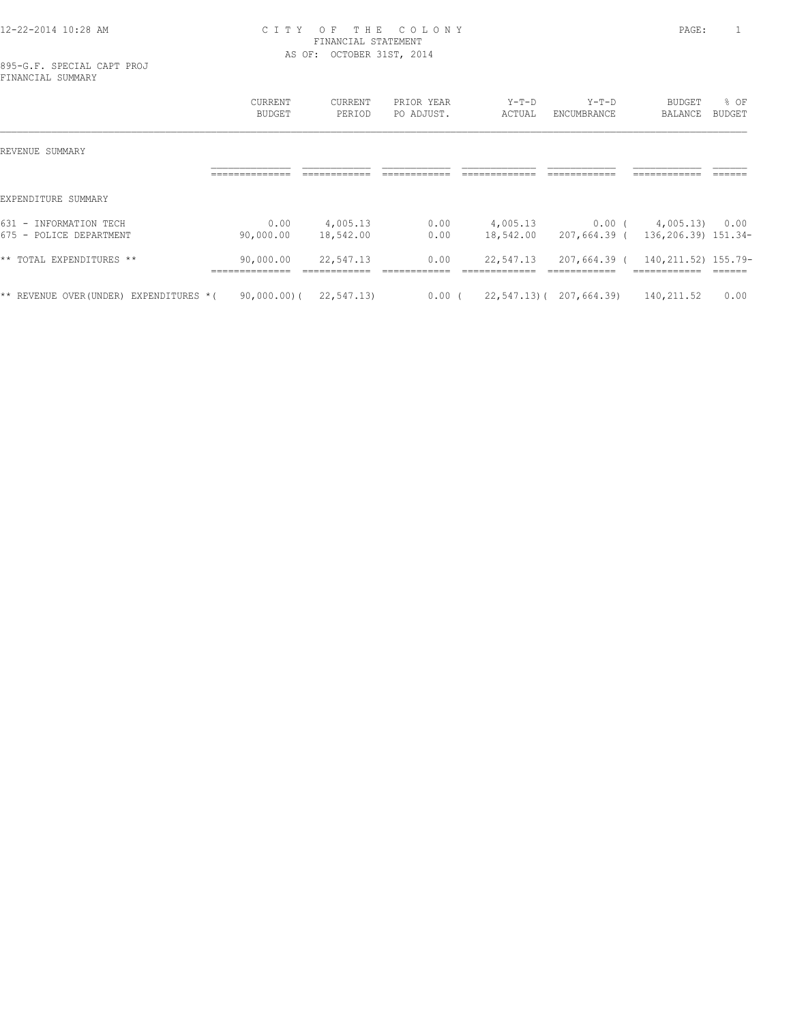#### 12-22-2014 10:28 AM C I T Y O F T H E C O L O N Y PAGE: 1 FINANCIAL STATEMENT AS OF: OCTOBER 31ST, 2014

895-G.F. SPECIAL CAPT PROJ FINANCIAL SUMMARY

|                                                        | <b>CURRENT</b><br><b>BUDGET</b>              | <b>CURRENT</b><br>PERIOD | PRIOR YEAR<br>PO ADJUST. | $Y-T-D$<br>ACTUAL     | $Y-T-D$<br>ENCUMBRANCE       | <b>BUDGET</b><br><b>BALANCE</b>                      | % OF<br>BUDGET |
|--------------------------------------------------------|----------------------------------------------|--------------------------|--------------------------|-----------------------|------------------------------|------------------------------------------------------|----------------|
| REVENUE SUMMARY                                        |                                              |                          |                          |                       |                              |                                                      |                |
|                                                        |                                              |                          |                          |                       |                              |                                                      |                |
| EXPENDITURE<br>SUMMARY                                 |                                              |                          |                          |                       |                              |                                                      |                |
| $631 -$<br>INFORMATION TECH<br>675 - POLICE DEPARTMENT | 0.00<br>90,000.00                            | 4,005.13<br>18,542.00    | 0.00<br>0.00             | 4,005.13<br>18,542.00 | $0.00$ (<br>207,664.39 (     | 4,005.13<br>136,206.39) 151.34-                      | 0.00           |
| ** TOTAL EXPENDITURES **                               | 90,000.00<br>______________<br>_____________ | 22,547.13                | 0.00                     | 22,547.13             | 207,664.39 (<br>------------ | 140, 211.52) 155.79-<br>------------<br>____________ | ______         |
| ** REVENUE OVER (UNDER) EXPENDITURES * (               | $90,000.00)$ (                               | 22,547.13)               | $0.00$ (                 | $22, 547, 13$ ) (     | 207,664.39)                  | 140,211.52                                           | 0.00           |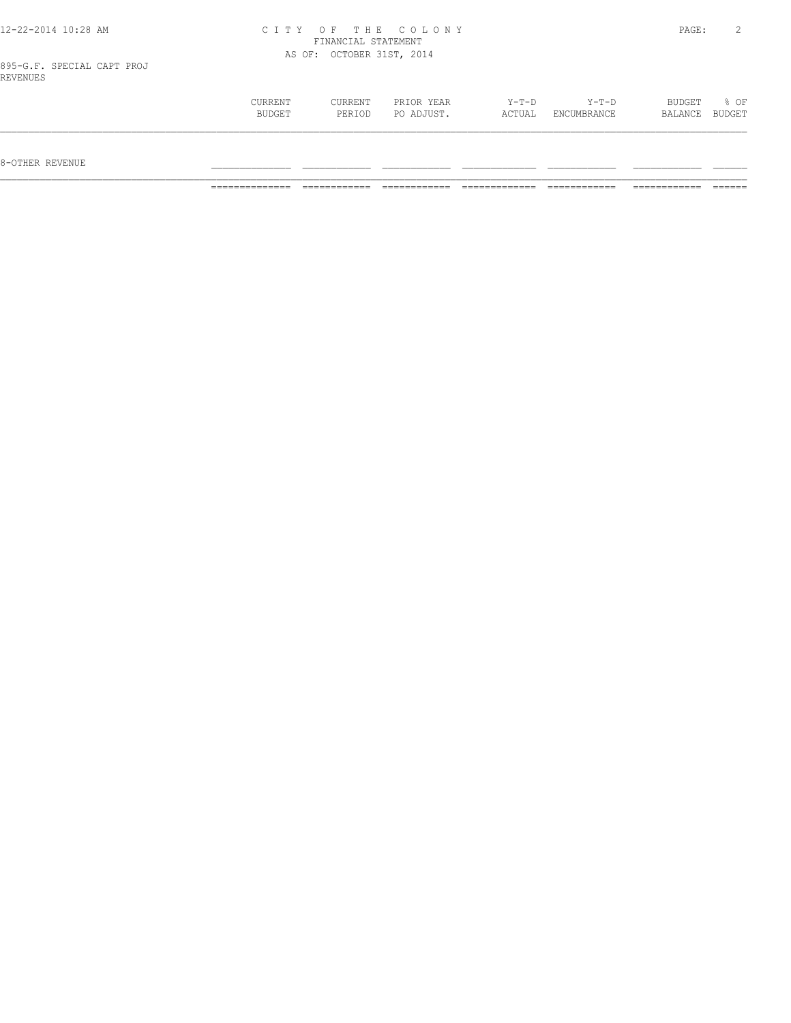#### 12-22-2014 10:28 AM C I T Y O F T H E C O L O N Y PAGE: 2 FINANCIAL STATEMENT AS OF: OCTOBER 31ST, 2014

895-G.F. SPECIAL CAPT PROJ REVENUES

| CURRENT<br>CURRENT | PRIOR YEAR | $Y-T-D$ | $Y-T-D$     | BUDGET  | % OF   |
|--------------------|------------|---------|-------------|---------|--------|
| BUDGET<br>PERIOD   | PO ADJUST. | ACTUAL  | ENCUMBRANCE | BALANCE | BUDGET |
|                    |            |         |             |         |        |
|                    |            |         |             |         |        |
|                    |            |         |             |         |        |

 $8-{\rm OFF}$  revenue  $\_$ 

============== ============ ============ ============= ============ ============ ======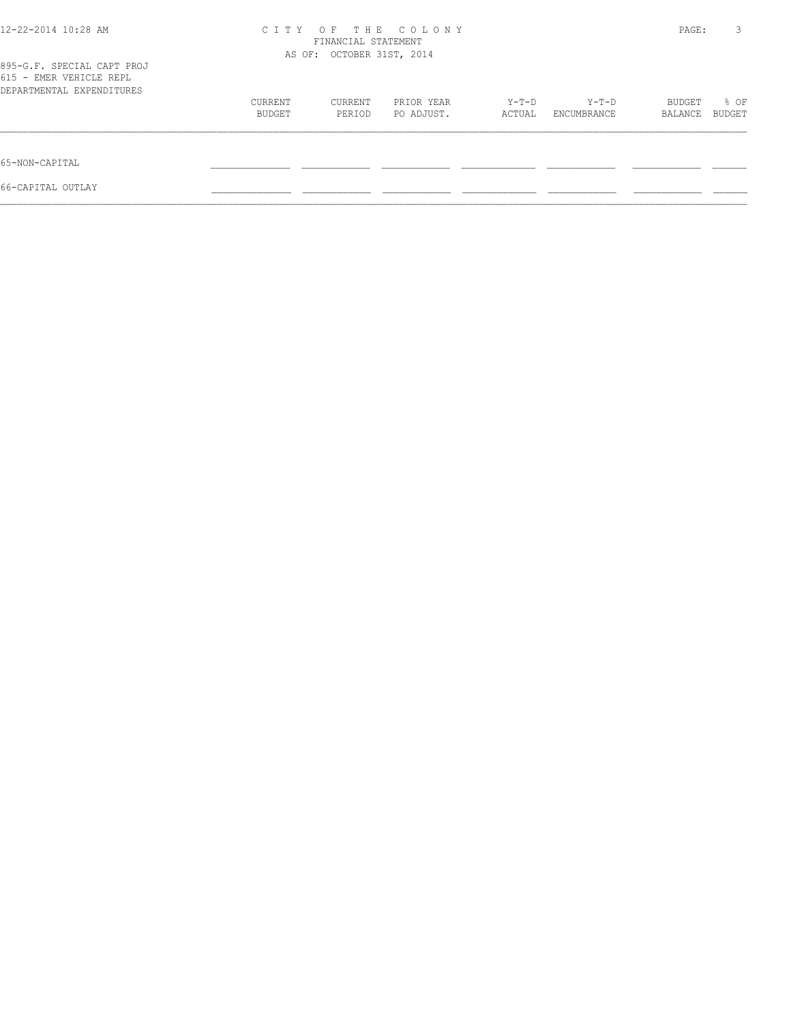| 12-22-2014 10:28 AM                                                                | C T T Y | O F<br>FINANCIAL STATEMENT<br>AS OF: OCTOBER 31ST, 2014 | THE COLONY |        |             | PAGE:   | 3      |
|------------------------------------------------------------------------------------|---------|---------------------------------------------------------|------------|--------|-------------|---------|--------|
| 895-G.F. SPECIAL CAPT PROJ<br>615 - EMER VEHICLE REPL<br>DEPARTMENTAL EXPENDITURES |         |                                                         |            |        |             |         |        |
|                                                                                    | CURRENT | CURRENT                                                 | PRIOR YEAR | Y-T-D  | Y-T-D       | BUDGET  | % OF   |
|                                                                                    | BUDGET  | PERIOD                                                  | PO ADJUST. | ACTUAL | ENCUMBRANCE | BALANCE | BUDGET |
| 65-NON-CAPITAL                                                                     |         |                                                         |            |        |             |         |        |
| 66-CAPITAL OUTLAY                                                                  |         |                                                         |            |        |             |         |        |
|                                                                                    |         |                                                         |            |        |             |         |        |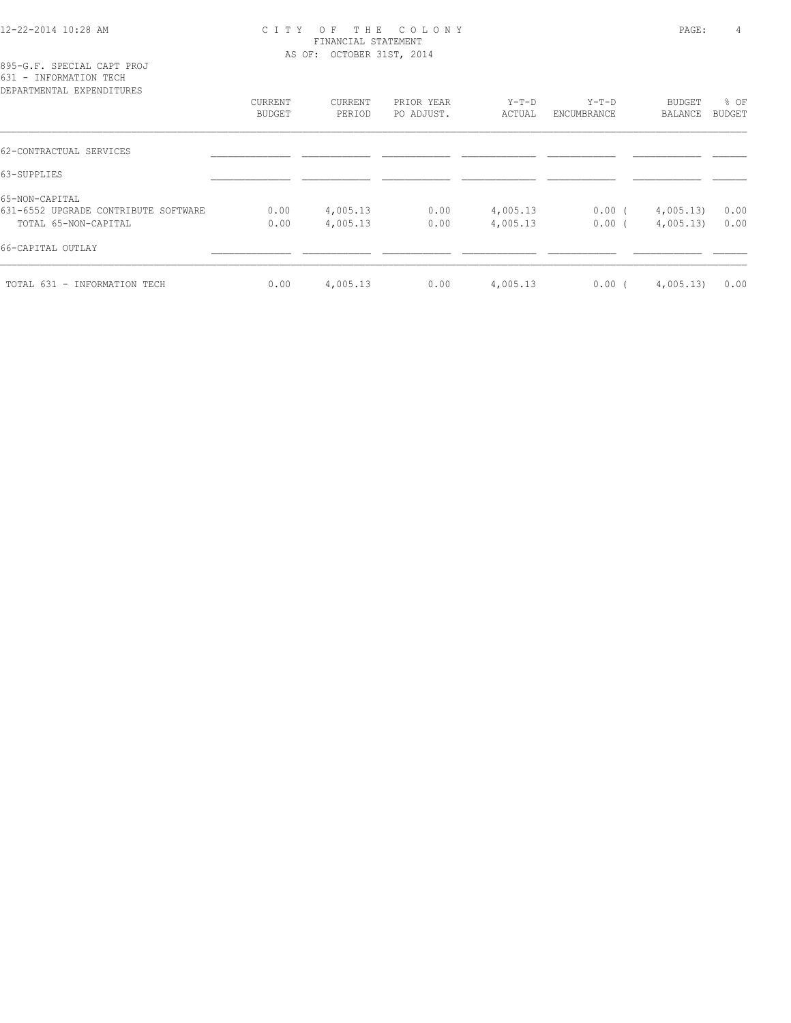#### 12-22-2014 10:28 AM C I T Y O F T H E C O L O N Y PAGE: 4 FINANCIAL STATEMENT AS OF: OCTOBER 31ST, 2014

| DEPARTMENTAL EXPENDITURES            |                          |                   |                          |                   |                        |                   |                       |
|--------------------------------------|--------------------------|-------------------|--------------------------|-------------------|------------------------|-------------------|-----------------------|
|                                      | CURRENT<br><b>BUDGET</b> | CURRENT<br>PERIOD | PRIOR YEAR<br>PO ADJUST. | $Y-T-D$<br>ACTUAL | $Y-T-D$<br>ENCUMBRANCE | BUDGET<br>BALANCE | % OF<br><b>BUDGET</b> |
|                                      |                          |                   |                          |                   |                        |                   |                       |
| 62-CONTRACTUAL SERVICES              |                          |                   |                          |                   |                        |                   |                       |
| 63-SUPPLIES                          |                          |                   |                          |                   |                        |                   |                       |
| 65-NON-CAPITAL                       |                          |                   |                          |                   |                        |                   |                       |
| 631-6552 UPGRADE CONTRIBUTE SOFTWARE | 0.00                     | 4,005.13          | 0.00                     | 4,005.13          | $0.00$ (               | 4,005.13)         | 0.00                  |
| TOTAL 65-NON-CAPITAL                 | 0.00                     | 4,005.13          | 0.00                     | 4,005.13          | $0.00$ (               | 4,005.13          | 0.00                  |
| 66-CAPITAL OUTLAY                    |                          |                   |                          |                   |                        |                   |                       |
| TOTAL 631 - INFORMATION TECH         | 0.00                     | 4,005.13          | 0.00                     | 4,005.13          | $0.00$ (               | 4,005.13          | 0.00                  |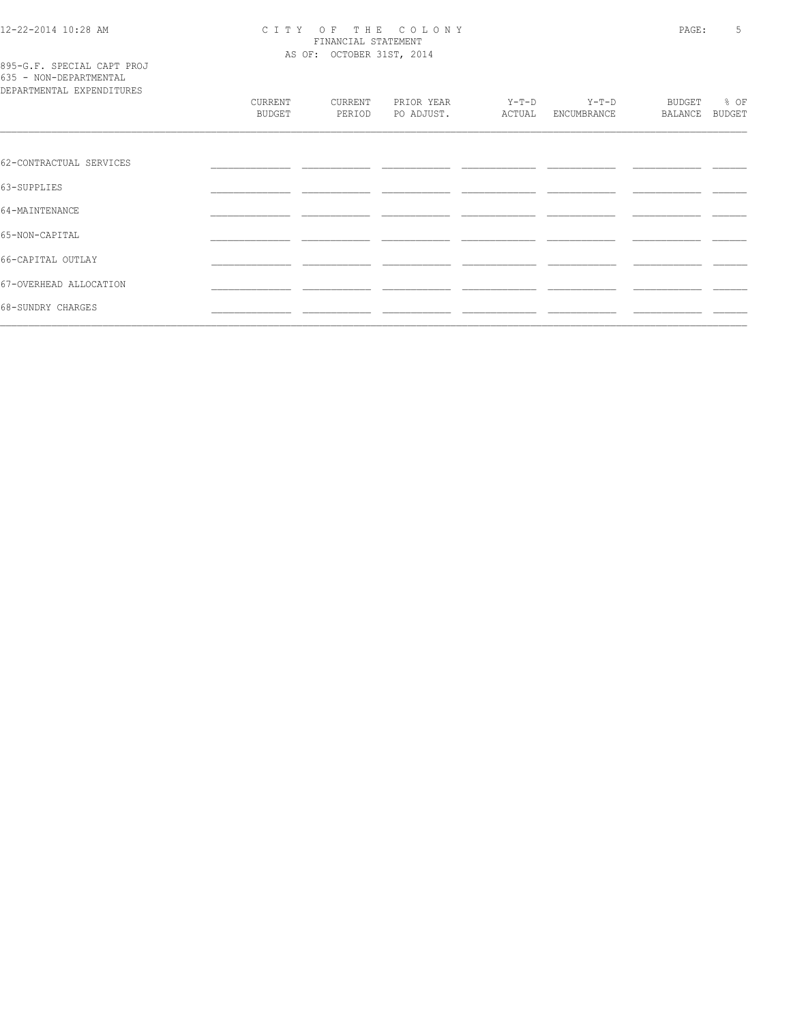# CITY OF THE COLONY<br>
FINANCIAL STATEMENT<br>
AS OF: OCTOBER 31ST, 2014

| 895-G.F. SPECIAL CAPT PROJ |  |  |
|----------------------------|--|--|
| 635 - NON-DEPARTMENTAL     |  |  |
| DEPARTMENTAL EXPENDITURES  |  |  |

| DEPARTMENTAL EXPENDITURES |                          |                   |                          |                   |                        |                   |                       |
|---------------------------|--------------------------|-------------------|--------------------------|-------------------|------------------------|-------------------|-----------------------|
|                           | CURRENT<br><b>BUDGET</b> | CURRENT<br>PERIOD | PRIOR YEAR<br>PO ADJUST. | $Y-T-D$<br>ACTUAL | $Y-T-D$<br>ENCUMBRANCE | BUDGET<br>BALANCE | % OF<br><b>BUDGET</b> |
|                           |                          |                   |                          |                   |                        |                   |                       |
| 62-CONTRACTUAL SERVICES   |                          |                   |                          |                   |                        |                   |                       |
| 63-SUPPLIES               |                          |                   |                          |                   |                        |                   |                       |
| 64-MAINTENANCE            |                          |                   |                          |                   |                        |                   |                       |
| 65-NON-CAPITAL            |                          |                   |                          |                   |                        |                   |                       |
| 66-CAPITAL OUTLAY         |                          |                   |                          |                   |                        |                   |                       |
| 67-OVERHEAD ALLOCATION    |                          |                   |                          |                   |                        |                   |                       |
| 68-SUNDRY CHARGES         |                          |                   |                          |                   |                        |                   |                       |
|                           |                          |                   |                          |                   |                        |                   |                       |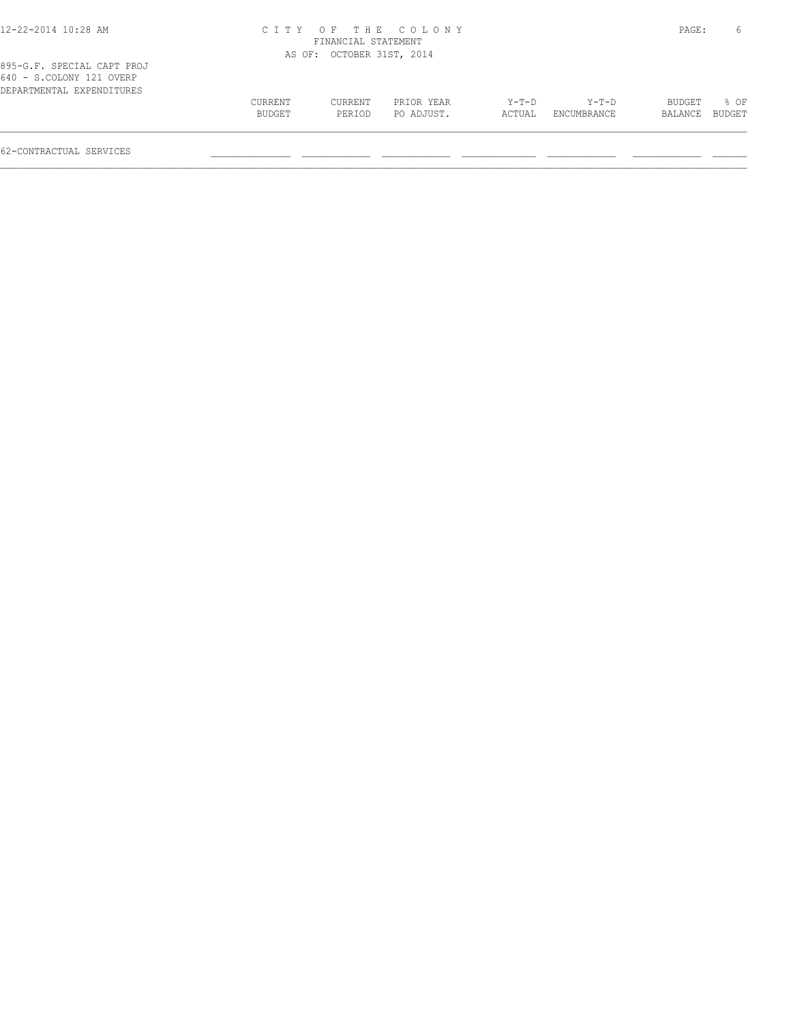| 12-22-2014 10:28 AM                                                                 |         | FINANCIAL STATEMENT       | CITY OF THE COLONY |        |             | PAGE:         | 6      |
|-------------------------------------------------------------------------------------|---------|---------------------------|--------------------|--------|-------------|---------------|--------|
|                                                                                     |         | AS OF: OCTOBER 31ST, 2014 |                    |        |             |               |        |
| 895-G.F. SPECIAL CAPT PROJ<br>640 - S.COLONY 121 OVERP<br>DEPARTMENTAL EXPENDITURES |         |                           |                    |        |             |               |        |
|                                                                                     | CURRENT | CURRENT                   | PRIOR YEAR         | Y-T-D  | Y-T-D       | <b>BUDGET</b> | $8$ OF |
|                                                                                     | BUDGET  | PERIOD                    | PO ADJUST.         | ACTUAL | ENCUMBRANCE | BALANCE       | BUDGET |

 $\mathcal{L} = \{ \mathcal{L} = \{ \mathcal{L} = \{ \mathcal{L} = \{ \mathcal{L} = \{ \mathcal{L} = \{ \mathcal{L} = \{ \mathcal{L} = \{ \mathcal{L} = \{ \mathcal{L} = \{ \mathcal{L} = \{ \mathcal{L} = \{ \mathcal{L} = \{ \mathcal{L} = \{ \mathcal{L} = \{ \mathcal{L} = \{ \mathcal{L} = \{ \mathcal{L} = \{ \mathcal{L} = \{ \mathcal{L} = \{ \mathcal{L} = \{ \mathcal{L} = \{ \mathcal{L} = \{ \mathcal{L} = \{ \mathcal{$ 

62-CONTRACTUAL SERVICES \_\_\_\_\_\_\_\_\_\_\_\_\_\_ \_\_\_\_\_\_\_\_\_\_\_\_ \_\_\_\_\_\_\_\_\_\_\_\_ \_\_\_\_\_\_\_\_\_\_\_\_\_ \_\_\_\_\_\_\_\_\_\_\_\_ \_\_\_\_\_\_\_\_\_\_\_\_ \_\_\_\_\_\_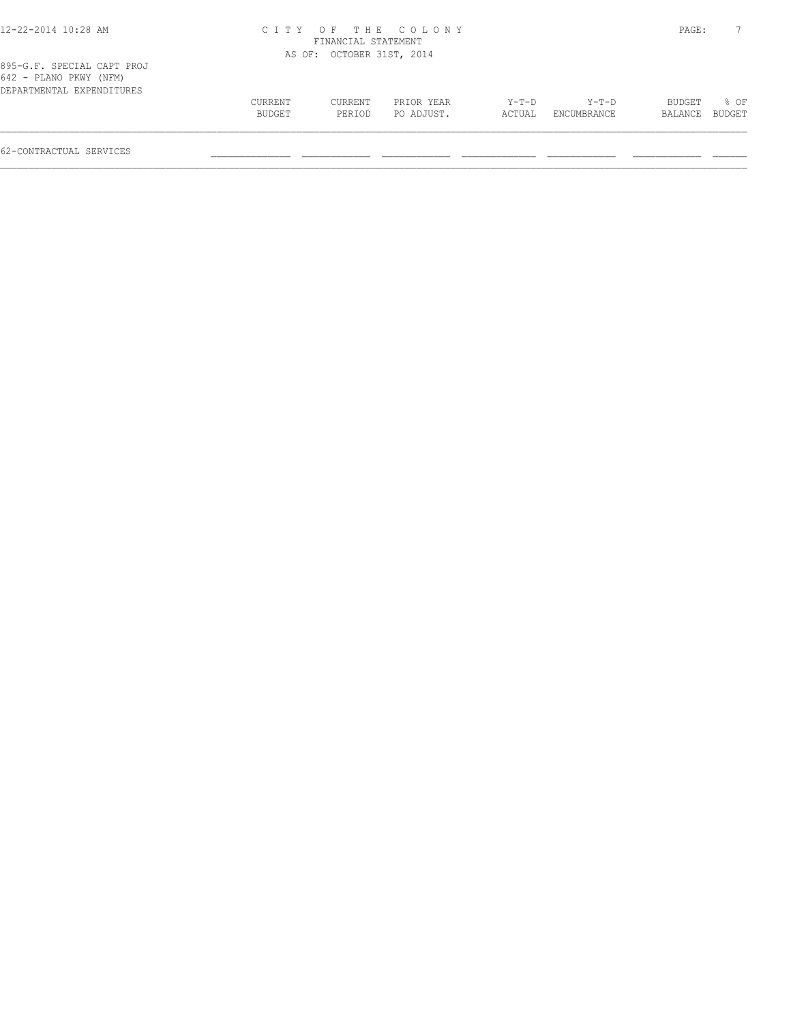| CURRENT | CURRENT | PRIOR YEAR | $Y-T-D$                                                           | Y-T-D       | BUDGET  | 8 OF   |
|---------|---------|------------|-------------------------------------------------------------------|-------------|---------|--------|
| BUDGET  | PERIOD  | PO ADJUST. | ACTUAL                                                            | ENCUMBRANCE | BALANCE | BUDGET |
|         |         | C I T Y    | OF THE COLONY<br>FINANCIAL STATEMENT<br>AS OF: OCTOBER 31ST, 2014 |             |         | PAGE:  |

62-CONTRACTUAL SERVICES \_\_\_\_\_\_\_\_\_\_\_\_\_\_ \_\_\_\_\_\_\_\_\_\_\_\_ \_\_\_\_\_\_\_\_\_\_\_\_ \_\_\_\_\_\_\_\_\_\_\_\_\_ \_\_\_\_\_\_\_\_\_\_\_\_ \_\_\_\_\_\_\_\_\_\_\_\_ \_\_\_\_\_\_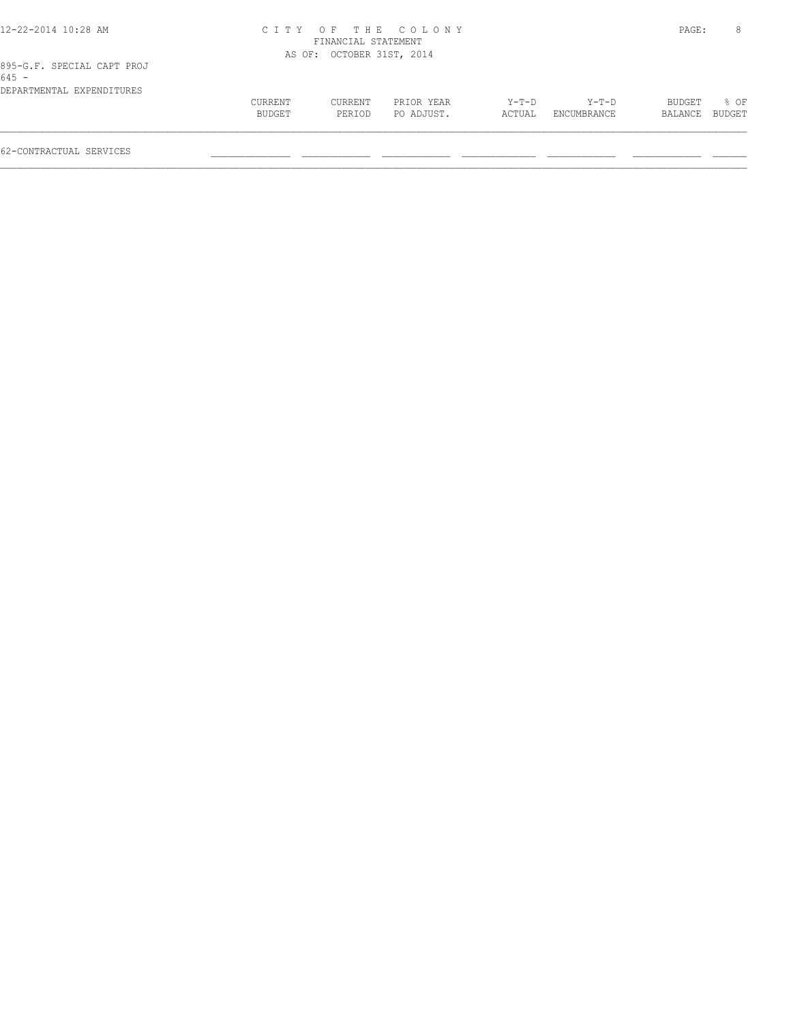| 12-22-2014 10:28 AM                   |         |                           | CITY OF THE COLONY |         |             | PAGE:   | 8      |
|---------------------------------------|---------|---------------------------|--------------------|---------|-------------|---------|--------|
|                                       |         | FINANCIAL STATEMENT       |                    |         |             |         |        |
|                                       |         | AS OF: OCTOBER 31ST, 2014 |                    |         |             |         |        |
| 895-G.F. SPECIAL CAPT PROJ<br>$645 -$ |         |                           |                    |         |             |         |        |
| DEPARTMENTAL EXPENDITURES             |         |                           |                    |         |             |         |        |
|                                       | CURRENT | CURRENT                   | PRIOR YEAR         | $Y-T-D$ | $Y-T-D$     | BUDGET  | % OF   |
|                                       | BUDGET  | PERIOD                    | PO ADJUST.         | ACTUAL  | ENCUMBRANCE | BALANCE | BUDGET |
| 62-CONTRACTUAL SERVICES               |         |                           |                    |         |             |         |        |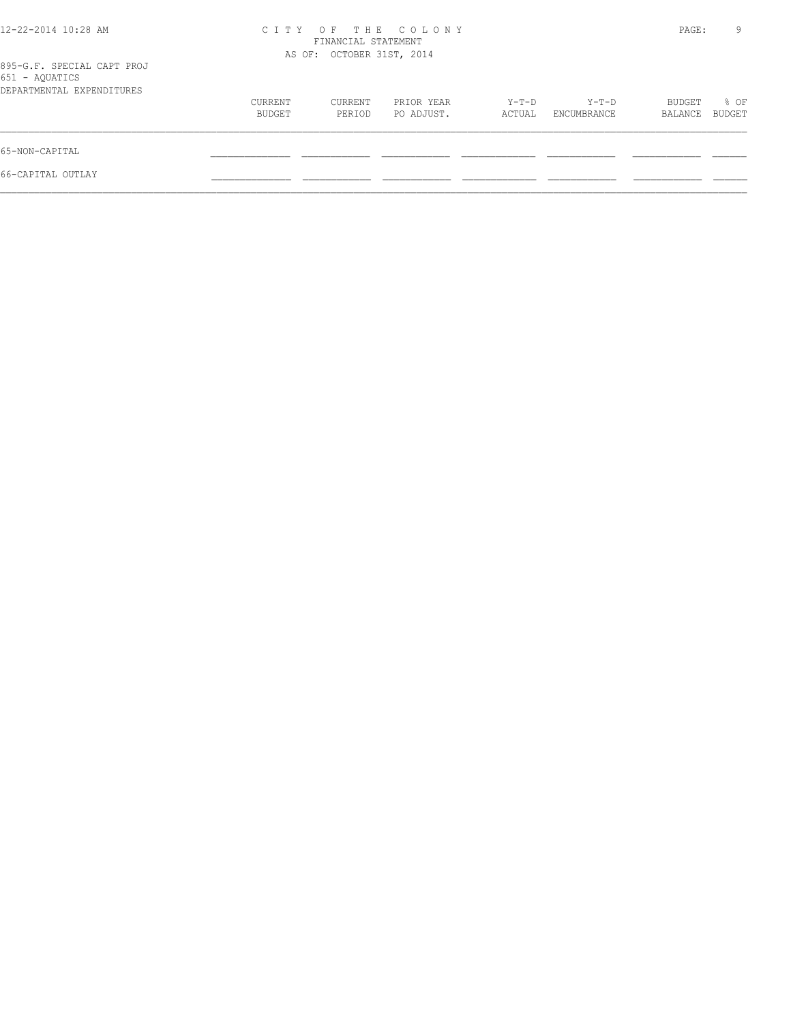| 12-22-2014 10:28 AM                                                       | C I T Y           | FINANCIAL STATEMENT<br>AS OF: OCTOBER 31ST, 2014 | OF THE COLONY            |                 |                      | PAGE:             | 9              |
|---------------------------------------------------------------------------|-------------------|--------------------------------------------------|--------------------------|-----------------|----------------------|-------------------|----------------|
| 895-G.F. SPECIAL CAPT PROJ<br>651 - AQUATICS<br>DEPARTMENTAL EXPENDITURES |                   |                                                  |                          |                 |                      |                   |                |
|                                                                           | CURRENT<br>BUDGET | CURRENT<br>PERIOD                                | PRIOR YEAR<br>PO ADJUST. | Y-T-D<br>ACTUAL | Y-T-D<br>ENCUMBRANCE | BUDGET<br>BALANCE | % OF<br>BUDGET |
| 65-NON-CAPITAL                                                            |                   |                                                  |                          |                 |                      |                   |                |
| 66-CAPITAL OUTLAY                                                         |                   |                                                  |                          |                 |                      |                   |                |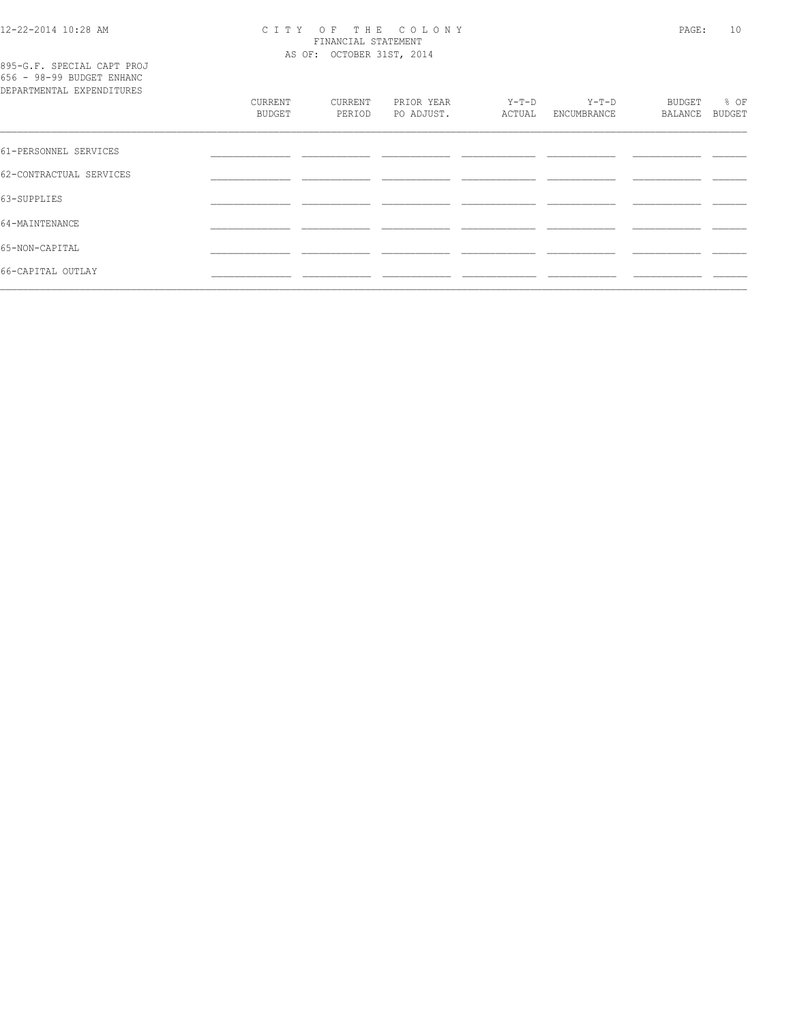# 12-22-2014 10:28 AM CITY OF THE COLONY<br>FINANCIAL STATEMENT<br>AS OF: OCTOBER 31ST, 2014

| 895-G.F. SPECIAL CAPT PROJ |  |  |
|----------------------------|--|--|
| 656 - 98-99 BUDGET ENHANC  |  |  |
| DEPARTMENTAL EXPENDITURES  |  |  |

| DEPARTMENTAL EXPENDITURES | CURRENT<br><b>BUDGET</b> | CURRENT<br>PERIOD | PRIOR YEAR<br>PO ADJUST. | $Y-T-D$<br>ACTUAL | $Y-T-D$<br>ENCUMBRANCE | BUDGET<br>BALANCE | % OF<br><b>BUDGET</b> |
|---------------------------|--------------------------|-------------------|--------------------------|-------------------|------------------------|-------------------|-----------------------|
| 61-PERSONNEL SERVICES     |                          |                   |                          |                   |                        |                   |                       |
| 62-CONTRACTUAL SERVICES   |                          |                   |                          |                   |                        |                   |                       |
| 63-SUPPLIES               |                          |                   |                          |                   |                        |                   |                       |
| 64-MAINTENANCE            |                          |                   |                          |                   |                        |                   |                       |
| 65-NON-CAPITAL            |                          |                   |                          |                   |                        |                   |                       |
| 66-CAPITAL OUTLAY         |                          |                   |                          |                   |                        |                   |                       |
|                           |                          |                   |                          |                   |                        |                   |                       |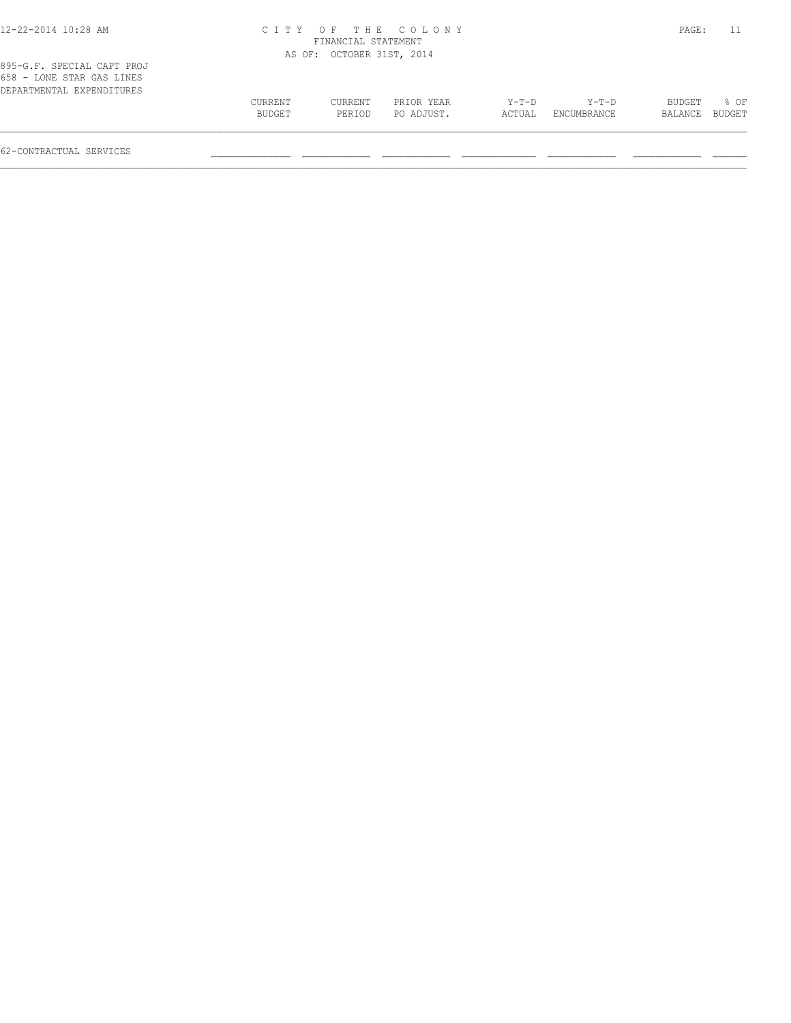| 12-22-2014 10:28 AM |  |
|---------------------|--|
|---------------------|--|

### 12-22-2014 10:28 AM C I T Y O F T H E C O L O N Y PAGE: 11 FINANCIAL STATEMENT

| 895-G.F. SPECIAL CAPT PROJ                             |         | AS OF: OCTOBER 31ST, 2014 |            |        |             |                |      |
|--------------------------------------------------------|---------|---------------------------|------------|--------|-------------|----------------|------|
| 658 - LONE STAR GAS LINES<br>DEPARTMENTAL EXPENDITURES |         |                           |            |        |             |                |      |
|                                                        | CURRENT | CURRENT                   | PRIOR YEAR | Y-T-D  | Y-T-D       | BUDGET         | % OF |
|                                                        | BUDGET  | PERIOD                    | PO ADJUST. | ACTUAL | ENCUMBRANCE | BALANCE BUDGET |      |
|                                                        |         |                           |            |        |             |                |      |

62-CONTRACTUAL SERVICES \_\_\_\_\_\_\_\_\_\_\_\_\_\_ \_\_\_\_\_\_\_\_\_\_\_\_ \_\_\_\_\_\_\_\_\_\_\_\_ \_\_\_\_\_\_\_\_\_\_\_\_\_ \_\_\_\_\_\_\_\_\_\_\_\_ \_\_\_\_\_\_\_\_\_\_\_\_ \_\_\_\_\_\_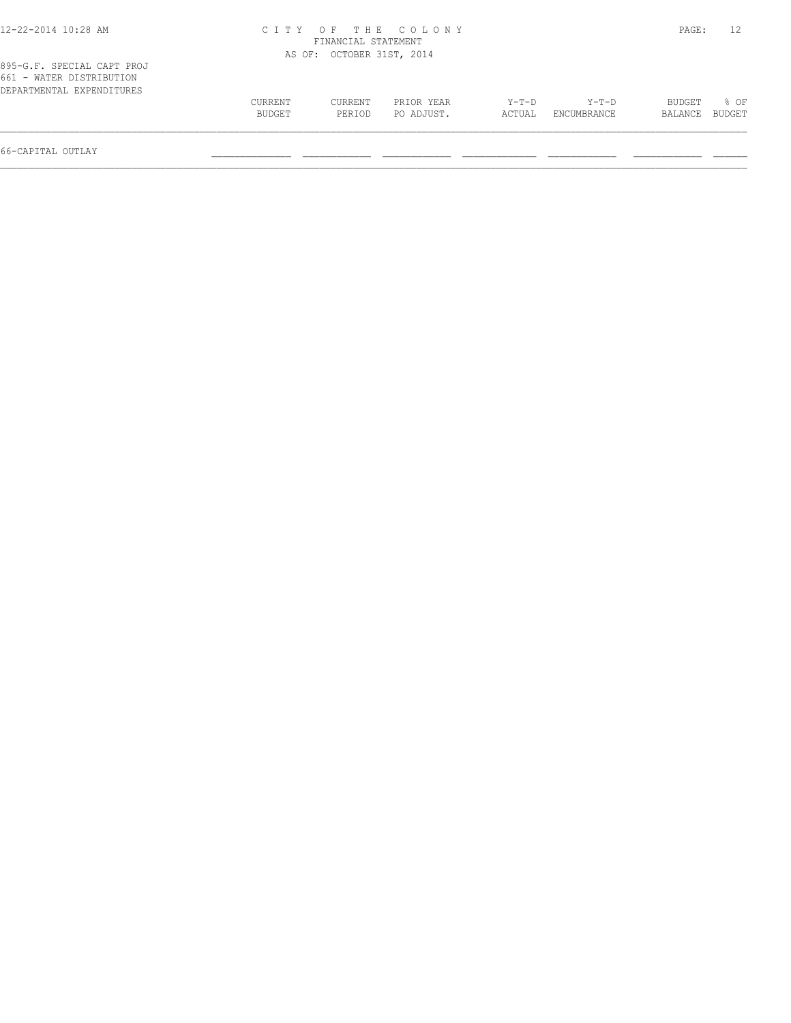| 12-22-2014 10:28 AM                                                                 |                          | FINANCIAL STATEMENT       | CITY OF THE COLONY       |                 |                        | PAGE:             |                  |
|-------------------------------------------------------------------------------------|--------------------------|---------------------------|--------------------------|-----------------|------------------------|-------------------|------------------|
|                                                                                     |                          | AS OF: OCTOBER 31ST, 2014 |                          |                 |                        |                   |                  |
| 895-G.F. SPECIAL CAPT PROJ<br>661 - WATER DISTRIBUTION<br>DEPARTMENTAL EXPENDITURES |                          |                           |                          |                 |                        |                   |                  |
|                                                                                     | <b>CURRENT</b><br>BUDGET | <b>CURRENT</b><br>PERIOD  | PRIOR YEAR<br>PO ADJUST. | Y-T-D<br>ACTUAL | $Y-T-D$<br>ENCUMBRANCE | BUDGET<br>BALANCE | $8$ OF<br>BUDGET |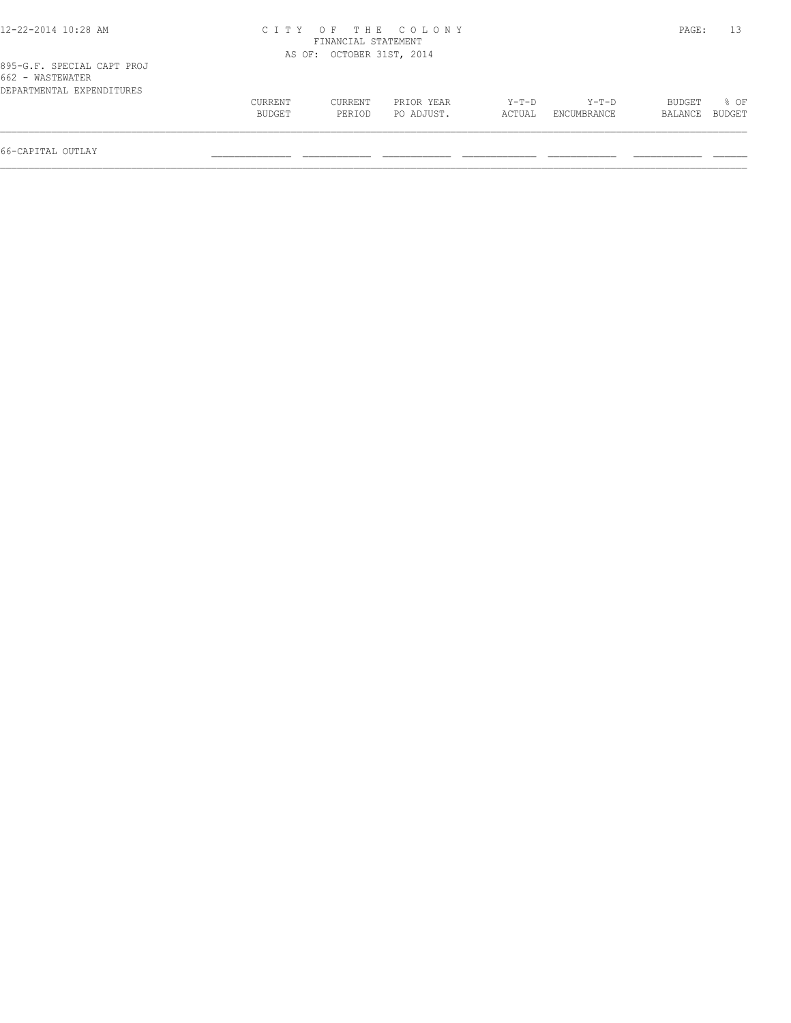| 12-22-2014 10:28 AM                            |                   |                           | CITY OF THE COLONY       |                   |                      | PAGE:             | 13             |
|------------------------------------------------|-------------------|---------------------------|--------------------------|-------------------|----------------------|-------------------|----------------|
|                                                |                   | FINANCIAL STATEMENT       |                          |                   |                      |                   |                |
|                                                |                   | AS OF: OCTOBER 31ST, 2014 |                          |                   |                      |                   |                |
| 895-G.F. SPECIAL CAPT PROJ<br>662 - WASTEWATER |                   |                           |                          |                   |                      |                   |                |
| DEPARTMENTAL EXPENDITURES                      | CURRENT<br>BUDGET | CURRENT<br>PERIOD         | PRIOR YEAR<br>PO ADJUST. | $Y-T-D$<br>ACTUAL | Y-T-D<br>ENCUMBRANCE | BUDGET<br>BALANCE | 8 OF<br>BUDGET |
|                                                |                   |                           |                          |                   |                      |                   |                |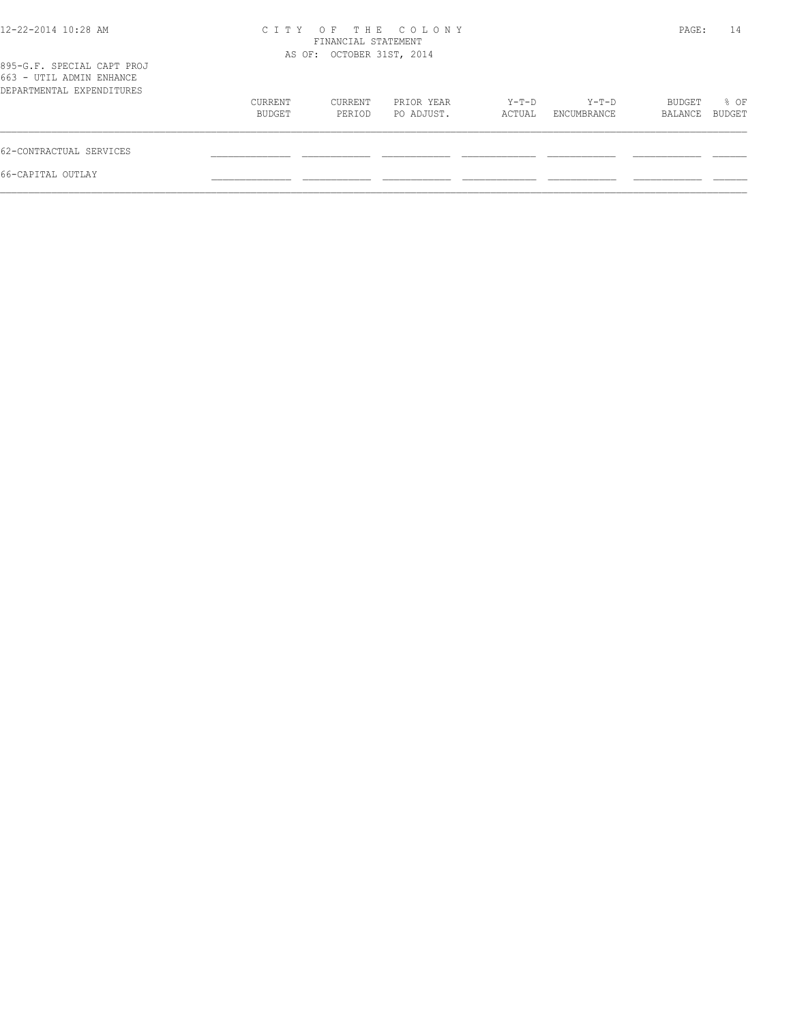| $12 - 22 - 2014$ $10:28$ AM                                                         |                   | FINANCIAL STATEMENT<br>AS OF: OCTOBER 31ST, 2014 | CITY OF THE COLONY       |                 |                      | PAGE:             | 14             |
|-------------------------------------------------------------------------------------|-------------------|--------------------------------------------------|--------------------------|-----------------|----------------------|-------------------|----------------|
| 895-G.F. SPECIAL CAPT PROJ<br>663 - UTIL ADMIN ENHANCE<br>DEPARTMENTAL EXPENDITURES |                   |                                                  |                          |                 |                      |                   |                |
|                                                                                     | CURRENT<br>BUDGET | CURRENT<br>PERIOD                                | PRIOR YEAR<br>PO ADJUST. | Y-T-D<br>ACTUAL | Y-T-D<br>ENCUMBRANCE | BUDGET<br>BALANCE | % OF<br>BUDGET |
| 62-CONTRACTUAL SERVICES                                                             |                   |                                                  |                          |                 |                      |                   |                |
| 66-CAPITAL OUTLAY                                                                   |                   |                                                  |                          |                 |                      |                   |                |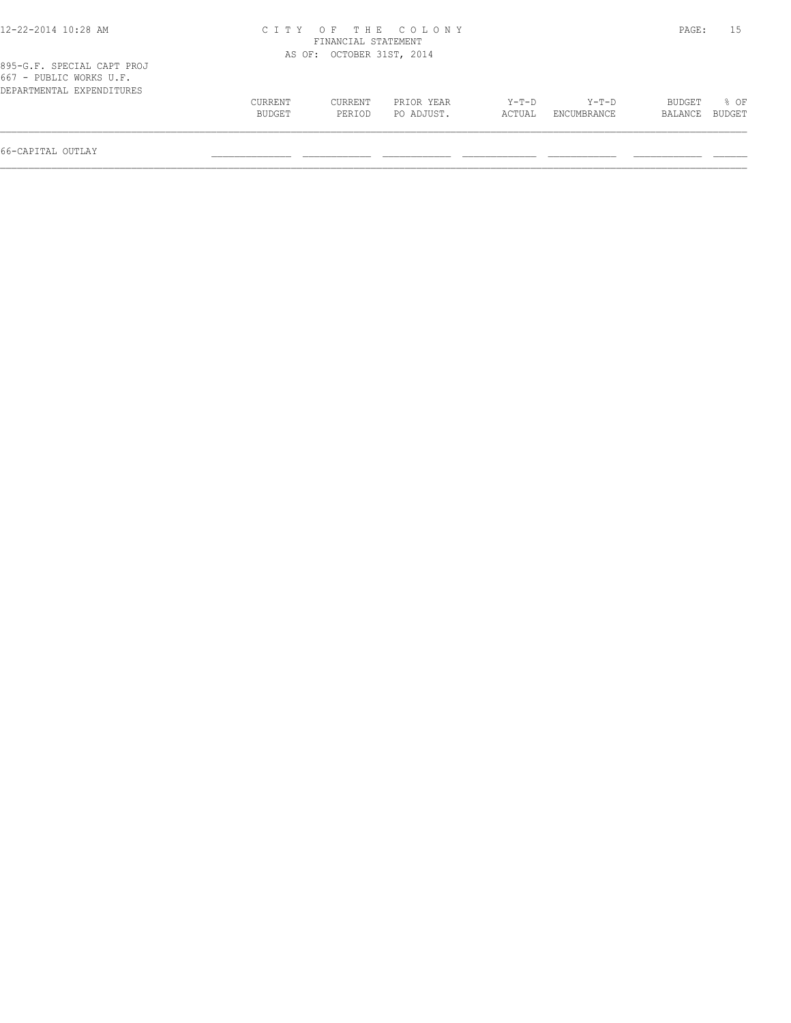| 12-22-2014 10:28 AM                                                                  |                   |                           | CITY OF THE COLONY       |                 |                        | PAGE:             |                  |
|--------------------------------------------------------------------------------------|-------------------|---------------------------|--------------------------|-----------------|------------------------|-------------------|------------------|
|                                                                                      |                   | FINANCIAL STATEMENT       |                          |                 |                        |                   |                  |
|                                                                                      |                   | AS OF: OCTOBER 31ST, 2014 |                          |                 |                        |                   |                  |
| 895-G.F. SPECIAL CAPT PROJ<br>$667$ - PUBLIC WORKS U.F.<br>DEPARTMENTAL EXPENDITURES |                   |                           |                          |                 |                        |                   |                  |
|                                                                                      | CURRENT<br>BUDGET | CURRENT<br>PERIOD         | PRIOR YEAR<br>PO ADJUST. | Y-T-D<br>ACTUAL | $Y-T-D$<br>ENCUMBRANCE | BUDGET<br>BALANCE | $8$ OF<br>BUDGET |
|                                                                                      |                   |                           |                          |                 |                        |                   |                  |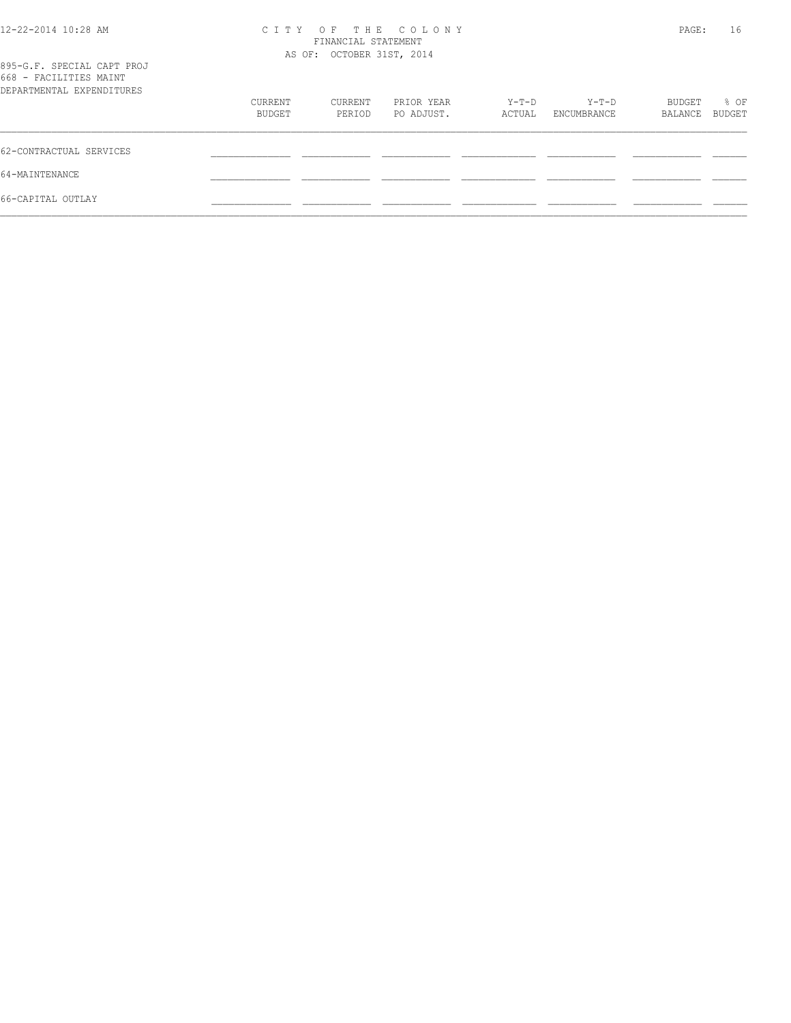| 12-22-2014 10:28 AM                                                               | OF THE COLONY<br>C I T Y<br>FINANCIAL STATEMENT<br>AS OF: OCTOBER 31ST, 2014 |                   |                          |                 |                      |                   | 16<br>PAGE:    |
|-----------------------------------------------------------------------------------|------------------------------------------------------------------------------|-------------------|--------------------------|-----------------|----------------------|-------------------|----------------|
| 895-G.F. SPECIAL CAPT PROJ<br>668 - FACILITIES MAINT<br>DEPARTMENTAL EXPENDITURES |                                                                              |                   |                          |                 |                      |                   |                |
|                                                                                   | CURRENT<br>BUDGET                                                            | CURRENT<br>PERIOD | PRIOR YEAR<br>PO ADJUST. | Y-T-D<br>ACTUAL | Y-T-D<br>ENCUMBRANCE | BUDGET<br>BALANCE | % OF<br>BUDGET |
| 62-CONTRACTUAL SERVICES                                                           |                                                                              |                   |                          |                 |                      |                   |                |
| 64-MAINTENANCE                                                                    |                                                                              |                   |                          |                 |                      |                   |                |
| 66-CAPITAL OUTLAY                                                                 |                                                                              |                   |                          |                 |                      |                   |                |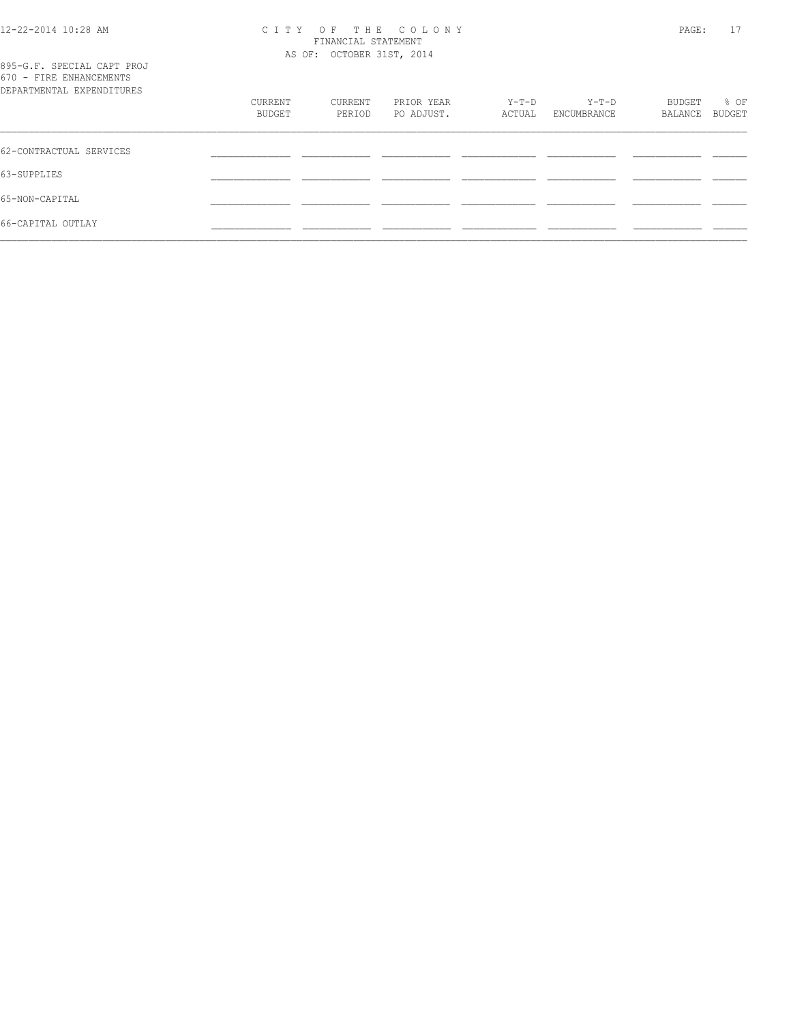## 12-22-2014 10:28 AM C I T Y O F T H E C O L O N Y PAGE: 17 FINANCIAL STATEMENT AS OF: OCTOBER 31ST, 2014

| 895-G.F. SPECIAL CAPT PROJ<br>670 - FIRE ENHANCEMENTS<br>DEPARTMENTAL EXPENDITURES |                   |                   |                          |                 |                      |                   |                |  |
|------------------------------------------------------------------------------------|-------------------|-------------------|--------------------------|-----------------|----------------------|-------------------|----------------|--|
|                                                                                    | CURRENT<br>BUDGET | CURRENT<br>PERIOD | PRIOR YEAR<br>PO ADJUST. | Y-T-D<br>ACTUAL | Y-T-D<br>ENCUMBRANCE | BUDGET<br>BALANCE | % OF<br>BUDGET |  |
| 62-CONTRACTUAL SERVICES                                                            |                   |                   |                          |                 |                      |                   |                |  |
| 63-SUPPLIES                                                                        |                   |                   |                          |                 |                      |                   |                |  |
| 65-NON-CAPITAL                                                                     |                   |                   |                          |                 |                      |                   |                |  |
| 66-CAPITAL OUTLAY                                                                  |                   |                   |                          |                 |                      |                   |                |  |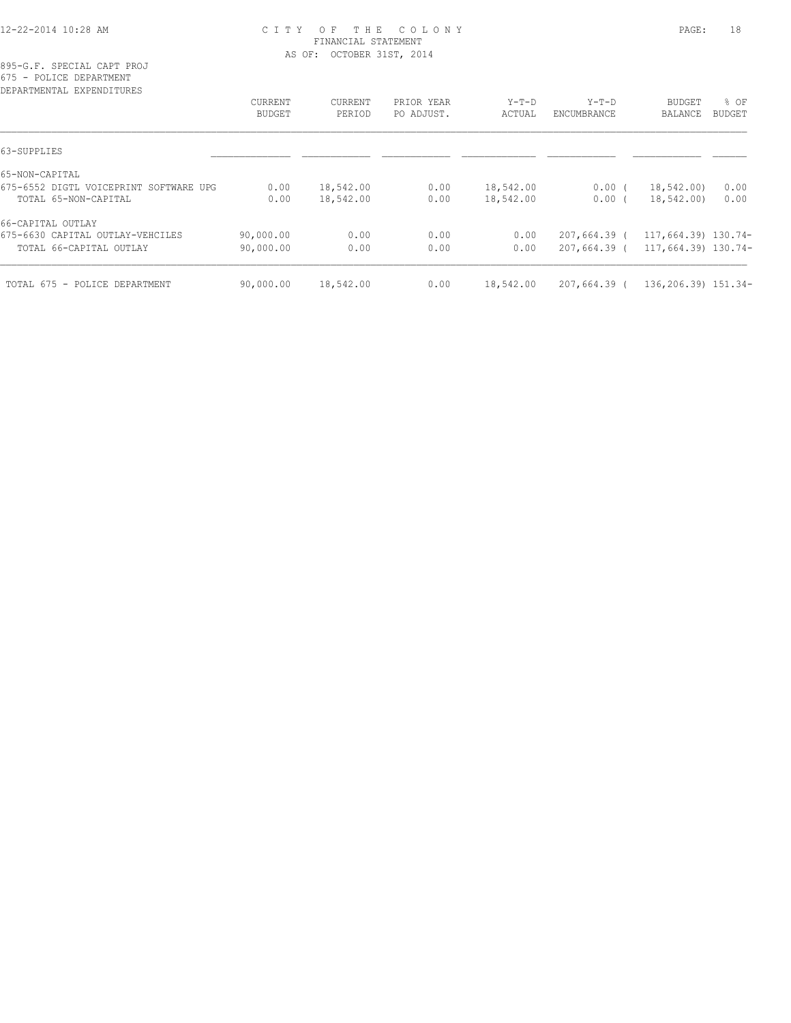# 12-22-2014 10:28 AM C I T Y O F T H E C O L O N Y PAGE: 18 FINANCIAL STATEMENT AS OF: OCTOBER 31ST, 2014

895-G.F. SPECIAL CAPT PROJ 675 - POLICE DEPARTMENT

| DEPARTMENTAL EXPENDITURES              |                |                |            |           |                |                     |        |
|----------------------------------------|----------------|----------------|------------|-----------|----------------|---------------------|--------|
|                                        | <b>CURRENT</b> | <b>CURRENT</b> | PRIOR YEAR | $Y-T-D$   | $Y-T-D$        | <b>BUDGET</b>       | $8$ OF |
|                                        | <b>BUDGET</b>  | PERIOD         | PO ADJUST. | ACTUAL    | ENCUMBRANCE    | BALANCE             | BUDGET |
| 63-SUPPLIES                            |                |                |            |           |                |                     |        |
| 65-NON-CAPITAL                         |                |                |            |           |                |                     |        |
| 675-6552 DIGTL VOICEPRINT SOFTWARE UPG | 0.00           | 18,542.00      | 0.00       | 18,542.00 | $0.00$ (       | 18,542.00)          | 0.00   |
| TOTAL 65-NON-CAPITAL                   | 0.00           | 18,542.00      | 0.00       | 18,542.00 | $0.00$ (       | 18,542.00)          | 0.00   |
| 66-CAPITAL OUTLAY                      |                |                |            |           |                |                     |        |
| 675-6630 CAPITAL OUTLAY-VEHCILES       | 90,000.00      | 0.00           | 0.00       | 0.00      | $207,664.39$ ( | 117,664.39) 130.74- |        |
| TOTAL 66-CAPITAL OUTLAY                | 90,000.00      | 0.00           | 0.00       | 0.00      | $207,664.39$ ( | 117,664.39) 130.74- |        |
| TOTAL 675 - POLICE DEPARTMENT          | 90,000.00      | 18,542.00      | 0.00       | 18,542.00 | $207,664.39$ ( | 136,206.39) 151.34- |        |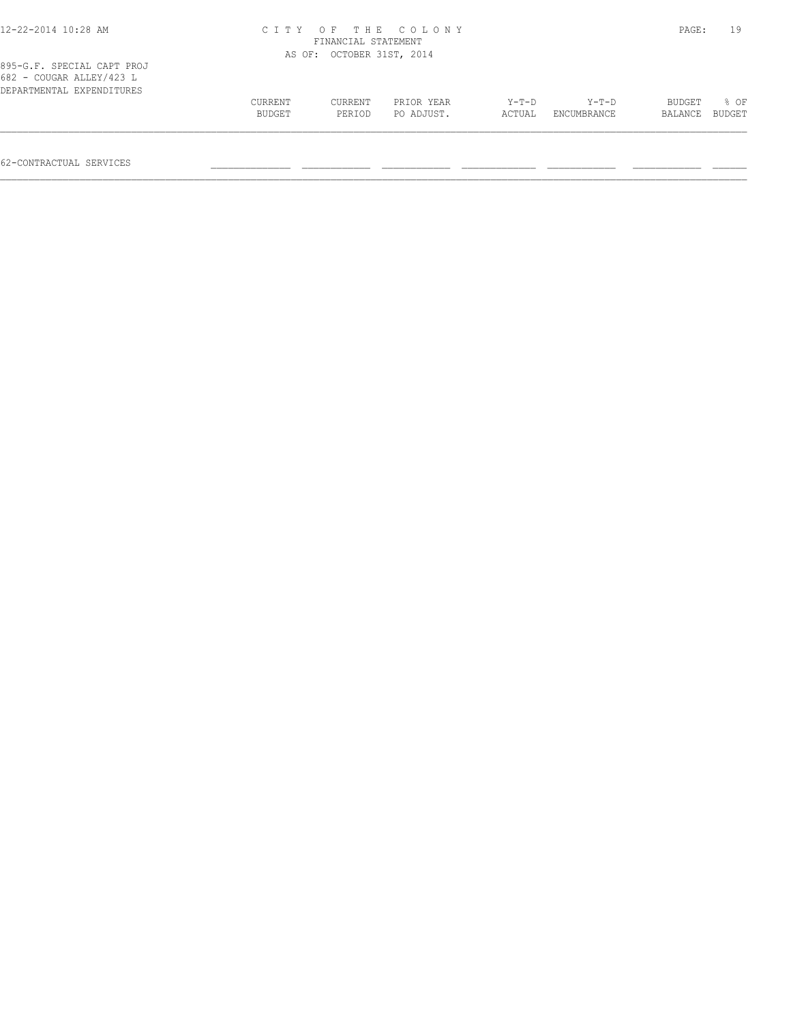| 12-22-2014 10:28 AM                                                                 | CITY OF THE COLONY<br>FINANCIAL STATEMENT | PAGE:              | 19         |        |             |         |        |
|-------------------------------------------------------------------------------------|-------------------------------------------|--------------------|------------|--------|-------------|---------|--------|
|                                                                                     | AS OF:                                    | OCTOBER 31ST, 2014 |            |        |             |         |        |
| 895-G.F. SPECIAL CAPT PROJ<br>682 - COUGAR ALLEY/423 L<br>DEPARTMENTAL EXPENDITURES |                                           |                    |            |        |             |         |        |
|                                                                                     | <b>CURRENT</b>                            | CURRENT            | PRIOR YEAR | Y-T-D  | Y-T-D       | BUDGET  | 8 OF   |
|                                                                                     | BUDGET                                    | PERIOD             | PO ADJUST. | ACTUAL | ENCUMBRANCE | BALANCE | BUDGET |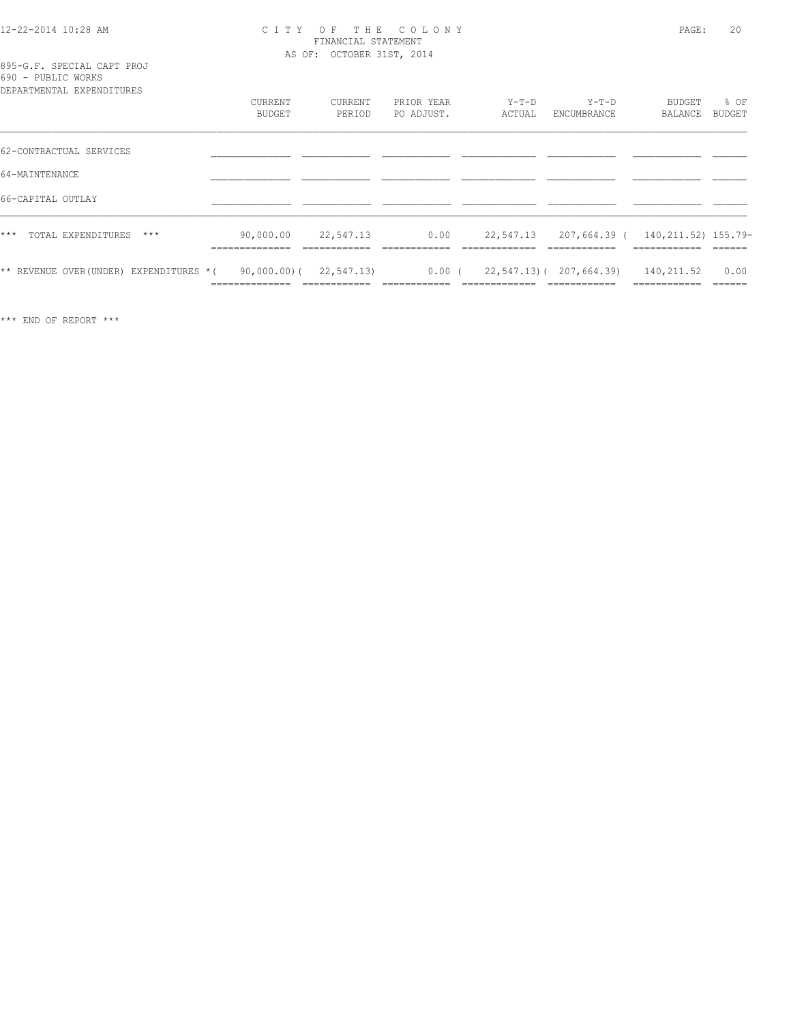#### 12-22-2014 10:28 AM C I T Y O F T H E C O L O N Y PAGE: 20 FINANCIAL STATEMENT AS OF: OCTOBER 31ST, 2014

895-G.F. SPECIAL CAPT PROJ 690 - PUBLIC WORKS

| DEPARTMENTAL EXPENDITURES               |                             |                                           |                          |                   |                                          |                                                            |                          |
|-----------------------------------------|-----------------------------|-------------------------------------------|--------------------------|-------------------|------------------------------------------|------------------------------------------------------------|--------------------------|
|                                         | CURRENT<br><b>BUDGET</b>    | CURRENT<br>PERIOD                         | PRIOR YEAR<br>PO ADJUST. | $Y-T-D$<br>ACTUAL | $Y-T-D$<br>ENCUMBRANCE                   | BUDGET<br>BALANCE                                          | % OF<br>BUDGET           |
| 62-CONTRACTUAL SERVICES                 |                             |                                           |                          |                   |                                          |                                                            |                          |
| 64-MAINTENANCE                          |                             |                                           |                          |                   |                                          |                                                            |                          |
| 66-CAPITAL OUTLAY                       |                             |                                           |                          |                   |                                          |                                                            |                          |
| TOTAL EXPENDITURES<br>$***$<br>$***$    | 90,000.00<br>______________ | 22,547.13<br>____________                 | 0.00<br>-------------    | ____________      | ____________                             | 22,547.13 207,664.39 ( 140,211.52) 155.79-<br>____________ | -------                  |
| ** REVENUE OVER (UNDER) EXPENDITURES *( | ______________              | $90,000,00)$ ( 22,547.13)<br>____________ | $0.00$ (<br>___________  | ____________      | 22,547.13) ( 207,664.39)<br>____________ | 140,211.52<br>-------------                                | 0.00<br>-------<br>----- |

\*\*\* END OF REPORT \*\*\*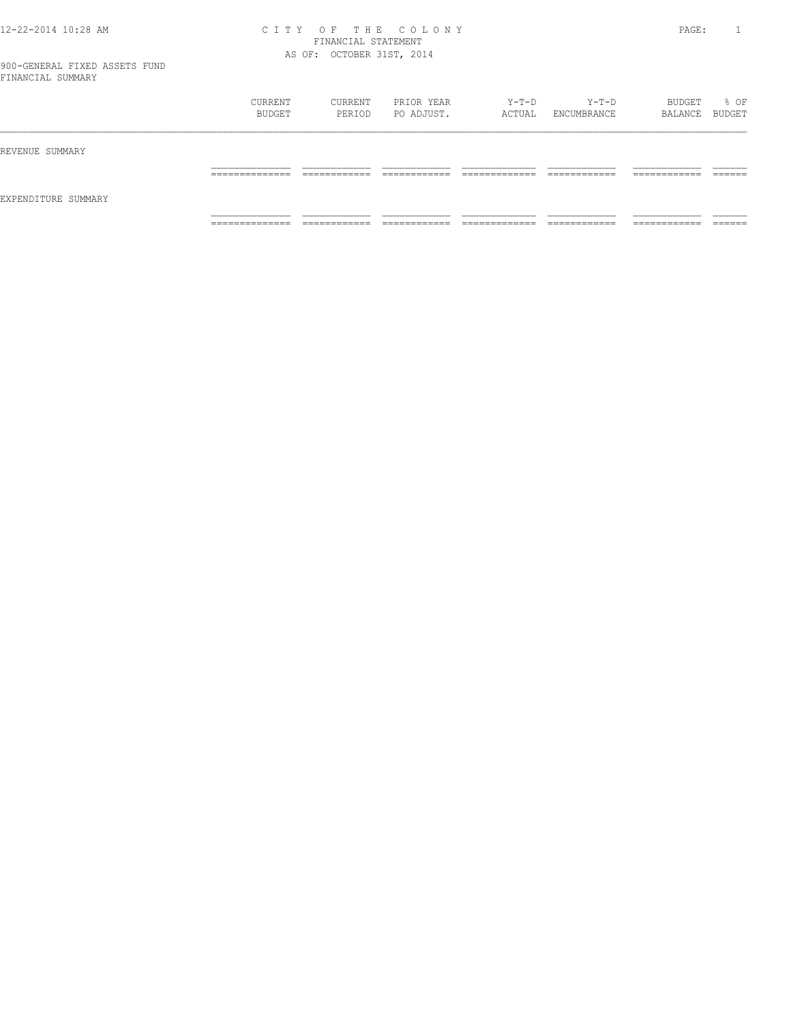# 12-22-2014 10:28 AM C I T Y O F T H E C O L O N Y PAGE: 1 FINANCIAL STATEMENT AS OF: OCTOBER 31ST, 2014

|                     | CURRENT<br>BUDGET   | CURRENT<br>PERIOD             | PRIOR YEAR<br>PO ADJUST.     | Y-T-D<br>ACTUAL                | $Y-T-D$<br>ENCUMBRANCE        | BUDGET<br>BALANCE BUDGET      | % OF               |
|---------------------|---------------------|-------------------------------|------------------------------|--------------------------------|-------------------------------|-------------------------------|--------------------|
| REVENUE SUMMARY     |                     |                               |                              |                                |                               |                               |                    |
|                     | ______________<br>. | -------------<br>____________ | -------------                | ____________<br>_____________  | -------------<br>____________ | -------------<br>____________ | -------<br>_______ |
| EXPENDITURE SUMMARY |                     |                               |                              |                                |                               |                               |                    |
|                     | ______________<br>. | ____________<br>____________  | ____________<br>____________ | _____________<br>_____________ | ____________<br>____________  | -------------<br>____________ | _______            |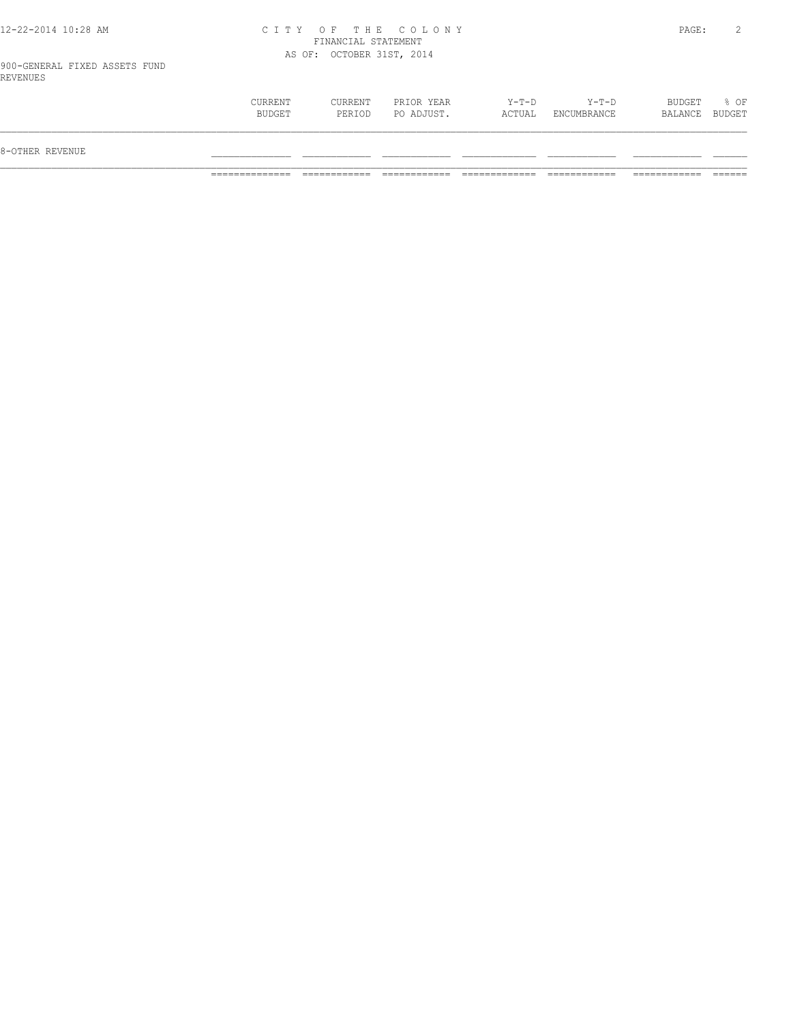# 12-22-2014 10:28 AM C I T Y O F T H E C O L O N Y PAGE: 2 FINANCIAL STATEMENT AS OF: OCTOBER 31ST, 2014

900-GENERAL FIXED ASSETS FUND REVENUES

| 8-OTHER REVENUE |                   |                   |                          |                 |                            |                          |        |
|-----------------|-------------------|-------------------|--------------------------|-----------------|----------------------------|--------------------------|--------|
|                 | CURRENT<br>BUDGET | CURRENT<br>PERIOD | PRIOR YEAR<br>PO ADJUST. | Y-T-D<br>ACTUAL | $Y - T - D$<br>ENCUMBRANCE | BUDGET<br>BALANCE BUDGET | $8$ OF |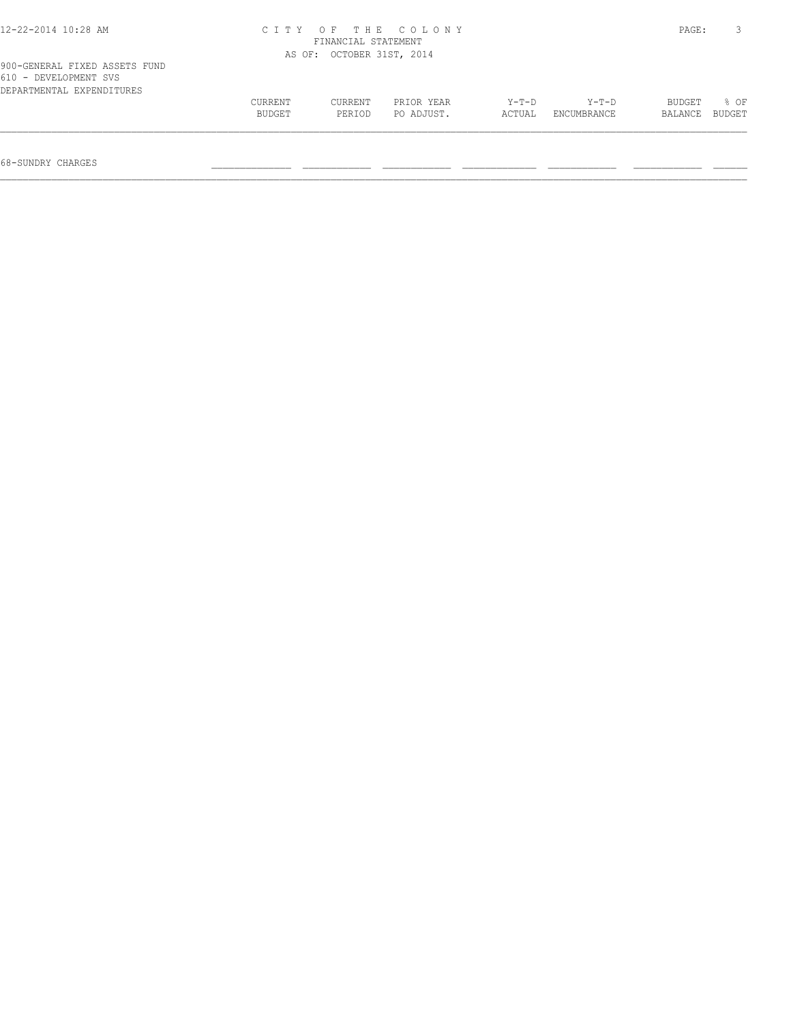| $12 - 22 - 2014$ $10:28$ AM                                                         | CITY OF THE COLONY<br>FINANCIAL STATEMENT |                           |            |        |             |         |        |  |
|-------------------------------------------------------------------------------------|-------------------------------------------|---------------------------|------------|--------|-------------|---------|--------|--|
|                                                                                     |                                           | AS OF: OCTOBER 31ST, 2014 |            |        |             |         |        |  |
| 900-GENERAL FIXED ASSETS FUND<br>610 - DEVELOPMENT SVS<br>DEPARTMENTAL EXPENDITURES |                                           |                           |            |        |             |         |        |  |
|                                                                                     | CURRENT                                   | CURRENT                   | PRIOR YEAR | Y-T-D  | Y-T-D       | BUDGET  | 8 OF   |  |
|                                                                                     | BUDGET                                    | PERIOD                    | PO ADJUST. | ACTUAL | ENCUMBRANCE | BALANCE | BUDGET |  |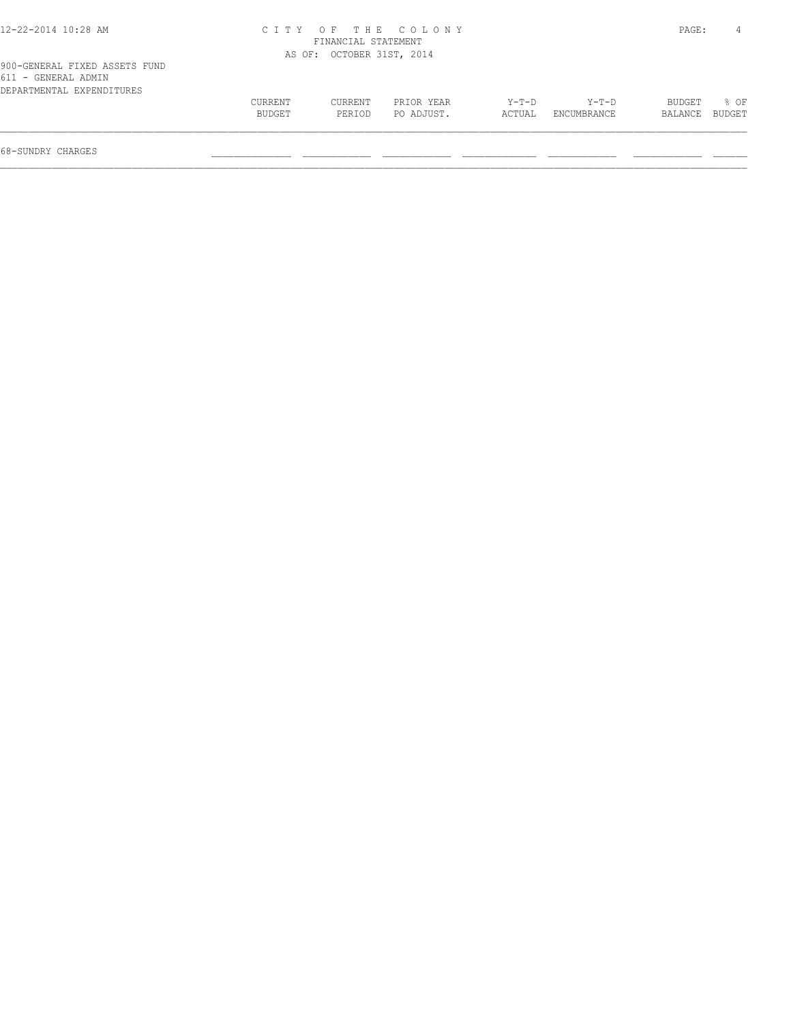| 12-22-2014 10:28 AM                                                               | C I T Y           | FINANCIAL STATEMENT       | OF THE COLONY            |                 |                      | PAGE:             | 4                       |
|-----------------------------------------------------------------------------------|-------------------|---------------------------|--------------------------|-----------------|----------------------|-------------------|-------------------------|
|                                                                                   |                   | AS OF: OCTOBER 31ST, 2014 |                          |                 |                      |                   |                         |
| 900-GENERAL FIXED ASSETS FUND<br>611 - GENERAL ADMIN<br>DEPARTMENTAL EXPENDITURES |                   |                           |                          |                 |                      |                   |                         |
|                                                                                   | CURRENT<br>BUDGET | CURRENT<br>PERIOD         | PRIOR YEAR<br>PO ADJUST. | Y-T-D<br>ACTUAL | Y-T-D<br>ENCUMBRANCE | BUDGET<br>BALANCE | $8$ OF<br><b>BUDGET</b> |
|                                                                                   |                   |                           |                          |                 |                      |                   |                         |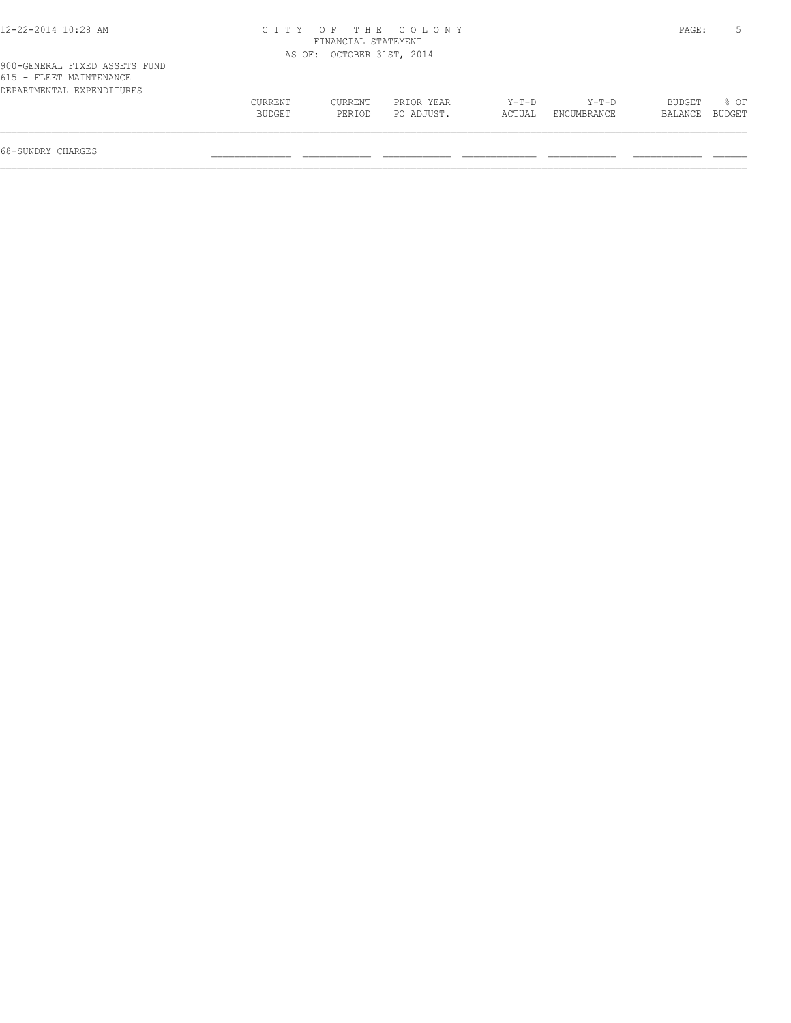| 12-22-2014 10:28 AM                                                                   | CITY .            |                           | OF THE COLONY            |                   |                      | PAGE:             |                |
|---------------------------------------------------------------------------------------|-------------------|---------------------------|--------------------------|-------------------|----------------------|-------------------|----------------|
|                                                                                       |                   | FINANCIAL STATEMENT       |                          |                   |                      |                   |                |
|                                                                                       |                   | AS OF: OCTOBER 31ST, 2014 |                          |                   |                      |                   |                |
| 900-GENERAL FIXED ASSETS FUND<br>615 - FLEET MAINTENANCE<br>DEPARTMENTAL EXPENDITURES |                   |                           |                          |                   |                      |                   |                |
|                                                                                       | CURRENT<br>BUDGET | CURRENT<br>PERIOD         | PRIOR YEAR<br>PO ADJUST. | $Y-T-D$<br>ACTUAL | Y-T-D<br>ENCUMBRANCE | BUDGET<br>BALANCE | 8 OF<br>BUDGET |
|                                                                                       |                   |                           |                          |                   |                      |                   |                |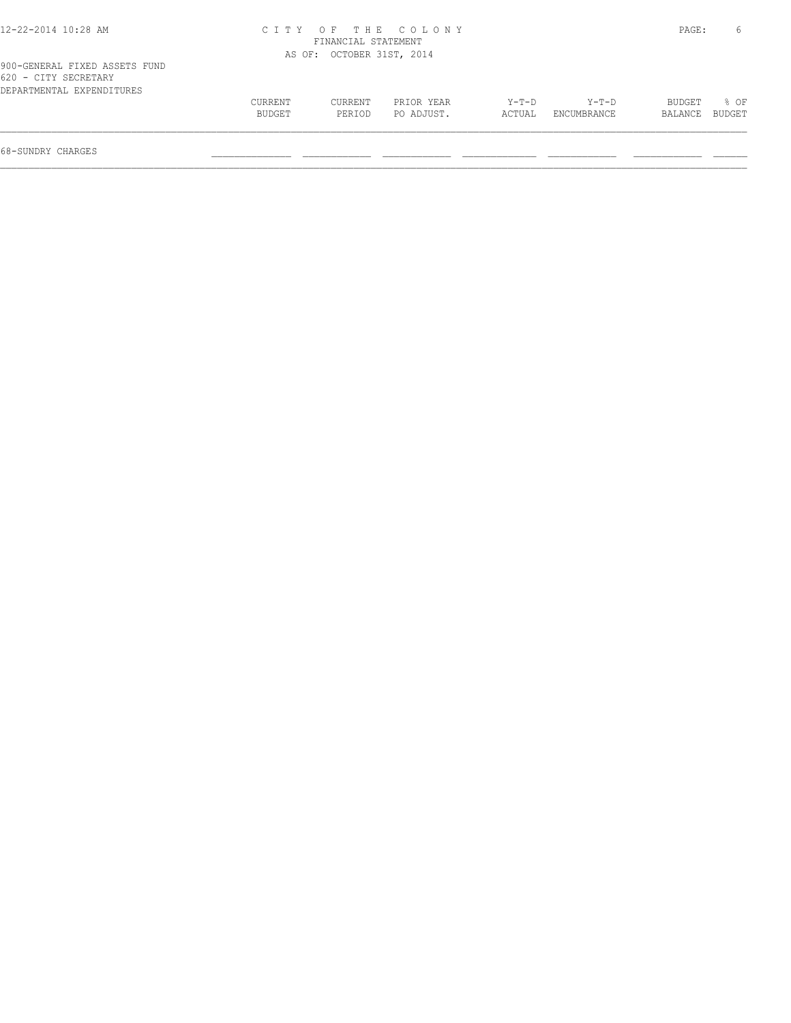| C T T Y |         | 6          |                                                                   |             |         |        |
|---------|---------|------------|-------------------------------------------------------------------|-------------|---------|--------|
|         |         |            |                                                                   |             |         |        |
|         |         |            |                                                                   |             |         |        |
| CURRENT | CURRENT | PRIOR YEAR | $Y-T-D$                                                           | $Y-T-D$     | BUDGET  | 8 OF   |
| BUDGET  | PERIOD  | PO ADJUST. | ACTUAL                                                            | ENCUMBRANCE | BALANCE | BUDGET |
|         |         |            | OF THE COLONY<br>FINANCIAL STATEMENT<br>AS OF: OCTOBER 31ST, 2014 |             |         | PAGE:  |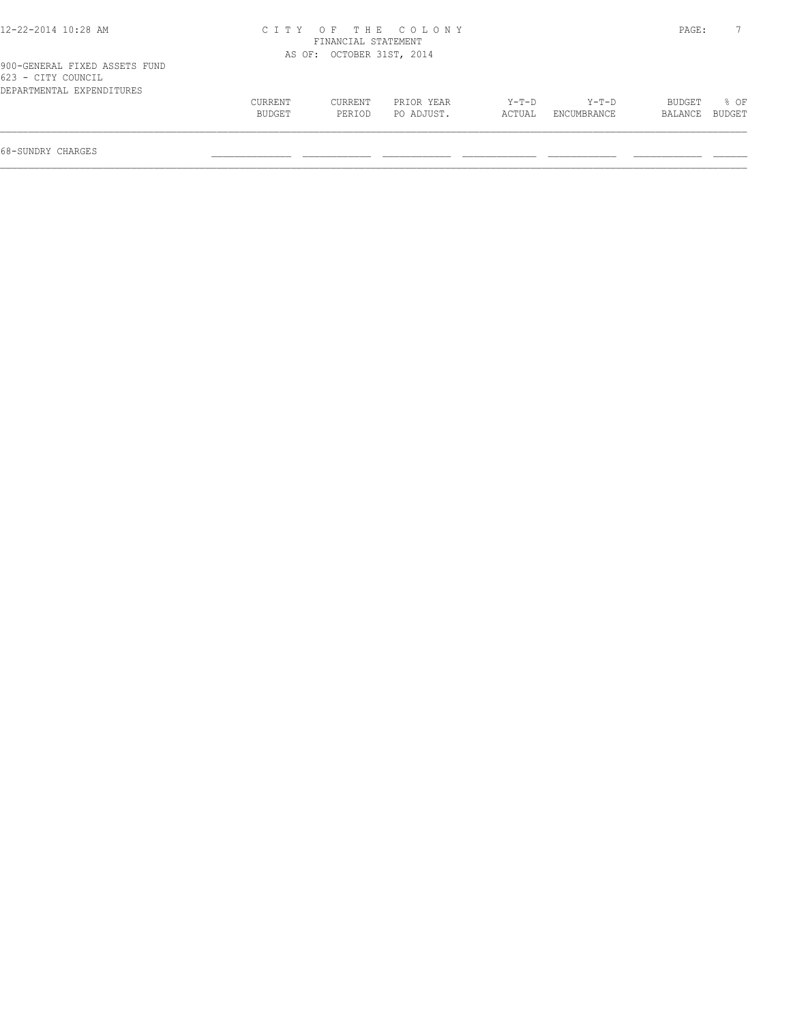| 12-22-2014 10:28 AM                                                              |         |                           | CITY OF THE COLONY |        |             | PAGE:   |        |
|----------------------------------------------------------------------------------|---------|---------------------------|--------------------|--------|-------------|---------|--------|
|                                                                                  |         | FINANCIAL STATEMENT       |                    |        |             |         |        |
|                                                                                  |         | AS OF: OCTOBER 31ST, 2014 |                    |        |             |         |        |
| 900-GENERAL FIXED ASSETS FUND<br>623 - CITY COUNCIL<br>DEPARTMENTAL EXPENDITURES |         |                           |                    |        |             |         |        |
|                                                                                  | CURRENT | CURRENT                   | PRIOR YEAR         | Y-T-D  | Y-T-D       | BUDGET  | 8 OF   |
|                                                                                  | BUDGET  | PERIOD                    | PO ADJUST.         | ACTUAL | ENCUMBRANCE | BALANCE | BUDGET |
|                                                                                  |         |                           |                    |        |             |         |        |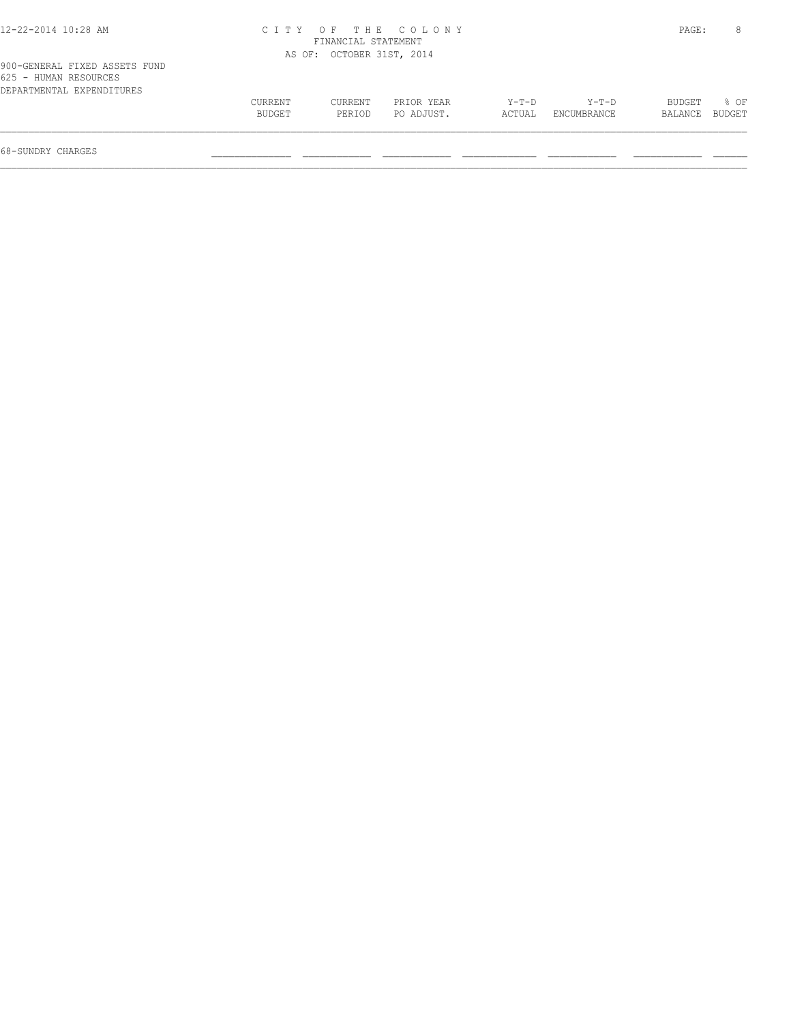| 12-22-2014 10:28 AM           | CITY OF THE COLONY        | PAGE: |
|-------------------------------|---------------------------|-------|
|                               | FINANCIAL STATEMENT       |       |
|                               | AS OF: OCTOBER 31ST, 2014 |       |
| 900-GENERAL FIXED ASSETS FUND |                           |       |
| 625 - HUMAN RESOURCES         |                           |       |
| DEPARTMENTAL EXPENDITIRES     |                           |       |

| DEPARTMENTAL<br>EXPENDITURES |               |         |            |        |             |         |               |
|------------------------------|---------------|---------|------------|--------|-------------|---------|---------------|
|                              | CURRENT       | CURRENT | PRIOR YEAR | Y-T-D  | Y-T-D       | BUDGET  | % OF          |
|                              | <b>BUDGET</b> | PERIOD  | PO ADJUST. | ACTUAL | ENCUMBRANCE | BALANCE | <b>BUDGET</b> |
|                              |               |         |            |        |             |         |               |
|                              |               |         |            |        |             |         |               |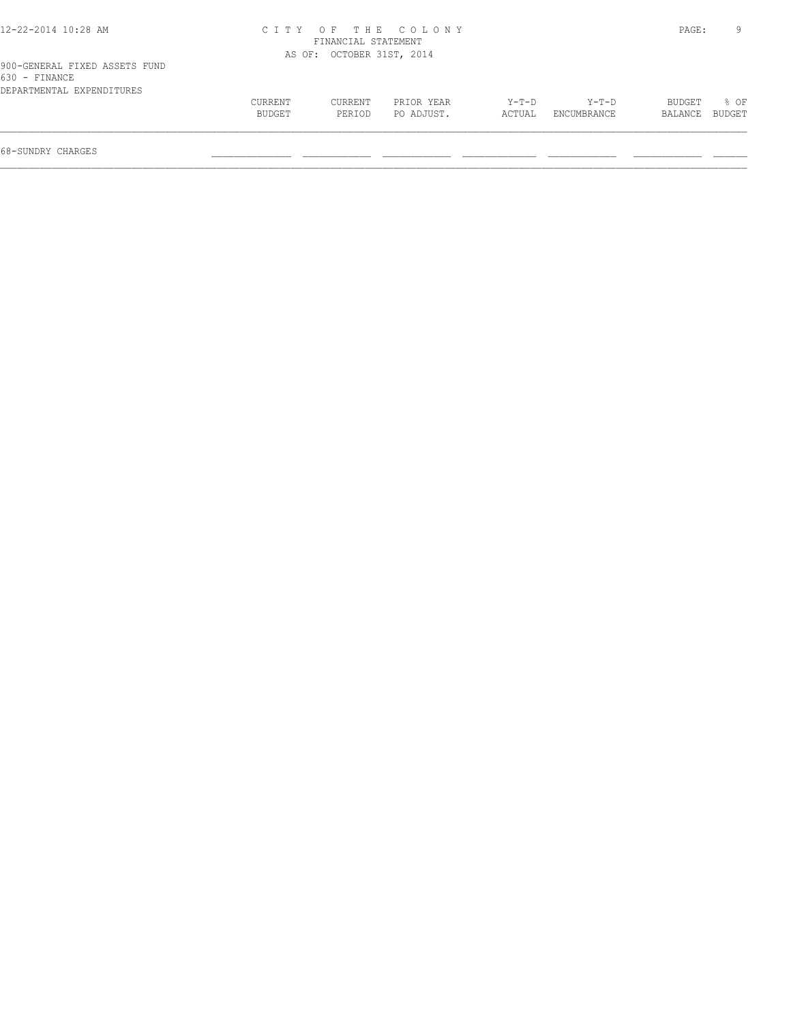| 12-22-2014 10:28 AM                            |         |                           | CITY OF THE COLONY |        |             | PAGE:   | 9      |
|------------------------------------------------|---------|---------------------------|--------------------|--------|-------------|---------|--------|
|                                                |         | FINANCIAL STATEMENT       |                    |        |             |         |        |
|                                                |         | AS OF: OCTOBER 31ST, 2014 |                    |        |             |         |        |
| 900-GENERAL FIXED ASSETS FUND<br>630 - FINANCE |         |                           |                    |        |             |         |        |
| DEPARTMENTAL EXPENDITURES                      | CURRENT | CURRENT                   | PRIOR YEAR         | Y-T-D  | Y-T-D       | BUDGET  | $8$ OF |
|                                                | BUDGET  | PERIOD                    | PO ADJUST.         | ACTUAL | ENCUMBRANCE | BALANCE | BUDGET |
|                                                |         |                           |                    |        |             |         |        |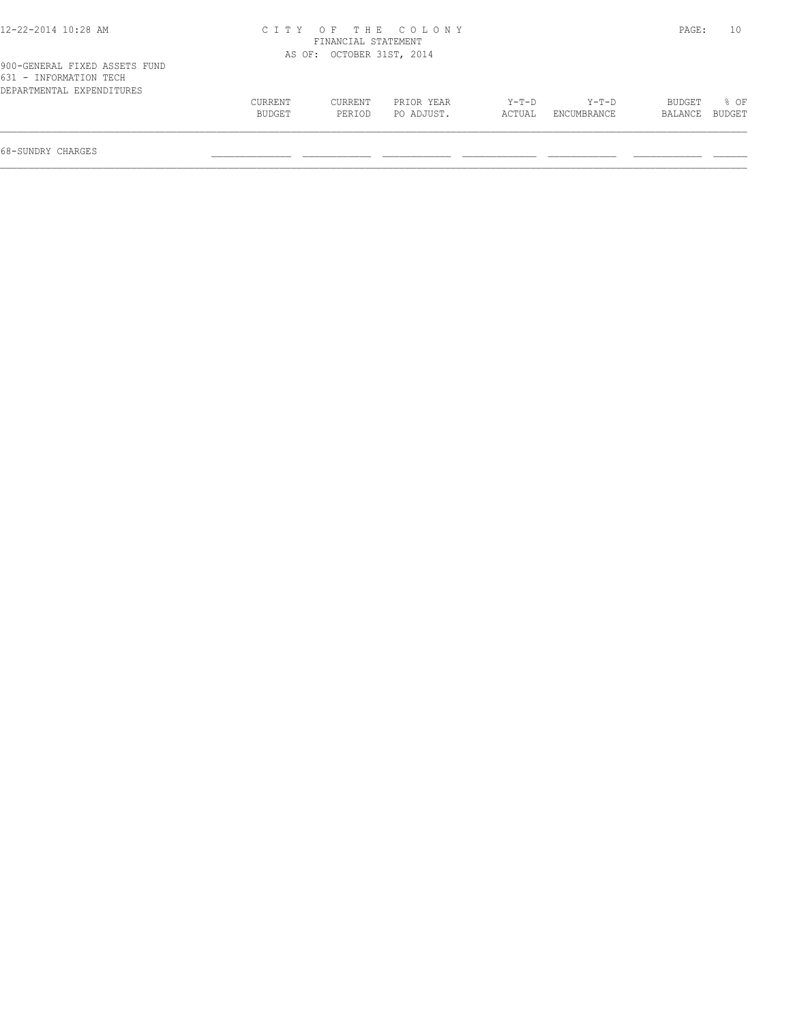| 12-22-2014 10:28 AM                                                                  |                          | FINANCIAL STATEMENT       | CITY OF THE COLONY       |                   |                        | PAGE:             | 10             |
|--------------------------------------------------------------------------------------|--------------------------|---------------------------|--------------------------|-------------------|------------------------|-------------------|----------------|
|                                                                                      |                          | AS OF: OCTOBER 31ST, 2014 |                          |                   |                        |                   |                |
| 900-GENERAL FIXED ASSETS FUND<br>631 - INFORMATION TECH<br>DEPARTMENTAL EXPENDITURES |                          |                           |                          |                   |                        |                   |                |
|                                                                                      | <b>CURRENT</b><br>BUDGET | CURRENT<br>PERIOD         | PRIOR YEAR<br>PO ADJUST. | $Y-T-D$<br>ACTUAL | $Y-T-D$<br>ENCUMBRANCE | BUDGET<br>BALANCE | 8 OF<br>BUDGET |

 $\mathcal{L} = \{ \mathcal{L} = \{ \mathcal{L} = \{ \mathcal{L} = \{ \mathcal{L} = \{ \mathcal{L} = \{ \mathcal{L} = \{ \mathcal{L} = \{ \mathcal{L} = \{ \mathcal{L} = \{ \mathcal{L} = \{ \mathcal{L} = \{ \mathcal{L} = \{ \mathcal{L} = \{ \mathcal{L} = \{ \mathcal{L} = \{ \mathcal{L} = \{ \mathcal{L} = \{ \mathcal{L} = \{ \mathcal{L} = \{ \mathcal{L} = \{ \mathcal{L} = \{ \mathcal{L} = \{ \mathcal{L} = \{ \mathcal{$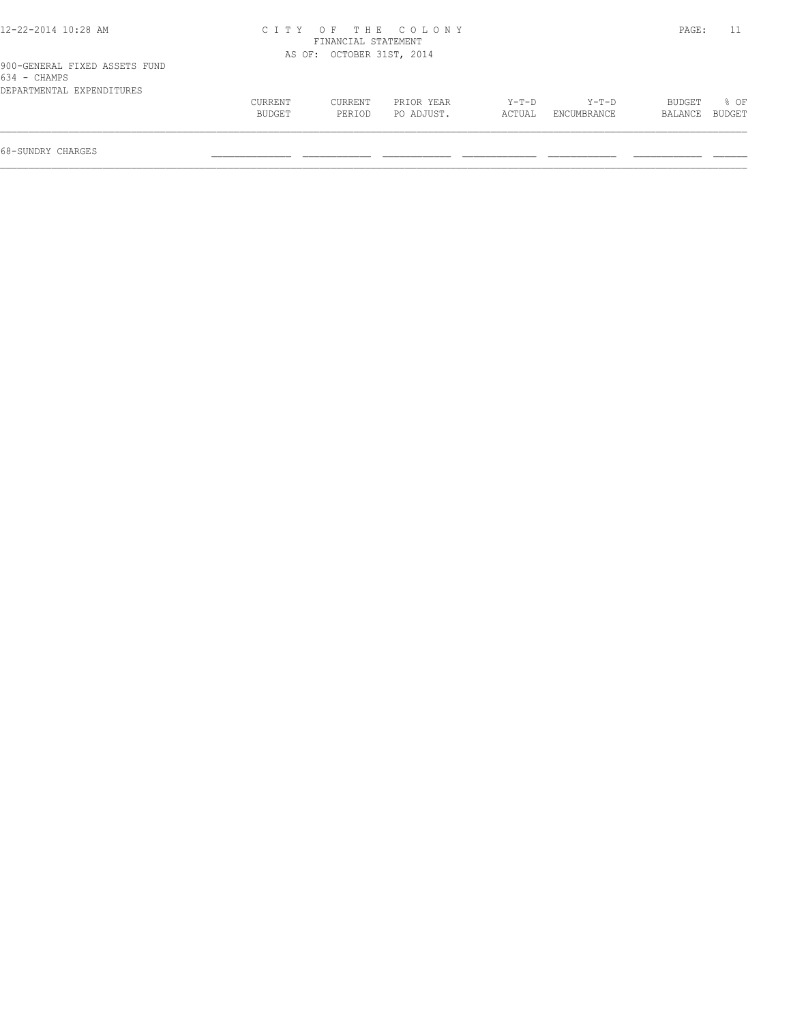| 12-22-2014 10:28 AM                                                        |                   | FINANCIAL STATEMENT       | CITY OF THE COLONY       |                 |                      | PAGE:                    |      |
|----------------------------------------------------------------------------|-------------------|---------------------------|--------------------------|-----------------|----------------------|--------------------------|------|
|                                                                            |                   | AS OF: OCTOBER 31ST, 2014 |                          |                 |                      |                          |      |
| 900-GENERAL FIXED ASSETS FUND<br>634 - CHAMPS<br>DEPARTMENTAL EXPENDITURES |                   |                           |                          |                 |                      |                          |      |
|                                                                            | CURRENT<br>BUDGET | <b>CURRENT</b><br>PERIOD  | PRIOR YEAR<br>PO ADJUST. | Y-T-D<br>ACTUAL | Y-T-D<br>ENCUMBRANCE | BUDGET<br>BALANCE BUDGET | 8 OF |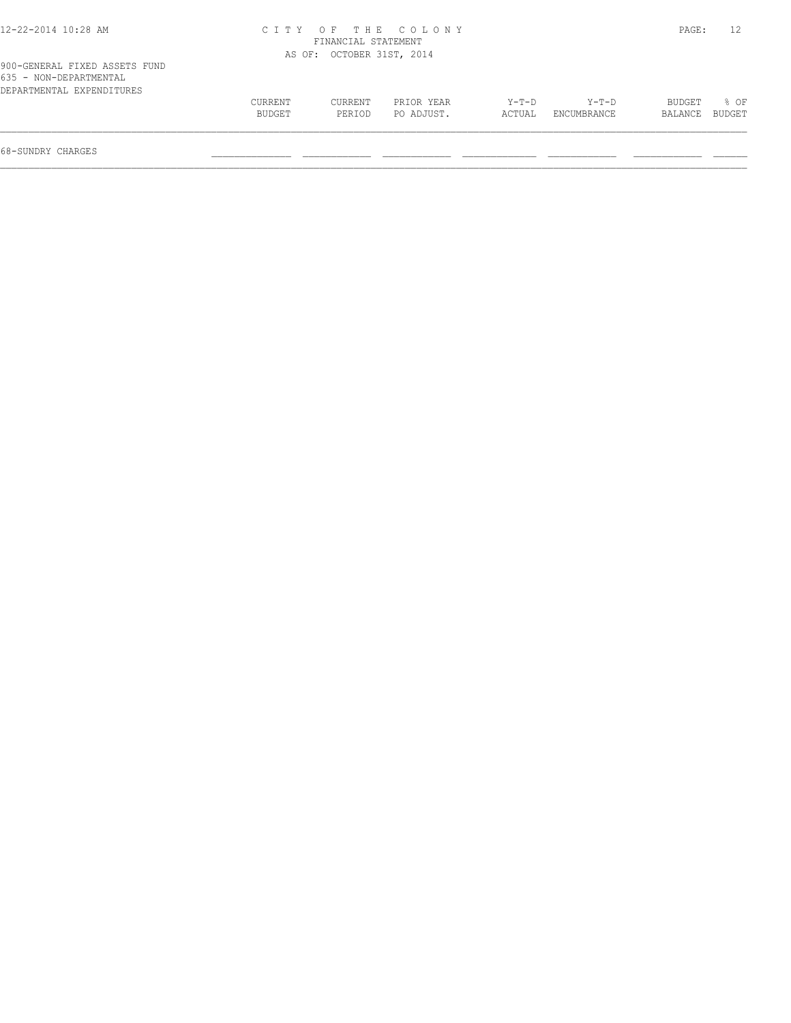| 12-22-2014 10:28 AM                                                                  |                          | FINANCIAL STATEMENT       | CITY OF THE COLONY       |                 |                      | PAGE:                    | 12               |
|--------------------------------------------------------------------------------------|--------------------------|---------------------------|--------------------------|-----------------|----------------------|--------------------------|------------------|
|                                                                                      |                          | AS OF: OCTOBER 31ST, 2014 |                          |                 |                      |                          |                  |
| 900-GENERAL FIXED ASSETS FUND<br>635 - NON-DEPARTMENTAL<br>DEPARTMENTAL EXPENDITURES |                          |                           |                          |                 |                      |                          |                  |
|                                                                                      | <b>CURRENT</b><br>BUDGET | CURRENT<br>PERIOD         | PRIOR YEAR<br>PO ADJUST. | Y-T-D<br>ACTUAL | Y-T-D<br>ENCUMBRANCE | <b>BUDGET</b><br>BALANCE | $8$ OF<br>BUDGET |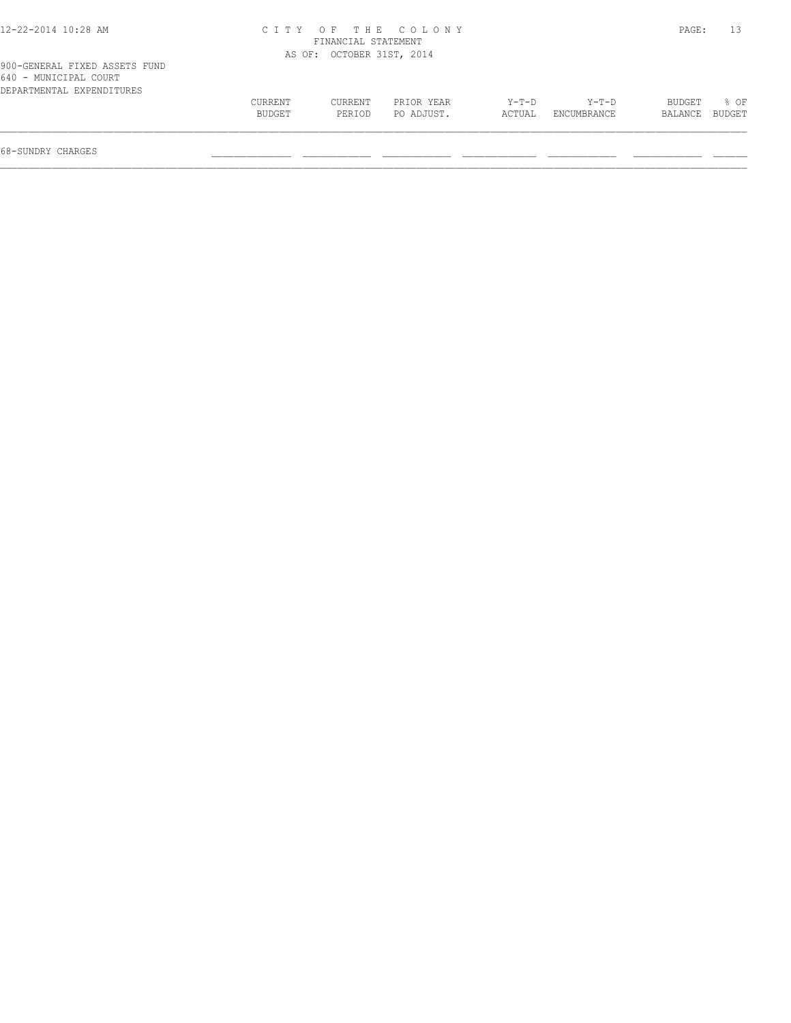| 12-22-2014 10:28 AM                                                                 |                   | FINANCIAL STATEMENT       | CITY OF THE COLONY       |                 |                      | PAGE:             |                |
|-------------------------------------------------------------------------------------|-------------------|---------------------------|--------------------------|-----------------|----------------------|-------------------|----------------|
|                                                                                     |                   | AS OF: OCTOBER 31ST, 2014 |                          |                 |                      |                   |                |
| 900-GENERAL FIXED ASSETS FUND<br>640 - MUNICIPAL COURT<br>DEPARTMENTAL EXPENDITURES |                   |                           |                          |                 |                      |                   |                |
|                                                                                     | CURRENT<br>BUDGET | CURRENT<br>PERIOD         | PRIOR YEAR<br>PO ADJUST. | Y-T-D<br>ACTUAL | Y-T-D<br>ENCUMBRANCE | BUDGET<br>BALANCE | * 0⊧<br>BUDGET |

 $\mathcal{L} = \{ \mathcal{L} = \{ \mathcal{L} = \{ \mathcal{L} = \{ \mathcal{L} = \{ \mathcal{L} = \{ \mathcal{L} = \{ \mathcal{L} = \{ \mathcal{L} = \{ \mathcal{L} = \{ \mathcal{L} = \{ \mathcal{L} = \{ \mathcal{L} = \{ \mathcal{L} = \{ \mathcal{L} = \{ \mathcal{L} = \{ \mathcal{L} = \{ \mathcal{L} = \{ \mathcal{L} = \{ \mathcal{L} = \{ \mathcal{L} = \{ \mathcal{L} = \{ \mathcal{L} = \{ \mathcal{L} = \{ \mathcal{$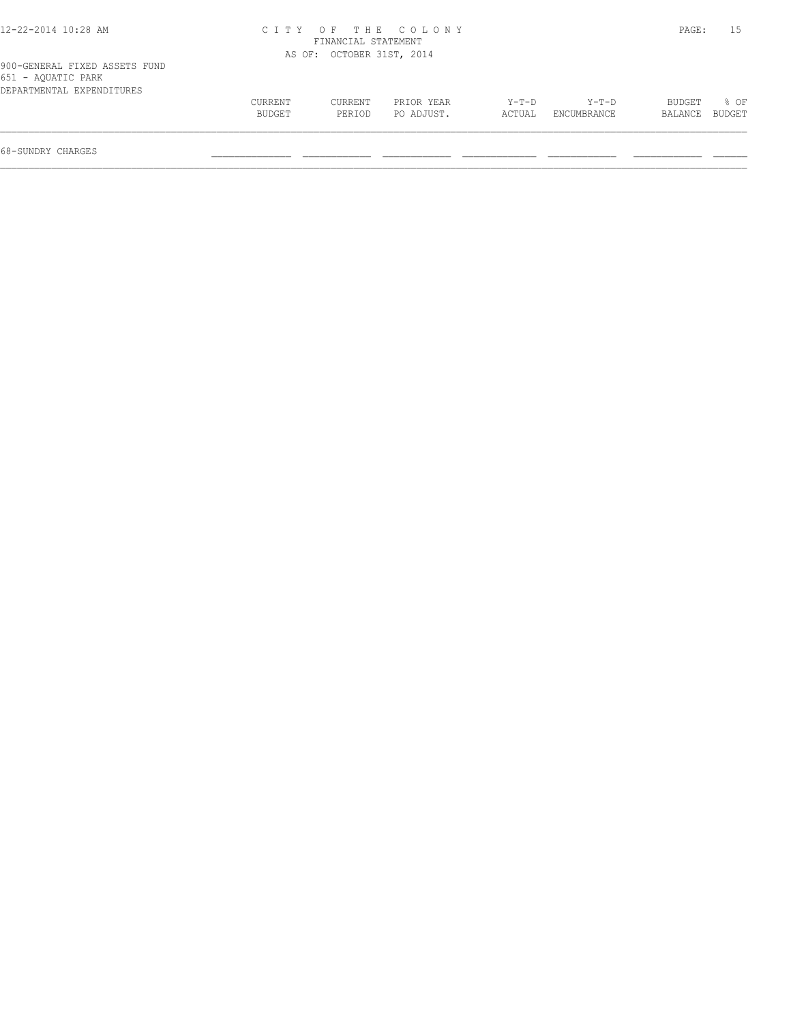# 12-22-2014 10:28 AM C I T Y O F T H E C O L O N Y PAGE: 15 FINANCIAL STATEMENT AS OF: OCTOBER 31ST, 2014

| 900-GENERAL FIXED ASSETS FUND |  |  |
|-------------------------------|--|--|
| 651 - AOUATIC PARK            |  |  |
| DEPARTMENTAL EXPENDITURES     |  |  |

| $0.01$ $1.0011110$ $1.11111$ |         |         |            |         |             |         |        |
|------------------------------|---------|---------|------------|---------|-------------|---------|--------|
| DEPARTMENTAL EXPENDITURES    |         |         |            |         |             |         |        |
|                              | CURRENT | CURRENT | PRIOR YEAR | $Y-T-D$ | $Y-T-D$     | BUDGET  | $8$ OF |
|                              | BUDGET  | PERIOD  | PO ADJUST. | ACTUAL  | ENCUMBRANCE | BALANCE | BUDGET |
|                              |         |         |            |         |             |         |        |
|                              |         |         |            |         |             |         |        |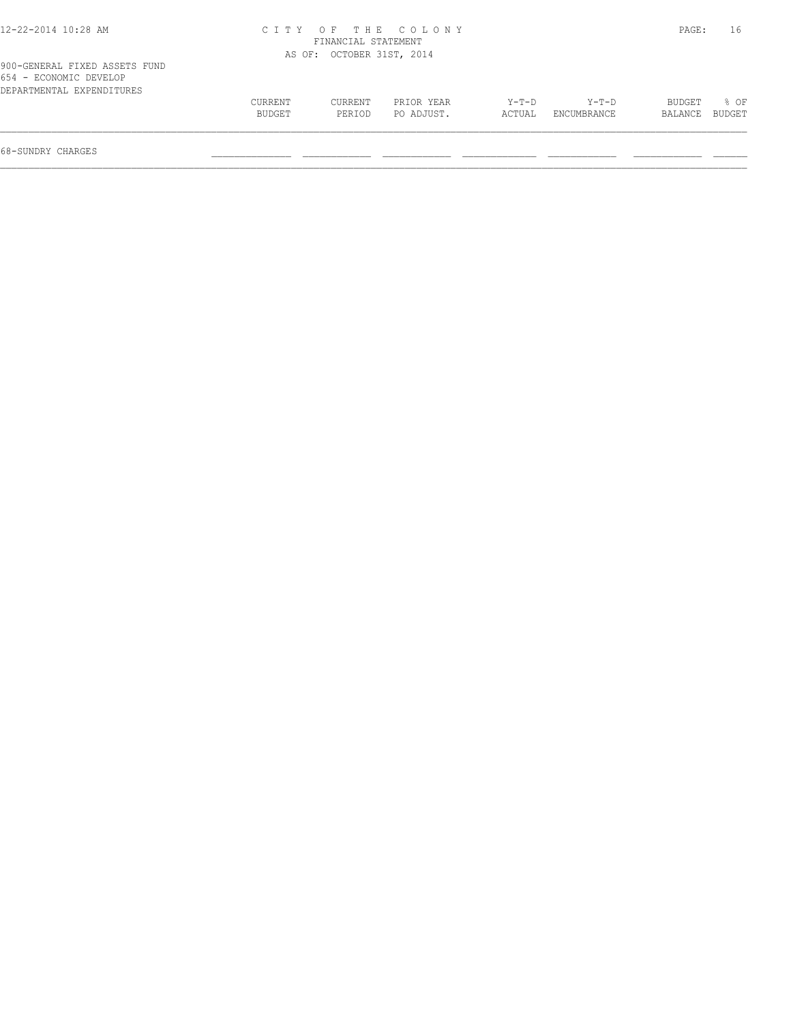| 12-22-2014 10:28 AM                                                                  |                   | FINANCIAL STATEMENT       | CITY OF THE COLONY       |                 |                      | PAGE:             | 16             |
|--------------------------------------------------------------------------------------|-------------------|---------------------------|--------------------------|-----------------|----------------------|-------------------|----------------|
|                                                                                      |                   | AS OF: OCTOBER 31ST, 2014 |                          |                 |                      |                   |                |
| 900-GENERAL FIXED ASSETS FUND<br>654 - ECONOMIC DEVELOP<br>DEPARTMENTAL EXPENDITURES |                   |                           |                          |                 |                      |                   |                |
|                                                                                      | CURRENT<br>BUDGET | CURRENT<br>PERIOD         | PRIOR YEAR<br>PO ADJUST. | Y-T-D<br>ACTUAL | Y-T-D<br>ENCUMBRANCE | BUDGET<br>BALANCE | 8 OF<br>BUDGET |

 $\mathcal{L} = \{ \mathcal{L} = \{ \mathcal{L} = \{ \mathcal{L} = \{ \mathcal{L} = \{ \mathcal{L} = \{ \mathcal{L} = \{ \mathcal{L} = \{ \mathcal{L} = \{ \mathcal{L} = \{ \mathcal{L} = \{ \mathcal{L} = \{ \mathcal{L} = \{ \mathcal{L} = \{ \mathcal{L} = \{ \mathcal{L} = \{ \mathcal{L} = \{ \mathcal{L} = \{ \mathcal{L} = \{ \mathcal{L} = \{ \mathcal{L} = \{ \mathcal{L} = \{ \mathcal{L} = \{ \mathcal{L} = \{ \mathcal{$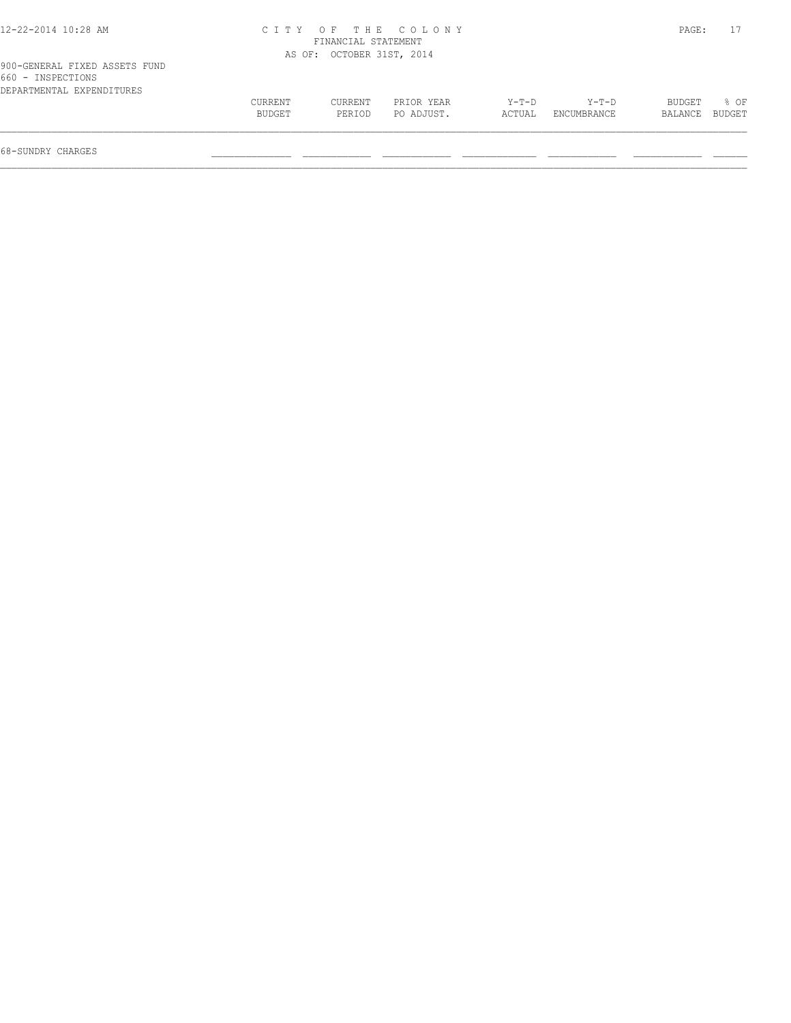| 12-22-2014 10:28 AM                                                             |                   | FINANCIAL STATEMENT       | CITY OF THE COLONY       |                 |                      | PAGE:                    |      |
|---------------------------------------------------------------------------------|-------------------|---------------------------|--------------------------|-----------------|----------------------|--------------------------|------|
|                                                                                 |                   | AS OF: OCTOBER 31ST, 2014 |                          |                 |                      |                          |      |
| 900-GENERAL FIXED ASSETS FUND<br>660 - INSPECTIONS<br>DEPARTMENTAL EXPENDITURES |                   |                           |                          |                 |                      |                          |      |
|                                                                                 | CURRENT<br>BUDGET | CURRENT<br>PERIOD         | PRIOR YEAR<br>PO ADJUST. | Y-T-D<br>ACTUAL | Y-T-D<br>ENCUMBRANCE | BUDGET<br>BALANCE BUDGET | % OF |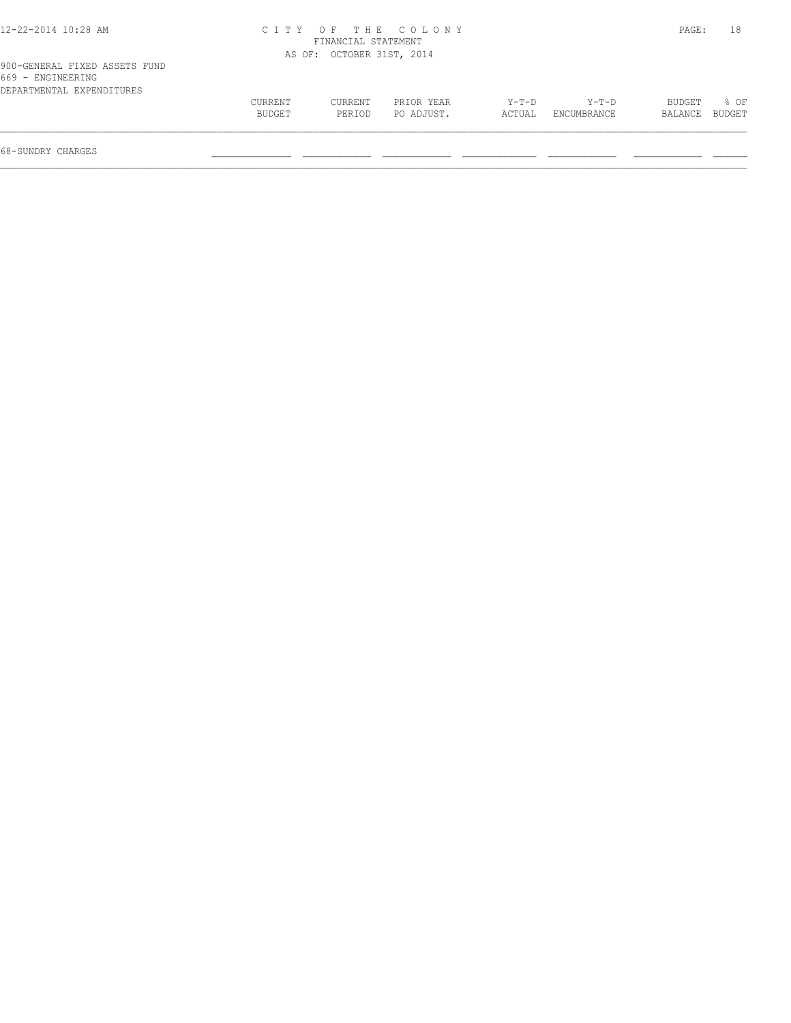| 12-22-2014 10:28 AM                                                             | C I T Y           | FINANCIAL STATEMENT       | OF THE COLONY            |                   |                      | PAGE:             | 18                      |
|---------------------------------------------------------------------------------|-------------------|---------------------------|--------------------------|-------------------|----------------------|-------------------|-------------------------|
|                                                                                 |                   | AS OF: OCTOBER 31ST, 2014 |                          |                   |                      |                   |                         |
| 900-GENERAL FIXED ASSETS FUND<br>669 - ENGINEERING<br>DEPARTMENTAL EXPENDITURES |                   |                           |                          |                   |                      |                   |                         |
|                                                                                 | CURRENT<br>BUDGET | CURRENT<br>PERIOD         | PRIOR YEAR<br>PO ADJUST. | $Y-T-D$<br>ACTUAL | Y-T-D<br>ENCUMBRANCE | BUDGET<br>BALANCE | $8$ OF<br><b>BUDGET</b> |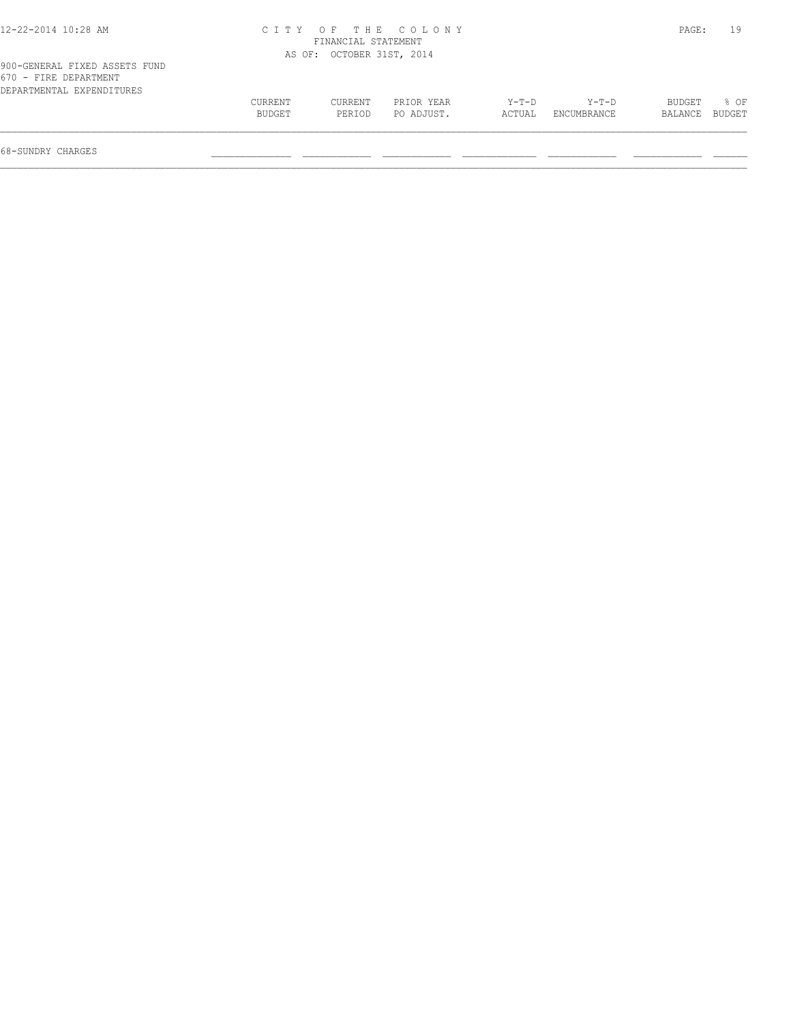| 12-22-2014 10:28 AM |  |  |
|---------------------|--|--|
|                     |  |  |

# 12-22-2014 10:28 AM C I T Y O F T H E C O L O N Y PAGE: 19 FINANCIAL STATEMENT

| 900-GENERAL FIXED ASSETS FUND<br>670 - FIRE DEPARTMENT |                   | AS OF: OCTOBER 31ST, 2014 |                          |                 |                        |                   |                |
|--------------------------------------------------------|-------------------|---------------------------|--------------------------|-----------------|------------------------|-------------------|----------------|
| DEPARTMENTAL EXPENDITURES                              |                   |                           |                          |                 |                        |                   |                |
|                                                        | CURRENT<br>BUDGET | CURRENT<br>PERTOD         | PRIOR YEAR<br>PO ADJUST. | Y-T-D<br>ACTUAL | $Y-T-D$<br>ENCUMBRANCE | BUDGET<br>BALANCE | 8 OF<br>BUDGET |
|                                                        |                   |                           |                          |                 |                        |                   |                |
| 68-SUNDRY CHARGES                                      |                   |                           |                          |                 |                        |                   |                |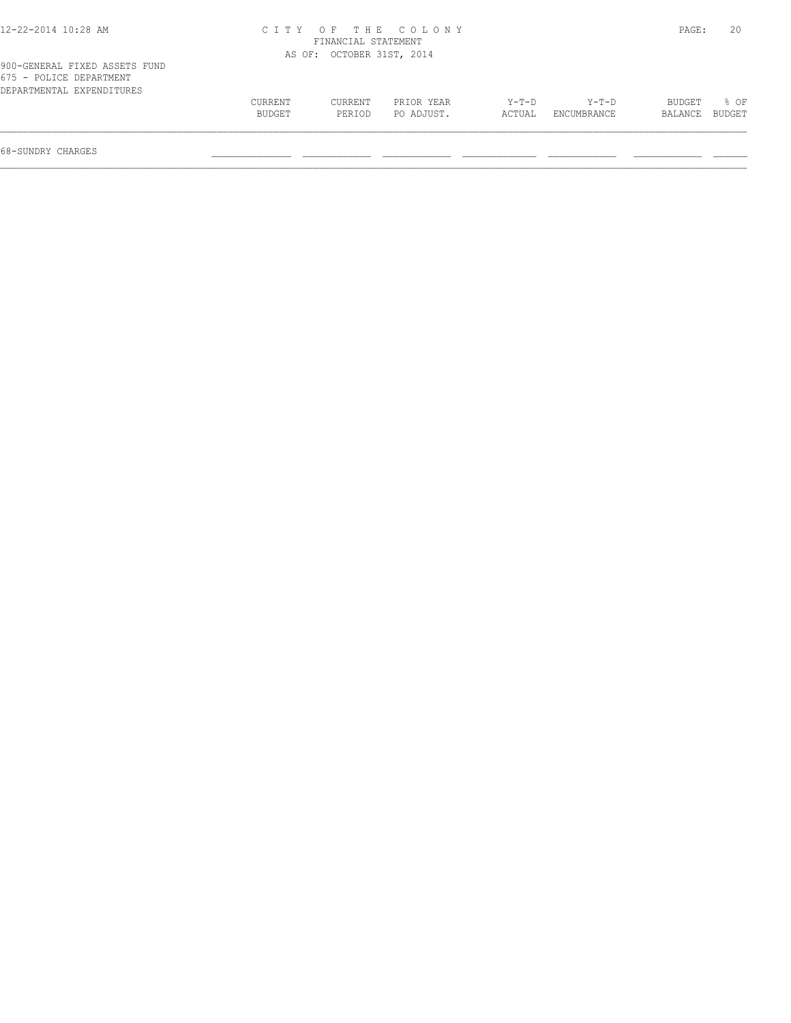| 12-22-2014 10:28 AM                                                                   | C I T Y |                           | OF THE COLONY |        |             | PAGE:   | 20     |
|---------------------------------------------------------------------------------------|---------|---------------------------|---------------|--------|-------------|---------|--------|
|                                                                                       |         | FINANCIAL STATEMENT       |               |        |             |         |        |
|                                                                                       |         | AS OF: OCTOBER 31ST, 2014 |               |        |             |         |        |
| 900-GENERAL FIXED ASSETS FUND<br>675 - POLICE DEPARTMENT<br>DEPARTMENTAL EXPENDITURES |         |                           |               |        |             |         |        |
|                                                                                       | CURRENT | CURRENT                   | PRIOR YEAR    | Y-T-D  | Y-T-D       | BUDGET  | $8$ OF |
|                                                                                       | BUDGET  | PERIOD                    | PO ADJUST.    | ACTUAL | ENCUMBRANCE | BALANCE | BUDGET |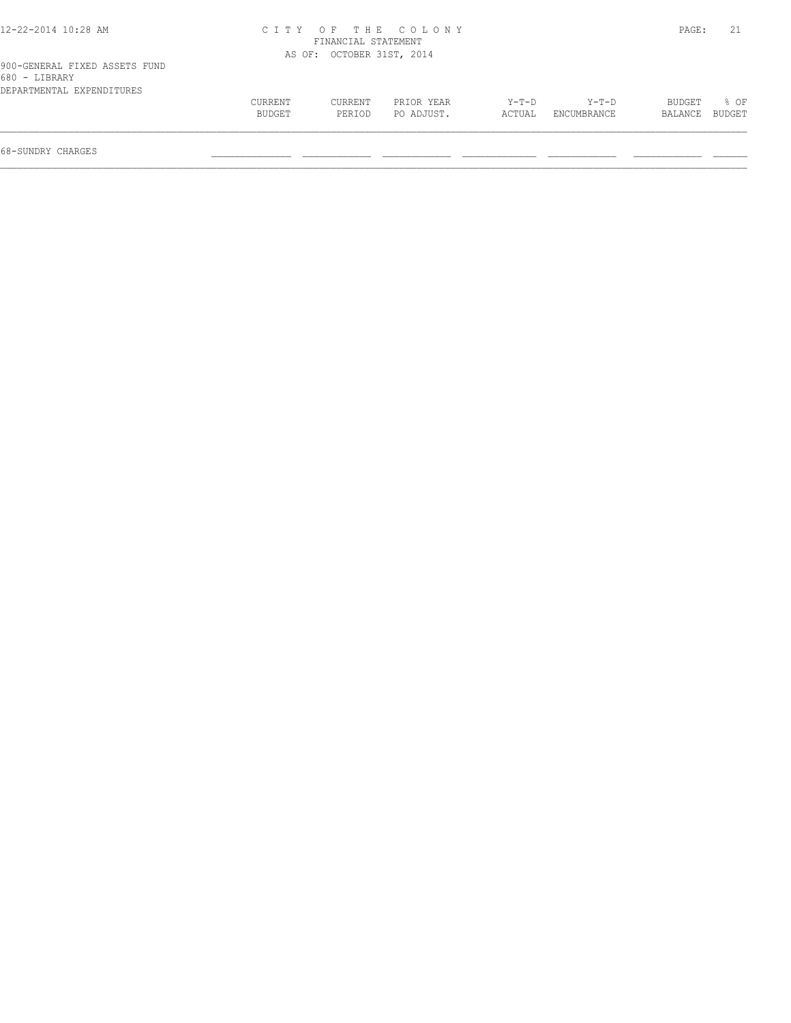| 12-22-2014 10:28 AM                                                         |                   |                           | CITY OF THE COLONY       |                 |                      | PAGE:                    | 21   |
|-----------------------------------------------------------------------------|-------------------|---------------------------|--------------------------|-----------------|----------------------|--------------------------|------|
|                                                                             |                   | FINANCIAL STATEMENT       |                          |                 |                      |                          |      |
|                                                                             |                   | AS OF: OCTOBER 31ST, 2014 |                          |                 |                      |                          |      |
| 900-GENERAL FIXED ASSETS FUND<br>680 - LIBRARY<br>DEPARTMENTAL EXPENDITURES |                   |                           |                          |                 |                      |                          |      |
|                                                                             | CURRENT<br>BUDGET | CURRENT<br>PERIOD         | PRIOR YEAR<br>PO ADJUST. | Y-T-D<br>ACTUAL | Y-T-D<br>ENCUMBRANCE | BUDGET<br>BALANCE BUDGET | 8 OF |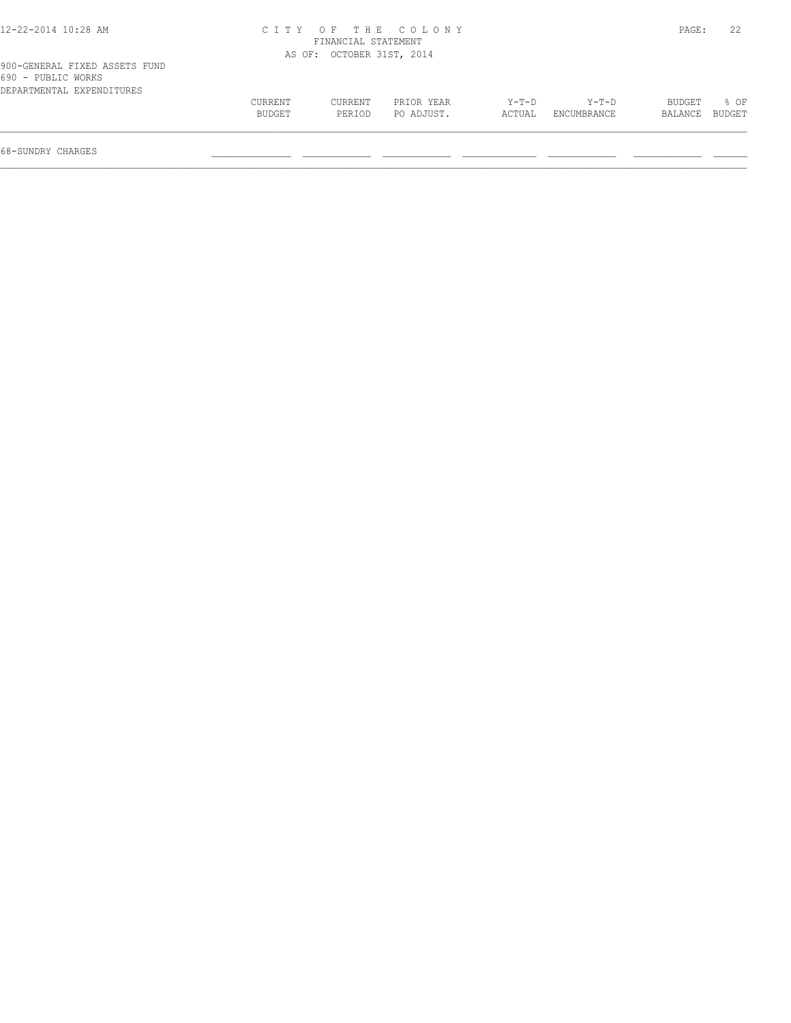|  |  |  | 2-22-2014 10:28 AM |
|--|--|--|--------------------|
|--|--|--|--------------------|

# 12-22-2014 10:28 AM C I T Y O F T H E C O L O N Y PAGE: 22 FINANCIAL STATEMENT

|                                                     |                | AS OF: OCTOBER 31ST, 2014 |            |         |             |         |        |
|-----------------------------------------------------|----------------|---------------------------|------------|---------|-------------|---------|--------|
| 900-GENERAL FIXED ASSETS FUND<br>690 - PUBLIC WORKS |                |                           |            |         |             |         |        |
| DEPARTMENTAL EXPENDITURES                           |                |                           |            |         |             |         |        |
|                                                     | <b>CURRENT</b> | CURRENT                   | PRIOR YEAR | $Y-T-D$ | $Y-T-D$     | BUDGET  | 8 OF   |
|                                                     | BUDGET         | PERIOD                    | PO ADJUST. | ACTUAL  | ENCUMBRANCE | BALANCE | BUDGET |
|                                                     |                |                           |            |         |             |         |        |
|                                                     |                |                           |            |         |             |         |        |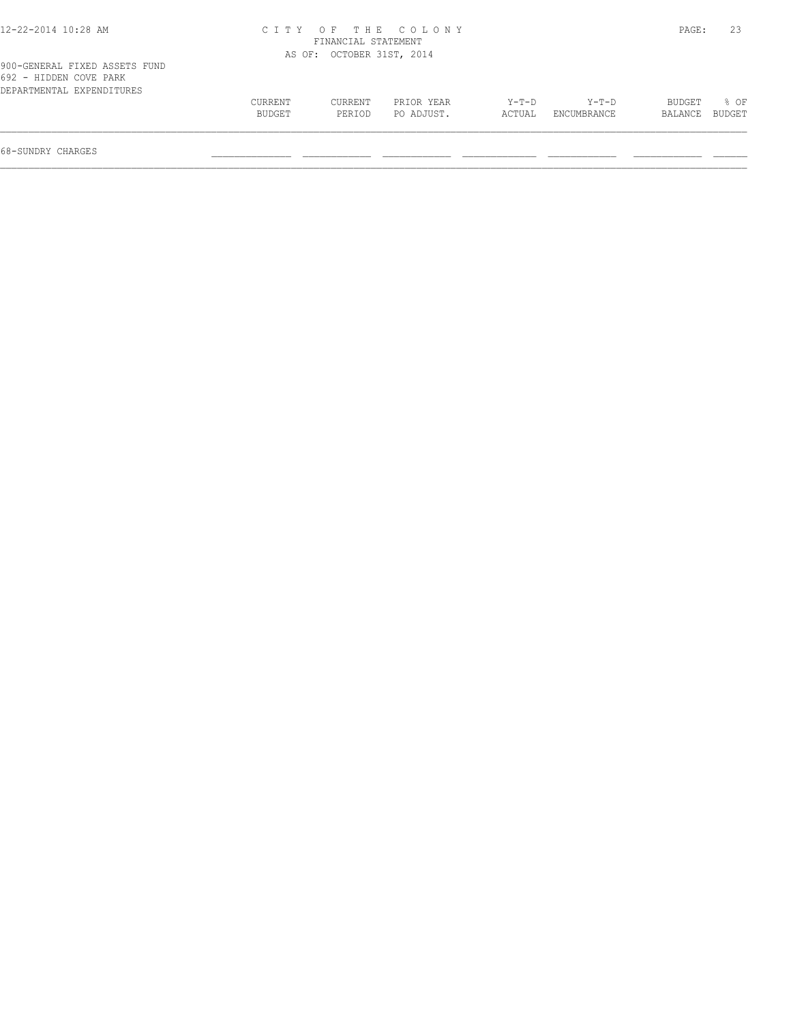|         | FINANCIAL STATEMENT | CITY OF THE COLONY |                                         |         | PAGE:       | 23                      |
|---------|---------------------|--------------------|-----------------------------------------|---------|-------------|-------------------------|
|         |                     |                    |                                         |         |             |                         |
| CURRENT | CURRENT             | PRIOR YEAR         | $Y-T-D$                                 | $Y-T-D$ | BUDGET      | $8$ OF<br><b>BUDGET</b> |
|         | BUDGET              | PERIOD             | AS OF: OCTOBER 31ST, 2014<br>PO ADJUST. | ACTUAL  | ENCUMBRANCE | BALANCE                 |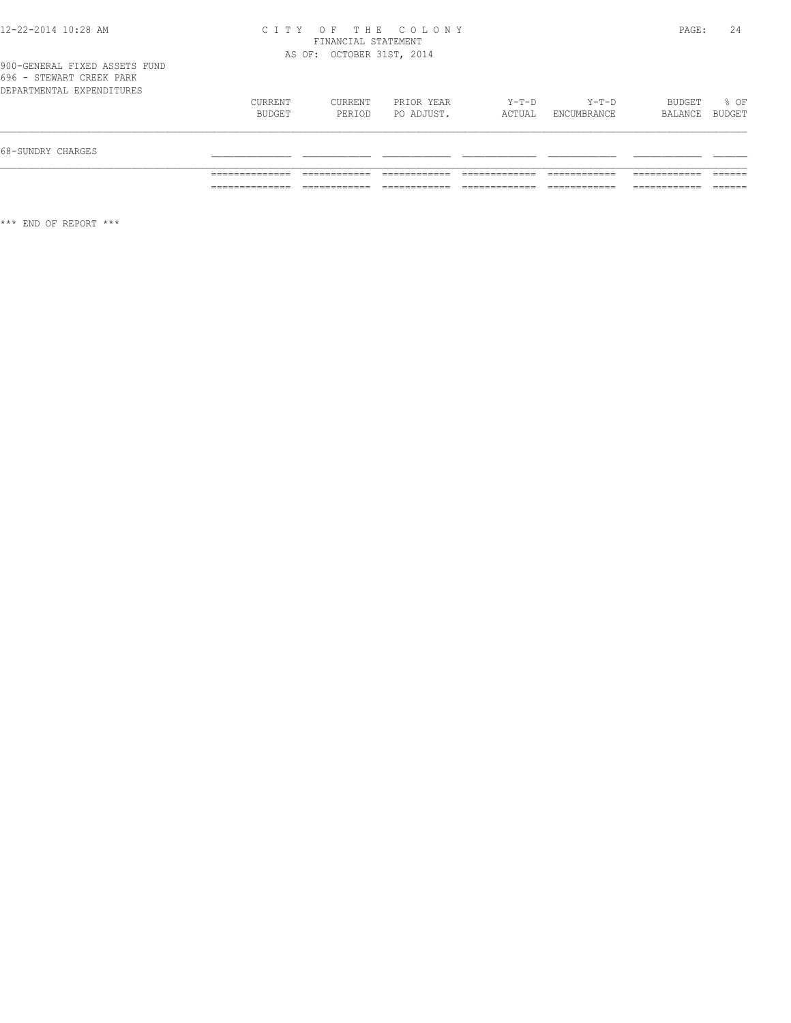## 12-22-2014 10:28 AM C I T Y O F T H E C O L O N Y PAGE: 24 FINANCIAL STATEMENT AS OF: OCTOBER 31ST, 2014

\*\*\* END OF REPORT \*\*\*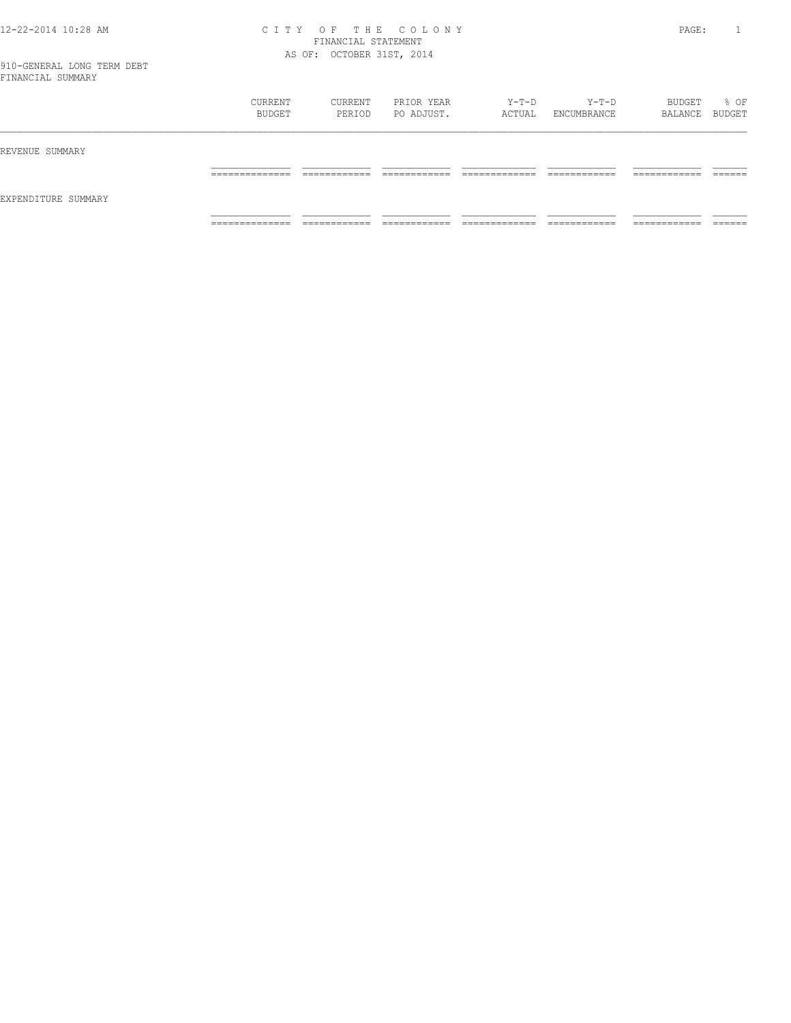### 12-22-2014 10:28 AM C I T Y O F T H E C O L O N Y PAGE: 1 FINANCIAL STATEMENT AS OF: OCTOBER 31ST, 2014

|                     | CURRENT<br>BUDGET                 | CURRENT<br>PERIOD            | PRIOR YEAR<br>PO ADJUST.      | Y-T-D<br>ACTUAL                | Y-T-D<br>ENCUMBRANCE         | BUDGET<br>BALANCE BUDGET      | % OF               |
|---------------------|-----------------------------------|------------------------------|-------------------------------|--------------------------------|------------------------------|-------------------------------|--------------------|
| REVENUE SUMMARY     |                                   |                              |                               |                                |                              |                               |                    |
|                     | ______________<br>_______________ | ____________<br>____________ | -------------<br>____________ | _____________<br>_____________ | ____________<br>____________ | -------------<br>____________ | -------<br>_______ |
| EXPENDITURE SUMMARY |                                   |                              |                               |                                |                              |                               |                    |
|                     | ______________<br>.               | ____________<br>__________   | -------------<br>-----------  | _____________<br>.             | ------------<br>.            | -------------<br>-----------  | _______            |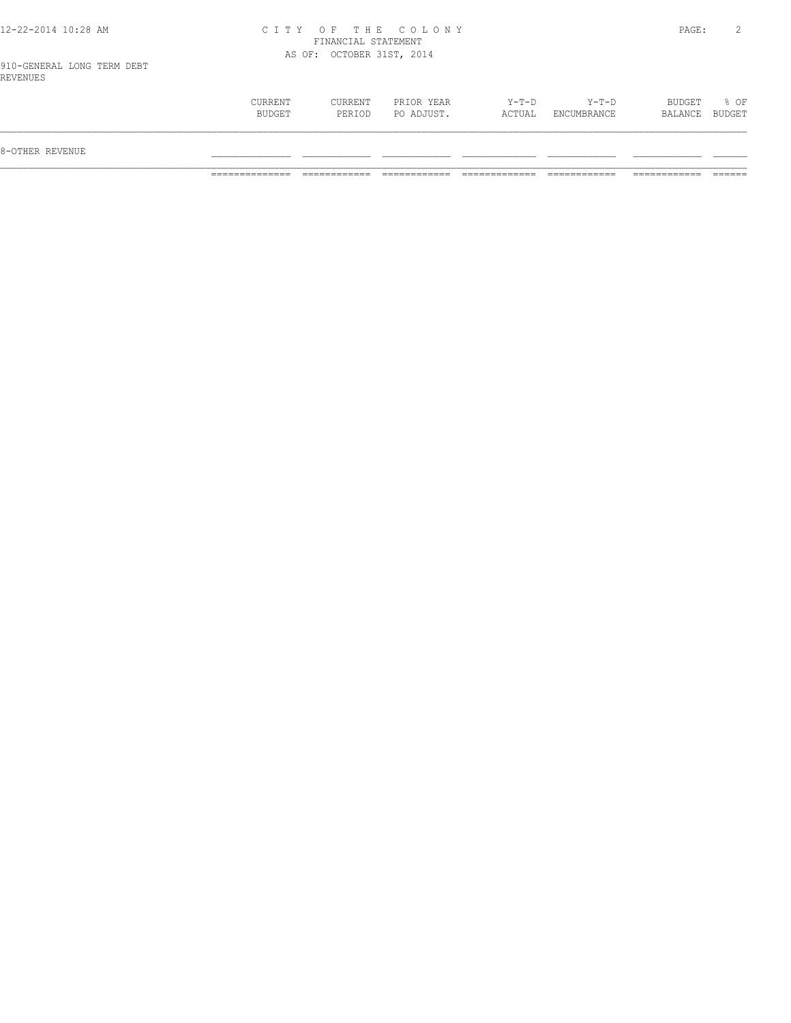# 12-22-2014 10:28 AM C I T Y O F T H E C O L O N Y PAGE: 2 FINANCIAL STATEMENT AS OF: OCTOBER 31ST, 2014

910-GENERAL LONG TERM DEBT REVENUES

| CURRENT<br>CURRENT<br>Y-T-D<br>Y-T-D<br>BUDGET<br>PRIOR YEAR<br>% OF<br>BUDGET<br>PO ADJUST.<br>ACTUAL<br>BUDGET<br>PERIOD<br>ENCUMBRANCE<br>BALANCE<br>8-OTHER REVENUE |  |  |  |  |
|-------------------------------------------------------------------------------------------------------------------------------------------------------------------------|--|--|--|--|
|                                                                                                                                                                         |  |  |  |  |
|                                                                                                                                                                         |  |  |  |  |